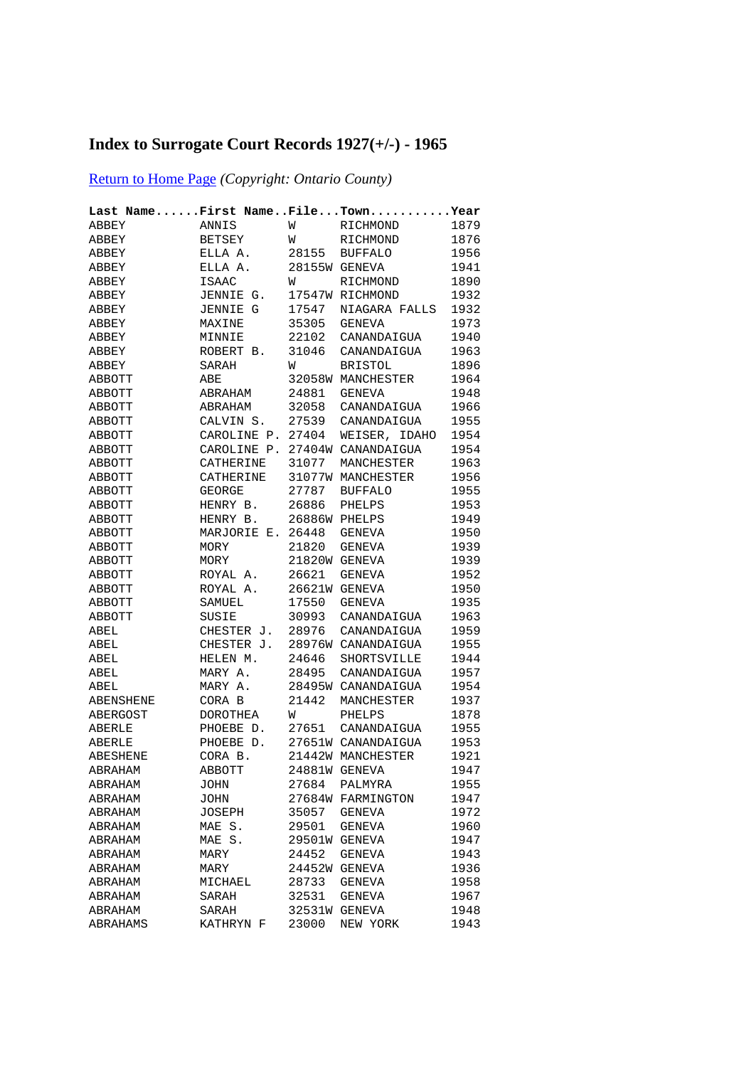## **Index to Surrogate Court Records 1927(+/-) - 1965**

Return to Home Page *(Copyright: Ontario County)*

|                 |                                |               | Last NameFirst NameFileTownYear |      |
|-----------------|--------------------------------|---------------|---------------------------------|------|
| ABBEY           | ANNIS                          | W             | RICHMOND                        | 1879 |
| ABBEY           | BETSEY                         | <b>W</b>      | RICHMOND                        | 1876 |
| ABBEY           | ELLA A.                        |               | 28155 BUFFALO                   | 1956 |
| ABBEY           | ELLA A.                        |               | 28155W GENEVA                   | 1941 |
| ABBEY           | <b>ISAAC</b>                   | <b>W</b>      | RICHMOND                        | 1890 |
| ABBEY           | JENNIE G.                      |               | 17547W RICHMOND                 | 1932 |
| ABBEY           | JENNIE G                       | 17547         | NIAGARA FALLS                   | 1932 |
| ABBEY           | MAXINE                         | 35305 GENEVA  |                                 | 1973 |
| ABBEY           | MINNIE                         |               | 22102 CANANDAIGUA               | 1940 |
| ABBEY           | ROBERT B.                      |               | 31046 CANANDAIGUA               | 1963 |
| ABBEY           | SARAH                          | <b>M</b>      | <b>BRISTOL</b>                  | 1896 |
| ABBOTT          | ABE                            |               | 32058W MANCHESTER               | 1964 |
| ABBOTT          | ABRAHAM                        | 24881         | GENEVA                          | 1948 |
| ABBOTT          | ABRAHAM                        |               | 32058 CANANDAIGUA               | 1966 |
| ABBOTT          | CALVIN S. 27539 CANANDAIGUA    |               |                                 | 1955 |
| ABBOTT          |                                |               | CAROLINE P. 27404 WEISER, IDAHO | 1954 |
| ABBOTT          | CAROLINE P. 27404W CANANDAIGUA |               |                                 | 1954 |
| ABBOTT          | CATHERINE                      | 31077         | MANCHESTER                      | 1963 |
| ABBOTT          | CATHERINE                      |               | 31077W MANCHESTER               | 1956 |
| ABBOTT          | <b>GEORGE</b>                  |               | 27787 BUFFALO                   | 1955 |
| ABBOTT          | HENRY B.                       | 26886         | PHELPS                          | 1953 |
| ABBOTT          | HENRY B.                       |               | 26886W PHELPS                   | 1949 |
| ABBOTT          | MARJORIE E. 26448              |               | GENEVA                          | 1950 |
| ABBOTT          | MORY                           | 21820         | GENEVA                          | 1939 |
| ABBOTT          | MORY                           |               | 21820W GENEVA                   | 1939 |
| ABBOTT          | ROYAL A.                       | 26621         | GENEVA                          | 1952 |
| ABBOTT          | ROYAL A.                       | 26621W GENEVA |                                 | 1950 |
| ABBOTT          | SAMUEL                         | 17550         | GENEVA                          | 1935 |
| ABBOTT          | SUSIE                          |               | 30993 CANANDAIGUA               | 1963 |
| ABEL            | CHESTER J. 28976 CANANDAIGUA   |               |                                 | 1959 |
| ${\tt ABEL}$    | CHESTER J.                     |               | 28976W CANANDAIGUA              | 1955 |
| ABEL            | HELEN M.                       | 24646         | SHORTSVILLE                     | 1944 |
| ABEL            | MARY A.                        | 28495         | CANANDAIGUA                     | 1957 |
| ABEL            | MARY A.                        |               | 28495W CANANDAIGUA              | 1954 |
| ABENSHENE       | CORA B                         | 21442         | MANCHESTER                      | 1937 |
| ABERGOST        | DOROTHEA                       | <b>M</b>      | PHELPS                          | 1878 |
| ABERLE          | PHOEBE D.                      |               | 27651 CANANDAIGUA               | 1955 |
| <b>ABERLE</b>   | PHOEBE D.                      |               | 27651W CANANDAIGUA              | 1953 |
| <b>ABESHENE</b> | CORA B.                        |               | 21442W MANCHESTER               | 1921 |
| ABRAHAM         | ABBOTT                         |               | 24881W GENEVA                   | 1947 |
| ABRAHAM         | JOHN                           | 27684         | PALMYRA                         | 1955 |
| ABRAHAM         | <b>JOHN</b>                    |               | 27684W FARMINGTON               | 1947 |
| ABRAHAM         | <b>JOSEPH</b>                  | 35057         | GENEVA                          | 1972 |
| ABRAHAM         | MAE S.                         | 29501         | GENEVA                          | 1960 |
| ABRAHAM         | MAE S.                         | 29501W GENEVA |                                 | 1947 |
| ABRAHAM         | MARY                           | 24452         | <b>GENEVA</b>                   | 1943 |
| ABRAHAM         | MARY                           | 24452W GENEVA |                                 | 1936 |
| ABRAHAM         | MICHAEL                        | 28733         | <b>GENEVA</b>                   | 1958 |
| ABRAHAM         | SARAH                          | 32531         | GENEVA                          | 1967 |
| ABRAHAM         | SARAH                          |               | 32531W GENEVA                   | 1948 |
| <b>ABRAHAMS</b> | KATHRYN F                      | 23000         | NEW YORK                        | 1943 |
|                 |                                |               |                                 |      |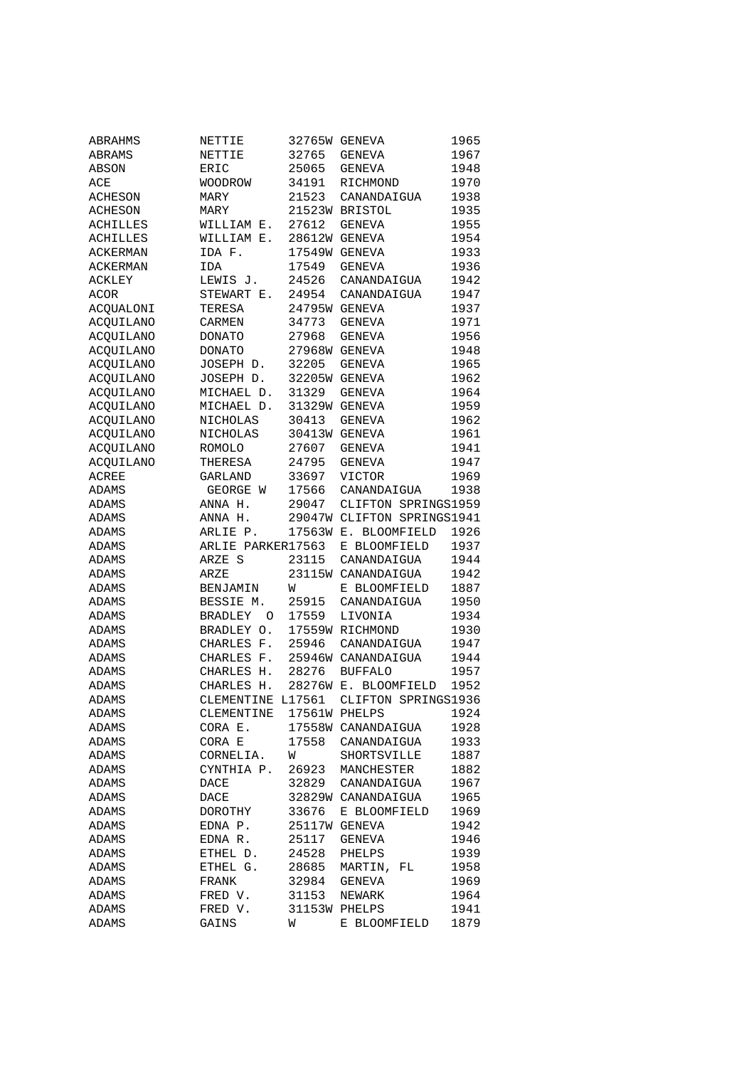| ABRAHMS          | NETTIE                   | 32765W GENEVA |                                       | 1965 |
|------------------|--------------------------|---------------|---------------------------------------|------|
| ABRAMS           | NETTIE                   | 32765         | <b>GENEVA</b>                         | 1967 |
| ABSON            | ERIC                     | 25065         | <b>GENEVA</b>                         | 1948 |
| ACE              | <b>WOODROW</b>           | 34191         | RICHMOND                              | 1970 |
| <b>ACHESON</b>   | MARY                     | 21523         | CANANDAIGUA                           | 1938 |
| <b>ACHESON</b>   | MARY                     |               | 21523W BRISTOL                        | 1935 |
| <b>ACHILLES</b>  | WILLIAM E.               | 27612         | <b>GENEVA</b>                         | 1955 |
| ACHILLES         | WILLIAM E.               | 28612W GENEVA |                                       | 1954 |
| <b>ACKERMAN</b>  | IDA F.                   | 17549W GENEVA |                                       | 1933 |
| ACKERMAN         | IDA                      | 17549         | <b>GENEVA</b>                         | 1936 |
| <b>ACKLEY</b>    | LEWIS J.                 | 24526         | CANANDAIGUA                           | 1942 |
| ACOR             | STEWART E.               | 24954         | CANANDAIGUA                           | 1947 |
| <b>ACQUALONI</b> | TERESA                   | 24795W GENEVA |                                       | 1937 |
| ACQUILANO        | CARMEN                   | 34773         | <b>GENEVA</b>                         | 1971 |
| ACQUILANO        | <b>DONATO</b>            | 27968         | <b>GENEVA</b>                         | 1956 |
| ACQUILANO        | <b>DONATO</b>            | 27968W GENEVA |                                       | 1948 |
| ACQUILANO        | JOSEPH D.                | 32205         | GENEVA                                | 1965 |
| <b>ACQUILANO</b> | JOSEPH D.                | 32205W GENEVA |                                       | 1962 |
| <b>ACOUILANO</b> | MICHAEL D.               | 31329         | <b>GENEVA</b>                         | 1964 |
| ACQUILANO        | MICHAEL D.               | 31329W GENEVA |                                       | 1959 |
| ACQUILANO        | NICHOLAS                 | 30413         | <b>GENEVA</b>                         | 1962 |
| ACQUILANO        | NICHOLAS                 | 30413W GENEVA |                                       | 1961 |
| <b>ACQUILANO</b> | <b>ROMOLO</b>            | 27607         | GENEVA                                | 1941 |
| ACQUILANO        | THERESA                  | 24795         | GENEVA                                | 1947 |
| ACREE            | GARLAND                  | 33697         | <b>VICTOR</b>                         | 1969 |
| ADAMS            | GEORGE W                 | 17566         | CANANDAIGUA                           | 1938 |
| ADAMS            | ANNA H.                  | 29047         | CLIFTON SPRINGS1959                   |      |
| ADAMS            | ANNA H.                  |               | 29047W CLIFTON SPRINGS1941            |      |
| ADAMS            | ARLIE P.                 | 17563W        | E. BLOOMFIELD                         | 1926 |
| ADAMS            | ARLIE PARKER17563        |               | E BLOOMFIELD                          | 1937 |
| ADAMS            | ARZE S                   | 23115         | CANANDAIGUA                           | 1944 |
| ADAMS            | ARZE                     |               | 23115W CANANDAIGUA                    | 1942 |
| ADAMS            | BENJAMIN                 | <b>M</b>      | E BLOOMFIELD                          | 1887 |
| ADAMS            | BESSIE M.                | 25915         | CANANDAIGUA                           | 1950 |
| ADAMS            | BRADLEY O                | 17559         | LIVONIA                               | 1934 |
| <b>ADAMS</b>     | BRADLEY O.               |               | 17559W RICHMOND                       | 1930 |
| ADAMS            | CHARLES F.               | 25946         | CANANDAIGUA                           | 1947 |
| ADAMS            | CHARLES F.               |               | 25946W CANANDAIGUA                    | 1944 |
| ADAMS            | CHARLES H.               | 28276         | <b>BUFFALO</b>                        | 1957 |
| ADAMS            | CHARLES H.               |               | 28276W E. BLOOMFIELD                  | 1952 |
| ADAMS            |                          |               | CLEMENTINE L17561 CLIFTON SPRINGS1936 |      |
| ADAMS            | CLEMENTINE 17561W PHELPS |               |                                       | 1924 |
| ADAMS            | CORA E.                  |               | 17558W CANANDAIGUA                    | 1928 |
| ADAMS            | CORA E                   | 17558         | CANANDAIGUA                           | 1933 |
| ADAMS            | CORNELIA.                | <b>W</b>      | SHORTSVILLE                           | 1887 |
| ADAMS            | CYNTHIA P.               | 26923         | MANCHESTER                            | 1882 |
| ADAMS            | DACE                     | 32829         | CANANDAIGUA                           | 1967 |
| ADAMS            | DACE                     |               | 32829W CANANDAIGUA                    | 1965 |
| ADAMS            | DOROTHY                  | 33676         | E BLOOMFIELD                          | 1969 |
| ADAMS            |                          | 25117W GENEVA |                                       | 1942 |
|                  | EDNA P.<br>EDNA R.       |               |                                       |      |
| ADAMS            |                          | 25117         | GENEVA                                | 1946 |
| ADAMS            | ETHEL D.                 | 24528         | PHELPS                                | 1939 |
| ADAMS            | ETHEL G.                 | 28685         | MARTIN, FL                            | 1958 |
| ADAMS            | FRANK                    | 32984         | GENEVA                                | 1969 |
| ADAMS            | FRED V.                  | 31153         | NEWARK                                | 1964 |
| ADAMS            | FRED V.                  |               | 31153W PHELPS                         | 1941 |
| ADAMS            | GAINS                    | <b>W</b>      | E BLOOMFIELD                          | 1879 |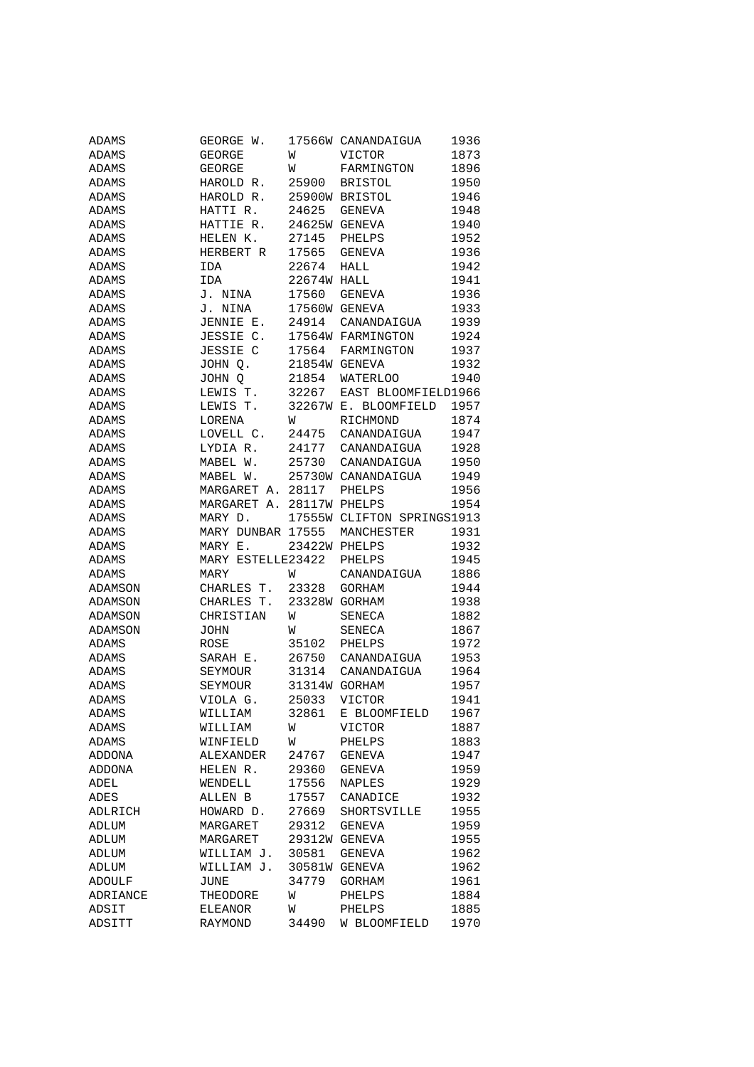| ADAMS        | GEORGE W.                    |               | 17566W CANANDAIGUA         | 1936 |
|--------------|------------------------------|---------------|----------------------------|------|
| ADAMS        | GEORGE                       | W             | <b>VICTOR</b>              | 1873 |
| <b>ADAMS</b> | <b>GEORGE</b>                | <b>M</b>      | FARMINGTON                 | 1896 |
| ADAMS        | HAROLD R.                    | 25900         | BRISTOL                    | 1950 |
| <b>ADAMS</b> | HAROLD R.                    |               | 25900W BRISTOL             | 1946 |
| ADAMS        | HATTI R.                     | 24625         | <b>GENEVA</b>              | 1948 |
| ADAMS        | HATTIE R.                    | 24625W GENEVA |                            | 1940 |
| <b>ADAMS</b> | HELEN K.                     | 27145         | PHELPS                     | 1952 |
| ADAMS        | HERBERT R                    |               | 17565 GENEVA               | 1936 |
| ADAMS        | IDA                          | 22674         | HALL                       | 1942 |
| ADAMS        | IDA                          | 22674W HALL   |                            | 1941 |
| ADAMS        | J. NINA                      | 17560         | GENEVA                     | 1936 |
| <b>ADAMS</b> | J. NINA                      |               | 17560W GENEVA              | 1933 |
| <b>ADAMS</b> | JENNIE E.                    |               | 24914 CANANDAIGUA          | 1939 |
|              |                              |               |                            |      |
| <b>ADAMS</b> | JESSIE C.                    |               | 17564W FARMINGTON          | 1924 |
| ADAMS        | JESSIE C                     | 17564         | FARMINGTON                 | 1937 |
| ADAMS        | JOHN Q.                      | 21854W GENEVA |                            | 1932 |
| <b>ADAMS</b> | JOHN Q                       |               | 21854 WATERLOO             | 1940 |
| ADAMS        | LEWIS T.                     |               | 32267 EAST BLOOMFIELD1966  |      |
| ADAMS        | LEWIS T.                     |               | 32267W E. BLOOMFIELD       | 1957 |
| <b>ADAMS</b> | LORENA                       | <b>W</b>      | RICHMOND                   | 1874 |
| ADAMS        | LOVELL C.                    |               | 24475 CANANDAIGUA          | 1947 |
| ADAMS        | LYDIA R.                     |               | 24177 CANANDAIGUA          | 1928 |
| ADAMS        | MABEL W.                     |               | 25730 CANANDAIGUA          | 1950 |
| ADAMS        | MABEL W.                     |               | 25730W CANANDAIGUA         | 1949 |
| ADAMS        | MARGARET A. 28117 PHELPS     |               |                            | 1956 |
| ADAMS        | MARGARET A. 28117W PHELPS    |               |                            | 1954 |
| <b>ADAMS</b> | MARY D.                      |               | 17555W CLIFTON SPRINGS1913 |      |
| ADAMS        | MARY DUNBAR 17555 MANCHESTER |               |                            | 1931 |
| <b>ADAMS</b> | MARY E.                      | 23422W PHELPS |                            | 1932 |
| ADAMS        | MARY ESTELLE23422            |               | PHELPS                     | 1945 |
| ADAMS        | MARY                         | <b>W</b>      | CANANDAIGUA                | 1886 |
| ADAMSON      | CHARLES T.                   | 23328         | GORHAM                     | 1944 |
| ADAMSON      | CHARLES T.                   |               | 23328W GORHAM              | 1938 |
| ADAMSON      | CHRISTIAN                    | M             | SENECA                     | 1882 |
| ADAMSON      | JOHN                         | W             | SENECA                     | 1867 |
| <b>ADAMS</b> | ROSE                         | 35102         | PHELPS                     | 1972 |
| <b>ADAMS</b> | SARAH E.                     | 26750         | CANANDAIGUA                | 1953 |
| <b>ADAMS</b> | SEYMOUR                      | 31314         | CANANDAIGUA                | 1964 |
| <b>ADAMS</b> | SEYMOUR                      | 31314W GORHAM |                            | 1957 |
| ADAMS        | VIOLA G.                     |               | 25033 VICTOR               | 1941 |
| ADAMS        | WILLIAM                      | 32861         | E BLOOMFIELD               | 1967 |
| ADAMS        | WILLIAM                      | W             | <b>VICTOR</b>              | 1887 |
| ADAMS        | WINFIELD                     | W             | PHELPS                     | 1883 |
| ADDONA       | ALEXANDER                    | 24767         | GENEVA                     | 1947 |
| ADDONA       | HELEN R.                     | 29360         | <b>GENEVA</b>              | 1959 |
| ADEL         | WENDELL                      | 17556         | NAPLES                     | 1929 |
| ADES         | ALLEN B                      | 17557         | CANADICE                   | 1932 |
| ADLRICH      | HOWARD D.                    | 27669         | SHORTSVILLE                | 1955 |
| ADLUM        | MARGARET                     | 29312         | GENEVA                     | 1959 |
| ADLUM        | MARGARET                     |               | 29312W GENEVA              | 1955 |
| ADLUM        | WILLIAM J.                   | 30581         | GENEVA                     | 1962 |
| ADLUM        | WILLIAM J.                   |               | 30581W GENEVA              | 1962 |
| ADOULF       | JUNE                         | 34779         | GORHAM                     | 1961 |
| ADRIANCE     | THEODORE                     | W             | PHELPS                     | 1884 |
| ADSIT        | ELEANOR                      | W             | PHELPS                     | 1885 |
| ADSITT       | <b>RAYMOND</b>               | 34490         | W BLOOMFIELD               | 1970 |
|              |                              |               |                            |      |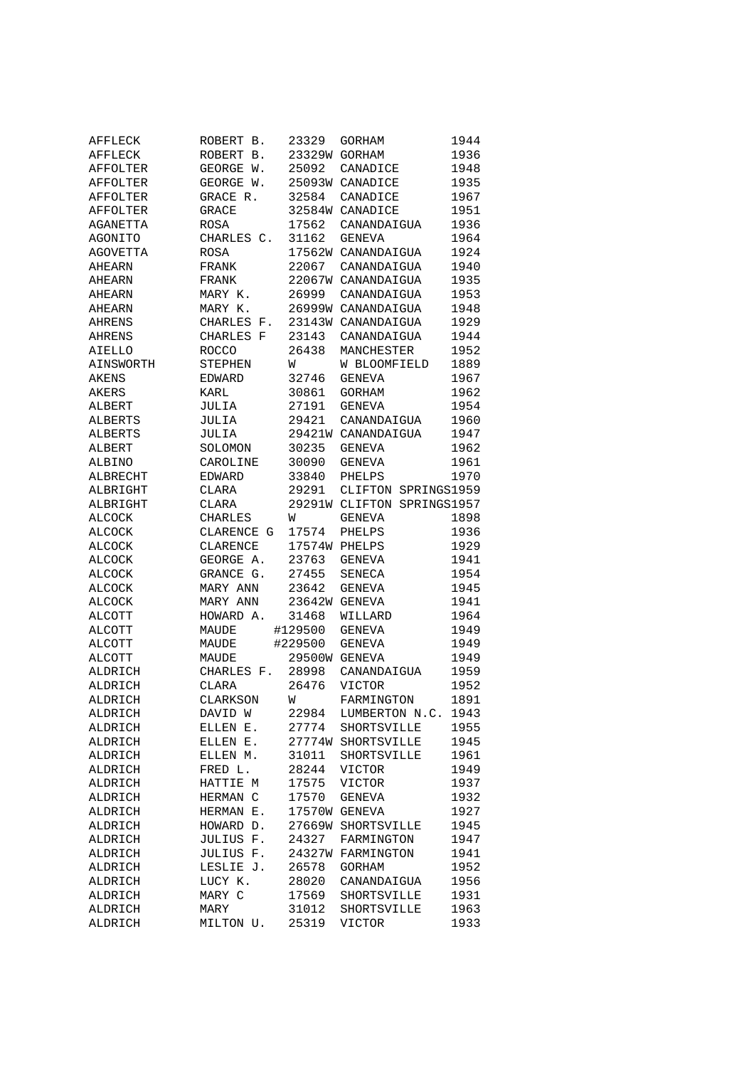| AFFLECK         | ROBERT B.      | 23329   | GORHAM                     | 1944 |
|-----------------|----------------|---------|----------------------------|------|
| <b>AFFLECK</b>  | ROBERT B.      | 23329W  | <b>GORHAM</b>              | 1936 |
| AFFOLTER        | GEORGE W.      | 25092   | CANADICE                   | 1948 |
| AFFOLTER        | GEORGE W.      | 25093W  | CANADICE                   | 1935 |
| AFFOLTER        | GRACE R.       | 32584   | CANADICE                   | 1967 |
| AFFOLTER        | GRACE          | 32584W  | CANADICE                   | 1951 |
| AGANETTA        | ROSA           | 17562   | CANANDAIGUA                | 1936 |
| <b>AGONITO</b>  | CHARLES C.     | 31162   | <b>GENEVA</b>              | 1964 |
| AGOVETTA        | ROSA           | 17562W  | CANANDAIGUA                | 1924 |
| AHEARN          | FRANK          | 22067   | CANANDAIGUA                | 1940 |
| AHEARN          | FRANK          | 22067W  | CANANDAIGUA                | 1935 |
| AHEARN          | MARY K.        | 26999   | CANANDAIGUA                | 1953 |
| AHEARN          | MARY K.        |         | 26999W CANANDAIGUA         | 1948 |
| AHRENS          | CHARLES F.     | 23143W  | CANANDAIGUA                | 1929 |
| AHRENS          | CHARLES<br>F   | 23143   | CANANDAIGUA                | 1944 |
| AIELLO          | <b>ROCCO</b>   | 26438   | MANCHESTER                 | 1952 |
| AINSWORTH       | STEPHEN        | W       | W BLOOMFIELD               | 1889 |
| AKENS           | EDWARD         | 32746   | <b>GENEVA</b>              | 1967 |
| AKERS           | KARL           | 30861   | GORHAM                     | 1962 |
| ALBERT          | JULIA          | 27191   | GENEVA                     | 1954 |
| ALBERTS         | JULIA          | 29421   | CANANDAIGUA                | 1960 |
| ALBERTS         | JULIA          | 29421W  | CANANDAIGUA                | 1947 |
| ALBERT          | SOLOMON        | 30235   | GENEVA                     | 1962 |
| ALBINO          | CAROLINE       | 30090   | GENEVA                     | 1961 |
| <b>ALBRECHT</b> | EDWARD         | 33840   | PHELPS                     | 1970 |
| ALBRIGHT        | CLARA          | 29291   | CLIFTON SPRINGS1959        |      |
| ALBRIGHT        | CLARA          |         | 29291W CLIFTON SPRINGS1957 |      |
| <b>ALCOCK</b>   | <b>CHARLES</b> | W       | <b>GENEVA</b>              | 1898 |
| <b>ALCOCK</b>   | CLARENCE G     | 17574   | PHELPS                     | 1936 |
| ALCOCK          | CLARENCE       | 17574W  | PHELPS                     | 1929 |
| <b>ALCOCK</b>   | GEORGE A.      | 23763   | <b>GENEVA</b>              | 1941 |
| <b>ALCOCK</b>   | GRANCE G.      | 27455   | SENECA                     | 1954 |
| <b>ALCOCK</b>   | MARY ANN       | 23642   | <b>GENEVA</b>              | 1945 |
| <b>ALCOCK</b>   | MARY ANN       | 23642W  | <b>GENEVA</b>              | 1941 |
| <b>ALCOTT</b>   | HOWARD A.      | 31468   | WILLARD                    | 1964 |
| <b>ALCOTT</b>   | MAUDE          | #129500 | <b>GENEVA</b>              | 1949 |
| <b>ALCOTT</b>   | MAUDE          | #229500 | <b>GENEVA</b>              | 1949 |
| <b>ALCOTT</b>   | MAUDE          | 29500W  | GENEVA                     | 1949 |
| ALDRICH         | CHARLES F.     | 28998   | CANANDAIGUA                | 1959 |
| ALDRICH         | CLARA          | 26476   | <b>VICTOR</b>              | 1952 |
| ALDRICH         | CLARKSON       | W       | FARMINGTON                 | 1891 |
| ALDRICH         | DAVID W        | 22984   | LUMBERTON N.C.             | 1943 |
| ALDRICH         | ELLEN E.       | 27774   | SHORTSVILLE                | 1955 |
| ALDRICH         | ELLEN E.       |         | 27774W SHORTSVILLE         | 1945 |
| ALDRICH         | ELLEN M.       | 31011   | SHORTSVILLE                | 1961 |
| ALDRICH         | FRED L.        | 28244   | VICTOR                     | 1949 |
| ALDRICH         | HATTIE M       | 17575   | VICTOR                     | 1937 |
| ALDRICH         | HERMAN C       | 17570   | GENEVA                     | 1932 |
| ALDRICH         | HERMAN E.      |         | 17570W GENEVA              | 1927 |
| ALDRICH         | HOWARD D.      | 27669W  | SHORTSVILLE                | 1945 |
| ALDRICH         | JULIUS F.      | 24327   | FARMINGTON                 | 1947 |
| ALDRICH         | JULIUS F.      | 24327W  | FARMINGTON                 | 1941 |
| ALDRICH         | LESLIE J.      | 26578   | GORHAM                     | 1952 |
| ALDRICH         | LUCY K.        | 28020   | CANANDAIGUA                | 1956 |
| ALDRICH         | MARY C         | 17569   | SHORTSVILLE                | 1931 |
| ALDRICH         | MARY           | 31012   | SHORTSVILLE                | 1963 |
| ALDRICH         | MILTON U.      | 25319   | VICTOR                     | 1933 |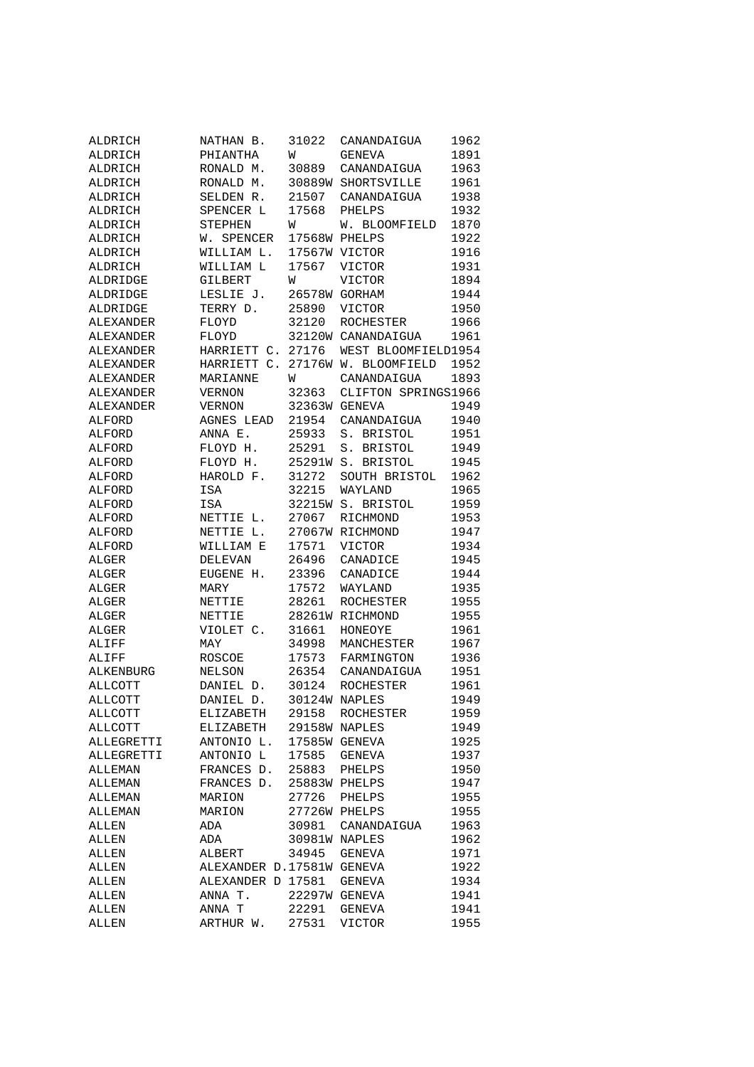| ALDRICH         | NATHAN B.                 | 31022         | CANANDAIGUA          | 1962 |
|-----------------|---------------------------|---------------|----------------------|------|
| ALDRICH         | PHIANTHA                  | W             | <b>GENEVA</b>        | 1891 |
| ALDRICH         | RONALD M.                 | 30889         | CANANDAIGUA          | 1963 |
| ALDRICH         | RONALD M.                 | 30889W        | SHORTSVILLE          | 1961 |
| ALDRICH         | SELDEN R.                 | 21507         | CANANDAIGUA          | 1938 |
| ALDRICH         | SPENCER L                 | 17568         | PHELPS               | 1932 |
| ALDRICH         | STEPHEN                   | W             | W. BLOOMFIELD        | 1870 |
| ALDRICH         | W.<br>SPENCER             | 17568W PHELPS |                      | 1922 |
| ALDRICH         | WILLIAM L.                |               | 17567W VICTOR        | 1916 |
| ALDRICH         | WILLIAM L                 | 17567         | VICTOR               | 1931 |
| ALDRIDGE        | GILBERT                   | W             | <b>VICTOR</b>        | 1894 |
| ALDRIDGE        | LESLIE J.                 | 26578W        | GORHAM               | 1944 |
| <b>ALDRIDGE</b> | TERRY D.                  | 25890         | VICTOR               | 1950 |
| ALEXANDER       | FLOYD                     | 32120         | ROCHESTER            | 1966 |
| ALEXANDER       | FLOYD                     |               | 32120W CANANDAIGUA   | 1961 |
| ALEXANDER       | HARRIETT C. 27176         |               | WEST BLOOMFIELD1954  |      |
| ALEXANDER       | HARRIETT C.               | 27176W W.     | <b>BLOOMFIELD</b>    | 1952 |
| ALEXANDER       | MARIANNE                  | W             | CANANDAIGUA          | 1893 |
| ALEXANDER       | VERNON                    | 32363         | CLIFTON SPRINGS1966  |      |
| ALEXANDER       | <b>VERNON</b>             |               | 32363W GENEVA        | 1949 |
| ALFORD          | AGNES LEAD                | 21954         | CANANDAIGUA          | 1940 |
| ALFORD          | ANNA E.                   | 25933         | S. BRISTOL           | 1951 |
| ALFORD          | FLOYD H.                  | 25291         | S.<br><b>BRISTOL</b> | 1949 |
| ALFORD          | FLOYD H.                  | 25291W        | S.<br><b>BRISTOL</b> | 1945 |
|                 |                           |               | SOUTH BRISTOL        | 1962 |
| ALFORD          | HAROLD F.                 | 31272         |                      | 1965 |
| ALFORD          | ISA                       | 32215         | WAYLAND              |      |
| ALFORD          | ISA                       |               | 32215W S. BRISTOL    | 1959 |
| ALFORD          | NETTIE L.                 | 27067         | RICHMOND             | 1953 |
| ALFORD          | NETTIE L.                 | 27067W        | RICHMOND             | 1947 |
| ALFORD          | WILLIAM E                 | 17571         | <b>VICTOR</b>        | 1934 |
| ALGER           | DELEVAN                   | 26496         | CANADICE             | 1945 |
| ALGER           | EUGENE H.                 | 23396         | CANADICE             | 1944 |
| ALGER           | MARY                      | 17572         | WAYLAND              | 1935 |
| <b>ALGER</b>    | NETTIE                    | 28261         | ROCHESTER            | 1955 |
| ALGER           | NETTIE                    | 28261W        | RICHMOND             | 1955 |
| ALGER           | VIOLET C.                 | 31661         | HONEOYE              | 1961 |
| ALIFF           | MAY                       | 34998         | MANCHESTER           | 1967 |
| ALIFF           | ROSCOE                    | 17573         | FARMINGTON           | 1936 |
| ALKENBURG       | NELSON                    | 26354         | CANANDAIGUA          | 1951 |
| <b>ALLCOTT</b>  | DANIEL D.                 | 30124         | ROCHESTER            | 1961 |
| <b>ALLCOTT</b>  | DANIEL D.                 |               | 30124W NAPLES        | 1949 |
| ALLCOTT         | ELIZABETH                 |               | 29158 ROCHESTER      | 1959 |
| ALLCOTT         | ELIZABETH                 | 29158W NAPLES |                      | 1949 |
| ALLEGRETTI      | ANTONIO L.                | 17585W GENEVA |                      | 1925 |
| ALLEGRETTI      | ANTONIO L                 | 17585         | GENEVA               | 1937 |
| ALLEMAN         | FRANCES D.                | 25883         | PHELPS               | 1950 |
| ALLEMAN         | FRANCES D.                | 25883W PHELPS |                      | 1947 |
| ALLEMAN         | MARION                    | 27726         | PHELPS               | 1955 |
| ALLEMAN         | MARION                    |               | 27726W PHELPS        | 1955 |
| ALLEN           | ADA                       |               | 30981 CANANDAIGUA    | 1963 |
| ALLEN           | ADA                       | 30981W NAPLES |                      | 1962 |
| ALLEN           | ALBERT                    | 34945         | GENEVA               | 1971 |
| ALLEN           | ALEXANDER D.17581W GENEVA |               |                      | 1922 |
| ALLEN           | ALEXANDER D 17581         |               | GENEVA               | 1934 |
| ALLEN           | ANNA T.                   |               | 22297W GENEVA        | 1941 |
| ALLEN           | ANNA T                    | 22291         | GENEVA               | 1941 |
| <b>ALLEN</b>    | ARTHUR W.                 | 27531         | VICTOR               | 1955 |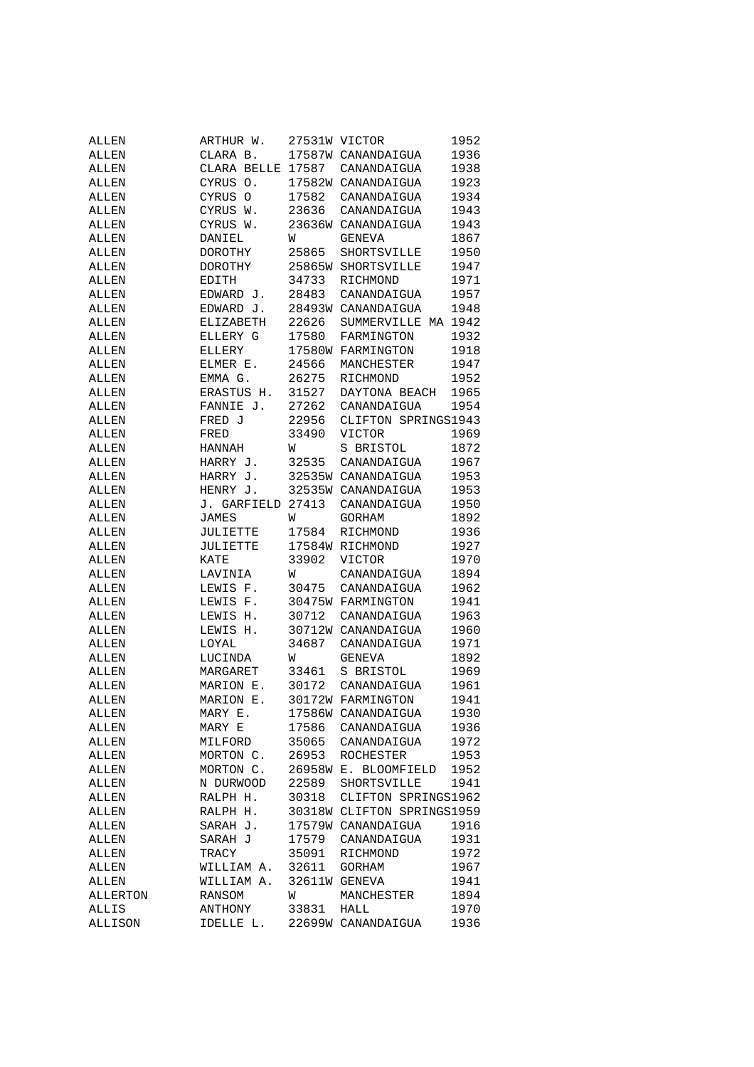| ALLEN        | ARTHUR W.                |            | 27531W VICTOR                       | 1952 |
|--------------|--------------------------|------------|-------------------------------------|------|
| ALLEN        | CLARA B.                 |            | 17587W CANANDAIGUA                  | 1936 |
| <b>ALLEN</b> | CLARA BELLE 17587        |            | CANANDAIGUA                         | 1938 |
| ALLEN        | CYRUS O.                 |            | 17582W CANANDAIGUA                  | 1923 |
| ALLEN        | CYRUS O                  | 17582      | CANANDAIGUA                         | 1934 |
| ALLEN        | CYRUS W.                 | 23636      | CANANDAIGUA                         | 1943 |
| ALLEN        | CYRUS W.                 |            | 23636W CANANDAIGUA                  | 1943 |
| ALLEN        | DANIEL                   | W          | GENEVA                              | 1867 |
| ALLEN        | DOROTHY                  | 25865      | SHORTSVILLE                         | 1950 |
| ALLEN        | DOROTHY                  |            | 25865W SHORTSVILLE                  | 1947 |
| ALLEN        | EDITH                    | 34733      | RICHMOND                            | 1971 |
| ALLEN        | EDWARD J.                | 28483      | CANANDAIGUA                         | 1957 |
| ALLEN        | EDWARD J.                |            | 28493W CANANDAIGUA                  | 1948 |
| ALLEN        | ELIZABETH                | 22626      | SUMMERVILLE MA 1942                 |      |
| ALLEN        | ELLERY G                 | 17580      | FARMINGTON                          | 1932 |
| ALLEN        | ELLERY                   |            | 17580W FARMINGTON                   | 1918 |
| ALLEN        | ELMER E.                 | 24566      | MANCHESTER                          | 1947 |
| ALLEN        | EMMA G.                  | 26275      | RICHMOND                            | 1952 |
| ALLEN        | ERASTUS H.               | 31527      | DAYTONA BEACH                       | 1965 |
| ALLEN        | FANNIE J.                | 27262      | CANANDAIGUA                         | 1954 |
| ALLEN        | FRED J                   | 22956      | CLIFTON SPRINGS1943                 |      |
| ALLEN        | FRED                     | 33490      | <b>VICTOR</b>                       | 1969 |
| ALLEN        | <b>HANNAH</b>            | W          | S BRISTOL                           | 1872 |
| ALLEN        | HARRY J.                 | 32535      | CANANDAIGUA                         | 1967 |
| ALLEN        | HARRY J.                 |            | 32535W CANANDAIGUA                  | 1953 |
| ALLEN        | HENRY J.                 |            | 32535W CANANDAIGUA                  | 1953 |
| ALLEN        | J. GARFIELD 27413        |            | CANANDAIGUA                         | 1950 |
| ALLEN        | <b>JAMES</b>             | M          | GORHAM                              | 1892 |
| ALLEN        | JULIETTE                 | 17584      | RICHMOND                            | 1936 |
| ALLEN        | JULIETTE                 | 17584W     | RICHMOND                            | 1927 |
| ALLEN        | <b>KATE</b>              | 33902      | VICTOR                              | 1970 |
| ALLEN        | LAVINIA                  | <b>W</b>   | CANANDAIGUA                         | 1894 |
| ALLEN        | LEWIS F.                 | 30475      | CANANDAIGUA                         | 1962 |
| ALLEN        | LEWIS F.                 |            | 30475W FARMINGTON                   | 1941 |
| ALLEN        | LEWIS H.                 | 30712      | CANANDAIGUA                         | 1963 |
| ALLEN        | LEWIS H.                 |            | 30712W CANANDAIGUA                  | 1960 |
| ALLEN        | LOYAL                    | 34687      | CANANDAIGUA                         | 1971 |
| ALLEN        | LUCINDA                  | W          | <b>GENEVA</b>                       | 1892 |
| ALLEN        | MARGARET                 | 33461      | S BRISTOL                           | 1969 |
| <b>ALLEN</b> | MARION E.                | 30172      | CANANDAIGUA                         | 1961 |
| ALLEN        | MARION E.                |            | 30172W FARMINGTON                   | 1941 |
| ALLEN        | MARY E.                  |            | 17586W CANANDAIGUA                  | 1930 |
| ALLEN        | MARY E                   |            | 17586 CANANDAIGUA                   | 1936 |
| ALLEN        | MILFORD                  |            | 35065 CANANDAIGUA                   | 1972 |
| ALLEN        | MORTON C.                | 26953      | ROCHESTER                           | 1953 |
| ALLEN        | MORTON C.                |            | 26958W E. BLOOMFIELD 1952           |      |
| ALLEN        | N DURWOOD                | 22589      | SHORTSVILLE                         | 1941 |
| ALLEN        | RALPH H.                 |            | 30318 CLIFTON SPRINGS1962           |      |
| ALLEN        | RALPH H.                 |            | 30318W CLIFTON SPRINGS1959          |      |
| ALLEN        | SARAH J.                 |            | 17579W CANANDAIGUA                  | 1916 |
| ALLEN        | SARAH J                  |            | 17579 CANANDAIGUA<br>35091 RICHMOND | 1931 |
| ALLEN        | TRACY                    |            |                                     | 1972 |
| ALLEN        | WILLIAM A. 32611 GORHAM  |            |                                     | 1967 |
| ALLEN        | WILLIAM A. 32611W GENEVA |            |                                     | 1941 |
| ALLERTON     | RANSOM                   | W          | MANCHESTER                          | 1894 |
| ALLIS        | ANTHONY                  | 33831 HALL |                                     | 1970 |
| ALLISON      | IDELLE L.                |            | 22699W CANANDAIGUA                  | 1936 |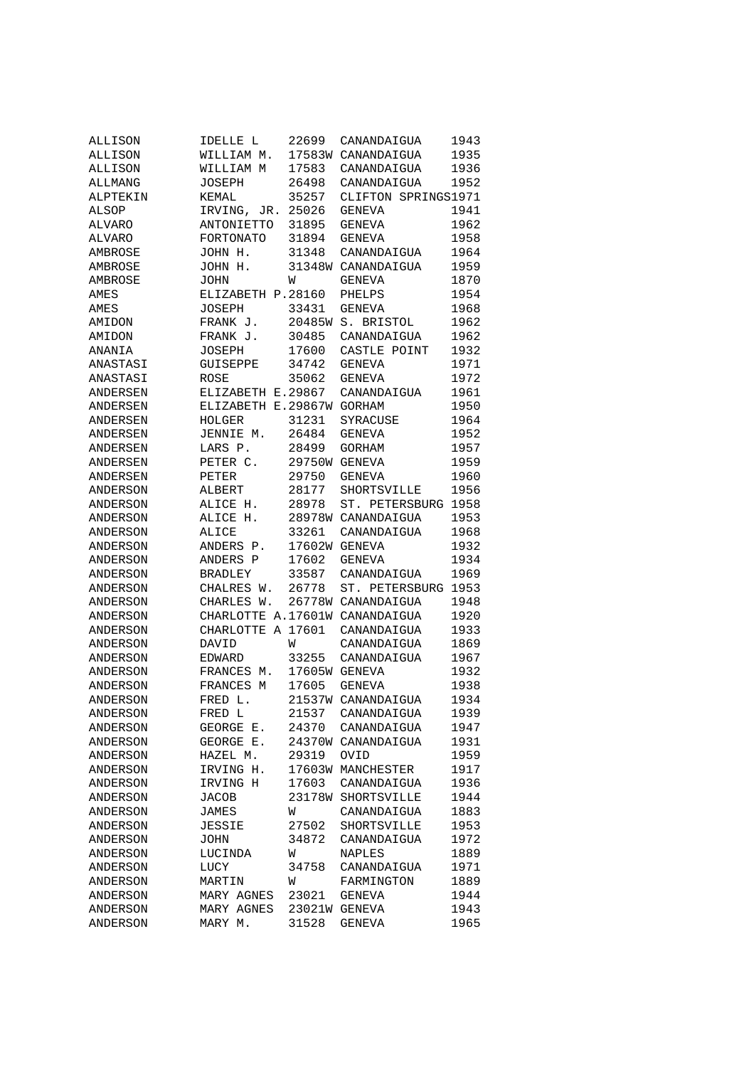| ALLISON         | IDELLE L                       | 22699         | CANANDAIGUA         | 1943 |
|-----------------|--------------------------------|---------------|---------------------|------|
| ALLISON         | WILLIAM M.                     |               | 17583W CANANDAIGUA  | 1935 |
| ALLISON         | WILLIAM M                      | 17583         | CANANDAIGUA         | 1936 |
| ALLMANG         | JOSEPH                         | 26498         | CANANDAIGUA         | 1952 |
| ALPTEKIN        | KEMAL                          | 35257         | CLIFTON SPRINGS1971 |      |
| <b>ALSOP</b>    | IRVING, JR.                    | 25026         | GENEVA              | 1941 |
| <b>ALVARO</b>   | ANTONIETTO                     | 31895         | GENEVA              | 1962 |
| <b>ALVARO</b>   | FORTONATO                      | 31894         | <b>GENEVA</b>       | 1958 |
| AMBROSE         | JOHN H.                        | 31348         | CANANDAIGUA         | 1964 |
| AMBROSE         | JOHN H.                        |               | 31348W CANANDAIGUA  | 1959 |
| AMBROSE         | JOHN                           | W             | GENEVA              | 1870 |
| AMES            | ELIZABETH P.28160              |               | PHELPS              | 1954 |
| AMES            | JOSEPH                         | 33431         | GENEVA              | 1968 |
| AMIDON          | FRANK J.                       |               | 20485W S. BRISTOL   | 1962 |
| AMIDON          | FRANK J.                       | 30485         | CANANDAIGUA         | 1962 |
| ANANIA          | JOSEPH                         | 17600         | CASTLE POINT        | 1932 |
| ANASTASI        | GUISEPPE                       | 34742         | GENEVA              | 1971 |
| ANASTASI        | ROSE                           | 35062         | GENEVA              | 1972 |
| ANDERSEN        | ELIZABETH E.29867              |               | CANANDAIGUA         | 1961 |
| ANDERSEN        | ELIZABETH E.29867W GORHAM      |               |                     | 1950 |
| ANDERSEN        | HOLGER                         | 31231         | SYRACUSE            | 1964 |
| ANDERSEN        | JENNIE M.                      | 26484         | GENEVA              | 1952 |
| ANDERSEN        | LARS P.                        | 28499         | GORHAM              | 1957 |
| ANDERSEN        | PETER C.                       | 29750W GENEVA |                     | 1959 |
| ANDERSEN        | PETER                          | 29750         | <b>GENEVA</b>       | 1960 |
| ANDERSON        | <b>ALBERT</b>                  | 28177         | SHORTSVILLE         | 1956 |
| ANDERSON        | ALICE H.                       | 28978         | ST. PETERSBURG 1958 |      |
| ANDERSON        | ALICE H.                       |               | 28978W CANANDAIGUA  | 1953 |
| ANDERSON        | ALICE                          | 33261         | CANANDAIGUA         | 1968 |
| ANDERSON        | ANDERS P.                      | 17602W GENEVA |                     | 1932 |
| ANDERSON        | ANDERS P                       | 17602         | GENEVA              | 1934 |
| ANDERSON        | <b>BRADLEY</b>                 | 33587         | CANANDAIGUA         | 1969 |
| ANDERSON        | CHALRES W.                     | 26778         | ST. PETERSBURG 1953 |      |
| ANDERSON        | CHARLES W.                     |               | 26778W CANANDAIGUA  | 1948 |
| ANDERSON        | CHARLOTTE A.17601W CANANDAIGUA |               |                     | 1920 |
| ANDERSON        | CHARLOTTE A 17601              |               | CANANDAIGUA         | 1933 |
| ANDERSON        | DAVID                          | W             | CANANDAIGUA         | 1869 |
| ANDERSON        | EDWARD                         | 33255         | CANANDAIGUA         | 1967 |
| ANDERSON        | FRANCES M.                     | 17605W GENEVA |                     | 1932 |
| <b>ANDERSON</b> | FRANCES M                      | 17605         | GENEVA              | 1938 |
| ANDERSON        | FRED L.                        |               | 21537W CANANDAIGUA  | 1934 |
| ANDERSON        | FRED L                         | 21537         | CANANDAIGUA         | 1939 |
| ANDERSON        | GEORGE E.                      | 24370         | CANANDAIGUA         | 1947 |
| ANDERSON        | GEORGE E.                      |               | 24370W CANANDAIGUA  | 1931 |
| ANDERSON        | HAZEL M.                       | 29319         | OVID                | 1959 |
| ANDERSON        | IRVING H.                      |               | 17603W MANCHESTER   | 1917 |
| ANDERSON        | IRVING H                       | 17603         | CANANDAIGUA         | 1936 |
| ANDERSON        | JACOB                          | 23178W        | SHORTSVILLE         | 1944 |
| ANDERSON        | JAMES                          | W             | CANANDAIGUA         | 1883 |
| ANDERSON        | JESSIE                         | 27502         | SHORTSVILLE         | 1953 |
| ANDERSON        | JOHN                           | 34872         | CANANDAIGUA         | 1972 |
| ANDERSON        | LUCINDA                        | W             | NAPLES              | 1889 |
| ANDERSON        | LUCY                           | 34758         | CANANDAIGUA         | 1971 |
| ANDERSON        | MARTIN                         | W             | FARMINGTON          | 1889 |
| ANDERSON        | MARY AGNES                     | 23021         | GENEVA              | 1944 |
| ANDERSON        | MARY AGNES                     | 23021W GENEVA |                     | 1943 |
| ANDERSON        | MARY M.                        | 31528         | GENEVA              | 1965 |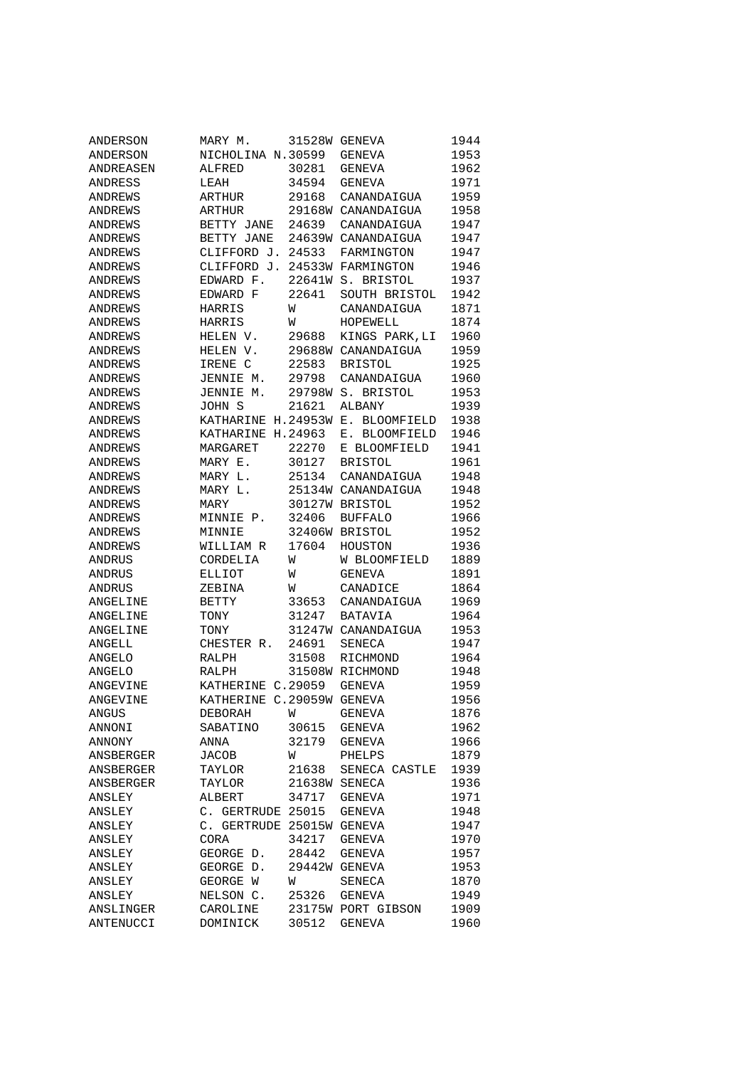| ANDERSON       | MARY M.                   | 31528W | GENEVA             | 1944 |
|----------------|---------------------------|--------|--------------------|------|
| ANDERSON       | NICHOLINA N.30599         |        | GENEVA             | 1953 |
| ANDREASEN      | ALFRED                    | 30281  | GENEVA             | 1962 |
| ANDRESS        | LEAH                      | 34594  | GENEVA             | 1971 |
| ANDREWS        | ARTHUR                    | 29168  | CANANDAIGUA        | 1959 |
| ANDREWS        | ARTHUR                    |        | 29168W CANANDAIGUA | 1958 |
| ANDREWS        | BETTY JANE                | 24639  | CANANDAIGUA        | 1947 |
| ANDREWS        | BETTY JANE                |        | 24639W CANANDAIGUA | 1947 |
| ANDREWS        | CLIFFORD J.               | 24533  | FARMINGTON         | 1947 |
| ANDREWS        | CLIFFORD J.               | 24533W | FARMINGTON         | 1946 |
| ANDREWS        | EDWARD F.                 | 22641W | S. BRISTOL         | 1937 |
| ANDREWS        | EDWARD F                  | 22641  | SOUTH BRISTOL      | 1942 |
| <b>ANDREWS</b> | HARRIS                    | W      | CANANDAIGUA        | 1871 |
| ANDREWS        | HARRIS                    | W      | HOPEWELL           | 1874 |
| ANDREWS        | HELEN V.                  | 29688  | KINGS PARK, LI     | 1960 |
| ANDREWS        | HELEN V.                  | 29688W | CANANDAIGUA        | 1959 |
| ANDREWS        | IRENE C                   | 22583  | <b>BRISTOL</b>     | 1925 |
| ANDREWS        | JENNIE M.                 | 29798  | CANANDAIGUA        | 1960 |
| <b>ANDREWS</b> | JENNIE M.                 | 29798W | S. BRISTOL         | 1953 |
| ANDREWS        | JOHN S                    | 21621  | <b>ALBANY</b>      | 1939 |
| <b>ANDREWS</b> | KATHARINE H.24953W        |        | E. BLOOMFIELD      | 1938 |
| ANDREWS        | KATHARINE H.24963         |        | Ε.<br>BLOOMFIELD   | 1946 |
| ANDREWS        | MARGARET                  | 22270  | E BLOOMFIELD       | 1941 |
| ANDREWS        | MARY E.                   | 30127  | <b>BRISTOL</b>     | 1961 |
| <b>ANDREWS</b> | MARY L.                   | 25134  | CANANDAIGUA        | 1948 |
| <b>ANDREWS</b> | MARY L.                   |        | 25134W CANANDAIGUA | 1948 |
| ANDREWS        | MARY                      | 30127W | <b>BRISTOL</b>     | 1952 |
| ANDREWS        | MINNIE P.                 | 32406  | <b>BUFFALO</b>     | 1966 |
| ANDREWS        | MINNIE                    | 32406W | <b>BRISTOL</b>     | 1952 |
| ANDREWS        | WILLIAM R                 | 17604  | HOUSTON            | 1936 |
| <b>ANDRUS</b>  | CORDELIA                  | W      | W BLOOMFIELD       | 1889 |
| ANDRUS         | ELLIOT                    | W      | GENEVA             | 1891 |
| <b>ANDRUS</b>  | ZEBINA                    | W      | CANADICE           | 1864 |
| ANGELINE       | BETTY                     | 33653  | CANANDAIGUA        | 1969 |
| ANGELINE       | TONY                      | 31247  | BATAVIA            | 1964 |
| ANGELINE       | TONY                      | 31247W | CANANDAIGUA        | 1953 |
| ANGELL         | CHESTER R.                | 24691  | <b>SENECA</b>      | 1947 |
| ANGELO         | RALPH                     | 31508  | RICHMOND           | 1964 |
| <b>ANGELO</b>  | RALPH                     | 31508W | RICHMOND           | 1948 |
| ANGEVINE       | KATHERINE C.29059         |        | GENEVA             | 1959 |
| ANGEVINE       | KATHERINE C.29059W GENEVA |        |                    | 1956 |
| ANGUS          | DEBORAH                   | W      | GENEVA             | 1876 |
| ANNONI         | SABATINO                  | 30615  | GENEVA             | 1962 |
| ANNONY         | ANNA                      | 32179  | <b>GENEVA</b>      | 1966 |
| ANSBERGER      | <b>JACOB</b>              | W      | PHELPS             | 1879 |
| ANSBERGER      | TAYLOR                    | 21638  | SENECA CASTLE      | 1939 |
| ANSBERGER      | TAYLOR                    | 21638W | SENECA             | 1936 |
| ANSLEY         | ALBERT                    | 34717  | GENEVA             | 1971 |
| ANSLEY         | C. GERTRUDE 25015         |        | <b>GENEVA</b>      | 1948 |
| ANSLEY         | C. GERTRUDE 25015W        |        | GENEVA             | 1947 |
| ANSLEY         | CORA                      | 34217  | GENEVA             | 1970 |
| ANSLEY         | GEORGE D.                 | 28442  | GENEVA             | 1957 |
| ANSLEY         | GEORGE D.                 | 29442W | <b>GENEVA</b>      | 1953 |
| ANSLEY         | GEORGE W                  | W      | SENECA             | 1870 |
| ANSLEY         | NELSON C.                 | 25326  | GENEVA             | 1949 |
| ANSLINGER      | CAROLINE                  |        | 23175W PORT GIBSON | 1909 |
| ANTENUCCI      | DOMINICK                  | 30512  | <b>GENEVA</b>      | 1960 |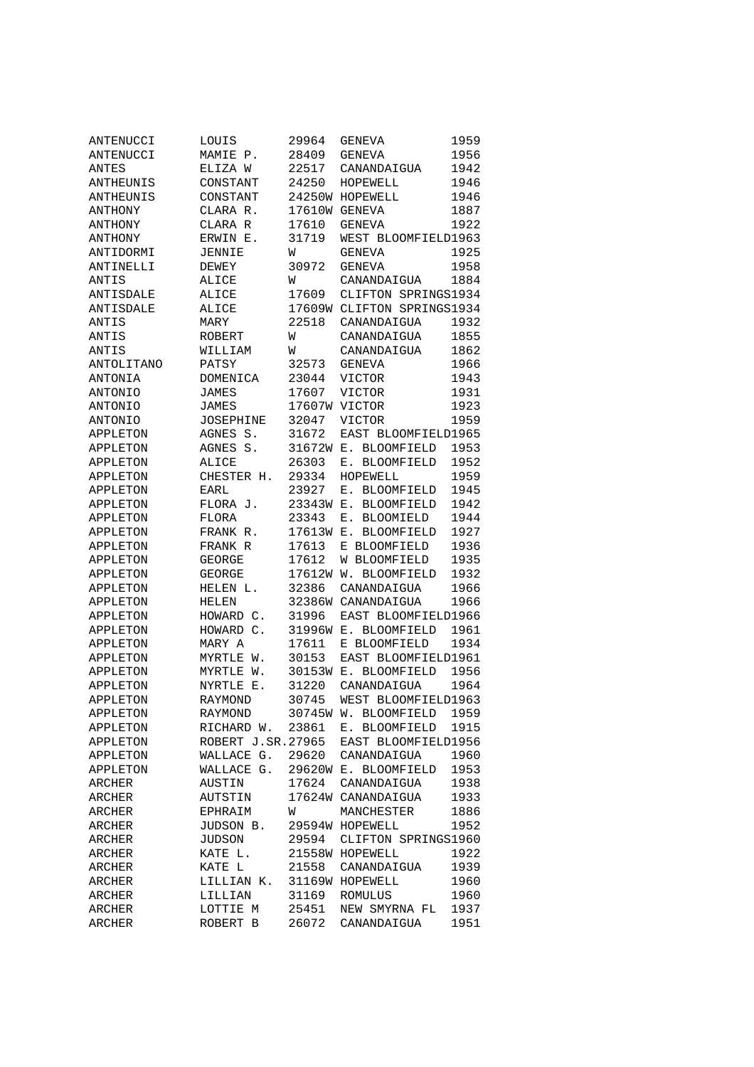| ANTENUCCI        | LOUIS                      | 29964         | GENEVA                                | 1959 |
|------------------|----------------------------|---------------|---------------------------------------|------|
| ANTENUCCI        | MAMIE P.                   | 28409         | <b>GENEVA</b>                         | 1956 |
| ANTES            | ELIZA W                    | 22517         | CANANDAIGUA                           | 1942 |
| ANTHEUNIS        | CONSTANT                   | 24250         | HOPEWELL                              | 1946 |
| <b>ANTHEUNIS</b> | CONSTANT                   | 24250W        | HOPEWELL                              | 1946 |
| ANTHONY          | CLARA R.                   | 17610W        | <b>GENEVA</b>                         | 1887 |
| ANTHONY          | CLARA R                    | 17610         | <b>GENEVA</b>                         | 1922 |
| ANTHONY          | ERWIN E.                   | 31719         | WEST BLOOMFIELD1963                   |      |
| ANTIDORMI        | JENNIE                     | W             | GENEVA                                | 1925 |
| ANTINELLI        | <b>DEWEY</b>               | 30972         | GENEVA                                | 1958 |
| ANTIS            | ALICE                      | W             | CANANDAIGUA                           | 1884 |
| ANTISDALE        | ALICE                      | 17609         | CLIFTON SPRINGS1934                   |      |
| ANTISDALE        | ALICE                      |               | 17609W CLIFTON SPRINGS1934            |      |
| ANTIS            | MARY                       | 22518         | CANANDAIGUA                           | 1932 |
| ANTIS            | <b>ROBERT</b>              | W             | CANANDAIGUA                           | 1855 |
| ANTIS            | WILLIAM                    | W             | CANANDAIGUA                           | 1862 |
| ANTOLITANO       | PATSY                      | 32573         | GENEVA                                | 1966 |
| ANTONIA          | DOMENICA                   | 23044         | VICTOR                                | 1943 |
| <b>ANTONIO</b>   | JAMES                      | 17607         | <b>VICTOR</b>                         | 1931 |
| <b>ANTONIO</b>   | JAMES                      | 17607W VICTOR |                                       | 1923 |
| <b>ANTONIO</b>   | JOSEPHINE                  | 32047         | <b>VICTOR</b>                         | 1959 |
| APPLETON         | AGNES S.                   | 31672         | EAST BLOOMFIELD1965                   |      |
| APPLETON         | AGNES S.                   | 31672W        | Ε.<br><b>BLOOMFIELD</b>               | 1953 |
| APPLETON         | ALICE                      | 26303         | Ε.<br><b>BLOOMFIELD</b>               | 1952 |
| APPLETON         | CHESTER H.                 | 29334         | HOPEWELL                              | 1959 |
| APPLETON         | <b>EARL</b>                | 23927         | Ε.<br><b>BLOOMFIELD</b>               | 1945 |
| APPLETON         | FLORA J.                   | 23343W E.     | <b>BLOOMFIELD</b>                     | 1942 |
| APPLETON         | FLORA                      | 23343         | <b>BLOOMIELD</b><br>Ε.                | 1944 |
| APPLETON         | FRANK R.                   | 17613W        | Ε.<br><b>BLOOMFIELD</b>               | 1927 |
| APPLETON         | FRANK R                    | 17613         | E<br>BLOOMFIELD                       | 1936 |
| APPLETON         | GEORGE                     | 17612         | W<br><b>BLOOMFIELD</b>                | 1935 |
| APPLETON         | GEORGE                     | 17612W        | W.<br><b>BLOOMFIELD</b>               | 1932 |
| APPLETON         | HELEN L.                   | 32386         | CANANDAIGUA                           | 1966 |
| APPLETON         | HELEN                      | 32386W        | CANANDAIGUA                           | 1966 |
| APPLETON         | HOWARD C.                  | 31996         | EAST BLOOMFIELD1966                   |      |
| APPLETON         | HOWARD C.                  | 31996W        | <b>BLOOMFIELD</b><br>Ε.               | 1961 |
| APPLETON         | MARY A                     | 17611         | E BLOOMFIELD                          | 1934 |
| APPLETON         | MYRTLE W.                  | 30153         | EAST BLOOMFIELD1961                   |      |
| APPLETON         | MYRTLE W.                  | 30153W        | E. BLOOMFIELD                         | 1956 |
| APPLETON         | NYRTLE E.                  | 31220         | CANANDAIGUA                           | 1964 |
| APPLETON         | <b>RAYMOND</b>             | 30745         | WEST BLOOMFIELD1963                   |      |
| APPLETON         | RAYMOND                    |               | 30745W W. BLOOMFIELD 1959             |      |
| APPLETON         |                            |               | RICHARD W. 23861 E. BLOOMFIELD 1915   |      |
| APPLETON         |                            |               | ROBERT J.SR.27965 EAST BLOOMFIELD1956 |      |
| APPLETON         |                            |               | WALLACE G. 29620 CANANDAIGUA          | 1960 |
| APPLETON         | WALLACE G.                 |               | 29620W E. BLOOMFIELD                  | 1953 |
| ARCHER           | AUSTIN                     |               | 17624 CANANDAIGUA                     | 1938 |
| ARCHER           | AUTSTIN                    |               | 17624W CANANDAIGUA                    | 1933 |
| ARCHER           | EPHRAIM                    | <b>M</b>      | MANCHESTER                            | 1886 |
| ARCHER           | JUDSON B.                  |               | 29594W HOPEWELL                       | 1952 |
| ARCHER           | JUDSON                     |               | 29594 CLIFTON SPRINGS1960             |      |
| ARCHER           | KATE L.                    |               | 21558W HOPEWELL                       | 1922 |
| ARCHER           | KATE L                     |               | 21558 CANANDAIGUA                     | 1939 |
| ARCHER           | LILLIAN K. 31169W HOPEWELL |               |                                       | 1960 |
| ARCHER           | LILLIAN                    | 31169         | ROMULUS                               | 1960 |
| ARCHER           | LOTTIE M                   |               | 25451 NEW SMYRNA FL 1937              |      |
| ARCHER           | ROBERT B                   |               | 26072 CANANDAIGUA                     | 1951 |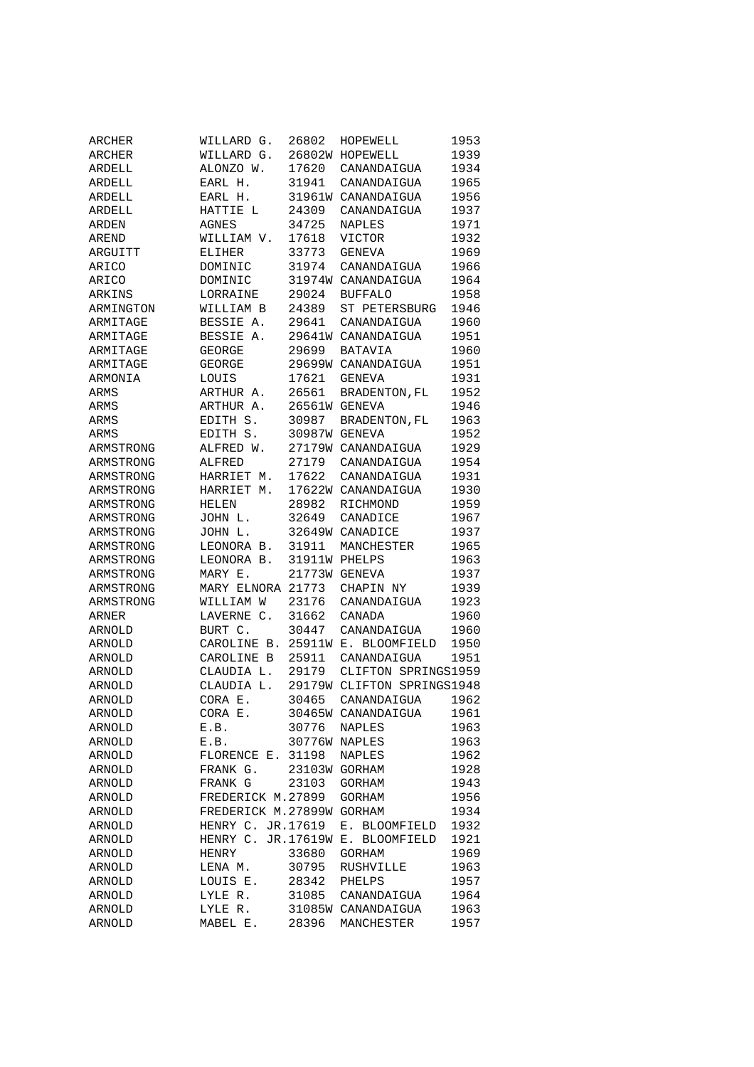| ARCHER        | WILLARD G.                | 26802        | HOPEWELL                              | 1953 |
|---------------|---------------------------|--------------|---------------------------------------|------|
| ARCHER        | WILLARD G.                | 26802W       | HOPEWELL                              | 1939 |
| ARDELL        | ALONZO W.                 | 17620        | CANANDAIGUA                           | 1934 |
| ARDELL        | EARL H.                   | 31941        | CANANDAIGUA                           | 1965 |
| ARDELL        | EARL H.                   | 31961W       | CANANDAIGUA                           | 1956 |
| ARDELL        | HATTIE L                  | 24309        | CANANDAIGUA                           | 1937 |
| <b>ARDEN</b>  | AGNES                     | 34725        | NAPLES                                | 1971 |
| AREND         | WILLIAM V.                | 17618        | VICTOR                                | 1932 |
| ARGUITT       | ELIHER                    | 33773        | <b>GENEVA</b>                         | 1969 |
| ARICO         | DOMINIC                   | 31974        | CANANDAIGUA                           | 1966 |
| ARICO         | DOMINIC                   | 31974W       | CANANDAIGUA                           | 1964 |
| ARKINS        | LORRAINE                  | 29024        | <b>BUFFALO</b>                        | 1958 |
| ARMINGTON     | WILLIAM B                 | 24389        | ST PETERSBURG                         | 1946 |
| ARMITAGE      | BESSIE A.                 | 29641        | CANANDAIGUA                           | 1960 |
| ARMITAGE      | BESSIE A.                 |              | 29641W CANANDAIGUA                    | 1951 |
| ARMITAGE      | GEORGE                    | 29699        | BATAVIA                               | 1960 |
| ARMITAGE      | GEORGE                    | 29699W       | CANANDAIGUA                           | 1951 |
| ARMONIA       | LOUIS                     | 17621        | <b>GENEVA</b>                         | 1931 |
| <b>ARMS</b>   | ARTHUR A.                 | 26561        | BRADENTON, FL                         | 1952 |
| ARMS          | ARTHUR A.                 |              | 26561W GENEVA                         | 1946 |
| <b>ARMS</b>   | EDITH S.                  | 30987        | BRADENTON, FL                         | 1963 |
| ARMS          | EDITH S.                  | 30987W       | GENEVA                                | 1952 |
| ARMSTRONG     | ALFRED W.                 | 27179W       | CANANDAIGUA                           | 1929 |
| ARMSTRONG     | ALFRED                    | 27179        | CANANDAIGUA                           | 1954 |
| ARMSTRONG     | HARRIET M.                | 17622        | CANANDAIGUA                           | 1931 |
| ARMSTRONG     | HARRIET M.                |              | 17622W CANANDAIGUA                    | 1930 |
| ARMSTRONG     | <b>HELEN</b>              | 28982        | RICHMOND                              | 1959 |
| ARMSTRONG     | JOHN L.                   | 32649        | CANADICE                              | 1967 |
| ARMSTRONG     | JOHN L.                   | 32649W       | CANADICE                              | 1937 |
| ARMSTRONG     | LEONORA B.                | 31911        | MANCHESTER                            | 1965 |
| ARMSTRONG     | LEONORA B.                | 31911W       | PHELPS                                | 1963 |
| ARMSTRONG     | MARY E.                   | 21773W       | GENEVA                                | 1937 |
| ARMSTRONG     | MARY ELNORA 21773         |              | CHAPIN NY                             | 1939 |
| ARMSTRONG     | WILLIAM W                 | 23176        | CANANDAIGUA                           | 1923 |
| ARNER         | LAVERNE C.                | 31662        | CANADA                                | 1960 |
| ARNOLD        | BURT C.                   | 30447        | CANANDAIGUA                           | 1960 |
| ARNOLD        | CAROLINE B.               | 25911W       | E. BLOOMFIELD                         | 1950 |
| ARNOLD        | CAROLINE B                | 25911        | CANANDAIGUA                           | 1951 |
| ARNOLD        | CLAUDIA L.                | 29179        | CLIFTON SPRINGS1959                   |      |
| <b>ARNOLD</b> | CLAUDIA L.                |              | 29179W CLIFTON SPRINGS1948            |      |
| ARNOLD        | CORA E.                   | 30465        | CANANDAIGUA 1962                      |      |
| ARNOLD        | CORA E.                   |              | 30465W CANANDAIGUA                    | 1961 |
| ARNOLD        | $E$ . B.                  | 30776 NAPLES |                                       | 1963 |
| ARNOLD        | E.B.                      |              | 30776W NAPLES                         | 1963 |
| ARNOLD        | FLORENCE E. 31198         |              | NAPLES                                | 1962 |
| ARNOLD        | FRANK G.                  |              | 23103W GORHAM                         | 1928 |
| ARNOLD        | FRANK G                   | 23103        | GORHAM                                | 1943 |
| ARNOLD        | FREDERICK M.27899         |              | GORHAM                                | 1956 |
| ARNOLD        | FREDERICK M.27899W GORHAM |              |                                       | 1934 |
| ARNOLD        | HENRY C. JR.17619         |              | E. BLOOMFIELD 1932                    |      |
| ARNOLD        |                           |              | HENRY C. JR.17619W E. BLOOMFIELD 1921 |      |
| ARNOLD        | HENRY                     | 33680        | GORHAM                                | 1969 |
| ARNOLD        | LENA M.                   | 30795        | RUSHVILLE                             | 1963 |
| ARNOLD        | LOUIS E.                  | 28342        | PHELPS                                | 1957 |
| ARNOLD        | LYLE R.                   |              | 31085 CANANDAIGUA                     | 1964 |
| ARNOLD        | LYLE R.                   |              | 31085W CANANDAIGUA                    | 1963 |
| ARNOLD        | MABEL E.                  | 28396        | MANCHESTER                            | 1957 |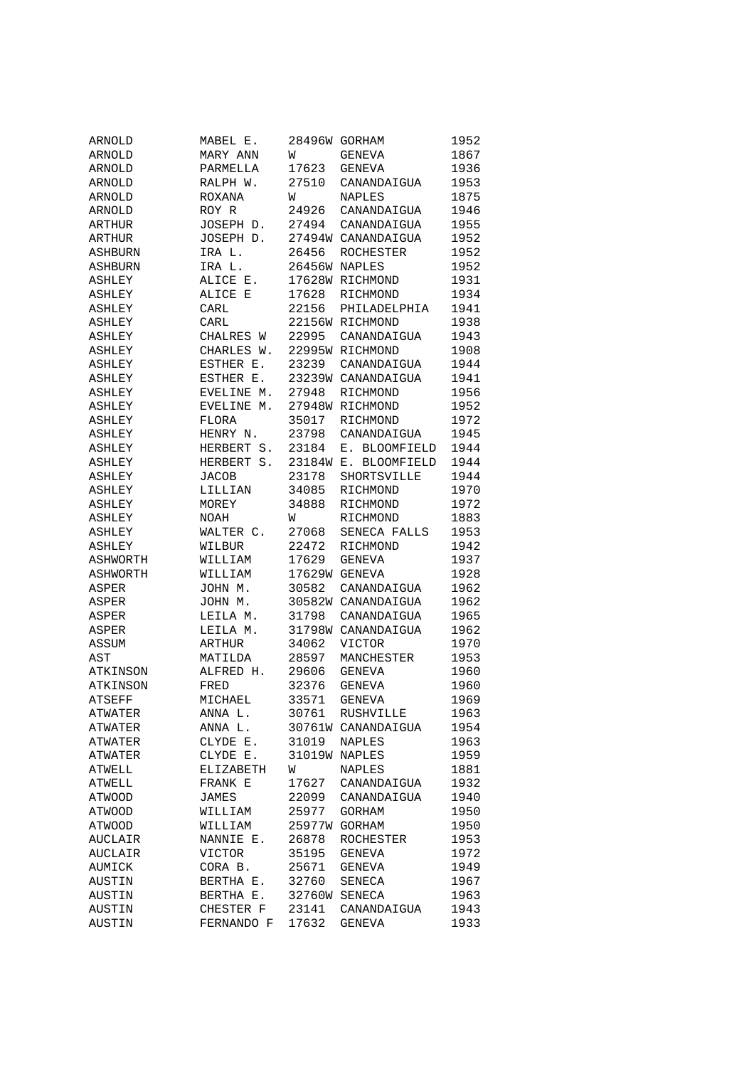| ARNOLD        | MABEL E.         | 28496W GORHAM |                    | 1952 |
|---------------|------------------|---------------|--------------------|------|
| ARNOLD        | MARY ANN         | W             | <b>GENEVA</b>      | 1867 |
| ARNOLD        | PARMELLA         | 17623         | GENEVA             | 1936 |
| ARNOLD        | RALPH W.         | 27510         | CANANDAIGUA        | 1953 |
| ARNOLD        | ROXANA           | W             | <b>NAPLES</b>      | 1875 |
| ARNOLD        | ROY R            | 24926         | CANANDAIGUA        | 1946 |
| ARTHUR        | JOSEPH D.        | 27494         | CANANDAIGUA        | 1955 |
| <b>ARTHUR</b> | JOSEPH D.        |               | 27494W CANANDAIGUA | 1952 |
| ASHBURN       | IRA L.           | 26456         | ROCHESTER          | 1952 |
| ASHBURN       | IRA L.           | 26456W        | NAPLES             | 1952 |
| <b>ASHLEY</b> | ALICE E.         |               | 17628W RICHMOND    | 1931 |
| ASHLEY        | ALICE E          | 17628         | RICHMOND           | 1934 |
| ASHLEY        | CARL             | 22156         | PHILADELPHIA       | 1941 |
| ASHLEY        | CARL             |               | 22156W RICHMOND    | 1938 |
| ASHLEY        | CHALRES W        | 22995         | CANANDAIGUA        | 1943 |
| ASHLEY        | CHARLES W.       | 22995W        | RICHMOND           | 1908 |
| ASHLEY        | ESTHER E.        | 23239         | CANANDAIGUA        | 1944 |
| ASHLEY        | ESTHER E.        | 23239W        | CANANDAIGUA        | 1941 |
| ASHLEY        | EVELINE M.       | 27948         | RICHMOND           | 1956 |
| ASHLEY        | EVELINE M.       |               | 27948W RICHMOND    | 1952 |
| ASHLEY        | FLORA            | 35017         | RICHMOND           | 1972 |
| ASHLEY        | HENRY N.         | 23798         | CANANDAIGUA        | 1945 |
| ASHLEY        | HERBERT S.       | 23184         | E. BLOOMFIELD      | 1944 |
| ASHLEY        | HERBERT S.       | 23184W        | E. BLOOMFIELD      | 1944 |
| ASHLEY        | JACOB            | 23178         | SHORTSVILLE        | 1944 |
| ASHLEY        | LILLIAN          | 34085         | RICHMOND           | 1970 |
| ASHLEY        | MOREY            | 34888         | RICHMOND           | 1972 |
| ASHLEY        | NOAH             | W             | RICHMOND           | 1883 |
| ASHLEY        | WALTER C.        | 27068         | SENECA FALLS       | 1953 |
| ASHLEY        | WILBUR           | 22472         | RICHMOND           | 1942 |
| ASHWORTH      | WILLIAM          | 17629         | GENEVA             | 1937 |
| ASHWORTH      | WILLIAM          | 17629W        | GENEVA             | 1928 |
| ASPER         | JOHN M.          | 30582         | CANANDAIGUA        | 1962 |
| ASPER         | JOHN M.          |               | 30582W CANANDAIGUA | 1962 |
| ASPER         | LEILA M.         | 31798         | CANANDAIGUA        | 1965 |
| ASPER         | LEILA M.         | 31798W        | CANANDAIGUA        | 1962 |
| ASSUM         | ARTHUR           | 34062         | VICTOR             | 1970 |
| AST           | MATILDA          | 28597         | MANCHESTER         | 1953 |
| ATKINSON      | ALFRED H.        | 29606         | <b>GENEVA</b>      | 1960 |
| ATKINSON      | FRED             | 32376         | <b>GENEVA</b>      | 1960 |
| ATSEFF        | MTCHAEL          | 33571         | GENEVA             | 1969 |
| ATWATER       | ANNA L.          |               | 30761 RUSHVILLE    | 1963 |
| ATWATER       | ANNA L.          |               | 30761W CANANDAIGUA | 1954 |
| ATWATER       | CLYDE E.         | 31019         | NAPLES             | 1963 |
| ATWATER       | CLYDE E.         | 31019W NAPLES |                    | 1959 |
| ATWELL        | <b>ELIZABETH</b> | W             | NAPLES             | 1881 |
| ATWELL        | FRANK E          |               | 17627 CANANDAIGUA  | 1932 |
| ATWOOD        | JAMES            |               | 22099 CANANDAIGUA  | 1940 |
| ATWOOD        | WILLIAM          | 25977         | GORHAM             | 1950 |
| ATWOOD        | WILLIAM          | 25977W        | GORHAM             | 1950 |
| AUCLAIR       | NANNIE E.        | 26878         | ROCHESTER          | 1953 |
| AUCLAIR       | VICTOR           | 35195         | GENEVA             | 1972 |
| AUMICK        | CORA B.          | 25671         | GENEVA             | 1949 |
| AUSTIN        | BERTHA E.        | 32760         | SENECA             | 1967 |
| AUSTIN        | BERTHA E.        | 32760W        | SENECA             | 1963 |
| AUSTIN        | CHESTER F        | 23141         | CANANDAIGUA        | 1943 |
| AUSTIN        | FERNANDO F       | 17632         | <b>GENEVA</b>      | 1933 |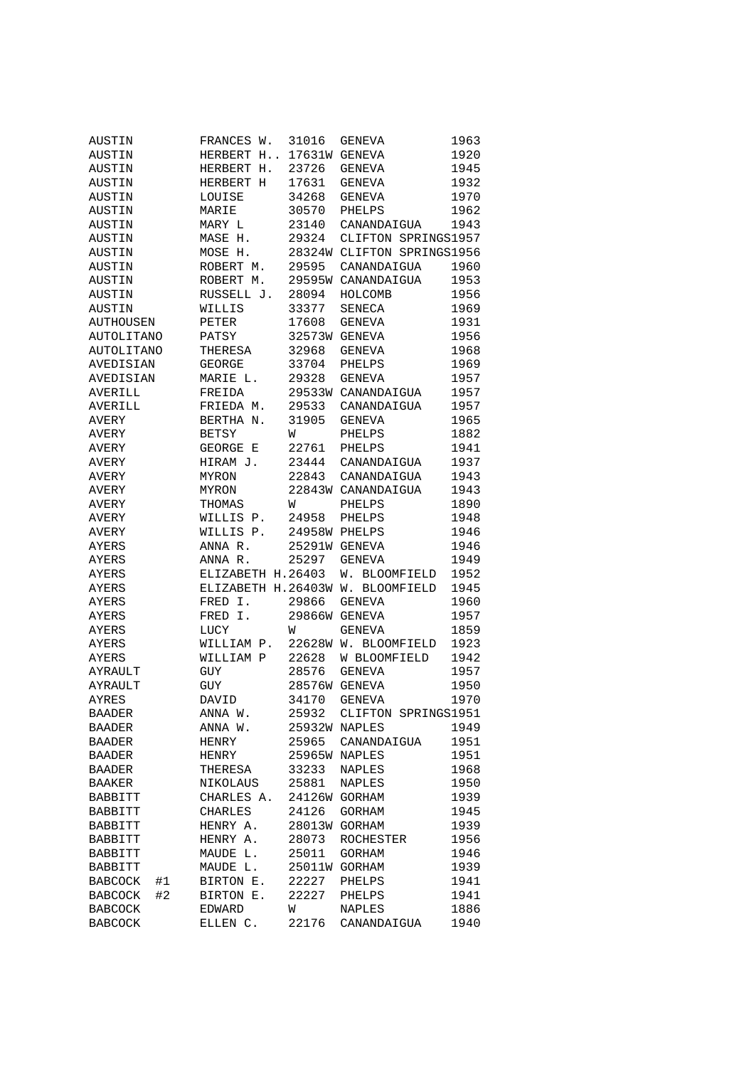| AUSTIN            |    | FRANCES W.        | 31016         | <b>GENEVA</b>                    | 1963 |
|-------------------|----|-------------------|---------------|----------------------------------|------|
| <b>AUSTIN</b>     |    | HERBERT H         | 17631W GENEVA |                                  | 1920 |
| AUSTIN            |    | HERBERT H.        | 23726         | GENEVA                           | 1945 |
| AUSTIN            |    | HERBERT H         | 17631         | <b>GENEVA</b>                    | 1932 |
| AUSTIN            |    | LOUISE            | 34268         | <b>GENEVA</b>                    | 1970 |
| AUSTIN            |    | MARIE             | 30570         | PHELPS                           | 1962 |
| AUSTIN            |    | MARY L            | 23140         | CANANDAIGUA                      | 1943 |
| AUSTIN            |    | MASE H.           | 29324         | CLIFTON SPRINGS1957              |      |
| <b>AUSTIN</b>     |    | MOSE H.           |               | 28324W CLIFTON SPRINGS1956       |      |
| AUSTIN            |    | ROBERT M.         | 29595         | CANANDAIGUA                      | 1960 |
| AUSTIN            |    | ROBERT M.         |               | 29595W CANANDAIGUA               | 1953 |
| <b>AUSTIN</b>     |    | RUSSELL J.        | 28094         | HOLCOMB                          | 1956 |
| AUSTIN            |    | WILLIS            | 33377         | <b>SENECA</b>                    | 1969 |
| <b>AUTHOUSEN</b>  |    | PETER             | 17608         | GENEVA                           | 1931 |
| <b>AUTOLITANO</b> |    | PATSY             | 32573W GENEVA |                                  | 1956 |
| AUTOLITANO        |    | THERESA           | 32968         | <b>GENEVA</b>                    | 1968 |
| AVEDISIAN         |    | GEORGE            | 33704         | PHELPS                           | 1969 |
| AVEDISIAN         |    | MARIE L.          | 29328         | <b>GENEVA</b>                    | 1957 |
| <b>AVERILL</b>    |    | FREIDA            |               | 29533W CANANDAIGUA               | 1957 |
| AVERILL           |    | FRIEDA M.         | 29533         | CANANDAIGUA                      | 1957 |
| AVERY             |    | BERTHA N.         | 31905         | <b>GENEVA</b>                    | 1965 |
| AVERY             |    | <b>BETSY</b>      | W             | PHELPS                           | 1882 |
| AVERY             |    | GEORGE E          | 22761         | PHELPS                           | 1941 |
| AVERY             |    | HIRAM J.          | 23444         | CANANDAIGUA                      | 1937 |
| AVERY             |    | MYRON             | 22843         | CANANDAIGUA                      | 1943 |
| AVERY             |    | MYRON             |               | 22843W CANANDAIGUA               | 1943 |
| AVERY             |    | THOMAS            | W             | PHELPS                           | 1890 |
| AVERY             |    | WILLIS P.         | 24958         | PHELPS                           | 1948 |
| <b>AVERY</b>      |    | WILLIS P.         | 24958W        | PHELPS                           | 1946 |
| <b>AYERS</b>      |    | ANNA R.           | 25291W        | GENEVA                           | 1946 |
| AYERS             |    | ANNA R.           | 25297         | <b>GENEVA</b>                    | 1949 |
| AYERS             |    | ELIZABETH H.26403 |               | W. BLOOMFIELD                    | 1952 |
| AYERS             |    |                   |               | ELIZABETH H.26403W W. BLOOMFIELD | 1945 |
| AYERS             |    | FRED I.           | 29866         | <b>GENEVA</b>                    | 1960 |
| AYERS             |    | FRED I.           | 29866W        | GENEVA                           | 1957 |
| AYERS             |    | LUCY              | M             | <b>GENEVA</b>                    | 1859 |
| AYERS             |    | WILLIAM P.        |               | 22628W W. BLOOMFIELD             | 1923 |
| <b>AYERS</b>      |    | WILLIAM P         | 22628         | W BLOOMFIELD                     | 1942 |
| <b>AYRAULT</b>    |    | <b>GUY</b>        | 28576         | <b>GENEVA</b>                    | 1957 |
| <b>AYRAULT</b>    |    | <b>GUY</b>        | 28576W GENEVA |                                  | 1950 |
| AYRES             |    | DAVID             |               | 34170 GENEVA                     | 1970 |
| <b>BAADER</b>     |    | ANNA W.           |               | 25932 CLIFTON SPRINGS1951        |      |
| <b>BAADER</b>     |    | ANNA W.           | 25932W NAPLES |                                  | 1949 |
| BAADER            |    | HENRY             |               | 25965 CANANDAIGUA                | 1951 |
| <b>BAADER</b>     |    | HENRY             | 25965W NAPLES |                                  | 1951 |
| BAADER            |    | THERESA           | 33233         | NAPLES                           | 1968 |
| BAAKER            |    | NIKOLAUS          | 25881         | NAPLES                           | 1950 |
| BABBITT           |    | CHARLES A.        |               | 24126W GORHAM                    | 1939 |
| BABBITT           |    | CHARLES           | 24126         | GORHAM                           | 1945 |
| BABBITT           |    | HENRY A.          |               | 28013W GORHAM                    | 1939 |
| BABBITT           |    | HENRY A.          | 28073         | ROCHESTER                        | 1956 |
| <b>BABBITT</b>    |    | MAUDE L.          | 25011         | GORHAM                           | 1946 |
| BABBITT           |    | MAUDE L.          |               | 25011W GORHAM                    | 1939 |
| BABCOCK #1        |    | BIRTON E.         | 22227         | PHELPS                           | 1941 |
| BABCOCK           | #2 | BIRTON E.         | 22227         | PHELPS                           | 1941 |
| BABCOCK           |    | EDWARD            | <b>M</b>      | NAPLES                           | 1886 |
| <b>BABCOCK</b>    |    | ELLEN C.          |               | 22176 CANANDAIGUA                | 1940 |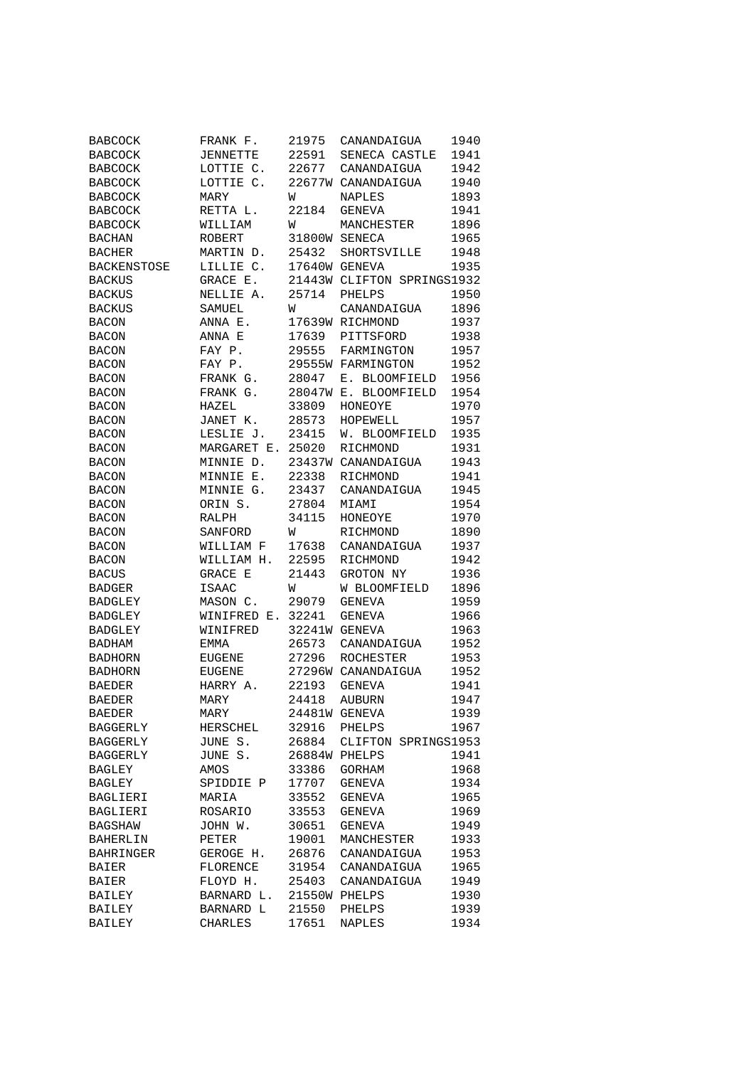| <b>BABCOCK</b>  | FRANK F.          | 21975         | CANANDAIGUA                | 1940 |
|-----------------|-------------------|---------------|----------------------------|------|
| <b>BABCOCK</b>  | <b>JENNETTE</b>   | 22591         | SENECA CASTLE              | 1941 |
| BABCOCK         | LOTTIE C.         | 22677         | CANANDAIGUA                | 1942 |
| <b>BABCOCK</b>  | LOTTIE C.         |               | 22677W CANANDAIGUA         | 1940 |
| <b>BABCOCK</b>  | MARY              | W             | NAPLES                     | 1893 |
| <b>BABCOCK</b>  | RETTA L.          | 22184         | GENEVA                     | 1941 |
| <b>BABCOCK</b>  | WILLIAM           | W             | MANCHESTER                 | 1896 |
| <b>BACHAN</b>   | ROBERT            |               | 31800W SENECA              | 1965 |
| <b>BACHER</b>   | MARTIN D.         | 25432         | SHORTSVILLE                | 1948 |
| BACKENSTOSE     | LILLIE C.         | 17640W GENEVA |                            | 1935 |
| <b>BACKUS</b>   | GRACE E.          |               | 21443W CLIFTON SPRINGS1932 |      |
| <b>BACKUS</b>   | NELLIE A.         | 25714         | PHELPS                     | 1950 |
| <b>BACKUS</b>   | SAMUEL            | <b>W</b>      | CANANDAIGUA                | 1896 |
| <b>BACON</b>    | ANNA E.           |               | 17639W RICHMOND            | 1937 |
| <b>BACON</b>    | ANNA E            | 17639         | PITTSFORD                  | 1938 |
| <b>BACON</b>    | FAY P.            | 29555         | FARMINGTON                 | 1957 |
| <b>BACON</b>    | FAY P.            |               | 29555W FARMINGTON          | 1952 |
| <b>BACON</b>    | FRANK G.          | 28047         | E. BLOOMFIELD              | 1956 |
| <b>BACON</b>    | FRANK G.          |               | 28047W E. BLOOMFIELD       | 1954 |
| <b>BACON</b>    | HAZEL             | 33809         | HONEOYE                    | 1970 |
| <b>BACON</b>    | JANET K.          | 28573         | HOPEWELL                   | 1957 |
| BACON           | LESLIE J.         | 23415         | W. BLOOMFIELD              | 1935 |
| <b>BACON</b>    | MARGARET E. 25020 |               | RICHMOND                   | 1931 |
| <b>BACON</b>    | MINNIE D.         |               | 23437W CANANDAIGUA         | 1943 |
| <b>BACON</b>    | MINNIE E.         | 22338         | RICHMOND                   | 1941 |
| <b>BACON</b>    | MINNIE G.         | 23437         | CANANDAIGUA                | 1945 |
| <b>BACON</b>    | ORIN S.           | 27804         | MIAMI                      | 1954 |
| <b>BACON</b>    | RALPH             | 34115         | HONEOYE                    | 1970 |
| <b>BACON</b>    | SANFORD           | W             | RICHMOND                   | 1890 |
| <b>BACON</b>    | WILLIAM F         | 17638         | CANANDAIGUA                | 1937 |
| <b>BACON</b>    | WILLIAM H.        | 22595         | RICHMOND                   | 1942 |
| <b>BACUS</b>    | GRACE E           | 21443         | GROTON NY                  | 1936 |
| <b>BADGER</b>   | ISAAC             | W             | W BLOOMFIELD               | 1896 |
| <b>BADGLEY</b>  | MASON C.          | 29079         | GENEVA                     | 1959 |
| BADGLEY         | WINIFRED E. 32241 |               | GENEVA                     | 1966 |
| <b>BADGLEY</b>  | WINIFRED          | 32241W GENEVA |                            | 1963 |
| <b>BADHAM</b>   | EMMA              | 26573         | CANANDAIGUA                | 1952 |
| <b>BADHORN</b>  | EUGENE            | 27296         | ROCHESTER                  | 1953 |
| <b>BADHORN</b>  | <b>EUGENE</b>     |               | 27296W CANANDAIGUA         | 1952 |
| <b>BAEDER</b>   | HARRY A.          | 22193         | <b>GENEVA</b>              | 1941 |
| <b>BAEDER</b>   | MARY              | 24418         | AUBURN                     | 1947 |
| BAEDER          | MARY              | 24481W GENEVA |                            | 1939 |
| BAGGERLY        | HERSCHEL          | 32916         | PHELPS                     | 1967 |
| BAGGERLY        | JUNE S.           | 26884         | CLIFTON SPRINGS1953        |      |
| <b>BAGGERLY</b> | JUNE S.           | 26884W PHELPS |                            | 1941 |
| BAGLEY          | AMOS              | 33386         | GORHAM                     | 1968 |
| BAGLEY          | SPIDDIE P         | 17707         | GENEVA                     | 1934 |
| BAGLIERI        | MARIA             | 33552         | GENEVA                     | 1965 |
| BAGLIERI        | ROSARIO           | 33553         | GENEVA                     | 1969 |
| BAGSHAW         | JOHN W.           | 30651         | <b>GENEVA</b>              | 1949 |
| BAHERLIN        | PETER             | 19001         | MANCHESTER                 | 1933 |
| BAHRINGER       | GEROGE H.         | 26876         | CANANDAIGUA                | 1953 |
| BAIER           | FLORENCE          | 31954         | CANANDAIGUA                | 1965 |
| BAIER           | FLOYD H.          | 25403         | CANANDAIGUA                | 1949 |
| BAILEY          | BARNARD L.        | 21550W PHELPS |                            | 1930 |
| BAILEY          | BARNARD L         | 21550         | PHELPS                     | 1939 |
| BAILEY          | CHARLES           | 17651         | NAPLES                     | 1934 |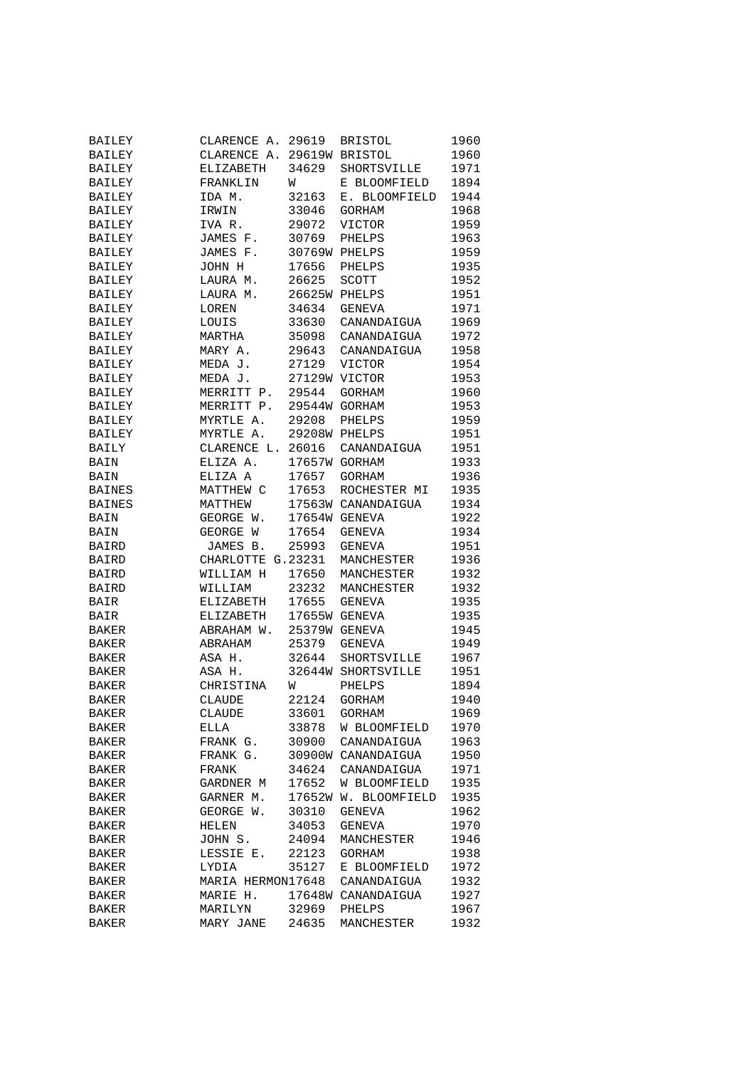| <b>BAILEY</b> | CLARENCE A. 29619 |               | BRISTOL                   | 1960 |
|---------------|-------------------|---------------|---------------------------|------|
| <b>BAILEY</b> | CLARENCE A.       | 29619W        | BRISTOL                   | 1960 |
| <b>BAILEY</b> | ELIZABETH         | 34629         | SHORTSVILLE               | 1971 |
| <b>BAILEY</b> | FRANKLIN          | W             | E BLOOMFIELD              | 1894 |
| <b>BAILEY</b> | IDA M.            | 32163         | E. BLOOMFIELD             | 1944 |
| <b>BAILEY</b> | IRWIN             | 33046         | GORHAM                    | 1968 |
| <b>BAILEY</b> | IVA R.            | 29072         | VICTOR                    | 1959 |
| <b>BAILEY</b> | JAMES F.          | 30769         | PHELPS                    | 1963 |
| <b>BAILEY</b> | JAMES F.          | 30769W        | PHELPS                    | 1959 |
| BAILEY        | JOHN H            | 17656         | PHELPS                    | 1935 |
| BAILEY        | LAURA M.          | 26625         | SCOTT                     | 1952 |
| BAILEY        | LAURA M.          | 26625W        | PHELPS                    | 1951 |
| BAILEY        | LOREN             | 34634         | GENEVA                    | 1971 |
| <b>BAILEY</b> | LOUIS             | 33630         | CANANDAIGUA               | 1969 |
| <b>BAILEY</b> | MARTHA            | 35098         | CANANDAIGUA               | 1972 |
| BAILEY        | MARY A.           | 29643         | CANANDAIGUA               | 1958 |
| BAILEY        | MEDA J.           | 27129         | VICTOR                    | 1954 |
| <b>BAILEY</b> | MEDA J.           |               | 27129W VICTOR             | 1953 |
| <b>BAILEY</b> | MERRITT P.        | 29544         | GORHAM                    | 1960 |
| <b>BAILEY</b> | MERRITT P.        |               | 29544W GORHAM             | 1953 |
| <b>BAILEY</b> | MYRTLE A.         | 29208         | PHELPS                    | 1959 |
| BAILEY        | MYRTLE A.         | 29208W PHELPS |                           | 1951 |
|               | CLARENCE L.       | 26016         | CANANDAIGUA               | 1951 |
| BAILY         |                   |               | 17657W GORHAM             | 1933 |
| BAIN          | ELIZA A.          |               |                           |      |
| BAIN          | ELIZA A           | 17657         | GORHAM                    | 1936 |
| <b>BAINES</b> | MATTHEW C         | 17653         | ROCHESTER MI              | 1935 |
| <b>BAINES</b> | MATTHEW           |               | 17563W CANANDAIGUA        | 1934 |
| BAIN          | GEORGE W.         |               | 17654W GENEVA             | 1922 |
| BAIN          | GEORGE W          | 17654         | GENEVA                    | 1934 |
| <b>BAIRD</b>  | JAMES B.          | 25993         | GENEVA                    | 1951 |
| <b>BAIRD</b>  | CHARLOTTE G.23231 |               | MANCHESTER                | 1936 |
| BAIRD         | WILLIAM H         | 17650         | MANCHESTER                | 1932 |
| <b>BAIRD</b>  | WILLIAM           | 23232         | MANCHESTER                | 1932 |
| BAIR          | ELIZABETH         | 17655         | GENEVA                    | 1935 |
| <b>BAIR</b>   | ELIZABETH         |               | 17655W GENEVA             | 1935 |
| BAKER         | ABRAHAM W.        | 25379W        | GENEVA                    | 1945 |
| <b>BAKER</b>  | ABRAHAM           | 25379         | GENEVA                    | 1949 |
| <b>BAKER</b>  | ASA H.            | 32644         | SHORTSVILLE               | 1967 |
| <b>BAKER</b>  | ASA H.            |               | 32644W SHORTSVILLE        | 1951 |
| <b>BAKER</b>  | CHRISTINA         | W             | PHELPS                    | 1894 |
| <b>BAKER</b>  | CLAUDE            |               | 22124 GORHAM              | 1940 |
| BAKER         | CLAUDE            |               | 33601 GORHAM              | 1969 |
| BAKER         | ELLA              |               | 33878 W BLOOMFIELD        | 1970 |
| BAKER         | FRANK G.          |               | 30900 CANANDAIGUA         | 1963 |
| BAKER         | FRANK G.          |               | 30900W CANANDAIGUA        | 1950 |
| BAKER         | FRANK             |               | 34624 CANANDAIGUA         | 1971 |
| <b>BAKER</b>  | GARDNER M         | 17652         | W BLOOMFIELD              | 1935 |
| BAKER         | GARNER M.         |               | 17652W W. BLOOMFIELD 1935 |      |
| BAKER         | GEORGE W.         | 30310         | GENEVA                    | 1962 |
| <b>BAKER</b>  | HELEN             | 34053         | GENEVA                    | 1970 |
| BAKER         | JOHN S.           |               | 24094 MANCHESTER          | 1946 |
| <b>BAKER</b>  | LESSIE E.         | 22123         | GORHAM                    | 1938 |
| BAKER         | LYDIA             | 35127         | E BLOOMFIELD              | 1972 |
| BAKER         | MARIA HERMON17648 |               | CANANDAIGUA               | 1932 |
| BAKER         | MARIE H.          |               | 17648W CANANDAIGUA        | 1927 |
| <b>BAKER</b>  | MARILYN           | 32969         | PHELPS                    | 1967 |
| <b>BAKER</b>  | MARY JANE         | 24635         | MANCHESTER                | 1932 |
|               |                   |               |                           |      |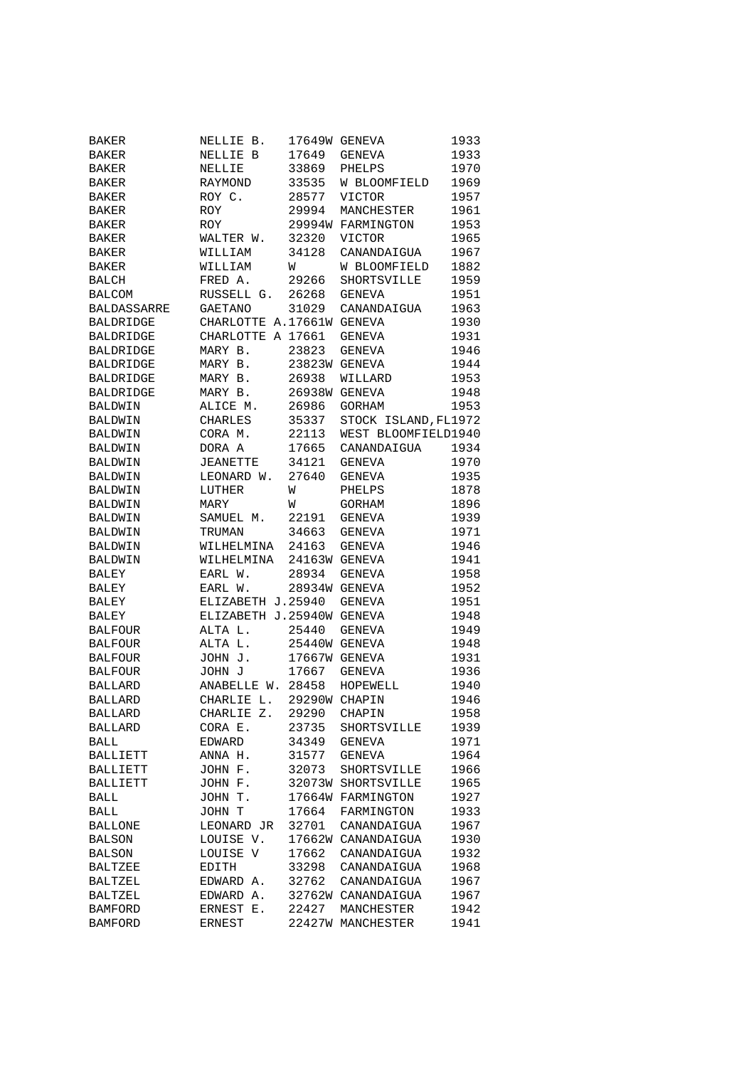| <b>BAKER</b>       | NELLIE B.                 | 17649W        | <b>GENEVA</b>        | 1933 |
|--------------------|---------------------------|---------------|----------------------|------|
| <b>BAKER</b>       | NELLIE B                  | 17649         | GENEVA               | 1933 |
| <b>BAKER</b>       | NELLIE                    | 33869         | PHELPS               | 1970 |
| <b>BAKER</b>       | RAYMOND                   | 33535         | W BLOOMFIELD         | 1969 |
| <b>BAKER</b>       | ROY C.                    | 28577         | <b>VICTOR</b>        | 1957 |
| <b>BAKER</b>       | ROY                       | 29994         | MANCHESTER           | 1961 |
| <b>BAKER</b>       | <b>ROY</b>                |               | 29994W FARMINGTON    | 1953 |
| <b>BAKER</b>       | WALTER W.                 | 32320         | <b>VICTOR</b>        | 1965 |
| <b>BAKER</b>       | WILLIAM                   | 34128         | CANANDAIGUA          | 1967 |
| <b>BAKER</b>       | WILLIAM                   | W             | W BLOOMFIELD         | 1882 |
| <b>BALCH</b>       | FRED A.                   | 29266         | SHORTSVILLE          | 1959 |
| <b>BALCOM</b>      | RUSSELL G.                | 26268         | <b>GENEVA</b>        | 1951 |
| <b>BALDASSARRE</b> | <b>GAETANO</b>            | 31029         | CANANDAIGUA          | 1963 |
| <b>BALDRIDGE</b>   | CHARLOTTE A.17661W GENEVA |               |                      | 1930 |
| <b>BALDRIDGE</b>   | CHARLOTTE A 17661         |               | GENEVA               | 1931 |
| <b>BALDRIDGE</b>   | MARY B.                   | 23823         | GENEVA               | 1946 |
| <b>BALDRIDGE</b>   | MARY B.                   |               | 23823W GENEVA        | 1944 |
| <b>BALDRIDGE</b>   | MARY B.                   | 26938         | WILLARD              | 1953 |
| <b>BALDRIDGE</b>   | MARY B.                   | 26938W GENEVA |                      | 1948 |
| <b>BALDWIN</b>     | ALICE M.                  | 26986         | <b>GORHAM</b>        | 1953 |
| <b>BALDWIN</b>     | <b>CHARLES</b>            | 35337         | STOCK ISLAND, FL1972 |      |
| BALDWIN            | CORA M.                   | 22113         | WEST BLOOMFIELD1940  |      |
| <b>BALDWIN</b>     | DORA A                    | 17665         | CANANDAIGUA          | 1934 |
| <b>BALDWIN</b>     | <b>JEANETTE</b>           | 34121         | GENEVA               | 1970 |
| <b>BALDWIN</b>     | LEONARD W.                | 27640         | GENEVA               | 1935 |
| <b>BALDWIN</b>     | LUTHER                    | W             | PHELPS               | 1878 |
| <b>BALDWIN</b>     | MARY                      | W             | GORHAM               | 1896 |
| <b>BALDWIN</b>     | SAMUEL M.                 | 22191         | GENEVA               | 1939 |
| <b>BALDWIN</b>     | TRUMAN                    | 34663         | <b>GENEVA</b>        | 1971 |
| <b>BALDWIN</b>     | WILHELMINA                | 24163         | <b>GENEVA</b>        | 1946 |
| <b>BALDWIN</b>     | WILHELMINA                |               | 24163W GENEVA        | 1941 |
| <b>BALEY</b>       | EARL W.                   | 28934         | GENEVA               | 1958 |
| <b>BALEY</b>       | EARL W.                   | 28934W GENEVA |                      | 1952 |
| <b>BALEY</b>       | ELIZABETH J.25940         |               | GENEVA               | 1951 |
| <b>BALEY</b>       | ELIZABETH J.25940W        |               | GENEVA               | 1948 |
| <b>BALFOUR</b>     | ALTA L.                   | 25440         | GENEVA               | 1949 |
| <b>BALFOUR</b>     | ALTA L.                   |               | 25440W GENEVA        | 1948 |
| <b>BALFOUR</b>     | JOHN J.                   | 17667W GENEVA |                      | 1931 |
| <b>BALFOUR</b>     | JOHN J                    | 17667         | <b>GENEVA</b>        | 1936 |
| <b>BALLARD</b>     | ANABELLE W. 28458         |               | HOPEWELL             | 1940 |
| <b>BALLARD</b>     | CHARLIE L. 29290W CHAPIN  |               |                      | 1946 |
| BALLARD            | CHARLIE Z.                | 29290         | CHAPIN               | 1958 |
| <b>BALLARD</b>     | CORA E.                   | 23735         | SHORTSVILLE          | 1939 |
| BALL               | EDWARD                    | 34349         | GENEVA               | 1971 |
| <b>BALLIETT</b>    | ANNA H.                   | 31577         | GENEVA               | 1964 |
| BALLIETT           | JOHN F.                   | 32073         | SHORTSVILLE          | 1966 |
| BALLIETT           | JOHN F.                   | 32073W        | SHORTSVILLE          | 1965 |
| BALL               | JOHN T.                   | 17664W        | FARMINGTON           | 1927 |
| <b>BALL</b>        | JOHN T                    | 17664         | FARMINGTON           | 1933 |
| <b>BALLONE</b>     | LEONARD JR                | 32701         | CANANDAIGUA          | 1967 |
| <b>BALSON</b>      | LOUISE V.                 |               | 17662W CANANDAIGUA   | 1930 |
| <b>BALSON</b>      | LOUISE V                  | 17662         | CANANDAIGUA          | 1932 |
| BALTZEE            | EDITH                     | 33298         | CANANDAIGUA          | 1968 |
| <b>BALTZEL</b>     | EDWARD A.                 | 32762         | CANANDAIGUA          | 1967 |
| <b>BALTZEL</b>     | EDWARD A.                 | 32762W        | CANANDAIGUA          | 1967 |
| <b>BAMFORD</b>     | ERNEST E.                 | 22427         | MANCHESTER           | 1942 |
| <b>BAMFORD</b>     | ERNEST                    |               | 22427W MANCHESTER    | 1941 |
|                    |                           |               |                      |      |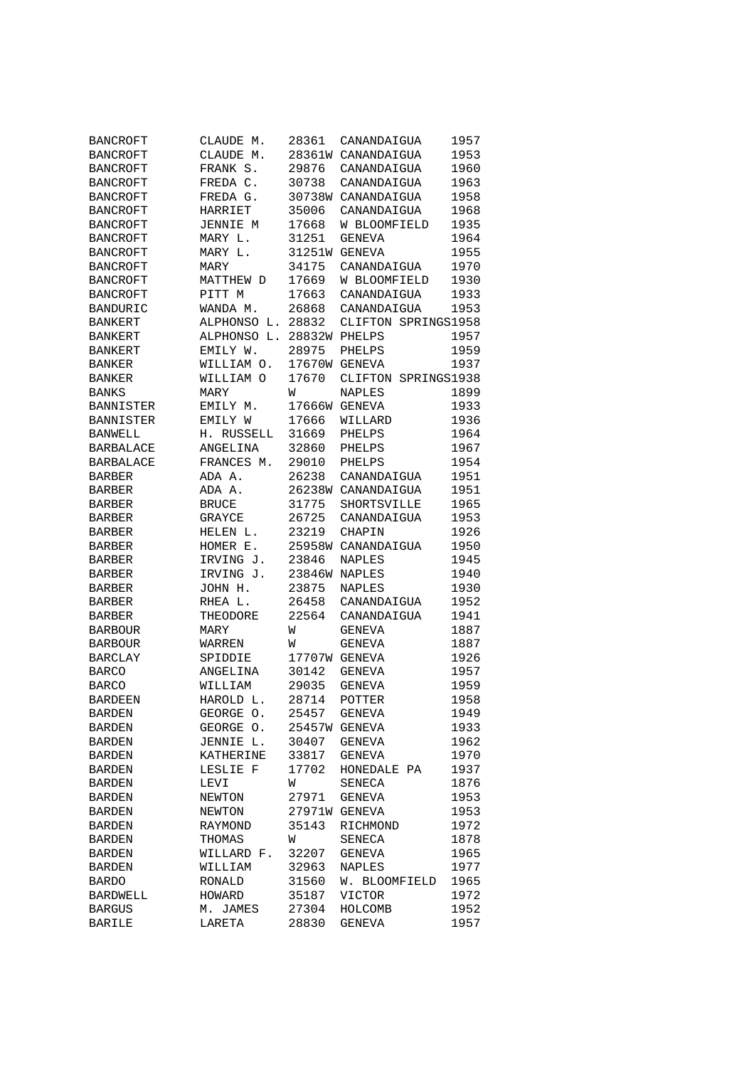| BANCROFT                       | CLAUDE M.            | 28361         | CANANDAIGUA         | 1957 |
|--------------------------------|----------------------|---------------|---------------------|------|
| <b>BANCROFT</b>                | CLAUDE M.            | 28361W        | CANANDAIGUA         | 1953 |
| <b>BANCROFT</b>                | FRANK S.             | 29876         | CANANDAIGUA         | 1960 |
| <b>BANCROFT</b>                | FREDA C.             | 30738         | CANANDAIGUA         | 1963 |
| <b>BANCROFT</b>                | FREDA G.             | 30738W        | CANANDAIGUA         | 1958 |
| <b>BANCROFT</b>                | <b>HARRIET</b>       | 35006         | CANANDAIGUA         | 1968 |
| <b>BANCROFT</b>                | JENNIE M             | 17668         | W BLOOMFIELD        | 1935 |
| <b>BANCROFT</b>                | MARY L.              | 31251         | <b>GENEVA</b>       | 1964 |
| <b>BANCROFT</b>                | MARY L.              | 31251W        | <b>GENEVA</b>       | 1955 |
| <b>BANCROFT</b>                | MARY                 | 34175         | CANANDAIGUA         | 1970 |
| <b>BANCROFT</b>                | MATTHEW D            | 17669         | W BLOOMFIELD        | 1930 |
| <b>BANCROFT</b>                | PITT M               | 17663         | CANANDAIGUA         | 1933 |
| <b>BANDURIC</b>                | WANDA M.             | 26868         | CANANDAIGUA         | 1953 |
| <b>BANKERT</b>                 | ALPHONSO L.          | 28832         | CLIFTON SPRINGS1958 |      |
| <b>BANKERT</b>                 | ALPHONSO L.          | 28832W        | PHELPS              | 1957 |
| <b>BANKERT</b>                 | EMILY W.             | 28975         | PHELPS              | 1959 |
| <b>BANKER</b>                  | WILLIAM O.           | 17670W        | GENEVA              | 1937 |
| <b>BANKER</b>                  | WILLIAM O            | 17670         | CLIFTON SPRINGS1938 |      |
| <b>BANKS</b>                   | MARY                 | W             | NAPLES              | 1899 |
| BANNISTER                      | EMILY M.             | 17666W GENEVA |                     | 1933 |
| <b>BANNISTER</b>               | EMILY W              | 17666         | WILLARD             | 1936 |
| <b>BANWELL</b>                 | H. RUSSELL           | 31669         | PHELPS              | 1964 |
| <b>BARBALACE</b>               | ANGELINA             | 32860         | PHELPS              | 1967 |
| <b>BARBALACE</b>               | FRANCES M.           | 29010         | PHELPS              | 1954 |
| <b>BARBER</b>                  | ADA A.               | 26238         | CANANDAIGUA         | 1951 |
| <b>BARBER</b>                  | ADA A.               | 26238W        | CANANDAIGUA         | 1951 |
| <b>BARBER</b>                  | <b>BRUCE</b>         | 31775         | SHORTSVILLE         | 1965 |
| <b>BARBER</b>                  | GRAYCE               | 26725         | CANANDAIGUA         | 1953 |
| <b>BARBER</b>                  | HELEN L.             | 23219         | CHAPIN              | 1926 |
| <b>BARBER</b>                  | HOMER E.             | 25958W        | CANANDAIGUA         | 1950 |
| <b>BARBER</b>                  | IRVING J.            | 23846         | NAPLES              | 1945 |
| <b>BARBER</b>                  | IRVING J.            | 23846W        | NAPLES              | 1940 |
| <b>BARBER</b>                  | JOHN H.              | 23875         | NAPLES              | 1930 |
| <b>BARBER</b>                  | RHEA L.              | 26458         | CANANDAIGUA         | 1952 |
| <b>BARBER</b>                  |                      | 22564         | CANANDAIGUA         | 1941 |
| <b>BARBOUR</b>                 | THEODORE<br>MARY     | W             | <b>GENEVA</b>       | 1887 |
| <b>BARBOUR</b>                 | WARREN               | W             | <b>GENEVA</b>       | 1887 |
| <b>BARCLAY</b>                 | SPIDDIE              | 17707W        | <b>GENEVA</b>       | 1926 |
| <b>BARCO</b>                   | ANGELINA             | 30142         | <b>GENEVA</b>       | 1957 |
| <b>BARCO</b>                   | WILLIAM              | 29035         | <b>GENEVA</b>       | 1959 |
| <b>BARDEEN</b>                 | HAROLD L.            | 28714         | <b>POTTER</b>       | 1958 |
| BARDEN                         | GEORGE O.            | 25457         | GENEVA              | 1949 |
| BARDEN                         | GEORGE O.            | 25457W        | GENEVA              | 1933 |
| BARDEN                         | JENNIE L.            | 30407         | GENEVA              | 1962 |
| <b>BARDEN</b>                  | KATHERINE            | 33817         | GENEVA              | 1970 |
| BARDEN                         | LESLIE F             | 17702         | HONEDALE PA         | 1937 |
| <b>BARDEN</b>                  | LEVI                 | W             | SENECA              | 1876 |
| <b>BARDEN</b>                  | NEWTON               | 27971         | GENEVA              | 1953 |
| <b>BARDEN</b>                  | NEWTON               | 27971W        | GENEVA              | 1953 |
| <b>BARDEN</b>                  | RAYMOND              | 35143         | RICHMOND            | 1972 |
|                                |                      | W             |                     | 1878 |
| <b>BARDEN</b><br><b>BARDEN</b> | THOMAS<br>WILLARD F. | 32207         | SENECA<br>GENEVA    | 1965 |
| <b>BARDEN</b>                  | WILLIAM              | 32963         | NAPLES              | 1977 |
| <b>BARDO</b>                   | RONALD               | 31560         | W. BLOOMFIELD       | 1965 |
| BARDWELL                       | HOWARD               | 35187         | VICTOR              | 1972 |
| <b>BARGUS</b>                  | M. JAMES             | 27304         | HOLCOMB             | 1952 |
| <b>BARILE</b>                  | LARETA               | 28830         | <b>GENEVA</b>       | 1957 |
|                                |                      |               |                     |      |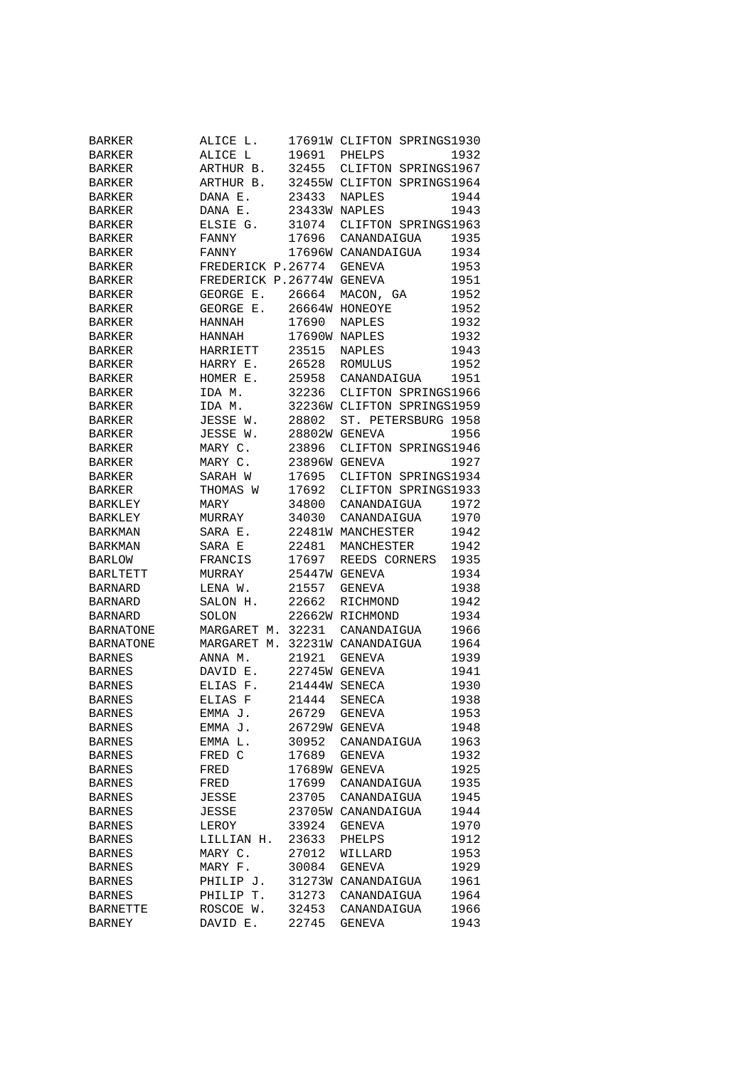| <b>BARKER</b>    | ALICE L.                  |               | 17691W CLIFTON SPRINGS1930 |      |
|------------------|---------------------------|---------------|----------------------------|------|
| BARKER           | ALICE L                   | 19691         | PHELPS                     | 1932 |
| BARKER           | ARTHUR B.                 | 32455         | CLIFTON SPRINGS1967        |      |
| BARKER           | ARTHUR B.                 |               | 32455W CLIFTON SPRINGS1964 |      |
| <b>BARKER</b>    | DANA E.                   | 23433         | NAPLES                     | 1944 |
| BARKER           | DANA E.                   | 23433W NAPLES |                            | 1943 |
| BARKER           | ELSIE G.                  | 31074         | CLIFTON SPRINGS1963        |      |
| <b>BARKER</b>    | FANNY                     | 17696         | CANANDAIGUA                | 1935 |
| BARKER           | FANNY                     |               | 17696W CANANDAIGUA         | 1934 |
| <b>BARKER</b>    | FREDERICK P.26774         |               | GENEVA                     | 1953 |
| <b>BARKER</b>    | FREDERICK P.26774W GENEVA |               |                            | 1951 |
| BARKER           | GEORGE E.                 | 26664         | MACON, GA                  | 1952 |
| <b>BARKER</b>    | GEORGE E.                 |               | 26664W HONEOYE             | 1952 |
| <b>BARKER</b>    | HANNAH                    | 17690         | NAPLES                     | 1932 |
| BARKER           | HANNAH                    | 17690W NAPLES |                            | 1932 |
| BARKER           | HARRIETT                  | 23515         | NAPLES                     | 1943 |
| <b>BARKER</b>    | HARRY E.                  | 26528         | ROMULUS                    | 1952 |
| BARKER           | HOMER E.                  | 25958         | CANANDAIGUA                | 1951 |
| <b>BARKER</b>    | IDA M.                    |               | 32236 CLIFTON SPRINGS1966  |      |
| <b>BARKER</b>    | IDA M.                    |               | 32236W CLIFTON SPRINGS1959 |      |
| <b>BARKER</b>    | JESSE W.                  | 28802         | ST. PETERSBURG 1958        |      |
| <b>BARKER</b>    | JESSE W.                  | 28802W GENEVA |                            | 1956 |
| BARKER           | MARY C.                   | 23896         | CLIFTON SPRINGS1946        |      |
| <b>BARKER</b>    | MARY C.                   |               | 23896W GENEVA              | 1927 |
| <b>BARKER</b>    | SARAH W                   | 17695         | CLIFTON SPRINGS1934        |      |
| <b>BARKER</b>    | THOMAS W                  | 17692         | CLIFTON SPRINGS1933        |      |
| BARKLEY          | MARY                      | 34800         | CANANDAIGUA                | 1972 |
| <b>BARKLEY</b>   | MURRAY                    | 34030         | CANANDAIGUA                | 1970 |
| <b>BARKMAN</b>   | SARA E.                   |               | 22481W MANCHESTER          | 1942 |
| <b>BARKMAN</b>   | SARA E                    | 22481         | MANCHESTER                 | 1942 |
| <b>BARLOW</b>    | FRANCIS                   | 17697         | REEDS CORNERS              | 1935 |
| BARLTETT         | MURRAY                    |               | 25447W GENEVA              | 1934 |
| <b>BARNARD</b>   | LENA W.                   | 21557         | <b>GENEVA</b>              | 1938 |
| <b>BARNARD</b>   | SALON H.                  | 22662         | RICHMOND                   | 1942 |
| <b>BARNARD</b>   | SOLON                     |               | 22662W RICHMOND            | 1934 |
| <b>BARNATONE</b> | MARGARET M. 32231         |               | CANANDAIGUA                | 1966 |
| <b>BARNATONE</b> | MARGARET M.               |               | 32231W CANANDAIGUA         | 1964 |
| <b>BARNES</b>    | ANNA M.                   | 21921         | GENEVA                     | 1939 |
| <b>BARNES</b>    | DAVID E.                  | 22745W GENEVA |                            | 1941 |
| <b>BARNES</b>    | ELIAS F.                  | 21444W SENECA |                            | 1930 |
| <b>BARNES</b>    | ELIAS F                   |               | 21444 SENECA               | 1938 |
| <b>BARNES</b>    | EMMA J.                   | 26729         | GENEVA                     | 1953 |
| <b>BARNES</b>    | EMMA J.                   | 26729W GENEVA |                            | 1948 |
| <b>BARNES</b>    | EMMA L.                   | 30952         | CANANDAIGUA                | 1963 |
| <b>BARNES</b>    | FRED C                    | 17689         | GENEVA                     | 1932 |
| BARNES           | FRED                      | 17689W GENEVA |                            | 1925 |
| BARNES           | FRED                      | 17699         | CANANDAIGUA                | 1935 |
| BARNES           | JESSE                     | 23705         | CANANDAIGUA                | 1945 |
| <b>BARNES</b>    | JESSE                     |               | 23705W CANANDAIGUA         | 1944 |
| BARNES           | LEROY                     | 33924         | GENEVA                     | 1970 |
| BARNES           | LILLIAN H.                | 23633         | PHELPS                     | 1912 |
| BARNES           | MARY C.                   | 27012         | WILLARD                    | 1953 |
| BARNES           | MARY F.                   | 30084         | GENEVA                     | 1929 |
| BARNES           | PHILIP J.                 | 31273W        | CANANDAIGUA                | 1961 |
| <b>BARNES</b>    | PHILIP T.                 | 31273         | CANANDAIGUA                | 1964 |
| BARNETTE         | ROSCOE W.                 | 32453         | CANANDAIGUA                | 1966 |
| <b>BARNEY</b>    | DAVID E.                  | 22745         | <b>GENEVA</b>              | 1943 |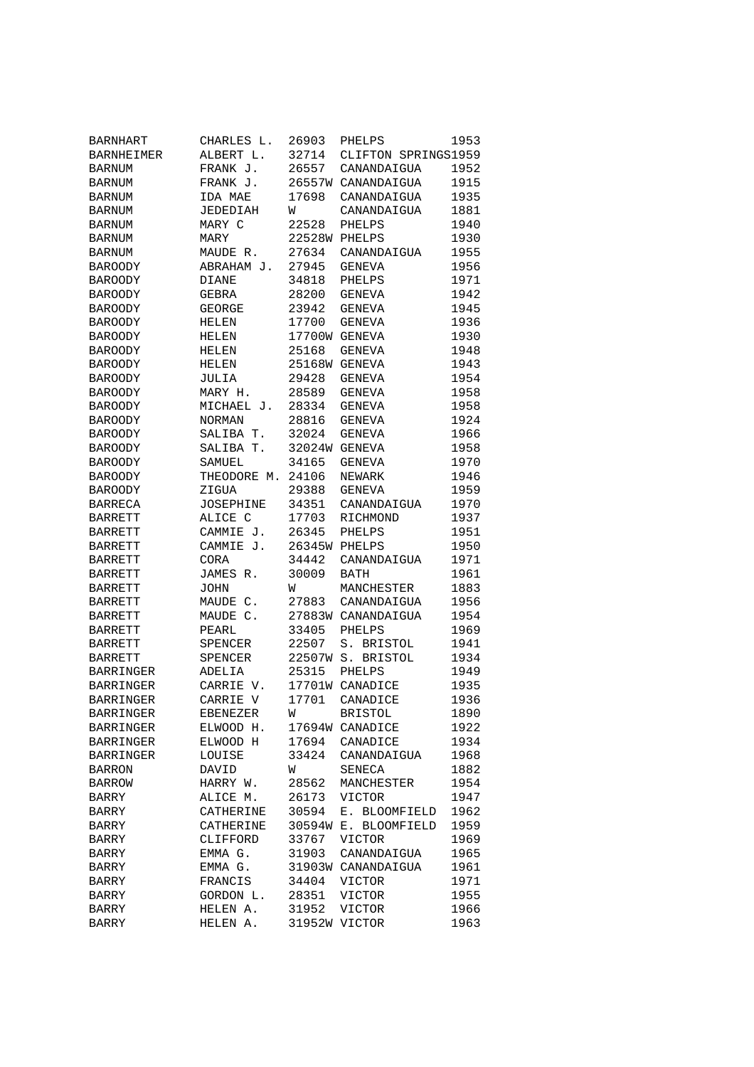| BARNHART         | CHARLES L.      | 26903         | PHELPS              | 1953 |
|------------------|-----------------|---------------|---------------------|------|
| BARNHEIMER       | ALBERT L.       | 32714         | CLIFTON SPRINGS1959 |      |
| <b>BARNUM</b>    | FRANK J.        | 26557         | CANANDAIGUA         | 1952 |
| <b>BARNUM</b>    | FRANK J.        | 26557W        | CANANDAIGUA         | 1915 |
| <b>BARNUM</b>    | IDA MAE         | 17698         | CANANDAIGUA         | 1935 |
| <b>BARNUM</b>    | <b>JEDEDIAH</b> | W             | CANANDAIGUA         | 1881 |
| <b>BARNUM</b>    | MARY C          | 22528         | PHELPS              | 1940 |
| <b>BARNUM</b>    | MARY            | 22528W        | PHELPS              | 1930 |
| <b>BARNUM</b>    | MAUDE R.        | 27634         | CANANDAIGUA         | 1955 |
| <b>BAROODY</b>   | ABRAHAM J.      | 27945         | GENEVA              | 1956 |
| <b>BAROODY</b>   | <b>DIANE</b>    | 34818         | PHELPS              | 1971 |
| <b>BAROODY</b>   | GEBRA           | 28200         | GENEVA              | 1942 |
| <b>BAROODY</b>   | <b>GEORGE</b>   | 23942         | <b>GENEVA</b>       | 1945 |
| <b>BAROODY</b>   | HELEN           | 17700         | GENEVA              | 1936 |
| <b>BAROODY</b>   | HELEN           | 17700W GENEVA |                     | 1930 |
| <b>BAROODY</b>   | HELEN           | 25168         | <b>GENEVA</b>       | 1948 |
| <b>BAROODY</b>   | HELEN           | 25168W        | <b>GENEVA</b>       | 1943 |
| <b>BAROODY</b>   | JULIA           | 29428         | GENEVA              | 1954 |
| <b>BAROODY</b>   | MARY H.         | 28589         | <b>GENEVA</b>       | 1958 |
| <b>BAROODY</b>   | MICHAEL J.      | 28334         | <b>GENEVA</b>       | 1958 |
| <b>BAROODY</b>   | <b>NORMAN</b>   | 28816         | <b>GENEVA</b>       | 1924 |
| <b>BAROODY</b>   | SALIBA T.       | 32024         | GENEVA              | 1966 |
| <b>BAROODY</b>   | SALIBA T.       | 32024W        | <b>GENEVA</b>       | 1958 |
| <b>BAROODY</b>   | SAMUEL          | 34165         | GENEVA              | 1970 |
| <b>BAROODY</b>   | THEODORE M.     | 24106         | NEWARK              | 1946 |
| <b>BAROODY</b>   | ZIGUA           | 29388         | <b>GENEVA</b>       | 1959 |
| BARRECA          | JOSEPHINE       | 34351         | CANANDAIGUA         | 1970 |
| <b>BARRETT</b>   | ALICE C         | 17703         | RICHMOND            | 1937 |
| <b>BARRETT</b>   | CAMMIE J.       | 26345         | PHELPS              | 1951 |
| <b>BARRETT</b>   | CAMMIE J.       | 26345W        | PHELPS              | 1950 |
| <b>BARRETT</b>   | CORA            | 34442         | CANANDAIGUA         | 1971 |
| <b>BARRETT</b>   | JAMES R.        | 30009         | BATH                | 1961 |
| <b>BARRETT</b>   | <b>JOHN</b>     | W             | MANCHESTER          | 1883 |
| <b>BARRETT</b>   | MAUDE C.        | 27883         | CANANDAIGUA         | 1956 |
| BARRETT          | MAUDE C.        | 27883W        | CANANDAIGUA         | 1954 |
| <b>BARRETT</b>   | PEARL           | 33405         | PHELPS              | 1969 |
| <b>BARRETT</b>   | SPENCER         | 22507         | S. BRISTOL          | 1941 |
| <b>BARRETT</b>   | <b>SPENCER</b>  |               | 22507W S. BRISTOL   | 1934 |
| <b>BARRINGER</b> | ADELIA          | 25315         | PHELPS              | 1949 |
| <b>BARRINGER</b> | CARRIE V.       |               | 17701W CANADICE     | 1935 |
| <b>BARRINGER</b> | CARRIE V        | 17701         | CANADICE            | 1936 |
| BARRINGER        | EBENEZER        | <b>W</b>      | BRISTOL             | 1890 |
| BARRINGER        | ELWOOD H.       |               | 17694W CANADICE     | 1922 |
| BARRINGER        | ELWOOD H        | 17694         | CANADICE            | 1934 |
| BARRINGER        | LOUISE          | 33424         | CANANDAIGUA         | 1968 |
| <b>BARRON</b>    | DAVID           | W             | SENECA              | 1882 |
| BARROW           | HARRY W.        | 28562         | MANCHESTER          | 1954 |
| BARRY            | ALICE M.        | 26173         | VICTOR              | 1947 |
| BARRY            | CATHERINE       | 30594         | E. BLOOMFIELD       | 1962 |
| BARRY            | CATHERINE       | 30594W        | E. BLOOMFIELD       | 1959 |
| BARRY            | CLIFFORD        | 33767         | VICTOR              | 1969 |
| BARRY            | EMMA G.         | 31903         | CANANDAIGUA         | 1965 |
| BARRY            | EMMA G.         |               | 31903W CANANDAIGUA  | 1961 |
| BARRY            | FRANCIS         | 34404         | <b>VICTOR</b>       | 1971 |
| BARRY            | GORDON L.       | 28351         | VICTOR              | 1955 |
| BARRY            | HELEN A.        | 31952         | VICTOR              | 1966 |
| <b>BARRY</b>     | HELEN A.        | 31952W VICTOR |                     | 1963 |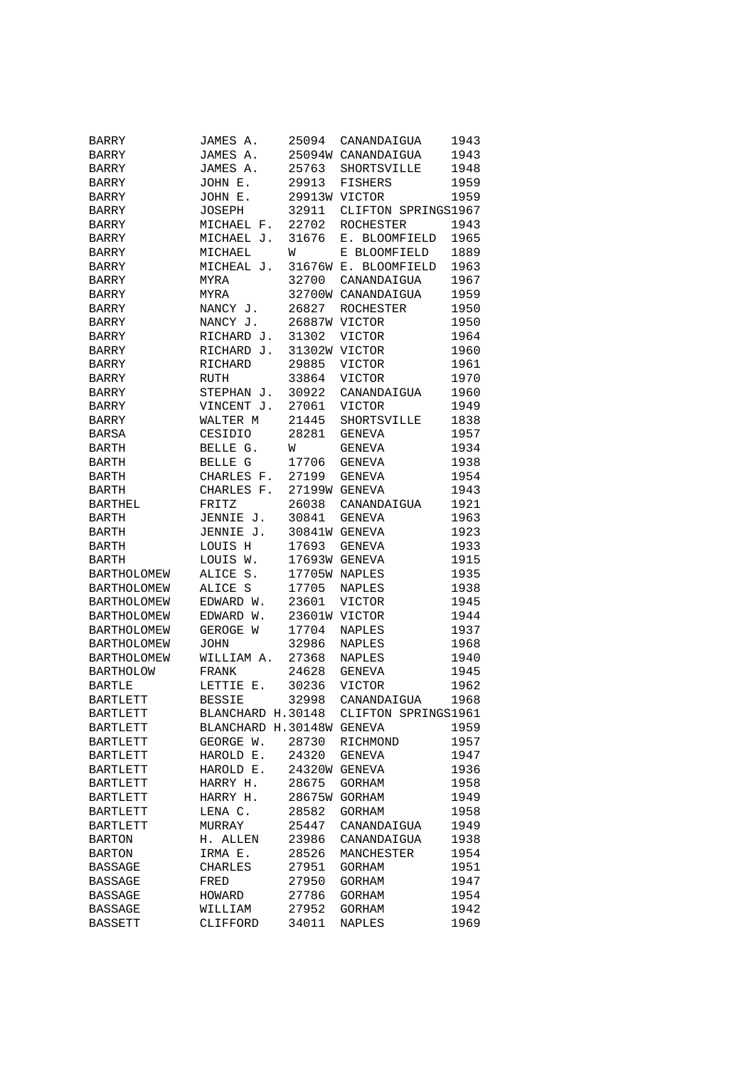| <b>BARRY</b>     | JAMES A.                  | 25094         | CANANDAIGUA                                                            | 1943 |
|------------------|---------------------------|---------------|------------------------------------------------------------------------|------|
| <b>BARRY</b>     | JAMES A.                  |               | 25094W CANANDAIGUA                                                     | 1943 |
| <b>BARRY</b>     | JAMES A.                  | 25763         | SHORTSVILLE                                                            | 1948 |
| <b>BARRY</b>     | JOHN E.                   | 29913         | FISHERS                                                                | 1959 |
| <b>BARRY</b>     | JOHN E.                   |               | 29913W VICTOR                                                          | 1959 |
| <b>BARRY</b>     | JOSEPH                    |               | 32911 CLIFTON SPRINGS1967                                              |      |
| <b>BARRY</b>     |                           |               |                                                                        |      |
| <b>BARRY</b>     |                           |               | MICHAEL F. 22702 ROCHESTER 1943<br>MICHAEL J. 31676 E. BLOOMFIELD 1965 |      |
| <b>BARRY</b>     | MICHAEL                   | <b>W</b>      | E BLOOMFIELD                                                           | 1889 |
| <b>BARRY</b>     |                           |               | MICHEAL J. 31676W E. BLOOMFIELD                                        | 1963 |
| <b>BARRY</b>     | MYRA                      |               | 32700 CANANDAIGUA                                                      | 1967 |
| BARRY            | MYRA                      |               | 32700W CANANDAIGUA                                                     | 1959 |
| <b>BARRY</b>     | NANCY J.                  | 26827         | ROCHESTER                                                              | 1950 |
| <b>BARRY</b>     | NANCY J.                  | 26887W VICTOR |                                                                        | 1950 |
| <b>BARRY</b>     | RICHARD J. 31302          |               | VICTOR                                                                 | 1964 |
| <b>BARRY</b>     | RICHARD J.                |               | 31302W VICTOR                                                          | 1960 |
| <b>BARRY</b>     | RICHARD                   | 29885         | VICTOR                                                                 | 1961 |
| <b>BARRY</b>     | <b>RUTH</b>               | 33864         | VICTOR                                                                 | 1970 |
| <b>BARRY</b>     | STEPHAN J.                |               | 30922 CANANDAIGUA                                                      | 1960 |
| <b>BARRY</b>     | VINCENT J.                | 27061         | VICTOR                                                                 | 1949 |
| <b>BARRY</b>     | WALTER M                  |               | 21445 SHORTSVILLE                                                      | 1838 |
| BARSA            | CESIDIO                   |               | 28281 GENEVA                                                           | 1957 |
| BARTH            | BELLE G.                  | <b>M</b>      | <b>GENEVA</b>                                                          | 1934 |
| BARTH            | BELLE G                   |               | 17706 GENEVA                                                           | 1938 |
| <b>BARTH</b>     | CHARLES F.                | 27199         | GENEVA                                                                 | 1954 |
| <b>BARTH</b>     | CHARLES F.                |               | 27199W GENEVA                                                          | 1943 |
| BARTHEL          | FRITZ                     |               | 26038 CANANDAIGUA                                                      | 1921 |
| <b>BARTH</b>     | JENNIE J.                 | 30841         | GENEVA                                                                 | 1963 |
| <b>BARTH</b>     | JENNIE J.                 |               | 30841W GENEVA                                                          | 1923 |
| <b>BARTH</b>     | LOUIS H                   |               | 17693 GENEVA                                                           | 1933 |
| <b>BARTH</b>     | LOUIS W.                  |               | 17693W GENEVA                                                          | 1915 |
| BARTHOLOMEW      | ALICE S.                  |               | 17705W NAPLES                                                          | 1935 |
| BARTHOLOMEW      | ALICE S                   | 17705         | NAPLES                                                                 | 1938 |
| BARTHOLOMEW      | EDWARD W.                 | 23601         | VICTOR                                                                 | 1945 |
| BARTHOLOMEW      | EDWARD W.                 |               | 23601W VICTOR                                                          | 1944 |
| BARTHOLOMEW      | GEROGE W                  | 17704         | NAPLES                                                                 | 1937 |
| BARTHOLOMEW      | <b>JOHN</b>               | 32986         | NAPLES                                                                 | 1968 |
| BARTHOLOMEW      | WILLIAM A.<br>PRANK       | 27368         | NAPLES                                                                 | 1940 |
| <b>BARTHOLOW</b> | FRANK                     | 24628         | GENEVA                                                                 | 1945 |
| <b>BARTLE</b>    | LETTIE E.                 | 30236         | <b>VICTOR</b>                                                          | 1962 |
| BARTLETT         | BESSIE                    |               | 32998 CANANDAIGUA                                                      | 1968 |
| <b>BARTLETT</b>  | BLANCHARD H.30148         |               | CLIFTON SPRINGS1961                                                    |      |
| BARTLETT         | BLANCHARD H.30148W GENEVA |               |                                                                        | 1959 |
| <b>BARTLETT</b>  | GEORGE W.                 | 28730         | RICHMOND                                                               | 1957 |
| <b>BARTLETT</b>  | HAROLD E.                 | 24320         | GENEVA                                                                 | 1947 |
| BARTLETT         | HAROLD E.                 |               | 24320W GENEVA                                                          | 1936 |
| <b>BARTLETT</b>  | HARRY H.                  | 28675         | GORHAM                                                                 | 1958 |
| <b>BARTLETT</b>  | HARRY H.                  | 28675W        | GORHAM                                                                 | 1949 |
| BARTLETT         | LENA C.                   | 28582         | GORHAM                                                                 | 1958 |
| <b>BARTLETT</b>  | MURRAY                    | 25447         | CANANDAIGUA                                                            | 1949 |
| <b>BARTON</b>    | H. ALLEN                  | 23986         | CANANDAIGUA                                                            | 1938 |
| <b>BARTON</b>    | IRMA E.                   | 28526         | MANCHESTER                                                             | 1954 |
| BASSAGE          | CHARLES                   | 27951         | GORHAM                                                                 | 1951 |
| BASSAGE          | FRED                      | 27950         | GORHAM                                                                 | 1947 |
| <b>BASSAGE</b>   | HOWARD                    | 27786         | GORHAM                                                                 | 1954 |
| <b>BASSAGE</b>   | WILLIAM                   | 27952         | GORHAM                                                                 | 1942 |
| <b>BASSETT</b>   | CLIFFORD                  | 34011         | NAPLES                                                                 | 1969 |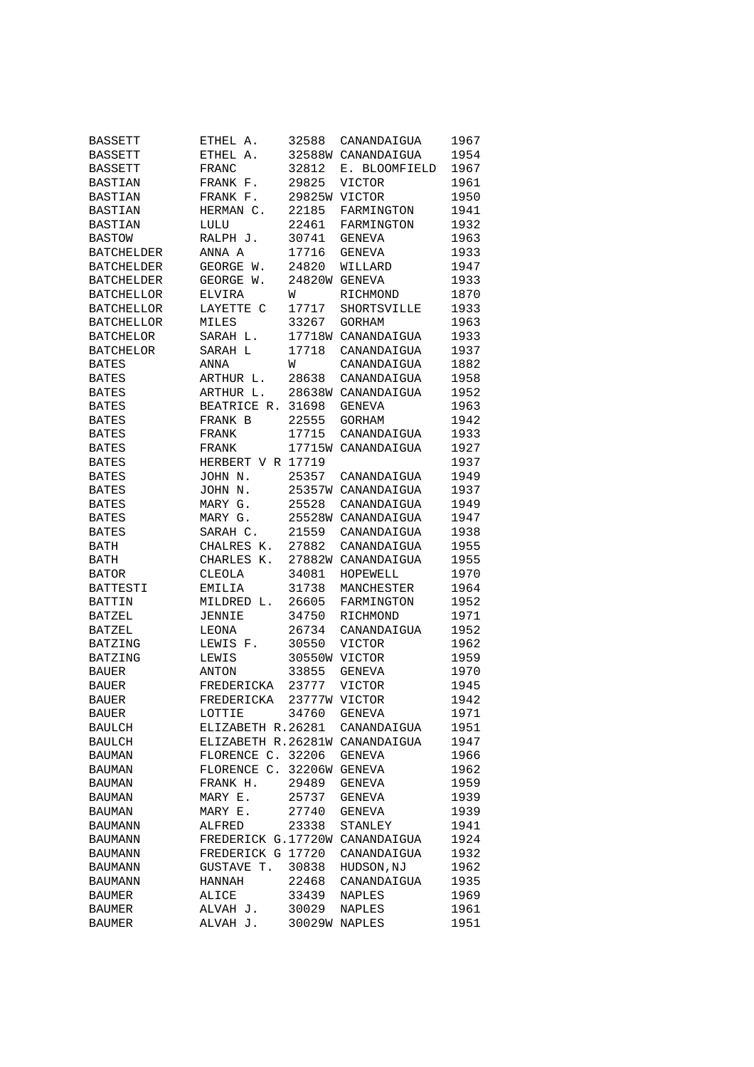| BASSETT           | ETHEL A.                       | 32588         | CANANDAIGUA        | 1967 |
|-------------------|--------------------------------|---------------|--------------------|------|
| <b>BASSETT</b>    | ETHEL A.                       | 32588W        | CANANDAIGUA        | 1954 |
| <b>BASSETT</b>    | FRANC                          | 32812         | E. BLOOMFIELD      | 1967 |
| BASTIAN           | FRANK F.                       | 29825         | VICTOR             | 1961 |
| BASTIAN           | FRANK F.                       | 29825W        | VICTOR             | 1950 |
| BASTIAN           | HERMAN C.                      | 22185         | FARMINGTON         | 1941 |
| BASTIAN           | LULU                           | 22461         | FARMINGTON         | 1932 |
| <b>BASTOW</b>     | RALPH J.                       | 30741         | <b>GENEVA</b>      | 1963 |
| <b>BATCHELDER</b> | ANNA A                         | 17716         | GENEVA             | 1933 |
| BATCHELDER        | GEORGE W.                      | 24820         | WILLARD            | 1947 |
| <b>BATCHELDER</b> | GEORGE W.                      | 24820W GENEVA |                    | 1933 |
| <b>BATCHELLOR</b> | ELVIRA                         | W             | RICHMOND           | 1870 |
| <b>BATCHELLOR</b> | LAYETTE C                      | 17717         | SHORTSVILLE        | 1933 |
| <b>BATCHELLOR</b> | MILES                          | 33267         | GORHAM             | 1963 |
|                   |                                |               |                    |      |
| <b>BATCHELOR</b>  | SARAH L.                       |               | 17718W CANANDAIGUA | 1933 |
| <b>BATCHELOR</b>  | SARAH L                        | 17718         | CANANDAIGUA        | 1937 |
| <b>BATES</b>      | ANNA                           | W             | CANANDAIGUA        | 1882 |
| <b>BATES</b>      | ARTHUR L.                      | 28638         | CANANDAIGUA        | 1958 |
| <b>BATES</b>      | ARTHUR L.                      |               | 28638W CANANDAIGUA | 1952 |
| <b>BATES</b>      | BEATRICE R.                    | 31698         | <b>GENEVA</b>      | 1963 |
| <b>BATES</b>      | FRANK B                        | 22555         | GORHAM             | 1942 |
| <b>BATES</b>      | FRANK                          | 17715         | CANANDAIGUA        | 1933 |
| <b>BATES</b>      | FRANK                          | 17715W        | CANANDAIGUA        | 1927 |
| <b>BATES</b>      | HERBERT V R 17719              |               |                    | 1937 |
| <b>BATES</b>      | JOHN N.                        | 25357         | CANANDAIGUA        | 1949 |
| <b>BATES</b>      | JOHN N.                        | 25357W        | CANANDAIGUA        | 1937 |
| <b>BATES</b>      | MARY G.                        | 25528         | CANANDAIGUA        | 1949 |
| <b>BATES</b>      | MARY G.                        |               | 25528W CANANDAIGUA | 1947 |
| <b>BATES</b>      | SARAH C.                       | 21559         | CANANDAIGUA        | 1938 |
| <b>BATH</b>       | CHALRES K.                     | 27882         | CANANDAIGUA        | 1955 |
| <b>BATH</b>       | CHARLES K.                     |               | 27882W CANANDAIGUA | 1955 |
| <b>BATOR</b>      | CLEOLA                         | 34081         | HOPEWELL           | 1970 |
| <b>BATTESTI</b>   | EMILIA                         | 31738         | MANCHESTER         | 1964 |
| BATTIN            | MILDRED L.                     | 26605         | FARMINGTON         | 1952 |
| BATZEL            | JENNIE                         | 34750         | RICHMOND           | 1971 |
| <b>BATZEL</b>     | LEONA                          | 26734         | CANANDAIGUA        | 1952 |
| BATZING           | LEWIS F.                       | 30550         | VICTOR             | 1962 |
| <b>BATZING</b>    | LEWIS                          | 30550W VICTOR |                    | 1959 |
| <b>BAUER</b>      | ANTON                          | 33855         | <b>GENEVA</b>      | 1970 |
| <b>BAUER</b>      | FREDERICKA                     | 23777         | <b>VICTOR</b>      | 1945 |
| <b>BAUER</b>      | FREDERICKA                     | 23777W VICTOR |                    | 1942 |
| BAUER             | LOTTIE                         | 34760         | GENEVA             | 1971 |
| BAULCH            | ELIZABETH R.26281              |               | CANANDAIGUA        | 1951 |
| BAULCH            | ELIZABETH R.26281W CANANDAIGUA |               |                    | 1947 |
| <b>BAUMAN</b>     | FLORENCE C. 32206              |               | GENEVA             | 1966 |
| BAUMAN            | FLORENCE C. 32206W GENEVA      |               |                    | 1962 |
| BAUMAN            | FRANK H.                       | 29489         | GENEVA             | 1959 |
| BAUMAN            | MARY E.                        | 25737         | GENEVA             | 1939 |
| BAUMAN            | MARY E.                        | 27740         | GENEVA             | 1939 |
| BAUMANN           | ALFRED                         | 23338         | STANLEY            | 1941 |
| BAUMANN           | FREDERICK G.17720W CANANDAIGUA |               |                    | 1924 |
| BAUMANN           | FREDERICK G 17720              |               | CANANDAIGUA        | 1932 |
| BAUMANN           | GUSTAVE T.                     | 30838         | HUDSON, NJ         | 1962 |
| BAUMANN           | HANNAH                         | 22468         | CANANDAIGUA        | 1935 |
| BAUMER            | ALICE                          | 33439         | NAPLES             | 1969 |
| <b>BAUMER</b>     | ALVAH J.                       | 30029         | NAPLES             | 1961 |
| <b>BAUMER</b>     | ALVAH J.                       | 30029W NAPLES |                    | 1951 |
|                   |                                |               |                    |      |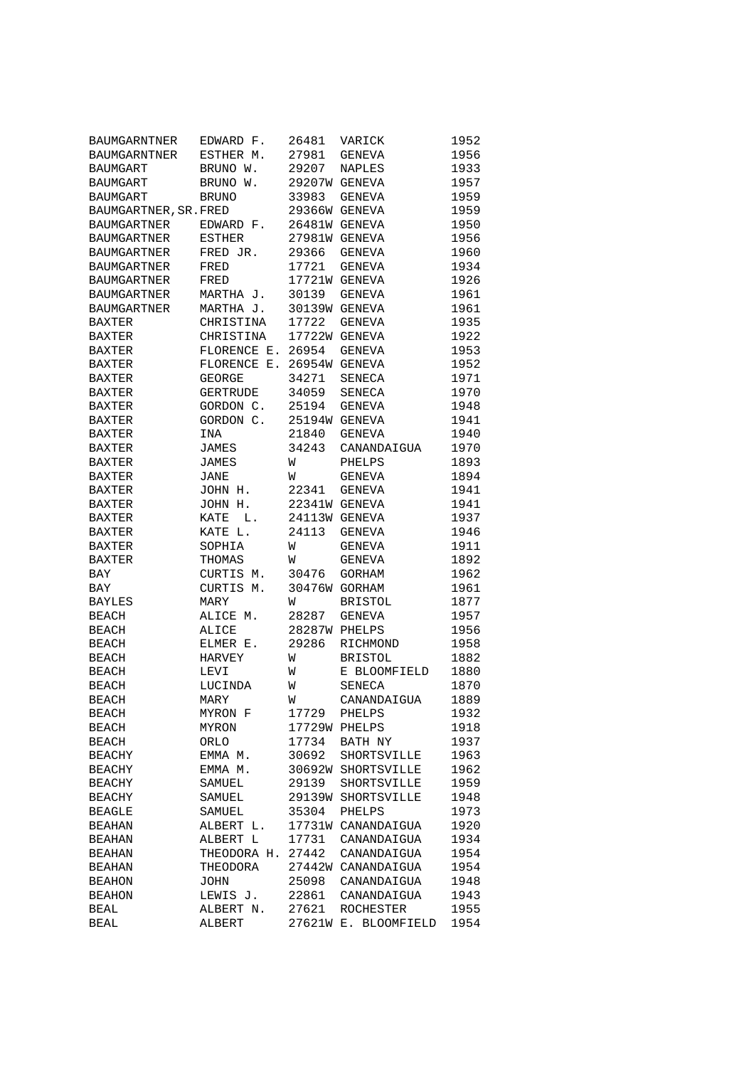| BAUMGARNTNER           | EDWARD F.                 | 26481         | VARICK                            | 1952         |
|------------------------|---------------------------|---------------|-----------------------------------|--------------|
| <b>BAUMGARNTNER</b>    | ESTHER M.                 | 27981         | GENEVA                            | 1956         |
| BAUMGART               | BRUNO W.                  | 29207         | NAPLES                            | 1933         |
| BAUMGART               | BRUNO W.                  |               | 29207W GENEVA                     | 1957         |
| BAUMGART               | <b>BRUNO</b>              | 33983         | GENEVA                            | 1959         |
| BAUMGARTNER, SR. FRED  |                           |               | 29366W GENEVA                     | 1959         |
| BAUMGARTNER            | EDWARD F.                 |               | 26481W GENEVA                     | 1950         |
| BAUMGARTNER            | <b>ESTHER</b>             |               | 27981W GENEVA                     | 1956         |
| BAUMGARTNER            | FRED JR.                  | 29366         | GENEVA                            | 1960         |
| BAUMGARTNER            | FRED                      | 17721         | GENEVA                            | 1934         |
| BAUMGARTNER            | FRED                      |               | 17721W GENEVA                     | 1926         |
| BAUMGARTNER            | MARTHA J.                 | 30139         | GENEVA                            | 1961         |
| BAUMGARTNER            | MARTHA J.                 |               | 30139W GENEVA                     | 1961         |
| <b>BAXTER</b>          | CHRISTINA                 | 17722         | GENEVA                            | 1935         |
| <b>BAXTER</b>          | CHRISTINA                 |               | 17722W GENEVA                     | 1922         |
| <b>BAXTER</b>          | FLORENCE E. 26954         |               | GENEVA                            | 1953         |
| <b>BAXTER</b>          | FLORENCE E. 26954W GENEVA |               |                                   | 1952         |
| <b>BAXTER</b>          | GEORGE                    | 34271         | SENECA                            | 1971         |
| <b>BAXTER</b>          | GERTRUDE                  | 34059         | SENECA                            | 1970         |
| <b>BAXTER</b>          | GORDON C.                 | 25194         | GENEVA                            | 1948         |
| <b>BAXTER</b>          | GORDON C.                 |               | 25194W GENEVA                     | 1941         |
| <b>BAXTER</b>          | INA                       |               | 21840 GENEVA                      | 1940         |
| <b>BAXTER</b>          | JAMES                     |               | 34243 CANANDAIGUA                 | 1970         |
| BAXTER                 | JAMES                     | W             | PHELPS                            | 1893         |
| <b>BAXTER</b>          | <b>JANE</b>               | <b>W</b>      | <b>GENEVA</b>                     | 1894         |
| <b>BAXTER</b>          | JOHN H.                   | 22341         | GENEVA                            | 1941         |
| BAXTER                 | JOHN H.                   |               | 22341W GENEVA                     | 1941         |
| <b>BAXTER</b>          | KATE<br>L.                |               | 24113W GENEVA                     | 1937         |
| <b>BAXTER</b>          | KATE L.                   | 24113         | GENEVA                            | 1946         |
| <b>BAXTER</b>          | SOPHIA                    | W             | GENEVA                            | 1911         |
| <b>BAXTER</b>          | THOMAS                    | <b>W</b>      | GENEVA                            | 1892         |
| BAY                    | CURTIS M.                 | 30476         | GORHAM                            | 1962         |
| BAY                    | CURTIS M.                 |               | 30476W GORHAM                     | 1961         |
| <b>BAYLES</b>          | MARY                      | <b>W</b>      | <b>BRISTOL</b>                    | 1877         |
| <b>BEACH</b>           | ALICE M.                  | 28287         | <b>GENEVA</b>                     | 1957         |
| <b>BEACH</b>           | ALICE                     | 28287W PHELPS |                                   | 1956         |
| $\operatorname{BEACH}$ | ELMER E.                  | 29286         | RICHMOND                          | 1958         |
| <b>BEACH</b>           | <b>HARVEY</b>             | ${\bf M}$     | <b>BRISTOL</b>                    | 1882         |
| <b>BEACH</b>           | LEVI                      | W             | E BLOOMFIELD                      | 1880         |
| <b>BEACH</b>           | LUCINDA                   | W             | <b>SENECA</b>                     | 1870         |
| BEACH                  | MARY                      | <b>W</b>      | CANANDAIGUA                       | 1889         |
|                        |                           | 17729         | PHELPS                            | 1932         |
| BEACH<br>BEACH         | MYRON F                   |               | 17729W PHELPS                     |              |
| <b>BEACH</b>           | MYRON<br>ORLO             | 17734         | BATH NY                           | 1918<br>1937 |
| <b>BEACHY</b>          | EMMA M.                   | 30692         | SHORTSVILLE                       | 1963         |
|                        |                           | 30692W        | SHORTSVILLE                       | 1962         |
| BEACHY                 | EMMA M.<br>SAMUEL         | 29139         |                                   | 1959         |
| BEACHY                 | SAMUEL                    |               | SHORTSVILLE<br>29139W SHORTSVILLE |              |
| BEACHY                 |                           |               |                                   | 1948         |
| <b>BEAGLE</b>          | SAMUEL                    | 35304         | PHELPS                            | 1973         |
| <b>BEAHAN</b>          | ALBERT L.                 |               | 17731W CANANDAIGUA                | 1920         |
| BEAHAN                 | ALBERT L                  |               | 17731 CANANDAIGUA                 | 1934         |
| BEAHAN                 | THEODORA H.               | 27442         | CANANDAIGUA                       | 1954         |
| BEAHAN                 | THEODORA                  |               | 27442W CANANDAIGUA                | 1954         |
| <b>BEAHON</b>          | JOHN                      |               | 25098 CANANDAIGUA                 | 1948         |
| <b>BEAHON</b>          | LEWIS J.                  | 22861         | CANANDAIGUA                       | 1943         |
| BEAL                   | ALBERT N.                 | 27621         | ROCHESTER                         | 1955         |
| <b>BEAL</b>            | ALBERT                    |               | 27621W E. BLOOMFIELD              | 1954         |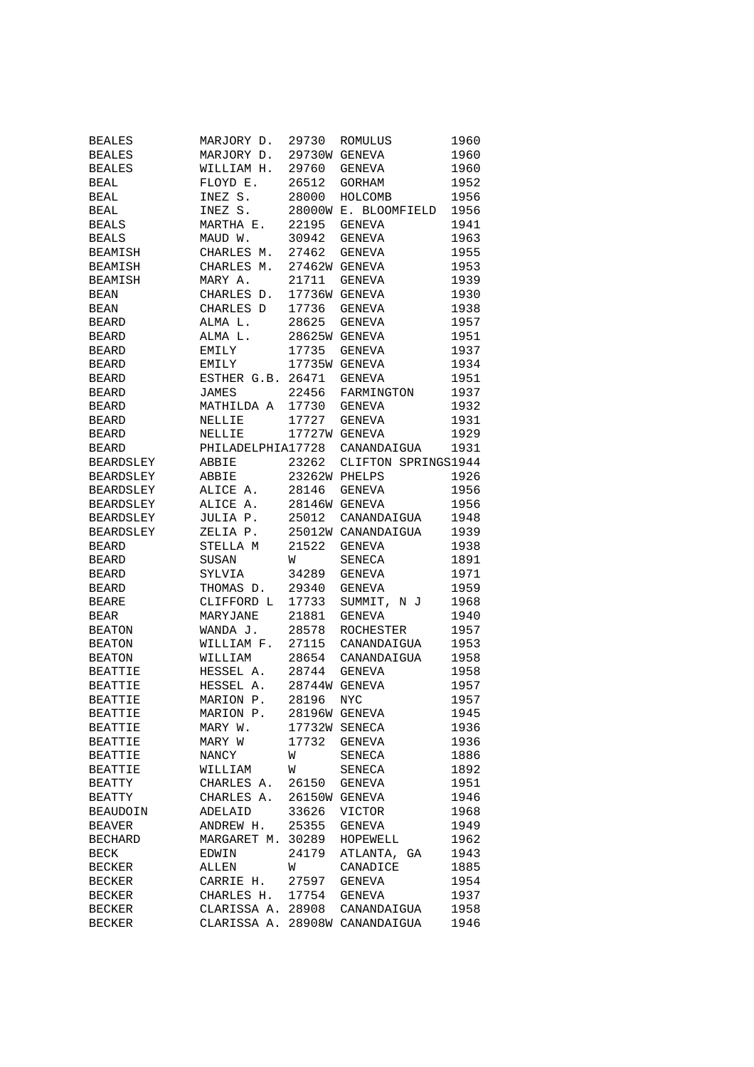| <b>BEALES</b>    | MARJORY D.                     | 29730         | <b>ROMULUS</b>            | 1960 |
|------------------|--------------------------------|---------------|---------------------------|------|
| <b>BEALES</b>    | MARJORY D.                     | 29730W GENEVA |                           | 1960 |
| <b>BEALES</b>    | WILLIAM H.                     | 29760         | GENEVA                    | 1960 |
| BEAL             | FLOYD E.                       | 26512         | GORHAM                    | 1952 |
| <b>BEAL</b>      | INEZ S.                        | 28000         | HOLCOMB                   | 1956 |
| <b>BEAL</b>      | INEZ S.                        |               | 28000W E. BLOOMFIELD      | 1956 |
| <b>BEALS</b>     | MARTHA E.                      | 22195         | <b>GENEVA</b>             | 1941 |
| <b>BEALS</b>     | MAUD W.                        | 30942         | GENEVA                    | 1963 |
| BEAMISH          | CHARLES M.                     | 27462         | GENEVA                    | 1955 |
| <b>BEAMISH</b>   | CHARLES M.                     | 27462W GENEVA |                           | 1953 |
| <b>BEAMISH</b>   | MARY A.                        | 21711         | <b>GENEVA</b>             | 1939 |
| BEAN             | CHARLES D.                     | 17736W GENEVA |                           | 1930 |
| <b>BEAN</b>      | CHARLES D                      | 17736         | GENEVA                    | 1938 |
| <b>BEARD</b>     | ALMA L.                        | 28625         | <b>GENEVA</b>             | 1957 |
| <b>BEARD</b>     | ALMA L.                        | 28625W GENEVA |                           | 1951 |
| <b>BEARD</b>     | EMILY                          | 17735         | <b>GENEVA</b>             | 1937 |
| <b>BEARD</b>     | EMILY                          | 17735W GENEVA |                           | 1934 |
| <b>BEARD</b>     | ESTHER G.B. 26471              |               | GENEVA                    | 1951 |
| <b>BEARD</b>     | JAMES                          |               | 22456 FARMINGTON          | 1937 |
| <b>BEARD</b>     | MATHILDA A                     | 17730         | GENEVA                    | 1932 |
| <b>BEARD</b>     | NELLIE                         | 17727         | GENEVA                    | 1931 |
| <b>BEARD</b>     | NELLIE                         | 17727W GENEVA |                           | 1929 |
| <b>BEARD</b>     | PHILADELPHIA17728 CANANDAIGUA  |               |                           | 1931 |
| BEARDSLEY        | ABBIE                          |               | 23262 CLIFTON SPRINGS1944 |      |
| <b>BEARDSLEY</b> | ABBIE                          | 23262W PHELPS |                           | 1926 |
| <b>BEARDSLEY</b> | ALICE A.                       | 28146         | GENEVA                    | 1956 |
| <b>BEARDSLEY</b> | ALICE A.                       | 28146W GENEVA |                           | 1956 |
| <b>BEARDSLEY</b> | JULIA P.                       | 25012         | CANANDAIGUA               | 1948 |
| <b>BEARDSLEY</b> | ZELIA P.                       |               | 25012W CANANDAIGUA        | 1939 |
| <b>BEARD</b>     | STELLA M                       | 21522         | <b>GENEVA</b>             | 1938 |
| <b>BEARD</b>     | SUSAN                          | <b>W</b>      | SENECA                    | 1891 |
| <b>BEARD</b>     | SYLVIA                         | 34289         | GENEVA                    | 1971 |
| <b>BEARD</b>     | THOMAS D.                      | 29340         | GENEVA                    | 1959 |
| <b>BEARE</b>     | CLIFFORD L                     | 17733         | SUMMIT, N J               | 1968 |
| <b>BEAR</b>      | MARYJANE                       | 21881         | <b>GENEVA</b>             | 1940 |
| <b>BEATON</b>    | WANDA J.                       | 28578         | ROCHESTER                 | 1957 |
| <b>BEATON</b>    | WILLIAM F.                     | 27115         | CANANDAIGUA               | 1953 |
| <b>BEATON</b>    | WILLIAM                        | 28654         | CANANDAIGUA               | 1958 |
| <b>BEATTIE</b>   | HESSEL A.                      | 28744         | <b>GENEVA</b>             | 1958 |
| <b>BEATTIE</b>   | HESSEL A.                      | 28744W GENEVA |                           | 1957 |
| BEATTIE          | MARION P.                      | 28196         | <b>NYC</b>                | 1957 |
| BEATTIE          | MARION P.                      | 28196W GENEVA |                           | 1945 |
| <b>BEATTIE</b>   | MARY W.                        | 17732W SENECA |                           | 1936 |
| <b>BEATTIE</b>   | MARY W                         | 17732         | GENEVA                    | 1936 |
| <b>BEATTIE</b>   | NANCY                          | M             | SENECA                    | 1886 |
| <b>BEATTIE</b>   | WILLIAM                        | W             | SENECA                    | 1892 |
| BEATTY           | CHARLES A. 26150               |               | GENEVA                    | 1951 |
| BEATTY           | CHARLES A. 26150W GENEVA       |               |                           | 1946 |
| <b>BEAUDOIN</b>  | ADELAID                        | 33626         | $\verb+VICTOR+$           | 1968 |
| BEAVER           | ANDREW H.                      | 25355         | GENEVA                    | 1949 |
| BECHARD          | MARGARET M.                    | 30289         | HOPEWELL                  | 1962 |
| BECK             | EDWIN                          | 24179         | ATLANTA, GA               | 1943 |
| BECKER           | ALLEN                          | W             | CANADICE                  | 1885 |
| BECKER           | CARRIE H.                      | 27597 GENEVA  |                           | 1954 |
| <b>BECKER</b>    | CHARLES H.                     | 17754         | GENEVA                    | 1937 |
| BECKER           | CLARISSA A. 28908              |               | CANANDAIGUA               | 1958 |
| <b>BECKER</b>    | CLARISSA A. 28908W CANANDAIGUA |               |                           | 1946 |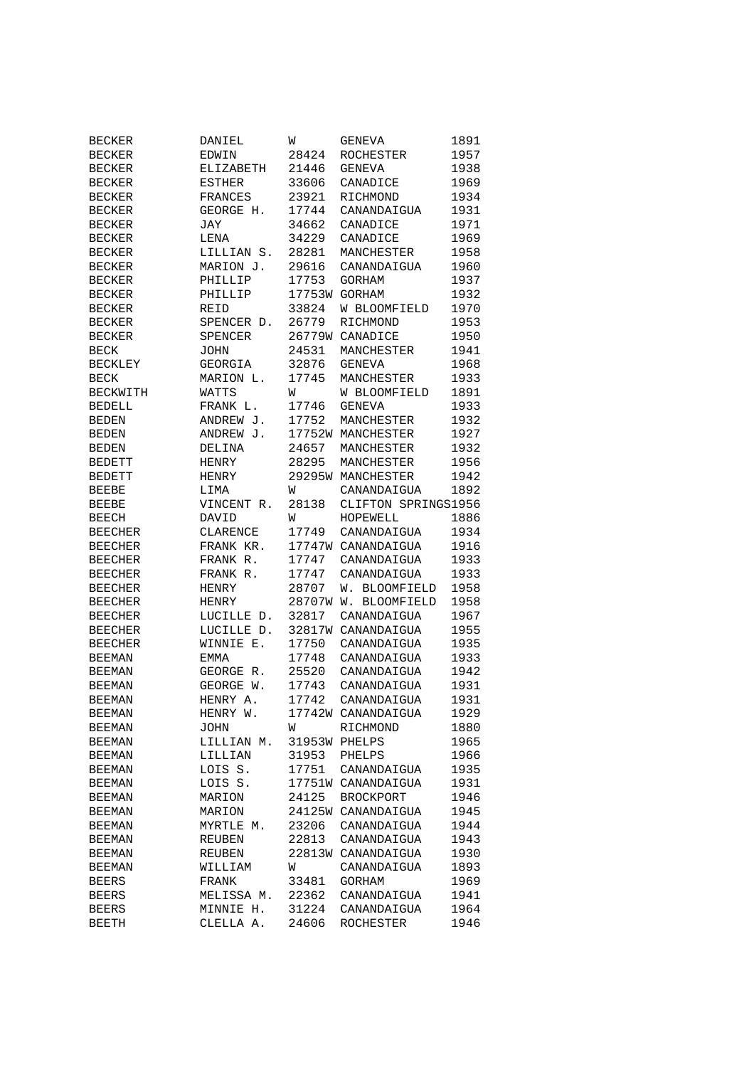| BECKER          | DANIEL                 | W             | <b>GENEVA</b>           | 1891 |
|-----------------|------------------------|---------------|-------------------------|------|
| <b>BECKER</b>   | EDWIN                  | 28424         | ROCHESTER               | 1957 |
| <b>BECKER</b>   | ELIZABETH              | 21446         | <b>GENEVA</b>           | 1938 |
| <b>BECKER</b>   | ESTHER                 | 33606         | CANADICE                | 1969 |
| <b>BECKER</b>   | FRANCES                | 23921         | RICHMOND                | 1934 |
| <b>BECKER</b>   | GEORGE H.              | 17744         | CANANDAIGUA             | 1931 |
| <b>BECKER</b>   | JAY                    | 34662         | CANADICE                | 1971 |
| <b>BECKER</b>   | LENA                   | 34229         | CANADICE                | 1969 |
| <b>BECKER</b>   | LILLIAN S.             | 28281         | MANCHESTER              | 1958 |
| BECKER          | MARION J.              | 29616         | CANANDAIGUA             | 1960 |
| <b>BECKER</b>   | PHILLIP                | 17753         | GORHAM                  | 1937 |
| <b>BECKER</b>   | PHILLIP                | 17753W        | GORHAM                  | 1932 |
| <b>BECKER</b>   | REID                   | 33824         | W BLOOMFIELD            | 1970 |
| <b>BECKER</b>   | SPENCER D.             | 26779         | RICHMOND                | 1953 |
| <b>BECKER</b>   | SPENCER                | 26779W        | CANADICE                | 1950 |
| <b>BECK</b>     | JOHN                   | 24531         | MANCHESTER              | 1941 |
| <b>BECKLEY</b>  | GEORGIA                | 32876         | <b>GENEVA</b>           | 1968 |
| <b>BECK</b>     | MARION L.              | 17745         | MANCHESTER              | 1933 |
| <b>BECKWITH</b> | WATTS                  | W             | W BLOOMFIELD            | 1891 |
| <b>BEDELL</b>   | FRANK L.               | 17746         | <b>GENEVA</b>           | 1933 |
| <b>BEDEN</b>    | ANDREW J.              | 17752         | MANCHESTER              | 1932 |
| <b>BEDEN</b>    | ANDREW J.              | 17752W        | MANCHESTER              | 1927 |
| <b>BEDEN</b>    | DELINA                 | 24657         | MANCHESTER              | 1932 |
| <b>BEDETT</b>   | HENRY                  | 28295         | MANCHESTER              | 1956 |
| <b>BEDETT</b>   | HENRY                  |               | 29295W MANCHESTER       | 1942 |
| <b>BEEBE</b>    | LIMA                   | W             | CANANDAIGUA             | 1892 |
| <b>BEEBE</b>    | VINCENT R.             | 28138         | CLIFTON SPRINGS1956     |      |
| <b>BEECH</b>    | DAVID                  | W             | HOPEWELL                | 1886 |
| <b>BEECHER</b>  | <b>CLARENCE</b>        | 17749         | CANANDAIGUA             | 1934 |
| <b>BEECHER</b>  | FRANK KR.              | 17747W        | CANANDAIGUA             | 1916 |
| <b>BEECHER</b>  | FRANK R.               | 17747         | CANANDAIGUA             | 1933 |
| <b>BEECHER</b>  | FRANK R.               | 17747         | CANANDAIGUA             | 1933 |
| <b>BEECHER</b>  | HENRY                  | 28707         | W. BLOOMFIELD           | 1958 |
| <b>BEECHER</b>  | HENRY                  | 28707W        | W.<br><b>BLOOMFIELD</b> | 1958 |
| <b>BEECHER</b>  | LUCILLE D.             | 32817         | CANANDAIGUA             | 1967 |
| <b>BEECHER</b>  | LUCILLE D.             | 32817W        | CANANDAIGUA             | 1955 |
| <b>BEECHER</b>  | WINNIE E.              | 17750         | CANANDAIGUA             | 1935 |
| <b>BEEMAN</b>   | <b>EMMA</b>            | 17748         | CANANDAIGUA             | 1933 |
| <b>BEEMAN</b>   | GEORGE R.              | 25520         | CANANDAIGUA             | 1942 |
| <b>BEEMAN</b>   | GEORGE W.              | 17743         | CANANDAIGUA             | 1931 |
| <b>BEEMAN</b>   | HENRY A.               | 17742         | CANANDAIGUA             | 1931 |
| <b>BEEMAN</b>   | HENRY W.               |               | 17742W CANANDAIGUA      | 1929 |
| <b>BEEMAN</b>   | JOHN                   | W             | RICHMOND                | 1880 |
| <b>BEEMAN</b>   | LILLIAN M.             | 31953W PHELPS |                         | 1965 |
| <b>BEEMAN</b>   | LILLIAN                | 31953         | PHELPS                  | 1966 |
| <b>BEEMAN</b>   | LOIS S.                | 17751         | CANANDAIGUA             | 1935 |
| <b>BEEMAN</b>   | LOIS S.                | 17751W        | CANANDAIGUA             | 1931 |
| <b>BEEMAN</b>   | MARION                 | 24125         | <b>BROCKPORT</b>        | 1946 |
| <b>BEEMAN</b>   | MARION                 | 24125W        | CANANDAIGUA             | 1945 |
| <b>BEEMAN</b>   | MYRTLE M.              | 23206         | CANANDAIGUA             | 1944 |
| <b>BEEMAN</b>   | REUBEN                 | 22813         | CANANDAIGUA             | 1943 |
| BEEMAN          | REUBEN                 | 22813W        | CANANDAIGUA             | 1930 |
| <b>BEEMAN</b>   | WILLIAM                | W             | CANANDAIGUA             | 1893 |
| <b>BEERS</b>    | FRANK                  | 33481         | GORHAM                  | 1969 |
| BEERS           | MELISSA M.             | 22362         | CANANDAIGUA             | 1941 |
| <b>BEERS</b>    | MINNIE H.<br>CLELLA A. | 31224         | CANANDAIGUA             | 1964 |
| <b>BEETH</b>    |                        | 24606         | ROCHESTER               | 1946 |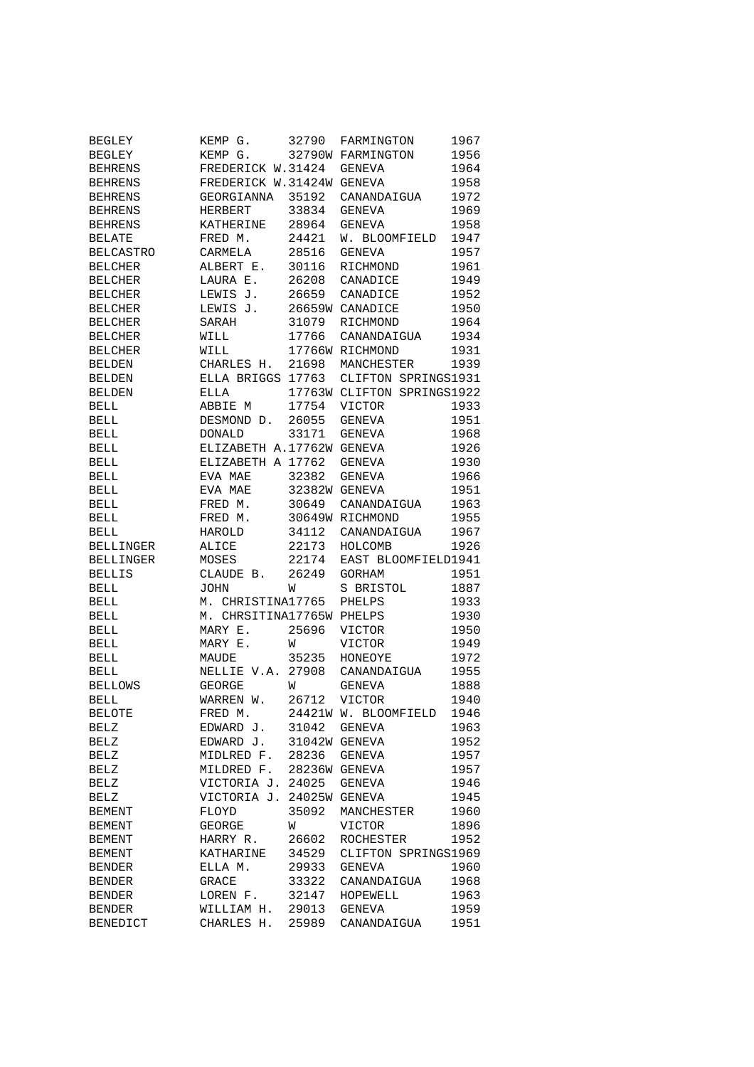| BEGLEY           | KEMP G.                   | 32790         | FARMINGTON                            | 1967 |
|------------------|---------------------------|---------------|---------------------------------------|------|
| <b>BEGLEY</b>    | KEMP G.                   |               | 32790W FARMINGTON                     | 1956 |
| <b>BEHRENS</b>   | FREDERICK W.31424         |               | <b>GENEVA</b>                         | 1964 |
| <b>BEHRENS</b>   | FREDERICK W.31424W GENEVA |               |                                       | 1958 |
| <b>BEHRENS</b>   | GEORGIANNA                | 35192         | CANANDAIGUA                           | 1972 |
| <b>BEHRENS</b>   | <b>HERBERT</b>            | 33834         | <b>GENEVA</b>                         | 1969 |
| <b>BEHRENS</b>   | KATHERINE                 | 28964         | GENEVA                                | 1958 |
| <b>BELATE</b>    | FRED M.                   | 24421         | W. BLOOMFIELD                         | 1947 |
| <b>BELCASTRO</b> | CARMELA                   | 28516         | <b>GENEVA</b>                         | 1957 |
| <b>BELCHER</b>   | ALBERT E.                 | 30116         | RICHMOND                              | 1961 |
| <b>BELCHER</b>   | LAURA E.                  | 26208         | CANADICE                              | 1949 |
| <b>BELCHER</b>   | LEWIS J.                  | 26659         | CANADICE                              | 1952 |
| <b>BELCHER</b>   | LEWIS J.                  |               | 26659W CANADICE                       | 1950 |
| <b>BELCHER</b>   | SARAH                     | 31079         | RICHMOND                              | 1964 |
| <b>BELCHER</b>   | WILL                      | 17766         | CANANDAIGUA                           | 1934 |
| <b>BELCHER</b>   | WILL                      |               | 17766W RICHMOND                       | 1931 |
| <b>BELDEN</b>    | CHARLES H. 21698          |               | MANCHESTER                            | 1939 |
| BELDEN           |                           |               | ELLA BRIGGS 17763 CLIFTON SPRINGS1931 |      |
| <b>BELDEN</b>    | <b>ELLA</b>               |               | 17763W CLIFTON SPRINGS1922            |      |
| <b>BELL</b>      | ABBIE M                   | 17754         | VICTOR                                | 1933 |
| <b>BELL</b>      | DESMOND D.                | 26055         | GENEVA                                | 1951 |
| <b>BELL</b>      | <b>DONALD</b>             | 33171         | GENEVA                                | 1968 |
| <b>BELL</b>      | ELIZABETH A.17762W GENEVA |               |                                       | 1926 |
| BELL             | ELIZABETH A 17762         |               | GENEVA                                | 1930 |
| <b>BELL</b>      | EVA MAE                   | 32382         | GENEVA                                | 1966 |
| <b>BELL</b>      | EVA MAE                   | 32382W GENEVA |                                       | 1951 |
| <b>BELL</b>      | FRED M.                   | 30649         | CANANDAIGUA                           | 1963 |
| BELL             | FRED M.                   |               | 30649W RICHMOND                       | 1955 |
| BELL             | HAROLD                    | 34112         | CANANDAIGUA                           | 1967 |
| <b>BELLINGER</b> | ALICE                     | 22173         | HOLCOMB                               | 1926 |
| <b>BELLINGER</b> | MOSES                     | 22174         | EAST BLOOMFIELD1941                   |      |
| <b>BELLIS</b>    | CLAUDE B.                 | 26249         | GORHAM                                | 1951 |
| <b>BELL</b>      | <b>JOHN</b>               | W             | S BRISTOL                             | 1887 |
| BELL             | M. CHRISTINA17765         |               | PHELPS                                | 1933 |
| <b>BELL</b>      | M. CHRSITINA17765W PHELPS |               |                                       | 1930 |
| <b>BELL</b>      | MARY E.                   | 25696         | <b>VICTOR</b>                         | 1950 |
| BELL             | MARY E.                   | M             | VICTOR                                | 1949 |
| <b>BELL</b>      | MAUDE                     | 35235         | HONEOYE                               | 1972 |
| <b>BELL</b>      | NELLIE V.A. 27908         |               | CANANDAIGUA                           | 1955 |
| <b>BELLOWS</b>   | <b>GEORGE</b>             | W             | <b>GENEVA</b>                         | 1888 |
| BELL             | WARREN W.                 | 26712         | VICTOR                                | 1940 |
| BELOTE           | FRED M.                   |               | 24421W W. BLOOMFIELD                  | 1946 |
| <b>BELZ</b>      | EDWARD J.                 | 31042         | GENEVA                                | 1963 |
| BELZ             | EDWARD J.                 |               | 31042W GENEVA                         | 1952 |
| BELZ             | MIDLRED F.                | 28236         | GENEVA                                | 1957 |
| BELZ             | MILDRED F. 28236W GENEVA  |               |                                       | 1957 |
| BELZ             | VICTORIA J. 24025         |               | GENEVA                                | 1946 |
| BELZ             | VICTORIA J. 24025W GENEVA |               |                                       | 1945 |
| BEMENT           | FLOYD                     | 35092         | MANCHESTER                            | 1960 |
| BEMENT           | GEORGE                    | W             | VICTOR                                | 1896 |
| BEMENT           | HARRY R.                  | 26602         | ROCHESTER                             | 1952 |
| BEMENT           | KATHARINE                 | 34529         | CLIFTON SPRINGS1969                   |      |
| BENDER           | ELLA M.                   | 29933         | GENEVA                                | 1960 |
| <b>BENDER</b>    | $\mathop{\text{GRACE}}$   | 33322         | CANANDAIGUA                           | 1968 |
| BENDER           | LOREN F.                  | 32147         | HOPEWELL                              | 1963 |
| BENDER           | WILLIAM H.                | 29013         | GENEVA                                | 1959 |
| <b>BENEDICT</b>  | CHARLES H.                | 25989         | CANANDAIGUA                           | 1951 |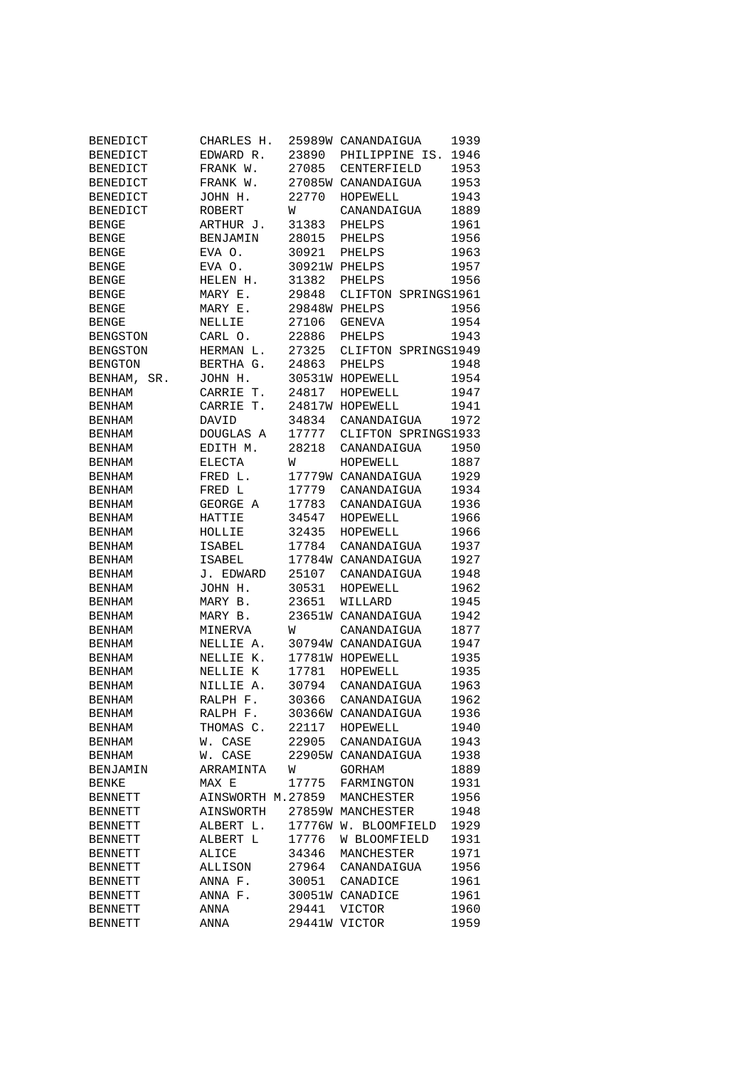| BENEDICT        | CHARLES H.        |               | 25989W CANANDAIGUA   | 1939 |
|-----------------|-------------------|---------------|----------------------|------|
| <b>BENEDICT</b> | EDWARD R.         | 23890         | PHILIPPINE IS.       | 1946 |
| <b>BENEDICT</b> | FRANK W.          | 27085         | CENTERFIELD          | 1953 |
| <b>BENEDICT</b> | FRANK W.          | 27085W        | CANANDAIGUA          | 1953 |
| <b>BENEDICT</b> | JOHN H.           | 22770         | HOPEWELL             | 1943 |
| <b>BENEDICT</b> | <b>ROBERT</b>     | W             | CANANDAIGUA          | 1889 |
| <b>BENGE</b>    | ARTHUR J.         | 31383         | PHELPS               | 1961 |
| <b>BENGE</b>    | BENJAMIN          | 28015         | PHELPS               | 1956 |
| <b>BENGE</b>    | EVA O.            | 30921         | PHELPS               | 1963 |
| <b>BENGE</b>    | EVA O.            | 30921W        | PHELPS               | 1957 |
| <b>BENGE</b>    | HELEN H.          | 31382         | PHELPS               | 1956 |
| <b>BENGE</b>    | MARY E.           | 29848         | CLIFTON SPRINGS1961  |      |
| <b>BENGE</b>    | MARY E.           |               | 29848W PHELPS        | 1956 |
| <b>BENGE</b>    | NELLIE            | 27106         | GENEVA               | 1954 |
| <b>BENGSTON</b> | CARL O.           | 22886         | PHELPS               | 1943 |
| <b>BENGSTON</b> | HERMAN L.         | 27325         | CLIFTON SPRINGS1949  |      |
| <b>BENGTON</b>  | BERTHA G.         | 24863         | PHELPS               | 1948 |
| BENHAM,<br>SR.  | JOHN H.           |               | 30531W HOPEWELL      | 1954 |
| <b>BENHAM</b>   | CARRIE T.         | 24817         | HOPEWELL             | 1947 |
| <b>BENHAM</b>   | CARRIE T.         |               | 24817W HOPEWELL      | 1941 |
| <b>BENHAM</b>   | DAVID             | 34834         | CANANDAIGUA          | 1972 |
| <b>BENHAM</b>   | DOUGLAS A         | 17777         | CLIFTON SPRINGS1933  |      |
| <b>BENHAM</b>   | EDITH M.          | 28218         | CANANDAIGUA          | 1950 |
| <b>BENHAM</b>   | ELECTA            | W             | HOPEWELL             | 1887 |
| <b>BENHAM</b>   | FRED L.           | 17779W        | CANANDAIGUA          | 1929 |
| <b>BENHAM</b>   | FRED L            | 17779         | CANANDAIGUA          | 1934 |
| <b>BENHAM</b>   | GEORGE A          | 17783         | CANANDAIGUA          | 1936 |
| <b>BENHAM</b>   | HATTIE            | 34547         | HOPEWELL             | 1966 |
| <b>BENHAM</b>   | HOLLIE            | 32435         | HOPEWELL             | 1966 |
| <b>BENHAM</b>   | ISABEL            | 17784         | CANANDAIGUA          | 1937 |
| <b>BENHAM</b>   | ISABEL            |               | 17784W CANANDAIGUA   | 1927 |
| <b>BENHAM</b>   | J. EDWARD         | 25107         | CANANDAIGUA          | 1948 |
| <b>BENHAM</b>   | JOHN H.           | 30531         | HOPEWELL             | 1962 |
| <b>BENHAM</b>   | MARY B.           | 23651         | WILLARD              | 1945 |
| <b>BENHAM</b>   | MARY B.           |               | 23651W CANANDAIGUA   | 1942 |
| <b>BENHAM</b>   | MINERVA           | W             | CANANDAIGUA          | 1877 |
| <b>BENHAM</b>   | NELLIE A.         |               | 30794W CANANDAIGUA   | 1947 |
| <b>BENHAM</b>   | NELLIE K.         |               | 17781W HOPEWELL      | 1935 |
| <b>BENHAM</b>   | NELLIE K          | 17781         | HOPEWELL             | 1935 |
| <b>BENHAM</b>   | NILLIE A.         | 30794         | CANANDAIGUA          | 1963 |
| <b>BENHAM</b>   | RALPH F.          |               | 30366 CANANDAIGUA    | 1962 |
| BENHAM          | RALPH F.          |               | 30366W CANANDAIGUA   | 1936 |
| BENHAM          | THOMAS C.         | 22117         | HOPEWELL             | 1940 |
| <b>BENHAM</b>   | W. CASE           | 22905         | CANANDAIGUA          | 1943 |
| <b>BENHAM</b>   | W. CASE           |               | 22905W CANANDAIGUA   | 1938 |
| BENJAMIN        | ARRAMINTA         | W             | GORHAM               | 1889 |
| <b>BENKE</b>    | MAX E             | 17775         | FARMINGTON           | 1931 |
| <b>BENNETT</b>  | AINSWORTH M.27859 |               | MANCHESTER           | 1956 |
| <b>BENNETT</b>  | AINSWORTH         |               | 27859W MANCHESTER    | 1948 |
| <b>BENNETT</b>  | ALBERT L.         |               | 17776W W. BLOOMFIELD | 1929 |
| <b>BENNETT</b>  | ALBERT L          | 17776         | W BLOOMFIELD         | 1931 |
| <b>BENNETT</b>  | ALICE             | 34346         | MANCHESTER           | 1971 |
| <b>BENNETT</b>  | ALLISON           | 27964         | CANANDAIGUA          | 1956 |
| <b>BENNETT</b>  | ANNA F.           | 30051         | CANADICE             | 1961 |
| <b>BENNETT</b>  | ANNA F.           |               | 30051W CANADICE      | 1961 |
| <b>BENNETT</b>  | ANNA              | 29441         | <b>VICTOR</b>        | 1960 |
| <b>BENNETT</b>  | <b>ANNA</b>       | 29441W VICTOR |                      | 1959 |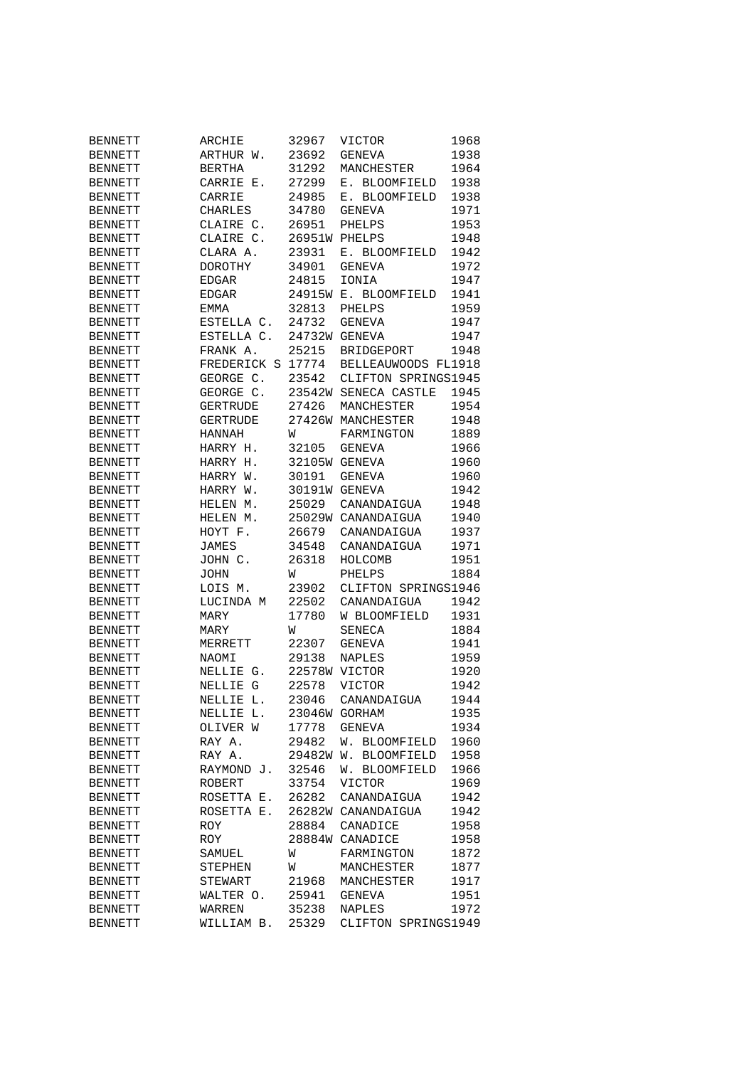| <b>BENNETT</b> | ARCHIE            | 32967         | VICTOR                  | 1968 |
|----------------|-------------------|---------------|-------------------------|------|
| <b>BENNETT</b> | ARTHUR W.         | 23692         | GENEVA                  | 1938 |
| <b>BENNETT</b> | <b>BERTHA</b>     | 31292         | MANCHESTER              | 1964 |
| <b>BENNETT</b> | CARRIE E.         | 27299         | Е.<br><b>BLOOMFIELD</b> | 1938 |
| <b>BENNETT</b> | CARRIE            | 24985         | <b>BLOOMFIELD</b><br>Е. | 1938 |
| <b>BENNETT</b> | CHARLES           | 34780         | GENEVA                  | 1971 |
| <b>BENNETT</b> | CLAIRE C.         | 26951         | PHELPS                  | 1953 |
| <b>BENNETT</b> | CLAIRE C.         |               | 26951W PHELPS           | 1948 |
| <b>BENNETT</b> | CLARA A.          | 23931         | E. BLOOMFIELD           | 1942 |
| <b>BENNETT</b> | DOROTHY           | 34901         | GENEVA                  | 1972 |
| <b>BENNETT</b> | EDGAR             | 24815         | IONIA                   | 1947 |
| <b>BENNETT</b> | EDGAR             | 24915W        | E. BLOOMFIELD           | 1941 |
| <b>BENNETT</b> | <b>EMMA</b>       | 32813         | PHELPS                  | 1959 |
| <b>BENNETT</b> | ESTELLA C.        | 24732         | GENEVA                  | 1947 |
| <b>BENNETT</b> | ESTELLA C.        | 24732W GENEVA |                         | 1947 |
| <b>BENNETT</b> | FRANK A.          | 25215         | BRIDGEPORT              | 1948 |
| <b>BENNETT</b> | FREDERICK S 17774 |               | BELLEAUWOODS FL1918     |      |
| <b>BENNETT</b> | GEORGE C.         | 23542         | CLIFTON SPRINGS1945     |      |
| <b>BENNETT</b> | GEORGE C.         |               | 23542W SENECA CASTLE    | 1945 |
| <b>BENNETT</b> | <b>GERTRUDE</b>   | 27426         | MANCHESTER              | 1954 |
| <b>BENNETT</b> | GERTRUDE          |               | 27426W MANCHESTER       | 1948 |
| <b>BENNETT</b> | HANNAH            | W             | FARMINGTON              | 1889 |
| <b>BENNETT</b> | HARRY H.          | 32105         | <b>GENEVA</b>           | 1966 |
| <b>BENNETT</b> | HARRY H.          |               | 32105W GENEVA           | 1960 |
| <b>BENNETT</b> | HARRY W.          | 30191         | GENEVA                  | 1960 |
| <b>BENNETT</b> | HARRY W.          |               | 30191W GENEVA           | 1942 |
| <b>BENNETT</b> | HELEN M.          | 25029         | CANANDAIGUA             | 1948 |
| <b>BENNETT</b> | HELEN M.          | 25029W        | CANANDAIGUA             | 1940 |
| <b>BENNETT</b> | HOYT F.           | 26679         | CANANDAIGUA             | 1937 |
| <b>BENNETT</b> | JAMES             | 34548         | CANANDAIGUA             | 1971 |
| <b>BENNETT</b> | JOHN C.           | 26318         | HOLCOMB                 | 1951 |
| <b>BENNETT</b> | JOHN              | W             | PHELPS                  | 1884 |
| <b>BENNETT</b> | LOIS M.           | 23902         | CLIFTON SPRINGS1946     |      |
| <b>BENNETT</b> | LUCINDA M         | 22502         | CANANDAIGUA             | 1942 |
| <b>BENNETT</b> | MARY              | 17780         | W BLOOMFIELD            | 1931 |
| <b>BENNETT</b> | MARY              | W             | SENECA                  | 1884 |
| <b>BENNETT</b> | MERRETT           | 22307         | GENEVA                  | 1941 |
| <b>BENNETT</b> | NAOMI             | 29138         | NAPLES                  | 1959 |
| <b>BENNETT</b> | NELLIE G.         |               | 22578W VICTOR           | 1920 |
| <b>BENNETT</b> | NELLIE G          | 22578         | VICTOR                  | 1942 |
| <b>BENNETT</b> | NELLIE L.         |               | 23046 CANANDAIGUA       | 1944 |
| <b>BENNETT</b> | NELLIE L.         |               | 23046W GORHAM           | 1935 |
| BENNETT        | OLIVER W          | 17778         | GENEVA                  | 1934 |
| <b>BENNETT</b> | RAY A.            | 29482         | W. BLOOMFIELD           | 1960 |
| <b>BENNETT</b> | RAY A.            |               | 29482W W. BLOOMFIELD    | 1958 |
| <b>BENNETT</b> | RAYMOND J.        | 32546         | W. BLOOMFIELD           | 1966 |
| BENNETT        | ROBERT            | 33754         | VICTOR                  | 1969 |
| BENNETT        | ROSETTA E.        |               | 26282 CANANDAIGUA       | 1942 |
| <b>BENNETT</b> | ROSETTA E.        |               | 26282W CANANDAIGUA      | 1942 |
| <b>BENNETT</b> | ROY               | 28884         | CANADICE                | 1958 |
| <b>BENNETT</b> | ROY               |               | 28884W CANADICE         | 1958 |
| BENNETT        | SAMUEL            | W             | FARMINGTON              | 1872 |
| BENNETT        | STEPHEN           | <b>M</b>      | MANCHESTER              | 1877 |
| BENNETT        | STEWART           | 21968         | MANCHESTER              | 1917 |
| <b>BENNETT</b> | WALTER O.         | 25941         | GENEVA                  | 1951 |
| <b>BENNETT</b> | WARREN            | 35238         | NAPLES                  | 1972 |
| <b>BENNETT</b> | WILLIAM B. 25329  |               | CLIFTON SPRINGS1949     |      |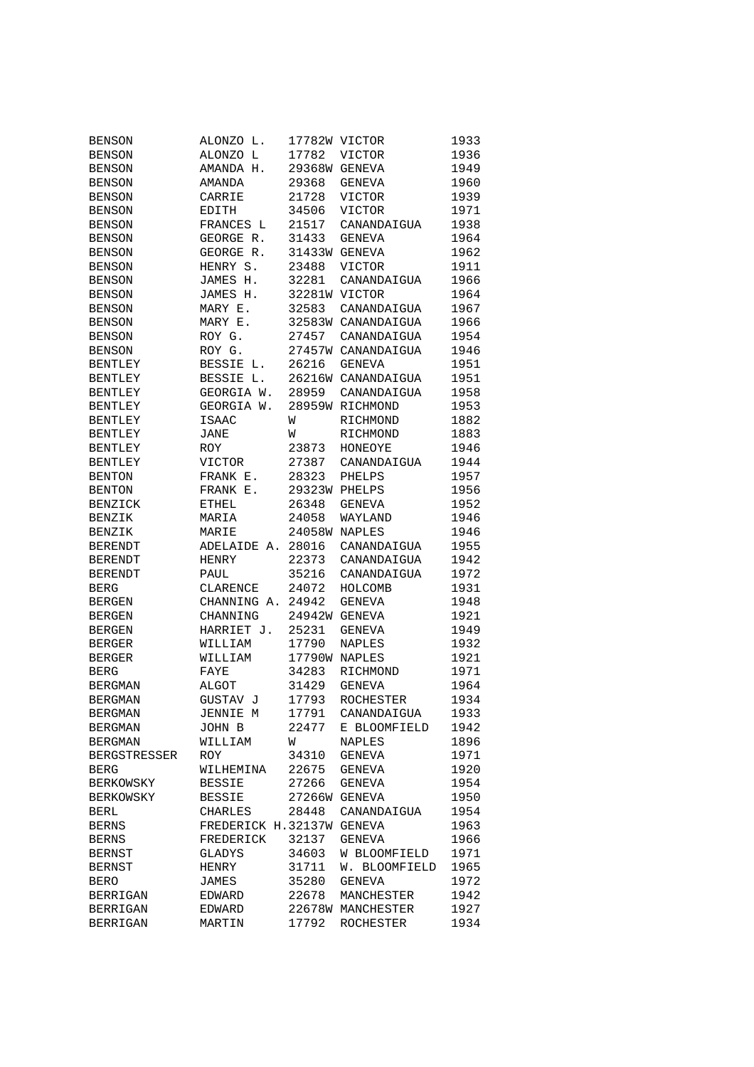| <b>BENSON</b>       | ALONZO L.                 |               | 17782W VICTOR      | 1933 |
|---------------------|---------------------------|---------------|--------------------|------|
| <b>BENSON</b>       | ALONZO L                  | 17782         | <b>VICTOR</b>      | 1936 |
| <b>BENSON</b>       | AMANDA H.                 | 29368W        | GENEVA             | 1949 |
| <b>BENSON</b>       | AMANDA                    | 29368         | GENEVA             | 1960 |
| <b>BENSON</b>       | CARRIE                    | 21728         | VICTOR             | 1939 |
| <b>BENSON</b>       | EDITH                     | 34506         | VICTOR             | 1971 |
| <b>BENSON</b>       | FRANCES L                 | 21517         | CANANDAIGUA        | 1938 |
| <b>BENSON</b>       | GEORGE R.                 | 31433         | <b>GENEVA</b>      | 1964 |
| <b>BENSON</b>       | GEORGE R.                 |               | 31433W GENEVA      | 1962 |
| <b>BENSON</b>       | HENRY S.                  | 23488         | VICTOR             | 1911 |
| <b>BENSON</b>       | JAMES H.                  | 32281         | CANANDAIGUA        | 1966 |
| <b>BENSON</b>       | JAMES H.                  | 32281W VICTOR |                    | 1964 |
| <b>BENSON</b>       | MARY E.                   | 32583         | CANANDAIGUA        | 1967 |
| <b>BENSON</b>       | MARY E.                   |               | 32583W CANANDAIGUA | 1966 |
| <b>BENSON</b>       | ROY G.                    | 27457         | CANANDAIGUA        | 1954 |
| <b>BENSON</b>       | ROY G.                    |               | 27457W CANANDAIGUA | 1946 |
| <b>BENTLEY</b>      | BESSIE L.                 | 26216         | <b>GENEVA</b>      | 1951 |
| <b>BENTLEY</b>      | BESSIE L.                 |               | 26216W CANANDAIGUA | 1951 |
| <b>BENTLEY</b>      | GEORGIA W.                | 28959         | CANANDAIGUA        | 1958 |
| <b>BENTLEY</b>      | GEORGIA W.                |               | 28959W RICHMOND    | 1953 |
| <b>BENTLEY</b>      | <b>ISAAC</b>              | W             | RICHMOND           | 1882 |
| BENTLEY             | JANE                      | W             | RICHMOND           | 1883 |
| <b>BENTLEY</b>      | ROY                       | 23873         | HONEOYE            | 1946 |
| <b>BENTLEY</b>      | VICTOR                    | 27387         | CANANDAIGUA        | 1944 |
| <b>BENTON</b>       | FRANK E.                  | 28323         | PHELPS             | 1957 |
| <b>BENTON</b>       | FRANK E.                  |               | 29323W PHELPS      | 1956 |
| BENZICK             | ETHEL                     | 26348         | GENEVA             | 1952 |
| <b>BENZIK</b>       | MARIA                     | 24058         | WAYLAND            | 1946 |
| <b>BENZIK</b>       | MARIE                     | 24058W        | NAPLES             | 1946 |
| <b>BERENDT</b>      | ADELAIDE A.               | 28016         | CANANDAIGUA        | 1955 |
| <b>BERENDT</b>      | HENRY                     | 22373         | CANANDAIGUA        | 1942 |
| <b>BERENDT</b>      | PAUL                      | 35216         | CANANDAIGUA        | 1972 |
| <b>BERG</b>         | CLARENCE                  | 24072         | HOLCOMB            | 1931 |
| <b>BERGEN</b>       | CHANNING A.               | 24942         | <b>GENEVA</b>      | 1948 |
| <b>BERGEN</b>       | CHANNING                  | 24942W        | GENEVA             | 1921 |
| <b>BERGEN</b>       | HARRIET J.                | 25231         | <b>GENEVA</b>      | 1949 |
| <b>BERGER</b>       | WILLIAM                   | 17790         | NAPLES             | 1932 |
| <b>BERGER</b>       | WILLIAM                   | 17790W        | <b>NAPLES</b>      | 1921 |
| <b>BERG</b>         | FAYE                      | 34283         | RICHMOND           | 1971 |
| <b>BERGMAN</b>      | <b>ALGOT</b>              | 31429         | GENEVA             | 1964 |
| BERGMAN             | GUSTAV J                  | 17793         | ROCHESTER          | 1934 |
| <b>BERGMAN</b>      | JENNIE M                  | 17791         | CANANDAIGUA        | 1933 |
| <b>BERGMAN</b>      | JOHN B                    | 22477         | E BLOOMFIELD       | 1942 |
| BERGMAN             | WILLIAM                   | W             | NAPLES             | 1896 |
| <b>BERGSTRESSER</b> | <b>ROY</b>                | 34310         | GENEVA             | 1971 |
| BERG                | WILHEMINA                 | 22675         | GENEVA             | 1920 |
| BERKOWSKY           | <b>BESSIE</b>             | 27266         | GENEVA             | 1954 |
| <b>BERKOWSKY</b>    | <b>BESSIE</b>             | 27266W        | <b>GENEVA</b>      | 1950 |
| BERL                | CHARLES                   | 28448         | CANANDAIGUA        | 1954 |
| <b>BERNS</b>        | FREDERICK H.32137W GENEVA |               |                    | 1963 |
| <b>BERNS</b>        | FREDERICK                 | 32137         | <b>GENEVA</b>      | 1966 |
| BERNST              | GLADYS                    | 34603         | W BLOOMFIELD       | 1971 |
| BERNST              | HENRY                     | 31711         | W. BLOOMFIELD      | 1965 |
| BERO                | JAMES                     | 35280         | GENEVA             | 1972 |
| BERRIGAN            | EDWARD                    | 22678         | MANCHESTER         | 1942 |
| <b>BERRIGAN</b>     | EDWARD                    |               | 22678W MANCHESTER  | 1927 |
| <b>BERRIGAN</b>     | MARTIN                    | 17792         | ROCHESTER          | 1934 |
|                     |                           |               |                    |      |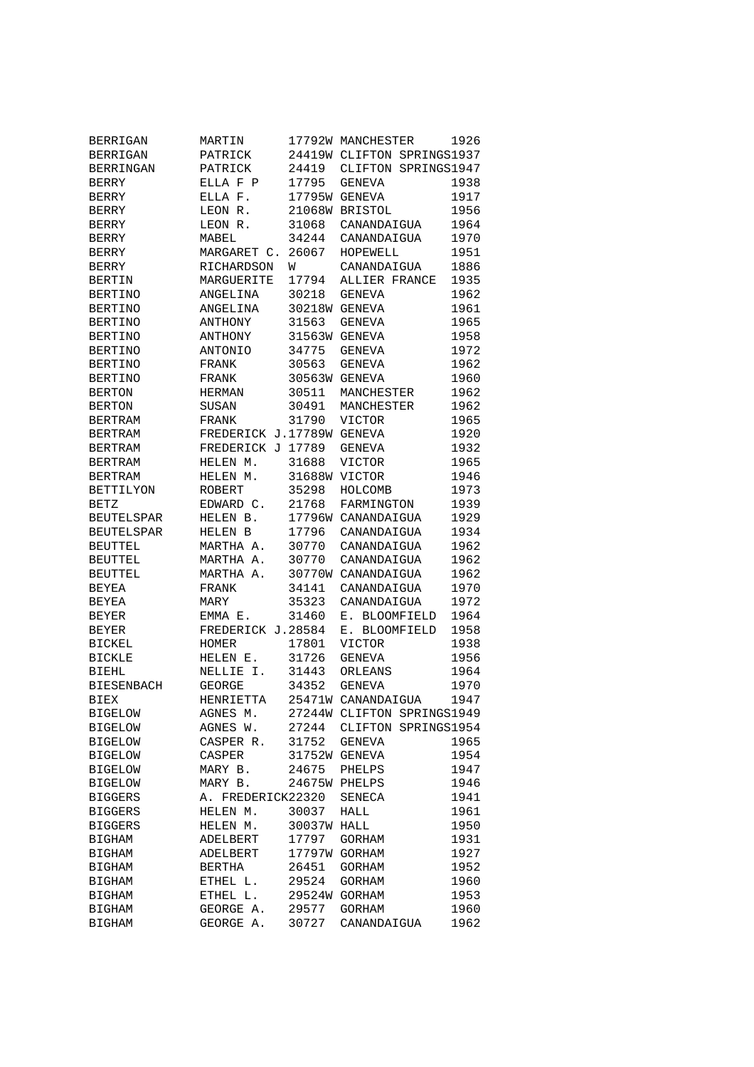| <b>BERRIGAN</b>                  | MARTIN                            |                | 17792W MANCHESTER                        | 1926         |
|----------------------------------|-----------------------------------|----------------|------------------------------------------|--------------|
| <b>BERRIGAN</b>                  | PATRICK                           |                | 24419W CLIFTON SPRINGS1937               |              |
| BERRINGAN                        | PATRICK                           | 24419          | CLIFTON SPRINGS1947                      |              |
| <b>BERRY</b>                     | ELLA F P                          | 17795          | GENEVA                                   | 1938         |
| <b>BERRY</b>                     | ELLA F.                           | 17795W         | <b>GENEVA</b>                            | 1917         |
| <b>BERRY</b>                     | LEON R.                           | 21068W         | <b>BRISTOL</b>                           | 1956         |
| <b>BERRY</b>                     | LEON R.                           | 31068          | CANANDAIGUA                              | 1964         |
| <b>BERRY</b>                     | MABEL                             | 34244          | CANANDAIGUA                              | 1970         |
| <b>BERRY</b>                     | MARGARET C.                       | 26067          | HOPEWELL                                 | 1951         |
| <b>BERRY</b>                     | RICHARDSON                        | W              | CANANDAIGUA                              | 1886         |
| BERTIN                           | MARGUERITE                        | 17794          | ALLIER FRANCE                            | 1935         |
| <b>BERTINO</b>                   | ANGELINA                          | 30218          | <b>GENEVA</b>                            | 1962         |
| <b>BERTINO</b>                   | ANGELINA                          | 30218W         | GENEVA                                   | 1961         |
| <b>BERTINO</b>                   | ANTHONY                           | 31563          | GENEVA                                   | 1965         |
| <b>BERTINO</b>                   | ANTHONY                           | 31563W         | <b>GENEVA</b>                            | 1958         |
| <b>BERTINO</b>                   | ANTONIO                           | 34775          | <b>GENEVA</b>                            | 1972         |
| <b>BERTINO</b>                   | FRANK                             | 30563          | GENEVA                                   | 1962         |
| <b>BERTINO</b>                   | FRANK                             | 30563W         | <b>GENEVA</b>                            | 1960         |
| <b>BERTON</b>                    | HERMAN                            | 30511          | MANCHESTER                               | 1962         |
| <b>BERTON</b>                    | SUSAN                             | 30491          | MANCHESTER                               | 1962         |
| <b>BERTRAM</b>                   | <b>FRANK</b>                      | 31790          | <b>VICTOR</b>                            | 1965         |
| BERTRAM                          | FREDERICK J.17789W                |                | GENEVA                                   | 1920         |
| <b>BERTRAM</b>                   | FREDERICK J 17789                 |                | GENEVA                                   | 1932         |
| <b>BERTRAM</b>                   | HELEN M.                          | 31688          | <b>VICTOR</b>                            | 1965         |
| <b>BERTRAM</b>                   | HELEN M.                          | 31688W         | <b>VICTOR</b>                            | 1946         |
| <b>BETTILYON</b>                 | <b>ROBERT</b>                     | 35298          | HOLCOMB                                  | 1973         |
| <b>BETZ</b>                      | EDWARD C.                         | 21768          | FARMINGTON                               | 1939         |
|                                  | HELEN B.                          | 17796W         |                                          | 1929         |
| <b>BEUTELSPAR</b>                | <b>HELEN B</b>                    | 17796          | CANANDAIGUA                              | 1934         |
| BEUTELSPAR                       |                                   | 30770          | CANANDAIGUA                              | 1962         |
| <b>BEUTTEL</b><br><b>BEUTTEL</b> | MARTHA A.<br>MARTHA A.            | 30770          | CANANDAIGUA<br>CANANDAIGUA               | 1962         |
| <b>BEUTTEL</b>                   | MARTHA A.                         | 30770W         |                                          | 1962         |
|                                  |                                   |                | CANANDAIGUA                              | 1970         |
| <b>BEYEA</b>                     | FRANK                             | 34141          | CANANDAIGUA                              | 1972         |
| <b>BEYEA</b>                     | MARY                              | 35323          | CANANDAIGUA                              |              |
| <b>BEYER</b>                     | EMMA E.                           | 31460          | <b>BLOOMFIELD</b><br>Е.                  | 1964         |
| <b>BEYER</b>                     | FREDERICK J.28584<br><b>HOMER</b> | 17801          | Е.<br><b>BLOOMFIELD</b><br><b>VICTOR</b> | 1958         |
| BICKEL<br><b>BICKLE</b>          |                                   |                |                                          | 1938         |
|                                  | HELEN E.                          | 31726<br>31443 | <b>GENEVA</b>                            | 1956<br>1964 |
| <b>BIEHL</b>                     | NELLIE I.                         |                | ORLEANS                                  |              |
| <b>BIESENBACH</b>                | <b>GEORGE</b>                     | 34352          | <b>GENEVA</b>                            | 1970         |
| BIEX                             | HENRIETTA                         |                | 25471W CANANDAIGUA                       | 1947         |
| <b>BIGELOW</b>                   | AGNES M.                          |                | 27244W CLIFTON SPRINGS1949               |              |
| <b>BIGELOW</b>                   | AGNES W.                          |                | 27244 CLIFTON SPRINGS1954                |              |
| <b>BIGELOW</b>                   | CASPER R.                         | 31752 GENEVA   |                                          | 1965         |
| <b>BIGELOW</b>                   | CASPER                            |                | 31752W GENEVA                            | 1954         |
| <b>BIGELOW</b>                   | MARY B.                           | 24675          | PHELPS                                   | 1947         |
| <b>BIGELOW</b>                   | MARY B.                           | 24675W PHELPS  |                                          | 1946         |
| <b>BIGGERS</b>                   | A. FREDERICK22320                 |                | SENECA                                   | 1941         |
| <b>BIGGERS</b>                   | HELEN M.                          | 30037          | HALL                                     | 1961         |
| <b>BIGGERS</b>                   | HELEN M.                          | 30037W HALL    |                                          | 1950         |
| BIGHAM                           | ADELBERT                          | 17797          | GORHAM                                   | 1931         |
| BIGHAM                           | ADELBERT                          |                | 17797W GORHAM                            | 1927         |
| BIGHAM                           | BERTHA                            | 26451          | GORHAM                                   | 1952         |
| BIGHAM                           | ETHEL L.                          | 29524          | GORHAM                                   | 1960         |
| <b>BIGHAM</b>                    | ETHEL L.                          |                | 29524W GORHAM                            | 1953         |
| BIGHAM                           | GEORGE A.                         | 29577          | GORHAM                                   | 1960         |
| <b>BIGHAM</b>                    | GEORGE A.                         | 30727          | CANANDAIGUA                              | 1962         |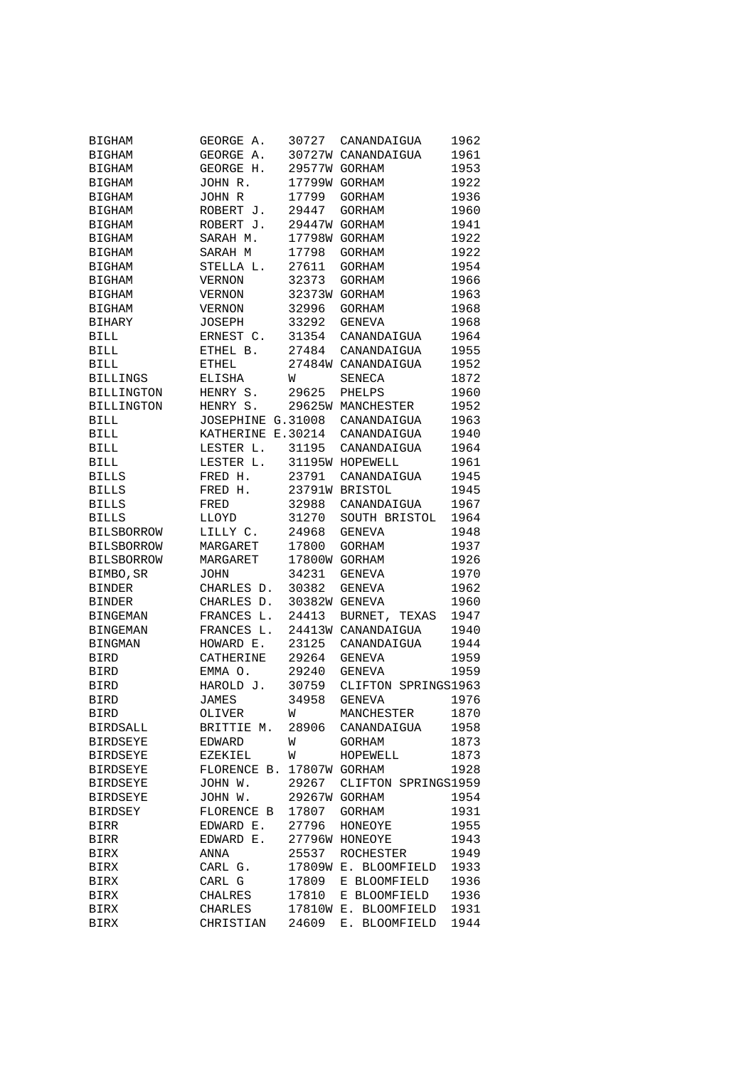| <b>BIGHAM</b>     | GEORGE A.                 | 30727    | CANANDAIGUA                   | 1962 |
|-------------------|---------------------------|----------|-------------------------------|------|
| <b>BIGHAM</b>     | GEORGE A.                 |          | 30727W CANANDAIGUA            | 1961 |
| <b>BIGHAM</b>     | GEORGE H.                 | 29577W   | GORHAM                        | 1953 |
| <b>BIGHAM</b>     | JOHN R.                   | 17799W   | GORHAM                        | 1922 |
| <b>BIGHAM</b>     | JOHN R                    | 17799    | GORHAM                        | 1936 |
| <b>BIGHAM</b>     | ROBERT J.                 | 29447    | GORHAM                        | 1960 |
| <b>BIGHAM</b>     | ROBERT J.                 | 29447W   | GORHAM                        | 1941 |
| <b>BIGHAM</b>     | SARAH M.                  | 17798W   | GORHAM                        | 1922 |
| BIGHAM            | SARAH M                   | 17798    | GORHAM                        | 1922 |
| <b>BIGHAM</b>     | STELLA L.                 | 27611    | GORHAM                        | 1954 |
| <b>BIGHAM</b>     | <b>VERNON</b>             | 32373    | GORHAM                        | 1966 |
| <b>BIGHAM</b>     | VERNON                    | 32373W   | GORHAM                        | 1963 |
| <b>BIGHAM</b>     | VERNON                    | 32996    | GORHAM                        | 1968 |
| <b>BIHARY</b>     | JOSEPH                    | 33292    | <b>GENEVA</b>                 | 1968 |
| <b>BILL</b>       | ERNEST C.                 | 31354    | CANANDAIGUA                   | 1964 |
| <b>BILL</b>       | ETHEL B.                  | 27484    | CANANDAIGUA                   | 1955 |
| <b>BILL</b>       | ETHEL                     |          | 27484W CANANDAIGUA            | 1952 |
| <b>BILLINGS</b>   | ELISHA                    | W        | SENECA                        | 1872 |
| BILLINGTON        | HENRY S.                  | 29625    | PHELPS                        | 1960 |
| <b>BILLINGTON</b> | HENRY S.                  |          | 29625W MANCHESTER             | 1952 |
| <b>BILL</b>       |                           |          | JOSEPHINE G.31008 CANANDAIGUA | 1963 |
| <b>BILL</b>       | KATHERINE E.30214         |          | CANANDAIGUA                   | 1940 |
| <b>BILL</b>       | LESTER L.                 | 31195    | CANANDAIGUA                   | 1964 |
| <b>BILL</b>       | LESTER L.                 |          | 31195W HOPEWELL               | 1961 |
| <b>BILLS</b>      | FRED H.                   | 23791    | CANANDAIGUA                   | 1945 |
| <b>BILLS</b>      | FRED H.                   |          | 23791W BRISTOL                | 1945 |
| <b>BILLS</b>      | FRED                      | 32988    | CANANDAIGUA                   | 1967 |
| <b>BILLS</b>      | LLOYD                     | 31270    | SOUTH BRISTOL                 | 1964 |
| BILSBORROW        | LILLY C.                  | 24968    | <b>GENEVA</b>                 | 1948 |
| <b>BILSBORROW</b> | MARGARET                  | 17800    | GORHAM                        | 1937 |
| <b>BILSBORROW</b> | MARGARET                  | 17800W   | GORHAM                        | 1926 |
| BIMBO, SR         | JOHN                      | 34231    | GENEVA                        | 1970 |
| <b>BINDER</b>     | CHARLES D.                | 30382    | GENEVA                        | 1962 |
| <b>BINDER</b>     | CHARLES D.                | 30382W   | GENEVA                        | 1960 |
| <b>BINGEMAN</b>   | FRANCES L.                | 24413    | BURNET, TEXAS                 | 1947 |
| <b>BINGEMAN</b>   | FRANCES L.                | 24413W   | CANANDAIGUA                   | 1940 |
| <b>BINGMAN</b>    | HOWARD E.                 | 23125    | CANANDAIGUA                   | 1944 |
| <b>BIRD</b>       | CATHERINE                 | 29264    | GENEVA                        | 1959 |
| <b>BIRD</b>       | EMMA O.                   | 29240    | <b>GENEVA</b>                 | 1959 |
| <b>BIRD</b>       | HAROLD J.                 | 30759    | CLIFTON SPRINGS1963           |      |
| <b>BIRD</b>       | JAMES                     | 34958    | GENEVA                        | 1976 |
| BIRD              | OLIVER                    | W        | MANCHESTER                    | 1870 |
| BIRDSALL          | BRITTIE M.                |          | 28906 CANANDAIGUA             | 1958 |
| <b>BIRDSEYE</b>   | EDWARD                    | W        | GORHAM                        | 1873 |
| <b>BIRDSEYE</b>   | EZEKIEL                   | <b>M</b> | HOPEWELL                      | 1873 |
| <b>BIRDSEYE</b>   | FLORENCE B. 17807W GORHAM |          |                               | 1928 |
| BIRDSEYE          | JOHN W.                   |          | 29267 CLIFTON SPRINGS1959     |      |
| <b>BIRDSEYE</b>   | JOHN W.                   |          | 29267W GORHAM                 | 1954 |
| BIRDSEY           | FLORENCE B                | 17807    | GORHAM                        | 1931 |
| BIRR              | EDWARD E.                 | 27796    | HONEOYE                       | 1955 |
| <b>BIRR</b>       | EDWARD E.                 |          | 27796W HONEOYE                | 1943 |
| BIRX              | ANNA                      | 25537    | ROCHESTER                     | 1949 |
| BIRX              | CARL G.                   | 17809W   | E. BLOOMFIELD                 | 1933 |
| BIRX              | CARL G                    | 17809    | E BLOOMFIELD                  | 1936 |
| BIRX              | CHALRES                   | 17810    | E BLOOMFIELD                  | 1936 |
| BIRX              | CHARLES                   |          | 17810W E. BLOOMFIELD          | 1931 |
| BIRX              | CHRISTIAN                 | 24609    | E. BLOOMFIELD                 | 1944 |
|                   |                           |          |                               |      |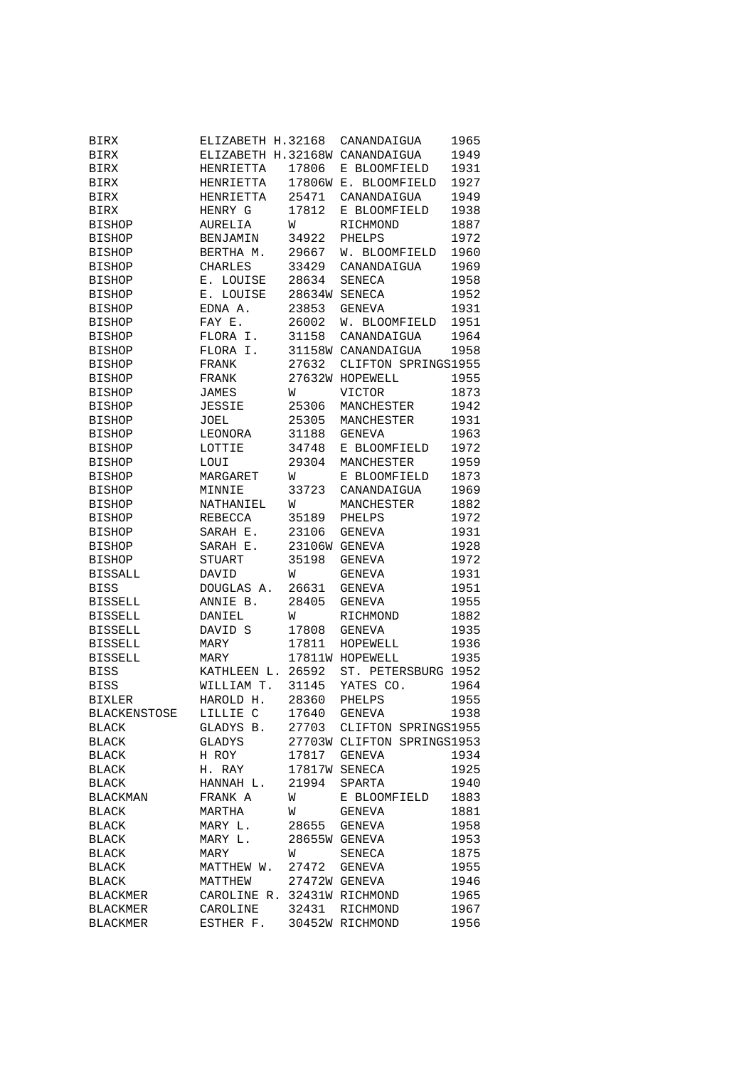| BIRX                  | ELIZABETH H.32168              |        | CANANDAIGUA                         | 1965 |
|-----------------------|--------------------------------|--------|-------------------------------------|------|
| <b>BIRX</b>           | ELIZABETH H.32168W CANANDAIGUA |        |                                     | 1949 |
| <b>BIRX</b>           | HENRIETTA                      | 17806  | E BLOOMFIELD                        | 1931 |
| <b>BIRX</b>           | HENRIETTA                      | 17806W | <b>BLOOMFIELD</b><br>Е.             | 1927 |
| <b>BIRX</b>           | <b>HENRIETTA</b>               | 25471  | CANANDAIGUA                         | 1949 |
| <b>BIRX</b>           | HENRY G                        | 17812  | E BLOOMFIELD                        | 1938 |
| <b>BISHOP</b>         | <b>AURELIA</b>                 | W      | RICHMOND                            | 1887 |
| <b>BISHOP</b>         | BENJAMIN                       | 34922  | PHELPS                              | 1972 |
| <b>BISHOP</b>         | BERTHA M.                      | 29667  | W. BLOOMFIELD                       | 1960 |
| <b>BISHOP</b>         | <b>CHARLES</b>                 | 33429  | CANANDAIGUA                         | 1969 |
| <b>BISHOP</b>         | E. LOUISE                      | 28634  | SENECA                              | 1958 |
| <b>BISHOP</b>         | E. LOUISE                      | 28634W | SENECA                              | 1952 |
| <b>BISHOP</b>         | EDNA A.                        | 23853  | <b>GENEVA</b>                       | 1931 |
| <b>BISHOP</b>         | FAY E.                         | 26002  | W. BLOOMFIELD                       | 1951 |
| <b>BISHOP</b>         | FLORA I.                       | 31158  | CANANDAIGUA                         | 1964 |
| <b>BISHOP</b>         | FLORA I.                       |        | 31158W CANANDAIGUA                  | 1958 |
| <b>BISHOP</b>         | <b>FRANK</b>                   | 27632  | CLIFTON SPRINGS1955                 |      |
| <b>BISHOP</b>         | FRANK                          | 27632W | HOPEWELL                            | 1955 |
| <b>BISHOP</b>         | <b>JAMES</b>                   | W      | VICTOR                              | 1873 |
| <b>BISHOP</b>         | <b>JESSIE</b>                  | 25306  | MANCHESTER                          | 1942 |
| <b>BISHOP</b>         | JOEL                           | 25305  | MANCHESTER                          | 1931 |
| <b>BISHOP</b>         | LEONORA                        | 31188  | <b>GENEVA</b>                       | 1963 |
| <b>BISHOP</b>         | LOTTIE                         | 34748  | E BLOOMFIELD                        | 1972 |
| <b>BISHOP</b>         | LOUI                           | 29304  | MANCHESTER                          | 1959 |
| <b>BISHOP</b>         | MARGARET                       | W      | E BLOOMFIELD                        | 1873 |
| <b>BISHOP</b>         | MINNIE                         | 33723  | CANANDAIGUA                         | 1969 |
| <b>BISHOP</b>         | NATHANIEL                      | W      | MANCHESTER                          | 1882 |
| <b>BISHOP</b>         | REBECCA                        | 35189  | PHELPS                              | 1972 |
| <b>BISHOP</b>         | SARAH E.                       | 23106  | GENEVA                              | 1931 |
| <b>BISHOP</b>         | SARAH E.                       | 23106W | <b>GENEVA</b>                       | 1928 |
| <b>BISHOP</b>         | <b>STUART</b>                  | 35198  | GENEVA                              | 1972 |
| <b>BISSALL</b>        | DAVID                          | W      | GENEVA                              | 1931 |
| <b>BISS</b>           | DOUGLAS A.                     | 26631  | <b>GENEVA</b>                       | 1951 |
| <b>BISSELL</b>        | ANNIE B.                       | 28405  | GENEVA                              | 1955 |
| <b>BISSELL</b>        | DANIEL                         | W      | RICHMOND                            | 1882 |
| <b>BISSELL</b>        | DAVID S                        | 17808  | <b>GENEVA</b>                       | 1935 |
| <b>BISSELL</b>        | MARY                           | 17811  | HOPEWELL                            | 1936 |
| <b>BISSELL</b>        | MARY                           | 17811W | HOPEWELL                            | 1935 |
| <b>BISS</b>           | KATHLEEN L.                    | 26592  | ST. PETERSBURG 1952                 |      |
| <b>BISS</b>           | WILLIAM T.                     | 31145  | YATES CO.                           | 1964 |
| <b>BIXLER</b>         | HAROLD H.                      | 28360  | PHELPS                              | 1955 |
| BLACKENSTOSE LILLIE C |                                |        | 17640 GENEVA                        | 1938 |
| BLACK                 |                                |        | GLADYS B. 27703 CLIFTON SPRINGS1955 |      |
| BLACK                 | GLADYS                         |        | 27703W CLIFTON SPRINGS1953          |      |
| BLACK                 | H ROY                          |        | 17817 GENEVA                        | 1934 |
| BLACK                 | H. RAY                         |        | 17817W SENECA                       | 1925 |
| <b>BLACK</b>          | HANNAH L. 21994 SPARTA         |        |                                     | 1940 |
| BLACKMAN              | FRANK A                        |        | W E BLOOMFIELD 1883                 |      |
| <b>BLACK</b>          | MARTHA                         |        | W GENEVA                            | 1881 |
| <b>BLACK</b>          | MARY L.                        |        | 28655 GENEVA                        | 1958 |
| BLACK                 | MARY L.                        |        | 28655W GENEVA                       | 1953 |
| BLACK                 | MARY                           |        | W SENECA                            | 1875 |
| <b>BLACK</b>          | MATTHEW W. 27472 GENEVA        |        |                                     | 1955 |
| BLACK                 | MATTHEW 27472W GENEVA          |        |                                     | 1946 |
| BLACKMER              | CAROLINE R. 32431W RICHMOND    |        |                                     | 1965 |
| <b>BLACKMER</b>       | CAROLINE 32431 RICHMOND        |        |                                     | 1967 |
| <b>BLACKMER</b>       | ESTHER F. 30452W RICHMOND      |        |                                     | 1956 |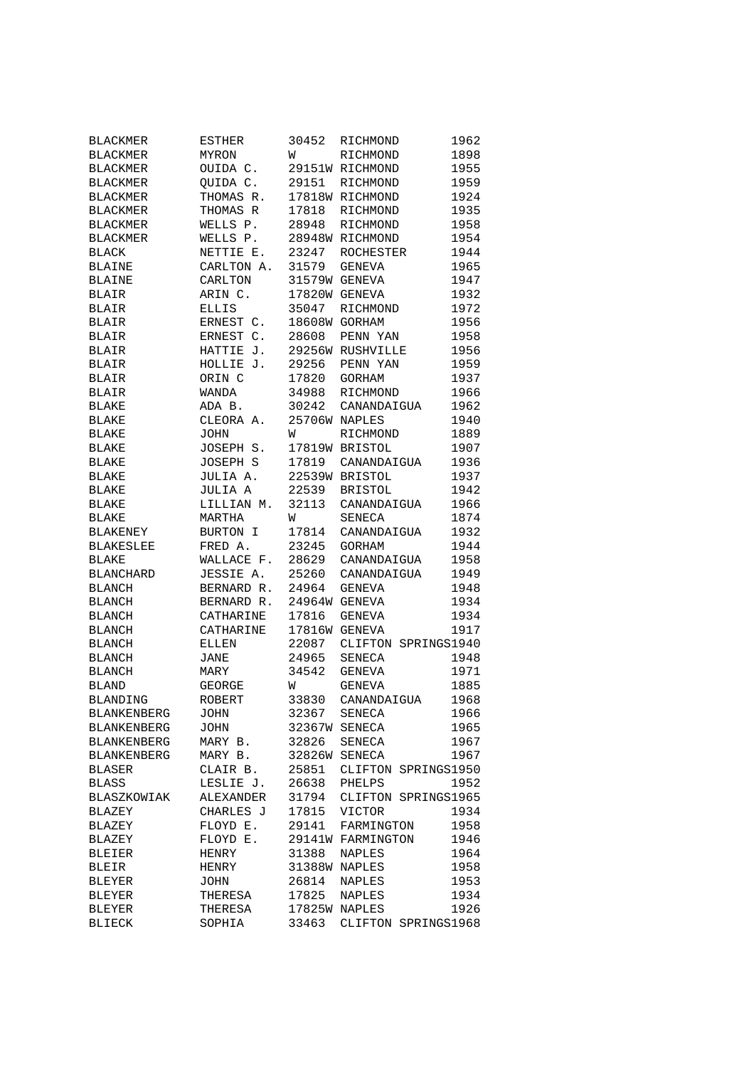| <b>BLACKMER</b>    | ESTHER        | 30452         | RICHMOND            | 1962 |
|--------------------|---------------|---------------|---------------------|------|
| <b>BLACKMER</b>    | MYRON         | <b>W</b>      | RICHMOND            | 1898 |
| <b>BLACKMER</b>    | OUIDA C.      |               | 29151W RICHMOND     | 1955 |
| <b>BLACKMER</b>    | QUIDA C.      | 29151         | RICHMOND            | 1959 |
| <b>BLACKMER</b>    | THOMAS R.     |               | 17818W RICHMOND     | 1924 |
| <b>BLACKMER</b>    | THOMAS R      | 17818         | RICHMOND            | 1935 |
| <b>BLACKMER</b>    | WELLS P.      | 28948         | RICHMOND            | 1958 |
| <b>BLACKMER</b>    | WELLS P.      |               | 28948W RICHMOND     | 1954 |
| <b>BLACK</b>       | NETTIE E.     | 23247         | ROCHESTER           | 1944 |
| BLAINE             | CARLTON A.    | 31579         | GENEVA              | 1965 |
| <b>BLAINE</b>      | CARLTON       |               | 31579W GENEVA       | 1947 |
| <b>BLAIR</b>       | ARIN C.       | 17820W GENEVA |                     | 1932 |
| <b>BLAIR</b>       | ELLIS         | 35047         | RICHMOND            | 1972 |
| <b>BLAIR</b>       | ERNEST C.     | 18608W GORHAM |                     | 1956 |
| <b>BLAIR</b>       | ERNEST C.     | 28608         | PENN YAN            | 1958 |
| <b>BLAIR</b>       | HATTIE J.     |               | 29256W RUSHVILLE    | 1956 |
| <b>BLAIR</b>       | HOLLIE J.     | 29256         | PENN YAN            | 1959 |
| <b>BLAIR</b>       | ORIN C        | 17820         | GORHAM              | 1937 |
| <b>BLAIR</b>       | WANDA         | 34988         | RICHMOND            | 1966 |
| <b>BLAKE</b>       | ADA B.        | 30242         | CANANDAIGUA         | 1962 |
| <b>BLAKE</b>       | CLEORA A.     | 25706W NAPLES |                     | 1940 |
| BLAKE              | JOHN          | W             | RICHMOND            | 1889 |
| <b>BLAKE</b>       | JOSEPH S.     |               | 17819W BRISTOL      | 1907 |
| <b>BLAKE</b>       | JOSEPH S      | 17819         | CANANDAIGUA         | 1936 |
| <b>BLAKE</b>       | JULIA A.      |               | 22539W BRISTOL      | 1937 |
| <b>BLAKE</b>       | JULIA A       | 22539         | <b>BRISTOL</b>      | 1942 |
| <b>BLAKE</b>       | LILLIAN M.    | 32113         | CANANDAIGUA         | 1966 |
| <b>BLAKE</b>       | MARTHA        | W             | SENECA              | 1874 |
| <b>BLAKENEY</b>    | BURTON I      | 17814         | CANANDAIGUA         | 1932 |
| <b>BLAKESLEE</b>   | FRED A.       | 23245         | GORHAM              | 1944 |
| <b>BLAKE</b>       | WALLACE F.    | 28629         | CANANDAIGUA         | 1958 |
| <b>BLANCHARD</b>   | JESSIE A.     | 25260         | CANANDAIGUA         | 1949 |
| <b>BLANCH</b>      | BERNARD R.    | 24964         | GENEVA              | 1948 |
| <b>BLANCH</b>      | BERNARD R.    |               | 24964W GENEVA       | 1934 |
| <b>BLANCH</b>      | CATHARINE     | 17816         | GENEVA              | 1934 |
| <b>BLANCH</b>      | CATHARINE     | 17816W GENEVA |                     | 1917 |
| <b>BLANCH</b>      | <b>ELLEN</b>  | 22087         | CLIFTON SPRINGS1940 |      |
| <b>BLANCH</b>      | JANE          | 24965         | SENECA              | 1948 |
| <b>BLANCH</b>      | MARY          | 34542         | <b>GENEVA</b>       | 1971 |
| <b>BLAND</b>       | <b>GEORGE</b> | W             | <b>GENEVA</b>       | 1885 |
| <b>BLANDING</b>    | ROBERT        | 33830         | CANANDAIGUA         | 1968 |
| <b>BLANKENBERG</b> | JOHN          | 32367         | SENECA              | 1966 |
| BLANKENBERG        | JOHN          |               | 32367W SENECA       | 1965 |
| BLANKENBERG        | MARY B.       | 32826         | SENECA              | 1967 |
| <b>BLANKENBERG</b> | MARY B.       |               | 32826W SENECA       | 1967 |
| BLASER             | CLAIR B.      | 25851         | CLIFTON SPRINGS1950 |      |
| <b>BLASS</b>       | LESLIE J.     | 26638         | PHELPS              | 1952 |
| BLASZKOWIAK        | ALEXANDER     | 31794         | CLIFTON SPRINGS1965 |      |
| BLAZEY             | CHARLES J     | 17815         | VICTOR              | 1934 |
| BLAZEY             | FLOYD E.      | 29141         | FARMINGTON          | 1958 |
| BLAZEY             | FLOYD E.      |               | 29141W FARMINGTON   | 1946 |
| <b>BLEIER</b>      | HENRY         | 31388         | NAPLES              | 1964 |
| <b>BLEIR</b>       | HENRY         |               | 31388W NAPLES       | 1958 |
| BLEYER             | JOHN          | 26814         | NAPLES              | 1953 |
| <b>BLEYER</b>      | THERESA       | 17825         | <b>NAPLES</b>       | 1934 |
| <b>BLEYER</b>      | THERESA       | 17825W NAPLES |                     | 1926 |
| <b>BLIECK</b>      | SOPHIA        | 33463         | CLIFTON SPRINGS1968 |      |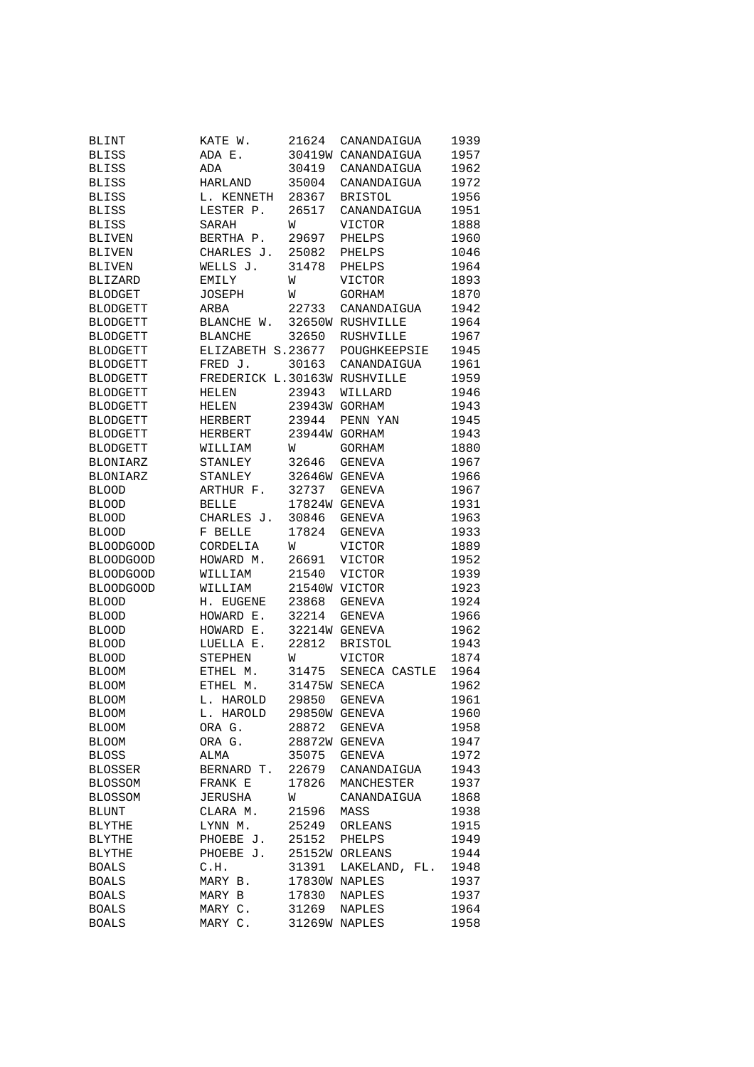| BLINT           | KATE W.                      | 21624         | CANANDAIGUA        | 1939 |
|-----------------|------------------------------|---------------|--------------------|------|
| <b>BLISS</b>    | ADA E.                       |               | 30419W CANANDAIGUA | 1957 |
| <b>BLISS</b>    | ADA                          | 30419         | CANANDAIGUA        | 1962 |
| <b>BLISS</b>    | HARLAND                      | 35004         | CANANDAIGUA        | 1972 |
| <b>BLISS</b>    | L. KENNETH                   | 28367         | <b>BRISTOL</b>     | 1956 |
| <b>BLISS</b>    | LESTER P.                    | 26517         | CANANDAIGUA        | 1951 |
| <b>BLISS</b>    | SARAH                        | W             | <b>VICTOR</b>      | 1888 |
| <b>BLIVEN</b>   | BERTHA P.                    | 29697         | PHELPS             | 1960 |
| <b>BLIVEN</b>   | CHARLES J.                   | 25082         | PHELPS             | 1046 |
| <b>BLIVEN</b>   | WELLS J.                     | 31478         | PHELPS             | 1964 |
| <b>BLIZARD</b>  | <b>EMILY</b>                 | W             | VICTOR             | 1893 |
| <b>BLODGET</b>  | JOSEPH                       | W             | GORHAM             | 1870 |
| <b>BLODGETT</b> | ARBA                         | 22733         | CANANDAIGUA        | 1942 |
| <b>BLODGETT</b> | BLANCHE W.                   |               | 32650W RUSHVILLE   | 1964 |
| <b>BLODGETT</b> | <b>BLANCHE</b>               | 32650         | <b>RUSHVILLE</b>   | 1967 |
| <b>BLODGETT</b> | ELIZABETH S.23677            |               | POUGHKEEPSIE       | 1945 |
| <b>BLODGETT</b> | FRED J.                      | 30163         | CANANDAIGUA        | 1961 |
| <b>BLODGETT</b> | FREDERICK L.30163W RUSHVILLE |               |                    | 1959 |
| <b>BLODGETT</b> | HELEN                        | 23943         | WILLARD            | 1946 |
| <b>BLODGETT</b> | HELEN                        | 23943W GORHAM |                    | 1943 |
| <b>BLODGETT</b> | HERBERT                      | 23944         | PENN YAN           | 1945 |
| <b>BLODGETT</b> | HERBERT                      | 23944W GORHAM |                    | 1943 |
| <b>BLODGETT</b> | WILLIAM                      | W             | GORHAM             | 1880 |
| <b>BLONIARZ</b> | STANLEY                      | 32646         | <b>GENEVA</b>      | 1967 |
| <b>BLONIARZ</b> | STANLEY                      |               | 32646W GENEVA      | 1966 |
| <b>BLOOD</b>    | ARTHUR F.                    | 32737         | <b>GENEVA</b>      | 1967 |
| <b>BLOOD</b>    | <b>BELLE</b>                 | 17824W GENEVA |                    | 1931 |
| <b>BLOOD</b>    | CHARLES J.                   | 30846         | <b>GENEVA</b>      | 1963 |
| <b>BLOOD</b>    | F BELLE                      | 17824         | GENEVA             | 1933 |
| BLOODGOOD       | CORDELIA                     | W             | <b>VICTOR</b>      | 1889 |
| BLOODGOOD       | HOWARD M.                    | 26691         | VICTOR             | 1952 |
| BLOODGOOD       | WILLIAM                      | 21540         | VICTOR             | 1939 |
| BLOODGOOD       | WILLIAM                      | 21540W VICTOR |                    | 1923 |
| <b>BLOOD</b>    | Н.<br>EUGENE                 | 23868         | GENEVA             | 1924 |
| <b>BLOOD</b>    | HOWARD E.                    | 32214         | GENEVA             | 1966 |
| <b>BLOOD</b>    | HOWARD E.                    | 32214W GENEVA |                    | 1962 |
| <b>BLOOD</b>    | LUELLA E.                    | 22812         | <b>BRISTOL</b>     | 1943 |
| <b>BLOOD</b>    | STEPHEN                      | M             | <b>VICTOR</b>      | 1874 |
| <b>BLOOM</b>    | ETHEL M.                     | 31475         | SENECA CASTLE      | 1964 |
| <b>BLOOM</b>    | ETHEL M.                     | 31475W        | <b>SENECA</b>      | 1962 |
| <b>BLOOM</b>    | L. HAROLD                    | 29850         | <b>GENEVA</b>      | 1961 |
| BLOOM           | L. HAROLD                    | 29850W GENEVA |                    | 1960 |
| <b>BLOOM</b>    | ORA G.                       | 28872         | GENEVA             | 1958 |
| <b>BLOOM</b>    | ORA G.                       |               | 28872W GENEVA      | 1947 |
| <b>BLOSS</b>    | ALMA                         | 35075         | <b>GENEVA</b>      | 1972 |
| <b>BLOSSER</b>  | BERNARD T.                   | 22679         | CANANDAIGUA        | 1943 |
| BLOSSOM         | FRANK E                      | 17826         | MANCHESTER         | 1937 |
| <b>BLOSSOM</b>  | <b>JERUSHA</b>               | W             | CANANDAIGUA        | 1868 |
| <b>BLUNT</b>    | CLARA M.                     | 21596         | MASS               | 1938 |
| <b>BLYTHE</b>   | LYNN M.                      | 25249         | ORLEANS            | 1915 |
| <b>BLYTHE</b>   | PHOEBE J.                    | 25152         | PHELPS             | 1949 |
| <b>BLYTHE</b>   | PHOEBE J.                    |               | 25152W ORLEANS     | 1944 |
| <b>BOALS</b>    | C.H.                         | 31391         | LAKELAND, FL.      | 1948 |
| <b>BOALS</b>    | MARY B.                      | 17830W        | NAPLES             | 1937 |
| <b>BOALS</b>    | MARY B                       | 17830         | NAPLES             | 1937 |
| <b>BOALS</b>    | MARY C.                      | 31269         | NAPLES             | 1964 |
| <b>BOALS</b>    | MARY C.                      | 31269W NAPLES |                    | 1958 |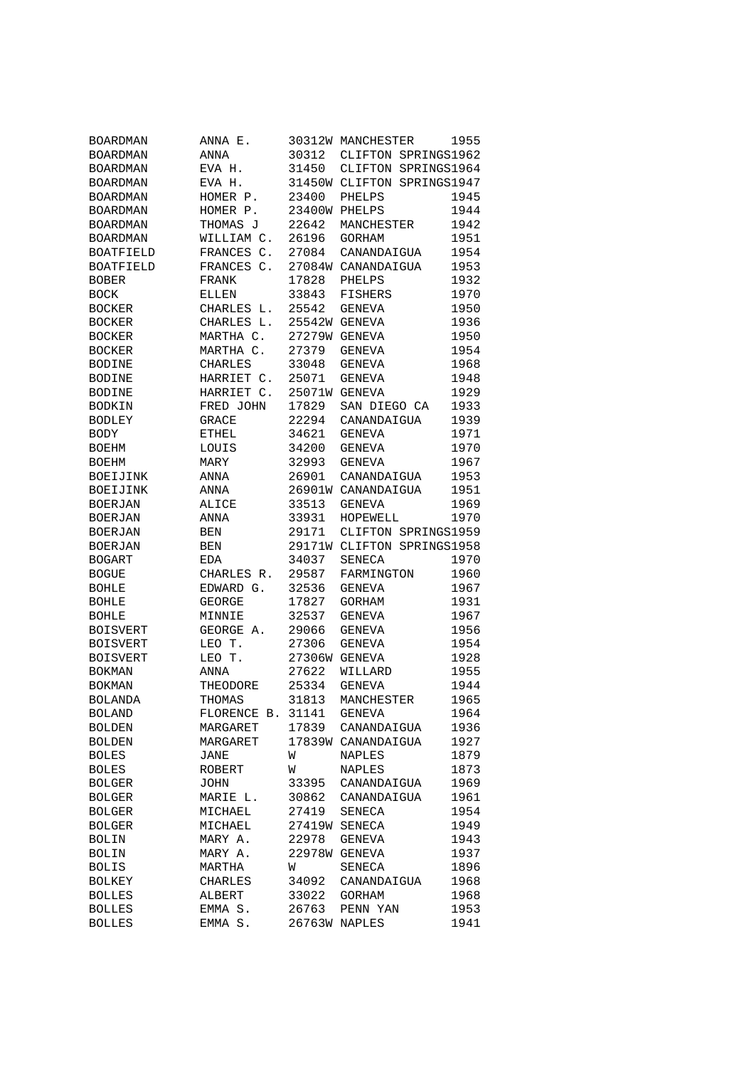| BOARDMAN        | ANNA E.           |               | 30312W MANCHESTER          | 1955         |
|-----------------|-------------------|---------------|----------------------------|--------------|
| <b>BOARDMAN</b> | ANNA              | 30312         | CLIFTON SPRINGS1962        |              |
| <b>BOARDMAN</b> | EVA H.            | 31450         | CLIFTON SPRINGS1964        |              |
| <b>BOARDMAN</b> | EVA H.            |               | 31450W CLIFTON SPRINGS1947 |              |
| <b>BOARDMAN</b> | HOMER P.          | 23400         | PHELPS                     | 1945         |
| <b>BOARDMAN</b> | HOMER P.          |               | 23400W PHELPS              | 1944         |
| <b>BOARDMAN</b> | THOMAS J          | 22642         | MANCHESTER                 | 1942         |
| <b>BOARDMAN</b> | WILLIAM C.        | 26196         | GORHAM                     | 1951         |
| BOATFIELD       | FRANCES C.        | 27084         | CANANDAIGUA                | 1954         |
| BOATFIELD       | FRANCES C.        |               | 27084W CANANDAIGUA         | 1953         |
| <b>BOBER</b>    | <b>FRANK</b>      | 17828         | PHELPS                     | 1932         |
| BOCK            | ELLEN             | 33843         | FISHERS                    | 1970         |
| <b>BOCKER</b>   | CHARLES L.        | 25542         | <b>GENEVA</b>              | 1950         |
| <b>BOCKER</b>   | CHARLES L.        | 25542W GENEVA |                            | 1936         |
| <b>BOCKER</b>   | MARTHA C.         | 27279W GENEVA |                            | 1950         |
| <b>BOCKER</b>   | MARTHA C.         | 27379         | <b>GENEVA</b>              | 1954         |
| <b>BODINE</b>   | <b>CHARLES</b>    | 33048         | GENEVA                     | 1968         |
| <b>BODINE</b>   | HARRIET C.        | 25071         | GENEVA                     | 1948         |
| <b>BODINE</b>   | HARRIET C.        | 25071W GENEVA |                            | 1929         |
| <b>BODKIN</b>   | FRED JOHN         | 17829         | SAN DIEGO CA               | 1933         |
| <b>BODLEY</b>   | GRACE             | 22294         | CANANDAIGUA                | 1939         |
| <b>BODY</b>     | ETHEL             | 34621         | <b>GENEVA</b>              | 1971         |
| <b>BOEHM</b>    | LOUIS             | 34200         | GENEVA                     | 1970         |
| <b>BOEHM</b>    | MARY              | 32993         | GENEVA                     | 1967         |
| BOEIJINK        | <b>ANNA</b>       | 26901         | CANANDAIGUA                | 1953         |
| <b>BOEIJINK</b> | ANNA              |               | 26901W CANANDAIGUA         | 1951         |
| <b>BOERJAN</b>  | ALICE             | 33513         | GENEVA                     | 1969         |
| <b>BOERJAN</b>  | ANNA              | 33931         | HOPEWELL                   | 1970         |
| BOERJAN         | <b>BEN</b>        | 29171         | CLIFTON SPRINGS1959        |              |
| <b>BOERJAN</b>  | BEN               |               | 29171W CLIFTON SPRINGS1958 |              |
| <b>BOGART</b>   | EDA               | 34037         | SENECA                     | 1970         |
| <b>BOGUE</b>    | CHARLES R.        | 29587         | FARMINGTON                 | 1960         |
| <b>BOHLE</b>    | EDWARD G.         | 32536         | GENEVA                     | 1967         |
| <b>BOHLE</b>    | <b>GEORGE</b>     | 17827         | GORHAM                     | 1931         |
| BOHLE           | MINNIE            | 32537         | GENEVA                     | 1967         |
| BOISVERT        | GEORGE A.         | 29066         | GENEVA                     | 1956         |
| <b>BOISVERT</b> | LEO T.            | 27306         | GENEVA                     | 1954         |
| <b>BOISVERT</b> | LEO T.            |               | 27306W GENEVA              | 1928         |
| <b>BOKMAN</b>   | ANNA              | 27622         | WILLARD                    | 1955         |
| <b>BOKMAN</b>   | THEODORE          | 25334         | <b>GENEVA</b>              | 1944         |
| <b>BOLANDA</b>  | THOMAS            | 31813         | MANCHESTER                 | 1965         |
| BOLAND          | FLORENCE B. 31141 |               | GENEVA                     | 1964         |
| BOLDEN          | MARGARET          | 17839         | CANANDAIGUA                | 1936         |
| <b>BOLDEN</b>   |                   |               |                            |              |
| <b>BOLES</b>    | MARGARET          |               | 17839W CANANDAIGUA         |              |
| BOLES           | JANE              | W             | NAPLES                     | 1927<br>1879 |
|                 | ROBERT            | W             | NAPLES                     | 1873         |
| BOLGER          | JOHN              | 33395         | CANANDAIGUA                | 1969         |
| <b>BOLGER</b>   | MARIE L.          |               | 30862 CANANDAIGUA          | 1961         |
| <b>BOLGER</b>   | MICHAEL           |               | SENECA                     | 1954         |
| BOLGER          | MICHAEL           | 27419         |                            | 1949         |
| <b>BOLIN</b>    | MARY A.           | 22978         | 27419W SENECA<br>GENEVA    | 1943         |
| BOLIN           | MARY A.           |               | 22978W GENEVA              | 1937         |
| <b>BOLIS</b>    | MARTHA            | W             | SENECA                     | 1896         |
| BOLKEY          | CHARLES           | 34092         | CANANDAIGUA                | 1968         |
| <b>BOLLES</b>   | ALBERT            | 33022         | GORHAM                     | 1968         |
| <b>BOLLES</b>   | EMMA S.           | 26763         | PENN YAN                   | 1953         |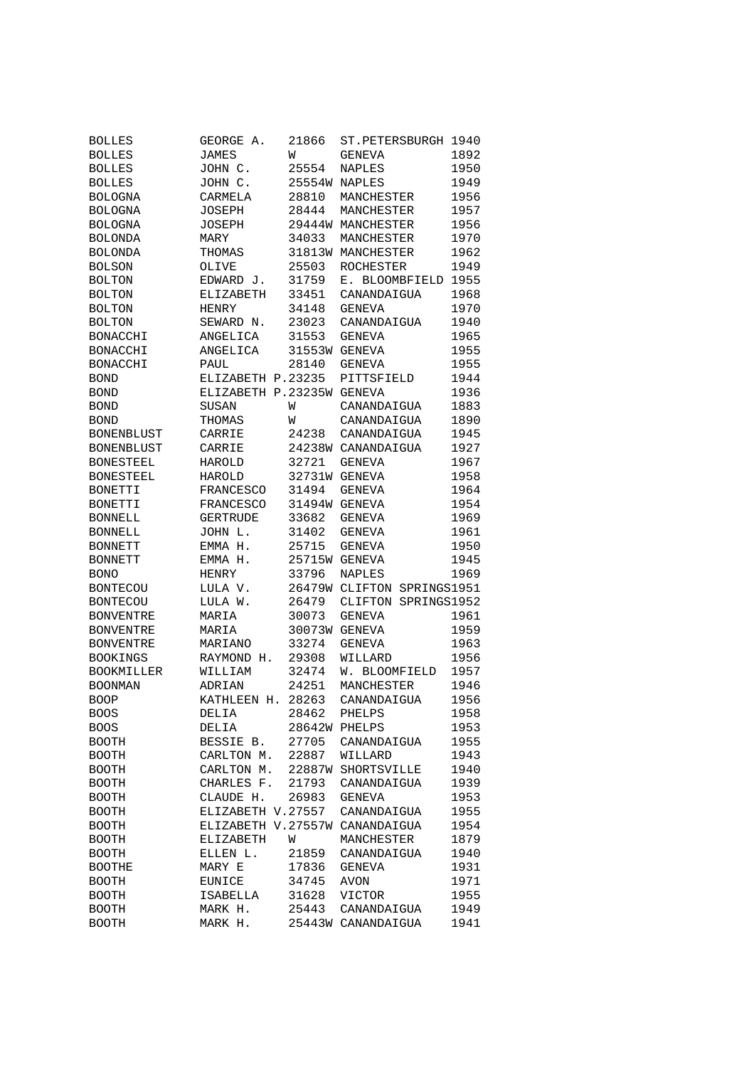| <b>BOLLES</b>     | GEORGE A.                      | 21866         | ST.PETERSBURGH 1940           |      |
|-------------------|--------------------------------|---------------|-------------------------------|------|
| <b>BOLLES</b>     | <b>JAMES</b>                   | W             | GENEVA                        | 1892 |
| <b>BOLLES</b>     | JOHN C.                        | 25554         | NAPLES                        | 1950 |
| <b>BOLLES</b>     | JOHN C.                        | 25554W        | NAPLES                        | 1949 |
| <b>BOLOGNA</b>    | CARMELA                        | 28810         | MANCHESTER                    | 1956 |
| <b>BOLOGNA</b>    | JOSEPH                         | 28444         | MANCHESTER                    | 1957 |
| <b>BOLOGNA</b>    | JOSEPH                         |               | 29444W MANCHESTER             | 1956 |
| <b>BOLONDA</b>    | MARY                           | 34033         | MANCHESTER                    | 1970 |
| <b>BOLONDA</b>    | THOMAS                         | 31813W        | MANCHESTER                    | 1962 |
| <b>BOLSON</b>     | OLIVE                          | 25503         | ROCHESTER                     | 1949 |
| <b>BOLTON</b>     | EDWARD J.                      | 31759         | E. BLOOMBFIELD                | 1955 |
| <b>BOLTON</b>     | ELIZABETH                      | 33451         | CANANDAIGUA                   | 1968 |
| <b>BOLTON</b>     | HENRY                          | 34148         | <b>GENEVA</b>                 | 1970 |
| <b>BOLTON</b>     | SEWARD N.                      | 23023         | CANANDAIGUA                   | 1940 |
| <b>BONACCHI</b>   | ANGELICA                       | 31553         | GENEVA                        | 1965 |
| BONACCHI          | ANGELICA                       | 31553W        | <b>GENEVA</b>                 | 1955 |
| <b>BONACCHI</b>   | PAUL                           | 28140         | GENEVA                        | 1955 |
| <b>BOND</b>       | ELIZABETH P.23235              |               | PITTSFIELD                    | 1944 |
| <b>BOND</b>       | ELIZABETH P.23235W GENEVA      |               |                               | 1936 |
| <b>BOND</b>       | SUSAN                          | W             | CANANDAIGUA                   | 1883 |
| <b>BOND</b>       | THOMAS                         | W             | CANANDAIGUA                   | 1890 |
| BONENBLUST        | CARRIE                         | 24238         | CANANDAIGUA                   | 1945 |
| <b>BONENBLUST</b> | CARRIE                         | 24238W        | CANANDAIGUA                   | 1927 |
| <b>BONESTEEL</b>  | HAROLD                         | 32721         | <b>GENEVA</b>                 | 1967 |
| <b>BONESTEEL</b>  | <b>HAROLD</b>                  | 32731W GENEVA |                               | 1958 |
| <b>BONETTI</b>    | <b>FRANCESCO</b>               | 31494         | GENEVA                        | 1964 |
| BONETTI           | <b>FRANCESCO</b>               | 31494W GENEVA |                               | 1954 |
| <b>BONNELL</b>    | GERTRUDE                       | 33682         | <b>GENEVA</b>                 | 1969 |
| BONNELL           | JOHN L.                        | 31402         | GENEVA                        | 1961 |
| <b>BONNETT</b>    | EMMA H.                        | 25715         | <b>GENEVA</b>                 | 1950 |
| <b>BONNETT</b>    | EMMA H.                        | 25715W        | <b>GENEVA</b>                 | 1945 |
| <b>BONO</b>       | <b>HENRY</b>                   | 33796         | NAPLES                        | 1969 |
| <b>BONTECOU</b>   | LULA V.                        |               | 26479W CLIFTON SPRINGS1951    |      |
| <b>BONTECOU</b>   | LULA W.                        | 26479         | CLIFTON SPRINGS1952           |      |
| <b>BONVENTRE</b>  | MARIA                          | 30073         | GENEVA                        | 1961 |
| <b>BONVENTRE</b>  | MARIA                          | 30073W        | <b>GENEVA</b>                 | 1959 |
| <b>BONVENTRE</b>  | MARIANO                        | 33274         | <b>GENEVA</b>                 | 1963 |
| <b>BOOKINGS</b>   | RAYMOND H.                     | 29308         | WILLARD                       | 1956 |
| <b>BOOKMILLER</b> | WILLIAM                        | 32474         | W. BLOOMFIELD                 | 1957 |
| <b>BOONMAN</b>    | ADRIAN                         | 24251         | MANCHESTER                    | 1946 |
| <b>BOOP</b>       | KATHLEEN H.                    | 28263         | CANANDAIGUA                   | 1956 |
| <b>BOOS</b>       | DELIA                          | 28462         | PHELPS                        | 1958 |
| <b>BOOS</b>       | DELIA                          |               | 28642W PHELPS                 | 1953 |
| <b>BOOTH</b>      | BESSIE B.                      | 27705         | CANANDAIGUA                   | 1955 |
| <b>BOOTH</b>      | CARLTON M.                     | 22887         | WILLARD                       | 1943 |
| <b>BOOTH</b>      | CARLTON M.                     |               | 22887W SHORTSVILLE            | 1940 |
| <b>BOOTH</b>      | CHARLES F.                     | 21793         | CANANDAIGUA                   | 1939 |
| <b>BOOTH</b>      | CLAUDE H.                      |               | 26983 GENEVA                  | 1953 |
| <b>BOOTH</b>      |                                |               | ELIZABETH V.27557 CANANDAIGUA | 1955 |
| <b>BOOTH</b>      | ELIZABETH V.27557W CANANDAIGUA |               |                               | 1954 |
| <b>BOOTH</b>      | ELIZABETH                      | W             | MANCHESTER                    | 1879 |
| <b>BOOTH</b>      | ELLEN L.                       | 21859         | CANANDAIGUA                   | 1940 |
| <b>BOOTHE</b>     | MARY E                         | 17836         | GENEVA                        | 1931 |
| <b>BOOTH</b>      | EUNICE                         | 34745         | AVON                          | 1971 |
| <b>BOOTH</b>      | ISABELLA                       | 31628         | VICTOR                        | 1955 |
| <b>BOOTH</b>      | MARK H.                        | 25443         | CANANDAIGUA                   | 1949 |
| <b>BOOTH</b>      | MARK H.                        |               | 25443W CANANDAIGUA            | 1941 |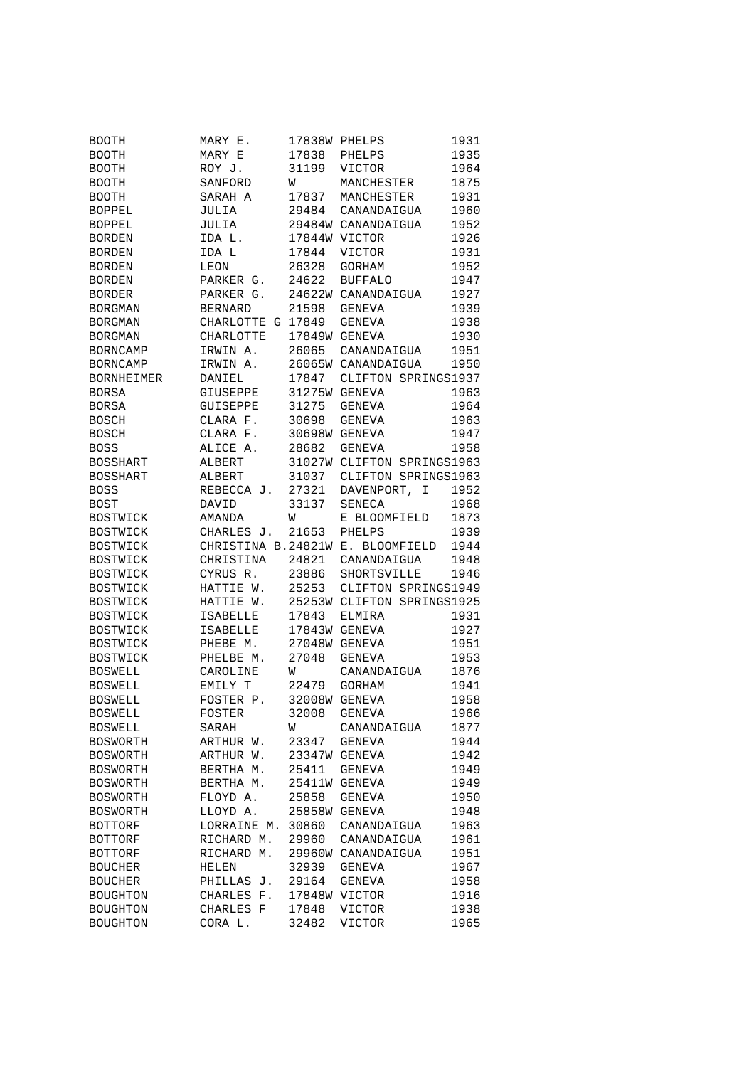| <b>BOOTH</b>      | MARY E.           | 17838W PHELPS |                                  | 1931 |
|-------------------|-------------------|---------------|----------------------------------|------|
| <b>BOOTH</b>      | MARY E            | 17838         | PHELPS                           | 1935 |
| <b>BOOTH</b>      | ROY J.            | 31199         | <b>VICTOR</b>                    | 1964 |
| <b>BOOTH</b>      | SANFORD           | W             | MANCHESTER                       | 1875 |
| <b>BOOTH</b>      | SARAH A           | 17837         | MANCHESTER                       | 1931 |
| <b>BOPPEL</b>     | JULIA             | 29484         | CANANDAIGUA                      | 1960 |
| <b>BOPPEL</b>     | JULIA             |               | 29484W CANANDAIGUA               | 1952 |
| <b>BORDEN</b>     | IDA L.            |               | 17844W VICTOR                    | 1926 |
| <b>BORDEN</b>     | IDA L             | 17844         | VICTOR                           | 1931 |
| BORDEN            | LEON              | 26328         | GORHAM                           | 1952 |
| <b>BORDEN</b>     | PARKER G.         | 24622         | <b>BUFFALO</b>                   | 1947 |
| <b>BORDER</b>     | PARKER G.         |               | 24622W CANANDAIGUA               | 1927 |
| <b>BORGMAN</b>    | <b>BERNARD</b>    | 21598         | <b>GENEVA</b>                    | 1939 |
| <b>BORGMAN</b>    | CHARLOTTE G 17849 |               | <b>GENEVA</b>                    | 1938 |
| <b>BORGMAN</b>    | CHARLOTTE         | 17849W GENEVA |                                  | 1930 |
| <b>BORNCAMP</b>   | IRWIN A.          | 26065         | CANANDAIGUA                      | 1951 |
| BORNCAMP          | IRWIN A.          |               | 26065W CANANDAIGUA               | 1950 |
| <b>BORNHEIMER</b> | DANIEL            | 17847         | CLIFTON SPRINGS1937              |      |
| <b>BORSA</b>      | GIUSEPPE          | 31275W GENEVA |                                  | 1963 |
| <b>BORSA</b>      | GUISEPPE          | 31275         | GENEVA                           | 1964 |
| <b>BOSCH</b>      | CLARA F.          | 30698         | GENEVA                           | 1963 |
| <b>BOSCH</b>      | CLARA F.          | 30698W GENEVA |                                  | 1947 |
| <b>BOSS</b>       | ALICE A.          | 28682         | GENEVA                           | 1958 |
| BOSSHART          | ALBERT            |               | 31027W CLIFTON SPRINGS1963       |      |
| <b>BOSSHART</b>   | ALBERT            | 31037         | CLIFTON SPRINGS1963              |      |
| <b>BOSS</b>       | REBECCA J.        | 27321         | DAVENPORT,<br>I                  | 1952 |
| <b>BOST</b>       | DAVID             | 33137         | SENECA                           | 1968 |
| BOSTWICK          | AMANDA            | W             | E BLOOMFIELD                     | 1873 |
| BOSTWICK          | CHARLES J.        | 21653         | PHELPS                           | 1939 |
| <b>BOSTWICK</b>   |                   |               | CHRISTINA B.24821W E. BLOOMFIELD | 1944 |
| <b>BOSTWICK</b>   | CHRISTINA         | 24821         | CANANDAIGUA                      | 1948 |
| <b>BOSTWICK</b>   | CYRUS R.          | 23886         | SHORTSVILLE                      | 1946 |
| <b>BOSTWICK</b>   | HATTIE W.         | 25253         | CLIFTON SPRINGS1949              |      |
| BOSTWICK          | HATTIE W.         |               | 25253W CLIFTON SPRINGS1925       |      |
| BOSTWICK          | <b>ISABELLE</b>   | 17843         | ELMIRA                           | 1931 |
| <b>BOSTWICK</b>   | <b>ISABELLE</b>   | 17843W GENEVA |                                  | 1927 |
| <b>BOSTWICK</b>   | PHEBE M.          | 27048W GENEVA |                                  | 1951 |
| <b>BOSTWICK</b>   | PHELBE M.         | 27048         | GENEVA                           | 1953 |
| <b>BOSWELL</b>    | CAROLINE          | W             | CANANDAIGUA                      | 1876 |
| <b>BOSWELL</b>    | EMILY T           | 22479         | GORHAM                           | 1941 |
| BOSWELL           | FOSTER P          | 32008W GENEVA |                                  | 1958 |
| BOSWELL           | FOSTER            | 32008 GENEVA  |                                  | 1966 |
| BOSWELL           | SARAH             | W             | CANANDAIGUA                      | 1877 |
| BOSWORTH          | ARTHUR W.         | 23347         | GENEVA                           | 1944 |
| BOSWORTH          | ARTHUR W.         |               | 23347W GENEVA                    | 1942 |
| BOSWORTH          | BERTHA M.         | 25411         | GENEVA                           | 1949 |
| BOSWORTH          | BERTHA M.         | 25411W GENEVA |                                  | 1949 |
| BOSWORTH          | FLOYD A.          | 25858         | GENEVA                           | 1950 |
| BOSWORTH          | LLOYD A.          |               | 25858W GENEVA                    | 1948 |
| BOTTORF           | LORRAINE M.       | 30860         | CANANDAIGUA                      | 1963 |
| <b>BOTTORF</b>    | RICHARD M.        | 29960         | CANANDAIGUA                      | 1961 |
| BOTTORF           | RICHARD M.        |               | 29960W CANANDAIGUA               | 1951 |
| <b>BOUCHER</b>    | HELEN             | 32939         | GENEVA                           | 1967 |
| <b>BOUCHER</b>    | PHILLAS J.        | 29164         | GENEVA                           | 1958 |
| BOUGHTON          | CHARLES F.        | 17848W VICTOR |                                  | 1916 |
| <b>BOUGHTON</b>   | CHARLES F         | 17848         | VICTOR                           | 1938 |
| <b>BOUGHTON</b>   | CORA L.           | 32482         | <b>VICTOR</b>                    | 1965 |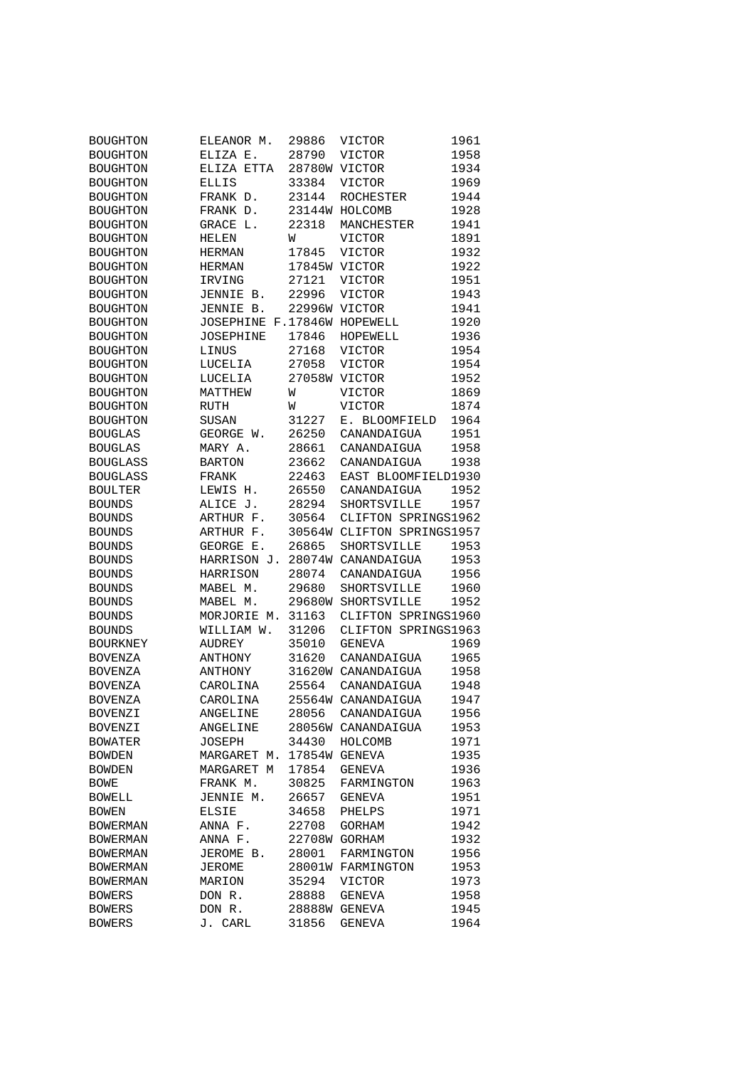| <b>BOUGHTON</b> | ELEANOR M.                  | 29886         | VICTOR              | 1961 |
|-----------------|-----------------------------|---------------|---------------------|------|
| <b>BOUGHTON</b> | ELIZA E.                    | 28790         | <b>VICTOR</b>       | 1958 |
| <b>BOUGHTON</b> | ELIZA ETTA                  |               | 28780W VICTOR       | 1934 |
| <b>BOUGHTON</b> | ELLIS                       | 33384         | <b>VICTOR</b>       | 1969 |
| <b>BOUGHTON</b> | FRANK D.                    | 23144         | ROCHESTER           | 1944 |
| <b>BOUGHTON</b> | FRANK D.                    |               | 23144W HOLCOMB      | 1928 |
| <b>BOUGHTON</b> | GRACE L.                    | 22318         | MANCHESTER          | 1941 |
| <b>BOUGHTON</b> | <b>HELEN</b>                | M             | VICTOR              | 1891 |
| <b>BOUGHTON</b> | HERMAN                      | 17845         | <b>VICTOR</b>       | 1932 |
| <b>BOUGHTON</b> | HERMAN                      | 17845W VICTOR |                     | 1922 |
| <b>BOUGHTON</b> | IRVING                      | 27121         | VICTOR              | 1951 |
| <b>BOUGHTON</b> | JENNIE B.                   | 22996         | <b>VICTOR</b>       | 1943 |
| <b>BOUGHTON</b> | JENNIE B.                   | 22996W VICTOR |                     | 1941 |
| <b>BOUGHTON</b> | JOSEPHINE F.17846W HOPEWELL |               |                     | 1920 |
| <b>BOUGHTON</b> | JOSEPHINE                   | 17846         | HOPEWELL            | 1936 |
| <b>BOUGHTON</b> | LINUS                       | 27168         | <b>VICTOR</b>       | 1954 |
| <b>BOUGHTON</b> | LUCELIA                     | 27058         | <b>VICTOR</b>       | 1954 |
| <b>BOUGHTON</b> | LUCELIA                     | 27058W VICTOR |                     | 1952 |
| <b>BOUGHTON</b> | MATTHEW                     | W             | <b>VICTOR</b>       | 1869 |
| <b>BOUGHTON</b> | RUTH                        | W             | <b>VICTOR</b>       | 1874 |
| <b>BOUGHTON</b> | SUSAN                       | 31227         | E. BLOOMFIELD       | 1964 |
| <b>BOUGLAS</b>  | GEORGE W.                   | 26250         | CANANDAIGUA         | 1951 |
| <b>BOUGLAS</b>  | MARY A.                     | 28661         | CANANDAIGUA         | 1958 |
| <b>BOUGLASS</b> | <b>BARTON</b>               | 23662         | CANANDAIGUA         | 1938 |
| <b>BOUGLASS</b> | FRANK                       | 22463         | EAST BLOOMFIELD1930 |      |
| <b>BOULTER</b>  | LEWIS H.                    | 26550         | CANANDAIGUA         | 1952 |
| <b>BOUNDS</b>   | ALICE J.                    | 28294         | SHORTSVILLE         | 1957 |
| <b>BOUNDS</b>   | ARTHUR F.                   | 30564         | CLIFTON SPRINGS1962 |      |
| <b>BOUNDS</b>   | ARTHUR F.                   | 30564W        | CLIFTON SPRINGS1957 |      |
| <b>BOUNDS</b>   | GEORGE E.                   | 26865         | SHORTSVILLE         | 1953 |
| <b>BOUNDS</b>   | HARRISON J.                 | 28074W        | CANANDAIGUA         | 1953 |
| <b>BOUNDS</b>   | HARRISON                    | 28074         | CANANDAIGUA         | 1956 |
| <b>BOUNDS</b>   | MABEL M.                    | 29680         | SHORTSVILLE         | 1960 |
| <b>BOUNDS</b>   | MABEL M.                    | 29680W        | SHORTSVILLE         | 1952 |
| <b>BOUNDS</b>   | MORJORIE M.                 | 31163         | CLIFTON SPRINGS1960 |      |
| <b>BOUNDS</b>   | WILLIAM W.                  | 31206         | CLIFTON SPRINGS1963 |      |
| <b>BOURKNEY</b> | <b>AUDREY</b>               | 35010         | <b>GENEVA</b>       | 1969 |
| <b>BOVENZA</b>  | ANTHONY                     | 31620         | CANANDAIGUA         | 1965 |
| <b>BOVENZA</b>  | <b>ANTHONY</b>              |               | 31620W CANANDAIGUA  | 1958 |
| <b>BOVENZA</b>  | CAROLINA                    | 25564         | CANANDAIGUA         | 1948 |
| <b>BOVENZA</b>  | CAROLINA                    |               | 25564W CANANDAIGUA  | 1947 |
| <b>BOVENZI</b>  | ANGELINE                    | 28056         | CANANDAIGUA         | 1956 |
| <b>BOVENZI</b>  | ANGELINE                    |               | 28056W CANANDAIGUA  | 1953 |
| <b>BOWATER</b>  | JOSEPH                      | 34430         | HOLCOMB             | 1971 |
| <b>BOWDEN</b>   | MARGARET M.                 | 17854W GENEVA |                     | 1935 |
| <b>BOWDEN</b>   | MARGARET M                  | 17854         | <b>GENEVA</b>       | 1936 |
| <b>BOWE</b>     | FRANK M.                    | 30825         | FARMINGTON          | 1963 |
| <b>BOWELL</b>   | JENNIE M.                   | 26657         | <b>GENEVA</b>       | 1951 |
| <b>BOWEN</b>    | <b>ELSIE</b>                | 34658         | PHELPS              | 1971 |
| <b>BOWERMAN</b> | ANNA F.                     | 22708         | GORHAM              | 1942 |
| <b>BOWERMAN</b> | ANNA F.                     |               | 22708W GORHAM       | 1932 |
| <b>BOWERMAN</b> | JEROME B.                   | 28001         | FARMINGTON          | 1956 |
| <b>BOWERMAN</b> | JEROME                      |               | 28001W FARMINGTON   | 1953 |
| <b>BOWERMAN</b> | MARION                      | 35294         | <b>VICTOR</b>       | 1973 |
| <b>BOWERS</b>   | DON R.                      | 28888         | GENEVA              | 1958 |
| <b>BOWERS</b>   | DON R.                      |               | 28888W GENEVA       | 1945 |
| <b>BOWERS</b>   | J. CARL                     | 31856         | GENEVA              | 1964 |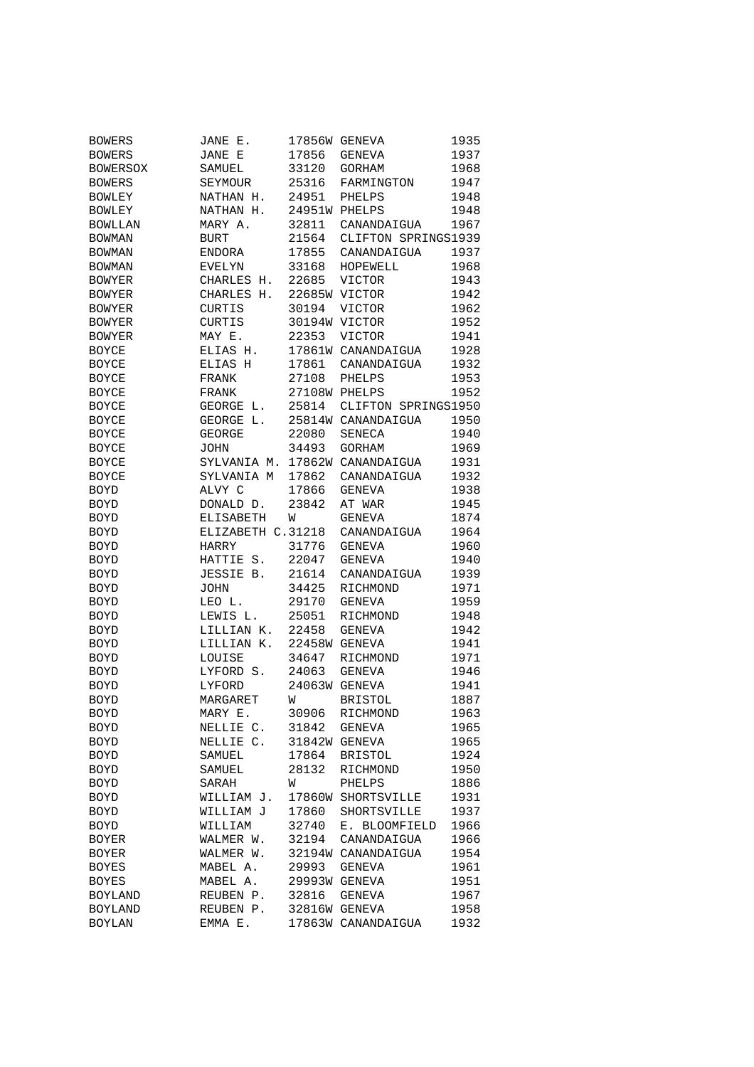| <b>BOWERS</b>   | JANE E.                       |               | 17856W GENEVA                  | 1935 |
|-----------------|-------------------------------|---------------|--------------------------------|------|
| <b>BOWERS</b>   | JANE E                        | 17856         | GENEVA                         | 1937 |
| <b>BOWERSOX</b> | SAMUEL                        | 33120         | GORHAM                         | 1968 |
| <b>BOWERS</b>   | SEYMOUR                       | 25316         | FARMINGTON                     | 1947 |
| <b>BOWLEY</b>   | NATHAN H.                     | 24951         | PHELPS                         | 1948 |
| <b>BOWLEY</b>   | NATHAN H.                     |               | 24951W PHELPS                  | 1948 |
| <b>BOWLLAN</b>  | MARY A.                       |               | 32811 CANANDAIGUA              | 1967 |
| <b>BOWMAN</b>   | <b>BURT</b>                   |               | 21564 CLIFTON SPRINGS1939      |      |
| <b>BOWMAN</b>   | ENDORA                        |               | 17855 CANANDAIGUA              | 1937 |
| <b>BOWMAN</b>   | EVELYN                        |               | 33168 HOPEWELL                 | 1968 |
| <b>BOWYER</b>   | CHARLES H. 22685 VICTOR       |               |                                | 1943 |
| <b>BOWYER</b>   | CHARLES H.                    |               | 22685W VICTOR                  | 1942 |
| <b>BOWYER</b>   | CURTIS                        | 30194         | VICTOR                         | 1962 |
| <b>BOWYER</b>   | CURTIS                        |               | 30194W VICTOR                  | 1952 |
| <b>BOWYER</b>   | MAY E.                        | 22353         | VICTOR                         | 1941 |
| <b>BOYCE</b>    | ELIAS H.                      |               | 17861W CANANDAIGUA             | 1928 |
| <b>BOYCE</b>    | ELIAS H                       |               | 17861 CANANDAIGUA              | 1932 |
| <b>BOYCE</b>    | FRANK                         | 27108 PHELPS  |                                | 1953 |
| <b>BOYCE</b>    | FRANK                         |               | 27108W PHELPS                  | 1952 |
| <b>BOYCE</b>    | GEORGE L.                     |               | 25814 CLIFTON SPRINGS1950      |      |
| <b>BOYCE</b>    | GEORGE L.                     |               | 25814W CANANDAIGUA             | 1950 |
| <b>BOYCE</b>    | GEORGE                        | 22080         | SENECA                         | 1940 |
| <b>BOYCE</b>    | <b>JOHN</b>                   | 34493         | GORHAM                         | 1969 |
| <b>BOYCE</b>    |                               |               | SYLVANIA M. 17862W CANANDAIGUA | 1931 |
| <b>BOYCE</b>    | SYLVANIA M                    |               | 17862 CANANDAIGUA              | 1932 |
| <b>BOYD</b>     | ALVY C                        | 17866         | GENEVA                         | 1938 |
| <b>BOYD</b>     | DONALD D.                     | 23842         | AT WAR                         | 1945 |
| <b>BOYD</b>     | ELISABETH                     | W             | GENEVA                         | 1874 |
| <b>BOYD</b>     | ELIZABETH C.31218 CANANDAIGUA |               |                                | 1964 |
| <b>BOYD</b>     | HARRY                         | 31776         | GENEVA                         | 1960 |
| <b>BOYD</b>     | HATTIE S.                     | 22047         | GENEVA                         | 1940 |
| <b>BOYD</b>     | JESSIE B.                     | 21614         | CANANDAIGUA                    | 1939 |
| <b>BOYD</b>     | <b>JOHN</b>                   | 34425         | RICHMOND                       | 1971 |
| <b>BOYD</b>     | LEO L.                        | 29170 GENEVA  |                                | 1959 |
| <b>BOYD</b>     | LEWIS L.                      | 25051         | RICHMOND                       | 1948 |
| <b>BOYD</b>     | LILLIAN K.                    | 22458         | <b>GENEVA</b>                  | 1942 |
| <b>BOYD</b>     | LILLIAN K.                    | 22458W GENEVA |                                | 1941 |
| <b>BOYD</b>     | LOUISE                        | 34647         | RICHMOND                       | 1971 |
| <b>BOYD</b>     | LYFORD S.                     | 24063         | GENEVA                         | 1946 |
| <b>BOYD</b>     | LYFORD                        | 24063W GENEVA |                                | 1941 |
| <b>BOYD</b>     | MARGARET                      | W             | BRISTOL                        | 1887 |
| <b>BOYD</b>     | MARY E.                       | 30906         | RICHMOND                       | 1963 |
| <b>BOYD</b>     | NELLIE C.                     | 31842         | GENEVA                         | 1965 |
| <b>BOYD</b>     | NELLIE C.                     |               | 31842W GENEVA                  | 1965 |
| <b>BOYD</b>     | SAMUEL                        |               | 17864 BRISTOL                  | 1924 |
| <b>BOYD</b>     | SAMUEL                        | 28132         | RICHMOND                       | 1950 |
| <b>BOYD</b>     | SARAH                         | W             | PHELPS                         | 1886 |
| <b>BOYD</b>     | WILLIAM J.                    |               | 17860W SHORTSVILLE             | 1931 |
| <b>BOYD</b>     | WILLIAM J                     | 17860         | SHORTSVILLE                    | 1937 |
| <b>BOYD</b>     | WILLIAM                       | 32740         | E. BLOOMFIELD                  | 1966 |
| <b>BOYER</b>    | WALMER W.                     |               | 32194 CANANDAIGUA              | 1966 |
| <b>BOYER</b>    | WALMER W.                     |               | 32194W CANANDAIGUA             | 1954 |
| <b>BOYES</b>    | MABEL A.                      | 29993         | GENEVA                         | 1961 |
| <b>BOYES</b>    | MABEL A.                      |               | 29993W GENEVA                  | 1951 |
| <b>BOYLAND</b>  | REUBEN P.                     | 32816         | GENEVA                         | 1967 |
| <b>BOYLAND</b>  | REUBEN P.                     |               | 32816W GENEVA                  | 1958 |
| <b>BOYLAN</b>   | EMMA E.                       |               | 17863W CANANDAIGUA             | 1932 |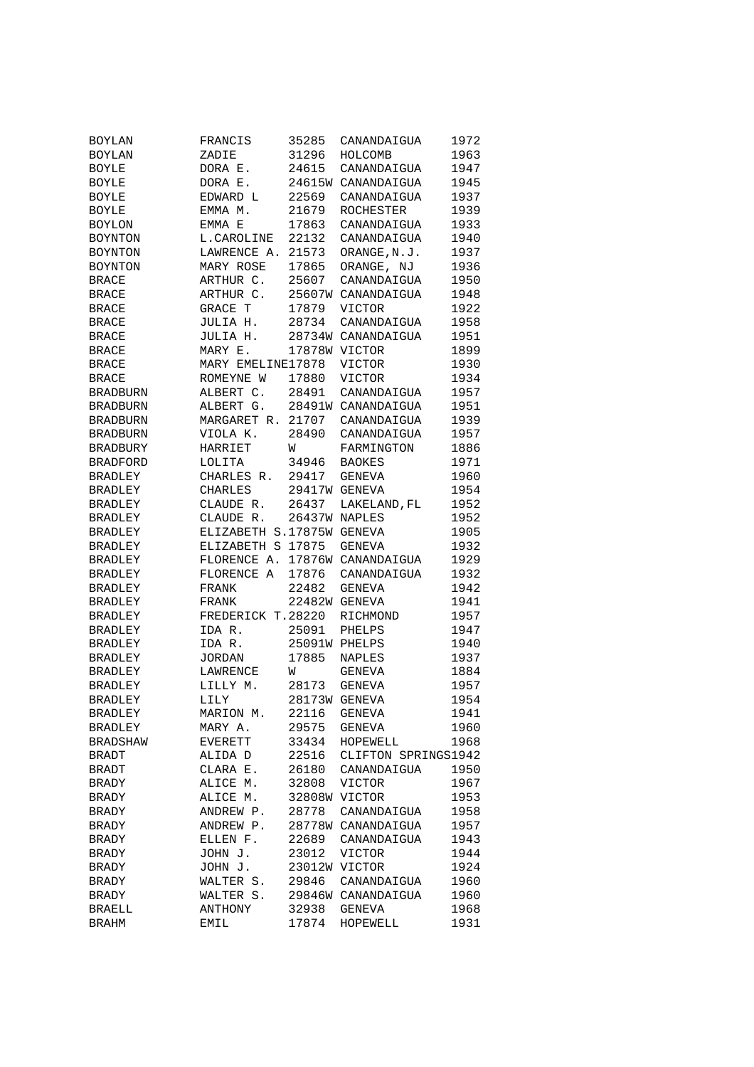| BOYLAN          | FRANCIS            | 35285         | CANANDAIGUA         | 1972 |
|-----------------|--------------------|---------------|---------------------|------|
| <b>BOYLAN</b>   | ZADIE              | 31296         | HOLCOMB             | 1963 |
| <b>BOYLE</b>    | DORA E.            | 24615         | CANANDAIGUA         | 1947 |
| BOYLE           | DORA E.            | 24615W        | CANANDAIGUA         | 1945 |
| <b>BOYLE</b>    | EDWARD L           | 22569         | CANANDAIGUA         | 1937 |
| BOYLE           | EMMA M.            | 21679         | ROCHESTER           | 1939 |
| <b>BOYLON</b>   | EMMA E             | 17863         | CANANDAIGUA         | 1933 |
| <b>BOYNTON</b>  | L.CAROLINE         | 22132         | CANANDAIGUA         | 1940 |
| BOYNTON         | LAWRENCE A.        | 21573         | ORANGE, N.J.        | 1937 |
| BOYNTON         | MARY ROSE          | 17865         | ORANGE, NJ          | 1936 |
| <b>BRACE</b>    | ARTHUR C.          | 25607         | CANANDAIGUA         | 1950 |
| BRACE           | ARTHUR C.          | 25607W        | CANANDAIGUA         | 1948 |
| <b>BRACE</b>    | GRACE T            | 17879         | VICTOR              | 1922 |
| <b>BRACE</b>    | JULIA H.           | 28734         | CANANDAIGUA         | 1958 |
| <b>BRACE</b>    | JULIA H.           |               | 28734W CANANDAIGUA  | 1951 |
| <b>BRACE</b>    | MARY E.            | 17878W        | VICTOR              | 1899 |
| <b>BRACE</b>    | MARY EMELINE17878  |               | VICTOR              | 1930 |
| <b>BRACE</b>    | ROMEYNE W          | 17880         | VICTOR              | 1934 |
| <b>BRADBURN</b> | ALBERT C.          | 28491         | CANANDAIGUA         | 1957 |
| <b>BRADBURN</b> | ALBERT G.          |               | 28491W CANANDAIGUA  | 1951 |
| <b>BRADBURN</b> | MARGARET R. 21707  |               | CANANDAIGUA         | 1939 |
| BRADBURN        | VIOLA K.           | 28490         | CANANDAIGUA         | 1957 |
| BRADBURY        | HARRIET            | W             | FARMINGTON          | 1886 |
| BRADFORD        | LOLITA             | 34946         | <b>BAOKES</b>       | 1971 |
| <b>BRADLEY</b>  | CHARLES R.         | 29417         | GENEVA              | 1960 |
| <b>BRADLEY</b>  | <b>CHARLES</b>     |               | 29417W GENEVA       | 1954 |
| BRADLEY         | CLAUDE R.          | 26437         | LAKELAND, FL        | 1952 |
| <b>BRADLEY</b>  | CLAUDE R.          | 26437W        | NAPLES              | 1952 |
| <b>BRADLEY</b>  | ELIZABETH S.17875W |               | GENEVA              | 1905 |
| <b>BRADLEY</b>  | ELIZABETH S 17875  |               | GENEVA              | 1932 |
| <b>BRADLEY</b>  | FLORENCE A.        |               | 17876W CANANDAIGUA  | 1929 |
| <b>BRADLEY</b>  | FLORENCE A         | 17876         | CANANDAIGUA         | 1932 |
| <b>BRADLEY</b>  | FRANK              | 22482         | <b>GENEVA</b>       | 1942 |
| <b>BRADLEY</b>  | FRANK              | 22482W GENEVA |                     | 1941 |
| BRADLEY         | FREDERICK T.28220  |               | RICHMOND            | 1957 |
| BRADLEY         | IDA R.             | 25091         | PHELPS              | 1947 |
| <b>BRADLEY</b>  | IDA R.             | 25091W PHELPS |                     | 1940 |
| <b>BRADLEY</b>  | <b>JORDAN</b>      | 17885         | NAPLES              | 1937 |
| <b>BRADLEY</b>  | LAWRENCE           | W             | GENEVA              | 1884 |
| <b>BRADLEY</b>  | LILLY M.           | 28173         | <b>GENEVA</b>       | 1957 |
| BRADLEY         | LILY               |               | 28173W GENEVA       | 1954 |
| BRADLEY         | MARION M.          | 22116         | GENEVA              | 1941 |
| BRADLEY         | MARY A.            | 29575         | GENEVA              | 1960 |
| <b>BRADSHAW</b> | EVERETT            | 33434         | HOPEWELL            | 1968 |
| <b>BRADT</b>    | ALIDA D            | 22516         | CLIFTON SPRINGS1942 |      |
| BRADT           | CLARA E.           | 26180         | CANANDAIGUA         | 1950 |
| <b>BRADY</b>    | ALICE M.           | 32808         | VICTOR              | 1967 |
| <b>BRADY</b>    | ALICE M.           |               | 32808W VICTOR       | 1953 |
| <b>BRADY</b>    | ANDREW P.          | 28778         | CANANDAIGUA         | 1958 |
| <b>BRADY</b>    | ANDREW P.          |               | 28778W CANANDAIGUA  | 1957 |
| <b>BRADY</b>    | ELLEN F.           | 22689         | CANANDAIGUA         | 1943 |
| <b>BRADY</b>    | JOHN J.            | 23012         | VICTOR              | 1944 |
| BRADY           | JOHN J.            | 23012W VICTOR |                     | 1924 |
| BRADY           | WALTER S.          | 29846         | CANANDAIGUA         | 1960 |
| BRADY           | WALTER S.          |               | 29846W CANANDAIGUA  | 1960 |
| BRAELL          | ANTHONY            | 32938         | GENEVA              | 1968 |
| <b>BRAHM</b>    | EMIL               | 17874         | HOPEWELL            | 1931 |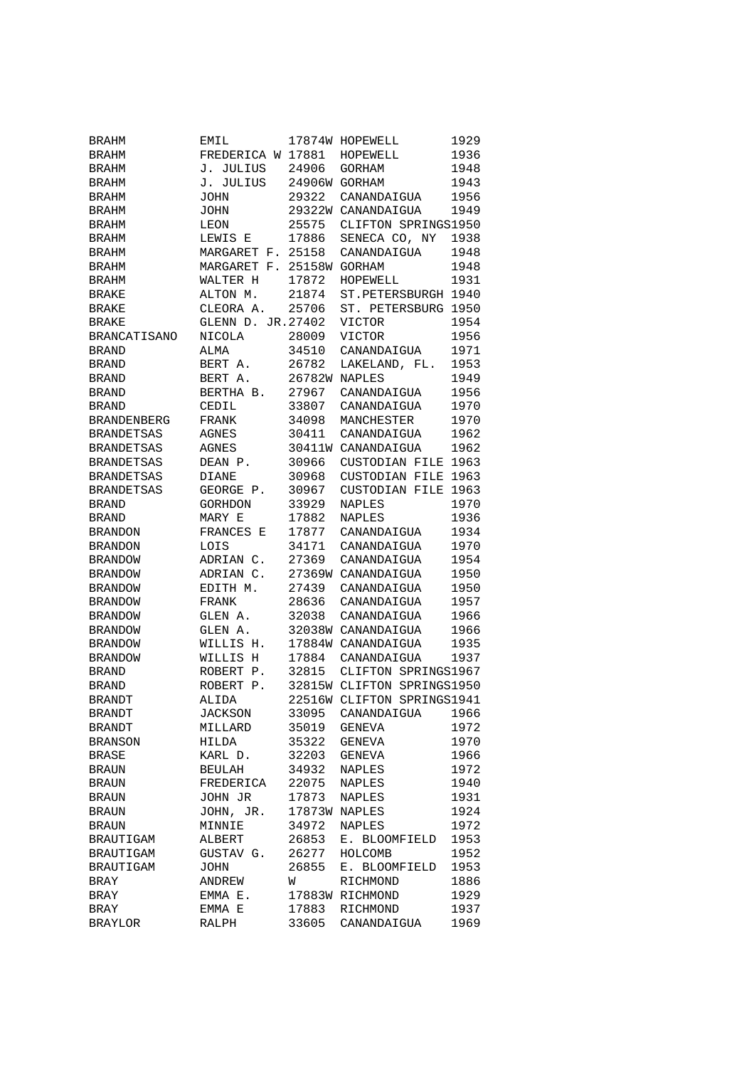| <b>BRAHM</b>        | EMIL              |               | 17874W HOPEWELL            | 1929 |
|---------------------|-------------------|---------------|----------------------------|------|
| <b>BRAHM</b>        | FREDERICA W 17881 |               | HOPEWELL                   | 1936 |
| <b>BRAHM</b>        | J. JULIUS         | 24906         | GORHAM                     | 1948 |
| <b>BRAHM</b>        | J. JULIUS         | 24906W        | GORHAM                     | 1943 |
| <b>BRAHM</b>        | JOHN              | 29322         | CANANDAIGUA                | 1956 |
| <b>BRAHM</b>        | JOHN              | 29322W        | CANANDAIGUA                | 1949 |
| <b>BRAHM</b>        | LEON              | 25575         | CLIFTON SPRINGS1950        |      |
| <b>BRAHM</b>        | LEWIS E           | 17886         | SENECA CO, NY              | 1938 |
| <b>BRAHM</b>        | MARGARET F.       | 25158         | CANANDAIGUA                | 1948 |
| <b>BRAHM</b>        | MARGARET F.       | 25158W        | GORHAM                     | 1948 |
| <b>BRAHM</b>        | WALTER H          | 17872         | HOPEWELL                   | 1931 |
| <b>BRAKE</b>        | ALTON M.          | 21874         | ST.PETERSBURGH 1940        |      |
| <b>BRAKE</b>        | CLEORA A.         | 25706         | ST. PETERSBURG 1950        |      |
| <b>BRAKE</b>        | GLENN D.          | JR.27402      | VICTOR                     | 1954 |
| <b>BRANCATISANO</b> | <b>NICOLA</b>     | 28009         | VICTOR                     | 1956 |
| <b>BRAND</b>        | ALMA              | 34510         | CANANDAIGUA                | 1971 |
| <b>BRAND</b>        | BERT A.           | 26782         | LAKELAND, FL.              | 1953 |
| <b>BRAND</b>        | BERT A.           | 26782W        | NAPLES                     | 1949 |
| <b>BRAND</b>        | BERTHA B.         | 27967         | CANANDAIGUA                | 1956 |
| <b>BRAND</b>        | CEDIL             | 33807         | CANANDAIGUA                | 1970 |
| <b>BRANDENBERG</b>  | FRANK             | 34098         | MANCHESTER                 | 1970 |
| BRANDETSAS          | AGNES             | 30411         | CANANDAIGUA                | 1962 |
| BRANDETSAS          | AGNES             | 30411W        | CANANDAIGUA                | 1962 |
| BRANDETSAS          | DEAN P.           | 30966         | CUSTODIAN FILE 1963        |      |
| <b>BRANDETSAS</b>   | <b>DIANE</b>      | 30968         | CUSTODIAN FILE 1963        |      |
| <b>BRANDETSAS</b>   | GEORGE P.         | 30967         | CUSTODIAN FILE             | 1963 |
| <b>BRAND</b>        | GORHDON           | 33929         | NAPLES                     | 1970 |
| <b>BRAND</b>        | MARY E            | 17882         | NAPLES                     | 1936 |
| <b>BRANDON</b>      | FRANCES E         | 17877         | CANANDAIGUA                | 1934 |
| <b>BRANDON</b>      | LOIS              | 34171         | CANANDAIGUA                | 1970 |
| <b>BRANDOW</b>      | ADRIAN C.         | 27369         | CANANDAIGUA                | 1954 |
| <b>BRANDOW</b>      | ADRIAN C.         |               | 27369W CANANDAIGUA         | 1950 |
| <b>BRANDOW</b>      | EDITH M.          | 27439         | CANANDAIGUA                | 1950 |
| <b>BRANDOW</b>      | FRANK             | 28636         | CANANDAIGUA                | 1957 |
| <b>BRANDOW</b>      | GLEN A.           | 32038         | CANANDAIGUA                | 1966 |
| <b>BRANDOW</b>      | GLEN A.           |               | 32038W CANANDAIGUA         | 1966 |
| <b>BRANDOW</b>      | WILLIS H.         | 17884W        | CANANDAIGUA                | 1935 |
| <b>BRANDOW</b>      | WILLIS H          | 17884         | CANANDAIGUA                | 1937 |
| <b>BRAND</b>        | ROBERT P.         | 32815         | CLIFTON SPRINGS1967        |      |
| <b>BRAND</b>        | ROBERT P.         |               | 32815W CLIFTON SPRINGS1950 |      |
| <b>BRANDT</b>       | ALIDA             |               | 22516W CLIFTON SPRINGS1941 |      |
| BRANDT              | JACKSON           | 33095         | CANANDAIGUA                | 1966 |
| BRANDT              | MILLARD           | 35019         | GENEVA                     | 1972 |
| <b>BRANSON</b>      | HILDA             | 35322         | GENEVA                     | 1970 |
| <b>BRASE</b>        | KARL D.           | 32203         | <b>GENEVA</b>              | 1966 |
| BRAUN               | <b>BEULAH</b>     | 34932         | NAPLES                     | 1972 |
| BRAUN               | FREDERICA         | 22075         | NAPLES                     | 1940 |
| <b>BRAUN</b>        | JOHN JR           | 17873         | NAPLES                     | 1931 |
| <b>BRAUN</b>        | JOHN, JR.         | 17873W NAPLES |                            | 1924 |
| <b>BRAUN</b>        | MINNIE            | 34972         | NAPLES                     | 1972 |
| BRAUTIGAM           | ALBERT            | 26853         | E. BLOOMFIELD              | 1953 |
| BRAUTIGAM           | GUSTAV G.         | 26277         | HOLCOMB                    | 1952 |
| BRAUTIGAM           | JOHN              | 26855         | E. BLOOMFIELD              | 1953 |
| BRAY                | ANDREW            | W             | RICHMOND                   | 1886 |
| BRAY                | EMMA E.           |               | 17883W RICHMOND            | 1929 |
| BRAY                | EMMA E            | 17883         | RICHMOND                   | 1937 |
| BRAYLOR             | RALPH             | 33605         | CANANDAIGUA                | 1969 |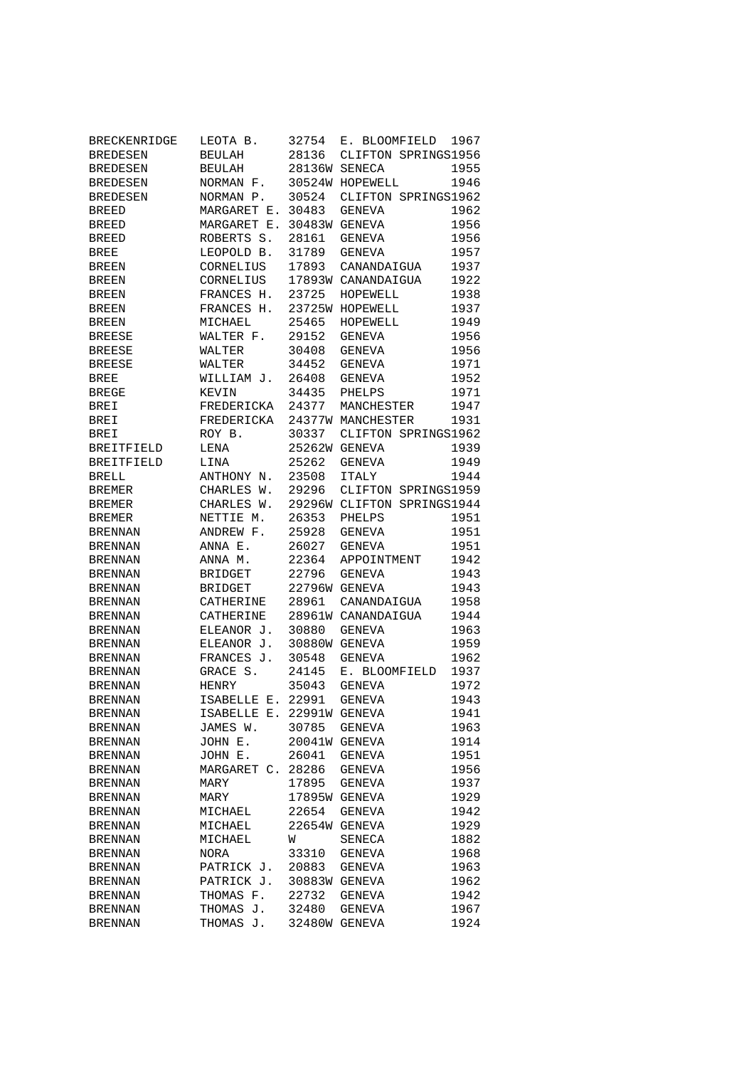| BRECKENRIDGE      | LEOTA B.                  | 32754         | E. BLOOMFIELD              | 1967 |
|-------------------|---------------------------|---------------|----------------------------|------|
| <b>BREDESEN</b>   | <b>BEULAH</b>             | 28136         | CLIFTON SPRINGS1956        |      |
| <b>BREDESEN</b>   | BEULAH                    | 28136W        | SENECA                     | 1955 |
| <b>BREDESEN</b>   | NORMAN F.                 |               | 30524W HOPEWELL            | 1946 |
| <b>BREDESEN</b>   | NORMAN P.                 | 30524         | CLIFTON SPRINGS1962        |      |
| <b>BREED</b>      | MARGARET E.               | 30483         | <b>GENEVA</b>              | 1962 |
| <b>BREED</b>      | MARGARET E.               | 30483W GENEVA |                            | 1956 |
| <b>BREED</b>      | ROBERTS S.                | 28161         | GENEVA                     | 1956 |
| <b>BREE</b>       | LEOPOLD B.                | 31789         | <b>GENEVA</b>              | 1957 |
| <b>BREEN</b>      | CORNELIUS                 | 17893         | CANANDAIGUA                | 1937 |
| <b>BREEN</b>      | CORNELIUS                 |               | 17893W CANANDAIGUA         | 1922 |
| <b>BREEN</b>      | FRANCES H.                | 23725         | HOPEWELL                   | 1938 |
| <b>BREEN</b>      | FRANCES H.                |               | 23725W HOPEWELL            | 1937 |
| <b>BREEN</b>      | MICHAEL                   | 25465         | HOPEWELL                   | 1949 |
| <b>BREESE</b>     | WALTER F.                 | 29152         | GENEVA                     | 1956 |
| <b>BREESE</b>     | WALTER                    | 30408         | GENEVA                     | 1956 |
| <b>BREESE</b>     | WALTER                    | 34452         | <b>GENEVA</b>              | 1971 |
| BREE              | WILLIAM J.                | 26408         | GENEVA                     | 1952 |
| <b>BREGE</b>      | KEVIN                     | 34435         | PHELPS                     | 1971 |
| <b>BREI</b>       | FREDERICKA                | 24377         | MANCHESTER                 | 1947 |
| <b>BREI</b>       | FREDERICKA                |               | 24377W MANCHESTER          | 1931 |
| BREI              | ROY B.                    | 30337         | CLIFTON SPRINGS1962        |      |
| BREITFIELD        | LENA                      |               | 25262W GENEVA              | 1939 |
| <b>BREITFIELD</b> | LINA                      | 25262         | GENEVA                     | 1949 |
| <b>BRELL</b>      | ANTHONY N.                | 23508         | <b>ITALY</b>               | 1944 |
| BREMER            | CHARLES W.                | 29296         | CLIFTON SPRINGS1959        |      |
| <b>BREMER</b>     | CHARLES W.                |               | 29296W CLIFTON SPRINGS1944 |      |
| <b>BREMER</b>     | NETTIE M.                 | 26353         | PHELPS                     | 1951 |
| <b>BRENNAN</b>    | ANDREW F.                 | 25928         | GENEVA                     | 1951 |
| <b>BRENNAN</b>    | ANNA E.                   | 26027         | GENEVA                     | 1951 |
| <b>BRENNAN</b>    | ANNA M.                   | 22364         | APPOINTMENT                | 1942 |
| <b>BRENNAN</b>    | <b>BRIDGET</b>            | 22796         | <b>GENEVA</b>              | 1943 |
| <b>BRENNAN</b>    | <b>BRIDGET</b>            |               | 22796W GENEVA              | 1943 |
| <b>BRENNAN</b>    | CATHERINE                 | 28961         | CANANDAIGUA                | 1958 |
| <b>BRENNAN</b>    | CATHERINE                 |               | 28961W CANANDAIGUA         | 1944 |
| <b>BRENNAN</b>    | ELEANOR J.                | 30880         | <b>GENEVA</b>              | 1963 |
| <b>BRENNAN</b>    | ELEANOR J.                | 30880W GENEVA |                            | 1959 |
| <b>BRENNAN</b>    | FRANCES J.                | 30548         | <b>GENEVA</b>              | 1962 |
| <b>BRENNAN</b>    | GRACE S.                  | 24145         | E. BLOOMFIELD              | 1937 |
| <b>BRENNAN</b>    | HENRY                     | 35043         | <b>GENEVA</b>              | 1972 |
| BRENNAN           | ISABELLE E. 22991 GENEVA  |               |                            | 1943 |
| <b>BRENNAN</b>    | ISABELLE E. 22991W GENEVA |               |                            | 1941 |
| <b>BRENNAN</b>    | JAMES W.                  | 30785         | GENEVA                     | 1963 |
| <b>BRENNAN</b>    | JOHN E.                   | 20041W GENEVA |                            | 1914 |
| <b>BRENNAN</b>    | JOHN E.                   | 26041         | GENEVA                     | 1951 |
| <b>BRENNAN</b>    | MARGARET C. 28286         |               | <b>GENEVA</b>              | 1956 |
| <b>BRENNAN</b>    | MARY                      | 17895         | GENEVA                     | 1937 |
| <b>BRENNAN</b>    | MARY                      | 17895W GENEVA |                            | 1929 |
| <b>BRENNAN</b>    | MICHAEL                   | 22654         | <b>GENEVA</b>              | 1942 |
| <b>BRENNAN</b>    | MICHAEL                   | 22654W GENEVA |                            | 1929 |
| <b>BRENNAN</b>    | MICHAEL                   | W             | SENECA                     | 1882 |
| <b>BRENNAN</b>    | NORA                      | 33310         | <b>GENEVA</b>              | 1968 |
| <b>BRENNAN</b>    | PATRICK J.                | 20883         | GENEVA                     | 1963 |
| <b>BRENNAN</b>    | PATRICK J.                |               | 30883W GENEVA              | 1962 |
| <b>BRENNAN</b>    | THOMAS F.                 | 22732         | GENEVA                     | 1942 |
| <b>BRENNAN</b>    | THOMAS J.                 | 32480         | GENEVA                     | 1967 |
| <b>BRENNAN</b>    | THOMAS J.                 | 32480W GENEVA |                            | 1924 |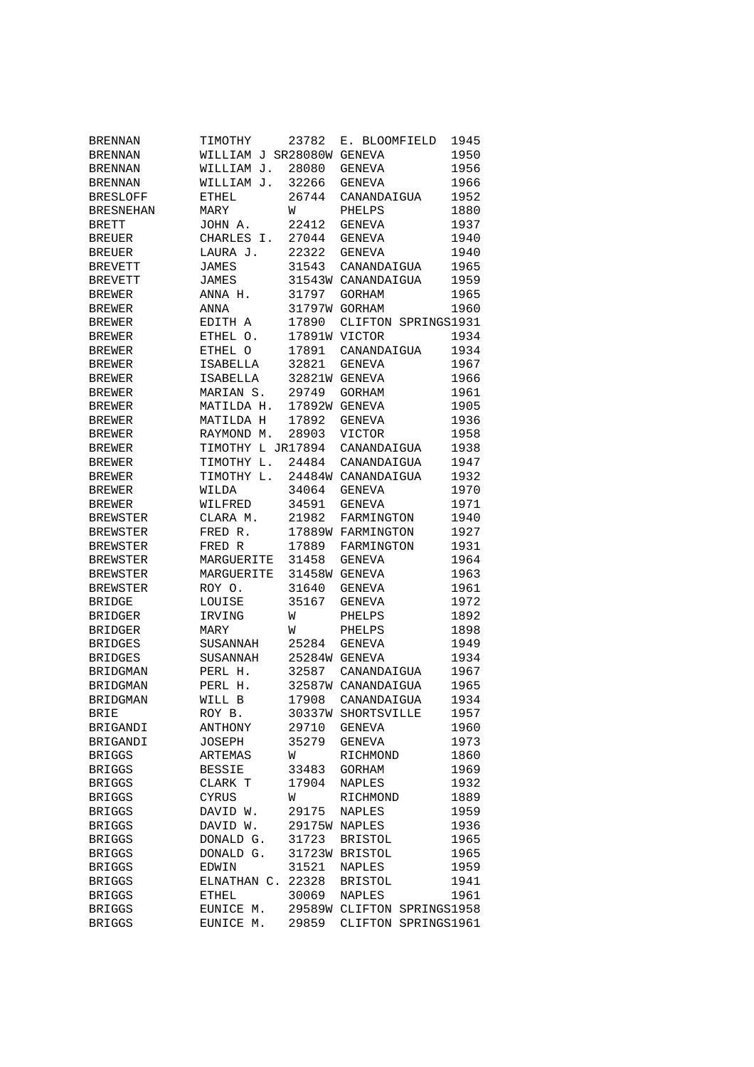| <b>BRENNAN</b>  | TIMOTHY                   | 23782         | E. BLOOMFIELD              | 1945 |
|-----------------|---------------------------|---------------|----------------------------|------|
| <b>BRENNAN</b>  | WILLIAM J SR28080W GENEVA |               |                            | 1950 |
| <b>BRENNAN</b>  | WILLIAM J.                | 28080         | <b>GENEVA</b>              | 1956 |
| <b>BRENNAN</b>  | WILLIAM J.                | 32266         | GENEVA                     | 1966 |
| <b>BRESLOFF</b> | ETHEL                     | 26744         | CANANDAIGUA                | 1952 |
| BRESNEHAN       | MARY                      | W             | PHELPS                     | 1880 |
| <b>BRETT</b>    | JOHN A.                   | 22412         | <b>GENEVA</b>              | 1937 |
| <b>BREUER</b>   | CHARLES I.                | 27044         | <b>GENEVA</b>              | 1940 |
| <b>BREUER</b>   | LAURA J.                  | 22322         | GENEVA                     | 1940 |
| <b>BREVETT</b>  | JAMES                     | 31543         | CANANDAIGUA                | 1965 |
| <b>BREVETT</b>  | JAMES                     | 31543W        | CANANDAIGUA                | 1959 |
| <b>BREWER</b>   | ANNA H.                   | 31797         | GORHAM                     | 1965 |
| <b>BREWER</b>   | ANNA                      | 31797W        | <b>GORHAM</b>              | 1960 |
| <b>BREWER</b>   | EDITH A                   | 17890         | CLIFTON SPRINGS1931        |      |
| <b>BREWER</b>   | ETHEL O.                  | 17891W VICTOR |                            | 1934 |
| <b>BREWER</b>   | ETHEL O                   | 17891         | CANANDAIGUA                | 1934 |
| <b>BREWER</b>   | ISABELLA                  | 32821         | GENEVA                     | 1967 |
| <b>BREWER</b>   | ISABELLA                  | 32821W GENEVA |                            | 1966 |
| <b>BREWER</b>   | MARIAN S.                 | 29749         | GORHAM                     | 1961 |
| <b>BREWER</b>   | MATILDA H.                | 17892W GENEVA |                            | 1905 |
| <b>BREWER</b>   | MATILDA H                 | 17892         | <b>GENEVA</b>              | 1936 |
| <b>BREWER</b>   | RAYMOND M.                | 28903         | <b>VICTOR</b>              | 1958 |
| <b>BREWER</b>   | TIMOTHY L JR17894         |               | CANANDAIGUA                | 1938 |
| <b>BREWER</b>   | TIMOTHY L.                | 24484         | CANANDAIGUA                | 1947 |
| <b>BREWER</b>   | TIMOTHY L.                | 24484W        | CANANDAIGUA                | 1932 |
| <b>BREWER</b>   | WILDA                     | 34064         | <b>GENEVA</b>              | 1970 |
| <b>BREWER</b>   | WILFRED                   | 34591         | GENEVA                     | 1971 |
| <b>BREWSTER</b> | CLARA M.                  | 21982         | FARMINGTON                 | 1940 |
| <b>BREWSTER</b> | FRED R.                   |               | 17889W FARMINGTON          | 1927 |
| <b>BREWSTER</b> | FRED R                    | 17889         | FARMINGTON                 | 1931 |
| <b>BREWSTER</b> | MARGUERITE                | 31458         | GENEVA                     | 1964 |
| <b>BREWSTER</b> | MARGUERITE                | 31458W GENEVA |                            | 1963 |
| <b>BREWSTER</b> | ROY O.                    | 31640         | <b>GENEVA</b>              | 1961 |
| <b>BRIDGE</b>   | LOUISE                    | 35167         | GENEVA                     | 1972 |
| <b>BRIDGER</b>  | IRVING                    | W             | PHELPS                     | 1892 |
| <b>BRIDGER</b>  | MARY                      | W             | PHELPS                     | 1898 |
| <b>BRIDGES</b>  | SUSANNAH                  | 25284         | GENEVA                     | 1949 |
| <b>BRIDGES</b>  | SUSANNAH                  | 25284W GENEVA |                            | 1934 |
| <b>BRIDGMAN</b> | PERL H.                   | 32587         | CANANDAIGUA                | 1967 |
| <b>BRIDGMAN</b> | PERL H.                   |               | 32587W CANANDAIGUA         | 1965 |
| BRIDGMAN        | WILL B                    | 17908         | CANANDATGUA                | 1934 |
| BRIE            | ROY B.                    |               | 30337W SHORTSVILLE         | 1957 |
| BRIGANDI        | ANTHONY                   | 29710         | GENEVA                     | 1960 |
| BRIGANDI        | JOSEPH                    | 35279         | GENEVA                     | 1973 |
| <b>BRIGGS</b>   | ARTEMAS                   | <b>W</b>      | RICHMOND                   | 1860 |
| <b>BRIGGS</b>   | <b>BESSIE</b>             | 33483         | GORHAM                     | 1969 |
| <b>BRIGGS</b>   | CLARK T                   | 17904         | NAPLES                     | 1932 |
| <b>BRIGGS</b>   | CYRUS                     | W             | RICHMOND                   | 1889 |
| <b>BRIGGS</b>   | DAVID W.                  | 29175         | NAPLES                     | 1959 |
| <b>BRIGGS</b>   | DAVID W.                  |               | 29175W NAPLES              | 1936 |
| <b>BRIGGS</b>   | DONALD G.                 | 31723         | BRISTOL                    | 1965 |
| <b>BRIGGS</b>   | DONALD G.                 |               | 31723W BRISTOL             | 1965 |
| <b>BRIGGS</b>   | EDWIN                     | 31521         | NAPLES                     | 1959 |
| <b>BRIGGS</b>   | ELNATHAN C. 22328         |               | BRISTOL                    | 1941 |
| <b>BRIGGS</b>   | ETHEL                     | 30069         | <b>NAPLES</b>              | 1961 |
| <b>BRIGGS</b>   | EUNICE M.                 |               | 29589W CLIFTON SPRINGS1958 |      |
| <b>BRIGGS</b>   | EUNICE M.                 | 29859         | CLIFTON SPRINGS1961        |      |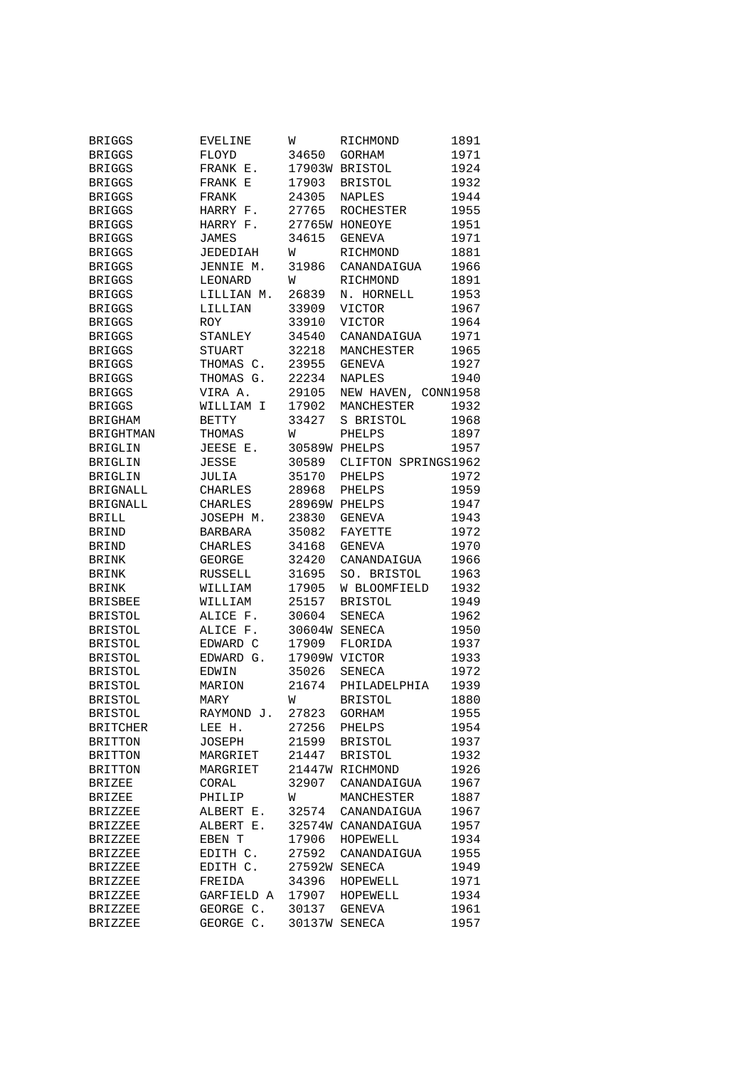| <b>BRIGGS</b>   | <b>EVELINE</b> | W             | RICHMOND            | 1891 |
|-----------------|----------------|---------------|---------------------|------|
| <b>BRIGGS</b>   | FLOYD          | 34650         | <b>GORHAM</b>       | 1971 |
| <b>BRIGGS</b>   | FRANK E.       |               | 17903W BRISTOL      | 1924 |
| <b>BRIGGS</b>   | FRANK E        | 17903         | <b>BRISTOL</b>      | 1932 |
| <b>BRIGGS</b>   | FRANK          | 24305         | NAPLES              | 1944 |
| <b>BRIGGS</b>   | HARRY F.       | 27765         | ROCHESTER           | 1955 |
| <b>BRIGGS</b>   | HARRY F.       |               | 27765W HONEOYE      | 1951 |
| <b>BRIGGS</b>   | JAMES          | 34615         | <b>GENEVA</b>       | 1971 |
| <b>BRIGGS</b>   | JEDEDIAH       | W             | RICHMOND            | 1881 |
| <b>BRIGGS</b>   | JENNIE M.      | 31986         | CANANDAIGUA         | 1966 |
| <b>BRIGGS</b>   | LEONARD        | W             | RICHMOND            | 1891 |
| <b>BRIGGS</b>   | LILLIAN M.     | 26839         | N. HORNELL          | 1953 |
| <b>BRIGGS</b>   | LILLIAN        | 33909         | <b>VICTOR</b>       | 1967 |
| <b>BRIGGS</b>   | ROY            | 33910         | VICTOR              | 1964 |
| <b>BRIGGS</b>   | STANLEY        | 34540         | CANANDAIGUA         | 1971 |
| <b>BRIGGS</b>   | STUART         | 32218         | MANCHESTER          | 1965 |
| <b>BRIGGS</b>   | THOMAS C.      | 23955         | <b>GENEVA</b>       | 1927 |
| <b>BRIGGS</b>   | THOMAS G.      | 22234         | NAPLES              | 1940 |
| <b>BRIGGS</b>   | VIRA A.        | 29105         | NEW HAVEN, CONN1958 |      |
| <b>BRIGGS</b>   | WILLIAM I      | 17902         | MANCHESTER          | 1932 |
| <b>BRIGHAM</b>  | <b>BETTY</b>   | 33427         | S BRISTOL           | 1968 |
| BRIGHTMAN       | THOMAS         | W             | PHELPS              | 1897 |
| <b>BRIGLIN</b>  | JEESE E.       |               | 30589W PHELPS       | 1957 |
| BRIGLIN         | JESSE          | 30589         | CLIFTON SPRINGS1962 |      |
| <b>BRIGLIN</b>  | JULIA          | 35170         | PHELPS              | 1972 |
| <b>BRIGNALL</b> | CHARLES        | 28968         | PHELPS              | 1959 |
| BRIGNALL        | CHARLES        |               | 28969W PHELPS       | 1947 |
| <b>BRILL</b>    | JOSEPH M.      | 23830         | <b>GENEVA</b>       | 1943 |
| <b>BRIND</b>    | BARBARA        | 35082         | FAYETTE             | 1972 |
| <b>BRIND</b>    | CHARLES        | 34168         | <b>GENEVA</b>       | 1970 |
| <b>BRINK</b>    | GEORGE         | 32420         | CANANDAIGUA         | 1966 |
| <b>BRINK</b>    | RUSSELL        | 31695         | SO. BRISTOL         | 1963 |
| <b>BRINK</b>    | WILLIAM        | 17905         | W BLOOMFIELD        | 1932 |
| <b>BRISBEE</b>  | WILLIAM        | 25157         | <b>BRISTOL</b>      | 1949 |
| <b>BRISTOL</b>  | ALICE F.       | 30604         | SENECA              | 1962 |
| <b>BRISTOL</b>  | ALICE F.       | 30604W        | SENECA              | 1950 |
| <b>BRISTOL</b>  | EDWARD C       | 17909         | FLORIDA             | 1937 |
| <b>BRISTOL</b>  | EDWARD G.      | 17909W VICTOR |                     | 1933 |
| <b>BRISTOL</b>  | EDWIN          | 35026         | <b>SENECA</b>       | 1972 |
| <b>BRISTOL</b>  | MARION         | 21674         | PHILADELPHIA        | 1939 |
| BRISTOL         | MARY           | <b>M</b>      | BRISTOL             | 1880 |
| <b>BRISTOL</b>  | RAYMOND J.     | 27823         | GORHAM              | 1955 |
| <b>BRITCHER</b> | LEE H.         | 27256         | PHELPS              | 1954 |
| <b>BRITTON</b>  | JOSEPH         | 21599         | BRISTOL             | 1937 |
| <b>BRITTON</b>  | MARGRIET       | 21447         | <b>BRISTOL</b>      | 1932 |
| <b>BRITTON</b>  | MARGRIET       |               | 21447W RICHMOND     | 1926 |
| <b>BRIZEE</b>   | CORAL          | 32907         | CANANDAIGUA         | 1967 |
| <b>BRIZEE</b>   | PHILIP         | W             | MANCHESTER          | 1887 |
| <b>BRIZZEE</b>  | ALBERT E.      | 32574         | CANANDAIGUA         | 1967 |
| <b>BRIZZEE</b>  | ALBERT E.      |               | 32574W CANANDAIGUA  | 1957 |
| <b>BRIZZEE</b>  | EBEN T         | 17906         | HOPEWELL            | 1934 |
| <b>BRIZZEE</b>  | EDITH C.       | 27592         | CANANDAIGUA         | 1955 |
| <b>BRIZZEE</b>  | EDITH C.       | 27592W SENECA |                     | 1949 |
| <b>BRIZZEE</b>  | FREIDA         | 34396         | HOPEWELL            | 1971 |
| <b>BRIZZEE</b>  | GARFIELD A     | 17907         | HOPEWELL            | 1934 |
| <b>BRIZZEE</b>  | GEORGE C.      | 30137         | GENEVA              | 1961 |
| <b>BRIZZEE</b>  | GEORGE C.      |               | 30137W SENECA       | 1957 |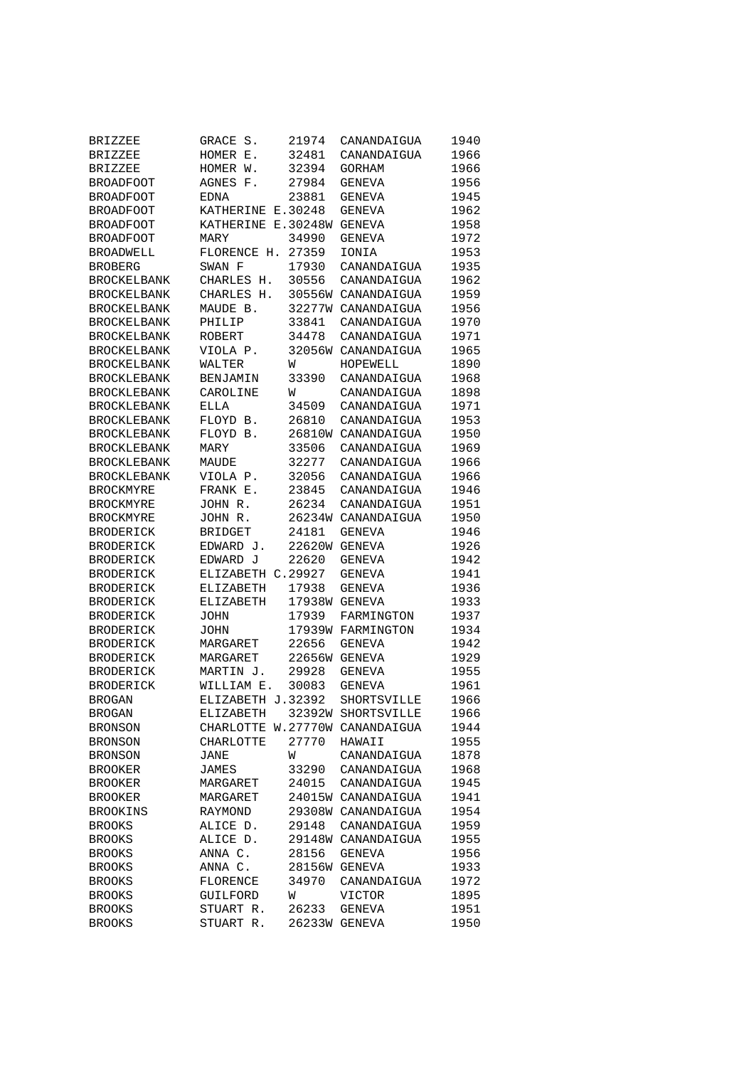| <b>BRIZZEE</b>     | GRACE S.                  | 21974  | CANANDAIGUA                    | 1940 |
|--------------------|---------------------------|--------|--------------------------------|------|
| <b>BRIZZEE</b>     | HOMER E.                  | 32481  | CANANDAIGUA                    | 1966 |
| <b>BRIZZEE</b>     | HOMER W.                  | 32394  | GORHAM                         | 1966 |
| <b>BROADFOOT</b>   | AGNES F.                  | 27984  | <b>GENEVA</b>                  | 1956 |
| <b>BROADFOOT</b>   | <b>EDNA</b>               | 23881  | GENEVA                         | 1945 |
| <b>BROADFOOT</b>   | KATHERINE E.30248         |        | GENEVA                         | 1962 |
| <b>BROADFOOT</b>   | KATHERINE E.30248W GENEVA |        |                                | 1958 |
| <b>BROADFOOT</b>   | MARY                      | 34990  | GENEVA                         | 1972 |
| BROADWELL          | FLORENCE H.               | 27359  | IONIA                          | 1953 |
| <b>BROBERG</b>     | SWAN F                    | 17930  | CANANDAIGUA                    | 1935 |
| <b>BROCKELBANK</b> | CHARLES H.                | 30556  | CANANDAIGUA                    | 1962 |
| <b>BROCKELBANK</b> | CHARLES H.                |        | 30556W CANANDAIGUA             | 1959 |
| <b>BROCKELBANK</b> | MAUDE B.                  |        | 32277W CANANDAIGUA             | 1956 |
| <b>BROCKELBANK</b> | PHILIP                    | 33841  | CANANDAIGUA                    | 1970 |
| <b>BROCKELBANK</b> | <b>ROBERT</b>             | 34478  | CANANDAIGUA                    | 1971 |
| <b>BROCKELBANK</b> | VIOLA P.                  |        | 32056W CANANDAIGUA             | 1965 |
| <b>BROCKELBANK</b> | WALTER                    | W      | HOPEWELL                       | 1890 |
| <b>BROCKLEBANK</b> | BENJAMIN                  | 33390  | CANANDAIGUA                    | 1968 |
| <b>BROCKLEBANK</b> | CAROLINE                  | W      | CANANDAIGUA                    | 1898 |
| <b>BROCKLEBANK</b> | <b>ELLA</b>               | 34509  | CANANDAIGUA                    | 1971 |
| <b>BROCKLEBANK</b> | FLOYD B.                  | 26810  | CANANDAIGUA                    | 1953 |
| <b>BROCKLEBANK</b> | FLOYD B.                  |        | 26810W CANANDAIGUA             | 1950 |
| BROCKLEBANK        | MARY                      | 33506  | CANANDAIGUA                    | 1969 |
| <b>BROCKLEBANK</b> | MAUDE                     | 32277  | CANANDAIGUA                    | 1966 |
| <b>BROCKLEBANK</b> | VIOLA P.                  | 32056  | CANANDAIGUA                    | 1966 |
| <b>BROCKMYRE</b>   | FRANK E.                  | 23845  | CANANDAIGUA                    | 1946 |
| BROCKMYRE          | JOHN R.                   | 26234  | CANANDAIGUA                    | 1951 |
| <b>BROCKMYRE</b>   | JOHN R.                   | 26234W | CANANDAIGUA                    | 1950 |
| <b>BRODERICK</b>   | <b>BRIDGET</b>            | 24181  | <b>GENEVA</b>                  | 1946 |
| <b>BRODERICK</b>   | EDWARD J.                 | 22620W | GENEVA                         | 1926 |
| <b>BRODERICK</b>   | EDWARD J                  | 22620  | GENEVA                         | 1942 |
| <b>BRODERICK</b>   | ELIZABETH C.29927         |        | GENEVA                         | 1941 |
| <b>BRODERICK</b>   | ELIZABETH                 | 17938  | GENEVA                         | 1936 |
| <b>BRODERICK</b>   | ELIZABETH                 |        | 17938W GENEVA                  | 1933 |
| <b>BRODERICK</b>   | JOHN                      | 17939  | FARMINGTON                     | 1937 |
| BRODERICK          | JOHN                      | 17939W | FARMINGTON                     | 1934 |
| BRODERICK          | MARGARET                  | 22656  | <b>GENEVA</b>                  | 1942 |
| <b>BRODERICK</b>   | MARGARET                  |        | 22656W GENEVA                  | 1929 |
| <b>BRODERICK</b>   | MARTIN J.                 | 29928  | GENEVA                         | 1955 |
| <b>BRODERICK</b>   | WILLIAM E.                | 30083  | <b>GENEVA</b>                  | 1961 |
| <b>BROGAN</b>      | ELIZABETH J.32392         |        | SHORTSVILLE                    | 1966 |
| <b>BROGAN</b>      | ELIZABETH                 | 32392W | SHORTSVILLE                    | 1966 |
| <b>BRONSON</b>     |                           |        | CHARLOTTE W.27770W CANANDAIGUA | 1944 |
| <b>BRONSON</b>     | CHARLOTTE                 | 27770  | HAWAII                         | 1955 |
| <b>BRONSON</b>     | JANE                      | W      | CANANDAIGUA                    | 1878 |
| <b>BROOKER</b>     | <b>JAMES</b>              | 33290  | CANANDAIGUA                    | 1968 |
| <b>BROOKER</b>     | MARGARET                  | 24015  | CANANDAIGUA                    | 1945 |
| <b>BROOKER</b>     | MARGARET                  |        | 24015W CANANDAIGUA             | 1941 |
| <b>BROOKINS</b>    | RAYMOND                   |        | 29308W CANANDAIGUA             | 1954 |
| <b>BROOKS</b>      | ALICE D.                  | 29148  | CANANDAIGUA                    | 1959 |
| <b>BROOKS</b>      | ALICE D.                  |        | 29148W CANANDAIGUA             | 1955 |
| <b>BROOKS</b>      | ANNA C.                   | 28156  | GENEVA                         | 1956 |
| <b>BROOKS</b>      | ANNA C.                   | 28156W | GENEVA                         | 1933 |
| <b>BROOKS</b>      | FLORENCE                  | 34970  | CANANDAIGUA                    | 1972 |
| <b>BROOKS</b>      | GUILFORD                  | W      | VICTOR                         | 1895 |
| <b>BROOKS</b>      | STUART R.                 | 26233  | GENEVA                         | 1951 |
| <b>BROOKS</b>      | STUART R.                 |        | 26233W GENEVA                  | 1950 |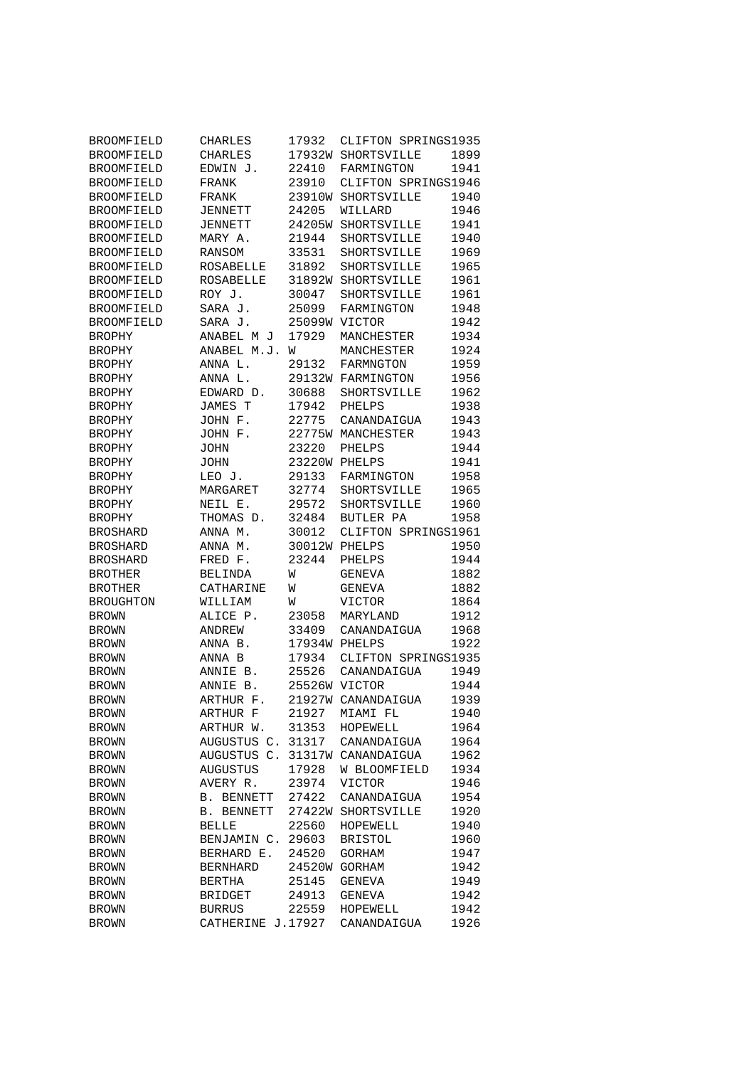| BROOMFIELD                   | CHARLES                            | 17932         | CLIFTON SPRINGS1935     |      |
|------------------------------|------------------------------------|---------------|-------------------------|------|
| <b>BROOMFIELD</b>            | CHARLES                            | 17932W        | SHORTSVILLE             | 1899 |
| <b>BROOMFIELD</b>            | EDWIN J.                           | 22410         | FARMINGTON              | 1941 |
| <b>BROOMFIELD</b>            | FRANK                              | 23910         | CLIFTON SPRINGS1946     |      |
| <b>BROOMFIELD</b>            | FRANK                              | 23910W        | SHORTSVILLE             | 1940 |
| <b>BROOMFIELD</b>            | <b>JENNETT</b>                     | 24205         | WILLARD                 | 1946 |
| <b>BROOMFIELD</b>            | JENNETT                            | 24205W        | SHORTSVILLE             | 1941 |
| <b>BROOMFIELD</b>            | MARY A.                            | 21944         | SHORTSVILLE             | 1940 |
| <b>BROOMFIELD</b>            | RANSOM                             | 33531         | SHORTSVILLE             | 1969 |
| <b>BROOMFIELD</b>            | ROSABELLE                          | 31892         | SHORTSVILLE             | 1965 |
| <b>BROOMFIELD</b>            | ROSABELLE                          | 31892W        | SHORTSVILLE             | 1961 |
| <b>BROOMFIELD</b>            | ROY J.                             | 30047         | SHORTSVILLE             | 1961 |
| <b>BROOMFIELD</b>            | SARA J.                            | 25099         | FARMINGTON              | 1948 |
| <b>BROOMFIELD</b>            | SARA J.                            | 25099W VICTOR |                         | 1942 |
| <b>BROPHY</b>                | ANABEL M J                         | 17929         | MANCHESTER              | 1934 |
| <b>BROPHY</b>                | ANABEL M.J.                        | W             | MANCHESTER              | 1924 |
| <b>BROPHY</b>                | ANNA L.                            | 29132         | FARMNGTON               | 1959 |
| <b>BROPHY</b>                | ANNA L.                            | 29132W        | FARMINGTON              | 1956 |
| <b>BROPHY</b>                | EDWARD D.                          | 30688         | SHORTSVILLE             | 1962 |
| <b>BROPHY</b>                | JAMES T                            | 17942         | PHELPS                  | 1938 |
| <b>BROPHY</b>                | JOHN F.                            | 22775         | CANANDAIGUA             | 1943 |
| <b>BROPHY</b>                | JOHN F.                            |               | 22775W MANCHESTER       | 1943 |
| <b>BROPHY</b>                | <b>JOHN</b>                        | 23220         | PHELPS                  | 1944 |
| <b>BROPHY</b>                | JOHN                               | 23220W        | PHELPS                  | 1941 |
| <b>BROPHY</b>                | LEO J.                             | 29133         | FARMINGTON              | 1958 |
| <b>BROPHY</b>                | MARGARET                           | 32774         | SHORTSVILLE             | 1965 |
| <b>BROPHY</b>                | NEIL E.                            | 29572         | SHORTSVILLE             | 1960 |
| <b>BROPHY</b>                | THOMAS D.                          | 32484         | BUTLER PA               | 1958 |
| <b>BROSHARD</b>              | ANNA M.                            | 30012         | CLIFTON SPRINGS1961     |      |
| <b>BROSHARD</b>              | ANNA M.                            | 30012W        | PHELPS                  | 1950 |
| <b>BROSHARD</b>              | FRED F.                            | 23244         | PHELPS                  | 1944 |
| <b>BROTHER</b>               | <b>BELINDA</b>                     | W             | GENEVA                  | 1882 |
| <b>BROTHER</b>               | CATHARINE                          | W             | GENEVA                  | 1882 |
| <b>BROUGHTON</b>             | WILLIAM                            | W             | VICTOR                  | 1864 |
| <b>BROWN</b>                 | ALICE P.                           | 23058         | MARYLAND                | 1912 |
| <b>BROWN</b>                 | ANDREW                             | 33409         | CANANDAIGUA             | 1968 |
| <b>BROWN</b>                 | ANNA B.                            | 17934W        | PHELPS                  | 1922 |
| <b>BROWN</b>                 | ANNA B                             | 17934         | CLIFTON SPRINGS1935     |      |
| <b>BROWN</b>                 | ANNIE B.                           | 25526         | CANANDAIGUA             | 1949 |
| <b>BROWN</b>                 | ANNIE B.                           | 25526W VICTOR |                         | 1944 |
| <b>BROWN</b>                 | ARTHUR F.                          |               | 21927W CANANDAIGUA      | 1939 |
| <b>BROWN</b>                 | ARTHUR F                           | 21927         | MIAMI FL                | 1940 |
| <b>BROWN</b>                 | ARTHUR W.                          | 31353         | HOPEWELL                | 1964 |
| BROWN                        | AUGUSTUS C.                        |               | 31317 CANANDAIGUA       | 1964 |
| <b>BROWN</b>                 | AUGUSTUS C.                        |               | 31317W CANANDAIGUA      | 1962 |
| <b>BROWN</b>                 | <b>AUGUSTUS</b>                    | 17928         | W BLOOMFIELD            | 1934 |
| <b>BROWN</b>                 | AVERY R.                           | 23974         | VICTOR                  | 1946 |
| <b>BROWN</b>                 | B. BENNETT                         | 27422         | CANANDAIGUA             | 1954 |
| <b>BROWN</b>                 | B. BENNETT                         | 27422W        | SHORTSVILLE             | 1920 |
| <b>BROWN</b>                 | <b>BELLE</b>                       | 22560         | HOPEWELL                | 1940 |
| <b>BROWN</b>                 |                                    |               |                         |      |
| <b>BROWN</b>                 | BENJAMIN C. 29603                  |               | BRISTOL                 | 1960 |
|                              | BERHARD E.                         | 24520         | GORHAM                  | 1947 |
| <b>BROWN</b>                 | <b>BERNHARD</b>                    |               | 24520W GORHAM           | 1942 |
| <b>BROWN</b>                 | BERTHA                             | 25145         | GENEVA                  | 1949 |
| <b>BROWN</b>                 | <b>BRIDGET</b>                     | 24913         | GENEVA                  | 1942 |
| <b>BROWN</b><br><b>BROWN</b> | <b>BURRUS</b><br>CATHERINE J.17927 | 22559         | HOPEWELL<br>CANANDAIGUA | 1942 |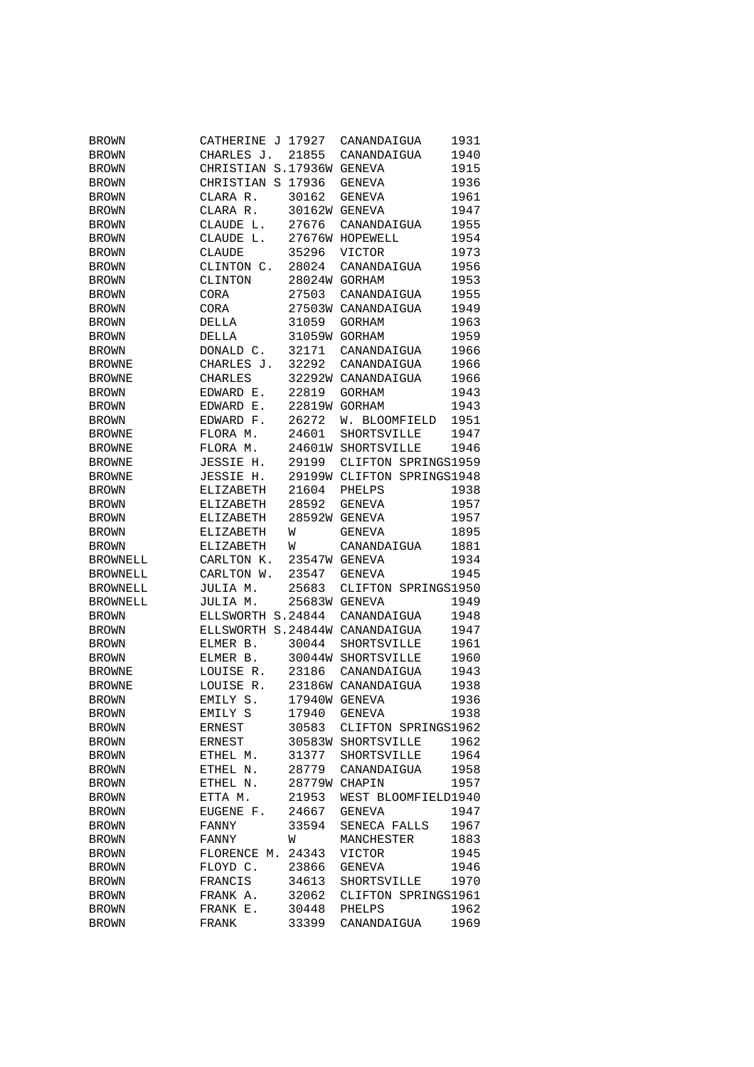| <b>BROWN</b>  | CATHERINE J 17927              |               | CANANDAIGUA                | 1931 |
|---------------|--------------------------------|---------------|----------------------------|------|
| <b>BROWN</b>  | CHARLES J.                     | 21855         | CANANDAIGUA                | 1940 |
| <b>BROWN</b>  | CHRISTIAN S.17936W GENEVA      |               |                            | 1915 |
| <b>BROWN</b>  | CHRISTIAN S 17936              |               | GENEVA                     | 1936 |
| <b>BROWN</b>  | CLARA R.                       | 30162         | GENEVA                     | 1961 |
| <b>BROWN</b>  | CLARA R.                       | 30162W        | GENEVA                     | 1947 |
| <b>BROWN</b>  | CLAUDE L.                      | 27676         | CANANDAIGUA                | 1955 |
| <b>BROWN</b>  | CLAUDE L.                      |               | 27676W HOPEWELL            | 1954 |
| <b>BROWN</b>  | <b>CLAUDE</b>                  | 35296         | <b>VICTOR</b>              | 1973 |
| <b>BROWN</b>  | CLINTON C.                     | 28024         | CANANDAIGUA                | 1956 |
| <b>BROWN</b>  | CLINTON                        | 28024W        | GORHAM                     | 1953 |
| <b>BROWN</b>  | CORA                           | 27503         | CANANDAIGUA                | 1955 |
| <b>BROWN</b>  | CORA                           |               | 27503W CANANDAIGUA         | 1949 |
| <b>BROWN</b>  | DELLA                          | 31059         | GORHAM                     | 1963 |
| <b>BROWN</b>  | DELLA                          | 31059W GORHAM |                            | 1959 |
| <b>BROWN</b>  | DONALD C.                      | 32171         | CANANDAIGUA                | 1966 |
| <b>BROWNE</b> | CHARLES J.                     | 32292         | CANANDAIGUA                | 1966 |
| <b>BROWNE</b> | <b>CHARLES</b>                 |               | 32292W CANANDAIGUA         | 1966 |
| <b>BROWN</b>  | EDWARD E.                      | 22819         | GORHAM                     | 1943 |
| <b>BROWN</b>  | EDWARD E.                      | 22819W        | GORHAM                     | 1943 |
| <b>BROWN</b>  | EDWARD F.                      | 26272         | W. BLOOMFIELD              | 1951 |
| <b>BROWNE</b> | FLORA M.                       | 24601         | SHORTSVILLE                | 1947 |
| <b>BROWNE</b> | FLORA M.                       |               | 24601W SHORTSVILLE         | 1946 |
| <b>BROWNE</b> | JESSIE H.                      | 29199         | CLIFTON SPRINGS1959        |      |
| <b>BROWNE</b> | JESSIE H.                      |               | 29199W CLIFTON SPRINGS1948 |      |
| <b>BROWN</b>  | ELIZABETH                      | 21604         | PHELPS                     | 1938 |
| <b>BROWN</b>  | ELIZABETH                      | 28592         | GENEVA                     | 1957 |
| <b>BROWN</b>  | ELIZABETH                      | 28592W GENEVA |                            | 1957 |
| <b>BROWN</b>  | ELIZABETH                      | W             | GENEVA                     | 1895 |
| <b>BROWN</b>  | ELIZABETH                      | W             | CANANDAIGUA                | 1881 |
| BROWNELL      | CARLTON K.                     | 23547W GENEVA |                            | 1934 |
| BROWNELL      | CARLTON W.                     | 23547         | GENEVA                     | 1945 |
| BROWNELL      | JULIA M.                       | 25683         | CLIFTON SPRINGS1950        |      |
| BROWNELL      | JULIA M.                       | 25683W GENEVA |                            | 1949 |
| <b>BROWN</b>  | ELLSWORTH S.24844              |               | CANANDAIGUA                | 1948 |
| <b>BROWN</b>  | ELLSWORTH S.24844W CANANDAIGUA |               |                            | 1947 |
| <b>BROWN</b>  | ELMER B.                       | 30044         | SHORTSVILLE                | 1961 |
| <b>BROWN</b>  | ELMER B.                       |               | 30044W SHORTSVILLE         | 1960 |
| <b>BROWNE</b> | LOUISE R.                      | 23186         | CANANDAIGUA                | 1943 |
| <b>BROWNE</b> | LOUISE R.                      |               | 23186W CANANDAIGUA         | 1938 |
| <b>BROWN</b>  | EMILY S.                       |               | 17940W GENEVA              | 1936 |
| <b>BROWN</b>  | EMILY S                        | 17940         | GENEVA                     | 1938 |
| <b>BROWN</b>  | ERNEST                         | 30583         | CLIFTON SPRINGS1962        |      |
| <b>BROWN</b>  | ERNEST                         |               | 30583W SHORTSVILLE         | 1962 |
| <b>BROWN</b>  | ETHEL M.                       | 31377         | SHORTSVILLE                | 1964 |
| <b>BROWN</b>  | ETHEL N.                       | 28779         | CANANDAIGUA                | 1958 |
| <b>BROWN</b>  | ETHEL N.                       |               | 28779W CHAPIN              | 1957 |
| <b>BROWN</b>  | ETTA M.                        | 21953         | WEST BLOOMFIELD1940        |      |
| <b>BROWN</b>  | EUGENE F.                      | 24667         | GENEVA                     | 1947 |
| <b>BROWN</b>  | FANNY                          | 33594         | SENECA FALLS               | 1967 |
| <b>BROWN</b>  | FANNY                          | <b>M</b>      | MANCHESTER                 | 1883 |
| <b>BROWN</b>  | FLORENCE M. 24343              |               | VICTOR                     | 1945 |
| <b>BROWN</b>  | FLOYD C.                       | 23866         | GENEVA                     | 1946 |
| <b>BROWN</b>  | FRANCIS                        | 34613         | SHORTSVILLE                | 1970 |
| <b>BROWN</b>  | FRANK A.                       | 32062         | CLIFTON SPRINGS1961        |      |
| <b>BROWN</b>  | FRANK E.                       | 30448         | PHELPS                     | 1962 |
| <b>BROWN</b>  | FRANK                          | 33399         | CANANDAIGUA                | 1969 |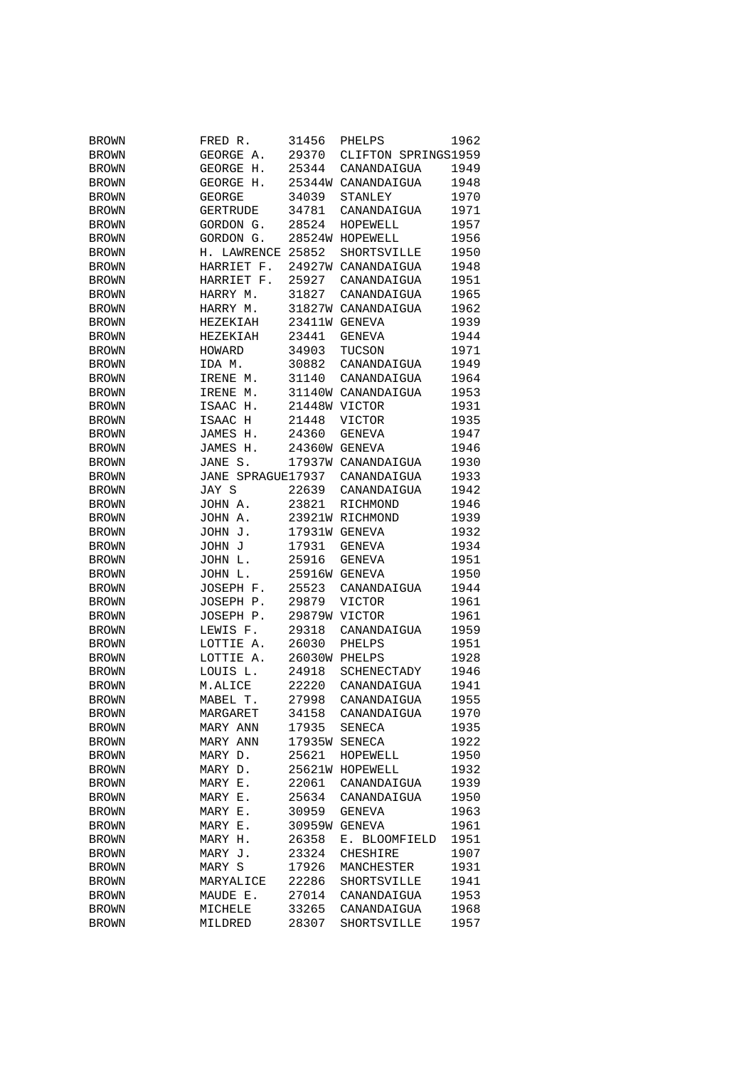| <b>BROWN</b> | FRED R.           | 31456         | PHELPS              | 1962 |
|--------------|-------------------|---------------|---------------------|------|
| <b>BROWN</b> | GEORGE A.         | 29370         | CLIFTON SPRINGS1959 |      |
| <b>BROWN</b> | GEORGE H.         | 25344         | CANANDAIGUA         | 1949 |
| <b>BROWN</b> | GEORGE H.         |               | 25344W CANANDAIGUA  | 1948 |
| <b>BROWN</b> | <b>GEORGE</b>     | 34039         | STANLEY             | 1970 |
| <b>BROWN</b> | GERTRUDE          | 34781         | CANANDAIGUA         | 1971 |
| <b>BROWN</b> | GORDON G.         | 28524         | HOPEWELL            | 1957 |
| <b>BROWN</b> | GORDON G.         |               | 28524W HOPEWELL     | 1956 |
| <b>BROWN</b> | H. LAWRENCE 25852 |               | SHORTSVILLE         | 1950 |
| <b>BROWN</b> | HARRIET F.        |               | 24927W CANANDAIGUA  | 1948 |
| <b>BROWN</b> | HARRIET F.        | 25927         | CANANDAIGUA         | 1951 |
| <b>BROWN</b> | HARRY M.          | 31827         | CANANDAIGUA         | 1965 |
| <b>BROWN</b> | HARRY M.          |               | 31827W CANANDAIGUA  | 1962 |
| <b>BROWN</b> | HEZEKIAH          | 23411W GENEVA |                     | 1939 |
| <b>BROWN</b> | HEZEKIAH          | 23441         | GENEVA              | 1944 |
| <b>BROWN</b> | HOWARD            | 34903         | TUCSON              | 1971 |
| <b>BROWN</b> | IDA M.            | 30882         | CANANDAIGUA         | 1949 |
| <b>BROWN</b> | IRENE M.          | 31140         | CANANDAIGUA         | 1964 |
| <b>BROWN</b> | IRENE M.          |               | 31140W CANANDAIGUA  | 1953 |
| <b>BROWN</b> | ISAAC H.          | 21448W VICTOR |                     | 1931 |
| <b>BROWN</b> | ISAAC H           | 21448         | VICTOR              | 1935 |
| <b>BROWN</b> | JAMES H.          | 24360         | GENEVA              | 1947 |
| <b>BROWN</b> | JAMES H.          | 24360W GENEVA |                     | 1946 |
| <b>BROWN</b> | JANE S.           |               | 17937W CANANDAIGUA  | 1930 |
| <b>BROWN</b> | JANE SPRAGUE17937 |               | CANANDAIGUA         | 1933 |
| <b>BROWN</b> | JAY S             | 22639         | CANANDAIGUA         | 1942 |
| <b>BROWN</b> | JOHN A.           | 23821         | RICHMOND            | 1946 |
| <b>BROWN</b> | JOHN A.           |               | 23921W RICHMOND     | 1939 |
| <b>BROWN</b> | JOHN J.           | 17931W        | GENEVA              | 1932 |
| <b>BROWN</b> | JOHN J            | 17931         | GENEVA              | 1934 |
| <b>BROWN</b> | JOHN L.           | 25916         | GENEVA              | 1951 |
| <b>BROWN</b> | JOHN L.           |               | 25916W GENEVA       | 1950 |
| <b>BROWN</b> | JOSEPH F.         | 25523         | CANANDAIGUA         | 1944 |
| <b>BROWN</b> | JOSEPH P.         | 29879         | <b>VICTOR</b>       | 1961 |
| <b>BROWN</b> | JOSEPH P.         | 29879W VICTOR |                     | 1961 |
| <b>BROWN</b> | LEWIS F.          | 29318         | CANANDAIGUA         | 1959 |
| <b>BROWN</b> | LOTTIE A.         | 26030         | PHELPS              | 1951 |
| <b>BROWN</b> | LOTTIE A.         | 26030W PHELPS |                     | 1928 |
| <b>BROWN</b> | LOUIS L.          | 24918         | SCHENECTADY         | 1946 |
| <b>BROWN</b> | M.ALICE           | 22220         | CANANDAIGUA         | 1941 |
| <b>BROWN</b> | MABEL T.          |               | 27998 CANANDAIGUA   | 1955 |
| <b>BROWN</b> | MARGARET          | 34158         | CANANDAIGUA         | 1970 |
| <b>BROWN</b> | MARY ANN          | 17935         | SENECA              | 1935 |
| BROWN        | MARY ANN          |               | 17935W SENECA       | 1922 |
| <b>BROWN</b> | MARY D.           | 25621         | HOPEWELL            | 1950 |
| <b>BROWN</b> | MARY D.           | 25621W        | HOPEWELL            | 1932 |
| <b>BROWN</b> | MARY E.           | 22061         | CANANDAIGUA         | 1939 |
| <b>BROWN</b> | MARY E.           | 25634         | CANANDAIGUA         | 1950 |
| <b>BROWN</b> | MARY E.           | 30959         | GENEVA              | 1963 |
| <b>BROWN</b> | MARY E.           | 30959W        | GENEVA              | 1961 |
| <b>BROWN</b> | MARY H.           | 26358         | E. BLOOMFIELD       | 1951 |
| <b>BROWN</b> | MARY J.           | 23324         | <b>CHESHIRE</b>     | 1907 |
| <b>BROWN</b> | MARY S            | 17926         | MANCHESTER          | 1931 |
| <b>BROWN</b> | MARYALICE         | 22286         | SHORTSVILLE         | 1941 |
| <b>BROWN</b> | MAUDE E.          | 27014         | CANANDAIGUA         | 1953 |
| <b>BROWN</b> | MICHELE           | 33265         | CANANDAIGUA         | 1968 |
| <b>BROWN</b> | MILDRED           | 28307         | SHORTSVILLE         | 1957 |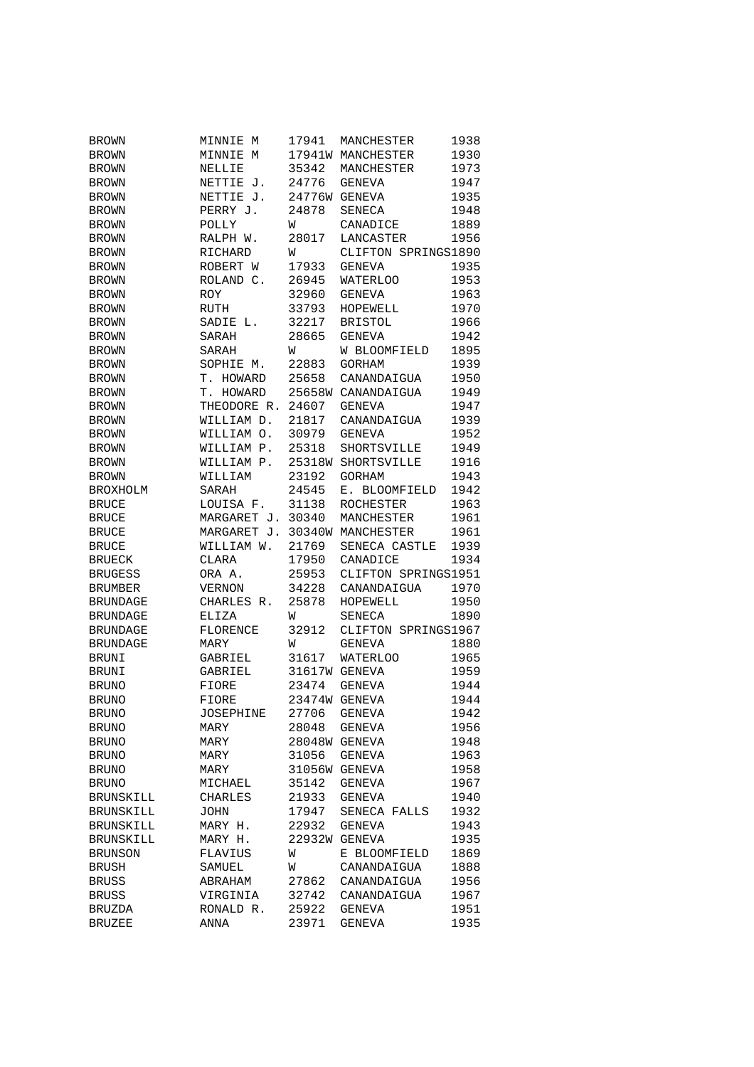| <b>BROWN</b>     | MINNIE M       | 17941         | MANCHESTER          | 1938 |
|------------------|----------------|---------------|---------------------|------|
| <b>BROWN</b>     | M<br>MINNIE    |               | 17941W MANCHESTER   | 1930 |
| <b>BROWN</b>     | NELLIE         | 35342         | MANCHESTER          | 1973 |
| <b>BROWN</b>     | NETTIE J.      | 24776         | GENEVA              | 1947 |
| <b>BROWN</b>     | NETTIE J.      |               | 24776W GENEVA       | 1935 |
| <b>BROWN</b>     | PERRY J.       | 24878         | <b>SENECA</b>       | 1948 |
| <b>BROWN</b>     | POLLY          | W             | CANADICE            | 1889 |
| <b>BROWN</b>     | RALPH W.       | 28017         | LANCASTER           | 1956 |
| <b>BROWN</b>     | RICHARD        | W             | CLIFTON SPRINGS1890 |      |
| <b>BROWN</b>     | ROBERT W       | 17933         | <b>GENEVA</b>       | 1935 |
| <b>BROWN</b>     | ROLAND C.      | 26945         | <b>WATERLOO</b>     | 1953 |
| <b>BROWN</b>     | ROY            | 32960         | <b>GENEVA</b>       | 1963 |
| <b>BROWN</b>     | RUTH           | 33793         | HOPEWELL            | 1970 |
| <b>BROWN</b>     | SADIE L.       | 32217         | <b>BRISTOL</b>      | 1966 |
| <b>BROWN</b>     | SARAH          | 28665         | <b>GENEVA</b>       | 1942 |
| <b>BROWN</b>     | SARAH          | W             | W BLOOMFIELD        | 1895 |
| <b>BROWN</b>     | SOPHIE M.      | 22883         | GORHAM              | 1939 |
| <b>BROWN</b>     | T. HOWARD      | 25658         | CANANDAIGUA         | 1950 |
| <b>BROWN</b>     | Т.<br>HOWARD   |               | 25658W CANANDAIGUA  | 1949 |
| <b>BROWN</b>     | THEODORE R.    | 24607         | <b>GENEVA</b>       | 1947 |
| <b>BROWN</b>     | WILLIAM D.     | 21817         | CANANDAIGUA         | 1939 |
| <b>BROWN</b>     | WILLIAM O.     | 30979         | <b>GENEVA</b>       | 1952 |
| <b>BROWN</b>     | WILLIAM P.     | 25318         | SHORTSVILLE         | 1949 |
| <b>BROWN</b>     | WILLIAM P.     | 25318W        | SHORTSVILLE         | 1916 |
| <b>BROWN</b>     | WILLIAM        | 23192         | GORHAM              | 1943 |
| BROXHOLM         | SARAH          | 24545         | E. BLOOMFIELD       | 1942 |
| <b>BRUCE</b>     | LOUISA F.      | 31138         | ROCHESTER           | 1963 |
| <b>BRUCE</b>     | MARGARET J.    | 30340         | MANCHESTER          | 1961 |
| <b>BRUCE</b>     | MARGARET J.    |               | 30340W MANCHESTER   | 1961 |
| <b>BRUCE</b>     | WILLIAM W.     | 21769         | SENECA CASTLE       | 1939 |
| <b>BRUECK</b>    | CLARA          | 17950         | CANADICE            | 1934 |
| <b>BRUGESS</b>   | ORA A.         | 25953         | CLIFTON SPRINGS1951 |      |
| <b>BRUMBER</b>   | VERNON         | 34228         | CANANDAIGUA         | 1970 |
| <b>BRUNDAGE</b>  | CHARLES R.     | 25878         | HOPEWELL            | 1950 |
| <b>BRUNDAGE</b>  | ELIZA          | W             | SENECA              | 1890 |
| <b>BRUNDAGE</b>  | FLORENCE       | 32912         | CLIFTON SPRINGS1967 |      |
| <b>BRUNDAGE</b>  | MARY           | W             | GENEVA              | 1880 |
| <b>BRUNI</b>     | GABRIEL        | 31617         | <b>WATERLOO</b>     | 1965 |
| <b>BRUNI</b>     | GABRIEL        | 31617W GENEVA |                     | 1959 |
| <b>BRUNO</b>     | FIORE          | 23474         | <b>GENEVA</b>       | 1944 |
| <b>BRUNO</b>     | FIORE          |               | 23474W GENEVA       | 1944 |
| <b>BRUNO</b>     | JOSEPHINE      | 27706         | GENEVA              | 1942 |
| <b>BRUNO</b>     | MARY           | 28048         | <b>GENEVA</b>       | 1956 |
| <b>BRUNO</b>     | MARY           | 28048W GENEVA |                     | 1948 |
| <b>BRUNO</b>     | MARY           | 31056         | GENEVA              | 1963 |
| <b>BRUNO</b>     | MARY           | 31056W GENEVA |                     | 1958 |
| <b>BRUNO</b>     | MICHAEL        | 35142         | <b>GENEVA</b>       | 1967 |
| BRUNSKILL        | CHARLES        | 21933         | GENEVA              | 1940 |
| BRUNSKILL        | JOHN           | 17947         | SENECA FALLS        | 1932 |
| <b>BRUNSKILL</b> | MARY H.        | 22932         | GENEVA              | 1943 |
| BRUNSKILL        | MARY H.        | 22932W GENEVA |                     | 1935 |
| <b>BRUNSON</b>   | <b>FLAVIUS</b> | W             | E BLOOMFIELD        | 1869 |
| BRUSH            | SAMUEL         | W             | CANANDAIGUA         | 1888 |
| <b>BRUSS</b>     | ABRAHAM        | 27862         | CANANDAIGUA         | 1956 |
| <b>BRUSS</b>     | VIRGINIA       | 32742         | CANANDAIGUA         | 1967 |
| <b>BRUZDA</b>    | RONALD R.      | 25922         | GENEVA              | 1951 |
| <b>BRUZEE</b>    | <b>ANNA</b>    | 23971         | <b>GENEVA</b>       | 1935 |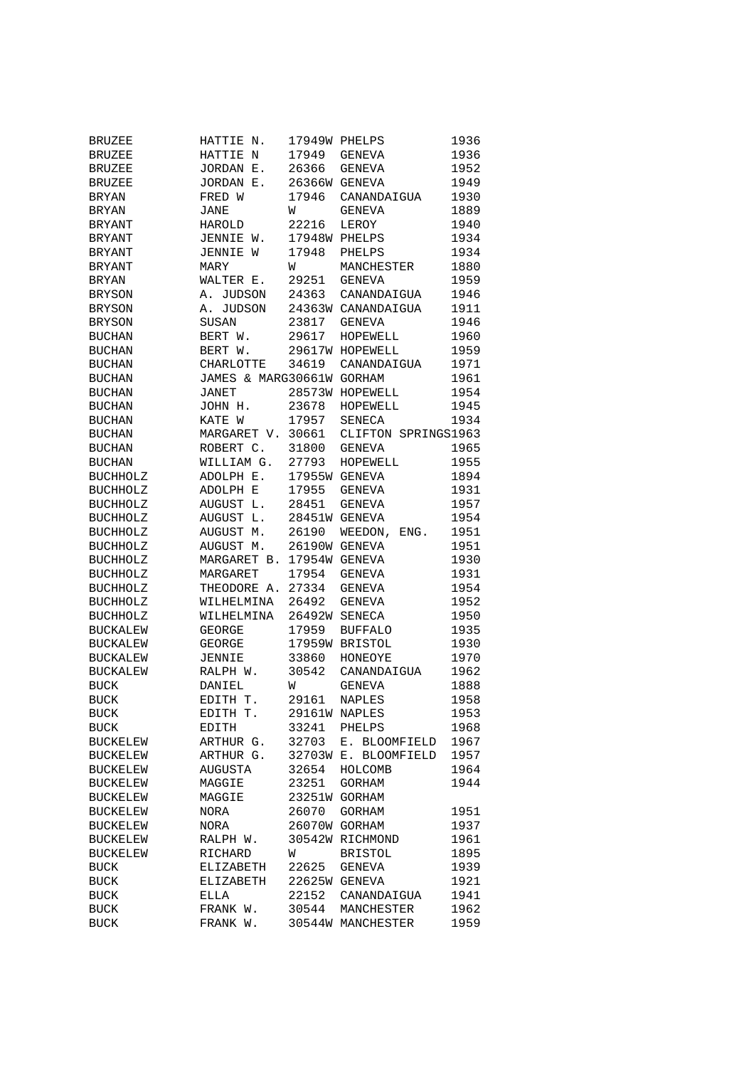| <b>BRUZEE</b>   | HATTIE N.                 | 17949W PHELPS |                      | 1936 |
|-----------------|---------------------------|---------------|----------------------|------|
| <b>BRUZEE</b>   | HATTIE N                  | 17949         | GENEVA               | 1936 |
| <b>BRUZEE</b>   | JORDAN E.                 | 26366         | <b>GENEVA</b>        | 1952 |
| <b>BRUZEE</b>   | JORDAN E.                 |               | 26366W GENEVA        | 1949 |
| <b>BRYAN</b>    | FRED W                    | 17946         | CANANDAIGUA          | 1930 |
| <b>BRYAN</b>    | JANE                      | W             | GENEVA               | 1889 |
| <b>BRYANT</b>   | HAROLD                    | 22216         | LEROY                | 1940 |
| <b>BRYANT</b>   | JENNIE W.                 | 17948W PHELPS |                      | 1934 |
| <b>BRYANT</b>   | JENNIE W                  | 17948         | PHELPS               | 1934 |
| BRYANT          | MARY                      | W             | MANCHESTER           | 1880 |
| <b>BRYAN</b>    | WALTER E.                 | 29251         | GENEVA               | 1959 |
| <b>BRYSON</b>   | A. JUDSON                 | 24363         | CANANDAIGUA          | 1946 |
| <b>BRYSON</b>   | A. JUDSON                 |               | 24363W CANANDAIGUA   | 1911 |
| <b>BRYSON</b>   | <b>SUSAN</b>              | 23817         | <b>GENEVA</b>        | 1946 |
| <b>BUCHAN</b>   | BERT W.                   | 29617         | HOPEWELL             | 1960 |
| <b>BUCHAN</b>   | BERT W.                   |               | 29617W HOPEWELL      | 1959 |
| <b>BUCHAN</b>   | CHARLOTTE                 | 34619         | CANANDAIGUA          | 1971 |
| $\rm BUCHAN$    | JAMES & MARG30661W GORHAM |               |                      | 1961 |
| <b>BUCHAN</b>   | <b>JANET</b>              |               | 28573W HOPEWELL      | 1954 |
| $\rm BUCHAN$    | JOHN H.                   | 23678         | HOPEWELL             | 1945 |
| $\rm BUCHAN$    | KATE W                    | 17957         | SENECA               | 1934 |
| <b>BUCHAN</b>   | MARGARET V. 30661         |               | CLIFTON SPRINGS1963  |      |
| <b>BUCHAN</b>   | ROBERT C.                 | 31800         | <b>GENEVA</b>        | 1965 |
| $\rm BUCHAN$    | WILLIAM G.                | 27793         | HOPEWELL             | 1955 |
| <b>BUCHHOLZ</b> | ADOLPH E.                 | 17955W GENEVA |                      | 1894 |
| <b>BUCHHOLZ</b> | ADOLPH E                  | 17955         | <b>GENEVA</b>        | 1931 |
| <b>BUCHHOLZ</b> | AUGUST L.                 | 28451         | GENEVA               | 1957 |
| <b>BUCHHOLZ</b> | AUGUST L.                 |               | 28451W GENEVA        | 1954 |
| <b>BUCHHOLZ</b> | AUGUST M.                 | 26190         | WEEDON,<br>ENG.      | 1951 |
| <b>BUCHHOLZ</b> | AUGUST M.                 | 26190W GENEVA |                      | 1951 |
| <b>BUCHHOLZ</b> | MARGARET B.               | 17954W GENEVA |                      | 1930 |
| <b>BUCHHOLZ</b> | MARGARET                  | 17954         | GENEVA               | 1931 |
| <b>BUCHHOLZ</b> | THEODORE A.               | 27334         | GENEVA               | 1954 |
| <b>BUCHHOLZ</b> | WILHELMINA                | 26492         | GENEVA               | 1952 |
| <b>BUCHHOLZ</b> | WILHELMINA                | 26492W        | SENECA               | 1950 |
| <b>BUCKALEW</b> | GEORGE                    | 17959         | <b>BUFFALO</b>       | 1935 |
| <b>BUCKALEW</b> | GEORGE                    |               | 17959W BRISTOL       | 1930 |
| <b>BUCKALEW</b> | <b>JENNIE</b>             | 33860         | HONEOYE              | 1970 |
| <b>BUCKALEW</b> | RALPH W.                  | 30542         | CANANDAIGUA          | 1962 |
| <b>BUCK</b>     | DANIEL                    | W             | <b>GENEVA</b>        | 1888 |
| BUCK            | EDITH T.                  | 29161         | NAPLES               | 1958 |
| <b>BUCK</b>     | EDITH T.                  | 29161W NAPLES |                      | 1953 |
| <b>BUCK</b>     | EDITH                     | 33241         | PHELPS               | 1968 |
| <b>BUCKELEW</b> | ARTHUR G.                 | 32703         | E. BLOOMFIELD        | 1967 |
| <b>BUCKELEW</b> | ARTHUR G.                 |               | 32703W E. BLOOMFIELD | 1957 |
| <b>BUCKELEW</b> | AUGUSTA                   | 32654         | HOLCOMB              | 1964 |
| <b>BUCKELEW</b> | MAGGIE                    | 23251         | GORHAM               | 1944 |
| <b>BUCKELEW</b> | MAGGIE                    |               | 23251W GORHAM        |      |
| <b>BUCKELEW</b> | NORA                      | 26070         | GORHAM               | 1951 |
| <b>BUCKELEW</b> | NORA                      |               | 26070W GORHAM        | 1937 |
| <b>BUCKELEW</b> | RALPH W.                  |               | 30542W RICHMOND      | 1961 |
| <b>BUCKELEW</b> | RICHARD                   | W             | BRISTOL              | 1895 |
| BUCK            | ELIZABETH                 | 22625         | GENEVA               | 1939 |
| BUCK            | ELIZABETH                 |               | 22625W GENEVA        | 1921 |
| BUCK            | ELLA                      | 22152         | CANANDAIGUA          | 1941 |
| BUCK            | FRANK W.                  | 30544         | MANCHESTER           | 1962 |
| <b>BUCK</b>     | FRANK W.                  |               | 30544W MANCHESTER    | 1959 |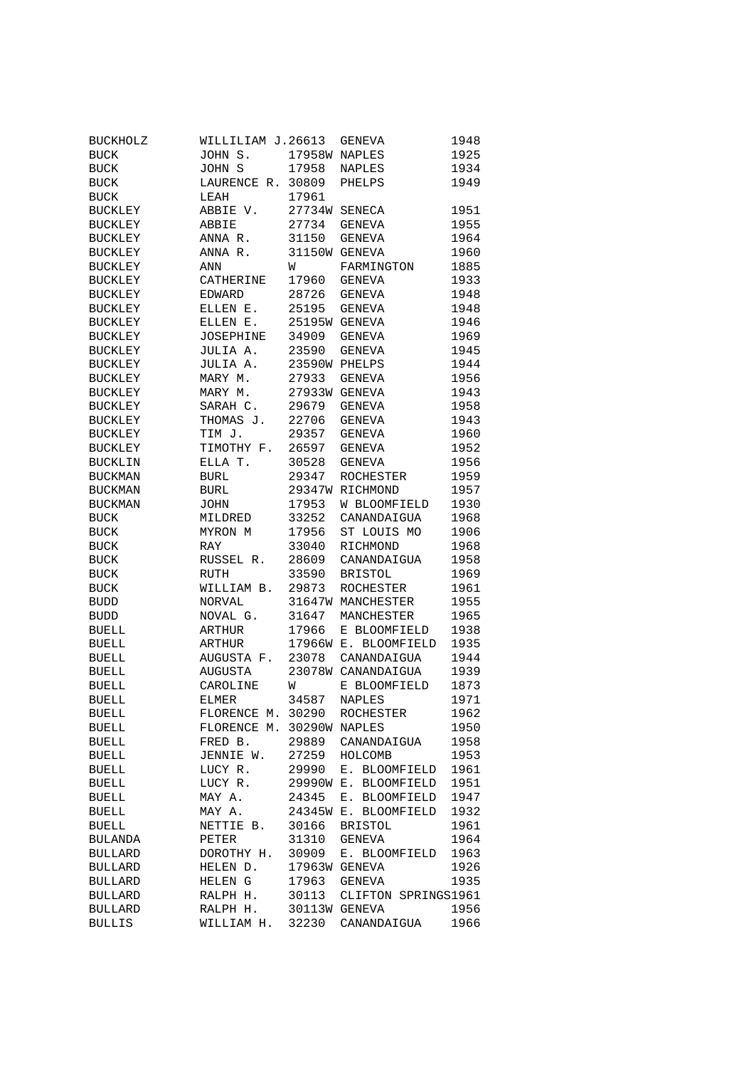| <b>BUCKHOLZ</b> | WILLILIAM J.26613 |               | <b>GENEVA</b>        | 1948 |
|-----------------|-------------------|---------------|----------------------|------|
| <b>BUCK</b>     | JOHN S.           | 17958W NAPLES |                      | 1925 |
| <b>BUCK</b>     | JOHN S            | 17958         | NAPLES               | 1934 |
| <b>BUCK</b>     | LAURENCE R. 30809 |               | PHELPS               | 1949 |
| <b>BUCK</b>     | LEAH              | 17961         |                      |      |
| <b>BUCKLEY</b>  | ABBIE V.          | 27734W SENECA |                      | 1951 |
| <b>BUCKLEY</b>  | ABBIE             | 27734         | GENEVA               | 1955 |
| <b>BUCKLEY</b>  | ANNA R.           | 31150         | <b>GENEVA</b>        | 1964 |
| <b>BUCKLEY</b>  | ANNA R.           |               | 31150W GENEVA        | 1960 |
| BUCKLEY         | ANN               | W             | FARMINGTON           | 1885 |
| <b>BUCKLEY</b>  | CATHERINE         | 17960         | <b>GENEVA</b>        | 1933 |
| <b>BUCKLEY</b>  | <b>EDWARD</b>     | 28726         | <b>GENEVA</b>        | 1948 |
| <b>BUCKLEY</b>  | ELLEN E.          | 25195         | GENEVA               | 1948 |
| <b>BUCKLEY</b>  | ELLEN E.          | 25195W GENEVA |                      | 1946 |
| <b>BUCKLEY</b>  | <b>JOSEPHINE</b>  | 34909         | <b>GENEVA</b>        | 1969 |
| <b>BUCKLEY</b>  | JULIA A.          | 23590         | GENEVA               | 1945 |
| <b>BUCKLEY</b>  | JULIA A.          | 23590W PHELPS |                      | 1944 |
| <b>BUCKLEY</b>  | MARY M.           | 27933         | GENEVA               | 1956 |
| <b>BUCKLEY</b>  | MARY M.           |               | 27933W GENEVA        | 1943 |
| <b>BUCKLEY</b>  | SARAH C.          | 29679         | <b>GENEVA</b>        | 1958 |
| <b>BUCKLEY</b>  | THOMAS J.         | 22706         | <b>GENEVA</b>        | 1943 |
| <b>BUCKLEY</b>  | TIM J.            | 29357         | GENEVA               | 1960 |
| <b>BUCKLEY</b>  | TIMOTHY F.        | 26597         | GENEVA               | 1952 |
| <b>BUCKLIN</b>  | ELLA T.           | 30528         | GENEVA               | 1956 |
| <b>BUCKMAN</b>  | <b>BURL</b>       | 29347         | ROCHESTER            | 1959 |
| <b>BUCKMAN</b>  | <b>BURL</b>       |               | 29347W RICHMOND      | 1957 |
| <b>BUCKMAN</b>  | JOHN              | 17953         | W BLOOMFIELD         | 1930 |
| <b>BUCK</b>     | MILDRED           | 33252         | CANANDAIGUA          | 1968 |
| <b>BUCK</b>     | MYRON M           | 17956         | ST LOUIS MO          | 1906 |
| <b>BUCK</b>     | RAY               | 33040         | RICHMOND             | 1968 |
| <b>BUCK</b>     | RUSSEL R.         | 28609         | CANANDAIGUA          | 1958 |
| <b>BUCK</b>     | <b>RUTH</b>       | 33590         | <b>BRISTOL</b>       | 1969 |
| <b>BUCK</b>     | WILLIAM B.        | 29873         | ROCHESTER            | 1961 |
| <b>BUDD</b>     | NORVAL            |               | 31647W MANCHESTER    | 1955 |
| <b>BUDD</b>     | NOVAL G.          | 31647         | MANCHESTER           | 1965 |
| <b>BUELL</b>    | ARTHUR            | 17966         | E BLOOMFIELD         | 1938 |
| <b>BUELL</b>    | ARTHUR            |               | 17966W E. BLOOMFIELD | 1935 |
| <b>BUELL</b>    | AUGUSTA F.        | 23078         | CANANDAIGUA          | 1944 |
| <b>BUELL</b>    | <b>AUGUSTA</b>    |               | 23078W CANANDAIGUA   | 1939 |
| <b>BUELL</b>    | CAROLINE          | W             | E BLOOMFIELD         | 1873 |
| BUELL           | ELMER             | 34587         | NAPLES               | 1971 |
| <b>BUELL</b>    | FLORENCE M.       | 30290         | ROCHESTER            | 1962 |
| <b>BUELL</b>    | FLORENCE M.       | 30290W NAPLES |                      | 1950 |
| <b>BUELL</b>    | FRED B.           | 29889         | CANANDAIGUA          | 1958 |
| <b>BUELL</b>    | JENNIE W.         | 27259         | HOLCOMB              | 1953 |
| <b>BUELL</b>    | LUCY R.           | 29990         | E. BLOOMFIELD        | 1961 |
| BUELL           | LUCY R.           | 29990W        | E. BLOOMFIELD        | 1951 |
| <b>BUELL</b>    | MAY A.            | 24345         | E. BLOOMFIELD        | 1947 |
| <b>BUELL</b>    | MAY A.            |               | 24345W E. BLOOMFIELD | 1932 |
| <b>BUELL</b>    | NETTIE B.         | 30166         | <b>BRISTOL</b>       | 1961 |
| <b>BULANDA</b>  | PETER             | 31310         | GENEVA               | 1964 |
| <b>BULLARD</b>  | DOROTHY H.        | 30909         | E. BLOOMFIELD        | 1963 |
| BULLARD         | HELEN D.          |               | 17963W GENEVA        | 1926 |
| BULLARD         | HELEN G           | 17963         | GENEVA               | 1935 |
| <b>BULLARD</b>  | RALPH H.          | 30113         | CLIFTON SPRINGS1961  |      |
| <b>BULLARD</b>  | RALPH H.          |               | 30113W GENEVA        | 1956 |
| <b>BULLIS</b>   | WILLIAM H.        | 32230         | CANANDAIGUA          | 1966 |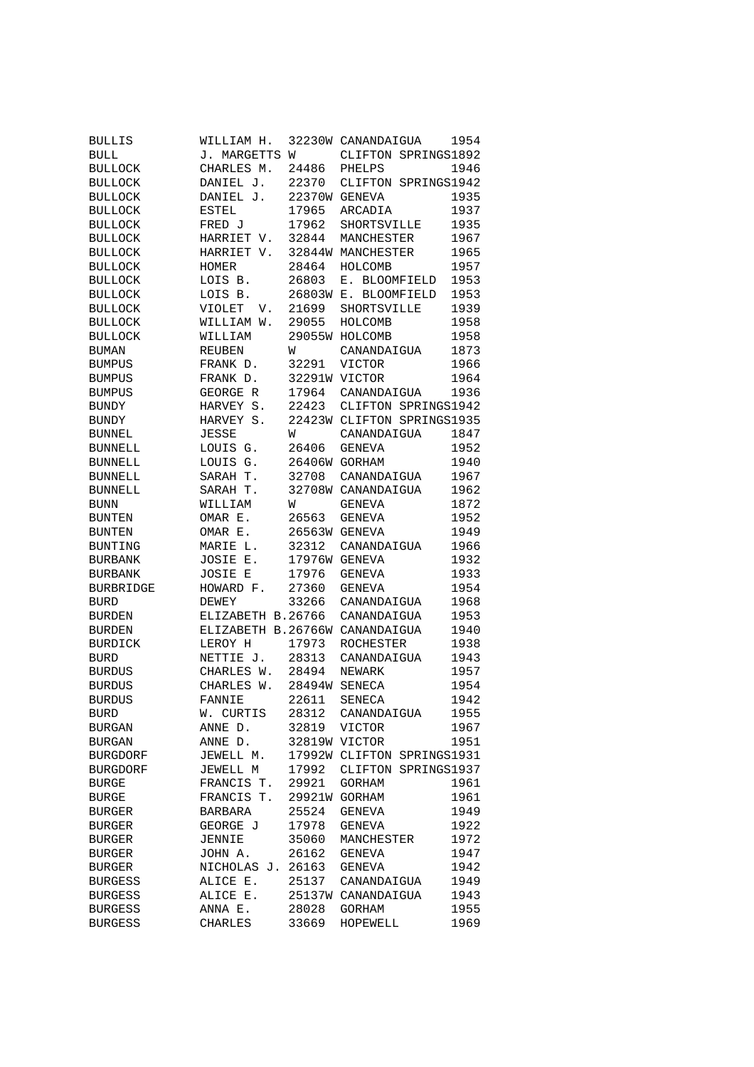| <b>BULLIS</b>    | WILLIAM H.                     |               | 32230W CANANDAIGUA<br>1954 |
|------------------|--------------------------------|---------------|----------------------------|
| <b>BULL</b>      | J. MARGETTS                    | <b>W</b>      | CLIFTON SPRINGS1892        |
| <b>BULLOCK</b>   | CHARLES M.                     | 24486         | PHELPS<br>1946             |
| <b>BULLOCK</b>   | DANIEL J.                      | 22370         | CLIFTON SPRINGS1942        |
| <b>BULLOCK</b>   | DANIEL J.                      | 22370W GENEVA | 1935                       |
| <b>BULLOCK</b>   | <b>ESTEL</b>                   | 17965         | 1937<br>ARCADIA            |
| <b>BULLOCK</b>   | FRED J                         | 17962         | 1935<br>SHORTSVILLE        |
| <b>BULLOCK</b>   | HARRIET V.                     | 32844         | 1967<br>MANCHESTER         |
| <b>BULLOCK</b>   | HARRIET V.                     |               | 32844W MANCHESTER<br>1965  |
| <b>BULLOCK</b>   | HOMER                          | 28464         | 1957<br>HOLCOMB            |
| <b>BULLOCK</b>   | LOIS B.                        | 26803         | 1953<br>E. BLOOMFIELD      |
| <b>BULLOCK</b>   | LOIS B.                        | 26803W        | 1953<br>E. BLOOMFIELD      |
| <b>BULLOCK</b>   | VIOLET V.                      | 21699         | 1939<br>SHORTSVILLE        |
| <b>BULLOCK</b>   | WILLIAM W.                     | 29055         | 1958<br>HOLCOMB            |
| <b>BULLOCK</b>   | WILLIAM                        |               | 29055W HOLCOMB<br>1958     |
| <b>BUMAN</b>     | <b>REUBEN</b>                  | W             | 1873<br>CANANDAIGUA        |
| <b>BUMPUS</b>    | FRANK D.                       | 32291         | 1966<br>VICTOR             |
| <b>BUMPUS</b>    | FRANK D.                       |               | 32291W VICTOR<br>1964      |
| <b>BUMPUS</b>    | GEORGE R                       | 17964         | 1936<br>CANANDAIGUA        |
| <b>BUNDY</b>     | HARVEY S.                      | 22423         | CLIFTON SPRINGS1942        |
| <b>BUNDY</b>     | HARVEY S.                      |               | 22423W CLIFTON SPRINGS1935 |
| <b>BUNNEL</b>    | JESSE                          | W             | CANANDAIGUA<br>1847        |
| <b>BUNNELL</b>   | LOUIS G.                       | 26406         | <b>GENEVA</b><br>1952      |
| <b>BUNNELL</b>   | LOUIS G.                       |               | 26406W GORHAM<br>1940      |
| <b>BUNNELL</b>   | SARAH T.                       | 32708         | 1967<br>CANANDAIGUA        |
| <b>BUNNELL</b>   | SARAH T.                       |               | 32708W CANANDAIGUA<br>1962 |
| <b>BUNN</b>      | WILLIAM                        | W             | 1872<br>GENEVA             |
| <b>BUNTEN</b>    | OMAR E.                        | 26563         | 1952<br>GENEVA             |
| <b>BUNTEN</b>    | OMAR E.                        |               | 1949<br>26563W GENEVA      |
| <b>BUNTING</b>   | MARIE L.                       | 32312         | 1966<br>CANANDAIGUA        |
| <b>BURBANK</b>   | JOSIE E.                       | 17976W GENEVA | 1932                       |
| <b>BURBANK</b>   | JOSIE E                        | 17976         | 1933<br>GENEVA             |
| <b>BURBRIDGE</b> | HOWARD F.                      | 27360         | 1954<br><b>GENEVA</b>      |
| <b>BURD</b>      | DEWEY                          | 33266         | 1968<br>CANANDAIGUA        |
| <b>BURDEN</b>    | ELIZABETH B.26766              |               | 1953<br>CANANDAIGUA        |
| <b>BURDEN</b>    | ELIZABETH B.26766W CANANDAIGUA |               | 1940                       |
| BURDICK          | LEROY H                        | 17973         | 1938<br>ROCHESTER          |
| <b>BURD</b>      | NETTIE J.                      | 28313         | 1943<br>CANANDAIGUA        |
| <b>BURDUS</b>    | CHARLES W.                     | 28494         | 1957<br><b>NEWARK</b>      |
| <b>BURDUS</b>    | CHARLES W.                     | 28494W        | 1954<br><b>SENECA</b>      |
| <b>BURDUS</b>    | FANNIE                         | 22611         | 1942<br>SENECA             |
| BURD             | W. CURTIS                      |               | 28312 CANANDAIGUA<br>1955  |
| BURGAN           | ANNE D.                        |               | 32819 VICTOR<br>1967       |
| BURGAN           | ANNE D.                        |               | 32819W VICTOR<br>1951      |
| BURGDORF         | JEWELL M.                      |               | 17992W CLIFTON SPRINGS1931 |
| <b>BURGDORF</b>  | JEWELL M                       |               | 17992 CLIFTON SPRINGS1937  |
| BURGE            | FRANCIS T.                     | 29921         | GORHAM<br>1961             |
| BURGE            | FRANCIS T.                     |               | 29921W GORHAM<br>1961      |
| <b>BURGER</b>    | BARBARA                        | 25524         | 1949<br>GENEVA             |
| BURGER           | GEORGE J                       | 17978         | GENEVA<br>1922             |
| BURGER           | JENNIE                         | 35060         | 1972<br>MANCHESTER         |
| <b>BURGER</b>    | JOHN A.                        | 26162         | GENEVA<br>1947             |
| <b>BURGER</b>    | NICHOLAS J. 26163 GENEVA       |               | 1942                       |
| <b>BURGESS</b>   | ALICE E.                       |               | 25137 CANANDAIGUA<br>1949  |
| <b>BURGESS</b>   | ALICE E.                       |               | 25137W CANANDAIGUA<br>1943 |
| <b>BURGESS</b>   | ANNA E.                        | 28028         | 1955<br>GORHAM             |
| <b>BURGESS</b>   | CHARLES                        | 33669         | 1969<br>HOPEWELL           |
|                  |                                |               |                            |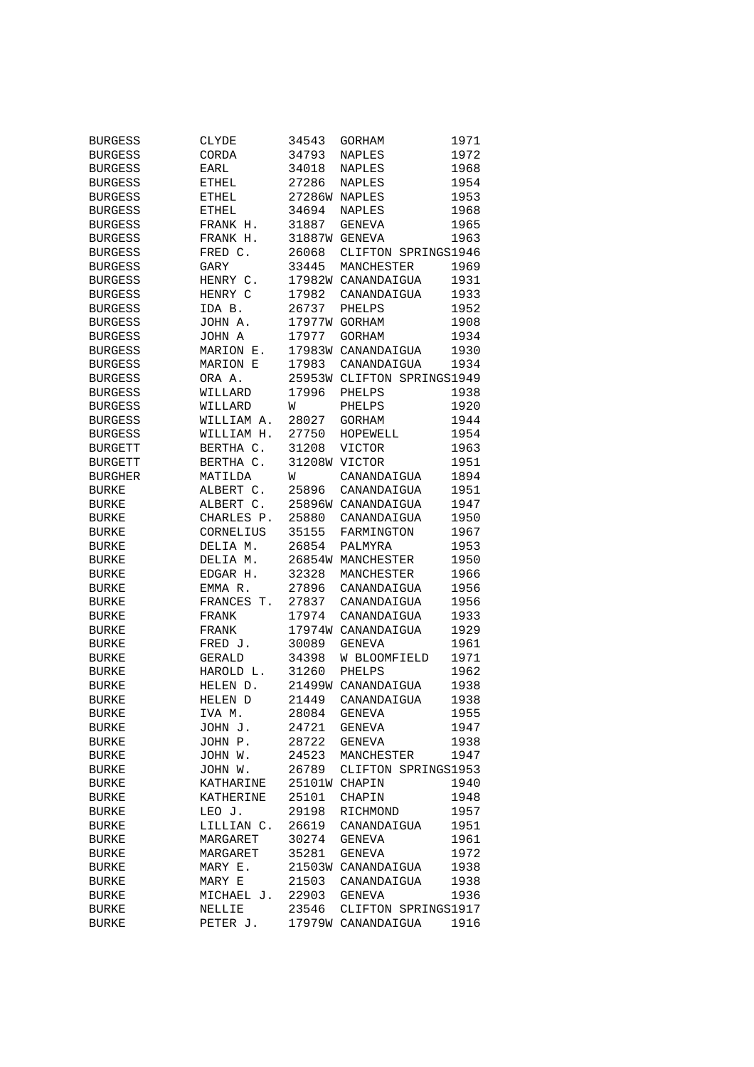| <b>BURGESS</b> | CLYDE                   | 34543         | GORHAM                      | 1971 |
|----------------|-------------------------|---------------|-----------------------------|------|
| <b>BURGESS</b> | CORDA                   | 34793         | <b>NAPLES</b>               | 1972 |
| <b>BURGESS</b> | <b>EARL</b>             | 34018         | NAPLES                      | 1968 |
| <b>BURGESS</b> | ETHEL                   | 27286         | NAPLES                      | 1954 |
| <b>BURGESS</b> | ETHEL                   | 27286W NAPLES |                             | 1953 |
| <b>BURGESS</b> | ETHEL                   | 34694         | <b>NAPLES</b>               | 1968 |
| <b>BURGESS</b> | FRANK H.                | 31887         | <b>GENEVA</b>               | 1965 |
| <b>BURGESS</b> | FRANK H.                | 31887W GENEVA |                             | 1963 |
| <b>BURGESS</b> | FRED C.                 | 26068         | CLIFTON SPRINGS1946         |      |
| <b>BURGESS</b> | GARY                    | 33445         | MANCHESTER                  | 1969 |
| <b>BURGESS</b> | HENRY C.                |               | 17982W CANANDAIGUA          | 1931 |
| <b>BURGESS</b> | HENRY C                 | 17982         | CANANDAIGUA                 | 1933 |
| <b>BURGESS</b> | IDA B.                  | 26737         | PHELPS                      | 1952 |
| <b>BURGESS</b> | JOHN A.                 | 17977W GORHAM |                             | 1908 |
| <b>BURGESS</b> | JOHN A                  | 17977         | GORHAM                      | 1934 |
| <b>BURGESS</b> | MARION E.               |               | 17983W CANANDAIGUA          | 1930 |
| <b>BURGESS</b> | MARION E                | 17983         | CANANDAIGUA                 | 1934 |
| <b>BURGESS</b> | ORA A.                  |               | 25953W CLIFTON SPRINGS1949  |      |
| <b>BURGESS</b> | WILLARD                 | 17996         | PHELPS                      | 1938 |
| <b>BURGESS</b> | WILLARD                 | M             | PHELPS                      | 1920 |
| <b>BURGESS</b> | WILLIAM A.              | 28027         | <b>GORHAM</b>               | 1944 |
| <b>BURGESS</b> | WILLIAM H.              | 27750         | HOPEWELL                    | 1954 |
| <b>BURGETT</b> | BERTHA C.               | 31208         | <b>VICTOR</b>               | 1963 |
| <b>BURGETT</b> | BERTHA C.               | 31208W VICTOR |                             | 1951 |
| <b>BURGHER</b> | MATILDA                 | W             | CANANDAIGUA                 | 1894 |
| <b>BURKE</b>   | ALBERT C.               | 25896         | CANANDAIGUA                 | 1951 |
| <b>BURKE</b>   | ALBERT C.               |               | 25896W CANANDAIGUA          | 1947 |
| <b>BURKE</b>   | CHARLES P.              | 25880         | CANANDAIGUA                 | 1950 |
| <b>BURKE</b>   | CORNELIUS               | 35155         | FARMINGTON                  | 1967 |
| <b>BURKE</b>   | DELIA M.                | 26854         | PALMYRA                     | 1953 |
| <b>BURKE</b>   | DELIA M.                |               | 26854W MANCHESTER           | 1950 |
| <b>BURKE</b>   | EDGAR H.                | 32328         | MANCHESTER                  | 1966 |
| <b>BURKE</b>   | EMMA R.                 | 27896         | CANANDAIGUA                 | 1956 |
| <b>BURKE</b>   | FRANCES T.              | 27837         | CANANDAIGUA                 | 1956 |
| <b>BURKE</b>   | FRANK                   | 17974         | CANANDAIGUA                 | 1933 |
| <b>BURKE</b>   | FRANK                   |               | 17974W CANANDAIGUA          | 1929 |
| <b>BURKE</b>   | FRED J.                 | 30089         | <b>GENEVA</b>               | 1961 |
| <b>BURKE</b>   | GERALD                  | 34398         | W BLOOMFIELD                | 1971 |
| <b>BURKE</b>   | HAROLD L.               | 31260         | PHELPS                      | 1962 |
| <b>BURKE</b>   | HELEN D.                |               | 21499W CANANDAIGUA          | 1938 |
| <b>BURKE</b>   | HELEN D                 | 21449         | CANANDAIGUA                 | 1938 |
| BURKE          | IVA M.                  |               | 28084 GENEVA                | 1955 |
| <b>BURKE</b>   | JOHN J.                 |               | 24721 GENEVA                | 1947 |
| <b>BURKE</b>   | JOHN P.                 | 28722         | GENEVA                      | 1938 |
| <b>BURKE</b>   | JOHN W.                 |               | 24523 MANCHESTER            | 1947 |
| <b>BURKE</b>   | JOHN W.                 | 26789         | CLIFTON SPRINGS1953         |      |
| <b>BURKE</b>   | KATHARINE 25101W CHAPIN |               |                             | 1940 |
| <b>BURKE</b>   | KATHERINE 25101 CHAPIN  |               |                             | 1948 |
| <b>BURKE</b>   | LEO J.                  |               | 29198 RICHMOND              | 1957 |
| <b>BURKE</b>   | LILLIAN C.              |               | 26619 CANANDAIGUA           | 1951 |
| <b>BURKE</b>   | MARGARET                | 30274         | GENEVA                      | 1961 |
| <b>BURKE</b>   | MARGARET                | 35281         | GENEVA                      | 1972 |
| <b>BURKE</b>   | MARY E.                 |               | 21503W CANANDAIGUA          | 1938 |
| <b>BURKE</b>   | MARY E                  |               | 21503 CANANDAIGUA           | 1938 |
| <b>BURKE</b>   | MICHAEL J. 22903 GENEVA |               |                             | 1936 |
| <b>BURKE</b>   | NELLIE                  |               | 23546 CLIFTON SPRINGS1917   |      |
| <b>BURKE</b>   |                         |               | PETER J. 17979W CANANDAIGUA | 1916 |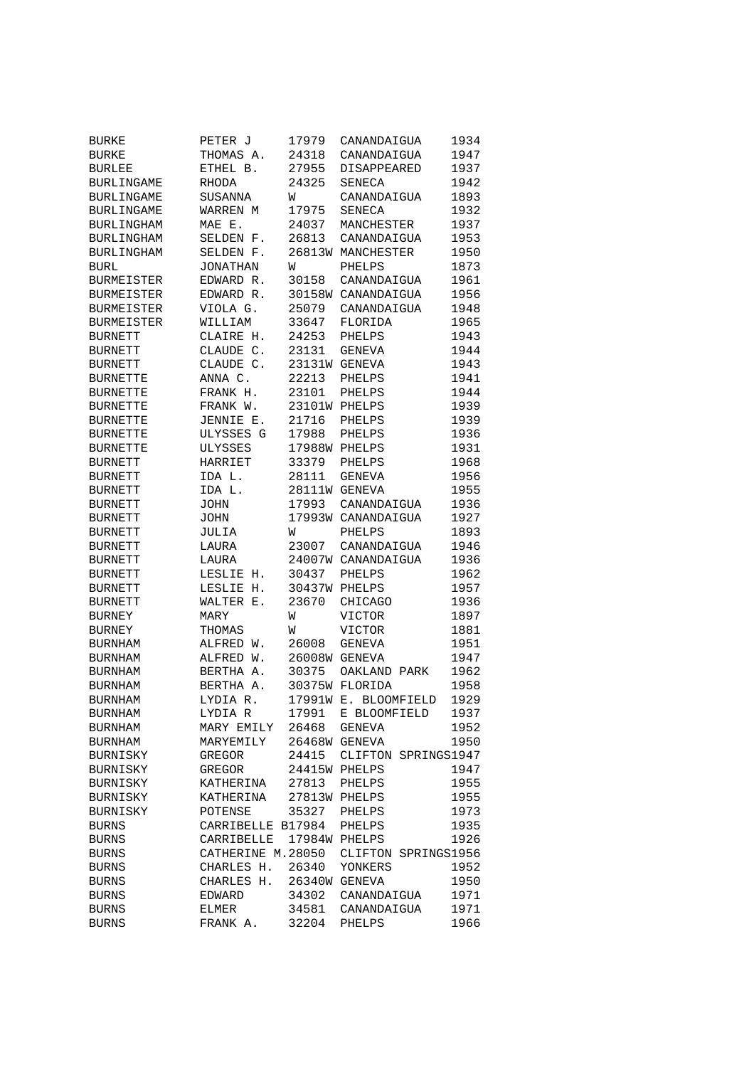| <b>BURKE</b>      | PETER J           | 17979         | CANANDAIGUA          | 1934 |
|-------------------|-------------------|---------------|----------------------|------|
| <b>BURKE</b>      | THOMAS A.         | 24318         | CANANDAIGUA          | 1947 |
| <b>BURLEE</b>     | ETHEL B.          | 27955         | DISAPPEARED          | 1937 |
| <b>BURLINGAME</b> | RHODA             | 24325         | SENECA               | 1942 |
| BURLINGAME        | <b>SUSANNA</b>    | W             | CANANDAIGUA          | 1893 |
| <b>BURLINGAME</b> | WARREN M          | 17975         | <b>SENECA</b>        | 1932 |
| BURLINGHAM        | MAE E.            | 24037         | MANCHESTER           | 1937 |
| BURLINGHAM        | SELDEN F.         | 26813         | CANANDAIGUA          | 1953 |
| <b>BURLINGHAM</b> | SELDEN F.         | 26813W        | MANCHESTER           | 1950 |
| <b>BURL</b>       | JONATHAN          | W             | PHELPS               | 1873 |
| <b>BURMEISTER</b> | EDWARD R.         | 30158         | CANANDAIGUA          | 1961 |
| <b>BURMEISTER</b> | EDWARD R.         | 30158W        | CANANDAIGUA          | 1956 |
| <b>BURMEISTER</b> | VIOLA G.          | 25079         | CANANDAIGUA          | 1948 |
| <b>BURMEISTER</b> | WILLIAM           | 33647         | FLORIDA              | 1965 |
| <b>BURNETT</b>    | CLAIRE H.         | 24253         | PHELPS               | 1943 |
| <b>BURNETT</b>    | CLAUDE C.         | 23131         | GENEVA               | 1944 |
| <b>BURNETT</b>    | CLAUDE C.         | 23131W        | <b>GENEVA</b>        | 1943 |
| <b>BURNETTE</b>   | ANNA C.           | 22213         | PHELPS               | 1941 |
| <b>BURNETTE</b>   | FRANK H.          | 23101         | PHELPS               | 1944 |
| <b>BURNETTE</b>   | FRANK W.          | 23101W PHELPS |                      | 1939 |
| <b>BURNETTE</b>   | JENNIE E.         | 21716         | PHELPS               | 1939 |
| <b>BURNETTE</b>   | ULYSSES G         | 17988         | PHELPS               | 1936 |
| <b>BURNETTE</b>   | ULYSSES           | 17988W        | PHELPS               | 1931 |
| <b>BURNETT</b>    | HARRIET           | 33379         | PHELPS               | 1968 |
| <b>BURNETT</b>    | IDA L.            | 28111         | <b>GENEVA</b>        | 1956 |
| <b>BURNETT</b>    | IDA L.            | 28111W GENEVA |                      | 1955 |
| <b>BURNETT</b>    | JOHN              | 17993         | CANANDAIGUA          | 1936 |
| <b>BURNETT</b>    | <b>JOHN</b>       |               | 17993W CANANDAIGUA   | 1927 |
| <b>BURNETT</b>    | JULIA             | W             | PHELPS               | 1893 |
| <b>BURNETT</b>    | LAURA             | 23007         | CANANDAIGUA          | 1946 |
| <b>BURNETT</b>    | LAURA             |               | 24007W CANANDAIGUA   | 1936 |
| <b>BURNETT</b>    | LESLIE H.         | 30437         | PHELPS               | 1962 |
| <b>BURNETT</b>    | LESLIE H.         | 30437W        | PHELPS               | 1957 |
| <b>BURNETT</b>    | WALTER E.         | 23670         | <b>CHICAGO</b>       | 1936 |
| <b>BURNEY</b>     | MARY              | W             | VICTOR               | 1897 |
| <b>BURNEY</b>     | THOMAS            | W             | <b>VICTOR</b>        | 1881 |
| <b>BURNHAM</b>    | ALFRED W.         | 26008         | <b>GENEVA</b>        | 1951 |
| <b>BURNHAM</b>    | ALFRED W.         | 26008W        | <b>GENEVA</b>        | 1947 |
| <b>BURNHAM</b>    | BERTHA A.         | 30375         | OAKLAND PARK         | 1962 |
| <b>BURNHAM</b>    | BERTHA A.         | 30375W        | FLORIDA              | 1958 |
| <b>BURNHAM</b>    | LYDIA R.          |               | 17991W E. BLOOMFIELD | 1929 |
| <b>BURNHAM</b>    | LYDIA R           | 17991         | E BLOOMFIELD         | 1937 |
| <b>BURNHAM</b>    | MARY EMILY        | 26468         | <b>GENEVA</b>        | 1952 |
| <b>BURNHAM</b>    | MARYEMILY         | 26468W GENEVA |                      | 1950 |
| <b>BURNISKY</b>   | GREGOR            | 24415         | CLIFTON SPRINGS1947  |      |
| BURNISKY          | GREGOR            | 24415W        | PHELPS               | 1947 |
| BURNISKY          | KATHERINA         | 27813         | PHELPS               | 1955 |
| <b>BURNISKY</b>   | KATHERINA         | 27813W        | PHELPS               | 1955 |
| <b>BURNISKY</b>   | POTENSE           | 35327         | PHELPS               | 1973 |
| <b>BURNS</b>      | CARRIBELLE B17984 |               | PHELPS               | 1935 |
| <b>BURNS</b>      | CARRIBELLE        | 17984W PHELPS |                      | 1926 |
| <b>BURNS</b>      | CATHERINE M.28050 |               | CLIFTON SPRINGS1956  |      |
| <b>BURNS</b>      | CHARLES H.        | 26340         | YONKERS              | 1952 |
| <b>BURNS</b>      | CHARLES H.        | 26340W        | <b>GENEVA</b>        | 1950 |
| <b>BURNS</b>      | EDWARD            | 34302         | CANANDAIGUA          | 1971 |
| <b>BURNS</b>      | ELMER             | 34581         | CANANDAIGUA          | 1971 |
| <b>BURNS</b>      | FRANK A.          | 32204         | PHELPS               | 1966 |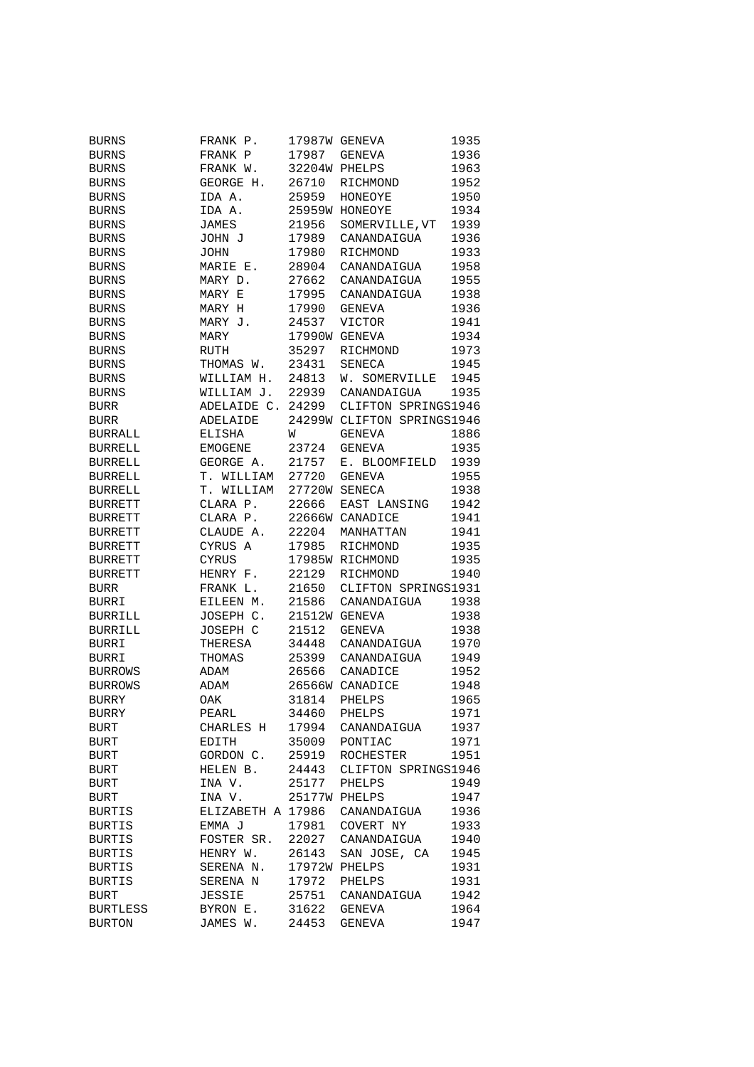| <b>BURNS</b>    | FRANK P.          | 17987W GENEVA |                            | 1935 |
|-----------------|-------------------|---------------|----------------------------|------|
| <b>BURNS</b>    | FRANK P           | 17987         | <b>GENEVA</b>              | 1936 |
| <b>BURNS</b>    | FRANK W.          | 32204W PHELPS |                            | 1963 |
| <b>BURNS</b>    | GEORGE H.         | 26710         | RICHMOND                   | 1952 |
| <b>BURNS</b>    | IDA A.            | 25959         | HONEOYE                    | 1950 |
| <b>BURNS</b>    | IDA A.            |               | 25959W HONEOYE             | 1934 |
| <b>BURNS</b>    | JAMES             | 21956         | SOMERVILLE, VT             | 1939 |
| <b>BURNS</b>    | JOHN J            | 17989         | CANANDAIGUA                | 1936 |
| <b>BURNS</b>    | <b>JOHN</b>       | 17980         | RICHMOND                   | 1933 |
| <b>BURNS</b>    | MARIE E.          | 28904         | CANANDAIGUA                | 1958 |
| <b>BURNS</b>    | MARY D.           | 27662         | CANANDAIGUA                | 1955 |
| <b>BURNS</b>    | MARY E            | 17995         | CANANDAIGUA                | 1938 |
| <b>BURNS</b>    | MARY H            | 17990         | GENEVA                     | 1936 |
| <b>BURNS</b>    | MARY J.           | 24537         | VICTOR                     | 1941 |
| <b>BURNS</b>    | MARY              |               | 17990W GENEVA              | 1934 |
| <b>BURNS</b>    | RUTH              | 35297         | RICHMOND                   | 1973 |
| <b>BURNS</b>    | THOMAS W.         | 23431         | SENECA                     | 1945 |
| <b>BURNS</b>    | WILLIAM H.        | 24813         | W. SOMERVILLE              | 1945 |
| <b>BURNS</b>    | WILLIAM J.        | 22939         | CANANDAIGUA                | 1935 |
| <b>BURR</b>     | ADELAIDE C. 24299 |               | CLIFTON SPRINGS1946        |      |
| <b>BURR</b>     | ADELAIDE          |               | 24299W CLIFTON SPRINGS1946 |      |
| <b>BURRALL</b>  | ELISHA            | W             | <b>GENEVA</b>              | 1886 |
| <b>BURRELL</b>  | <b>EMOGENE</b>    | 23724         | GENEVA                     | 1935 |
| <b>BURRELL</b>  | GEORGE A.         | 21757         | E. BLOOMFIELD              | 1939 |
| <b>BURRELL</b>  | T. WILLIAM        | 27720         | GENEVA                     | 1955 |
| <b>BURRELL</b>  | T. WILLIAM        | 27720W        | SENECA                     | 1938 |
| <b>BURRETT</b>  | CLARA P.          | 22666         | EAST LANSING               | 1942 |
| <b>BURRETT</b>  | CLARA P.          |               | 22666W CANADICE            | 1941 |
| <b>BURRETT</b>  | CLAUDE A.         | 22204         | MANHATTAN                  | 1941 |
| <b>BURRETT</b>  | CYRUS A           | 17985         | RICHMOND                   | 1935 |
| <b>BURRETT</b>  | CYRUS             |               | 17985W RICHMOND            | 1935 |
| <b>BURRETT</b>  | HENRY F.          | 22129         | RICHMOND                   | 1940 |
| <b>BURR</b>     | FRANK L.          |               | 21650 CLIFTON SPRINGS1931  |      |
| <b>BURRI</b>    | EILEEN M.         | 21586         | CANANDAIGUA                | 1938 |
| <b>BURRILL</b>  | JOSEPH C.         |               | 21512W GENEVA              | 1938 |
| <b>BURRILL</b>  | JOSEPH C          | 21512         | GENEVA                     | 1938 |
| <b>BURRI</b>    | THERESA           | 34448         | CANANDAIGUA                | 1970 |
| <b>BURRI</b>    | THOMAS            | 25399         | CANANDAIGUA                | 1949 |
| <b>BURROWS</b>  | ADAM              | 26566         | CANADICE                   | 1952 |
| <b>BURROWS</b>  | ADAM              |               | 26566W CANADICE            | 1948 |
| BURRY           | OAK               | 31814         | PHELPS                     | 1965 |
| BURRY           | PEARL             |               | 34460 PHELPS               | 1971 |
| <b>BURT</b>     | CHARLES H         |               | 17994 CANANDAIGUA          | 1937 |
| <b>BURT</b>     | EDITH             | 35009         | PONTIAC                    | 1971 |
| BURT            | GORDON C.         | 25919         | ROCHESTER                  | 1951 |
| $_{\rm BURT}$   | HELEN B.          | 24443         | CLIFTON SPRINGS1946        |      |
| BURT            | INA V.            | 25177         | PHELPS                     | 1949 |
| <b>BURT</b>     | INA V.            |               | 25177W PHELPS              | 1947 |
| <b>BURTIS</b>   | ELIZABETH A 17986 |               | CANANDAIGUA                | 1936 |
| BURTIS          | EMMA J            |               | 17981 COVERT NY            | 1933 |
| <b>BURTIS</b>   | FOSTER SR.        |               | 22027 CANANDAIGUA          | 1940 |
| <b>BURTIS</b>   | HENRY W.          | 26143         | SAN JOSE, CA               | 1945 |
| BURTIS          | SERENA N.         | 17972W PHELPS |                            | 1931 |
| <b>BURTIS</b>   | SERENA N          | 17972         | PHELPS                     | 1931 |
| <b>BURT</b>     | JESSIE            |               | 25751 CANANDAIGUA          | 1942 |
| <b>BURTLESS</b> | BYRON E.          | 31622 GENEVA  |                            | 1964 |
| <b>BURTON</b>   | JAMES W.          | 24453         | GENEVA                     | 1947 |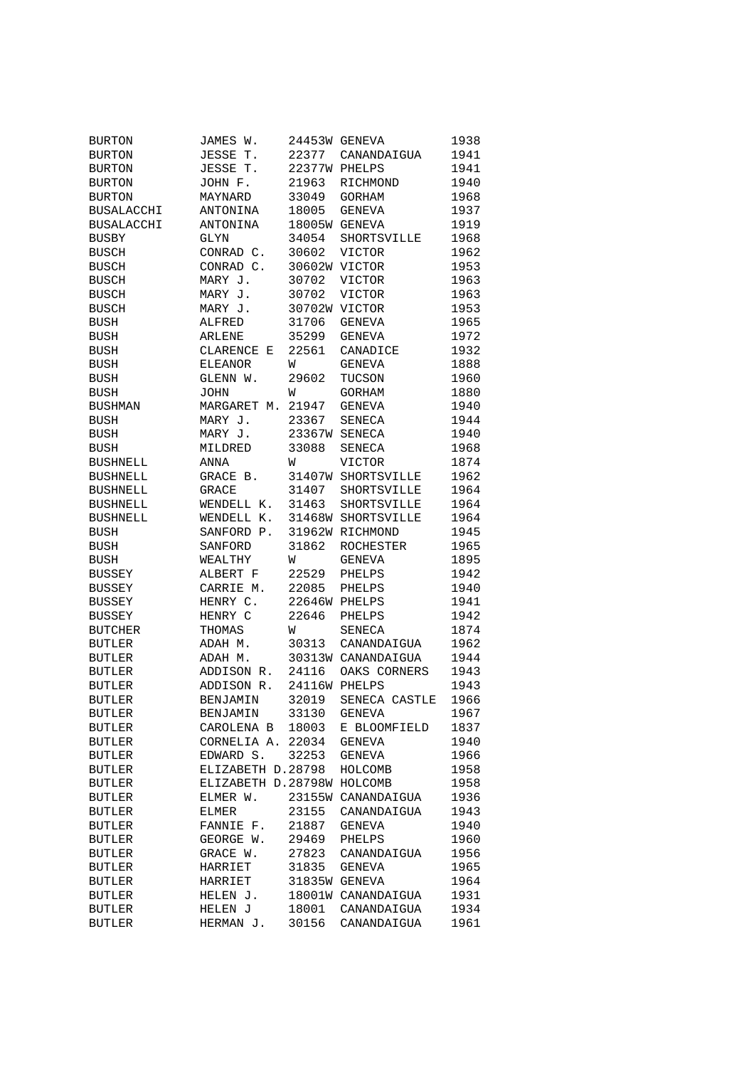| <b>BURTON</b>           | JAMES W.                   | 24453W GENEVA  |                            | 1938 |
|-------------------------|----------------------------|----------------|----------------------------|------|
| <b>BURTON</b>           | JESSE T.                   | 22377          | CANANDAIGUA                | 1941 |
| <b>BURTON</b>           | JESSE T.                   | 22377W PHELPS  |                            | 1941 |
| <b>BURTON</b>           | JOHN F.                    | 21963          | RICHMOND                   | 1940 |
| <b>BURTON</b>           | MAYNARD                    | 33049          | GORHAM                     | 1968 |
| <b>BUSALACCHI</b>       | ANTONINA                   | 18005          | <b>GENEVA</b>              | 1937 |
| <b>BUSALACCHI</b>       | ANTONINA                   |                | 18005W GENEVA              | 1919 |
| <b>BUSBY</b>            | GLYN                       | 34054          | SHORTSVILLE                | 1968 |
| <b>BUSCH</b>            | CONRAD C.                  | 30602          | VICTOR                     | 1962 |
| <b>BUSCH</b>            | CONRAD C.                  | 30602W VICTOR  |                            | 1953 |
| <b>BUSCH</b>            | MARY J.                    | 30702          | VICTOR                     | 1963 |
| <b>BUSCH</b>            | MARY J.                    | 30702          | VICTOR                     | 1963 |
| <b>BUSCH</b>            | MARY J.                    | 30702W VICTOR  |                            | 1953 |
| BUSH                    | ALFRED                     | 31706          | <b>GENEVA</b>              | 1965 |
| <b>BUSH</b>             | ARLENE                     | 35299          | <b>GENEVA</b>              | 1972 |
| <b>BUSH</b>             | CLARENCE E                 | 22561          | CANADICE                   | 1932 |
| <b>BUSH</b>             | ELEANOR                    | W              | <b>GENEVA</b>              | 1888 |
| <b>BUSH</b>             | GLENN W.                   | 29602          | TUCSON                     | 1960 |
| <b>BUSH</b>             | <b>JOHN</b>                | W              | GORHAM                     | 1880 |
| <b>BUSHMAN</b>          | MARGARET M.                | 21947          | GENEVA                     | 1940 |
| <b>BUSH</b>             | MARY J.                    | 23367          | SENECA                     | 1944 |
| <b>BUSH</b>             | MARY J.                    | 23367W         | SENECA                     | 1940 |
| BUSH                    | MILDRED                    | 33088          | SENECA                     | 1968 |
| <b>BUSHNELL</b>         | ANNA                       | W              | VICTOR                     | 1874 |
| <b>BUSHNELL</b>         | GRACE B.                   |                | 31407W SHORTSVILLE         | 1962 |
| <b>BUSHNELL</b>         | GRACE                      | 31407          | SHORTSVILLE                | 1964 |
| <b>BUSHNELL</b>         | WENDELL K.                 | 31463          | SHORTSVILLE                | 1964 |
| <b>BUSHNELL</b>         | WENDELL K.                 |                | 31468W SHORTSVILLE         | 1964 |
| BUSH                    | SANFORD P.                 | 31962W         | RICHMOND                   | 1945 |
| <b>BUSH</b>             | SANFORD                    | 31862          | ROCHESTER                  | 1965 |
| <b>BUSH</b>             | WEALTHY                    | W              | <b>GENEVA</b>              | 1895 |
| <b>BUSSEY</b>           | ALBERT F                   | 22529          | PHELPS                     | 1942 |
| <b>BUSSEY</b>           | CARRIE M.                  | 22085          | PHELPS                     | 1940 |
| <b>BUSSEY</b>           | HENRY C.                   | 22646W PHELPS  |                            | 1941 |
| <b>BUSSEY</b>           | HENRY C                    | 22646          | PHELPS                     | 1942 |
| <b>BUTCHER</b>          | THOMAS                     | W              | SENECA                     | 1874 |
| <b>BUTLER</b>           | ADAH M.                    | 30313          | CANANDAIGUA                | 1962 |
| <b>BUTLER</b>           | ADAH M.                    |                | 30313W CANANDAIGUA         | 1944 |
| <b>BUTLER</b>           | ADDISON R.                 | 24116          | OAKS CORNERS               | 1943 |
| <b>BUTLER</b>           | ADDISON R.                 | 24116W PHELPS  |                            | 1943 |
|                         | BENJAMIN                   | 32019          | SENECA CASTLE              | 1966 |
| <b>BUTLER</b>           |                            |                |                            |      |
| BUTLER<br><b>BUTLER</b> | BENJAMIN<br>CAROLENA B     | 33130<br>18003 | GENEVA<br>E BLOOMFIELD     | 1967 |
|                         | CORNELIA A. 22034          |                | GENEVA                     | 1837 |
| BUTLER                  |                            | 32253          |                            | 1940 |
| BUTLER                  | EDWARD S.                  |                | GENEVA                     | 1966 |
| BUTLER                  | ELIZABETH D.28798          |                | HOLCOMB                    | 1958 |
| <b>BUTLER</b>           | ELIZABETH D.28798W HOLCOMB |                |                            | 1958 |
| BUTLER<br><b>BUTLER</b> | ELMER W.                   | 23155W         | CANANDAIGUA<br>CANANDAIGUA | 1936 |
|                         | ELMER                      | 23155          |                            | 1943 |
| <b>BUTLER</b>           | FANNIE F.                  | 21887          | GENEVA                     | 1940 |
| <b>BUTLER</b>           | GEORGE W.                  | 29469          | PHELPS                     | 1960 |
| BUTLER                  | GRACE W.                   | 27823          | CANANDAIGUA                | 1956 |
| <b>BUTLER</b>           | HARRIET                    | 31835          | GENEVA                     | 1965 |
| BUTLER                  | HARRIET                    | 31835W GENEVA  |                            | 1964 |
| BUTLER                  | HELEN J.                   |                | 18001W CANANDAIGUA         | 1931 |
| <b>BUTLER</b>           | HELEN J                    | 18001          | CANANDAIGUA                | 1934 |
| <b>BUTLER</b>           | HERMAN J.                  | 30156          | CANANDAIGUA                | 1961 |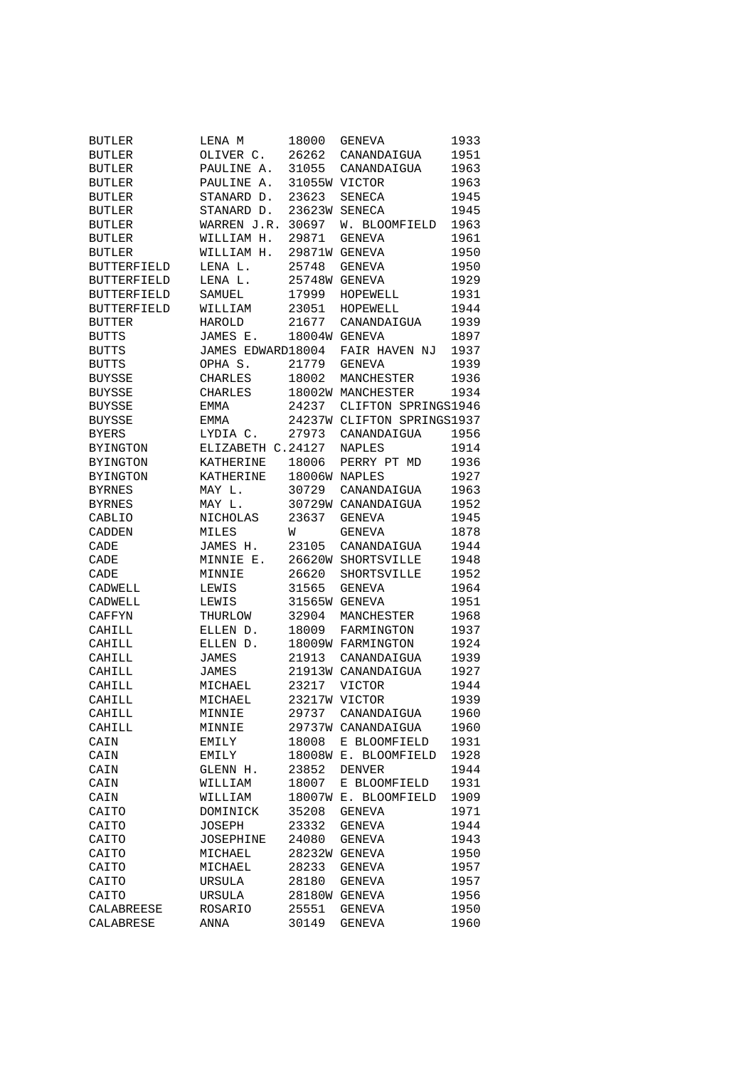| <b>BUTLER</b>      | LENA M            | 18000         | GENEVA                     | 1933 |
|--------------------|-------------------|---------------|----------------------------|------|
| <b>BUTLER</b>      | OLIVER C.         | 26262         | CANANDAIGUA                | 1951 |
| <b>BUTLER</b>      | PAULINE A.        | 31055         | CANANDAIGUA                | 1963 |
| <b>BUTLER</b>      | PAULINE A.        | 31055W VICTOR |                            | 1963 |
| <b>BUTLER</b>      | STANARD D.        | 23623         | SENECA                     | 1945 |
| <b>BUTLER</b>      | STANARD D.        | 23623W        | SENECA                     | 1945 |
| <b>BUTLER</b>      | WARREN J.R.       | 30697         | W. BLOOMFIELD              | 1963 |
| <b>BUTLER</b>      | WILLIAM H.        | 29871         | GENEVA                     | 1961 |
| <b>BUTLER</b>      | WILLIAM H.        | 29871W        | GENEVA                     | 1950 |
| <b>BUTTERFIELD</b> | LENA L.           | 25748         | GENEVA                     | 1950 |
| <b>BUTTERFIELD</b> | LENA L.           | 25748W        | GENEVA                     | 1929 |
| <b>BUTTERFIELD</b> | SAMUEL            | 17999         | HOPEWELL                   | 1931 |
| <b>BUTTERFIELD</b> | WILLIAM           | 23051         | HOPEWELL                   | 1944 |
| <b>BUTTER</b>      | HAROLD            | 21677         | CANANDAIGUA                | 1939 |
| <b>BUTTS</b>       | JAMES E.          | 18004W GENEVA |                            | 1897 |
| <b>BUTTS</b>       | JAMES EDWARD18004 |               | FAIR HAVEN NJ              | 1937 |
| <b>BUTTS</b>       | OPHA S.           | 21779         | <b>GENEVA</b>              | 1939 |
| <b>BUYSSE</b>      | CHARLES           | 18002         | MANCHESTER                 | 1936 |
| <b>BUYSSE</b>      | <b>CHARLES</b>    |               | 18002W MANCHESTER          | 1934 |
| <b>BUYSSE</b>      | <b>EMMA</b>       | 24237         | CLIFTON SPRINGS1946        |      |
| <b>BUYSSE</b>      | <b>EMMA</b>       |               | 24237W CLIFTON SPRINGS1937 |      |
| <b>BYERS</b>       | LYDIA C.          | 27973         | CANANDAIGUA                | 1956 |
| <b>BYINGTON</b>    | ELIZABETH C.24127 |               | <b>NAPLES</b>              | 1914 |
| <b>BYINGTON</b>    | KATHERINE         | 18006         | PERRY PT MD                | 1936 |
| <b>BYINGTON</b>    | KATHERINE         | 18006W        | <b>NAPLES</b>              | 1927 |
| <b>BYRNES</b>      | MAY L.            | 30729         | CANANDAIGUA                | 1963 |
| <b>BYRNES</b>      | MAY L.            |               | 30729W CANANDAIGUA         | 1952 |
| CABLIO             | NICHOLAS          | 23637         | GENEVA                     | 1945 |
| CADDEN             | MILES             | M             | GENEVA                     | 1878 |
| CADE               | JAMES H.          | 23105         | CANANDAIGUA                | 1944 |
| CADE               | MINNIE E.         |               | 26620W SHORTSVILLE         | 1948 |
| CADE               | MINNIE            | 26620         | SHORTSVILLE                | 1952 |
| CADWELL            | LEWIS             | 31565         | GENEVA                     | 1964 |
| CADWELL            | LEWIS             | 31565W GENEVA |                            | 1951 |
| CAFFYN             | THURLOW           | 32904         | MANCHESTER                 | 1968 |
| CAHILL             | ELLEN D.          | 18009         | FARMINGTON                 | 1937 |
| CAHILL             | ELLEN D.          |               | 18009W FARMINGTON          | 1924 |
| CAHILL             | <b>JAMES</b>      | 21913         | CANANDAIGUA                | 1939 |
| CAHILL             | <b>JAMES</b>      |               | 21913W CANANDAIGUA         | 1927 |
| CAHILL             | MICHAEL           | 23217         | <b>VICTOR</b>              | 1944 |
| CAHILL             | MICHAEL           | 23217W VICTOR |                            | 1939 |
| CAHILL             | MINNIE            | 29737         | CANANDAIGUA                | 1960 |
| CAHILL             | MINNIE            | 29737W        | CANANDAIGUA                | 1960 |
| CAIN               | EMILY             | 18008         | E BLOOMFIELD               | 1931 |
| CAIN               | EMILY             | 18008W        | E. BLOOMFIELD              | 1928 |
| CAIN               | GLENN H.          | 23852         | <b>DENVER</b>              | 1944 |
| CAIN               | WILLIAM           | 18007         | E BLOOMFIELD               | 1931 |
| CAIN               | WILLIAM           | 18007W        | E. BLOOMFIELD              | 1909 |
| CAITO              | DOMINICK          | 35208         | <b>GENEVA</b>              | 1971 |
| CAITO              | JOSEPH            | 23332         | GENEVA                     | 1944 |
| CAITO              | <b>JOSEPHINE</b>  | 24080         | GENEVA                     | 1943 |
| CAITO              | MICHAEL           | 28232W        | GENEVA                     | 1950 |
| CAITO              | MICHAEL           | 28233         | GENEVA                     | 1957 |
| CAITO              | URSULA            | 28180         | <b>GENEVA</b>              | 1957 |
| CAITO              | URSULA            | 28180W        | GENEVA                     | 1956 |
| CALABREESE         | ROSARIO           | 25551         | GENEVA                     | 1950 |
| CALABRESE          | ANNA              | 30149         | <b>GENEVA</b>              | 1960 |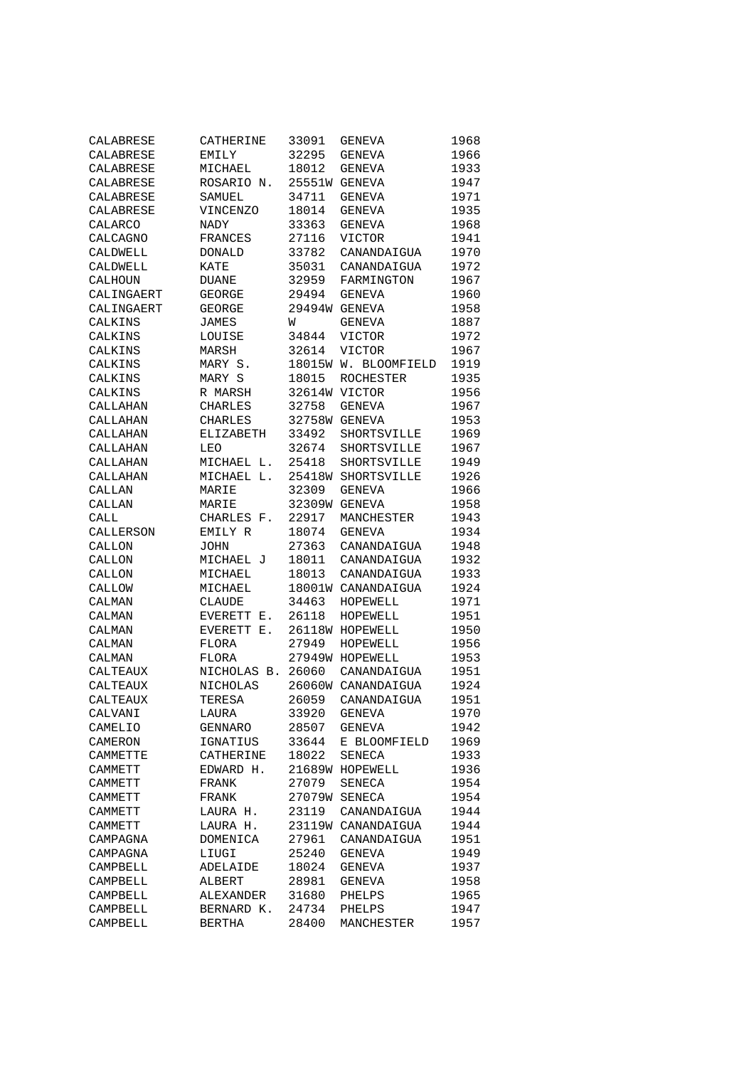| CALABRESE       | CATHERINE        | 33091         | <b>GENEVA</b>      | 1968 |
|-----------------|------------------|---------------|--------------------|------|
| CALABRESE       | <b>EMILY</b>     | 32295         | <b>GENEVA</b>      | 1966 |
| CALABRESE       | MICHAEL          | 18012         | GENEVA             | 1933 |
| CALABRESE       | ROSARIO N.       | 25551W        | <b>GENEVA</b>      | 1947 |
| CALABRESE       | SAMUEL           | 34711         | GENEVA             | 1971 |
| CALABRESE       | <b>VINCENZO</b>  | 18014         | GENEVA             | 1935 |
| CALARCO         | <b>NADY</b>      | 33363         | GENEVA             | 1968 |
| CALCAGNO        | FRANCES          | 27116         | <b>VICTOR</b>      | 1941 |
| CALDWELL        | <b>DONALD</b>    | 33782         | CANANDAIGUA        | 1970 |
| CALDWELL        | <b>KATE</b>      | 35031         | CANANDAIGUA        | 1972 |
| CALHOUN         | <b>DUANE</b>     | 32959         | FARMINGTON         | 1967 |
| CALINGAERT      | GEORGE           | 29494         | <b>GENEVA</b>      | 1960 |
| CALINGAERT      | <b>GEORGE</b>    | 29494W        | <b>GENEVA</b>      | 1958 |
| CALKINS         | <b>JAMES</b>     | W             | GENEVA             | 1887 |
| CALKINS         | LOUISE           | 34844         | <b>VICTOR</b>      | 1972 |
| CALKINS         | MARSH            | 32614         | VICTOR             | 1967 |
| CALKINS         | MARY S.          | 18015W        | W. BLOOMFIELD      | 1919 |
| CALKINS         | MARY S           | 18015         | ROCHESTER          | 1935 |
| CALKINS         | R MARSH          | 32614W VICTOR |                    | 1956 |
| CALLAHAN        | CHARLES          | 32758         | GENEVA             | 1967 |
| CALLAHAN        | CHARLES          | 32758W GENEVA |                    | 1953 |
| CALLAHAN        | <b>ELIZABETH</b> | 33492         | SHORTSVILLE        | 1969 |
| CALLAHAN        | LEO              | 32674         | SHORTSVILLE        | 1967 |
| CALLAHAN        | MICHAEL L.       | 25418         | SHORTSVILLE        | 1949 |
| CALLAHAN        | MICHAEL L.       | 25418W        | SHORTSVILLE        | 1926 |
| CALLAN          | MARIE            | 32309         | GENEVA             | 1966 |
| CALLAN          | MARIE            | 32309W        | GENEVA             | 1958 |
| CALL            | CHARLES F.       | 22917         | MANCHESTER         | 1943 |
| CALLERSON       | EMILY R          | 18074         | GENEVA             | 1934 |
| CALLON          | JOHN             | 27363         | CANANDAIGUA        | 1948 |
| CALLON          | MICHAEL J        | 18011         | CANANDAIGUA        | 1932 |
| CALLON          | MICHAEL          | 18013         | CANANDAIGUA        | 1933 |
| CALLOW          | MICHAEL          |               | 18001W CANANDAIGUA | 1924 |
| CALMAN          | CLAUDE           | 34463         | HOPEWELL           | 1971 |
| CALMAN          | EVERETT E.       | 26118         | HOPEWELL           | 1951 |
| CALMAN          | EVERETT<br>Ε.    | 26118W        | HOPEWELL           | 1950 |
| CALMAN          | FLORA            | 27949         | HOPEWELL           | 1956 |
| CALMAN          | FLORA            | 27949W        | HOPEWELL           | 1953 |
| <b>CALTEAUX</b> | NICHOLAS B.      | 26060         | CANANDAIGUA        | 1951 |
| <b>CALTEAUX</b> | NICHOLAS         |               | 26060W CANANDAIGUA | 1924 |
| CALTEAUX        | TERESA           | 26059         | CANANDAIGUA        | 1951 |
| CALVANI         | LAURA            | 33920         | GENEVA             | 1970 |
| CAMELIO         | GENNARO          | 28507         | GENEVA             | 1942 |
| CAMERON         | IGNATIUS         | 33644         | E BLOOMFIELD       | 1969 |
| CAMMETTE        | CATHERINE        | 18022         | SENECA             | 1933 |
| CAMMETT         | EDWARD H.        | 21689W        | HOPEWELL           | 1936 |
| CAMMETT         | FRANK            | 27079         | SENECA             | 1954 |
| CAMMETT         | FRANK            |               | 27079W SENECA      | 1954 |
| CAMMETT         | LAURA H.         | 23119         | CANANDAIGUA        | 1944 |
| CAMMETT         | LAURA H.         |               | 23119W CANANDAIGUA | 1944 |
| CAMPAGNA        | DOMENICA         | 27961         | CANANDAIGUA        | 1951 |
| CAMPAGNA        | LIUGI            | 25240         | GENEVA             | 1949 |
| CAMPBELL        | ADELAIDE         | 18024         | GENEVA             | 1937 |
| CAMPBELL        | ALBERT           | 28981         | GENEVA             | 1958 |
| CAMPBELL        | ALEXANDER        | 31680         | PHELPS             | 1965 |
| CAMPBELL        | BERNARD K.       | 24734         | PHELPS             | 1947 |
| CAMPBELL        | <b>BERTHA</b>    | 28400         | MANCHESTER         | 1957 |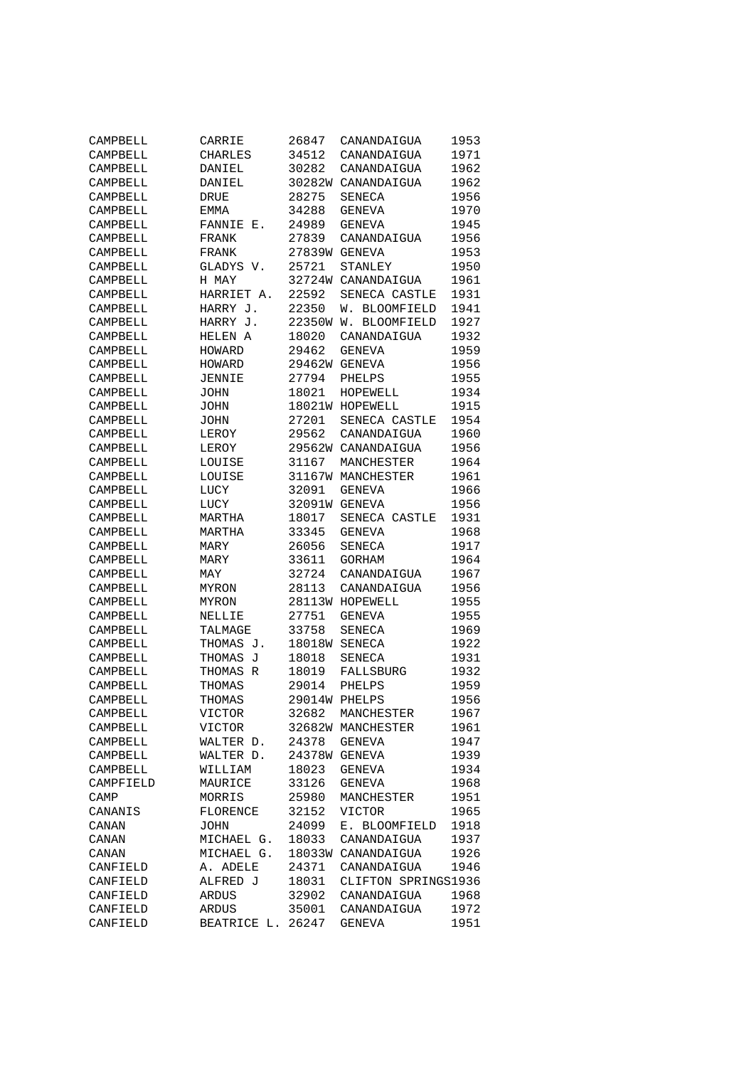| CAMPBELL  | CARRIE            | 26847  | CANANDAIGUA             | 1953 |
|-----------|-------------------|--------|-------------------------|------|
| CAMPBELL  | CHARLES           | 34512  | CANANDAIGUA             | 1971 |
| CAMPBELL  | DANIEL            | 30282  | CANANDAIGUA             | 1962 |
| CAMPBELL  | DANIEL            | 30282W | CANANDAIGUA             | 1962 |
| CAMPBELL  | <b>DRUE</b>       | 28275  | SENECA                  | 1956 |
| CAMPBELL  | <b>EMMA</b>       | 34288  | <b>GENEVA</b>           | 1970 |
| CAMPBELL  | FANNIE E.         | 24989  | GENEVA                  | 1945 |
| CAMPBELL  | FRANK             | 27839  | CANANDAIGUA             | 1956 |
| CAMPBELL  | FRANK             | 27839W | GENEVA                  | 1953 |
| CAMPBELL  | GLADYS V.         | 25721  | STANLEY                 | 1950 |
| CAMPBELL  | H MAY             | 32724W | CANANDAIGUA             | 1961 |
| CAMPBELL  | HARRIET A.        | 22592  | SENECA CASTLE           | 1931 |
| CAMPBELL  | HARRY J.          | 22350  | W.<br><b>BLOOMFIELD</b> | 1941 |
| CAMPBELL  | HARRY J.          | 22350W | W.<br><b>BLOOMFIELD</b> | 1927 |
| CAMPBELL  | HELEN A           | 18020  | CANANDAIGUA             | 1932 |
| CAMPBELL  | HOWARD            | 29462  | <b>GENEVA</b>           | 1959 |
| CAMPBELL  | HOWARD            | 29462W | GENEVA                  | 1956 |
| CAMPBELL  | JENNIE            | 27794  | PHELPS                  | 1955 |
| CAMPBELL  | JOHN              | 18021  | HOPEWELL                | 1934 |
| CAMPBELL  | JOHN              |        | 18021W HOPEWELL         | 1915 |
| CAMPBELL  | <b>JOHN</b>       | 27201  | SENECA CASTLE           | 1954 |
| CAMPBELL  | LEROY             | 29562  | CANANDAIGUA             | 1960 |
| CAMPBELL  | LEROY             | 29562W | CANANDAIGUA             | 1956 |
| CAMPBELL  | LOUISE            | 31167  | MANCHESTER              | 1964 |
| CAMPBELL  | LOUISE            | 31167W | MANCHESTER              | 1961 |
| CAMPBELL  | LUCY              | 32091  | GENEVA                  | 1966 |
| CAMPBELL  | LUCY              | 32091W | GENEVA                  | 1956 |
| CAMPBELL  | MARTHA            | 18017  | SENECA CASTLE           | 1931 |
| CAMPBELL  | MARTHA            | 33345  | GENEVA                  | 1968 |
| CAMPBELL  | MARY              | 26056  | SENECA                  | 1917 |
| CAMPBELL  | MARY              | 33611  | GORHAM                  | 1964 |
| CAMPBELL  | MAY               | 32724  | CANANDAIGUA             | 1967 |
| CAMPBELL  | MYRON             | 28113  | CANANDAIGUA             | 1956 |
| CAMPBELL  | MYRON             | 28113W | HOPEWELL                | 1955 |
| CAMPBELL  | NELLIE            | 27751  | <b>GENEVA</b>           | 1955 |
| CAMPBELL  | TALMAGE           | 33758  | <b>SENECA</b>           | 1969 |
| CAMPBELL  | THOMAS J.         | 18018W | SENECA                  | 1922 |
| CAMPBELL  | THOMAS J          | 18018  | SENECA                  | 1931 |
| CAMPBELL  | THOMAS R          | 18019  | FALLSBURG               | 1932 |
| CAMPBELL  | THOMAS            | 29014  | PHELPS                  | 1959 |
| CAMPBELL  | THOMAS            |        | 29014W PHELPS           | 1956 |
| CAMPBELL  | VICTOR            |        | 32682 MANCHESTER        | 1967 |
| CAMPBELL  | VICTOR            |        | 32682W MANCHESTER       | 1961 |
| CAMPBELL  | WALTER D.         | 24378  | GENEVA                  | 1947 |
| CAMPBELL  | WALTER D.         |        | 24378W GENEVA           | 1939 |
| CAMPBELL  | WILLIAM           | 18023  | GENEVA                  | 1934 |
| CAMPFIELD | MAURICE           | 33126  | GENEVA                  | 1968 |
| CAMP      | MORRIS            | 25980  | MANCHESTER              | 1951 |
| CANANIS   | FLORENCE          | 32152  | VICTOR                  | 1965 |
| CANAN     | JOHN              | 24099  | E. BLOOMFIELD           | 1918 |
| CANAN     | MICHAEL G.        | 18033  | CANANDAIGUA             | 1937 |
| CANAN     | MICHAEL G.        |        | 18033W CANANDAIGUA      | 1926 |
| CANFIELD  | A. ADELE          | 24371  | CANANDAIGUA             | 1946 |
| CANFIELD  | ALFRED J          | 18031  | CLIFTON SPRINGS1936     |      |
| CANFIELD  | ARDUS             | 32902  | CANANDAIGUA             | 1968 |
| CANFIELD  | ARDUS             | 35001  | CANANDAIGUA             | 1972 |
| CANFIELD  | BEATRICE L. 26247 |        | <b>GENEVA</b>           | 1951 |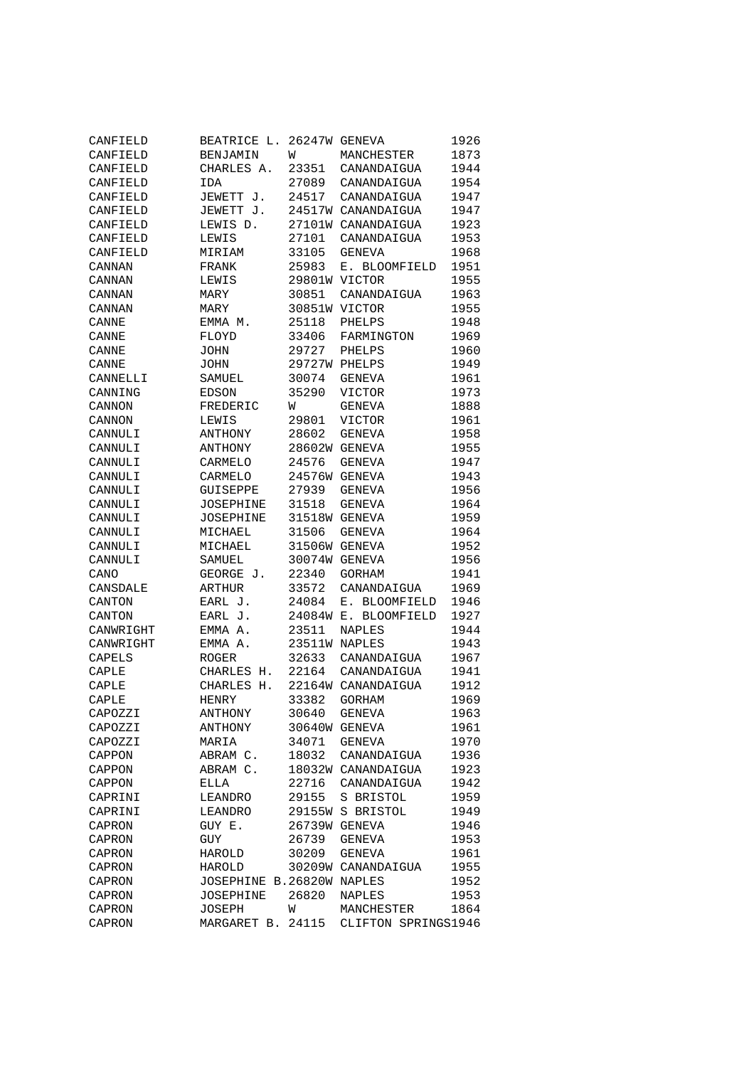| CANFIELD           | BEATRICE L.                | 26247W GENEVA   |                                       | 1926         |
|--------------------|----------------------------|-----------------|---------------------------------------|--------------|
| CANFIELD           | BENJAMIN                   | W               | MANCHESTER                            | 1873         |
| CANFIELD           | CHARLES A.                 | 23351           | CANANDAIGUA                           | 1944         |
| CANFIELD           | IDA                        | 27089           | CANANDAIGUA                           | 1954         |
| CANFIELD           | JEWETT J.                  | 24517           | CANANDAIGUA                           | 1947         |
| CANFIELD           | JEWETT J.                  | 24517W          | CANANDAIGUA                           | 1947         |
| CANFIELD           | LEWIS D.                   | 27101W          | CANANDAIGUA                           | 1923         |
| CANFIELD           | LEWIS                      | 27101           | CANANDAIGUA                           | 1953         |
| CANFIELD           | MIRIAM                     | 33105           | <b>GENEVA</b>                         | 1968         |
| CANNAN             | FRANK                      | 25983           | E. BLOOMFIELD                         | 1951         |
| CANNAN             | LEWIS                      | 29801W          | <b>VICTOR</b>                         | 1955         |
| CANNAN             | MARY                       | 30851           | CANANDAIGUA                           | 1963         |
| CANNAN             | MARY                       | 30851W          | <b>VICTOR</b>                         | 1955         |
| CANNE              | EMMA M.                    | 25118           | PHELPS                                | 1948         |
| CANNE              | FLOYD                      | 33406           | FARMINGTON                            | 1969         |
| CANNE              | JOHN                       | 29727           | PHELPS                                | 1960         |
| CANNE              | JOHN                       | 29727W          | PHELPS                                | 1949         |
| CANNELLI           | SAMUEL                     | 30074           | <b>GENEVA</b>                         | 1961         |
| CANNING            | <b>EDSON</b>               | 35290           | VICTOR                                | 1973         |
| CANNON             | FREDERIC                   | W               | <b>GENEVA</b>                         | 1888         |
| CANNON             | LEWIS                      | 29801           |                                       | 1961         |
| CANNULI            |                            | 28602           | <b>VICTOR</b>                         | 1958         |
| CANNULI            | ANTHONY                    |                 | GENEVA                                | 1955         |
| CANNULI            | ANTHONY                    | 28602W<br>24576 | <b>GENEVA</b><br><b>GENEVA</b>        |              |
|                    | CARMELO                    |                 |                                       | 1947         |
| CANNULI            | CARMELO                    | 24576W          | <b>GENEVA</b>                         | 1943<br>1956 |
| CANNULI            | <b>GUISEPPE</b>            | 27939           | <b>GENEVA</b>                         |              |
| CANNULI            | JOSEPHINE                  | 31518           | <b>GENEVA</b>                         | 1964         |
| CANNULI            | JOSEPHINE                  | 31518W          | <b>GENEVA</b>                         | 1959         |
| CANNULI            | MICHAEL                    | 31506           | GENEVA                                | 1964         |
| CANNULI            | MICHAEL                    | 31506W          | GENEVA                                | 1952         |
| CANNULI            | SAMUEL                     | 30074W          | <b>GENEVA</b>                         | 1956         |
| CANO               | GEORGE J.                  | 22340           | GORHAM                                | 1941         |
| CANSDALE           | ARTHUR                     | 33572           | CANANDAIGUA                           | 1969         |
| CANTON             | EARL J.                    | 24084           | Ε.<br><b>BLOOMFIELD</b>               | 1946         |
| CANTON             | EARL J.                    | 24084W          | Ε.<br><b>BLOOMFIELD</b>               | 1927         |
| CANWRIGHT          | EMMA A.                    | 23511           | NAPLES                                | 1944         |
| CANWRIGHT          | EMMA A.                    | 23511W          | NAPLES                                | 1943         |
| CAPELS             | <b>ROGER</b><br>CHARLES H. | 32633<br>22164  | CANANDAIGUA                           | 1967         |
| CAPLE              |                            | 22164W          | CANANDAIGUA<br>CANANDAIGUA            | 1941<br>1912 |
| CAPLE              | CHARLES H.                 |                 |                                       |              |
| CAPLE              | HENRY                      | 33382           | GORHAM                                | 1969         |
| CAPOZZI<br>CAPOZZI | ANTHONY                    | 30640           | GENEVA                                | 1963<br>1961 |
|                    | ANTHONY                    | 34071           | 30640W GENEVA<br><b>GENEVA</b>        | 1970         |
| CAPOZZI            | MARIA                      |                 |                                       |              |
| CAPPON             | ABRAM C.                   | 18032           | CANANDAIGUA                           | 1936         |
| CAPPON             | ABRAM C.                   | 22716           | 18032W CANANDAIGUA                    | 1923         |
| CAPPON             | ELLA                       |                 | CANANDAIGUA<br>S BRISTOL              | 1942         |
| CAPRINI<br>CAPRINI | LEANDRO                    | 29155           |                                       | 1959         |
|                    | LEANDRO                    |                 | 29155W S BRISTOL                      | 1949         |
| CAPRON             | GUY E.                     | 26739W          | GENEVA                                | 1946         |
| CAPRON             | GUY                        | 26739           | GENEVA                                | 1953         |
| CAPRON             | HAROLD                     | 30209           | GENEVA                                | 1961         |
| CAPRON             | HAROLD                     |                 | 30209W CANANDAIGUA                    | 1955         |
| CAPRON             | JOSEPHINE B.26820W NAPLES  |                 |                                       | 1952         |
| CAPRON             | JOSEPHINE                  | 26820           | NAPLES                                | 1953         |
| CAPRON             | JOSEPH                     | W               | MANCHESTER                            | 1864         |
| CAPRON             |                            |                 | MARGARET B. 24115 CLIFTON SPRINGS1946 |              |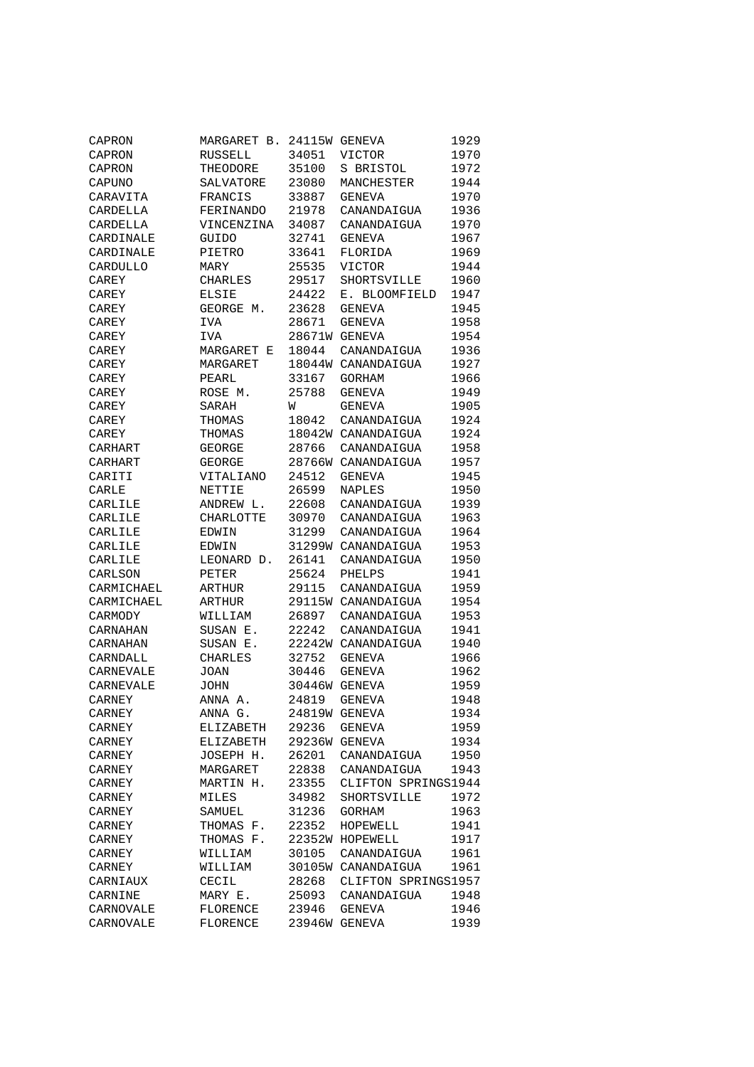| CAPRON          | MARGARET B.    | 24115W GENEVA |                     | 1929 |
|-----------------|----------------|---------------|---------------------|------|
| CAPRON          | RUSSELL        | 34051         | VICTOR              | 1970 |
| CAPRON          | THEODORE       | 35100         | S BRISTOL           | 1972 |
| CAPUNO          | SALVATORE      | 23080         | MANCHESTER          | 1944 |
| CARAVITA        | FRANCIS        | 33887         | <b>GENEVA</b>       | 1970 |
| CARDELLA        | FERINANDO      | 21978         | CANANDAIGUA         | 1936 |
| CARDELLA        | VINCENZINA     | 34087         | CANANDAIGUA         | 1970 |
| CARDINALE       | GUIDO          | 32741         | <b>GENEVA</b>       | 1967 |
| CARDINALE       | PIETRO         | 33641         | FLORIDA             | 1969 |
| <b>CARDULLO</b> | MARY           | 25535         | <b>VICTOR</b>       | 1944 |
| CAREY           | CHARLES        | 29517         | SHORTSVILLE         | 1960 |
| CAREY           | <b>ELSIE</b>   | 24422         | E. BLOOMFIELD       | 1947 |
| CAREY           | GEORGE M.      | 23628         | GENEVA              | 1945 |
| CAREY           | IVA            | 28671         | GENEVA              | 1958 |
| CAREY           | IVA            | 28671W        | <b>GENEVA</b>       | 1954 |
| CAREY           | MARGARET E     | 18044         | CANANDAIGUA         | 1936 |
| CAREY           | MARGARET       | 18044W        | CANANDAIGUA         | 1927 |
| CAREY           | PEARL          | 33167         | GORHAM              | 1966 |
| CAREY           | ROSE M.        | 25788         | GENEVA              | 1949 |
| CAREY           | SARAH          | W             | <b>GENEVA</b>       | 1905 |
| CAREY           | THOMAS         | 18042         | CANANDAIGUA         | 1924 |
| CAREY           | THOMAS         | 18042W        | CANANDAIGUA         | 1924 |
| CARHART         | GEORGE         | 28766         | CANANDAIGUA         | 1958 |
| CARHART         | <b>GEORGE</b>  | 28766W        | CANANDAIGUA         | 1957 |
| CARITI          | VITALIANO      | 24512         | <b>GENEVA</b>       | 1945 |
| CARLE           | NETTIE         | 26599         | <b>NAPLES</b>       | 1950 |
| CARLILE         | ANDREW L.      | 22608         | CANANDAIGUA         | 1939 |
| CARLILE         | CHARLOTTE      | 30970         | CANANDAIGUA         | 1963 |
| CARLILE         | EDWIN          | 31299         | CANANDAIGUA         | 1964 |
| CARLILE         | EDWIN          | 31299W        | CANANDAIGUA         | 1953 |
| CARLILE         | LEONARD<br>D.  | 26141         | CANANDAIGUA         | 1950 |
| CARLSON         | PETER          | 25624         | PHELPS              | 1941 |
| CARMICHAEL      | ARTHUR         | 29115         | CANANDAIGUA         | 1959 |
| CARMICHAEL      | ARTHUR         |               | 29115W CANANDAIGUA  | 1954 |
| CARMODY         | WILLIAM        | 26897         | CANANDAIGUA         | 1953 |
| CARNAHAN        | SUSAN E.       | 22242         | CANANDAIGUA         | 1941 |
| <b>CARNAHAN</b> | SUSAN E.       | 22242W        | CANANDAIGUA         | 1940 |
| CARNDALL        | <b>CHARLES</b> | 32752         | <b>GENEVA</b>       | 1966 |
| CARNEVALE       | JOAN           | 30446         | GENEVA              | 1962 |
| CARNEVALE       | <b>JOHN</b>    | 30446W        | <b>GENEVA</b>       | 1959 |
| CARNEY          | ANNA A.        | 24819         | GENEVA              | 1948 |
| CARNEY          | ANNA G.        | 24819W GENEVA |                     | 1934 |
| CARNEY          | ELIZABETH      | 29236         | GENEVA              | 1959 |
| CARNEY          | ELIZABETH      | 29236W        | GENEVA              | 1934 |
| CARNEY          | JOSEPH H.      | 26201         | CANANDAIGUA         | 1950 |
| CARNEY          | MARGARET       | 22838         | CANANDAIGUA         | 1943 |
| CARNEY          | MARTIN H.      | 23355         | CLIFTON SPRINGS1944 |      |
| CARNEY          | MILES          | 34982         | SHORTSVILLE         | 1972 |
| CARNEY          | SAMUEL         | 31236         | GORHAM              | 1963 |
| CARNEY          | THOMAS F.      | 22352         | HOPEWELL            | 1941 |
| CARNEY          | THOMAS F.      | 22352W        | HOPEWELL            | 1917 |
| CARNEY          | WILLIAM        | 30105         | CANANDAIGUA         | 1961 |
| CARNEY          | WILLIAM        | 30105W        | CANANDAIGUA         | 1961 |
| CARNIAUX        | CECIL          | 28268         | CLIFTON SPRINGS1957 |      |
| CARNINE         | MARY E.        | 25093         | CANANDAIGUA         | 1948 |
| CARNOVALE       | FLORENCE       | 23946         | GENEVA              | 1946 |
| CARNOVALE       | FLORENCE       |               | 23946W GENEVA       | 1939 |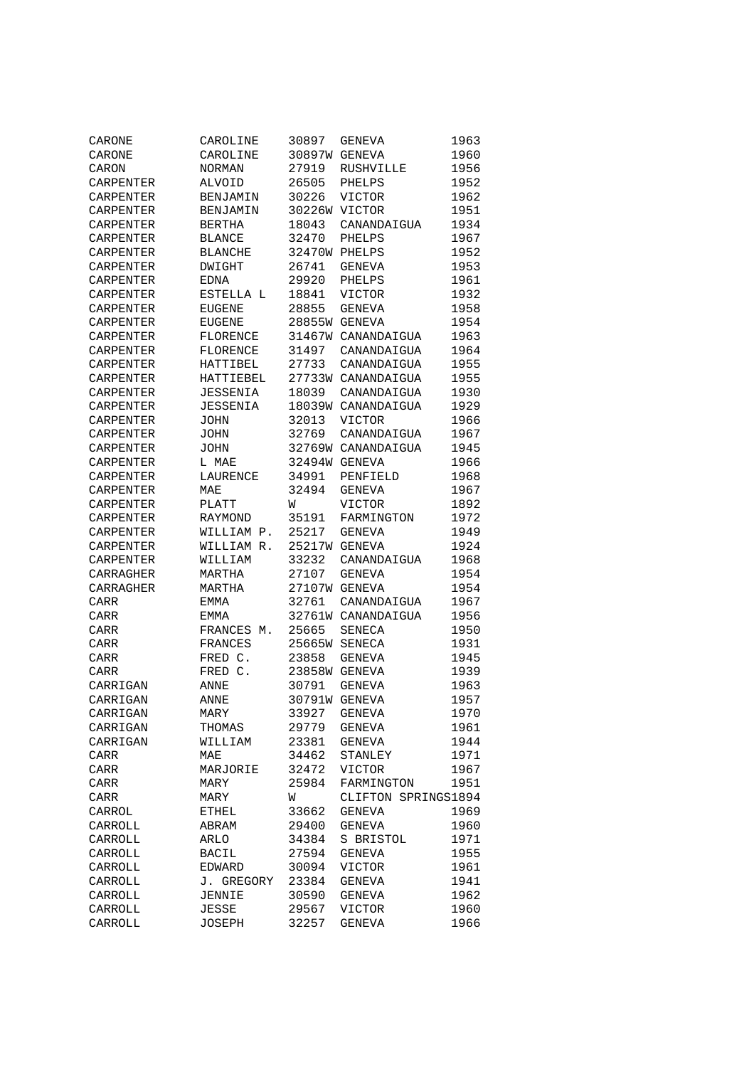| CARONE           | CAROLINE        | 30897         | GENEVA              | 1963 |
|------------------|-----------------|---------------|---------------------|------|
| CARONE           | CAROLINE        | 30897W        | GENEVA              | 1960 |
| CARON            | <b>NORMAN</b>   | 27919         | <b>RUSHVILLE</b>    | 1956 |
| CARPENTER        | ALVOID          | 26505         | PHELPS              | 1952 |
| CARPENTER        | BENJAMIN        | 30226         | VICTOR              | 1962 |
| CARPENTER        | <b>BENJAMIN</b> | 30226W        | <b>VICTOR</b>       | 1951 |
| <b>CARPENTER</b> | <b>BERTHA</b>   | 18043         | CANANDAIGUA         | 1934 |
| CARPENTER        | <b>BLANCE</b>   | 32470         | PHELPS              | 1967 |
| CARPENTER        | <b>BLANCHE</b>  | 32470W        | PHELPS              | 1952 |
| CARPENTER        | DWIGHT          | 26741         | <b>GENEVA</b>       | 1953 |
| CARPENTER        | <b>EDNA</b>     | 29920         | PHELPS              | 1961 |
| <b>CARPENTER</b> | ESTELLA L       | 18841         | <b>VICTOR</b>       | 1932 |
| CARPENTER        | <b>EUGENE</b>   | 28855         | GENEVA              | 1958 |
| CARPENTER        | <b>EUGENE</b>   | 28855W GENEVA |                     | 1954 |
| CARPENTER        | FLORENCE        |               | 31467W CANANDAIGUA  | 1963 |
| CARPENTER        | FLORENCE        | 31497         | CANANDAIGUA         | 1964 |
| CARPENTER        | HATTIBEL        | 27733         | CANANDAIGUA         | 1955 |
| CARPENTER        | HATTIEBEL       | 27733W        | CANANDAIGUA         | 1955 |
| <b>CARPENTER</b> | JESSENIA        | 18039         | CANANDAIGUA         | 1930 |
| CARPENTER        | JESSENIA        | 18039W        | CANANDAIGUA         | 1929 |
| CARPENTER        | <b>JOHN</b>     | 32013         | VICTOR              | 1966 |
| CARPENTER        | JOHN            | 32769         | CANANDAIGUA         | 1967 |
| CARPENTER        | <b>JOHN</b>     | 32769W        | CANANDAIGUA         | 1945 |
| CARPENTER        | L MAE           | 32494W        | <b>GENEVA</b>       | 1966 |
| CARPENTER        | LAURENCE        | 34991         | PENFIELD            | 1968 |
| CARPENTER        | MAE             | 32494         | <b>GENEVA</b>       | 1967 |
| CARPENTER        | PLATT           | W             | VICTOR              | 1892 |
| CARPENTER        | RAYMOND         | 35191         | FARMINGTON          | 1972 |
| CARPENTER        | WILLIAM P.      | 25217         | GENEVA              | 1949 |
| CARPENTER        | WILLIAM R.      | 25217W        | GENEVA              | 1924 |
| CARPENTER        | WILLIAM         | 33232         | CANANDAIGUA         | 1968 |
| CARRAGHER        | MARTHA          | 27107         | <b>GENEVA</b>       | 1954 |
| CARRAGHER        | MARTHA          | 27107W GENEVA |                     | 1954 |
| CARR             | EMMA            | 32761         | CANANDAIGUA         | 1967 |
| CARR             | EMMA            |               | 32761W CANANDAIGUA  | 1956 |
| $\rm CARR$       | FRANCES M.      | 25665         | SENECA              | 1950 |
| CARR             | FRANCES         | 25665W        | SENECA              | 1931 |
| CARR             | FRED C.         | 23858         | <b>GENEVA</b>       | 1945 |
| CARR             | FRED C.         | 23858W        | <b>GENEVA</b>       | 1939 |
| CARRIGAN         | ANNE            | 30791         | <b>GENEVA</b>       | 1963 |
| CARRIGAN         | ANNE            | 30791W GENEVA |                     | 1957 |
| CARRIGAN         | MARY            | 33927         | GENEVA              | 1970 |
| CARRIGAN         | THOMAS          | 29779         | <b>GENEVA</b>       | 1961 |
| CARRIGAN         | WILLIAM         | 23381         | GENEVA              | 1944 |
| CARR             | MAE             | 34462         | STANLEY             | 1971 |
| $\rm CARR$       | MARJORIE        | 32472         | <b>VICTOR</b>       | 1967 |
| CARR             | MARY            | 25984         | FARMINGTON          | 1951 |
| CARR             | MARY            | W             | CLIFTON SPRINGS1894 |      |
| CARROL           | ETHEL           | 33662         | <b>GENEVA</b>       | 1969 |
| CARROLL          | ABRAM           | 29400         | GENEVA              | 1960 |
| CARROLL          | ARLO            | 34384         | S BRISTOL           | 1971 |
| CARROLL          | <b>BACIL</b>    | 27594         | GENEVA              | 1955 |
| CARROLL          | EDWARD          | 30094         | <b>VICTOR</b>       | 1961 |
| CARROLL          | J. GREGORY      | 23384         | GENEVA              | 1941 |
| CARROLL          | JENNIE          | 30590         | GENEVA              | 1962 |
| CARROLL          | JESSE           | 29567         | VICTOR              | 1960 |
| CARROLL          | JOSEPH          | 32257         | GENEVA              | 1966 |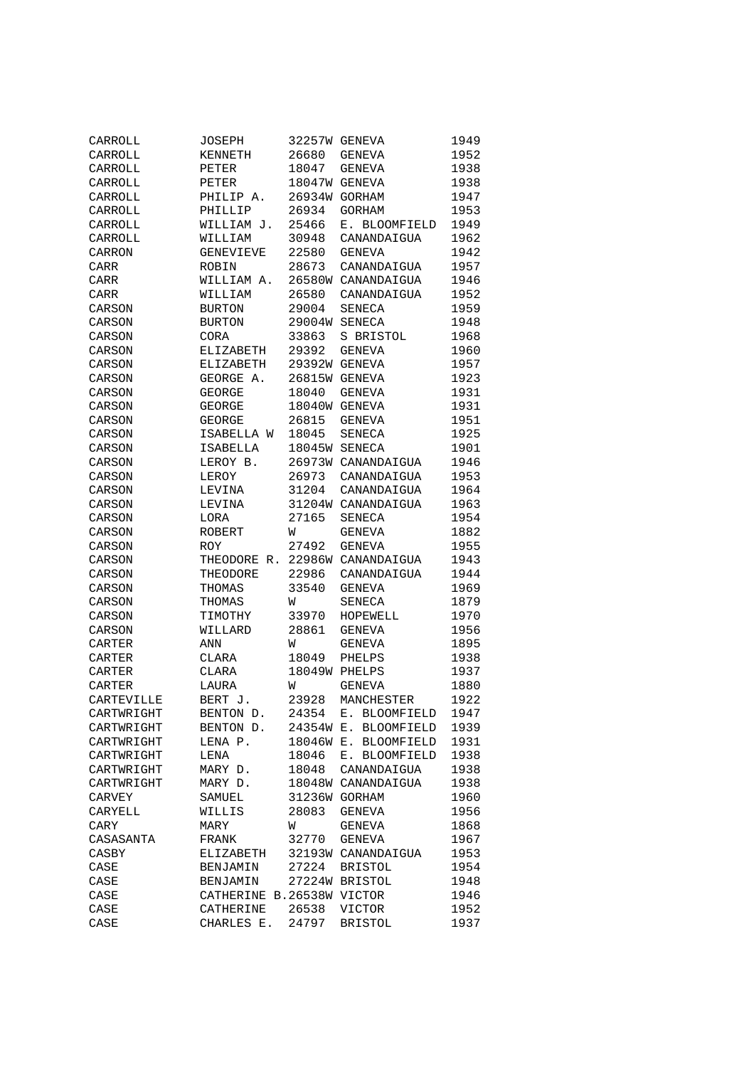| CARROLL           | JOSEPH                    | 32257W GENEVA |                           | 1949 |
|-------------------|---------------------------|---------------|---------------------------|------|
| CARROLL           | KENNETH                   | 26680         | GENEVA                    | 1952 |
| CARROLL           | PETER                     | 18047         | GENEVA                    | 1938 |
| CARROLL           | PETER                     | 18047W        | GENEVA                    | 1938 |
| CARROLL           | PHILIP A.                 | 26934W        | GORHAM                    | 1947 |
| CARROLL           | PHILLIP                   | 26934         | GORHAM                    | 1953 |
| CARROLL           | WILLIAM J.                | 25466         | E. BLOOMFIELD             | 1949 |
| CARROLL           | WILLIAM                   | 30948         | CANANDAIGUA               | 1962 |
| CARRON            | GENEVIEVE                 | 22580         | GENEVA                    | 1942 |
| CARR              | ROBIN                     | 28673         | CANANDAIGUA               | 1957 |
| CARR              | WILLIAM A.                |               | 26580W CANANDAIGUA        | 1946 |
| CARR              | WILLIAM                   | 26580         | CANANDAIGUA               | 1952 |
| CARSON            | <b>BURTON</b>             | 29004         | SENECA                    | 1959 |
| CARSON            | <b>BURTON</b>             | 29004W        | SENECA                    | 1948 |
| CARSON            | CORA                      | 33863         | S BRISTOL                 | 1968 |
| CARSON            | ELIZABETH                 | 29392         | GENEVA                    | 1960 |
| CARSON            | ELIZABETH                 | 29392W        | GENEVA                    | 1957 |
| CARSON            | GEORGE A.                 | 26815W        | GENEVA                    | 1923 |
| CARSON            | <b>GEORGE</b>             | 18040         | <b>GENEVA</b>             | 1931 |
| CARSON            | GEORGE                    |               | 18040W GENEVA             | 1931 |
| CARSON            | GEORGE                    | 26815         | <b>GENEVA</b>             | 1951 |
| CARSON            | ISABELLA W                | 18045         | SENECA                    | 1925 |
| CARSON            | ISABELLA                  | 18045W        | SENECA                    | 1901 |
| CARSON            | LEROY B.                  | 26973W        | CANANDAIGUA               | 1946 |
| CARSON            | LEROY                     | 26973         | CANANDAIGUA               | 1953 |
| CARSON            | LEVINA                    | 31204         | CANANDAIGUA               | 1964 |
| CARSON            | LEVINA                    |               | 31204W CANANDAIGUA        | 1963 |
| CARSON            | LORA                      | 27165         | SENECA                    | 1954 |
| CARSON            | <b>ROBERT</b>             | W             | GENEVA                    | 1882 |
| CARSON            | <b>ROY</b>                | 27492         | GENEVA                    | 1955 |
| CARSON            | THEODORE R.               | 22986W        | CANANDAIGUA               | 1943 |
| CARSON            | THEODORE                  | 22986         | CANANDAIGUA               | 1944 |
| CARSON            | THOMAS                    | 33540         | GENEVA                    | 1969 |
| CARSON            | THOMAS                    | W             | SENECA                    | 1879 |
| CARSON            | TIMOTHY                   | 33970         | HOPEWELL                  | 1970 |
| CARSON            | WILLARD                   | 28861         | <b>GENEVA</b>             | 1956 |
| CARTER            | ANN                       | W             | GENEVA                    | 1895 |
| CARTER            | CLARA                     | 18049         | PHELPS                    | 1938 |
| CARTER            | CLARA                     | 18049W        | PHELPS                    | 1937 |
| <b>CARTER</b>     | LAURA                     | W             | <b>GENEVA</b>             | 1880 |
| <b>CARTEVILLE</b> | BERT J.                   | 23928         | MANCHESTER                | 1922 |
| CARTWRIGHT        | BENTON D. 24354           |               | E. BLOOMFIELD             | 1947 |
| CARTWRIGHT        | BENTON D.                 |               | 24354W E. BLOOMFIELD 1939 |      |
| CARTWRIGHT        | LENA P.                   |               | 18046W E. BLOOMFIELD      | 1931 |
| CARTWRIGHT        | LENA                      | 18046         | E. BLOOMFIELD             | 1938 |
| CARTWRIGHT        | MARY D.                   | 18048         | CANANDAIGUA               | 1938 |
| CARTWRIGHT        | MARY D.                   |               | 18048W CANANDAIGUA        | 1938 |
| CARVEY            | SAMUEL                    | 31236W GORHAM |                           | 1960 |
| CARYELL           | WILLIS                    | 28083         | GENEVA                    | 1956 |
| CARY              | MARY                      | <b>W</b>      | GENEVA                    | 1868 |
| CASASANTA         | FRANK                     |               | 32770 GENEVA              | 1967 |
| CASBY             | ELIZABETH                 |               | 32193W CANANDAIGUA        | 1953 |
| CASE              | BENJAMIN                  | 27224         | BRISTOL                   | 1954 |
| CASE              | BENJAMIN                  |               | 27224W BRISTOL            | 1948 |
| CASE              | CATHERINE B.26538W VICTOR |               |                           | 1946 |
| CASE              | CATHERINE                 | 26538         | VICTOR                    | 1952 |
| CASE              | CHARLES E. 24797          |               | BRISTOL                   | 1937 |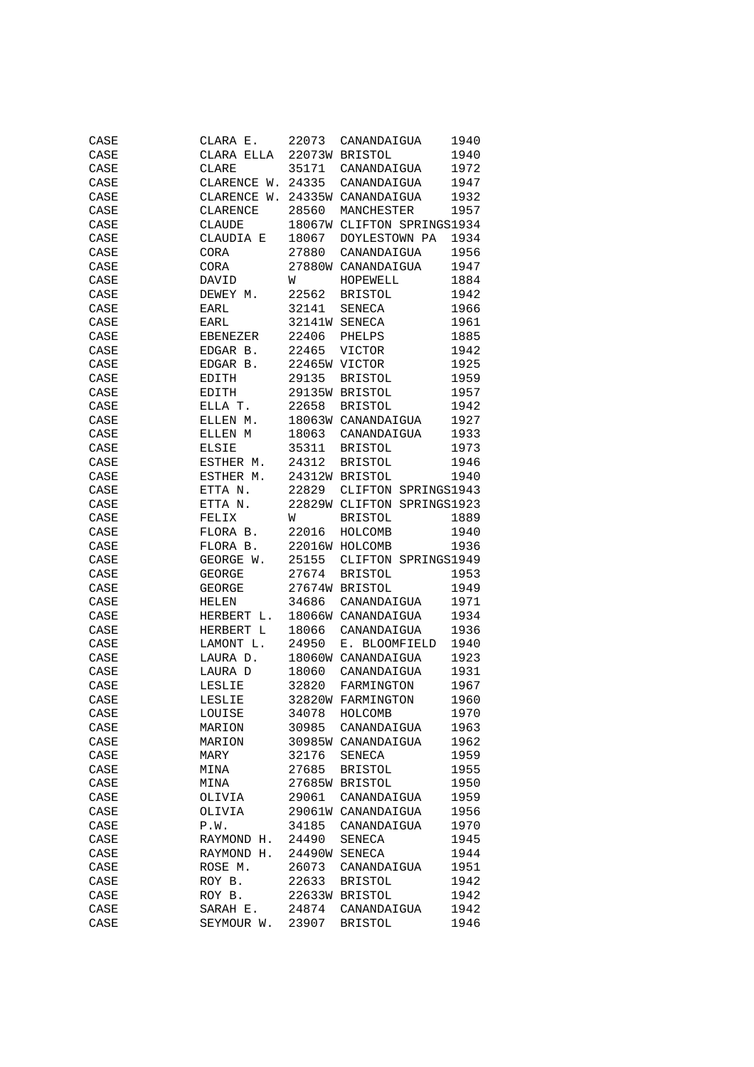| CASE            |                           |       | CLARA E. 22073 CANANDAIGUA                           | 1940         |
|-----------------|---------------------------|-------|------------------------------------------------------|--------------|
| CASE            | CLARA ELLA 22073W BRISTOL |       |                                                      | 1940         |
| CASE            | CLARE                     |       | 35171 CANANDAIGUA                                    | 1972         |
|                 |                           |       | CLARENCE W. 24335 CANANDAIGUA 1947                   |              |
| CASE            |                           |       |                                                      |              |
| CASE            |                           |       | CLARENCE W. 24335W CANANDAIGUA 1932                  |              |
| CASE            | CLARENCE                  |       | 28560 MANCHESTER 1957                                |              |
| CASE            | <b>CLAUDE</b>             |       | 18067W CLIFTON SPRINGS1934                           |              |
| CASE            | CLAUDIA E                 |       | 18067 DOYLESTOWN PA 1934                             |              |
| CASE            | CORA                      |       | 27880 CANANDAIGUA 1956                               |              |
| CASE            | CORA                      |       | 27880W CANANDAIGUA 1947                              |              |
| CASE            | DAVID                     |       | W HOPEWELL                                           | 1884         |
| CASE            |                           |       | DEWEY M. 22562 BRISTOL                               | 1942         |
| $\texttt{CASE}$ | EARL                      |       | 32141 SENECA                                         | 1966         |
| CASE            | EARL                      |       | 32141W SENECA                                        | 1961         |
| CASE            | EBENEZER                  |       | 22406 PHELPS                                         | 1885         |
| CASE            | EDGAR B.                  |       | 22465 VICTOR                                         | 1942         |
| CASE            | EDGAR B. 22465W VICTOR    |       |                                                      | 1925         |
| CASE            | EDITH                     |       | 29135 BRISTOL<br>1959                                |              |
| CASE            | EDITH                     |       | 29135W BRISTOL                                       | 1957         |
| CASE            | ELLA T.                   |       | 22658 BRISTOL                                        | 1942         |
| CASE            | ELLEN M.                  |       | 18063W CANANDAIGUA                                   | 1927         |
| CASE            | ELLEN M                   |       | 18063 CANANDAIGUA 1933                               |              |
| CASE            | ELSIE                     |       | 35311 BRISTOL                                        | 1973         |
| CASE            |                           |       | ESTHER M. 24312 BRISTOL                              | 1946         |
| CASE            | ESTHER M. 24312W BRISTOL  |       |                                                      | 1940         |
| CASE            | ETTA N.                   |       | 22829 CLIFTON SPRINGS1943                            |              |
| CASE            | ETTA N.                   |       | 22829W CLIFTON SPRINGS1923                           |              |
| CASE            | FELIX                     |       | W BRISTOL<br>1889                                    |              |
| CASE            | FLORA B. 22016 HOLCOMB    |       |                                                      | 1940         |
| CASE            |                           |       | FLORA B. 22016W HOLCOMB                              | 1936         |
| CASE            |                           |       |                                                      |              |
| CASE            | GEORGE                    |       | GEORGE W. 25155 CLIFTON SPRINGS1949<br>27674 BRISTOL |              |
|                 |                           |       | 1953<br>27674W BRISTOL                               | 1949         |
| CASE            | GEORGE                    |       | 34686 CANANDAIGUA 1971                               |              |
| CASE            | HELEN                     |       | HERBERT L. 18066W CANANDAIGUA 1934                   |              |
| CASE            |                           |       |                                                      |              |
| CASE            | HERBERT L                 |       | 18066 CANANDAIGUA 1936                               |              |
| CASE            |                           |       | LAMONT L. 24950 E. BLOOMFIELD 1940                   |              |
| CASE            | LAURA D.                  |       | 18060W CANANDAIGUA                                   | 1923         |
| CASE            | LAURA D                   |       | 18060 CANANDAIGUA<br>32820 FARMINGTON                | 1931<br>1967 |
| CASE            | LESLIE                    |       |                                                      |              |
| CASE            | LESLIE                    |       | 32820W FARMINGTON                                    | 1960         |
| CASE            | LOUISE                    |       | 34078 HOLCOMB                                        | 1970         |
| CASE            | MARION                    |       | 30985 CANANDAIGUA                                    | 1963         |
| CASE            | MARION                    |       | 30985W CANANDAIGUA                                   | 1962         |
| CASE            | MARY                      | 32176 | SENECA                                               | 1959         |
| CASE            | MINA                      | 27685 | BRISTOL                                              | 1955         |
| CASE            | MINA                      |       | 27685W BRISTOL                                       | 1950         |
| CASE            | OLIVIA                    |       | 29061 CANANDAIGUA                                    | 1959         |
| CASE            | OLIVIA                    |       | 29061W CANANDAIGUA                                   | 1956         |
| CASE            | P.W.                      |       | 34185 CANANDAIGUA                                    | 1970         |
| CASE            | RAYMOND H. 24490          |       | SENECA                                               | 1945         |
| CASE            | RAYMOND H.                |       | 24490W SENECA                                        | 1944         |
| CASE            | ROSE M.                   | 26073 | CANANDAIGUA                                          | 1951         |
| CASE            | ROY B.                    | 22633 | <b>BRISTOL</b>                                       | 1942         |
| CASE            | ROY B.                    |       | 22633W BRISTOL                                       | 1942         |
| CASE            | SARAH E. 24874            |       | CANANDAIGUA                                          | 1942         |
| CASE            | SEYMOUR W. 23907          |       | <b>BRISTOL</b>                                       | 1946         |
|                 |                           |       |                                                      |              |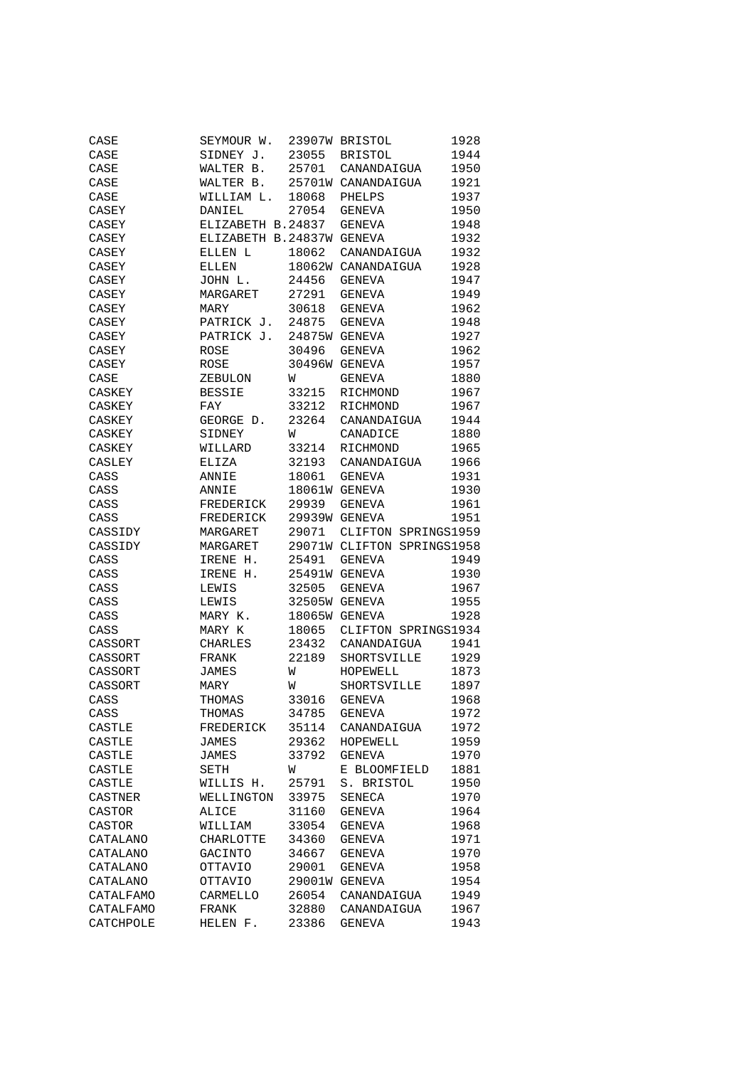| CASE                   | SEYMOUR W.                |                | 23907W BRISTOL             | 1928         |
|------------------------|---------------------------|----------------|----------------------------|--------------|
| CASE                   | SIDNEY J.                 | 23055          | <b>BRISTOL</b>             | 1944         |
| CASE                   | WALTER B.                 |                | 25701 CANANDAIGUA          | 1950         |
| CASE                   | WALTER B.                 |                | 25701W CANANDAIGUA         | 1921         |
| CASE                   | WILLIAM L.                | 18068 PHELPS   |                            | 1937         |
| CASEY                  | DANIEL                    |                | 27054 GENEVA               | 1950         |
| CASEY                  | ELIZABETH B.24837 GENEVA  |                |                            | 1948         |
| CASEY                  | ELIZABETH B.24837W GENEVA |                |                            | 1932         |
| CASEY                  | ELLEN L                   |                | 18062 CANANDAIGUA          | 1932         |
| CASEY                  | ELLEN                     |                | 18062W CANANDAIGUA         | 1928         |
| CASEY                  | JOHN L.                   |                | 24456 GENEVA               | 1947         |
| CASEY                  | MARGARET                  |                | 27291 GENEVA               | 1949         |
| CASEY                  | MARY                      |                | 30618 GENEVA               | 1962         |
| CASEY                  | PATRICK J.                | 24875          | GENEVA                     | 1948         |
| CASEY                  | PATRICK J.                |                | 24875W GENEVA              | 1927         |
| CASEY                  | ROSE                      | 30496          | GENEVA                     | 1962         |
| CASEY                  | ROSE                      |                | 30496W GENEVA              | 1957         |
| CASE                   | ZEBULON                   | W              | GENEVA                     | 1880         |
| CASKEY                 | <b>BESSIE</b>             |                | 33215 RICHMOND             | 1967         |
| CASKEY                 | FAY                       | 33212          | RICHMOND                   | 1967         |
| CASKEY                 | GEORGE D.                 |                | 23264 CANANDAIGUA          | 1944         |
| CASKEY                 | SIDNEY                    | W              | CANADICE                   | 1880         |
| CASKEY                 | WILLARD                   |                | 33214 RICHMOND             | 1965         |
| CASLEY                 | ELIZA                     |                | 32193 CANANDAIGUA          | 1966         |
| CASS                   | ANNIE                     |                | 18061 GENEVA               | 1931         |
| CASS                   | ANNIE                     |                | 18061W GENEVA              | 1930         |
| CASS                   | FREDERICK                 | 29939          | GENEVA                     | 1961         |
| CASS                   | FREDERICK                 |                | 29939W GENEVA              | 1951         |
| CASSIDY                | MARGARET                  | 29071          | CLIFTON SPRINGS1959        |              |
| CASSIDY                | MARGARET                  |                | 29071W CLIFTON SPRINGS1958 |              |
| CASS                   | IRENE H.                  | 25491          | GENEVA                     | 1949         |
| CASS                   | IRENE H.                  |                | 25491W GENEVA              | 1930         |
| CASS                   | LEWIS                     |                | 32505 GENEVA               | 1967         |
| CASS                   | LEWIS                     |                | 32505W GENEVA              | 1955         |
| CASS                   | MARY K.                   |                | 18065W GENEVA              | 1928         |
| CASS                   | MARY K                    | 18065          | CLIFTON SPRINGS1934        |              |
| CASSORT                | <b>CHARLES</b>            | 23432          | CANANDAIGUA                | 1941         |
| CASSORT                | <b>FRANK</b>              | 22189          | SHORTSVILLE                | 1929         |
| CASSORT                | <b>JAMES</b>              | M              | HOPEWELL                   | 1873         |
| CASSORT                | MARY                      | W              | SHORTSVILLE                | 1897         |
| CASS                   | THOMAS                    | 33016          | GENEVA                     | 1968         |
| CASS                   | THOMAS                    | 34785          | GENEVA                     | 1972         |
| CASTLE                 | FREDERICK                 | 35114          | CANANDAIGUA                | 1972         |
| CASTLE                 | JAMES                     | 29362          | HOPEWELL                   | 1959         |
| CASTLE                 | JAMES                     | 33792          | GENEVA                     | 1970         |
| CASTLE                 | SETH                      | W              | E BLOOMFIELD               | 1881         |
| CASTLE                 | WILLIS H.                 | 25791          | S. BRISTOL                 | 1950         |
| CASTNER                | WELLINGTON                | 33975          | SENECA                     | 1970         |
| CASTOR                 | ALICE                     | 31160          | GENEVA                     | 1964         |
| CASTOR                 | WILLIAM                   | 33054          | GENEVA                     | 1968         |
| CATALANO               | CHARLOTTE                 | 34360          | GENEVA                     | 1971         |
| CATALANO               | GACINTO                   | 34667          | GENEVA                     | 1970         |
| CATALANO               | OTTAVIO                   | 29001          | GENEVA                     | 1958         |
| CATALANO               | OTTAVIO                   | 29001W         | GENEVA                     | 1954         |
| CATALFAMO<br>CATALFAMO | CARMELLO<br>FRANK         | 26054<br>32880 | CANANDAIGUA<br>CANANDAIGUA | 1949<br>1967 |
| CATCHPOLE              | HELEN F.                  | 23386          | <b>GENEVA</b>              | 1943         |
|                        |                           |                |                            |              |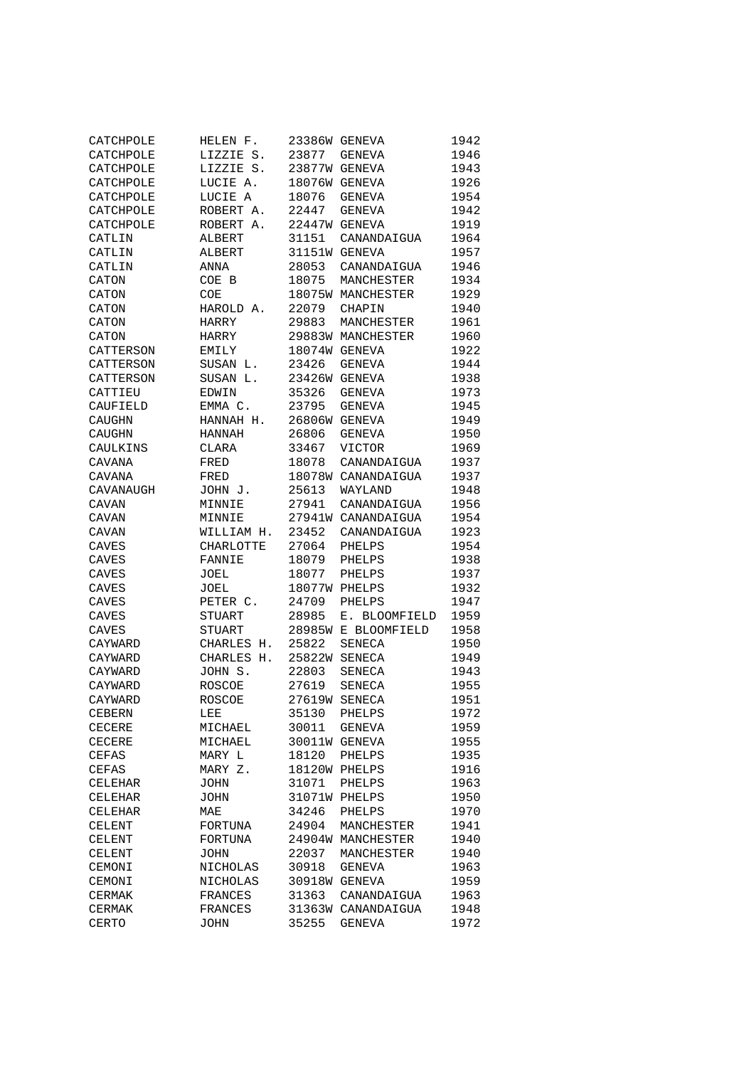| CATCHPOLE    | HELEN F.       |               | 23386W GENEVA      | 1942 |
|--------------|----------------|---------------|--------------------|------|
| CATCHPOLE    | LIZZIE S.      | 23877         | GENEVA             | 1946 |
| CATCHPOLE    | LIZZIE S.      |               | 23877W GENEVA      | 1943 |
| CATCHPOLE    | LUCIE A.       |               | 18076W GENEVA      | 1926 |
| CATCHPOLE    | LUCIE A        | 18076         | <b>GENEVA</b>      | 1954 |
| CATCHPOLE    | ROBERT A.      | 22447         | GENEVA             | 1942 |
| CATCHPOLE    | ROBERT A.      |               | 22447W GENEVA      | 1919 |
| CATLIN       | ALBERT         | 31151         | CANANDAIGUA        | 1964 |
| CATLIN       | ALBERT         |               | 31151W GENEVA      | 1957 |
| CATLIN       | ANNA           | 28053         | CANANDAIGUA        | 1946 |
| CATON        | COE B          | 18075         | MANCHESTER         | 1934 |
| CATON        | COE            |               | 18075W MANCHESTER  | 1929 |
| CATON        | HAROLD A.      | 22079         | CHAPIN             | 1940 |
| CATON        | HARRY          | 29883         | MANCHESTER         | 1961 |
| CATON        | HARRY          |               | 29883W MANCHESTER  | 1960 |
| CATTERSON    | EMILY          |               | 18074W GENEVA      | 1922 |
| CATTERSON    | SUSAN L.       | 23426         | GENEVA             | 1944 |
| CATTERSON    | SUSAN L.       |               | 23426W GENEVA      | 1938 |
| CATTIEU      | EDWIN          | 35326         | GENEVA             | 1973 |
| CAUFIELD     | EMMA C.        | 23795         | <b>GENEVA</b>      | 1945 |
| CAUGHN       | HANNAH H.      |               | 26806W GENEVA      | 1949 |
| CAUGHN       | HANNAH         | 26806         | GENEVA             | 1950 |
| CAULKINS     | CLARA          | 33467         | VICTOR             | 1969 |
| CAVANA       | FRED           | 18078         | CANANDAIGUA        | 1937 |
| CAVANA       | FRED           |               | 18078W CANANDAIGUA | 1937 |
| CAVANAUGH    | JOHN J.        | 25613         | WAYLAND            | 1948 |
| CAVAN        | MINNIE         | 27941         | CANANDAIGUA        | 1956 |
| CAVAN        | MINNIE         |               | 27941W CANANDAIGUA | 1954 |
| CAVAN        | WILLIAM H.     | 23452         | CANANDAIGUA        | 1923 |
| CAVES        | CHARLOTTE      | 27064         | PHELPS             | 1954 |
| CAVES        | FANNIE         | 18079         | PHELPS             | 1938 |
| CAVES        | JOEL           | 18077         | PHELPS             | 1937 |
| CAVES        | <b>JOEL</b>    | 18077W PHELPS |                    | 1932 |
| CAVES        | PETER C.       | 24709         | PHELPS             | 1947 |
| CAVES        | <b>STUART</b>  | 28985         | E. BLOOMFIELD      | 1959 |
| CAVES        | STUART         | 28985W        | E BLOOMFIELD       | 1958 |
| CAYWARD      | CHARLES H.     | 25822         | SENECA             | 1950 |
| CAYWARD      | CHARLES H.     |               | 25822W SENECA      | 1949 |
| CAYWARD      | JOHN S.        | 22803         | SENECA             | 1943 |
| CAYWARD      | <b>ROSCOE</b>  | 27619         | SENECA             | 1955 |
| CAYWARD      | ROSCOE         |               | 27619W SENECA      | 1951 |
| CEBERN       | LEE            | 35130         | PHELPS             | 1972 |
| CECERE       | MICHAEL        | 30011         | <b>GENEVA</b>      | 1959 |
| CECERE       | MICHAEL        |               | 30011W GENEVA      | 1955 |
| <b>CEFAS</b> | MARY L         | 18120         | PHELPS             | 1935 |
| CEFAS        | MARY Z.        | 18120W PHELPS |                    | 1916 |
| CELEHAR      | JOHN           | 31071         | PHELPS             | 1963 |
| CELEHAR      | JOHN           | 31071W        | PHELPS             | 1950 |
| CELEHAR      | MAE            | 34246         | PHELPS             | 1970 |
| CELENT       | FORTUNA        | 24904         | MANCHESTER         | 1941 |
| CELENT       | <b>FORTUNA</b> |               | 24904W MANCHESTER  | 1940 |
| CELENT       | JOHN           | 22037         | MANCHESTER         | 1940 |
| CEMONI       | NICHOLAS       | 30918         | GENEVA             | 1963 |
| CEMONI       | NICHOLAS       | 30918W        | GENEVA             | 1959 |
| CERMAK       | FRANCES        | 31363         | CANANDAIGUA        | 1963 |
| CERMAK       | FRANCES        | 31363W        | CANANDAIGUA        | 1948 |
| <b>CERTO</b> | JOHN           | 35255         | <b>GENEVA</b>      | 1972 |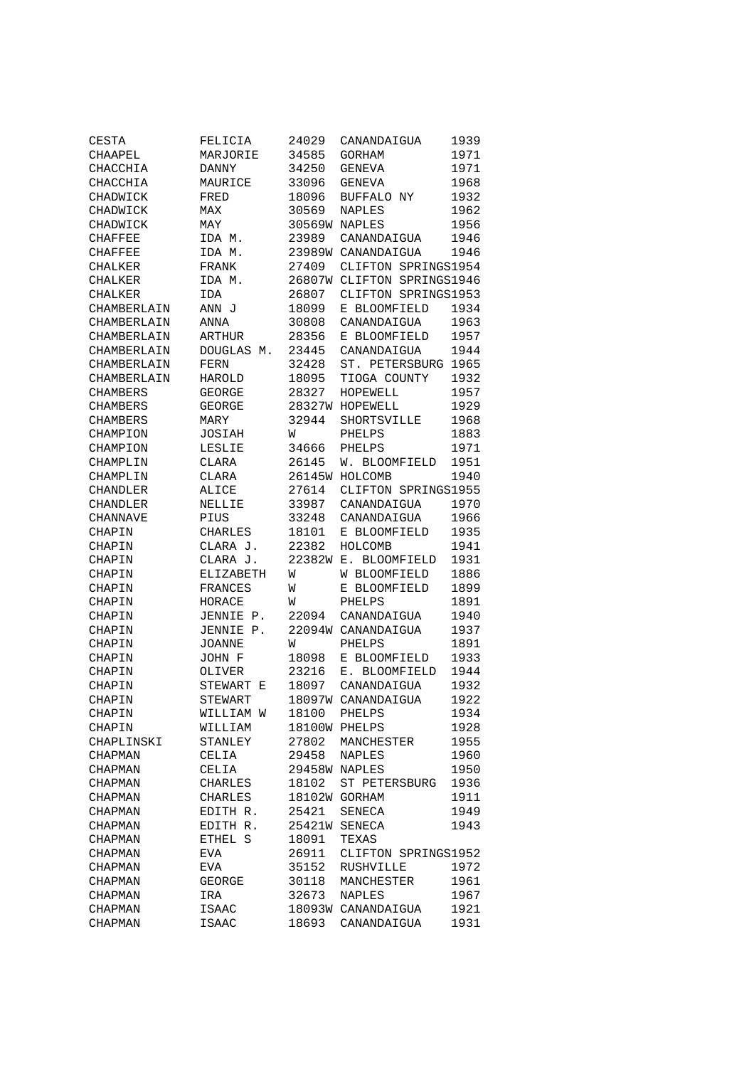| CESTA           | FELICIA       | 24029  | CANANDAIGUA         | 1939 |
|-----------------|---------------|--------|---------------------|------|
| CHAAPEL         | MARJORIE      | 34585  | GORHAM              | 1971 |
| CHACCHIA        | DANNY         | 34250  | GENEVA              | 1971 |
| CHACCHIA        | MAURICE       | 33096  | GENEVA              | 1968 |
| CHADWICK        | FRED          | 18096  | BUFFALO NY          | 1932 |
| CHADWICK        | MAX           | 30569  | NAPLES              | 1962 |
| CHADWICK        | MAY           | 30569W | NAPLES              | 1956 |
| <b>CHAFFEE</b>  | IDA M.        | 23989  | CANANDAIGUA         | 1946 |
| CHAFFEE         | IDA M.        | 23989W | CANANDAIGUA         | 1946 |
| CHALKER         | FRANK         | 27409  | CLIFTON SPRINGS1954 |      |
| CHALKER         | IDA M.        | 26807W | CLIFTON SPRINGS1946 |      |
| CHALKER         | IDA           | 26807  | CLIFTON SPRINGS1953 |      |
| CHAMBERLAIN     | ANN J         | 18099  | E BLOOMFIELD        | 1934 |
| CHAMBERLAIN     | ANNA          | 30808  | CANANDAIGUA         | 1963 |
| CHAMBERLAIN     | <b>ARTHUR</b> | 28356  | E BLOOMFIELD        | 1957 |
| CHAMBERLAIN     | DOUGLAS M.    | 23445  | CANANDAIGUA         | 1944 |
| CHAMBERLAIN     | FERN          | 32428  | ST. PETERSBURG      | 1965 |
| CHAMBERLAIN     | HAROLD        | 18095  | TIOGA COUNTY        | 1932 |
| CHAMBERS        | GEORGE        | 28327  | HOPEWELL            | 1957 |
| CHAMBERS        | GEORGE        | 28327W | HOPEWELL            | 1929 |
| <b>CHAMBERS</b> | MARY          | 32944  | SHORTSVILLE         | 1968 |
| CHAMPION        | JOSIAH        | W      | PHELPS              | 1883 |
| CHAMPION        | LESLIE        | 34666  | PHELPS              | 1971 |
| CHAMPLIN        | CLARA         | 26145  | W. BLOOMFIELD       | 1951 |
| CHAMPLIN        | CLARA         | 26145W | HOLCOMB             | 1940 |
| <b>CHANDLER</b> | ALICE         | 27614  | CLIFTON SPRINGS1955 |      |
| CHANDLER        | NELLIE        | 33987  | CANANDAIGUA         | 1970 |
| CHANNAVE        | PIUS          | 33248  | CANANDAIGUA         | 1966 |
| CHAPIN          | CHARLES       | 18101  | E BLOOMFIELD        | 1935 |
| CHAPIN          | CLARA J.      | 22382  | HOLCOMB             | 1941 |
| CHAPIN          | CLARA J.      | 22382W | BLOOMFIELD<br>Е.    | 1931 |
| CHAPIN          | ELIZABETH     | W      | W BLOOMFIELD        | 1886 |
| CHAPIN          | FRANCES       | W      | E BLOOMFIELD        | 1899 |
| CHAPIN          | HORACE        | W      | PHELPS              | 1891 |
| CHAPIN          | JENNIE P.     | 22094  | CANANDAIGUA         | 1940 |
| CHAPIN          | JENNIE P.     | 22094W | CANANDAIGUA         | 1937 |
| CHAPIN          | JOANNE        | W      | PHELPS              | 1891 |
| CHAPIN          | JOHN F        | 18098  | E BLOOMFIELD        | 1933 |
| <b>CHAPIN</b>   | OLIVER        | 23216  | E. BLOOMFIELD       | 1944 |
| CHAPIN          | STEWART<br>Е  | 18097  | CANANDAIGUA         | 1932 |
| CHAPIN          | STEWART       |        | 18097W CANANDAIGUA  | 1922 |
| CHAPIN          | WILLIAM W     |        | 18100 PHELPS        | 1934 |
| CHAPIN          | WILLIAM       |        | 18100W PHELPS       | 1928 |
| CHAPLINSKI      | STANLEY       | 27802  | MANCHESTER          | 1955 |
| <b>CHAPMAN</b>  | CELIA         | 29458  | <b>NAPLES</b>       | 1960 |
| CHAPMAN         | CELIA         |        | 29458W NAPLES       | 1950 |
| CHAPMAN         | CHARLES       | 18102  | ST PETERSBURG       | 1936 |
| CHAPMAN         | CHARLES       | 18102W | GORHAM              | 1911 |
| CHAPMAN         | EDITH R.      | 25421  | SENECA              | 1949 |
| CHAPMAN         | EDITH R.      | 25421W | SENECA              | 1943 |
| CHAPMAN         | ETHEL S       | 18091  | TEXAS               |      |
| CHAPMAN         | EVA           | 26911  | CLIFTON SPRINGS1952 |      |
| CHAPMAN         | EVA           | 35152  | RUSHVILLE           | 1972 |
| CHAPMAN         | GEORGE        | 30118  | MANCHESTER          | 1961 |
| CHAPMAN         | IRA           | 32673  | <b>NAPLES</b>       | 1967 |
| CHAPMAN         | ISAAC         |        | 18093W CANANDAIGUA  | 1921 |
| <b>CHAPMAN</b>  | ISAAC         | 18693  | CANANDAIGUA         | 1931 |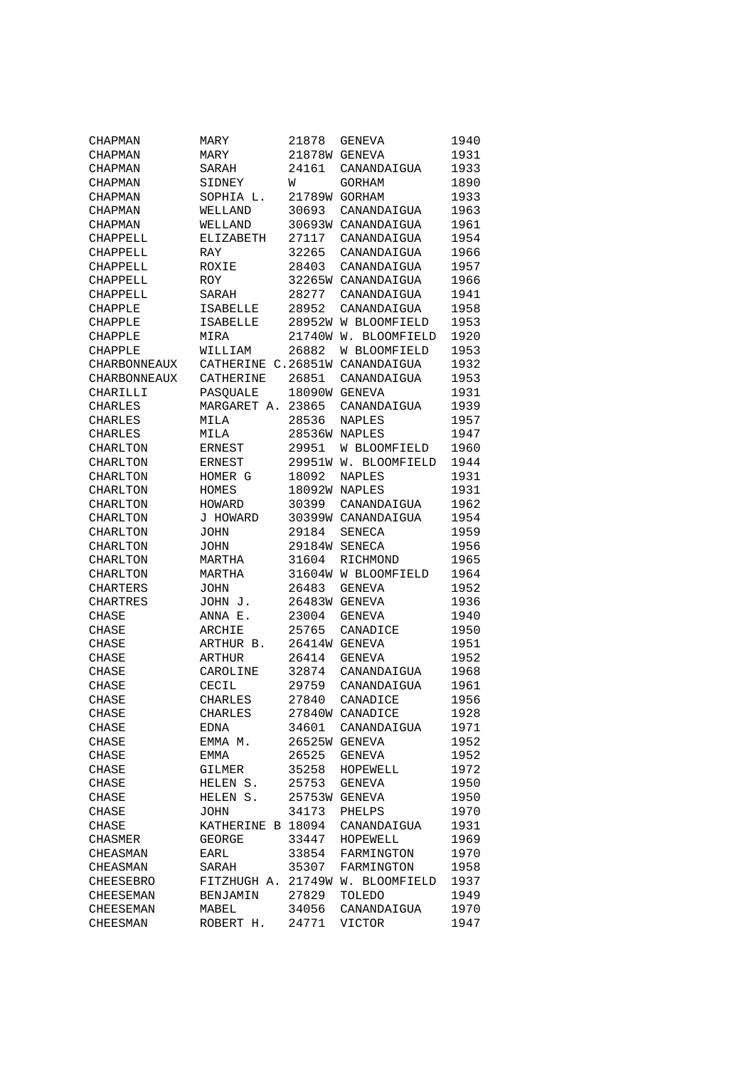| CHAPMAN         | MARY                          | 21878         | GENEVA                           | 1940 |
|-----------------|-------------------------------|---------------|----------------------------------|------|
| <b>CHAPMAN</b>  | MARY                          | 21878W        | <b>GENEVA</b>                    | 1931 |
| CHAPMAN         | SARAH                         | 24161         | CANANDAIGUA                      | 1933 |
| CHAPMAN         | SIDNEY                        | W             | GORHAM                           | 1890 |
| CHAPMAN         | SOPHIA L.                     | 21789W        | GORHAM                           | 1933 |
| CHAPMAN         | WELLAND                       | 30693         | CANANDAIGUA                      | 1963 |
| CHAPMAN         | WELLAND                       |               | 30693W CANANDAIGUA               | 1961 |
| CHAPPELL        | ELIZABETH                     | 27117         | CANANDAIGUA                      | 1954 |
| CHAPPELL        | RAY                           | 32265         | CANANDAIGUA                      | 1966 |
| CHAPPELL        | ROXIE                         | 28403         | CANANDAIGUA                      | 1957 |
| CHAPPELL        | ROY                           | 32265W        | CANANDAIGUA                      | 1966 |
| CHAPPELL        | SARAH                         | 28277         | CANANDAIGUA                      | 1941 |
| <b>CHAPPLE</b>  | <b>ISABELLE</b>               | 28952         | CANANDAIGUA                      | 1958 |
| CHAPPLE         | <b>ISABELLE</b>               | 28952W        | W BLOOMFIELD                     | 1953 |
| CHAPPLE         | MIRA                          |               | 21740W W. BLOOMFIELD             | 1920 |
| CHAPPLE         | WILLIAM                       | 26882         | W BLOOMFIELD                     | 1953 |
| CHARBONNEAUX    | CATHERINE C.26851W            |               | CANANDAIGUA                      | 1932 |
| CHARBONNEAUX    | CATHERINE                     | 26851         | CANANDAIGUA                      | 1953 |
| CHARILLI        | PASQUALE                      | 18090W        | <b>GENEVA</b>                    | 1931 |
| <b>CHARLES</b>  | MARGARET A.                   | 23865         | CANANDAIGUA                      | 1939 |
| <b>CHARLES</b>  | MILA                          | 28536         | NAPLES                           | 1957 |
| <b>CHARLES</b>  | MILA                          | 28536W        | <b>NAPLES</b>                    | 1947 |
| CHARLTON        | ERNEST                        | 29951         | W BLOOMFIELD                     | 1960 |
| <b>CHARLTON</b> | <b>ERNEST</b>                 | 29951W        | W. BLOOMFIELD                    | 1944 |
| <b>CHARLTON</b> | HOMER G                       | 18092         | NAPLES                           | 1931 |
| <b>CHARLTON</b> | HOMES                         | 18092W        | NAPLES                           | 1931 |
| CHARLTON        | HOWARD                        | 30399         | CANANDAIGUA                      | 1962 |
| CHARLTON        | J HOWARD                      | 30399W        | CANANDAIGUA                      | 1954 |
| CHARLTON        | JOHN                          | 29184         | SENECA                           | 1959 |
| CHARLTON        | JOHN                          | 29184W        | SENECA                           | 1956 |
| CHARLTON        | MARTHA                        | 31604         | RICHMOND                         | 1965 |
| CHARLTON        | MARTHA                        |               | 31604W W BLOOMFIELD              | 1964 |
| <b>CHARTERS</b> | JOHN                          | 26483         | <b>GENEVA</b>                    | 1952 |
| <b>CHARTRES</b> | JOHN J.                       | 26483W        | <b>GENEVA</b>                    | 1936 |
| CHASE           | ANNA E.                       | 23004         | <b>GENEVA</b>                    | 1940 |
| CHASE           | <b>ARCHIE</b>                 | 25765         | CANADICE                         | 1950 |
| CHASE           | ARTHUR B.                     | 26414W        | <b>GENEVA</b>                    | 1951 |
| CHASE           | ARTHUR                        | 26414         | <b>GENEVA</b>                    | 1952 |
| CHASE           | CAROLINE                      | 32874         | CANANDAIGUA                      | 1968 |
| CHASE           | CECIL                         | 29759         | CANANDAIGUA                      | 1961 |
| CHASE           | CHARLES                       | 27840         | CANADICE                         | 1956 |
| CHASE           | CHARLES                       |               | 27840W CANADICE                  | 1928 |
| CHASE           | EDNA                          | 34601         | CANANDAIGUA                      | 1971 |
| CHASE           | EMMA M.                       | 26525W GENEVA |                                  | 1952 |
| CHASE           | EMMA                          | 26525         | GENEVA                           | 1952 |
| CHASE           | GILMER                        | 35258         | HOPEWELL                         | 1972 |
| CHASE           | HELEN S.                      | 25753         | GENEVA                           | 1950 |
| CHASE           | HELEN S.                      |               | 25753W GENEVA                    | 1950 |
| CHASE           | JOHN                          | 34173         | PHELPS                           | 1970 |
| CHASE           | KATHERINE B 18094 CANANDAIGUA |               |                                  | 1931 |
| CHASMER         | GEORGE                        | 33447         | HOPEWELL                         | 1969 |
| CHEASMAN        | EARL                          | 33854         | FARMINGTON                       | 1970 |
| CHEASMAN        | SARAH                         | 35307         | FARMINGTON                       | 1958 |
| CHEESEBRO       |                               |               | FITZHUGH A. 21749W W. BLOOMFIELD | 1937 |
| CHEESEMAN       | BENJAMIN                      | 27829         | TOLEDO                           | 1949 |
| CHEESEMAN       | MABEL                         | 34056         | CANANDAIGUA                      | 1970 |
| <b>CHEESMAN</b> | ROBERT H.                     | 24771         | <b>VICTOR</b>                    | 1947 |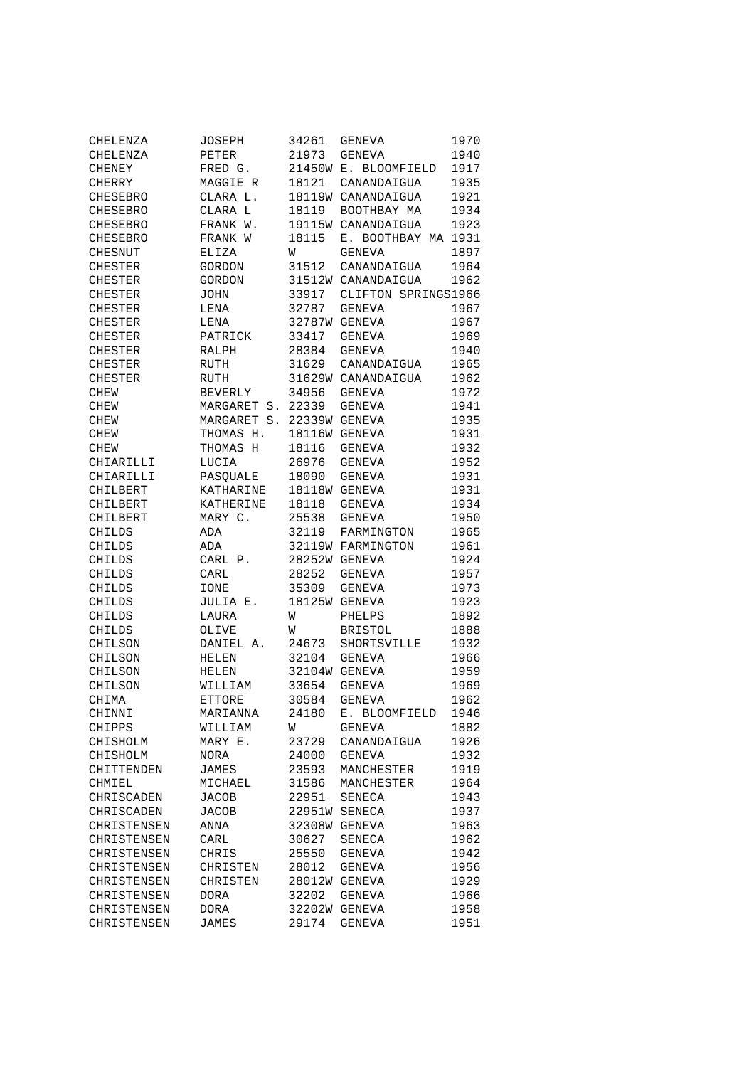| CHELENZA       | JOSEPH        | 34261         | GENEVA               | 1970 |
|----------------|---------------|---------------|----------------------|------|
| CHELENZA       | <b>PETER</b>  | 21973         | GENEVA               | 1940 |
| <b>CHENEY</b>  | FRED G.       |               | 21450W E. BLOOMFIELD | 1917 |
| CHERRY         | MAGGIE R      | 18121         | CANANDAIGUA          | 1935 |
| CHESEBRO       | CLARA L.      | 18119W        | CANANDAIGUA          | 1921 |
| CHESEBRO       | CLARA L       | 18119         | BOOTHBAY MA          | 1934 |
| CHESEBRO       | FRANK W.      |               | 19115W CANANDAIGUA   | 1923 |
| CHESEBRO       | FRANK W       | 18115         | E. BOOTHBAY MA 1931  |      |
| CHESNUT        | ELIZA         | W             | <b>GENEVA</b>        | 1897 |
| CHESTER        | GORDON        | 31512         | CANANDAIGUA          | 1964 |
| CHESTER        | GORDON        |               | 31512W CANANDAIGUA   | 1962 |
| CHESTER        | JOHN          | 33917         | CLIFTON SPRINGS1966  |      |
| CHESTER        | LENA          | 32787         | <b>GENEVA</b>        | 1967 |
| CHESTER        | LENA          |               | 32787W GENEVA        | 1967 |
| <b>CHESTER</b> | PATRICK       | 33417         | GENEVA               | 1969 |
| CHESTER        | RALPH         | 28384         | GENEVA               | 1940 |
| CHESTER        | <b>RUTH</b>   | 31629         | CANANDAIGUA          | 1965 |
| CHESTER        | <b>RUTH</b>   |               | 31629W CANANDAIGUA   | 1962 |
| CHEW           | BEVERLY       | 34956         | <b>GENEVA</b>        | 1972 |
| CHEW           | MARGARET S.   | 22339         | <b>GENEVA</b>        | 1941 |
| CHEW           | MARGARET S.   | 22339W GENEVA |                      | 1935 |
| ${\tt CHEW}$   | THOMAS H.     | 18116W        | GENEVA               | 1931 |
| CHEW           | THOMAS H      | 18116         | <b>GENEVA</b>        | 1932 |
| CHIARILLI      | LUCIA         | 26976         | GENEVA               | 1952 |
| CHIARILLI      | PASQUALE      | 18090         | GENEVA               | 1931 |
| CHILBERT       | KATHARINE     |               | 18118W GENEVA        | 1931 |
| CHILBERT       | KATHERINE     | 18118         | GENEVA               | 1934 |
| CHILBERT       | MARY C.       | 25538         | GENEVA               | 1950 |
| CHILDS         | ADA           | 32119         | FARMINGTON           | 1965 |
| CHILDS         | ADA           |               | 32119W FARMINGTON    | 1961 |
| CHILDS         | CARL P.       | 28252W        | GENEVA               | 1924 |
| CHILDS         | CARL          | 28252         | GENEVA               | 1957 |
| CHILDS         | <b>IONE</b>   | 35309         | GENEVA               | 1973 |
| CHILDS         | JULIA E.      |               | 18125W GENEVA        | 1923 |
| CHILDS         | LAURA         | W             | PHELPS               | 1892 |
| CHILDS         | OLIVE         | W             | <b>BRISTOL</b>       | 1888 |
| CHILSON        | DANIEL A.     | 24673         | SHORTSVILLE          | 1932 |
| CHILSON        | HELEN         | 32104         | GENEVA               | 1966 |
| CHILSON        | HELEN         |               | 32104W GENEVA        | 1959 |
| CHILSON        | WILLIAM       | 33654         | <b>GENEVA</b>        | 1969 |
| CHIMA          | <b>ETTORE</b> | 30584         | GENEVA               | 1962 |
| CHINNI         | MARIANNA      | 24180         | E. BLOOMFIELD        | 1946 |
| CHIPPS         | WILLIAM       | W             | GENEVA               | 1882 |
| CHISHOLM       | MARY E.       | 23729         | CANANDAIGUA          | 1926 |
| CHISHOLM       | NORA          | 24000         | <b>GENEVA</b>        | 1932 |
| CHITTENDEN     | JAMES         | 23593         | MANCHESTER           | 1919 |
| CHMIEL         | MICHAEL       | 31586         | MANCHESTER           | 1964 |
| CHRISCADEN     | JACOB         | 22951         | SENECA               | 1943 |
| CHRISCADEN     | JACOB         | 22951W        | SENECA               | 1937 |
| CHRISTENSEN    | ANNA          | 32308W        | GENEVA               | 1963 |
| CHRISTENSEN    | CARL          | 30627         | SENECA               | 1962 |
| CHRISTENSEN    | CHRIS         | 25550         | <b>GENEVA</b>        | 1942 |
| CHRISTENSEN    | CHRISTEN      | 28012         | GENEVA               | 1956 |
| CHRISTENSEN    | CHRISTEN      | 28012W        | GENEVA               | 1929 |
| CHRISTENSEN    | DORA          | 32202         | GENEVA               | 1966 |
| CHRISTENSEN    | DORA          | 32202W        | GENEVA               | 1958 |
| CHRISTENSEN    | JAMES         | 29174         | GENEVA               | 1951 |
|                |               |               |                      |      |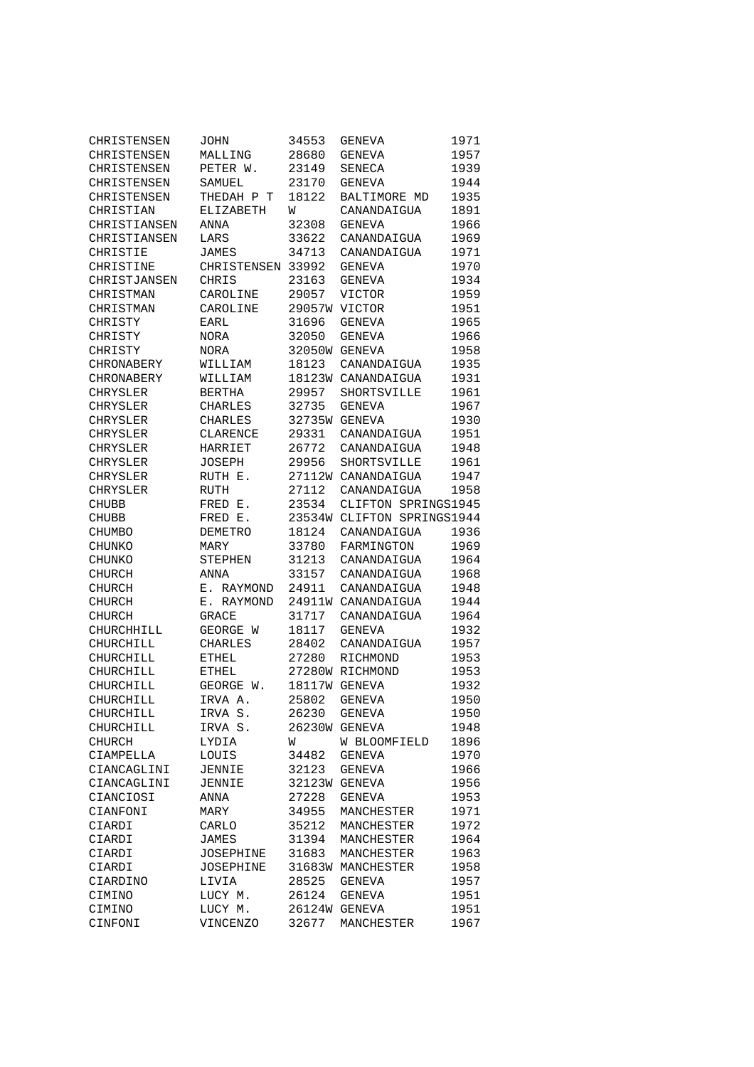| CHRISTENSEN   | JOHN                 | 34553  | GENEVA              | 1971 |
|---------------|----------------------|--------|---------------------|------|
| CHRISTENSEN   | MALLING              | 28680  | GENEVA              | 1957 |
| CHRISTENSEN   | PETER W.             | 23149  | SENECA              | 1939 |
| CHRISTENSEN   | SAMUEL               | 23170  | GENEVA              | 1944 |
| CHRISTENSEN   | THEDAH P T           | 18122  | BALTIMORE MD        | 1935 |
| CHRISTIAN     | ELIZABETH            | M      | CANANDAIGUA         | 1891 |
| CHRISTIANSEN  | ANNA                 | 32308  | <b>GENEVA</b>       | 1966 |
| CHRISTIANSEN  | LARS                 | 33622  | CANANDAIGUA         | 1969 |
| CHRISTIE      | JAMES                | 34713  | CANANDAIGUA         | 1971 |
| CHRISTINE     | CHRISTENSEN 33992    |        | GENEVA              | 1970 |
| CHRISTJANSEN  | CHRIS                | 23163  | GENEVA              | 1934 |
| CHRISTMAN     | CAROLINE             | 29057  | <b>VICTOR</b>       | 1959 |
| CHRISTMAN     | CAROLINE             | 29057W | <b>VICTOR</b>       | 1951 |
| CHRISTY       | EARL                 | 31696  | GENEVA              | 1965 |
| CHRISTY       | NORA                 | 32050  | <b>GENEVA</b>       | 1966 |
| CHRISTY       | <b>NORA</b>          | 32050W | <b>GENEVA</b>       | 1958 |
| CHRONABERY    | WILLIAM              | 18123  | CANANDAIGUA         | 1935 |
| CHRONABERY    | WILLIAM              | 18123W | CANANDAIGUA         | 1931 |
| CHRYSLER      | <b>BERTHA</b>        | 29957  | SHORTSVILLE         | 1961 |
| CHRYSLER      | <b>CHARLES</b>       | 32735  | GENEVA              | 1967 |
| CHRYSLER      | <b>CHARLES</b>       | 32735W | GENEVA              | 1930 |
| CHRYSLER      | CLARENCE             | 29331  | CANANDAIGUA         | 1951 |
| CHRYSLER      | HARRIET              | 26772  | CANANDAIGUA         | 1948 |
| CHRYSLER      | <b>JOSEPH</b>        | 29956  | SHORTSVILLE         | 1961 |
| CHRYSLER      | RUTH E.              | 27112W | CANANDAIGUA         | 1947 |
| CHRYSLER      | <b>RUTH</b>          | 27112  | CANANDAIGUA         | 1958 |
| <b>CHUBB</b>  | FRED E.              | 23534  | CLIFTON SPRINGS1945 |      |
| <b>CHUBB</b>  | FRED E.              | 23534W | CLIFTON SPRINGS1944 |      |
| CHUMBO        | <b>DEMETRO</b>       | 18124  | CANANDAIGUA         | 1936 |
| CHUNKO        | MARY                 | 33780  | FARMINGTON          | 1969 |
| CHUNKO        | STEPHEN              | 31213  | CANANDAIGUA         | 1964 |
| CHURCH        | ANNA                 | 33157  | CANANDAIGUA         | 1968 |
| <b>CHURCH</b> | Е.<br>RAYMOND        | 24911  | CANANDAIGUA         | 1948 |
| CHURCH        | <b>RAYMOND</b><br>Е. | 24911W | CANANDAIGUA         | 1944 |
| CHURCH        | GRACE                | 31717  | CANANDAIGUA         | 1964 |
| CHURCHHILL    | GEORGE W             | 18117  | <b>GENEVA</b>       | 1932 |
| CHURCHILL     | <b>CHARLES</b>       | 28402  | CANANDAIGUA         | 1957 |
| CHURCHILL     | ETHEL                | 27280  | RICHMOND            | 1953 |
| CHURCHILL     | <b>ETHEL</b>         | 27280W | RICHMOND            | 1953 |
| CHURCHILL     | GEORGE W.            | 18117W | <b>GENEVA</b>       | 1932 |
| CHURCHILL     | IRVA A.              | 25802  | <b>GENEVA</b>       | 1950 |
| CHURCHILL     | IRVA S.              | 26230  | GENEVA              | 1950 |
| CHURCHILL     | IRVA S.              |        | 26230W GENEVA       | 1948 |
| CHURCH        | LYDIA                | W      | W BLOOMFIELD        | 1896 |
| CIAMPELLA     | LOUIS                | 34482  | GENEVA              | 1970 |
| CIANCAGLINI   | JENNIE               | 32123  | GENEVA              | 1966 |
| CIANCAGLINI   | JENNIE               | 32123W | GENEVA              | 1956 |
| CIANCIOSI     | ANNA                 | 27228  | GENEVA              | 1953 |
| CIANFONI      | MARY                 | 34955  | MANCHESTER          | 1971 |
| CIARDI        | CARLO                | 35212  | MANCHESTER          | 1972 |
| CIARDI        | JAMES                | 31394  | MANCHESTER          | 1964 |
| CIARDI        | JOSEPHINE            | 31683  | MANCHESTER          | 1963 |
| CIARDI        | JOSEPHINE            |        | 31683W MANCHESTER   | 1958 |
| CIARDINO      | LIVIA                | 28525  | GENEVA              | 1957 |
| CIMINO        | LUCY M.              | 26124  | GENEVA              | 1951 |
| CIMINO        | LUCY M.              |        | 26124W GENEVA       | 1951 |
| CINFONI       | <b>VINCENZO</b>      | 32677  | MANCHESTER          | 1967 |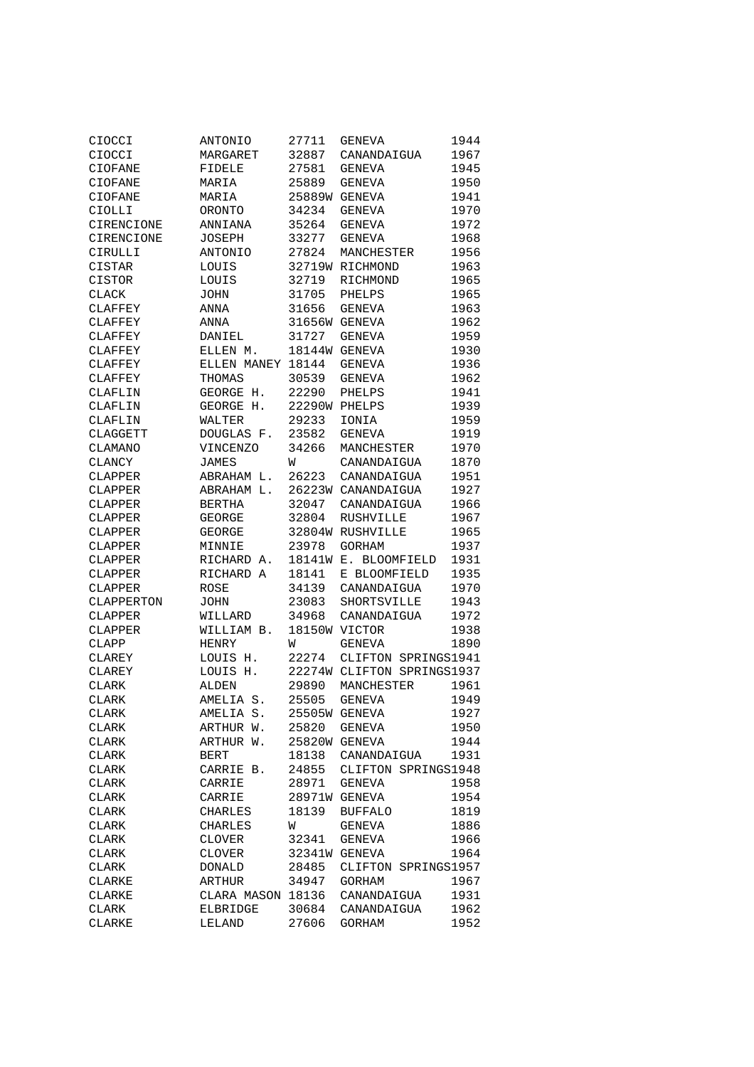| CIOCCI         | ANTONIO           | 27711         | GENEVA                        | 1944 |
|----------------|-------------------|---------------|-------------------------------|------|
| CIOCCI         | MARGARET          | 32887         | CANANDAIGUA                   | 1967 |
| <b>CIOFANE</b> | FIDELE            | 27581         | GENEVA                        | 1945 |
| <b>CIOFANE</b> | MARIA             | 25889         | GENEVA                        | 1950 |
| <b>CIOFANE</b> | MARIA             | 25889W        | <b>GENEVA</b>                 | 1941 |
| CIOLLI         | ORONTO            | 34234         | GENEVA                        | 1970 |
| CIRENCIONE     | ANNIANA           | 35264         | GENEVA                        | 1972 |
| CIRENCIONE     | JOSEPH            | 33277         | GENEVA                        | 1968 |
| CIRULLI        | ANTONIO           | 27824         | MANCHESTER                    | 1956 |
| CISTAR         | LOUIS             |               | 32719W RICHMOND               | 1963 |
| CISTOR         | LOUIS             | 32719         | RICHMOND                      | 1965 |
| <b>CLACK</b>   | JOHN              | 31705         | PHELPS                        | 1965 |
| CLAFFEY        | ANNA              | 31656         | GENEVA                        | 1963 |
| CLAFFEY        | ANNA              |               | 31656W GENEVA                 | 1962 |
| CLAFFEY        | DANIEL            | 31727         | GENEVA                        | 1959 |
| CLAFFEY        | ELLEN M.          | 18144W GENEVA |                               | 1930 |
| <b>CLAFFEY</b> | ELLEN MANEY 18144 |               | GENEVA                        | 1936 |
| CLAFFEY        | THOMAS            | 30539         | <b>GENEVA</b>                 | 1962 |
| CLAFLIN        | GEORGE H.         | 22290         | PHELPS                        | 1941 |
| CLAFLIN        | GEORGE H.         | 22290W PHELPS |                               | 1939 |
| CLAFLIN        | WALTER            | 29233         | IONIA                         | 1959 |
| CLAGGETT       | DOUGLAS F.        | 23582         | GENEVA                        | 1919 |
| <b>CLAMANO</b> | VINCENZO          | 34266         | MANCHESTER                    | 1970 |
| <b>CLANCY</b>  | JAMES             | W             | CANANDAIGUA                   | 1870 |
| <b>CLAPPER</b> | ABRAHAM L.        | 26223         | CANANDAIGUA                   | 1951 |
| CLAPPER        | ABRAHAM L.        |               | 26223W CANANDAIGUA            | 1927 |
| CLAPPER        | BERTHA            | 32047         | CANANDAIGUA                   | 1966 |
| CLAPPER        | GEORGE            | 32804         | RUSHVILLE                     | 1967 |
| <b>CLAPPER</b> | GEORGE            | 32804W        | <b>RUSHVILLE</b>              | 1965 |
| CLAPPER        | MINNIE            | 23978         | GORHAM                        | 1937 |
| <b>CLAPPER</b> | RICHARD A.        | 18141W        | E. BLOOMFIELD                 | 1931 |
| <b>CLAPPER</b> | RICHARD A         | 18141         | E BLOOMFIELD                  | 1935 |
| <b>CLAPPER</b> | ROSE              | 34139         | CANANDAIGUA                   | 1970 |
| CLAPPERTON     | JOHN              | 23083         | SHORTSVILLE                   | 1943 |
| <b>CLAPPER</b> | WILLARD           | 34968         | CANANDAIGUA                   | 1972 |
| CLAPPER        | WILLIAM B.        |               | 18150W VICTOR                 | 1938 |
| <b>CLAPP</b>   | HENRY             | W             | GENEVA                        | 1890 |
| CLAREY         | LOUIS H.          | 22274         | CLIFTON SPRINGS1941           |      |
| <b>CLAREY</b>  | LOUIS H.          |               | 22274W CLIFTON SPRINGS1937    |      |
| <b>CLARK</b>   | <b>ALDEN</b>      | 29890         | MANCHESTER                    | 1961 |
| CLARK          | AMELIA S.         | 25505         | GENEVA                        | 1949 |
| CLARK          | AMELIA S.         |               | 25505W GENEVA                 | 1927 |
| <b>CLARK</b>   | ARTHUR W.         | 25820         | GENEVA                        | 1950 |
| CLARK          | ARTHUR W.         |               | 25820W GENEVA                 | 1944 |
| <b>CLARK</b>   | <b>BERT</b>       |               | 18138 CANANDAIGUA             | 1931 |
| <b>CLARK</b>   | CARRIE B.         |               | 24855 CLIFTON SPRINGS1948     |      |
| <b>CLARK</b>   | CARRIE            | 28971         | GENEVA                        | 1958 |
| CLARK          | CARRIE            |               | 28971W GENEVA                 | 1954 |
| CLARK          | CHARLES           | 18139         | <b>BUFFALO</b>                | 1819 |
| CLARK          | CHARLES           | <b>W</b>      | GENEVA                        | 1886 |
| CLARK          | CLOVER            | 32341         | GENEVA                        | 1966 |
| CLARK          | CLOVER            |               | 32341W GENEVA                 | 1964 |
| CLARK          | DONALD            | 28485         | CLIFTON SPRINGS1957           |      |
| CLARKE         | ARTHUR            | 34947         | GORHAM                        | 1967 |
| CLARKE         |                   |               | CLARA MASON 18136 CANANDAIGUA | 1931 |
| CLARK          | ELBRIDGE          | 30684         | CANANDAIGUA                   | 1962 |
| CLARKE         | LELAND            | 27606         | GORHAM                        | 1952 |
|                |                   |               |                               |      |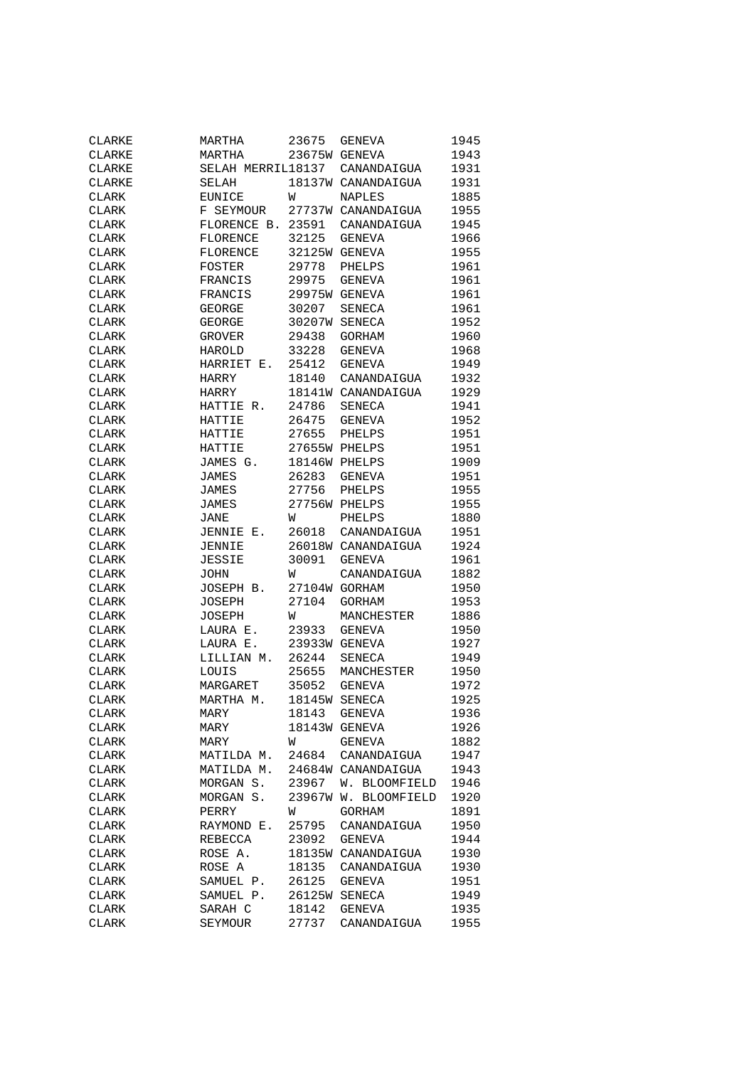| CLARKE                | MARTHA            | 23675    | GENEVA                  | 1945         |
|-----------------------|-------------------|----------|-------------------------|--------------|
| CLARKE                | MARTHA            |          | 23675W GENEVA           | 1943         |
| <b>CLARKE</b>         | SELAH MERRIL18137 |          | CANANDAIGUA             | 1931         |
| <b>CLARKE</b>         | SELAH             |          | 18137W CANANDAIGUA      | 1931         |
| CLARK                 | EUNICE            | W        | NAPLES                  | 1885         |
| CLARK                 | F SEYMOUR         |          | 27737W CANANDAIGUA      | 1955         |
| CLARK                 | FLORENCE B.       | 23591    | CANANDAIGUA             | 1945         |
| CLARK                 | FLORENCE          | 32125    | GENEVA                  | 1966         |
| <b>CLARK</b>          | FLORENCE          |          | 32125W GENEVA           | 1955         |
| <b>CLARK</b>          | FOSTER            | 29778    | PHELPS                  | 1961         |
|                       | FRANCIS           | 29975    |                         |              |
| CLARK<br><b>CLARK</b> | FRANCIS           |          | GENEVA<br>29975W GENEVA | 1961<br>1961 |
|                       |                   |          |                         | 1961         |
| CLARK                 | <b>GEORGE</b>     | 30207    | SENECA                  |              |
| CLARK                 | GEORGE            |          | 30207W SENECA           | 1952         |
| <b>CLARK</b>          | GROVER            | 29438    | GORHAM                  | 1960         |
| CLARK                 | <b>HAROLD</b>     | 33228    | GENEVA                  | 1968         |
| CLARK                 | HARRIET E.        | 25412    | GENEVA                  | 1949         |
| <b>CLARK</b>          | HARRY             | 18140    | CANANDAIGUA             | 1932         |
| CLARK                 | HARRY             |          | 18141W CANANDAIGUA      | 1929         |
| <b>CLARK</b>          | HATTIE R.         | 24786    | SENECA                  | 1941         |
| CLARK                 | HATTIE            | 26475    | GENEVA                  | 1952         |
| CLARK                 | <b>HATTIE</b>     | 27655    | PHELPS                  | 1951         |
| <b>CLARK</b>          | HATTIE            |          | 27655W PHELPS           | 1951         |
| CLARK                 | JAMES G.          |          | 18146W PHELPS           | 1909         |
| CLARK                 | <b>JAMES</b>      | 26283    | <b>GENEVA</b>           | 1951         |
| <b>CLARK</b>          | JAMES             | 27756    | PHELPS                  | 1955         |
| CLARK                 | <b>JAMES</b>      |          | 27756W PHELPS           | 1955         |
| <b>CLARK</b>          | <b>JANE</b>       | W        | PHELPS                  | 1880         |
| CLARK                 | JENNIE E.         | 26018    | CANANDAIGUA             | 1951         |
| <b>CLARK</b>          | JENNIE            |          | 26018W CANANDAIGUA      | 1924         |
| CLARK                 | JESSIE            | 30091    | GENEVA                  | 1961         |
| <b>CLARK</b>          | <b>JOHN</b>       | <b>M</b> | CANANDAIGUA             | 1882         |
| <b>CLARK</b>          | JOSEPH B.         |          | 27104W GORHAM           | 1950         |
| CLARK                 | JOSEPH            | 27104    | GORHAM                  | 1953         |
| <b>CLARK</b>          | JOSEPH            | <b>M</b> | MANCHESTER              | 1886         |
| CLARK                 | LAURA E.          | 23933    | GENEVA                  | 1950         |
| CLARK                 | LAURA E.          |          | 23933W GENEVA           | 1927         |
| CLARK                 | LILLIAN M.        | 26244    | SENECA                  | 1949         |
| <b>CLARK</b>          | LOUIS             | 25655    | MANCHESTER              | 1950         |
| <b>CLARK</b>          | MARGARET          | 35052    | <b>GENEVA</b>           | 1972         |
| CLARK                 | MARTHA M.         |          | 18145W SENECA           | 1925         |
| CLARK                 | MARY              |          | 18143 GENEVA            | 1936         |
| CLARK                 | MARY              |          | 18143W GENEVA           | 1926         |
| CLARK                 | MARY              | <b>M</b> | GENEVA                  | 1882         |
| CLARK                 | MATILDA M.        |          | 24684 CANANDAIGUA       | 1947         |
| CLARK                 | MATILDA M.        |          | 24684W CANANDAIGUA      | 1943         |
| CLARK                 | MORGAN S.         | 23967    | W. BLOOMFIELD           | 1946         |
| CLARK                 | MORGAN S.         |          | 23967W W. BLOOMFIELD    | 1920         |
| CLARK                 | PERRY             | <b>W</b> | GORHAM                  | 1891         |
| CLARK                 | RAYMOND E.        |          | 25795 CANANDAIGUA       | 1950         |
| CLARK                 | REBECCA           |          | 23092 GENEVA            | 1944         |
| CLARK                 | ROSE A.           |          | 18135W CANANDAIGUA      | 1930         |
| CLARK                 | ROSE A            |          | 18135 CANANDAIGUA       | 1930         |
| CLARK                 | SAMUEL P.         | 26125    | GENEVA                  | 1951         |
| CLARK                 | SAMUEL P.         |          | 26125W SENECA           | 1949         |
| CLARK                 | SARAH C           | 18142    | GENEVA                  | 1935         |
| <b>CLARK</b>          | SEYMOUR           | 27737    | CANANDAIGUA             | 1955         |
|                       |                   |          |                         |              |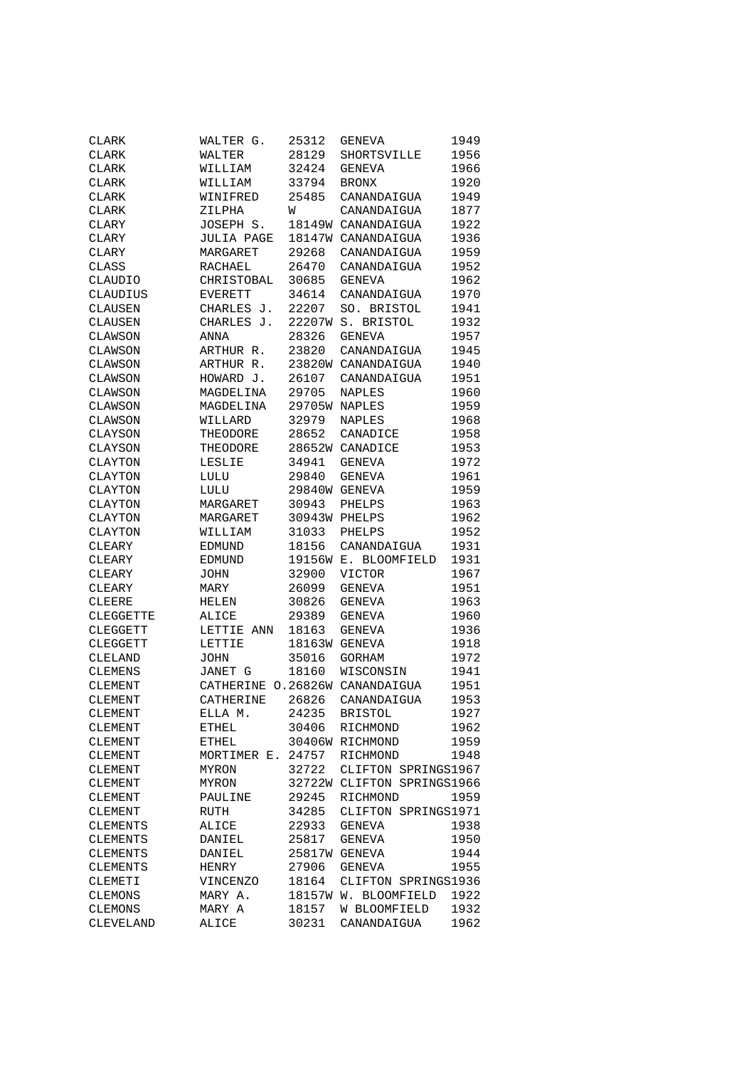| CLARK           | WALTER G.          | 25312  | GENEVA               | 1949 |
|-----------------|--------------------|--------|----------------------|------|
| <b>CLARK</b>    | WALTER             | 28129  | SHORTSVILLE          | 1956 |
| CLARK           | WILLIAM            | 32424  | GENEVA               | 1966 |
| CLARK           | WILLIAM            | 33794  | <b>BRONX</b>         | 1920 |
| CLARK           | WINIFRED           | 25485  | CANANDAIGUA          | 1949 |
| CLARK           | ZILPHA             | W      | CANANDAIGUA          | 1877 |
| <b>CLARY</b>    | JOSEPH S.          | 18149W | CANANDAIGUA          | 1922 |
| CLARY           | JULIA PAGE         | 18147W | CANANDAIGUA          | 1936 |
| CLARY           | MARGARET           | 29268  | CANANDAIGUA          | 1959 |
| CLASS           | RACHAEL            | 26470  | CANANDAIGUA          | 1952 |
| CLAUDIO         | CHRISTOBAL         | 30685  | <b>GENEVA</b>        | 1962 |
| CLAUDIUS        | <b>EVERETT</b>     | 34614  | CANANDAIGUA          | 1970 |
| <b>CLAUSEN</b>  | CHARLES J.         | 22207  | SO. BRISTOL          | 1941 |
| <b>CLAUSEN</b>  | CHARLES J.         | 22207W | S. BRISTOL           | 1932 |
| CLAWSON         | ANNA               | 28326  | <b>GENEVA</b>        | 1957 |
| CLAWSON         | ARTHUR R.          | 23820  | CANANDAIGUA          | 1945 |
| CLAWSON         | ARTHUR R.          | 23820W | CANANDAIGUA          | 1940 |
| CLAWSON         | HOWARD J.          | 26107  | CANANDAIGUA          | 1951 |
| <b>CLAWSON</b>  | MAGDELINA          | 29705  | <b>NAPLES</b>        | 1960 |
| CLAWSON         | MAGDELINA          | 29705W | <b>NAPLES</b>        | 1959 |
| CLAWSON         | WILLARD            | 32979  | NAPLES               | 1968 |
| CLAYSON         | THEODORE           | 28652  | CANADICE             | 1958 |
| CLAYSON         | THEODORE           | 28652W | CANADICE             | 1953 |
| <b>CLAYTON</b>  | LESLIE             | 34941  | <b>GENEVA</b>        | 1972 |
| <b>CLAYTON</b>  | LULU               | 29840  | <b>GENEVA</b>        | 1961 |
| CLAYTON         | ${\tt LULU}$       | 29840W | <b>GENEVA</b>        | 1959 |
| CLAYTON         | MARGARET           | 30943  | PHELPS               | 1963 |
| <b>CLAYTON</b>  | MARGARET           | 30943W | PHELPS               | 1962 |
| <b>CLAYTON</b>  | WILLIAM            | 31033  | PHELPS               | 1952 |
| CLEARY          | <b>EDMUND</b>      | 18156  | CANANDAIGUA          | 1931 |
| CLEARY          | <b>EDMUND</b>      | 19156W | E. BLOOMFIELD        | 1931 |
| CLEARY          | JOHN               | 32900  | VICTOR               | 1967 |
| CLEARY          | MARY               | 26099  | <b>GENEVA</b>        | 1951 |
| CLEERE          | HELEN              | 30826  | GENEVA               | 1963 |
| CLEGGETTE       | ALICE              | 29389  | <b>GENEVA</b>        | 1960 |
| <b>CLEGGETT</b> | LETTIE ANN         | 18163  | <b>GENEVA</b>        | 1936 |
| CLEGGETT        | LETTIE             | 18163W | GENEVA               | 1918 |
| CLELAND         | <b>JOHN</b>        | 35016  | GORHAM               | 1972 |
| <b>CLEMENS</b>  | <b>JANET G</b>     | 18160  | WISCONSIN            | 1941 |
| CLEMENT         | CATHERINE O.26826W |        | CANANDAIGUA          | 1951 |
| CLEMENT         | CATHERINE          | 26826  | CANANDAIGUA          | 1953 |
| CLEMENT         | ELLA M.            | 24235  | BRISTOL              | 1927 |
| CLEMENT         | ETHEL              | 30406  | RICHMOND             | 1962 |
| CLEMENT         | ETHEL              |        | 30406W RICHMOND      | 1959 |
| CLEMENT         | MORTIMER E. 24757  |        | RICHMOND             | 1948 |
| CLEMENT         | MYRON              | 32722  | CLIFTON SPRINGS1967  |      |
| CLEMENT         | MYRON              | 32722W | CLIFTON SPRINGS1966  |      |
| CLEMENT         | PAULINE            | 29245  | RICHMOND             | 1959 |
| CLEMENT         | RUTH               | 34285  | CLIFTON SPRINGS1971  |      |
| CLEMENTS        | ALICE              | 22933  | GENEVA               | 1938 |
| CLEMENTS        | DANIEL             | 25817  | GENEVA               | 1950 |
| CLEMENTS        | DANIEL             |        | 25817W GENEVA        | 1944 |
| CLEMENTS        | HENRY              | 27906  | GENEVA               | 1955 |
| CLEMETI         | <b>VINCENZO</b>    | 18164  | CLIFTON SPRINGS1936  |      |
| CLEMONS         | MARY A.            |        | 18157W W. BLOOMFIELD | 1922 |
| CLEMONS         | MARY A             | 18157  | W BLOOMFIELD         | 1932 |
| CLEVELAND       | ALICE              | 30231  | CANANDAIGUA          | 1962 |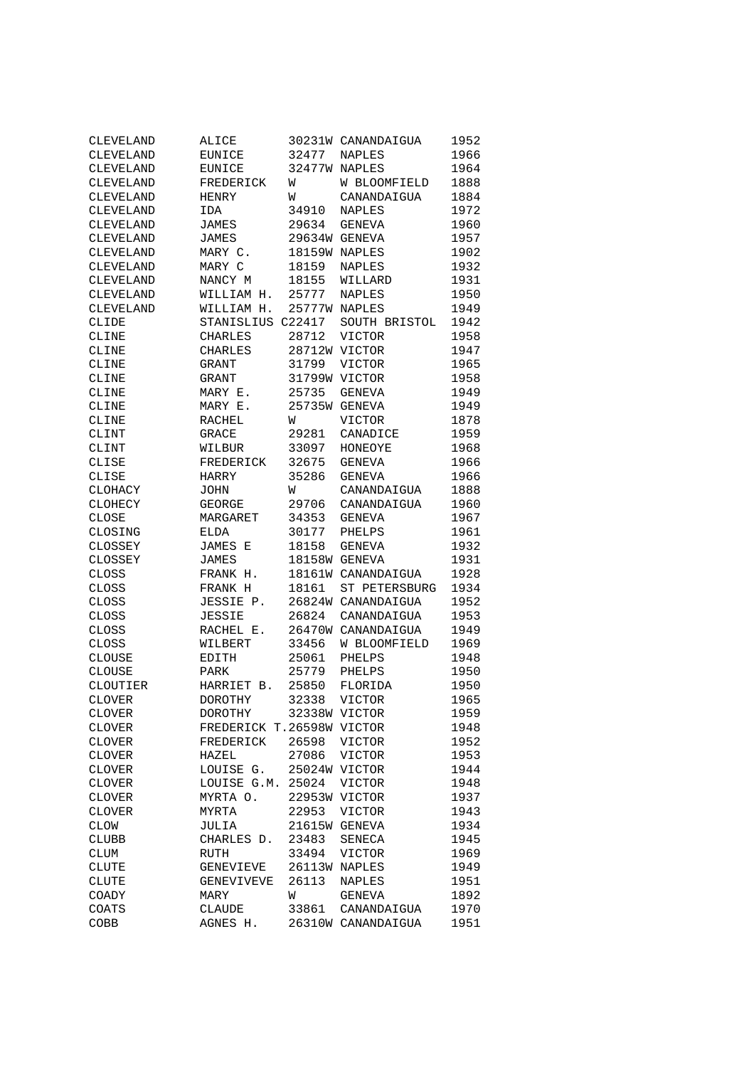| CLEVELAND        |                           |               | 30231W CANANDAIGUA | 1952 |
|------------------|---------------------------|---------------|--------------------|------|
|                  | ALICE                     |               |                    |      |
| <b>CLEVELAND</b> | <b>EUNICE</b>             | 32477         | NAPLES             | 1966 |
| CLEVELAND        | EUNICE                    |               | 32477W NAPLES      | 1964 |
| CLEVELAND        | FREDERICK                 | W             | W BLOOMFIELD       | 1888 |
| <b>CLEVELAND</b> | HENRY                     | W             | CANANDAIGUA        | 1884 |
| CLEVELAND        | IDA                       | 34910         | <b>NAPLES</b>      | 1972 |
| CLEVELAND        | JAMES                     | 29634         | <b>GENEVA</b>      | 1960 |
| CLEVELAND        | JAMES                     |               | 29634W GENEVA      | 1957 |
| CLEVELAND        | MARY C.                   | 18159W NAPLES |                    | 1902 |
| CLEVELAND        | MARY C                    | 18159         | <b>NAPLES</b>      | 1932 |
| CLEVELAND        | NANCY M                   | 18155         | WILLARD            | 1931 |
| CLEVELAND        | WILLIAM H.                | 25777         | NAPLES             | 1950 |
| CLEVELAND        | WILLIAM H.                | 25777W NAPLES |                    | 1949 |
|                  | STANISLIUS C22417         |               |                    |      |
| CLIDE            |                           |               | SOUTH BRISTOL      | 1942 |
| CLINE            | <b>CHARLES</b>            | 28712         | <b>VICTOR</b>      | 1958 |
| CLINE            | CHARLES                   | 28712W        | VICTOR             | 1947 |
| CLINE            | GRANT                     | 31799         | VICTOR             | 1965 |
| CLINE            | GRANT                     | 31799W        | VICTOR             | 1958 |
| CLINE            | MARY E.                   | 25735         | GENEVA             | 1949 |
| CLINE            | MARY E.                   |               | 25735W GENEVA      | 1949 |
| CLINE            | <b>RACHEL</b>             | M             | <b>VICTOR</b>      | 1878 |
| CLINT            | GRACE                     | 29281         | CANADICE           | 1959 |
| CLINT            | WILBUR                    | 33097         | HONEOYE            | 1968 |
| CLISE            | FREDERICK                 | 32675         | <b>GENEVA</b>      | 1966 |
| CLISE            | HARRY                     | 35286         | <b>GENEVA</b>      | 1966 |
| CLOHACY          | JOHN                      | W             | CANANDAIGUA        | 1888 |
| <b>CLOHECY</b>   | GEORGE                    | 29706         | CANANDAIGUA        | 1960 |
|                  |                           |               |                    |      |
| CLOSE            | MARGARET                  | 34353         | GENEVA             | 1967 |
| CLOSING          | <b>ELDA</b>               | 30177         | PHELPS             | 1961 |
| CLOSSEY          | JAMES E                   | 18158         | GENEVA             | 1932 |
| CLOSSEY          | JAMES                     |               | 18158W GENEVA      | 1931 |
| CLOSS            | FRANK H.                  |               | 18161W CANANDAIGUA | 1928 |
| CLOSS            | FRANK H                   | 18161         | ST PETERSBURG      | 1934 |
| CLOSS            | JESSIE P.                 |               | 26824W CANANDAIGUA | 1952 |
| CLOSS            | JESSIE                    | 26824         | CANANDAIGUA        | 1953 |
| CLOSS            | RACHEL E.                 |               | 26470W CANANDAIGUA | 1949 |
| CLOSS            | WILBERT                   | 33456         | W BLOOMFIELD       | 1969 |
| <b>CLOUSE</b>    | EDITH                     | 25061         | PHELPS             | 1948 |
| <b>CLOUSE</b>    | PARK                      | 25779         | PHELPS             | 1950 |
| CLOUTIER         | HARRIET B.                | 25850         | FLORIDA            | 1950 |
| <b>CLOVER</b>    | DOROTHY                   | 32338         | VICTOR             | 1965 |
| CLOVER           | DOROTHY                   |               | 32338W VICTOR      | 1959 |
| <b>CLOVER</b>    | FREDERICK T.26598W VICTOR |               |                    | 1948 |
|                  |                           |               |                    |      |
| CLOVER           | FREDERICK                 | 26598         | VICTOR             | 1952 |
| CLOVER           | HAZEL                     | 27086         | VICTOR             | 1953 |
| <b>CLOVER</b>    | LOUISE G.                 | 25024W VICTOR |                    | 1944 |
| <b>CLOVER</b>    | LOUISE G.M. 25024         |               | VICTOR             | 1948 |
| CLOVER           | MYRTA O.                  | 22953W VICTOR |                    | 1937 |
| <b>CLOVER</b>    | MYRTA                     | 22953         | VICTOR             | 1943 |
| CLOW             | JULIA                     |               | 21615W GENEVA      | 1934 |
| CLUBB            | CHARLES D.                | 23483         | SENECA             | 1945 |
| CLUM             | <b>RUTH</b>               | 33494         | VICTOR             | 1969 |
| <b>CLUTE</b>     | GENEVIEVE                 | 26113W NAPLES |                    | 1949 |
| CLUTE            | GENEVIVEVE                | 26113         | NAPLES             | 1951 |
| COADY            | MARY                      | W             | GENEVA             | 1892 |
| COATS            | CLAUDE                    | 33861         | CANANDAIGUA        | 1970 |
| COBB             | AGNES H.                  |               | 26310W CANANDAIGUA | 1951 |
|                  |                           |               |                    |      |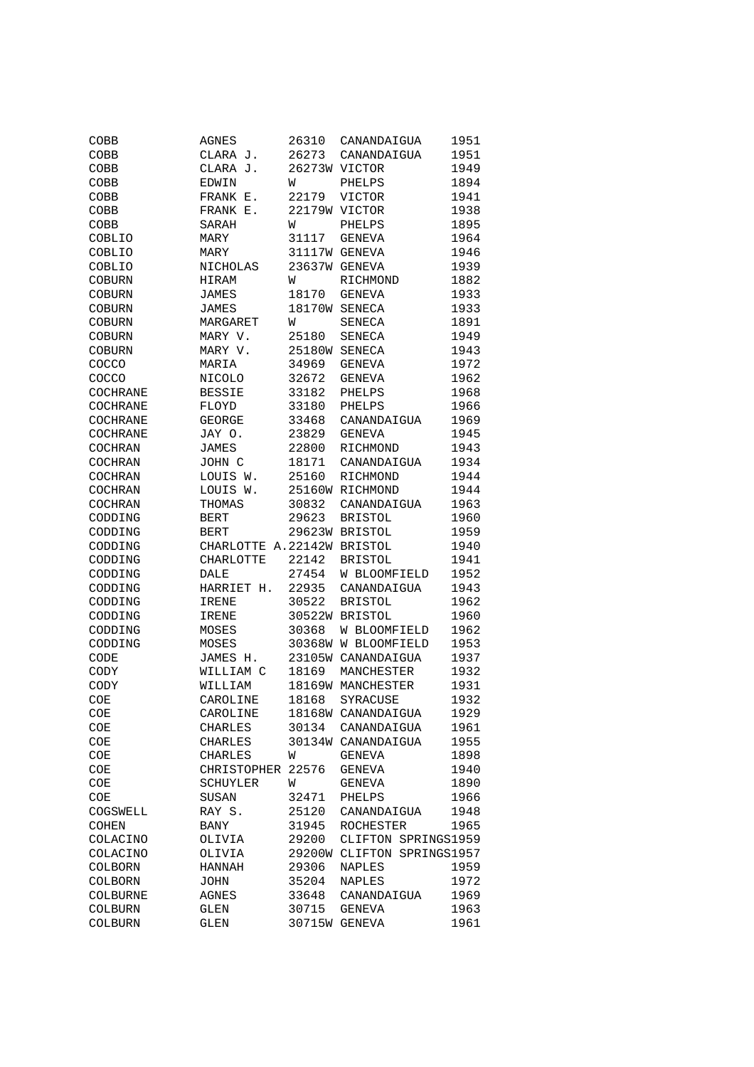| COBB            | AGNES                      | 26310 | CANANDAIGUA                | 1951 |
|-----------------|----------------------------|-------|----------------------------|------|
| COBB            | CLARA J.                   | 26273 | CANANDAIGUA                | 1951 |
| COBB            | CLARA J.                   |       | 26273W VICTOR              | 1949 |
| COBB            | EDWIN                      | W     | PHELPS                     | 1894 |
| COBB            | FRANK E.                   | 22179 | VICTOR                     | 1941 |
| COBB            | FRANK E.                   |       | 22179W VICTOR              | 1938 |
| COBB            | SARAH                      | W     | PHELPS                     | 1895 |
| COBLIO          | MARY                       | 31117 | GENEVA                     | 1964 |
| COBLIO          | MARY                       |       | 31117W GENEVA              | 1946 |
| COBLIO          | NICHOLAS                   |       | 23637W GENEVA              | 1939 |
| COBURN          | HIRAM                      | W     | RICHMOND                   | 1882 |
| COBURN          | JAMES                      | 18170 | <b>GENEVA</b>              | 1933 |
| <b>COBURN</b>   | <b>JAMES</b>               |       | 18170W SENECA              | 1933 |
| COBURN          | MARGARET                   | W     | SENECA                     | 1891 |
| <b>COBURN</b>   | MARY V.                    | 25180 | SENECA                     | 1949 |
| <b>COBURN</b>   | MARY V.                    |       | 25180W SENECA              | 1943 |
| COCCO           | MARIA                      | 34969 | GENEVA                     | 1972 |
| COCCO           | <b>NICOLO</b>              | 32672 | GENEVA                     | 1962 |
| <b>COCHRANE</b> | <b>BESSIE</b>              | 33182 | PHELPS                     | 1968 |
| COCHRANE        | FLOYD                      | 33180 | PHELPS                     | 1966 |
| <b>COCHRANE</b> | <b>GEORGE</b>              | 33468 | CANANDAIGUA                | 1969 |
| <b>COCHRANE</b> | JAY O.                     | 23829 | <b>GENEVA</b>              | 1945 |
| COCHRAN         | <b>JAMES</b>               | 22800 | RICHMOND                   | 1943 |
| COCHRAN         | JOHN C                     | 18171 | CANANDAIGUA                | 1934 |
| COCHRAN         | LOUIS W.                   | 25160 | RICHMOND                   | 1944 |
| COCHRAN         | LOUIS W.                   |       | 25160W RICHMOND            | 1944 |
| COCHRAN         | THOMAS                     |       | 30832 CANANDAIGUA          | 1963 |
| CODDING         | BERT                       | 29623 | BRISTOL                    | 1960 |
| CODDING         | BERT                       |       | 29623W BRISTOL             | 1959 |
| CODDING         | CHARLOTTE A.22142W BRISTOL |       |                            | 1940 |
| CODDING         | CHARLOTTE                  | 22142 | <b>BRISTOL</b>             | 1941 |
| CODDING         | DALE                       | 27454 | W BLOOMFIELD               | 1952 |
| CODDING         | HARRIET H.                 | 22935 | CANANDAIGUA                | 1943 |
| CODDING         | IRENE                      | 30522 | <b>BRISTOL</b>             | 1962 |
| CODDING         | IRENE                      |       | 30522W BRISTOL             | 1960 |
| CODDING         | MOSES                      | 30368 | W BLOOMFIELD               | 1962 |
| CODDING         | MOSES                      |       | 30368W W BLOOMFIELD        | 1953 |
| CODE            | JAMES H.                   |       | 23105W CANANDAIGUA         | 1937 |
| CODY            | WILLIAM C                  | 18169 | MANCHESTER                 | 1932 |
| CODY            | WILLIAM                    |       | 18169W MANCHESTER          | 1931 |
| COE             | CAROLINE                   | 18168 | SYRACUSE                   | 1932 |
| COE             | CAROLINE                   |       | 18168W CANANDAIGUA         | 1929 |
| COE             | CHARLES                    |       | 30134 CANANDAIGUA          | 1961 |
| COE             | CHARLES                    |       | 30134W CANANDAIGUA         | 1955 |
| COE             | CHARLES                    | W     | <b>GENEVA</b>              | 1898 |
| COE             | CHRISTOPHER 22576          |       | GENEVA                     | 1940 |
| COE             | SCHUYLER                   | W     | GENEVA                     | 1890 |
| COE             | SUSAN                      | 32471 | PHELPS                     | 1966 |
| COGSWELL        | RAY S.                     | 25120 | CANANDAIGUA                | 1948 |
| COHEN           | <b>BANY</b>                | 31945 | ROCHESTER                  | 1965 |
| COLACINO        | OLIVIA                     | 29200 | CLIFTON SPRINGS1959        |      |
| COLACINO        | OLIVIA                     |       | 29200W CLIFTON SPRINGS1957 |      |
| COLBORN         | HANNAH                     | 29306 | NAPLES                     | 1959 |
| COLBORN         | JOHN                       | 35204 | NAPLES                     | 1972 |
| COLBURNE        | AGNES                      | 33648 | CANANDAIGUA                | 1969 |
| COLBURN         | GLEN                       | 30715 | GENEVA                     | 1963 |
| COLBURN         | GLEN                       |       | 30715W GENEVA              | 1961 |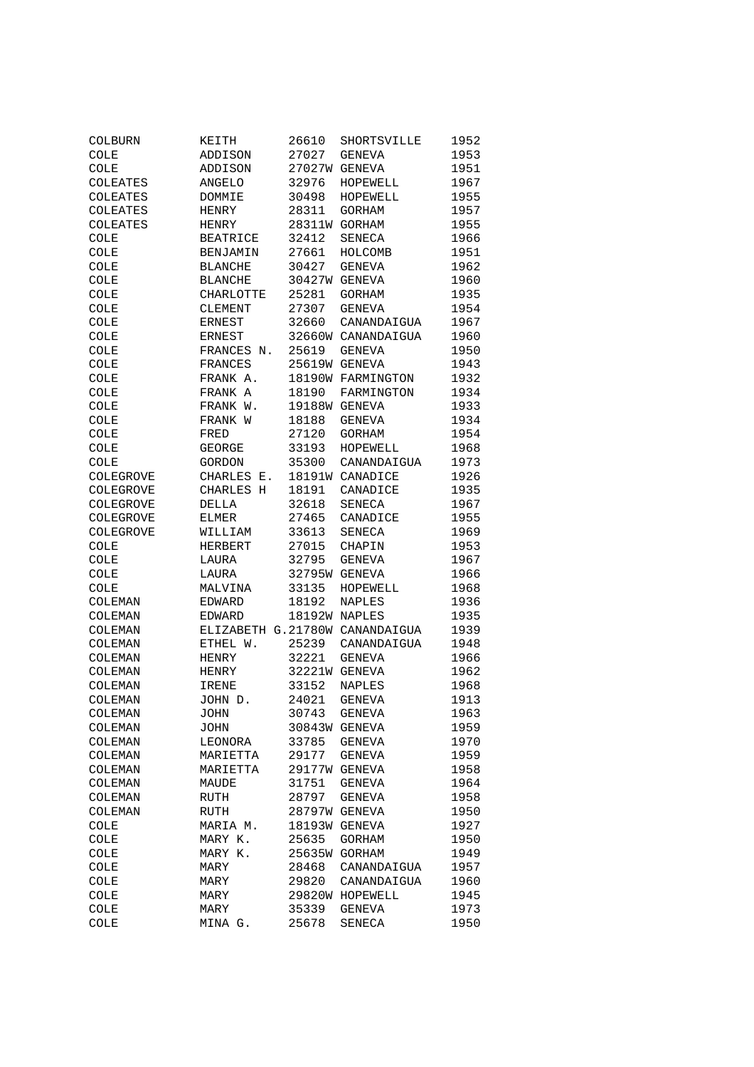| COLBURN             | KEITH              | 26610           | SHORTSVILLE        | 1952 |
|---------------------|--------------------|-----------------|--------------------|------|
| COLE                | ADDISON            | 27027           | GENEVA             | 1953 |
| COLE                | ADDISON            | 27027W          | <b>GENEVA</b>      | 1951 |
| COLEATES            | ANGELO             | 32976           | HOPEWELL           | 1967 |
| COLEATES            | DOMMIE             | 30498           | HOPEWELL           | 1955 |
| COLEATES            | HENRY              | 28311           | GORHAM             | 1957 |
| COLEATES            | <b>HENRY</b>       | 28311W          | GORHAM             | 1955 |
| COLE                | BEATRICE           | 32412           | SENECA             | 1966 |
| COLE                | BENJAMIN           | 27661           | HOLCOMB            | 1951 |
| COLE                | <b>BLANCHE</b>     | 30427           | <b>GENEVA</b>      | 1962 |
|                     | <b>BLANCHE</b>     |                 |                    | 1960 |
| COLE<br><b>COLE</b> |                    | 30427W<br>25281 | GENEVA             |      |
|                     | CHARLOTTE          |                 | GORHAM             | 1935 |
| COLE                | <b>CLEMENT</b>     | 27307           | <b>GENEVA</b>      | 1954 |
| COLE                | <b>ERNEST</b>      | 32660           | CANANDAIGUA        | 1967 |
| COLE                | ERNEST             |                 | 32660W CANANDAIGUA | 1960 |
| COLE                | FRANCES N.         | 25619           | GENEVA             | 1950 |
| COLE                | <b>FRANCES</b>     | 25619W          | GENEVA             | 1943 |
| COLE                | FRANK A.           | 18190W          | FARMINGTON         | 1932 |
| COLE                | FRANK A            | 18190           | FARMINGTON         | 1934 |
| COLE                | FRANK W.           | 19188W GENEVA   |                    | 1933 |
| COLE                | FRANK W            | 18188           | <b>GENEVA</b>      | 1934 |
| COLE                | FRED               | 27120           | GORHAM             | 1954 |
| COLE                | <b>GEORGE</b>      | 33193           | HOPEWELL           | 1968 |
| <b>COLE</b>         | GORDON             | 35300           | CANANDAIGUA        | 1973 |
| COLEGROVE           | CHARLES E.         | 18191W          | CANADICE           | 1926 |
| COLEGROVE           | CHARLES H          | 18191           | CANADICE           | 1935 |
| COLEGROVE           | DELLA              | 32618           | SENECA             | 1967 |
| COLEGROVE           | ELMER              | 27465           | CANADICE           | 1955 |
| COLEGROVE           | WILLIAM            | 33613           | SENECA             | 1969 |
| <b>COLE</b>         | HERBERT            | 27015           | CHAPIN             | 1953 |
| COLE                | LAURA              | 32795           | <b>GENEVA</b>      | 1967 |
| COLE                | LAURA              | 32795W          | <b>GENEVA</b>      | 1966 |
| COLE                | MALVINA            | 33135           | HOPEWELL           | 1968 |
| COLEMAN             | EDWARD             | 18192           | NAPLES             | 1936 |
| COLEMAN             | EDWARD             | 18192W          | <b>NAPLES</b>      | 1935 |
| COLEMAN             | ELIZABETH G.21780W |                 | CANANDAIGUA        | 1939 |
| COLEMAN             | ETHEL W.           | 25239           | CANANDAIGUA        | 1948 |
| COLEMAN             | HENRY              | 32221           | <b>GENEVA</b>      | 1966 |
| COLEMAN             | HENRY              | 32221W          | GENEVA             | 1962 |
| COLEMAN             | <b>IRENE</b>       | 33152           | NAPLES             | 1968 |
| COLEMAN             | JOHN D.            | 24021           | GENEVA             | 1913 |
| COLEMAN             | JOHN               | 30743           | GENEVA             | 1963 |
| COLEMAN             | JOHN               | 30843W          | GENEVA             | 1959 |
| COLEMAN             | LEONORA            | 33785           | <b>GENEVA</b>      | 1970 |
| COLEMAN             | MARIETTA           | 29177           | <b>GENEVA</b>      | 1959 |
| COLEMAN             | MARIETTA           |                 | 29177W GENEVA      | 1958 |
| COLEMAN             | MAUDE              | 31751           | <b>GENEVA</b>      | 1964 |
| COLEMAN             | RUTH               | 28797           | GENEVA             | 1958 |
| COLEMAN             | RUTH               |                 | 28797W GENEVA      | 1950 |
| COLE                | MARIA M.           | 18193W          | <b>GENEVA</b>      | 1927 |
|                     | MARY K.            |                 | GORHAM             | 1950 |
| COLE                | MARY K.            | 25635<br>25635W | <b>GORHAM</b>      |      |
| <b>COLE</b>         |                    |                 |                    | 1949 |
| COLE                | MARY               | 28468           | CANANDAIGUA        | 1957 |
| COLE                | MARY               | 29820           | CANANDAIGUA        | 1960 |
| COLE                | MARY               | 29820W          | HOPEWELL           | 1945 |
| COLE                | MARY               | 35339           | GENEVA             | 1973 |
| COLE                | MINA G.            | 25678           | SENECA             | 1950 |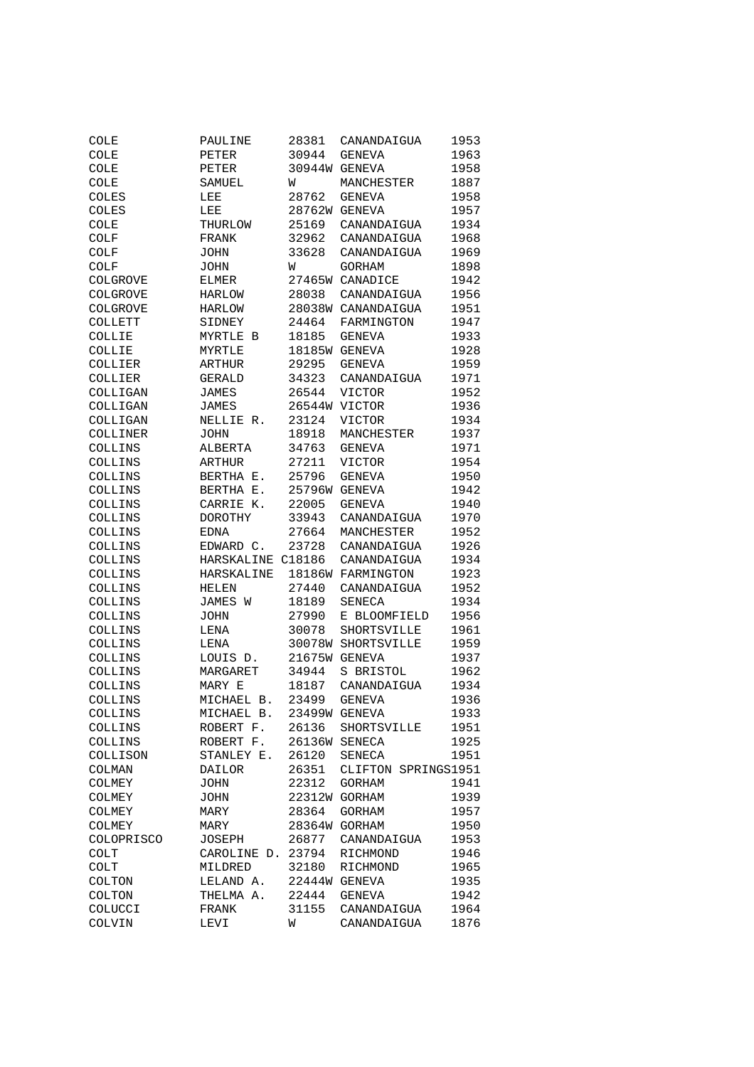| COLE               | PAULINE                         | 28381         | CANANDAIGUA               | 1953         |
|--------------------|---------------------------------|---------------|---------------------------|--------------|
| COLE               | <b>PETER</b>                    | 30944         | GENEVA                    | 1963         |
| <b>COLE</b>        | PETER                           | 30944W        | GENEVA                    | 1958         |
| COLE               | SAMUEL                          | W             | MANCHESTER                | 1887         |
| COLES              | LEE                             | 28762         | <b>GENEVA</b>             | 1958         |
| COLES              | ${\tt LEE}$                     | 28762W        | <b>GENEVA</b>             | 1957         |
| COLE               | THURLOW                         | 25169         | CANANDAIGUA               | 1934         |
| <b>COLF</b>        | FRANK                           | 32962         | CANANDAIGUA               | 1968         |
| <b>COLF</b>        | JOHN                            | 33628         | CANANDAIGUA               | 1969         |
| <b>COLF</b>        | JOHN                            | W             | GORHAM                    | 1898         |
| COLGROVE           | <b>ELMER</b>                    | 27465W        | CANADICE                  | 1942         |
| COLGROVE           | HARLOW                          | 28038         | CANANDAIGUA               | 1956         |
| COLGROVE           | <b>HARLOW</b>                   |               | 28038W CANANDAIGUA        | 1951         |
| COLLETT            | SIDNEY                          | 24464         | FARMINGTON                | 1947         |
| COLLIE             | MYRTLE B                        | 18185         | <b>GENEVA</b>             | 1933         |
| COLLIE             | MYRTLE                          | 18185W        | <b>GENEVA</b>             | 1928         |
| COLLIER            | <b>ARTHUR</b>                   | 29295         | <b>GENEVA</b>             | 1959         |
| COLLIER            | GERALD                          | 34323         | CANANDAIGUA               | 1971         |
| COLLIGAN           | <b>JAMES</b>                    | 26544         | <b>VICTOR</b>             | 1952         |
| COLLIGAN           | <b>JAMES</b>                    |               | 26544W VICTOR             | 1936         |
| COLLIGAN           | NELLIE R.                       | 23124         | VICTOR                    | 1934         |
| COLLINER           | <b>JOHN</b>                     | 18918         | MANCHESTER                | 1937         |
| COLLINS            | ALBERTA                         | 34763         | <b>GENEVA</b>             | 1971         |
| COLLINS            | <b>ARTHUR</b>                   | 27211         | <b>VICTOR</b>             | 1954         |
| COLLINS            | BERTHA E.                       | 25796         | <b>GENEVA</b>             | 1950         |
| COLLINS            | BERTHA E.                       | 25796W        | GENEVA                    | 1942         |
| COLLINS            | CARRIE K.                       | 22005         | <b>GENEVA</b>             | 1940         |
| COLLINS            | <b>DOROTHY</b>                  | 33943         | CANANDAIGUA               | 1970         |
| COLLINS            | <b>EDNA</b>                     | 27664         | MANCHESTER                | 1952         |
|                    |                                 | 23728         |                           | 1926         |
| COLLINS            | EDWARD C.                       |               | CANANDAIGUA               |              |
| COLLINS<br>COLLINS | HARSKALINE C18186<br>HARSKALINE | 18186W        | CANANDAIGUA<br>FARMINGTON | 1934<br>1923 |
|                    |                                 |               |                           |              |
| COLLINS            | <b>HELEN</b>                    | 27440         | CANANDAIGUA               | 1952         |
| COLLINS            | JAMES W                         | 18189         | SENECA                    | 1934         |
| COLLINS            | <b>JOHN</b>                     | 27990         | E BLOOMFIELD              | 1956         |
| COLLINS            | LENA                            | 30078         | SHORTSVILLE               | 1961         |
| COLLINS            | LENA                            | 30078W        | SHORTSVILLE               | 1959         |
| COLLINS            | LOUIS D.                        | 21675W        | <b>GENEVA</b>             | 1937         |
| COLLINS            | MARGARET                        | 34944         | S BRISTOL                 | 1962         |
| COLLINS            | MARY E                          | 18187         | CANANDAIGUA               | 1934         |
| COLLINS            | MICHAEL B.                      | 23499         | <b>GENEVA</b>             | 1936         |
| COLLINS            | MICHAEL B.                      | 23499W GENEVA |                           | 1933         |
| COLLINS            | ROBERT F.                       | 26136         | SHORTSVILLE               | 1951         |
| COLLINS            | ROBERT F.                       | 26136W SENECA |                           | 1925         |
| COLLISON           | STANLEY E.                      | 26120         | SENECA                    | 1951         |
| COLMAN             | DAILOR                          | 26351         | CLIFTON SPRINGS1951       |              |
| COLMEY             | JOHN                            | 22312         | GORHAM                    | 1941         |
| COLMEY             | JOHN                            |               | 22312W GORHAM             | 1939         |
| COLMEY             | MARY                            | 28364         | GORHAM                    | 1957         |
| COLMEY             | MARY                            |               | 28364W GORHAM             | 1950         |
| COLOPRISCO         | JOSEPH                          | 26877         | CANANDAIGUA               | 1953         |
| COLT               | CAROLINE D. 23794               |               | RICHMOND                  | 1946         |
| COLT               | MILDRED                         | 32180         | RICHMOND                  | 1965         |
| COLTON             | LELAND A.                       | 22444W GENEVA |                           | 1935         |
| COLTON             | THELMA A.                       | 22444         | GENEVA                    | 1942         |
| COLUCCI            | <b>FRANK</b>                    | 31155         | CANANDAIGUA               | 1964         |
| COLVIN             | LEVI                            | W             | CANANDAIGUA               | 1876         |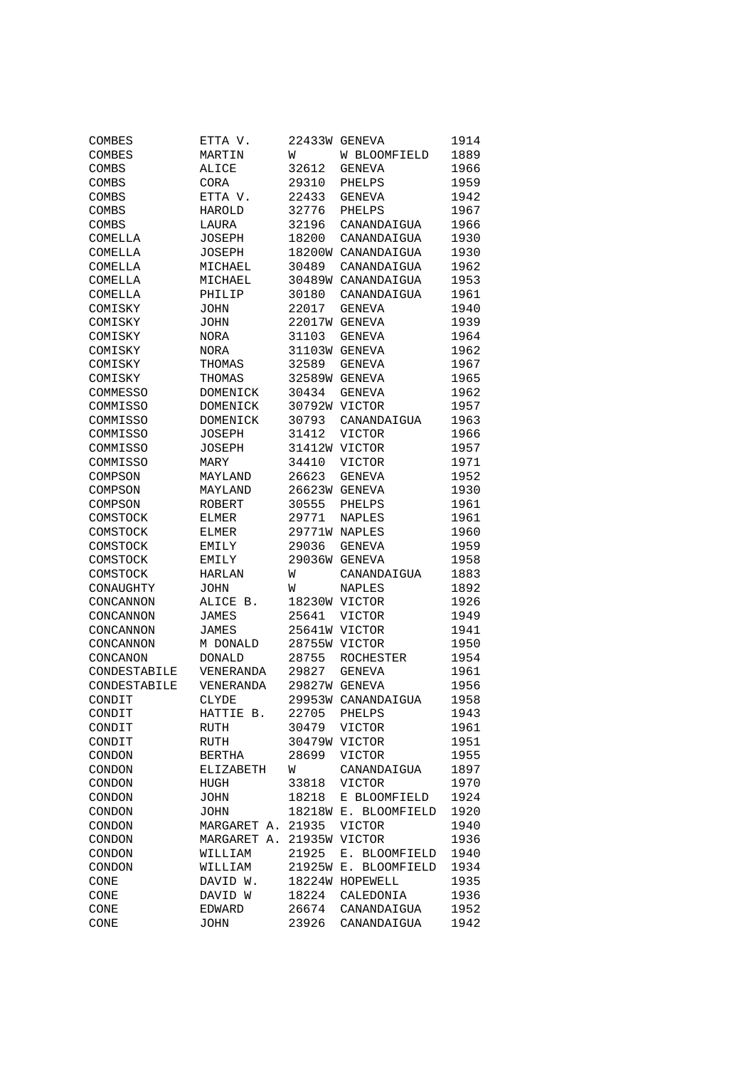| COMBES       | ETTA V.          |               | 22433W GENEVA        | 1914 |
|--------------|------------------|---------------|----------------------|------|
| COMBES       | MARTIN           | W             | W BLOOMFIELD         | 1889 |
| COMBS        | ALICE            | 32612         | GENEVA               | 1966 |
| COMBS        | CORA             | 29310         | PHELPS               | 1959 |
| COMBS        | ETTA V.          | 22433         | <b>GENEVA</b>        | 1942 |
| COMBS        | <b>HAROLD</b>    | 32776         | PHELPS               | 1967 |
| COMBS        | LAURA            | 32196         | CANANDAIGUA          | 1966 |
| COMELLA      | JOSEPH           | 18200         | CANANDAIGUA          | 1930 |
| COMELLA      | <b>JOSEPH</b>    | 18200W        | CANANDAIGUA          | 1930 |
| COMELLA      | MICHAEL          | 30489         | CANANDAIGUA          | 1962 |
| COMELLA      | MICHAEL          | 30489W        | CANANDAIGUA          | 1953 |
| COMELLA      | PHILIP           | 30180         | CANANDAIGUA          | 1961 |
| COMISKY      | <b>JOHN</b>      | 22017         | <b>GENEVA</b>        | 1940 |
| COMISKY      | JOHN             | 22017W        | GENEVA               | 1939 |
| COMISKY      | NORA             | 31103         | <b>GENEVA</b>        | 1964 |
| COMISKY      | <b>NORA</b>      |               | 31103W GENEVA        | 1962 |
| COMISKY      | THOMAS           | 32589         | <b>GENEVA</b>        | 1967 |
| COMISKY      | THOMAS           | 32589W        | <b>GENEVA</b>        | 1965 |
| COMMESSO     | <b>DOMENICK</b>  | 30434         | <b>GENEVA</b>        | 1962 |
| COMMISSO     | <b>DOMENICK</b>  |               | 30792W VICTOR        | 1957 |
| COMMISSO     | <b>DOMENICK</b>  | 30793         | CANANDAIGUA          | 1963 |
| COMMISSO     | JOSEPH           | 31412         | VICTOR               | 1966 |
| COMMISSO     | JOSEPH           |               | 31412W VICTOR        | 1957 |
| COMMISSO     | MARY             | 34410         | <b>VICTOR</b>        | 1971 |
| COMPSON      | MAYLAND          | 26623         | <b>GENEVA</b>        | 1952 |
| COMPSON      | MAYLAND          | 26623W        | <b>GENEVA</b>        | 1930 |
| COMPSON      | <b>ROBERT</b>    | 30555         | PHELPS               | 1961 |
| COMSTOCK     | <b>ELMER</b>     | 29771         | NAPLES               | 1961 |
| COMSTOCK     | ELMER            | 29771W NAPLES |                      | 1960 |
| COMSTOCK     | EMILY            | 29036         | <b>GENEVA</b>        | 1959 |
| COMSTOCK     | <b>EMILY</b>     | 29036W        | <b>GENEVA</b>        | 1958 |
| COMSTOCK     | HARLAN           | W             | CANANDAIGUA          | 1883 |
| CONAUGHTY    | JOHN             | W             | NAPLES               | 1892 |
| CONCANNON    | ALICE B.         |               | 18230W VICTOR        | 1926 |
| CONCANNON    | JAMES            | 25641         | VICTOR               | 1949 |
| CONCANNON    | JAMES            | 25641W VICTOR |                      | 1941 |
| CONCANNON    | M DONALD         |               | 28755W VICTOR        | 1950 |
| CONCANON     | DONALD           | 28755         | ROCHESTER            | 1954 |
| CONDESTABILE | VENERANDA        | 29827         | GENEVA               | 1961 |
| CONDESTABILE | VENERANDA        |               | 29827W GENEVA        | 1956 |
| CONDIT       | CLYDE            |               | 29953W CANANDAIGUA   | 1958 |
| CONDIT       | HATTIE B.        | 22705         | PHELPS               | 1943 |
| CONDIT       | RUTH             | 30479         | VICTOR               | 1961 |
| CONDIT       | RUTH             |               | 30479W VICTOR        | 1951 |
| CONDON       | <b>BERTHA</b>    | 28699         | <b>VICTOR</b>        | 1955 |
| CONDON       | <b>ELIZABETH</b> | W             | CANANDAIGUA          | 1897 |
| CONDON       | HUGH             | 33818         | <b>VICTOR</b>        | 1970 |
| CONDON       | JOHN             | 18218         | E BLOOMFIELD         | 1924 |
| CONDON       | JOHN             |               | 18218W E. BLOOMFIELD | 1920 |
| CONDON       | MARGARET A.      | 21935         | VICTOR               | 1940 |
| CONDON       | MARGARET A.      | 21935W VICTOR |                      | 1936 |
| CONDON       | WILLIAM          | 21925         | E. BLOOMFIELD        | 1940 |
| CONDON       | WILLIAM          |               | 21925W E. BLOOMFIELD | 1934 |
| CONE         | DAVID W.         |               | 18224W HOPEWELL      | 1935 |
| CONE         | DAVID W          | 18224         | CALEDONIA            | 1936 |
| CONE         | EDWARD           | 26674         | CANANDAIGUA          | 1952 |
| CONE         | JOHN             | 23926         | CANANDAIGUA          | 1942 |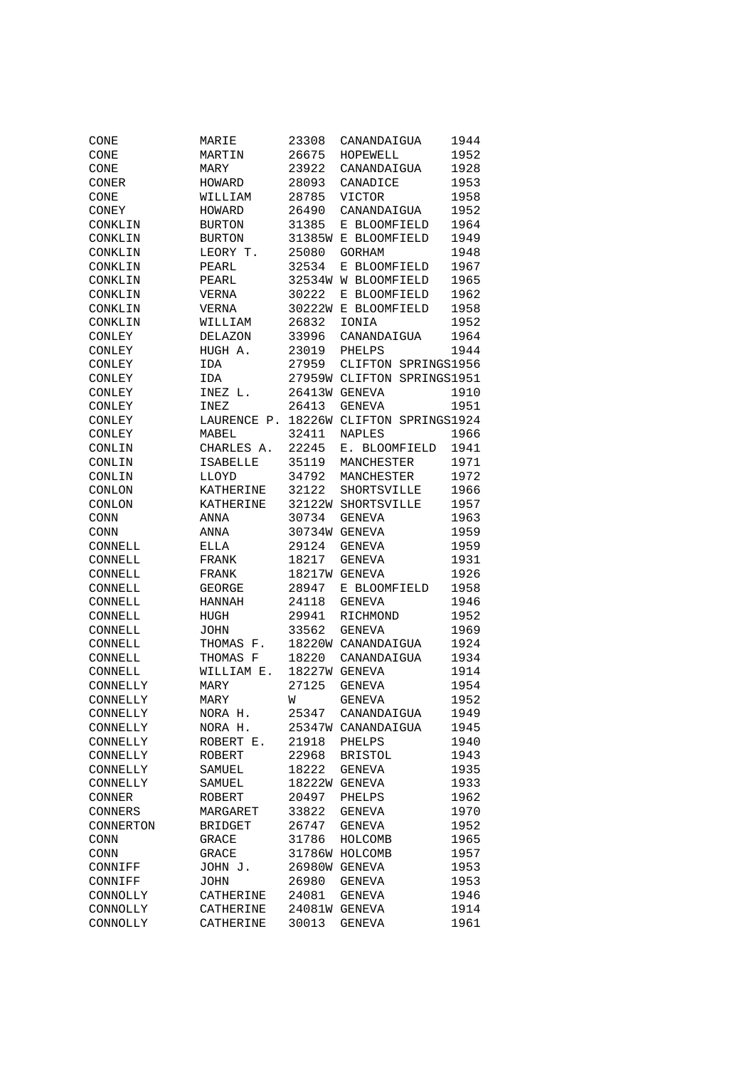| CONE      | MARIE                 | 23308         | CANANDAIGUA                | 1944 |
|-----------|-----------------------|---------------|----------------------------|------|
| CONE      | MARTIN                | 26675         | HOPEWELL                   | 1952 |
| CONE      | MARY                  | 23922         | CANANDAIGUA                | 1928 |
| CONER     | HOWARD                | 28093         | CANADICE                   | 1953 |
| CONE      | WILLIAM               | 28785         | <b>VICTOR</b>              | 1958 |
| CONEY     | HOWARD                | 26490         | CANANDAIGUA                | 1952 |
| CONKLIN   | <b>BURTON</b>         | 31385         | E BLOOMFIELD               | 1964 |
| CONKLIN   | <b>BURTON</b>         | 31385W        | E BLOOMFIELD               | 1949 |
| CONKLIN   | LEORY T.              | 25080         | GORHAM                     | 1948 |
| CONKLIN   | PEARL                 | 32534         | E BLOOMFIELD               | 1967 |
| CONKLIN   | PEARL                 | 32534W        | W BLOOMFIELD               | 1965 |
| CONKLIN   | VERNA                 | 30222         | E BLOOMFIELD               | 1962 |
| CONKLIN   | VERNA                 | 30222W        | E BLOOMFIELD               | 1958 |
| CONKLIN   | WILLIAM               | 26832         | IONIA                      | 1952 |
| CONLEY    | DELAZON               | 33996         | CANANDAIGUA                | 1964 |
| CONLEY    | HUGH A.               | 23019         | PHELPS                     | 1944 |
| CONLEY    | IDA                   | 27959         | CLIFTON SPRINGS1956        |      |
| CONLEY    | IDA                   |               | 27959W CLIFTON SPRINGS1951 |      |
| CONLEY    | INEZ L.               |               | 26413W GENEVA              | 1910 |
| CONLEY    | INEZ                  | 26413         | GENEVA                     | 1951 |
| CONLEY    | LAURENCE P.           |               | 18226W CLIFTON SPRINGS1924 |      |
| CONLEY    | MABEL                 | 32411         | NAPLES                     | 1966 |
| CONLIN    | CHARLES A.            | 22245         | E. BLOOMFIELD              | 1941 |
| CONLIN    | <b>ISABELLE</b>       | 35119         | MANCHESTER                 | 1971 |
| CONLIN    | LLOYD                 | 34792         | MANCHESTER                 | 1972 |
| CONLON    | KATHERINE             | 32122         | SHORTSVILLE                | 1966 |
| CONLON    | KATHERINE             | 32122W        | SHORTSVILLE                | 1957 |
| CONN      | ANNA                  | 30734         | GENEVA                     | 1963 |
| CONN      | ANNA                  |               | 30734W GENEVA              | 1959 |
| CONNELL   | ELLA                  | 29124         | GENEVA                     | 1959 |
| CONNELL   | FRANK                 | 18217         | GENEVA                     | 1931 |
| CONNELL   | FRANK                 |               | 18217W GENEVA              | 1926 |
| CONNELL   | GEORGE                | 28947         | E BLOOMFIELD               | 1958 |
| CONNELL   | HANNAH                | 24118         | GENEVA                     | 1946 |
| CONNELL   | HUGH                  | 29941         | RICHMOND                   | 1952 |
| CONNELL   | <b>JOHN</b>           | 33562         | <b>GENEVA</b>              | 1969 |
| CONNELL   | THOMAS<br>${\tt F}$ . |               | 18220W CANANDAIGUA         | 1924 |
| CONNELL   | THOMAS F              | 18220         | CANANDAIGUA                | 1934 |
| CONNELL   | WILLIAM E.            |               | 18227W GENEVA              | 1914 |
| CONNELLY  | MARY                  | 27125         | <b>GENEVA</b>              | 1954 |
| CONNELLY  | MARY                  | W             | <b>GENEVA</b>              | 1952 |
| CONNELLY  | NORA H.               | 25347         | CANANDAIGUA                | 1949 |
| CONNELLY  | NORA H.               |               | 25347W CANANDAIGUA         | 1945 |
| CONNELLY  | ROBERT E.             | 21918         | PHELPS                     | 1940 |
| CONNELLY  | ROBERT                | 22968         | <b>BRISTOL</b>             | 1943 |
| CONNELLY  | SAMUEL                | 18222         | GENEVA                     | 1935 |
| CONNELLY  | SAMUEL                | 18222W        | GENEVA                     | 1933 |
| CONNER    | ROBERT                | 20497         | PHELPS                     | 1962 |
| CONNERS   | MARGARET              | 33822         | GENEVA                     | 1970 |
| CONNERTON | <b>BRIDGET</b>        | 26747         | GENEVA                     | 1952 |
| CONN      | GRACE                 | 31786         | HOLCOMB                    | 1965 |
| CONN      | GRACE                 |               | 31786W HOLCOMB             | 1957 |
| CONNIFF   | JOHN J.               | 26980W GENEVA |                            | 1953 |
| CONNIFF   | <b>JOHN</b>           | 26980         | GENEVA                     | 1953 |
| CONNOLLY  | CATHERINE             | 24081         | GENEVA                     | 1946 |
| CONNOLLY  | CATHERINE             | 24081W GENEVA |                            | 1914 |
| CONNOLLY  | CATHERINE             | 30013         | GENEVA                     | 1961 |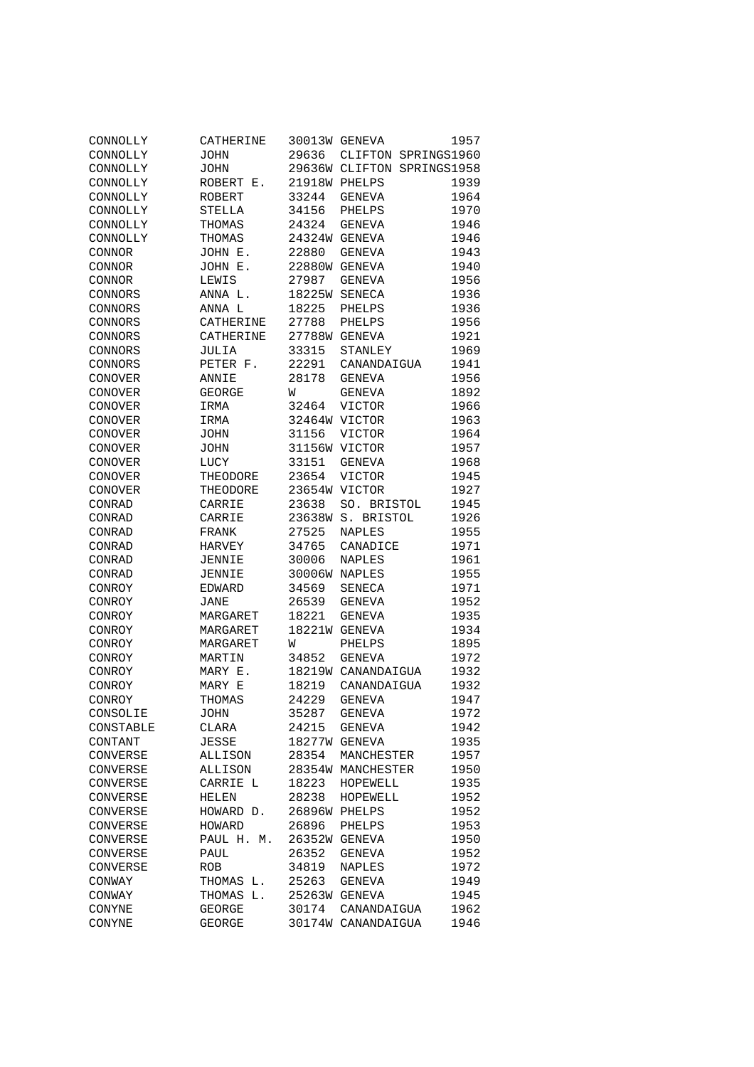| CONNOLLY       | CATHERINE       |               | 30013W GENEVA              | 1957 |
|----------------|-----------------|---------------|----------------------------|------|
| CONNOLLY       | JOHN            | 29636         | CLIFTON SPRINGS1960        |      |
| CONNOLLY       | <b>JOHN</b>     |               | 29636W CLIFTON SPRINGS1958 |      |
| CONNOLLY       | ROBERT E.       | 21918W PHELPS |                            | 1939 |
| CONNOLLY       | ROBERT          | 33244         | <b>GENEVA</b>              | 1964 |
| CONNOLLY       | STELLA          | 34156         | PHELPS                     | 1970 |
| CONNOLLY       | THOMAS          | 24324         | GENEVA                     | 1946 |
| CONNOLLY       | THOMAS          |               | 24324W GENEVA              | 1946 |
| CONNOR         | JOHN E.         | 22880         | <b>GENEVA</b>              | 1943 |
| <b>CONNOR</b>  | JOHN E.         |               | 22880W GENEVA              | 1940 |
| CONNOR         | LEWIS           | 27987         | <b>GENEVA</b>              | 1956 |
| CONNORS        | ANNA L.         | 18225W        | <b>SENECA</b>              | 1936 |
| CONNORS        | ANNA L          | 18225         | PHELPS                     | 1936 |
| CONNORS        | CATHERINE       | 27788         | PHELPS                     | 1956 |
| CONNORS        | CATHERINE       |               | 27788W GENEVA              | 1921 |
| CONNORS        | JULIA           | 33315         | <b>STANLEY</b>             | 1969 |
| CONNORS        | PETER F.        | 22291         | CANANDAIGUA                | 1941 |
| CONOVER        | ANNIE           | 28178         | <b>GENEVA</b>              | 1956 |
| CONOVER        | <b>GEORGE</b>   | W             | GENEVA                     | 1892 |
| CONOVER        | IRMA            | 32464         | <b>VICTOR</b>              | 1966 |
| CONOVER        | IRMA            |               | 32464W VICTOR              | 1963 |
| CONOVER        | JOHN            | 31156         | <b>VICTOR</b>              | 1964 |
| CONOVER        | <b>JOHN</b>     |               | 31156W VICTOR              | 1957 |
| <b>CONOVER</b> | $_{\rm LUCY}$   | 33151         | GENEVA                     | 1968 |
| CONOVER        | THEODORE        | 23654         | <b>VICTOR</b>              | 1945 |
| CONOVER        | THEODORE        |               | 23654W VICTOR              | 1927 |
| CONRAD         | CARRIE          | 23638         | SO. BRISTOL                | 1945 |
| CONRAD         | CARRIE          | 23638W        | S. BRISTOL                 | 1926 |
| CONRAD         | FRANK           | 27525         | NAPLES                     | 1955 |
| CONRAD         | HARVEY          | 34765         | CANADICE                   | 1971 |
| CONRAD         | JENNIE          | 30006         | NAPLES                     | 1961 |
| CONRAD         | JENNIE          |               | 30006W NAPLES              | 1955 |
| CONROY         | <b>EDWARD</b>   | 34569         | SENECA                     | 1971 |
| CONROY         | JANE            | 26539         | <b>GENEVA</b>              | 1952 |
| CONROY         | MARGARET        | 18221         | GENEVA                     | 1935 |
| CONROY         | MARGARET        |               | 18221W GENEVA              | 1934 |
| CONROY         | MARGARET        | W             | PHELPS                     | 1895 |
| CONROY         | MARTIN          | 34852         | GENEVA                     | 1972 |
| CONROY         | MARY E.         |               | 18219W CANANDAIGUA         | 1932 |
| CONROY         | MARY E          | 18219         | CANANDAIGUA                | 1932 |
| CONROY         | THOMAS          | 24229         | <b>GENEVA</b>              | 1947 |
| CONSOLIE       | JOHN            | 35287         | GENEVA                     | 1972 |
| CONSTABLE      | CLARA           | 24215         | GENEVA                     | 1942 |
| CONTANT        | JESSE           |               | 18277W GENEVA              | 1935 |
| CONVERSE       | <b>ALLISON</b>  | 28354         | MANCHESTER                 | 1957 |
| CONVERSE       | <b>ALLISON</b>  |               | 28354W MANCHESTER          | 1950 |
| CONVERSE       | CARRIE L        | 18223         | HOPEWELL                   | 1935 |
| CONVERSE       | HELEN           | 28238         | HOPEWELL                   | 1952 |
| CONVERSE       | HOWARD D.       | 26896W PHELPS |                            | 1952 |
| CONVERSE       | HOWARD          | 26896         | PHELPS                     | 1953 |
| CONVERSE       | PAUL H. M.      |               | 26352W GENEVA              | 1950 |
| CONVERSE       | $\mathtt{PAUL}$ | 26352         | GENEVA                     | 1952 |
| CONVERSE       | ROB             | 34819         | NAPLES                     | 1972 |
| CONWAY         | THOMAS L.       | 25263         | GENEVA                     | 1949 |
| CONWAY         | THOMAS L.       |               | 25263W GENEVA              | 1945 |
| CONYNE         | GEORGE          | 30174         | CANANDAIGUA                | 1962 |
| CONYNE         | <b>GEORGE</b>   |               | 30174W CANANDAIGUA         | 1946 |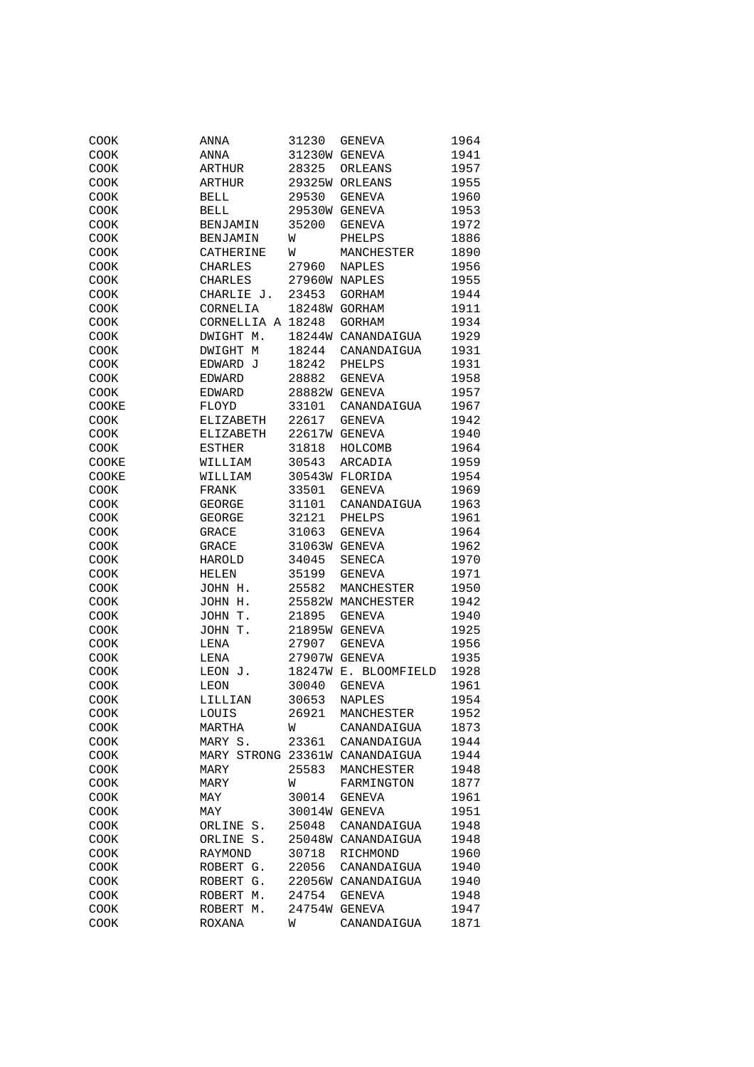| COOK         | ANNA                 | 31230 | GENEVA                                       | 1964         |
|--------------|----------------------|-------|----------------------------------------------|--------------|
| COOK         | ANNA                 |       | 31230W GENEVA                                | 1941         |
| COOK         | ARTHUR               | 28325 | ORLEANS                                      | 1957         |
| COOK         | ARTHUR               |       | 29325W ORLEANS                               | 1955         |
| COOK         | <b>BELL</b>          | 29530 | <b>GENEVA</b>                                | 1960         |
| COOK         | <b>BELL</b>          |       | 29530W GENEVA                                | 1953         |
| COOK         | BENJAMIN             | 35200 | GENEVA                                       | 1972         |
| COOK         | BENJAMIN             | M     | PHELPS                                       | 1886         |
| COOK         | CATHERINE            | W     | MANCHESTER                                   | 1890         |
| COOK         | CHARLES              | 27960 | NAPLES                                       | 1956         |
| COOK         | CHARLES              |       | 27960W NAPLES                                | 1955         |
| COOK         | CHARLIE J.           | 23453 | GORHAM                                       | 1944         |
| COOK         | CORNELIA             |       | 18248W GORHAM                                | 1911         |
| COOK         | CORNELLIA A 18248    |       | GORHAM                                       | 1934         |
| COOK         | DWIGHT M.            |       | 18244W CANANDAIGUA                           | 1929         |
| COOK         | DWIGHT M             |       | 18244 CANANDAIGUA                            | 1931         |
| COOK         | EDWARD J             | 18242 | PHELPS                                       | 1931         |
| COOK         | EDWARD               | 28882 | GENEVA                                       | 1958         |
| COOK         | EDWARD               |       | 28882W GENEVA                                | 1957         |
| COOKE        | FLOYD                | 33101 | CANANDAIGUA                                  | 1967         |
| COOK         | ELIZABETH            | 22617 | GENEVA                                       | 1942         |
| COOK         | ELIZABETH            |       | 22617W GENEVA                                | 1940         |
| COOK         | ESTHER               | 31818 | HOLCOMB                                      | 1964         |
| COOKE        | WILLIAM              | 30543 | ARCADIA                                      | 1959         |
| COOKE        | WILLIAM              |       | 30543W FLORIDA                               | 1954         |
| COOK         | <b>FRANK</b>         | 33501 | <b>GENEVA</b>                                | 1969         |
| COOK         | <b>GEORGE</b>        | 31101 | CANANDAIGUA                                  | 1963         |
| COOK         | <b>GEORGE</b>        | 32121 | PHELPS                                       | 1961         |
| COOK         | GRACE                | 31063 | GENEVA                                       | 1964         |
| COOK         |                      |       | 31063W GENEVA                                | 1962         |
| COOK         | GRACE<br>HAROLD      | 34045 | SENECA                                       | 1970         |
| COOK         | HELEN                | 35199 | GENEVA                                       | 1971         |
| COOK         | JOHN H.              | 25582 | MANCHESTER                                   | 1950         |
| COOK         | JOHN H.              |       | 25582W MANCHESTER                            | 1942         |
| COOK         | JOHN T.              | 21895 | GENEVA                                       | 1940         |
| COOK         | JOHN T.              |       | 21895W GENEVA                                | 1925         |
| COOK         | LENA                 | 27907 | GENEVA                                       | 1956         |
| COOK         | LENA                 |       | 27907W GENEVA                                | 1935         |
| COOK         | LEON J.              |       | 18247W E. BLOOMFIELD                         | 1928         |
| COOK         | LEON                 | 30040 | <b>GENEVA</b>                                | 1961         |
|              | LILLIAN              |       | 30653 NAPLES                                 | 1954         |
| COOK<br>COOK | LOUIS                |       | 26921 MANCHESTER                             | 1952         |
| COOK         | MARTHA               | M     | CANANDAIGUA                                  | 1873         |
| COOK         | MARY S.              |       | 23361 CANANDAIGUA                            | 1944         |
|              |                      |       |                                              | 1944         |
| COOK         | MARY                 | 25583 | MARY STRONG 23361W CANANDAIGUA<br>MANCHESTER | 1948         |
| COOK         |                      | W     | FARMINGTON                                   | 1877         |
| COOK<br>COOK | MARY<br>MAX          | 30014 | GENEVA                                       | 1961         |
| COOK         | MAY                  |       | 30014W GENEVA                                | 1951         |
| COOK         |                      | 25048 | CANANDAIGUA                                  | 1948         |
|              | ORLINE S.            |       |                                              |              |
| COOK         | ORLINE S.            |       | 25048W CANANDAIGUA                           | 1948         |
| COOK         | RAYMOND<br>ROBERT G. | 30718 | RICHMOND                                     | 1960<br>1940 |
| COOK         |                      |       | 22056 CANANDAIGUA                            |              |
| COOK         | ROBERT G.            |       | 22056W CANANDAIGUA                           | 1940         |
| COOK         | ROBERT M.            | 24754 | GENEVA                                       | 1948         |
| COOK         | ROBERT M.            |       | 24754W GENEVA                                | 1947         |
| COOK         | <b>ROXANA</b>        | W     | CANANDAIGUA                                  | 1871         |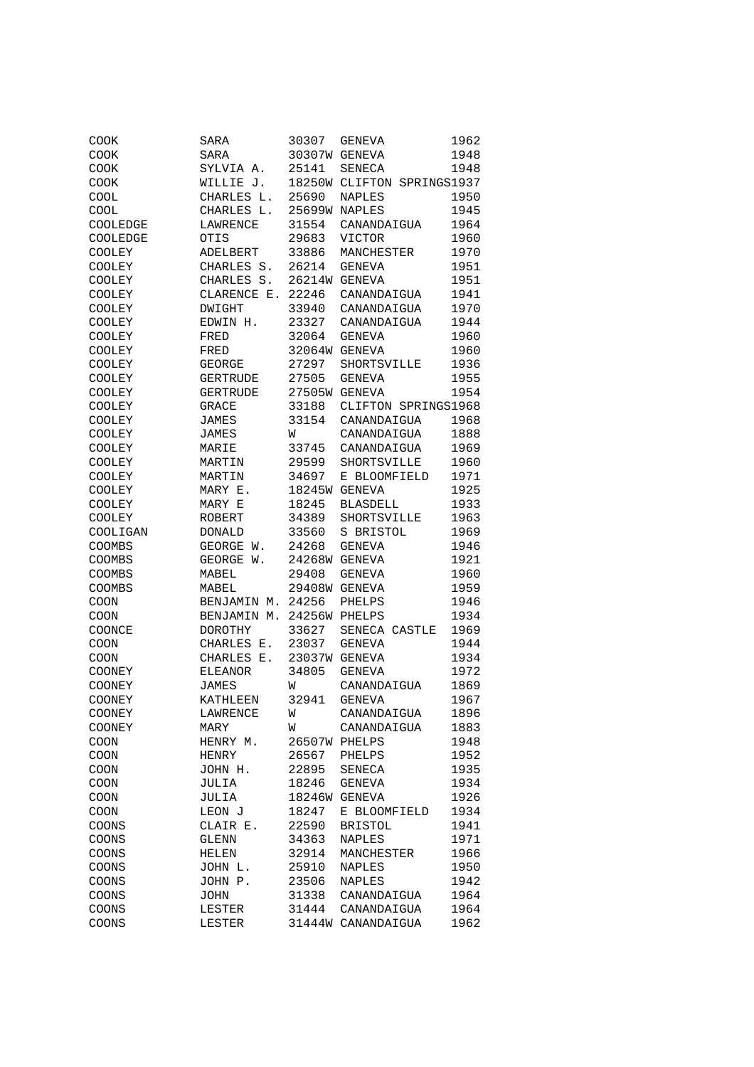| COOK             | SARA            | 30307         | GENEVA                     | 1962 |
|------------------|-----------------|---------------|----------------------------|------|
| COOK             | <b>SARA</b>     | 30307W        | GENEVA                     | 1948 |
| <b>COOK</b>      | SYLVIA A.       | 25141         | SENECA                     | 1948 |
| <b>COOK</b>      | WILLIE J.       |               | 18250W CLIFTON SPRINGS1937 |      |
| <b>COOL</b>      | CHARLES L.      | 25690         | NAPLES                     | 1950 |
| <b>COOL</b>      | CHARLES L.      | 25699W        | NAPLES                     | 1945 |
| COOLEDGE         | <b>LAWRENCE</b> | 31554         | CANANDAIGUA                | 1964 |
| COOLEDGE         | OTIS            | 29683         | VICTOR                     | 1960 |
| COOLEY           | ADELBERT        | 33886         | MANCHESTER                 | 1970 |
| COOLEY           | CHARLES S.      | 26214         | GENEVA                     | 1951 |
| <b>COOLEY</b>    | CHARLES S.      | 26214W GENEVA |                            | 1951 |
| COOLEY           | CLARENCE E.     | 22246         | CANANDAIGUA                | 1941 |
| COOLEY           | DWIGHT          | 33940         | CANANDAIGUA                | 1970 |
| COOLEY           | EDWIN H.        | 23327         | CANANDAIGUA                | 1944 |
| COOLEY           | FRED            | 32064         | GENEVA                     | 1960 |
| COOLEY           | FRED            |               | 32064W GENEVA              | 1960 |
| COOLEY           | GEORGE          | 27297         | SHORTSVILLE                | 1936 |
| COOLEY           | GERTRUDE        | 27505         | <b>GENEVA</b>              | 1955 |
| COOLEY           | GERTRUDE        | 27505W GENEVA |                            | 1954 |
| COOLEY           | GRACE           | 33188         | CLIFTON SPRINGS1968        |      |
| COOLEY           | JAMES           | 33154         | CANANDAIGUA                | 1968 |
| COOLEY           | JAMES           | W             | CANANDAIGUA                | 1888 |
| COOLEY           | MARIE           | 33745         | CANANDAIGUA                | 1969 |
| COOLEY           | MARTIN          | 29599         | SHORTSVILLE                | 1960 |
| COOLEY           | MARTIN          | 34697         | E BLOOMFIELD               | 1971 |
| COOLEY           | MARY E.         | 18245W GENEVA |                            | 1925 |
| COOLEY           | MARY E          | 18245         | <b>BLASDELL</b>            | 1933 |
| COOLEY           | ROBERT          | 34389         | SHORTSVILLE                | 1963 |
| COOLIGAN         | <b>DONALD</b>   | 33560         | S BRISTOL                  | 1969 |
| COOMBS           | GEORGE W.       | 24268         | GENEVA                     | 1946 |
| COOMBS           | GEORGE W.       |               | 24268W GENEVA              | 1921 |
| COOMBS           | MABEL           | 29408         | <b>GENEVA</b>              | 1960 |
| COOMBS           | MABEL           |               | 29408W GENEVA              | 1959 |
| COON             | BENJAMIN M.     | 24256         | PHELPS                     | 1946 |
| COON             | BENJAMIN M.     | 24256W PHELPS |                            | 1934 |
| COONCE           | DOROTHY         | 33627         | SENECA CASTLE              | 1969 |
| COON             | CHARLES E.      | 23037         | GENEVA                     | 1944 |
| COON             | CHARLES E.      | 23037W GENEVA |                            | 1934 |
| COONEY           | <b>ELEANOR</b>  | 34805         | GENEVA                     | 1972 |
| COONEY           | JAMES           | M             | CANANDAIGUA                | 1869 |
| $\texttt{CONEY}$ | KATHLEEN        | 32941         | GENEVA                     | 1967 |
| COONEY           | LAWRENCE        | W             | CANANDAIGUA                | 1896 |
| COONEY           | MARY            | <b>W</b>      | CANANDAIGUA                | 1883 |
| COON             | HENRY M.        | 26507W PHELPS |                            | 1948 |
| COON             | HENRY           | 26567         | PHELPS                     | 1952 |
| COON             | JOHN H.         | 22895         | SENECA                     | 1935 |
| COON             | JULIA           | 18246         | GENEVA                     | 1934 |
| COON             | JULIA           | 18246W GENEVA |                            | 1926 |
| COON             | LEON J          | 18247         | E BLOOMFIELD               | 1934 |
| COONS            | CLAIR E.        | 22590         | <b>BRISTOL</b>             | 1941 |
| COONS            | GLENN           | 34363         | NAPLES                     | 1971 |
| COONS            | HELEN           | 32914         | MANCHESTER                 | 1966 |
| COONS            | JOHN L.         | 25910         | NAPLES                     | 1950 |
| COONS            | JOHN P.         | 23506         | NAPLES                     | 1942 |
| COONS            | JOHN            | 31338         | CANANDAIGUA                | 1964 |
| COONS            | LESTER          | 31444         | CANANDAIGUA                | 1964 |
| COONS            | LESTER          |               | 31444W CANANDAIGUA         | 1962 |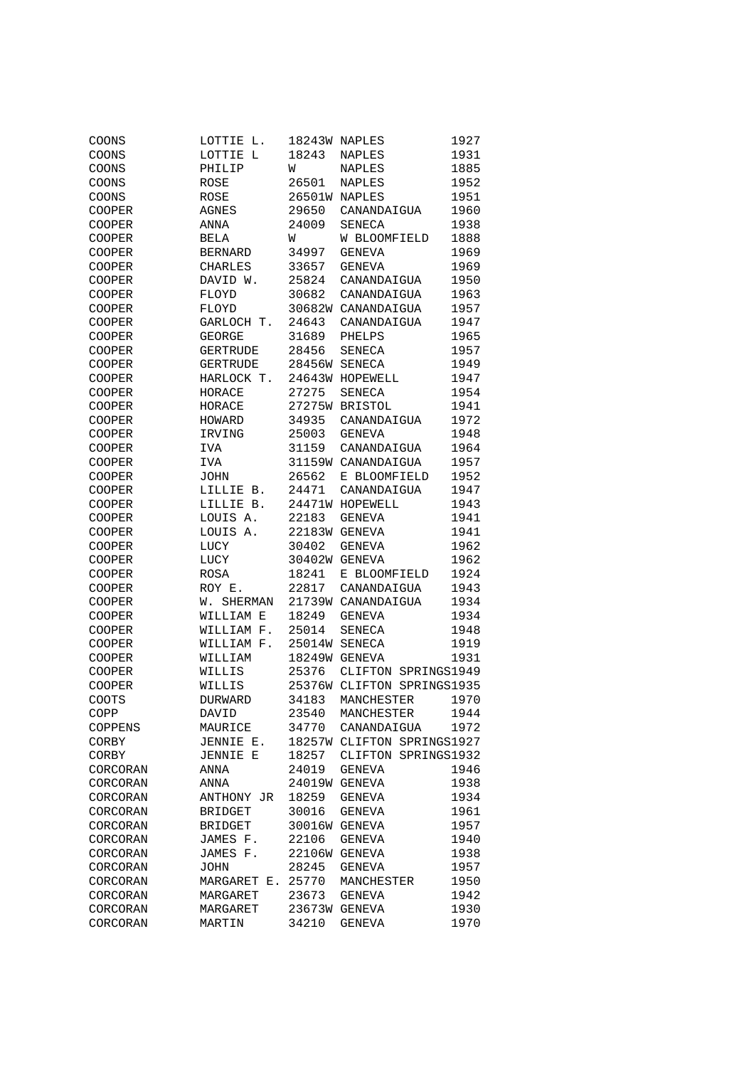| COONS         | LOTTIE L.       | 18243W NAPLES |                            | 1927 |
|---------------|-----------------|---------------|----------------------------|------|
| COONS         | LOTTIE L        | 18243         | NAPLES                     | 1931 |
| COONS         | PHILIP          | W             | NAPLES                     | 1885 |
| COONS         | ROSE            | 26501         | NAPLES                     | 1952 |
| COONS         | ROSE            |               | 26501W NAPLES              | 1951 |
| <b>COOPER</b> | AGNES           | 29650         | CANANDAIGUA                | 1960 |
| <b>COOPER</b> | ANNA            | 24009         | SENECA                     | 1938 |
| <b>COOPER</b> | <b>BELA</b>     | M             | W BLOOMFIELD               | 1888 |
| COOPER        | <b>BERNARD</b>  | 34997         | GENEVA                     | 1969 |
| COOPER        | CHARLES         | 33657         | GENEVA                     | 1969 |
| COOPER        | DAVID W.        | 25824         | CANANDAIGUA                | 1950 |
| COOPER        | FLOYD           | 30682         | CANANDAIGUA                | 1963 |
| COOPER        | FLOYD           |               | 30682W CANANDAIGUA         | 1957 |
| <b>COOPER</b> | GARLOCH T.      | 24643         | CANANDAIGUA                | 1947 |
| <b>COOPER</b> | GEORGE          | 31689         | PHELPS                     | 1965 |
| <b>COOPER</b> | <b>GERTRUDE</b> | 28456         | SENECA                     | 1957 |
| COOPER        | GERTRUDE        |               | 28456W SENECA              | 1949 |
| COOPER        | HARLOCK T.      |               | 24643W HOPEWELL            | 1947 |
| COOPER        | HORACE          | 27275         | <b>SENECA</b>              | 1954 |
| COOPER        | HORACE          |               | 27275W BRISTOL             | 1941 |
| COOPER        | HOWARD          | 34935         | CANANDAIGUA                | 1972 |
| <b>COOPER</b> | IRVING          | 25003         | GENEVA                     | 1948 |
| COOPER        | IVA             | 31159         | CANANDAIGUA                | 1964 |
| COOPER        | IVA             |               | 31159W CANANDAIGUA         | 1957 |
| COOPER        | <b>JOHN</b>     | 26562         | E BLOOMFIELD               | 1952 |
| COOPER        | LILLIE B.       | 24471         | CANANDAIGUA                | 1947 |
| COOPER        | LILLIE B.       |               | 24471W HOPEWELL            | 1943 |
| COOPER        | LOUIS A.        | 22183         | <b>GENEVA</b>              | 1941 |
| COOPER        | LOUIS A.        |               | 22183W GENEVA              | 1941 |
| <b>COOPER</b> | LUCY            | 30402         | GENEVA                     | 1962 |
| COOPER        | LUCY            |               | 30402W GENEVA              | 1962 |
| COOPER        | <b>ROSA</b>     | 18241         | E BLOOMFIELD               | 1924 |
| COOPER        | ROY E.          | 22817         | CANANDAIGUA                | 1943 |
| COOPER        | W. SHERMAN      |               | 21739W CANANDAIGUA         | 1934 |
| COOPER        | WILLIAM E       | 18249         | GENEVA                     | 1934 |
| COOPER        | WILLIAM F.      | 25014         | SENECA                     | 1948 |
| COOPER        | WILLIAM F.      | 25014W        | SENECA                     | 1919 |
| COOPER        | WILLIAM         |               | 18249W GENEVA              | 1931 |
| COOPER        | WILLIS          | 25376         | CLIFTON SPRINGS1949        |      |
| <b>COOPER</b> | WILLIS          |               | 25376W CLIFTON SPRINGS1935 |      |
| <b>COOTS</b>  | DURWARD         | 34183         | MANCHESTER                 | 1970 |
| COPP          | DAVID           | 23540         | MANCHESTER                 | 1944 |
| COPPENS       | MAURICE         | 34770         | CANANDAIGUA                | 1972 |
| CORBY         | JENNIE E.       |               | 18257W CLIFTON SPRINGS1927 |      |
| CORBY         | JENNIE E        | 18257         | CLIFTON SPRINGS1932        |      |
| CORCORAN      | ANNA            | 24019         | GENEVA                     | 1946 |
| CORCORAN      | ANNA            | 24019W        | GENEVA                     | 1938 |
| CORCORAN      | ANTHONY JR      | 18259         | <b>GENEVA</b>              | 1934 |
| CORCORAN      | <b>BRIDGET</b>  | 30016         | <b>GENEVA</b>              | 1961 |
| CORCORAN      | BRIDGET         |               | 30016W GENEVA              | 1957 |
| CORCORAN      | JAMES F.        | 22106         | GENEVA                     | 1940 |
| CORCORAN      | JAMES F.        |               | 22106W GENEVA              | 1938 |
| CORCORAN      | JOHN            | 28245         | GENEVA                     | 1957 |
| CORCORAN      | MARGARET E.     | 25770         | MANCHESTER                 | 1950 |
| CORCORAN      | MARGARET        | 23673         | GENEVA                     | 1942 |
| CORCORAN      | MARGARET        |               | 23673W GENEVA              | 1930 |
| CORCORAN      | MARTIN          | 34210         | GENEVA                     | 1970 |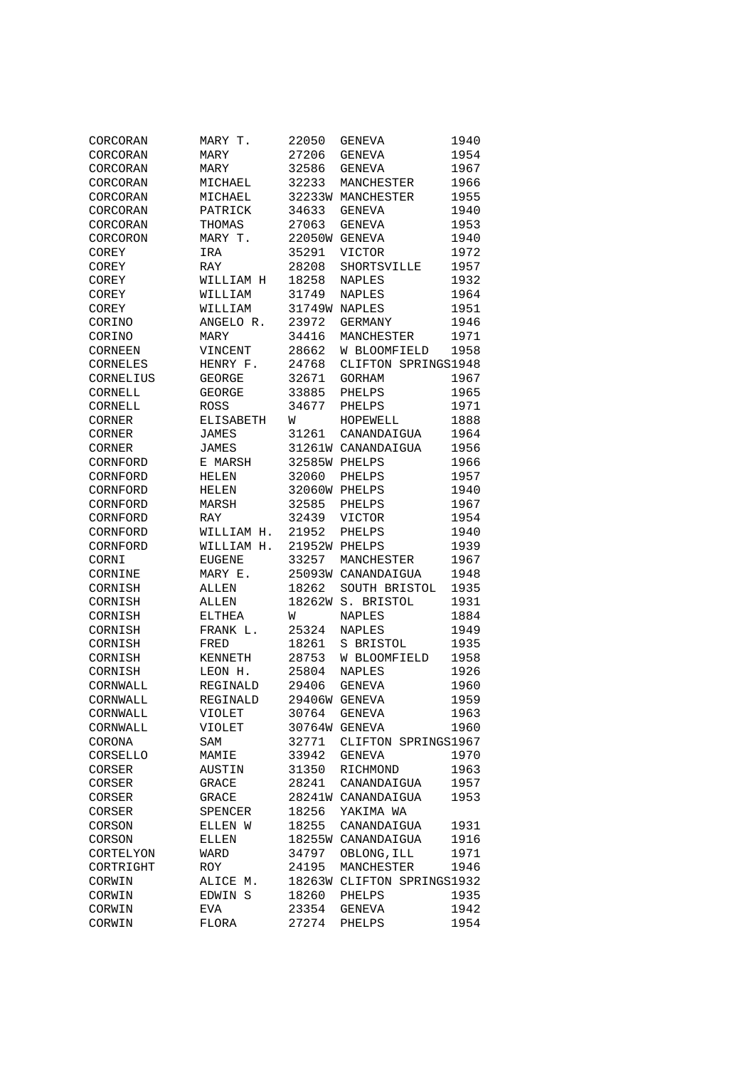| CORCORAN  | MARY T.                      | 22050         | GENEVA                     | 1940 |
|-----------|------------------------------|---------------|----------------------------|------|
| CORCORAN  | MARY                         | 27206         | <b>GENEVA</b>              | 1954 |
| CORCORAN  | $\ensuremath{\mathsf{MARY}}$ | 32586         | GENEVA                     | 1967 |
| CORCORAN  | MICHAEL                      | 32233         | MANCHESTER                 | 1966 |
| CORCORAN  | MICHAEL                      | 32233W        | MANCHESTER                 | 1955 |
| CORCORAN  | PATRICK                      | 34633         | GENEVA                     | 1940 |
| CORCORAN  | THOMAS                       | 27063         | GENEVA                     | 1953 |
| CORCORON  | MARY T.                      |               | 22050W GENEVA              | 1940 |
| COREY     | IRA                          | 35291         | VICTOR                     | 1972 |
| COREY     | RAY                          | 28208         | SHORTSVILLE                | 1957 |
| COREY     | WILLIAM H                    | 18258         | NAPLES                     | 1932 |
| COREY     | WILLIAM                      | 31749         | NAPLES                     | 1964 |
| COREY     | WILLIAM                      | 31749W NAPLES |                            | 1951 |
| CORINO    | ANGELO R.                    | 23972         | GERMANY                    | 1946 |
| CORINO    | MARY                         | 34416         | MANCHESTER                 | 1971 |
| CORNEEN   | VINCENT                      | 28662         | W BLOOMFIELD               | 1958 |
| CORNELES  | HENRY F.                     | 24768         | CLIFTON SPRINGS1948        |      |
| CORNELIUS | <b>GEORGE</b>                | 32671         | GORHAM                     | 1967 |
| CORNELL   | <b>GEORGE</b>                | 33885         | PHELPS                     | 1965 |
| CORNELL   | ROSS                         | 34677         | PHELPS                     | 1971 |
| CORNER    | ELISABETH                    | W             | HOPEWELL                   | 1888 |
| CORNER    | JAMES                        | 31261         | CANANDAIGUA                | 1964 |
| CORNER    | JAMES                        |               | 31261W CANANDAIGUA         | 1956 |
| CORNFORD  | E MARSH                      | 32585W PHELPS |                            | 1966 |
| CORNFORD  | <b>HELEN</b>                 | 32060         | PHELPS                     | 1957 |
| CORNFORD  | HELEN                        | 32060W PHELPS |                            | 1940 |
| CORNFORD  | MARSH                        | 32585         | PHELPS                     | 1967 |
| CORNFORD  | RAY                          | 32439         | VICTOR                     | 1954 |
| CORNFORD  | WILLIAM H.                   | 21952         | PHELPS                     | 1940 |
| CORNFORD  | WILLIAM H.                   | 21952W PHELPS |                            | 1939 |
| CORNI     | <b>EUGENE</b>                | 33257         | MANCHESTER                 | 1967 |
| CORNINE   | MARY E.                      |               | 25093W CANANDAIGUA         | 1948 |
| CORNISH   | ALLEN                        | 18262         | SOUTH BRISTOL              | 1935 |
| CORNISH   | ALLEN                        |               | 18262W S. BRISTOL          | 1931 |
| CORNISH   | ELTHEA                       | W             | NAPLES                     | 1884 |
| CORNISH   | FRANK L.                     | 25324         | <b>NAPLES</b>              | 1949 |
| CORNISH   | FRED                         | 18261         | S BRISTOL                  | 1935 |
| CORNISH   | KENNETH                      | 28753         | W BLOOMFIELD               | 1958 |
| CORNISH   | LEON H.                      | 25804         | <b>NAPLES</b>              | 1926 |
| CORNWALL  | REGINALD                     | 29406         | <b>GENEVA</b>              | 1960 |
| CORNWALL  | REGINALD                     |               | 29406W GENEVA              | 1959 |
| CORNWALL  | VIOLET                       |               | 30764 GENEVA               | 1963 |
| CORNWALL  | VIOLET                       |               | 30764W GENEVA              | 1960 |
| CORONA    | SAM                          | 32771         | CLIFTON SPRINGS1967        |      |
| CORSELLO  | MAMIE                        | 33942         | <b>GENEVA</b>              | 1970 |
| CORSER    | AUSTIN                       | 31350         | RICHMOND                   | 1963 |
| CORSER    | GRACE                        | 28241         | CANANDAIGUA                | 1957 |
| CORSER    | GRACE                        |               | 28241W CANANDAIGUA         | 1953 |
| CORSER    | SPENCER                      | 18256         | YAKIMA WA                  |      |
| CORSON    | ELLEN W                      | 18255         | CANANDAIGUA                | 1931 |
| CORSON    | ELLEN                        |               | 18255W CANANDAIGUA         | 1916 |
| CORTELYON | WARD                         | 34797         | OBLONG, ILL                | 1971 |
| CORTRIGHT | ROY                          | 24195         | MANCHESTER                 | 1946 |
| CORWIN    | ALICE M.                     |               | 18263W CLIFTON SPRINGS1932 |      |
| CORWIN    | EDWIN S                      | 18260         | PHELPS                     | 1935 |
| CORWIN    | EVA                          | 23354         | GENEVA                     | 1942 |
| CORWIN    | FLORA                        | 27274         | PHELPS                     | 1954 |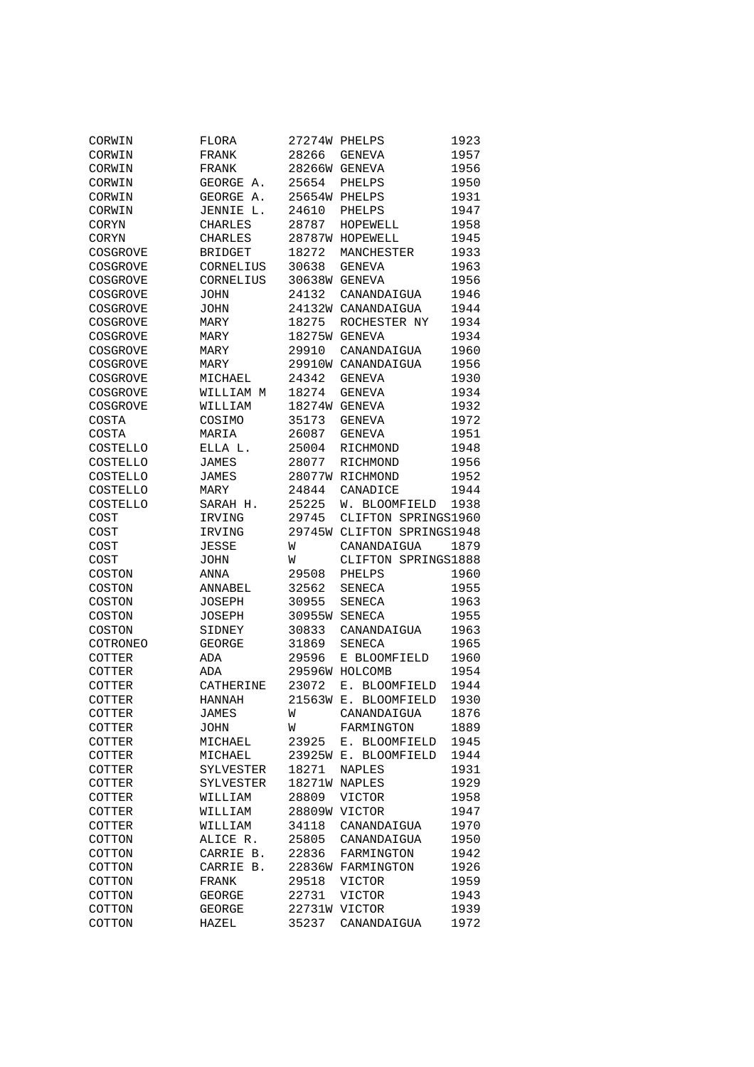| CORWIN           | FLORA                |        | 27274W PHELPS                      | 1923         |
|------------------|----------------------|--------|------------------------------------|--------------|
| CORWIN           | FRANK                | 28266  | GENEVA                             | 1957         |
| CORWIN           | FRANK                |        | 28266W GENEVA                      | 1956         |
| CORWIN           | GEORGE A.            | 25654  | PHELPS                             | 1950         |
| CORWIN           | GEORGE A.            | 25654W | PHELPS                             | 1931         |
| CORWIN           | JENNIE L.            | 24610  | PHELPS                             | 1947         |
| CORYN            | <b>CHARLES</b>       | 28787  | HOPEWELL                           | 1958         |
| CORYN            | CHARLES              |        | 28787W HOPEWELL                    | 1945         |
| COSGROVE         | <b>BRIDGET</b>       | 18272  | MANCHESTER                         | 1933         |
| COSGROVE         | CORNELIUS            | 30638  | <b>GENEVA</b>                      | 1963         |
| COSGROVE         | CORNELIUS            |        | 30638W GENEVA                      | 1956         |
| COSGROVE         | <b>JOHN</b>          | 24132  | CANANDAIGUA                        | 1946         |
| COSGROVE         | <b>JOHN</b>          |        | 24132W CANANDAIGUA                 | 1944         |
| COSGROVE         | MARY                 | 18275  | ROCHESTER NY                       | 1934         |
| COSGROVE         | MARY                 |        | 18275W GENEVA                      | 1934         |
| COSGROVE         | MARY                 | 29910  | CANANDAIGUA                        | 1960         |
| COSGROVE         | MARY                 |        | 29910W CANANDAIGUA                 | 1956         |
| COSGROVE         | MICHAEL              | 24342  | <b>GENEVA</b>                      | 1930         |
| COSGROVE         | WILLIAM M            | 18274  | <b>GENEVA</b>                      | 1934         |
| COSGROVE         | WILLIAM              |        | 18274W GENEVA                      | 1932         |
| COSTA            | COSIMO               | 35173  | <b>GENEVA</b>                      | 1972         |
| COSTA            | MARIA                | 26087  | <b>GENEVA</b>                      | 1951         |
| COSTELLO         | ELLA L.              | 25004  | RICHMOND                           | 1948         |
| COSTELLO         | <b>JAMES</b>         | 28077  | RICHMOND                           | 1956         |
| COSTELLO         |                      | 28077W | RICHMOND                           | 1952         |
| COSTELLO         | JAMES<br><b>MARY</b> | 24844  | CANADICE                           | 1944         |
| COSTELLO         | SARAH H.             | 25225  | W. BLOOMFIELD                      | 1938         |
| COST             | IRVING               | 29745  | CLIFTON SPRINGS1960                |              |
| COST             | IRVING               |        | 29745W CLIFTON SPRINGS1948         |              |
|                  |                      |        |                                    | 1879         |
| COST             | JESSE                | W<br>W | CANANDAIGUA<br>CLIFTON SPRINGS1888 |              |
| COST<br>COSTON   | <b>JOHN</b><br>ANNA  | 29508  | PHELPS                             | 1960         |
|                  |                      | 32562  |                                    |              |
| COSTON<br>COSTON | ANNABEL<br>JOSEPH    | 30955  | SENECA<br>SENECA                   | 1955<br>1963 |
| COSTON           |                      | 30955W | SENECA                             | 1955         |
| COSTON           | JOSEPH<br>SIDNEY     | 30833  | CANANDAIGUA                        | 1963         |
| COTRONEO         | GEORGE               | 31869  | SENECA                             | 1965         |
|                  | ADA                  | 29596  | E BLOOMFIELD                       | 1960         |
| COTTER<br>COTTER | ADA                  | 29596W | HOLCOMB                            | 1954         |
| <b>COTTER</b>    | CATHERINE            | 23072  | E. BLOOMFIELD                      | 1944         |
| COTTER           |                      |        |                                    |              |
| COTTER           |                      |        |                                    |              |
| <b>COTTER</b>    | HANNAH               |        | 21563W E. BLOOMFIELD               | 1930         |
|                  | JAMES                | W      | CANANDAIGUA                        | 1876         |
|                  | <b>JOHN</b>          | W      | FARMINGTON                         | 1889         |
| COTTER           | MICHAEL              | 23925  | E. BLOOMFIELD                      | 1945         |
| <b>COTTER</b>    | MICHAEL              |        | 23925W E. BLOOMFIELD               | 1944         |
| COTTER           | SYLVESTER            | 18271  | NAPLES                             | 1931         |
| COTTER           | SYLVESTER            |        | 18271W NAPLES                      | 1929         |
| COTTER           | WILLIAM              | 28809  | <b>VICTOR</b>                      | 1958         |
| COTTER           | WILLIAM              |        | 28809W VICTOR                      | 1947         |
| COTTER           | WILLIAM              | 34118  | CANANDAIGUA                        | 1970         |
| COTTON           | ALICE R.             | 25805  | CANANDAIGUA                        | 1950         |
| COTTON           | CARRIE B.            | 22836  | FARMINGTON                         | 1942         |
| COTTON           | CARRIE B.            |        | 22836W FARMINGTON                  | 1926         |
| COTTON           | <b>FRANK</b>         | 29518  | <b>VICTOR</b>                      | 1959         |
| COTTON           | GEORGE               | 22731  | VICTOR                             | 1943         |
| COTTON<br>COTTON | GEORGE<br>HAZEL      | 35237  | 22731W VICTOR<br>CANANDAIGUA       | 1939<br>1972 |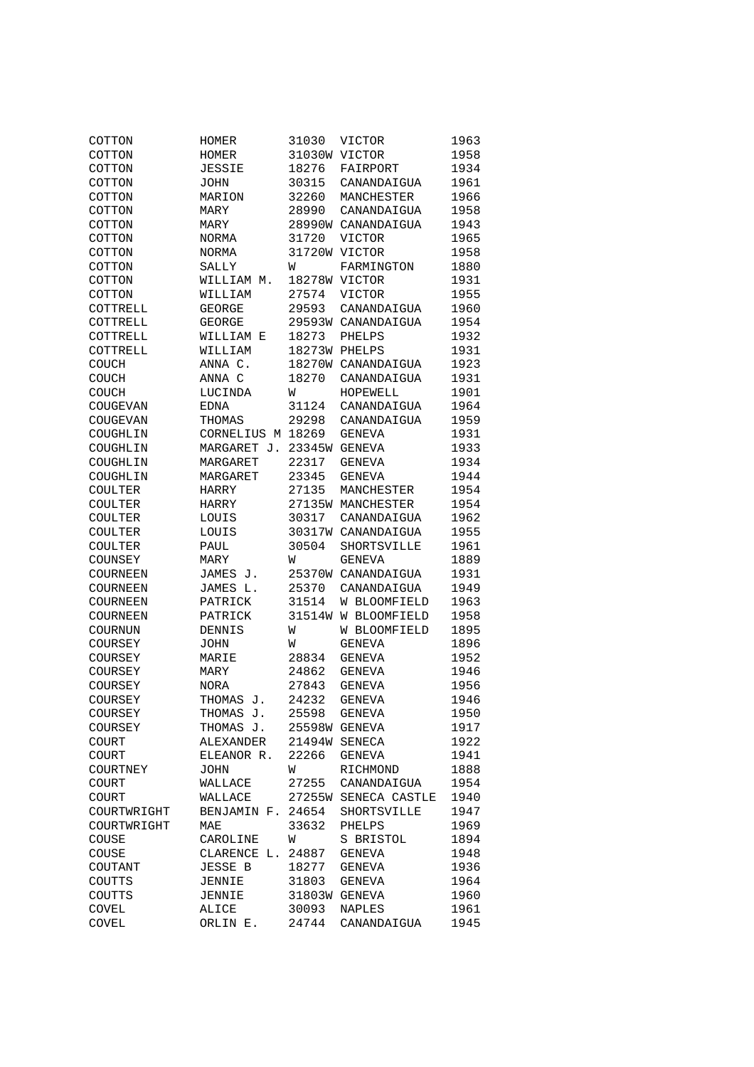| COTTON        | HOMER             | 31030         | VICTOR               | 1963 |
|---------------|-------------------|---------------|----------------------|------|
| COTTON        | HOMER             |               | 31030W VICTOR        | 1958 |
| COTTON        | JESSIE            | 18276         | FAIRPORT             | 1934 |
| COTTON        | JOHN              | 30315         | CANANDAIGUA          | 1961 |
| COTTON        | MARION            | 32260         | MANCHESTER           | 1966 |
| COTTON        | MARY              | 28990         | CANANDAIGUA          | 1958 |
| COTTON        | MARY              | 28990W        | CANANDAIGUA          | 1943 |
| COTTON        | <b>NORMA</b>      | 31720         | <b>VICTOR</b>        | 1965 |
| COTTON        | NORMA             |               | 31720W VICTOR        | 1958 |
| COTTON        | SALLY             | W             | FARMINGTON           | 1880 |
| COTTON        | WILLIAM M.        | 18278W VICTOR |                      | 1931 |
| COTTON        | WILLIAM           | 27574         | VICTOR               | 1955 |
| COTTRELL      | GEORGE            | 29593         | CANANDAIGUA          | 1960 |
| COTTRELL      | GEORGE            | 29593W        | CANANDAIGUA          | 1954 |
| COTTRELL      | WILLIAM E         | 18273         | PHELPS               | 1932 |
| COTTRELL      | WILLIAM           | 18273W        | PHELPS               | 1931 |
| <b>COUCH</b>  | ANNA C.           | 18270W        | CANANDAIGUA          | 1923 |
| <b>COUCH</b>  | ANNA C            | 18270         | CANANDAIGUA          | 1931 |
| <b>COUCH</b>  | LUCINDA           | W             | HOPEWELL             | 1901 |
| COUGEVAN      | <b>EDNA</b>       | 31124         | CANANDAIGUA          | 1964 |
| COUGEVAN      | THOMAS            | 29298         | CANANDAIGUA          | 1959 |
| COUGHLIN      | CORNELIUS M 18269 |               | <b>GENEVA</b>        | 1931 |
| COUGHLIN      | MARGARET J.       | 23345W        | <b>GENEVA</b>        | 1933 |
| COUGHLIN      | MARGARET          | 22317         | GENEVA               | 1934 |
| COUGHLIN      | MARGARET          | 23345         | <b>GENEVA</b>        | 1944 |
| COULTER       | <b>HARRY</b>      | 27135         | MANCHESTER           | 1954 |
| COULTER       | HARRY             |               | 27135W MANCHESTER    | 1954 |
| COULTER       | LOUIS             | 30317         | CANANDAIGUA          | 1962 |
| COULTER       | LOUIS             | 30317W        | CANANDAIGUA          | 1955 |
| COULTER       | PAUL              | 30504         | SHORTSVILLE          | 1961 |
| COUNSEY       | MARY              | W             | <b>GENEVA</b>        | 1889 |
| COURNEEN      | JAMES J.          | 25370W        | CANANDAIGUA          | 1931 |
| COURNEEN      | JAMES L.          | 25370         | CANANDAIGUA          | 1949 |
| COURNEEN      | PATRICK           | 31514         | W BLOOMFIELD         | 1963 |
| COURNEEN      | PATRICK           | 31514W        | W BLOOMFIELD         | 1958 |
| COURNUN       | DENNIS            | W             | W BLOOMFIELD         | 1895 |
| COURSEY       | <b>JOHN</b>       | W             | <b>GENEVA</b>        | 1896 |
| COURSEY       | MARIE             | 28834         | GENEVA               | 1952 |
| COURSEY       | MARY              | 24862         | GENEVA               | 1946 |
| COURSEY       | NORA              | 27843         | <b>GENEVA</b>        | 1956 |
| COURSEY       | THOMAS J.         | 24232         | GENEVA               | 1946 |
| COURSEY       | THOMAS J.         | 25598         | GENEVA               | 1950 |
| COURSEY       | THOMAS J.         | 25598W GENEVA |                      | 1917 |
| <b>COURT</b>  | ALEXANDER         | 21494W SENECA |                      | 1922 |
| COURT         | ELEANOR R.        | 22266         | <b>GENEVA</b>        | 1941 |
| COURTNEY      | JOHN              | W             | RICHMOND             | 1888 |
| COURT         | WALLACE           | 27255         | CANANDAIGUA          | 1954 |
| COURT         | WALLACE           |               | 27255W SENECA CASTLE | 1940 |
| COURTWRIGHT   | BENJAMIN F. 24654 |               | SHORTSVILLE          | 1947 |
| COURTWRIGHT   | MAE               | 33632         | PHELPS               | 1969 |
| COUSE         | CAROLINE          | W             | S BRISTOL            | 1894 |
| <b>COUSE</b>  | CLARENCE L. 24887 |               | GENEVA               | 1948 |
| COUTANT       | <b>JESSE B</b>    | 18277         | GENEVA               | 1936 |
| COUTTS        | JENNIE            | 31803         | GENEVA               | 1964 |
| <b>COUTTS</b> | JENNIE            | 31803W GENEVA |                      | 1960 |
| COVEL         | ALICE             | 30093         | NAPLES               | 1961 |
| COVEL         | ORLIN E.          | 24744         | CANANDAIGUA          | 1945 |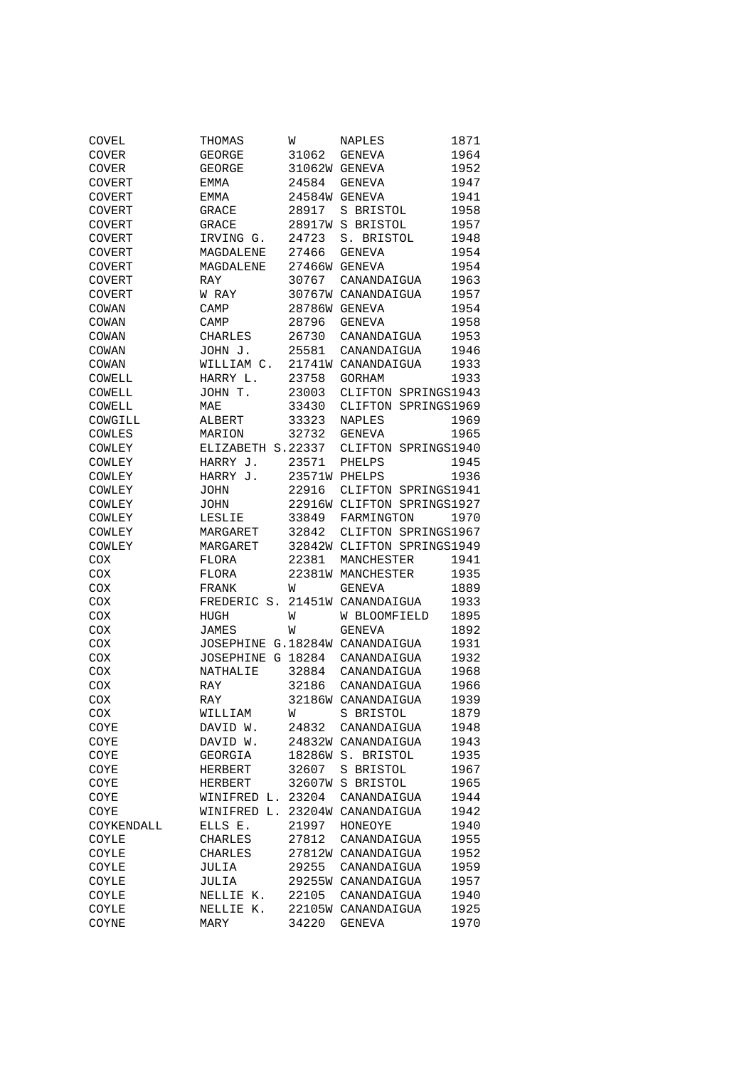| COVEL         | THOMAS                         | W            | <b>NAPLES</b>                         | 1871 |
|---------------|--------------------------------|--------------|---------------------------------------|------|
| COVER         | GEORGE                         | 31062        | GENEVA                                | 1964 |
| <b>COVER</b>  | GEORGE                         |              | 31062W GENEVA                         | 1952 |
| <b>COVERT</b> | <b>EMMA</b>                    | 24584        | GENEVA                                | 1947 |
| COVERT        | EMMA                           |              | 24584W GENEVA                         | 1941 |
| <b>COVERT</b> | GRACE                          | 28917        | S BRISTOL                             | 1958 |
| COVERT        | GRACE                          |              | 28917W S BRISTOL                      | 1957 |
| COVERT        | IRVING G.                      | 24723        | S. BRISTOL                            | 1948 |
| COVERT        | MAGDALENE                      | 27466        | <b>GENEVA</b>                         | 1954 |
| <b>COVERT</b> | MAGDALENE                      |              | 27466W GENEVA                         | 1954 |
| COVERT        | RAY                            |              | 30767 CANANDAIGUA                     | 1963 |
| COVERT        | W RAY                          |              | 30767W CANANDAIGUA                    | 1957 |
| COWAN         | CAMP                           |              | 28786W GENEVA                         | 1954 |
| COWAN         | CAMP                           | 28796        | GENEVA                                | 1958 |
| COWAN         | CHARLES                        |              | 26730 CANANDAIGUA                     | 1953 |
| COWAN         | JOHN J.                        | 25581        | CANANDAIGUA                           | 1946 |
| COWAN         | WILLIAM C.                     |              | 21741W CANANDAIGUA                    | 1933 |
| COWELL        | HARRY L.                       | 23758        | GORHAM                                | 1933 |
| COWELL        | JOHN T.                        | 23003        | CLIFTON SPRINGS1943                   |      |
| COWELL        | <b>MAE</b>                     | 33430        | CLIFTON SPRINGS1969                   |      |
| COWGILL       | ALBERT                         | 33323        | NAPLES                                | 1969 |
| COWLES        | MARION                         | 32732        | GENEVA                                | 1965 |
| COWLEY        |                                |              | ELIZABETH S.22337 CLIFTON SPRINGS1940 |      |
| COWLEY        | HARRY J.                       | 23571 PHELPS |                                       | 1945 |
| COWLEY        | HARRY J.                       |              | 23571W PHELPS                         | 1936 |
| COWLEY        | <b>JOHN</b>                    |              | 22916 CLIFTON SPRINGS1941             |      |
| COWLEY        | JOHN                           |              | 22916W CLIFTON SPRINGS1927            |      |
| COWLEY        | LESLIE                         | 33849        | FARMINGTON                            | 1970 |
| COWLEY        | MARGARET                       | 32842        | CLIFTON SPRINGS1967                   |      |
| COWLEY        | MARGARET                       |              | 32842W CLIFTON SPRINGS1949            |      |
| COX           | FLORA                          | 22381        | MANCHESTER                            | 1941 |
| COX           | FLORA                          |              | 22381W MANCHESTER                     | 1935 |
| COX           | FRANK                          | <b>W</b>     | GENEVA                                | 1889 |
| COX           | FREDERIC S. 21451W CANANDAIGUA |              |                                       | 1933 |
| COX           | HUGH                           | W            | W BLOOMFIELD                          | 1895 |
| COX           | JAMES                          | W            | <b>GENEVA</b>                         | 1892 |
| COX           | JOSEPHINE G.18284W CANANDAIGUA |              |                                       | 1931 |
| COX           | JOSEPHINE G 18284              |              | CANANDAIGUA                           | 1932 |
| COX           | NATHALIE                       | 32884        | CANANDAIGUA                           | 1968 |
| COX           | RAY                            | 32186        | CANANDAIGUA                           | 1966 |
| COX           | RAY                            |              | 32186W CANANDAIGUA                    | 1939 |
| COX           | WILLIAM                        | <b>W</b>     | S BRISTOL                             | 1879 |
| COYE          | DAVID W.                       | 24832        | CANANDAIGUA                           | 1948 |
| COYE          | DAVID W.                       |              | 24832W CANANDAIGUA                    | 1943 |
| COYE          | GEORGIA                        |              | 18286W S. BRISTOL                     | 1935 |
| COYE          | HERBERT                        | 32607        | S BRISTOL                             | 1967 |
| COYE          | HERBERT                        |              | 32607W S BRISTOL                      | 1965 |
| COYE          | WINIFRED L. 23204              |              | CANANDAIGUA                           | 1944 |
| COYE          | WINIFRED L.                    |              | 23204W CANANDAIGUA                    | 1942 |
| COYKENDALL    | ELLS E.                        | 21997        | HONEOYE                               | 1940 |
| COYLE         | <b>CHARLES</b>                 | 27812        | CANANDAIGUA                           | 1955 |
| COYLE         | CHARLES                        |              | 27812W CANANDAIGUA                    | 1952 |
| COYLE         | JULIA                          | 29255        | CANANDAIGUA                           | 1959 |
| COYLE         | JULIA                          |              | 29255W CANANDAIGUA                    | 1957 |
| COYLE         | NELLIE K.                      |              | 22105 CANANDAIGUA                     | 1940 |
| COYLE         | NELLIE K.                      |              | 22105W CANANDAIGUA                    | 1925 |
| COYNE         | MARY                           | 34220        | <b>GENEVA</b>                         | 1970 |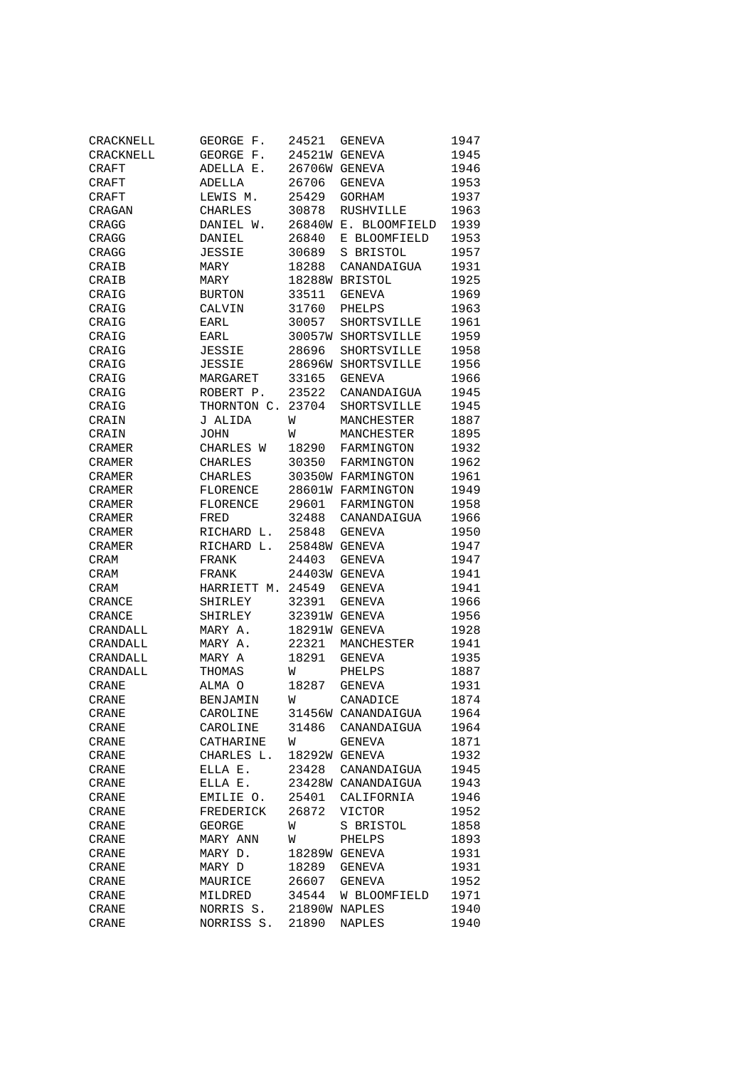| CRACKNELL     | GEORGE F.               | 24521    | GENEVA                      | 1947 |
|---------------|-------------------------|----------|-----------------------------|------|
| CRACKNELL     | GEORGE F.               |          | 24521W GENEVA               | 1945 |
| <b>CRAFT</b>  | ADELLA E.               |          | 26706W GENEVA               | 1946 |
| CRAFT         | ADELLA                  | 26706    | GENEVA                      | 1953 |
| <b>CRAFT</b>  | LEWIS M.                | 25429    | GORHAM                      | 1937 |
| CRAGAN        | <b>CHARLES</b>          | 30878    | <b>RUSHVILLE</b>            | 1963 |
| CRAGG         | DANIEL W.               | 26840W   | E. BLOOMFIELD               | 1939 |
| CRAGG         | DANIEL                  | 26840    | E BLOOMFIELD                | 1953 |
| CRAGG         | JESSIE                  | 30689    | S BRISTOL                   | 1957 |
| CRAIB         | MARY                    | 18288    | CANANDAIGUA                 | 1931 |
|               |                         |          |                             |      |
| CRAIB         | MARY                    | 18288W   | <b>BRISTOL</b>              | 1925 |
| CRAIG         | <b>BURTON</b>           | 33511    | GENEVA                      | 1969 |
| CRAIG         | CALVIN                  | 31760    | PHELPS                      | 1963 |
| CRAIG         | EARL                    | 30057    | SHORTSVILLE                 | 1961 |
| CRAIG         | EARL                    |          | 30057W SHORTSVILLE          | 1959 |
| CRAIG         | JESSIE                  | 28696    | SHORTSVILLE                 | 1958 |
| CRAIG         | JESSIE                  | 28696W   | SHORTSVILLE                 | 1956 |
| CRAIG         | MARGARET                | 33165    | GENEVA                      | 1966 |
| CRAIG         | ROBERT P.               | 23522    | CANANDAIGUA                 | 1945 |
| CRAIG         | THORNTON C.             | 23704    | SHORTSVILLE                 | 1945 |
| CRAIN         | J ALIDA                 | W        | MANCHESTER                  | 1887 |
| CRAIN         | <b>JOHN</b>             | W        | MANCHESTER                  | 1895 |
| <b>CRAMER</b> | CHARLES W               | 18290    | FARMINGTON                  | 1932 |
| CRAMER        | CHARLES                 | 30350    | FARMINGTON                  | 1962 |
| <b>CRAMER</b> | CHARLES                 |          | 30350W FARMINGTON           | 1961 |
| <b>CRAMER</b> | FLORENCE                |          | 28601W FARMINGTON           | 1949 |
| <b>CRAMER</b> | FLORENCE                | 29601    | FARMINGTON                  | 1958 |
| CRAMER        | FRED                    | 32488    | CANANDAIGUA                 | 1966 |
| <b>CRAMER</b> | RICHARD L.              | 25848    | GENEVA                      | 1950 |
| <b>CRAMER</b> | RICHARD L.              |          | 25848W GENEVA               | 1947 |
| CRAM          | FRANK                   | 24403    | GENEVA                      | 1947 |
| CRAM          | FRANK                   |          | 24403W GENEVA               | 1941 |
| CRAM          | HARRIETT M.             | 24549    | GENEVA                      | 1941 |
| <b>CRANCE</b> | SHIRLEY                 | 32391    | GENEVA                      | 1966 |
| CRANCE        | SHIRLEY                 |          | 32391W GENEVA               | 1956 |
| CRANDALL      | MARY A.                 | 18291W   | GENEVA                      | 1928 |
| CRANDALL      | MARY A.                 | 22321    | MANCHESTER                  | 1941 |
| CRANDALL      | MARY A                  | 18291    | GENEVA                      | 1935 |
| CRANDALL      | THOMAS                  | W        | PHELPS                      | 1887 |
| <b>CRANE</b>  | ALMA O                  | 18287    | <b>GENEVA</b>               | 1931 |
| CRANE         | BENJAMIN                | <b>W</b> | CANADICE                    | 1874 |
| CRANE         |                         |          | CAROLINE 31456W CANANDAIGUA | 1964 |
| CRANE         | CAROLINE                |          | 31486 CANANDAIGUA           | 1964 |
| CRANE         | CATHARINE               | W        | GENEVA                      | 1871 |
| CRANE         | CHARLES L.              |          | 18292W GENEVA               | 1932 |
| <b>CRANE</b>  | ELLA E.                 |          | 23428 CANANDAIGUA           | 1945 |
| CRANE         | ELLA E.                 |          | 23428W CANANDAIGUA          | 1943 |
| CRANE         | EMILIE O.               |          | 25401 CALIFORNIA            | 1946 |
| <b>CRANE</b>  | FREDERICK               |          | 26872 VICTOR                | 1952 |
| CRANE         | GEORGE                  | W        | S BRISTOL                   | 1858 |
| CRANE         | MARY ANN                | <b>W</b> | PHELPS                      | 1893 |
| CRANE         | MARY D.                 |          | 18289W GENEVA               | 1931 |
| CRANE         | MARY D                  |          | 18289 GENEVA                | 1931 |
| CRANE         | MAURICE                 |          | 26607 GENEVA                | 1952 |
| CRANE         | MILDRED                 |          | 34544 W BLOOMFIELD          | 1971 |
| CRANE         | NORRIS S. 21890W NAPLES |          |                             | 1940 |
| <b>CRANE</b>  | NORRISS S. 21890        |          | NAPLES                      | 1940 |
|               |                         |          |                             |      |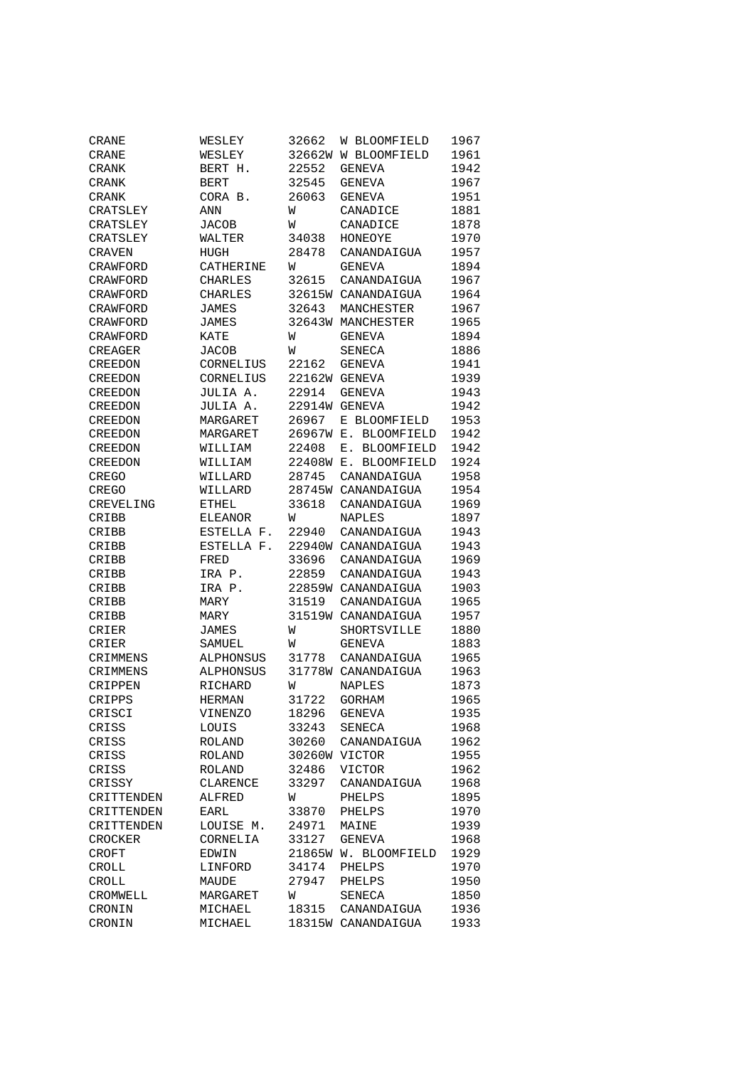| CRANE          | WESLEY       | 32662  | W BLOOMFIELD            | 1967 |
|----------------|--------------|--------|-------------------------|------|
| CRANE          | WESLEY       | 32662W | W BLOOMFIELD            | 1961 |
| <b>CRANK</b>   | BERT H.      | 22552  | GENEVA                  | 1942 |
| <b>CRANK</b>   | BERT         | 32545  | GENEVA                  | 1967 |
| <b>CRANK</b>   | CORA B.      | 26063  | <b>GENEVA</b>           | 1951 |
| CRATSLEY       | ANN          | W      | CANADICE                | 1881 |
| CRATSLEY       | <b>JACOB</b> | W      | CANADICE                | 1878 |
| CRATSLEY       | WALTER       | 34038  | HONEOYE                 | 1970 |
| <b>CRAVEN</b>  | HUGH         | 28478  | CANANDAIGUA             | 1957 |
| CRAWFORD       | CATHERINE    | W      | GENEVA                  | 1894 |
| CRAWFORD       | CHARLES      | 32615  | CANANDAIGUA             | 1967 |
| CRAWFORD       | CHARLES      | 32615W | CANANDAIGUA             | 1964 |
| CRAWFORD       | <b>JAMES</b> | 32643  | MANCHESTER              | 1967 |
| CRAWFORD       | JAMES        | 32643W | MANCHESTER              | 1965 |
| CRAWFORD       | KATE         | W      | GENEVA                  | 1894 |
| CREAGER        | <b>JACOB</b> | W      | SENECA                  | 1886 |
| CREEDON        | CORNELIUS    | 22162  | GENEVA                  | 1941 |
| CREEDON        | CORNELIUS    | 22162W | <b>GENEVA</b>           | 1939 |
| <b>CREEDON</b> | JULIA A.     | 22914  | GENEVA                  | 1943 |
| <b>CREEDON</b> | JULIA A.     | 22914W | <b>GENEVA</b>           | 1942 |
| <b>CREEDON</b> | MARGARET     | 26967  | E BLOOMFIELD            | 1953 |
| CREEDON        | MARGARET     | 26967W | E. BLOOMFIELD           | 1942 |
| CREEDON        | WILLIAM      | 22408  | E. BLOOMFIELD           | 1942 |
| CREEDON        | WILLIAM      | 22408W | Е.<br><b>BLOOMFIELD</b> | 1924 |
| <b>CREGO</b>   | WILLARD      | 28745  | CANANDAIGUA             | 1958 |
| <b>CREGO</b>   | WILLARD      | 28745W | CANANDAIGUA             | 1954 |
| CREVELING      | ETHEL        | 33618  | CANANDAIGUA             | 1969 |
| CRIBB          | ELEANOR      | W      | NAPLES                  | 1897 |
| CRIBB          | ESTELLA F.   | 22940  | CANANDAIGUA             | 1943 |
| CRIBB          | ESTELLA F.   | 22940W | CANANDAIGUA             | 1943 |
| CRIBB          | FRED         | 33696  | CANANDAIGUA             | 1969 |
| CRIBB          | IRA P.       | 22859  | CANANDAIGUA             | 1943 |
| CRIBB          | IRA P.       |        | 22859W CANANDAIGUA      | 1903 |
| CRIBB          | MARY         | 31519  | CANANDAIGUA             | 1965 |
| CRIBB          | MARY         | 31519W | CANANDAIGUA             | 1957 |
| CRIER          | JAMES        | W      | SHORTSVILLE             | 1880 |
| CRIER          | SAMUEL       | W      | GENEVA                  | 1883 |
| CRIMMENS       | ALPHONSUS    | 31778  | CANANDAIGUA             | 1965 |
| CRIMMENS       | ALPHONSUS    |        | 31778W CANANDAIGUA      | 1963 |
| CRIPPEN        | RICHARD      | W      | <b>NAPLES</b>           | 1873 |
| CRIPPS         | HERMAN       | 31722  | GORHAM                  | 1965 |
| CRISCI         | VINENZO      | 18296  | GENEVA                  | 1935 |
| CRISS          | LOUIS        | 33243  | SENECA                  | 1968 |
| CRISS          | ROLAND       | 30260  | CANANDAIGUA             | 1962 |
| CRISS          | ROLAND       |        | 30260W VICTOR           | 1955 |
| CRISS          | ROLAND       | 32486  | VICTOR                  | 1962 |
| CRISSY         | CLARENCE     | 33297  | CANANDAIGUA             | 1968 |
| CRITTENDEN     | ALFRED       | W      | PHELPS                  | 1895 |
| CRITTENDEN     | EARL         | 33870  | PHELPS                  | 1970 |
| CRITTENDEN     | LOUISE M.    | 24971  | MAINE                   | 1939 |
| CROCKER        | CORNELIA     | 33127  | GENEVA                  | 1968 |
| CROFT          | EDWIN        |        | 21865W W. BLOOMFIELD    | 1929 |
| CROLL          | LINFORD      | 34174  | PHELPS                  | 1970 |
| CROLL          | MAUDE        | 27947  | PHELPS                  | 1950 |
| CROMWELL       | MARGARET     | W      | SENECA                  | 1850 |
| CRONIN         | MICHAEL      |        | 18315 CANANDAIGUA       | 1936 |
| CRONIN         | MICHAEL      |        | 18315W CANANDAIGUA      | 1933 |
|                |              |        |                         |      |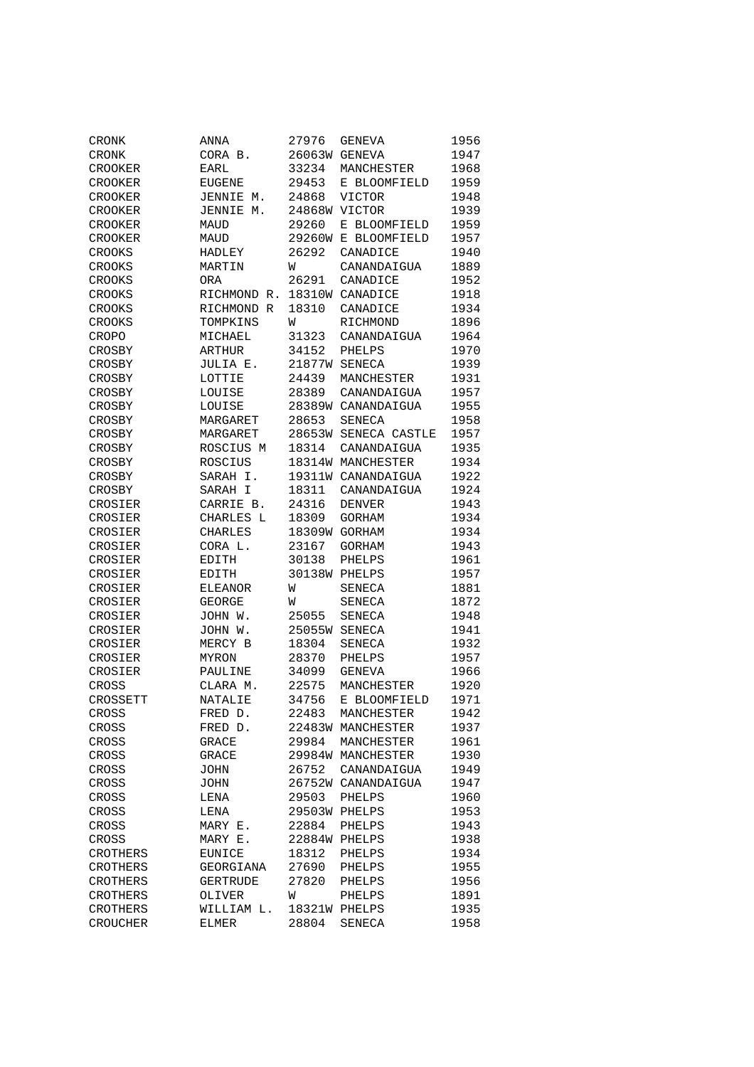| <b>CRONK</b>   | ANNA           | 27976         | GENEVA               | 1956 |
|----------------|----------------|---------------|----------------------|------|
|                |                | 26063W        |                      |      |
| <b>CRONK</b>   | CORA B.        |               | GENEVA               | 1947 |
| <b>CROOKER</b> | EARL           | 33234         | MANCHESTER           | 1968 |
| CROOKER        | <b>EUGENE</b>  | 29453         | E BLOOMFIELD         | 1959 |
| <b>CROOKER</b> | JENNIE M.      | 24868         | VICTOR               | 1948 |
| <b>CROOKER</b> | JENNIE M.      | 24868W        | VICTOR               | 1939 |
| <b>CROOKER</b> | MAUD           | 29260         | E BLOOMFIELD         | 1959 |
| <b>CROOKER</b> | MAUD           | 29260W        | E BLOOMFIELD         | 1957 |
| <b>CROOKS</b>  | HADLEY         | 26292         | CANADICE             | 1940 |
| <b>CROOKS</b>  | MARTIN         | M             | CANANDAIGUA          | 1889 |
| <b>CROOKS</b>  | <b>ORA</b>     | 26291         | CANADICE             | 1952 |
| <b>CROOKS</b>  | RICHMOND R.    | 18310W        | CANADICE             | 1918 |
| <b>CROOKS</b>  | RICHMOND R     | 18310         | CANADICE             | 1934 |
| CROOKS         | TOMPKINS       | M             | RICHMOND             | 1896 |
| <b>CROPO</b>   | MICHAEL        | 31323         | CANANDAIGUA          | 1964 |
| CROSBY         | <b>ARTHUR</b>  | 34152         | PHELPS               | 1970 |
| CROSBY         | JULIA E.       | 21877W        | SENECA               | 1939 |
| CROSBY         | LOTTIE         | 24439         | MANCHESTER           | 1931 |
| CROSBY         | LOUISE         | 28389         | CANANDAIGUA          | 1957 |
| CROSBY         | LOUISE         |               | 28389W CANANDAIGUA   | 1955 |
| CROSBY         | MARGARET       | 28653         | SENECA               | 1958 |
| CROSBY         | MARGARET       |               | 28653W SENECA CASTLE | 1957 |
| CROSBY         | ROSCIUS M      | 18314         | CANANDAIGUA          | 1935 |
| CROSBY         | ROSCIUS        | 18314W        | MANCHESTER           | 1934 |
| CROSBY         | SARAH I.       | 19311W        | CANANDAIGUA          | 1922 |
| CROSBY         | SARAH I        | 18311         | CANANDAIGUA          | 1924 |
| CROSIER        | CARRIE B.      | 24316         | <b>DENVER</b>        | 1943 |
| CROSIER        | CHARLES L      | 18309         | GORHAM               | 1934 |
| CROSIER        | CHARLES        | 18309W        | GORHAM               | 1934 |
| CROSIER        | CORA L.        | 23167         | GORHAM               | 1943 |
| CROSIER        | EDITH          | 30138         | PHELPS               | 1961 |
| CROSIER        | EDITH          | 30138W        | PHELPS               | 1957 |
| CROSIER        | <b>ELEANOR</b> | M             | SENECA               | 1881 |
| CROSIER        |                | M             | SENECA               | 1872 |
|                | GEORGE         |               |                      | 1948 |
| CROSIER        | JOHN W.        | 25055         | SENECA               |      |
| CROSIER        | JOHN W.        | 25055W        | <b>SENECA</b>        | 1941 |
| CROSIER        | MERCY B        | 18304         | SENECA               | 1932 |
| CROSIER        | <b>MYRON</b>   | 28370         | PHELPS               | 1957 |
| CROSIER        | PAULINE        | 34099         | GENEVA               | 1966 |
| CROSS          | CLARA M.       | 22575         | MANCHESTER           | 1920 |
| CROSSETT       | NATALIE        | 34756         | E BLOOMFIELD         | 1971 |
| CROSS          | FRED D.        | 22483         | MANCHESTER           | 1942 |
| CROSS          | FRED D.        |               | 22483W MANCHESTER    | 1937 |
| CROSS          | GRACE          | 29984         | MANCHESTER           | 1961 |
| CROSS          | GRACE          |               | 29984W MANCHESTER    | 1930 |
| CROSS          | JOHN           | 26752         | CANANDAIGUA          | 1949 |
| CROSS          | JOHN           |               | 26752W CANANDAIGUA   | 1947 |
| CROSS          | LENA           | 29503         | PHELPS               | 1960 |
| CROSS          | LENA           | 29503W PHELPS |                      | 1953 |
| CROSS          | MARY E.        | 22884         | PHELPS               | 1943 |
| CROSS          | MARY E.        | 22884W PHELPS |                      | 1938 |
| CROTHERS       | EUNICE         | 18312         | PHELPS               | 1934 |
| CROTHERS       | GEORGIANA      | 27690         | PHELPS               | 1955 |
| CROTHERS       | GERTRUDE       | 27820         | PHELPS               | 1956 |
| CROTHERS       | OLIVER         | W             | PHELPS               | 1891 |
| CROTHERS       | WILLIAM L.     | 18321W        | PHELPS               | 1935 |
| CROUCHER       | ELMER          | 28804         | SENECA               | 1958 |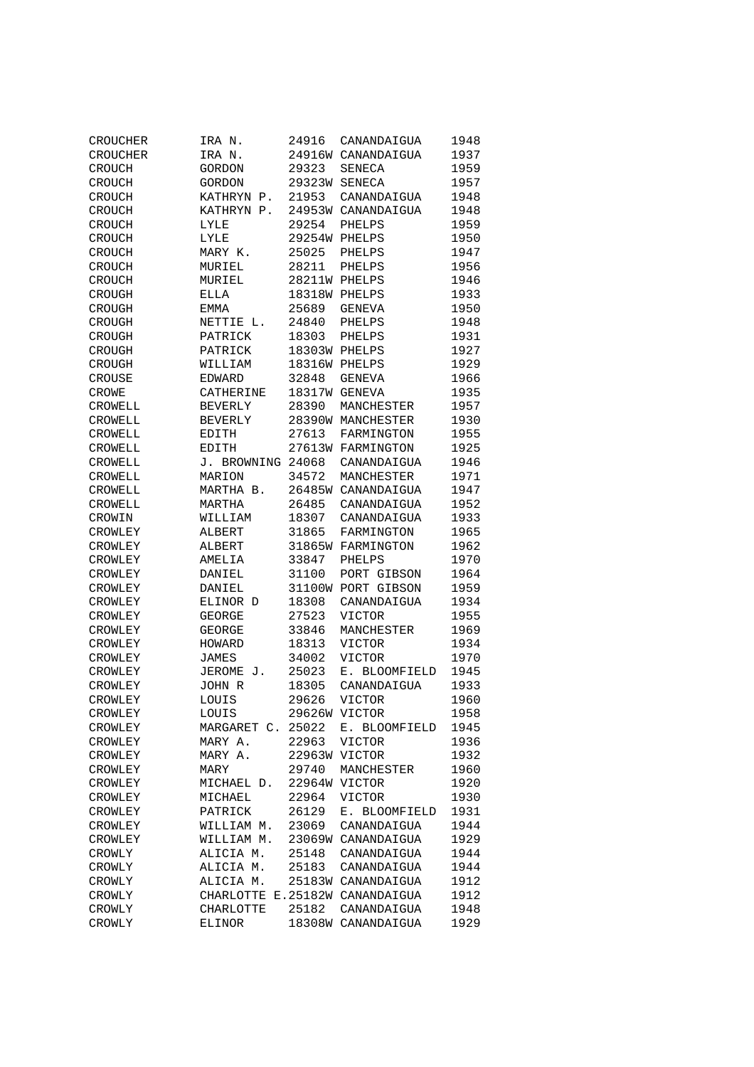| CROUCHER        | IRA N.            | 24916         | CANANDAIGUA                    | 1948 |
|-----------------|-------------------|---------------|--------------------------------|------|
| <b>CROUCHER</b> | IRA N.            |               | 24916W CANANDAIGUA             | 1937 |
| <b>CROUCH</b>   | GORDON            | 29323         | SENECA                         | 1959 |
| <b>CROUCH</b>   | GORDON            | 29323W        | SENECA                         | 1957 |
| <b>CROUCH</b>   | KATHRYN P.        | 21953         | CANANDAIGUA                    | 1948 |
| <b>CROUCH</b>   | KATHRYN P.        |               | 24953W CANANDAIGUA             | 1948 |
| <b>CROUCH</b>   | LYLE              | 29254         | PHELPS                         | 1959 |
| <b>CROUCH</b>   | <b>LYLE</b>       |               | 29254W PHELPS                  | 1950 |
| <b>CROUCH</b>   | MARY K.           | 25025         | PHELPS                         | 1947 |
| <b>CROUCH</b>   | MURIEL            | 28211         | PHELPS                         | 1956 |
| CROUCH          | MURIEL            | 28211W PHELPS |                                | 1946 |
| <b>CROUGH</b>   | ELLA              | 18318W        | PHELPS                         | 1933 |
| <b>CROUGH</b>   | <b>EMMA</b>       | 25689         | GENEVA                         | 1950 |
| <b>CROUGH</b>   | NETTIE L.         | 24840         | PHELPS                         | 1948 |
| <b>CROUGH</b>   | PATRICK           | 18303         | PHELPS                         | 1931 |
| <b>CROUGH</b>   | PATRICK           | 18303W PHELPS |                                | 1927 |
| CROUGH          | WILLIAM           | 18316W        | PHELPS                         | 1929 |
| <b>CROUSE</b>   | EDWARD            | 32848         | GENEVA                         | 1966 |
| CROWE           | CATHERINE         | 18317W GENEVA |                                | 1935 |
| CROWELL         | <b>BEVERLY</b>    | 28390         | MANCHESTER                     | 1957 |
| CROWELL         | <b>BEVERLY</b>    |               | 28390W MANCHESTER              | 1930 |
| CROWELL         | EDITH             | 27613         | FARMINGTON                     | 1955 |
| CROWELL         | EDITH             | 27613W        | FARMINGTON                     | 1925 |
| CROWELL         | J. BROWNING 24068 |               | CANANDAIGUA                    | 1946 |
| CROWELL         | MARION            | 34572         | MANCHESTER                     | 1971 |
| CROWELL         | MARTHA B.         |               | 26485W CANANDAIGUA             | 1947 |
| CROWELL         | MARTHA            | 26485         | CANANDAIGUA                    | 1952 |
| CROWIN          | WILLIAM           | 18307         | CANANDAIGUA                    | 1933 |
| CROWLEY         | ALBERT            | 31865         | FARMINGTON                     | 1965 |
| CROWLEY         | ALBERT            | 31865W        | FARMINGTON                     | 1962 |
| CROWLEY         | AMELIA            | 33847         | PHELPS                         | 1970 |
| CROWLEY         | DANIEL            | 31100         | PORT GIBSON                    | 1964 |
| CROWLEY         | DANIEL            | 31100W        | PORT GIBSON                    | 1959 |
| CROWLEY         | ELINOR D          | 18308         | CANANDAIGUA                    | 1934 |
| CROWLEY         | <b>GEORGE</b>     | 27523         | <b>VICTOR</b>                  | 1955 |
| CROWLEY         | GEORGE            | 33846         | MANCHESTER                     | 1969 |
| CROWLEY         | HOWARD            | 18313         | VICTOR                         | 1934 |
| CROWLEY         | <b>JAMES</b>      | 34002         | <b>VICTOR</b>                  | 1970 |
| CROWLEY         | JEROME J.         | 25023         | E. BLOOMFIELD                  | 1945 |
| CROWLEY         | JOHN R            | 18305         | CANANDAIGUA                    | 1933 |
| CROWLEY         | LOUIS             | 29626         | VICTOR                         | 1960 |
| CROWLEY         | LOUIS             | 29626W VICTOR |                                | 1958 |
| CROWLEY         | MARGARET C. 25022 |               | E. BLOOMFIELD                  | 1945 |
| CROWLEY         | MARY A.           | 22963         | VICTOR                         | 1936 |
| CROWLEY         | MARY A.           |               | 22963W VICTOR                  | 1932 |
| CROWLEY         | MARY              | 29740         | MANCHESTER                     | 1960 |
| CROWLEY         | MICHAEL D.        | 22964W VICTOR |                                | 1920 |
| CROWLEY         | MICHAEL           | 22964         | VICTOR                         | 1930 |
| CROWLEY         | PATRICK           | 26129         | E. BLOOMFIELD                  | 1931 |
| CROWLEY         | WILLIAM M.        | 23069         | CANANDAIGUA                    | 1944 |
| CROWLEY         | WILLIAM M.        |               | 23069W CANANDAIGUA             | 1929 |
| CROWLY          | ALICIA M.         | 25148         | CANANDAIGUA                    | 1944 |
| CROWLY          | ALICIA M.         | 25183         | CANANDAIGUA                    | 1944 |
| CROWLY          | ALICIA M.         |               | 25183W CANANDAIGUA             | 1912 |
| CROWLY          |                   |               | CHARLOTTE E.25182W CANANDAIGUA | 1912 |
| CROWLY          | CHARLOTTE         | 25182         | CANANDAIGUA                    | 1948 |
| CROWLY          | ELINOR            |               | 18308W CANANDAIGUA             | 1929 |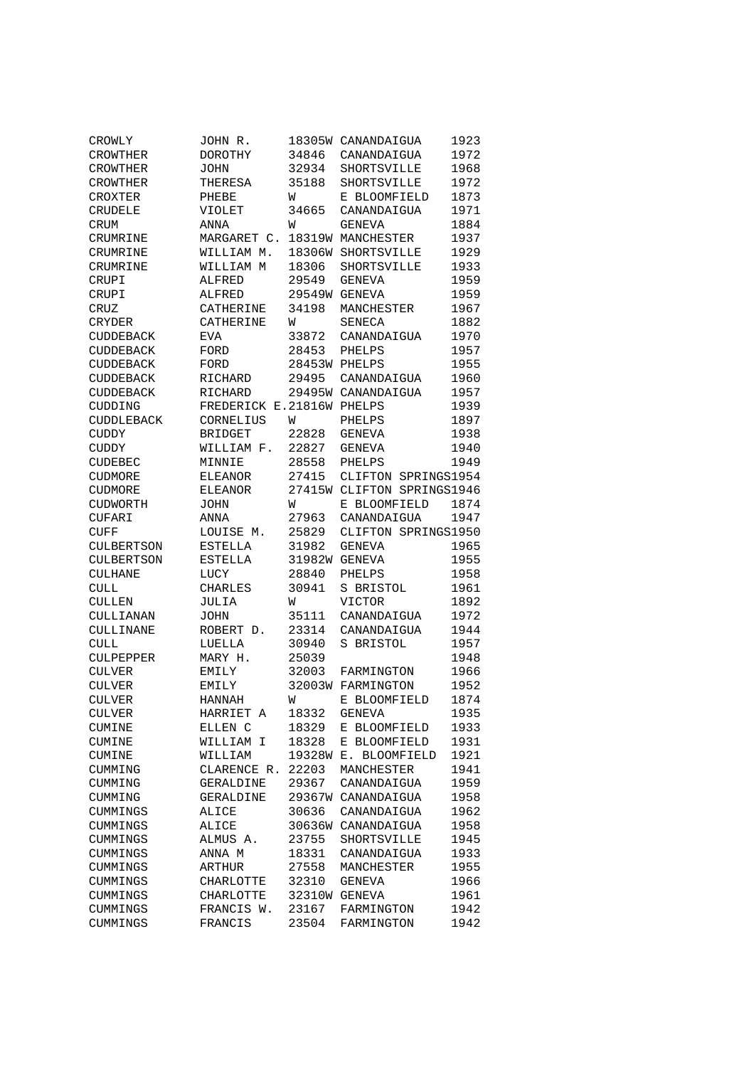| CROWLY            | JOHN R.            |        | 18305W CANANDAIGUA         | 1923 |
|-------------------|--------------------|--------|----------------------------|------|
| CROWTHER          | <b>DOROTHY</b>     | 34846  | CANANDAIGUA                | 1972 |
| CROWTHER          | JOHN               | 32934  | SHORTSVILLE                | 1968 |
| CROWTHER          | THERESA            | 35188  | SHORTSVILLE                | 1972 |
| CROXTER           | PHEBE              | W      | E BLOOMFIELD               | 1873 |
| CRUDELE           | VIOLET             | 34665  | CANANDAIGUA                | 1971 |
| CRUM              | ANNA               | M      | GENEVA                     | 1884 |
| CRUMRINE          | MARGARET C.        |        | 18319W MANCHESTER          | 1937 |
| CRUMRINE          | WILLIAM M.         | 18306W | SHORTSVILLE                | 1929 |
| CRUMRINE          | WILLIAM M          | 18306  | SHORTSVILLE                | 1933 |
| CRUPI             | ALFRED             | 29549  | GENEVA                     | 1959 |
| CRUPI             | ALFRED             | 29549W | GENEVA                     | 1959 |
| CRUZ              | CATHERINE          | 34198  | MANCHESTER                 | 1967 |
| CRYDER            | CATHERINE          | W      | SENECA                     | 1882 |
| <b>CUDDEBACK</b>  | EVA                | 33872  | CANANDAIGUA                | 1970 |
| CUDDEBACK         | FORD               | 28453  | PHELPS                     | 1957 |
| CUDDEBACK         | FORD               | 28453W | PHELPS                     | 1955 |
| <b>CUDDEBACK</b>  | RICHARD            | 29495  | CANANDAIGUA                | 1960 |
| CUDDEBACK         | RICHARD            |        | 29495W CANANDAIGUA         | 1957 |
| <b>CUDDING</b>    | FREDERICK E.21816W |        | PHELPS                     | 1939 |
| <b>CUDDLEBACK</b> | CORNELIUS          | M      | PHELPS                     | 1897 |
| <b>CUDDY</b>      | BRIDGET            | 22828  | GENEVA                     | 1938 |
| $\texttt{CUDDY}$  | WILLIAM F.         | 22827  | GENEVA                     | 1940 |
| CUDEBEC           | MINNIE             | 28558  | PHELPS                     | 1949 |
| <b>CUDMORE</b>    | <b>ELEANOR</b>     | 27415  | CLIFTON SPRINGS1954        |      |
| <b>CUDMORE</b>    | <b>ELEANOR</b>     |        | 27415W CLIFTON SPRINGS1946 |      |
| CUDWORTH          | JOHN               | W      | E BLOOMFIELD               | 1874 |
| CUFARI            | ANNA               | 27963  | CANANDAIGUA                | 1947 |
| <b>CUFF</b>       | LOUISE M.          | 25829  | CLIFTON SPRINGS1950        |      |
| <b>CULBERTSON</b> | <b>ESTELLA</b>     | 31982  | <b>GENEVA</b>              | 1965 |
| <b>CULBERTSON</b> | ESTELLA            | 31982W | GENEVA                     | 1955 |
| <b>CULHANE</b>    | LUCY               | 28840  | PHELPS                     | 1958 |
| <b>CULL</b>       | CHARLES            | 30941  | S BRISTOL                  | 1961 |
| <b>CULLEN</b>     | JULIA              | W      | <b>VICTOR</b>              | 1892 |
| CULLIANAN         | JOHN               | 35111  | CANANDAIGUA                | 1972 |
| <b>CULLINANE</b>  | ROBERT D.          | 23314  | CANANDAIGUA                | 1944 |
| <b>CULL</b>       | LUELLA             | 30940  | S BRISTOL                  | 1957 |
| CULPEPPER         | MARY H.            | 25039  |                            | 1948 |
| <b>CULVER</b>     | <b>EMILY</b>       | 32003  | FARMINGTON                 | 1966 |
| <b>CULVER</b>     | <b>EMILY</b>       |        | 32003W FARMINGTON          | 1952 |
| <b>CULVER</b>     | HANNAH             | W      | E BLOOMFIELD               | 1874 |
| <b>CULVER</b>     | HARRIET A          | 18332  | GENEVA                     | 1935 |
| CUMINE            | ELLEN C            | 18329  | E BLOOMFIELD               | 1933 |
| CUMINE            | WILLIAM I          | 18328  | E BLOOMFIELD               | 1931 |
| CUMINE            | WILLIAM            | 19328W | E. BLOOMFIELD              | 1921 |
| CUMMING           | CLARENCE R.        | 22203  | MANCHESTER                 | 1941 |
| CUMMING           | GERALDINE          | 29367  | CANANDAIGUA                | 1959 |
| CUMMING           | GERALDINE          | 29367W | CANANDAIGUA                | 1958 |
| CUMMINGS          | ALICE              | 30636  | CANANDAIGUA                | 1962 |
| CUMMINGS          | ALICE              | 30636W | CANANDAIGUA                | 1958 |
| CUMMINGS          | ALMUS A.           | 23755  | SHORTSVILLE                | 1945 |
| CUMMINGS          | ANNA M             | 18331  | CANANDAIGUA                | 1933 |
| CUMMINGS          | ARTHUR             | 27558  | MANCHESTER                 | 1955 |
| CUMMINGS          | CHARLOTTE          | 32310  | GENEVA                     | 1966 |
| CUMMINGS          | CHARLOTTE          | 32310W | GENEVA                     | 1961 |
| CUMMINGS          | FRANCIS W.         | 23167  | FARMINGTON                 | 1942 |
| CUMMINGS          | FRANCIS            | 23504  | FARMINGTON                 | 1942 |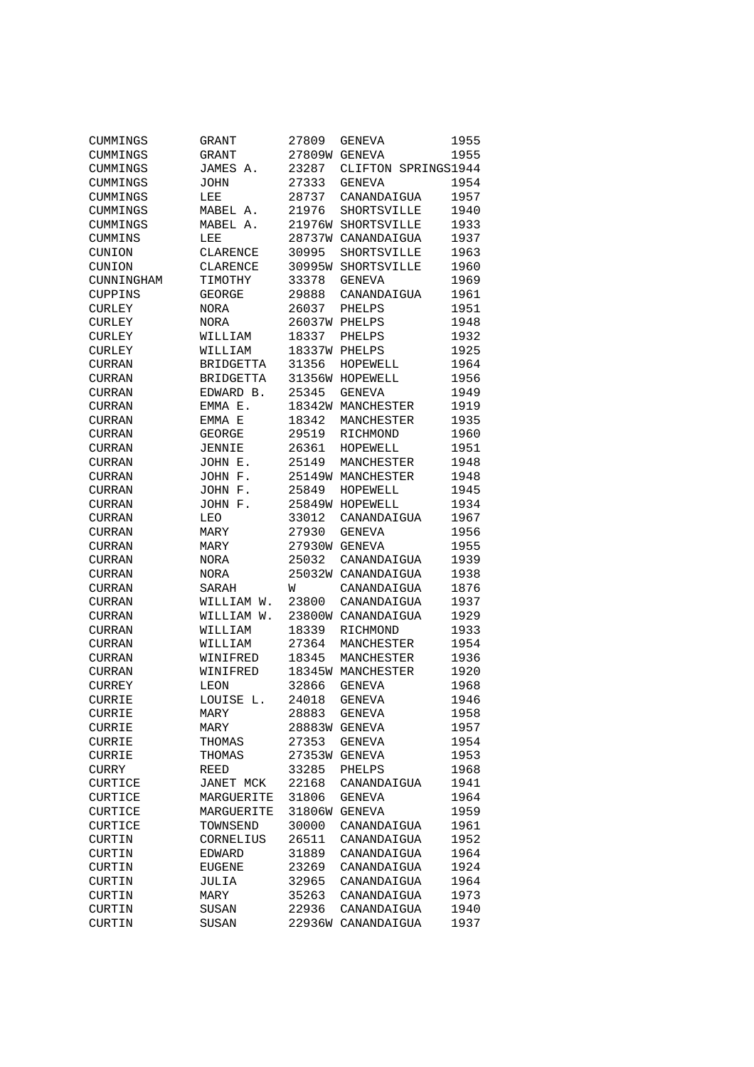| CUMMINGS       | GRANT                        | 27809         | GENEVA              | 1955 |
|----------------|------------------------------|---------------|---------------------|------|
| CUMMINGS       | GRANT                        | 27809W        | GENEVA              | 1955 |
| CUMMINGS       | JAMES A.                     | 23287         | CLIFTON SPRINGS1944 |      |
| CUMMINGS       | JOHN                         | 27333         | <b>GENEVA</b>       | 1954 |
| CUMMINGS       | LEE                          | 28737         | CANANDAIGUA         | 1957 |
| CUMMINGS       | MABEL A.                     | 21976         | SHORTSVILLE         | 1940 |
| CUMMINGS       | MABEL A.                     | 21976W        | SHORTSVILLE         | 1933 |
| CUMMINS        | LEE                          | 28737W        | CANANDAIGUA         | 1937 |
| CUNION         | CLARENCE                     | 30995         | SHORTSVILLE         | 1963 |
| CUNION         | CLARENCE                     | 30995W        | SHORTSVILLE         | 1960 |
| CUNNINGHAM     | TIMOTHY                      | 33378         | <b>GENEVA</b>       | 1969 |
| CUPPINS        | <b>GEORGE</b>                | 29888         | CANANDAIGUA         | 1961 |
| <b>CURLEY</b>  | <b>NORA</b>                  | 26037         | PHELPS              | 1951 |
| CURLEY         | NORA                         | 26037W        | PHELPS              | 1948 |
| <b>CURLEY</b>  | WILLIAM                      | 18337         | PHELPS              | 1932 |
| <b>CURLEY</b>  | WILLIAM                      | 18337W PHELPS |                     | 1925 |
| <b>CURRAN</b>  | <b>BRIDGETTA</b>             | 31356         | HOPEWELL            | 1964 |
| <b>CURRAN</b>  | BRIDGETTA                    |               | 31356W HOPEWELL     | 1956 |
| <b>CURRAN</b>  | EDWARD B.                    | 25345         | GENEVA              | 1949 |
| <b>CURRAN</b>  | EMMA E.                      | 18342W        | MANCHESTER          | 1919 |
| <b>CURRAN</b>  | EMMA E                       | 18342         | MANCHESTER          | 1935 |
| <b>CURRAN</b>  | <b>GEORGE</b>                | 29519         | RICHMOND            | 1960 |
| <b>CURRAN</b>  | JENNIE                       | 26361         | HOPEWELL            | 1951 |
| <b>CURRAN</b>  | JOHN E.                      | 25149         | MANCHESTER          | 1948 |
| <b>CURRAN</b>  | JOHN F.                      | 25149W        | MANCHESTER          | 1948 |
| <b>CURRAN</b>  | JOHN F.                      | 25849         | HOPEWELL            | 1945 |
| CURRAN         | JOHN F.                      | 25849W        | HOPEWELL            | 1934 |
| <b>CURRAN</b>  | LEO                          | 33012         | CANANDAIGUA         | 1967 |
| <b>CURRAN</b>  | MARY                         | 27930         | GENEVA              | 1956 |
| <b>CURRAN</b>  | MARY                         |               | 27930W GENEVA       | 1955 |
| CURRAN         | NORA                         | 25032         | CANANDAIGUA         | 1939 |
| <b>CURRAN</b>  | NORA                         | 25032W        | CANANDAIGUA         | 1938 |
| <b>CURRAN</b>  | SARAH                        | W             | CANANDAIGUA         | 1876 |
| CURRAN         | WILLIAM W.                   | 23800         | CANANDAIGUA         | 1937 |
| <b>CURRAN</b>  | WILLIAM W.                   |               | 23800W CANANDAIGUA  | 1929 |
| CURRAN         | WILLIAM                      | 18339         | RICHMOND            | 1933 |
| CURRAN         | WILLIAM                      | 27364         | MANCHESTER          | 1954 |
|                |                              |               |                     | 1936 |
| CURRAN         | WINIFRED<br>WINIFRED         | 18345         | MANCHESTER          |      |
| CURRAN         |                              |               | 18345W MANCHESTER   | 1920 |
| <b>CURREY</b>  | LEON                         | 32866         | <b>GENEVA</b>       | 1968 |
| <b>CURRIE</b>  | LOUISE L.                    | 24018         | <b>GENEVA</b>       | 1946 |
| <b>CURRIE</b>  | MARY                         | 28883         | GENEVA              | 1958 |
| <b>CURRIE</b>  | $\ensuremath{\mathsf{MARY}}$ | 28883W GENEVA |                     | 1957 |
| CURRIE         | THOMAS                       | 27353         | GENEVA              | 1954 |
| CURRIE         | THOMAS                       | 27353W        | <b>GENEVA</b>       | 1953 |
| <b>CURRY</b>   | REED                         | 33285         | PHELPS              | 1968 |
| CURTICE        | JANET MCK                    | 22168         | CANANDAIGUA         | 1941 |
| <b>CURTICE</b> | MARGUERITE                   | 31806         | GENEVA              | 1964 |
| <b>CURTICE</b> | MARGUERITE                   | 31806W        | GENEVA              | 1959 |
| <b>CURTICE</b> | TOWNSEND                     | 30000         | CANANDAIGUA         | 1961 |
| CURTIN         | CORNELIUS                    | 26511         | CANANDAIGUA         | 1952 |
| CURTIN         | EDWARD                       | 31889         | CANANDAIGUA         | 1964 |
| CURTIN         | <b>EUGENE</b>                | 23269         | CANANDAIGUA         | 1924 |
| CURTIN         | JULIA                        | 32965         | CANANDAIGUA         | 1964 |
| CURTIN         | MARY                         | 35263         | CANANDAIGUA         | 1973 |
| CURTIN         | SUSAN                        | 22936         | CANANDAIGUA         | 1940 |
| <b>CURTIN</b>  | SUSAN                        |               | 22936W CANANDAIGUA  | 1937 |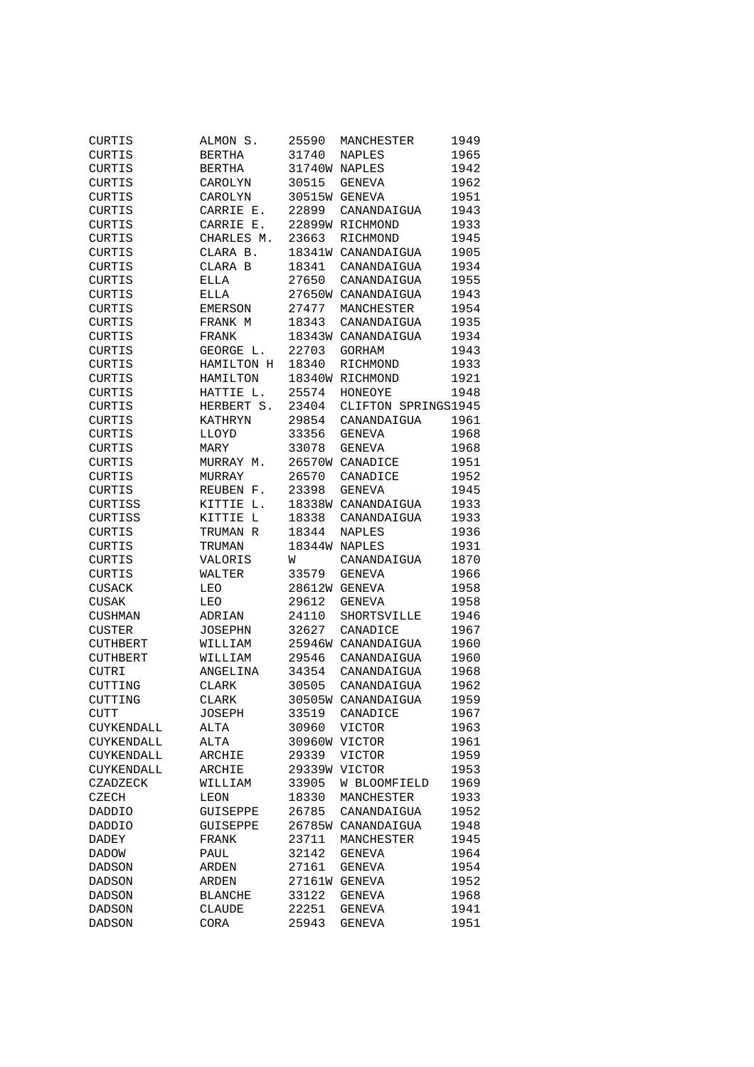| CURTIS                  | ALMON S.       | 25590          | MANCHESTER              | 1949         |
|-------------------------|----------------|----------------|-------------------------|--------------|
| CURTIS                  | BERTHA         | 31740          | NAPLES                  | 1965         |
| <b>CURTIS</b>           | BERTHA         |                | 31740W NAPLES           | 1942         |
| CURTIS                  | CAROLYN        | 30515          | GENEVA                  | 1962         |
| CURTIS                  | CAROLYN        |                | 30515W GENEVA           | 1951         |
| <b>CURTIS</b>           | CARRIE E.      | 22899          | CANANDAIGUA             | 1943         |
| CURTIS                  | CARRIE E.      |                | 22899W RICHMOND         | 1933         |
| CURTIS                  | CHARLES M.     | 23663          | RICHMOND                | 1945         |
| CURTIS                  | CLARA B.       |                | 18341W CANANDAIGUA      | 1905         |
| CURTIS                  | CLARA B        | 18341          | CANANDAIGUA             | 1934         |
| <b>CURTIS</b>           | <b>ELLA</b>    | 27650          | CANANDAIGUA             | 1955         |
| CURTIS                  | <b>ELLA</b>    |                | 27650W CANANDAIGUA      | 1943         |
| CURTIS                  | <b>EMERSON</b> | 27477          | MANCHESTER              | 1954         |
| <b>CURTIS</b>           | FRANK M        | 18343          | CANANDAIGUA             | 1935         |
| <b>CURTIS</b>           | FRANK          |                | 18343W CANANDAIGUA      | 1934         |
| CURTIS                  | GEORGE L.      | 22703          | GORHAM                  | 1943         |
| <b>CURTIS</b>           | HAMILTON H     | 18340          | RICHMOND                | 1933         |
| <b>CURTIS</b>           | HAMILTON       |                | 18340W RICHMOND         | 1921         |
| CURTIS                  | HATTIE L.      | 25574          | HONEOYE                 | 1948         |
| CURTIS                  | HERBERT S.     | 23404          | CLIFTON SPRINGS1945     |              |
| CURTIS                  | KATHRYN        | 29854          | CANANDAIGUA             | 1961         |
| CURTIS                  | LLOYD          | 33356          | GENEVA                  | 1968         |
| CURTIS                  | MARY           | 33078          | GENEVA                  | 1968         |
| CURTIS                  | MURRAY M.      |                | 26570W CANADICE         | 1951         |
| <b>CURTIS</b>           | MURRAY         | 26570          | CANADICE                | 1952         |
| <b>CURTIS</b>           | REUBEN F.      | 23398          | <b>GENEVA</b>           | 1945         |
| CURTISS                 | KITTIE L.      |                | 18338W CANANDAIGUA      | 1933         |
| CURTISS                 | KITTIE L       | 18338          | CANANDAIGUA             | 1933         |
| CURTIS                  | TRUMAN R       | 18344          | NAPLES                  | 1936         |
| <b>CURTIS</b>           | TRUMAN         |                | 18344W NAPLES           | 1931         |
| CURTIS                  | VALORIS        | <b>W</b>       | CANANDAIGUA             | 1870         |
| CURTIS                  | WALTER         | 33579          | GENEVA                  | 1966         |
| CUSACK                  | LEO            |                | 28612W GENEVA           | 1958         |
| CUSAK                   | LEO            | 29612          | GENEVA                  | 1958         |
| CUSHMAN                 | ADRIAN         | 24110          | SHORTSVILLE             | 1946         |
| <b>CUSTER</b>           | JOSEPHN        | 32627          | CANADICE                | 1967         |
| CUTHBERT                | WILLIAM        |                | 25946W CANANDAIGUA      | 1960         |
| <b>CUTHBERT</b>         | WILLIAM        | 29546          | CANANDAIGUA             | 1960         |
| <b>CUTRI</b>            | ANGELINA       | 34354          | CANANDAIGUA             | 1968         |
| CUTTING                 | CLARK          | 30505          | CANANDAIGUA             | 1962         |
| CUTTING                 | CLARK          |                | 30505W CANANDAIGUA      | 1959         |
| CUTT                    | JOSEPH         | 33519          | CANADICE                | 1967         |
| CUYKENDALL              | ALTA           | 30960          | VICTOR                  | 1963         |
| CUYKENDALL              | ALTA           | 30960W         | VICTOR                  | 1961         |
| CUYKENDALL              | ARCHIE         | 29339          | <b>VICTOR</b>           | 1959         |
| CUYKENDALL              | ARCHIE         | 29339W         | <b>VICTOR</b>           | 1953         |
| CZADZECK                | WILLIAM        | 33905          | W BLOOMFIELD            | 1969         |
| CZECH                   | LEON           | 18330          | MANCHESTER              | 1933         |
| <b>DADDIO</b>           | GUISEPPE       | 26785          | CANANDAIGUA             | 1952         |
| DADDIO                  | GUISEPPE       | 26785W         | CANANDAIGUA             | 1948         |
| DADEY                   | FRANK          | 23711          | MANCHESTER              | 1945         |
| DADOW                   | PAUL           | 32142          | GENEVA                  | 1964         |
| DADSON                  | ARDEN          | 27161          | GENEVA                  | 1954         |
| DADSON                  | ARDEN          | 27161W         | <b>GENEVA</b>           | 1952         |
| DADSON                  | <b>BLANCHE</b> | 33122<br>22251 | GENEVA                  | 1968<br>1941 |
| DADSON<br><b>DADSON</b> | CLAUDE<br>CORA | 25943          | GENEVA<br><b>GENEVA</b> | 1951         |
|                         |                |                |                         |              |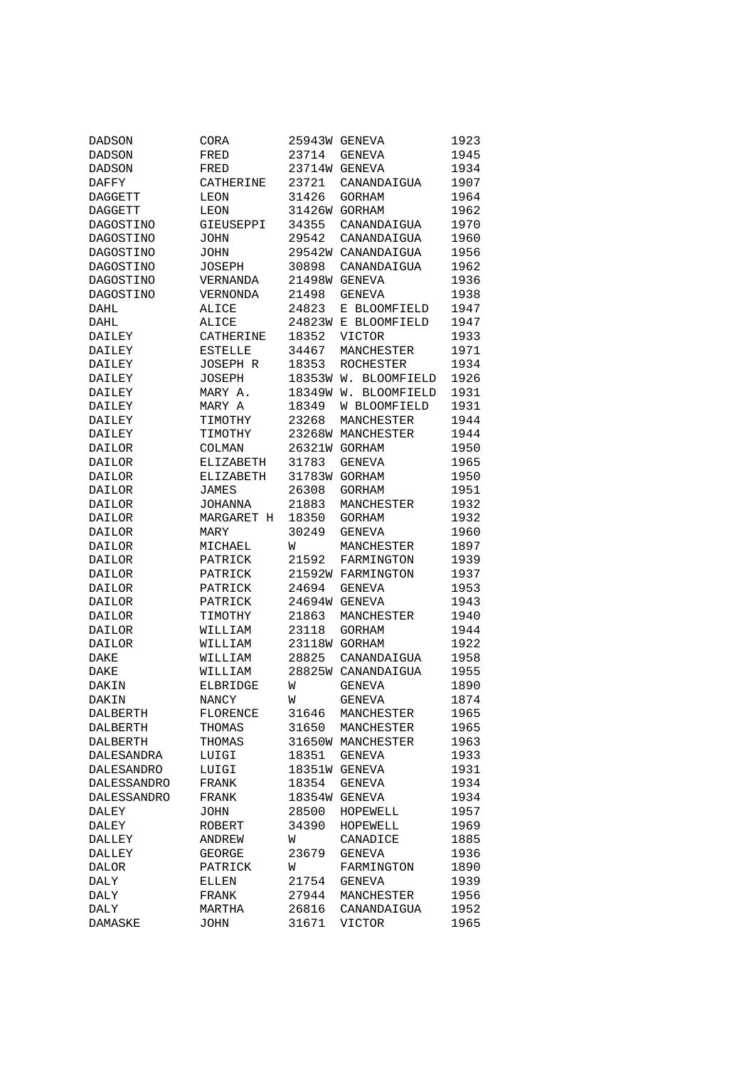| DADSON         | CORA           | 25943W GENEVA |                         | 1923 |
|----------------|----------------|---------------|-------------------------|------|
| <b>DADSON</b>  | FRED           | 23714         | GENEVA                  | 1945 |
| <b>DADSON</b>  | FRED           | 23714W        | GENEVA                  | 1934 |
| DAFFY          | CATHERINE      | 23721         | CANANDAIGUA             | 1907 |
| DAGGETT        | LEON           | 31426         | GORHAM                  | 1964 |
| <b>DAGGETT</b> | LEON           | 31426W        | GORHAM                  | 1962 |
| DAGOSTINO      | GIEUSEPPI      | 34355         | CANANDAIGUA             | 1970 |
| DAGOSTINO      | JOHN           | 29542         | CANANDAIGUA             | 1960 |
| DAGOSTINO      | JOHN           | 29542W        | CANANDAIGUA             | 1956 |
| DAGOSTINO      | JOSEPH         | 30898         | CANANDAIGUA             | 1962 |
| DAGOSTINO      | VERNANDA       | 21498W        | <b>GENEVA</b>           | 1936 |
| DAGOSTINO      | VERNONDA       | 21498         | <b>GENEVA</b>           | 1938 |
| DAHL           | ALICE          | 24823         | E BLOOMFIELD            | 1947 |
| DAHL           | ALICE          |               | 24823W E BLOOMFIELD     | 1947 |
| DAILEY         | CATHERINE      | 18352         | <b>VICTOR</b>           | 1933 |
| DAILEY         | <b>ESTELLE</b> | 34467         | MANCHESTER              | 1971 |
| DAILEY         | JOSEPH R       | 18353         | ROCHESTER               | 1934 |
| DAILEY         | JOSEPH         | 18353W        | W. BLOOMFIELD           | 1926 |
| DAILEY         | MARY A.        | 18349W        | W.<br><b>BLOOMFIELD</b> | 1931 |
| DAILEY         | MARY A         | 18349         | W BLOOMFIELD            | 1931 |
| DAILEY         | TIMOTHY        | 23268         | MANCHESTER              | 1944 |
| DAILEY         | TIMOTHY        | 23268W        | MANCHESTER              | 1944 |
| <b>DAILOR</b>  | COLMAN         | 26321W        | GORHAM                  | 1950 |
| DAILOR         | ELIZABETH      | 31783         | <b>GENEVA</b>           | 1965 |
| DAILOR         | ELIZABETH      | 31783W        | GORHAM                  | 1950 |
| DAILOR         | JAMES          | 26308         | GORHAM                  | 1951 |
| DAILOR         | <b>JOHANNA</b> | 21883         | MANCHESTER              | 1932 |
| DAILOR         | MARGARET H     | 18350         | GORHAM                  | 1932 |
| DAILOR         | MARY           | 30249         | GENEVA                  | 1960 |
| DAILOR         | MICHAEL        | W             | MANCHESTER              | 1897 |
| DAILOR         | PATRICK        | 21592         | FARMINGTON              | 1939 |
| DAILOR         | PATRICK        |               | 21592W FARMINGTON       | 1937 |
| DAILOR         | PATRICK        | 24694         | <b>GENEVA</b>           | 1953 |
| DAILOR         | PATRICK        | 24694W        | GENEVA                  | 1943 |
| DAILOR         | TIMOTHY        | 21863         | MANCHESTER              | 1940 |
| <b>DAILOR</b>  | WILLIAM        | 23118         | GORHAM                  | 1944 |
| DAILOR         | WILLIAM        | 23118W        | GORHAM                  | 1922 |
| <b>DAKE</b>    | WILLIAM        | 28825         | CANANDAIGUA             | 1958 |
| <b>DAKE</b>    | WILLIAM        |               | 28825W CANANDAIGUA      | 1955 |
| DAKIN          | ELBRIDGE       | W             | <b>GENEVA</b>           | 1890 |
| DAKIN          | NANCY          | W             | <b>GENEVA</b>           | 1874 |
| DALBERTH       | FLORENCE       | 31646         | MANCHESTER              | 1965 |
| DALBERTH       | THOMAS         | 31650         | MANCHESTER              | 1965 |
| DALBERTH       | THOMAS         |               | 31650W MANCHESTER       | 1963 |
| DALESANDRA     | LUIGI          | 18351         | <b>GENEVA</b>           | 1933 |
| DALESANDRO     | LUIGI          |               | 18351W GENEVA           | 1931 |
| DALESSANDRO    | FRANK          | 18354         | GENEVA                  | 1934 |
| DALESSANDRO    | FRANK          | 18354W        | GENEVA                  | 1934 |
| DALEY          | JOHN           | 28500         | HOPEWELL                | 1957 |
| DALEY          | ROBERT         | 34390         | HOPEWELL                | 1969 |
| DALLEY         | ANDREW         | W             | CANADICE                | 1885 |
| DALLEY         | GEORGE         | 23679         | GENEVA                  | 1936 |
| DALOR          | PATRICK        | W             | FARMINGTON              | 1890 |
| DALY           | ELLEN          | 21754         | GENEVA                  | 1939 |
| DALY           | FRANK          | 27944         | MANCHESTER              | 1956 |
| DALY           | MARTHA         | 26816         | CANANDAIGUA             | 1952 |
| DAMASKE        | JOHN           | 31671         | VICTOR                  | 1965 |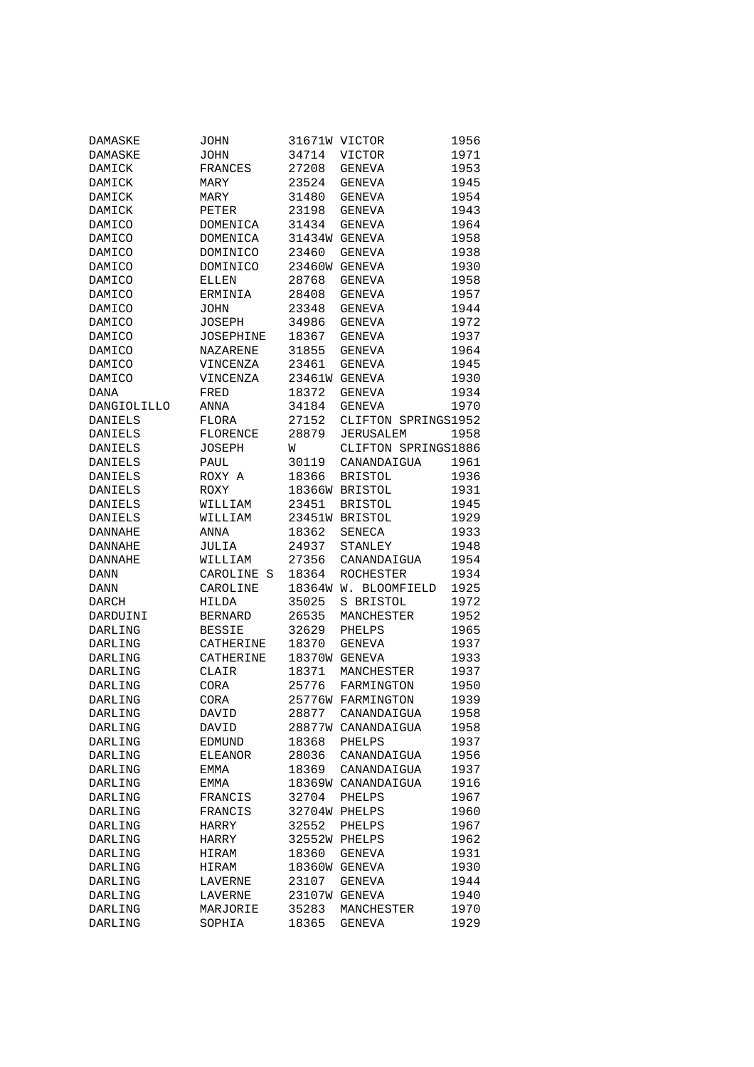| DAMASKE        | JOHN           | 31671W VICTOR |                         | 1956 |
|----------------|----------------|---------------|-------------------------|------|
| DAMASKE        | JOHN           | 34714         | <b>VICTOR</b>           | 1971 |
| DAMICK         | FRANCES        | 27208         | <b>GENEVA</b>           | 1953 |
| DAMICK         | MARY           | 23524         | GENEVA                  | 1945 |
| DAMICK         | MARY           | 31480         | <b>GENEVA</b>           | 1954 |
| DAMICK         | PETER          | 23198         | GENEVA                  | 1943 |
| DAMICO         | DOMENICA       | 31434         | GENEVA                  | 1964 |
| DAMICO         | DOMENICA       | 31434W        | <b>GENEVA</b>           | 1958 |
| DAMICO         | DOMINICO       | 23460         | GENEVA                  | 1938 |
| DAMICO         | DOMINICO       |               | 23460W GENEVA           | 1930 |
| DAMICO         | ELLEN          | 28768         | <b>GENEVA</b>           | 1958 |
| DAMICO         | ERMINIA        | 28408         | <b>GENEVA</b>           | 1957 |
| DAMICO         | JOHN           | 23348         | GENEVA                  | 1944 |
| DAMICO         | JOSEPH         | 34986         | GENEVA                  | 1972 |
| DAMICO         | JOSEPHINE      | 18367         | <b>GENEVA</b>           | 1937 |
| DAMICO         | NAZARENE       | 31855         | <b>GENEVA</b>           | 1964 |
| DAMICO         | VINCENZA       | 23461         | GENEVA                  | 1945 |
| DAMICO         | VINCENZA       | 23461W        | <b>GENEVA</b>           | 1930 |
| DANA           | FRED           | 18372         | <b>GENEVA</b>           | 1934 |
| DANGIOLILLO    | ANNA           | 34184         | <b>GENEVA</b>           | 1970 |
| DANIELS        | FLORA          | 27152         | CLIFTON SPRINGS1952     |      |
| DANIELS        | FLORENCE       | 28879         | <b>JERUSALEM</b>        | 1958 |
| DANIELS        | JOSEPH         | W             | CLIFTON SPRINGS1886     |      |
| DANIELS        | PAUL           | 30119         | CANANDAIGUA             | 1961 |
| DANIELS        | ROXY A         | 18366         | <b>BRISTOL</b>          | 1936 |
| DANIELS        | ROXY           | 18366W        | <b>BRISTOL</b>          | 1931 |
| DANIELS        | WILLIAM        | 23451         | <b>BRISTOL</b>          | 1945 |
| DANIELS        | WILLIAM        |               | 23451W BRISTOL          | 1929 |
| DANNAHE        | ANNA           | 18362         | SENECA                  | 1933 |
| DANNAHE        | JULIA          | 24937         | STANLEY                 | 1948 |
| <b>DANNAHE</b> | WILLIAM        | 27356         | CANANDAIGUA             | 1954 |
| DANN           | CAROLINE S     | 18364         | ROCHESTER               | 1934 |
| DANN           | CAROLINE       | 18364W        | <b>BLOOMFIELD</b><br>W. | 1925 |
| DARCH          | HILDA          | 35025         | S BRISTOL               | 1972 |
| DARDUINI       | <b>BERNARD</b> | 26535         | MANCHESTER              | 1952 |
| DARLING        | <b>BESSIE</b>  | 32629         | PHELPS                  | 1965 |
| DARLING        | CATHERINE      | 18370         | <b>GENEVA</b>           | 1937 |
| DARLING        | CATHERINE      | 18370W        | GENEVA                  | 1933 |
| DARLING        | CLAIR          | 18371         | MANCHESTER              | 1937 |
| DARLING        | CORA           | 25776         | FARMINGTON              | 1950 |
| DARLING        | CORA           |               | 25776W FARMINGTON       | 1939 |
| DARLING        | DAVID          | 28877         | CANANDAIGUA             | 1958 |
| DARLING        | DAVID          |               | 28877W CANANDAIGUA      | 1958 |
| DARLING        | EDMUND         | 18368         | PHELPS                  | 1937 |
| DARLING        | ELEANOR        | 28036         | CANANDAIGUA             | 1956 |
| DARLING        | EMMA           | 18369         | CANANDAIGUA             | 1937 |
| DARLING        | EMMA           |               | 18369W CANANDAIGUA      | 1916 |
| DARLING        | FRANCIS        | 32704         | PHELPS                  | 1967 |
| DARLING        | FRANCIS        | 32704W        | PHELPS                  | 1960 |
| DARLING        | HARRY          | 32552         | PHELPS                  | 1967 |
| DARLING        | HARRY          | 32552W PHELPS |                         | 1962 |
| DARLING        | HIRAM          | 18360         | GENEVA                  | 1931 |
| DARLING        | HIRAM          | 18360W GENEVA |                         | 1930 |
| DARLING        | LAVERNE        | 23107         | GENEVA                  | 1944 |
| DARLING        | LAVERNE        | 23107W GENEVA |                         | 1940 |
| DARLING        | MARJORIE       | 35283         | MANCHESTER              | 1970 |
| DARLING        | SOPHIA         | 18365         | GENEVA                  | 1929 |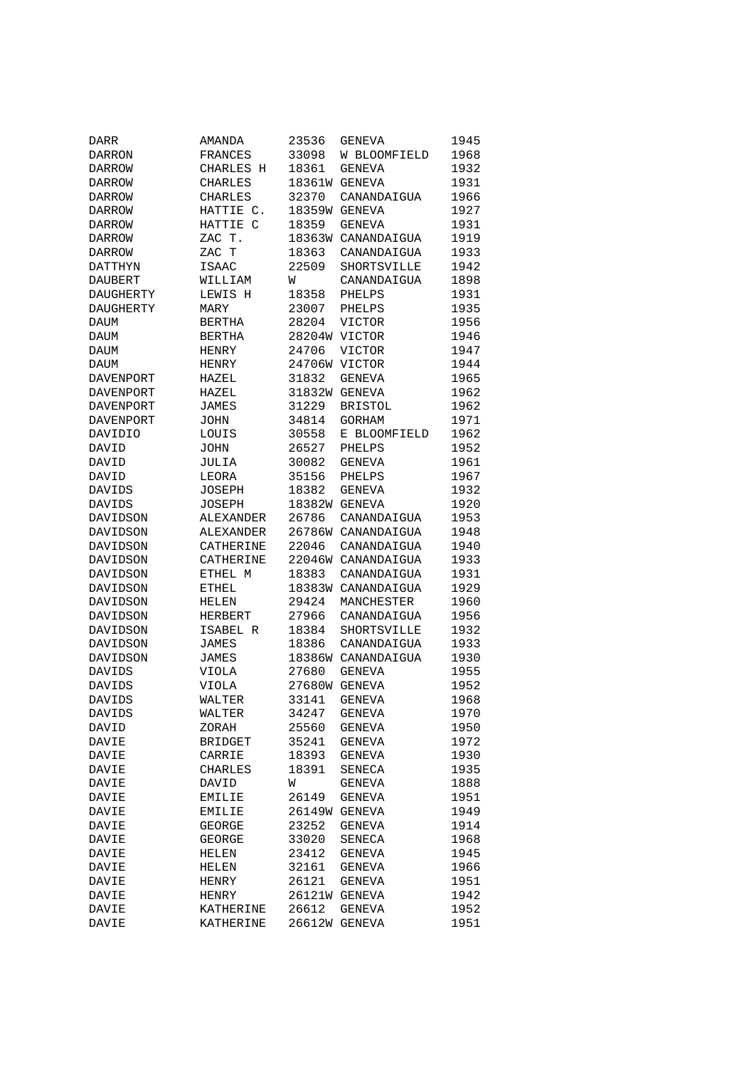| DARR             | AMANDA         | 23536         | GENEVA         | 1945 |
|------------------|----------------|---------------|----------------|------|
| <b>DARRON</b>    | FRANCES        | 33098         | W BLOOMFIELD   | 1968 |
| <b>DARROW</b>    | CHARLES H      | 18361         | <b>GENEVA</b>  | 1932 |
| <b>DARROW</b>    | CHARLES        | 18361W        | <b>GENEVA</b>  | 1931 |
| <b>DARROW</b>    | <b>CHARLES</b> | 32370         | CANANDAIGUA    | 1966 |
| <b>DARROW</b>    | HATTIE C.      | 18359W        | <b>GENEVA</b>  | 1927 |
| <b>DARROW</b>    | HATTIE<br>C    | 18359         | GENEVA         | 1931 |
| <b>DARROW</b>    | ZAC T.         | 18363W        | CANANDAIGUA    | 1919 |
| <b>DARROW</b>    | ZAC T          | 18363         | CANANDAIGUA    | 1933 |
| DATTHYN          | ISAAC          | 22509         | SHORTSVILLE    | 1942 |
| DAUBERT          | WILLIAM        | W             | CANANDAIGUA    | 1898 |
| DAUGHERTY        | LEWIS H        | 18358         | PHELPS         | 1931 |
| DAUGHERTY        | MARY           | 23007         | PHELPS         | 1935 |
| <b>DAUM</b>      | <b>BERTHA</b>  | 28204         | <b>VICTOR</b>  | 1956 |
| <b>DAUM</b>      | <b>BERTHA</b>  | 28204W        | <b>VICTOR</b>  | 1946 |
| <b>DAUM</b>      | HENRY          | 24706         | VICTOR         | 1947 |
| <b>DAUM</b>      | HENRY          | 24706W        | VICTOR         | 1944 |
| DAVENPORT        | HAZEL          | 31832         | <b>GENEVA</b>  | 1965 |
| DAVENPORT        | HAZEL          | 31832W        | <b>GENEVA</b>  | 1962 |
| <b>DAVENPORT</b> | JAMES          | 31229         | <b>BRISTOL</b> | 1962 |
| DAVENPORT        | JOHN           | 34814         | GORHAM         | 1971 |
| <b>DAVIDIO</b>   | LOUIS          | 30558         | E BLOOMFIELD   | 1962 |
| DAVID            | JOHN           | 26527         | PHELPS         | 1952 |
| DAVID            | JULIA          | 30082         | <b>GENEVA</b>  | 1961 |
| DAVID            | LEORA          | 35156         | PHELPS         | 1967 |
| DAVIDS           | <b>JOSEPH</b>  | 18382         | <b>GENEVA</b>  | 1932 |
| DAVIDS           | JOSEPH         | 18382W        | <b>GENEVA</b>  | 1920 |
| DAVIDSON         | ALEXANDER      | 26786         | CANANDAIGUA    | 1953 |
| DAVIDSON         | ALEXANDER      | 26786W        | CANANDAIGUA    | 1948 |
| DAVIDSON         | CATHERINE      | 22046         | CANANDAIGUA    | 1940 |
| DAVIDSON         | CATHERINE      | 22046W        | CANANDAIGUA    | 1933 |
| DAVIDSON         | ETHEL M        | 18383         | CANANDAIGUA    | 1931 |
| DAVIDSON         | ETHEL          | 18383W        | CANANDAIGUA    | 1929 |
| DAVIDSON         | HELEN          | 29424         | MANCHESTER     | 1960 |
| DAVIDSON         | HERBERT        | 27966         | CANANDAIGUA    | 1956 |
| DAVIDSON         | ISABEL R       | 18384         | SHORTSVILLE    | 1932 |
| DAVIDSON         | JAMES          | 18386         | CANANDAIGUA    | 1933 |
| DAVIDSON         | JAMES          | 18386W        | CANANDAIGUA    | 1930 |
| DAVIDS           | VIOLA          | 27680         | GENEVA         | 1955 |
| DAVIDS           | VIOLA          | 27680W        | <b>GENEVA</b>  | 1952 |
| DAVIDS           | WALTER         | 33141         | <b>GENEVA</b>  | 1968 |
| DAVIDS           | WALTER         | 34247         | <b>GENEVA</b>  | 1970 |
| DAVID            | ZORAH          | 25560         | <b>GENEVA</b>  | 1950 |
| DAVIE            | BRIDGET        | 35241         | GENEVA         | 1972 |
| DAVIE            | CARRIE         | 18393         | GENEVA         | 1930 |
| DAVIE            | <b>CHARLES</b> | 18391         | SENECA         | 1935 |
| DAVIE            | DAVID          | W             | GENEVA         | 1888 |
| DAVIE            | EMILIE         | 26149         | GENEVA         | 1951 |
| DAVIE            | EMILIE         | 26149W        | GENEVA         | 1949 |
| DAVIE            | GEORGE         | 23252         | <b>GENEVA</b>  | 1914 |
| DAVIE            | GEORGE         | 33020         | SENECA         | 1968 |
| DAVIE            | HELEN          | 23412         | <b>GENEVA</b>  | 1945 |
| DAVIE            | HELEN          | 32161         | GENEVA         | 1966 |
|                  |                | 26121         |                |      |
| DAVIE            | HENRY          | 26121W        | GENEVA         | 1951 |
| DAVIE            | HENRY          | 26612         | GENEVA         | 1942 |
| DAVIE            | KATHERINE      |               | GENEVA         | 1952 |
| DAVIE            | KATHERINE      | 26612W GENEVA |                | 1951 |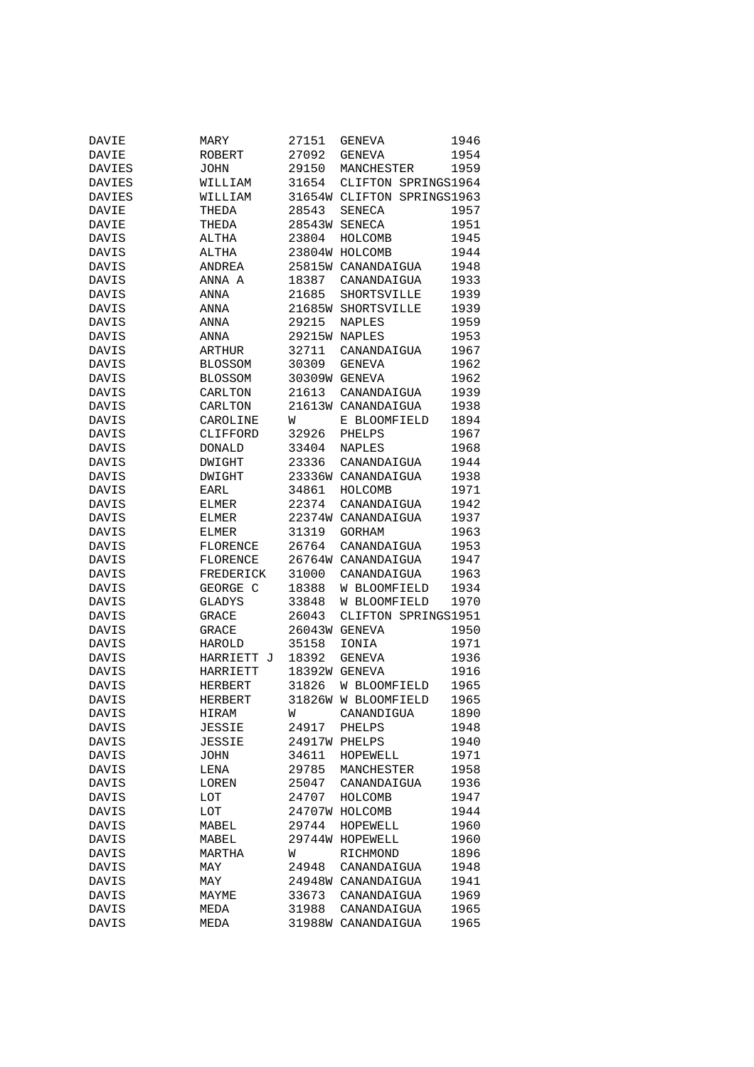| DAVIE                 | MARY           | 27151         | GENEVA                      | 1946 |
|-----------------------|----------------|---------------|-----------------------------|------|
| <b>DAVIE</b>          | <b>ROBERT</b>  | 27092         | GENEVA                      | 1954 |
| DAVIES                | JOHN           | 29150         | MANCHESTER                  | 1959 |
| DAVIES                | WILLIAM        | 31654         | CLIFTON SPRINGS1964         |      |
| DAVIES                | WILLIAM        | 31654W        | CLIFTON SPRINGS1963         |      |
| DAVIE                 | THEDA          | 28543         | <b>SENECA</b>               | 1957 |
| DAVIE                 | THEDA          | 28543W        | SENECA                      | 1951 |
| <b>DAVIS</b>          | ALTHA          | 23804         | HOLCOMB                     | 1945 |
| <b>DAVIS</b>          | ALTHA          |               | 23804W HOLCOMB              | 1944 |
| DAVIS                 | ANDREA         |               | 25815W CANANDAIGUA          | 1948 |
| DAVIS                 | ANNA A         | 18387         | CANANDAIGUA                 | 1933 |
| <b>DAVIS</b>          | ANNA           | 21685         | SHORTSVILLE                 | 1939 |
| <b>DAVIS</b>          | ANNA           | 21685W        | SHORTSVILLE                 | 1939 |
| DAVIS                 | ANNA           | 29215         | NAPLES                      | 1959 |
| DAVIS                 | ANNA           | 29215W NAPLES |                             | 1953 |
| DAVIS                 | ARTHUR         | 32711         | CANANDAIGUA                 | 1967 |
| DAVIS                 | <b>BLOSSOM</b> | 30309         | GENEVA                      | 1962 |
| <b>DAVIS</b>          | <b>BLOSSOM</b> | 30309W        | <b>GENEVA</b>               | 1962 |
| DAVIS                 | CARLTON        | 21613         | CANANDAIGUA                 | 1939 |
| <b>DAVIS</b>          | CARLTON        |               | 21613W CANANDAIGUA          | 1938 |
| <b>DAVIS</b>          | CAROLINE       | W             | E BLOOMFIELD                | 1894 |
| DAVIS                 | CLIFFORD       | 32926         | PHELPS                      | 1967 |
| DAVIS                 | DONALD         | 33404         | <b>NAPLES</b>               | 1968 |
| DAVIS                 | DWIGHT         | 23336         | CANANDAIGUA                 | 1944 |
| <b>DAVIS</b>          | DWIGHT         |               | 23336W CANANDAIGUA          | 1938 |
| <b>DAVIS</b>          | <b>EARL</b>    | 34861         | HOLCOMB                     | 1971 |
| <b>DAVIS</b>          | ELMER          | 22374         | CANANDAIGUA                 | 1942 |
| <b>DAVIS</b>          | ELMER          |               | 22374W CANANDAIGUA          | 1937 |
| <b>DAVIS</b>          | ELMER          | 31319         | GORHAM                      | 1963 |
| <b>DAVIS</b>          | FLORENCE       | 26764         | CANANDAIGUA                 | 1953 |
| <b>DAVIS</b>          | FLORENCE       | 26764W        | CANANDAIGUA                 | 1947 |
| <b>DAVIS</b>          | FREDERICK      | 31000         | CANANDAIGUA                 | 1963 |
| <b>DAVIS</b>          | GEORGE C       | 18388         | W BLOOMFIELD                | 1934 |
| <b>DAVIS</b>          | GLADYS         | 33848         | W BLOOMFIELD                | 1970 |
| DAVIS                 | GRACE          | 26043         | CLIFTON SPRINGS1951         |      |
| DAVIS                 | GRACE          | 26043W        | <b>GENEVA</b>               | 1950 |
| DAVIS                 | HAROLD         | 35158         | IONIA                       | 1971 |
| DAVIS                 | HARRIETT J     | 18392         | GENEVA                      | 1936 |
| DAVIS                 | HARRIETT       | 18392W GENEVA |                             | 1916 |
| <b>DAVIS</b>          | HERBERT        | 31826         | W BLOOMFIELD                | 1965 |
| DAVIS                 | HERBERT        |               | 31826W W BLOOMFIELD         | 1965 |
| DAVIS                 | HIRAM          | W             | CANANDIGUA                  | 1890 |
| DAVIS                 | JESSIE         | 24917         | PHELPS                      | 1948 |
| DAVIS                 | JESSIE         | 24917W        | PHELPS                      | 1940 |
| DAVIS                 | JOHN           | 34611         | HOPEWELL                    | 1971 |
| DAVIS                 | LENA           | 29785         | MANCHESTER                  | 1958 |
| DAVIS                 | LOREN          | 25047         | CANANDAIGUA                 | 1936 |
| DAVIS                 | LOT            | 24707         | HOLCOMB                     | 1947 |
| DAVIS                 | LOT            |               | 24707W HOLCOMB              | 1944 |
|                       |                | 29744         |                             | 1960 |
| DAVIS<br>DAVIS        | MABEL<br>MABEL |               | HOPEWELL<br>29744W HOPEWELL | 1960 |
|                       |                |               | RICHMOND                    | 1896 |
| DAVIS                 | MARTHA         | W             |                             |      |
| DAVIS                 | MAY            | 24948         | CANANDAIGUA                 | 1948 |
| DAVIS                 | MAY            | 24948W        | CANANDAIGUA                 | 1941 |
| DAVIS<br><b>DAVIS</b> | MAYME          | 33673         | CANANDAIGUA                 | 1969 |
|                       | MEDA           | 31988         | CANANDAIGUA                 | 1965 |
| <b>DAVIS</b>          | MEDA           |               | 31988W CANANDAIGUA          | 1965 |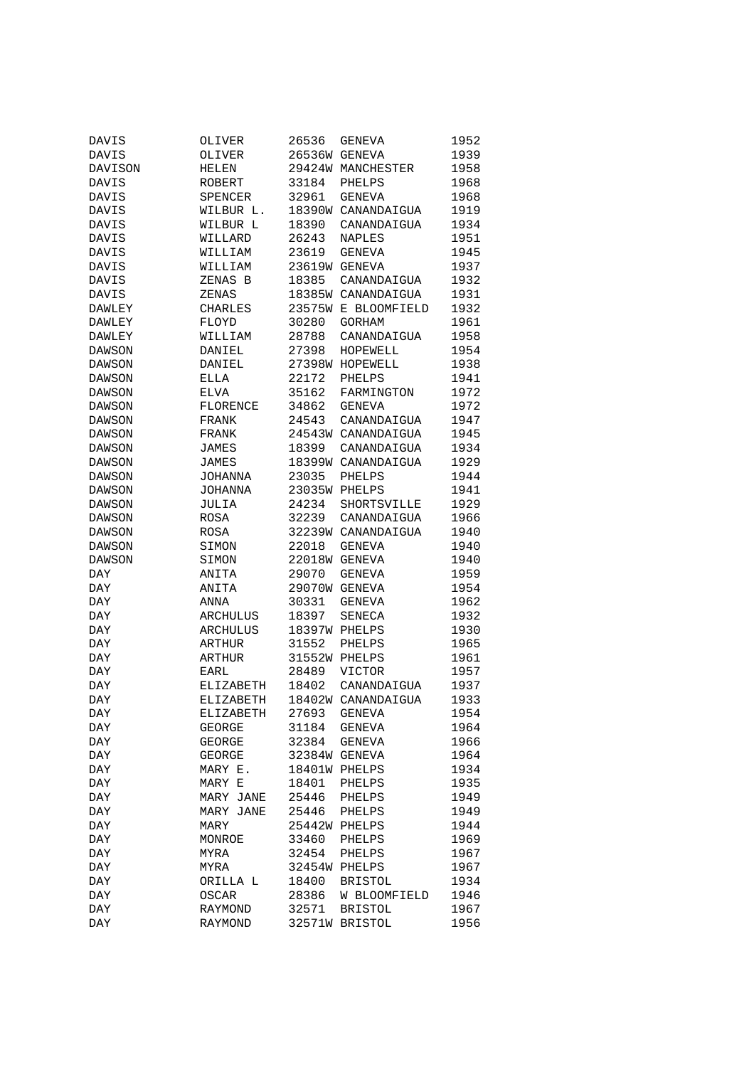| DAVIS         | OLIVER          | 26536                          | GENEVA             | 1952 |
|---------------|-----------------|--------------------------------|--------------------|------|
| <b>DAVIS</b>  | OLIVER          | 26536W                         | <b>GENEVA</b>      | 1939 |
| DAVISON       | <b>HELEN</b>    | 29424W                         | MANCHESTER         | 1958 |
| DAVIS         | ROBERT          | 33184                          | PHELPS             | 1968 |
| DAVIS         | SPENCER         | 32961                          | GENEVA             | 1968 |
| DAVIS         | WILBUR L.       | 18390W                         | CANANDAIGUA        | 1919 |
| DAVIS         | WILBUR L        | 18390                          | CANANDAIGUA        | 1934 |
| <b>DAVIS</b>  | WILLARD         | 26243                          | NAPLES             | 1951 |
| DAVIS         | WILLIAM         | 23619                          | GENEVA             | 1945 |
| <b>DAVIS</b>  | WILLIAM         | 23619W GENEVA                  |                    | 1937 |
| DAVIS         | ZENAS B         | 18385                          | CANANDAIGUA        | 1932 |
| DAVIS         | ZENAS           | 18385W                         | CANANDAIGUA        | 1931 |
| DAWLEY        | <b>CHARLES</b>  | 23575W                         | E BLOOMFIELD       | 1932 |
| DAWLEY        | FLOYD           | 30280                          | GORHAM             | 1961 |
| <b>DAWLEY</b> | WILLIAM         | 28788                          | CANANDAIGUA        | 1958 |
| DAWSON        | DANIEL          | 27398                          | HOPEWELL           | 1954 |
|               |                 |                                |                    | 1938 |
| DAWSON        | DANIEL          | 27398W                         | HOPEWELL           |      |
| DAWSON        | ELLA            | 22172                          | PHELPS             | 1941 |
| DAWSON        | <b>ELVA</b>     | 35162                          | FARMINGTON         | 1972 |
| <b>DAWSON</b> | FLORENCE        | 34862                          | <b>GENEVA</b>      | 1972 |
| DAWSON        | FRANK           | 24543                          | CANANDAIGUA        | 1947 |
| <b>DAWSON</b> | <b>FRANK</b>    |                                | 24543W CANANDAIGUA | 1945 |
| DAWSON        | JAMES           | 18399                          | CANANDAIGUA        | 1934 |
| DAWSON        | JAMES           | 18399W                         | CANANDAIGUA        | 1929 |
| <b>DAWSON</b> | <b>JOHANNA</b>  | 23035                          | PHELPS             | 1944 |
| <b>DAWSON</b> | <b>JOHANNA</b>  | 23035W                         | PHELPS             | 1941 |
| DAWSON        | JULIA           | 24234                          | SHORTSVILLE        | 1929 |
| <b>DAWSON</b> | ROSA            | 32239                          | CANANDAIGUA        | 1966 |
| DAWSON        | ROSA            |                                | 32239W CANANDAIGUA | 1940 |
| <b>DAWSON</b> | SIMON           | 22018                          | <b>GENEVA</b>      | 1940 |
| DAWSON        | SIMON           | 22018W                         | <b>GENEVA</b>      | 1940 |
| DAY           | ANITA           | 29070                          | GENEVA             | 1959 |
| DAY           | ANITA           | 29070W                         | <b>GENEVA</b>      | 1954 |
| DAY           | ANNA            | 30331                          | <b>GENEVA</b>      | 1962 |
| DAY           | ARCHULUS        | 18397                          | <b>SENECA</b>      | 1932 |
| DAY           | <b>ARCHULUS</b> | 18397W                         | PHELPS             | 1930 |
| DAY           | <b>ARTHUR</b>   | 31552                          | PHELPS             | 1965 |
| DAY           | ARTHUR          | 31552W                         | PHELPS             | 1961 |
| DAY           | EARL            | 28489                          | <b>VICTOR</b>      | 1957 |
| <b>DAY</b>    | ELIZABETH       | 18402                          | CANANDAIGUA        | 1937 |
| DAY           | ELIZABETH       |                                | 18402W CANANDAIGUA | 1933 |
| DAY           | ELIZABETH       | 27693                          | GENEVA             | 1954 |
| DAY           | <b>GEORGE</b>   | 31184                          | GENEVA             | 1964 |
| DAY           | GEORGE          | 32384                          | GENEVA             | 1966 |
|               |                 |                                |                    | 1964 |
| DAY           | GEORGE          | 32384W GENEVA<br>18401W PHELPS |                    |      |
| DAY           | MARY E.         |                                |                    | 1934 |
| DAY           | MARY E          | 18401                          | PHELPS             | 1935 |
| DAY           | MARY JANE       | 25446                          | PHELPS             | 1949 |
| DAY           | MARY JANE       | 25446                          | PHELPS             | 1949 |
| <b>DAY</b>    | MARY            | 25442W PHELPS                  |                    | 1944 |
| DAY           | MONROE          | 33460                          | PHELPS             | 1969 |
| <b>DAY</b>    | MYRA            | 32454                          | PHELPS             | 1967 |
| <b>DAY</b>    | <b>MYRA</b>     | 32454W PHELPS                  |                    | 1967 |
| DAY           | ORILLA L        | 18400                          | <b>BRISTOL</b>     | 1934 |
| DAY           | OSCAR           | 28386                          | W BLOOMFIELD       | 1946 |
| <b>DAY</b>    | <b>RAYMOND</b>  | 32571                          | <b>BRISTOL</b>     | 1967 |
| <b>DAY</b>    | <b>RAYMOND</b>  |                                | 32571W BRISTOL     | 1956 |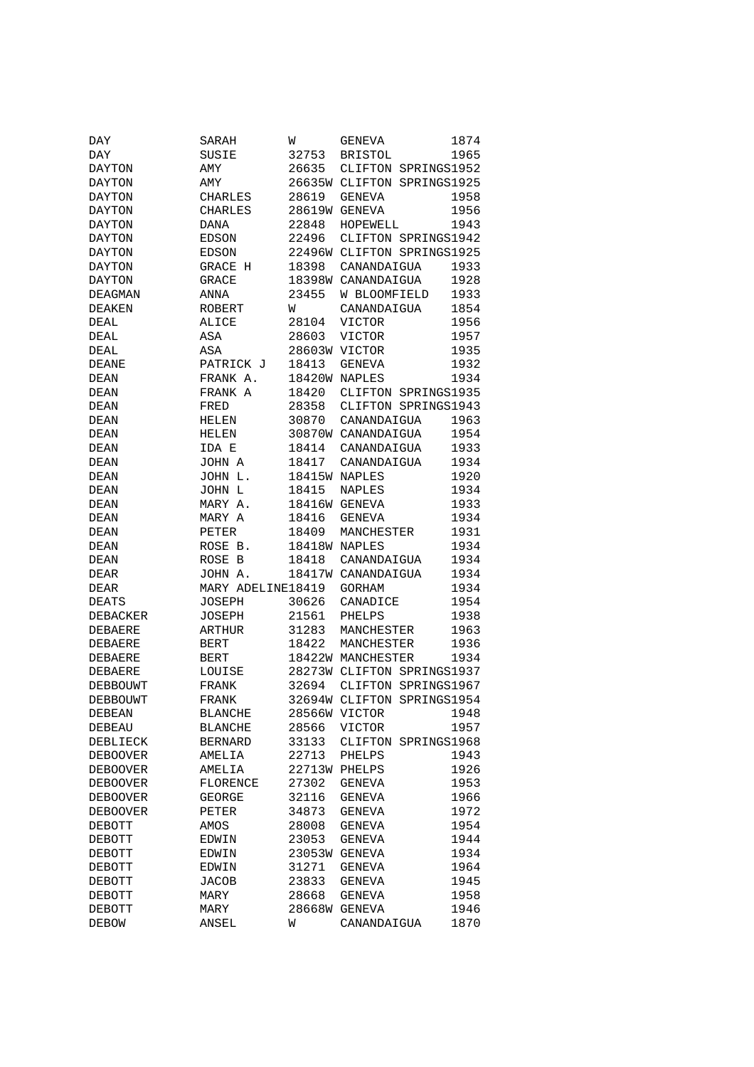| <b>DAY</b>      | SARAH             | W             | 1874<br><b>GENEVA</b>      |
|-----------------|-------------------|---------------|----------------------------|
| DAY             | SUSIE             | 32753         | <b>BRISTOL</b><br>1965     |
| <b>DAYTON</b>   | AMY               | 26635         | CLIFTON SPRINGS1952        |
| DAYTON          | AMY               |               | 26635W CLIFTON SPRINGS1925 |
| DAYTON          | CHARLES           | 28619         | 1958<br><b>GENEVA</b>      |
| <b>DAYTON</b>   | <b>CHARLES</b>    | 28619W GENEVA | 1956                       |
| <b>DAYTON</b>   | <b>DANA</b>       | 22848         | HOPEWELL<br>1943           |
| <b>DAYTON</b>   | <b>EDSON</b>      | 22496         | CLIFTON SPRINGS1942        |
| <b>DAYTON</b>   | <b>EDSON</b>      |               | 22496W CLIFTON SPRINGS1925 |
| <b>DAYTON</b>   | GRACE H           | 18398         | 1933<br>CANANDAIGUA        |
| <b>DAYTON</b>   | GRACE             |               | 18398W CANANDAIGUA<br>1928 |
| DEAGMAN         | ANNA              | 23455         | W BLOOMFIELD<br>1933       |
| DEAKEN          | ROBERT            | W             | 1854<br>CANANDAIGUA        |
| DEAL            | ALICE             | 28104         | 1956<br>VICTOR             |
| DEAL            | ASA               | 28603         | <b>VICTOR</b><br>1957      |
| DEAL            | ASA               | 28603W VICTOR | 1935                       |
| DEANE           | PATRICK J         | 18413         | 1932<br>GENEVA             |
| DEAN            | FRANK A.          | 18420W NAPLES | 1934                       |
| <b>DEAN</b>     | FRANK A           | 18420         | CLIFTON SPRINGS1935        |
| DEAN            | FRED              | 28358         | CLIFTON SPRINGS1943        |
| <b>DEAN</b>     | <b>HELEN</b>      | 30870         | CANANDAIGUA<br>1963        |
| DEAN            | HELEN             |               | 30870W CANANDAIGUA<br>1954 |
| DEAN            | IDA E             | 18414         | CANANDAIGUA<br>1933        |
| DEAN            | JOHN A            | 18417         | CANANDAIGUA<br>1934        |
| DEAN            | JOHN L.           | 18415W NAPLES | 1920                       |
| DEAN            | JOHN L            | 18415         | 1934<br><b>NAPLES</b>      |
| <b>DEAN</b>     | MARY A.           |               | 1933<br>18416W GENEVA      |
| <b>DEAN</b>     | MARY A            | 18416         | 1934<br>GENEVA             |
| DEAN            | PETER             | 18409         | 1931<br>MANCHESTER         |
| <b>DEAN</b>     | ROSE<br>В.        | 18418W NAPLES | 1934                       |
| DEAN            | ROSE<br>B         | 18418         | CANANDAIGUA<br>1934        |
| DEAR            | JOHN A.           |               | 18417W CANANDAIGUA<br>1934 |
| <b>DEAR</b>     | MARY ADELINE18419 |               | 1934<br>GORHAM             |
| DEATS           | JOSEPH            | 30626         | 1954<br>CANADICE           |
| DEBACKER        | JOSEPH            | 21561         | 1938<br>PHELPS             |
| <b>DEBAERE</b>  | ARTHUR            | 31283         | 1963<br>MANCHESTER         |
| DEBAERE         | BERT              | 18422         | MANCHESTER<br>1936         |
| <b>DEBAERE</b>  | BERT              |               | 18422W MANCHESTER<br>1934  |
| DEBAERE         | LOUISE            |               | 28273W CLIFTON SPRINGS1937 |
| DEBBOUWT        | <b>FRANK</b>      | 32694         | CLIFTON SPRINGS1967        |
| DEBBOUWT        | FRANK             |               | 32694W CLIFTON SPRINGS1954 |
| DEBEAN          | <b>BLANCHE</b>    |               | 28566W VICTOR<br>1948      |
| DEBEAU          | <b>BLANCHE</b>    | 28566         | <b>VICTOR</b><br>1957      |
| DEBLIECK        | <b>BERNARD</b>    | 33133         | CLIFTON<br>SPRINGS1968     |
| <b>DEBOOVER</b> | AMELIA            | 22713         | 1943<br>PHELPS             |
| <b>DEBOOVER</b> | AMELIA            | 22713W        | 1926<br>PHELPS             |
| DEBOOVER        | FLORENCE          | 27302         | 1953<br>GENEVA             |
| DEBOOVER        | GEORGE            | 32116         | 1966<br>GENEVA             |
| <b>DEBOOVER</b> | PETER             | 34873         | 1972<br>GENEVA             |
| DEBOTT          | AMOS              | 28008         | 1954<br>GENEVA             |
| <b>DEBOTT</b>   | EDWIN             | 23053         | 1944<br>GENEVA             |
| DEBOTT          | EDWIN             | 23053W        | <b>GENEVA</b><br>1934      |
| DEBOTT          | EDWIN             | 31271         | GENEVA<br>1964             |
| DEBOTT          | JACOB             | 23833         | 1945<br>GENEVA             |
| DEBOTT          | MARY              | 28668         | 1958<br>GENEVA             |
| DEBOTT          | MARY              | 28668W        | GENEVA<br>1946             |
| <b>DEBOW</b>    | ANSEL             | W             | CANANDAIGUA<br>1870        |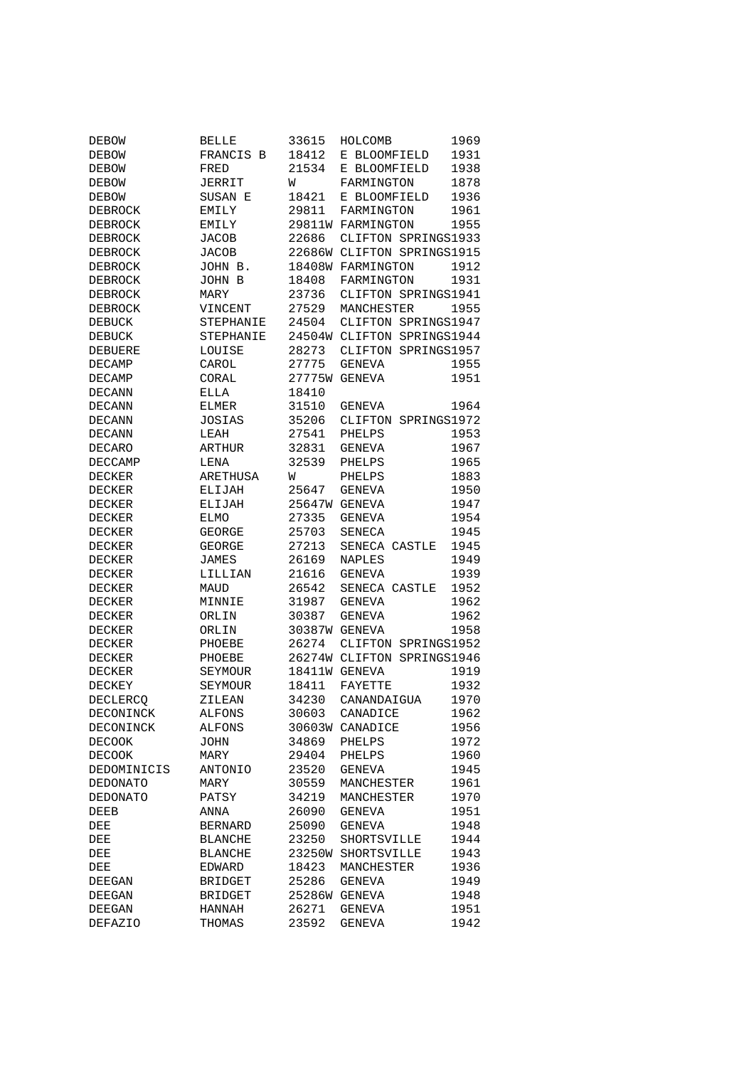| DEBOW           | BELLE                     | 33615  | HOLCOMB                    | 1969 |
|-----------------|---------------------------|--------|----------------------------|------|
| DEBOW           | FRANCIS<br>$\overline{B}$ | 18412  | E BLOOMFIELD               | 1931 |
| <b>DEBOW</b>    | FRED                      | 21534  | <b>BLOOMFIELD</b><br>Е     | 1938 |
| DEBOW           | JERRIT                    | W      | FARMINGTON                 | 1878 |
| DEBOW           | SUSAN E                   | 18421  | E BLOOMFIELD               | 1936 |
| DEBROCK         | <b>EMILY</b>              | 29811  | FARMINGTON                 | 1961 |
| DEBROCK         | EMILY                     | 29811W | FARMINGTON                 | 1955 |
| DEBROCK         | JACOB                     | 22686  | CLIFTON SPRINGS1933        |      |
| DEBROCK         | <b>JACOB</b>              | 22686W | CLIFTON SPRINGS1915        |      |
| DEBROCK         | JOHN B.                   | 18408W | FARMINGTON                 | 1912 |
| <b>DEBROCK</b>  | JOHN B                    | 18408  | FARMINGTON                 | 1931 |
| <b>DEBROCK</b>  | MARY                      | 23736  | CLIFTON SPRINGS1941        |      |
| DEBROCK         | VINCENT                   | 27529  | MANCHESTER                 | 1955 |
| <b>DEBUCK</b>   | STEPHANIE                 | 24504  | CLIFTON SPRINGS1947        |      |
| <b>DEBUCK</b>   | STEPHANIE                 | 24504W | CLIFTON SPRINGS1944        |      |
| <b>DEBUERE</b>  | LOUISE                    | 28273  | CLIFTON<br>SPRINGS1957     |      |
| DECAMP          | CAROL                     | 27775  | GENEVA                     | 1955 |
| DECAMP          | CORAL                     | 27775W | <b>GENEVA</b>              | 1951 |
| DECANN          | <b>ELLA</b>               | 18410  |                            |      |
| DECANN          | <b>ELMER</b>              | 31510  | <b>GENEVA</b>              | 1964 |
| DECANN          | JOSIAS                    | 35206  | CLIFTON SPRINGS1972        |      |
| DECANN          | LEAH                      | 27541  | PHELPS                     | 1953 |
| DECARO          | ARTHUR                    | 32831  | <b>GENEVA</b>              | 1967 |
| DECCAMP         | LENA                      | 32539  | PHELPS                     | 1965 |
| DECKER          | <b>ARETHUSA</b>           | W      | PHELPS                     | 1883 |
| DECKER          | <b>ELIJAH</b>             | 25647  | <b>GENEVA</b>              | 1950 |
| DECKER          | ELIJAH                    | 25647W | <b>GENEVA</b>              | 1947 |
| DECKER          | <b>ELMO</b>               | 27335  | <b>GENEVA</b>              | 1954 |
| DECKER          | GEORGE                    | 25703  | SENECA                     | 1945 |
| DECKER          | GEORGE                    | 27213  | SENECA CASTLE              | 1945 |
| DECKER          | JAMES                     | 26169  | NAPLES                     | 1949 |
| <b>DECKER</b>   | LILLIAN                   | 21616  | GENEVA                     | 1939 |
| DECKER          | MAUD                      | 26542  | SENECA CASTLE              | 1952 |
| <b>DECKER</b>   | MINNIE                    | 31987  | GENEVA                     | 1962 |
| DECKER          | ORLIN                     | 30387  | GENEVA                     | 1962 |
| DECKER          | ORLIN                     | 30387W | <b>GENEVA</b>              | 1958 |
| DECKER          | PHOEBE                    | 26274  | CLIFTON SPRINGS1952        |      |
| DECKER          | PHOEBE                    |        | 26274W CLIFTON SPRINGS1946 |      |
| DECKER          | SEYMOUR                   | 18411W | <b>GENEVA</b>              | 1919 |
| <b>DECKEY</b>   | SEYMOUR                   | 18411  | FAYETTE                    | 1932 |
| DECLERCQ        | ZILEAN                    | 34230  | CANANDAIGUA                | 1970 |
| DECONINCK       | ALFONS                    | 30603  | CANADICE                   | 1962 |
| DECONINCK       | <b>ALFONS</b>             |        | 30603W CANADICE            | 1956 |
| DECOOK          | JOHN                      | 34869  | PHELPS                     | 1972 |
| <b>DECOOK</b>   | MARY                      | 29404  | PHELPS                     | 1960 |
| DEDOMINICIS     | <b>ANTONIO</b>            | 23520  | <b>GENEVA</b>              | 1945 |
| DEDONATO        | MARY                      | 30559  | MANCHESTER                 | 1961 |
| <b>DEDONATO</b> | PATSY                     | 34219  | MANCHESTER                 | 1970 |
| DEEB            | ANNA                      | 26090  | <b>GENEVA</b>              | 1951 |
| DEE             | <b>BERNARD</b>            | 25090  | GENEVA                     | 1948 |
| DEE             | <b>BLANCHE</b>            | 23250  | SHORTSVILLE                | 1944 |
| DEE             | <b>BLANCHE</b>            | 23250W | SHORTSVILLE                | 1943 |
| DEE             | EDWARD                    | 18423  | MANCHESTER                 | 1936 |
| DEEGAN          | <b>BRIDGET</b>            | 25286  | GENEVA                     | 1949 |
| DEEGAN          | <b>BRIDGET</b>            |        | 25286W GENEVA              | 1948 |
| DEEGAN          | HANNAH                    | 26271  | GENEVA                     | 1951 |
| <b>DEFAZIO</b>  | THOMAS                    | 23592  | <b>GENEVA</b>              | 1942 |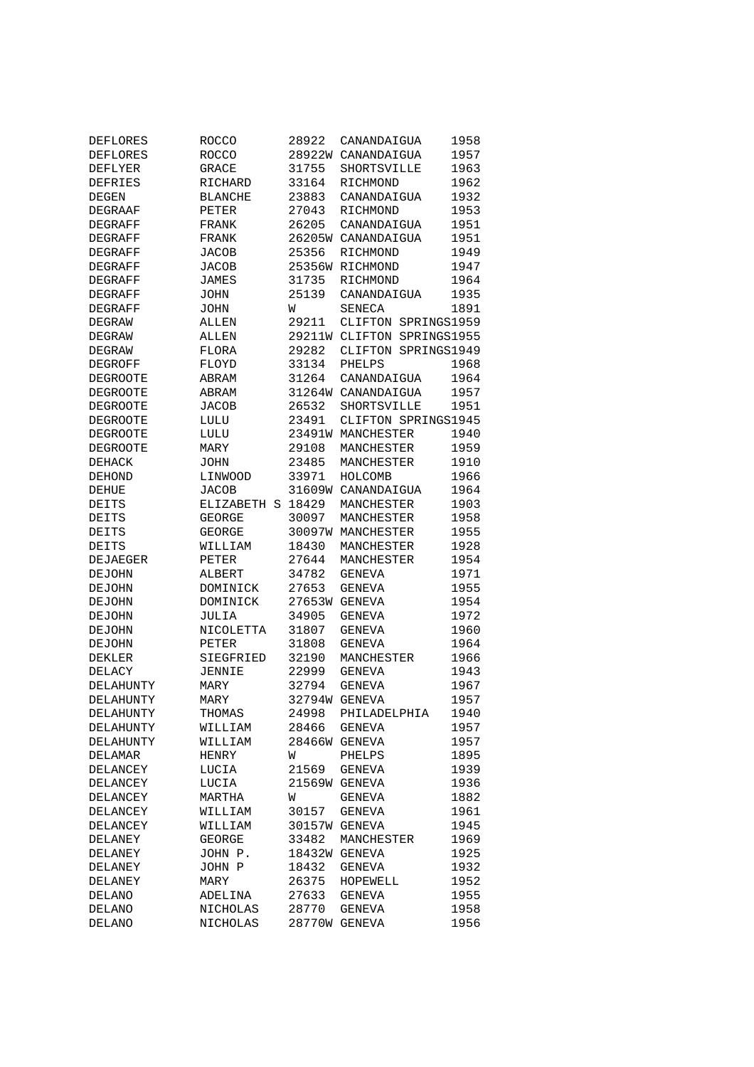| DEFLORES                | ROCCO          | 28922         | CANANDAIGUA         | 1958 |
|-------------------------|----------------|---------------|---------------------|------|
| <b>DEFLORES</b>         | <b>ROCCO</b>   | 28922W        | CANANDAIGUA         | 1957 |
| <b>DEFLYER</b>          | GRACE          | 31755         | SHORTSVILLE         | 1963 |
| DEFRIES                 | RICHARD        | 33164         | RICHMOND            | 1962 |
|                         | <b>BLANCHE</b> | 23883         | CANANDAIGUA         | 1932 |
| DEGEN<br><b>DEGRAAF</b> |                | 27043         | RICHMOND            | 1953 |
|                         | PETER          |               |                     |      |
| DEGRAFF                 | FRANK          | 26205         | CANANDAIGUA         | 1951 |
| <b>DEGRAFF</b>          | FRANK          | 26205W        | CANANDAIGUA         | 1951 |
| <b>DEGRAFF</b>          | <b>JACOB</b>   | 25356         | RICHMOND            | 1949 |
| DEGRAFF                 | <b>JACOB</b>   | 25356W        | RICHMOND            | 1947 |
| <b>DEGRAFF</b>          | <b>JAMES</b>   | 31735         | RICHMOND            | 1964 |
| DEGRAFF                 | <b>JOHN</b>    | 25139         | CANANDAIGUA         | 1935 |
| DEGRAFF                 | JOHN           | W             | <b>SENECA</b>       | 1891 |
| DEGRAW                  | ALLEN          | 29211         | CLIFTON SPRINGS1959 |      |
| DEGRAW                  | ALLEN          | 29211W        | CLIFTON SPRINGS1955 |      |
| DEGRAW                  | FLORA          | 29282         | CLIFTON SPRINGS1949 |      |
| DEGROFF                 | FLOYD          | 33134         | PHELPS              | 1968 |
| <b>DEGROOTE</b>         | ABRAM          | 31264         | CANANDAIGUA         | 1964 |
| <b>DEGROOTE</b>         | ABRAM          | 31264W        | CANANDAIGUA         | 1957 |
| <b>DEGROOTE</b>         | <b>JACOB</b>   | 26532         | SHORTSVILLE         | 1951 |
| <b>DEGROOTE</b>         | LULU           | 23491         | CLIFTON SPRINGS1945 |      |
| <b>DEGROOTE</b>         | LULU           | 23491W        | MANCHESTER          | 1940 |
| DEGROOTE                | MARY           | 29108         | MANCHESTER          | 1959 |
| DEHACK                  | JOHN           | 23485         | MANCHESTER          | 1910 |
| DEHOND                  | LINWOOD        | 33971         | HOLCOMB             | 1966 |
| <b>DEHUE</b>            | <b>JACOB</b>   | 31609W        | CANANDAIGUA         | 1964 |
| DEITS                   | ELIZABETH<br>S | 18429         | MANCHESTER          | 1903 |
| DEITS                   | <b>GEORGE</b>  | 30097         | MANCHESTER          | 1958 |
| DEITS                   | GEORGE         | 30097W        | MANCHESTER          | 1955 |
| DEITS                   | WILLIAM        | 18430         | MANCHESTER          | 1928 |
| DEJAEGER                | PETER          | 27644         | MANCHESTER          | 1954 |
| DEJOHN                  | ALBERT         | 34782         | <b>GENEVA</b>       | 1971 |
| <b>DEJOHN</b>           | DOMINICK       | 27653         | <b>GENEVA</b>       | 1955 |
| DEJOHN                  | DOMINICK       | 27653W        | <b>GENEVA</b>       | 1954 |
| DEJOHN                  | JULIA          | 34905         | GENEVA              | 1972 |
| DEJOHN                  | NICOLETTA      | 31807         | GENEVA              | 1960 |
| DEJOHN                  | PETER          | 31808         | <b>GENEVA</b>       | 1964 |
| <b>DEKLER</b>           | SIEGFRIED      | 32190         | MANCHESTER          | 1966 |
| <b>DELACY</b>           | JENNIE         | 22999         | <b>GENEVA</b>       | 1943 |
| DELAHUNTY               | MARY           | 32794         | <b>GENEVA</b>       | 1967 |
|                         |                |               |                     |      |
| DELAHUNTY               | MARY           |               | 32794W GENEVA       | 1957 |
| DELAHUNTY               | THOMAS         | 24998         | PHILADELPHIA        | 1940 |
| <b>DELAHUNTY</b>        | WILLIAM        | 28466         | <b>GENEVA</b>       | 1957 |
| DELAHUNTY               | WILLIAM        |               | 28466W GENEVA       | 1957 |
| DELAMAR                 | HENRY          | W             | PHELPS              | 1895 |
| DELANCEY                | LUCIA          | 21569         | <b>GENEVA</b>       | 1939 |
| DELANCEY                | LUCIA          |               | 21569W GENEVA       | 1936 |
| DELANCEY                | MARTHA         | W             | GENEVA              | 1882 |
| DELANCEY                | WILLIAM        | 30157         | <b>GENEVA</b>       | 1961 |
| DELANCEY                | WILLIAM        | 30157W        | GENEVA              | 1945 |
| DELANEY                 | GEORGE         | 33482         | MANCHESTER          | 1969 |
| DELANEY                 | JOHN P.        |               | 18432W GENEVA       | 1925 |
| DELANEY                 | JOHN P         | 18432         | GENEVA              | 1932 |
| DELANEY                 | MARY           | 26375         | HOPEWELL            | 1952 |
| DELANO                  | ADELINA        | 27633         | GENEVA              | 1955 |
| DELANO                  | NICHOLAS       | 28770         | GENEVA              | 1958 |
| <b>DELANO</b>           | NICHOLAS       | 28770W GENEVA |                     | 1956 |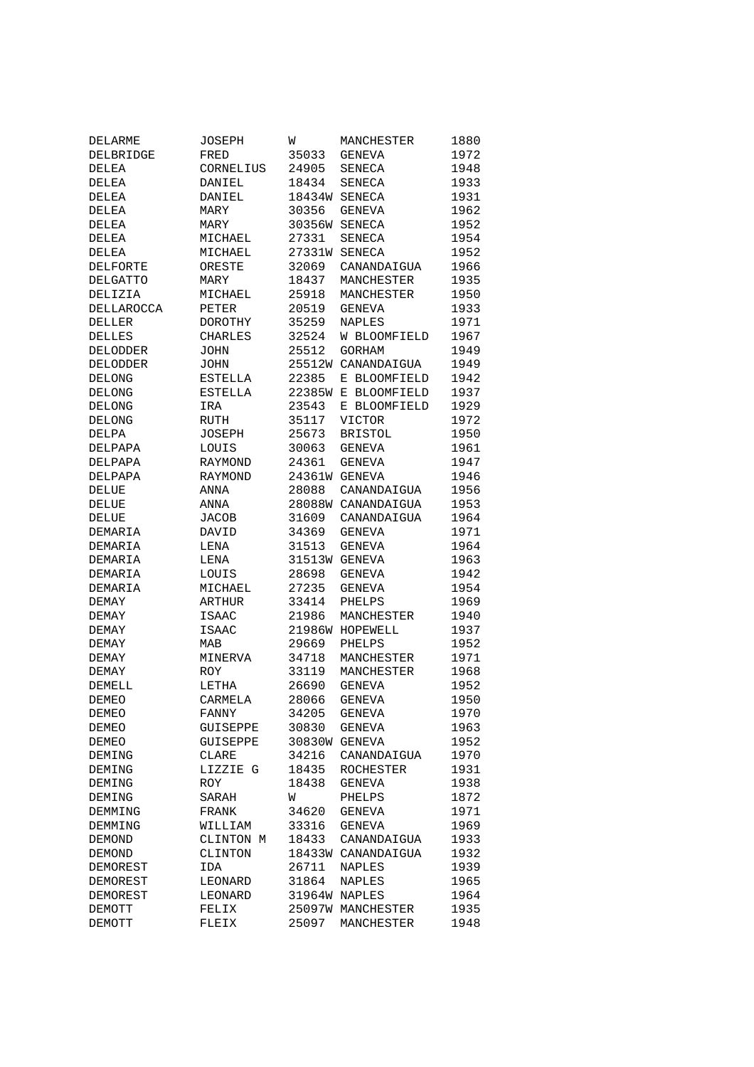| DELARME         | JOSEPH         | W      | MANCHESTER             | 1880 |
|-----------------|----------------|--------|------------------------|------|
| DELBRIDGE       | FRED           | 35033  | <b>GENEVA</b>          | 1972 |
| <b>DELEA</b>    | CORNELIUS      | 24905  | SENECA                 | 1948 |
| DELEA           | DANIEL         | 18434  | SENECA                 | 1933 |
| DELEA           | DANIEL         | 18434W | SENECA                 | 1931 |
| DELEA           | MARY           | 30356  | GENEVA                 | 1962 |
| DELEA           | MARY           | 30356W | <b>SENECA</b>          | 1952 |
| DELEA           | MICHAEL        | 27331  | SENECA                 | 1954 |
| DELEA           | MICHAEL        | 27331W | SENECA                 | 1952 |
| DELFORTE        | ORESTE         | 32069  | CANANDAIGUA            | 1966 |
| <b>DELGATTO</b> | MARY           | 18437  | MANCHESTER             | 1935 |
| DELIZIA         | MICHAEL        | 25918  | MANCHESTER             | 1950 |
| DELLAROCCA      | PETER          | 20519  | <b>GENEVA</b>          | 1933 |
| DELLER          | DOROTHY        | 35259  | NAPLES                 | 1971 |
| <b>DELLES</b>   | <b>CHARLES</b> | 32524  | W BLOOMFIELD           | 1967 |
| DELODDER        | JOHN           | 25512  | GORHAM                 | 1949 |
| DELODDER        | JOHN           | 25512W | CANANDAIGUA            | 1949 |
| DELONG          | ESTELLA        | 22385  | BLOOMFIELD<br>Е        | 1942 |
| <b>DELONG</b>   | <b>ESTELLA</b> | 22385W | <b>BLOOMFIELD</b><br>Е | 1937 |
| <b>DELONG</b>   | IRA            | 23543  | E BLOOMFIELD           | 1929 |
| DELONG          | RUTH           | 35117  | VICTOR                 | 1972 |
| DELPA           | JOSEPH         | 25673  | <b>BRISTOL</b>         | 1950 |
| DELPAPA         | LOUIS          | 30063  | <b>GENEVA</b>          | 1961 |
| DELPAPA         | RAYMOND        | 24361  | <b>GENEVA</b>          | 1947 |
| DELPAPA         | RAYMOND        | 24361W | GENEVA                 | 1946 |
| <b>DELUE</b>    | ANNA           | 28088  | CANANDAIGUA            | 1956 |
| <b>DELUE</b>    | ANNA           | 28088W | CANANDAIGUA            | 1953 |
| DELUE           | JACOB          | 31609  | CANANDAIGUA            | 1964 |
| DEMARIA         | DAVID          | 34369  | GENEVA                 | 1971 |
| DEMARIA         | LENA           | 31513  | <b>GENEVA</b>          | 1964 |
| DEMARIA         | LENA           | 31513W | GENEVA                 | 1963 |
| DEMARIA         | LOUIS          | 28698  | GENEVA                 | 1942 |
| DEMARIA         | MICHAEL        | 27235  | <b>GENEVA</b>          | 1954 |
| DEMAY           | ARTHUR         | 33414  | PHELPS                 | 1969 |
| DEMAY           | ISAAC          | 21986  | MANCHESTER             | 1940 |
| DEMAY           | <b>ISAAC</b>   | 21986W | HOPEWELL               | 1937 |
| DEMAY           | MAB            | 29669  | PHELPS                 | 1952 |
| DEMAY           | MINERVA        | 34718  | MANCHESTER             | 1971 |
| <b>DEMAY</b>    | ROY            | 33119  | MANCHESTER             | 1968 |
| DEMELL          | LETHA          | 26690  | <b>GENEVA</b>          | 1952 |
| <b>DEMEO</b>    | CARMELA        | 28066  | GENEVA                 | 1950 |
| DEMEO           | FANNY          | 34205  | GENEVA                 | 1970 |
| DEMEO           | GUISEPPE       | 30830  | GENEVA                 | 1963 |
| DEMEO           | GUISEPPE       | 30830W | GENEVA                 | 1952 |
| DEMING          | CLARE          | 34216  | CANANDAIGUA            | 1970 |
| DEMING          | LIZZIE G       | 18435  | ROCHESTER              | 1931 |
| DEMING          | ROY            | 18438  | GENEVA                 | 1938 |
| DEMING          | SARAH          | W      | PHELPS                 | 1872 |
| DEMMING         | FRANK          | 34620  | GENEVA                 | 1971 |
| DEMMING         | WILLIAM        | 33316  | <b>GENEVA</b>          | 1969 |
| <b>DEMOND</b>   | CLINTON M      | 18433  | CANANDAIGUA            | 1933 |
| <b>DEMOND</b>   | CLINTON        |        | 18433W CANANDAIGUA     | 1932 |
| DEMOREST        | IDA            | 26711  | <b>NAPLES</b>          | 1939 |
| DEMOREST        | LEONARD        | 31864  | <b>NAPLES</b>          | 1965 |
| DEMOREST        | LEONARD        | 31964W | <b>NAPLES</b>          | 1964 |
| DEMOTT          | FELIX          | 25097W | MANCHESTER             | 1935 |
| DEMOTT          | FLEIX          | 25097  | MANCHESTER             | 1948 |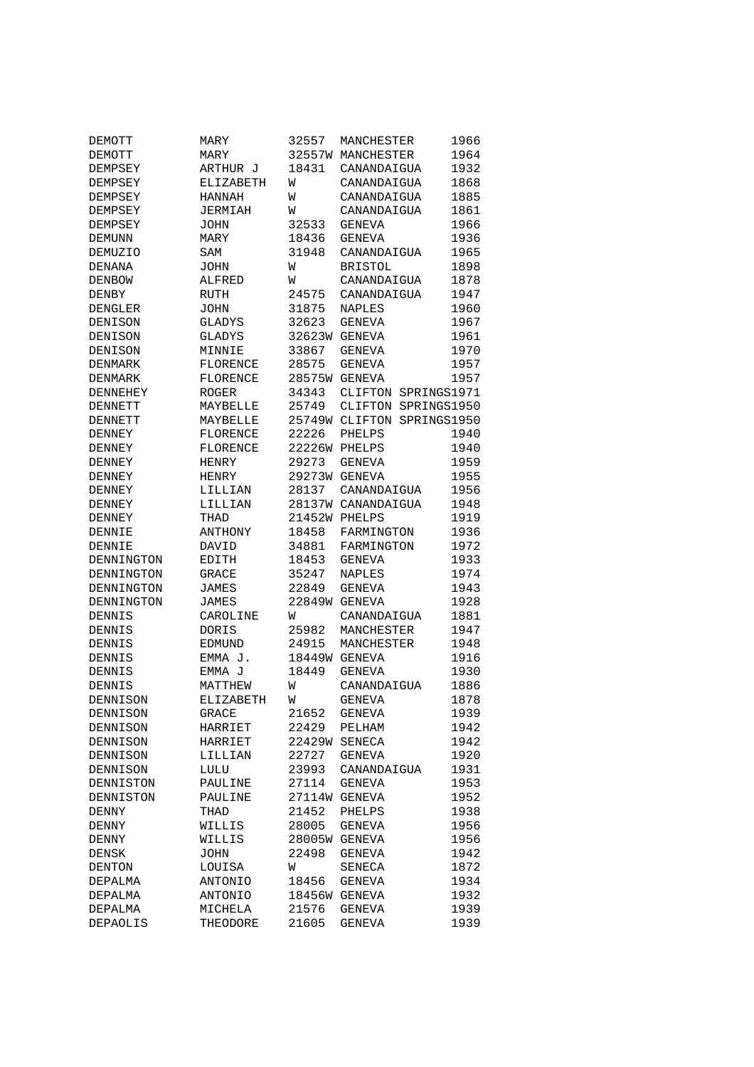| DEMOTT          | MARY         | 32557  | MANCHESTER             | 1966 |
|-----------------|--------------|--------|------------------------|------|
| DEMOTT          | MARY         | 32557W | MANCHESTER             | 1964 |
| DEMPSEY         | ARTHUR J     | 18431  | CANANDAIGUA            | 1932 |
| DEMPSEY         | ELIZABETH    | W      | CANANDAIGUA            | 1868 |
| DEMPSEY         | HANNAH       | M      | CANANDAIGUA            | 1885 |
| DEMPSEY         | JERMIAH      | W      | CANANDAIGUA            | 1861 |
| DEMPSEY         | JOHN         | 32533  | GENEVA                 | 1966 |
| DEMUNN          | MARY         | 18436  | GENEVA                 | 1936 |
| DEMUZIO         | SAM          | 31948  | CANANDAIGUA            | 1965 |
| DENANA          | <b>JOHN</b>  | W      | <b>BRISTOL</b>         | 1898 |
| <b>DENBOW</b>   | ALFRED       | W      | CANANDAIGUA            | 1878 |
| DENBY           | RUTH         | 24575  | CANANDAIGUA            | 1947 |
| <b>DENGLER</b>  | JOHN         | 31875  | <b>NAPLES</b>          | 1960 |
| DENISON         | GLADYS       | 32623  | GENEVA                 | 1967 |
| DENISON         | GLADYS       | 32623W | <b>GENEVA</b>          | 1961 |
| DENISON         | MINNIE       | 33867  | <b>GENEVA</b>          | 1970 |
| DENMARK         | FLORENCE     | 28575  | GENEVA                 | 1957 |
| <b>DENMARK</b>  | FLORENCE     | 28575W | <b>GENEVA</b>          | 1957 |
| DENNEHEY        | ROGER        | 34343  | CLIFTON SPRINGS1971    |      |
| DENNETT         | MAYBELLE     | 25749  | CLIFTON<br>SPRINGS1950 |      |
| DENNETT         | MAYBELLE     | 25749W | SPRINGS1950<br>CLIFTON |      |
| DENNEY          | FLORENCE     | 22226  | PHELPS                 | 1940 |
| DENNEY          | FLORENCE     | 22226W | PHELPS                 | 1940 |
| <b>DENNEY</b>   | HENRY        | 29273  | GENEVA                 | 1959 |
| DENNEY          | HENRY        | 29273W | <b>GENEVA</b>          | 1955 |
| DENNEY          | LILLIAN      | 28137  | CANANDAIGUA            | 1956 |
| DENNEY          | LILLIAN      | 28137W | CANANDAIGUA            | 1948 |
| <b>DENNEY</b>   | THAD         | 21452W | PHELPS                 | 1919 |
| DENNIE          | ANTHONY      | 18458  | FARMINGTON             | 1936 |
| DENNIE          | DAVID        | 34881  | FARMINGTON             | 1972 |
| DENNINGTON      | EDITH        | 18453  | GENEVA                 | 1933 |
| DENNINGTON      | GRACE        | 35247  | <b>NAPLES</b>          | 1974 |
| DENNINGTON      | JAMES        | 22849  | GENEVA                 | 1943 |
| DENNINGTON      | <b>JAMES</b> | 22849W | <b>GENEVA</b>          | 1928 |
| DENNIS          | CAROLINE     | W      | CANANDAIGUA            | 1881 |
| DENNIS          | DORIS        | 25982  | MANCHESTER             | 1947 |
| DENNIS          | EDMUND       | 24915  | MANCHESTER             | 1948 |
| DENNIS          | EMMA J.      | 18449W | GENEVA                 | 1916 |
| DENNIS          | EMMA J       | 18449  | GENEVA                 | 1930 |
| DENNIS          | MATTHEW      | W      | CANANDAIGUA            | 1886 |
| DENNISON        | ELIZABETH    | W      | <b>GENEVA</b>          | 1878 |
| DENNISON        | GRACE        | 21652  | GENEVA                 | 1939 |
| DENNISON        | HARRIET      | 22429  | PELHAM                 | 1942 |
| DENNISON        | HARRIET      | 22429W | SENECA                 | 1942 |
| DENNISON        | LILLIAN      | 22727  | <b>GENEVA</b>          | 1920 |
| DENNISON        | LULU         | 23993  | CANANDAIGUA            | 1931 |
| DENNISTON       | PAULINE      | 27114  | GENEVA                 | 1953 |
| DENNISTON       | PAULINE      | 27114W | GENEVA                 | 1952 |
| DENNY           | THAD         | 21452  | PHELPS                 | 1938 |
| DENNY           | WILLIS       | 28005  | GENEVA                 | 1956 |
| DENNY           | WILLIS       | 28005W | GENEVA                 | 1956 |
| DENSK           | JOHN         | 22498  | GENEVA                 | 1942 |
| DENTON          | LOUISA       | W      | SENECA                 | 1872 |
| DEPALMA         | ANTONIO      | 18456  | GENEVA                 | 1934 |
| DEPALMA         | ANTONIO      | 18456W | GENEVA                 | 1932 |
| DEPALMA         | MICHELA      | 21576  | GENEVA                 | 1939 |
| <b>DEPAOLIS</b> | THEODORE     | 21605  | <b>GENEVA</b>          | 1939 |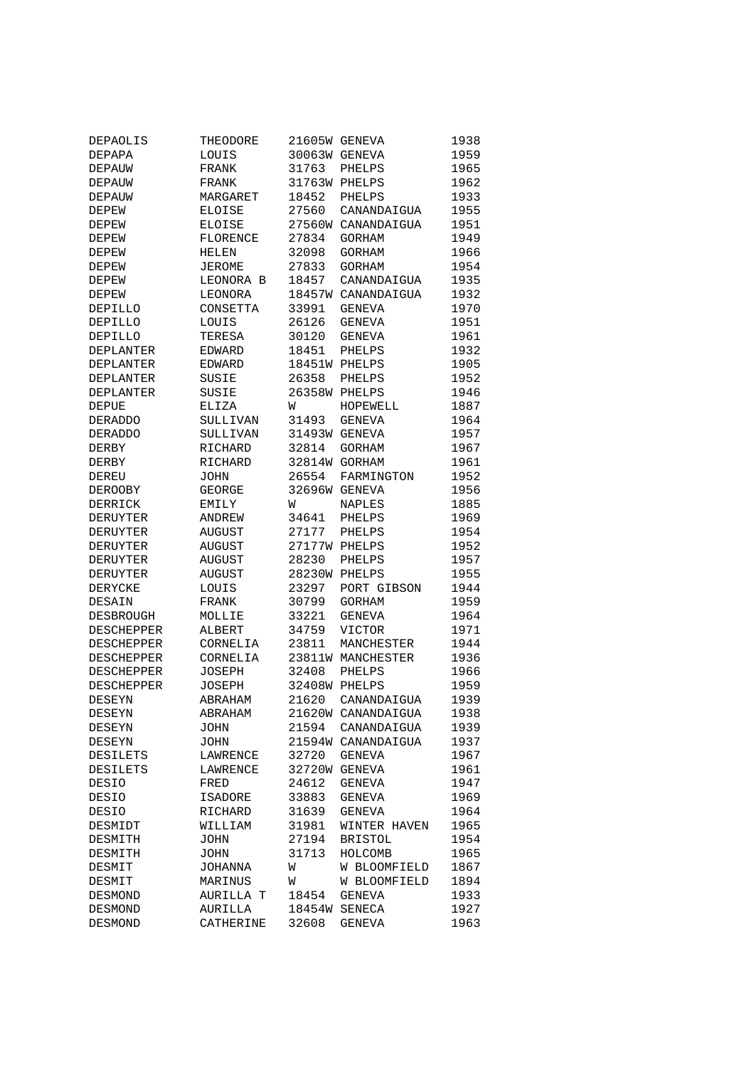| DEPAOLIS         | THEODORE      | 21605W GENEVA |                    | 1938 |
|------------------|---------------|---------------|--------------------|------|
| DEPAPA           | LOUIS         | 30063W        | <b>GENEVA</b>      | 1959 |
| DEPAUW           | FRANK         | 31763         | PHELPS             | 1965 |
| DEPAUW           | FRANK         | 31763W        | PHELPS             | 1962 |
| <b>DEPAUW</b>    | MARGARET      | 18452         | PHELPS             | 1933 |
| DEPEW            | <b>ELOISE</b> | 27560         | CANANDAIGUA        | 1955 |
| DEPEW            | <b>ELOISE</b> | 27560W        | CANANDAIGUA        | 1951 |
| <b>DEPEW</b>     | FLORENCE      | 27834         | GORHAM             | 1949 |
| DEPEW            | HELEN         | 32098         | GORHAM             | 1966 |
| DEPEW            | JEROME        | 27833         | GORHAM             | 1954 |
| DEPEW            | LEONORA B     | 18457         | CANANDAIGUA        | 1935 |
| DEPEW            | LEONORA       | 18457W        | CANANDAIGUA        | 1932 |
| DEPILLO          | CONSETTA      | 33991         | <b>GENEVA</b>      | 1970 |
| DEPILLO          | LOUIS         | 26126         | <b>GENEVA</b>      | 1951 |
| <b>DEPILLO</b>   | TERESA        | 30120         | <b>GENEVA</b>      | 1961 |
| DEPLANTER        | EDWARD        | 18451         | PHELPS             | 1932 |
| DEPLANTER        | EDWARD        | 18451W        | PHELPS             | 1905 |
| DEPLANTER        | SUSIE         | 26358         | PHELPS             | 1952 |
| <b>DEPLANTER</b> | SUSIE         | 26358W        | PHELPS             | 1946 |
| <b>DEPUE</b>     | ELIZA         | M             | HOPEWELL           | 1887 |
| <b>DERADDO</b>   | SULLIVAN      | 31493         | <b>GENEVA</b>      | 1964 |
| <b>DERADDO</b>   | SULLIVAN      | 31493W        | <b>GENEVA</b>      | 1957 |
| <b>DERBY</b>     | RICHARD       | 32814         | GORHAM             | 1967 |
| DERBY            | RICHARD       | 32814W        | <b>GORHAM</b>      | 1961 |
| DEREU            | JOHN          | 26554         | FARMINGTON         | 1952 |
| <b>DEROOBY</b>   | <b>GEORGE</b> | 32696W        | <b>GENEVA</b>      | 1956 |
| DERRICK          | <b>EMILY</b>  | M             | NAPLES             | 1885 |
| DERUYTER         | ANDREW        | 34641         | PHELPS             | 1969 |
| DERUYTER         | AUGUST        | 27177         | PHELPS             | 1954 |
| <b>DERUYTER</b>  | <b>AUGUST</b> | 27177W        | PHELPS             | 1952 |
| DERUYTER         | <b>AUGUST</b> | 28230         | PHELPS             | 1957 |
| DERUYTER         | <b>AUGUST</b> | 28230W        | PHELPS             | 1955 |
| DERYCKE          | LOUIS         | 23297         | PORT GIBSON        | 1944 |
| <b>DESAIN</b>    | FRANK         | 30799         | GORHAM             | 1959 |
| DESBROUGH        | MOLLIE        | 33221         | GENEVA             | 1964 |
| DESCHEPPER       | <b>ALBERT</b> | 34759         | <b>VICTOR</b>      | 1971 |
| DESCHEPPER       | CORNELIA      | 23811         | MANCHESTER         | 1944 |
| DESCHEPPER       | CORNELIA      | 23811W        | MANCHESTER         | 1936 |
| DESCHEPPER       | <b>JOSEPH</b> | 32408         | PHELPS             | 1966 |
| DESCHEPPER       | JOSEPH        | 32408W        | PHELPS             | 1959 |
| DESEYN           | ABRAHAM       | 21620         | CANANDAIGUA        | 1939 |
| DESEYN           | ABRAHAM       |               | 21620W CANANDAIGUA | 1938 |
| DESEYN           | JOHN          | 21594         | CANANDAIGUA        | 1939 |
| DESEYN           | JOHN          |               | 21594W CANANDAIGUA | 1937 |
| DESILETS         | LAWRENCE      | 32720         | GENEVA             | 1967 |
| DESILETS         | LAWRENCE      | 32720W        | GENEVA             | 1961 |
| DESIO            | FRED          | 24612         | GENEVA             | 1947 |
| DESIO            | ISADORE       | 33883         | GENEVA             | 1969 |
| DESIO            | RICHARD       | 31639         | GENEVA             | 1964 |
| DESMIDT          | WILLIAM       | 31981         | WINTER HAVEN       | 1965 |
| DESMITH          | JOHN          | 27194         | <b>BRISTOL</b>     | 1954 |
| DESMITH          | JOHN          | 31713         | HOLCOMB            | 1965 |
| DESMIT           | JOHANNA       | W             | W BLOOMFIELD       | 1867 |
| DESMIT           | MARINUS       | W             | W BLOOMFIELD       | 1894 |
| DESMOND          | AURILLA T     | 18454         | GENEVA             | 1933 |
| DESMOND          | AURILLA       | 18454W        | SENECA             | 1927 |
| <b>DESMOND</b>   | CATHERINE     | 32608         | GENEVA             | 1963 |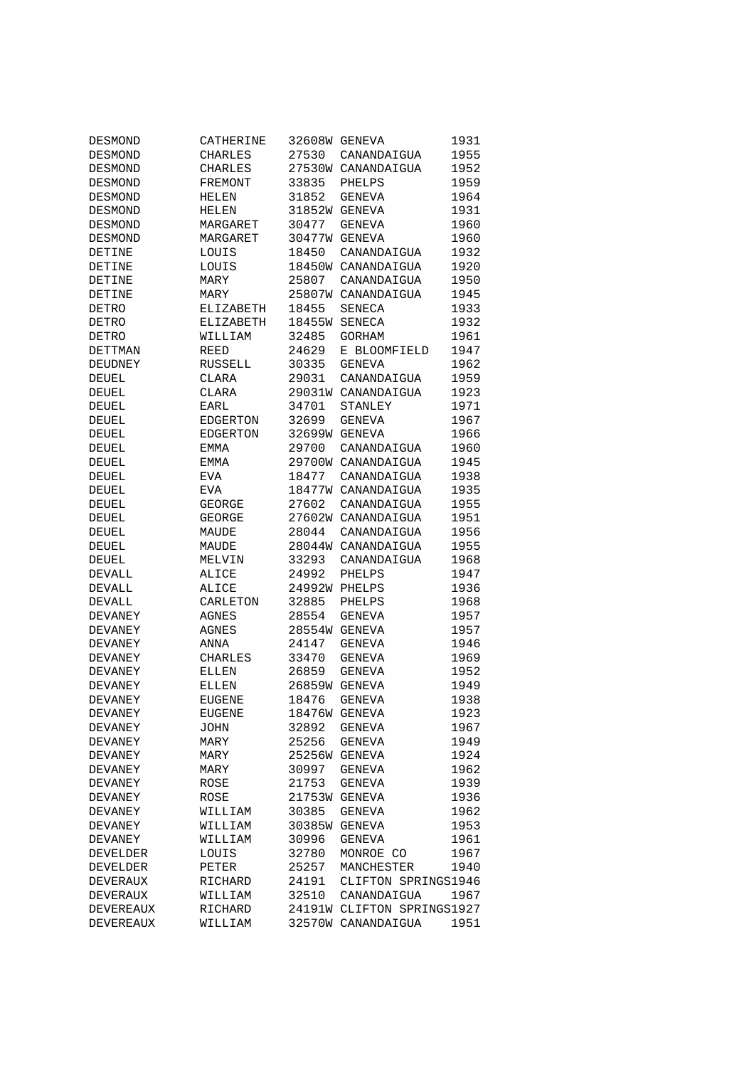| DESMOND          | CATHERINE        | 32608W        | GENEVA              | 1931         |
|------------------|------------------|---------------|---------------------|--------------|
| <b>DESMOND</b>   | CHARLES          | 27530         | CANANDAIGUA         | 1955         |
| <b>DESMOND</b>   | CHARLES          | 27530W        | CANANDAIGUA         | 1952         |
| <b>DESMOND</b>   | FREMONT          | 33835         | PHELPS              | 1959         |
| <b>DESMOND</b>   | <b>HELEN</b>     | 31852         | <b>GENEVA</b>       | 1964         |
| <b>DESMOND</b>   | <b>HELEN</b>     | 31852W        | <b>GENEVA</b>       | 1931         |
| <b>DESMOND</b>   | MARGARET         | 30477         | GENEVA              | 1960         |
| <b>DESMOND</b>   | MARGARET         | 30477W        | <b>GENEVA</b>       | 1960         |
| DETINE           | LOUIS            | 18450         | CANANDAIGUA         | 1932         |
| DETINE           | LOUIS            | 18450W        | CANANDAIGUA         | 1920         |
|                  |                  | 25807         | CANANDAIGUA         | 1950         |
| DETINE<br>DETINE | MARY<br>MARY     | 25807W        | CANANDAIGUA         | 1945         |
|                  |                  |               |                     |              |
| <b>DETRO</b>     | <b>ELIZABETH</b> | 18455         | SENECA              | 1933         |
| DETRO            | ELIZABETH        | 18455W        | SENECA              | 1932         |
| <b>DETRO</b>     | WILLIAM          | 32485         | GORHAM              | 1961         |
| DETTMAN          | REED             | 24629         | E BLOOMFIELD        | 1947         |
| DEUDNEY          | RUSSELL          | 30335         | <b>GENEVA</b>       | 1962         |
| DEUEL            | CLARA            | 29031         | CANANDAIGUA         | 1959         |
| DEUEL            | CLARA            | 29031W        | CANANDAIGUA         | 1923         |
| DEUEL            | <b>EARL</b>      | 34701         | STANLEY             | 1971         |
| DEUEL            | EDGERTON         | 32699         | <b>GENEVA</b>       | 1967         |
| DEUEL            | EDGERTON         | 32699W        | <b>GENEVA</b>       | 1966         |
| DEUEL            | <b>EMMA</b>      | 29700         | CANANDAIGUA         | 1960         |
| DEUEL            | EMMA             | 29700W        | CANANDAIGUA         | 1945         |
| DEUEL            | <b>EVA</b>       | 18477         | CANANDAIGUA         | 1938         |
| DEUEL            | <b>EVA</b>       | 18477W        | CANANDAIGUA         | 1935         |
| DEUEL            | GEORGE           | 27602         | CANANDAIGUA         | 1955         |
| DEUEL            | <b>GEORGE</b>    | 27602W        | CANANDAIGUA         | 1951         |
| DEUEL            | MAUDE            | 28044         | CANANDAIGUA         | 1956         |
| DEUEL            | MAUDE            | 28044W        | CANANDAIGUA         | 1955         |
| DEUEL            | MELVIN           | 33293         | CANANDAIGUA         | 1968         |
| <b>DEVALL</b>    | ALICE            | 24992         | PHELPS              | 1947         |
| <b>DEVALL</b>    | ALICE            | 24992W        | PHELPS              | 1936         |
| <b>DEVALL</b>    | CARLETON         | 32885         | PHELPS              | 1968         |
| <b>DEVANEY</b>   | AGNES            | 28554         | GENEVA              | 1957         |
| <b>DEVANEY</b>   | <b>AGNES</b>     | 28554W        | <b>GENEVA</b>       | 1957         |
| <b>DEVANEY</b>   | ANNA             | 24147         | <b>GENEVA</b>       | 1946         |
| <b>DEVANEY</b>   | CHARLES          | 33470         | GENEVA              | 1969         |
| <b>DEVANEY</b>   | ELLEN            | 26859         | GENEVA              | 1952         |
| <b>DEVANEY</b>   | <b>ELLEN</b>     | 26859W        | <b>GENEVA</b>       | 1949         |
| DEVANEY          | EUGENE           | 18476         | <b>GENEVA</b>       | 1938         |
| DEVANEY          | <b>EUGENE</b>    | 18476W GENEVA |                     | 1923         |
| DEVANEY          | JOHN             | 32892         | <b>GENEVA</b>       | 1967         |
|                  | MARY             | 25256         |                     |              |
| DEVANEY          |                  |               | GENEVA              | 1949<br>1924 |
| DEVANEY          | MARY             | 25256W        | <b>GENEVA</b>       |              |
| <b>DEVANEY</b>   | MARY             | 30997         | <b>GENEVA</b>       | 1962         |
| <b>DEVANEY</b>   | ROSE             | 21753         | GENEVA              | 1939         |
| DEVANEY          | ROSE             | 21753W        | <b>GENEVA</b>       | 1936         |
| <b>DEVANEY</b>   | WILLIAM          | 30385         | <b>GENEVA</b>       | 1962         |
| <b>DEVANEY</b>   | WILLIAM          | 30385W        | <b>GENEVA</b>       | 1953         |
| DEVANEY          | WILLIAM          | 30996         | GENEVA              | 1961         |
| <b>DEVELDER</b>  | LOUIS            | 32780         | MONROE CO           | 1967         |
| DEVELDER         | PETER            | 25257         | MANCHESTER          | 1940         |
| DEVERAUX         | RICHARD          | 24191         | CLIFTON SPRINGS1946 |              |
| DEVERAUX         | WILLIAM          | 32510         | CANANDAIGUA         | 1967         |
| DEVEREAUX        | RICHARD          | 24191W        | CLIFTON SPRINGS1927 |              |
| <b>DEVEREAUX</b> | WILLIAM          |               | 32570W CANANDAIGUA  | 1951         |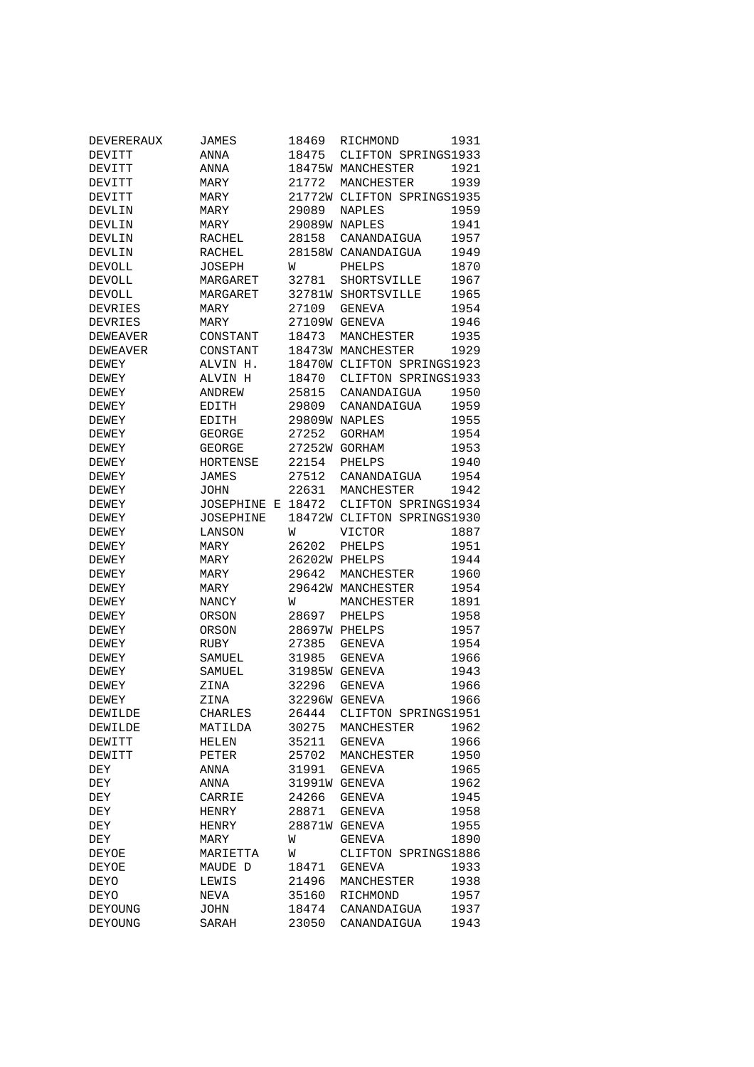| <b>DEVERERAUX</b> | JAMES            | 18469   | RICHMOND                   | 1931 |
|-------------------|------------------|---------|----------------------------|------|
| <b>DEVITT</b>     | ANNA             | 18475   | CLIFTON SPRINGS1933        |      |
| DEVITT            | ANNA             |         | 18475W MANCHESTER          | 1921 |
| DEVITT            | MARY             | 21772   | MANCHESTER                 | 1939 |
| DEVITT            | MARY             | 21772W  | CLIFTON SPRINGS1935        |      |
| <b>DEVLIN</b>     | MARY             | 29089   | <b>NAPLES</b>              | 1959 |
| DEVLIN            | MARY             | 29089W  | <b>NAPLES</b>              | 1941 |
| DEVLIN            | RACHEL           | 28158   | CANANDAIGUA                | 1957 |
| DEVLIN            | RACHEL           |         | 28158W CANANDAIGUA         | 1949 |
| DEVOLL            | JOSEPH           | W       | PHELPS                     | 1870 |
| DEVOLL            | MARGARET         | 32781   | SHORTSVILLE                | 1967 |
| <b>DEVOLL</b>     | MARGARET         | 32781W  | SHORTSVILLE                | 1965 |
| DEVRIES           | MARY             | 27109   | <b>GENEVA</b>              | 1954 |
| <b>DEVRIES</b>    | MARY             |         | 27109W GENEVA              | 1946 |
| DEWEAVER          | CONSTANT         | 18473   | MANCHESTER                 | 1935 |
| DEWEAVER          | CONSTANT         | 18473W  | MANCHESTER                 | 1929 |
| <b>DEWEY</b>      | ALVIN H.         | 18470W  | CLIFTON SPRINGS1923        |      |
| DEWEY             | ALVIN H          | 18470   | CLIFTON SPRINGS1933        |      |
| <b>DEWEY</b>      | <b>ANDREW</b>    | 25815   | CANANDAIGUA                | 1950 |
| <b>DEWEY</b>      | EDITH            | 29809   | CANANDAIGUA                | 1959 |
| DEWEY             | EDITH            | 29809W  | <b>NAPLES</b>              | 1955 |
| DEWEY             | GEORGE           | 27252   | GORHAM                     | 1954 |
| DEWEY             | <b>GEORGE</b>    | 27252W  | GORHAM                     | 1953 |
| DEWEY             | HORTENSE         | 22154   | PHELPS                     | 1940 |
| <b>DEWEY</b>      | JAMES            | 27512   | CANANDAIGUA                | 1954 |
| <b>DEWEY</b>      | <b>JOHN</b>      | 22631   | MANCHESTER                 | 1942 |
| DEWEY             | JOSEPHINE        | E 18472 | CLIFTON SPRINGS1934        |      |
| DEWEY             | <b>JOSEPHINE</b> |         | 18472W CLIFTON SPRINGS1930 |      |
| DEWEY             | LANSON           | W       | <b>VICTOR</b>              | 1887 |
| <b>DEWEY</b>      | MARY             | 26202   | PHELPS                     | 1951 |
| <b>DEWEY</b>      | MARY             | 26202W  | PHELPS                     | 1944 |
| <b>DEWEY</b>      | MARY             | 29642   | MANCHESTER                 | 1960 |
| <b>DEWEY</b>      | MARY             |         | 29642W MANCHESTER          | 1954 |
| <b>DEWEY</b>      | <b>NANCY</b>     | W       | MANCHESTER                 | 1891 |
| <b>DEWEY</b>      | ORSON            | 28697   | PHELPS                     | 1958 |
| DEWEY             | ORSON            | 28697W  | PHELPS                     | 1957 |
| DEWEY             | <b>RUBY</b>      | 27385   | <b>GENEVA</b>              | 1954 |
| DEWEY             | SAMUEL           | 31985   | <b>GENEVA</b>              | 1966 |
| <b>DEWEY</b>      | SAMUEL           | 31985W  | GENEVA                     | 1943 |
| <b>DEWEY</b>      | ZINA             | 32296   | <b>GENEVA</b>              | 1966 |
| <b>DEWEY</b>      | ZINA             |         | 32296W GENEVA              | 1966 |
| DEWILDE           | <b>CHARLES</b>   | 26444   | CLIFTON SPRINGS1951        |      |
| DEWILDE           | MATILDA          | 30275   | MANCHESTER                 | 1962 |
| DEWITT            | HELEN            | 35211   | GENEVA                     | 1966 |
| DEWITT            | PETER            | 25702   | MANCHESTER                 | 1950 |
| DEY               | ANNA             | 31991   | <b>GENEVA</b>              | 1965 |
| DEY               | ANNA             | 31991W  | GENEVA                     | 1962 |
| DEY               | CARRIE           | 24266   | <b>GENEVA</b>              | 1945 |
| DEY               | HENRY            | 28871   | GENEVA                     | 1958 |
| DEY               | HENRY            | 28871W  | <b>GENEVA</b>              | 1955 |
| DEY               | MARY             | W       | <b>GENEVA</b>              | 1890 |
| DEYOE             | MARIETTA         | W       | CLIFTON SPRINGS1886        |      |
| DEYOE             | MAUDE D          | 18471   | GENEVA                     | 1933 |
| DEYO              | LEWIS            | 21496   | MANCHESTER                 | 1938 |
| DEYO              | NEVA             | 35160   | RICHMOND                   | 1957 |
| DEYOUNG           | JOHN             | 18474   | CANANDAIGUA                | 1937 |
| DEYOUNG           | SARAH            | 23050   | CANANDAIGUA                | 1943 |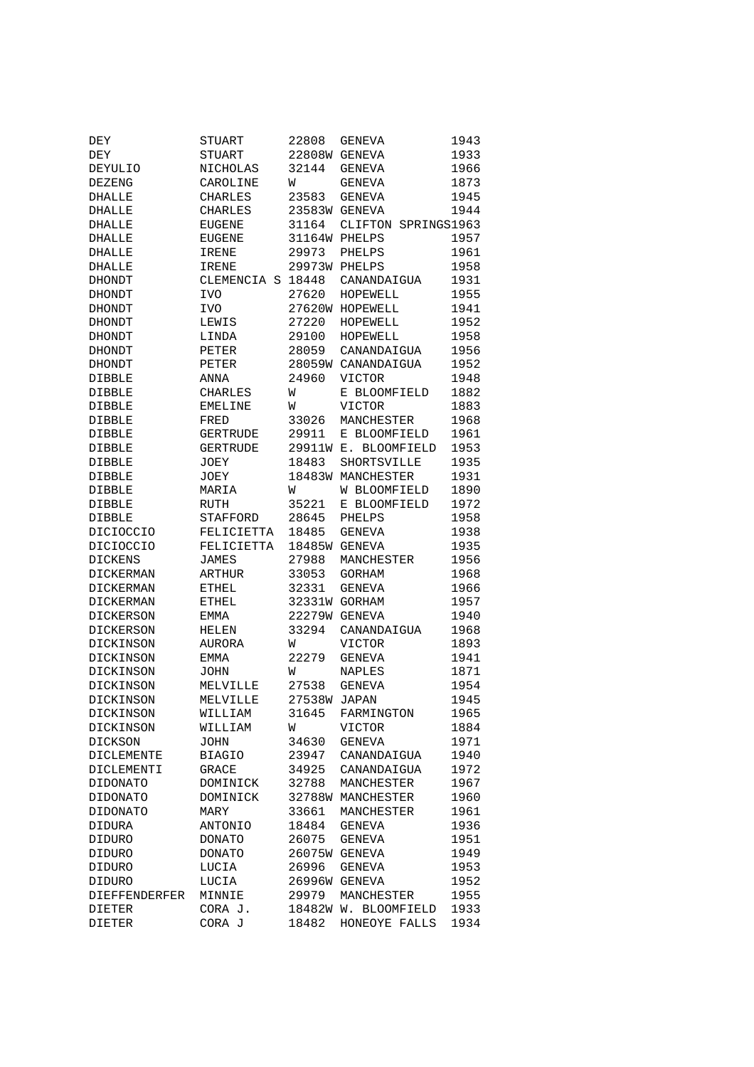| DEY             | STUART                 | 22808        | GENEVA                  | 1943         |
|-----------------|------------------------|--------------|-------------------------|--------------|
| DEY             | STUART                 | 22808W       | <b>GENEVA</b>           | 1933         |
| <b>DEYULIO</b>  | NICHOLAS               | 32144        | <b>GENEVA</b>           | 1966         |
| DEZENG          | CAROLINE               | W            | GENEVA                  | 1873         |
| DHALLE          | <b>CHARLES</b>         | 23583        | <b>GENEVA</b>           | 1945         |
| <b>DHALLE</b>   | <b>CHARLES</b>         | 23583W       | <b>GENEVA</b>           | 1944         |
| DHALLE          | <b>EUGENE</b>          | 31164        | SPRINGS1963<br>CLIFTON  |              |
| DHALLE          | <b>EUGENE</b>          | 31164W       | PHELPS                  | 1957         |
| <b>DHALLE</b>   | <b>IRENE</b>           | 29973        | PHELPS                  | 1961         |
| DHALLE          | IRENE                  | 29973W       | PHELPS                  | 1958         |
| DHONDT          | CLEMENCIA S            | 18448        | CANANDAIGUA             | 1931         |
| <b>DHONDT</b>   | IVO                    | 27620        | HOPEWELL                | 1955         |
| DHONDT          | IVO                    | 27620W       | HOPEWELL                | 1941         |
| DHONDT          | LEWIS                  | 27220        | HOPEWELL                | 1952         |
| <b>DHONDT</b>   | LINDA                  | 29100        | HOPEWELL                | 1958         |
| DHONDT          | PETER                  | 28059        | CANANDAIGUA             | 1956         |
| DHONDT          | PETER                  | 28059W       | CANANDAIGUA             | 1952         |
| DIBBLE          | ANNA                   | 24960        | VICTOR                  | 1948         |
| <b>DIBBLE</b>   | CHARLES                | W            | E BLOOMFIELD            | 1882         |
| DIBBLE          | <b>EMELINE</b>         | W            | VICTOR                  | 1883         |
| DIBBLE          | FRED                   | 33026        | MANCHESTER              | 1968         |
| <b>DIBBLE</b>   | <b>GERTRUDE</b>        | 29911        | E BLOOMFIELD            | 1961         |
| <b>DIBBLE</b>   | <b>GERTRUDE</b>        | 29911W       | <b>BLOOMFIELD</b><br>Е. | 1953         |
| DIBBLE          | JOEY                   | 18483        | SHORTSVILLE             | 1935         |
| DIBBLE          | JOEY                   | 18483W       | MANCHESTER              | 1931         |
| DIBBLE          | MARIA                  | W            | W BLOOMFIELD            | 1890         |
| DIBBLE          | RUTH                   | 35221        | E BLOOMFIELD            | 1972         |
| DIBBLE          | STAFFORD               | 28645        | PHELPS                  | 1958         |
| DICIOCCIO       | FELICIETTA             | 18485        | GENEVA                  | 1938         |
| DICIOCCIO       | FELICIETTA             | 18485W       | GENEVA                  | 1935         |
| DICKENS         | JAMES                  | 27988        | MANCHESTER              | 1956         |
| DICKERMAN       | ARTHUR                 | 33053        | GORHAM                  | 1968         |
| DICKERMAN       | ETHEL                  | 32331        | <b>GENEVA</b>           | 1966         |
| DICKERMAN       | ETHEL                  | 32331W       | <b>GORHAM</b>           | 1957         |
| DICKERSON       | EMMA                   | 22279W       | <b>GENEVA</b>           | 1940         |
| DICKERSON       | HELEN                  | 33294        | CANANDAIGUA             | 1968         |
| DICKINSON       | AURORA                 | W            | VICTOR                  | 1893         |
| DICKINSON       | EMMA                   | 22279        | GENEVA                  | 1941         |
| DICKINSON       | JOHN                   | W            | NAPLES                  | 1871         |
| DICKINSON       | MELVILLE               | 27538        | <b>GENEVA</b>           | 1954         |
| DICKINSON       | MELVILLE               | 27538W JAPAN |                         | 1945         |
| DICKINSON       | WILLIAM                | 31645        | FARMINGTON              | 1965         |
| DICKINSON       | WILLIAM                | W            | <b>VICTOR</b>           | 1884         |
| <b>DICKSON</b>  | JOHN                   | 34630        | GENEVA                  | 1971         |
| DICLEMENTE      | <b>BIAGIO</b>          | 23947        | CANANDAIGUA             | 1940         |
| DICLEMENTI      | <b>GRACE</b>           | 34925        | CANANDAIGUA             | 1972         |
| DIDONATO        | DOMINICK               | 32788        | MANCHESTER              | 1967         |
| DIDONATO        | DOMINICK               | 32788W       | MANCHESTER              | 1960         |
| <b>DIDONATO</b> | MARY                   | 33661        | MANCHESTER              | 1961         |
| DIDURA          | ANTONIO                | 18484        | GENEVA                  | 1936         |
| DIDURO          | DONATO                 | 26075        | GENEVA                  | 1951         |
|                 |                        | 26075W       |                         |              |
| DIDURO          | <b>DONATO</b><br>LUCIA | 26996        | GENEVA                  | 1949         |
| DIDURO          | LUCIA                  | 26996W       | GENEVA<br><b>GENEVA</b> | 1953<br>1952 |
| DIDURO          |                        | 29979        | MANCHESTER              | 1955         |
| DIEFFENDERFER   | MINNIE                 |              | W. BLOOMFIELD           |              |
| DIETER          | CORA J.                | 18482W       |                         | 1933         |
| <b>DIETER</b>   | CORA J                 | 18482        | HONEOYE FALLS           | 1934         |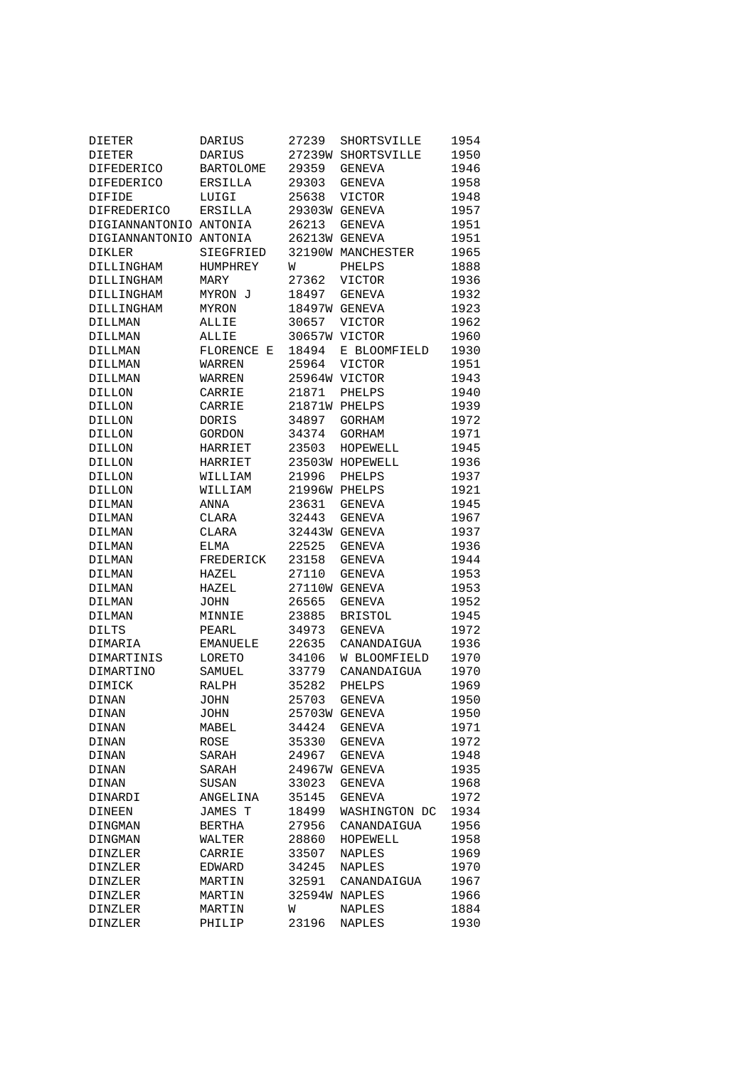| DIETER                 | DARIUS           | 27239         | SHORTSVILLE       | 1954 |
|------------------------|------------------|---------------|-------------------|------|
| DIETER                 | DARIUS           | 27239W        | SHORTSVILLE       | 1950 |
| DIFEDERICO             | <b>BARTOLOME</b> | 29359         | GENEVA            | 1946 |
| DIFEDERICO             | ERSILLA          | 29303         | GENEVA            | 1958 |
| DIFIDE                 | LUIGI            | 25638         | VICTOR            | 1948 |
| <b>DIFREDERICO</b>     | <b>ERSILLA</b>   | 29303W        | <b>GENEVA</b>     | 1957 |
| DIGIANNANTONIO ANTONIA |                  | 26213         | GENEVA            | 1951 |
| DIGIANNANTONIO ANTONIA |                  |               | 26213W GENEVA     | 1951 |
| DIKLER                 | SIEGFRIED        |               | 32190W MANCHESTER | 1965 |
| DILLINGHAM             | HUMPHREY         | W             | PHELPS            | 1888 |
| DILLINGHAM             | MARY             | 27362         | <b>VICTOR</b>     | 1936 |
| DILLINGHAM             | MYRON J          | 18497         | GENEVA            | 1932 |
| DILLINGHAM             | <b>MYRON</b>     | 18497W        | <b>GENEVA</b>     | 1923 |
| DILLMAN                | ALLIE            | 30657         | <b>VICTOR</b>     | 1962 |
| DILLMAN                | ALLIE            | 30657W        | <b>VICTOR</b>     | 1960 |
| DILLMAN                | FLORENCE<br>Е    | 18494         | E BLOOMFIELD      | 1930 |
| DILLMAN                | WARREN           | 25964         | VICTOR            | 1951 |
| DILLMAN                | WARREN           |               | 25964W VICTOR     | 1943 |
| DILLON                 | CARRIE           | 21871         | PHELPS            | 1940 |
| <b>DILLON</b>          | CARRIE           | 21871W PHELPS |                   | 1939 |
| <b>DILLON</b>          | DORIS            | 34897         | GORHAM            | 1972 |
| DILLON                 | GORDON           | 34374         | GORHAM            | 1971 |
| DILLON                 | HARRIET          | 23503         | HOPEWELL          | 1945 |
| DILLON                 | HARRIET          | 23503W        | HOPEWELL          | 1936 |
| DILLON                 | WILLIAM          | 21996         | PHELPS            | 1937 |
| DILLON                 | WILLIAM          | 21996W        | PHELPS            | 1921 |
| DILMAN                 | ANNA             | 23631         | GENEVA            | 1945 |
| DILMAN                 | CLARA            | 32443         | GENEVA            | 1967 |
| DILMAN                 | CLARA            | 32443W        | GENEVA            | 1937 |
| DILMAN                 | ELMA             | 22525         | <b>GENEVA</b>     | 1936 |
| DILMAN                 | FREDERICK        | 23158         | GENEVA            | 1944 |
| DILMAN                 | HAZEL            | 27110         | GENEVA            | 1953 |
| DILMAN                 | HAZEL            | 27110W        | <b>GENEVA</b>     | 1953 |
| DILMAN                 | JOHN             | 26565         | GENEVA            | 1952 |
| DILMAN                 | MINNIE           | 23885         | <b>BRISTOL</b>    | 1945 |
| <b>DILTS</b>           | PEARL            | 34973         | <b>GENEVA</b>     | 1972 |
| DIMARIA                | <b>EMANUELE</b>  | 22635         | CANANDAIGUA       | 1936 |
| DIMARTINIS             | LORETO           | 34106         | W BLOOMFIELD      | 1970 |
| <b>DIMARTINO</b>       | SAMUEL           | 33779         | CANANDAIGUA       | 1970 |
| DIMICK                 | <b>RALPH</b>     | 35282         | PHELPS            | 1969 |
| DINAN                  | JOHN             | 25703         | <b>GENEVA</b>     | 1950 |
| DINAN                  | JOHN             |               | 25703W GENEVA     | 1950 |
| DINAN                  | MABEL            | 34424         | GENEVA            | 1971 |
| DINAN                  | ROSE             | 35330         | <b>GENEVA</b>     | 1972 |
| DINAN                  | SARAH            | 24967         | GENEVA            | 1948 |
| DINAN                  | SARAH            | 24967W        | GENEVA            | 1935 |
| DINAN                  | SUSAN            | 33023         | GENEVA            | 1968 |
| DINARDI                | ANGELINA         | 35145         | GENEVA            | 1972 |
| DINEEN                 | JAMES T          | 18499         | WASHINGTON DC     | 1934 |
| DINGMAN                | BERTHA           | 27956         | CANANDAIGUA       | 1956 |
| DINGMAN                | WALTER           | 28860         | HOPEWELL          | 1958 |
| DINZLER                | CARRIE           | 33507         | NAPLES            | 1969 |
| DINZLER                | EDWARD           | 34245         | NAPLES            | 1970 |
| DINZLER                | MARTIN           | 32591         | CANANDAIGUA       | 1967 |
| DINZLER                | MARTIN           | 32594W        | NAPLES            | 1966 |
| DINZLER                | MARTIN           | W             | NAPLES            | 1884 |
| DINZLER                | PHILIP           | 23196         | NAPLES            | 1930 |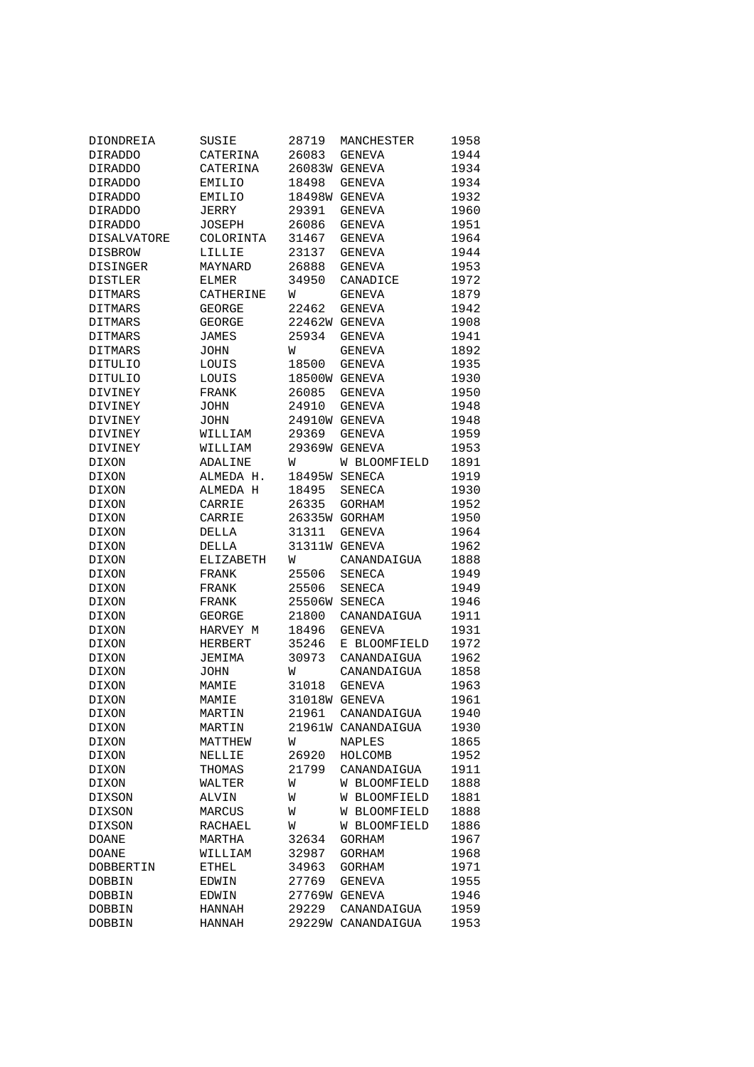| DIONDREIA      | SUSIE         | 28719  | MANCHESTER         | 1958 |
|----------------|---------------|--------|--------------------|------|
| <b>DIRADDO</b> | CATERINA      | 26083  | GENEVA             | 1944 |
| <b>DIRADDO</b> | CATERINA      | 26083W | GENEVA             | 1934 |
| <b>DIRADDO</b> | EMILIO        | 18498  | GENEVA             | 1934 |
| <b>DIRADDO</b> | EMILIO        | 18498W | GENEVA             | 1932 |
| <b>DIRADDO</b> | JERRY         | 29391  | GENEVA             | 1960 |
| <b>DIRADDO</b> | JOSEPH        | 26086  | GENEVA             | 1951 |
| DISALVATORE    | COLORINTA     | 31467  | GENEVA             | 1964 |
| <b>DISBROW</b> | LILLIE        | 23137  | <b>GENEVA</b>      | 1944 |
| DISINGER       | MAYNARD       | 26888  | GENEVA             | 1953 |
| <b>DISTLER</b> | ELMER         | 34950  | CANADICE           | 1972 |
| DITMARS        | CATHERINE     | W      | GENEVA             | 1879 |
| <b>DITMARS</b> | GEORGE        | 22462  | <b>GENEVA</b>      | 1942 |
| DITMARS        | GEORGE        | 22462W | <b>GENEVA</b>      | 1908 |
| DITMARS        | <b>JAMES</b>  | 25934  | <b>GENEVA</b>      | 1941 |
| <b>DITMARS</b> | <b>JOHN</b>   | W      | <b>GENEVA</b>      | 1892 |
| <b>DITULIO</b> | LOUIS         | 18500  | GENEVA             | 1935 |
| <b>DITULIO</b> | LOUIS         | 18500W | <b>GENEVA</b>      | 1930 |
| <b>DIVINEY</b> | <b>FRANK</b>  | 26085  | <b>GENEVA</b>      | 1950 |
| <b>DIVINEY</b> | JOHN          | 24910  | <b>GENEVA</b>      | 1948 |
| DIVINEY        | JOHN          |        | 24910W GENEVA      | 1948 |
| DIVINEY        | WILLIAM       | 29369  | <b>GENEVA</b>      | 1959 |
| DIVINEY        | WILLIAM       |        | 29369W GENEVA      | 1953 |
| <b>DIXON</b>   | ADALINE       | W      | W BLOOMFIELD       | 1891 |
| <b>DIXON</b>   | ALMEDA H.     | 18495W | SENECA             | 1919 |
| <b>DIXON</b>   | ALMEDA H      | 18495  | SENECA             | 1930 |
| <b>DIXON</b>   | CARRIE        | 26335  | GORHAM             | 1952 |
| <b>DIXON</b>   | CARRIE        | 26335W | GORHAM             | 1950 |
| <b>DIXON</b>   | DELLA         | 31311  | GENEVA             | 1964 |
| <b>DIXON</b>   | DELLA         | 31311W | <b>GENEVA</b>      | 1962 |
| DIXON          | ELIZABETH     | W      | CANANDAIGUA        | 1888 |
| <b>DIXON</b>   | FRANK         | 25506  | SENECA             | 1949 |
| <b>DIXON</b>   | FRANK         | 25506  | SENECA             | 1949 |
| DIXON          | FRANK         | 25506W | SENECA             | 1946 |
| DIXON          | GEORGE        | 21800  | CANANDAIGUA        | 1911 |
| <b>DIXON</b>   | HARVEY M      | 18496  | <b>GENEVA</b>      | 1931 |
| DIXON          | HERBERT       | 35246  | E BLOOMFIELD       | 1972 |
| <b>DIXON</b>   | JEMIMA        | 30973  | CANANDAIGUA        | 1962 |
| <b>DIXON</b>   | <b>JOHN</b>   | W      | CANANDAIGUA        | 1858 |
| <b>DIXON</b>   | MAMIE         | 31018  | <b>GENEVA</b>      | 1963 |
| DIXON          | MAMTE         |        | 31018W GENEVA      | 1961 |
| DIXON          | MARTIN        | 21961  | CANANDAIGUA        | 1940 |
| DIXON          | MARTIN        |        | 21961W CANANDAIGUA | 1930 |
| DIXON          | MATTHEW       | W      | NAPLES             | 1865 |
| DIXON          | <b>NELLIE</b> | 26920  | HOLCOMB            | 1952 |
| <b>DIXON</b>   | THOMAS        | 21799  | CANANDAIGUA        | 1911 |
| DIXON          | WALTER        | W      | W BLOOMFIELD       | 1888 |
| DIXSON         | ALVIN         | W      | W BLOOMFIELD       | 1881 |
| DIXSON         | MARCUS        | W      | W BLOOMFIELD       | 1888 |
| <b>DIXSON</b>  | RACHAEL       | W      | W BLOOMFIELD       | 1886 |
| DOANE          | MARTHA        | 32634  | GORHAM             | 1967 |
| DOANE          | WILLIAM       | 32987  | GORHAM             | 1968 |
| DOBBERTIN      | ETHEL         | 34963  | GORHAM             | 1971 |
| DOBBIN         | EDWIN         | 27769  | GENEVA             | 1955 |
| DOBBIN         | EDWIN         | 27769W | <b>GENEVA</b>      | 1946 |
| DOBBIN         | HANNAH        | 29229  | CANANDAIGUA        | 1959 |
| DOBBIN         | HANNAH        |        | 29229W CANANDAIGUA | 1953 |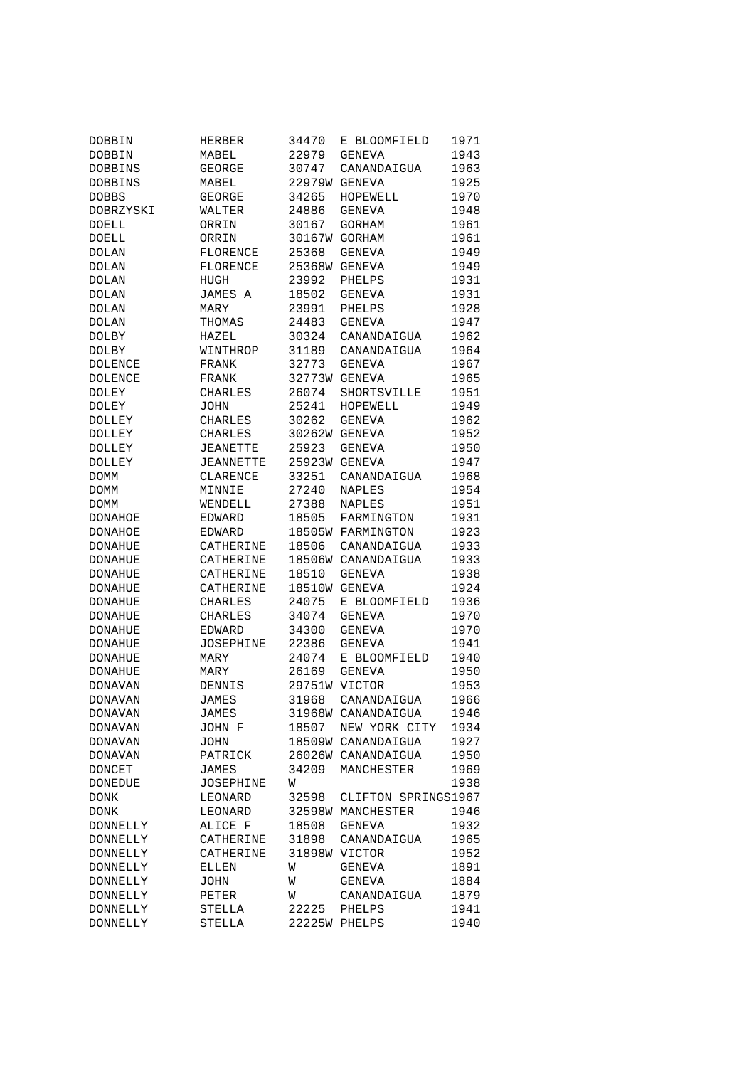| DOBBIN           | HERBER           | 34470         | E BLOOMFIELD        | 1971 |
|------------------|------------------|---------------|---------------------|------|
| <b>DOBBIN</b>    | MABEL            | 22979         | <b>GENEVA</b>       | 1943 |
| <b>DOBBINS</b>   | <b>GEORGE</b>    | 30747         | CANANDAIGUA         | 1963 |
| <b>DOBBINS</b>   | MABEL            | 22979W        | <b>GENEVA</b>       | 1925 |
| <b>DOBBS</b>     | <b>GEORGE</b>    | 34265         | HOPEWELL            | 1970 |
| DOBRZYSKI        | WALTER           | 24886         | <b>GENEVA</b>       | 1948 |
| DOELL            | ORRIN            | 30167         | GORHAM              | 1961 |
| <b>DOELL</b>     | ORRIN            | 30167W        | GORHAM              | 1961 |
| <b>DOLAN</b>     | FLORENCE         | 25368         | <b>GENEVA</b>       | 1949 |
| <b>DOLAN</b>     | FLORENCE         | 25368W        | <b>GENEVA</b>       | 1949 |
| <b>DOLAN</b>     | HUGH             | 23992         | PHELPS              | 1931 |
| $\texttt{DOLAN}$ | JAMES A          | 18502         | <b>GENEVA</b>       | 1931 |
| <b>DOLAN</b>     | MARY             | 23991         | PHELPS              | 1928 |
| <b>DOLAN</b>     | THOMAS           | 24483         | GENEVA              | 1947 |
| <b>DOLBY</b>     | HAZEL            | 30324         | CANANDAIGUA         | 1962 |
| <b>DOLBY</b>     | WINTHROP         | 31189         | CANANDAIGUA         | 1964 |
| DOLENCE          | FRANK            | 32773         | GENEVA              | 1967 |
| <b>DOLENCE</b>   | FRANK            | 32773W        | <b>GENEVA</b>       | 1965 |
| <b>DOLEY</b>     | CHARLES          | 26074         | SHORTSVILLE         | 1951 |
| <b>DOLEY</b>     | JOHN             | 25241         | HOPEWELL            | 1949 |
| DOLLEY           | CHARLES          | 30262         | <b>GENEVA</b>       | 1962 |
| DOLLEY           | CHARLES          | 30262W        | GENEVA              | 1952 |
| <b>DOLLEY</b>    | <b>JEANETTE</b>  | 25923         | <b>GENEVA</b>       | 1950 |
| DOLLEY           | JEANNETTE        | 25923W        | <b>GENEVA</b>       | 1947 |
| <b>DOMM</b>      | <b>CLARENCE</b>  | 33251         | CANANDAIGUA         | 1968 |
| <b>DOMM</b>      | MINNIE           | 27240         | NAPLES              | 1954 |
| <b>DOMM</b>      | WENDELL          | 27388         | NAPLES              | 1951 |
| <b>DONAHOE</b>   | EDWARD           | 18505         | FARMINGTON          | 1931 |
| <b>DONAHOE</b>   | <b>EDWARD</b>    | 18505W        | FARMINGTON          | 1923 |
| <b>DONAHUE</b>   | CATHERINE        | 18506         | CANANDAIGUA         | 1933 |
| <b>DONAHUE</b>   | CATHERINE        | 18506W        | CANANDAIGUA         | 1933 |
| <b>DONAHUE</b>   | CATHERINE        | 18510         | <b>GENEVA</b>       | 1938 |
| <b>DONAHUE</b>   | CATHERINE        | 18510W        | <b>GENEVA</b>       | 1924 |
| <b>DONAHUE</b>   | CHARLES          | 24075         | E BLOOMFIELD        | 1936 |
| <b>DONAHUE</b>   | CHARLES          | 34074         | GENEVA              | 1970 |
| <b>DONAHUE</b>   | EDWARD           | 34300         | <b>GENEVA</b>       | 1970 |
| DONAHUE          | JOSEPHINE        | 22386         | GENEVA              | 1941 |
| <b>DONAHUE</b>   | MARY             | 24074         | E BLOOMFIELD        | 1940 |
| <b>DONAHUE</b>   | MARY             | 26169         | <b>GENEVA</b>       | 1950 |
| <b>DONAVAN</b>   | DENNIS           | 29751W        | <b>VICTOR</b>       | 1953 |
| <b>DONAVAN</b>   | <b>JAMES</b>     | 31968         | CANANDAIGUA         | 1966 |
| DONAVAN          | JAMES            |               | 31968W CANANDAIGUA  | 1946 |
| <b>DONAVAN</b>   | JOHN F           | 18507         | NEW YORK CITY       | 1934 |
| <b>DONAVAN</b>   | JOHN             |               | 18509W CANANDAIGUA  | 1927 |
| <b>DONAVAN</b>   | PATRICK          |               | 26026W CANANDAIGUA  | 1950 |
| <b>DONCET</b>    | <b>JAMES</b>     | 34209         | MANCHESTER          | 1969 |
| <b>DONEDUE</b>   | <b>JOSEPHINE</b> | W             |                     | 1938 |
| <b>DONK</b>      | LEONARD          | 32598         | CLIFTON SPRINGS1967 |      |
| <b>DONK</b>      | LEONARD          | 32598W        | MANCHESTER          | 1946 |
| DONNELLY         | ALICE F          | 18508         | <b>GENEVA</b>       | 1932 |
| <b>DONNELLY</b>  | CATHERINE        | 31898         | CANANDAIGUA         | 1965 |
| <b>DONNELLY</b>  | CATHERINE        | 31898W VICTOR |                     | 1952 |
| DONNELLY         | ELLEN            | W             | GENEVA              | 1891 |
| DONNELLY         | JOHN             | W             | <b>GENEVA</b>       | 1884 |
| DONNELLY         | PETER            | W             | CANANDAIGUA         | 1879 |
| DONNELLY         | STELLA           | 22225         | PHELPS              | 1941 |
| <b>DONNELLY</b>  | STELLA           | 22225W PHELPS |                     | 1940 |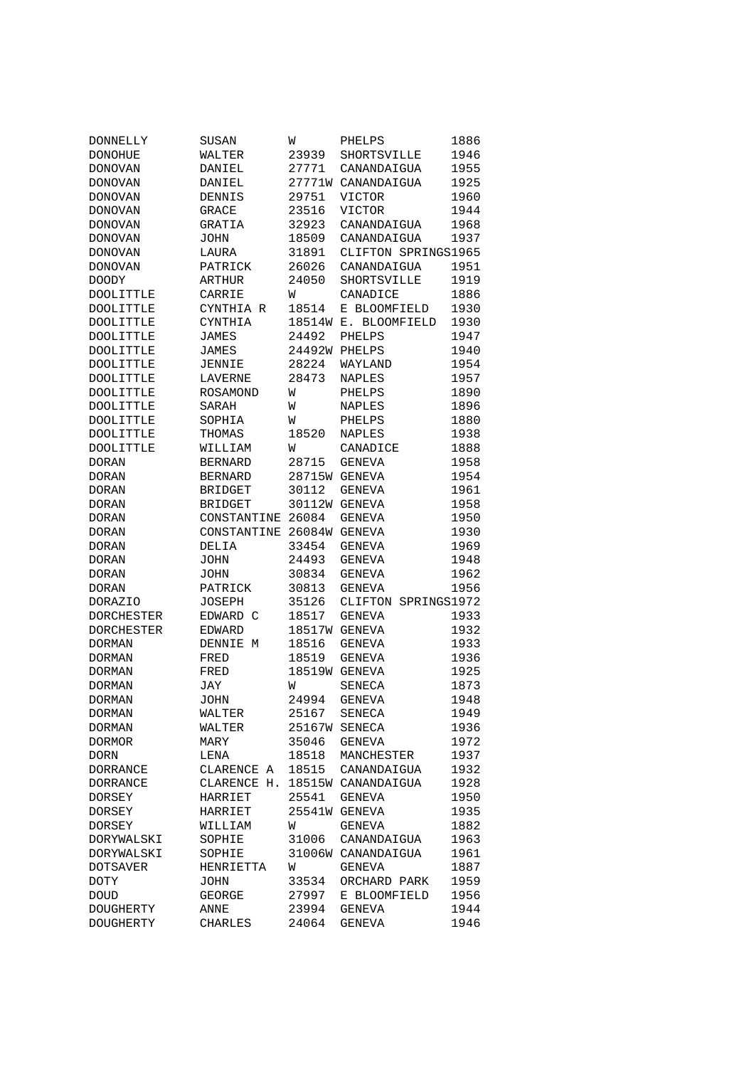| <b>DONNELLY</b>  | SUSAN          | W             | PHELPS              | 1886 |
|------------------|----------------|---------------|---------------------|------|
| <b>DONOHUE</b>   | <b>WALTER</b>  | 23939         | SHORTSVILLE         | 1946 |
| <b>DONOVAN</b>   | DANIEL         | 27771         | CANANDAIGUA         | 1955 |
| <b>DONOVAN</b>   | DANIEL         | 27771W        | CANANDAIGUA         | 1925 |
| <b>DONOVAN</b>   | DENNIS         | 29751         | VICTOR              | 1960 |
| <b>DONOVAN</b>   | <b>GRACE</b>   | 23516         | <b>VICTOR</b>       | 1944 |
| <b>DONOVAN</b>   | GRATIA         | 32923         | CANANDAIGUA         | 1968 |
| <b>DONOVAN</b>   | <b>JOHN</b>    | 18509         | CANANDAIGUA         | 1937 |
| <b>DONOVAN</b>   | LAURA          | 31891         | CLIFTON SPRINGS1965 |      |
| <b>DONOVAN</b>   | PATRICK        | 26026         | CANANDAIGUA         | 1951 |
| <b>DOODY</b>     | ARTHUR         | 24050         | SHORTSVILLE         | 1919 |
| DOOLITTLE        | CARRIE         | W             | CANADICE            | 1886 |
| <b>DOOLITTLE</b> | CYNTHIA R      | 18514         | E BLOOMFIELD        | 1930 |
| <b>DOOLITTLE</b> | CYNTHIA        | 18514W E.     | <b>BLOOMFIELD</b>   | 1930 |
| <b>DOOLITTLE</b> | <b>JAMES</b>   | 24492         | PHELPS              | 1947 |
| <b>DOOLITTLE</b> | <b>JAMES</b>   | 24492W        | PHELPS              | 1940 |
| <b>DOOLITTLE</b> | <b>JENNIE</b>  | 28224         | WAYLAND             | 1954 |
| <b>DOOLITTLE</b> | LAVERNE        | 28473         | <b>NAPLES</b>       | 1957 |
| <b>DOOLITTLE</b> | ROSAMOND       | W             | PHELPS              | 1890 |
| <b>DOOLITTLE</b> | SARAH          | W             | NAPLES              | 1896 |
| <b>DOOLITTLE</b> | SOPHIA         | W             | PHELPS              | 1880 |
| <b>DOOLITTLE</b> | THOMAS         | 18520         | <b>NAPLES</b>       | 1938 |
| <b>DOOLITTLE</b> | WILLIAM        | W             | CANADICE            | 1888 |
| <b>DORAN</b>     | <b>BERNARD</b> | 28715         | <b>GENEVA</b>       | 1958 |
| <b>DORAN</b>     | <b>BERNARD</b> | 28715W        | <b>GENEVA</b>       | 1954 |
| <b>DORAN</b>     | <b>BRIDGET</b> | 30112         | <b>GENEVA</b>       | 1961 |
| <b>DORAN</b>     | <b>BRIDGET</b> | 30112W GENEVA |                     | 1958 |
| <b>DORAN</b>     | CONSTANTINE    | 26084         | <b>GENEVA</b>       | 1950 |
| <b>DORAN</b>     | CONSTANTINE    | 26084W        | <b>GENEVA</b>       | 1930 |
| <b>DORAN</b>     | DELIA          | 33454         | <b>GENEVA</b>       | 1969 |
| <b>DORAN</b>     | JOHN           | 24493         | GENEVA              | 1948 |
| <b>DORAN</b>     | JOHN           | 30834         | <b>GENEVA</b>       | 1962 |
| <b>DORAN</b>     | PATRICK        | 30813         | <b>GENEVA</b>       | 1956 |
| DORAZIO          | <b>JOSEPH</b>  | 35126         | CLIFTON SPRINGS1972 |      |
| DORCHESTER       | EDWARD C       | 18517         | <b>GENEVA</b>       | 1933 |
| DORCHESTER       | <b>EDWARD</b>  | 18517W        | <b>GENEVA</b>       | 1932 |
| DORMAN           | DENNIE M       | 18516         | GENEVA              | 1933 |
| <b>DORMAN</b>    | FRED           | 18519         | <b>GENEVA</b>       | 1936 |
| <b>DORMAN</b>    | FRED           | 18519W        | <b>GENEVA</b>       | 1925 |
| <b>DORMAN</b>    | JAY            | W             | SENECA              | 1873 |
| DORMAN           | JOHN           | 24994         | <b>GENEVA</b>       | 1948 |
| DORMAN           | WALTER         | 25167         | SENECA              | 1949 |
| DORMAN           | WALTER         | 25167W        | SENECA              | 1936 |
| <b>DORMOR</b>    | MARY           | 35046         | GENEVA              | 1972 |
| DORN             | ${\tt LENA}$   | 18518         | MANCHESTER          | 1937 |
| DORRANCE         | CLARENCE A     | 18515         | CANANDAIGUA         | 1932 |
| <b>DORRANCE</b>  | CLARENCE H.    |               | 18515W CANANDAIGUA  | 1928 |
| DORSEY           | HARRIET        | 25541         | <b>GENEVA</b>       | 1950 |
| DORSEY           | HARRIET        | 25541W        | GENEVA              | 1935 |
| DORSEY           | WILLIAM        | W             | <b>GENEVA</b>       | 1882 |
| DORYWALSKI       | SOPHIE         | 31006         | CANANDAIGUA         | 1963 |
| DORYWALSKI       | SOPHIE         |               | 31006W CANANDAIGUA  | 1961 |
| <b>DOTSAVER</b>  | HENRIETTA      | W             | <b>GENEVA</b>       | 1887 |
| DOTY             | JOHN           | 33534         | ORCHARD PARK        | 1959 |
| <b>DOUD</b>      | GEORGE         | 27997         | E BLOOMFIELD        | 1956 |
| <b>DOUGHERTY</b> | ANNE           | 23994         | GENEVA              | 1944 |
| <b>DOUGHERTY</b> | CHARLES        | 24064         | GENEVA              | 1946 |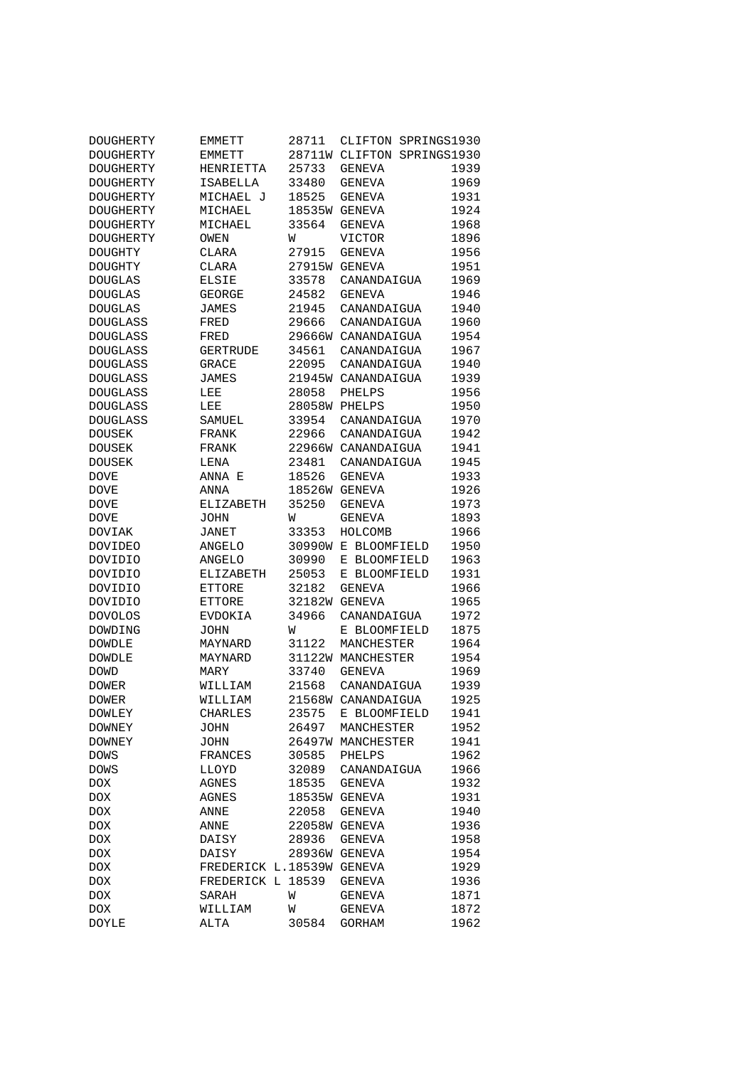| DOUGHERTY        | EMMETT                    | 28711  | CLIFTON SPRINGS1930 |      |
|------------------|---------------------------|--------|---------------------|------|
| <b>DOUGHERTY</b> | EMMETT                    | 28711W | CLIFTON SPRINGS1930 |      |
| <b>DOUGHERTY</b> | HENRIETTA                 | 25733  | <b>GENEVA</b>       | 1939 |
| <b>DOUGHERTY</b> | <b>ISABELLA</b>           | 33480  | <b>GENEVA</b>       | 1969 |
| <b>DOUGHERTY</b> | MICHAEL J                 | 18525  | <b>GENEVA</b>       | 1931 |
| <b>DOUGHERTY</b> | MICHAEL                   | 18535W | <b>GENEVA</b>       | 1924 |
| <b>DOUGHERTY</b> | MICHAEL                   | 33564  | <b>GENEVA</b>       | 1968 |
| <b>DOUGHERTY</b> | OWEN                      | W      | VICTOR              | 1896 |
| <b>DOUGHTY</b>   | CLARA                     | 27915  | <b>GENEVA</b>       | 1956 |
| <b>DOUGHTY</b>   | CLARA                     | 27915W | <b>GENEVA</b>       | 1951 |
| <b>DOUGLAS</b>   | <b>ELSIE</b>              | 33578  | CANANDAIGUA         | 1969 |
| <b>DOUGLAS</b>   | GEORGE                    | 24582  | <b>GENEVA</b>       | 1946 |
| <b>DOUGLAS</b>   | JAMES                     | 21945  | CANANDAIGUA         | 1940 |
| <b>DOUGLASS</b>  | FRED                      | 29666  | CANANDAIGUA         | 1960 |
| <b>DOUGLASS</b>  | FRED                      |        | 29666W CANANDAIGUA  | 1954 |
| <b>DOUGLASS</b>  | GERTRUDE                  | 34561  | CANANDAIGUA         | 1967 |
| DOUGLASS         | GRACE                     | 22095  | CANANDAIGUA         | 1940 |
| <b>DOUGLASS</b>  | JAMES                     | 21945W | CANANDAIGUA         | 1939 |
| <b>DOUGLASS</b>  | LEE                       | 28058  | PHELPS              | 1956 |
| <b>DOUGLASS</b>  | LEE                       | 28058W | PHELPS              | 1950 |
| <b>DOUGLASS</b>  | SAMUEL                    | 33954  | CANANDAIGUA         | 1970 |
| <b>DOUSEK</b>    | FRANK                     | 22966  | CANANDAIGUA         | 1942 |
| <b>DOUSEK</b>    | FRANK                     | 22966W | CANANDAIGUA         | 1941 |
| <b>DOUSEK</b>    | LENA                      | 23481  | CANANDAIGUA         | 1945 |
| <b>DOVE</b>      | ANNA E                    | 18526  | <b>GENEVA</b>       | 1933 |
| <b>DOVE</b>      | ANNA                      | 18526W | <b>GENEVA</b>       | 1926 |
| <b>DOVE</b>      | ELIZABETH                 | 35250  | <b>GENEVA</b>       | 1973 |
| <b>DOVE</b>      | JOHN                      | W      | <b>GENEVA</b>       | 1893 |
| DOVIAK           | JANET                     | 33353  | HOLCOMB             | 1966 |
| <b>DOVIDEO</b>   | ANGELO                    | 30990W | E BLOOMFIELD        | 1950 |
| <b>DOVIDIO</b>   | ANGELO                    | 30990  | E BLOOMFIELD        | 1963 |
| <b>DOVIDIO</b>   | ELIZABETH                 | 25053  | E BLOOMFIELD        | 1931 |
| <b>DOVIDIO</b>   | ETTORE                    | 32182  | <b>GENEVA</b>       | 1966 |
| <b>DOVIDIO</b>   | ETTORE                    | 32182W | <b>GENEVA</b>       | 1965 |
| <b>DOVOLOS</b>   | EVDOKIA                   | 34966  | CANANDAIGUA         | 1972 |
| DOWDING          | JOHN                      | W      | E BLOOMFIELD        | 1875 |
| DOWDLE           | MAYNARD                   | 31122  | MANCHESTER          | 1964 |
| <b>DOWDLE</b>    | MAYNARD                   | 31122W | MANCHESTER          | 1954 |
| <b>DOWD</b>      | MARY                      | 33740  | <b>GENEVA</b>       | 1969 |
| <b>DOWER</b>     | WILLIAM                   | 21568  | CANANDAIGUA         | 1939 |
| <b>DOWER</b>     | WILLIAM                   |        | 21568W CANANDAIGUA  | 1925 |
| DOWLEY           | CHARLES                   | 23575  | E BLOOMFIELD        | 1941 |
| <b>DOWNEY</b>    | JOHN                      | 26497  | MANCHESTER          | 1952 |
| DOWNEY           | JOHN                      | 26497W | MANCHESTER          | 1941 |
| DOWS             | <b>FRANCES</b>            | 30585  | PHELPS              | 1962 |
| <b>DOWS</b>      | LLOYD                     | 32089  | CANANDAIGUA         | 1966 |
| <b>DOX</b>       | AGNES                     | 18535  | GENEVA              | 1932 |
| <b>DOX</b>       | AGNES                     |        | 18535W GENEVA       | 1931 |
| DOX              | ANNE                      | 22058  | GENEVA              | 1940 |
| <b>DOX</b>       | ANNE                      |        | 22058W GENEVA       | 1936 |
| DOX              | DAISY                     | 28936  | GENEVA              | 1958 |
| <b>DOX</b>       | DAISY                     |        | 28936W GENEVA       | 1954 |
| DOX              | FREDERICK L.18539W GENEVA |        |                     | 1929 |
| <b>DOX</b>       | FREDERICK L 18539         |        | GENEVA              | 1936 |
| <b>DOX</b>       | SARAH                     | W      | GENEVA              | 1871 |
| <b>DOX</b>       | WILLIAM                   | W      | GENEVA              | 1872 |
| <b>DOYLE</b>     | ALTA                      | 30584  | <b>GORHAM</b>       | 1962 |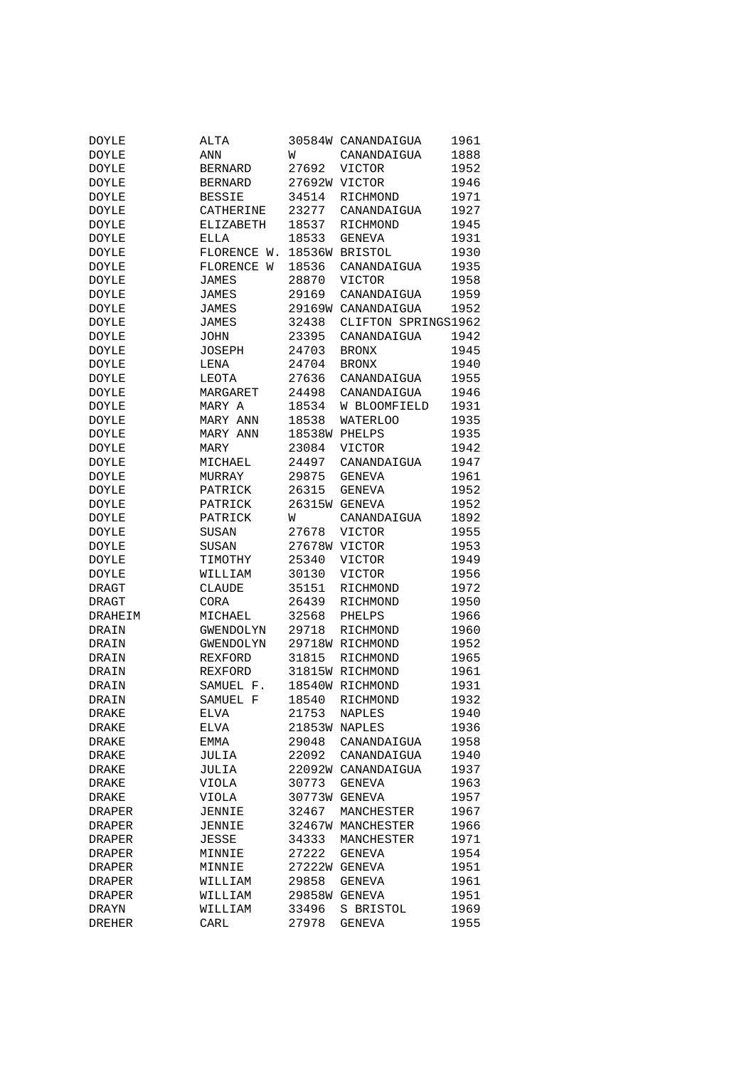|               |                |        |                     | 1961 |
|---------------|----------------|--------|---------------------|------|
| DOYLE         | ALTA           |        | 30584W CANANDAIGUA  |      |
| <b>DOYLE</b>  | ANN            | W      | CANANDAIGUA         | 1888 |
| <b>DOYLE</b>  | <b>BERNARD</b> | 27692  | <b>VICTOR</b>       | 1952 |
| DOYLE         | <b>BERNARD</b> | 27692W | <b>VICTOR</b>       | 1946 |
| <b>DOYLE</b>  | <b>BESSIE</b>  | 34514  | RICHMOND            | 1971 |
| <b>DOYLE</b>  | CATHERINE      | 23277  | CANANDAIGUA         | 1927 |
| DOYLE         | ELIZABETH      | 18537  | RICHMOND            | 1945 |
| <b>DOYLE</b>  | ELLA           | 18533  | <b>GENEVA</b>       | 1931 |
| <b>DOYLE</b>  | FLORENCE W.    | 18536W | <b>BRISTOL</b>      | 1930 |
| DOYLE         | FLORENCE W     | 18536  | CANANDAIGUA         | 1935 |
| <b>DOYLE</b>  | JAMES          | 28870  | <b>VICTOR</b>       | 1958 |
| <b>DOYLE</b>  | <b>JAMES</b>   | 29169  | CANANDAIGUA         | 1959 |
| <b>DOYLE</b>  | JAMES          | 29169W | CANANDAIGUA         | 1952 |
| <b>DOYLE</b>  | JAMES          | 32438  | CLIFTON SPRINGS1962 |      |
| <b>DOYLE</b>  | <b>JOHN</b>    | 23395  | CANANDAIGUA         | 1942 |
| <b>DOYLE</b>  | <b>JOSEPH</b>  | 24703  | <b>BRONX</b>        | 1945 |
| DOYLE         | LENA           | 24704  | <b>BRONX</b>        | 1940 |
| <b>DOYLE</b>  |                | 27636  | CANANDAIGUA         | 1955 |
| <b>DOYLE</b>  | LEOTA          |        | CANANDAIGUA         |      |
|               | MARGARET       | 24498  |                     | 1946 |
| <b>DOYLE</b>  | MARY A         | 18534  | W BLOOMFIELD        | 1931 |
| <b>DOYLE</b>  | MARY ANN       | 18538  | <b>WATERLOO</b>     | 1935 |
| <b>DOYLE</b>  | MARY ANN       | 18538W | PHELPS              | 1935 |
| <b>DOYLE</b>  | MARY           | 23084  | <b>VICTOR</b>       | 1942 |
| <b>DOYLE</b>  | MICHAEL        | 24497  | CANANDAIGUA         | 1947 |
| <b>DOYLE</b>  | MURRAY         | 29875  | <b>GENEVA</b>       | 1961 |
| <b>DOYLE</b>  | PATRICK        | 26315  | <b>GENEVA</b>       | 1952 |
| DOYLE         | PATRICK        | 26315W | <b>GENEVA</b>       | 1952 |
| <b>DOYLE</b>  | PATRICK        | W      | CANANDAIGUA         | 1892 |
| <b>DOYLE</b>  | SUSAN          | 27678  | <b>VICTOR</b>       | 1955 |
| <b>DOYLE</b>  | SUSAN          | 27678W | <b>VICTOR</b>       | 1953 |
| <b>DOYLE</b>  | TIMOTHY        | 25340  | <b>VICTOR</b>       | 1949 |
| <b>DOYLE</b>  | WILLIAM        | 30130  | <b>VICTOR</b>       | 1956 |
| <b>DRAGT</b>  | <b>CLAUDE</b>  | 35151  | RICHMOND            | 1972 |
| <b>DRAGT</b>  | CORA           | 26439  | RICHMOND            | 1950 |
| DRAHEIM       | MICHAEL        | 32568  | PHELPS              | 1966 |
| DRAIN         | GWENDOLYN      | 29718  | RICHMOND            | 1960 |
| DRAIN         | GWENDOLYN      | 29718W | RICHMOND            | 1952 |
| DRAIN         | REXFORD        | 31815  | RICHMOND            | 1965 |
| DRAIN         | <b>REXFORD</b> |        | 31815W RICHMOND     | 1961 |
| DRAIN         | SAMUEL F.      |        | 18540W RICHMOND     | 1931 |
| DRAIN         | SAMUEL F       |        | 18540 RICHMOND      | 1932 |
| DRAKE         | ELVA           | 21753  | NAPLES              | 1940 |
| <b>DRAKE</b>  | <b>ELVA</b>    | 21853W | NAPLES              | 1936 |
| DRAKE         | EMMA           | 29048  | CANANDAIGUA         | 1958 |
| DRAKE         | JULIA          | 22092  | CANANDAIGUA         | 1940 |
| DRAKE         | JULIA          |        | 22092W CANANDAIGUA  | 1937 |
| DRAKE         | VIOLA          | 30773  | GENEVA              | 1963 |
|               |                | 30773W | GENEVA              | 1957 |
| DRAKE         | VIOLA          | 32467  | MANCHESTER          | 1967 |
| DRAPER        | JENNIE         |        |                     |      |
| <b>DRAPER</b> | JENNIE         | 32467W | MANCHESTER          | 1966 |
| DRAPER        | JESSE          | 34333  | MANCHESTER          | 1971 |
| DRAPER        | MINNIE         | 27222  | GENEVA              | 1954 |
| DRAPER        | MINNIE         |        | 27222W GENEVA       | 1951 |
| DRAPER        | WILLIAM        | 29858  | <b>GENEVA</b>       | 1961 |
| DRAPER        | WILLIAM        | 29858W | GENEVA              | 1951 |
| DRAYN         | WILLIAM        | 33496  | S BRISTOL           | 1969 |
| <b>DREHER</b> | CARL           | 27978  | <b>GENEVA</b>       | 1955 |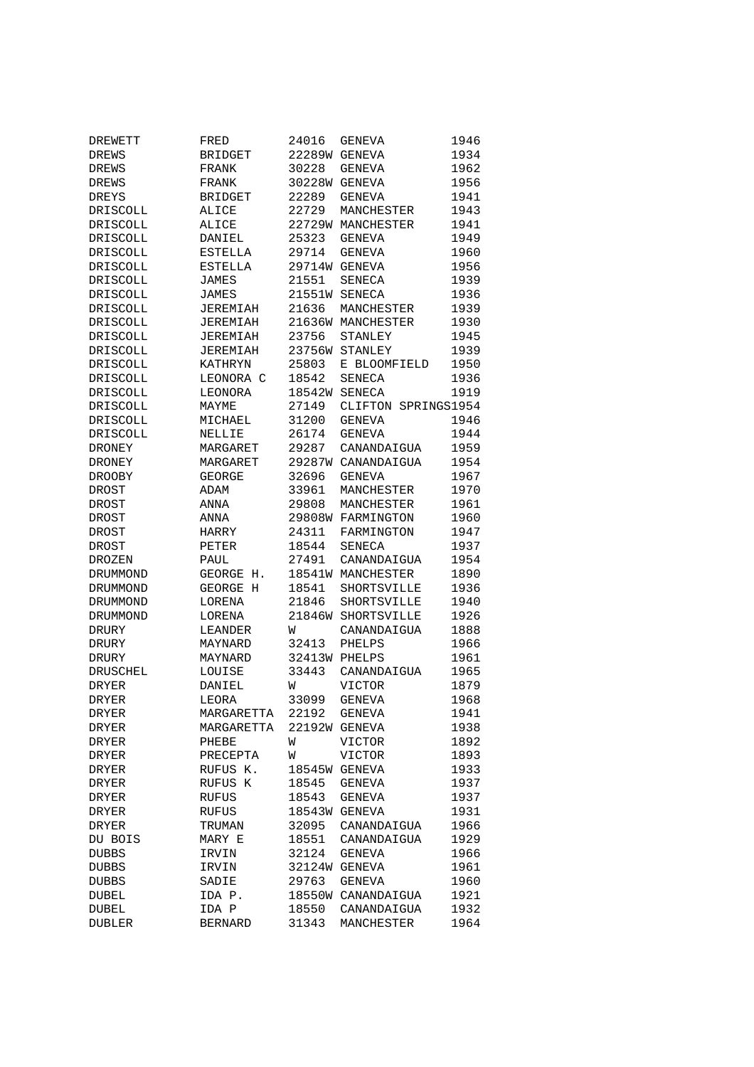| <b>DREWETT</b>  | FRED           | 24016         | <b>GENEVA</b>       | 1946 |
|-----------------|----------------|---------------|---------------------|------|
| <b>DREWS</b>    | <b>BRIDGET</b> | 22289W        | <b>GENEVA</b>       | 1934 |
| <b>DREWS</b>    | FRANK          | 30228         | <b>GENEVA</b>       | 1962 |
| <b>DREWS</b>    | ${\tt FRANK}$  | 30228W        | GENEVA              | 1956 |
| <b>DREYS</b>    | <b>BRIDGET</b> | 22289         | <b>GENEVA</b>       | 1941 |
| DRISCOLL        | ALICE          | 22729         | MANCHESTER          | 1943 |
| DRISCOLL        | ALICE          |               | 22729W MANCHESTER   | 1941 |
| DRISCOLL        | DANIEL         | 25323         | <b>GENEVA</b>       | 1949 |
| DRISCOLL        | <b>ESTELLA</b> | 29714         | <b>GENEVA</b>       | 1960 |
| DRISCOLL        | <b>ESTELLA</b> | 29714W        | GENEVA              | 1956 |
| DRISCOLL        | JAMES          | 21551         | <b>SENECA</b>       | 1939 |
| DRISCOLL        | JAMES          | 21551W        | <b>SENECA</b>       | 1936 |
| DRISCOLL        | JEREMIAH       | 21636         | MANCHESTER          | 1939 |
| DRISCOLL        | JEREMIAH       |               | 21636W MANCHESTER   | 1930 |
| DRISCOLL        | JEREMIAH       | 23756         | STANLEY             | 1945 |
| DRISCOLL        | JEREMIAH       | 23756W        | STANLEY             | 1939 |
| DRISCOLL        | KATHRYN        | 25803         | E BLOOMFIELD        | 1950 |
| DRISCOLL        | LEONORA C      | 18542         | SENECA              | 1936 |
| DRISCOLL        | LEONORA        | 18542W        | SENECA              | 1919 |
| <b>DRISCOLL</b> | MAYME          | 27149         | CLIFTON SPRINGS1954 |      |
| DRISCOLL        | MICHAEL        | 31200         | GENEVA              | 1946 |
| DRISCOLL        | NELLIE         | 26174         | GENEVA              | 1944 |
| <b>DRONEY</b>   | MARGARET       | 29287         | CANANDAIGUA         | 1959 |
| DRONEY          | MARGARET       | 29287W        | CANANDAIGUA         | 1954 |
| <b>DROOBY</b>   | <b>GEORGE</b>  | 32696         | <b>GENEVA</b>       | 1967 |
| DROST           | ADAM           | 33961         | MANCHESTER          | 1970 |
| DROST           | ANNA           | 29808         | MANCHESTER          | 1961 |
| DROST           | ANNA           | 29808W        | FARMINGTON          | 1960 |
| DROST           | HARRY          | 24311         | FARMINGTON          | 1947 |
| <b>DROST</b>    | PETER          | 18544         | SENECA              | 1937 |
| DROZEN          | PAUL           | 27491         | CANANDAIGUA         | 1954 |
| DRUMMOND        | GEORGE H.      |               | 18541W MANCHESTER   | 1890 |
| DRUMMOND        | GEORGE H       | 18541         | SHORTSVILLE         | 1936 |
| DRUMMOND        | LORENA         | 21846         | SHORTSVILLE         | 1940 |
| DRUMMOND        | LORENA         | 21846W        | SHORTSVILLE         | 1926 |
| <b>DRURY</b>    | LEANDER        | W             | CANANDAIGUA         | 1888 |
| DRURY           | MAYNARD        | 32413         | PHELPS              | 1966 |
| <b>DRURY</b>    | MAYNARD        | 32413W        | PHELPS              | 1961 |
| DRUSCHEL        | LOUISE         | 33443         | CANANDAIGUA         | 1965 |
| <b>DRYER</b>    | <b>DANIEL</b>  | W             | VICTOR              | 1879 |
| <b>DRYER</b>    | LEORA          | 33099         | <b>GENEVA</b>       | 1968 |
| DRYER           | MARGARETTA     | 22192         | GENEVA              | 1941 |
| DRYER           | MARGARETTA     | 22192W GENEVA |                     | 1938 |
| <b>DRYER</b>    | PHEBE          | W             | VICTOR              | 1892 |
| <b>DRYER</b>    | PRECEPTA       | W             | <b>VICTOR</b>       | 1893 |
| DRYER           | RUFUS K.       | 18545W GENEVA |                     | 1933 |
| DRYER           | RUFUS K        | 18545         | GENEVA              | 1937 |
| DRYER           | <b>RUFUS</b>   | 18543         | <b>GENEVA</b>       | 1937 |
| DRYER           | RUFUS          | 18543W        | <b>GENEVA</b>       | 1931 |
| DRYER           | TRUMAN         | 32095         | CANANDAIGUA         | 1966 |
| DU BOIS         | MARY E         | 18551         | CANANDAIGUA         | 1929 |
| <b>DUBBS</b>    | IRVIN          | 32124         | GENEVA              | 1966 |
| DUBBS           | IRVIN          | 32124W        | GENEVA              | 1961 |
| DUBBS           | SADIE          | 29763         | GENEVA              | 1960 |
| <b>DUBEL</b>    | IDA P.         | 18550W        | CANANDAIGUA         | 1921 |
| DUBEL           | IDA P          | 18550         | CANANDAIGUA         | 1932 |
| <b>DUBLER</b>   | <b>BERNARD</b> | 31343         | MANCHESTER          | 1964 |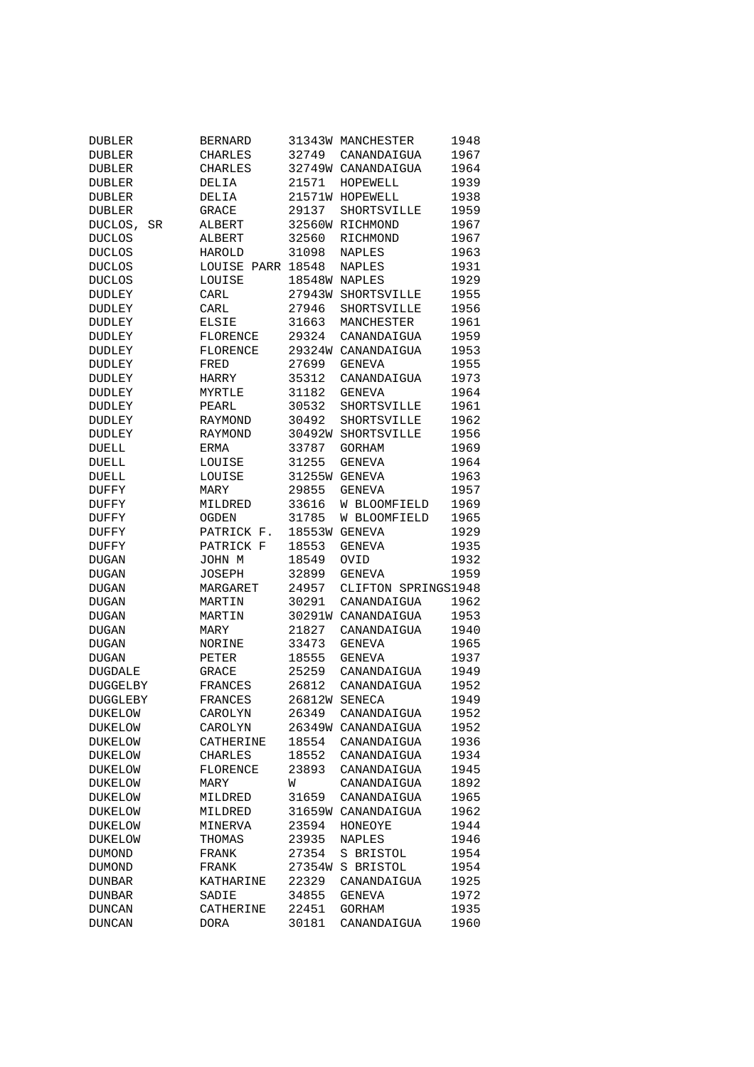| DUBLER          | <b>BERNARD</b>    |        | 31343W MANCHESTER   | 1948 |
|-----------------|-------------------|--------|---------------------|------|
| DUBLER          | <b>CHARLES</b>    | 32749  | CANANDAIGUA         | 1967 |
| <b>DUBLER</b>   | CHARLES           | 32749W | CANANDAIGUA         | 1964 |
| DUBLER          | DELIA             | 21571  | HOPEWELL            | 1939 |
| <b>DUBLER</b>   | DELIA             | 21571W | HOPEWELL            | 1938 |
| <b>DUBLER</b>   | GRACE             | 29137  | SHORTSVILLE         | 1959 |
| DUCLOS,<br>SR   | ALBERT            |        | 32560W RICHMOND     | 1967 |
| <b>DUCLOS</b>   | ALBERT            | 32560  | RICHMOND            | 1967 |
| <b>DUCLOS</b>   | HAROLD            | 31098  | <b>NAPLES</b>       | 1963 |
| <b>DUCLOS</b>   | LOUISE PARR 18548 |        | NAPLES              | 1931 |
| <b>DUCLOS</b>   | LOUISE            | 18548W | NAPLES              | 1929 |
| <b>DUDLEY</b>   | CARL              | 27943W | SHORTSVILLE         | 1955 |
| <b>DUDLEY</b>   | CARL              | 27946  | SHORTSVILLE         | 1956 |
| <b>DUDLEY</b>   | <b>ELSIE</b>      | 31663  | MANCHESTER          | 1961 |
| <b>DUDLEY</b>   | FLORENCE          | 29324  | CANANDAIGUA         | 1959 |
| <b>DUDLEY</b>   | FLORENCE          | 29324W | CANANDAIGUA         | 1953 |
| <b>DUDLEY</b>   | FRED              | 27699  | <b>GENEVA</b>       | 1955 |
| <b>DUDLEY</b>   | HARRY             | 35312  | CANANDAIGUA         | 1973 |
| <b>DUDLEY</b>   | MYRTLE            | 31182  | <b>GENEVA</b>       | 1964 |
| <b>DUDLEY</b>   | PEARL             | 30532  | SHORTSVILLE         | 1961 |
| <b>DUDLEY</b>   | RAYMOND           | 30492  | SHORTSVILLE         | 1962 |
| <b>DUDLEY</b>   | RAYMOND           | 30492W | SHORTSVILLE         | 1956 |
| DUELL           | <b>ERMA</b>       | 33787  | GORHAM              | 1969 |
| DUELL           | LOUISE            | 31255  | <b>GENEVA</b>       | 1964 |
| <b>DUELL</b>    | LOUISE            | 31255W | <b>GENEVA</b>       | 1963 |
| DUFFY           | MARY              | 29855  | <b>GENEVA</b>       | 1957 |
| DUFFY           | MILDRED           | 33616  | W BLOOMFIELD        | 1969 |
| <b>DUFFY</b>    | <b>OGDEN</b>      | 31785  | W BLOOMFIELD        | 1965 |
| <b>DUFFY</b>    | PATRICK F.        | 18553W | GENEVA              | 1929 |
| <b>DUFFY</b>    | PATRICK F         | 18553  | GENEVA              | 1935 |
| <b>DUGAN</b>    | JOHN M            | 18549  | OVID                | 1932 |
| <b>DUGAN</b>    | <b>JOSEPH</b>     | 32899  | <b>GENEVA</b>       | 1959 |
| <b>DUGAN</b>    | MARGARET          | 24957  | CLIFTON SPRINGS1948 |      |
| <b>DUGAN</b>    | MARTIN            | 30291  | CANANDAIGUA         | 1962 |
| <b>DUGAN</b>    | MARTIN            | 30291W | CANANDAIGUA         | 1953 |
| <b>DUGAN</b>    | MARY              | 21827  | CANANDAIGUA         | 1940 |
| <b>DUGAN</b>    | NORINE            | 33473  | GENEVA              | 1965 |
| <b>DUGAN</b>    | PETER             | 18555  | <b>GENEVA</b>       | 1937 |
| <b>DUGDALE</b>  | <b>GRACE</b>      | 25259  | CANANDAIGUA         | 1949 |
| <b>DUGGELBY</b> | FRANCES           | 26812  | CANANDAIGUA         | 1952 |
| DUGGLEBY        | FRANCES           |        | 26812W SENECA       | 1949 |
| <b>DUKELOW</b>  | CAROLYN           | 26349  | CANANDAIGUA         | 1952 |
| DUKELOW         | CAROLYN           | 26349W | CANANDAIGUA         | 1952 |
| DUKELOW         | CATHERINE         | 18554  | CANANDAIGUA         | 1936 |
| <b>DUKELOW</b>  | CHARLES           | 18552  | CANANDAIGUA         | 1934 |
| <b>DUKELOW</b>  | FLORENCE          | 23893  | CANANDAIGUA         | 1945 |
| DUKELOW         | MARY              | W      | CANANDAIGUA         | 1892 |
| DUKELOW         | MILDRED           | 31659  | CANANDAIGUA         | 1965 |
| DUKELOW         | MILDRED           | 31659W | CANANDAIGUA         | 1962 |
| <b>DUKELOW</b>  | MINERVA           | 23594  | HONEOYE             | 1944 |
| DUKELOW         | THOMAS            | 23935  | <b>NAPLES</b>       | 1946 |
| DUMOND          | FRANK             | 27354  | S BRISTOL           | 1954 |
| DUMOND          | FRANK             | 27354W | S BRISTOL           | 1954 |
| DUNBAR          | KATHARINE         | 22329  | CANANDAIGUA         | 1925 |
| DUNBAR          | SADIE             | 34855  | GENEVA              | 1972 |
| DUNCAN          | CATHERINE         | 22451  | GORHAM              | 1935 |
| DUNCAN          | DORA              | 30181  | CANANDAIGUA         | 1960 |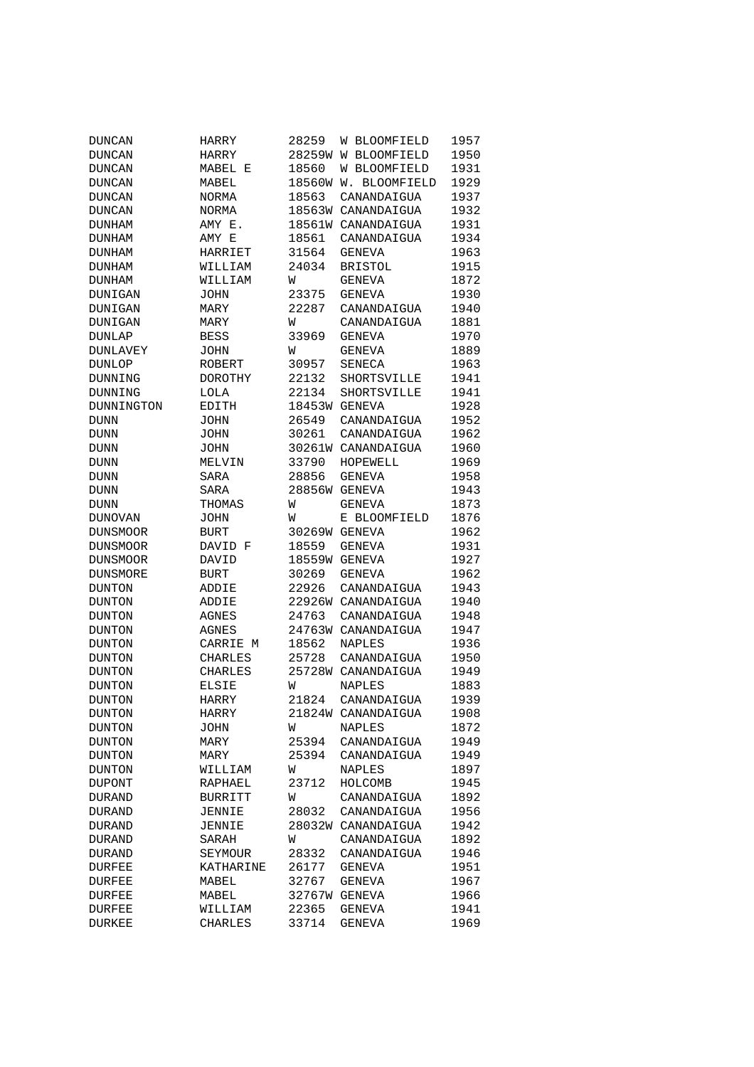| DUNCAN          | HARRY          | 28259  | W BLOOMFIELD            | 1957 |
|-----------------|----------------|--------|-------------------------|------|
| <b>DUNCAN</b>   | <b>HARRY</b>   | 28259W | W BLOOMFIELD            | 1950 |
| <b>DUNCAN</b>   | MABEL E        | 18560  | W BLOOMFIELD            | 1931 |
| <b>DUNCAN</b>   | MABEL          | 18560W | W.<br><b>BLOOMFIELD</b> | 1929 |
| <b>DUNCAN</b>   | NORMA          | 18563  | CANANDAIGUA             | 1937 |
| <b>DUNCAN</b>   | <b>NORMA</b>   | 18563W | CANANDAIGUA             | 1932 |
| DUNHAM          | AMY E.         | 18561W | CANANDAIGUA             | 1931 |
| <b>DUNHAM</b>   | AMY E          | 18561  | CANANDAIGUA             | 1934 |
| <b>DUNHAM</b>   | HARRIET        | 31564  | GENEVA                  | 1963 |
| DUNHAM          | WILLIAM        | 24034  | <b>BRISTOL</b>          | 1915 |
| <b>DUNHAM</b>   | WILLIAM        | M      | GENEVA                  | 1872 |
| DUNIGAN         | JOHN           | 23375  | <b>GENEVA</b>           | 1930 |
| <b>DUNIGAN</b>  | MARY           | 22287  | CANANDAIGUA             | 1940 |
| DUNIGAN         | MARY           | W      | CANANDAIGUA             | 1881 |
| <b>DUNLAP</b>   | <b>BESS</b>    | 33969  | GENEVA                  | 1970 |
| <b>DUNLAVEY</b> | <b>JOHN</b>    | W      | <b>GENEVA</b>           | 1889 |
| DUNLOP          | ROBERT         | 30957  | SENECA                  | 1963 |
| DUNNING         | <b>DOROTHY</b> | 22132  | SHORTSVILLE             | 1941 |
| DUNNING         | LOLA           | 22134  | SHORTSVILLE             | 1941 |
| DUNNINGTON      | EDITH          | 18453W | <b>GENEVA</b>           | 1928 |
| <b>DUNN</b>     | <b>JOHN</b>    | 26549  | CANANDAIGUA             | 1952 |
| <b>DUNN</b>     | <b>JOHN</b>    | 30261  | CANANDAIGUA             | 1962 |
| <b>DUNN</b>     | JOHN           | 30261W | CANANDAIGUA             | 1960 |
| <b>DUNN</b>     | MELVIN         | 33790  | HOPEWELL                | 1969 |
| <b>DUNN</b>     | <b>SARA</b>    | 28856  | <b>GENEVA</b>           | 1958 |
| <b>DUNN</b>     | SARA           | 28856W | <b>GENEVA</b>           | 1943 |
| <b>DUNN</b>     | THOMAS         | W      | GENEVA                  | 1873 |
| DUNOVAN         | <b>JOHN</b>    | W      | E BLOOMFIELD            | 1876 |
| DUNSMOOR        | BURT           | 30269W | <b>GENEVA</b>           | 1962 |
| <b>DUNSMOOR</b> | DAVID F        | 18559  | <b>GENEVA</b>           | 1931 |
| <b>DUNSMOOR</b> | DAVID          | 18559W | <b>GENEVA</b>           | 1927 |
| DUNSMORE        | BURT           | 30269  | GENEVA                  | 1962 |
| <b>DUNTON</b>   | ADDIE          | 22926  | CANANDAIGUA             | 1943 |
| DUNTON          | ADDIE          | 22926W | CANANDAIGUA             | 1940 |
| <b>DUNTON</b>   | AGNES          | 24763  | CANANDAIGUA             | 1948 |
| <b>DUNTON</b>   | <b>AGNES</b>   | 24763W | CANANDAIGUA             | 1947 |
| DUNTON          | CARRIE M       | 18562  | <b>NAPLES</b>           | 1936 |
| <b>DUNTON</b>   | <b>CHARLES</b> | 25728  | CANANDAIGUA             | 1950 |
| <b>DUNTON</b>   | <b>CHARLES</b> | 25728W | CANANDAIGUA             | 1949 |
| <b>DUNTON</b>   | <b>ELSIE</b>   | W      | NAPLES                  | 1883 |
| <b>DUNTON</b>   | <b>HARRY</b>   | 21824  | CANANDATGUA             | 1939 |
| DUNTON          | HARRY          |        | 21824W CANANDAIGUA      | 1908 |
| <b>DUNTON</b>   | JOHN           | W      | NAPLES                  | 1872 |
| DUNTON          | MARY           | 25394  | CANANDAIGUA             | 1949 |
| DUNTON          | MARY           | 25394  | CANANDAIGUA             | 1949 |
| DUNTON          | WILLIAM        | W      | NAPLES                  | 1897 |
| DUPONT          | RAPHAEL        | 23712  | HOLCOMB                 | 1945 |
| DURAND          | <b>BURRITT</b> | W      | CANANDAIGUA             | 1892 |
| DURAND          | JENNIE         | 28032  | CANANDAIGUA             | 1956 |
| DURAND          | JENNIE         | 28032W | CANANDAIGUA             | 1942 |
| DURAND          | SARAH          | W      | CANANDAIGUA             | 1892 |
| DURAND          | SEYMOUR        | 28332  | CANANDAIGUA             | 1946 |
| DURFEE          | KATHARINE      | 26177  | GENEVA                  | 1951 |
| DURFEE          | MABEL          | 32767  | GENEVA                  | 1967 |
| DURFEE          | MABEL          | 32767W | GENEVA                  | 1966 |
| DURFEE          | WILLIAM        | 22365  | GENEVA                  | 1941 |
| <b>DURKEE</b>   | CHARLES        | 33714  | GENEVA                  | 1969 |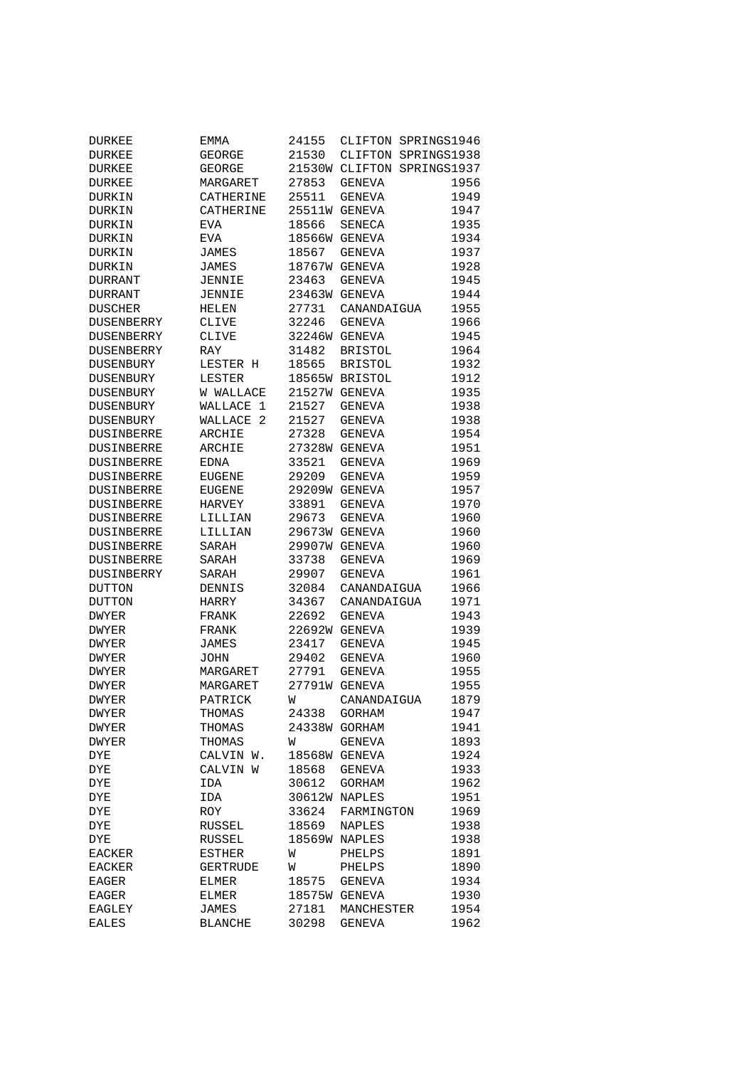| DURKEE            | EMMA           | 24155         | CLIFTON SPRINGS1946 |      |
|-------------------|----------------|---------------|---------------------|------|
| DURKEE            | GEORGE         | 21530         | CLIFTON SPRINGS1938 |      |
| <b>DURKEE</b>     | GEORGE         | 21530W        | CLIFTON SPRINGS1937 |      |
| <b>DURKEE</b>     | MARGARET       | 27853         | <b>GENEVA</b>       | 1956 |
| <b>DURKIN</b>     | CATHERINE      | 25511         | <b>GENEVA</b>       | 1949 |
| <b>DURKIN</b>     | CATHERINE      | 25511W        | <b>GENEVA</b>       | 1947 |
| <b>DURKIN</b>     | <b>EVA</b>     | 18566         | SENECA              | 1935 |
| DURKIN            | <b>EVA</b>     | 18566W        | <b>GENEVA</b>       | 1934 |
| DURKIN            | <b>JAMES</b>   | 18567         | <b>GENEVA</b>       | 1937 |
| <b>DURKIN</b>     | JAMES          | 18767W        | <b>GENEVA</b>       | 1928 |
| DURRANT           | JENNIE         | 23463         | <b>GENEVA</b>       | 1945 |
| <b>DURRANT</b>    | JENNIE         | 23463W        | <b>GENEVA</b>       | 1944 |
| <b>DUSCHER</b>    | <b>HELEN</b>   | 27731         | CANANDAIGUA         | 1955 |
| DUSENBERRY        | CLIVE          | 32246         | <b>GENEVA</b>       | 1966 |
| DUSENBERRY        | CLIVE          | 32246W        | <b>GENEVA</b>       | 1945 |
| DUSENBERRY        | RAY            | 31482         | <b>BRISTOL</b>      | 1964 |
| DUSENBURY         | LESTER H       | 18565         | <b>BRISTOL</b>      | 1932 |
| DUSENBURY         | LESTER         | 18565W        | <b>BRISTOL</b>      | 1912 |
| DUSENBURY         | W WALLACE      | 21527W        | GENEVA              | 1935 |
| <b>DUSENBURY</b>  | WALLACE<br>1   | 21527         | <b>GENEVA</b>       | 1938 |
| <b>DUSENBURY</b>  | 2<br>WALLACE   | 21527         | <b>GENEVA</b>       | 1938 |
| DUSINBERRE        | ARCHIE         | 27328         | GENEVA              | 1954 |
| <b>DUSINBERRE</b> | ARCHIE         | 27328W        | <b>GENEVA</b>       | 1951 |
| DUSINBERRE        | <b>EDNA</b>    | 33521         | <b>GENEVA</b>       | 1969 |
| DUSINBERRE        | <b>EUGENE</b>  | 29209         | <b>GENEVA</b>       | 1959 |
| DUSINBERRE        | <b>EUGENE</b>  | 29209W        | <b>GENEVA</b>       | 1957 |
| DUSINBERRE        | <b>HARVEY</b>  | 33891         | <b>GENEVA</b>       | 1970 |
| DUSINBERRE        | LILLIAN        | 29673         | <b>GENEVA</b>       | 1960 |
| DUSINBERRE        | LILLIAN        | 29673W        | <b>GENEVA</b>       | 1960 |
| DUSINBERRE        | SARAH          | 29907W        | <b>GENEVA</b>       | 1960 |
| DUSINBERRE        | SARAH          | 33738         | GENEVA              | 1969 |
| DUSINBERRY        | SARAH          | 29907         | GENEVA              | 1961 |
| <b>DUTTON</b>     | DENNIS         | 32084         | CANANDAIGUA         | 1966 |
| <b>DUTTON</b>     | HARRY          | 34367         | CANANDAIGUA         | 1971 |
| <b>DWYER</b>      | FRANK          | 22692         | GENEVA              | 1943 |
| <b>DWYER</b>      | FRANK          | 22692W        | <b>GENEVA</b>       | 1939 |
| DWYER             | JAMES          | 23417         | <b>GENEVA</b>       | 1945 |
| <b>DWYER</b>      | JOHN           | 29402         | <b>GENEVA</b>       | 1960 |
| DWYER             | MARGARET       | 27791         | GENEVA              | 1955 |
| <b>DWYER</b>      | MARGARET       | 27791W GENEVA |                     | 1955 |
| DWYER             | PATRICK        | W             | CANANDAIGUA         | 1879 |
| DWYER             | THOMAS         | 24338         | GORHAM              | 1947 |
| DWYER             | THOMAS         |               | 24338W GORHAM       | 1941 |
| <b>DWYER</b>      | THOMAS         | W             | GENEVA              | 1893 |
| DYE               | CALVIN W.      |               | 18568W GENEVA       | 1924 |
| DYE               | CALVIN W       | 18568         | GENEVA              | 1933 |
| DYE               | IDA            | 30612         | GORHAM              | 1962 |
| <b>DYE</b>        | IDA            | 30612W        | NAPLES              | 1951 |
| DYE               | ROY            | 33624         | FARMINGTON          | 1969 |
| DYE               | RUSSEL         | 18569         | NAPLES              | 1938 |
| DYE               | RUSSEL         | 18569W NAPLES |                     | 1938 |
| EACKER            | <b>ESTHER</b>  | W             | PHELPS              | 1891 |
| EACKER            | GERTRUDE       | W             | PHELPS              | 1890 |
| EAGER             | ELMER          | 18575         | GENEVA              | 1934 |
| EAGER             | ELMER          | 18575W        | GENEVA              | 1930 |
| EAGLEY            | JAMES          | 27181         | MANCHESTER          | 1954 |
| <b>EALES</b>      | <b>BLANCHE</b> | 30298         | <b>GENEVA</b>       | 1962 |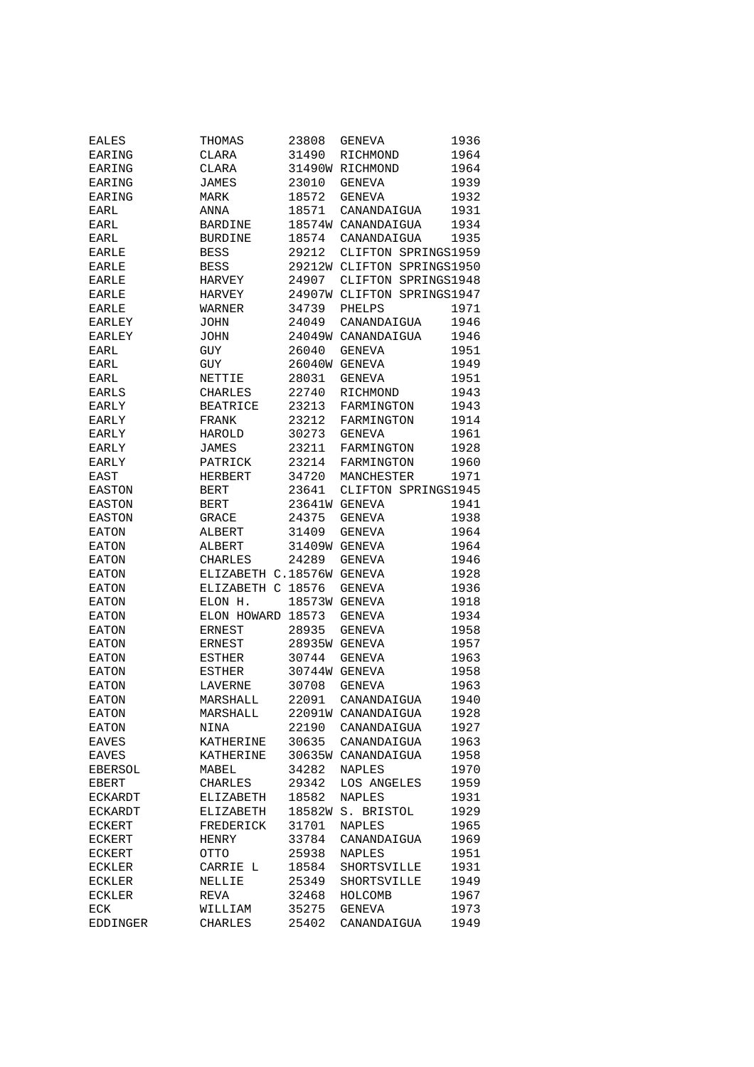| <b>EALES</b>   | THOMAS                    | 23808  | GENEVA              | 1936 |
|----------------|---------------------------|--------|---------------------|------|
| EARING         | CLARA                     | 31490  | RICHMOND            | 1964 |
| EARING         | CLARA                     | 31490W | RICHMOND            | 1964 |
| EARING         | JAMES                     | 23010  | <b>GENEVA</b>       | 1939 |
| EARING         | <b>MARK</b>               | 18572  | <b>GENEVA</b>       | 1932 |
| EARL           | <b>ANNA</b>               | 18571  | CANANDAIGUA         | 1931 |
| EARL           | BARDINE                   | 18574W | CANANDAIGUA         | 1934 |
| EARL           | <b>BURDINE</b>            | 18574  | CANANDAIGUA         | 1935 |
| <b>EARLE</b>   | <b>BESS</b>               | 29212  | CLIFTON SPRINGS1959 |      |
| <b>EARLE</b>   | <b>BESS</b>               | 29212W | CLIFTON SPRINGS1950 |      |
| <b>EARLE</b>   | <b>HARVEY</b>             | 24907  | CLIFTON SPRINGS1948 |      |
| <b>EARLE</b>   | <b>HARVEY</b>             | 24907W | CLIFTON SPRINGS1947 |      |
| <b>EARLE</b>   | WARNER                    | 34739  | PHELPS              | 1971 |
| EARLEY         | <b>JOHN</b>               | 24049  | CANANDAIGUA         | 1946 |
| <b>EARLEY</b>  | <b>JOHN</b>               |        | 24049W CANANDAIGUA  | 1946 |
| EARL           | <b>GUY</b>                | 26040  | GENEVA              | 1951 |
| EARL           | <b>GUY</b>                | 26040W | <b>GENEVA</b>       | 1949 |
| EARL           | NETTIE                    | 28031  | <b>GENEVA</b>       | 1951 |
| <b>EARLS</b>   | <b>CHARLES</b>            | 22740  | RICHMOND            | 1943 |
| <b>EARLY</b>   | <b>BEATRICE</b>           | 23213  | FARMINGTON          | 1943 |
| <b>EARLY</b>   | <b>FRANK</b>              | 23212  | FARMINGTON          | 1914 |
| EARLY          | HAROLD                    | 30273  | <b>GENEVA</b>       | 1961 |
| <b>EARLY</b>   | <b>JAMES</b>              | 23211  | FARMINGTON          | 1928 |
| EARLY          | PATRICK                   | 23214  | FARMINGTON          | 1960 |
| EAST           | <b>HERBERT</b>            | 34720  | MANCHESTER          | 1971 |
| <b>EASTON</b>  | <b>BERT</b>               | 23641  | CLIFTON SPRINGS1945 |      |
|                |                           |        |                     | 1941 |
| <b>EASTON</b>  | BERT                      | 23641W | <b>GENEVA</b>       |      |
| <b>EASTON</b>  | GRACE                     | 24375  | <b>GENEVA</b>       | 1938 |
| <b>EATON</b>   | ALBERT                    | 31409  | <b>GENEVA</b>       | 1964 |
| <b>EATON</b>   | ALBERT                    | 31409W | <b>GENEVA</b>       | 1964 |
| <b>EATON</b>   | <b>CHARLES</b>            | 24289  | <b>GENEVA</b>       | 1946 |
| <b>EATON</b>   | ELIZABETH C.18576W GENEVA |        |                     | 1928 |
| <b>EATON</b>   | ELIZABETH C               | 18576  | <b>GENEVA</b>       | 1936 |
| <b>EATON</b>   | ELON H.                   | 18573W | <b>GENEVA</b>       | 1918 |
| EATON          | ELON HOWARD               | 18573  | <b>GENEVA</b>       | 1934 |
| EATON          | <b>ERNEST</b>             | 28935  | GENEVA              | 1958 |
| EATON          | ERNEST                    | 28935W | <b>GENEVA</b>       | 1957 |
| EATON          | ESTHER                    | 30744  | GENEVA              | 1963 |
| EATON          | <b>ESTHER</b>             | 30744W | <b>GENEVA</b>       | 1958 |
| <b>EATON</b>   | <b>LAVERNE</b>            | 30708  | <b>GENEVA</b>       | 1963 |
| EATON          | MARSHALL                  | 22091  | CANANDAIGUA         | 1940 |
| EATON          | MARSHALL                  |        | 22091W CANANDAIGUA  | 1928 |
| <b>EATON</b>   | NINA                      | 22190  | CANANDAIGUA         | 1927 |
| EAVES          | KATHERINE                 | 30635  | CANANDAIGUA         | 1963 |
| EAVES          | KATHERINE                 |        | 30635W CANANDAIGUA  | 1958 |
| EBERSOL        | MABEL                     | 34282  | <b>NAPLES</b>       | 1970 |
| EBERT          | CHARLES                   | 29342  | LOS ANGELES         | 1959 |
| ECKARDT        | ELIZABETH                 | 18582  | NAPLES              | 1931 |
| <b>ECKARDT</b> | ELIZABETH                 | 18582W | S. BRISTOL          | 1929 |
| ECKERT         | FREDERICK                 | 31701  | NAPLES              | 1965 |
| ECKERT         | HENRY                     | 33784  | CANANDAIGUA         | 1969 |
| ECKERT         | OTTO                      | 25938  | NAPLES              | 1951 |
| ECKLER         | CARRIE L                  | 18584  | SHORTSVILLE         | 1931 |
| ECKLER         | NELLIE                    | 25349  | SHORTSVILLE         | 1949 |
| ECKLER         | REVA                      | 32468  | HOLCOMB             | 1967 |
| ECK            | WILLIAM                   | 35275  | GENEVA              | 1973 |
| EDDINGER       | <b>CHARLES</b>            | 25402  | CANANDAIGUA         | 1949 |
|                |                           |        |                     |      |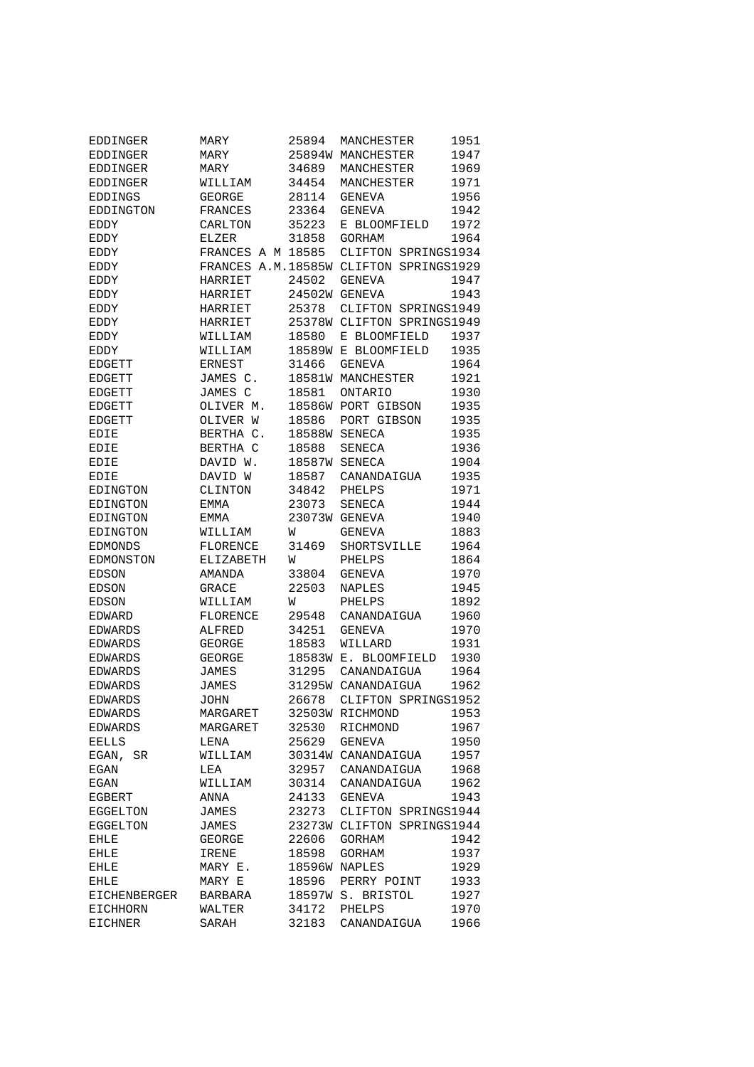| EDDINGER       | MARY               | 25894         | MANCHESTER                 | 1951 |
|----------------|--------------------|---------------|----------------------------|------|
| EDDINGER       | MARY               |               | 25894W MANCHESTER          | 1947 |
| EDDINGER       | MARY               | 34689         | MANCHESTER                 | 1969 |
| EDDINGER       | WILLIAM            | 34454         | MANCHESTER                 | 1971 |
| <b>EDDINGS</b> | <b>GEORGE</b>      | 28114         | <b>GENEVA</b>              | 1956 |
| EDDINGTON      | FRANCES            | 23364         | GENEVA                     | 1942 |
| EDDY           | CARLTON            | 35223         | E BLOOMFIELD               | 1972 |
| EDDY           | <b>ELZER</b>       | 31858         | GORHAM                     | 1964 |
| EDDY           | FRANCES A M 18585  |               | CLIFTON SPRINGS1934        |      |
| EDDY           | FRANCES A.M.18585W |               | CLIFTON SPRINGS1929        |      |
| EDDY           | HARRIET            | 24502         | <b>GENEVA</b>              | 1947 |
| EDDY           | HARRIET            | 24502W        | <b>GENEVA</b>              | 1943 |
| EDDY           | HARRIET            | 25378         | CLIFTON SPRINGS1949        |      |
| EDDY           | HARRIET            |               | 25378W CLIFTON SPRINGS1949 |      |
| EDDY           | WILLIAM            | 18580         | E BLOOMFIELD               | 1937 |
| EDDY           | WILLIAM            | 18589W        | E BLOOMFIELD               | 1935 |
| EDGETT         | <b>ERNEST</b>      | 31466         | <b>GENEVA</b>              | 1964 |
| EDGETT         | JAMES C.           |               | 18581W MANCHESTER          | 1921 |
| <b>EDGETT</b>  | JAMES C            | 18581         | ONTARIO                    | 1930 |
| <b>EDGETT</b>  | OLIVER M.          |               | 18586W PORT GIBSON         | 1935 |
| <b>EDGETT</b>  | OLIVER W           | 18586         | PORT GIBSON                | 1935 |
| EDIE           | BERTHA C.          | 18588W        | SENECA                     | 1935 |
| EDIE           | BERTHA C           | 18588         | SENECA                     | 1936 |
| EDIE           | DAVID W.           | 18587W        | SENECA                     | 1904 |
| <b>EDIE</b>    | DAVID W            | 18587         | CANANDAIGUA                | 1935 |
| EDINGTON       | CLINTON            | 34842         | PHELPS                     | 1971 |
| EDINGTON       | EMMA               | 23073         | SENECA                     | 1944 |
| EDINGTON       | EMMA               | 23073W        | <b>GENEVA</b>              | 1940 |
| EDINGTON       | WILLIAM            | W             | GENEVA                     | 1883 |
| <b>EDMONDS</b> | FLORENCE           | 31469         | SHORTSVILLE                | 1964 |
| EDMONSTON      | ELIZABETH          | W             | PHELPS                     | 1864 |
| <b>EDSON</b>   | AMANDA             | 33804         | GENEVA                     | 1970 |
| <b>EDSON</b>   | GRACE              | 22503         | NAPLES                     | 1945 |
| <b>EDSON</b>   | WILLIAM            | W             | PHELPS                     | 1892 |
| EDWARD         | FLORENCE           | 29548         | CANANDAIGUA                | 1960 |
| <b>EDWARDS</b> | ALFRED             | 34251         | <b>GENEVA</b>              | 1970 |
| <b>EDWARDS</b> | GEORGE             | 18583         | WILLARD                    | 1931 |
| <b>EDWARDS</b> | GEORGE             | 18583W        | E. BLOOMFIELD              | 1930 |
| <b>EDWARDS</b> | <b>JAMES</b>       | 31295         | CANANDAIGUA                | 1964 |
| <b>EDWARDS</b> | <b>JAMES</b>       | 31295W        | CANANDAIGUA                | 1962 |
| <b>EDWARDS</b> | JOHN               |               | 26678 CLIFTON SPRINGS1952  |      |
| EDWARDS        | MARGARET           |               | 32503W RICHMOND            | 1953 |
| EDWARDS        | MARGARET           | 32530         | RICHMOND                   | 1967 |
| EELLS          | LENA               | 25629         | <b>GENEVA</b>              | 1950 |
| EGAN, SR       | WILLIAM            |               | 30314W CANANDAIGUA         | 1957 |
| EGAN           | LEA                |               | 32957 CANANDAIGUA          | 1968 |
| EGAN           | WILLIAM            | 30314         | CANANDAIGUA                | 1962 |
| EGBERT         | ANNA               | 24133         | GENEVA                     | 1943 |
| EGGELTON       | JAMES              | 23273         | CLIFTON SPRINGS1944        |      |
| EGGELTON       | JAMES              |               | 23273W CLIFTON SPRINGS1944 |      |
| EHLE           | GEORGE             | 22606         | GORHAM                     | 1942 |
| EHLE           | IRENE              | 18598         | GORHAM                     | 1937 |
| EHLE           | MARY E.            | 18596W NAPLES |                            | 1929 |
| EHLE           | MARY E             | 18596         | PERRY POINT                | 1933 |
| EICHENBERGER   | BARBARA            | 18597W        | S. BRISTOL                 | 1927 |
| EICHHORN       | WALTER             | 34172         | PHELPS                     | 1970 |
| <b>EICHNER</b> | SARAH              | 32183         | CANANDAIGUA                | 1966 |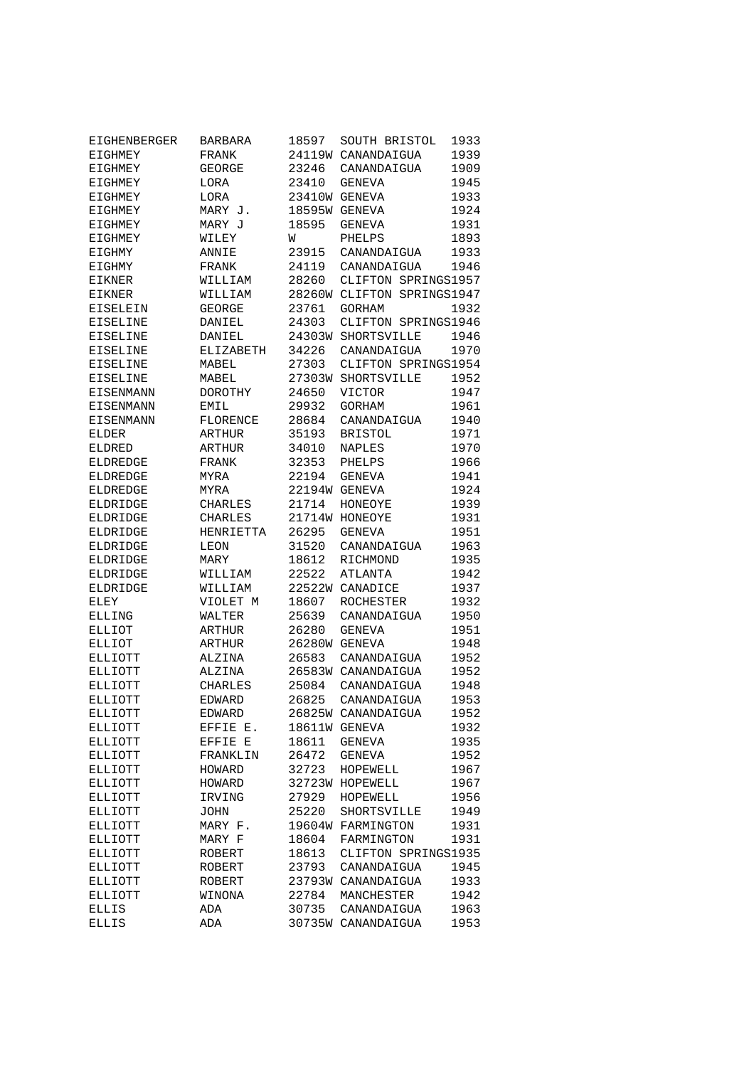| EIGHENBERGER    | BARBARA        | 18597         | SOUTH BRISTOL       | 1933 |
|-----------------|----------------|---------------|---------------------|------|
| EIGHMEY         | FRANK          | 24119W        | CANANDAIGUA         | 1939 |
| EIGHMEY         | GEORGE         | 23246         | CANANDAIGUA         | 1909 |
| EIGHMEY         | LORA           | 23410         | GENEVA              | 1945 |
| EIGHMEY         | LORA           | 23410W        | <b>GENEVA</b>       | 1933 |
| EIGHMEY         | MARY J.        | 18595W        | GENEVA              | 1924 |
| EIGHMEY         | MARY J         | 18595         | GENEVA              | 1931 |
| <b>EIGHMEY</b>  | WILEY          | M             | PHELPS              | 1893 |
| EIGHMY          | ANNIE          | 23915         | CANANDAIGUA         | 1933 |
| EIGHMY          | FRANK          | 24119         | CANANDAIGUA         | 1946 |
| EIKNER          | WILLIAM        | 28260         | CLIFTON SPRINGS1957 |      |
| EIKNER          | WILLIAM        | 28260W        | CLIFTON SPRINGS1947 |      |
| EISELEIN        | <b>GEORGE</b>  | 23761         | GORHAM              | 1932 |
| EISELINE        | DANIEL         | 24303         | CLIFTON SPRINGS1946 |      |
| EISELINE        | DANIEL         | 24303W        | SHORTSVILLE         | 1946 |
| EISELINE        | ELIZABETH      | 34226         | CANANDAIGUA         | 1970 |
| <b>EISELINE</b> | MABEL          | 27303         | CLIFTON SPRINGS1954 |      |
| EISELINE        | MABEL          | 27303W        | SHORTSVILLE         | 1952 |
| EISENMANN       | DOROTHY        | 24650         | VICTOR              | 1947 |
| EISENMANN       | EMIL           | 29932         | <b>GORHAM</b>       | 1961 |
| EISENMANN       | FLORENCE       | 28684         | CANANDAIGUA         | 1940 |
| ELDER           | ARTHUR         | 35193         | <b>BRISTOL</b>      | 1971 |
| ELDRED          | ARTHUR         | 34010         | NAPLES              | 1970 |
| ELDREDGE        | FRANK          | 32353         | PHELPS              | 1966 |
| ELDREDGE        | MYRA           | 22194         | GENEVA              | 1941 |
| ELDREDGE        | <b>MYRA</b>    | 22194W        | <b>GENEVA</b>       | 1924 |
| ELDRIDGE        | CHARLES        | 21714         | HONEOYE             | 1939 |
| ELDRIDGE        | <b>CHARLES</b> | 21714W        | HONEOYE             | 1931 |
| ELDRIDGE        | HENRIETTA      | 26295         | GENEVA              | 1951 |
| ELDRIDGE        | LEON           | 31520         | CANANDAIGUA         | 1963 |
| ELDRIDGE        | MARY           | 18612         | RICHMOND            | 1935 |
| ELDRIDGE        | WILLIAM        | 22522         | ATLANTA             | 1942 |
| ELDRIDGE        | WILLIAM        | 22522W        | CANADICE            | 1937 |
| ELEY            | VIOLET M       | 18607         | ROCHESTER           | 1932 |
| ELLING          | WALTER         | 25639         | CANANDAIGUA         | 1950 |
| <b>ELLIOT</b>   | <b>ARTHUR</b>  | 26280         | <b>GENEVA</b>       | 1951 |
| ELLIOT          | ARTHUR         | 26280W        | <b>GENEVA</b>       | 1948 |
| <b>ELLIOTT</b>  | ALZINA         | 26583         | CANANDAIGUA         | 1952 |
| <b>ELLIOTT</b>  | ALZINA         | 26583W        | CANANDAIGUA         | 1952 |
| <b>ELLIOTT</b>  | <b>CHARLES</b> | 25084         | CANANDAIGUA         | 1948 |
| <b>ELLIOTT</b>  | EDWARD         | 26825         | CANANDAIGUA         | 1953 |
| ELLIOTT         | EDWARD         |               | 26825W CANANDAIGUA  | 1952 |
| ELLIOTT         | EFFIE E.       | 18611W GENEVA |                     | 1932 |
| ELLIOTT         | EFFIE E        | 18611         | GENEVA              | 1935 |
| <b>ELLIOTT</b>  | FRANKLIN       | 26472         | <b>GENEVA</b>       | 1952 |
| ELLIOTT         | HOWARD         | 32723         | HOPEWELL            | 1967 |
| ELLIOTT         | HOWARD         | 32723W        | HOPEWELL            | 1967 |
| <b>ELLIOTT</b>  | IRVING         | 27929         | HOPEWELL            | 1956 |
| ELLIOTT         | JOHN           | 25220         | SHORTSVILLE         | 1949 |
| <b>ELLIOTT</b>  | MARY F.        | 19604W        | FARMINGTON          | 1931 |
| <b>ELLIOTT</b>  | MARY F         | 18604         | FARMINGTON          | 1931 |
| ELLIOTT         | ROBERT         | 18613         | CLIFTON SPRINGS1935 |      |
| ELLIOTT         | ROBERT         | 23793         | CANANDAIGUA         | 1945 |
| ELLIOTT         | ROBERT         | 23793W        | CANANDAIGUA         | 1933 |
| ELLIOTT         | WINONA         | 22784         | MANCHESTER          | 1942 |
| ELLIS           | ADA            | 30735         | CANANDAIGUA         | 1963 |
| <b>ELLIS</b>    | ADA            |               | 30735W CANANDAIGUA  | 1953 |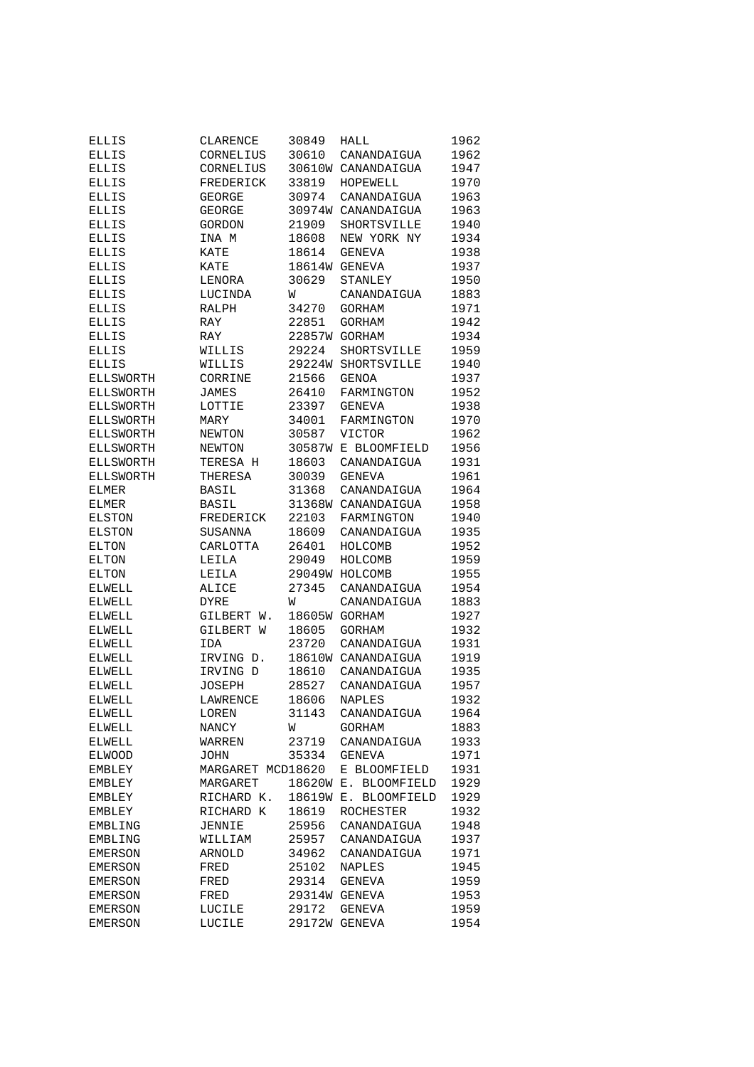| ELLIS            | CLARENCE          | 30849         | <b>HALL</b>             | 1962 |
|------------------|-------------------|---------------|-------------------------|------|
| <b>ELLIS</b>     | CORNELIUS         | 30610         | CANANDAIGUA             | 1962 |
| ELLIS            | CORNELIUS         | 30610W        | CANANDAIGUA             | 1947 |
| ELLIS            | FREDERICK         | 33819         | HOPEWELL                | 1970 |
| <b>ELLIS</b>     | <b>GEORGE</b>     | 30974         | CANANDAIGUA             | 1963 |
| ELLIS            | GEORGE            | 30974W        | CANANDAIGUA             | 1963 |
| <b>ELLIS</b>     | GORDON            | 21909         | SHORTSVILLE             | 1940 |
| <b>ELLIS</b>     | INA M             | 18608         | NEW YORK NY             | 1934 |
| ELLIS            | KATE              | 18614         | <b>GENEVA</b>           | 1938 |
| ELLIS            | KATE              | 18614W        | <b>GENEVA</b>           | 1937 |
| <b>ELLIS</b>     | LENORA            | 30629         | STANLEY                 | 1950 |
| <b>ELLIS</b>     | LUCINDA           | W             | CANANDAIGUA             | 1883 |
| <b>ELLIS</b>     | RALPH             | 34270         | <b>GORHAM</b>           | 1971 |
| <b>ELLIS</b>     | RAY               | 22851         | GORHAM                  | 1942 |
| <b>ELLIS</b>     | <b>RAY</b>        | 22857W        | <b>GORHAM</b>           | 1934 |
| <b>ELLIS</b>     | WILLIS            | 29224         | SHORTSVILLE             | 1959 |
| <b>ELLIS</b>     | WILLIS            | 29224W        | SHORTSVILLE             | 1940 |
| ELLSWORTH        | CORRINE           | 21566         | <b>GENOA</b>            | 1937 |
| <b>ELLSWORTH</b> | JAMES             | 26410         | FARMINGTON              | 1952 |
| ELLSWORTH        | LOTTIE            | 23397         | <b>GENEVA</b>           | 1938 |
| <b>ELLSWORTH</b> | MARY              | 34001         | FARMINGTON              | 1970 |
| ELLSWORTH        | NEWTON            | 30587         | VICTOR                  | 1962 |
| ELLSWORTH        | <b>NEWTON</b>     | 30587W        | E BLOOMFIELD            | 1956 |
| ELLSWORTH        | TERESA H          | 18603         | CANANDAIGUA             | 1931 |
| <b>ELLSWORTH</b> | THERESA           | 30039         | GENEVA                  | 1961 |
| <b>ELMER</b>     | <b>BASIL</b>      | 31368         | CANANDAIGUA             | 1964 |
| ELMER            | <b>BASIL</b>      | 31368W        | CANANDAIGUA             | 1958 |
| ELSTON           | FREDERICK         | 22103         | FARMINGTON              | 1940 |
| ELSTON           | SUSANNA           | 18609         | CANANDAIGUA             | 1935 |
| <b>ELTON</b>     | CARLOTTA          | 26401         | HOLCOMB                 | 1952 |
| ELTON            | LEILA             | 29049         | HOLCOMB                 | 1959 |
| ELTON            | LEILA             | 29049W        | HOLCOMB                 | 1955 |
| ELWELL           | <b>ALICE</b>      | 27345         | CANANDAIGUA             | 1954 |
| ELWELL           | DYRE              | W             | CANANDAIGUA             | 1883 |
| ELWELL           | GILBERT W.        | 18605W        | <b>GORHAM</b>           | 1927 |
| ELWELL           | GILBERT<br>W      | 18605         | GORHAM                  | 1932 |
| <b>ELWELL</b>    | IDA               | 23720         | CANANDAIGUA             | 1931 |
| <b>ELWELL</b>    | IRVING D.         | 18610W        | CANANDAIGUA             | 1919 |
| <b>ELWELL</b>    | IRVING D          | 18610         | CANANDAIGUA             | 1935 |
| <b>ELWELL</b>    | JOSEPH            | 28527         | CANANDAIGUA             | 1957 |
| ELWELL.          | LAWRENCE          | 18606         | NAPLES                  | 1932 |
| ELWELL           | LOREN             | 31143         | CANANDAIGUA             | 1964 |
| ELWELL           | NANCY             | W             | GORHAM                  | 1883 |
| ELWELL           | WARREN            | 23719         | CANANDAIGUA             | 1933 |
| ELWOOD           | JOHN              | 35334         | <b>GENEVA</b>           | 1971 |
| EMBLEY           | MARGARET MCD18620 |               | E BLOOMFIELD            | 1931 |
| EMBLEY           | MARGARET          | 18620W        | E. BLOOMFIELD           | 1929 |
| <b>EMBLEY</b>    | RICHARD K.        | 18619W        | Е.<br><b>BLOOMFIELD</b> | 1929 |
| <b>EMBLEY</b>    | RICHARD K         | 18619         | ROCHESTER               | 1932 |
| <b>EMBLING</b>   | <b>JENNIE</b>     | 25956         | CANANDAIGUA             | 1948 |
| EMBLING          | WILLIAM           | 25957         | CANANDAIGUA             | 1937 |
| <b>EMERSON</b>   | ARNOLD            | 34962         | CANANDAIGUA             | 1971 |
| <b>EMERSON</b>   | FRED              | 25102         | NAPLES                  | 1945 |
| <b>EMERSON</b>   | FRED              | 29314         | GENEVA                  | 1959 |
| <b>EMERSON</b>   | FRED              | 29314W        | GENEVA                  | 1953 |
| <b>EMERSON</b>   | <b>LUCILE</b>     | 29172         | GENEVA                  | 1959 |
| <b>EMERSON</b>   | LUCILE            | 29172W GENEVA |                         | 1954 |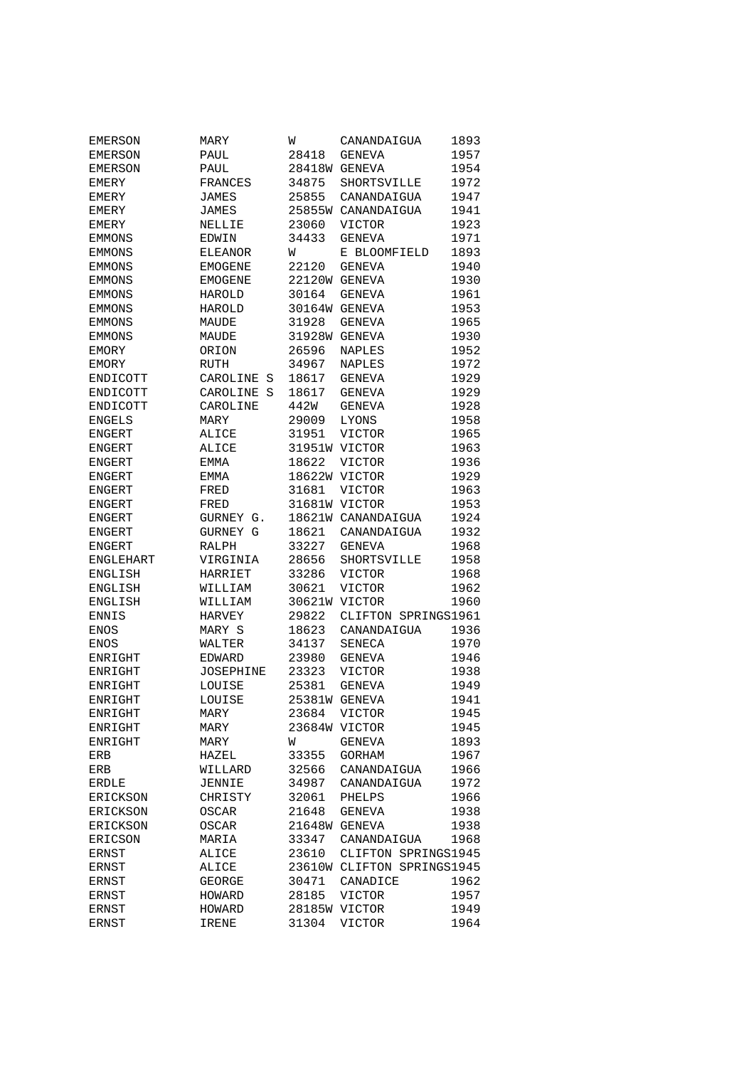| EMERSON        | MARY           | W             | CANANDAIGUA         | 1893 |
|----------------|----------------|---------------|---------------------|------|
| EMERSON        | PAUL           | 28418         | <b>GENEVA</b>       | 1957 |
| EMERSON        | PAUL           | 28418W        | <b>GENEVA</b>       | 1954 |
| EMERY          | <b>FRANCES</b> | 34875         | SHORTSVILLE         | 1972 |
| EMERY          | JAMES          | 25855         | CANANDAIGUA         | 1947 |
| EMERY          | JAMES          | 25855W        | CANANDAIGUA         | 1941 |
| EMERY          | NELLIE         | 23060         | VICTOR              | 1923 |
| EMMONS         | EDWIN          | 34433         | GENEVA              | 1971 |
| <b>EMMONS</b>  | <b>ELEANOR</b> | W             | E BLOOMFIELD        | 1893 |
| EMMONS         | <b>EMOGENE</b> | 22120         | <b>GENEVA</b>       | 1940 |
| EMMONS         | EMOGENE        | 22120W        | <b>GENEVA</b>       | 1930 |
| EMMONS         | HAROLD         | 30164         | GENEVA              | 1961 |
| EMMONS         | <b>HAROLD</b>  | 30164W        | <b>GENEVA</b>       | 1953 |
| EMMONS         | MAUDE          | 31928         | <b>GENEVA</b>       | 1965 |
| EMMONS         | MAUDE          | 31928W        | <b>GENEVA</b>       | 1930 |
| EMORY          | ORION          | 26596         | NAPLES              | 1952 |
| EMORY          | RUTH           | 34967         | NAPLES              | 1972 |
| ENDICOTT       | CAROLINE<br>S  | 18617         | <b>GENEVA</b>       | 1929 |
| ENDICOTT       | CAROLINE<br>S  | 18617         | GENEVA              | 1929 |
| ENDICOTT       | CAROLINE       | 442W          | <b>GENEVA</b>       | 1928 |
| <b>ENGELS</b>  | MARY           | 29009         | LYONS               | 1958 |
| ENGERT         | ALICE          | 31951         | <b>VICTOR</b>       | 1965 |
| ENGERT         | ALICE          | 31951W        | <b>VICTOR</b>       | 1963 |
| ENGERT         | EMMA           | 18622         | <b>VICTOR</b>       | 1936 |
| ENGERT         | EMMA           | 18622W        | <b>VICTOR</b>       | 1929 |
| ENGERT         | FRED           | 31681         | <b>VICTOR</b>       | 1963 |
| <b>ENGERT</b>  | FRED           | 31681W        | VICTOR              | 1953 |
| ENGERT         | GURNEY<br>G.   | 18621W        | CANANDAIGUA         | 1924 |
| ENGERT         | GURNEY<br>G    | 18621         | CANANDAIGUA         | 1932 |
| ENGERT         | RALPH          | 33227         | <b>GENEVA</b>       | 1968 |
| ENGLEHART      | VIRGINIA       | 28656         | SHORTSVILLE         | 1958 |
| ENGLISH        | HARRIET        | 33286         | VICTOR              | 1968 |
| ENGLISH        | WILLIAM        | 30621         | VICTOR              | 1962 |
| ENGLISH        | WILLIAM        | 30621W        | <b>VICTOR</b>       | 1960 |
| ENNIS          | HARVEY         | 29822         | CLIFTON SPRINGS1961 |      |
| ENOS           | MARY S         | 18623         | CANANDAIGUA         | 1936 |
| ENOS           | WALTER         | 34137         | SENECA              | 1970 |
| ENRIGHT        | EDWARD         | 23980         | <b>GENEVA</b>       | 1946 |
| ENRIGHT        | JOSEPHINE      | 23323         | VICTOR              | 1938 |
| ENRIGHT        | LOUISE         | 25381         | <b>GENEVA</b>       | 1949 |
| <b>ENRIGHT</b> | LOUISE         | 25381W GENEVA |                     | 1941 |
| ENRIGHT        | MARY           | 23684         | VICTOR              | 1945 |
| ENRIGHT        | MARY           | 23684W VICTOR |                     | 1945 |
| ENRIGHT        | MARY           | W             | GENEVA              | 1893 |
| ERB            | HAZEL          | 33355         | GORHAM              | 1967 |
| ERB            | WILLARD        | 32566         | CANANDAIGUA         | 1966 |
| ERDLE          | JENNIE         | 34987         | CANANDAIGUA         | 1972 |
| ERICKSON       | CHRISTY        | 32061         | PHELPS              | 1966 |
| ERICKSON       | OSCAR          | 21648         | <b>GENEVA</b>       | 1938 |
| ERICKSON       | OSCAR          | 21648W        | <b>GENEVA</b>       | 1938 |
| ERICSON        | MARIA          | 33347         | CANANDAIGUA         | 1968 |
| ERNST          | ALICE          | 23610         | CLIFTON SPRINGS1945 |      |
| ERNST          | ALICE          | 23610W        | CLIFTON SPRINGS1945 |      |
| ERNST          | GEORGE         | 30471         | CANADICE            | 1962 |
| ERNST          | HOWARD         | 28185         | <b>VICTOR</b>       | 1957 |
| ERNST          | HOWARD         | 28185W        | VICTOR              | 1949 |
| <b>ERNST</b>   | <b>IRENE</b>   | 31304         | <b>VICTOR</b>       | 1964 |
|                |                |               |                     |      |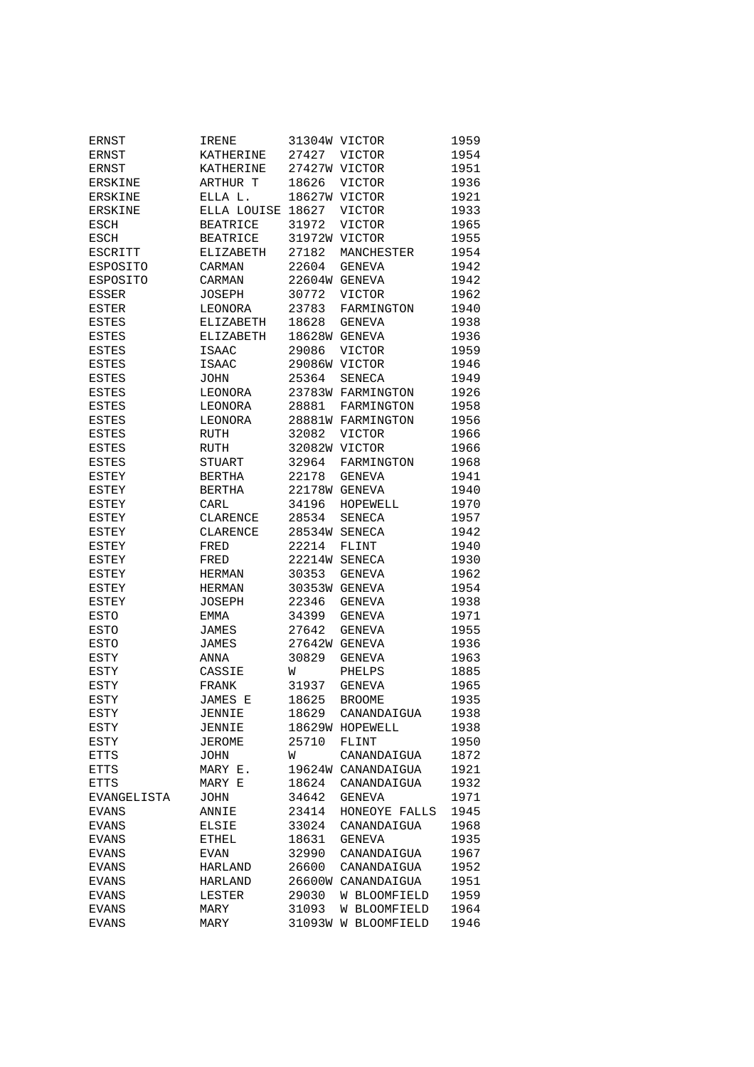| ERNST           | <b>IRENE</b>    |               | 31304W VICTOR     | 1959 |
|-----------------|-----------------|---------------|-------------------|------|
| ERNST           | KATHERINE       | 27427         | <b>VICTOR</b>     | 1954 |
| ERNST           | KATHERINE       |               | 27427W VICTOR     | 1951 |
| <b>ERSKINE</b>  | ARTHUR T        | 18626         | <b>VICTOR</b>     | 1936 |
| ERSKINE         | ELLA L.         | 18627W VICTOR |                   | 1921 |
| <b>ERSKINE</b>  | ELLA LOUISE     | 18627         | <b>VICTOR</b>     | 1933 |
| <b>ESCH</b>     | <b>BEATRICE</b> | 31972         | <b>VICTOR</b>     | 1965 |
| ESCH            | <b>BEATRICE</b> | 31972W        | <b>VICTOR</b>     | 1955 |
| ESCRITT         | ELIZABETH       | 27182         | MANCHESTER        | 1954 |
| <b>ESPOSITO</b> | CARMAN          | 22604         | <b>GENEVA</b>     | 1942 |
| <b>ESPOSITO</b> | CARMAN          | 22604W        | GENEVA            | 1942 |
| <b>ESSER</b>    | <b>JOSEPH</b>   | 30772         | <b>VICTOR</b>     | 1962 |
| <b>ESTER</b>    | LEONORA         | 23783         | FARMINGTON        | 1940 |
| <b>ESTES</b>    | ELIZABETH       | 18628         | GENEVA            | 1938 |
| <b>ESTES</b>    | ELIZABETH       |               | 18628W GENEVA     | 1936 |
| <b>ESTES</b>    | <b>ISAAC</b>    | 29086         | <b>VICTOR</b>     | 1959 |
| <b>ESTES</b>    | <b>ISAAC</b>    |               | 29086W VICTOR     | 1946 |
| <b>ESTES</b>    | <b>JOHN</b>     | 25364         | SENECA            | 1949 |
| <b>ESTES</b>    | LEONORA         |               | 23783W FARMINGTON | 1926 |
| <b>ESTES</b>    | LEONORA         | 28881         | FARMINGTON        | 1958 |
| <b>ESTES</b>    | LEONORA         |               | 28881W FARMINGTON | 1956 |
| ESTES           | RUTH            | 32082         | <b>VICTOR</b>     | 1966 |
| <b>ESTES</b>    | <b>RUTH</b>     |               | 32082W VICTOR     | 1966 |
| <b>ESTES</b>    | <b>STUART</b>   | 32964         | FARMINGTON        | 1968 |
| ESTEY           | <b>BERTHA</b>   | 22178         | <b>GENEVA</b>     | 1941 |
| ESTEY           | <b>BERTHA</b>   |               | 22178W GENEVA     | 1940 |
| ESTEY           | CARL            | 34196         | HOPEWELL          | 1970 |
| ESTEY           | CLARENCE        | 28534         | SENECA            | 1957 |
| <b>ESTEY</b>    | CLARENCE        | 28534W        | SENECA            | 1942 |
| ESTEY           | FRED            | 22214         | FLINT             | 1940 |
| ESTEY           | FRED            | 22214W        | SENECA            | 1930 |
| <b>ESTEY</b>    | <b>HERMAN</b>   | 30353         | <b>GENEVA</b>     | 1962 |
| ESTEY           | HERMAN          | 30353W        | <b>GENEVA</b>     | 1954 |
| ESTEY           | <b>JOSEPH</b>   | 22346         | <b>GENEVA</b>     | 1938 |
| <b>ESTO</b>     | <b>EMMA</b>     | 34399         | GENEVA            | 1971 |
| ESTO            | JAMES           | 27642         | GENEVA            | 1955 |
| ESTO            | JAMES           | 27642W        | <b>GENEVA</b>     | 1936 |
| ESTY            | <b>ANNA</b>     | 30829         | <b>GENEVA</b>     | 1963 |
| ESTY            | CASSIE          | W             | PHELPS            | 1885 |
| <b>ESTY</b>     | FRANK           | 31937         | <b>GENEVA</b>     | 1965 |
| <b>ESTY</b>     | JAMES E         | 18625         | BROOME            | 1935 |
| ESTY            | JENNIE          | 18629         | CANANDAIGUA       | 1938 |
| ESTY            | JENNIE          | 18629W        | HOPEWELL          | 1938 |
| ESTY            | JEROME          | 25710         | FLINT             | 1950 |
| ETTS            | JOHN            | W             | CANANDAIGUA       | 1872 |
| ETTS            | MARY E.         | 19624W        | CANANDAIGUA       | 1921 |
| <b>ETTS</b>     | MARY E          | 18624         | CANANDAIGUA       | 1932 |
| EVANGELISTA     | JOHN            | 34642         | GENEVA            | 1971 |
| <b>EVANS</b>    | ANNIE           | 23414         | HONEOYE FALLS     | 1945 |
| EVANS           | ELSIE           | 33024         | CANANDAIGUA       | 1968 |
| EVANS           | ETHEL           | 18631         | GENEVA            | 1935 |
| EVANS           | EVAN            | 32990         | CANANDAIGUA       | 1967 |
| EVANS           | HARLAND         | 26600         | CANANDAIGUA       | 1952 |
| EVANS           | HARLAND         | 26600W        | CANANDAIGUA       | 1951 |
| EVANS           | LESTER          | 29030         | W BLOOMFIELD      | 1959 |
| EVANS           | MARY            | 31093         | W BLOOMFIELD      | 1964 |
| EVANS           | MARY            | 31093W        | W BLOOMFIELD      | 1946 |
|                 |                 |               |                   |      |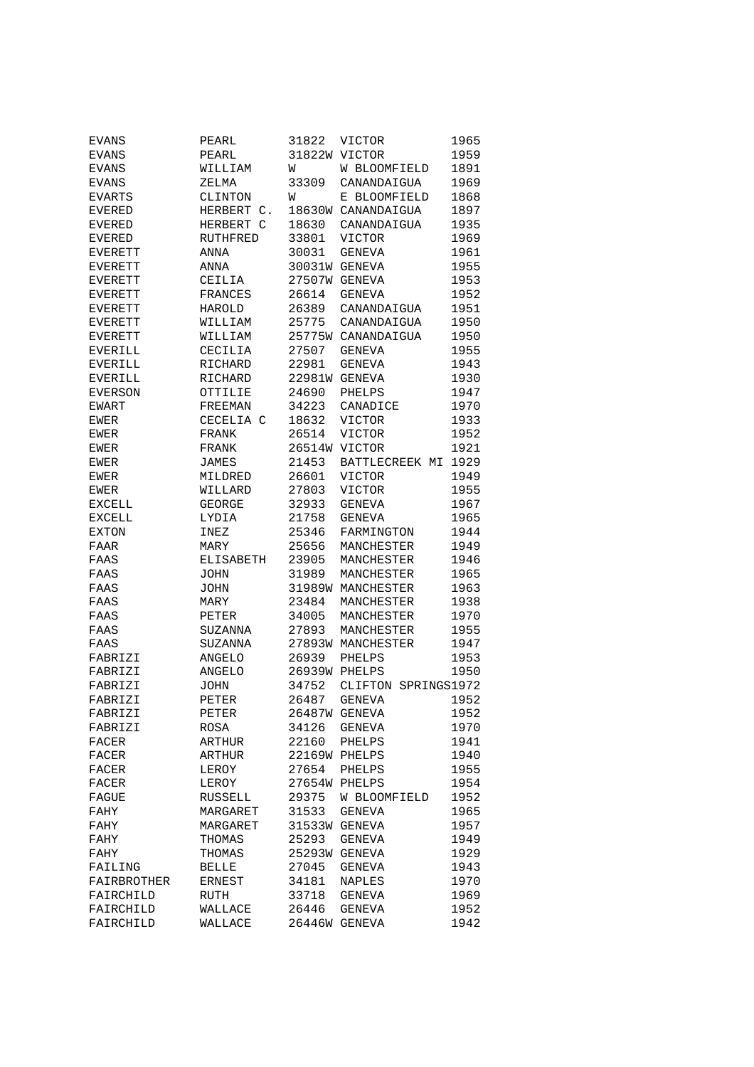| <b>EVANS</b>   | PEARL                | 31822                  | VICTOR              | 1965         |
|----------------|----------------------|------------------------|---------------------|--------------|
| <b>EVANS</b>   | PEARL                | 31822W                 | <b>VICTOR</b>       | 1959         |
| <b>EVANS</b>   | WILLIAM              | M                      | W BLOOMFIELD        | 1891         |
| <b>EVANS</b>   | ZELMA                | 33309                  | CANANDAIGUA         | 1969         |
| <b>EVARTS</b>  | CLINTON              | W                      | E BLOOMFIELD        | 1868         |
| <b>EVERED</b>  | <b>HERBERT</b><br>С. | 18630W                 | CANANDAIGUA         | 1897         |
| <b>EVERED</b>  | <b>HERBERT</b><br>C  | 18630                  | CANANDAIGUA         | 1935         |
| <b>EVERED</b>  | RUTHFRED             | 33801                  | VICTOR              | 1969         |
| <b>EVERETT</b> | ANNA                 | 30031                  | <b>GENEVA</b>       | 1961         |
| <b>EVERETT</b> | ANNA                 | 30031W                 | <b>GENEVA</b>       | 1955         |
| <b>EVERETT</b> | CEILIA               | 27507W                 | <b>GENEVA</b>       | 1953         |
| <b>EVERETT</b> | FRANCES              | 26614                  | <b>GENEVA</b>       | 1952         |
| <b>EVERETT</b> | <b>HAROLD</b>        | 26389                  | CANANDAIGUA         | 1951         |
| <b>EVERETT</b> | WILLIAM              | 25775                  | CANANDAIGUA         | 1950         |
| <b>EVERETT</b> | WILLIAM              | 25775W                 | CANANDAIGUA         | 1950         |
| EVERILL        | CECILIA              | 27507                  | <b>GENEVA</b>       | 1955         |
| EVERILL        | RICHARD              | 22981                  | GENEVA              | 1943         |
| <b>EVERILL</b> | RICHARD              | 22981W                 | <b>GENEVA</b>       | 1930         |
| <b>EVERSON</b> | OTTILIE              | 24690                  | PHELPS              | 1947         |
| EWART          | FREEMAN              | 34223                  | CANADICE            | 1970         |
| EWER           | CECELIA C            | 18632                  | <b>VICTOR</b>       | 1933         |
| EWER           | FRANK                | 26514                  | <b>VICTOR</b>       | 1952         |
| <b>EWER</b>    | <b>FRANK</b>         | 26514W                 | <b>VICTOR</b>       | 1921         |
| EWER           | JAMES                | 21453                  | BATTLECREEK MI      | 1929         |
| EWER           | MILDRED              | 26601                  | <b>VICTOR</b>       | 1949         |
| EWER           | WILLARD              | 27803                  | <b>VICTOR</b>       | 1955         |
| <b>EXCELL</b>  | <b>GEORGE</b>        | 32933                  | GENEVA              | 1967         |
| <b>EXCELL</b>  | LYDIA                | 21758                  | <b>GENEVA</b>       | 1965         |
| <b>EXTON</b>   | INEZ                 | 25346                  | FARMINGTON          | 1944         |
| FAAR           | MARY                 | 25656                  | MANCHESTER          | 1949         |
| FAAS           | <b>ELISABETH</b>     | 23905                  | MANCHESTER          | 1946         |
| FAAS           | JOHN                 | 31989                  | MANCHESTER          | 1965         |
| FAAS           | JOHN                 | 31989W                 | MANCHESTER          | 1963         |
| FAAS           | MARY                 | 23484                  | MANCHESTER          | 1938         |
| FAAS           | PETER                | 34005                  | MANCHESTER          | 1970         |
| FAAS           | SUZANNA              | 27893                  | MANCHESTER          | 1955         |
| FAAS           | SUZANNA              | 27893W                 | MANCHESTER          | 1947         |
| FABRIZI        | ANGELO               | 26939                  | PHELPS              | 1953         |
| FABRIZI        | ANGELO               | 26939W                 | PHELPS              | 1950         |
| FABRIZI        | JOHN                 | 34752                  | CLIFTON SPRINGS1972 |              |
| FABRIZI        | PETER                | 26487                  | <b>GENEVA</b>       | 1952         |
| FABRIZI        |                      | 26487W GENEVA          |                     | 1952         |
| FABRIZI        | PETER<br>ROSA        | 34126                  | <b>GENEVA</b>       | 1970         |
|                | ARTHUR               |                        |                     |              |
| FACER          | ARTHUR               | 22160<br>22169W PHELPS | PHELPS              | 1941<br>1940 |
| FACER<br>FACER |                      | 27654                  | PHELPS              | 1955         |
|                | LEROY                |                        |                     | 1954         |
| FACER          | LEROY                | 27654W                 | PHELPS              |              |
| FAGUE          | <b>RUSSELL</b>       | 29375                  | W BLOOMFIELD        | 1952         |
| FAHY           | MARGARET             | 31533                  | GENEVA              | 1965         |
| FAHY           | MARGARET             | 31533W                 | GENEVA              | 1957         |
| FAHY           | THOMAS               | 25293                  | GENEVA              | 1949         |
| FAHY           | THOMAS               | 25293W                 | <b>GENEVA</b>       | 1929         |
| FAILING        | <b>BELLE</b>         | 27045                  | GENEVA              | 1943         |
| FAIRBROTHER    | ERNEST               | 34181                  | NAPLES              | 1970         |
| FAIRCHILD      | RUTH                 | 33718                  | GENEVA              | 1969         |
| FAIRCHILD      | WALLACE              | 26446                  | GENEVA              | 1952         |
| FAIRCHILD      | WALLACE              | 26446W GENEVA          |                     | 1942         |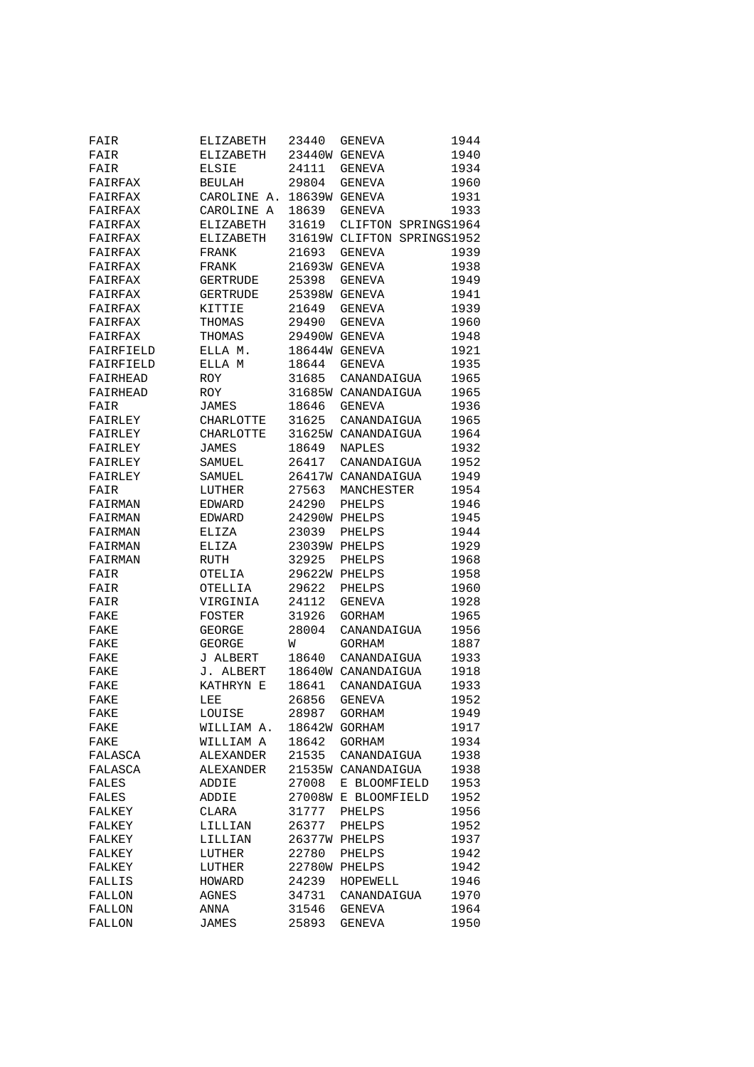| FAIR          | ELIZABETH        | 23440         | GENEVA                     | 1944 |
|---------------|------------------|---------------|----------------------------|------|
| FAIR          | <b>ELIZABETH</b> | 23440W        | <b>GENEVA</b>              | 1940 |
| FAIR          | ELSIE            | 24111         | GENEVA                     | 1934 |
| FAIRFAX       | <b>BEULAH</b>    | 29804         | GENEVA                     | 1960 |
| FAIRFAX       | CAROLINE A.      | 18639W        | <b>GENEVA</b>              | 1931 |
| FAIRFAX       | CAROLINE A       | 18639         | GENEVA                     | 1933 |
| FAIRFAX       | ELIZABETH        | 31619         | CLIFTON SPRINGS1964        |      |
| FAIRFAX       | ELIZABETH        |               | 31619W CLIFTON SPRINGS1952 |      |
| FAIRFAX       | FRANK            | 21693         | GENEVA                     | 1939 |
| FAIRFAX       | FRANK            | 21693W        | GENEVA                     | 1938 |
| FAIRFAX       | GERTRUDE         | 25398         | GENEVA                     | 1949 |
| FAIRFAX       | <b>GERTRUDE</b>  | 25398W        | GENEVA                     | 1941 |
| FAIRFAX       | KITTIE           | 21649         | <b>GENEVA</b>              | 1939 |
| FAIRFAX       | THOMAS           | 29490         | <b>GENEVA</b>              | 1960 |
| FAIRFAX       | THOMAS           |               | 29490W GENEVA              | 1948 |
| FAIRFIELD     | ELLA M.          | 18644W        | <b>GENEVA</b>              | 1921 |
| FAIRFIELD     | ELLA M           | 18644         | GENEVA                     | 1935 |
| FAIRHEAD      | ROY              | 31685         | CANANDAIGUA                | 1965 |
| FAIRHEAD      | ROY              |               | 31685W CANANDAIGUA         | 1965 |
| FAIR          | JAMES            | 18646         | <b>GENEVA</b>              | 1936 |
| FAIRLEY       | CHARLOTTE        | 31625         | CANANDAIGUA                | 1965 |
| FAIRLEY       | CHARLOTTE        | 31625W        | CANANDAIGUA                | 1964 |
| FAIRLEY       | JAMES            | 18649         | <b>NAPLES</b>              | 1932 |
| FAIRLEY       | SAMUEL           | 26417         | CANANDAIGUA                | 1952 |
| FAIRLEY       | SAMUEL           | 26417W        | CANANDAIGUA                | 1949 |
| FAIR          | LUTHER           | 27563         | MANCHESTER                 | 1954 |
| FAIRMAN       | EDWARD           | 24290         | PHELPS                     | 1946 |
| FAIRMAN       | EDWARD           | 24290W        | PHELPS                     | 1945 |
| FAIRMAN       | ELIZA            | 23039         | PHELPS                     | 1944 |
| FAIRMAN       | ELIZA            | 23039W        | PHELPS                     | 1929 |
| FAIRMAN       | RUTH             | 32925         | PHELPS                     | 1968 |
| FAIR          | OTELIA           | 29622W        | PHELPS                     | 1958 |
| FAIR          | OTELLIA          | 29622         | PHELPS                     | 1960 |
| FAIR          | VIRGINIA         | 24112         | GENEVA                     | 1928 |
| FAKE          | FOSTER           | 31926         | GORHAM                     | 1965 |
| FAKE          | GEORGE           | 28004         | CANANDAIGUA                | 1956 |
| FAKE          | GEORGE           | W             | GORHAM                     | 1887 |
| FAKE          | J ALBERT         | 18640         | CANANDAIGUA                | 1933 |
| FAKE          | J. ALBERT        |               | 18640W CANANDAIGUA         | 1918 |
| FAKE          | KATHRYN E        | 18641         | CANANDAIGUA                | 1933 |
| FAKE          | LEE              | 26856         | <b>GENEVA</b>              | 1952 |
| FAKE          | LOUISE           | 28987         | GORHAM                     | 1949 |
| FAKE          | WILLIAM A.       | 18642W        | GORHAM                     | 1917 |
| FAKE          | WILLIAM A        | 18642         | GORHAM                     | 1934 |
| FALASCA       | ALEXANDER        | 21535         | CANANDAIGUA                | 1938 |
| FALASCA       | ALEXANDER        |               | 21535W CANANDAIGUA         | 1938 |
| FALES         | ADDIE            | 27008         | E BLOOMFIELD               | 1953 |
| FALES         | ADDIE            | 27008W        | E BLOOMFIELD               | 1952 |
| FALKEY        | CLARA            | 31777         | PHELPS                     | 1956 |
| FALKEY        | LILLIAN          | 26377         | PHELPS                     | 1952 |
| FALKEY        | LILLIAN          | 26377W PHELPS |                            | 1937 |
| FALKEY        | LUTHER           | 22780         | PHELPS                     | 1942 |
| FALKEY        | LUTHER           | 22780W        | PHELPS                     | 1942 |
| FALLIS        | HOWARD           | 24239         | HOPEWELL                   | 1946 |
| FALLON        | AGNES            | 34731         | CANANDAIGUA                | 1970 |
| FALLON        | ANNA             | 31546         | GENEVA                     | 1964 |
| <b>FALLON</b> | <b>JAMES</b>     | 25893         | GENEVA                     | 1950 |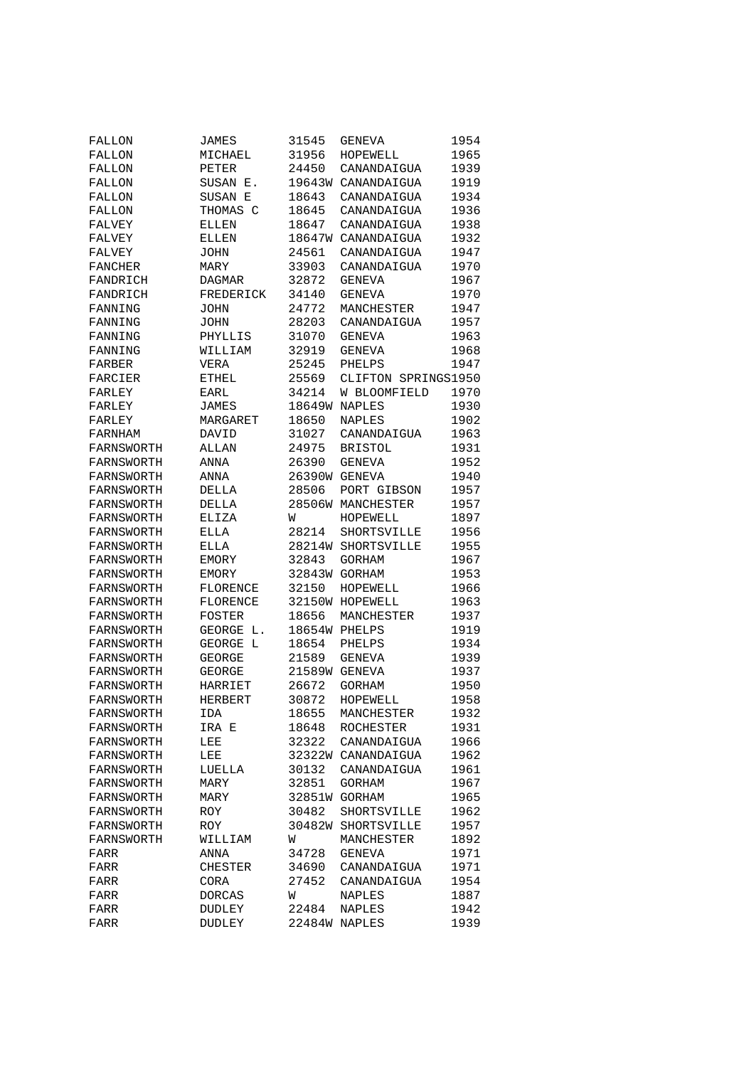| FALLON        | JAMES           | 31545         | GENEVA              | 1954 |
|---------------|-----------------|---------------|---------------------|------|
| FALLON        | MICHAEL         | 31956         | HOPEWELL            | 1965 |
| FALLON        | PETER           | 24450         | CANANDAIGUA         | 1939 |
| FALLON        | SUSAN E.        | 19643W        | CANANDAIGUA         | 1919 |
| FALLON        | SUSAN<br>E      | 18643         | CANANDAIGUA         | 1934 |
| FALLON        | THOMAS C        | 18645         | CANANDAIGUA         | 1936 |
| FALVEY        | ELLEN           | 18647         | CANANDAIGUA         | 1938 |
| <b>FALVEY</b> | <b>ELLEN</b>    | 18647W        | CANANDAIGUA         | 1932 |
| FALVEY        | JOHN            | 24561         | CANANDAIGUA         | 1947 |
| FANCHER       | MARY            | 33903         | CANANDAIGUA         | 1970 |
| FANDRICH      | DAGMAR          | 32872         | <b>GENEVA</b>       | 1967 |
| FANDRICH      | FREDERICK       | 34140         | <b>GENEVA</b>       | 1970 |
| FANNING       | JOHN            | 24772         | MANCHESTER          | 1947 |
| FANNING       | JOHN            | 28203         | CANANDAIGUA         | 1957 |
| FANNING       | PHYLLIS         | 31070         | <b>GENEVA</b>       | 1963 |
| FANNING       | WILLIAM         | 32919         | <b>GENEVA</b>       | 1968 |
| FARBER        | VERA            | 25245         | PHELPS              | 1947 |
| FARCIER       | ETHEL           | 25569         | CLIFTON SPRINGS1950 |      |
| FARLEY        | EARL            | 34214         | W BLOOMFIELD        | 1970 |
| FARLEY        | JAMES           | 18649W        | NAPLES              | 1930 |
| FARLEY        | MARGARET        | 18650         | NAPLES              | 1902 |
| FARNHAM       | DAVID           | 31027         | CANANDAIGUA         | 1963 |
| FARNSWORTH    | ALLAN           | 24975         | <b>BRISTOL</b>      | 1931 |
| FARNSWORTH    | ANNA            | 26390         | GENEVA              | 1952 |
| FARNSWORTH    | ANNA            | 26390W        | <b>GENEVA</b>       | 1940 |
| FARNSWORTH    | DELLA           | 28506         | PORT GIBSON         | 1957 |
| FARNSWORTH    | DELLA           | 28506W        | MANCHESTER          | 1957 |
| FARNSWORTH    | ELIZA           | W             | HOPEWELL            | 1897 |
| FARNSWORTH    | ELLA            | 28214         | SHORTSVILLE         | 1956 |
| FARNSWORTH    | ELLA            | 28214W        | SHORTSVILLE         | 1955 |
| FARNSWORTH    | EMORY           | 32843         | GORHAM              | 1967 |
| FARNSWORTH    | <b>EMORY</b>    | 32843W        | GORHAM              | 1953 |
| FARNSWORTH    | FLORENCE        | 32150         | HOPEWELL            | 1966 |
| FARNSWORTH    | <b>FLORENCE</b> | 32150W        | HOPEWELL            | 1963 |
| FARNSWORTH    | FOSTER          | 18656         | MANCHESTER          | 1937 |
| FARNSWORTH    | GEORGE<br>L.    | 18654W        | PHELPS              | 1919 |
| FARNSWORTH    | GEORGE<br>L     | 18654         | PHELPS              | 1934 |
| FARNSWORTH    | GEORGE          | 21589         | GENEVA              | 1939 |
| FARNSWORTH    | GEORGE          | 21589W        | GENEVA              | 1937 |
| FARNSWORTH    | <b>HARRIET</b>  | 26672         | GORHAM              | 1950 |
| FARNSWORTH    | <b>HERBERT</b>  | 30872         | HOPEWELL            | 1958 |
| FARNSWORTH    | IDA             | 18655         | MANCHESTER          | 1932 |
| FARNSWORTH    | IRA E           | 18648         | <b>ROCHESTER</b>    | 1931 |
| FARNSWORTH    | LEE             | 32322         | CANANDAIGUA         | 1966 |
| FARNSWORTH    | LEE             |               | 32322W CANANDAIGUA  | 1962 |
| FARNSWORTH    | LUELLA          | 30132         | CANANDAIGUA         | 1961 |
| FARNSWORTH    | MARY            | 32851         | GORHAM              | 1967 |
| FARNSWORTH    | MARY            | 32851W        | GORHAM              | 1965 |
| FARNSWORTH    | ROY             | 30482         | SHORTSVILLE         | 1962 |
| FARNSWORTH    | ROY             | 30482W        | SHORTSVILLE         | 1957 |
| FARNSWORTH    | WILLIAM         | W             | MANCHESTER          | 1892 |
| FARR          | ANNA            | 34728         | GENEVA              | 1971 |
| FARR          | CHESTER         | 34690         | CANANDAIGUA         | 1971 |
| FARR          | CORA            | 27452         | CANANDAIGUA         | 1954 |
| FARR          | DORCAS          | W             | NAPLES              | 1887 |
| FARR          | DUDLEY          | 22484         | NAPLES              | 1942 |
| FARR          | <b>DUDLEY</b>   | 22484W NAPLES |                     | 1939 |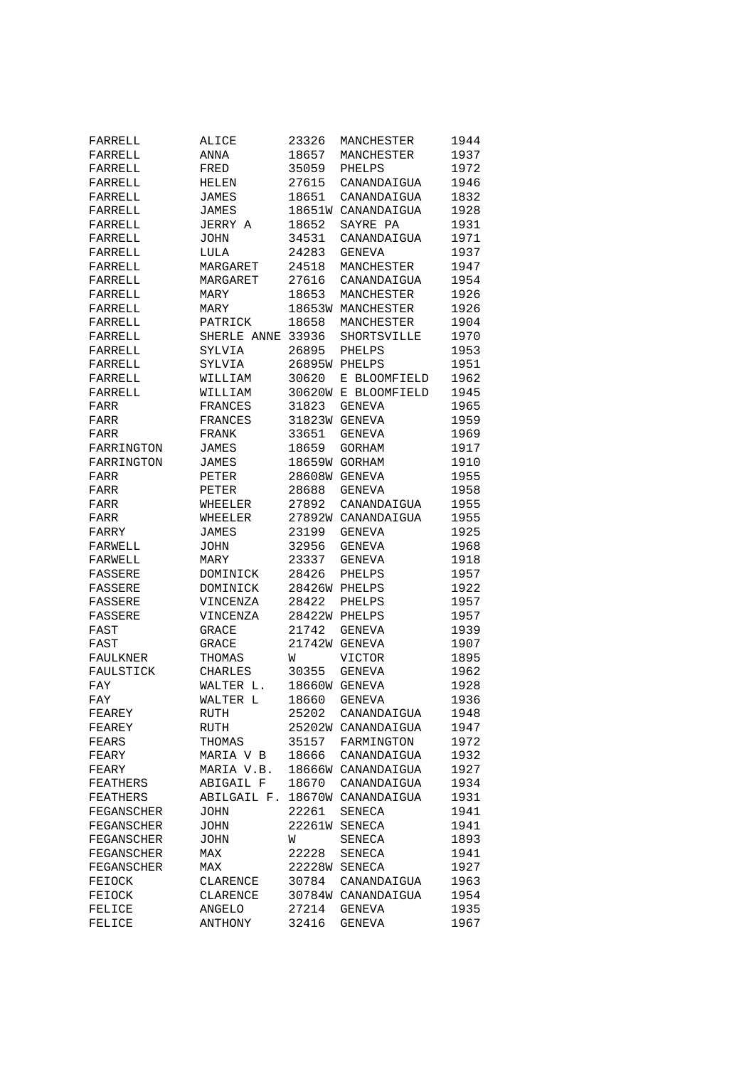| FARRELL     | ALICE          | 23326  | MANCHESTER         | 1944 |
|-------------|----------------|--------|--------------------|------|
| FARRELL     | ANNA           | 18657  | MANCHESTER         | 1937 |
| FARRELL     | FRED           | 35059  | PHELPS             | 1972 |
| FARRELL     | HELEN          | 27615  | CANANDAIGUA        | 1946 |
| FARRELL     | JAMES          | 18651  | CANANDAIGUA        | 1832 |
| FARRELL     | <b>JAMES</b>   | 18651W | CANANDAIGUA        | 1928 |
| FARRELL     | JERRY A        | 18652  | SAYRE PA           | 1931 |
| FARRELL     | JOHN           | 34531  | CANANDAIGUA        | 1971 |
| FARRELL     | LULA           | 24283  | <b>GENEVA</b>      | 1937 |
| FARRELL     | MARGARET       | 24518  | MANCHESTER         | 1947 |
| FARRELL     | MARGARET       | 27616  | CANANDAIGUA        | 1954 |
| FARRELL     | MARY           | 18653  | MANCHESTER         | 1926 |
| FARRELL     | MARY           | 18653W | MANCHESTER         | 1926 |
| FARRELL     | PATRICK        | 18658  | MANCHESTER         | 1904 |
| FARRELL     | SHERLE ANNE    | 33936  | SHORTSVILLE        | 1970 |
| FARRELL     | SYLVIA         | 26895  | PHELPS             | 1953 |
| FARRELL     | SYLVIA         | 26895W | PHELPS             | 1951 |
| FARRELL     | WILLIAM        | 30620  | E BLOOMFIELD       | 1962 |
| FARRELL     | WILLIAM        | 30620W | E BLOOMFIELD       | 1945 |
| <b>FARR</b> | FRANCES        | 31823  | <b>GENEVA</b>      | 1965 |
| FARR        | <b>FRANCES</b> | 31823W | <b>GENEVA</b>      | 1959 |
| FARR        | FRANK          | 33651  | <b>GENEVA</b>      | 1969 |
|             |                | 18659  |                    | 1917 |
| FARRINGTON  | JAMES          | 18659W | GORHAM             | 1910 |
| FARRINGTON  | JAMES          |        | GORHAM             |      |
| FARR        | PETER          | 28608W | <b>GENEVA</b>      | 1955 |
| FARR        | PETER          | 28688  | <b>GENEVA</b>      | 1958 |
| FARR        | WHEELER        | 27892  | CANANDAIGUA        | 1955 |
| FARR        | WHEELER        | 27892W | CANANDAIGUA        | 1955 |
| FARRY       | JAMES          | 23199  | <b>GENEVA</b>      | 1925 |
| FARWELL     | JOHN           | 32956  | <b>GENEVA</b>      | 1968 |
| FARWELL     | MARY           | 23337  | <b>GENEVA</b>      | 1918 |
| FASSERE     | DOMINICK       | 28426  | PHELPS             | 1957 |
| FASSERE     | DOMINICK       | 28426W | PHELPS             | 1922 |
| FASSERE     | VINCENZA       | 28422  | PHELPS             | 1957 |
| FASSERE     | VINCENZA       | 28422W | PHELPS             | 1957 |
| FAST        | GRACE          | 21742  | GENEVA             | 1939 |
| FAST        | <b>GRACE</b>   | 21742W | <b>GENEVA</b>      | 1907 |
| FAULKNER    | THOMAS         | W      | VICTOR             | 1895 |
| FAULSTICK   | CHARLES        | 30355  | <b>GENEVA</b>      | 1962 |
| FAY         | WALTER L.      |        | 18660W GENEVA      | 1928 |
| FAY         | WALTER L       | 18660  | GENEVA             | 1936 |
| FEAREY      | RUTH           | 25202  | CANANDAIGUA        | 1948 |
| FEAREY      | RUTH           |        | 25202W CANANDAIGUA | 1947 |
| FEARS       | THOMAS         | 35157  | FARMINGTON         | 1972 |
| FEARY       | MARIA V B      | 18666  | CANANDAIGUA        | 1932 |
| FEARY       | MARIA V.B.     |        | 18666W CANANDAIGUA | 1927 |
| FEATHERS    | ABIGAIL F      | 18670  | CANANDAIGUA        | 1934 |
| FEATHERS    | ABILGAIL F.    |        | 18670W CANANDAIGUA | 1931 |
| FEGANSCHER  | <b>JOHN</b>    | 22261  | SENECA             | 1941 |
| FEGANSCHER  | JOHN           |        | 22261W SENECA      | 1941 |
| FEGANSCHER  | <b>JOHN</b>    | W      | SENECA             | 1893 |
| FEGANSCHER  | MAX            | 22228  | SENECA             | 1941 |
| FEGANSCHER  | MAX            |        | 22228W SENECA      | 1927 |
| FEIOCK      | CLARENCE       | 30784  | CANANDAIGUA        | 1963 |
| FEIOCK      | CLARENCE       |        | 30784W CANANDAIGUA | 1954 |
| FELICE      | ANGELO         | 27214  | GENEVA             | 1935 |
| FELICE      | <b>ANTHONY</b> | 32416  | <b>GENEVA</b>      | 1967 |
|             |                |        |                    |      |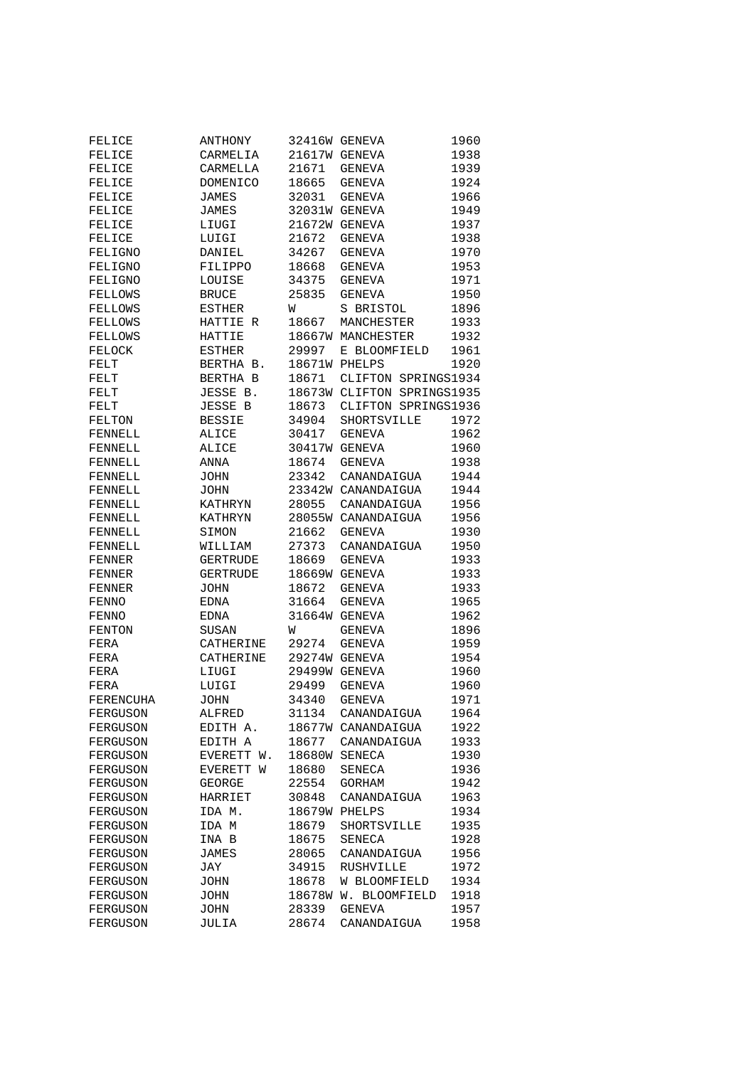| FELICE        | ANTHONY             | 32416W GENEVA |                            | 1960 |
|---------------|---------------------|---------------|----------------------------|------|
| FELICE        | CARMELIA            |               | 21617W GENEVA              | 1938 |
| FELICE        | CARMELLA            | 21671         | <b>GENEVA</b>              | 1939 |
| FELICE        | DOMENICO            | 18665         | GENEVA                     | 1924 |
| FELICE        | JAMES               | 32031         | <b>GENEVA</b>              | 1966 |
| FELICE        | JAMES               | 32031W        | <b>GENEVA</b>              | 1949 |
| FELICE        | LIUGI               | 21672W        | <b>GENEVA</b>              | 1937 |
| FELICE        | LUIGI               | 21672         | <b>GENEVA</b>              | 1938 |
| FELIGNO       | DANIEL              | 34267         | GENEVA                     | 1970 |
| FELIGNO       | FILIPPO             | 18668         | GENEVA                     | 1953 |
| FELIGNO       | LOUISE              | 34375         | GENEVA                     | 1971 |
| FELLOWS       | <b>BRUCE</b>        | 25835         | <b>GENEVA</b>              | 1950 |
| FELLOWS       | <b>ESTHER</b>       | W             | S BRISTOL                  | 1896 |
| FELLOWS       | HATTIE R            | 18667         | MANCHESTER                 | 1933 |
| FELLOWS       | HATTIE              |               | 18667W MANCHESTER          | 1932 |
| FELOCK        | <b>ESTHER</b>       | 29997         | E BLOOMFIELD               | 1961 |
| FELT          | BERTHA B.           | 18671W        | PHELPS                     | 1920 |
| FELT          | BERTHA B            | 18671         | CLIFTON SPRINGS1934        |      |
| FELT          | JESSE B.            |               | 18673W CLIFTON SPRINGS1935 |      |
| FELT          | <b>JESSE B</b>      | 18673         | CLIFTON SPRINGS1936        |      |
| FELTON        | <b>BESSIE</b>       | 34904         | SHORTSVILLE                | 1972 |
| FENNELL       | ALICE               | 30417         | <b>GENEVA</b>              | 1962 |
| FENNELL       | ALICE               | 30417W        | <b>GENEVA</b>              | 1960 |
| FENNELL       | ANNA                | 18674         | <b>GENEVA</b>              | 1938 |
| FENNELL       | JOHN                | 23342         | CANANDAIGUA                | 1944 |
| FENNELL       | JOHN                |               | 23342W CANANDAIGUA         | 1944 |
| FENNELL       | KATHRYN             | 28055         | CANANDAIGUA                | 1956 |
| FENNELL       | KATHRYN             | 28055W        | CANANDAIGUA                | 1956 |
| FENNELL       | SIMON               | 21662         | GENEVA                     | 1930 |
| FENNELL       | WILLIAM             | 27373         | CANANDAIGUA                | 1950 |
| FENNER        | GERTRUDE            | 18669         | <b>GENEVA</b>              | 1933 |
| FENNER        | GERTRUDE            | 18669W GENEVA |                            | 1933 |
| <b>FENNER</b> | JOHN                | 18672         | <b>GENEVA</b>              | 1933 |
| FENNO         | EDNA                | 31664         | GENEVA                     | 1965 |
| FENNO         | EDNA                | 31664W GENEVA |                            | 1962 |
| FENTON        | <b>SUSAN</b>        | W             | <b>GENEVA</b>              | 1896 |
| FERA          | CATHERINE           | 29274         | GENEVA                     | 1959 |
| FERA          | CATHERINE           | 29274W GENEVA |                            | 1954 |
| FERA          | LIUGI               | 29499W GENEVA |                            | 1960 |
| FERA          | LUIGI               | 29499         | <b>GENEVA</b>              | 1960 |
| FERENCUHA     | JOHN                | 34340         | <b>GENEVA</b>              | 1971 |
| FERGUSON      | ALFRED              | 31134         | CANANDAIGUA                | 1964 |
| FERGUSON      | EDITH A.            |               | 18677W CANANDAIGUA         | 1922 |
| FERGUSON      | EDITH A             | 18677         | CANANDAIGUA                | 1933 |
| FERGUSON      | EVERETT W.          | 18680W        | SENECA                     | 1930 |
| FERGUSON      | <b>EVERETT</b><br>W | 18680         | SENECA                     | 1936 |
| FERGUSON      | GEORGE              | 22554         | GORHAM                     | 1942 |
| FERGUSON      | HARRIET             | 30848         | CANANDAIGUA                | 1963 |
| FERGUSON      | IDA M.              | 18679W        | PHELPS                     | 1934 |
| FERGUSON      | IDA M               | 18679         | SHORTSVILLE                | 1935 |
| FERGUSON      | INA B               | 18675         | SENECA                     | 1928 |
| FERGUSON      | JAMES               | 28065         | CANANDAIGUA                | 1956 |
| FERGUSON      | JAY                 | 34915         | <b>RUSHVILLE</b>           | 1972 |
| FERGUSON      | JOHN                | 18678         | W BLOOMFIELD               | 1934 |
| FERGUSON      | JOHN                | 18678W        | W. BLOOMFIELD              | 1918 |
| FERGUSON      | JOHN                | 28339         | GENEVA                     | 1957 |
| FERGUSON      | JULIA               | 28674         | CANANDAIGUA                | 1958 |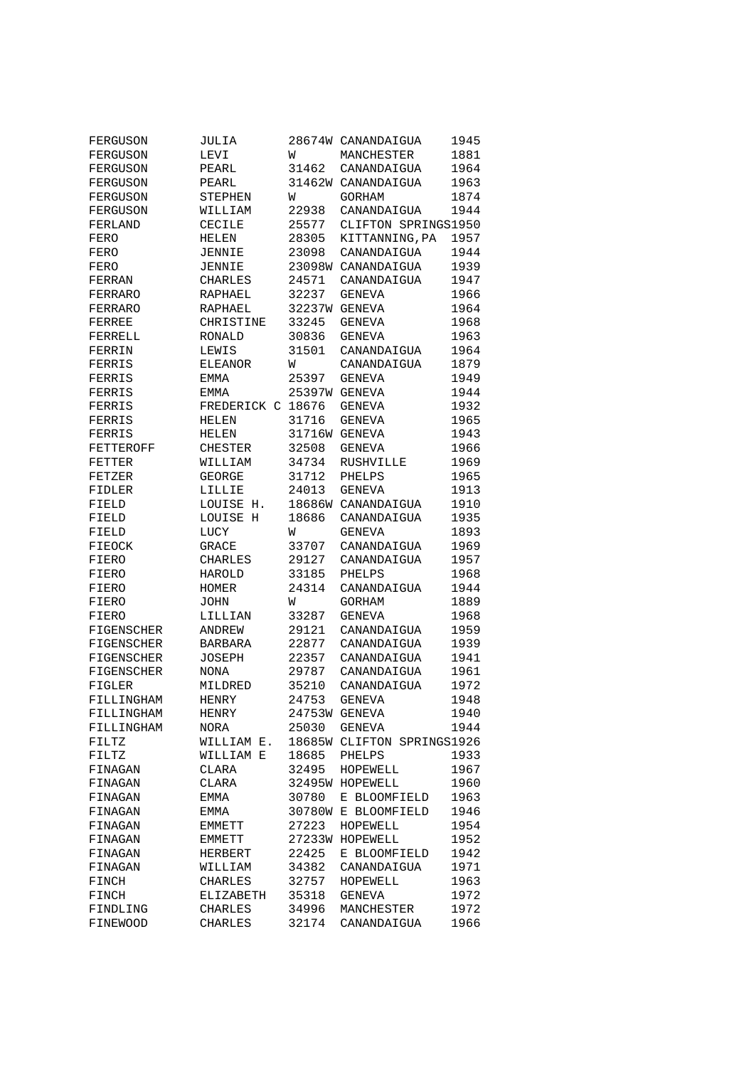| FERGUSON   | JULIA          |        | 28674W CANANDAIGUA         | 1945 |
|------------|----------------|--------|----------------------------|------|
| FERGUSON   | LEVI           | W      | MANCHESTER                 | 1881 |
| FERGUSON   | PEARL          | 31462  | CANANDAIGUA                | 1964 |
| FERGUSON   | PEARL          | 31462W | CANANDAIGUA                | 1963 |
| FERGUSON   | STEPHEN        | W      | <b>GORHAM</b>              | 1874 |
| FERGUSON   | WILLIAM        | 22938  | CANANDAIGUA                | 1944 |
| FERLAND    | CECILE         | 25577  | CLIFTON SPRINGS1950        |      |
| FERO       | <b>HELEN</b>   | 28305  | KITTANNING, PA             | 1957 |
| FERO       | JENNIE         | 23098  | CANANDAIGUA                | 1944 |
| FERO       | JENNIE         | 23098W | CANANDAIGUA                | 1939 |
| FERRAN     | <b>CHARLES</b> | 24571  | CANANDAIGUA                | 1947 |
| FERRARO    | <b>RAPHAEL</b> | 32237  | GENEVA                     | 1966 |
| FERRARO    | <b>RAPHAEL</b> | 32237W | GENEVA                     | 1964 |
| FERREE     | CHRISTINE      | 33245  | GENEVA                     | 1968 |
|            |                |        |                            |      |
| FERRELL    | RONALD         | 30836  | GENEVA                     | 1963 |
| FERRIN     | LEWIS          | 31501  | CANANDAIGUA                | 1964 |
| FERRIS     | <b>ELEANOR</b> | W      | CANANDAIGUA                | 1879 |
| FERRIS     | EMMA           | 25397  | GENEVA                     | 1949 |
| FERRIS     | EMMA           | 25397W | GENEVA                     | 1944 |
| FERRIS     | FREDERICK C    | 18676  | GENEVA                     | 1932 |
| FERRIS     | HELEN          | 31716  | <b>GENEVA</b>              | 1965 |
| FERRIS     | HELEN          | 31716W | GENEVA                     | 1943 |
| FETTEROFF  | <b>CHESTER</b> | 32508  | <b>GENEVA</b>              | 1966 |
| FETTER     | WILLIAM        | 34734  | RUSHVILLE                  | 1969 |
| FETZER     | GEORGE         | 31712  | PHELPS                     | 1965 |
| FIDLER     | LILLIE         | 24013  | GENEVA                     | 1913 |
| FIELD      | LOUISE H.      | 18686W | CANANDAIGUA                | 1910 |
| FIELD      | LOUISE<br>H    | 18686  | CANANDAIGUA                | 1935 |
| FIELD      | LUCY           | W      | GENEVA                     | 1893 |
| FIEOCK     | GRACE          | 33707  | CANANDAIGUA                | 1969 |
| FIERO      | <b>CHARLES</b> | 29127  | CANANDAIGUA                | 1957 |
| FIERO      |                | 33185  |                            | 1968 |
|            | HAROLD         | 24314  | PHELPS                     |      |
| FIERO      | HOMER          |        | CANANDAIGUA                | 1944 |
| FIERO      | JOHN           | W      | GORHAM                     | 1889 |
| FIERO      | LILLIAN        | 33287  | GENEVA                     | 1968 |
| FIGENSCHER | ANDREW         | 29121  | CANANDAIGUA                | 1959 |
| FIGENSCHER | BARBARA        | 22877  | CANANDAIGUA                | 1939 |
| FIGENSCHER | JOSEPH         | 22357  | CANANDAIGUA                | 1941 |
| FIGENSCHER | <b>NONA</b>    | 29787  | CANANDAIGUA                | 1961 |
| FIGLER     | MILDRED        | 35210  | CANANDAIGUA                | 1972 |
| FILLINGHAM | HENRY          | 24753  | GENEVA                     | 1948 |
| FILLINGHAM | HENRY          |        | 24753W GENEVA              | 1940 |
| FILLINGHAM | NORA           | 25030  | GENEVA                     | 1944 |
| FILTZ      | WILLIAM E.     |        | 18685W CLIFTON SPRINGS1926 |      |
| FILTZ      | WILLIAM E      | 18685  | PHELPS                     | 1933 |
| FINAGAN    | CLARA          | 32495  | HOPEWELL                   | 1967 |
| FINAGAN    | CLARA          |        | 32495W HOPEWELL            | 1960 |
| FINAGAN    | <b>EMMA</b>    | 30780  | E BLOOMFIELD               | 1963 |
| FINAGAN    | <b>EMMA</b>    | 30780W | E BLOOMFIELD               | 1946 |
| FINAGAN    | EMMETT         | 27223  | HOPEWELL                   | 1954 |
| FINAGAN    | EMMETT         | 27233W | HOPEWELL                   | 1952 |
| FINAGAN    | HERBERT        | 22425  | E BLOOMFIELD               | 1942 |
| FINAGAN    | WILLIAM        | 34382  | CANANDAIGUA                | 1971 |
| FINCH      | CHARLES        | 32757  |                            | 1963 |
|            |                |        | HOPEWELL                   |      |
| FINCH      | ELIZABETH      | 35318  | GENEVA                     | 1972 |
| FINDLING   | CHARLES        | 34996  | MANCHESTER                 | 1972 |
| FINEWOOD   | <b>CHARLES</b> | 32174  | CANANDAIGUA                | 1966 |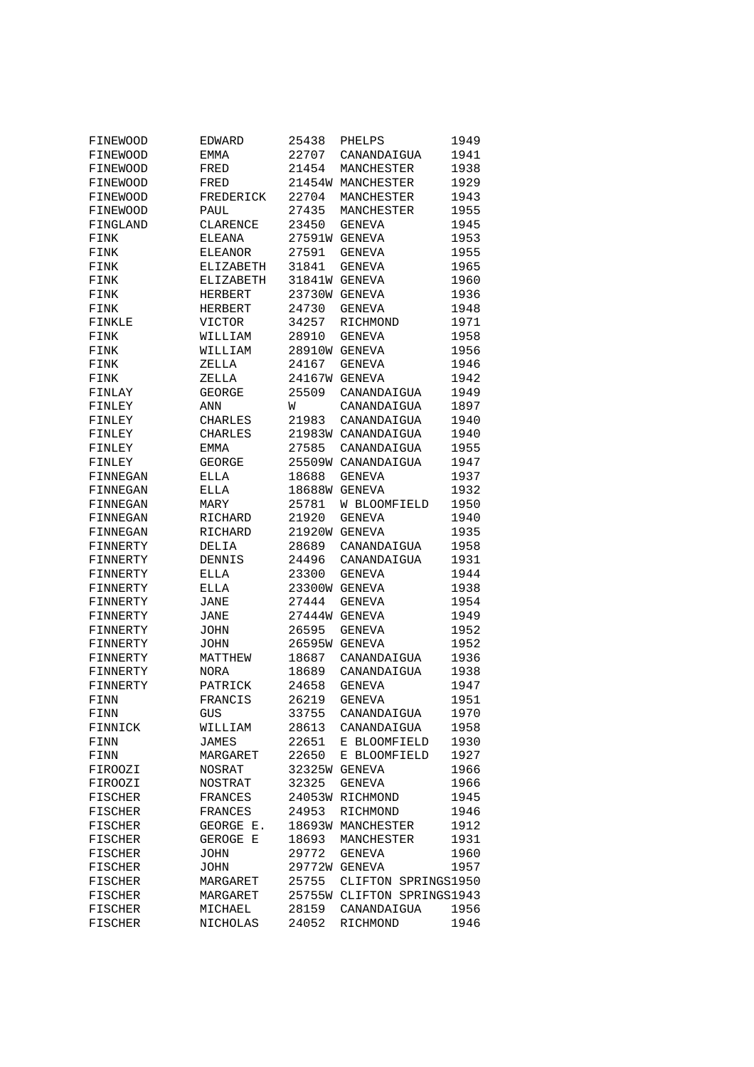| FINEWOOD         | EDWARD         | 25438           | PHELPS                     | 1949         |
|------------------|----------------|-----------------|----------------------------|--------------|
| <b>FINEWOOD</b>  | <b>EMMA</b>    | 22707           | CANANDAIGUA                | 1941         |
| FINEWOOD         | FRED           | 21454           | MANCHESTER                 | 1938         |
| FINEWOOD         | FRED           | 21454W          | MANCHESTER                 | 1929         |
| FINEWOOD         | FREDERICK      | 22704           | MANCHESTER                 | 1943         |
| FINEWOOD         | PAUL           | 27435           | MANCHESTER                 | 1955         |
| FINGLAND         | CLARENCE       | 23450           | GENEVA                     | 1945         |
| FINK             | ELEANA         | 27591W          | <b>GENEVA</b>              | 1953         |
| FINK             | <b>ELEANOR</b> | 27591           | <b>GENEVA</b>              | 1955         |
| FINK             | ELIZABETH      | 31841           | GENEVA                     | 1965         |
| <b>FINK</b>      | ELIZABETH      | 31841W          | <b>GENEVA</b>              | 1960         |
| FINK             | HERBERT        | 23730W          | <b>GENEVA</b>              | 1936         |
| FINK             | HERBERT        | 24730           | <b>GENEVA</b>              | 1948         |
| FINKLE           | VICTOR         | 34257           | RICHMOND                   | 1971         |
| FINK             | WILLIAM        | 28910           | <b>GENEVA</b>              | 1958         |
| FINK             | WILLIAM        | 28910W          | <b>GENEVA</b>              | 1956         |
| FINK             | ZELLA          | 24167           | GENEVA                     | 1946         |
| FINK             | ZELLA          | 24167W          | <b>GENEVA</b>              | 1942         |
| FINLAY           | GEORGE         | 25509           | CANANDAIGUA                | 1949         |
| FINLEY           | ANN            | W               | CANANDAIGUA                | 1897         |
|                  | CHARLES        | 21983           | CANANDAIGUA                | 1940         |
| FINLEY<br>FINLEY |                | 21983W          | CANANDAIGUA                | 1940         |
|                  | CHARLES        |                 |                            |              |
| FINLEY           | <b>EMMA</b>    | 27585<br>25509W | CANANDAIGUA                | 1955         |
| FINLEY           | GEORGE         |                 | CANANDAIGUA                | 1947         |
| FINNEGAN         | ELLA           | 18688           | <b>GENEVA</b>              | 1937         |
| FINNEGAN         | <b>ELLA</b>    | 18688W          | <b>GENEVA</b>              | 1932         |
| FINNEGAN         | MARY           | 25781           | W BLOOMFIELD               | 1950         |
| FINNEGAN         | RICHARD        | 21920           | <b>GENEVA</b>              | 1940         |
| FINNEGAN         | RICHARD        | 21920W          | <b>GENEVA</b>              | 1935         |
| FINNERTY         | DELIA          | 28689           | CANANDAIGUA                | 1958         |
| FINNERTY         | DENNIS         | 24496           | CANANDAIGUA                | 1931         |
| FINNERTY         | <b>ELLA</b>    | 23300           | <b>GENEVA</b>              | 1944         |
| FINNERTY         | ELLA           | 23300W          | <b>GENEVA</b>              | 1938         |
| FINNERTY         | JANE           | 27444           | <b>GENEVA</b>              | 1954         |
| FINNERTY         | JANE           | 27444W          | <b>GENEVA</b>              | 1949<br>1952 |
| FINNERTY         | JOHN           | 26595           | <b>GENEVA</b>              |              |
| FINNERTY         | JOHN           | 26595W          | GENEVA                     | 1952         |
| FINNERTY         | MATTHEW        | 18687<br>18689  | CANANDAIGUA                | 1936<br>1938 |
| FINNERTY         | NORA           |                 | CANANDAIGUA                |              |
| FINNERTY         | PATRICK        | 24658           | <b>GENEVA</b>              | 1947         |
| FINN             | FRANCIS        | 26219           | <b>GENEVA</b>              | 1951         |
| FINN             | GUS            | 33755           | CANANDAIGUA                | 1970         |
| FINNICK          | WILLIAM        | 28613           | CANANDAIGUA                | 1958         |
| FINN             | JAMES          | 22651           | E BLOOMFIELD               | 1930         |
| FINN             | MARGARET       | 22650           | E BLOOMFIELD               | 1927         |
| FIROOZI          | NOSRAT         | 32325W          | <b>GENEVA</b>              | 1966         |
| FIROOZI          | NOSTRAT        | 32325           | GENEVA                     | 1966         |
| FISCHER          | FRANCES        | 24053W          | RICHMOND                   | 1945         |
| FISCHER          | FRANCES        | 24953           | RICHMOND                   | 1946         |
| <b>FISCHER</b>   | GEORGE E.      |                 | 18693W MANCHESTER          | 1912         |
| FISCHER          | GEROGE E       | 18693           | MANCHESTER                 | 1931         |
| <b>FISCHER</b>   | JOHN           | 29772           | GENEVA                     | 1960         |
| FISCHER          | JOHN           |                 | 29772W GENEVA              | 1957         |
| FISCHER          | MARGARET       | 25755           | CLIFTON SPRINGS1950        |              |
| FISCHER          | MARGARET       |                 | 25755W CLIFTON SPRINGS1943 |              |
| FISCHER          | MICHAEL        | 28159           | CANANDAIGUA                | 1956         |
| FISCHER          | NICHOLAS       | 24052           | RICHMOND                   | 1946         |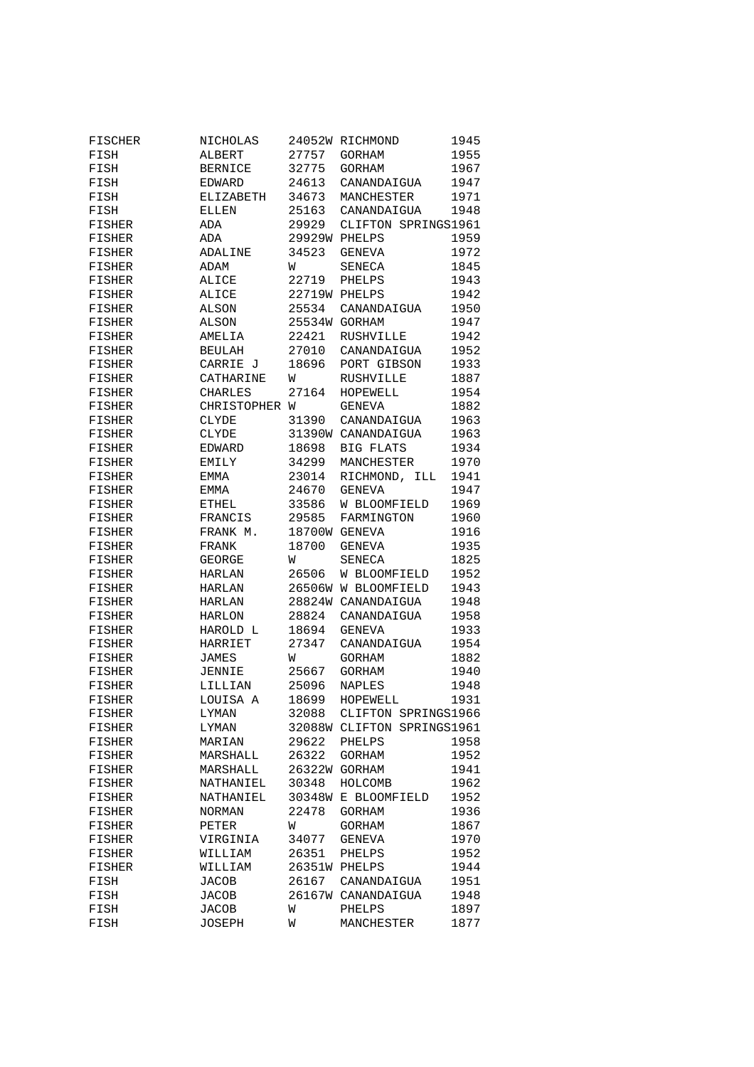| FISCHER       | NICHOLAS       | 24052W | RICHMOND            | 1945 |
|---------------|----------------|--------|---------------------|------|
| FISH          | <b>ALBERT</b>  | 27757  | GORHAM              | 1955 |
| FISH          | <b>BERNICE</b> | 32775  | GORHAM              | 1967 |
| FISH          | EDWARD         | 24613  | CANANDAIGUA         | 1947 |
| FISH          | ELIZABETH      | 34673  | MANCHESTER          | 1971 |
| FISH          | ELLEN          | 25163  | CANANDAIGUA         | 1948 |
| FISHER        | ADA            | 29929  | CLIFTON SPRINGS1961 |      |
| FISHER        | ADA            | 29929W | PHELPS              | 1959 |
| FISHER        | ADALINE        | 34523  | GENEVA              | 1972 |
| FISHER        | ADAM           | W      | SENECA              | 1845 |
| FISHER        | ALICE          | 22719  | PHELPS              | 1943 |
| FISHER        | ALICE          | 22719W | PHELPS              | 1942 |
| FISHER        | ALSON          | 25534  | CANANDAIGUA         | 1950 |
| FISHER        | <b>ALSON</b>   | 25534W | GORHAM              | 1947 |
| FISHER        | AMELIA         | 22421  | <b>RUSHVILLE</b>    | 1942 |
| FISHER        | <b>BEULAH</b>  | 27010  | CANANDAIGUA         | 1952 |
| FISHER        | CARRIE J       | 18696  | PORT GIBSON         | 1933 |
| FISHER        | CATHARINE      | W      | <b>RUSHVILLE</b>    | 1887 |
| FISHER        | CHARLES        | 27164  | HOPEWELL            | 1954 |
| FISHER        | CHRISTOPHER W  |        | <b>GENEVA</b>       | 1882 |
| FISHER        | <b>CLYDE</b>   | 31390  | CANANDAIGUA         | 1963 |
| FISHER        | CLYDE          | 31390W | CANANDAIGUA         | 1963 |
| FISHER        | EDWARD         | 18698  | <b>BIG FLATS</b>    | 1934 |
| FISHER        | EMILY          | 34299  | MANCHESTER          | 1970 |
| FISHER        | EMMA           | 23014  | RICHMOND, ILL       | 1941 |
| FISHER        | EMMA           | 24670  | <b>GENEVA</b>       | 1947 |
| FISHER        | ETHEL          | 33586  | W BLOOMFIELD        | 1969 |
| FISHER        | FRANCIS        | 29585  | FARMINGTON          | 1960 |
| FISHER        | FRANK M.       | 18700W | GENEVA              | 1916 |
| <b>FISHER</b> | FRANK          | 18700  | GENEVA              | 1935 |
| FISHER        | GEORGE         | W      | SENECA              | 1825 |
| FISHER        | HARLAN         | 26506  | W BLOOMFIELD        | 1952 |
| FISHER        | <b>HARLAN</b>  | 26506W | W BLOOMFIELD        | 1943 |
| FISHER        | HARLAN         | 28824W | CANANDAIGUA         | 1948 |
| FISHER        | HARLON         | 28824  | CANANDAIGUA         | 1958 |
| FISHER        | HAROLD L       | 18694  | GENEVA              | 1933 |
| FISHER        | HARRIET        | 27347  | CANANDAIGUA         | 1954 |
| FISHER        | JAMES          | W      | GORHAM              | 1882 |
| FISHER        | JENNIE         | 25667  | GORHAM              | 1940 |
| <b>FISHER</b> | LILLIAN        | 25096  | NAPLES              | 1948 |
| FISHER        | LOUISA A       | 18699  | HOPEWELL            | 1931 |
| FISHER        | LYMAN          | 32088  | CLIFTON SPRINGS1966 |      |
| FISHER        | LYMAN          | 32088W | CLIFTON SPRINGS1961 |      |
| FISHER        | MARIAN         | 29622  | PHELPS              | 1958 |
| FISHER        | MARSHALL       | 26322  | GORHAM              | 1952 |
| FISHER        | MARSHALL       | 26322W | GORHAM              | 1941 |
| FISHER        | NATHANIEL      | 30348  | HOLCOMB             | 1962 |
| FISHER        | NATHANIEL      | 30348W | E BLOOMFIELD        | 1952 |
| FISHER        | <b>NORMAN</b>  | 22478  | GORHAM              | 1936 |
| FISHER        | PETER          | W      | GORHAM              | 1867 |
| FISHER        | VIRGINIA       | 34077  | GENEVA              | 1970 |
| FISHER        | WILLIAM        | 26351  | PHELPS              | 1952 |
| FISHER        | WILLIAM        | 26351W | PHELPS              | 1944 |
| FISH          | JACOB          | 26167  | CANANDAIGUA         | 1951 |
| FISH          | JACOB          |        | 26167W CANANDAIGUA  | 1948 |
| FISH          | JACOB          | W      | PHELPS              | 1897 |
| FISH          | JOSEPH         | W      | MANCHESTER          | 1877 |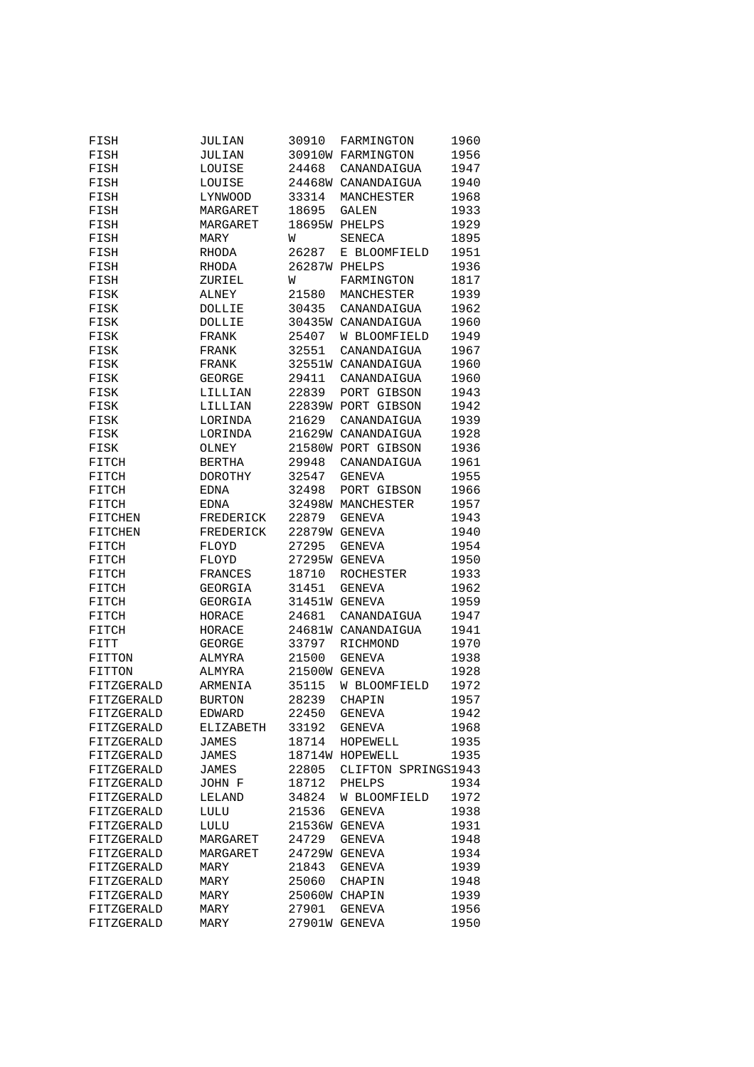| FISH           | JULIAN                   | 30910         | FARMINGTON          | 1960 |
|----------------|--------------------------|---------------|---------------------|------|
| FISH           | <b>JULIAN</b>            | 30910W        | FARMINGTON          | 1956 |
| FISH           | LOUISE                   | 24468         | CANANDAIGUA         | 1947 |
| $_{\tt{FISH}}$ | LOUISE                   | 24468W        | CANANDAIGUA         | 1940 |
| FISH           | LYNWOOD                  | 33314         | MANCHESTER          | 1968 |
| FISH           | MARGARET                 | 18695         | <b>GALEN</b>        | 1933 |
| FISH           | MARGARET                 | 18695W        | PHELPS              | 1929 |
| FISH           | MARY                     | W             | SENECA              | 1895 |
| FISH           | RHODA                    | 26287         | E BLOOMFIELD        | 1951 |
| FISH           | RHODA                    | 26287W        | PHELPS              | 1936 |
| FISH           | ZURIEL                   | W             | FARMINGTON          | 1817 |
| FISK           | ALNEY                    | 21580         | MANCHESTER          | 1939 |
| FISK           | DOLLIE                   | 30435         | CANANDAIGUA         | 1962 |
| FISK           | DOLLIE                   |               | 30435W CANANDAIGUA  | 1960 |
| FISK           | FRANK                    | 25407         | W BLOOMFIELD        | 1949 |
| FISK           | FRANK                    | 32551         | CANANDAIGUA         | 1967 |
| FISK           | <b>FRANK</b>             | 32551W        | CANANDAIGUA         | 1960 |
| FISK           | <b>GEORGE</b>            | 29411         | CANANDAIGUA         | 1960 |
| FISK           | LILLIAN                  | 22839         | PORT GIBSON         | 1943 |
| FISK           | LILLIAN                  | 22839W        | PORT GIBSON         | 1942 |
| FISK           | LORINDA                  | 21629         | CANANDAIGUA         | 1939 |
| FISK           | LORINDA                  | 21629W        | CANANDAIGUA         | 1928 |
| FISK           | OLNEY                    | 21580W        | PORT GIBSON         | 1936 |
| <b>FITCH</b>   | <b>BERTHA</b>            | 29948         | CANANDAIGUA         | 1961 |
| ${\tt FTTCH}$  | <b>DOROTHY</b>           | 32547         | <b>GENEVA</b>       | 1955 |
| FITCH          | EDNA                     | 32498         | PORT GIBSON         | 1966 |
| FITCH          | EDNA                     | 32498W        | MANCHESTER          | 1957 |
| FITCHEN        | FREDERICK                | 22879         | <b>GENEVA</b>       | 1943 |
| FITCHEN        | FREDERICK                | 22879W        | GENEVA              | 1940 |
| FITCH          | FLOYD                    | 27295         | <b>GENEVA</b>       | 1954 |
| ${\tt FTTCH}$  | FLOYD                    | 27295W        | GENEVA              | 1950 |
| FITCH          | FRANCES                  | 18710         | ROCHESTER           | 1933 |
| FITCH          | GEORGIA                  | 31451         | <b>GENEVA</b>       | 1962 |
| FITCH          | GEORGIA                  | 31451W        | <b>GENEVA</b>       | 1959 |
| FITCH          | HORACE                   | 24681         | CANANDAIGUA         | 1947 |
| FITCH          | HORACE                   | 24681W        | CANANDAIGUA         | 1941 |
|                |                          | 33797         | RICHMOND            | 1970 |
| FITT<br>FITTON | GEORGE<br>ALMYRA         | 21500         | <b>GENEVA</b>       | 1938 |
| <b>FITTON</b>  |                          | 21500W        | <b>GENEVA</b>       | 1928 |
|                | ALMYRA                   | 35115         |                     | 1972 |
| FITZGERALD     | ARMENIA<br><b>BURTON</b> | 28239         | W BLOOMFIELD        | 1957 |
| FITZGERALD     |                          |               | CHAPIN              |      |
| FITZGERALD     | EDWARD                   | 22450         | GENEVA              | 1942 |
| FITZGERALD     | ELIZABETH                | 33192         | GENEVA              | 1968 |
| FITZGERALD     | JAMES                    | 18714         | HOPEWELL            | 1935 |
| FITZGERALD     | <b>JAMES</b>             | 18714W        | HOPEWELL            | 1935 |
| FITZGERALD     | JAMES                    | 22805         | CLIFTON SPRINGS1943 |      |
| FITZGERALD     | JOHN F                   | 18712         | PHELPS              | 1934 |
| FITZGERALD     | LELAND                   | 34824         | W BLOOMFIELD        | 1972 |
| FITZGERALD     | LULU                     | 21536         | <b>GENEVA</b>       | 1938 |
| FITZGERALD     | LULU                     | 21536W        | <b>GENEVA</b>       | 1931 |
| FITZGERALD     | MARGARET                 | 24729         | GENEVA              | 1948 |
| FITZGERALD     | MARGARET                 | 24729W        | <b>GENEVA</b>       | 1934 |
| FITZGERALD     | MARY                     | 21843         | <b>GENEVA</b>       | 1939 |
| FITZGERALD     | MARY                     | 25060         | CHAPIN              | 1948 |
| FITZGERALD     | MARY                     | 25060W        | CHAPIN              | 1939 |
| FITZGERALD     | MARY                     | 27901         | GENEVA              | 1956 |
| FITZGERALD     | MARY                     | 27901W GENEVA |                     | 1950 |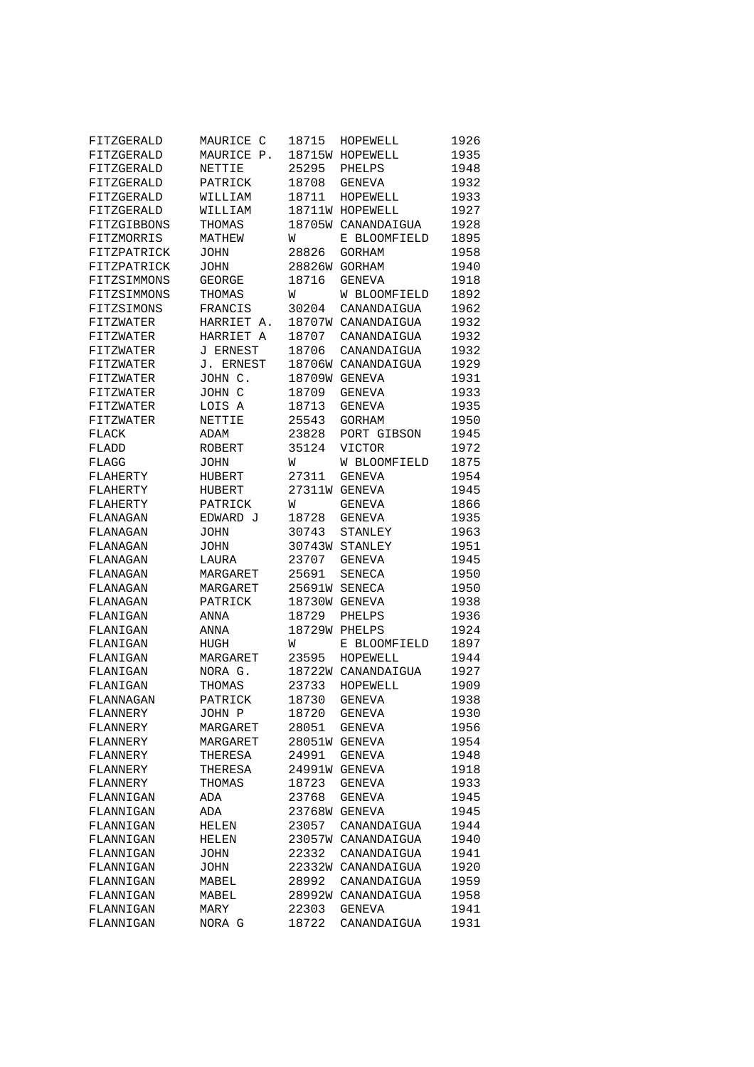| FITZGERALD             | MAURICE C           | 18715           | HOPEWELL                   | 1926         |
|------------------------|---------------------|-----------------|----------------------------|--------------|
| FITZGERALD             | MAURICE<br>$P$ .    | 18715W          | HOPEWELL                   | 1935         |
| FITZGERALD             | NETTIE              | 25295           | PHELPS                     | 1948         |
| FITZGERALD             | PATRICK             | 18708           | GENEVA                     | 1932         |
| FITZGERALD             | WILLIAM             | 18711           | HOPEWELL                   | 1933         |
| FITZGERALD             | WILLIAM             | 18711W          | HOPEWELL                   | 1927         |
| <b>FITZGIBBONS</b>     | THOMAS              | 18705W          | CANANDAIGUA                | 1928         |
| FITZMORRIS             | MATHEW              | W               | E BLOOMFIELD               | 1895         |
| FITZPATRICK            | JOHN                | 28826           | GORHAM                     | 1958         |
| FITZPATRICK            | JOHN                | 28826W          | GORHAM                     | 1940         |
| FITZSIMMONS            | GEORGE              | 18716           | GENEVA                     | 1918         |
| FITZSIMMONS            | THOMAS              | W               | W BLOOMFIELD               | 1892         |
| FITZSIMONS             | FRANCIS             | 30204           | CANANDAIGUA                | 1962         |
| FITZWATER              | HARRIET A.          | 18707W          | CANANDAIGUA                | 1932         |
| FITZWATER              | HARRIET A           | 18707           | CANANDAIGUA                | 1932         |
| FITZWATER              | ERNEST<br>J         | 18706           | CANANDAIGUA                | 1932         |
| FITZWATER              | <b>ERNEST</b><br>J. | 18706W          | CANANDAIGUA                | 1929         |
| FITZWATER              | JOHN<br>С.          | 18709W          | <b>GENEVA</b>              | 1931         |
| FITZWATER              | JOHN C              | 18709           | GENEVA                     | 1933         |
| FITZWATER              | LOIS A              | 18713           | <b>GENEVA</b>              | 1935         |
| FITZWATER              | NETTIE              | 25543           | <b>GORHAM</b>              | 1950         |
| <b>FLACK</b>           | ADAM                | 23828           | PORT GIBSON                | 1945         |
| FLADD                  | ROBERT              | 35124           | <b>VICTOR</b>              | 1972         |
| FLAGG                  | JOHN                | W               | W BLOOMFIELD               | 1875         |
| FLAHERTY               | HUBERT              | 27311           | <b>GENEVA</b>              | 1954         |
| FLAHERTY               | HUBERT              | 27311W          | <b>GENEVA</b>              | 1945         |
| FLAHERTY               | PATRICK             | M               | GENEVA                     | 1866         |
| FLANAGAN               | EDWARD J            | 18728           | GENEVA                     | 1935         |
| FLANAGAN               | JOHN                | 30743           | STANLEY                    | 1963         |
| FLANAGAN               | JOHN                | 30743W          | STANLEY                    | 1951         |
| FLANAGAN               | LAURA               | 23707           | GENEVA                     | 1945         |
| FLANAGAN               | MARGARET            | 25691           | SENECA                     | 1950         |
| FLANAGAN               | MARGARET            | 25691W          | SENECA                     | 1950         |
| FLANAGAN               | PATRICK             | 18730W          | <b>GENEVA</b>              | 1938         |
| FLANIGAN               | ANNA                | 18729           | PHELPS                     | 1936         |
| FLANIGAN               | ANNA                | 18729W          | PHELPS                     | 1924         |
| FLANIGAN               | HUGH                | W               | E BLOOMFIELD               | 1897         |
| FLANIGAN               | MARGARET            | 23595           | HOPEWELL                   | 1944         |
| FLANIGAN               | NORA G.             | 18722W          | CANANDAIGUA                | 1927         |
| FLANIGAN               | THOMAS              | 23733           | HOPEWELL                   | 1909         |
| FLANNAGAN              | PATRICK             | 18730           | <b>GENEVA</b>              | 1938         |
| FLANNERY               | JOHN P              | 18720           | GENEVA                     | 1930         |
| FLANNERY               | MARGARET            | 28051           | <b>GENEVA</b>              | 1956         |
| FLANNERY               | MARGARET            | 28051W          | GENEVA                     | 1954         |
| FLANNERY               | THERESA             | 24991           | <b>GENEVA</b>              | 1948         |
| FLANNERY               | THERESA             | 24991W          | <b>GENEVA</b>              | 1918         |
| FLANNERY               | THOMAS              | 18723           | <b>GENEVA</b>              | 1933         |
| FLANNIGAN              | ADA                 | 23768           | GENEVA                     | 1945         |
| FLANNIGAN              | ADA                 | 23768W<br>23057 | GENEVA                     | 1945         |
| FLANNIGAN              | HELEN               |                 | CANANDAIGUA                | 1944         |
| FLANNIGAN<br>FLANNIGAN | HELEN               | 23057W<br>22332 | CANANDAIGUA<br>CANANDAIGUA | 1940<br>1941 |
| FLANNIGAN              | JOHN                | 22332W          | CANANDAIGUA                | 1920         |
| FLANNIGAN              | JOHN<br>MABEL       | 28992           | CANANDAIGUA                | 1959         |
| FLANNIGAN              | MABEL               | 28992W          | CANANDAIGUA                | 1958         |
| FLANNIGAN              | MARY                | 22303           | GENEVA                     | 1941         |
| FLANNIGAN              | NORA G              | 18722           | CANANDAIGUA                | 1931         |
|                        |                     |                 |                            |              |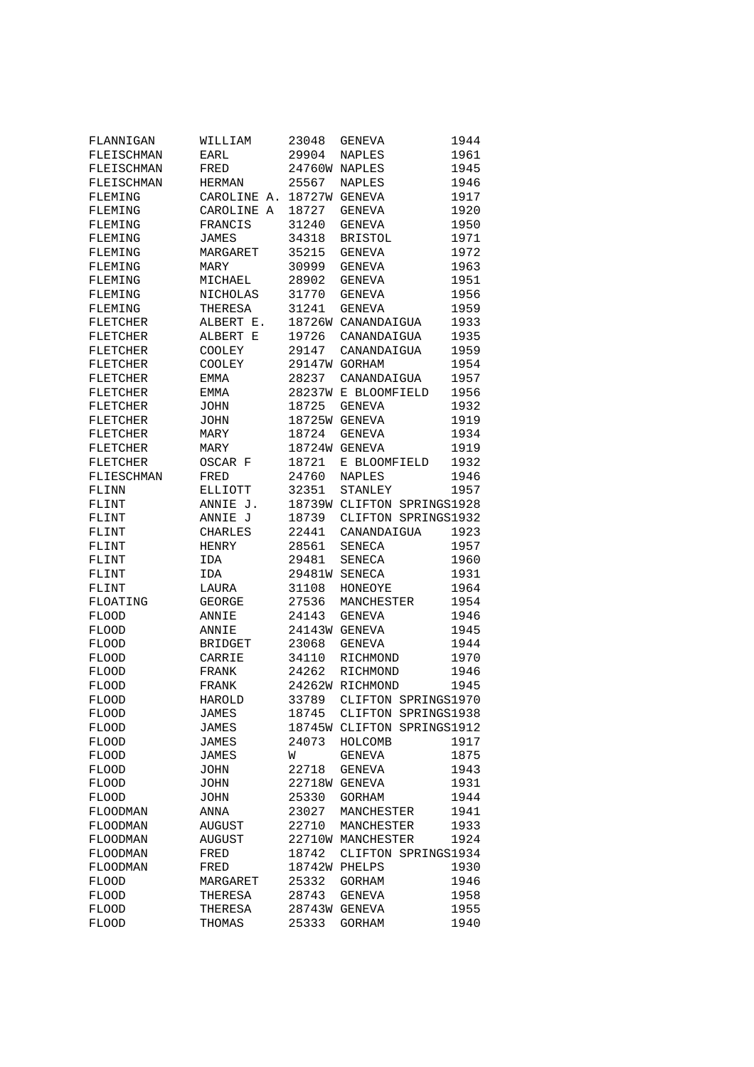| FLANNIGAN       | WILLIAM        | 23048  | GENEVA                     | 1944 |
|-----------------|----------------|--------|----------------------------|------|
| FLEISCHMAN      | <b>EARL</b>    | 29904  | NAPLES                     | 1961 |
| FLEISCHMAN      | FRED           | 24760W | <b>NAPLES</b>              | 1945 |
| FLEISCHMAN      | <b>HERMAN</b>  | 25567  | NAPLES                     | 1946 |
| FLEMING         | CAROLINE A.    | 18727W | <b>GENEVA</b>              | 1917 |
| FLEMING         | CAROLINE A     | 18727  | GENEVA                     | 1920 |
| FLEMING         | FRANCIS        | 31240  | GENEVA                     | 1950 |
| FLEMING         | <b>JAMES</b>   | 34318  | <b>BRISTOL</b>             | 1971 |
| FLEMING         | MARGARET       | 35215  | GENEVA                     | 1972 |
| FLEMING         | MARY           | 30999  | <b>GENEVA</b>              | 1963 |
| FLEMING         | MICHAEL        | 28902  | <b>GENEVA</b>              | 1951 |
| FLEMING         | NICHOLAS       | 31770  | GENEVA                     | 1956 |
| FLEMING         | THERESA        | 31241  | <b>GENEVA</b>              | 1959 |
| FLETCHER        | ALBERT E.      |        | 18726W CANANDAIGUA         | 1933 |
| FLETCHER        | ALBERT E       | 19726  | CANANDAIGUA                | 1935 |
| FLETCHER        | COOLEY         | 29147  | CANANDAIGUA                | 1959 |
| FLETCHER        | COOLEY         | 29147W | GORHAM                     | 1954 |
| FLETCHER        | <b>EMMA</b>    | 28237  | CANANDAIGUA                | 1957 |
| <b>FLETCHER</b> | EMMA           | 28237W | E BLOOMFIELD               | 1956 |
| FLETCHER        | <b>JOHN</b>    | 18725  | GENEVA                     | 1932 |
| FLETCHER        | JOHN           | 18725W | <b>GENEVA</b>              | 1919 |
| FLETCHER        | MARY           | 18724  | GENEVA                     | 1934 |
| FLETCHER        | MARY           | 18724W | GENEVA                     | 1919 |
| FLETCHER        | OSCAR F        | 18721  | E BLOOMFIELD               | 1932 |
| FLIESCHMAN      | FRED           | 24760  | <b>NAPLES</b>              | 1946 |
| FLINN           | <b>ELLIOTT</b> | 32351  | STANLEY                    | 1957 |
| FLINT           | ANNIE J.       |        | 18739W CLIFTON SPRINGS1928 |      |
| FLINT           | ANNIE J        | 18739  | CLIFTON SPRINGS1932        |      |
| FLINT           | <b>CHARLES</b> | 22441  | CANANDAIGUA                | 1923 |
| FLINT           | HENRY          | 28561  | SENECA                     | 1957 |
| FLINT           | IDA            | 29481  | SENECA                     | 1960 |
| FLINT           | IDA            | 29481W | SENECA                     | 1931 |
| FLINT           | LAURA          | 31108  | HONEOYE                    | 1964 |
| FLOATING        | GEORGE         | 27536  | MANCHESTER                 | 1954 |
| <b>FLOOD</b>    | ANNIE          | 24143  | GENEVA                     | 1946 |
| <b>FLOOD</b>    | ANNIE          | 24143W | <b>GENEVA</b>              | 1945 |
| FLOOD           | <b>BRIDGET</b> | 23068  | <b>GENEVA</b>              | 1944 |
| <b>FLOOD</b>    | CARRIE         | 34110  | RICHMOND                   | 1970 |
| FLOOD           | <b>FRANK</b>   | 24262  | RICHMOND                   | 1946 |
| <b>FLOOD</b>    | FRANK          |        | 24262W RICHMOND            | 1945 |
| FLOOD           | HAROLD         | 33789  | CLIFTON SPRINGS1970        |      |
| FLOOD           | JAMES          | 18745  | CLIFTON SPRINGS1938        |      |
| <b>FLOOD</b>    | JAMES          | 18745W | CLIFTON SPRINGS1912        |      |
| <b>FLOOD</b>    | JAMES          | 24073  | HOLCOMB                    | 1917 |
| FLOOD           | <b>JAMES</b>   | W      | GENEVA                     | 1875 |
| <b>FLOOD</b>    | JOHN           | 22718  | GENEVA                     | 1943 |
| <b>FLOOD</b>    | JOHN           | 22718W | <b>GENEVA</b>              | 1931 |
| <b>FLOOD</b>    | <b>JOHN</b>    | 25330  | GORHAM                     | 1944 |
| FLOODMAN        | ANNA           | 23027  | MANCHESTER                 | 1941 |
| FLOODMAN        | AUGUST         | 22710  | MANCHESTER                 | 1933 |
| FLOODMAN        | <b>AUGUST</b>  |        | 22710W MANCHESTER          | 1924 |
| FLOODMAN        | FRED           | 18742  | CLIFTON SPRINGS1934        |      |
| FLOODMAN        | FRED           | 18742W | PHELPS                     | 1930 |
| <b>FLOOD</b>    | MARGARET       | 25332  | GORHAM                     | 1946 |
| <b>FLOOD</b>    | THERESA        | 28743  | GENEVA                     | 1958 |
| <b>FLOOD</b>    | THERESA        | 28743W | GENEVA                     | 1955 |
| <b>FLOOD</b>    | THOMAS         | 25333  | GORHAM                     | 1940 |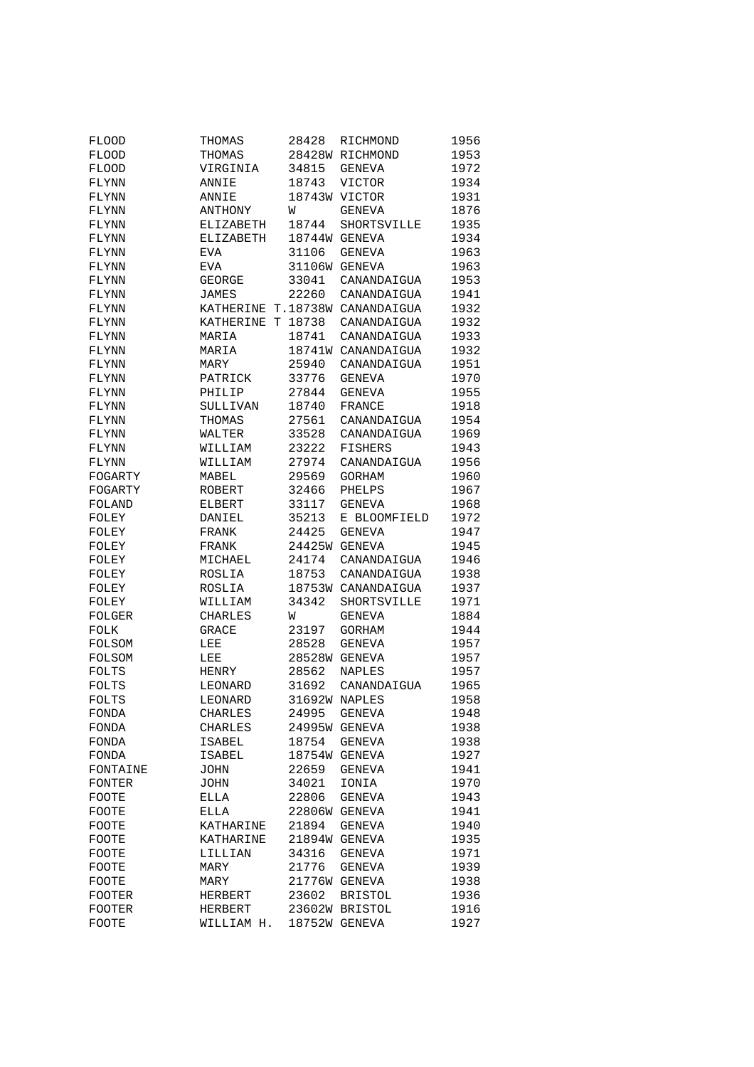| FLOOD        | THOMAS             | 28428           | RICHMOND       | 1956         |
|--------------|--------------------|-----------------|----------------|--------------|
| <b>FLOOD</b> | THOMAS             | 28428W          | RICHMOND       | 1953         |
| <b>FLOOD</b> | VIRGINIA           | 34815           | <b>GENEVA</b>  | 1972         |
| FLYNN        | ANNIE              | 18743           | VICTOR         | 1934         |
| FLYNN        | ANNIE              | 18743W          | <b>VICTOR</b>  | 1931         |
| FLYNN        | <b>ANTHONY</b>     | M               | <b>GENEVA</b>  | 1876         |
| FLYNN        | ELIZABETH          | 18744           | SHORTSVILLE    | 1935         |
|              | ELIZABETH          |                 |                |              |
| FLYNN        |                    | 18744W<br>31106 | <b>GENEVA</b>  | 1934<br>1963 |
| FLYNN        | EVA                |                 | <b>GENEVA</b>  | 1963         |
| FLYNN        | EVA                | 31106W          | <b>GENEVA</b>  |              |
| FLYNN        | GEORGE             | 33041           | CANANDAIGUA    | 1953         |
| FLYNN        | <b>JAMES</b>       | 22260           | CANANDAIGUA    | 1941         |
| FLYNN        | KATHERINE T.18738W |                 | CANANDAIGUA    | 1932         |
| FLYNN        | KATHERINE          | T 18738         | CANANDAIGUA    | 1932         |
| FLYNN        | MARIA              | 18741           | CANANDAIGUA    | 1933         |
| FLYNN        | MARIA              | 18741W          | CANANDAIGUA    | 1932         |
| FLYNN        | MARY               | 25940           | CANANDAIGUA    | 1951         |
| FLYNN        | PATRICK            | 33776           | <b>GENEVA</b>  | 1970         |
| FLYNN        | PHILIP             | 27844           | <b>GENEVA</b>  | 1955         |
| FLYNN        | SULLIVAN           | 18740           | <b>FRANCE</b>  | 1918         |
| FLYNN        | THOMAS             | 27561           | CANANDAIGUA    | 1954         |
| FLYNN        | WALTER             | 33528           | CANANDAIGUA    | 1969         |
| FLYNN        | WILLIAM            | 23222           | FISHERS        | 1943         |
| FLYNN        | WILLIAM            | 27974           | CANANDAIGUA    | 1956         |
| FOGARTY      | MABEL              | 29569           | GORHAM         | 1960         |
| FOGARTY      | ROBERT             | 32466           | PHELPS         | 1967         |
| FOLAND       | ELBERT             | 33117           | GENEVA         | 1968         |
| FOLEY        | DANIEL             | 35213           | E BLOOMFIELD   | 1972         |
| FOLEY        | FRANK              | 24425           | <b>GENEVA</b>  | 1947         |
| FOLEY        | FRANK              | 24425W          | <b>GENEVA</b>  | 1945         |
| FOLEY        | MICHAEL            | 24174           | CANANDAIGUA    | 1946         |
| FOLEY        | ROSLIA             | 18753           | CANANDAIGUA    | 1938         |
| FOLEY        | ROSLIA             | 18753W          | CANANDAIGUA    | 1937         |
| FOLEY        | WILLIAM            | 34342           | SHORTSVILLE    | 1971         |
| FOLGER       | <b>CHARLES</b>     | M               | GENEVA         | 1884         |
| FOLK         | GRACE              | 23197           | GORHAM         | 1944         |
| FOLSOM       | LEE                | 28528           | <b>GENEVA</b>  | 1957         |
| FOLSOM       | LEE                | 28528W          | <b>GENEVA</b>  | 1957         |
| FOLTS        | HENRY              | 28562           | NAPLES         | 1957         |
| FOLTS        | LEONARD            | 31692           | CANANDAIGUA    | 1965         |
| FOLTS        | LEONARD            |                 | 31692W NAPLES  | 1958         |
| FONDA        | CHARLES            | 24995           | GENEVA         | 1948         |
| <b>FONDA</b> | CHARLES            | 24995W          | <b>GENEVA</b>  | 1938         |
| FONDA        | ISABEL             | 18754           | GENEVA         | 1938         |
| FONDA        | <b>ISABEL</b>      | 18754W          | <b>GENEVA</b>  | 1927         |
| FONTAINE     | JOHN               | 22659           | GENEVA         | 1941         |
| FONTER       | JOHN               | 34021           | IONIA          | 1970         |
| FOOTE        | ELLA               | 22806           | GENEVA         | 1943         |
| FOOTE        | ELLA               | 22806W          | GENEVA         | 1941         |
| FOOTE        |                    | 21894           | <b>GENEVA</b>  | 1940         |
|              | KATHARINE          | 21894W          |                |              |
| FOOTE        | KATHARINE          |                 | GENEVA         | 1935         |
| FOOTE        | LILLIAN            | 34316           | GENEVA         | 1971         |
| FOOTE        | MARY               | 21776           | <b>GENEVA</b>  | 1939         |
| FOOTE        | MARY               | 21776W          | GENEVA         | 1938         |
| FOOTER       | HERBERT            | 23602           | <b>BRISTOL</b> | 1936         |
| FOOTER       | HERBERT            | 23602W          | <b>BRISTOL</b> | 1916         |
| FOOTE        | WILLIAM H.         | 18752W          | <b>GENEVA</b>  | 1927         |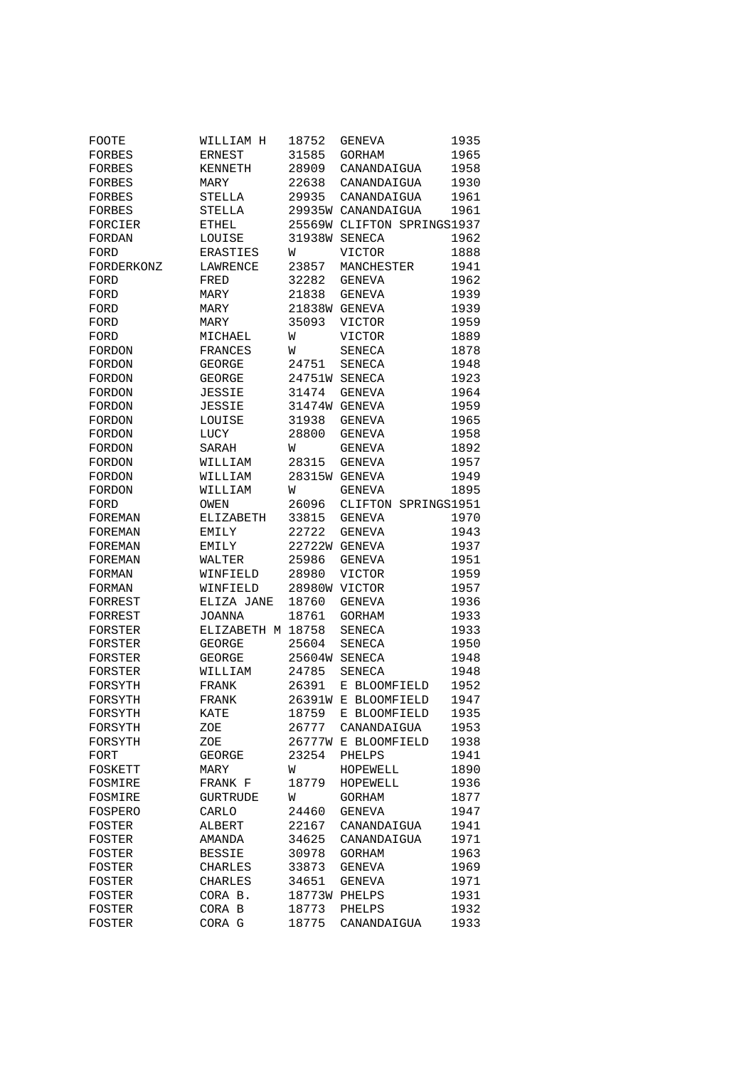| FOOTE          | WILLIAM H         | 18752  | GENEVA                 | 1935 |
|----------------|-------------------|--------|------------------------|------|
| FORBES         | <b>ERNEST</b>     | 31585  | GORHAM                 | 1965 |
| FORBES         | KENNETH           | 28909  | CANANDAIGUA            | 1958 |
| FORBES         | MARY              | 22638  | CANANDAIGUA            | 1930 |
| FORBES         | STELLA            | 29935  | CANANDAIGUA            | 1961 |
| FORBES         | STELLA            | 29935W | CANANDAIGUA            | 1961 |
| FORCIER        | ETHEL             | 25569W | CLIFTON SPRINGS1937    |      |
| FORDAN         | LOUISE            | 31938W | SENECA                 | 1962 |
| FORD           | <b>ERASTIES</b>   | W      | <b>VICTOR</b>          | 1888 |
| FORDERKONZ     | LAWRENCE          | 23857  | MANCHESTER             | 1941 |
| FORD           | FRED              | 32282  | <b>GENEVA</b>          | 1962 |
| FORD           | MARY              | 21838  | <b>GENEVA</b>          | 1939 |
| FORD           | MARY              | 21838W | <b>GENEVA</b>          | 1939 |
| FORD           | MARY              | 35093  | <b>VICTOR</b>          | 1959 |
| FORD           | MICHAEL           | W      | VICTOR                 | 1889 |
| FORDON         | FRANCES           | W      | SENECA                 | 1878 |
| FORDON         | GEORGE            | 24751  | SENECA                 | 1948 |
| FORDON         | <b>GEORGE</b>     | 24751W | SENECA                 | 1923 |
| FORDON         | <b>JESSIE</b>     | 31474  | <b>GENEVA</b>          | 1964 |
| FORDON         | <b>JESSIE</b>     | 31474W | <b>GENEVA</b>          | 1959 |
| FORDON         | LOUISE            | 31938  | <b>GENEVA</b>          | 1965 |
| FORDON         | LUCY              | 28800  | <b>GENEVA</b>          | 1958 |
| FORDON         | SARAH             | W      | <b>GENEVA</b>          | 1892 |
| FORDON         | WILLIAM           | 28315  | GENEVA                 | 1957 |
| FORDON         | WILLIAM           | 28315W | <b>GENEVA</b>          | 1949 |
| FORDON         | WILLIAM           | W      | <b>GENEVA</b>          | 1895 |
| FORD           | OWEN              | 26096  | CLIFTON<br>SPRINGS1951 |      |
| <b>FOREMAN</b> | <b>ELIZABETH</b>  | 33815  | <b>GENEVA</b>          | 1970 |
| FOREMAN        | EMILY             | 22722  | <b>GENEVA</b>          | 1943 |
| FOREMAN        | EMILY             | 22722W | <b>GENEVA</b>          | 1937 |
| FOREMAN        | WALTER            | 25986  | <b>GENEVA</b>          | 1951 |
| FORMAN         | WINFIELD          | 28980  | <b>VICTOR</b>          | 1959 |
| <b>FORMAN</b>  | WINFIELD          |        | 28980W VICTOR          | 1957 |
| FORREST        | ELIZA JANE        | 18760  | <b>GENEVA</b>          | 1936 |
| FORREST        | JOANNA            | 18761  | GORHAM                 | 1933 |
| FORSTER        | ELIZABETH M 18758 |        | SENECA                 | 1933 |
| FORSTER        | GEORGE            | 25604  | SENECA                 | 1950 |
| FORSTER        | GEORGE            | 25604W | SENECA                 | 1948 |
| FORSTER        | WILLIAM           | 24785  | <b>SENECA</b>          | 1948 |
| FORSYTH        | <b>FRANK</b>      | 26391  | E BLOOMFIELD           | 1952 |
| FORSYTH        | FRANK             |        | 26391W E BLOOMFIELD    | 1947 |
| FORSYTH        | KATE              | 18759  | E BLOOMFIELD           | 1935 |
| FORSYTH        | ZOE               | 26777  | CANANDAIGUA            | 1953 |
| FORSYTH        | ZOE               | 26777W | E BLOOMFIELD           | 1938 |
| FORT           | GEORGE            | 23254  | PHELPS                 | 1941 |
| FOSKETT        | MARY              | W      | HOPEWELL               | 1890 |
| FOSMIRE        | FRANK F           | 18779  | HOPEWELL               | 1936 |
| FOSMIRE        | <b>GURTRUDE</b>   | W      | GORHAM                 | 1877 |
| FOSPERO        | CARLO             | 24460  | GENEVA                 | 1947 |
| FOSTER         | ALBERT            | 22167  | CANANDAIGUA            | 1941 |
| FOSTER         | AMANDA            | 34625  | CANANDAIGUA            | 1971 |
| FOSTER         | <b>BESSIE</b>     | 30978  | GORHAM                 | 1963 |
| FOSTER         | CHARLES           | 33873  | GENEVA                 | 1969 |
| FOSTER         | CHARLES           | 34651  | GENEVA                 | 1971 |
| FOSTER         | CORA B.           | 18773W | PHELPS                 | 1931 |
| FOSTER         | CORA B            | 18773  | PHELPS                 | 1932 |
| <b>FOSTER</b>  | CORA G            | 18775  | CANANDAIGUA            | 1933 |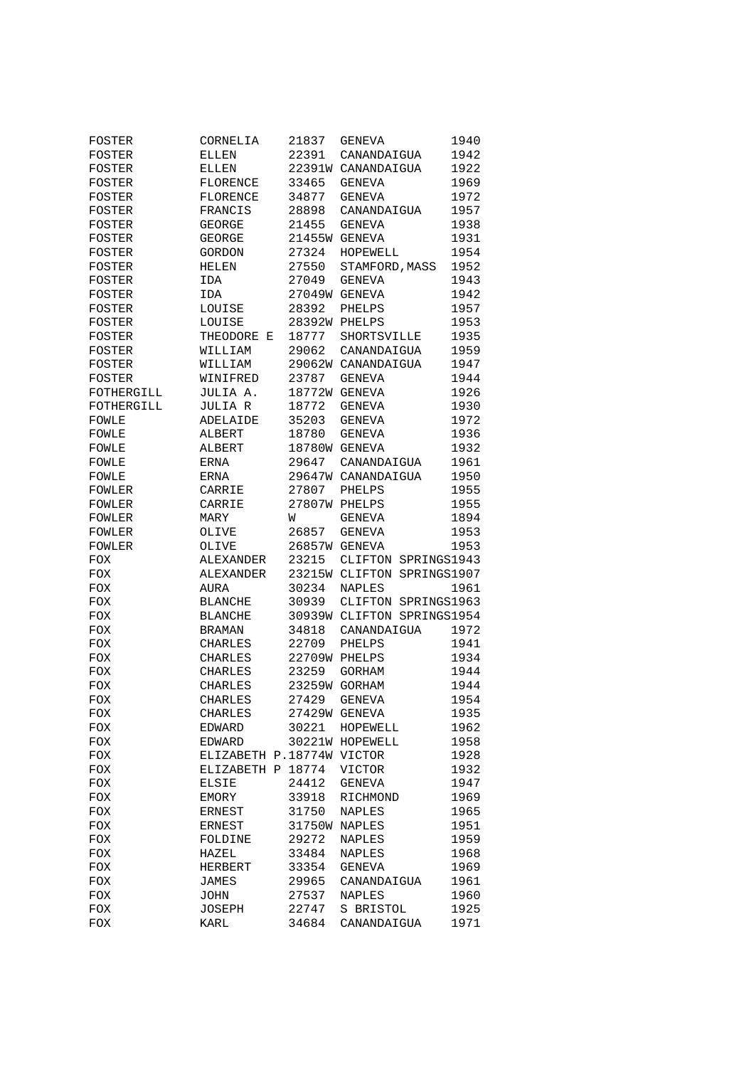| FOSTER        | CORNELIA                  | 21837  | GENEVA                     | 1940 |
|---------------|---------------------------|--------|----------------------------|------|
| FOSTER        | ELLEN                     | 22391  | CANANDAIGUA                | 1942 |
| <b>FOSTER</b> | ELLEN                     |        | 22391W CANANDAIGUA         | 1922 |
| FOSTER        | FLORENCE                  | 33465  | GENEVA                     | 1969 |
| FOSTER        | FLORENCE                  | 34877  | GENEVA                     | 1972 |
| FOSTER        | FRANCIS                   | 28898  | CANANDAIGUA                | 1957 |
| FOSTER        | GEORGE                    | 21455  | GENEVA                     | 1938 |
| FOSTER        | <b>GEORGE</b>             |        | 21455W GENEVA              | 1931 |
| FOSTER        | GORDON                    | 27324  | HOPEWELL                   | 1954 |
| FOSTER        | HELEN                     | 27550  | STAMFORD, MASS             | 1952 |
| FOSTER        | IDA                       | 27049  | <b>GENEVA</b>              | 1943 |
| FOSTER        | IDA                       | 27049W | GENEVA                     | 1942 |
| FOSTER        | LOUISE                    | 28392  | PHELPS                     | 1957 |
| FOSTER        | LOUISE                    |        | 28392W PHELPS              | 1953 |
| FOSTER        | THEODORE<br>Е             | 18777  | SHORTSVILLE                | 1935 |
| FOSTER        | WILLIAM                   | 29062  | CANANDAIGUA                | 1959 |
| FOSTER        | WILLIAM                   |        | 29062W CANANDAIGUA         | 1947 |
| FOSTER        | WINIFRED                  | 23787  | <b>GENEVA</b>              | 1944 |
| FOTHERGILL    | JULIA A.                  |        | 18772W GENEVA              | 1926 |
| FOTHERGILL    | JULIA R                   | 18772  | <b>GENEVA</b>              | 1930 |
| FOWLE         | ADELAIDE                  | 35203  | <b>GENEVA</b>              | 1972 |
| <b>FOWLE</b>  | ALBERT                    | 18780  | <b>GENEVA</b>              | 1936 |
| FOWLE         | ALBERT                    |        | 18780W GENEVA              | 1932 |
| FOWLE         | ERNA                      | 29647  | CANANDAIGUA                | 1961 |
| FOWLE         | ERNA                      |        | 29647W CANANDAIGUA         | 1950 |
| FOWLER        | CARRIE                    | 27807  | PHELPS                     | 1955 |
| FOWLER        | CARRIE                    |        | 27807W PHELPS              | 1955 |
| FOWLER        | MARY                      | W      | GENEVA                     | 1894 |
| FOWLER        | OLIVE                     | 26857  | GENEVA                     | 1953 |
| FOWLER        | OLIVE                     |        | 26857W GENEVA              | 1953 |
| FOX           | ALEXANDER                 | 23215  | CLIFTON SPRINGS1943        |      |
| FOX           | ALEXANDER                 |        | 23215W CLIFTON SPRINGS1907 |      |
| <b>FOX</b>    | AURA                      | 30234  | NAPLES                     | 1961 |
| FOX           | <b>BLANCHE</b>            | 30939  | CLIFTON SPRINGS1963        |      |
| FOX           | <b>BLANCHE</b>            | 30939W | CLIFTON SPRINGS1954        |      |
| <b>FOX</b>    | <b>BRAMAN</b>             | 34818  | CANANDAIGUA                | 1972 |
| FOX           | CHARLES                   | 22709  | PHELPS                     | 1941 |
| FOX           | CHARLES                   | 22709W | PHELPS                     | 1934 |
| FOX           | <b>CHARLES</b>            | 23259  | GORHAM                     | 1944 |
| <b>FOX</b>    | <b>CHARLES</b>            | 23259W | GORHAM                     | 1944 |
| ${\tt FOX}$   | CHARLES                   | 27429  | <b>GENEVA</b>              | 1954 |
| FOX           | CHARLES                   |        | 27429W GENEVA              | 1935 |
| FOX           | EDWARD                    | 30221  | HOPEWELL                   | 1962 |
| FOX           | EDWARD                    |        | 30221W HOPEWELL            | 1958 |
| FOX           | ELIZABETH P.18774W VICTOR |        |                            | 1928 |
| <b>FOX</b>    | ELIZABETH P 18774         |        | VICTOR                     | 1932 |
| FOX           | ELSIE                     | 24412  | GENEVA                     | 1947 |
| FOX           | EMORY                     | 33918  | RICHMOND                   | 1969 |
| FOX           |                           | 31750  | NAPLES                     | 1965 |
| FOX           | ERNEST                    |        |                            |      |
|               | ERNEST                    | 31750W | <b>NAPLES</b>              | 1951 |
| FOX           | FOLDINE                   | 29272  | <b>NAPLES</b>              | 1959 |
| FOX           | HAZEL                     | 33484  | NAPLES                     | 1968 |
| FOX           | HERBERT                   | 33354  | GENEVA                     | 1969 |
| FOX           | JAMES                     | 29965  | CANANDAIGUA                | 1961 |
| FOX           | JOHN                      | 27537  | <b>NAPLES</b>              | 1960 |
| FOX           | JOSEPH                    | 22747  | S BRISTOL                  | 1925 |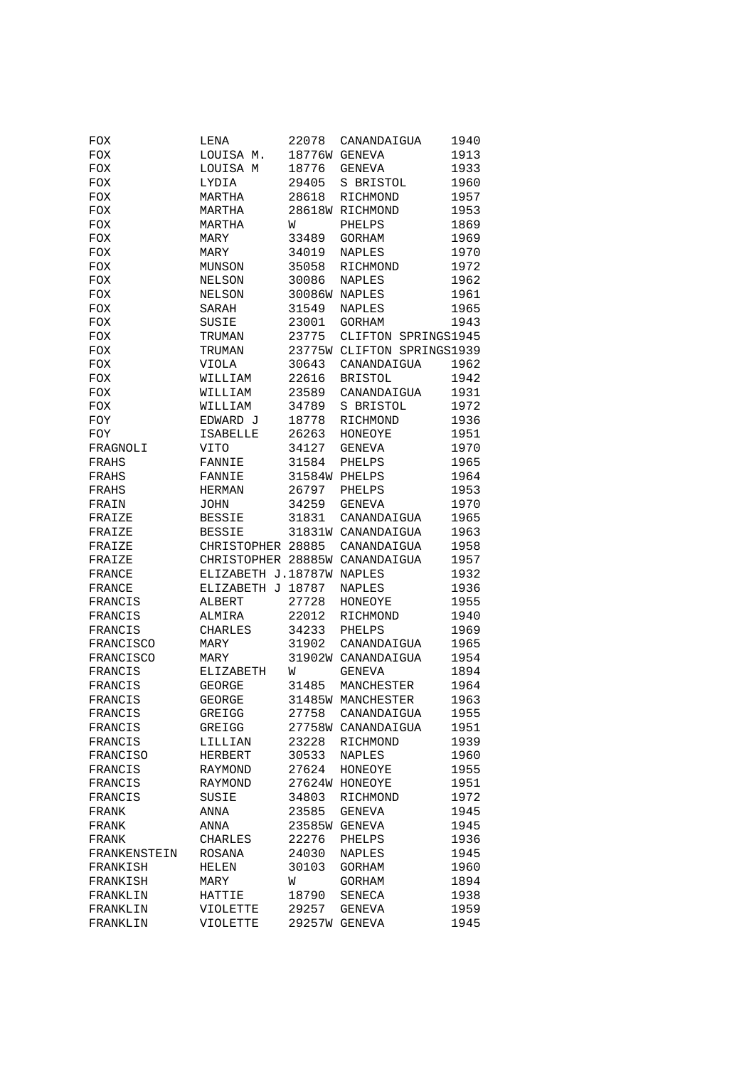| FOX              | LENA                           | 22078  | CANANDAIGUA                | 1940 |
|------------------|--------------------------------|--------|----------------------------|------|
| FOX              | LOUISA M.                      | 18776W | GENEVA                     | 1913 |
| FOX              | LOUISA M                       | 18776  | <b>GENEVA</b>              | 1933 |
| FOX              | LYDIA                          | 29405  | S BRISTOL                  | 1960 |
| FOX              | MARTHA                         | 28618  | RICHMOND                   | 1957 |
| FOX              | MARTHA                         | 28618W | RICHMOND                   | 1953 |
| FOX              | MARTHA                         | W      | PHELPS                     | 1869 |
| FOX              | MARY                           | 33489  | GORHAM                     | 1969 |
| FOX              | MARY                           | 34019  | <b>NAPLES</b>              | 1970 |
| FOX              | MUNSON                         | 35058  | RICHMOND                   | 1972 |
| FOX              | NELSON                         | 30086  | <b>NAPLES</b>              | 1962 |
| FOX              | NELSON                         | 30086W | NAPLES                     | 1961 |
| FOX              | SARAH                          | 31549  | <b>NAPLES</b>              | 1965 |
| FOX              | SUSIE                          | 23001  | <b>GORHAM</b>              | 1943 |
| FOX              | TRUMAN                         | 23775  | CLIFTON SPRINGS1945        |      |
| FOX              | TRUMAN                         |        | 23775W CLIFTON SPRINGS1939 |      |
| FOX              | VIOLA                          | 30643  | CANANDAIGUA                | 1962 |
| <b>FOX</b>       | WILLIAM                        | 22616  | <b>BRISTOL</b>             | 1942 |
| FOX              | WILLIAM                        | 23589  | CANANDAIGUA                | 1931 |
| FOX              | WILLIAM                        | 34789  | S BRISTOL                  | 1972 |
| FOY              | EDWARD J                       | 18778  | RICHMOND                   | 1936 |
| FOY              | <b>ISABELLE</b>                | 26263  | HONEOYE                    | 1951 |
| FRAGNOLI         | <b>VITO</b>                    | 34127  | GENEVA                     | 1970 |
| FRAHS            | FANNIE                         | 31584  | PHELPS                     | 1965 |
| FRAHS            | FANNIE                         | 31584W | PHELPS                     | 1964 |
| FRAHS            | <b>HERMAN</b>                  | 26797  | PHELPS                     | 1953 |
| FRAIN            | JOHN                           | 34259  | GENEVA                     | 1970 |
| FRAIZE           | <b>BESSIE</b>                  | 31831  | CANANDAIGUA                | 1965 |
| FRAIZE           | <b>BESSIE</b>                  |        | 31831W CANANDAIGUA         | 1963 |
| FRAIZE           | CHRISTOPHER 28885              |        | CANANDAIGUA                | 1958 |
| FRAIZE           | CHRISTOPHER 28885W CANANDAIGUA |        |                            | 1957 |
| FRANCE           | ELIZABETH J.18787W             |        | <b>NAPLES</b>              | 1932 |
| FRANCE           | ELIZABETH J 18787              |        | NAPLES                     | 1936 |
| FRANCIS          | ALBERT                         | 27728  | HONEOYE                    | 1955 |
| FRANCIS          | ALMIRA                         | 22012  | RICHMOND                   | 1940 |
| FRANCIS          | CHARLES                        | 34233  | PHELPS                     | 1969 |
| FRANCISCO        | MARY                           | 31902  | CANANDAIGUA                | 1965 |
| <b>FRANCISCO</b> | MARY                           | 31902W | CANANDAIGUA                | 1954 |
| FRANCIS          | ELIZABETH                      | W      | <b>GENEVA</b>              | 1894 |
| FRANCIS          | <b>GEORGE</b>                  | 31485  | MANCHESTER                 | 1964 |
| FRANCIS          | GEORGE                         |        | 31485W MANCHESTER          | 1963 |
| FRANCIS          | GREIGG                         | 27758  | CANANDAIGUA                | 1955 |
| FRANCIS          | GREIGG                         | 27758W | CANANDAIGUA                | 1951 |
| FRANCIS          | LILLIAN                        | 23228  | RICHMOND                   | 1939 |
| FRANCISO         | HERBERT                        | 30533  | <b>NAPLES</b>              | 1960 |
| FRANCIS          | RAYMOND                        | 27624  | HONEOYE                    | 1955 |
| FRANCIS          | RAYMOND                        | 27624W | HONEOYE                    | 1951 |
| FRANCIS          | SUSIE                          | 34803  | RICHMOND                   | 1972 |
| FRANK            | ANNA                           | 23585  | GENEVA                     | 1945 |
| FRANK            | ANNA                           | 23585W | GENEVA                     | 1945 |
| FRANK            | CHARLES                        | 22276  | PHELPS                     | 1936 |
| FRANKENSTEIN     | ROSANA                         | 24030  | NAPLES                     | 1945 |
| FRANKISH         | HELEN                          | 30103  | GORHAM                     | 1960 |
| FRANKISH         | MARY                           | W      | GORHAM                     | 1894 |
| FRANKLIN         | HATTIE                         | 18790  | SENECA                     | 1938 |
| FRANKLIN         | VIOLETTE                       | 29257  | GENEVA                     | 1959 |
| FRANKLIN         | VIOLETTE                       | 29257W | <b>GENEVA</b>              | 1945 |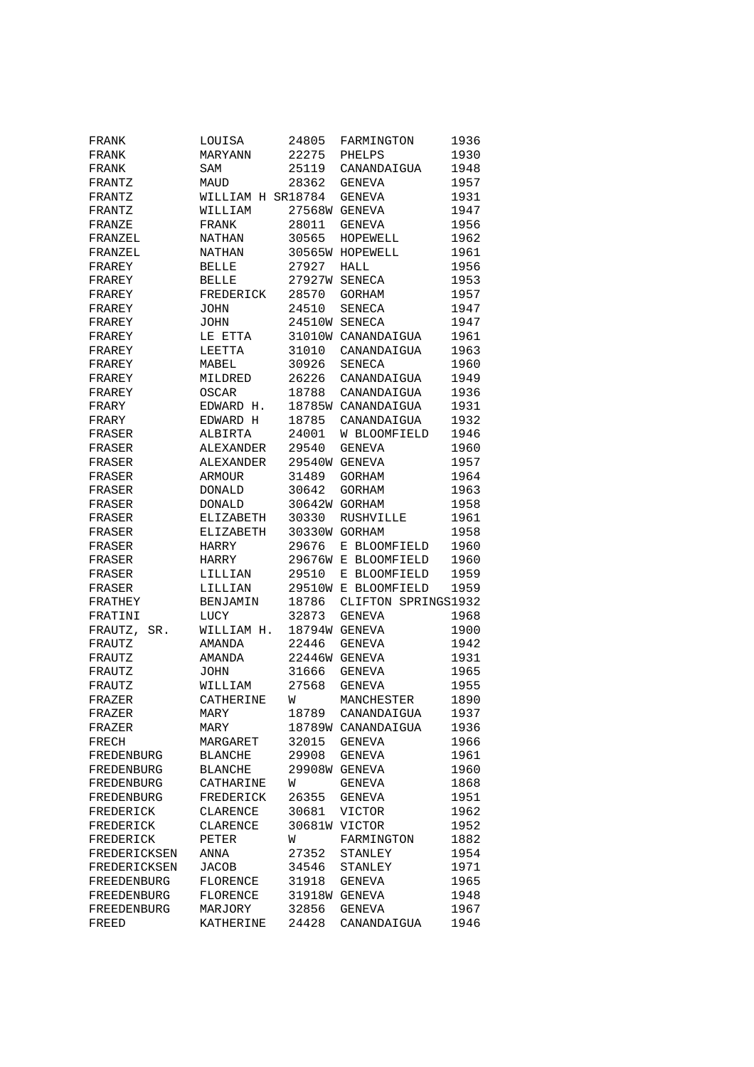| FRANK                    | LOUISA               | 24805      | FARMINGTON              | 1936         |
|--------------------------|----------------------|------------|-------------------------|--------------|
| FRANK                    | MARYANN              | 22275      | PHELPS                  | 1930         |
| FRANK                    | SAM                  | 25119      | CANANDAIGUA             | 1948         |
| FRANTZ                   | MAUD                 | 28362      | GENEVA                  | 1957         |
| FRANTZ                   | WILLIAM H SR18784    |            | <b>GENEVA</b>           | 1931         |
| FRANTZ                   | WILLIAM              | 27568W     | GENEVA                  | 1947         |
| FRANZE                   | FRANK                | 28011      | <b>GENEVA</b>           | 1956         |
| FRANZEL                  | NATHAN               | 30565      | HOPEWELL                | 1962         |
| FRANZEL                  | NATHAN               | 30565W     | HOPEWELL                | 1961         |
| FRAREY                   | <b>BELLE</b>         | 27927      | HALL                    | 1956         |
| FRAREY                   | <b>BELLE</b>         | 27927W     | SENECA                  | 1953         |
| FRAREY                   | FREDERICK            | 28570      | GORHAM                  | 1957         |
| FRAREY                   | <b>JOHN</b>          | 24510      | SENECA                  | 1947         |
| FRAREY                   | JOHN                 | 24510W     | SENECA                  | 1947         |
| FRAREY                   | LE ETTA              |            | 31010W CANANDAIGUA      | 1961         |
| FRAREY                   | LEETTA               | 31010      | CANANDAIGUA             | 1963         |
| FRAREY                   | MABEL                | 30926      | SENECA                  | 1960         |
| FRAREY                   | MILDRED              | 26226      | CANANDAIGUA             | 1949         |
| FRAREY                   | OSCAR                | 18788      | CANANDAIGUA             | 1936         |
| FRARY                    | EDWARD H.            |            | 18785W CANANDAIGUA      | 1931         |
| FRARY                    | EDWARD H             | 18785      | CANANDAIGUA             | 1932         |
| FRASER                   | ALBIRTA              | 24001      | W BLOOMFIELD            | 1946         |
| FRASER                   | ALEXANDER            | 29540      | GENEVA                  | 1960         |
| FRASER                   | ALEXANDER            | 29540W     | <b>GENEVA</b>           | 1957         |
| FRASER                   | ARMOUR               | 31489      | GORHAM                  | 1964         |
| FRASER                   | <b>DONALD</b>        | 30642      | GORHAM                  | 1963         |
| FRASER                   | <b>DONALD</b>        | 30642W     | GORHAM                  | 1958         |
| FRASER                   | ELIZABETH            | 30330      | RUSHVILLE               | 1961         |
| FRASER                   | ELIZABETH            | 30330W     | GORHAM                  | 1958         |
| FRASER                   | HARRY                | 29676      | E BLOOMFIELD            | 1960         |
| FRASER                   | HARRY                | 29676W     | E BLOOMFIELD            | 1960         |
| FRASER                   | LILLIAN              | 29510      | E BLOOMFIELD            | 1959         |
| FRASER                   | LILLIAN              | 29510W     | E BLOOMFIELD            | 1959         |
| FRATHEY                  | BENJAMIN             | 18786      | CLIFTON SPRINGS1932     |              |
| FRATINI                  | LUCY                 | 32873      | GENEVA                  | 1968         |
| FRAUTZ,<br>SR.           | WILLIAM H.           | 18794W     | <b>GENEVA</b>           | 1900         |
| FRAUTZ                   | AMANDA               | 22446      | GENEVA                  | 1942         |
| FRAUTZ                   | AMANDA               | 22446W     | <b>GENEVA</b>           | 1931         |
| FRAUTZ                   | <b>JOHN</b>          | 31666      | <b>GENEVA</b>           | 1965         |
| FRAUTZ                   | WILLIAM              | 27568      | GENEVA                  | 1955         |
| FRAZER                   | CATHERINE            | W          | MANCHESTER              | 1890         |
| FRAZER                   | MARY                 | 18789      | CANANDAIGUA             | 1937         |
| FRAZER                   | MARY                 | 18789W     | CANANDAIGUA             | 1936         |
| FRECH                    | MARGARET             | 32015      | GENEVA                  | 1966         |
| FREDENBURG               | <b>BLANCHE</b>       | 29908      | <b>GENEVA</b>           | 1961         |
| FREDENBURG               | <b>BLANCHE</b>       | 29908W     | GENEVA                  | 1960<br>1868 |
| FREDENBURG<br>FREDENBURG | CATHARINE            | W<br>26355 | GENEVA                  |              |
| FREDERICK                | FREDERICK            | 30681      | GENEVA<br><b>VICTOR</b> | 1951<br>1962 |
| FREDERICK                | CLARENCE<br>CLARENCE | 30681W     | <b>VICTOR</b>           | 1952         |
| FREDERICK                |                      |            |                         | 1882         |
| FREDERICKSEN             | PETER<br>ANNA        | W<br>27352 | FARMINGTON<br>STANLEY   | 1954         |
| FREDERICKSEN             | <b>JACOB</b>         | 34546      | STANLEY                 | 1971         |
| FREEDENBURG              | FLORENCE             | 31918      | GENEVA                  | 1965         |
| FREEDENBURG              | FLORENCE             | 31918W     | <b>GENEVA</b>           | 1948         |
| FREEDENBURG              | MARJORY              | 32856      | GENEVA                  | 1967         |
| FREED                    | KATHERINE            | 24428      | CANANDAIGUA             | 1946         |
|                          |                      |            |                         |              |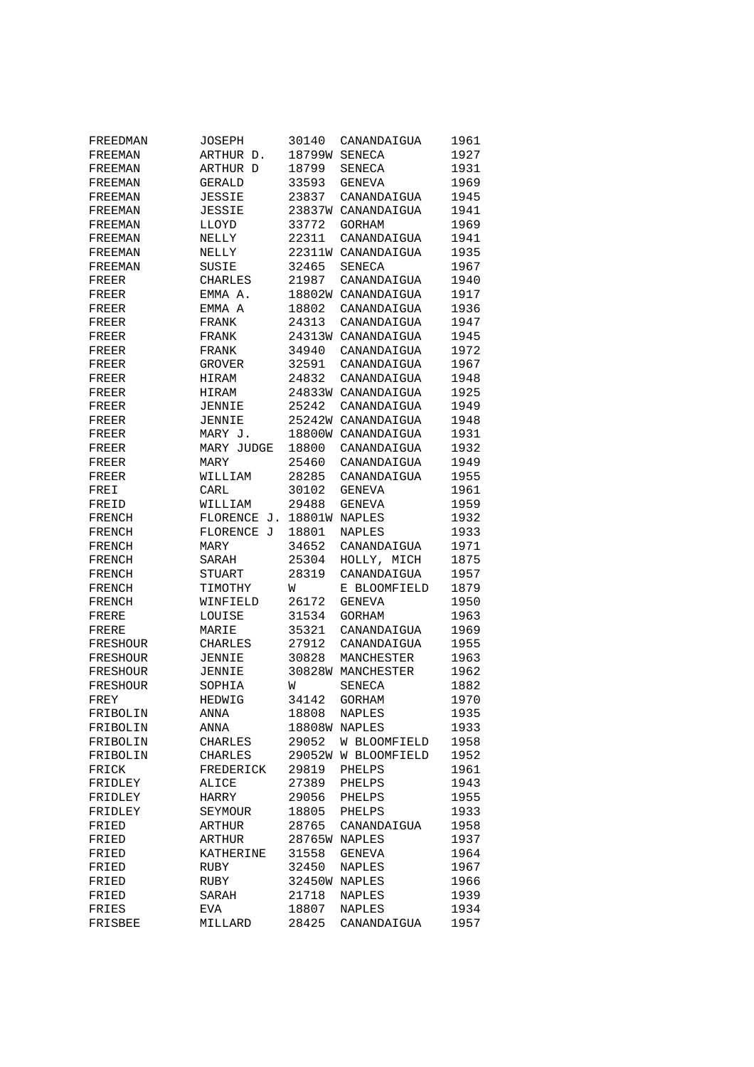| FREEDMAN       | JOSEPH        | 30140           | CANANDAIGUA         | 1961         |
|----------------|---------------|-----------------|---------------------|--------------|
| FREEMAN        | ARTHUR D.     | 18799W          | SENECA              | 1927         |
| FREEMAN        | ARTHUR D      | 18799           | SENECA              | 1931         |
| FREEMAN        | <b>GERALD</b> | 33593           | <b>GENEVA</b>       | 1969         |
| FREEMAN        | JESSIE        | 23837           | CANANDAIGUA         | 1945         |
| FREEMAN        | JESSIE        | 23837W          | CANANDAIGUA         | 1941         |
| FREEMAN        | LLOYD         | 33772           | GORHAM              | 1969         |
| FREEMAN        | NELLY         | 22311           | CANANDAIGUA         | 1941         |
| FREEMAN        | NELLY         | 22311W          | CANANDAIGUA         | 1935         |
| FREEMAN        | SUSIE         | 32465           | SENECA              | 1967         |
| FREER          | CHARLES       | 21987           | CANANDAIGUA         | 1940         |
| FREER          | EMMA A.       | 18802W          | CANANDAIGUA         | 1917         |
| FREER          | EMMA A        | 18802           | CANANDAIGUA         | 1936         |
| FREER          | FRANK         | 24313           | CANANDAIGUA         | 1947         |
| FREER          | FRANK         | 24313W          | CANANDAIGUA         | 1945         |
| FREER          | FRANK         | 34940           | CANANDAIGUA         | 1972         |
| FREER          | GROVER        | 32591           | CANANDAIGUA         | 1967         |
| FREER          | HIRAM         | 24832           | CANANDAIGUA         | 1948         |
| FREER          | HIRAM         | 24833W          | CANANDAIGUA         | 1925         |
| FREER          | JENNIE        | 25242           | CANANDAIGUA         | 1949         |
| FREER          | JENNIE        | 25242W          | CANANDAIGUA         | 1948         |
| FREER          | MARY J.       | 18800W          | CANANDAIGUA         | 1931         |
| FREER          | MARY JUDGE    | 18800           | CANANDAIGUA         | 1932         |
| FREER          | MARY          | 25460           | CANANDAIGUA         | 1949         |
| FREER          | WILLIAM       | 28285           | CANANDAIGUA         | 1955         |
| FREI           | CARL          | 30102           | GENEVA              | 1961         |
| FREID          | WILLIAM       | 29488           | <b>GENEVA</b>       | 1959         |
| FRENCH         | FLORENCE J.   | 18801W          | <b>NAPLES</b>       | 1932         |
| FRENCH         | FLORENCE J    | 18801           | NAPLES              | 1933         |
| FRENCH         | MARY          | 34652           | CANANDAIGUA         | 1971         |
| FRENCH         | SARAH         | 25304           | HOLLY, MICH         | 1875         |
| FRENCH         | STUART        | 28319           | CANANDAIGUA         | 1957         |
| FRENCH         | TIMOTHY       | W               | E BLOOMFIELD        | 1879         |
| FRENCH         | WINFIELD      | 26172           | GENEVA              | 1950         |
| FRERE          | LOUISE        | 31534           | GORHAM              | 1963         |
| FRERE          | MARIE         | 35321           | CANANDAIGUA         | 1969         |
| FRESHOUR       | CHARLES       | 27912           | CANANDAIGUA         | 1955         |
| FRESHOUR       | JENNIE        | 30828           | MANCHESTER          | 1963         |
| FRESHOUR       | JENNIE        | 30828W          | MANCHESTER          | 1962         |
| FRESHOUR       | SOPHIA        | W               | <b>SENECA</b>       | 1882         |
| FREY           | HEDWIG        | 34142           | GORHAM              | 1970         |
| FRIBOLIN       | ANNA          | 18808           | NAPLES              | 1935         |
| FRIBOLIN       | ANNA          | 18808W NAPLES   |                     | 1933         |
| FRIBOLIN       | CHARLES       | 29052           | W BLOOMFIELD        | 1958         |
| FRIBOLIN       | CHARLES       |                 | 29052W W BLOOMFIELD | 1952         |
| FRICK          | FREDERICK     | 29819           | PHELPS              | 1961         |
| FRIDLEY        | ALICE         | 27389           | PHELPS              | 1943         |
| FRIDLEY        | HARRY         | 29056           | PHELPS              | 1955         |
| FRIDLEY        | SEYMOUR       | 18805           | PHELPS              | 1933         |
| FRIED          | ARTHUR        | 28765           | CANANDAIGUA         | 1958         |
| FRIED          | ARTHUR        | 28765W          | NAPLES              | 1937         |
| FRIED          | KATHERINE     | 31558           | GENEVA              | 1964         |
| FRIED          | RUBY          | 32450           | NAPLES              | 1967         |
| FRIED          | RUBY          | 32450W<br>21718 | NAPLES              | 1966<br>1939 |
| FRIED<br>FRIES | SARAH<br>EVA  | 18807           | NAPLES<br>NAPLES    | 1934         |
| FRISBEE        | MILLARD       | 28425           | CANANDAIGUA         | 1957         |
|                |               |                 |                     |              |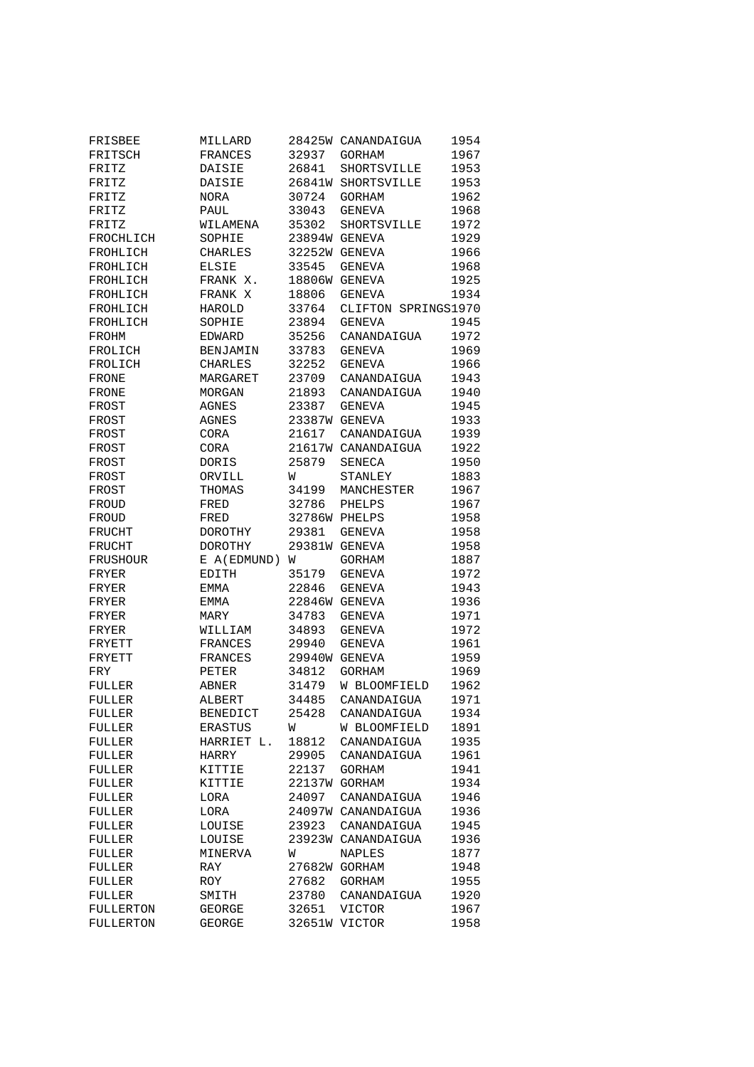| FRISBEE       | MILLARD        | 28425W        | CANANDAIGUA         | 1954 |
|---------------|----------------|---------------|---------------------|------|
| FRITSCH       | FRANCES        | 32937         | <b>GORHAM</b>       | 1967 |
| FRITZ         | DAISIE         | 26841         | SHORTSVILLE         | 1953 |
| FRITZ         | DAISIE         | 26841W        | SHORTSVILLE         | 1953 |
| FRITZ         | NORA           | 30724         | <b>GORHAM</b>       | 1962 |
| FRITZ         | PAUL           | 33043         | <b>GENEVA</b>       | 1968 |
| FRITZ         | WILAMENA       | 35302         | SHORTSVILLE         | 1972 |
| FROCHLICH     | SOPHIE         | 23894W        | <b>GENEVA</b>       | 1929 |
| FROHLICH      | CHARLES        | 32252W        | <b>GENEVA</b>       | 1966 |
| FROHLICH      | ELSIE          | 33545         | GENEVA              | 1968 |
| FROHLICH      | FRANK X.       | 18806W        | <b>GENEVA</b>       | 1925 |
| FROHLICH      | FRANK X        | 18806         | <b>GENEVA</b>       | 1934 |
| FROHLICH      | <b>HAROLD</b>  | 33764         | CLIFTON SPRINGS1970 |      |
| FROHLICH      | SOPHIE         | 23894         | <b>GENEVA</b>       | 1945 |
| FROHM         | <b>EDWARD</b>  | 35256         | CANANDAIGUA         | 1972 |
| FROLICH       | BENJAMIN       | 33783         | GENEVA              | 1969 |
| FROLICH       | CHARLES        | 32252         | <b>GENEVA</b>       | 1966 |
| FRONE         | MARGARET       | 23709         | CANANDAIGUA         | 1943 |
| FRONE         | MORGAN         | 21893         | CANANDAIGUA         | 1940 |
| FROST         | <b>AGNES</b>   | 23387         | <b>GENEVA</b>       | 1945 |
| FROST         | <b>AGNES</b>   | 23387W        | <b>GENEVA</b>       | 1933 |
| FROST         | CORA           | 21617         | CANANDAIGUA         | 1939 |
| FROST         | CORA           | 21617W        | CANANDAIGUA         | 1922 |
| FROST         | DORIS          | 25879         | SENECA              | 1950 |
| FROST         | ORVILL         | W             | STANLEY             | 1883 |
| FROST         | THOMAS         | 34199         | MANCHESTER          | 1967 |
| FROUD         | FRED           | 32786         | PHELPS              | 1967 |
| FROUD         | FRED           | 32786W        | PHELPS              | 1958 |
| FRUCHT        | <b>DOROTHY</b> | 29381         | GENEVA              | 1958 |
| FRUCHT        | <b>DOROTHY</b> | 29381W        | <b>GENEVA</b>       | 1958 |
| FRUSHOUR      | E A(EDMUND)    | W             | GORHAM              | 1887 |
| FRYER         | EDITH          | 35179         | <b>GENEVA</b>       | 1972 |
| FRYER         | EMMA           | 22846         | <b>GENEVA</b>       | 1943 |
| FRYER         | EMMA           | 22846W        | <b>GENEVA</b>       | 1936 |
| FRYER         | MARY           | 34783         | <b>GENEVA</b>       | 1971 |
| FRYER         | WILLIAM        | 34893         | <b>GENEVA</b>       | 1972 |
| FRYETT        | FRANCES        | 29940         | GENEVA              | 1961 |
| FRYETT        | FRANCES        | 29940W        | GENEVA              | 1959 |
| FRY           | PETER          | 34812         | GORHAM              | 1969 |
| <b>FULLER</b> | ABNER          | 31479         | W BLOOMFIELD        | 1962 |
| FULLER        | ALBERT         | 34485         | CANANDAIGUA         | 1971 |
| <b>FULLER</b> | BENEDICT       | 25428         | CANANDAIGUA         | 1934 |
| <b>FULLER</b> | <b>ERASTUS</b> | M             | W BLOOMFIELD        | 1891 |
| FULLER        | HARRIET L.     | 18812         | CANANDAIGUA         | 1935 |
| FULLER        | HARRY          | 29905         | CANANDAIGUA         | 1961 |
| FULLER        | KITTIE         | 22137         | GORHAM              | 1941 |
| FULLER        | KITTIE         | 22137W        | GORHAM              | 1934 |
| FULLER        | LORA           | 24097         | CANANDAIGUA         | 1946 |
| FULLER        | LORA           | 24097W        | CANANDAIGUA         | 1936 |
| FULLER        | LOUISE         | 23923         | CANANDAIGUA         | 1945 |
| FULLER        | LOUISE         |               | 23923W CANANDAIGUA  | 1936 |
| FULLER        | MINERVA        | W             | NAPLES              | 1877 |
| FULLER        | RAY            | 27682W        | GORHAM              | 1948 |
| FULLER        | ROY            | 27682         | GORHAM              | 1955 |
| FULLER        | SMITH          | 23780         | CANANDAIGUA         | 1920 |
| FULLERTON     | GEORGE         | 32651         | VICTOR              | 1967 |
| FULLERTON     | <b>GEORGE</b>  | 32651W VICTOR |                     | 1958 |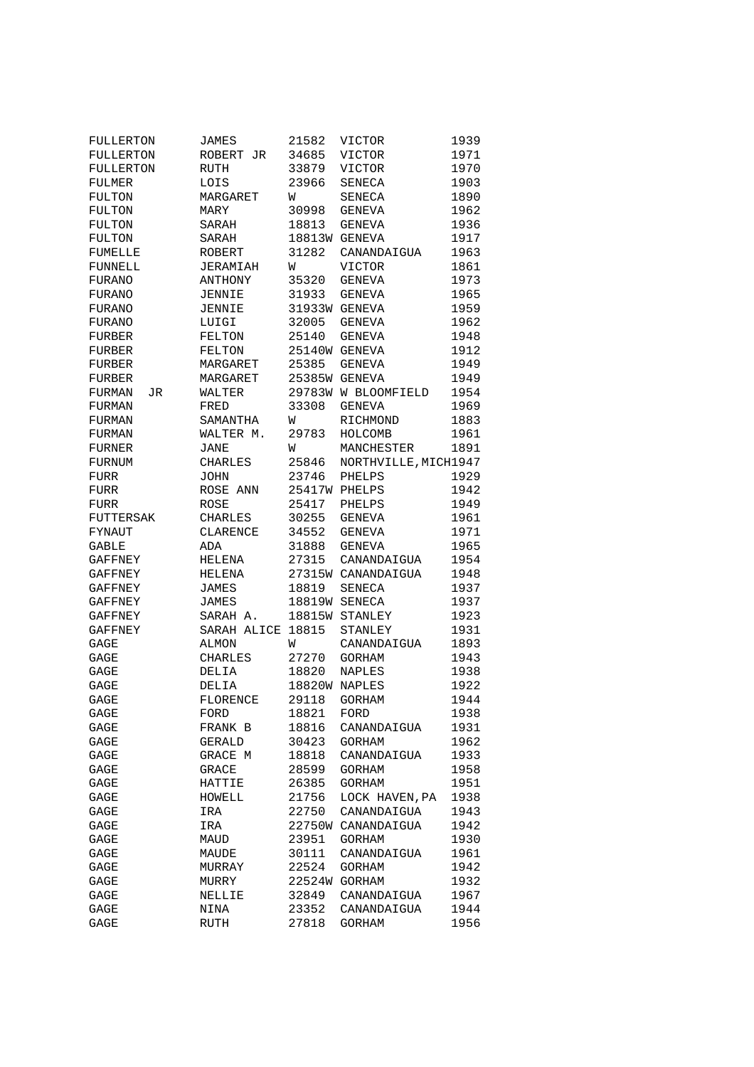| FULLERTON           | JAMES                         | 21582  | <b>VICTOR</b>        | 1939         |
|---------------------|-------------------------------|--------|----------------------|--------------|
| <b>FULLERTON</b>    | ROBERT JR                     | 34685  | <b>VICTOR</b>        | 1971         |
| <b>FULLERTON</b>    | RUTH                          | 33879  | VICTOR               | 1970         |
| FULMER              | LOIS                          | 23966  | SENECA               | 1903         |
| <b>FULTON</b>       | MARGARET                      | W      | SENECA               | 1890         |
| FULTON              | MARY                          | 30998  | GENEVA               | 1962         |
| <b>FULTON</b>       | SARAH                         | 18813  | <b>GENEVA</b>        | 1936         |
| FULTON              | SARAH                         | 18813W | <b>GENEVA</b>        | 1917         |
| FUMELLE             | ROBERT                        | 31282  | CANANDAIGUA          | 1963         |
| FUNNELL             | JERAMIAH                      | W      | <b>VICTOR</b>        | 1861         |
| FURANO              | ANTHONY                       | 35320  | GENEVA               | 1973         |
| FURANO              | JENNIE                        | 31933  | GENEVA               | 1965         |
| <b>FURANO</b>       | JENNIE                        | 31933W | <b>GENEVA</b>        | 1959         |
| FURANO              | LUIGI                         | 32005  | GENEVA               | 1962         |
| <b>FURBER</b>       | FELTON                        | 25140  | <b>GENEVA</b>        | 1948         |
| FURBER              | FELTON                        | 25140W | <b>GENEVA</b>        | 1912         |
| FURBER              | MARGARET                      | 25385  | <b>GENEVA</b>        | 1949         |
| <b>FURBER</b>       | MARGARET                      | 25385W | <b>GENEVA</b>        | 1949         |
| FURMAN<br>JR        | WALTER                        | 29783W | W BLOOMFIELD         | 1954         |
| <b>FURMAN</b>       | FRED                          | 33308  | <b>GENEVA</b>        | 1969         |
| <b>FURMAN</b>       | SAMANTHA                      | W      | RICHMOND             | 1883         |
| <b>FURMAN</b>       | WALTER M.                     | 29783  | HOLCOMB              | 1961         |
| FURNER              | <b>JANE</b>                   | W      | MANCHESTER           | 1891         |
| <b>FURNUM</b>       | CHARLES                       | 25846  | NORTHVILLE, MICH1947 |              |
| FURR                | <b>JOHN</b>                   | 23746  | PHELPS               | 1929         |
| FURR                | ROSE ANN                      |        | 25417W PHELPS        | 1942         |
| FURR                | ROSE                          | 25417  | PHELPS               | 1949         |
|                     | CHARLES                       | 30255  | GENEVA               | 1961         |
| FUTTERSAK<br>FYNAUT | CLARENCE                      | 34552  | GENEVA               | 1971         |
| <b>GABLE</b>        | ADA                           | 31888  | <b>GENEVA</b>        | 1965         |
|                     |                               | 27315  | CANANDAIGUA          | 1954         |
| GAFFNEY<br>GAFFNEY  | HELENA<br>HELENA              |        | 27315W CANANDAIGUA   | 1948         |
|                     |                               | 18819  |                      |              |
| GAFFNEY             | <b>JAMES</b>                  | 18819W | SENECA<br>SENECA     | 1937<br>1937 |
| GAFFNEY             | JAMES                         |        |                      | 1923         |
| GAFFNEY             | SARAH A.<br>SARAH ALICE 18815 | 18815W | STANLEY              | 1931         |
| <b>GAFFNEY</b>      |                               |        | STANLEY              |              |
| GAGE                | ALMON                         | W      | CANANDAIGUA          | 1893         |
| GAGE<br>GAGE        | CHARLES                       | 27270  | GORHAM               | 1943         |
|                     | DELIA                         | 18820  | <b>NAPLES</b>        | 1938         |
| GAGE                | DELIA                         | 18820W | <b>NAPLES</b>        | 1922         |
| GAGE                | FLORENCE                      | 29118  | GORHAM               | 1944         |
| GAGE                | FORD                          | 18821  | FORD                 | 1938         |
| GAGE                | FRANK B                       | 18816  | CANANDAIGUA          | 1931         |
| GAGE                | GERALD                        | 30423  | GORHAM               | 1962         |
| GAGE                | GRACE M                       | 18818  | CANANDAIGUA          | 1933         |
| GAGE                | $\mbox{GRACE}$                | 28599  | GORHAM               | 1958         |
| GAGE                | HATTIE                        | 26385  | GORHAM               | 1951         |
| GAGE                | HOWELL                        | 21756  | LOCK HAVEN, PA       | 1938         |
| GAGE                | IRA                           | 22750  | CANANDAIGUA          | 1943         |
| GAGE                | IRA                           | 22750W | CANANDAIGUA          | 1942         |
| GAGE                | MAUD                          | 23951  | GORHAM               | 1930         |
| GAGE                | MAUDE                         | 30111  | CANANDAIGUA          | 1961         |
| GAGE                | MURRAY                        | 22524  | GORHAM               | 1942         |
| GAGE                | MURRY                         | 22524W | GORHAM               | 1932         |
| GAGE                | NELLIE                        | 32849  | CANANDAIGUA          | 1967         |
| GAGE                | NINA                          | 23352  | CANANDAIGUA          | 1944         |
| GAGE                | RUTH                          | 27818  | GORHAM               | 1956         |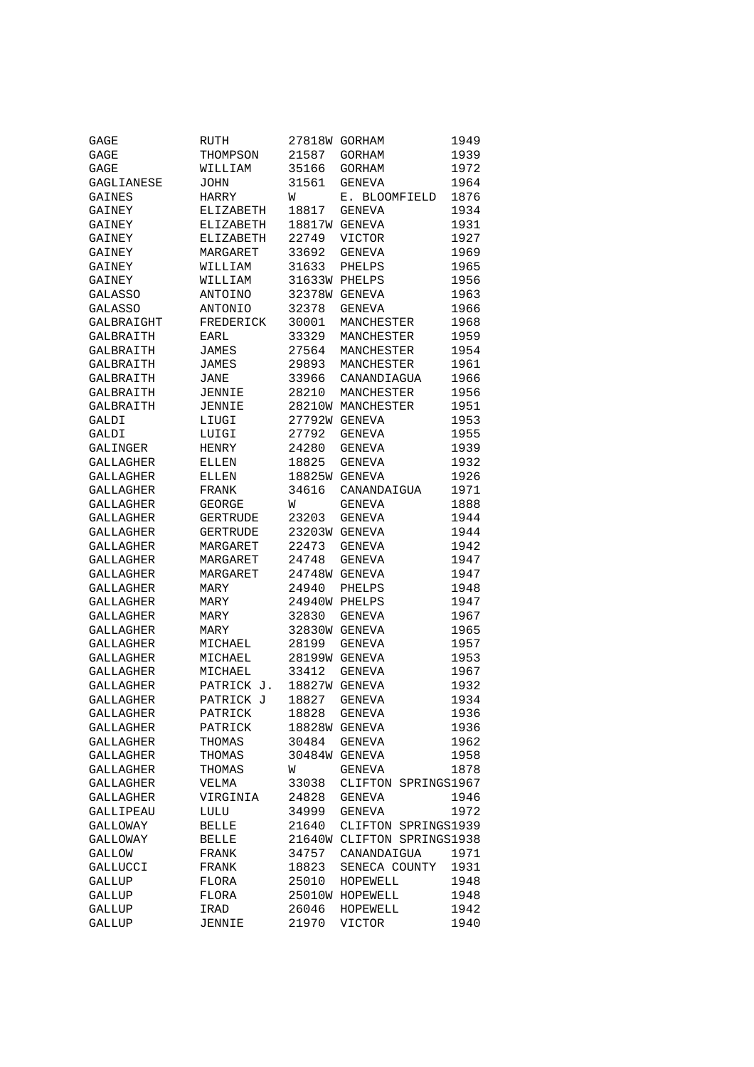| GAGE             | RUTH                   | 27818W GORHAM |                     | 1949 |
|------------------|------------------------|---------------|---------------------|------|
|                  |                        |               |                     |      |
| GAGE             | THOMPSON               | 21587         | GORHAM              | 1939 |
| GAGE             | WILLIAM                | 35166         | GORHAM              | 1972 |
| GAGLIANESE       | JOHN                   | 31561         | GENEVA              | 1964 |
| GAINES           | <b>HARRY</b>           | W             | E. BLOOMFIELD       | 1876 |
| GAINEY           | ELIZABETH              | 18817         | <b>GENEVA</b>       | 1934 |
| GAINEY           | ELIZABETH              | 18817W        | <b>GENEVA</b>       | 1931 |
| GAINEY           | ELIZABETH              | 22749         | VICTOR              | 1927 |
| GAINEY           | MARGARET               | 33692         | <b>GENEVA</b>       | 1969 |
| GAINEY           | WILLIAM                | 31633         | PHELPS              | 1965 |
| GAINEY           | WILLIAM                | 31633W        | PHELPS              | 1956 |
| GALASSO          | ANTOINO                | 32378W        | GENEVA              | 1963 |
| <b>GALASSO</b>   | <b>ANTONIO</b>         | 32378         | <b>GENEVA</b>       | 1966 |
| GALBRAIGHT       | FREDERICK              | 30001         | MANCHESTER          | 1968 |
| GALBRAITH        | EARL                   | 33329         | MANCHESTER          | 1959 |
| GALBRAITH        | <b>JAMES</b>           | 27564         | MANCHESTER          | 1954 |
| GALBRAITH        | JAMES                  | 29893         | MANCHESTER          | 1961 |
| GALBRAITH        | JANE                   | 33966         | CANANDIAGUA         | 1966 |
| GALBRAITH        | JENNIE                 | 28210         | MANCHESTER          | 1956 |
| GALBRAITH        | JENNIE                 | 28210W        | MANCHESTER          | 1951 |
| GALDI            | LIUGI                  | 27792W        | <b>GENEVA</b>       | 1953 |
| GALDI            | LUIGI                  | 27792         | <b>GENEVA</b>       | 1955 |
| GALINGER         | HENRY                  | 24280         | GENEVA              | 1939 |
| GALLAGHER        | ELLEN                  | 18825         | GENEVA              | 1932 |
| GALLAGHER        | $\operatorname{ELLEN}$ | 18825W        | <b>GENEVA</b>       | 1926 |
| GALLAGHER        | FRANK                  | 34616         | CANANDAIGUA         | 1971 |
| <b>GALLAGHER</b> | GEORGE                 | W             | GENEVA              | 1888 |
| GALLAGHER        | <b>GERTRUDE</b>        | 23203         | <b>GENEVA</b>       | 1944 |
| GALLAGHER        | GERTRUDE               | 23203W        | GENEVA              | 1944 |
| <b>GALLAGHER</b> | MARGARET               | 22473         | <b>GENEVA</b>       | 1942 |
| <b>GALLAGHER</b> | MARGARET               | 24748         | <b>GENEVA</b>       | 1947 |
| GALLAGHER        | MARGARET               | 24748W        | GENEVA              | 1947 |
| <b>GALLAGHER</b> | MARY                   | 24940         | PHELPS              | 1948 |
| <b>GALLAGHER</b> | MARY                   | 24940W        | PHELPS              | 1947 |
| <b>GALLAGHER</b> |                        | 32830         |                     | 1967 |
|                  | MARY                   | 32830W        | GENEVA              | 1965 |
| GALLAGHER        | MARY<br>MICHAEL        | 28199         | GENEVA              | 1957 |
| GALLAGHER        |                        |               | GENEVA              |      |
| GALLAGHER        | MICHAEL                | 28199W        | GENEVA              | 1953 |
| GALLAGHER        | MICHAEL                | 33412         | GENEVA              | 1967 |
| <b>GALLAGHER</b> | PATRICK J.             | 18827W GENEVA |                     | 1932 |
| GALLAGHER        | PATRICK J              | 18827         | <b>GENEVA</b>       | 1934 |
| GALLAGHER        | PATRICK                | 18828         | GENEVA              | 1936 |
| GALLAGHER        | PATRICK                | 18828W GENEVA |                     | 1936 |
| GALLAGHER        | THOMAS                 | 30484         | <b>GENEVA</b>       | 1962 |
| GALLAGHER        | THOMAS                 | 30484W GENEVA |                     | 1958 |
| GALLAGHER        | THOMAS                 | W             | <b>GENEVA</b>       | 1878 |
| <b>GALLAGHER</b> | VELMA                  | 33038         | CLIFTON SPRINGS1967 |      |
| GALLAGHER        | VIRGINIA               | 24828         | <b>GENEVA</b>       | 1946 |
| GALLIPEAU        | LULU                   | 34999         | GENEVA              | 1972 |
| GALLOWAY         | <b>BELLE</b>           | 21640         | CLIFTON SPRINGS1939 |      |
| <b>GALLOWAY</b>  | <b>BELLE</b>           | 21640W        | CLIFTON SPRINGS1938 |      |
| GALLOW           | FRANK                  | 34757         | CANANDAIGUA         | 1971 |
| <b>GALLUCCI</b>  | FRANK                  | 18823         | SENECA COUNTY       | 1931 |
| GALLUP           | FLORA                  | 25010         | HOPEWELL            | 1948 |
| GALLUP           | FLORA                  | 25010W        | HOPEWELL            | 1948 |
| GALLUP           | IRAD                   | 26046         | HOPEWELL            | 1942 |
| GALLUP           | JENNIE                 | 21970         | VICTOR              | 1940 |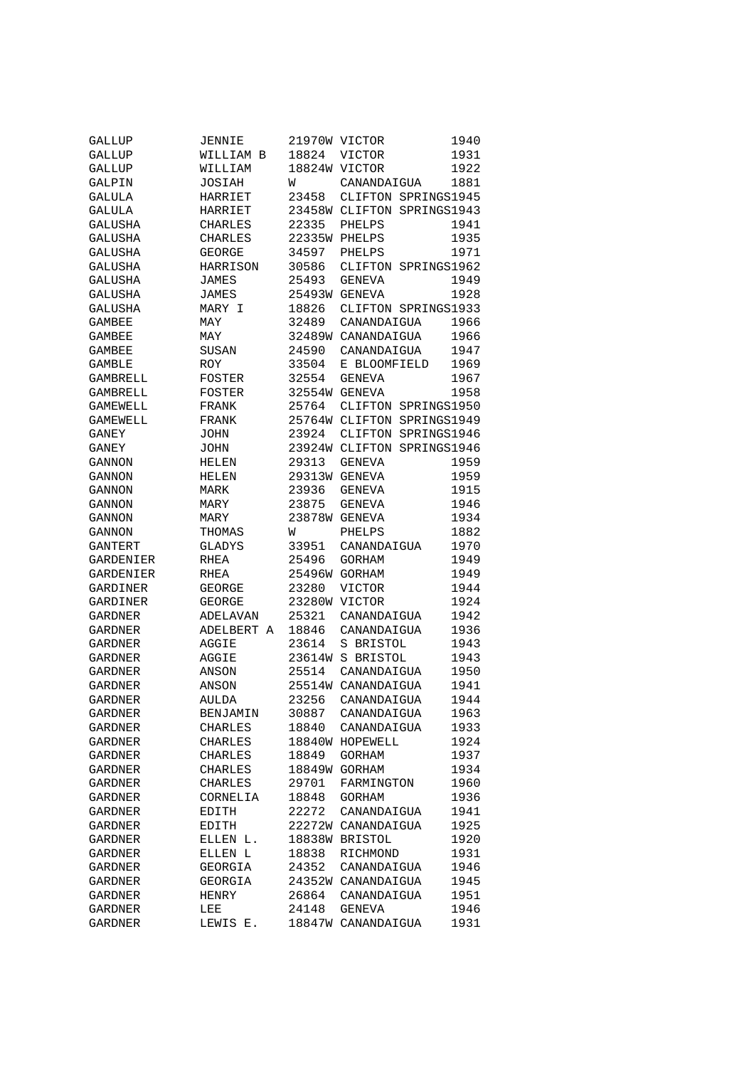| GALLUP         | JENNIE         | 21970W VICTOR | 1940                       |
|----------------|----------------|---------------|----------------------------|
| <b>GALLUP</b>  | WILLIAM B      | 18824         | 1931<br><b>VICTOR</b>      |
| <b>GALLUP</b>  | WILLIAM        | 18824W VICTOR | 1922                       |
| GALPIN         | JOSIAH         | W             | CANANDAIGUA<br>1881        |
| <b>GALULA</b>  | HARRIET        | 23458         | CLIFTON SPRINGS1945        |
| GALULA         | HARRIET        | 23458W        | CLIFTON SPRINGS1943        |
| GALUSHA        | CHARLES        | 22335         | 1941<br>PHELPS             |
| <b>GALUSHA</b> | <b>CHARLES</b> | 22335W        | 1935<br>PHELPS             |
| GALUSHA        | GEORGE         | 34597         | 1971<br>PHELPS             |
| GALUSHA        | HARRISON       | 30586         | CLIFTON SPRINGS1962        |
| GALUSHA        | <b>JAMES</b>   | 25493         | <b>GENEVA</b><br>1949      |
| GALUSHA        | JAMES          | 25493W        | 1928<br>GENEVA             |
| GALUSHA        | MARY I         | 18826         | CLIFTON SPRINGS1933        |
| <b>GAMBEE</b>  | MAY            | 32489         | 1966<br>CANANDAIGUA        |
| GAMBEE         | MAY            |               | 1966<br>32489W CANANDAIGUA |
| GAMBEE         | SUSAN          | 24590         | CANANDAIGUA<br>1947        |
| GAMBLE         | ROY            | 33504         | E BLOOMFIELD<br>1969       |
| GAMBRELL       | FOSTER         | 32554         | 1967<br>GENEVA             |
| GAMBRELL       | FOSTER         | 32554W GENEVA | 1958                       |
| GAMEWELL       | FRANK          | 25764         | CLIFTON SPRINGS1950        |
| GAMEWELL       | FRANK          |               | 25764W CLIFTON SPRINGS1949 |
| GANEY          | JOHN           | 23924         | CLIFTON SPRINGS1946        |
| GANEY          | JOHN           | 23924W        | CLIFTON SPRINGS1946        |
| GANNON         | <b>HELEN</b>   | 29313         | 1959<br><b>GENEVA</b>      |
| <b>GANNON</b>  | HELEN          | 29313W        | 1959<br><b>GENEVA</b>      |
| <b>GANNON</b>  | <b>MARK</b>    | 23936         | 1915<br><b>GENEVA</b>      |
| GANNON         | MARY           | 23875         | 1946<br>GENEVA             |
| GANNON         | MARY           | 23878W GENEVA | 1934                       |
| GANNON         | THOMAS         | W             | 1882<br>PHELPS             |
| <b>GANTERT</b> | GLADYS         | 33951         | CANANDAIGUA<br>1970        |
| GARDENIER      | <b>RHEA</b>    | 25496         | GORHAM<br>1949             |
| GARDENIER      | RHEA           | 25496W        | GORHAM<br>1949             |
| GARDINER       | GEORGE         | 23280         | 1944<br>VICTOR             |
| GARDINER       | GEORGE         | 23280W VICTOR | 1924                       |
| GARDNER        | ADELAVAN       | 25321         | CANANDAIGUA<br>1942        |
| <b>GARDNER</b> | ADELBERT A     | 18846         | CANANDAIGUA<br>1936        |
| GARDNER        | AGGIE          | 23614         | S BRISTOL<br>1943          |
| <b>GARDNER</b> | AGGIE          | 23614W        | S BRISTOL<br>1943          |
| GARDNER        | ANSON          | 25514         | CANANDAIGUA<br>1950        |
| <b>GARDNER</b> | ANSON          | 25514W        | 1941<br>CANANDAIGUA        |
| GARDNER        | AULDA          | 23256         | 1944<br>CANANDAIGUA        |
| GARDNER        | BENJAMIN       | 30887         | CANANDAIGUA<br>1963        |
| GARDNER        | CHARLES        | 18840         | CANANDAIGUA<br>1933        |
| GARDNER        | CHARLES        |               | 1924<br>18840W HOPEWELL    |
| <b>GARDNER</b> | <b>CHARLES</b> | 18849         | <b>GORHAM</b><br>1937      |
| GARDNER        | CHARLES        |               | 1934<br>18849W GORHAM      |
| GARDNER        | CHARLES        | 29701         | 1960<br>FARMINGTON         |
| <b>GARDNER</b> | CORNELIA       | 18848         | GORHAM<br>1936             |
| <b>GARDNER</b> | EDITH          | 22272         | CANANDAIGUA<br>1941        |
| GARDNER        | EDITH          |               | 22272W CANANDAIGUA<br>1925 |
| GARDNER        | ELLEN L.       |               | 18838W BRISTOL<br>1920     |
| GARDNER        | ELLEN L        | 18838         | 1931<br>RICHMOND           |
| GARDNER        | GEORGIA        | 24352         | 1946<br>CANANDAIGUA        |
| GARDNER        | GEORGIA        |               | 24352W CANANDAIGUA<br>1945 |
| GARDNER        | HENRY          | 26864         | CANANDAIGUA<br>1951        |
| GARDNER        | LEE            | 24148         | 1946<br>GENEVA             |
| <b>GARDNER</b> | LEWIS E.       |               | 18847W CANANDAIGUA<br>1931 |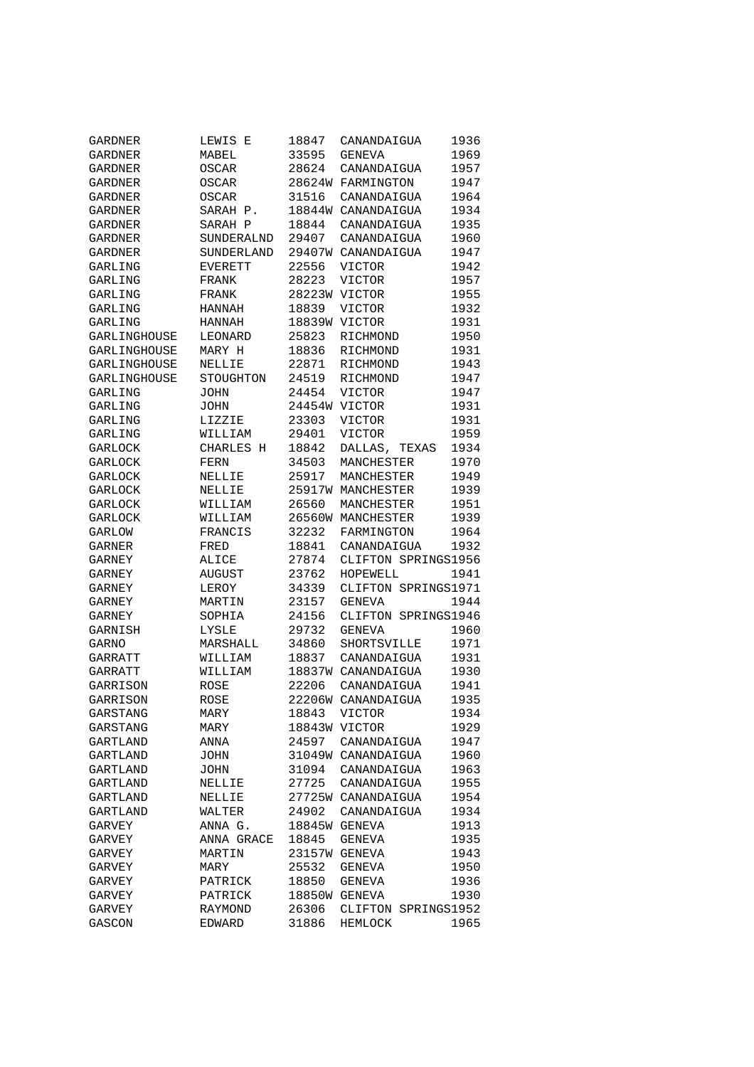| <b>GARDNER</b> | LEWIS E      | 18847  | CANANDAIGUA         | 1936 |
|----------------|--------------|--------|---------------------|------|
| GARDNER        | MABEL        | 33595  | <b>GENEVA</b>       | 1969 |
| GARDNER        | <b>OSCAR</b> | 28624  | CANANDAIGUA         | 1957 |
| GARDNER        | OSCAR        | 28624W | FARMINGTON          | 1947 |
| GARDNER        | OSCAR        | 31516  | CANANDAIGUA         | 1964 |
| GARDNER        | SARAH P.     | 18844W | CANANDAIGUA         | 1934 |
| GARDNER        | SARAH P      | 18844  | CANANDAIGUA         | 1935 |
| GARDNER        | SUNDERALND   | 29407  | CANANDAIGUA         | 1960 |
| GARDNER        | SUNDERLAND   | 29407W | CANANDAIGUA         | 1947 |
| GARLING        | EVERETT      | 22556  | VICTOR              | 1942 |
| GARLING        | FRANK        | 28223  | <b>VICTOR</b>       | 1957 |
| GARLING        | FRANK        | 28223W | <b>VICTOR</b>       | 1955 |
| GARLING        | HANNAH       | 18839  | <b>VICTOR</b>       | 1932 |
| GARLING        | HANNAH       |        | 18839W VICTOR       | 1931 |
| GARLINGHOUSE   | LEONARD      | 25823  | RICHMOND            | 1950 |
| GARLINGHOUSE   | MARY H       | 18836  | RICHMOND            | 1931 |
| GARLINGHOUSE   | NELLIE       | 22871  | RICHMOND            | 1943 |
| GARLINGHOUSE   | STOUGHTON    | 24519  | RICHMOND            | 1947 |
| GARLING        | <b>JOHN</b>  | 24454  | VICTOR              | 1947 |
| GARLING        | JOHN         | 24454W | <b>VICTOR</b>       | 1931 |
| GARLING        | LIZZIE       | 23303  | VICTOR              | 1931 |
| GARLING        | WILLIAM      | 29401  | <b>VICTOR</b>       | 1959 |
| GARLOCK        | CHARLES H    | 18842  | DALLAS,<br>TEXAS    | 1934 |
| GARLOCK        | FERN         | 34503  | MANCHESTER          | 1970 |
| <b>GARLOCK</b> | NELLIE       | 25917  | MANCHESTER          | 1949 |
| <b>GARLOCK</b> | NELLIE       |        | 25917W MANCHESTER   | 1939 |
| GARLOCK        | WILLIAM      | 26560  | MANCHESTER          | 1951 |
| GARLOCK        | WILLIAM      | 26560W | MANCHESTER          | 1939 |
| GARLOW         | FRANCIS      | 32232  | FARMINGTON          | 1964 |
| GARNER         | FRED         | 18841  | CANANDAIGUA         | 1932 |
| GARNEY         | ALICE        | 27874  | CLIFTON SPRINGS1956 |      |
| GARNEY         | AUGUST       | 23762  | HOPEWELL            | 1941 |
| GARNEY         | LEROY        | 34339  | CLIFTON SPRINGS1971 |      |
| GARNEY         | MARTIN       | 23157  | GENEVA              | 1944 |
| GARNEY         | SOPHIA       | 24156  | CLIFTON SPRINGS1946 |      |
| GARNISH        | <b>LYSLE</b> | 29732  | <b>GENEVA</b>       | 1960 |
| GARNO          | MARSHALL     | 34860  | SHORTSVILLE         | 1971 |
| GARRATT        | WILLIAM      | 18837  | CANANDAIGUA         | 1931 |
| <b>GARRATT</b> | WILLIAM      |        | 18837W CANANDAIGUA  | 1930 |
| GARRISON       | <b>ROSE</b>  | 22206  | CANANDAIGUA         | 1941 |
| GARRISON       | ROSE         |        | 22206W CANANDAIGUA  | 1935 |
| GARSTANG       | MARY         | 18843  | VICTOR              | 1934 |
| GARSTANG       | MARY         |        | 18843W VICTOR       | 1929 |
| GARTLAND       | ANNA         | 24597  | CANANDAIGUA         | 1947 |
| GARTLAND       | <b>JOHN</b>  |        | 31049W CANANDAIGUA  | 1960 |
| GARTLAND       | JOHN         | 31094  | CANANDAIGUA         | 1963 |
| GARTLAND       | NELLIE       | 27725  | CANANDAIGUA         | 1955 |
| GARTLAND       | NELLIE       |        | 27725W CANANDAIGUA  | 1954 |
| GARTLAND       | WALTER       | 24902  | CANANDAIGUA         | 1934 |
| GARVEY         | ANNA G.      | 18845W | <b>GENEVA</b>       | 1913 |
| GARVEY         | ANNA GRACE   | 18845  | <b>GENEVA</b>       | 1935 |
| GARVEY         | MARTIN       | 23157W | <b>GENEVA</b>       | 1943 |
| GARVEY         | MARY         | 25532  | GENEVA              | 1950 |
| GARVEY         | PATRICK      | 18850  | GENEVA              | 1936 |
| GARVEY         | PATRICK      | 18850W | GENEVA              | 1930 |
| GARVEY         | RAYMOND      | 26306  | CLIFTON SPRINGS1952 |      |
| GASCON         | EDWARD       | 31886  | HEMLOCK             | 1965 |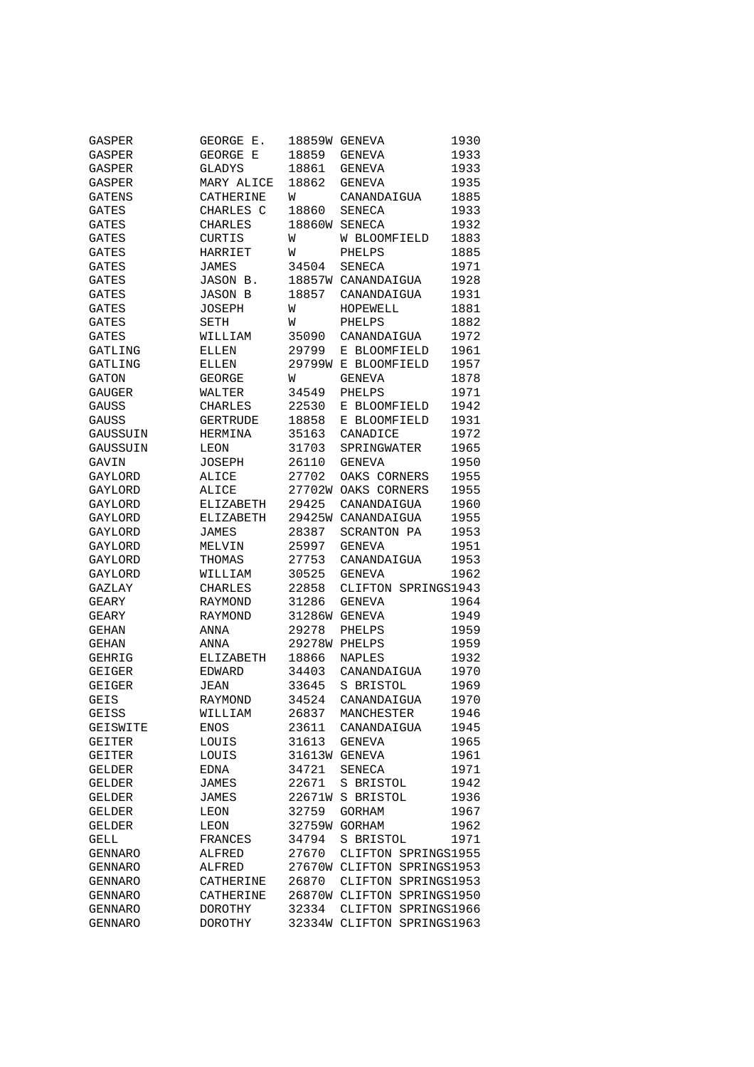| GASPER         | GEORGE E.       | 18859W | GENEVA                     | 1930 |
|----------------|-----------------|--------|----------------------------|------|
| GASPER         | GEORGE E        | 18859  | GENEVA                     | 1933 |
| GASPER         | GLADYS          | 18861  | <b>GENEVA</b>              | 1933 |
| GASPER         | MARY ALICE      | 18862  | GENEVA                     | 1935 |
| <b>GATENS</b>  | CATHERINE       | W      | CANANDAIGUA                | 1885 |
| <b>GATES</b>   | CHARLES C       | 18860  | <b>SENECA</b>              | 1933 |
| GATES          | CHARLES         | 18860W | SENECA                     | 1932 |
| GATES          | <b>CURTIS</b>   | W      | W BLOOMFIELD               | 1883 |
| <b>GATES</b>   | HARRIET         | W      | PHELPS                     | 1885 |
| GATES          | JAMES           | 34504  | SENECA                     | 1971 |
| <b>GATES</b>   | JASON B.        | 18857W | CANANDAIGUA                | 1928 |
| <b>GATES</b>   | <b>JASON B</b>  | 18857  | CANANDAIGUA                | 1931 |
| <b>GATES</b>   | <b>JOSEPH</b>   | W      | HOPEWELL                   | 1881 |
| GATES          | SETH            | W      | PHELPS                     | 1882 |
| GATES          | WILLIAM         | 35090  | CANANDAIGUA                | 1972 |
| GATLING        | ELLEN           | 29799  | E BLOOMFIELD               | 1961 |
| GATLING        | ELLEN           | 29799W | E BLOOMFIELD               | 1957 |
| GATON          | GEORGE          | W      | GENEVA                     | 1878 |
| <b>GAUGER</b>  | WALTER          | 34549  | PHELPS                     | 1971 |
| GAUSS          | <b>CHARLES</b>  | 22530  | E BLOOMFIELD               | 1942 |
| GAUSS          | <b>GERTRUDE</b> | 18858  | E BLOOMFIELD               | 1931 |
| GAUSSUIN       | HERMINA         | 35163  | CANADICE                   | 1972 |
| GAUSSUIN       | LEON            | 31703  | SPRINGWATER                | 1965 |
| GAVIN          | <b>JOSEPH</b>   | 26110  | <b>GENEVA</b>              | 1950 |
| GAYLORD        | ALICE           | 27702  | OAKS CORNERS               | 1955 |
| GAYLORD        | ALICE           | 27702W | OAKS CORNERS               | 1955 |
| GAYLORD        | ELIZABETH       | 29425  | CANANDAIGUA                | 1960 |
| GAYLORD        | ELIZABETH       | 29425W | CANANDAIGUA                | 1955 |
| GAYLORD        | <b>JAMES</b>    | 28387  | SCRANTON PA                | 1953 |
| GAYLORD        | MELVIN          | 25997  | <b>GENEVA</b>              | 1951 |
| GAYLORD        | THOMAS          | 27753  | CANANDAIGUA                | 1953 |
| GAYLORD        | WILLIAM         | 30525  | <b>GENEVA</b>              | 1962 |
| GAZLAY         | CHARLES         | 22858  | CLIFTON SPRINGS1943        |      |
| GEARY          | RAYMOND         | 31286  | GENEVA                     | 1964 |
| GEARY          | RAYMOND         | 31286W | <b>GENEVA</b>              | 1949 |
| GEHAN          | ANNA            | 29278  | PHELPS                     | 1959 |
| GEHAN          | <b>ANNA</b>     | 29278W | PHELPS                     | 1959 |
| <b>GEHRIG</b>  | ELIZABETH       | 18866  | <b>NAPLES</b>              | 1932 |
| GEIGER         | EDWARD          | 34403  | CANANDAIGUA                | 1970 |
| GEIGER         | <b>JEAN</b>     | 33645  | S BRISTOL                  | 1969 |
| GEIS           | RAYMOND         | 34524  | CANANDAIGUA                | 1970 |
| GEISS          | WILLIAM         | 26837  | MANCHESTER                 | 1946 |
| GEISWITE       | <b>ENOS</b>     | 23611  | CANANDAIGUA                | 1945 |
| GEITER         | LOUIS           | 31613  | GENEVA                     | 1965 |
| GEITER         | LOUIS           | 31613W | <b>GENEVA</b>              | 1961 |
| <b>GELDER</b>  | EDNA            | 34721  | SENECA                     | 1971 |
| GELDER         | JAMES           | 22671  | S BRISTOL                  | 1942 |
| <b>GELDER</b>  | JAMES           | 22671W | S BRISTOL                  | 1936 |
| GELDER         | LEON            | 32759  | GORHAM                     | 1967 |
| GELDER         | LEON            | 32759W | GORHAM                     | 1962 |
| GELL           | <b>FRANCES</b>  | 34794  | S BRISTOL                  | 1971 |
| GENNARO        | ALFRED          | 27670  | CLIFTON SPRINGS1955        |      |
| GENNARO        | ALFRED          | 27670W | CLIFTON SPRINGS1953        |      |
| GENNARO        | CATHERINE       | 26870  | CLIFTON SPRINGS1953        |      |
| GENNARO        | CATHERINE       | 26870W | CLIFTON SPRINGS1950        |      |
| GENNARO        | <b>DOROTHY</b>  | 32334  | CLIFTON SPRINGS1966        |      |
| <b>GENNARO</b> | <b>DOROTHY</b>  |        | 32334W CLIFTON SPRINGS1963 |      |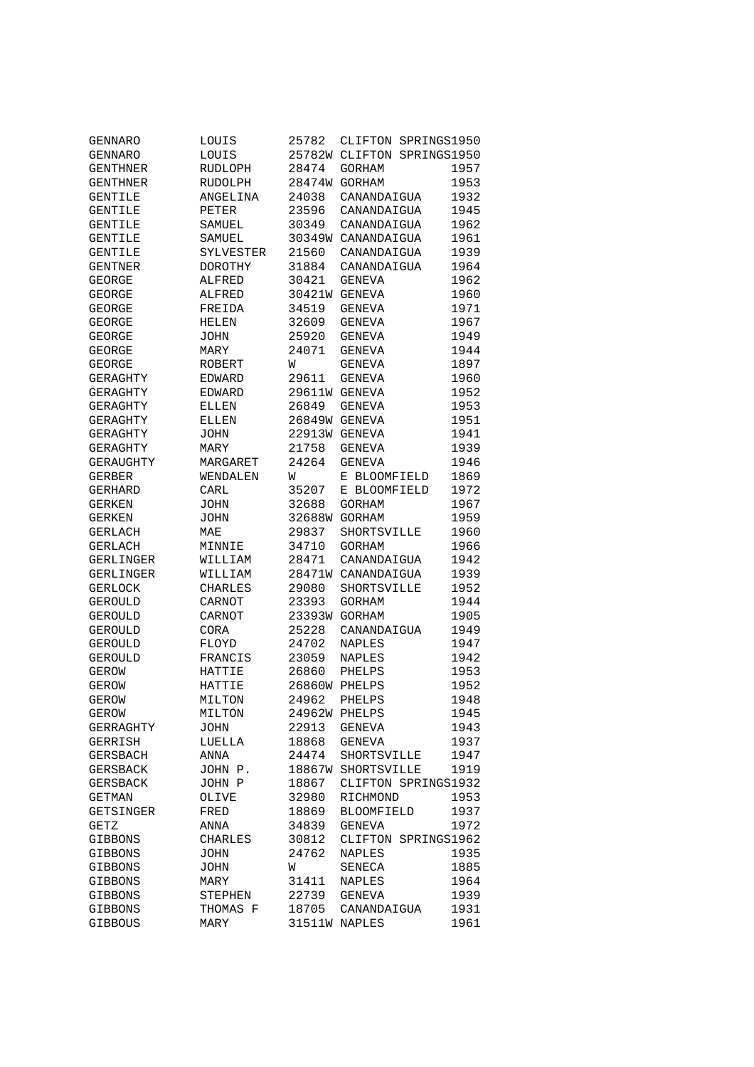| GENNARO         | LOUIS          | 25782         | CLIFTON SPRINGS1950 |      |
|-----------------|----------------|---------------|---------------------|------|
| <b>GENNARO</b>  | LOUIS          | 25782W        | CLIFTON SPRINGS1950 |      |
| <b>GENTHNER</b> | <b>RUDLOPH</b> | 28474         | GORHAM              | 1957 |
| <b>GENTHNER</b> | RUDOLPH        | 28474W        | GORHAM              | 1953 |
| <b>GENTILE</b>  | ANGELINA       | 24038         | CANANDAIGUA         | 1932 |
| GENTILE         | PETER          | 23596         | CANANDAIGUA         | 1945 |
| GENTILE         | SAMUEL         | 30349         | CANANDAIGUA         | 1962 |
| <b>GENTILE</b>  | SAMUEL         | 30349W        | CANANDAIGUA         | 1961 |
| GENTILE         | SYLVESTER      | 21560         | CANANDAIGUA         | 1939 |
| <b>GENTNER</b>  | <b>DOROTHY</b> | 31884         | CANANDAIGUA         | 1964 |
| GEORGE          | ALFRED         | 30421         | <b>GENEVA</b>       | 1962 |
| GEORGE          | ALFRED         | 30421W        | <b>GENEVA</b>       | 1960 |
| GEORGE          | FREIDA         | 34519         | <b>GENEVA</b>       | 1971 |
| GEORGE          | <b>HELEN</b>   | 32609         | <b>GENEVA</b>       | 1967 |
| <b>GEORGE</b>   | JOHN           | 25920         | <b>GENEVA</b>       | 1949 |
| GEORGE          | MARY           | 24071         | GENEVA              | 1944 |
| GEORGE          | ROBERT         | W             | GENEVA              | 1897 |
| GERAGHTY        | EDWARD         | 29611         | <b>GENEVA</b>       | 1960 |
| GERAGHTY        | EDWARD         | 29611W        | <b>GENEVA</b>       | 1952 |
| <b>GERAGHTY</b> | <b>ELLEN</b>   | 26849         | <b>GENEVA</b>       | 1953 |
| GERAGHTY        | ELLEN          | 26849W        | <b>GENEVA</b>       | 1951 |
| GERAGHTY        | JOHN           | 22913W        | <b>GENEVA</b>       | 1941 |
| <b>GERAGHTY</b> | MARY           | 21758         | <b>GENEVA</b>       | 1939 |
| GERAUGHTY       | MARGARET       | 24264         | GENEVA              | 1946 |
| <b>GERBER</b>   | WENDALEN       | W             | BLOOMFIELD<br>Е     | 1869 |
| <b>GERHARD</b>  | CARL           | 35207         | E BLOOMFIELD        | 1972 |
| <b>GERKEN</b>   | JOHN           | 32688         | GORHAM              | 1967 |
| GERKEN          | <b>JOHN</b>    | 32688W        | GORHAM              | 1959 |
| <b>GERLACH</b>  | MAE            | 29837         | SHORTSVILLE         | 1960 |
| GERLACH         | MINNIE         | 34710         | GORHAM              | 1966 |
| GERLINGER       | WILLIAM        | 28471         | CANANDAIGUA         | 1942 |
| GERLINGER       | WILLIAM        | 28471W        | CANANDAIGUA         | 1939 |
| <b>GERLOCK</b>  | CHARLES        | 29080         | SHORTSVILLE         | 1952 |
| <b>GEROULD</b>  | CARNOT         | 23393         | GORHAM              | 1944 |
| <b>GEROULD</b>  | CARNOT         | 23393W        | GORHAM              | 1905 |
| GEROULD         | CORA           | 25228         | CANANDAIGUA         | 1949 |
| GEROULD         | FLOYD          | 24702         | NAPLES              | 1947 |
| GEROULD         | FRANCIS        | 23059         | NAPLES              | 1942 |
| GEROW           | HATTIE         | 26860         | PHELPS              | 1953 |
| GEROW           | <b>HATTIE</b>  | 26860W        | PHELPS              | 1952 |
| GEROW           | MILTON         | 24962         | PHELPS              | 1948 |
| <b>GEROW</b>    | MILTON         |               | 24962W PHELPS       | 1945 |
| GERRAGHTY       | <b>JOHN</b>    | 22913         | GENEVA              | 1943 |
| GERRISH         | LUELLA         | 18868         | GENEVA              | 1937 |
| GERSBACH        | ANNA           | 24474         | SHORTSVILLE         | 1947 |
| GERSBACK        | JOHN P.        | 18867W        | SHORTSVILLE         | 1919 |
| GERSBACK        | JOHN P         | 18867         | CLIFTON SPRINGS1932 |      |
| GETMAN          | OLIVE          | 32980         | RICHMOND            | 1953 |
| GETSINGER       | FRED           | 18869         | <b>BLOOMFIELD</b>   | 1937 |
| GETZ            | ANNA           | 34839         | GENEVA              | 1972 |
| GIBBONS         | CHARLES        | 30812         | CLIFTON SPRINGS1962 |      |
| <b>GIBBONS</b>  | JOHN           | 24762         | NAPLES              | 1935 |
| GIBBONS         | JOHN           | W             | SENECA              | 1885 |
| GIBBONS         | MARY           | 31411         | NAPLES              | 1964 |
| GIBBONS         | STEPHEN        | 22739         | GENEVA              | 1939 |
| GIBBONS         | THOMAS F       | 18705         | CANANDAIGUA         | 1931 |
| <b>GIBBOUS</b>  | MARY           | 31511W NAPLES |                     | 1961 |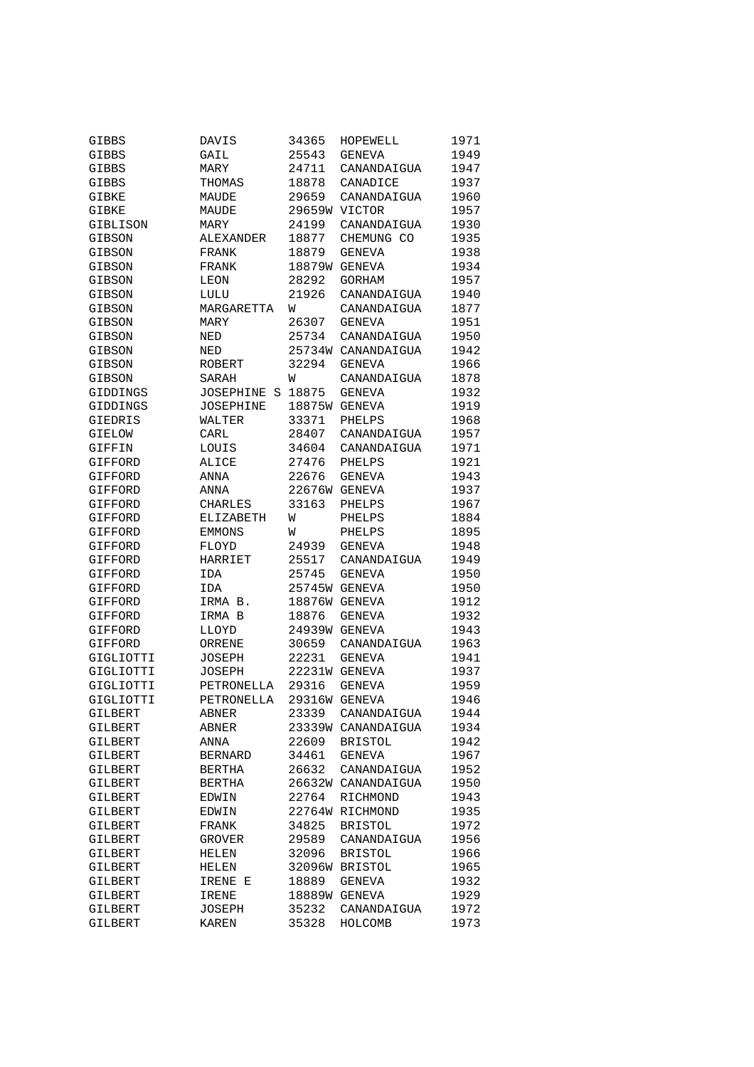| GIBBS         | DAVIS             | 34365         | HOPEWELL       | 1971 |
|---------------|-------------------|---------------|----------------|------|
| GIBBS         | GAIL              | 25543         | <b>GENEVA</b>  | 1949 |
| GIBBS         | MARY              | 24711         | CANANDAIGUA    | 1947 |
| GIBBS         | THOMAS            | 18878         | CANADICE       | 1937 |
| GIBKE         | MAUDE             | 29659         | CANANDAIGUA    | 1960 |
| <b>GIBKE</b>  | MAUDE             | 29659W        | <b>VICTOR</b>  | 1957 |
| GIBLISON      | MARY              | 24199         | CANANDAIGUA    | 1930 |
| GIBSON        | ALEXANDER         | 18877         | CHEMUNG CO     | 1935 |
| GIBSON        | FRANK             | 18879         | <b>GENEVA</b>  | 1938 |
| GIBSON        | FRANK             | 18879W        | <b>GENEVA</b>  | 1934 |
| GIBSON        | LEON              | 28292         | GORHAM         | 1957 |
| GIBSON        | LULU              | 21926         | CANANDAIGUA    | 1940 |
| GIBSON        | MARGARETTA        | M             | CANANDAIGUA    | 1877 |
| GIBSON        | MARY              | 26307         | <b>GENEVA</b>  | 1951 |
| GIBSON        | <b>NED</b>        | 25734         | CANANDAIGUA    | 1950 |
| GIBSON        | NED               | 25734W        | CANANDAIGUA    | 1942 |
| GIBSON        | ROBERT            | 32294         | GENEVA         | 1966 |
| GIBSON        | SARAH             | M             | CANANDAIGUA    | 1878 |
| GIDDINGS      | JOSEPHINE S 18875 |               | <b>GENEVA</b>  | 1932 |
| GIDDINGS      | JOSEPHINE         | 18875W        | <b>GENEVA</b>  | 1919 |
| GIEDRIS       | WALTER            | 33371         | PHELPS         | 1968 |
| <b>GIELOW</b> | CARL              | 28407         | CANANDAIGUA    | 1957 |
| GIFFIN        | LOUIS             | 34604         | CANANDAIGUA    | 1971 |
| GIFFORD       | ALICE             | 27476         | PHELPS         | 1921 |
| GIFFORD       | ANNA              | 22676         | GENEVA         | 1943 |
| GIFFORD       | ANNA              | 22676W        | <b>GENEVA</b>  | 1937 |
| GIFFORD       | CHARLES           | 33163         | PHELPS         | 1967 |
| GIFFORD       | ELIZABETH         | M             | PHELPS         | 1884 |
| GIFFORD       | EMMONS            | W             | PHELPS         | 1895 |
| GIFFORD       | FLOYD             | 24939         | <b>GENEVA</b>  | 1948 |
| GIFFORD       | HARRIET           | 25517         | CANANDAIGUA    | 1949 |
| GIFFORD       | IDA               | 25745         | GENEVA         | 1950 |
| GIFFORD       | IDA               | 25745W        | <b>GENEVA</b>  | 1950 |
| GIFFORD       | IRMA B.           | 18876W        | GENEVA         | 1912 |
| GIFFORD       | IRMA B            | 18876         | <b>GENEVA</b>  | 1932 |
| GIFFORD       | LLOYD             | 24939W        | <b>GENEVA</b>  | 1943 |
| GIFFORD       | ORRENE            | 30659         | CANANDAIGUA    | 1963 |
| GIGLIOTTI     | JOSEPH            | 22231         | GENEVA         | 1941 |
| GIGLIOTTI     | <b>JOSEPH</b>     | 22231W        | <b>GENEVA</b>  | 1937 |
| GIGLIOTTI     | PETRONELLA        | 29316         | GENEVA         | 1959 |
| GIGLIOTTI     | PETRONELLA        | 29316W GENEVA |                | 1946 |
| GILBERT       | ABNER             | 23339         | CANANDAIGUA    | 1944 |
| GILBERT       | ABNER             | 23339W        | CANANDAIGUA    | 1934 |
| GILBERT       | ANNA              | 22609         | <b>BRISTOL</b> | 1942 |
| GILBERT       | <b>BERNARD</b>    | 34461         | GENEVA         | 1967 |
| GILBERT       | BERTHA            | 26632         | CANANDAIGUA    | 1952 |
| GILBERT       | BERTHA            | 26632W        | CANANDAIGUA    | 1950 |
| GILBERT       | EDWIN             | 22764         | RICHMOND       | 1943 |
| GILBERT       | EDWIN             | 22764W        | RICHMOND       | 1935 |
| GILBERT       | FRANK             | 34825         | <b>BRISTOL</b> | 1972 |
| GILBERT       | GROVER            | 29589         | CANANDAIGUA    | 1956 |
| GILBERT       | HELEN             | 32096         | <b>BRISTOL</b> | 1966 |
| GILBERT       | HELEN             | 32096W        | <b>BRISTOL</b> | 1965 |
| GILBERT       | IRENE E           | 18889         | GENEVA         | 1932 |
| GILBERT       | IRENE             | 18889W        | GENEVA         | 1929 |
| GILBERT       | JOSEPH            | 35232         | CANANDAIGUA    | 1972 |
| GILBERT       | KAREN             | 35328         | HOLCOMB        | 1973 |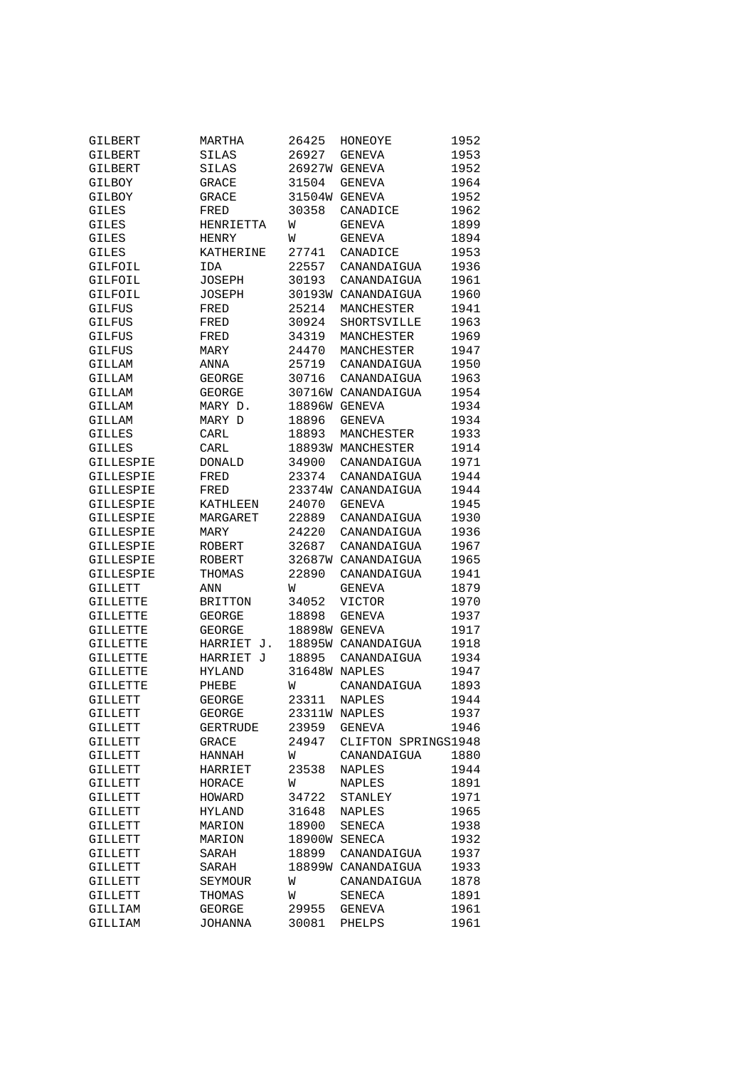| GILBERT        | MARTHA          | 26425         | HONEOYE             | 1952 |
|----------------|-----------------|---------------|---------------------|------|
| GILBERT        | SILAS           | 26927         | <b>GENEVA</b>       | 1953 |
| GILBERT        | SILAS           | 26927W        | <b>GENEVA</b>       | 1952 |
| GILBOY         | GRACE           | 31504         | GENEVA              | 1964 |
| GILBOY         | GRACE           | 31504W        | <b>GENEVA</b>       | 1952 |
| GILES          | FRED            | 30358         | CANADICE            | 1962 |
| GILES          | HENRIETTA       | W             | <b>GENEVA</b>       | 1899 |
| GILES          | HENRY           | W             | <b>GENEVA</b>       | 1894 |
| GILES          | KATHERINE       | 27741         | CANADICE            | 1953 |
| GILFOIL        | IDA             | 22557         | CANANDAIGUA         | 1936 |
| GILFOIL        | <b>JOSEPH</b>   | 30193         | CANANDAIGUA         | 1961 |
| GILFOIL        | <b>JOSEPH</b>   | 30193W        | CANANDAIGUA         | 1960 |
| GILFUS         | FRED            | 25214         | MANCHESTER          | 1941 |
| GILFUS         | FRED            | 30924         | SHORTSVILLE         | 1963 |
| GILFUS         | FRED            | 34319         | MANCHESTER          | 1969 |
| GILFUS         | MARY            | 24470         | MANCHESTER          | 1947 |
| GILLAM         | ANNA            | 25719         | CANANDAIGUA         | 1950 |
| GILLAM         | <b>GEORGE</b>   | 30716         | CANANDAIGUA         | 1963 |
| GILLAM         | <b>GEORGE</b>   | 30716W        | CANANDAIGUA         | 1954 |
| GILLAM         | MARY D.         | 18896W        | <b>GENEVA</b>       | 1934 |
| GILLAM         | MARY D          | 18896         | <b>GENEVA</b>       | 1934 |
| GILLES         | CARL            | 18893         | MANCHESTER          | 1933 |
| GILLES         | CARL            | 18893W        | MANCHESTER          | 1914 |
| GILLESPIE      | <b>DONALD</b>   | 34900         | CANANDAIGUA         | 1971 |
| GILLESPIE      | FRED            | 23374         | CANANDAIGUA         | 1944 |
| GILLESPIE      | FRED            | 23374W        | CANANDAIGUA         | 1944 |
| GILLESPIE      | KATHLEEN        | 24070         | <b>GENEVA</b>       | 1945 |
| GILLESPIE      | MARGARET        | 22889         | CANANDAIGUA         | 1930 |
| GILLESPIE      | MARY            | 24220         | CANANDAIGUA         | 1936 |
| GILLESPIE      | <b>ROBERT</b>   | 32687         | CANANDAIGUA         | 1967 |
| GILLESPIE      | ROBERT          | 32687W        | CANANDAIGUA         | 1965 |
| GILLESPIE      | THOMAS          | 22890         | CANANDAIGUA         | 1941 |
| GILLETT        | ANN             | W             | <b>GENEVA</b>       | 1879 |
| GILLETTE       | <b>BRITTON</b>  | 34052         | <b>VICTOR</b>       | 1970 |
| GILLETTE       | GEORGE          | 18898         | GENEVA              | 1937 |
| GILLETTE       | GEORGE          | 18898W        | GENEVA              | 1917 |
| GILLETTE       | HARRIET<br>J.   | 18895W        | CANANDAIGUA         | 1918 |
| GILLETTE       | HARRIET<br>J    | 18895         | CANANDAIGUA         | 1934 |
| GILLETTE       | <b>HYLAND</b>   | 31648W        | <b>NAPLES</b>       | 1947 |
| GILLETTE       | PHEBE           | W             | CANANDAIGUA         | 1893 |
| <b>GILLETT</b> | GEORGE          | 23311         | NAPLES              | 1944 |
| GILLETT        | GEORGE          | 23311W NAPLES |                     | 1937 |
| <b>GILLETT</b> | <b>GERTRUDE</b> | 23959         | <b>GENEVA</b>       | 1946 |
| GILLETT        | GRACE           | 24947         | CLIFTON SPRINGS1948 |      |
| <b>GILLETT</b> | <b>HANNAH</b>   | W             | CANANDAIGUA         | 1880 |
| <b>GILLETT</b> | HARRIET         | 23538         | <b>NAPLES</b>       | 1944 |
| GILLETT        | HORACE          | W             | NAPLES              | 1891 |
| GILLETT        | HOWARD          | 34722         | STANLEY             | 1971 |
| GILLETT        | <b>HYLAND</b>   | 31648         | NAPLES              | 1965 |
| GILLETT        | MARION          | 18900         | SENECA              | 1938 |
| GILLETT        | MARION          | 18900W        | SENECA              | 1932 |
| GILLETT        | SARAH           | 18899         | CANANDAIGUA         | 1937 |
| GILLETT        | SARAH           |               | 18899W CANANDAIGUA  | 1933 |
| GILLETT        | SEYMOUR         | W             | CANANDAIGUA         | 1878 |
| GILLETT        | THOMAS          | W             | SENECA              | 1891 |
| GILLIAM        | GEORGE          | 29955         | GENEVA              | 1961 |
| GILLIAM        | <b>JOHANNA</b>  | 30081         | PHELPS              | 1961 |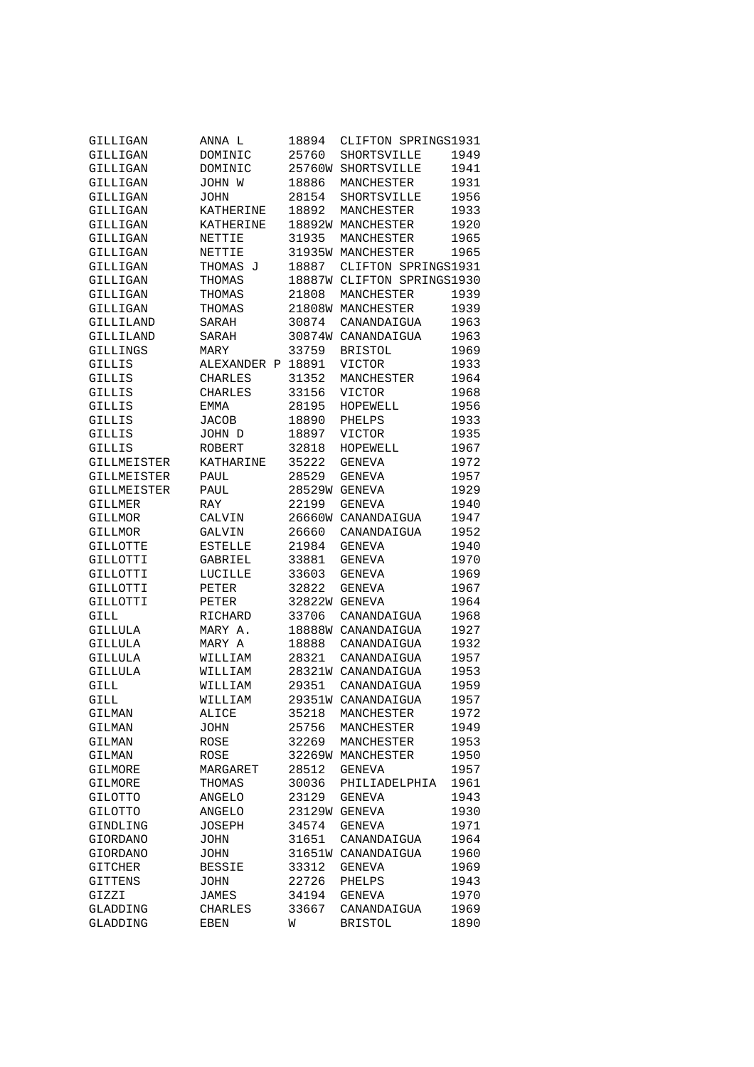| GILLIGAN           | ANNA L         | 18894  | CLIFTON SPRINGS1931 |      |
|--------------------|----------------|--------|---------------------|------|
| GILLIGAN           | DOMINIC        | 25760  | SHORTSVILLE         | 1949 |
| GILLIGAN           | DOMINIC        | 25760W | SHORTSVILLE         | 1941 |
| GILLIGAN           | JOHN W         | 18886  | MANCHESTER          | 1931 |
| GILLIGAN           | JOHN           | 28154  | SHORTSVILLE         | 1956 |
| GILLIGAN           | KATHERINE      | 18892  | MANCHESTER          | 1933 |
| GILLIGAN           | KATHERINE      | 18892W | MANCHESTER          | 1920 |
| GILLIGAN           | NETTIE         | 31935  | MANCHESTER          | 1965 |
| GILLIGAN           | NETTIE         | 31935W | MANCHESTER          | 1965 |
| GILLIGAN           | THOMAS J       | 18887  | CLIFTON SPRINGS1931 |      |
| GILLIGAN           | THOMAS         | 18887W | CLIFTON SPRINGS1930 |      |
| GILLIGAN           | THOMAS         | 21808  | MANCHESTER          | 1939 |
| GILLIGAN           | THOMAS         | 21808W | MANCHESTER          | 1939 |
| GILLILAND          | SARAH          | 30874  | CANANDAIGUA         | 1963 |
| GILLILAND          | SARAH          | 30874W | CANANDAIGUA         | 1963 |
| GILLINGS           | MARY           | 33759  | <b>BRISTOL</b>      | 1969 |
| GILLIS             | ALEXANDER P    | 18891  | VICTOR              | 1933 |
| GILLIS             | CHARLES        | 31352  | MANCHESTER          | 1964 |
| GILLIS             | CHARLES        | 33156  | VICTOR              | 1968 |
| <b>GILLIS</b>      | <b>EMMA</b>    | 28195  | HOPEWELL            | 1956 |
| GILLIS             | <b>JACOB</b>   | 18890  | PHELPS              | 1933 |
| GILLIS             | JOHN D         | 18897  | <b>VICTOR</b>       | 1935 |
| GILLIS             | ROBERT         | 32818  | HOPEWELL            | 1967 |
| GILLMEISTER        | KATHARINE      | 35222  | GENEVA              | 1972 |
| <b>GILLMEISTER</b> | PAUL           | 28529  | <b>GENEVA</b>       | 1957 |
| GILLMEISTER        | PAUL           | 28529W | <b>GENEVA</b>       | 1929 |
| GILLMER            | RAY            | 22199  | GENEVA              | 1940 |
| GILLMOR            | CALVIN         | 26660W | CANANDAIGUA         | 1947 |
| GILLMOR            | GALVIN         | 26660  | CANANDAIGUA         | 1952 |
| GILLOTTE           | <b>ESTELLE</b> | 21984  | <b>GENEVA</b>       | 1940 |
| <b>GILLOTTI</b>    | GABRIEL        | 33881  | GENEVA              | 1970 |
| GILLOTTI           | LUCILLE        | 33603  | GENEVA              | 1969 |
| GILLOTTI           | PETER          | 32822  | <b>GENEVA</b>       | 1967 |
| <b>GILLOTTI</b>    | PETER          | 32822W | GENEVA              | 1964 |
| GILL               | RICHARD        | 33706  | CANANDAIGUA         | 1968 |
| GILLULA            | MARY A.        | 18888W | CANANDAIGUA         | 1927 |
| GILLULA            | MARY A         | 18888  | CANANDAIGUA         | 1932 |
| GILLULA            | WILLIAM        | 28321  | CANANDAIGUA         | 1957 |
| <b>GILLULA</b>     | WILLIAM        |        | 28321W CANANDAIGUA  | 1953 |
| <b>GILL</b>        | WILLIAM        | 29351  | CANANDAIGUA         | 1959 |
| GILL               | WILLIAM        |        | 29351W CANANDAIGUA  | 1957 |
| GILMAN             | ALICE          | 35218  | MANCHESTER          | 1972 |
| GILMAN             | JOHN           | 25756  | MANCHESTER          | 1949 |
| GILMAN             | ROSE           | 32269  | MANCHESTER          | 1953 |
| GILMAN             | ROSE           | 32269W | MANCHESTER          | 1950 |
| GILMORE            | MARGARET       | 28512  | GENEVA              | 1957 |
| GILMORE            | THOMAS         | 30036  | PHILIADELPHIA       | 1961 |
| <b>GILOTTO</b>     | ANGELO         | 23129  | GENEVA              | 1943 |
| GILOTTO            | ANGELO         | 23129W | GENEVA              | 1930 |
| GINDLING           | JOSEPH         | 34574  | GENEVA              | 1971 |
| GIORDANO           | JOHN           | 31651  | CANANDAIGUA         | 1964 |
| GIORDANO           | JOHN           | 31651W | CANANDAIGUA         | 1960 |
| GITCHER            | <b>BESSIE</b>  | 33312  | GENEVA              | 1969 |
| GITTENS            | JOHN           | 22726  | PHELPS              | 1943 |
| GIZZI              | JAMES          | 34194  | GENEVA              | 1970 |
| GLADDING           | CHARLES        | 33667  | CANANDAIGUA         | 1969 |
| GLADDING           | EBEN           | W      | <b>BRISTOL</b>      | 1890 |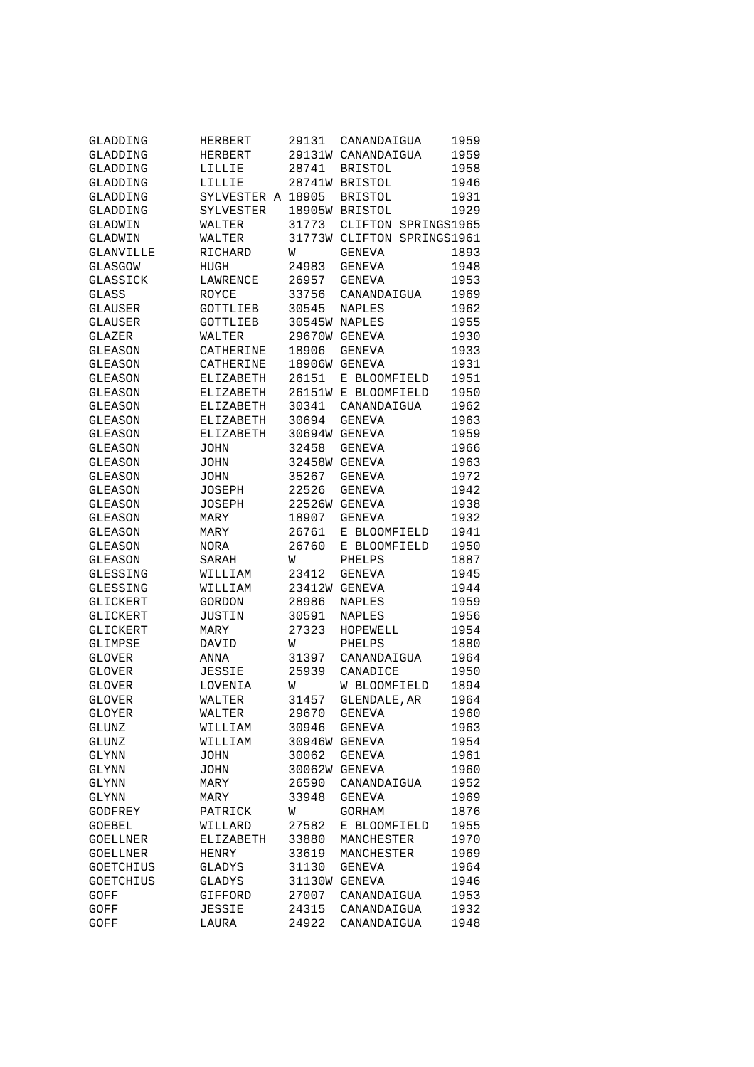| GLADDING        | HERBERT           | 29131          | CANANDAIGUA         | 1959 |
|-----------------|-------------------|----------------|---------------------|------|
|                 |                   |                |                     |      |
| GLADDING        | HERBERT           |                | 29131W CANANDAIGUA  | 1959 |
| GLADDING        | LILLIE            | 28741          | <b>BRISTOL</b>      | 1958 |
| GLADDING        | LILLIE            | 28741W         | <b>BRISTOL</b>      | 1946 |
| GLADDING        | SYLVESTER A 18905 |                | <b>BRISTOL</b>      | 1931 |
| GLADDING        | SYLVESTER         | 18905W         | <b>BRISTOL</b>      | 1929 |
| GLADWIN         | WALTER            | 31773          | CLIFTON SPRINGS1965 |      |
| GLADWIN         | WALTER            | 31773W         | CLIFTON SPRINGS1961 |      |
| GLANVILLE       | RICHARD           | W              | GENEVA              | 1893 |
| GLASGOW         | HUGH              | 24983          | <b>GENEVA</b>       | 1948 |
| GLASSICK        | LAWRENCE          | 26957          | <b>GENEVA</b>       | 1953 |
| GLASS           | ROYCE             | 33756          | CANANDAIGUA         | 1969 |
| <b>GLAUSER</b>  | GOTTLIEB          | 30545          | NAPLES              | 1962 |
| GLAUSER         | GOTTLIEB          | 30545W         | NAPLES              | 1955 |
| <b>GLAZER</b>   | <b>WALTER</b>     | 29670W         | <b>GENEVA</b>       | 1930 |
| GLEASON         | CATHERINE         | 18906          | GENEVA              | 1933 |
| GLEASON         | CATHERINE         | 18906W         | <b>GENEVA</b>       | 1931 |
|                 |                   | 26151          |                     | 1951 |
| GLEASON         | ELIZABETH         |                | E BLOOMFIELD        |      |
| GLEASON         | ELIZABETH         | 26151W         | E BLOOMFIELD        | 1950 |
| <b>GLEASON</b>  | ELIZABETH         | 30341          | CANANDAIGUA         | 1962 |
| GLEASON         | ELIZABETH         | 30694          | <b>GENEVA</b>       | 1963 |
| GLEASON         | ELIZABETH         | 30694W         | <b>GENEVA</b>       | 1959 |
| GLEASON         | JOHN              | 32458          | <b>GENEVA</b>       | 1966 |
| GLEASON         | JOHN              | 32458W         | <b>GENEVA</b>       | 1963 |
| GLEASON         | JOHN              | 35267          | <b>GENEVA</b>       | 1972 |
| GLEASON         | JOSEPH            | 22526          | <b>GENEVA</b>       | 1942 |
| GLEASON         | JOSEPH            | 22526W         | <b>GENEVA</b>       | 1938 |
| GLEASON         | MARY              | 18907          | GENEVA              | 1932 |
| GLEASON         | MARY              | 26761          | E BLOOMFIELD        | 1941 |
| GLEASON         | <b>NORA</b>       | 26760          | E BLOOMFIELD        | 1950 |
| GLEASON         | SARAH             | W              | PHELPS              | 1887 |
| GLESSING        | WILLIAM           | 23412          | <b>GENEVA</b>       | 1945 |
| GLESSING        | WILLIAM           | 23412W         | <b>GENEVA</b>       | 1944 |
| GLICKERT        | GORDON            | 28986          | NAPLES              | 1959 |
| GLICKERT        | JUSTIN            | 30591          | NAPLES              | 1956 |
| GLICKERT        | MARY              | 27323          | HOPEWELL            | 1954 |
| GLIMPSE         | DAVID             | W              | PHELPS              | 1880 |
| <b>GLOVER</b>   | ANNA              | 31397          | CANANDAIGUA         | 1964 |
| <b>GLOVER</b>   | JESSIE            | 25939          | CANADICE            | 1950 |
| <b>GLOVER</b>   | LOVENIA           | W              | W BLOOMFIELD        | 1894 |
| <b>GLOVER</b>   | <b>WALTER</b>     | 31457          | GLENDALE, AR        | 1964 |
| GLOYER          | WALTER            | 29670          | GENEVA              | 1960 |
| GLUNZ           | WILLIAM           | 30946          | <b>GENEVA</b>       | 1963 |
| GLUNZ           | WILLIAM           |                | 30946W GENEVA       | 1954 |
| GLYNN           | JOHN              | 30062          | GENEVA              | 1961 |
| GLYNN           | JOHN              |                | 30062W GENEVA       | 1960 |
| GLYNN           | MARY              | 26590          | CANANDAIGUA         | 1952 |
| GLYNN           | MARY              | 33948          | GENEVA              | 1969 |
| GODFREY         | PATRICK           | W              | GORHAM              | 1876 |
| GOEBEL          | WILLARD           | 27582          | E BLOOMFIELD        | 1955 |
| GOELLNER        |                   |                |                     |      |
|                 | ELIZABETH         | 33880<br>33619 | MANCHESTER          | 1970 |
| <b>GOELLNER</b> | HENRY             |                | MANCHESTER          | 1969 |
| GOETCHIUS       | GLADYS            | 31130          | GENEVA              | 1964 |
| GOETCHIUS       | GLADYS            | 31130W         | <b>GENEVA</b>       | 1946 |
| GOFF            | GIFFORD           | 27007          | CANANDAIGUA         | 1953 |
| GOFF            | JESSIE            | 24315          | CANANDAIGUA         | 1932 |
| GOFF            | LAURA             | 24922          | CANANDAIGUA         | 1948 |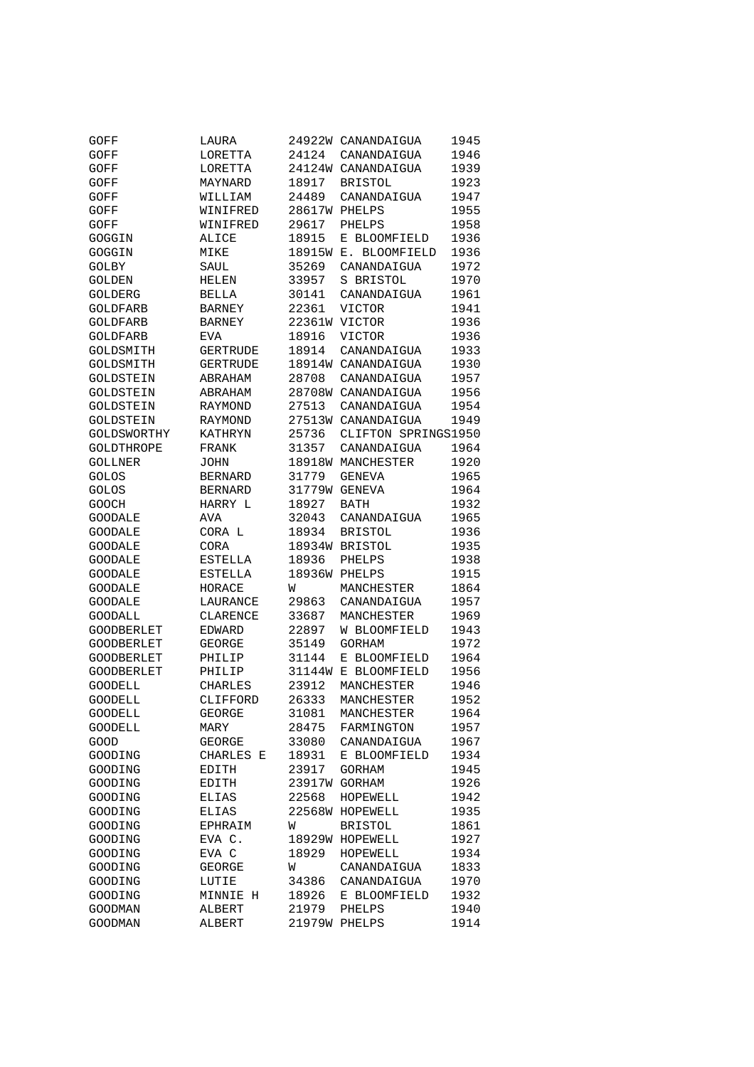| GOFF              | LAURA           |               | 24922W CANANDAIGUA  | 1945 |
|-------------------|-----------------|---------------|---------------------|------|
| GOFF              | LORETTA         | 24124         | CANANDAIGUA         | 1946 |
| GOFF              | LORETTA         |               | 24124W CANANDAIGUA  | 1939 |
| GOFF              | MAYNARD         | 18917         | <b>BRISTOL</b>      | 1923 |
|                   |                 | 24489         |                     | 1947 |
| GOFF              | WILLIAM         |               | CANANDAIGUA         |      |
| GOFF              | WINIFRED        | 28617W        | PHELPS              | 1955 |
| GOFF              | WINIFRED        | 29617         | PHELPS              | 1958 |
| GOGGIN            | ALICE           | 18915         | BLOOMFIELD<br>Е     | 1936 |
| GOGGIN            | MIKE            | 18915W        | E. BLOOMFIELD       | 1936 |
| GOLBY             | SAUL            | 35269         | CANANDAIGUA         | 1972 |
| GOLDEN            | HELEN           | 33957         | S BRISTOL           | 1970 |
| GOLDERG           | BELLA           | 30141         | CANANDAIGUA         | 1961 |
| <b>GOLDFARB</b>   | <b>BARNEY</b>   | 22361         | VICTOR              | 1941 |
| GOLDFARB          | <b>BARNEY</b>   | 22361W        | <b>VICTOR</b>       | 1936 |
| <b>GOLDFARB</b>   | <b>EVA</b>      | 18916         | <b>VICTOR</b>       | 1936 |
| GOLDSMITH         | <b>GERTRUDE</b> | 18914         | CANANDAIGUA         | 1933 |
| GOLDSMITH         | GERTRUDE        | 18914W        | CANANDAIGUA         | 1930 |
| GOLDSTEIN         | ABRAHAM         | 28708         | CANANDAIGUA         | 1957 |
| GOLDSTEIN         | ABRAHAM         | 28708W        | CANANDAIGUA         | 1956 |
| GOLDSTEIN         | <b>RAYMOND</b>  | 27513         | CANANDAIGUA         | 1954 |
| GOLDSTEIN         | <b>RAYMOND</b>  |               | 27513W CANANDAIGUA  | 1949 |
| GOLDSWORTHY       | KATHRYN         | 25736         | CLIFTON SPRINGS1950 |      |
| <b>GOLDTHROPE</b> | FRANK           | 31357         | CANANDAIGUA         | 1964 |
| GOLLNER           | JOHN            | 18918W        | MANCHESTER          | 1920 |
| <b>GOLOS</b>      | <b>BERNARD</b>  | 31779         | <b>GENEVA</b>       | 1965 |
| <b>GOLOS</b>      | <b>BERNARD</b>  | 31779W        | <b>GENEVA</b>       | 1964 |
| <b>GOOCH</b>      | HARRY L         | 18927         | <b>BATH</b>         | 1932 |
| <b>GOODALE</b>    | AVA             | 32043         | CANANDAIGUA         | 1965 |
|                   |                 |               |                     |      |
| GOODALE           | CORA L          | 18934         | <b>BRISTOL</b>      | 1936 |
| <b>GOODALE</b>    | CORA            | 18934W        | <b>BRISTOL</b>      | 1935 |
| <b>GOODALE</b>    | <b>ESTELLA</b>  | 18936         | PHELPS              | 1938 |
| <b>GOODALE</b>    | ESTELLA         | 18936W        | PHELPS              | 1915 |
| <b>GOODALE</b>    | HORACE          | M             | MANCHESTER          | 1864 |
| <b>GOODALE</b>    | LAURANCE        | 29863         | CANANDAIGUA         | 1957 |
| <b>GOODALL</b>    | CLARENCE        | 33687         | MANCHESTER          | 1969 |
| GOODBERLET        | EDWARD          | 22897         | W BLOOMFIELD        | 1943 |
| <b>GOODBERLET</b> | <b>GEORGE</b>   | 35149         | <b>GORHAM</b>       | 1972 |
| <b>GOODBERLET</b> | PHILIP          | 31144         | BLOOMFIELD<br>Е     | 1964 |
| <b>GOODBERLET</b> | PHILIP          | 31144W        | E BLOOMFIELD        | 1956 |
| <b>GOODELL</b>    | <b>CHARLES</b>  | 23912         | MANCHESTER          | 1946 |
| GOODELL           | CLIFFORD        | 26333         | MANCHESTER          | 1952 |
| GOODELL           | GEORGE          | 31081         | MANCHESTER          | 1964 |
| <b>GOODELL</b>    | MARY            | 28475         | FARMINGTON          | 1957 |
| GOOD              | <b>GEORGE</b>   | 33080         | CANANDAIGUA         | 1967 |
| GOODING           | CHARLES E       | 18931         | E BLOOMFIELD        | 1934 |
| GOODING           | EDITH           | 23917         | <b>GORHAM</b>       | 1945 |
| GOODING           | EDITH           | 23917W        | GORHAM              | 1926 |
| GOODING           | ELIAS           | 22568         | <b>HOPEWELL</b>     | 1942 |
| GOODING           | ELIAS           | 22568W        | HOPEWELL            | 1935 |
| GOODING           | EPHRAIM         | W             | <b>BRISTOL</b>      | 1861 |
| GOODING           | EVA C.          |               | 18929W HOPEWELL     | 1927 |
| GOODING           | EVA C           | 18929         | HOPEWELL            | 1934 |
| GOODING           | GEORGE          | W             | CANANDAIGUA         | 1833 |
| GOODING           | LUTIE           | 34386         | CANANDAIGUA         | 1970 |
| GOODING           | MINNIE H        | 18926         | E BLOOMFIELD        | 1932 |
| GOODMAN           | ALBERT          | 21979         | PHELPS              | 1940 |
| <b>GOODMAN</b>    | ALBERT          | 21979W PHELPS |                     | 1914 |
|                   |                 |               |                     |      |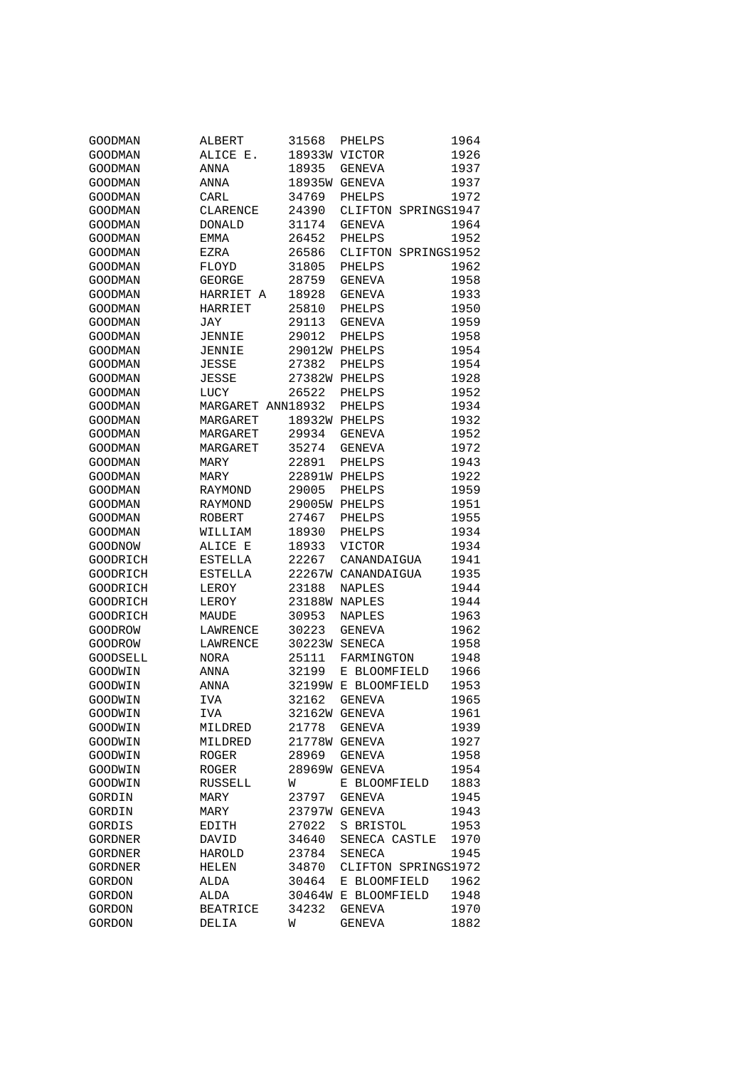| <b>GOODMAN</b>   | ALBERT            | 31568           | PHELPS                     | 1964         |
|------------------|-------------------|-----------------|----------------------------|--------------|
| <b>GOODMAN</b>   | ALICE E.          | 18933W VICTOR   |                            | 1926         |
| <b>GOODMAN</b>   | ANNA              | 18935           | GENEVA                     | 1937         |
| GOODMAN          | ANNA              | 18935W          | <b>GENEVA</b>              | 1937         |
| <b>GOODMAN</b>   | CARL              | 34769           | PHELPS                     | 1972         |
| <b>GOODMAN</b>   | <b>CLARENCE</b>   | 24390           | SPRINGS1947<br>CLIFTON     |              |
| <b>GOODMAN</b>   | <b>DONALD</b>     | 31174           | GENEVA                     | 1964         |
| <b>GOODMAN</b>   | <b>EMMA</b>       | 26452           | PHELPS                     | 1952         |
| <b>GOODMAN</b>   | EZRA              | 26586           | CLIFTON<br>SPRINGS1952     |              |
| GOODMAN          | FLOYD             | 31805           | PHELPS                     | 1962         |
| <b>GOODMAN</b>   | GEORGE            | 28759           | <b>GENEVA</b>              | 1958         |
| <b>GOODMAN</b>   | HARRIET A         | 18928           | <b>GENEVA</b>              | 1933         |
| <b>GOODMAN</b>   | HARRIET           | 25810           | PHELPS                     | 1950         |
| <b>GOODMAN</b>   | JAY               | 29113           | GENEVA                     | 1959         |
| <b>GOODMAN</b>   | JENNIE            | 29012           | PHELPS                     | 1958         |
| <b>GOODMAN</b>   | JENNIE            | 29012W          | PHELPS                     | 1954         |
| <b>GOODMAN</b>   | <b>JESSE</b>      | 27382           | PHELPS                     | 1954         |
| <b>GOODMAN</b>   | <b>JESSE</b>      | 27382W          | PHELPS                     | 1928         |
| <b>GOODMAN</b>   | LUCY              | 26522           | PHELPS                     | 1952         |
| <b>GOODMAN</b>   | MARGARET ANN18932 |                 | PHELPS                     | 1934         |
| GOODMAN          | MARGARET          | 18932W PHELPS   |                            | 1932         |
| <b>GOODMAN</b>   | MARGARET          | 29934           | <b>GENEVA</b>              | 1952         |
| <b>GOODMAN</b>   | MARGARET          | 35274           | <b>GENEVA</b>              | 1972         |
| <b>GOODMAN</b>   | MARY              | 22891           | PHELPS                     | 1943         |
| <b>GOODMAN</b>   | MARY              | 22891W PHELPS   |                            | 1922         |
| <b>GOODMAN</b>   | <b>RAYMOND</b>    | 29005           | PHELPS                     | 1959         |
| GOODMAN          | <b>RAYMOND</b>    | 29005W          | PHELPS                     | 1951         |
| <b>GOODMAN</b>   | <b>ROBERT</b>     | 27467           | PHELPS                     | 1955         |
| <b>GOODMAN</b>   | WILLIAM           | 18930           | PHELPS                     | 1934         |
| GOODNOW          | ALICE E           | 18933           | <b>VICTOR</b>              | 1934         |
| GOODRICH         | <b>ESTELLA</b>    | 22267           | CANANDAIGUA                | 1941         |
| GOODRICH         | <b>ESTELLA</b>    |                 | 22267W CANANDAIGUA         | 1935         |
| GOODRICH         | LEROY             | 23188           | NAPLES                     | 1944         |
| GOODRICH         | LEROY             | 23188W          | <b>NAPLES</b>              | 1944         |
| GOODRICH         | MAUDE             | 30953           | NAPLES                     | 1963         |
| GOODROW          | LAWRENCE          | 30223           | <b>GENEVA</b>              | 1962         |
| GOODROW          | LAWRENCE          | 30223W          | SENECA                     | 1958         |
| <b>GOODSELL</b>  | NORA              | 25111           | FARMINGTON                 | 1948         |
| GOODWIN          | ANNA              | 32199           | E BLOOMFIELD               | 1966         |
| GOODWIN          | ANNA              | 32199W          | E BLOOMFIELD               | 1953         |
| GOODWIN          | IVA               | 32162           | GENEVA                     | 1965         |
| GOODWIN          | IVA               | 32162W GENEVA   |                            | 1961         |
| GOODWIN          | MILDRED           | 21778           | GENEVA                     | 1939         |
| GOODWIN          | MILDRED           |                 | 21778W GENEVA              | 1927         |
| GOODWIN          | <b>ROGER</b>      | 28969           | <b>GENEVA</b>              | 1958         |
| GOODWIN          | <b>ROGER</b>      | 28969W          | <b>GENEVA</b>              | 1954         |
| GOODWIN          | <b>RUSSELL</b>    | W               | E BLOOMFIELD               | 1883         |
| GORDIN           | MARY              | 23797           | GENEVA                     | 1945         |
| GORDIN<br>GORDIS | MARY<br>EDITH     | 23797W<br>27022 | <b>GENEVA</b><br>S BRISTOL | 1943<br>1953 |
| GORDNER          | DAVID             | 34640           | SENECA CASTLE              | 1970         |
| GORDNER          | HAROLD            | 23784           | SENECA                     | 1945         |
| GORDNER          | HELEN             | 34870           | CLIFTON SPRINGS1972        |              |
| GORDON           | ALDA              | 30464           | E BLOOMFIELD               | 1962         |
| GORDON           | ALDA              | 30464W          | E BLOOMFIELD               | 1948         |
| GORDON           | <b>BEATRICE</b>   | 34232           | GENEVA                     | 1970         |
| GORDON           | DELIA             | W               | GENEVA                     | 1882         |
|                  |                   |                 |                            |              |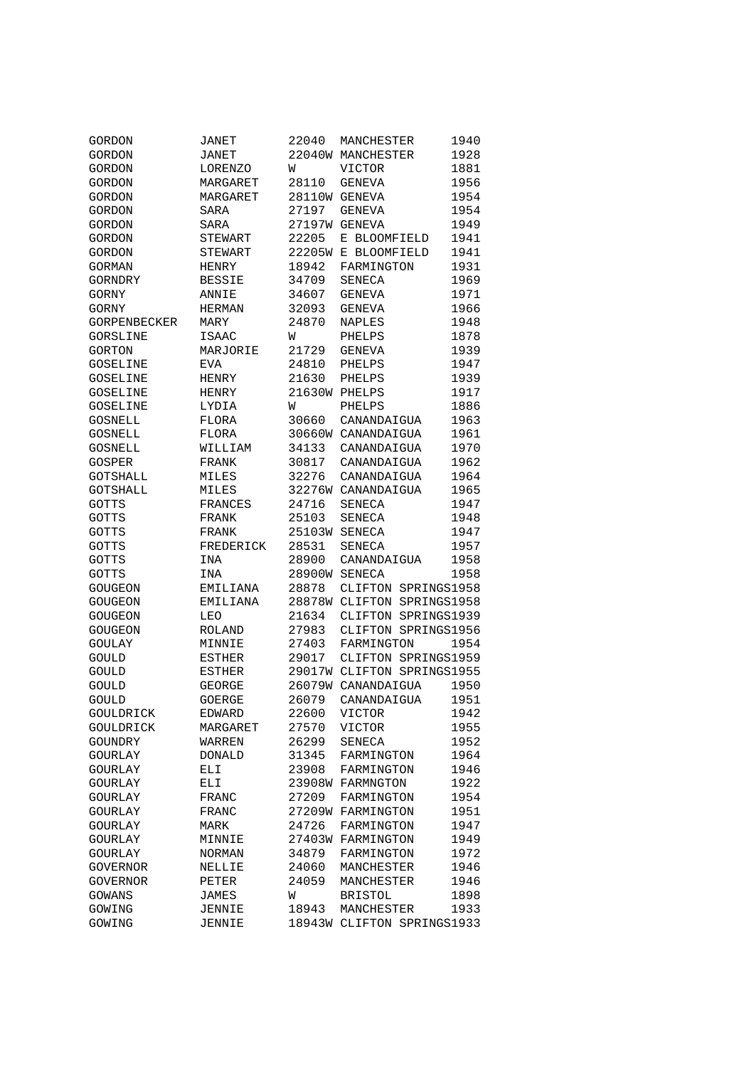| GORDON         | JANET         | 22040  | MANCHESTER                 |             | 1940 |
|----------------|---------------|--------|----------------------------|-------------|------|
| GORDON         | JANET         | 22040W | MANCHESTER                 |             | 1928 |
| GORDON         | LORENZO       | W      | VICTOR                     |             | 1881 |
| GORDON         | MARGARET      | 28110  | <b>GENEVA</b>              |             | 1956 |
| GORDON         | MARGARET      | 28110W | <b>GENEVA</b>              |             | 1954 |
| GORDON         | SARA          | 27197  | GENEVA                     |             | 1954 |
| GORDON         | SARA          | 27197W | <b>GENEVA</b>              |             | 1949 |
| GORDON         | STEWART       | 22205  | <b>BLOOMFIELD</b><br>Е     |             | 1941 |
| GORDON         | STEWART       | 22205W | E BLOOMFIELD               |             | 1941 |
| <b>GORMAN</b>  | HENRY         | 18942  | FARMINGTON                 |             | 1931 |
| GORNDRY        | <b>BESSIE</b> | 34709  | SENECA                     |             | 1969 |
| GORNY          | ANNIE         | 34607  | GENEVA                     |             | 1971 |
| GORNY          | <b>HERMAN</b> | 32093  | <b>GENEVA</b>              |             | 1966 |
| GORPENBECKER   | MARY          | 24870  | NAPLES                     |             | 1948 |
| GORSLINE       | <b>ISAAC</b>  | W      | PHELPS                     |             | 1878 |
| GORTON         | MARJORIE      | 21729  | <b>GENEVA</b>              |             | 1939 |
| GOSELINE       | EVA           | 24810  | PHELPS                     |             | 1947 |
| GOSELINE       | HENRY         | 21630  | PHELPS                     |             | 1939 |
| GOSELINE       | HENRY         | 21630W | PHELPS                     |             | 1917 |
| GOSELINE       | LYDIA         | W      | PHELPS                     |             | 1886 |
| GOSNELL        | FLORA         | 30660  | CANANDAIGUA                |             | 1963 |
| GOSNELL        | ${\tt FLORA}$ | 30660W | CANANDAIGUA                |             | 1961 |
| GOSNELL        | WILLIAM       | 34133  | CANANDAIGUA                |             | 1970 |
| GOSPER         | FRANK         | 30817  | CANANDAIGUA                |             | 1962 |
| GOTSHALL       | MILES         | 32276  | CANANDAIGUA                |             | 1964 |
| GOTSHALL       | MILES         | 32276W | CANANDAIGUA                |             | 1965 |
| GOTTS          | FRANCES       | 24716  | SENECA                     |             | 1947 |
| GOTTS          | FRANK         | 25103  | SENECA                     |             | 1948 |
| GOTTS          | FRANK         | 25103W | SENECA                     |             | 1947 |
| GOTTS          | FREDERICK     | 28531  | SENECA                     |             | 1957 |
| GOTTS          | INA           | 28900  | CANANDAIGUA                |             | 1958 |
| GOTTS          | INA           | 28900W | SENECA                     |             | 1958 |
| GOUGEON        | EMILIANA      | 28878  | CLIFTON SPRINGS1958        |             |      |
| GOUGEON        | EMILIANA      |        | 28878W CLIFTON SPRINGS1958 |             |      |
| GOUGEON        | LEO           | 21634  | CLIFTON SPRINGS1939        |             |      |
| GOUGEON        | ROLAND        | 27983  | CLIFTON                    | SPRINGS1956 |      |
| GOULAY         | MINNIE        | 27403  | FARMINGTON                 |             | 1954 |
| GOULD          | ESTHER        | 29017  | CLIFTON SPRINGS1959        |             |      |
| GOULD          | ESTHER        |        | 29017W CLIFTON SPRINGS1955 |             |      |
| <b>GOULD</b>   | GEORGE        |        | 26079W CANANDAIGUA         |             | 1950 |
| GOULD          | GOERGE        |        | 26079 CANANDAIGUA          |             | 1951 |
| GOULDRICK      | EDWARD        | 22600  | <b>VICTOR</b>              |             | 1942 |
| GOULDRICK      | MARGARET      | 27570  | VICTOR                     |             | 1955 |
| GOUNDRY        | WARREN        | 26299  | SENECA                     |             | 1952 |
| GOURLAY        | DONALD        | 31345  | FARMINGTON                 |             | 1964 |
| GOURLAY        | ELI           | 23908  | FARMINGTON                 |             | 1946 |
| GOURLAY        | ELI           |        | 23908W FARMNGTON           |             | 1922 |
| <b>GOURLAY</b> | FRANC         | 27209  | FARMINGTON                 |             | 1954 |
| GOURLAY        | FRANC         | 27209W | FARMINGTON                 |             | 1951 |
| <b>GOURLAY</b> | MARK          | 24726  | FARMINGTON                 |             | 1947 |
| GOURLAY        | MINNIE        | 27403W | FARMINGTON                 |             | 1949 |
| GOURLAY        | NORMAN        | 34879  | FARMINGTON                 |             | 1972 |
| GOVERNOR       | NELLIE        | 24060  | MANCHESTER                 |             | 1946 |
| GOVERNOR       | PETER         | 24059  | MANCHESTER                 |             | 1946 |
| GOWANS         | JAMES         | W      | <b>BRISTOL</b>             |             | 1898 |
| GOWING         | JENNIE        | 18943  | MANCHESTER                 |             | 1933 |
| GOWING         | JENNIE        | 18943W | CLIFTON SPRINGS1933        |             |      |
|                |               |        |                            |             |      |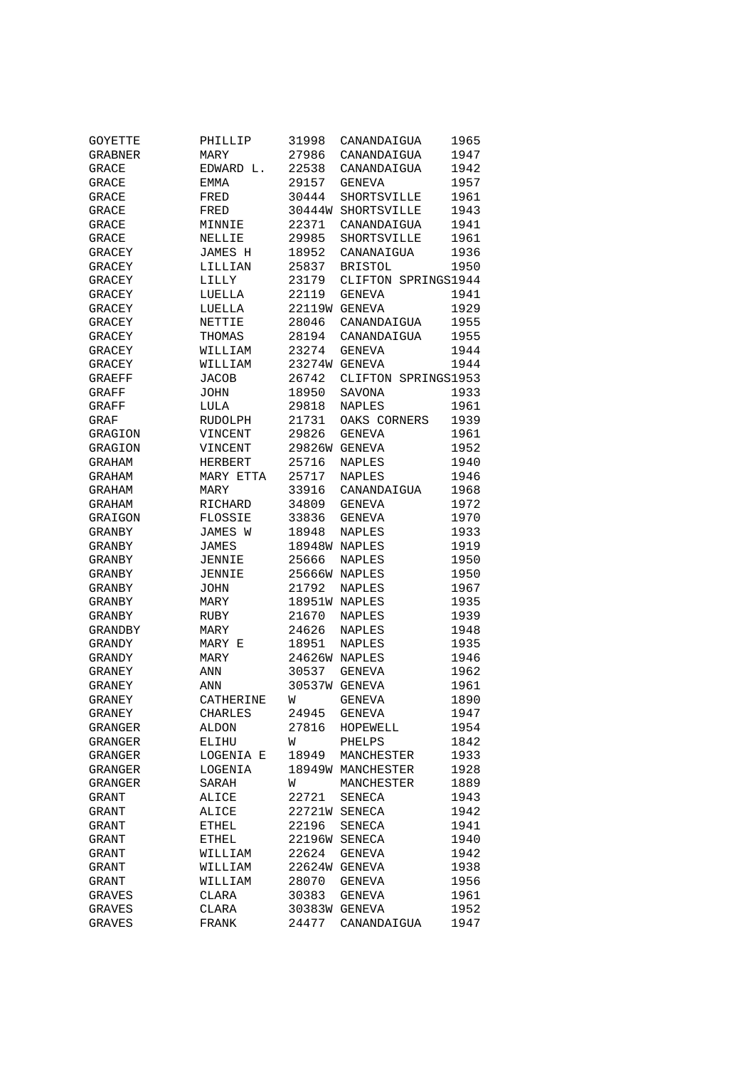| GOYETTE        | PHILLIP                      | 31998         | CANANDAIGUA         | 1965 |
|----------------|------------------------------|---------------|---------------------|------|
| GRABNER        | MARY                         | 27986         | CANANDAIGUA         | 1947 |
| GRACE          | EDWARD L.                    | 22538         | CANANDAIGUA         | 1942 |
| GRACE          | EMMA                         | 29157         | <b>GENEVA</b>       | 1957 |
| <b>GRACE</b>   | FRED                         | 30444         | SHORTSVILLE         | 1961 |
| GRACE          | FRED                         | 30444W        | SHORTSVILLE         | 1943 |
| GRACE          | MINNIE                       | 22371         | CANANDAIGUA         | 1941 |
| <b>GRACE</b>   | NELLIE                       | 29985         | SHORTSVILLE         | 1961 |
| GRACEY         | JAMES H                      | 18952         | CANANAIGUA          | 1936 |
| GRACEY         | LILLIAN                      | 25837         | <b>BRISTOL</b>      | 1950 |
| <b>GRACEY</b>  | LILLY                        | 23179         | CLIFTON SPRINGS1944 |      |
| GRACEY         | LUELLA                       | 22119         | GENEVA              | 1941 |
| GRACEY         | LUELLA                       | 22119W        | <b>GENEVA</b>       | 1929 |
| GRACEY         | NETTIE                       | 28046         | CANANDAIGUA         | 1955 |
| GRACEY         | THOMAS                       | 28194         | CANANDAIGUA         | 1955 |
| GRACEY         | WILLIAM                      | 23274         | GENEVA              | 1944 |
| <b>GRACEY</b>  | WILLIAM                      | 23274W        | <b>GENEVA</b>       | 1944 |
| GRAEFF         | JACOB                        | 26742         | CLIFTON SPRINGS1953 |      |
| <b>GRAFF</b>   | <b>JOHN</b>                  | 18950         | SAVONA              | 1933 |
| <b>GRAFF</b>   | LULA                         | 29818         | NAPLES              | 1961 |
| GRAF           | RUDOLPH                      | 21731         | OAKS CORNERS        | 1939 |
| GRAGION        | VINCENT                      | 29826         | <b>GENEVA</b>       | 1961 |
| GRAGION        | VINCENT                      | 29826W        | <b>GENEVA</b>       | 1952 |
| <b>GRAHAM</b>  | HERBERT                      | 25716         | NAPLES              | 1940 |
| <b>GRAHAM</b>  | MARY ETTA                    | 25717         | NAPLES              | 1946 |
| <b>GRAHAM</b>  | MARY                         | 33916         | CANANDAIGUA         | 1968 |
| GRAHAM         | RICHARD                      | 34809         | GENEVA              | 1972 |
| GRAIGON        | FLOSSIE                      | 33836         | <b>GENEVA</b>       | 1970 |
| GRANBY         | JAMES W                      | 18948         | NAPLES              | 1933 |
| GRANBY         | JAMES                        | 18948W        | NAPLES              | 1919 |
| GRANBY         | JENNIE                       | 25666         | NAPLES              | 1950 |
| GRANBY         | JENNIE                       | 25666W NAPLES |                     | 1950 |
| GRANBY         | JOHN                         | 21792         | NAPLES              | 1967 |
| GRANBY         | $\ensuremath{\mathsf{MARY}}$ | 18951W NAPLES |                     | 1935 |
| GRANBY         | RUBY                         | 21670         | NAPLES              | 1939 |
| GRANDBY        | MARY                         | 24626         | <b>NAPLES</b>       | 1948 |
| GRANDY         | MARY E                       | 18951         | NAPLES              | 1935 |
| GRANDY         | MARY                         | 24626W NAPLES |                     | 1946 |
| GRANEY         | $\mbox{ANN}$                 | 30537         | <b>GENEVA</b>       | 1962 |
| <b>GRANEY</b>  | ANN                          | 30537W GENEVA |                     | 1961 |
| GRANEY         | CATHERINE                    | W             | <b>GENEVA</b>       | 1890 |
| GRANEY         | CHARLES                      | 24945         | GENEVA              | 1947 |
| GRANGER        | ALDON                        | 27816         | HOPEWELL            | 1954 |
| GRANGER        | ELIHU                        | W             | PHELPS              | 1842 |
| <b>GRANGER</b> | LOGENIA E                    | 18949         | MANCHESTER          | 1933 |
| GRANGER        | LOGENIA                      |               | 18949W MANCHESTER   | 1928 |
| GRANGER        | SARAH                        | W             | MANCHESTER          | 1889 |
| GRANT          | ALICE                        | 22721         | SENECA              | 1943 |
| GRANT          | ALICE                        | 22721W        | SENECA              | 1942 |
| GRANT          | ETHEL                        | 22196         | SENECA              | 1941 |
| GRANT          | ETHEL                        | 22196W        | SENECA              | 1940 |
| GRANT          | WILLIAM                      | 22624         | GENEVA              | 1942 |
| GRANT          | WILLIAM                      | 22624W        | GENEVA              | 1938 |
| GRANT          | WILLIAM                      | 28070         | GENEVA              | 1956 |
| GRAVES         | CLARA                        | 30383         | GENEVA              | 1961 |
| GRAVES         | CLARA                        | 30383W        | GENEVA              | 1952 |
| <b>GRAVES</b>  | FRANK                        | 24477         | CANANDAIGUA         | 1947 |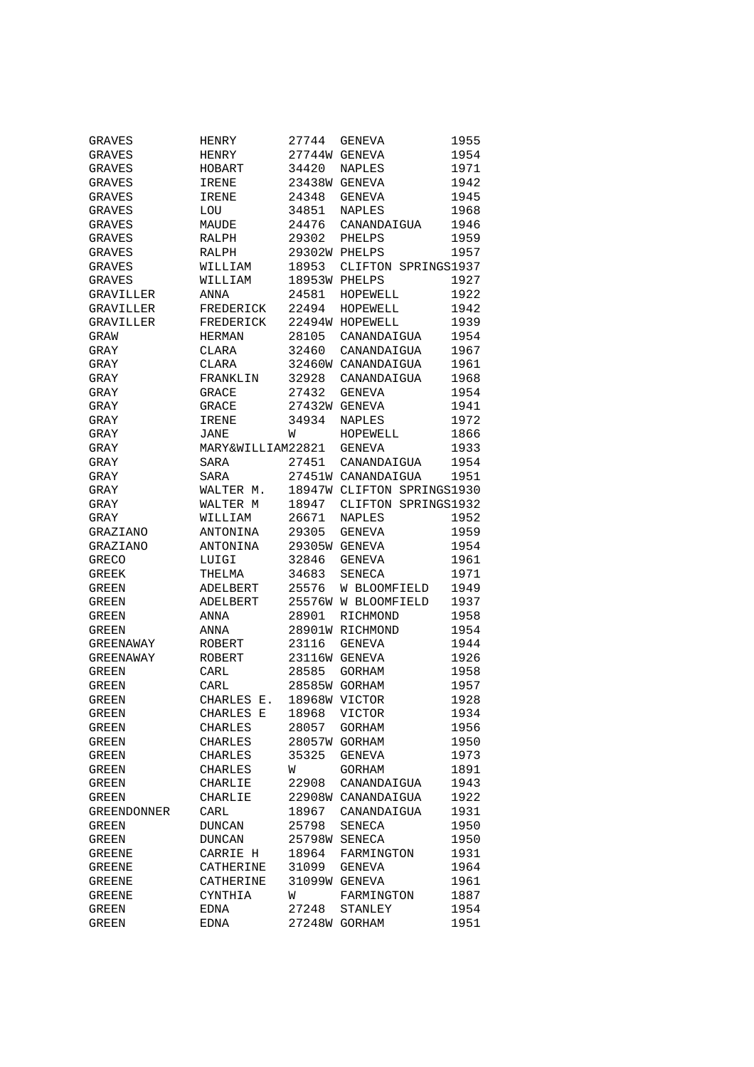| <b>GRAVES</b>      | HENRY             | 27744         | GENEVA                     | 1955 |
|--------------------|-------------------|---------------|----------------------------|------|
| GRAVES             | HENRY             | 27744W        | GENEVA                     | 1954 |
| GRAVES             | HOBART            | 34420         | <b>NAPLES</b>              | 1971 |
| <b>GRAVES</b>      | IRENE             | 23438W        | <b>GENEVA</b>              | 1942 |
| GRAVES             | IRENE             | 24348         | <b>GENEVA</b>              | 1945 |
| <b>GRAVES</b>      | LOU               | 34851         | NAPLES                     | 1968 |
| GRAVES             | MAUDE             | 24476         | CANANDAIGUA                | 1946 |
| <b>GRAVES</b>      | RALPH             | 29302         | PHELPS                     | 1959 |
| <b>GRAVES</b>      | RALPH             | 29302W PHELPS |                            | 1957 |
| GRAVES             | WILLIAM           | 18953         | CLIFTON SPRINGS1937        |      |
| GRAVES             | WILLIAM           | 18953W PHELPS |                            | 1927 |
| GRAVILLER          | ANNA              | 24581         | HOPEWELL                   | 1922 |
| GRAVILLER          | FREDERICK         | 22494         | HOPEWELL                   | 1942 |
| GRAVILLER          | FREDERICK         |               | 22494W HOPEWELL            | 1939 |
| GRAW               | <b>HERMAN</b>     | 28105         | CANANDAIGUA                | 1954 |
| GRAY               | CLARA             | 32460         | CANANDAIGUA                | 1967 |
| GRAY               | CLARA             | 32460W        | CANANDAIGUA                | 1961 |
| <b>GRAY</b>        | FRANKLIN          | 32928         | CANANDAIGUA                | 1968 |
| GRAY               | <b>GRACE</b>      | 27432         | <b>GENEVA</b>              | 1954 |
| GRAY               | GRACE             | 27432W        | <b>GENEVA</b>              | 1941 |
| <b>GRAY</b>        | IRENE             | 34934         | NAPLES                     | 1972 |
| GRAY               | JANE              | W             | HOPEWELL                   | 1866 |
| GRAY               | MARY&WILLIAM22821 |               | <b>GENEVA</b>              | 1933 |
| <b>GRAY</b>        | SARA              | 27451         | CANANDAIGUA                | 1954 |
| GRAY               | SARA              |               | 27451W CANANDAIGUA         | 1951 |
| GRAY               | WALTER M.         |               | 18947W CLIFTON SPRINGS1930 |      |
| <b>GRAY</b>        | WALTER M          | 18947         | CLIFTON SPRINGS1932        |      |
| GRAY               | WILLIAM           | 26671         | NAPLES                     | 1952 |
| GRAZIANO           | ANTONINA          | 29305         | GENEVA                     | 1959 |
| GRAZIANO           | ANTONINA          | 29305W        | <b>GENEVA</b>              | 1954 |
| <b>GRECO</b>       | LUIGI             | 32846         | <b>GENEVA</b>              | 1961 |
| GREEK              | THELMA            | 34683         | SENECA                     | 1971 |
| <b>GREEN</b>       | ADELBERT          | 25576         | W BLOOMFIELD               | 1949 |
| GREEN              | ADELBERT          |               | 25576W W BLOOMFIELD        | 1937 |
| <b>GREEN</b>       | ANNA              | 28901         | RICHMOND                   | 1958 |
| GREEN              | ANNA              | 28901W        | RICHMOND                   | 1954 |
| GREENAWAY          | ROBERT            | 23116         | GENEVA                     | 1944 |
| GREENAWAY          | <b>ROBERT</b>     | 23116W        | <b>GENEVA</b>              | 1926 |
| GREEN              | CARL              | 28585         | GORHAM                     | 1958 |
| <b>GREEN</b>       | CARL              |               | 28585W GORHAM              | 1957 |
| GREEN              | CHARLES E.        | 18968W VICTOR |                            | 1928 |
| GREEN              | CHARLES E         | 18968         | VICTOR                     | 1934 |
| GREEN              | <b>CHARLES</b>    | 28057         | GORHAM                     | 1956 |
| GREEN              | CHARLES           | 28057W        | GORHAM                     | 1950 |
| GREEN              | CHARLES           | 35325         | GENEVA                     | 1973 |
| GREEN              | <b>CHARLES</b>    | W             | <b>GORHAM</b>              | 1891 |
| <b>GREEN</b>       | CHARLIE           | 22908         | CANANDAIGUA                | 1943 |
| GREEN              | CHARLIE           |               | 22908W CANANDAIGUA         | 1922 |
| <b>GREENDONNER</b> | CARL              | 18967         | CANANDAIGUA                | 1931 |
| GREEN              | <b>DUNCAN</b>     | 25798         | SENECA                     | 1950 |
| GREEN              | DUNCAN            |               | 25798W SENECA              | 1950 |
| <b>GREENE</b>      | CARRIE H          | 18964         | FARMINGTON                 | 1931 |
| GREENE             | CATHERINE         | 31099         | GENEVA                     | 1964 |
| GREENE             | CATHERINE         |               | 31099W GENEVA              | 1961 |
| GREENE             | CYNTHIA           | W             | FARMINGTON                 | 1887 |
| GREEN              | EDNA              | 27248         | STANLEY                    | 1954 |
| <b>GREEN</b>       | EDNA              |               | 27248W GORHAM              | 1951 |
|                    |                   |               |                            |      |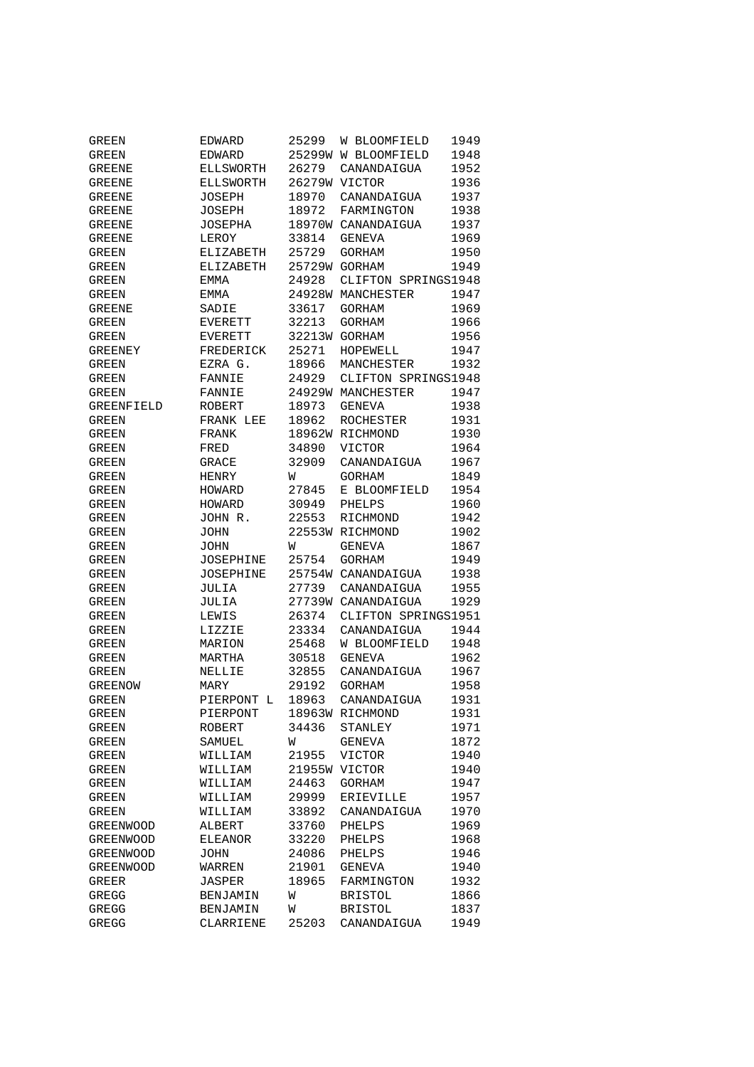| GREEN            | EDWARD         | 25299         | W BLOOMFIELD        | 1949 |
|------------------|----------------|---------------|---------------------|------|
| <b>GREEN</b>     | EDWARD         |               | 25299W W BLOOMFIELD | 1948 |
| <b>GREENE</b>    | ELLSWORTH      | 26279         | CANANDAIGUA         | 1952 |
| <b>GREENE</b>    | ELLSWORTH      | 26279W        | VICTOR              | 1936 |
| <b>GREENE</b>    | <b>JOSEPH</b>  | 18970         | CANANDAIGUA         | 1937 |
| <b>GREENE</b>    | JOSEPH         | 18972         | FARMINGTON          | 1938 |
| <b>GREENE</b>    | JOSEPHA        |               | 18970W CANANDAIGUA  | 1937 |
| <b>GREENE</b>    | LEROY          | 33814         | <b>GENEVA</b>       | 1969 |
| GREEN            | ELIZABETH      | 25729         | GORHAM              | 1950 |
| GREEN            | ELIZABETH      | 25729W        | GORHAM              | 1949 |
| <b>GREEN</b>     | EMMA           | 24928         | CLIFTON SPRINGS1948 |      |
| GREEN            | EMMA           | 24928W        | MANCHESTER          | 1947 |
| <b>GREENE</b>    | SADIE          | 33617         | <b>GORHAM</b>       | 1969 |
| <b>GREEN</b>     | <b>EVERETT</b> | 32213         | GORHAM              | 1966 |
| <b>GREEN</b>     | <b>EVERETT</b> | 32213W GORHAM |                     | 1956 |
| <b>GREENEY</b>   | FREDERICK      | 25271         | HOPEWELL            | 1947 |
| GREEN            | EZRA G.        | 18966         | MANCHESTER          | 1932 |
| <b>GREEN</b>     | FANNIE         | 24929         | CLIFTON SPRINGS1948 |      |
| <b>GREEN</b>     | FANNIE         |               | 24929W MANCHESTER   | 1947 |
| GREENFIELD       | ROBERT         | 18973         | <b>GENEVA</b>       | 1938 |
| <b>GREEN</b>     | FRANK LEE      | 18962         | ROCHESTER           | 1931 |
| <b>GREEN</b>     | FRANK          |               | 18962W RICHMOND     | 1930 |
| GREEN            | FRED           | 34890         | <b>VICTOR</b>       | 1964 |
| GREEN            | GRACE          | 32909         | CANANDAIGUA         | 1967 |
| GREEN            | <b>HENRY</b>   | W             | GORHAM              | 1849 |
| GREEN            | HOWARD         | 27845         | E BLOOMFIELD        | 1954 |
| GREEN            | HOWARD         | 30949         | PHELPS              | 1960 |
| GREEN            | JOHN R.        | 22553         | RICHMOND            | 1942 |
| GREEN            | JOHN           | 22553W        | RICHMOND            | 1902 |
| <b>GREEN</b>     | <b>JOHN</b>    | W             | <b>GENEVA</b>       | 1867 |
| GREEN            | JOSEPHINE      | 25754         | GORHAM              | 1949 |
| GREEN            | JOSEPHINE      |               | 25754W CANANDAIGUA  | 1938 |
| <b>GREEN</b>     | JULIA          | 27739         | CANANDAIGUA         | 1955 |
| GREEN            | JULIA          |               | 27739W CANANDAIGUA  | 1929 |
| <b>GREEN</b>     | LEWIS          | 26374         | CLIFTON SPRINGS1951 |      |
| <b>GREEN</b>     | LIZZIE         | 23334         | CANANDAIGUA         | 1944 |
| GREEN            | MARION         | 25468         | W BLOOMFIELD        | 1948 |
| GREEN            | MARTHA         | 30518         | <b>GENEVA</b>       | 1962 |
| <b>GREEN</b>     | NELLIE         | 32855         | CANANDAIGUA         | 1967 |
| <b>GREENOW</b>   | MARY           | 29192         | <b>GORHAM</b>       | 1958 |
| GREEN            | PIERPONT L     | 18963         | CANANDAIGUA         | 1931 |
| GREEN            | PIERPONT       |               | 18963W RICHMOND     | 1931 |
| GREEN            | ROBERT         | 34436         | STANLEY             | 1971 |
| GREEN            | SAMUEL         | W             | GENEVA              | 1872 |
| GREEN            | WILLIAM        | 21955         | VICTOR              | 1940 |
| GREEN            | WILLIAM        | 21955W VICTOR |                     | 1940 |
| GREEN            | WILLIAM        | 24463         | GORHAM              | 1947 |
| GREEN            | WILLIAM        | 29999         | ERIEVILLE           | 1957 |
| GREEN            | WILLIAM        | 33892         | CANANDAIGUA         | 1970 |
| <b>GREENWOOD</b> | ALBERT         | 33760         | PHELPS              | 1969 |
| <b>GREENWOOD</b> | ELEANOR        | 33220         | PHELPS              | 1968 |
| <b>GREENWOOD</b> | JOHN           | 24086         | PHELPS              | 1946 |
| GREENWOOD        | WARREN         | 21901         | GENEVA              | 1940 |
| GREER            | JASPER         | 18965         | FARMINGTON          | 1932 |
| GREGG            | BENJAMIN       | W             | <b>BRISTOL</b>      | 1866 |
| GREGG            | BENJAMIN       | W             | <b>BRISTOL</b>      | 1837 |
| <b>GREGG</b>     | CLARRIENE      | 25203         | CANANDAIGUA         | 1949 |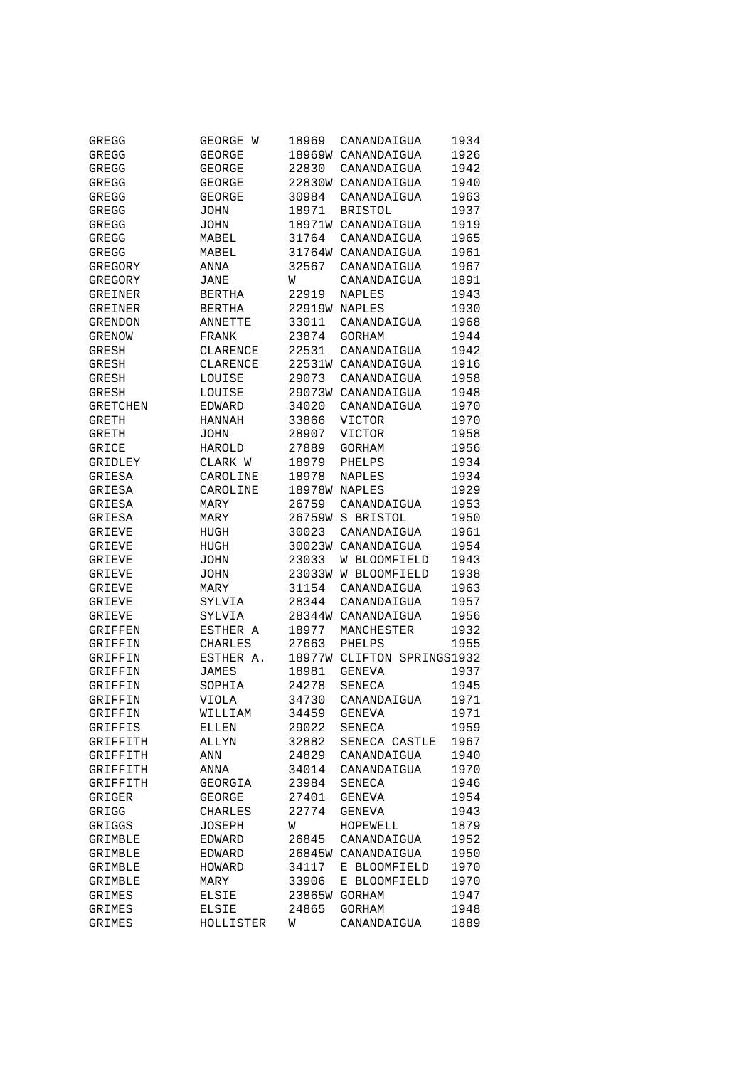| <b>GREGG</b>    | GEORGE W      | 18969  | CANANDAIGUA         | 1934 |
|-----------------|---------------|--------|---------------------|------|
| GREGG           | <b>GEORGE</b> | 18969W | CANANDAIGUA         | 1926 |
| GREGG           | GEORGE        | 22830  | CANANDAIGUA         | 1942 |
| GREGG           | GEORGE        | 22830W | CANANDAIGUA         | 1940 |
| <b>GREGG</b>    | GEORGE        | 30984  | CANANDAIGUA         | 1963 |
| GREGG           | JOHN          | 18971  | <b>BRISTOL</b>      | 1937 |
| GREGG           | <b>JOHN</b>   | 18971W | CANANDAIGUA         | 1919 |
| <b>GREGG</b>    | MABEL         | 31764  | CANANDAIGUA         | 1965 |
| GREGG           | MABEL         | 31764W | CANANDAIGUA         | 1961 |
| GREGORY         | ANNA          | 32567  | CANANDAIGUA         | 1967 |
| GREGORY         | JANE          | W      | CANANDAIGUA         | 1891 |
| GREINER         | BERTHA        | 22919  | <b>NAPLES</b>       | 1943 |
| GREINER         | <b>BERTHA</b> | 22919W | NAPLES              | 1930 |
| GRENDON         | ANNETTE       | 33011  | CANANDAIGUA         | 1968 |
| <b>GRENOW</b>   | FRANK         | 23874  | GORHAM              | 1944 |
| <b>GRESH</b>    | CLARENCE      | 22531  | CANANDAIGUA         | 1942 |
| GRESH           | CLARENCE      | 22531W | CANANDAIGUA         | 1916 |
| <b>GRESH</b>    | LOUISE        | 29073  | CANANDAIGUA         | 1958 |
| GRESH           | LOUISE        | 29073W | CANANDAIGUA         | 1948 |
| <b>GRETCHEN</b> | EDWARD        | 34020  | CANANDAIGUA         | 1970 |
| <b>GRETH</b>    | <b>HANNAH</b> | 33866  | <b>VICTOR</b>       | 1970 |
| <b>GRETH</b>    | <b>JOHN</b>   | 28907  | <b>VICTOR</b>       | 1958 |
| GRICE           | HAROLD        | 27889  | GORHAM              | 1956 |
| GRIDLEY         | CLARK W       | 18979  | PHELPS              | 1934 |
| GRIESA          | CAROLINE      | 18978  | NAPLES              | 1934 |
| GRIESA          | CAROLINE      | 18978W | NAPLES              | 1929 |
| GRIESA          | MARY          | 26759  | CANANDAIGUA         | 1953 |
| GRIESA          | MARY          | 26759W | S BRISTOL           | 1950 |
| GRIEVE          | HUGH          | 30023  | CANANDAIGUA         | 1961 |
| <b>GRIEVE</b>   | <b>HUGH</b>   | 30023W | CANANDAIGUA         | 1954 |
| GRIEVE          | JOHN          | 23033  | W BLOOMFIELD        | 1943 |
| GRIEVE          | JOHN          | 23033W | W BLOOMFIELD        | 1938 |
| GRIEVE          | MARY          | 31154  | CANANDAIGUA         | 1963 |
| GRIEVE          | SYLVIA        | 28344  | CANANDAIGUA         | 1957 |
| GRIEVE          | SYLVIA        | 28344W | CANANDAIGUA         | 1956 |
| GRIFFEN         | ESTHER A      | 18977  | MANCHESTER          | 1932 |
| GRIFFIN         | CHARLES       | 27663  | PHELPS              | 1955 |
| GRIFFIN         | ESTHER A.     | 18977W | CLIFTON SPRINGS1932 |      |
| GRIFFIN         | <b>JAMES</b>  | 18981  | <b>GENEVA</b>       | 1937 |
| GRIFFIN         | SOPHIA        | 24278  | SENECA              | 1945 |
| GRIFFIN         | VIOLA         | 34730  | CANANDAIGUA         | 1971 |
| GRIFFIN         | WILLIAM       | 34459  | GENEVA              | 1971 |
| GRIFFIS         | ELLEN         | 29022  | SENECA              | 1959 |
| GRIFFITH        | ALLYN         | 32882  | SENECA CASTLE       | 1967 |
| GRIFFITH        | ANN           | 24829  | CANANDAIGUA         | 1940 |
| GRIFFITH        | ANNA          | 34014  | CANANDAIGUA         | 1970 |
| GRIFFITH        | GEORGIA       | 23984  | SENECA              | 1946 |
| GRIGER          | <b>GEORGE</b> | 27401  | GENEVA              | 1954 |
| GRIGG           | CHARLES       | 22774  | GENEVA              | 1943 |
| GRIGGS          | JOSEPH        | W      | HOPEWELL            | 1879 |
| GRIMBLE         | EDWARD        | 26845  | CANANDAIGUA         | 1952 |
| GRIMBLE         | EDWARD        |        | 26845W CANANDAIGUA  | 1950 |
| GRIMBLE         | HOWARD        | 34117  | E BLOOMFIELD        | 1970 |
| GRIMBLE         | MARY          | 33906  | E BLOOMFIELD        | 1970 |
| GRIMES          | ELSIE         | 23865W | GORHAM              | 1947 |
| GRIMES          | <b>ELSIE</b>  | 24865  | GORHAM              | 1948 |
| GRIMES          | HOLLISTER     | W      | CANANDAIGUA         | 1889 |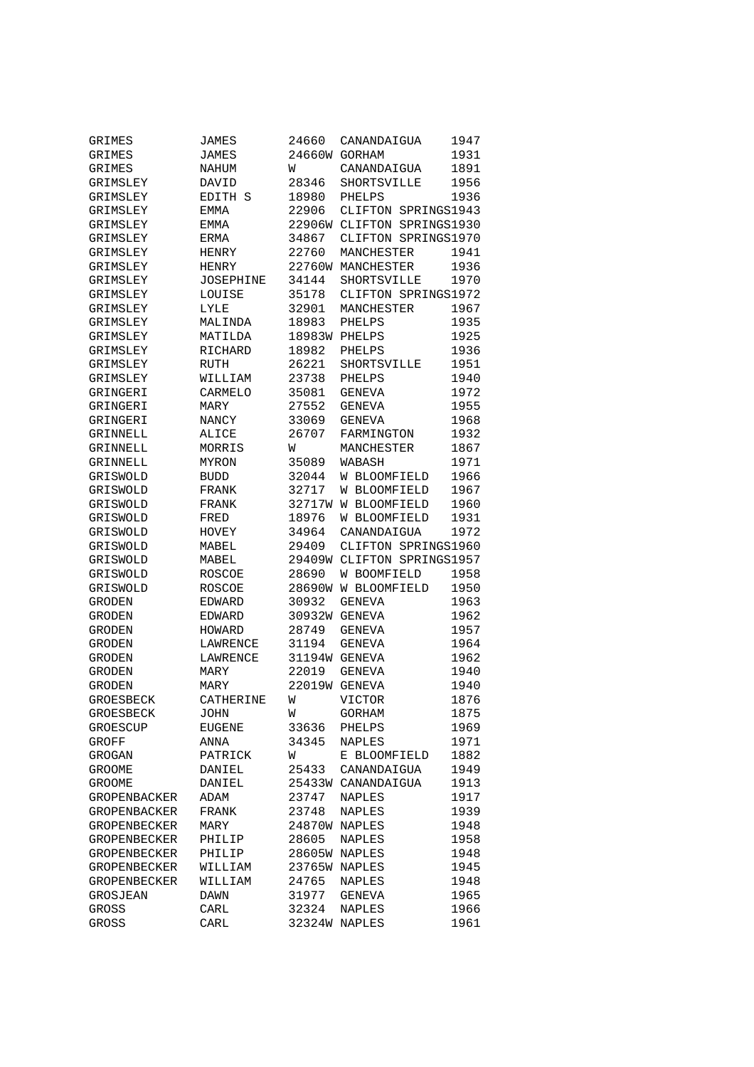| GRIMES              | JAMES         | 24660                  | CANANDAIGUA         | 1947         |
|---------------------|---------------|------------------------|---------------------|--------------|
| GRIMES              | JAMES         | 24660W                 | GORHAM              | 1931         |
| GRIMES              | NAHUM         | W                      | CANANDAIGUA         | 1891         |
| GRIMSLEY            | DAVID         | 28346                  | SHORTSVILLE         | 1956         |
| GRIMSLEY            | EDITH S       | 18980                  | PHELPS              | 1936         |
| GRIMSLEY            | <b>EMMA</b>   | 22906                  | CLIFTON SPRINGS1943 |              |
| GRIMSLEY            | EMMA          | 22906W                 | CLIFTON SPRINGS1930 |              |
| GRIMSLEY            | ERMA          | 34867                  | CLIFTON SPRINGS1970 |              |
| GRIMSLEY            | HENRY         | 22760                  | MANCHESTER          | 1941         |
| GRIMSLEY            | HENRY         | 22760W                 | MANCHESTER          | 1936         |
| GRIMSLEY            | JOSEPHINE     | 34144                  | SHORTSVILLE         | 1970         |
| GRIMSLEY            | LOUISE        | 35178                  | CLIFTON SPRINGS1972 |              |
| GRIMSLEY            | LYLE          | 32901                  | MANCHESTER          | 1967         |
| GRIMSLEY            | MALINDA       | 18983                  | PHELPS              | 1935         |
| GRIMSLEY            | MATILDA       | 18983W                 | PHELPS              | 1925         |
| GRIMSLEY            | RICHARD       | 18982                  | PHELPS              | 1936         |
| GRIMSLEY            | RUTH          | 26221                  | SHORTSVILLE         | 1951         |
| GRIMSLEY            | WILLIAM       | 23738                  | PHELPS              | 1940         |
| GRINGERI            | CARMELO       | 35081                  | GENEVA              | 1972         |
| GRINGERI            | MARY          | 27552                  | <b>GENEVA</b>       | 1955         |
| GRINGERI            | NANCY         | 33069                  | <b>GENEVA</b>       | 1968         |
| GRINNELL            | ALICE         | 26707                  | FARMINGTON          | 1932         |
| GRINNELL            | MORRIS        | W                      | MANCHESTER          | 1867         |
| GRINNELL            | <b>MYRON</b>  | 35089                  | WABASH              | 1971         |
| GRISWOLD            | <b>BUDD</b>   | 32044                  | W BLOOMFIELD        | 1966         |
| GRISWOLD            | FRANK         | 32717                  | W BLOOMFIELD        | 1967         |
| GRISWOLD            | FRANK         | 32717W                 | W BLOOMFIELD        | 1960         |
| GRISWOLD            | FRED          | 18976                  | W BLOOMFIELD        | 1931         |
| GRISWOLD            | HOVEY         | 34964                  | CANANDAIGUA         | 1972         |
| GRISWOLD            | MABEL         | 29409                  | CLIFTON SPRINGS1960 |              |
| GRISWOLD            | MABEL         | 29409W                 | CLIFTON SPRINGS1957 |              |
| GRISWOLD            | <b>ROSCOE</b> | 28690                  | W BOOMFIELD         | 1958         |
| GRISWOLD            | <b>ROSCOE</b> | 28690W                 | W BLOOMFIELD        | 1950         |
| GRODEN              | EDWARD        | 30932                  | GENEVA              | 1963         |
| GRODEN              | <b>EDWARD</b> | 30932W                 | <b>GENEVA</b>       | 1962         |
| GRODEN              | HOWARD        | 28749                  | <b>GENEVA</b>       | 1957         |
| GRODEN              | LAWRENCE      | 31194                  | GENEVA              | 1964         |
| GRODEN              | LAWRENCE      | 31194W                 | GENEVA              | 1962         |
| GRODEN              | MARY          | 22019                  | GENEVA              | 1940         |
| <b>GRODEN</b>       | MARY          | 22019W                 | <b>GENEVA</b>       | 1940         |
| <b>GROESBECK</b>    | CATHERINE     | <b>M</b>               | VICTOR              | 1876         |
| GROESBECK           | JOHN          | W                      | GORHAM              | 1875         |
| GROESCUP            | <b>EUGENE</b> | 33636                  | PHELPS              | 1969         |
| GROFF               | ANNA          | 34345                  | NAPLES              | 1971         |
| GROGAN              | PATRICK       | W                      | E BLOOMFIELD        | 1882         |
| GROOME              | DANIEL        | 25433                  | CANANDAIGUA         | 1949         |
| GROOME              | DANIEL        |                        | 25433W CANANDAIGUA  | 1913         |
| GROPENBACKER        | ADAM          | 23747                  | NAPLES              | 1917         |
| GROPENBACKER        | <b>FRANK</b>  | 23748                  | NAPLES              | 1939         |
| <b>GROPENBECKER</b> | MARY          | 24870W NAPLES          |                     | 1948         |
| GROPENBECKER        | PHILIP        | 28605                  | NAPLES              | 1958         |
| GROPENBECKER        | PHILIP        | 28605W NAPLES          |                     | 1948         |
| GROPENBECKER        | WILLIAM       | 23765W NAPLES          |                     | 1945         |
| GROPENBECKER        | WILLIAM       | 24765                  | NAPLES              | 1948         |
| GROSJEAN            | DAWN          | 31977                  | GENEVA              | 1965         |
| GROSS               | CARL<br>CARL  | 32324<br>32324W NAPLES | NAPLES              | 1966<br>1961 |
| GROSS               |               |                        |                     |              |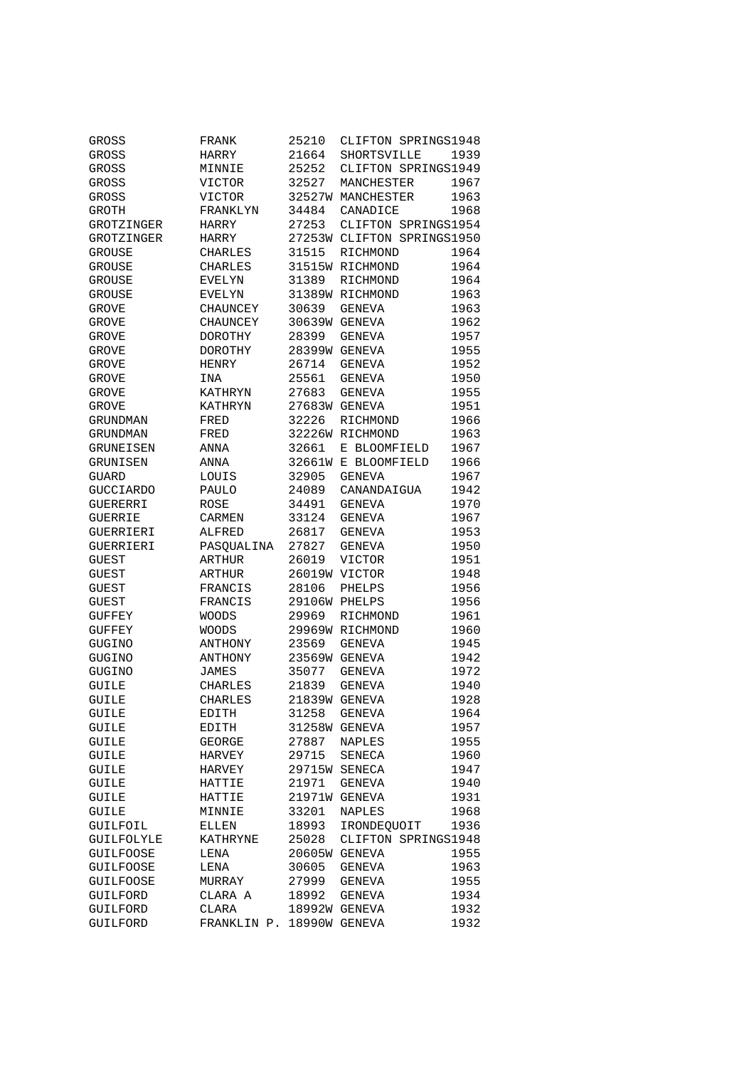| GROSS            | FRANK                     | 25210         | CLIFTON SPRINGS1948        |
|------------------|---------------------------|---------------|----------------------------|
| GROSS            | HARRY                     | 21664         | SHORTSVILLE<br>1939        |
| GROSS            | MINNIE                    | 25252         | CLIFTON SPRINGS1949        |
| GROSS            | VICTOR                    | 32527         | MANCHESTER<br>1967         |
| GROSS            | VICTOR                    | 32527W        | MANCHESTER<br>1963         |
| GROTH            | FRANKLYN                  | 34484         | CANADICE<br>1968           |
| GROTZINGER       | HARRY                     | 27253         | CLIFTON SPRINGS1954        |
| GROTZINGER       | HARRY                     |               | 27253W CLIFTON SPRINGS1950 |
| <b>GROUSE</b>    | CHARLES                   | 31515         | 1964<br>RICHMOND           |
| GROUSE           | CHARLES                   |               | 31515W RICHMOND<br>1964    |
| GROUSE           | EVELYN                    | 31389         | RICHMOND<br>1964           |
| GROUSE           | EVELYN                    |               | 31389W RICHMOND<br>1963    |
| <b>GROVE</b>     | <b>CHAUNCEY</b>           | 30639         | 1963<br><b>GENEVA</b>      |
| GROVE            | <b>CHAUNCEY</b>           | 30639W GENEVA | 1962                       |
| <b>GROVE</b>     | <b>DOROTHY</b>            | 28399         | 1957<br><b>GENEVA</b>      |
| <b>GROVE</b>     | <b>DOROTHY</b>            | 28399W GENEVA | 1955                       |
| GROVE            | HENRY                     | 26714         | 1952<br>GENEVA             |
| GROVE            | INA                       | 25561         | 1950<br><b>GENEVA</b>      |
| <b>GROVE</b>     | KATHRYN                   | 27683         | 1955<br><b>GENEVA</b>      |
| <b>GROVE</b>     | KATHRYN                   |               | 27683W GENEVA<br>1951      |
| GRUNDMAN         | FRED                      | 32226         | 1966<br>RICHMOND           |
| <b>GRUNDMAN</b>  | FRED                      |               | 1963<br>32226W RICHMOND    |
| GRUNEISEN        | ANNA                      | 32661         | E BLOOMFIELD<br>1967       |
| GRUNISEN         | ANNA                      | 32661W        | E BLOOMFIELD<br>1966       |
| GUARD            | LOUIS                     | 32905         | 1967<br>GENEVA             |
| <b>GUCCIARDO</b> | <b>PAULO</b>              | 24089         | CANANDAIGUA<br>1942        |
| <b>GUERERRI</b>  | ROSE                      | 34491         | 1970<br>GENEVA             |
| <b>GUERRIE</b>   | CARMEN                    | 33124         | 1967<br>GENEVA             |
| GUERRIERI        | ALFRED                    | 26817         | 1953<br>GENEVA             |
| GUERRIERI        | PASQUALINA                | 27827         | <b>GENEVA</b><br>1950      |
| <b>GUEST</b>     | <b>ARTHUR</b>             | 26019         | <b>VICTOR</b><br>1951      |
| GUEST            | ARTHUR                    |               | 26019W VICTOR<br>1948      |
| <b>GUEST</b>     | FRANCIS                   | 28106         | 1956<br>PHELPS             |
| GUEST            | FRANCIS                   | 29106W PHELPS | 1956                       |
| GUFFEY           | <b>WOODS</b>              | 29969         | RICHMOND<br>1961           |
| GUFFEY           | <b>WOODS</b>              | 29969W        | RICHMOND<br>1960           |
| GUGINO           | ANTHONY                   | 23569         | 1945<br><b>GENEVA</b>      |
| GUGINO           | ANTHONY                   | 23569W GENEVA | 1942                       |
| GUGINO           | <b>JAMES</b>              | 35077         | 1972<br><b>GENEVA</b>      |
| <b>GUILE</b>     | <b>CHARLES</b>            | 21839         | 1940<br><b>GENEVA</b>      |
| GUILE            | CHARLES                   | 21839W GENEVA | 1928                       |
| GUILE            | EDITH                     | 31258         | GENEVA<br>1964             |
| GUILE            | EDITH                     |               | 1957<br>31258W GENEVA      |
| GUILE            | <b>GEORGE</b>             | 27887         | 1955<br>NAPLES             |
| <b>GUILE</b>     | HARVEY                    | 29715         | SENECA<br>1960             |
| <b>GUILE</b>     | HARVEY                    | 29715W SENECA | 1947                       |
| GUILE            | HATTIE                    | 21971         | 1940<br>GENEVA             |
| GUILE            | <b>HATTIE</b>             | 21971W GENEVA | 1931                       |
| <b>GUILE</b>     | MINNIE                    | 33201         | <b>NAPLES</b><br>1968      |
| GUILFOIL         | ELLEN                     | 18993         | IRONDEQUOIT<br>1936        |
| GUILFOLYLE       | KATHRYNE                  | 25028         | CLIFTON SPRINGS1948        |
| GUILFOOSE        | LENA                      |               | 20605W GENEVA<br>1955      |
| <b>GUILFOOSE</b> | LENA                      | 30605         | GENEVA<br>1963             |
| GUILFOOSE        | MURRAY                    | 27999         | 1955<br>GENEVA             |
| GUILFORD         | CLARA A                   | 18992         | 1934<br>GENEVA             |
| GUILFORD         | CLARA                     | 18992W GENEVA | 1932                       |
| GUILFORD         | FRANKLIN P. 18990W GENEVA |               | 1932                       |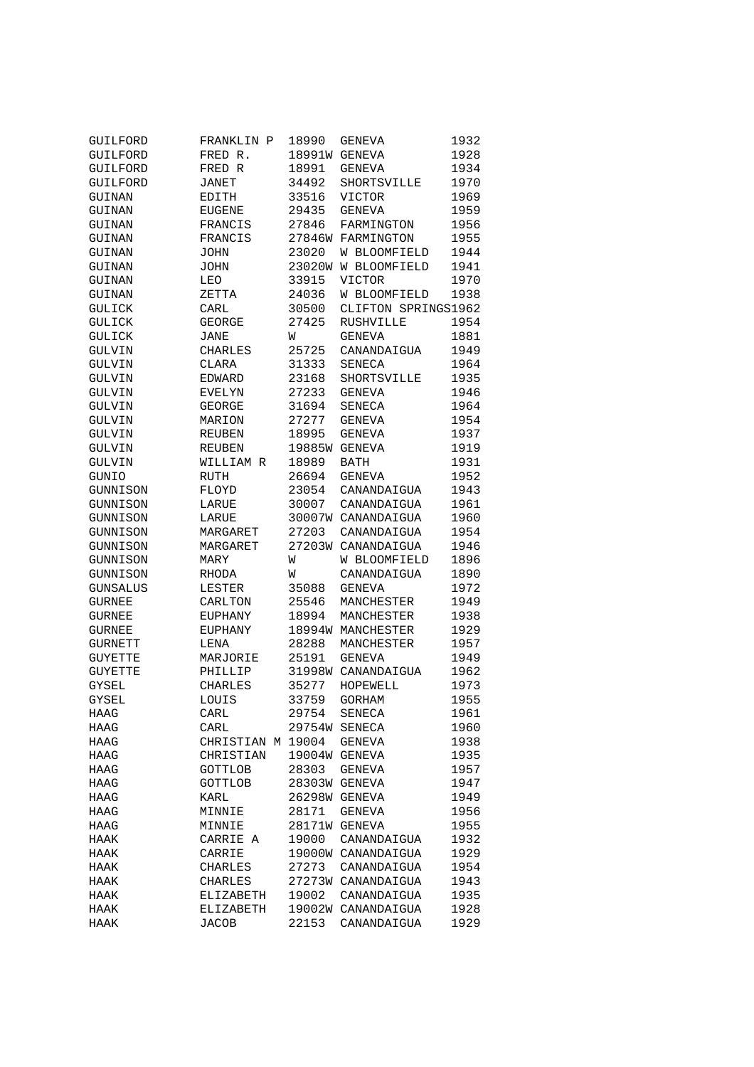| GUILFORD        | FRANKLIN P             | 18990  | <b>GENEVA</b>                     | 1932         |
|-----------------|------------------------|--------|-----------------------------------|--------------|
| GUILFORD        | FRED R.                | 18991W | GENEVA                            | 1928         |
| GUILFORD        | FRED R                 | 18991  | GENEVA                            | 1934         |
| GUILFORD        | JANET                  | 34492  | SHORTSVILLE                       | 1970         |
| GUINAN          | EDITH                  | 33516  | VICTOR                            | 1969         |
| GUINAN          | <b>EUGENE</b>          | 29435  | GENEVA                            | 1959         |
| GUINAN          | FRANCIS                | 27846  | FARMINGTON                        | 1956         |
| GUINAN          | FRANCIS                | 27846W | FARMINGTON                        | 1955         |
| GUINAN          | JOHN                   | 23020  | W BLOOMFIELD                      | 1944         |
| GUINAN          | JOHN                   | 23020W | W BLOOMFIELD                      | 1941         |
| GUINAN          | LEO                    | 33915  | <b>VICTOR</b>                     | 1970         |
| GUINAN          | ZETTA                  | 24036  | W BLOOMFIELD                      | 1938         |
| <b>GULICK</b>   | CARL                   | 30500  | CLIFTON SPRINGS1962               |              |
| <b>GULICK</b>   | GEORGE                 | 27425  | RUSHVILLE                         | 1954         |
| <b>GULICK</b>   | JANE                   | W      | GENEVA                            | 1881         |
| GULVIN          | <b>CHARLES</b>         | 25725  | CANANDAIGUA                       | 1949         |
| GULVIN          | CLARA                  | 31333  | SENECA                            | 1964         |
| GULVIN          | <b>EDWARD</b>          | 23168  | SHORTSVILLE                       | 1935         |
| GULVIN          | <b>EVELYN</b>          | 27233  | <b>GENEVA</b>                     | 1946         |
| GULVIN          | GEORGE                 | 31694  | <b>SENECA</b>                     | 1964         |
| GULVIN          | MARION                 | 27277  | GENEVA                            | 1954         |
| GULVIN          | REUBEN                 | 18995  | <b>GENEVA</b>                     | 1937         |
| GULVIN          | REUBEN                 | 19885W | <b>GENEVA</b>                     | 1919         |
| GULVIN          | WILLIAM R              | 18989  | <b>BATH</b>                       | 1931         |
| <b>GUNIO</b>    | RUTH                   | 26694  | <b>GENEVA</b>                     | 1952         |
| GUNNISON        | FLOYD                  | 23054  | CANANDAIGUA                       | 1943         |
| GUNNISON        | LARUE                  | 30007  | CANANDAIGUA                       | 1961         |
| GUNNISON        | LARUE                  | 30007W | CANANDAIGUA                       | 1960         |
| GUNNISON        | MARGARET               | 27203  | CANANDAIGUA                       | 1954         |
| GUNNISON        | MARGARET               | 27203W | CANANDAIGUA                       | 1946         |
| GUNNISON        | MARY                   | M      | W BLOOMFIELD                      | 1896         |
| GUNNISON        | RHODA                  | M      | CANANDAIGUA                       | 1890         |
| <b>GUNSALUS</b> | LESTER                 | 35088  | <b>GENEVA</b>                     | 1972         |
| <b>GURNEE</b>   | CARLTON                | 25546  | MANCHESTER                        | 1949         |
| GURNEE          | EUPHANY                | 18994  | MANCHESTER                        | 1938         |
| GURNEE          | <b>EUPHANY</b>         | 18994W | MANCHESTER                        | 1929         |
| <b>GURNETT</b>  | LENA                   | 28288  | MANCHESTER                        | 1957         |
| GUYETTE         | MARJORIE               | 25191  | <b>GENEVA</b>                     | 1949         |
| <b>GUYETTE</b>  | PHILLIP                | 31998W | CANANDAIGUA                       | 1962         |
| <b>GYSEL</b>    | <b>CHARLES</b>         | 35277  | HOPEWELL                          | 1973         |
| GYSEL           | LOUIS                  | 33759  | GORHAM                            | 1955         |
| HAAG            | CARL                   | 29754  | SENECA                            | 1961         |
| HAAG            | CARL                   |        | 29754W SENECA                     | 1960         |
| HAAG            | CHRISTIAN M 19004      |        | GENEVA                            | 1938         |
| <b>HAAG</b>     | CHRISTIAN              |        | 19004W GENEVA                     | 1935         |
| HAAG            | GOTTLOB                | 28303  | <b>GENEVA</b>                     | 1957         |
| HAAG            | GOTTLOB                |        | 28303W GENEVA                     | 1947         |
| <b>HAAG</b>     | KARL                   |        | 26298W GENEVA                     | 1949         |
| HAAG            | MINNIE                 | 28171  | <b>GENEVA</b>                     | 1956         |
| HAAG            | MINNIE                 |        | 28171W GENEVA                     | 1955         |
| HAAK            | CARRIE A               | 19000  | CANANDAIGUA                       | 1932         |
| HAAK            | CARRIE                 |        | 19000W CANANDAIGUA                | 1929         |
| HAAK            | CHARLES                | 27273  | CANANDAIGUA                       | 1954         |
| HAAK            | CHARLES                |        | 27273W CANANDAIGUA                | 1943         |
| HAAK<br>HAAK    | ELIZABETH<br>ELIZABETH | 19002  | CANANDAIGUA<br>19002W CANANDAIGUA | 1935<br>1928 |
| HAAK            | <b>JACOB</b>           | 22153  | CANANDAIGUA                       | 1929         |
|                 |                        |        |                                   |              |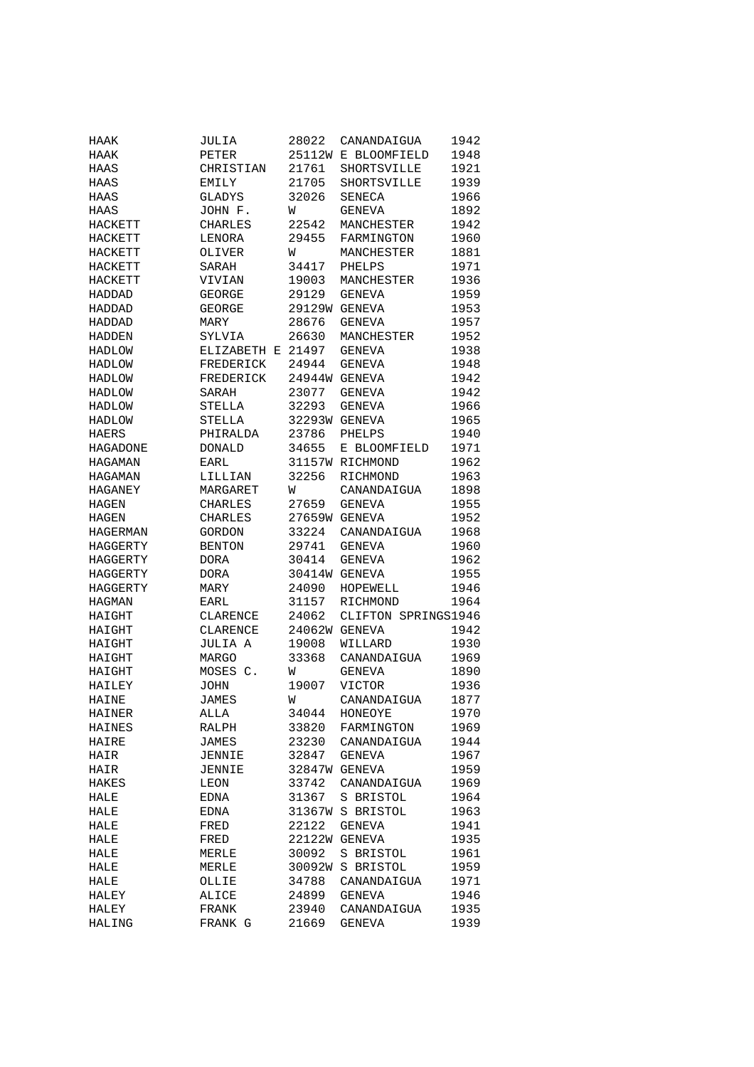| HAAK           | JULIA          | 28022    | CANANDAIGUA         | 1942         |
|----------------|----------------|----------|---------------------|--------------|
| HAAK           | PETER          | 25112W   | E BLOOMFIELD        | 1948         |
| HAAS           | CHRISTIAN      | 21761    | SHORTSVILLE         | 1921         |
| HAAS           | EMILY          | 21705    | SHORTSVILLE         | 1939         |
| HAAS           | GLADYS         | 32026    | SENECA              | 1966         |
| HAAS           | JOHN F.        | W        | <b>GENEVA</b>       | 1892         |
| <b>HACKETT</b> | <b>CHARLES</b> | 22542    | MANCHESTER          | 1942         |
| HACKETT        | LENORA         | 29455    | FARMINGTON          | 1960         |
| <b>HACKETT</b> | OLIVER         | W        | MANCHESTER          | 1881         |
| HACKETT        | SARAH          | 34417    | PHELPS              | 1971         |
| HACKETT        | VIVIAN         | 19003    | MANCHESTER          | 1936         |
| HADDAD         | GEORGE         | 29129    | <b>GENEVA</b>       | 1959         |
| HADDAD         | GEORGE         | 29129W   | GENEVA              | 1953         |
| HADDAD         | MARY           | 28676    | <b>GENEVA</b>       | 1957         |
| <b>HADDEN</b>  | SYLVIA         | 26630    | MANCHESTER          | 1952         |
| HADLOW         | ELIZABETH E    | 21497    | GENEVA              | 1938         |
| HADLOW         | FREDERICK      | 24944    | GENEVA              | 1948         |
| HADLOW         | FREDERICK      | 24944W   | <b>GENEVA</b>       | 1942         |
| HADLOW         | SARAH          | 23077    | <b>GENEVA</b>       | 1942         |
| <b>HADLOW</b>  | STELLA         | 32293    | <b>GENEVA</b>       | 1966         |
| <b>HADLOW</b>  | STELLA         | 32293W   | <b>GENEVA</b>       | 1965         |
| HAERS          | PHIRALDA       | 23786    | PHELPS              | 1940         |
| HAGADONE       | <b>DONALD</b>  | 34655    | E BLOOMFIELD        | 1971         |
| HAGAMAN        | <b>EARL</b>    | 31157W   | RICHMOND            | 1962         |
| HAGAMAN        | LILLIAN        | 32256    | RICHMOND            | 1963         |
| HAGANEY        | MARGARET       | W        | CANANDAIGUA         | 1898         |
| <b>HAGEN</b>   | <b>CHARLES</b> | 27659    | GENEVA              | 1955         |
| HAGEN          | <b>CHARLES</b> | 27659W   | GENEVA              | 1952         |
| HAGERMAN       | GORDON         | 33224    | CANANDAIGUA         | 1968         |
| HAGGERTY       | <b>BENTON</b>  | 29741    | <b>GENEVA</b>       | 1960         |
| HAGGERTY       | <b>DORA</b>    | 30414    | GENEVA              | 1962         |
| HAGGERTY       | DORA           | 30414W   | GENEVA              | 1955         |
| HAGGERTY       | MARY           | 24090    | HOPEWELL            | 1946         |
| HAGMAN         | EARL           | 31157    | RICHMOND            | 1964         |
| HAIGHT         | CLARENCE       | 24062    | CLIFTON SPRINGS1946 |              |
|                | CLARENCE       |          |                     |              |
| HAIGHT         |                | 24062W   | GENEVA              | 1942<br>1930 |
| HAIGHT         | JULIA A        | 19008    | WILLARD             |              |
| HAIGHT         | <b>MARGO</b>   | 33368    | CANANDAIGUA         | 1969         |
| HAIGHT         | MOSES C.       | W        | GENEVA              | 1890         |
| HAILEY         | <b>JOHN</b>    | 19007    | <b>VICTOR</b>       | 1936         |
| HAINE          | <b>JAMES</b>   | <b>W</b> | CANANDAIGUA         | 1877         |
| HAINER         | ALLA           | 34044    | HONEOYE             | 1970         |
| HAINES         | RALPH          | 33820    | FARMINGTON          | 1969         |
| HAIRE          | JAMES          | 23230    | CANANDAIGUA         | 1944         |
| HAIR           | JENNIE         | 32847    | GENEVA              | 1967         |
| HAIR           | JENNIE         |          | 32847W GENEVA       | 1959         |
| <b>HAKES</b>   | LEON           | 33742    | CANANDAIGUA         | 1969         |
| <b>HALE</b>    | EDNA           | 31367    | S BRISTOL           | 1964         |
| HALE           | EDNA           | 31367W   | S BRISTOL           | 1963         |
| HALE           | FRED           | 22122    | GENEVA              | 1941         |
| HALE           | FRED           | 22122W   | GENEVA              | 1935         |
| <b>HALE</b>    | MERLE          | 30092    | S BRISTOL           | 1961         |
| HALE           | MERLE          | 30092W   | S BRISTOL           | 1959         |
| HALE           | OLLIE          | 34788    | CANANDAIGUA         | 1971         |
| <b>HALEY</b>   | ALICE          | 24899    | GENEVA              | 1946         |
| <b>HALEY</b>   | FRANK          | 23940    | CANANDAIGUA         | 1935         |
| HALING         | FRANK G        | 21669    | <b>GENEVA</b>       | 1939         |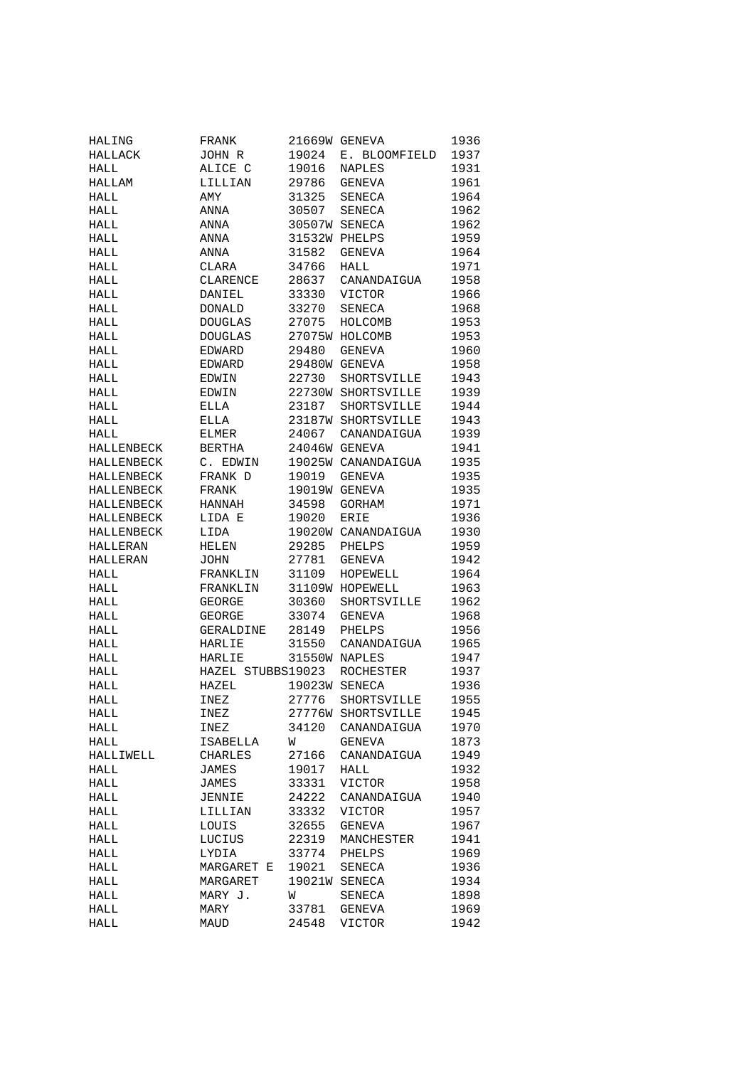| HALING          | FRANK             |                 | 21669W GENEVA                | 1936 |
|-----------------|-------------------|-----------------|------------------------------|------|
| HALLACK         | JOHN R            | 19024           | E. BLOOMFIELD                | 1937 |
| HALL            | ALICE C           | 19016           | NAPLES                       | 1931 |
| HALLAM          | LILLIAN           | 29786           | GENEVA                       | 1961 |
| HALL            | AMY               | 31325           | SENECA                       | 1964 |
| HALL            | ANNA              | 30507           | SENECA                       | 1962 |
| HALL            | ANNA              | 30507W          | <b>SENECA</b>                | 1962 |
|                 |                   |                 |                              | 1959 |
| HALL            | ANNA              | 31532W<br>31582 | PHELPS                       | 1964 |
| HALL            | ANNA              | 34766           | <b>GENEVA</b><br><b>HALL</b> |      |
| HALL            | CLARA             |                 |                              | 1971 |
| HALL            | CLARENCE          | 28637           | CANANDAIGUA                  | 1958 |
| HALL            | DANIEL            | 33330           | <b>VICTOR</b>                | 1966 |
| HALL            | <b>DONALD</b>     | 33270           | SENECA                       | 1968 |
| HALL            | <b>DOUGLAS</b>    | 27075           | HOLCOMB                      | 1953 |
| HALL            | <b>DOUGLAS</b>    |                 | 27075W HOLCOMB               | 1953 |
| HALL            | EDWARD            | 29480           | <b>GENEVA</b>                | 1960 |
| HALL            | EDWARD            |                 | 29480W GENEVA                | 1958 |
| <b>HALL</b>     | EDWIN             | 22730           | SHORTSVILLE                  | 1943 |
| HALL            | EDWIN             |                 | 22730W SHORTSVILLE           | 1939 |
| HALL            | ELLA              | 23187           | SHORTSVILLE                  | 1944 |
| <b>HALL</b>     | <b>ELLA</b>       |                 | 23187W SHORTSVILLE           | 1943 |
| HALL            | ELMER             | 24067           | CANANDAIGUA                  | 1939 |
| HALLENBECK      | <b>BERTHA</b>     |                 | 24046W GENEVA                | 1941 |
| HALLENBECK      | C. EDWIN          | 19025W          | CANANDAIGUA                  | 1935 |
| HALLENBECK      | FRANK D           | 19019           | <b>GENEVA</b>                | 1935 |
| HALLENBECK      | FRANK             | 19019W          | <b>GENEVA</b>                | 1935 |
| HALLENBECK      | <b>HANNAH</b>     | 34598           | GORHAM                       | 1971 |
| HALLENBECK      | LIDA E            | 19020           | <b>ERIE</b>                  | 1936 |
| HALLENBECK      | LIDA              |                 | 19020W CANANDAIGUA           | 1930 |
| HALLERAN        | HELEN             | 29285           | PHELPS                       | 1959 |
| <b>HALLERAN</b> | <b>JOHN</b>       | 27781           | <b>GENEVA</b>                | 1942 |
| HALL            | FRANKLIN          | 31109           | HOPEWELL                     | 1964 |
| HALL            | FRANKLIN          |                 | 31109W HOPEWELL              | 1963 |
| HALL            | GEORGE            | 30360           | SHORTSVILLE                  | 1962 |
| HALL            | <b>GEORGE</b>     | 33074           | <b>GENEVA</b>                | 1968 |
| HALL            | GERALDINE         | 28149           | PHELPS                       | 1956 |
| HALL            | HARLIE            | 31550           | CANANDAIGUA                  | 1965 |
| HALL            | HARLIE            | 31550W          | <b>NAPLES</b>                | 1947 |
| HALL            | HAZEL STUBBS19023 |                 | ROCHESTER                    | 1937 |
| HALL            | HAZEL             | 19023W          | <b>SENECA</b>                | 1936 |
| HALL            | INEZ              |                 | 27776 SHORTSVILLE            | 1955 |
| HALL            | INEZ              |                 | 27776W SHORTSVILLE           | 1945 |
| HALL            | INEZ              | 34120           | CANANDAIGUA                  | 1970 |
| HALL            | ISABELLA          | W               | <b>GENEVA</b>                | 1873 |
| HALLIWELL       | CHARLES           | 27166           | CANANDAIGUA                  | 1949 |
| <b>HALL</b>     | JAMES             | 19017           | HALL                         | 1932 |
| HALL            | JAMES             | 33331           | VICTOR                       | 1958 |
| <b>HALL</b>     | JENNIE            | 24222           | CANANDAIGUA                  | 1940 |
| HALL            | LILLIAN           | 33332           | VICTOR                       | 1957 |
| <b>HALL</b>     | LOUIS             | 32655           | GENEVA                       | 1967 |
| HALL            | LUCIUS            | 22319           | MANCHESTER                   | 1941 |
| HALL            | LYDIA             | 33774           | PHELPS                       | 1969 |
| HALL            | MARGARET E        | 19021           | SENECA                       | 1936 |
| HALL            | MARGARET          |                 | 19021W SENECA                | 1934 |
| HALL            | MARY J.           | W               | SENECA                       | 1898 |
| HALL            | MARY              | 33781           | GENEVA                       | 1969 |
| <b>HALL</b>     |                   | 24548           | <b>VICTOR</b>                | 1942 |
|                 | MAUD              |                 |                              |      |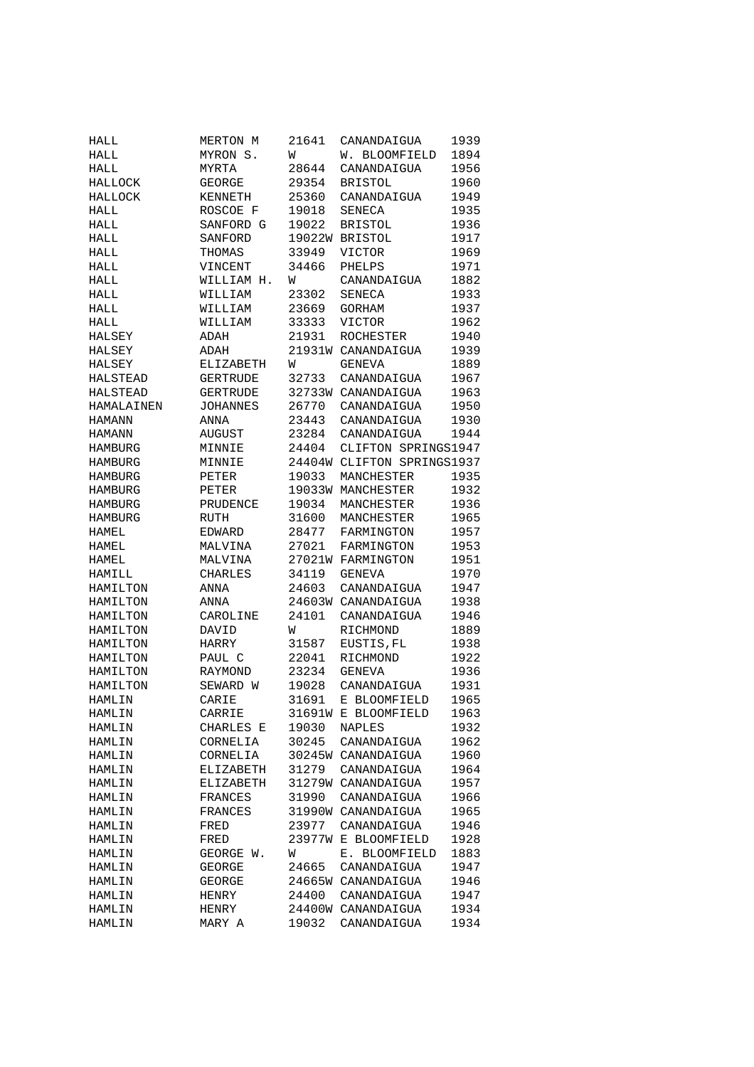| HALL            | MERTON M        | 21641  | CANANDAIGUA         | 1939 |
|-----------------|-----------------|--------|---------------------|------|
| <b>HALL</b>     | MYRON S.        | W      | W. BLOOMFIELD       | 1894 |
| HALL            | MYRTA           | 28644  | CANANDAIGUA         | 1956 |
| HALLOCK         | GEORGE          | 29354  | <b>BRISTOL</b>      | 1960 |
| <b>HALLOCK</b>  | KENNETH         | 25360  | CANANDAIGUA         | 1949 |
| HALL            | ROSCOE F        | 19018  | SENECA              | 1935 |
| <b>HALL</b>     | SANFORD G       | 19022  | <b>BRISTOL</b>      | 1936 |
| HALL            | SANFORD         | 19022W | <b>BRISTOL</b>      | 1917 |
| <b>HALL</b>     | THOMAS          | 33949  | <b>VICTOR</b>       | 1969 |
| HALL            | VINCENT         | 34466  | PHELPS              | 1971 |
| <b>HALL</b>     | WILLIAM H.      | W      | CANANDAIGUA         | 1882 |
| HALL            | WILLIAM         | 23302  | SENECA              | 1933 |
| <b>HALL</b>     | WILLIAM         | 23669  | GORHAM              | 1937 |
| <b>HALL</b>     | WILLIAM         | 33333  | <b>VICTOR</b>       | 1962 |
| HALSEY          | ADAH            | 21931  | ROCHESTER           | 1940 |
| HALSEY          | ADAH            | 21931W | CANANDAIGUA         | 1939 |
| <b>HALSEY</b>   | ELIZABETH       | W      | <b>GENEVA</b>       | 1889 |
| <b>HALSTEAD</b> | <b>GERTRUDE</b> | 32733  | CANANDAIGUA         | 1967 |
| <b>HALSTEAD</b> | GERTRUDE        | 32733W | CANANDAIGUA         | 1963 |
| HAMALAINEN      | <b>JOHANNES</b> | 26770  | CANANDAIGUA         | 1950 |
| HAMANN          | ANNA            | 23443  | CANANDAIGUA         | 1930 |
| <b>HAMANN</b>   | AUGUST          | 23284  | CANANDAIGUA         | 1944 |
| HAMBURG         | MINNIE          | 24404  | CLIFTON SPRINGS1947 |      |
| HAMBURG         | MINNIE          | 24404W | CLIFTON SPRINGS1937 |      |
| <b>HAMBURG</b>  | PETER           | 19033  | MANCHESTER          | 1935 |
| HAMBURG         | PETER           | 19033W | MANCHESTER          | 1932 |
| HAMBURG         | PRUDENCE        | 19034  | MANCHESTER          | 1936 |
| <b>HAMBURG</b>  | <b>RUTH</b>     | 31600  | MANCHESTER          | 1965 |
| HAMEL           | EDWARD          | 28477  | FARMINGTON          | 1957 |
| HAMEL           | MALVINA         | 27021  | FARMINGTON          | 1953 |
| HAMEL           | MALVINA         | 27021W | FARMINGTON          | 1951 |
| HAMILL          | CHARLES         | 34119  | GENEVA              | 1970 |
| HAMILTON        | ANNA            | 24603  | CANANDAIGUA         | 1947 |
| HAMILTON        | ANNA            | 24603W | CANANDAIGUA         | 1938 |
| HAMILTON        | CAROLINE        | 24101  | CANANDAIGUA         | 1946 |
| HAMILTON        | DAVID           | W      | RICHMOND            | 1889 |
| HAMILTON        | HARRY           | 31587  | EUSTIS, FL          | 1938 |
| HAMILTON        | PAUL C          | 22041  | RICHMOND            | 1922 |
| HAMILTON        | <b>RAYMOND</b>  | 23234  | <b>GENEVA</b>       | 1936 |
| HAMILTON        | SEWARD W        | 19028  | CANANDAIGUA         | 1931 |
| HAMLIN          | CARIE           | 31691  | E BLOOMFIELD        | 1965 |
| HAMLIN          | CARRIE          |        | 31691W E BLOOMFIELD | 1963 |
| HAMLIN          | CHARLES E       | 19030  | NAPLES              | 1932 |
| HAMLIN          | CORNELIA        | 30245  | CANANDAIGUA         | 1962 |
| <b>HAMLIN</b>   | CORNELIA        |        | 30245W CANANDAIGUA  | 1960 |
| HAMLIN          | ELIZABETH       | 31279  | CANANDAIGUA         | 1964 |
| HAMLIN          | ELIZABETH       | 31279W | CANANDAIGUA         | 1957 |
| HAMLIN          | <b>FRANCES</b>  | 31990  | CANANDAIGUA         | 1966 |
| HAMLIN          | FRANCES         |        | 31990W CANANDAIGUA  | 1965 |
| HAMLIN          | FRED            | 23977  | CANANDAIGUA         | 1946 |
| HAMLIN          | FRED            | 23977W | E BLOOMFIELD        | 1928 |
| HAMLIN          | GEORGE W.       | W      | E. BLOOMFIELD       | 1883 |
| HAMLIN          | GEORGE          | 24665  | CANANDAIGUA         | 1947 |
| HAMLIN          | GEORGE          | 24665W | CANANDAIGUA         | 1946 |
| HAMLIN          | HENRY           | 24400  | CANANDAIGUA         | 1947 |
| HAMLIN          | HENRY           | 24400W | CANANDAIGUA         | 1934 |
| <b>HAMLIN</b>   | MARY A          | 19032  | CANANDAIGUA         | 1934 |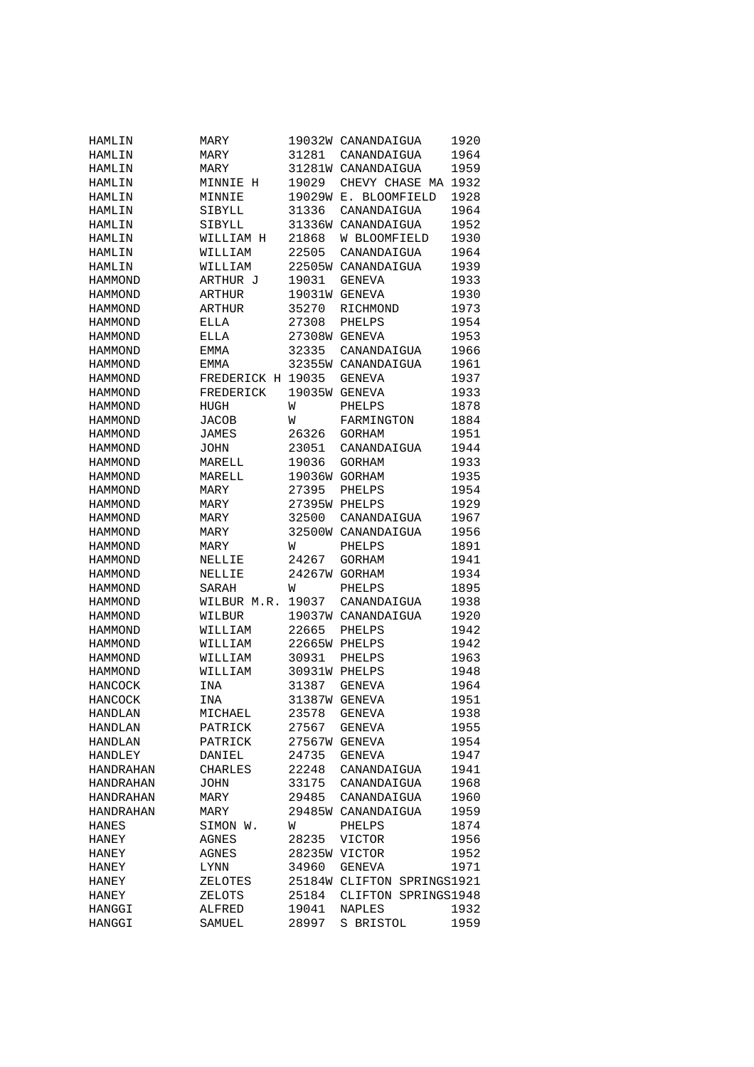|                |                   |        |                            | 1920 |
|----------------|-------------------|--------|----------------------------|------|
| HAMLIN         | MARY              |        | 19032W CANANDAIGUA         |      |
| HAMLIN         | MARY              | 31281  | CANANDAIGUA                | 1964 |
| HAMLIN         | MARY              | 31281W | CANANDAIGUA                | 1959 |
| HAMLIN         | MINNIE H          | 19029  | CHEVY CHASE MA             | 1932 |
| <b>HAMLIN</b>  | MINNIE            | 19029W | <b>BLOOMFIELD</b><br>Е.    | 1928 |
| HAMLIN         | SIBYLL            | 31336  | CANANDAIGUA                | 1964 |
| HAMLIN         | SIBYLL            | 31336W | CANANDAIGUA                | 1952 |
| HAMLIN         | WILLIAM H         | 21868  | W BLOOMFIELD               | 1930 |
| HAMLIN         | WILLIAM           | 22505  | CANANDAIGUA                | 1964 |
| HAMLIN         | WILLIAM           | 22505W | CANANDAIGUA                | 1939 |
| HAMMOND        | ARTHUR J          | 19031  | GENEVA                     | 1933 |
| HAMMOND        | ARTHUR            | 19031W | <b>GENEVA</b>              | 1930 |
| HAMMOND        | <b>ARTHUR</b>     | 35270  | RICHMOND                   | 1973 |
| HAMMOND        | ELLA              | 27308  | PHELPS                     | 1954 |
| HAMMOND        | ELLA              | 27308W | <b>GENEVA</b>              | 1953 |
| HAMMOND        | <b>EMMA</b>       | 32335  | CANANDAIGUA                | 1966 |
| HAMMOND        | EMMA              | 32355W | CANANDAIGUA                | 1961 |
| HAMMOND        | FREDERICK H 19035 |        | <b>GENEVA</b>              | 1937 |
| HAMMOND        | FREDERICK         | 19035W | <b>GENEVA</b>              | 1933 |
| HAMMOND        | HUGH              | W      | PHELPS                     | 1878 |
| HAMMOND        | JACOB             | W      | FARMINGTON                 | 1884 |
| HAMMOND        | JAMES             | 26326  | GORHAM                     | 1951 |
| HAMMOND        | JOHN              | 23051  | CANANDAIGUA                | 1944 |
| HAMMOND        | MARELL            | 19036  | GORHAM                     | 1933 |
| <b>HAMMOND</b> | MARELL            | 19036W | GORHAM                     | 1935 |
| HAMMOND        | MARY              | 27395  | PHELPS                     | 1954 |
| HAMMOND        | MARY              | 27395W | PHELPS                     | 1929 |
| <b>HAMMOND</b> | MARY              | 32500  | CANANDAIGUA                | 1967 |
| HAMMOND        | MARY              | 32500W | CANANDAIGUA                | 1956 |
| <b>HAMMOND</b> | MARY              | W      | PHELPS                     | 1891 |
| <b>HAMMOND</b> | NELLIE            | 24267  | GORHAM                     | 1941 |
| HAMMOND        | NELLIE            | 24267W | GORHAM                     | 1934 |
| HAMMOND        | SARAH             | W      | PHELPS                     | 1895 |
| <b>HAMMOND</b> | WILBUR M.R.       | 19037  | CANANDAIGUA                | 1938 |
| HAMMOND        | WILBUR            |        | 19037W CANANDAIGUA         | 1920 |
| HAMMOND        | WILLIAM           | 22665  | PHELPS                     | 1942 |
| HAMMOND        | WILLIAM           | 22665W | PHELPS                     | 1942 |
| HAMMOND        | WILLIAM           | 30931  | PHELPS                     | 1963 |
| HAMMOND        | WILLIAM           | 30931W | PHELPS                     | 1948 |
| <b>HANCOCK</b> | INA               | 31387  | GENEVA                     | 1964 |
|                | INA               |        | 31387W GENEVA              | 1951 |
| HANCOCK        |                   |        |                            | 1938 |
| HANDLAN        | MICHAEL           | 23578  | GENEVA                     |      |
| HANDLAN        | PATRICK           | 27567  | GENEVA                     | 1955 |
| HANDLAN        | PATRICK           | 27567W | GENEVA                     | 1954 |
| <b>HANDLEY</b> | DANIEL            | 24735  | <b>GENEVA</b>              | 1947 |
| HANDRAHAN      | <b>CHARLES</b>    | 22248  | CANANDAIGUA                | 1941 |
| HANDRAHAN      | JOHN              | 33175  | CANANDAIGUA                | 1968 |
| HANDRAHAN      | MARY              | 29485  | CANANDAIGUA                | 1960 |
| HANDRAHAN      | MARY              |        | 29485W CANANDAIGUA         | 1959 |
| HANES          | SIMON W.          | W      | PHELPS                     | 1874 |
| HANEY          | AGNES             | 28235  | <b>VICTOR</b>              | 1956 |
| HANEY          | AGNES             |        | 28235W VICTOR              | 1952 |
| HANEY          | LYNN              | 34960  | <b>GENEVA</b>              | 1971 |
| HANEY          | ZELOTES           |        | 25184W CLIFTON SPRINGS1921 |      |
| HANEY          | ZELOTS            | 25184  | CLIFTON SPRINGS1948        |      |
| HANGGI         | ALFRED            | 19041  | NAPLES                     | 1932 |
| HANGGI         | SAMUEL            | 28997  | S BRISTOL                  | 1959 |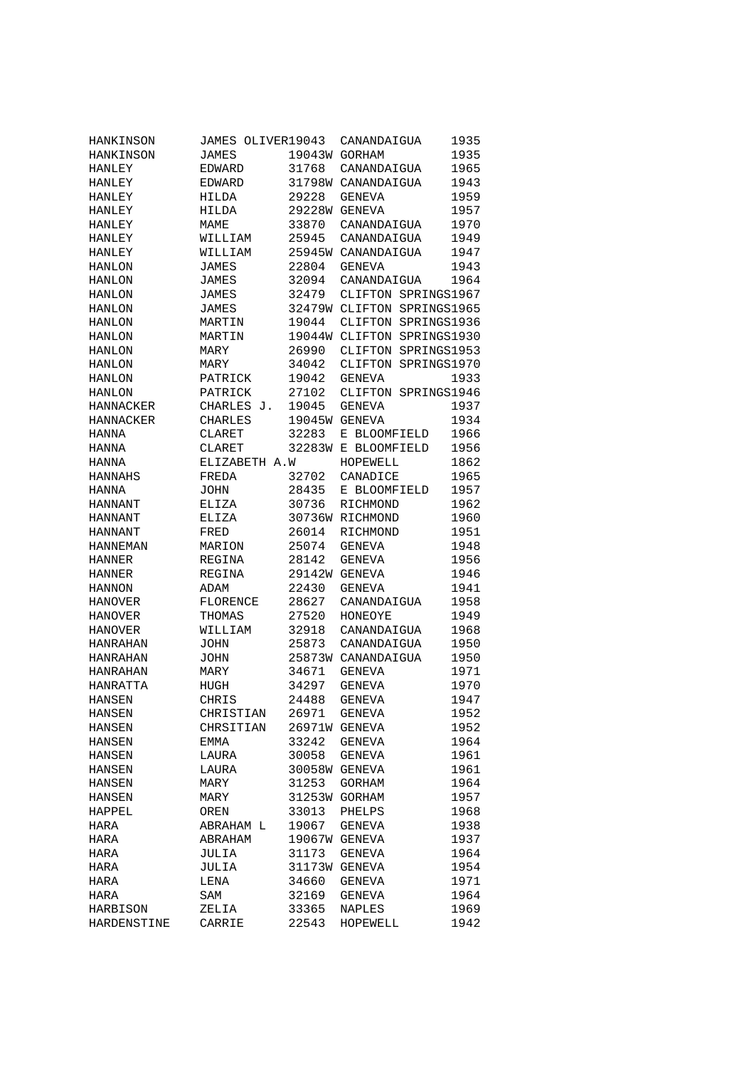| HANKINSON        | JAMES OLIVER19043 |               | CANANDAIGUA            | 1935 |
|------------------|-------------------|---------------|------------------------|------|
| HANKINSON        | JAMES             | 19043W        | GORHAM                 | 1935 |
| HANLEY           | <b>EDWARD</b>     | 31768         | CANANDAIGUA            | 1965 |
| HANLEY           | EDWARD            | 31798W        | CANANDAIGUA            | 1943 |
| HANLEY           | <b>HILDA</b>      | 29228         | GENEVA                 | 1959 |
| HANLEY           | HILDA             | 29228W        | <b>GENEVA</b>          | 1957 |
| HANLEY           | MAME              | 33870         | CANANDAIGUA            | 1970 |
| HANLEY           | WILLIAM           | 25945         | CANANDAIGUA            | 1949 |
| HANLEY           | WILLIAM           | 25945W        | CANANDAIGUA            | 1947 |
| HANLON           | JAMES             | 22804         | GENEVA                 | 1943 |
| HANLON           | JAMES             | 32094         | CANANDAIGUA            | 1964 |
| HANLON           | JAMES             | 32479         | CLIFTON SPRINGS1967    |      |
| <b>HANLON</b>    | JAMES             | 32479W        | CLIFTON SPRINGS1965    |      |
| HANLON           | MARTIN            | 19044         | CLIFTON SPRINGS1936    |      |
| HANLON           | MARTIN            | 19044W        | CLIFTON SPRINGS1930    |      |
| HANLON           | MARY              | 26990         | CLIFTON<br>SPRINGS1953 |      |
| HANLON           | MARY              | 34042         | CLIFTON<br>SPRINGS1970 |      |
| HANLON           | PATRICK           | 19042         | <b>GENEVA</b>          | 1933 |
| <b>HANLON</b>    | PATRICK           | 27102         | CLIFTON SPRINGS1946    |      |
| HANNACKER        | CHARLES J.        | 19045         | <b>GENEVA</b>          | 1937 |
| <b>HANNACKER</b> | <b>CHARLES</b>    | 19045W        | <b>GENEVA</b>          | 1934 |
| HANNA            | CLARET            | 32283         | E BLOOMFIELD           | 1966 |
| HANNA            | CLARET            | 32283W        | E BLOOMFIELD           | 1956 |
| HANNA            | ELIZABETH A.W     |               | HOPEWELL               | 1862 |
| <b>HANNAHS</b>   | FREDA             | 32702         | CANADICE               | 1965 |
| HANNA            | JOHN              | 28435         | E BLOOMFIELD           | 1957 |
| HANNANT          | ELIZA             | 30736         | RICHMOND               | 1962 |
| <b>HANNANT</b>   | ELIZA             | 30736W        | RICHMOND               | 1960 |
| HANNANT          | FRED              | 26014         | RICHMOND               | 1951 |
| HANNEMAN         | MARION            | 25074         | <b>GENEVA</b>          | 1948 |
| HANNER           | REGINA            | 28142         | <b>GENEVA</b>          | 1956 |
| <b>HANNER</b>    | REGINA            | 29142W        | <b>GENEVA</b>          | 1946 |
| <b>HANNON</b>    | ADAM              | 22430         | <b>GENEVA</b>          | 1941 |
| <b>HANOVER</b>   | FLORENCE          | 28627         | CANANDAIGUA            | 1958 |
| HANOVER          | THOMAS            | 27520         | HONEOYE                | 1949 |
| HANOVER          | WILLIAM           | 32918         | CANANDAIGUA            | 1968 |
| HANRAHAN         | <b>JOHN</b>       | 25873         | CANANDAIGUA            | 1950 |
| <b>HANRAHAN</b>  | JOHN              | 25873W        | CANANDAIGUA            | 1950 |
| HANRAHAN         | MARY              | 34671         | <b>GENEVA</b>          | 1971 |
| <b>HANRATTA</b>  | <b>HUGH</b>       | 34297         | GENEVA                 | 1970 |
| HANSEN           | CHRIS             | 24488         | <b>GENEVA</b>          | 1947 |
| HANSEN           | CHRISTIAN         | 26971         | <b>GENEVA</b>          | 1952 |
| <b>HANSEN</b>    | CHRSITIAN         | 26971W        | GENEVA                 | 1952 |
| HANSEN           | EMMA              | 33242         | GENEVA                 | 1964 |
| HANSEN           | LAURA             | 30058         | <b>GENEVA</b>          | 1961 |
| HANSEN           | LAURA             | 30058W GENEVA |                        | 1961 |
| HANSEN           | MARY              | 31253         | GORHAM                 | 1964 |
| HANSEN           | MARY              | 31253W        | GORHAM                 | 1957 |
| HAPPEL           | OREN              | 33013         | PHELPS                 | 1968 |
| HARA             | ABRAHAM L         | 19067         | <b>GENEVA</b>          | 1938 |
| HARA             | ABRAHAM           | 19067W        | GENEVA                 | 1937 |
| $_{\rm HARA}$    | JULIA             | 31173         | GENEVA                 | 1964 |
| HARA             | JULIA             | 31173W        | GENEVA                 | 1954 |
| <b>HARA</b>      | LENA              | 34660         | GENEVA                 | 1971 |
| HARA             | SAM               | 32169         | GENEVA                 | 1964 |
| HARBISON         | ZELIA             | 33365         | NAPLES                 | 1969 |
| HARDENSTINE      | CARRIE            | 22543         | HOPEWELL               | 1942 |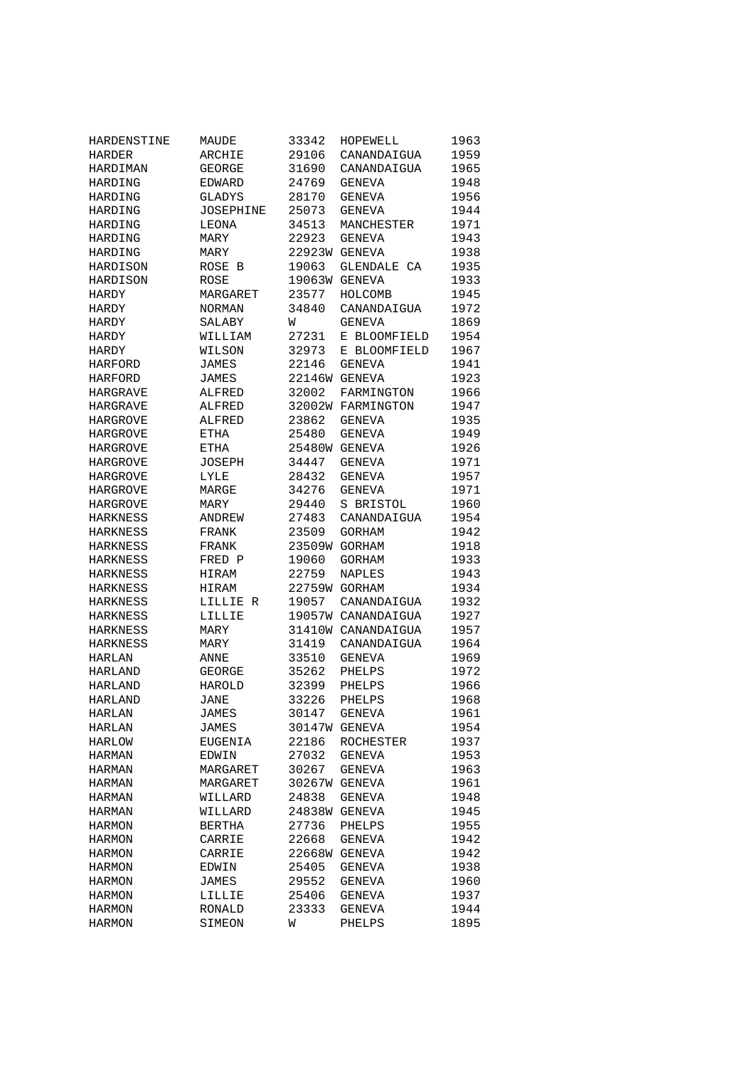| HARDENSTINE                      | MAUDE          | 33342          | HOPEWELL         | 1963         |
|----------------------------------|----------------|----------------|------------------|--------------|
| <b>HARDER</b>                    | ARCHIE         | 29106          | CANANDAIGUA      | 1959         |
| HARDIMAN                         | <b>GEORGE</b>  | 31690          | CANANDAIGUA      | 1965         |
| HARDING                          | EDWARD         | 24769          | GENEVA           | 1948         |
| HARDING                          | <b>GLADYS</b>  | 28170          | GENEVA           | 1956         |
| HARDING                          | JOSEPHINE      | 25073          | GENEVA           | 1944         |
| HARDING                          | LEONA          | 34513          | MANCHESTER       | 1971         |
| HARDING                          | MARY           | 22923          | GENEVA           | 1943         |
| HARDING                          | MARY           | 22923W         | GENEVA           | 1938         |
| HARDISON                         | ROSE B         | 19063          | GLENDALE CA      | 1935         |
| HARDISON                         | <b>ROSE</b>    | 19063W         | <b>GENEVA</b>    | 1933         |
| HARDY                            | MARGARET       | 23577          | HOLCOMB          | 1945         |
| HARDY                            | <b>NORMAN</b>  | 34840          | CANANDAIGUA      | 1972         |
| HARDY                            | SALABY         | W              | <b>GENEVA</b>    | 1869         |
| HARDY                            | WILLIAM        | 27231          | E BLOOMFIELD     | 1954         |
| HARDY                            | WILSON         | 32973          | E BLOOMFIELD     | 1967         |
| <b>HARFORD</b>                   | <b>JAMES</b>   | 22146          | GENEVA           | 1941         |
| <b>HARFORD</b>                   | JAMES          | 22146W         | GENEVA           | 1923         |
| <b>HARGRAVE</b>                  | ALFRED         | 32002          | FARMINGTON       | 1966         |
| <b>HARGRAVE</b>                  | ALFRED         | 32002W         | FARMINGTON       | 1947         |
| HARGROVE                         | ALFRED         | 23862          | GENEVA           | 1935         |
| HARGROVE                         | ETHA           | 25480          | GENEVA           | 1949         |
| HARGROVE                         | ETHA           | 25480W         | <b>GENEVA</b>    | 1926         |
| HARGROVE                         | JOSEPH         | 34447          | <b>GENEVA</b>    | 1971         |
| <b>HARGROVE</b>                  | <b>LYLE</b>    | 28432          | <b>GENEVA</b>    | 1957         |
| <b>HARGROVE</b>                  | MARGE          | 34276          | <b>GENEVA</b>    | 1971         |
| HARGROVE                         | MARY           | 29440          | S BRISTOL        | 1960         |
| <b>HARKNESS</b>                  | ANDREW         | 27483          | CANANDAIGUA      | 1954         |
| HARKNESS                         |                | 23509          | GORHAM           | 1942         |
| HARKNESS                         | FRANK<br>FRANK | 23509W         | GORHAM           | 1918         |
| <b>HARKNESS</b>                  | FRED P         | 19060          | GORHAM           | 1933         |
| HARKNESS                         | HIRAM          | 22759          | NAPLES           | 1943         |
| HARKNESS                         | HIRAM          | 22759W         | <b>GORHAM</b>    | 1934         |
| HARKNESS                         | LILLIE R       | 19057          | CANANDAIGUA      | 1932         |
|                                  |                | 19057W         | CANANDAIGUA      | 1927         |
| HARKNESS<br>HARKNESS             | LILLIE         | 31410W         | CANANDAIGUA      | 1957         |
|                                  | MARY<br>MARY   | 31419          | CANANDAIGUA      | 1964         |
| HARKNESS                         |                |                |                  |              |
| HARLAN                           | ANNE           | 33510<br>35262 | GENEVA           | 1969         |
| HARLAND                          | GEORGE         | 32399          | PHELPS           | 1972<br>1966 |
| <b>HARLAND</b><br><b>HARLAND</b> | <b>HAROLD</b>  | 33226          | PHELPS<br>PHELPS | 1968         |
|                                  | JANE           |                |                  |              |
| HARLAN                           | JAMES          | 30147          | GENEVA           | 1961         |
| HARLAN                           | JAMES          | 30147W         | GENEVA           | 1954         |
| HARLOW                           | EUGENIA        | 22186          | ROCHESTER        | 1937         |
| <b>HARMAN</b>                    | EDWIN          | 27032          | <b>GENEVA</b>    | 1953         |
| HARMAN                           | MARGARET       | 30267          | <b>GENEVA</b>    | 1963         |
| HARMAN                           | MARGARET       | 30267W         | <b>GENEVA</b>    | 1961         |
| HARMAN                           | WILLARD        | 24838          | <b>GENEVA</b>    | 1948         |
| HARMAN                           | WILLARD        | 24838W         | GENEVA           | 1945         |
| HARMON                           | BERTHA         | 27736          | PHELPS           | 1955         |
| HARMON                           | CARRIE         | 22668          | GENEVA           | 1942         |
| HARMON                           | CARRIE         | 22668W         | GENEVA           | 1942         |
| HARMON                           | EDWIN          | 25405          | GENEVA           | 1938         |
| HARMON                           | JAMES          | 29552          | GENEVA           | 1960         |
| HARMON                           | LILLIE         | 25406          | GENEVA           | 1937         |
| HARMON                           | RONALD         | 23333          | GENEVA           | 1944         |
| <b>HARMON</b>                    | SIMEON         | W              | PHELPS           | 1895         |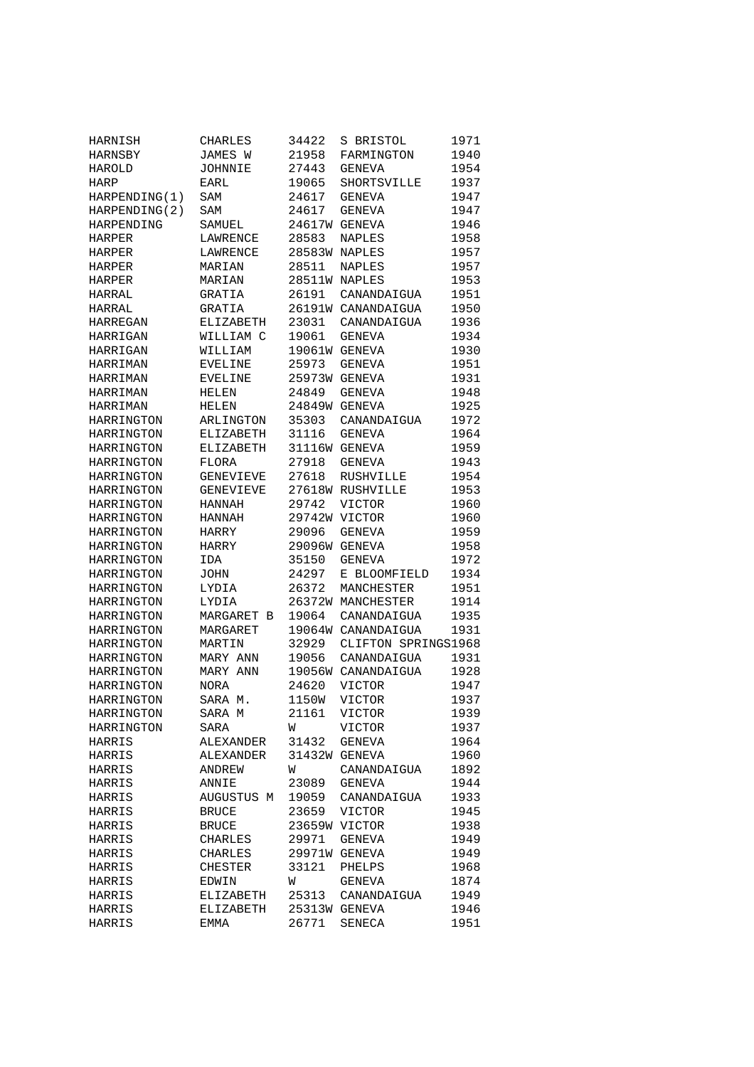| HARNISH         | CHARLES          | 34422         | S BRISTOL           | 1971 |
|-----------------|------------------|---------------|---------------------|------|
| <b>HARNSBY</b>  | JAMES W          | 21958         | FARMINGTON          | 1940 |
| HAROLD          | JOHNNIE          | 27443         | GENEVA              | 1954 |
| HARP            | EARL             | 19065         | SHORTSVILLE         | 1937 |
| HARPENDING(1)   | SAM              | 24617         | GENEVA              | 1947 |
| HARPENDING(2)   | SAM              | 24617         | GENEVA              | 1947 |
| HARPENDING      | SAMUEL           | 24617W        | <b>GENEVA</b>       | 1946 |
| <b>HARPER</b>   | LAWRENCE         | 28583         | NAPLES              | 1958 |
| HARPER          | LAWRENCE         | 28583W        | NAPLES              | 1957 |
| HARPER          | MARIAN           | 28511         | NAPLES              | 1957 |
| HARPER          | MARIAN           | 28511W        | NAPLES              | 1953 |
| HARRAL          | GRATIA           | 26191         | CANANDAIGUA         | 1951 |
| HARRAL          | GRATIA           | 26191W        | CANANDAIGUA         | 1950 |
| <b>HARREGAN</b> | <b>ELIZABETH</b> | 23031         | CANANDAIGUA         | 1936 |
| HARRIGAN        | WILLIAM C        | 19061         | <b>GENEVA</b>       | 1934 |
| HARRIGAN        | WILLIAM          | 19061W        | <b>GENEVA</b>       | 1930 |
| HARRIMAN        | <b>EVELINE</b>   | 25973         | <b>GENEVA</b>       | 1951 |
| HARRIMAN        | EVELINE          | 25973W        | GENEVA              | 1931 |
| <b>HARRIMAN</b> | <b>HELEN</b>     | 24849         | GENEVA              | 1948 |
| <b>HARRIMAN</b> | <b>HELEN</b>     | 24849W        | <b>GENEVA</b>       | 1925 |
| HARRINGTON      | ARLINGTON        | 35303         | CANANDAIGUA         | 1972 |
| HARRINGTON      | ELIZABETH        | 31116         | GENEVA              | 1964 |
| HARRINGTON      | ELIZABETH        | 31116W        | GENEVA              | 1959 |
| HARRINGTON      | FLORA            | 27918         | <b>GENEVA</b>       | 1943 |
| HARRINGTON      | <b>GENEVIEVE</b> | 27618         | <b>RUSHVILLE</b>    | 1954 |
| HARRINGTON      | <b>GENEVIEVE</b> | 27618W        | <b>RUSHVILLE</b>    | 1953 |
| HARRINGTON      | HANNAH           | 29742         | <b>VICTOR</b>       | 1960 |
| HARRINGTON      | <b>HANNAH</b>    | 29742W        | <b>VICTOR</b>       | 1960 |
| HARRINGTON      | HARRY            | 29096         | GENEVA              | 1959 |
| HARRINGTON      | <b>HARRY</b>     | 29096W        | <b>GENEVA</b>       | 1958 |
| HARRINGTON      | IDA              | 35150         | GENEVA              | 1972 |
| HARRINGTON      | JOHN             | 24297         | BLOOMFIELD<br>E.    | 1934 |
| HARRINGTON      | LYDIA            | 26372         | MANCHESTER          | 1951 |
| HARRINGTON      | LYDIA            | 26372W        | MANCHESTER          | 1914 |
| HARRINGTON      | MARGARET B       | 19064         | CANANDAIGUA         | 1935 |
| HARRINGTON      | MARGARET         | 19064W        | CANANDAIGUA         | 1931 |
| HARRINGTON      | MARTIN           | 32929         | CLIFTON SPRINGS1968 |      |
| HARRINGTON      | MARY ANN         | 19056         | CANANDAIGUA         | 1931 |
| HARRINGTON      | MARY ANN         | 19056W        | CANANDAIGUA         | 1928 |
| HARRINGTON      | NORA             | 24620         | VICTOR              | 1947 |
| HARRINGTON      | SARA M.          | 1150W         | VICTOR              | 1937 |
| HARRINGTON      | SARA M           | 21161         | VICTOR              | 1939 |
| HARRINGTON      | SARA             | W             | VICTOR              | 1937 |
| HARRIS          | ALEXANDER        | 31432         | GENEVA              | 1964 |
| HARRIS          | ALEXANDER        | 31432W GENEVA |                     | 1960 |
| HARRIS          | ANDREW           | W             | CANANDAIGUA         | 1892 |
| HARRIS          | ANNIE            | 23089         | GENEVA              | 1944 |
| HARRIS          | AUGUSTUS M       | 19059         | CANANDAIGUA         | 1933 |
| HARRIS          | <b>BRUCE</b>     | 23659         | <b>VICTOR</b>       | 1945 |
| HARRIS          | <b>BRUCE</b>     | 23659W VICTOR |                     | 1938 |
| HARRIS          | CHARLES          | 29971         | GENEVA              | 1949 |
| HARRIS          | CHARLES          | 29971W        | GENEVA              | 1949 |
| HARRIS          | CHESTER          | 33121         | PHELPS              | 1968 |
| HARRIS          | EDWIN            | W             | GENEVA              | 1874 |
| HARRIS          | ELIZABETH        | 25313         | CANANDAIGUA         | 1949 |
| HARRIS          | ELIZABETH        | 25313W GENEVA |                     | 1946 |
| HARRIS          | <b>EMMA</b>      | 26771         | <b>SENECA</b>       | 1951 |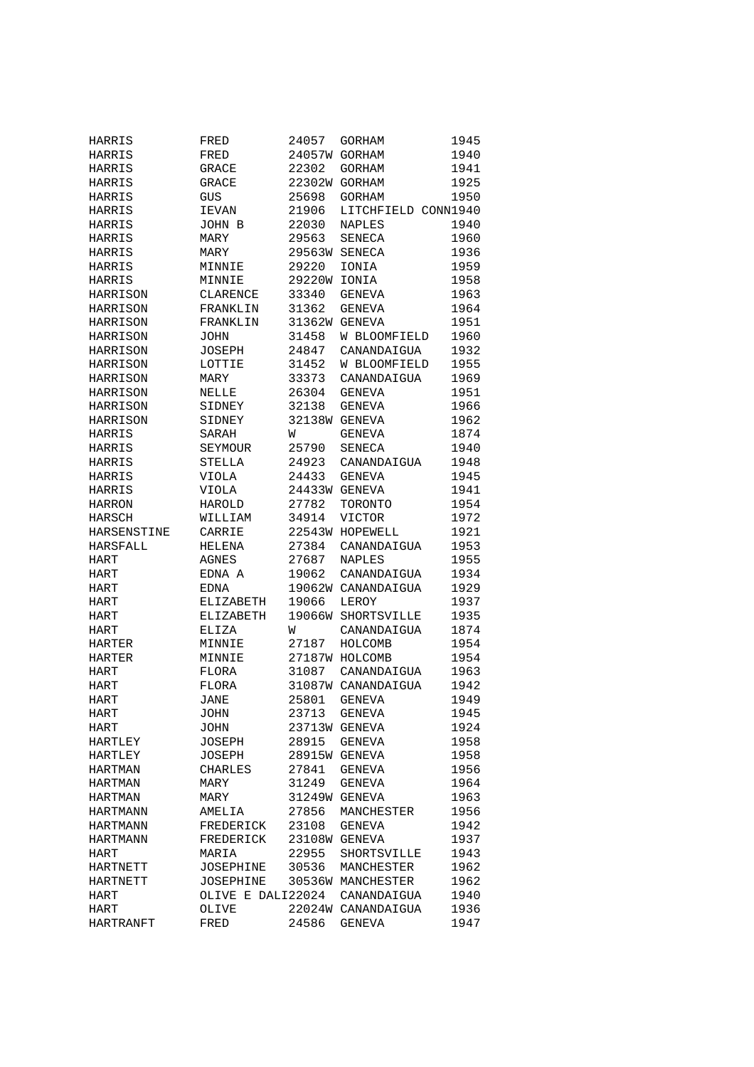| HARRIS           | FRED              | 24057         | GORHAM              | 1945 |
|------------------|-------------------|---------------|---------------------|------|
| HARRIS           | FRED              | 24057W        | GORHAM              | 1940 |
| HARRIS           | GRACE             | 22302         | GORHAM              | 1941 |
| HARRIS           | GRACE             | 22302W        | GORHAM              | 1925 |
| HARRIS           | GUS               | 25698         | GORHAM              | 1950 |
| HARRIS           | <b>IEVAN</b>      | 21906         | LITCHFIELD CONN1940 |      |
| HARRIS           | JOHN B            | 22030         | NAPLES              | 1940 |
| HARRIS           | MARY              | 29563         | SENECA              | 1960 |
| HARRIS           | MARY              | 29563W        | SENECA              | 1936 |
| HARRIS           | MINNIE            | 29220         | IONIA               | 1959 |
| HARRIS           | MINNIE            | 29220W        | IONIA               | 1958 |
| HARRISON         | CLARENCE          | 33340         | GENEVA              | 1963 |
| HARRISON         | FRANKLIN          | 31362         | GENEVA              | 1964 |
| HARRISON         | FRANKLIN          | 31362W        | <b>GENEVA</b>       | 1951 |
| HARRISON         | <b>JOHN</b>       | 31458         | W BLOOMFIELD        | 1960 |
| <b>HARRISON</b>  | <b>JOSEPH</b>     | 24847         | CANANDAIGUA         | 1932 |
| HARRISON         | LOTTIE            | 31452         | W BLOOMFIELD        | 1955 |
| HARRISON         | MARY              | 33373         | CANANDAIGUA         | 1969 |
| HARRISON         | NELLE             | 26304         | GENEVA              | 1951 |
| HARRISON         | SIDNEY            | 32138         | GENEVA              | 1966 |
| HARRISON         | SIDNEY            | 32138W GENEVA |                     | 1962 |
| HARRIS           | SARAH             | W             | GENEVA              | 1874 |
| HARRIS           | SEYMOUR           | 25790         | SENECA              | 1940 |
| HARRIS           | STELLA            | 24923         | CANANDAIGUA         | 1948 |
| HARRIS           | VIOLA             | 24433         | GENEVA              | 1945 |
| HARRIS           | <b>VIOLA</b>      | 24433W        | <b>GENEVA</b>       | 1941 |
| <b>HARRON</b>    | HAROLD            | 27782         | TORONTO             | 1954 |
| HARSCH           | WILLIAM           | 34914         | <b>VICTOR</b>       | 1972 |
| HARSENSTINE      | CARRIE            | 22543W        | HOPEWELL            | 1921 |
| HARSFALL         | <b>HELENA</b>     | 27384         | CANANDAIGUA         | 1953 |
| HART             | AGNES             | 27687         | NAPLES              | 1955 |
| HART             | EDNA A            | 19062         | CANANDAIGUA         | 1934 |
| <b>HART</b>      | EDNA              |               | 19062W CANANDAIGUA  | 1929 |
| HART             | ELIZABETH         | 19066         | LEROY               | 1937 |
| HART             | ELIZABETH         | 19066W        | SHORTSVILLE         | 1935 |
| <b>HART</b>      | ELIZA             | W             | CANANDAIGUA         | 1874 |
| HARTER           | MINNIE            | 27187         | HOLCOMB             | 1954 |
| HARTER           | MINNIE            |               | 27187W HOLCOMB      | 1954 |
| <b>HART</b>      | FLORA             | 31087         | CANANDAIGUA         | 1963 |
| <b>HART</b>      | <b>FLORA</b>      |               | 31087W CANANDAIGUA  | 1942 |
| <b>HART</b>      | JANE              | 25801         | <b>GENEVA</b>       | 1949 |
| HART             | JOHN              | 23713         | GENEVA              | 1945 |
| HART             | JOHN              | 23713W GENEVA |                     | 1924 |
| HARTLEY          | JOSEPH            | 28915         | GENEVA              | 1958 |
| HARTLEY          | JOSEPH            | 28915W GENEVA |                     | 1958 |
| HARTMAN          | CHARLES           | 27841         | <b>GENEVA</b>       | 1956 |
| <b>HARTMAN</b>   | MARY              | 31249         | GENEVA              | 1964 |
| <b>HARTMAN</b>   | MARY              | 31249W GENEVA |                     | 1963 |
| HARTMANN         | AMELIA            | 27856         | MANCHESTER          | 1956 |
| <b>HARTMANN</b>  | FREDERICK         | 23108         | GENEVA              | 1942 |
| <b>HARTMANN</b>  | FREDERICK         | 23108W GENEVA |                     | 1937 |
| <b>HART</b>      | MARIA             | 22955         | SHORTSVILLE         | 1943 |
| HARTNETT         | JOSEPHINE         | 30536         | MANCHESTER          | 1962 |
| HARTNETT         | JOSEPHINE         |               | 30536W MANCHESTER   | 1962 |
| HART             | OLIVE E DALI22024 |               | CANANDAIGUA         | 1940 |
| HART             | OLIVE             |               | 22024W CANANDAIGUA  | 1936 |
| <b>HARTRANFT</b> | FRED              | 24586         | <b>GENEVA</b>       | 1947 |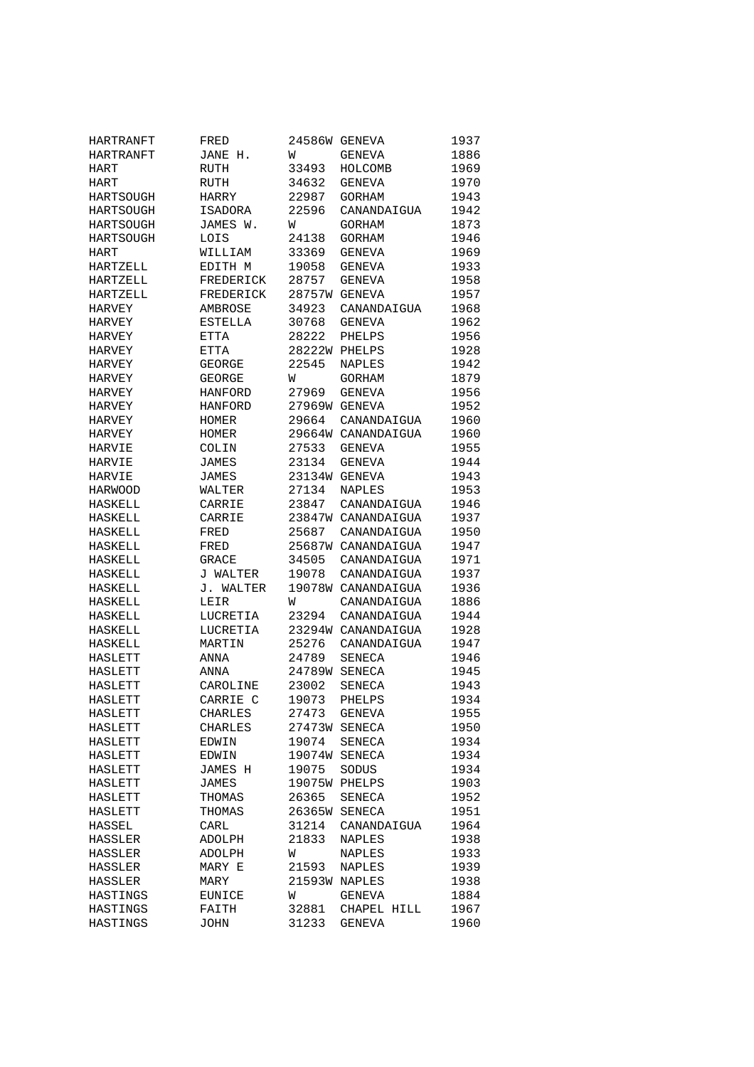| HARTRANFT        | FRED           | 24586W | <b>GENEVA</b> | 1937 |
|------------------|----------------|--------|---------------|------|
| <b>HARTRANFT</b> | JANE H.        | W      | GENEVA        | 1886 |
| HART             | RUTH           | 33493  | HOLCOMB       | 1969 |
| HART             | RUTH           | 34632  | GENEVA        | 1970 |
| HARTSOUGH        | <b>HARRY</b>   | 22987  | GORHAM        | 1943 |
| HARTSOUGH        | ISADORA        | 22596  | CANANDAIGUA   | 1942 |
| HARTSOUGH        | JAMES W.       | W      | GORHAM        | 1873 |
| HARTSOUGH        | LOIS           | 24138  | GORHAM        | 1946 |
| HART             | WILLIAM        | 33369  | GENEVA        | 1969 |
| <b>HARTZELL</b>  | EDITH M        | 19058  | GENEVA        | 1933 |
| HARTZELL         | FREDERICK      | 28757  | GENEVA        | 1958 |
| <b>HARTZELL</b>  | FREDERICK      | 28757W | GENEVA        | 1957 |
| <b>HARVEY</b>    | <b>AMBROSE</b> | 34923  | CANANDAIGUA   | 1968 |
| <b>HARVEY</b>    | ESTELLA        | 30768  | GENEVA        | 1962 |
| HARVEY           | ETTA           | 28222  | PHELPS        | 1956 |
| HARVEY           | ETTA           | 28222W | PHELPS        | 1928 |
| HARVEY           | GEORGE         | 22545  | NAPLES        | 1942 |
| HARVEY           | GEORGE         | W      | GORHAM        | 1879 |
| HARVEY           | HANFORD        | 27969  | <b>GENEVA</b> | 1956 |
| <b>HARVEY</b>    | <b>HANFORD</b> | 27969W | <b>GENEVA</b> | 1952 |
| HARVEY           | HOMER          | 29664  | CANANDAIGUA   | 1960 |
| HARVEY           | HOMER          | 29664W | CANANDAIGUA   | 1960 |
| HARVIE           | COLIN          | 27533  | GENEVA        | 1955 |
| HARVIE           | <b>JAMES</b>   | 23134  | GENEVA        | 1944 |
| HARVIE           | JAMES          | 23134W | <b>GENEVA</b> | 1943 |
| <b>HARWOOD</b>   | WALTER         | 27134  | NAPLES        | 1953 |
| HASKELL          | CARRIE         | 23847  | CANANDAIGUA   | 1946 |
| HASKELL          | CARRIE         | 23847W | CANANDAIGUA   | 1937 |
| HASKELL          | FRED           | 25687  | CANANDAIGUA   | 1950 |
| HASKELL          | FRED           | 25687W | CANANDAIGUA   | 1947 |
| <b>HASKELL</b>   | GRACE          | 34505  | CANANDAIGUA   | 1971 |
| HASKELL          | J WALTER       | 19078  | CANANDAIGUA   | 1937 |
| HASKELL          | J. WALTER      | 19078W | CANANDAIGUA   | 1936 |
| HASKELL          | LEIR           | W      | CANANDAIGUA   | 1886 |
| HASKELL          | LUCRETIA       | 23294  | CANANDAIGUA   | 1944 |
| <b>HASKELL</b>   | LUCRETIA       | 23294W | CANANDAIGUA   | 1928 |
| HASKELL          | MARTIN         | 25276  | CANANDAIGUA   | 1947 |
| <b>HASLETT</b>   | ANNA           | 24789  | SENECA        | 1946 |
| HASLETT          | ANNA           | 24789W | SENECA        | 1945 |
| HASLETT          | CAROLINE       | 23002  | SENECA        | 1943 |
| HASLETT          | CARRIE C       | 19073  | PHELPS        | 1934 |
| HASLETT          | CHARLES        | 27473  | <b>GENEVA</b> | 1955 |
| <b>HASLETT</b>   | CHARLES        | 27473W | SENECA        | 1950 |
| HASLETT          | EDWIN          | 19074  | SENECA        | 1934 |
| <b>HASLETT</b>   | EDWIN          | 19074W | SENECA        | 1934 |
| HASLETT          | JAMES H        | 19075  | SODUS         | 1934 |
| HASLETT          | JAMES          | 19075W | PHELPS        | 1903 |
| <b>HASLETT</b>   | THOMAS         | 26365  | SENECA        | 1952 |
| <b>HASLETT</b>   | THOMAS         | 26365W | SENECA        | 1951 |
| HASSEL           | CARL           | 31214  | CANANDAIGUA   | 1964 |
| HASSLER          | ADOLPH         | 21833  | <b>NAPLES</b> | 1938 |
| HASSLER          | ADOLPH         | W      | NAPLES        | 1933 |
| HASSLER          | MARY E         | 21593  | NAPLES        | 1939 |
| HASSLER          | MARY           | 21593W | NAPLES        | 1938 |
| HASTINGS         | EUNICE         | W      | GENEVA        | 1884 |
| HASTINGS         | FAITH          | 32881  | CHAPEL HILL   | 1967 |
| HASTINGS         | JOHN           | 31233  | <b>GENEVA</b> | 1960 |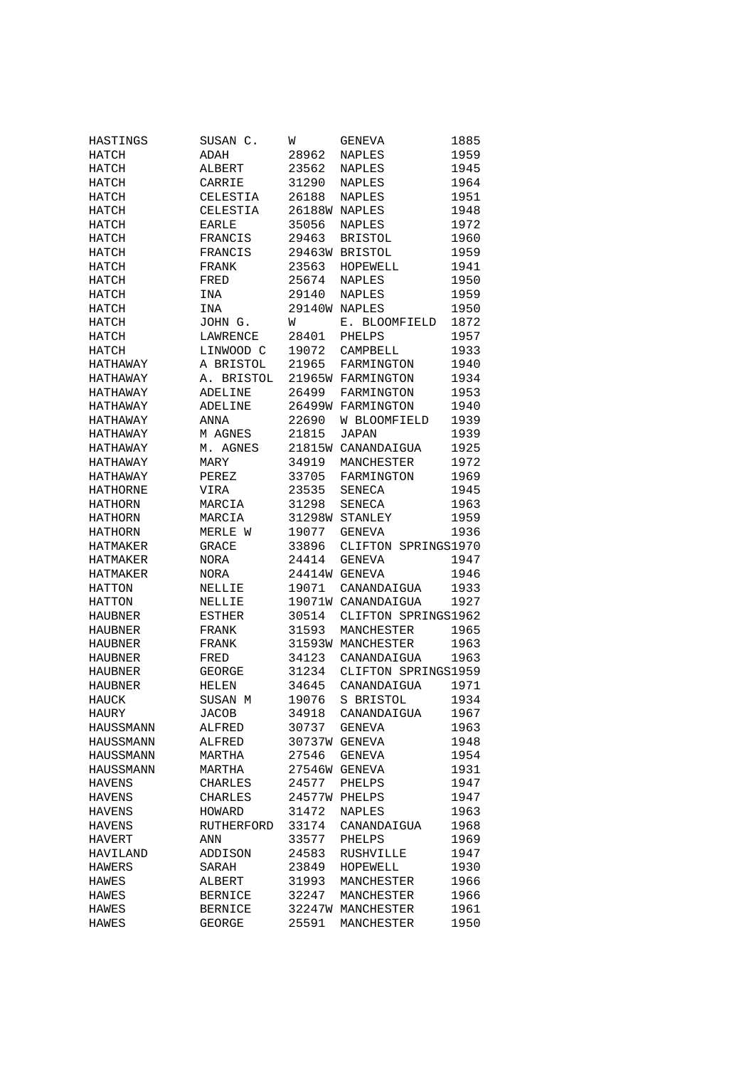| HASTINGS         | SUSAN C.             | W              | GENEVA                             | 1885         |
|------------------|----------------------|----------------|------------------------------------|--------------|
| HATCH            | ADAH                 | 28962          | NAPLES                             | 1959         |
| <b>HATCH</b>     | ALBERT               | 23562          | <b>NAPLES</b>                      | 1945         |
| HATCH            | CARRIE               | 31290          | NAPLES                             | 1964         |
| <b>HATCH</b>     | CELESTIA             | 26188          | NAPLES                             | 1951         |
| <b>HATCH</b>     | CELESTIA             | 26188W         | NAPLES                             | 1948         |
| HATCH            | <b>EARLE</b>         | 35056          | NAPLES                             | 1972         |
| <b>HATCH</b>     | FRANCIS              | 29463          | <b>BRISTOL</b>                     | 1960         |
| <b>HATCH</b>     | FRANCIS              | 29463W         | <b>BRISTOL</b>                     | 1959         |
| HATCH            | FRANK                | 23563          | HOPEWELL                           | 1941         |
| <b>HATCH</b>     | FRED                 | 25674          | NAPLES                             | 1950         |
| <b>HATCH</b>     | INA                  | 29140          | NAPLES                             | 1959         |
| HATCH            | INA                  | 29140W         | <b>NAPLES</b>                      | 1950         |
| <b>HATCH</b>     | JOHN G.              | W              | E. BLOOMFIELD                      | 1872         |
| <b>HATCH</b>     | LAWRENCE             | 28401          | PHELPS                             | 1957         |
| HATCH            | LINWOOD C            | 19072          | CAMPBELL                           | 1933         |
| HATHAWAY         | A BRISTOL            | 21965          | FARMINGTON                         | 1940         |
| HATHAWAY         | <b>BRISTOL</b><br>А. | 21965W         | FARMINGTON                         | 1934         |
| HATHAWAY         | <b>ADELINE</b>       | 26499          | FARMINGTON                         | 1953         |
| HATHAWAY         | <b>ADELINE</b>       | 26499W         | FARMINGTON                         | 1940         |
| HATHAWAY         | ANNA                 | 22690          | W BLOOMFIELD                       | 1939         |
| HATHAWAY         | M AGNES              | 21815          | <b>JAPAN</b>                       | 1939         |
| HATHAWAY         | M. AGNES             | 21815W         | CANANDAIGUA                        | 1925         |
| HATHAWAY         | MARY                 | 34919          | MANCHESTER                         | 1972         |
| HATHAWAY         | PEREZ                | 33705          | FARMINGTON                         | 1969         |
| HATHORNE         | VIRA                 | 23535          | SENECA                             | 1945         |
| HATHORN          | MARCIA               | 31298          | SENECA                             | 1963         |
| HATHORN          | MARCIA               | 31298W         | STANLEY                            | 1959         |
|                  |                      |                |                                    |              |
| <b>HATHORN</b>   | MERLE W              | 19077          | <b>GENEVA</b>                      | 1936         |
| HATMAKER         | <b>GRACE</b>         |                | CLIFTON SPRINGS1970                |              |
| HATMAKER         |                      | 33896<br>24414 | <b>GENEVA</b>                      | 1947         |
| <b>HATMAKER</b>  | <b>NORA</b><br>NORA  | 24414W         | <b>GENEVA</b>                      | 1946         |
|                  |                      | 19071          |                                    |              |
| HATTON<br>HATTON | NELLIE<br>NELLIE     | 19071W         | CANANDAIGUA<br>CANANDAIGUA         | 1933<br>1927 |
| HAUBNER          | ESTHER               | 30514          | CLIFTON SPRINGS1962                |              |
| HAUBNER          | <b>FRANK</b>         | 31593          | MANCHESTER                         | 1965         |
| HAUBNER          | FRANK                | 31593W         | MANCHESTER                         | 1963         |
| HAUBNER          | FRED                 | 34123          |                                    | 1963         |
| HAUBNER          | GEORGE               | 31234          | CANANDAIGUA<br>CLIFTON SPRINGS1959 |              |
| <b>HAUBNER</b>   | HELEN                | 34645          | CANANDAIGUA                        | 1971         |
| HAUCK            | SUSAN M              | 19076          | S BRISTOL                          | 1934         |
| HAURY            | JACOB                | 34918          | CANANDAIGUA                        | 1967         |
| HAUSSMANN        | ALFRED               | 30737          | <b>GENEVA</b>                      | 1963         |
| HAUSSMANN        | ALFRED               | 30737W         | <b>GENEVA</b>                      | 1948         |
| HAUSSMANN        | MARTHA               | 27546          | <b>GENEVA</b>                      | 1954         |
| HAUSSMANN        | MARTHA               | 27546W         | <b>GENEVA</b>                      | 1931         |
| HAVENS           | CHARLES              | 24577          | PHELPS                             | 1947         |
| <b>HAVENS</b>    | <b>CHARLES</b>       | 24577W         | PHELPS                             | 1947         |
| <b>HAVENS</b>    | HOWARD               | 31472          | NAPLES                             | 1963         |
| HAVENS           | RUTHERFORD           | 33174          | CANANDAIGUA                        | 1968         |
| HAVERT           | ANN                  | 33577          | PHELPS                             | 1969         |
| HAVILAND         | ADDISON              | 24583          | RUSHVILLE                          | 1947         |
| HAWERS           | SARAH                | 23849          | HOPEWELL                           | 1930         |
| HAWES            | ALBERT               | 31993          | MANCHESTER                         | 1966         |
| HAWES            | <b>BERNICE</b>       | 32247          | MANCHESTER                         | 1966         |
| HAWES            | <b>BERNICE</b>       | 32247W         | MANCHESTER                         | 1961         |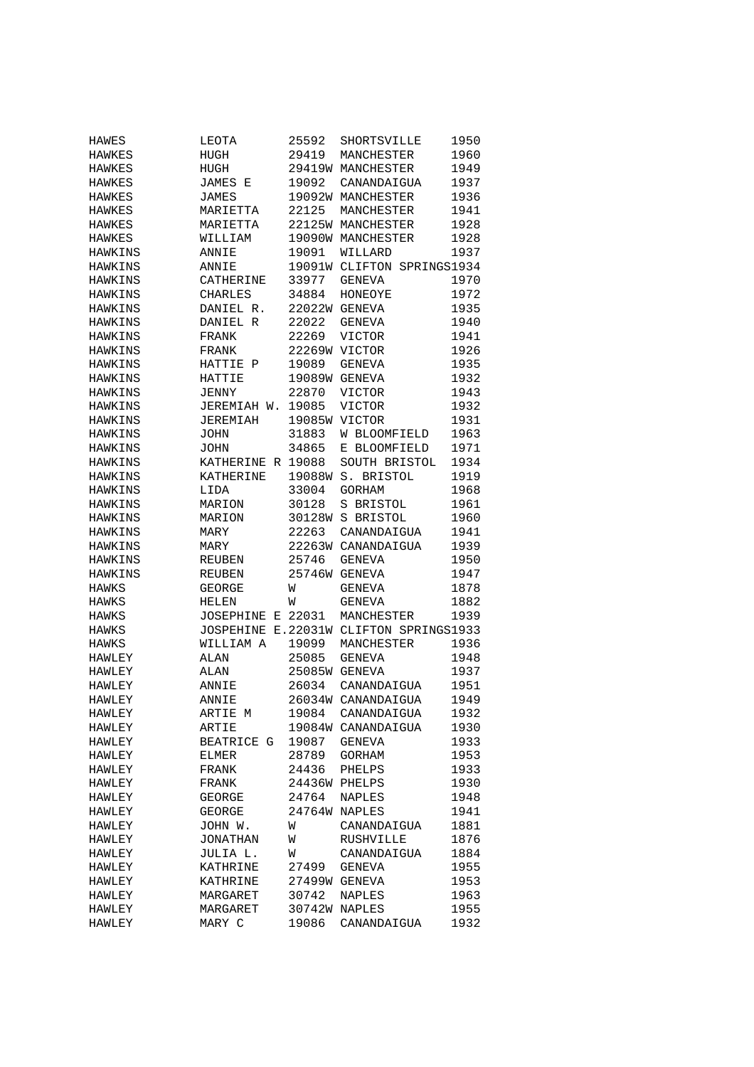| HAWES         | LEOTA            | 25592         | SHORTSVILLE                  | 1950 |
|---------------|------------------|---------------|------------------------------|------|
| <b>HAWKES</b> | <b>HUGH</b>      | 29419         | MANCHESTER                   | 1960 |
| HAWKES        | HUGH             | 29419W        | MANCHESTER                   | 1949 |
| HAWKES        | JAMES E          | 19092         | CANANDAIGUA                  | 1937 |
| HAWKES        | <b>JAMES</b>     | 19092W        | MANCHESTER                   | 1936 |
| HAWKES        | MARIETTA         | 22125         | MANCHESTER                   | 1941 |
| <b>HAWKES</b> | MARIETTA         |               | 22125W MANCHESTER            | 1928 |
| <b>HAWKES</b> | WILLIAM          |               | 19090W MANCHESTER            | 1928 |
| HAWKINS       | ANNIE            | 19091         | WILLARD                      | 1937 |
| HAWKINS       | ANNIE            | 19091W        | CLIFTON SPRINGS1934          |      |
| HAWKINS       | CATHERINE        | 33977         | GENEVA                       | 1970 |
| HAWKINS       | CHARLES          | 34884         | HONEOYE                      | 1972 |
| HAWKINS       | DANIEL R.        | 22022W        | <b>GENEVA</b>                | 1935 |
| HAWKINS       | DANIEL R         | 22022         | GENEVA                       | 1940 |
| HAWKINS       | FRANK            | 22269         | <b>VICTOR</b>                | 1941 |
| HAWKINS       | FRANK            | 22269W        | <b>VICTOR</b>                | 1926 |
| HAWKINS       | HATTIE<br>Ρ      | 19089         | GENEVA                       | 1935 |
| HAWKINS       | HATTIE           | 19089W        | <b>GENEVA</b>                | 1932 |
| HAWKINS       | JENNY            | 22870         | <b>VICTOR</b>                | 1943 |
| HAWKINS       | JEREMIAH W.      | 19085         | VICTOR                       | 1932 |
| HAWKINS       | JEREMIAH         | 19085W VICTOR |                              | 1931 |
| HAWKINS       | JOHN             | 31883         | W BLOOMFIELD                 | 1963 |
| HAWKINS       | JOHN             | 34865         | E BLOOMFIELD                 | 1971 |
| HAWKINS       | KATHERINE<br>R   | 19088         | SOUTH BRISTOL                | 1934 |
| HAWKINS       | KATHERINE        | 19088W        | S. BRISTOL                   | 1919 |
| HAWKINS       | LIDA             | 33004         | GORHAM                       | 1968 |
| HAWKINS       | MARION           | 30128         | S BRISTOL                    | 1961 |
| HAWKINS       | MARION           | 30128W        | S BRISTOL                    | 1960 |
| HAWKINS       | MARY             | 22263         | CANANDAIGUA                  | 1941 |
| HAWKINS       | MARY             | 22263W        | CANANDAIGUA                  | 1939 |
| HAWKINS       | REUBEN           | 25746         | GENEVA                       | 1950 |
| HAWKINS       | REUBEN           | 25746W        | GENEVA                       | 1947 |
| <b>HAWKS</b>  | GEORGE           | W             | <b>GENEVA</b>                | 1878 |
| HAWKS         | HELEN            | W             | GENEVA                       | 1882 |
| <b>HAWKS</b>  | JOSEPHINE        | E 22031       | MANCHESTER                   | 1939 |
| <b>HAWKS</b>  | <b>JOSPEHINE</b> |               | E.22031W CLIFTON SPRINGS1933 |      |
| HAWKS         | WILLIAM A        | 19099         | MANCHESTER                   | 1936 |
| HAWLEY        | ALAN             | 25085         | <b>GENEVA</b>                | 1948 |
| <b>HAWLEY</b> | ALAN             | 25085W GENEVA |                              | 1937 |
| HAWLEY        | ANNIE            | 26034         | CANANDAIGUA                  | 1951 |
| HAWLEY        | ANNIE            |               | 26034W CANANDAIGUA           | 1949 |
| HAWLEY        | ARTIE M          | 19084         | CANANDAIGUA                  | 1932 |
| HAWLEY        | ARTIE            |               | 19084W CANANDAIGUA           | 1930 |
| HAWLEY        | BEATRICE G       | 19087         | <b>GENEVA</b>                | 1933 |
| HAWLEY        | ELMER            | 28789         | GORHAM                       | 1953 |
| HAWLEY        | FRANK            | 24436         | PHELPS                       | 1933 |
| HAWLEY        | FRANK            | 24436W PHELPS |                              | 1930 |
| HAWLEY        | GEORGE           | 24764         | NAPLES                       | 1948 |
| HAWLEY        | GEORGE           | 24764W NAPLES |                              | 1941 |
| HAWLEY        | JOHN W.          | W             | CANANDAIGUA                  | 1881 |
| HAWLEY        | JONATHAN         | W             | RUSHVILLE                    | 1876 |
| HAWLEY        | JULIA L.         | W             | CANANDAIGUA                  | 1884 |
| HAWLEY        | KATHRINE         | 27499         | GENEVA                       | 1955 |
| HAWLEY        | KATHRINE         |               | 27499W GENEVA                | 1953 |
| HAWLEY        | MARGARET         | 30742         | NAPLES                       | 1963 |
| HAWLEY        | MARGARET         | 30742W NAPLES |                              | 1955 |
| HAWLEY        | MARY C           | 19086         | CANANDAIGUA                  | 1932 |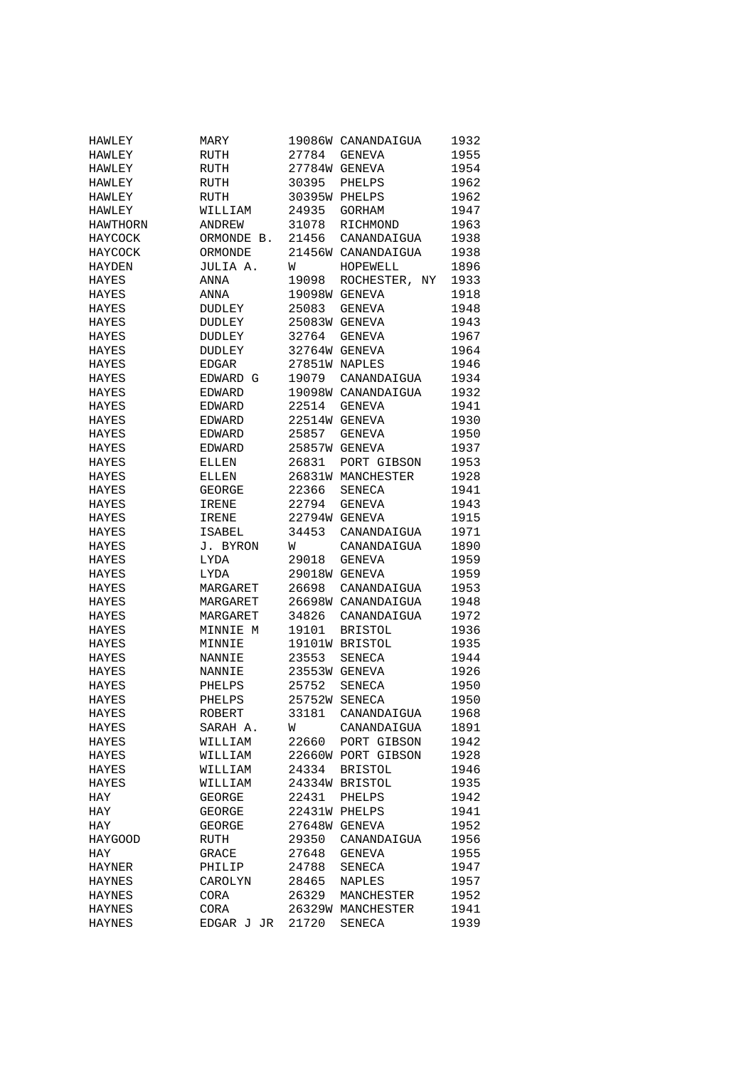| HAWLEY         | MARY                |                        | 19086W CANANDAIGUA               | 1932         |
|----------------|---------------------|------------------------|----------------------------------|--------------|
| HAWLEY         | RUTH                | 27784                  | GENEVA                           | 1955         |
| HAWLEY         | <b>RUTH</b>         | 27784W                 | GENEVA                           | 1954         |
| HAWLEY         | RUTH                | 30395                  | PHELPS                           | 1962         |
| HAWLEY         | <b>RUTH</b>         | 30395W                 | PHELPS                           | 1962         |
| HAWLEY         | WILLIAM             | 24935                  | GORHAM                           | 1947         |
| HAWTHORN       | ANDREW              | 31078                  | RICHMOND                         | 1963         |
| <b>HAYCOCK</b> | ORMONDE B.          | 21456                  | CANANDAIGUA                      | 1938         |
| HAYCOCK        | ORMONDE             |                        | 21456W CANANDAIGUA               | 1938         |
| <b>HAYDEN</b>  | JULIA A.            | W                      | HOPEWELL                         | 1896         |
| HAYES          | ANNA                | 19098                  | ROCHESTER, NY                    | 1933         |
| HAYES          | ANNA                | 19098W                 | GENEVA                           | 1918         |
| HAYES          | <b>DUDLEY</b>       | 25083                  | <b>GENEVA</b>                    | 1948         |
| HAYES          | <b>DUDLEY</b>       |                        | 25083W GENEVA                    | 1943         |
| HAYES          | DUDLEY              | 32764                  | <b>GENEVA</b>                    | 1967         |
| HAYES          | DUDLEY              | 32764W                 | GENEVA                           | 1964         |
| <b>HAYES</b>   | <b>EDGAR</b>        | 27851W                 | <b>NAPLES</b>                    | 1946         |
| HAYES          | EDWARD G            | 19079                  | CANANDAIGUA                      | 1934         |
| HAYES          | EDWARD              |                        | 19098W CANANDAIGUA               | 1932         |
| HAYES          | EDWARD              | 22514                  | <b>GENEVA</b>                    | 1941         |
| HAYES          | EDWARD              |                        | 22514W GENEVA                    | 1930         |
| HAYES          | EDWARD              | 25857                  | GENEVA                           | 1950         |
| HAYES          | EDWARD              | 25857W                 | <b>GENEVA</b>                    | 1937         |
| HAYES          | ELLEN               | 26831                  | PORT GIBSON                      | 1953         |
| HAYES          | ELLEN               | 26831W                 | MANCHESTER                       | 1928         |
| HAYES          | GEORGE              | 22366                  | <b>SENECA</b>                    | 1941         |
| HAYES          | IRENE               | 22794                  | GENEVA                           | 1943         |
| HAYES          | <b>IRENE</b>        | 22794W                 | <b>GENEVA</b>                    | 1915         |
| HAYES          | ISABEL              | 34453                  | CANANDAIGUA                      | 1971         |
| HAYES          | J. BYRON            | W                      | CANANDAIGUA                      | 1890         |
| <b>HAYES</b>   | LYDA                | 29018                  | <b>GENEVA</b>                    | 1959         |
| <b>HAYES</b>   | LYDA                |                        | 29018W GENEVA                    | 1959         |
| HAYES          | MARGARET            | 26698                  | CANANDAIGUA                      | 1953         |
| <b>HAYES</b>   | MARGARET            |                        | 26698W CANANDAIGUA               | 1948         |
| HAYES          | MARGARET            | 34826                  | CANANDAIGUA                      | 1972         |
| HAYES          | MINNIE M            | 19101                  | <b>BRISTOL</b>                   | 1936         |
| HAYES          | MINNIE              | 19101W                 | <b>BRISTOL</b>                   | 1935         |
| HAYES          | NANNIE              | 23553                  | SENECA                           | 1944         |
| HAYES          | NANNIE              | 23553W GENEVA          |                                  | 1926         |
| HAYES          | PHELPS              | 25752                  | <b>SENECA</b>                    | 1950         |
| HAYES          | PHELPS              |                        | 25752W SENECA                    | 1950         |
|                |                     |                        |                                  |              |
| HAYES          | ROBERT              | W                      | 33181 CANANDAIGUA<br>CANANDAIGUA | 1968         |
| HAYES          | SARAH A.<br>WILLIAM |                        | PORT GIBSON                      | 1891         |
| HAYES          |                     | 22660                  |                                  | 1942         |
| <b>HAYES</b>   | WILLIAM             |                        | 22660W PORT GIBSON               | 1928         |
| HAYES          | WILLIAM             | 24334                  | <b>BRISTOL</b><br>24334W BRISTOL | 1946<br>1935 |
| HAYES          | WILLIAM             |                        | PHELPS                           |              |
| HAY            | <b>GEORGE</b>       | 22431<br>22431W PHELPS |                                  | 1942<br>1941 |
| HAY            | GEORGE              |                        |                                  |              |
| HAY            | GEORGE              | 27648W GENEVA          |                                  | 1952         |
| <b>HAYGOOD</b> | <b>RUTH</b>         | 29350                  | CANANDAIGUA                      | 1956         |
| HAY            | GRACE               | 27648                  | GENEVA                           | 1955         |
| HAYNER         | PHILIP              | 24788                  | SENECA                           | 1947         |
| HAYNES         | CAROLYN             | 28465                  | NAPLES                           | 1957         |
| HAYNES         | CORA                | 26329                  | MANCHESTER                       | 1952         |
| HAYNES         | CORA                | 26329W                 | MANCHESTER                       | 1941         |
| HAYNES         | EDGAR J JR          | 21720                  | SENECA                           | 1939         |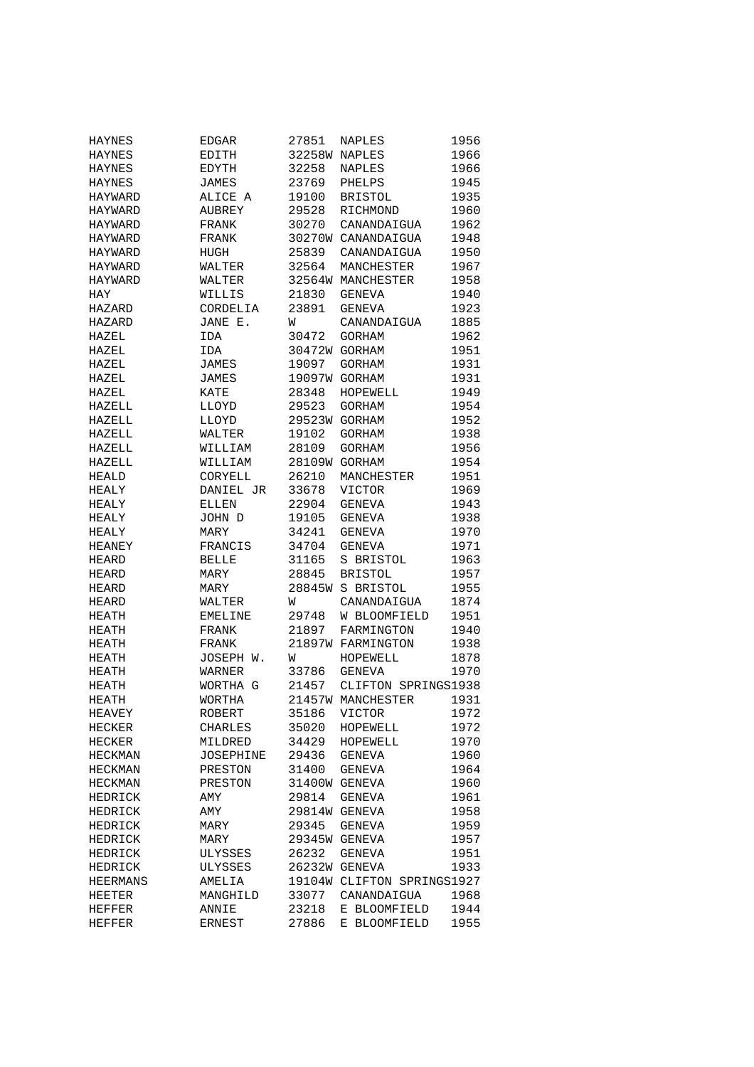| HAYNES        | EDGAR         | 27851         | NAPLES              | 1956 |
|---------------|---------------|---------------|---------------------|------|
| <b>HAYNES</b> | EDITH         | 32258W NAPLES |                     | 1966 |
| HAYNES        | EDYTH         | 32258         | NAPLES              | 1966 |
| HAYNES        | JAMES         | 23769         | PHELPS              | 1945 |
| HAYWARD       | ALICE A       | 19100         | <b>BRISTOL</b>      | 1935 |
| HAYWARD       | AUBREY        | 29528         | RICHMOND            | 1960 |
| HAYWARD       | FRANK         | 30270         | CANANDAIGUA         | 1962 |
| HAYWARD       | FRANK         |               | 30270W CANANDAIGUA  | 1948 |
| HAYWARD       | HUGH          | 25839         | CANANDAIGUA         | 1950 |
| HAYWARD       | WALTER        | 32564         | MANCHESTER          | 1967 |
| HAYWARD       | WALTER        |               | 32564W MANCHESTER   | 1958 |
| HAY           | WILLIS        | 21830         | <b>GENEVA</b>       | 1940 |
| HAZARD        | CORDELIA      | 23891         | <b>GENEVA</b>       | 1923 |
| HAZARD        | JANE E.       | W             | CANANDAIGUA         | 1885 |
| HAZEL         | IDA           | 30472         | GORHAM              | 1962 |
| HAZEL         | IDA           | 30472W        | GORHAM              | 1951 |
| HAZEL         | JAMES         | 19097         | GORHAM              | 1931 |
| HAZEL         | JAMES         | 19097W        | GORHAM              | 1931 |
| HAZEL         | KATE          | 28348         | HOPEWELL            | 1949 |
| HAZELL        | LLOYD         | 29523         | <b>GORHAM</b>       | 1954 |
| HAZELL        | LLOYD         |               | 29523W GORHAM       | 1952 |
| HAZELL        | WALTER        | 19102         | GORHAM              | 1938 |
| HAZELL        | WILLIAM       | 28109         | GORHAM              | 1956 |
| HAZELL        | WILLIAM       | 28109W        | GORHAM              | 1954 |
| <b>HEALD</b>  | CORYELL       | 26210         | MANCHESTER          | 1951 |
| HEALY         | DANIEL JR     | 33678         | VICTOR              | 1969 |
| HEALY         | ELLEN         | 22904         | GENEVA              | 1943 |
| HEALY         | JOHN D        | 19105         | GENEVA              | 1938 |
| HEALY         | MARY          | 34241         | GENEVA              | 1970 |
| HEANEY        | FRANCIS       | 34704         | <b>GENEVA</b>       | 1971 |
| HEARD         | <b>BELLE</b>  | 31165         | S BRISTOL           | 1963 |
| HEARD         | MARY          | 28845         | <b>BRISTOL</b>      | 1957 |
| <b>HEARD</b>  | MARY          | 28845W        | S BRISTOL           | 1955 |
| HEARD         | WALTER        | W             | CANANDAIGUA         | 1874 |
| HEATH         | EMELINE       | 29748         | W BLOOMFIELD        | 1951 |
| HEATH         | ${\tt FRANK}$ | 21897         | FARMINGTON          | 1940 |
| HEATH         | FRANK         | 21897W        | FARMINGTON          | 1938 |
| HEATH         | JOSEPH W.     | W             | HOPEWELL            | 1878 |
| <b>HEATH</b>  | WARNER        | 33786         | <b>GENEVA</b>       | 1970 |
| HEATH         | WORTHA G      | 21457         | CLIFTON SPRINGS1938 |      |
| HEATH         | <b>WORTHA</b> |               | 21457W MANCHESTER   | 1931 |
| HEAVEY        | ROBERT        | 35186         | <b>VICTOR</b>       | 1972 |
| HECKER        | CHARLES       | 35020         | HOPEWELL            | 1972 |
| HECKER        | MILDRED       | 34429         | HOPEWELL            | 1970 |
| HECKMAN       | JOSEPHINE     | 29436         | <b>GENEVA</b>       | 1960 |
| HECKMAN       | PRESTON       | 31400         | GENEVA              | 1964 |
| HECKMAN       | PRESTON       | 31400W        | GENEVA              | 1960 |
| HEDRICK       | AMY           | 29814         | <b>GENEVA</b>       | 1961 |
| HEDRICK       | AMY           | 29814W        | GENEVA              | 1958 |
| HEDRICK       | MARY          | 29345         | <b>GENEVA</b>       | 1959 |
| HEDRICK       | MARY          |               | 29345W GENEVA       | 1957 |
| HEDRICK       | ULYSSES       | 26232         | <b>GENEVA</b>       | 1951 |
| HEDRICK       | ULYSSES       | 26232W        | GENEVA              | 1933 |
| HEERMANS      | AMELIA        | 19104W        | CLIFTON SPRINGS1927 |      |
| HEETER        | MANGHILD      | 33077         | CANANDAIGUA         | 1968 |
| <b>HEFFER</b> | ANNIE         | 23218         | E BLOOMFIELD        | 1944 |
| HEFFER        | ERNEST        | 27886         | E BLOOMFIELD        | 1955 |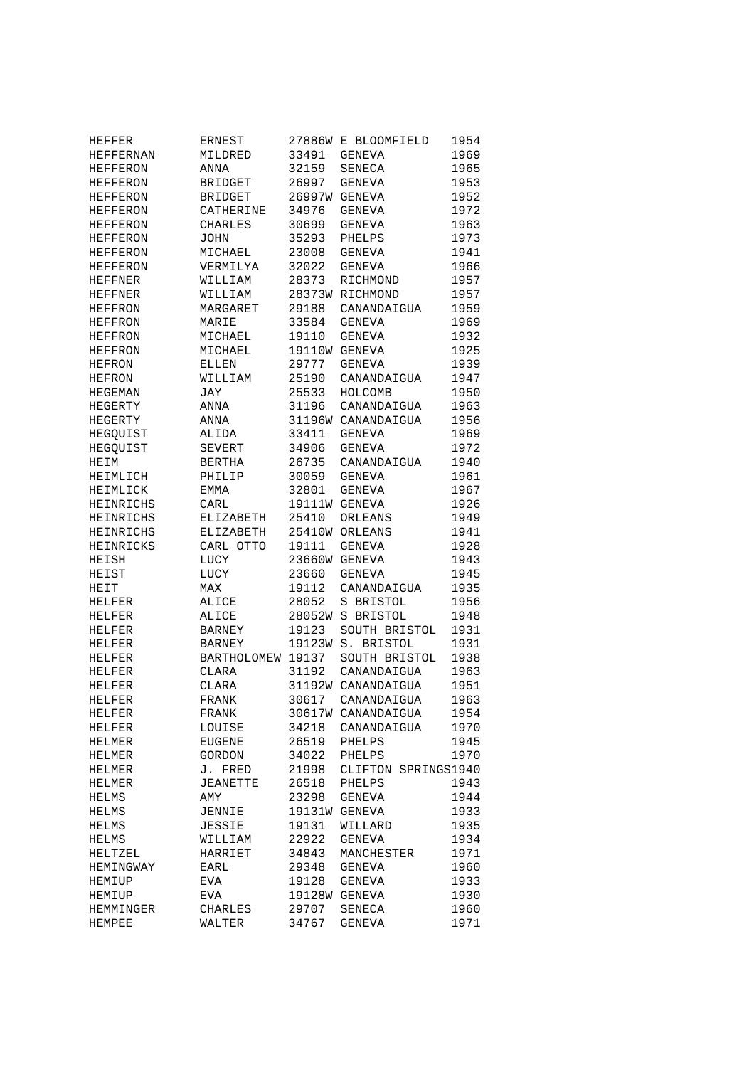| HEFFER               | ERNEST             |        | 27886W E BLOOMFIELD         | 1954 |
|----------------------|--------------------|--------|-----------------------------|------|
| <b>HEFFERNAN</b>     | MILDRED            | 33491  | GENEVA                      | 1969 |
| <b>HEFFERON</b>      | ANNA               | 32159  | SENECA                      | 1965 |
| <b>HEFFERON</b>      | <b>BRIDGET</b>     | 26997  | <b>GENEVA</b>               | 1953 |
| HEFFERON             | <b>BRIDGET</b>     | 26997W | GENEVA                      | 1952 |
| <b>HEFFERON</b>      | CATHERINE          | 34976  | <b>GENEVA</b>               | 1972 |
| <b>HEFFERON</b>      | <b>CHARLES</b>     | 30699  | <b>GENEVA</b>               | 1963 |
| HEFFERON             | JOHN               | 35293  | PHELPS                      | 1973 |
| <b>HEFFERON</b>      | MICHAEL            | 23008  | GENEVA                      | 1941 |
| HEFFERON             | VERMILYA           | 32022  | GENEVA                      | 1966 |
| <b>HEFFNER</b>       | WILLIAM            | 28373  | RICHMOND                    | 1957 |
| <b>HEFFNER</b>       | WILLIAM            | 28373W | RICHMOND                    | 1957 |
| <b>HEFFRON</b>       | MARGARET           | 29188  | CANANDAIGUA                 | 1959 |
| HEFFRON              | MARIE              | 33584  | GENEVA                      | 1969 |
| <b>HEFFRON</b>       | MICHAEL            | 19110  | <b>GENEVA</b>               | 1932 |
| HEFFRON              | MICHAEL            | 19110W | GENEVA                      | 1925 |
| HEFRON               | ELLEN              | 29777  | GENEVA                      | 1939 |
| <b>HEFRON</b>        | WILLIAM            | 25190  | CANANDAIGUA                 | 1947 |
| <b>HEGEMAN</b>       | JAY                | 25533  | HOLCOMB                     | 1950 |
| HEGERTY              | ANNA               | 31196  | CANANDAIGUA                 | 1963 |
| HEGERTY              | ANNA               | 31196W | CANANDAIGUA                 | 1956 |
| HEGQUIST             | ALIDA              | 33411  | GENEVA                      | 1969 |
| HEGQUIST             | <b>SEVERT</b>      | 34906  | GENEVA                      | 1972 |
| HEIM                 | <b>BERTHA</b>      | 26735  | CANANDAIGUA                 | 1940 |
| HEIMLICH             | PHILIP             | 30059  | <b>GENEVA</b>               | 1961 |
| HEIMLICK             | <b>EMMA</b>        | 32801  | GENEVA                      | 1967 |
| HEINRICHS            | CARL               | 19111W | <b>GENEVA</b>               | 1926 |
| HEINRICHS            | ELIZABETH          | 25410  | ORLEANS                     | 1949 |
| HEINRICHS            | ELIZABETH          | 25410W | ORLEANS                     | 1941 |
| HEINRICKS            | CARL OTTO          | 19111  | GENEVA                      | 1928 |
| HEISH                | LUCY               | 23660W | <b>GENEVA</b>               | 1943 |
| HEIST                | LUCY               | 23660  | GENEVA                      | 1945 |
| HEIT                 | MAX                | 19112  | CANANDAIGUA                 | 1935 |
| HELFER               | ALICE              | 28052  | S BRISTOL                   | 1956 |
| <b>HELFER</b>        | <b>ALICE</b>       | 28052W | S BRISTOL                   | 1948 |
| HELFER               | <b>BARNEY</b>      | 19123  | SOUTH BRISTOL               | 1931 |
| <b>HELFER</b>        | <b>BARNEY</b>      | 19123W | S. BRISTOL                  | 1931 |
| <b>HELFER</b>        | <b>BARTHOLOMEW</b> | 19137  | SOUTH BRISTOL               | 1938 |
| HELFER               | CLARA              | 31192  | CANANDAIGUA                 | 1963 |
| <b>HELFER</b>        | CLARA              | 31192W | CANANDAIGUA                 | 1951 |
| HELFER               | <b>FRANK</b>       | 30617  | CANANDAIGUA                 | 1963 |
|                      | FRANK              |        | 30617W CANANDAIGUA          | 1954 |
| HELFER<br>HELFER     | LOUISE             | 34218  | CANANDAIGUA                 | 1970 |
| HELMER               | <b>EUGENE</b>      | 26519  | PHELPS                      | 1945 |
| HELMER               | GORDON             | 34022  | PHELPS                      | 1970 |
| HELMER               | J. FRED            | 21998  | SPRINGS1940<br>CLIFTON      |      |
| HELMER               | <b>JEANETTE</b>    | 26518  | PHELPS                      | 1943 |
| HELMS                | AMY                | 23298  | GENEVA                      | 1944 |
| HELMS                | JENNIE             | 19131W | <b>GENEVA</b>               | 1933 |
| HELMS                | JESSIE             | 19131  | WILLARD                     | 1935 |
|                      |                    | 22922  |                             | 1934 |
| HELMS                | WILLIAM            | 34843  | <b>GENEVA</b><br>MANCHESTER | 1971 |
| HELTZEL<br>HEMINGWAY | HARRIET<br>EARL    | 29348  | GENEVA                      | 1960 |
|                      |                    |        |                             |      |
| HEMIUP               | EVA                | 19128  | <b>GENEVA</b>               | 1933 |
| HEMIUP               | EVA                | 19128W | <b>GENEVA</b>               | 1930 |
| HEMMINGER            | CHARLES            | 29707  | SENECA                      | 1960 |
| <b>HEMPEE</b>        | WALTER             | 34767  | <b>GENEVA</b>               | 1971 |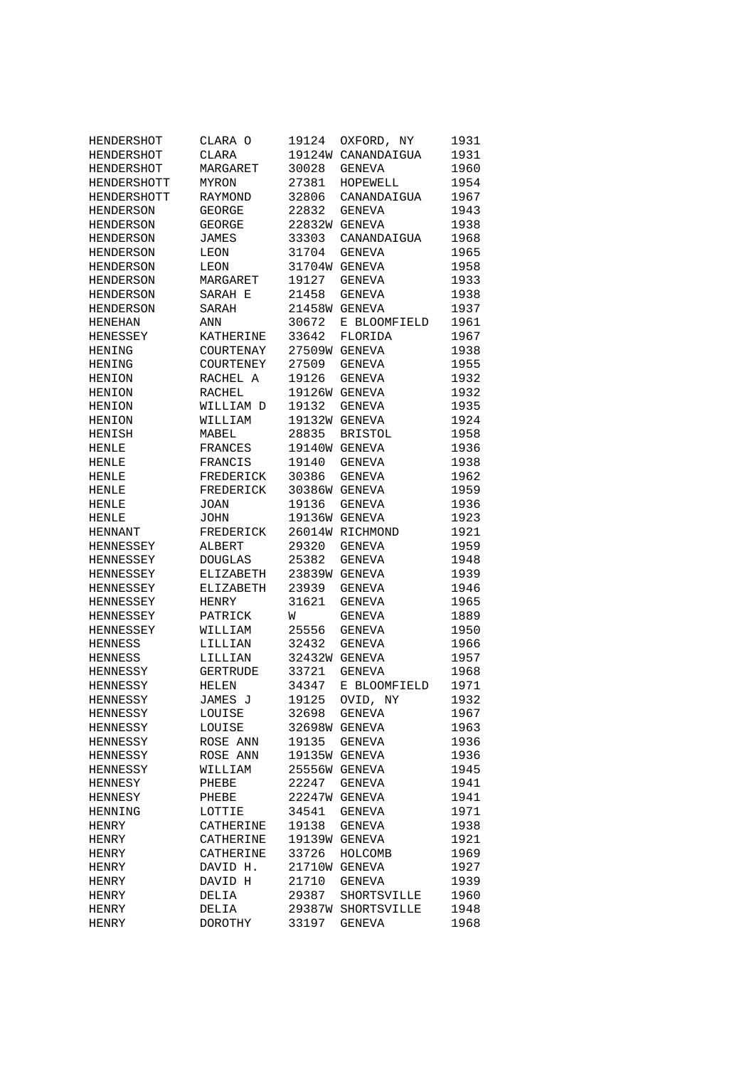| HENDERSHOT     | CLARA O        | 19124  | OXFORD, NY    | 1931 |
|----------------|----------------|--------|---------------|------|
| HENDERSHOT     | CLARA          | 19124W | CANANDAIGUA   | 1931 |
| HENDERSHOT     | MARGARET       | 30028  | <b>GENEVA</b> | 1960 |
| HENDERSHOTT    | MYRON          | 27381  | HOPEWELL      | 1954 |
| HENDERSHOTT    | <b>RAYMOND</b> | 32806  | CANANDAIGUA   | 1967 |
| HENDERSON      | GEORGE         | 22832  | GENEVA        | 1943 |
| HENDERSON      | GEORGE         | 22832W | GENEVA        | 1938 |
| HENDERSON      | JAMES          | 33303  | CANANDAIGUA   | 1968 |
| HENDERSON      | LEON           | 31704  | GENEVA        | 1965 |
| HENDERSON      | LEON           | 31704W | GENEVA        | 1958 |
| HENDERSON      | MARGARET       | 19127  | GENEVA        | 1933 |
| HENDERSON      | SARAH E        | 21458  | GENEVA        | 1938 |
| HENDERSON      | SARAH          | 21458W | GENEVA        | 1937 |
| HENEHAN        | ANN            | 30672  | E BLOOMFIELD  | 1961 |
| HENESSEY       | KATHERINE      | 33642  | FLORIDA       | 1967 |
| HENING         | COURTENAY      | 27509W | <b>GENEVA</b> | 1938 |
| HENING         | COURTENEY      | 27509  | GENEVA        | 1955 |
| <b>HENION</b>  | RACHEL A       | 19126  | GENEVA        | 1932 |
| HENION         | <b>RACHEL</b>  | 19126W | <b>GENEVA</b> | 1932 |
| <b>HENION</b>  | WILLIAM D      | 19132  | GENEVA        | 1935 |
| HENION         | WILLIAM        | 19132W | <b>GENEVA</b> | 1924 |
|                |                | 28835  |               |      |
| HENISH         | MABEL          |        | BRISTOL       | 1958 |
| <b>HENLE</b>   | FRANCES        | 19140W | <b>GENEVA</b> | 1936 |
| <b>HENLE</b>   | FRANCIS        | 19140  | GENEVA        | 1938 |
| <b>HENLE</b>   | FREDERICK      | 30386  | GENEVA        | 1962 |
| <b>HENLE</b>   | FREDERICK      | 30386W | <b>GENEVA</b> | 1959 |
| <b>HENLE</b>   | <b>JOAN</b>    | 19136  | GENEVA        | 1936 |
| <b>HENLE</b>   | JOHN           | 19136W | <b>GENEVA</b> | 1923 |
| HENNANT        | FREDERICK      | 26014W | RICHMOND      | 1921 |
| HENNESSEY      | ALBERT         | 29320  | GENEVA        | 1959 |
| HENNESSEY      | <b>DOUGLAS</b> | 25382  | GENEVA        | 1948 |
| HENNESSEY      | ELIZABETH      | 23839W | <b>GENEVA</b> | 1939 |
| HENNESSEY      | ELIZABETH      | 23939  | GENEVA        | 1946 |
| HENNESSEY      | HENRY          | 31621  | GENEVA        | 1965 |
| HENNESSEY      | PATRICK        | W      | GENEVA        | 1889 |
| HENNESSEY      | WILLIAM        | 25556  | GENEVA        | 1950 |
| <b>HENNESS</b> | LILLIAN        | 32432  | GENEVA        | 1966 |
| <b>HENNESS</b> | LILLIAN        | 32432W | GENEVA        | 1957 |
| HENNESSY       | GERTRUDE       | 33721  | <b>GENEVA</b> | 1968 |
| HENNESSY       | <b>HELEN</b>   | 34347  | E BLOOMFIELD  | 1971 |
| HENNESSY       | JAMES J        | 19125  | OVID, NY      | 1932 |
| HENNESSY       | LOUISE         | 32698  | GENEVA        | 1967 |
| HENNESSY       | LOUISE         |        | 32698W GENEVA | 1963 |
| HENNESSY       | ROSE ANN       | 19135  | GENEVA        | 1936 |
| HENNESSY       | ROSE ANN       |        | 19135W GENEVA | 1936 |
| HENNESSY       | WILLIAM        |        | 25556W GENEVA | 1945 |
| HENNESY        | PHEBE          | 22247  | GENEVA        | 1941 |
| HENNESY        | PHEBE          | 22247W | GENEVA        | 1941 |
| HENNING        | LOTTIE         | 34541  | GENEVA        | 1971 |
| HENRY          | CATHERINE      | 19138  | <b>GENEVA</b> | 1938 |
| HENRY          | CATHERINE      |        | 19139W GENEVA | 1921 |
| HENRY          | CATHERINE      | 33726  | HOLCOMB       | 1969 |
| HENRY          | DAVID H.       | 21710W | GENEVA        | 1927 |
| HENRY          | DAVID H        | 21710  | GENEVA        | 1939 |
|                | DELIA          | 29387  | SHORTSVILLE   | 1960 |
| HENRY          |                |        |               |      |
| HENRY          | DELIA          | 29387W | SHORTSVILLE   | 1948 |
| <b>HENRY</b>   | <b>DOROTHY</b> | 33197  | <b>GENEVA</b> | 1968 |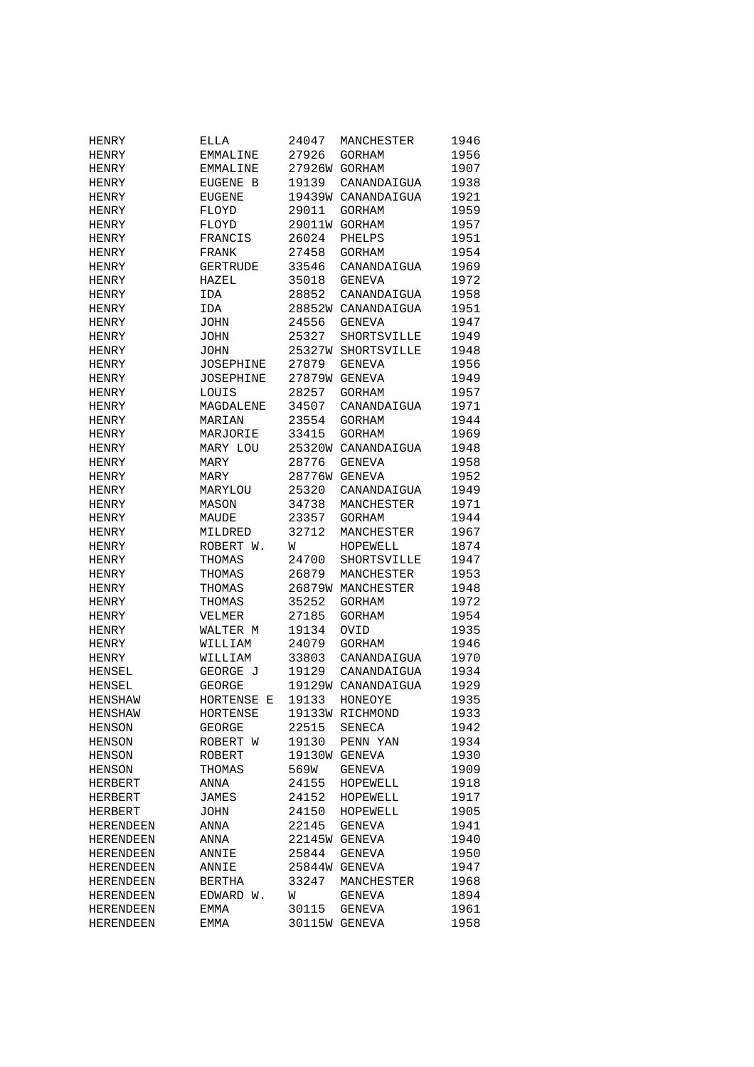| HENRY          | ELLA            | 24047         | MANCHESTER      | 1946 |
|----------------|-----------------|---------------|-----------------|------|
| HENRY          | EMMALINE        | 27926         | GORHAM          | 1956 |
| <b>HENRY</b>   | EMMALINE        | 27926W        | GORHAM          | 1907 |
| HENRY          | EUGENE B        | 19139         | CANANDAIGUA     | 1938 |
| HENRY          | <b>EUGENE</b>   | 19439W        | CANANDAIGUA     | 1921 |
| HENRY          | FLOYD           | 29011         | <b>GORHAM</b>   | 1959 |
| HENRY          | FLOYD           | 29011W        | GORHAM          | 1957 |
| HENRY          | FRANCIS         | 26024         | PHELPS          | 1951 |
| <b>HENRY</b>   | FRANK           | 27458         | GORHAM          | 1954 |
| HENRY          | <b>GERTRUDE</b> | 33546         | CANANDAIGUA     | 1969 |
| HENRY          | HAZEL           | 35018         | <b>GENEVA</b>   | 1972 |
| HENRY          | IDA             | 28852         | CANANDAIGUA     | 1958 |
| HENRY          | IDA             | 28852W        | CANANDAIGUA     | 1951 |
| HENRY          | JOHN            | 24556         | <b>GENEVA</b>   | 1947 |
| <b>HENRY</b>   | JOHN            | 25327         | SHORTSVILLE     | 1949 |
| HENRY          | JOHN            | 25327W        | SHORTSVILLE     | 1948 |
| HENRY          | JOSEPHINE       | 27879         | GENEVA          | 1956 |
| HENRY          | JOSEPHINE       | 27879W        | <b>GENEVA</b>   | 1949 |
| HENRY          | LOUIS           | 28257         | GORHAM          | 1957 |
| HENRY          | MAGDALENE       | 34507         | CANANDAIGUA     | 1971 |
| <b>HENRY</b>   | MARIAN          | 23554         | GORHAM          | 1944 |
| HENRY          | MARJORIE        | 33415         | GORHAM          | 1969 |
| HENRY          | MARY LOU        | 25320W        | CANANDAIGUA     | 1948 |
| HENRY          | MARY            | 28776         | GENEVA          | 1958 |
| HENRY          | MARY            | 28776W        | <b>GENEVA</b>   | 1952 |
| HENRY          | MARYLOU         | 25320         | CANANDAIGUA     | 1949 |
| HENRY          | MASON           | 34738         | MANCHESTER      | 1971 |
| <b>HENRY</b>   | MAUDE           | 23357         | GORHAM          | 1944 |
| <b>HENRY</b>   | MILDRED         | 32712         | MANCHESTER      | 1967 |
| HENRY          | ROBERT W.       | W             | HOPEWELL        | 1874 |
| HENRY          | THOMAS          | 24700         | SHORTSVILLE     | 1947 |
| HENRY          | THOMAS          | 26879         | MANCHESTER      | 1953 |
| <b>HENRY</b>   | THOMAS          | 26879W        | MANCHESTER      | 1948 |
| <b>HENRY</b>   | THOMAS          | 35252         | GORHAM          | 1972 |
| HENRY          | VELMER          | 27185         | GORHAM          | 1954 |
| HENRY          | WALTER M        | 19134         | OVID            | 1935 |
| HENRY          | WILLIAM         | 24079         | <b>GORHAM</b>   | 1946 |
| HENRY          | WILLIAM         | 33803         | CANANDAIGUA     | 1970 |
| HENSEL         | GEORGE J        | 19129         | CANANDAIGUA     | 1934 |
| <b>HENSEL</b>  | <b>GEORGE</b>   | 19129W        | CANANDAIGUA     | 1929 |
| <b>HENSHAW</b> | HORTENSE E      | 19133         | HONEOYE         | 1935 |
| <b>HENSHAW</b> | HORTENSE        |               | 19133W RICHMOND | 1933 |
| HENSON         | GEORGE          | 22515         | SENECA          | 1942 |
| HENSON         | ROBERT W        | 19130         | PENN YAN        | 1934 |
| HENSON         | ROBERT          | 19130W        | <b>GENEVA</b>   | 1930 |
| HENSON         | THOMAS          | 569W          | GENEVA          | 1909 |
| HERBERT        | ANNA            | 24155         | HOPEWELL        | 1918 |
| HERBERT        | JAMES           | 24152         | HOPEWELL        | 1917 |
| HERBERT        | JOHN            | 24150         | HOPEWELL        | 1905 |
| HERENDEEN      | ANNA            | 22145         | GENEVA          | 1941 |
| HERENDEEN      | ANNA            | 22145W        | <b>GENEVA</b>   | 1940 |
| HERENDEEN      | ANNIE           | 25844         | GENEVA          | 1950 |
| HERENDEEN      | ANNIE           | 25844W        | GENEVA          | 1947 |
| HERENDEEN      | BERTHA          | 33247         | MANCHESTER      | 1968 |
| HERENDEEN      | EDWARD W.       | W             | GENEVA          | 1894 |
| HERENDEEN      | EMMA            | 30115         | GENEVA          | 1961 |
| HERENDEEN      | EMMA            | 30115W GENEVA |                 | 1958 |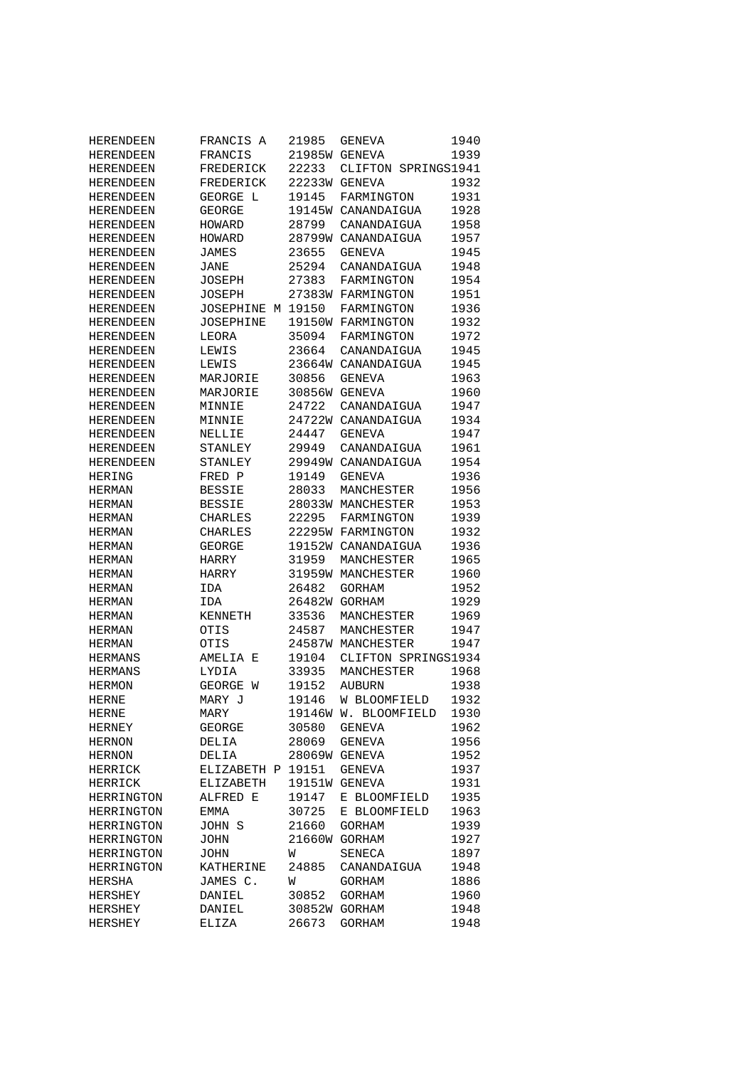| HERENDEEN        | FRANCIS A         |   | 21985   | <b>GENEVA</b>        | 1940 |
|------------------|-------------------|---|---------|----------------------|------|
| HERENDEEN        | FRANCIS           |   | 21985W  | <b>GENEVA</b>        | 1939 |
| HERENDEEN        | FREDERICK         |   | 22233   | CLIFTON SPRINGS1941  |      |
| HERENDEEN        | FREDERICK         |   | 22233W  | GENEVA               | 1932 |
| HERENDEEN        | GEORGE L          |   | 19145   | FARMINGTON           | 1931 |
| <b>HERENDEEN</b> | GEORGE            |   | 19145W  | CANANDAIGUA          | 1928 |
| HERENDEEN        | HOWARD            |   | 28799   | CANANDAIGUA          | 1958 |
| HERENDEEN        | HOWARD            |   | 28799W  | CANANDAIGUA          | 1957 |
| HERENDEEN        | JAMES             |   | 23655   | GENEVA               | 1945 |
| HERENDEEN        | JANE              |   | 25294   | CANANDAIGUA          | 1948 |
| HERENDEEN        | JOSEPH            |   | 27383   | FARMINGTON           | 1954 |
| HERENDEEN        | JOSEPH            |   | 27383W  | FARMINGTON           | 1951 |
| <b>HERENDEEN</b> | JOSEPHINE         |   | M 19150 | FARMINGTON           | 1936 |
| HERENDEEN        | JOSEPHINE         |   |         | 19150W FARMINGTON    | 1932 |
| HERENDEEN        | LEORA             |   | 35094   | FARMINGTON           | 1972 |
| HERENDEEN        | LEWIS             |   | 23664   | CANANDAIGUA          | 1945 |
| HERENDEEN        | LEWIS             |   | 23664W  | CANANDAIGUA          | 1945 |
| HERENDEEN        | MARJORIE          |   | 30856   | GENEVA               | 1963 |
| HERENDEEN        | MARJORIE          |   | 30856W  | <b>GENEVA</b>        | 1960 |
| HERENDEEN        | MINNIE            |   | 24722   | CANANDAIGUA          | 1947 |
| HERENDEEN        | MINNIE            |   | 24722W  | CANANDAIGUA          | 1934 |
| HERENDEEN        | NELLIE            |   | 24447   | <b>GENEVA</b>        | 1947 |
| HERENDEEN        | STANLEY           |   | 29949   | CANANDAIGUA          | 1961 |
| HERENDEEN        | STANLEY           |   | 29949W  | CANANDAIGUA          | 1954 |
| HERING           | FRED P            |   | 19149   | GENEVA               | 1936 |
| <b>HERMAN</b>    | <b>BESSIE</b>     |   | 28033   | MANCHESTER           | 1956 |
| HERMAN           | <b>BESSIE</b>     |   | 28033W  | MANCHESTER           | 1953 |
| <b>HERMAN</b>    | CHARLES           |   | 22295   | FARMINGTON           | 1939 |
| <b>HERMAN</b>    | CHARLES           |   | 22295W  | FARMINGTON           | 1932 |
| <b>HERMAN</b>    | GEORGE            |   | 19152W  | CANANDAIGUA          | 1936 |
| <b>HERMAN</b>    | HARRY             |   | 31959   | MANCHESTER           | 1965 |
| <b>HERMAN</b>    | HARRY             |   | 31959W  | MANCHESTER           | 1960 |
| <b>HERMAN</b>    | IDA               |   | 26482   | GORHAM               | 1952 |
| <b>HERMAN</b>    | IDA               |   | 26482W  | GORHAM               | 1929 |
| HERMAN           | KENNETH           |   | 33536   | MANCHESTER           | 1969 |
| <b>HERMAN</b>    | OTIS              |   | 24587   | MANCHESTER           | 1947 |
| <b>HERMAN</b>    | OTIS              |   | 24587W  | MANCHESTER           | 1947 |
| <b>HERMANS</b>   | AMELIA E          |   | 19104   | CLIFTON SPRINGS1934  |      |
| <b>HERMANS</b>   | LYDIA             |   | 33935   | MANCHESTER           | 1968 |
| <b>HERMON</b>    | GEORGE W          |   | 19152   | AUBURN               | 1938 |
| <b>HERNE</b>     | MARY J            |   | 19146   | W BLOOMFIELD         | 1932 |
| HERNE            | MARY              |   |         | 19146W W. BLOOMFIELD | 1930 |
| HERNEY           | GEORGE            |   | 30580   | <b>GENEVA</b>        | 1962 |
| HERNON           | DELIA             |   | 28069   | GENEVA               | 1956 |
| HERNON           | DELIA             |   |         | 28069W GENEVA        | 1952 |
| HERRICK          | ELIZABETH P 19151 |   |         | GENEVA               | 1937 |
| HERRICK          | ELIZABETH         |   |         | 19151W GENEVA        | 1931 |
| HERRINGTON       | ALFRED E          |   | 19147   | E BLOOMFIELD         | 1935 |
| HERRINGTON       | EMMA              |   | 30725   | E BLOOMFIELD         | 1963 |
| HERRINGTON       | JOHN S            |   | 21660   | GORHAM               | 1939 |
| HERRINGTON       | JOHN              |   |         | 21660W GORHAM        | 1927 |
| HERRINGTON       | JOHN              | W |         | SENECA               | 1897 |
| HERRINGTON       | KATHERINE         |   | 24885   | CANANDAIGUA          | 1948 |
| HERSHA           | JAMES C.          | W |         | GORHAM               | 1886 |
| HERSHEY          | DANIEL            |   | 30852   | GORHAM               | 1960 |
| HERSHEY          | DANIEL            |   | 30852W  | GORHAM               | 1948 |
| HERSHEY          | ELIZA             |   | 26673   | GORHAM               | 1948 |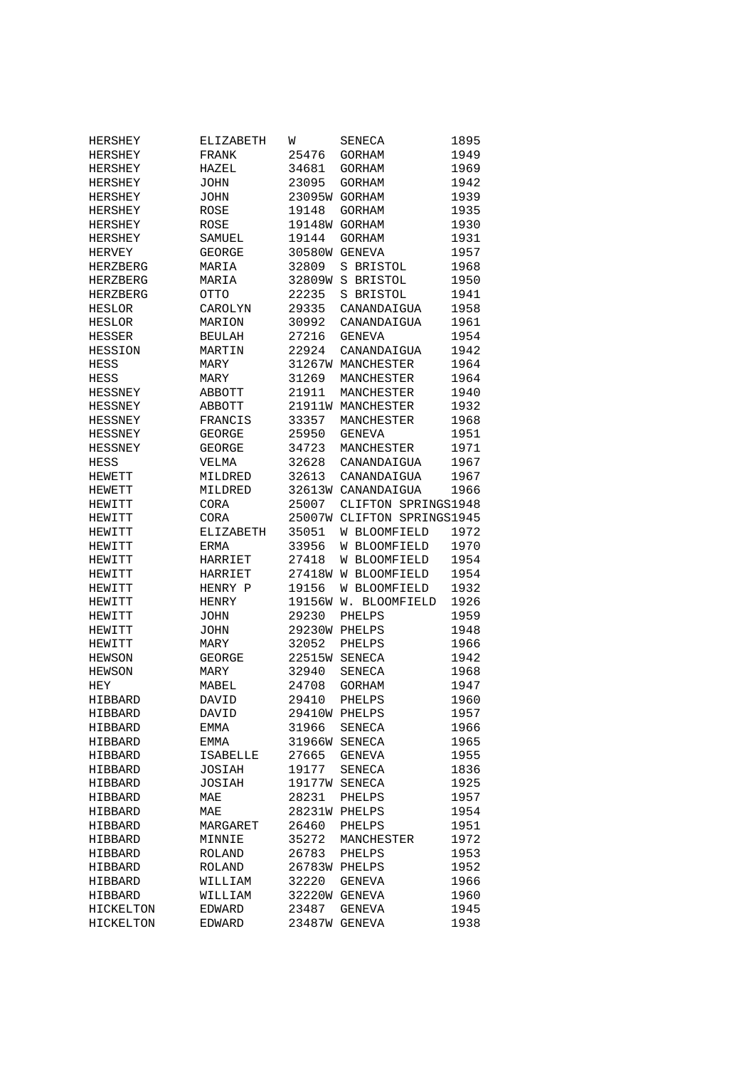| HERSHEY        | ELIZABETH       | W             | SENECA                  | 1895 |
|----------------|-----------------|---------------|-------------------------|------|
| <b>HERSHEY</b> | FRANK           | 25476         | GORHAM                  | 1949 |
| HERSHEY        | HAZEL           | 34681         | GORHAM                  | 1969 |
| HERSHEY        | JOHN            | 23095         | GORHAM                  | 1942 |
| HERSHEY        | JOHN            | 23095W        | GORHAM                  | 1939 |
| HERSHEY        | ROSE            | 19148         | GORHAM                  | 1935 |
| HERSHEY        | ROSE            | 19148W        | GORHAM                  | 1930 |
| HERSHEY        | SAMUEL          | 19144         | GORHAM                  | 1931 |
| HERVEY         | GEORGE          | 30580W        | GENEVA                  | 1957 |
| HERZBERG       | MARIA           | 32809         | S BRISTOL               | 1968 |
| HERZBERG       | MARIA           | 32809W        | S BRISTOL               | 1950 |
| HERZBERG       | OTTO            | 22235         | S BRISTOL               | 1941 |
| <b>HESLOR</b>  | CAROLYN         | 29335         | CANANDAIGUA             | 1958 |
| HESLOR         | MARION          | 30992         | CANANDAIGUA             | 1961 |
| HESSER         | <b>BEULAH</b>   | 27216         | <b>GENEVA</b>           | 1954 |
| HESSION        | MARTIN          | 22924         | CANANDAIGUA             | 1942 |
| HESS           | MARY            | 31267W        | MANCHESTER              | 1964 |
| <b>HESS</b>    | MARY            | 31269         | MANCHESTER              | 1964 |
| <b>HESSNEY</b> | ABBOTT          | 21911         | MANCHESTER              | 1940 |
| HESSNEY        | ABBOTT          |               | 21911W MANCHESTER       | 1932 |
| HESSNEY        | FRANCIS         | 33357         | MANCHESTER              | 1968 |
| HESSNEY        | GEORGE          | 25950         | GENEVA                  | 1951 |
| HESSNEY        | GEORGE          | 34723         | MANCHESTER              | 1971 |
| HESS           | VELMA           | 32628         | CANANDAIGUA             | 1967 |
| HEWETT         | MILDRED         | 32613         | CANANDAIGUA             | 1967 |
| HEWETT         | MILDRED         | 32613W        | CANANDAIGUA             | 1966 |
| HEWITT         | CORA            | 25007         | CLIFTON SPRINGS1948     |      |
| HEWITT         | CORA            | 25007W        | CLIFTON SPRINGS1945     |      |
| HEWITT         | ELIZABETH       | 35051         | W BLOOMFIELD            | 1972 |
| HEWITT         | <b>ERMA</b>     | 33956         | <b>BLOOMFIELD</b><br>W  | 1970 |
| HEWITT         | HARRIET         | 27418         | <b>BLOOMFIELD</b><br>W  | 1954 |
| HEWITT         | HARRIET         | 27418W        | W BLOOMFIELD            | 1954 |
| HEWITT         | HENRY P         | 19156         | <b>BLOOMFIELD</b><br>W  | 1932 |
| HEWITT         | HENRY           | 19156W        | W.<br><b>BLOOMFIELD</b> | 1926 |
| HEWITT         | JOHN            | 29230         | PHELPS                  | 1959 |
| HEWITT         | JOHN            | 29230W        | PHELPS                  | 1948 |
| HEWITT         | MARY            | 32052         | PHELPS                  | 1966 |
| <b>HEWSON</b>  | GEORGE          | 22515W        | SENECA                  | 1942 |
| <b>HEWSON</b>  | MARY            | 32940         | SENECA                  | 1968 |
| HEY            | MABEL           | 24708         | <b>GORHAM</b>           | 1947 |
| <b>HTRRARD</b> | <b>DAVTD</b>    | 29410         | PHELPS                  | 1960 |
| HIBBARD        | DAVID           | 29410W PHELPS |                         | 1957 |
| HIBBARD        | EMMA            | 31966         | SENECA                  | 1966 |
| HIBBARD        | EMMA            | 31966W        | SENECA                  | 1965 |
| HIBBARD        | <b>ISABELLE</b> | 27665         | <b>GENEVA</b>           | 1955 |
| HIBBARD        | JOSIAH          | 19177         | SENECA                  | 1836 |
| HIBBARD        | JOSIAH          | 19177W        | SENECA                  | 1925 |
| HIBBARD        | MAE             | 28231         | PHELPS                  | 1957 |
| HIBBARD        | MAE             | 28231W        | PHELPS                  | 1954 |
| HIBBARD        | MARGARET        | 26460         | PHELPS                  | 1951 |
| HIBBARD        | MINNIE          | 35272         | MANCHESTER              | 1972 |
| HIBBARD        | ROLAND          | 26783         | PHELPS                  | 1953 |
| HIBBARD        | ROLAND          | 26783W PHELPS |                         | 1952 |
| HIBBARD        | WILLIAM         | 32220         | GENEVA                  | 1966 |
| HIBBARD        | WILLIAM         | 32220W GENEVA |                         | 1960 |
| HICKELTON      | EDWARD          | 23487         | GENEVA                  | 1945 |
| HICKELTON      | <b>EDWARD</b>   | 23487W GENEVA |                         | 1938 |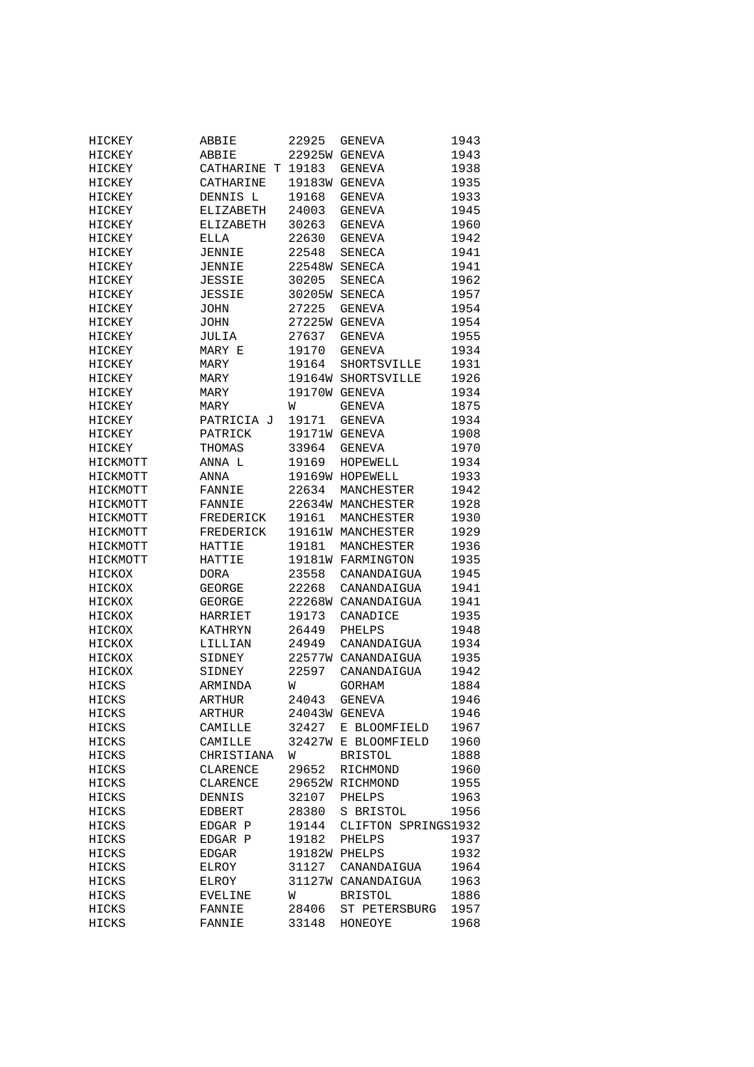| HICKEY        | ABBIE           | 22925         | GENEVA              | 1943 |
|---------------|-----------------|---------------|---------------------|------|
| HICKEY        | ABBIE           | 22925W        | <b>GENEVA</b>       | 1943 |
| HICKEY        | CATHARINE<br>т  | 19183         | <b>GENEVA</b>       | 1938 |
| HICKEY        | CATHARINE       | 19183W        | <b>GENEVA</b>       | 1935 |
| HICKEY        | DENNIS L        | 19168         | <b>GENEVA</b>       | 1933 |
| <b>HICKEY</b> | ELIZABETH       | 24003         | <b>GENEVA</b>       | 1945 |
| HICKEY        | ELIZABETH       | 30263         | GENEVA              | 1960 |
| HICKEY        | ELLA            | 22630         | <b>GENEVA</b>       | 1942 |
| <b>HICKEY</b> | JENNIE          | 22548         | SENECA              | 1941 |
| HICKEY        | JENNIE          | 22548W        | SENECA              | 1941 |
| HICKEY        | JESSIE          | 30205         | SENECA              | 1962 |
| HICKEY        | <b>JESSIE</b>   | 30205W        | SENECA              | 1957 |
| HICKEY        | <b>JOHN</b>     | 27225         | <b>GENEVA</b>       | 1954 |
| HICKEY        | JOHN            | 27225W        | GENEVA              | 1954 |
| HICKEY        | JULIA           | 27637         | <b>GENEVA</b>       | 1955 |
| HICKEY        | MARY E          | 19170         | GENEVA              | 1934 |
| HICKEY        | MARY            | 19164         | SHORTSVILLE         | 1931 |
| HICKEY        | MARY            | 19164W        | SHORTSVILLE         | 1926 |
| <b>HICKEY</b> | MARY            | 19170W        | <b>GENEVA</b>       | 1934 |
| HICKEY        | MARY            | M             | <b>GENEVA</b>       | 1875 |
| HICKEY        | PATRICIA J      | 19171         | <b>GENEVA</b>       | 1934 |
| HICKEY        | PATRICK         |               | 19171W GENEVA       | 1908 |
| HICKEY        | THOMAS          | 33964         | <b>GENEVA</b>       | 1970 |
| HICKMOTT      | ANNA L          | 19169         | HOPEWELL            | 1934 |
| HICKMOTT      | ANNA            | 19169W        | HOPEWELL            | 1933 |
| HICKMOTT      | FANNIE          | 22634         | MANCHESTER          | 1942 |
| HICKMOTT      | FANNIE          |               | 22634W MANCHESTER   | 1928 |
| HICKMOTT      | FREDERICK       | 19161         | MANCHESTER          | 1930 |
| HICKMOTT      | FREDERICK       | 19161W        | MANCHESTER          | 1929 |
| HICKMOTT      | HATTIE          | 19181         | MANCHESTER          | 1936 |
| HICKMOTT      | HATTIE          | 19181W        | FARMINGTON          | 1935 |
| HICKOX        | <b>DORA</b>     | 23558         | CANANDAIGUA         | 1945 |
| HICKOX        | <b>GEORGE</b>   | 22268         | CANANDAIGUA         | 1941 |
| HICKOX        | <b>GEORGE</b>   | 22268W        | CANANDAIGUA         | 1941 |
| HICKOX        | HARRIET         | 19173         | CANADICE            | 1935 |
| HICKOX        | KATHRYN         | 26449         | PHELPS              | 1948 |
| HICKOX        | LILLIAN         | 24949         | CANANDAIGUA         | 1934 |
| HICKOX        | SIDNEY          | 22577W        | CANANDAIGUA         | 1935 |
| HICKOX        | SIDNEY          | 22597         | CANANDAIGUA         | 1942 |
| <b>HICKS</b>  | ARMINDA         | W             | GORHAM              | 1884 |
| HICKS         | <b>ARTHUR</b>   | 24043         | <b>GENEVA</b>       | 1946 |
| HICKS         | ARTHUR          | 24043W GENEVA |                     | 1946 |
| HICKS         | CAMILLE         | 32427         | E BLOOMFIELD        | 1967 |
| HICKS         | CAMILLE         |               | 32427W E BLOOMFIELD | 1960 |
| HICKS         | CHRISTIANA      | W             | <b>BRISTOL</b>      | 1888 |
| HICKS         | <b>CLARENCE</b> | 29652         | RICHMOND            | 1960 |
| HICKS         | CLARENCE        |               | 29652W RICHMOND     | 1955 |
| HICKS         | DENNIS          | 32107         | PHELPS              | 1963 |
| HICKS         | EDBERT          | 28380         | S BRISTOL           | 1956 |
| HICKS         | EDGAR P         | 19144         | CLIFTON SPRINGS1932 |      |
| HICKS         | EDGAR P         | 19182         | PHELPS              | 1937 |
| HICKS         | EDGAR           |               | 19182W PHELPS       | 1932 |
| HICKS         | ELROY           | 31127         | CANANDAIGUA         | 1964 |
| HICKS         | ELROY           |               | 31127W CANANDAIGUA  | 1963 |
| HICKS         | <b>EVELINE</b>  | W             | <b>BRISTOL</b>      | 1886 |
| HICKS         | FANNIE          | 28406         | ST PETERSBURG       | 1957 |
| HICKS         | FANNIE          | 33148         | HONEOYE             | 1968 |
|               |                 |               |                     |      |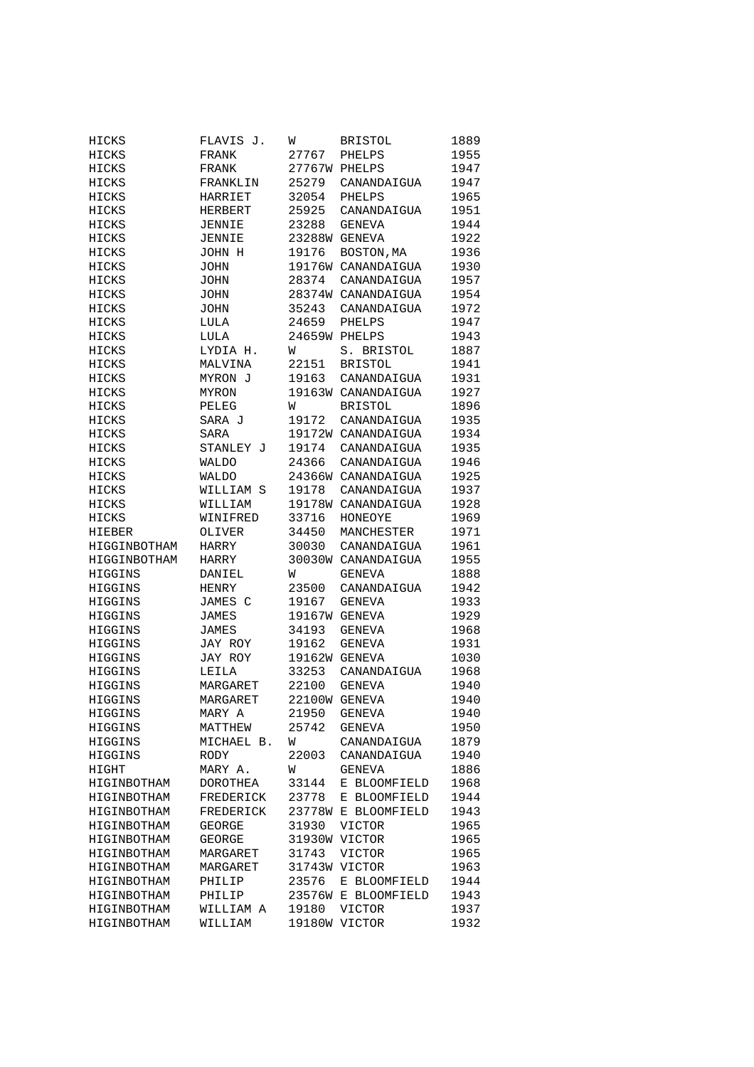| HICKS        | FLAVIS J.     | W      | <b>BRISTOL</b>     | 1889 |
|--------------|---------------|--------|--------------------|------|
| <b>HICKS</b> | FRANK         | 27767  | PHELPS             | 1955 |
| HICKS        | FRANK         | 27767W | PHELPS             | 1947 |
| HICKS        | FRANKLIN      | 25279  | CANANDAIGUA        | 1947 |
| HICKS        | HARRIET       | 32054  | PHELPS             | 1965 |
| HICKS        | HERBERT       | 25925  | CANANDAIGUA        | 1951 |
| <b>HICKS</b> | JENNIE        | 23288  | GENEVA             | 1944 |
| <b>HICKS</b> | JENNIE        |        | 23288W GENEVA      | 1922 |
| <b>HICKS</b> | JOHN H        | 19176  | BOSTON, MA         | 1936 |
| HICKS        | JOHN          | 19176W | CANANDAIGUA        | 1930 |
| <b>HICKS</b> | <b>JOHN</b>   | 28374  | CANANDAIGUA        | 1957 |
| HICKS        | JOHN          | 28374W | CANANDAIGUA        | 1954 |
| <b>HICKS</b> | <b>JOHN</b>   | 35243  | CANANDAIGUA        | 1972 |
| <b>HICKS</b> | LULA          | 24659  | PHELPS             | 1947 |
| HICKS        | LULA          |        | 24659W PHELPS      | 1943 |
| HICKS        | LYDIA H.      | W      | S. BRISTOL         | 1887 |
| <b>HICKS</b> | MALVINA       | 22151  | <b>BRISTOL</b>     | 1941 |
| HICKS        | MYRON J       | 19163  | CANANDAIGUA        | 1931 |
| HICKS        | MYRON         |        | 19163W CANANDAIGUA | 1927 |
| HICKS        | PELEG         | M      | <b>BRISTOL</b>     | 1896 |
| HICKS        | SARA J        | 19172  | CANANDAIGUA        | 1935 |
| HICKS        | SARA          |        | 19172W CANANDAIGUA | 1934 |
| HICKS        | STANLEY J     | 19174  | CANANDAIGUA        | 1935 |
| HICKS        | WALDO         | 24366  | CANANDAIGUA        | 1946 |
| HICKS        | WALDO         | 24366W | CANANDAIGUA        | 1925 |
| HICKS        | WILLIAM S     | 19178  | CANANDAIGUA        | 1937 |
| HICKS        | WILLIAM       |        | 19178W CANANDAIGUA | 1928 |
| HICKS        | WINIFRED      | 33716  | HONEOYE            | 1969 |
| HIEBER       | OLIVER        | 34450  | MANCHESTER         | 1971 |
| HIGGINBOTHAM | <b>HARRY</b>  | 30030  | CANANDAIGUA        | 1961 |
| HIGGINBOTHAM | HARRY         |        | 30030W CANANDAIGUA | 1955 |
| HIGGINS      | DANIEL        | W      | GENEVA             | 1888 |
| HIGGINS      | HENRY         | 23500  | CANANDAIGUA        | 1942 |
| HIGGINS      | JAMES C       | 19167  | <b>GENEVA</b>      | 1933 |
| HIGGINS      | JAMES         | 19167W | <b>GENEVA</b>      | 1929 |
| HIGGINS      | JAMES         | 34193  | <b>GENEVA</b>      | 1968 |
| HIGGINS      | JAY ROY       | 19162  | <b>GENEVA</b>      | 1931 |
| HIGGINS      | JAY ROY       | 19162W | GENEVA             | 1030 |
| HIGGINS      | LEILA         | 33253  | CANANDAIGUA        | 1968 |
| HIGGINS      | MARGARET      | 22100  | <b>GENEVA</b>      | 1940 |
| HIGGINS      | MARGARET      |        | 22100W GENEVA      | 1940 |
| HIGGINS      | MARY A        | 21950  | GENEVA             | 1940 |
| HIGGINS      | MATTHEW       | 25742  | GENEVA             | 1950 |
| HIGGINS      | MICHAEL B.    | W      | CANANDAIGUA        | 1879 |
| HIGGINS      | RODY          | 22003  | CANANDAIGUA        | 1940 |
| HIGHT        | MARY A.       | W      | <b>GENEVA</b>      | 1886 |
| HIGINBOTHAM  | DOROTHEA      | 33144  | E BLOOMFIELD       | 1968 |
| HIGINBOTHAM  | FREDERICK     | 23778  | E BLOOMFIELD       | 1944 |
| HIGINBOTHAM  | FREDERICK     | 23778W | E BLOOMFIELD       | 1943 |
| HIGINBOTHAM  | <b>GEORGE</b> | 31930  | <b>VICTOR</b>      | 1965 |
| HIGINBOTHAM  | GEORGE        | 31930W | VICTOR             | 1965 |
| HIGINBOTHAM  | MARGARET      | 31743  | VICTOR             | 1965 |
| HIGINBOTHAM  | MARGARET      | 31743W | VICTOR             | 1963 |
| HIGINBOTHAM  | PHILIP        | 23576  | E BLOOMFIELD       | 1944 |
| HIGINBOTHAM  | PHILIP        | 23576W | E BLOOMFIELD       | 1943 |
| HIGINBOTHAM  | WILLIAM A     | 19180  | VICTOR             | 1937 |
| HIGINBOTHAM  | WILLIAM       |        | 19180W VICTOR      | 1932 |
|              |               |        |                    |      |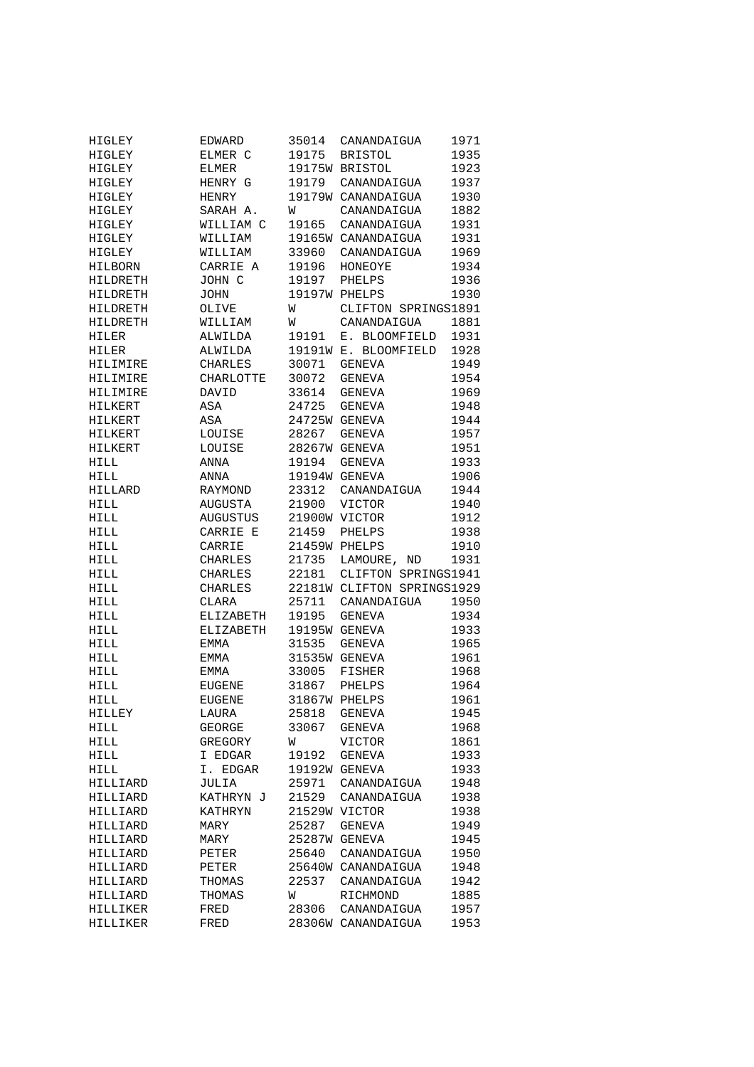| HIGLEY         | EDWARD          | 35014         | CANANDAIGUA                | 1971 |
|----------------|-----------------|---------------|----------------------------|------|
| HIGLEY         | ELMER C         | 19175         | BRISTOL                    | 1935 |
| HIGLEY         | ELMER           |               | 19175W BRISTOL             | 1923 |
| HIGLEY         | HENRY G         | 19179         | CANANDAIGUA                | 1937 |
| HIGLEY         | HENRY           |               | 19179W CANANDAIGUA         | 1930 |
| HIGLEY         | SARAH A.        | W             | CANANDAIGUA                | 1882 |
| HIGLEY         | WILLIAM C       | 19165         | CANANDAIGUA                | 1931 |
| HIGLEY         | WILLIAM         |               | 19165W CANANDAIGUA         | 1931 |
| HIGLEY         | WILLIAM         | 33960         | CANANDAIGUA                | 1969 |
| HILBORN        | CARRIE A        | 19196         | HONEOYE                    | 1934 |
| HILDRETH       | JOHN C          | 19197         | PHELPS                     | 1936 |
| HILDRETH       | <b>JOHN</b>     | 19197W PHELPS |                            | 1930 |
| HILDRETH       | OLIVE           | W             | CLIFTON SPRINGS1891        |      |
| HILDRETH       | WILLIAM         | W             | CANANDAIGUA                | 1881 |
| HILER          | ALWILDA         | 19191         | E. BLOOMFIELD              | 1931 |
| HILER          | ALWILDA         |               | 19191W E. BLOOMFIELD       | 1928 |
| HILIMIRE       | <b>CHARLES</b>  | 30071         | GENEVA                     | 1949 |
| HILIMIRE       | CHARLOTTE       | 30072         | GENEVA                     | 1954 |
| HILIMIRE       | DAVID           | 33614         | <b>GENEVA</b>              | 1969 |
| <b>HILKERT</b> | ASA             | 24725         | <b>GENEVA</b>              | 1948 |
| HILKERT        | ASA             |               | 24725W GENEVA              | 1944 |
| HILKERT        | LOUISE          | 28267         | GENEVA                     | 1957 |
| HILKERT        | LOUISE          | 28267W GENEVA |                            | 1951 |
| HILL           | ANNA            | 19194         | GENEVA                     | 1933 |
| HILL           | ANNA            | 19194W GENEVA |                            | 1906 |
| HILLARD        | <b>RAYMOND</b>  | 23312         | CANANDAIGUA                | 1944 |
| <b>HILL</b>    | <b>AUGUSTA</b>  | 21900         | VICTOR                     | 1940 |
| <b>HILL</b>    | <b>AUGUSTUS</b> | 21900W VICTOR |                            | 1912 |
| <b>HILL</b>    | CARRIE E        | 21459         | PHELPS                     | 1938 |
| <b>HILL</b>    | CARRIE          |               | 21459W PHELPS              | 1910 |
| <b>HILL</b>    | CHARLES         | 21735         | LAMOURE, ND                | 1931 |
| <b>HILL</b>    | <b>CHARLES</b>  | 22181         | CLIFTON SPRINGS1941        |      |
| <b>HILL</b>    | <b>CHARLES</b>  |               | 22181W CLIFTON SPRINGS1929 |      |
| <b>HILL</b>    | CLARA           | 25711         | CANANDAIGUA                | 1950 |
| HILL           | ELIZABETH       | 19195         | <b>GENEVA</b>              | 1934 |
| ${\tt HILL}$   | ELIZABETH       | 19195W GENEVA |                            | 1933 |
| HILL           | EMMA            | 31535         | <b>GENEVA</b>              | 1965 |
| <b>HILL</b>    | EMMA            |               | 31535W GENEVA              | 1961 |
| <b>HILL</b>    | <b>EMMA</b>     | 33005         | FISHER                     | 1968 |
| HILL           | <b>EUGENE</b>   | 31867         | PHELPS                     | 1964 |
| HILL           | EUGENE          | 31867W PHELPS |                            | 1961 |
| HILLEY         | LAURA           | 25818         | GENEVA                     | 1945 |
| HILL           | GEORGE          | 33067         | GENEVA                     | 1968 |
| HILL           | GREGORY         | W             | VICTOR                     | 1861 |
| <b>HILL</b>    | I EDGAR         | 19192         | <b>GENEVA</b>              | 1933 |
| HILL           | I. EDGAR        | 19192W GENEVA |                            | 1933 |
| HILLIARD       | JULIA           | 25971         | CANANDAIGUA                | 1948 |
| HILLIARD       | KATHRYN J       | 21529         | CANANDAIGUA                | 1938 |
| HILLIARD       | KATHRYN         | 21529W VICTOR |                            | 1938 |
| HILLIARD       | MARY            | 25287         | <b>GENEVA</b>              | 1949 |
| HILLIARD       | MARY            | 25287W GENEVA |                            | 1945 |
| HILLIARD       | PETER           | 25640         | CANANDAIGUA                | 1950 |
| HILLIARD       | PETER           |               | 25640W CANANDAIGUA         | 1948 |
| HILLIARD       | THOMAS          | 22537         | CANANDAIGUA                | 1942 |
| HILLIARD       | THOMAS          | W             | RICHMOND                   | 1885 |
| HILLIKER       | FRED            | 28306         | CANANDAIGUA                | 1957 |
| HILLIKER       | FRED            |               | 28306W CANANDAIGUA         | 1953 |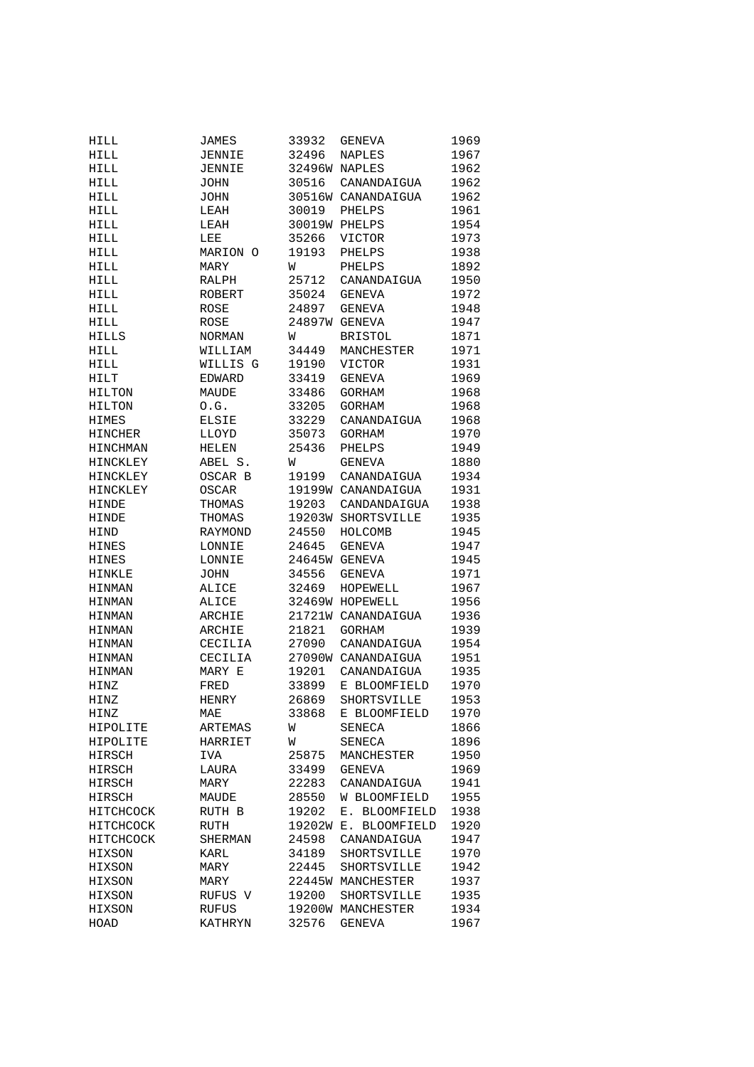| HILL            | JAMES          | 33932         | GENEVA                  | 1969 |
|-----------------|----------------|---------------|-------------------------|------|
| <b>HILL</b>     | JENNIE         | 32496         | <b>NAPLES</b>           | 1967 |
| HILL            | JENNIE         | 32496W        | NAPLES                  | 1962 |
| HILL            | JOHN           | 30516         | CANANDAIGUA             | 1962 |
| <b>HILL</b>     | <b>JOHN</b>    | 30516W        | CANANDAIGUA             | 1962 |
| HILL            | LEAH           | 30019         | PHELPS                  | 1961 |
| <b>HILL</b>     | LEAH           | 30019W        | PHELPS                  | 1954 |
| <b>HILL</b>     | LEE            | 35266         | <b>VICTOR</b>           | 1973 |
| HILL            | MARION O       | 19193         | PHELPS                  | 1938 |
| HILL            | MARY           | W             | PHELPS                  | 1892 |
| <b>HILL</b>     | <b>RALPH</b>   | 25712         | CANANDAIGUA             | 1950 |
| HILL            | ROBERT         | 35024         | <b>GENEVA</b>           | 1972 |
| <b>HILL</b>     | ROSE           | 24897         | <b>GENEVA</b>           | 1948 |
| <b>HILL</b>     | ROSE           | 24897W GENEVA |                         | 1947 |
| <b>HILLS</b>    | <b>NORMAN</b>  | W             | <b>BRISTOL</b>          | 1871 |
| HILL            | WILLIAM        | 34449         | MANCHESTER              | 1971 |
| <b>HILL</b>     | WILLIS G       | 19190         | <b>VICTOR</b>           | 1931 |
| HILT            | EDWARD         | 33419         | <b>GENEVA</b>           | 1969 |
| HILTON          | MAUDE          | 33486         | GORHAM                  | 1968 |
| HILTON          | 0.G.           | 33205         | GORHAM                  | 1968 |
| <b>HIMES</b>    | <b>ELSIE</b>   | 33229         | CANANDAIGUA             | 1968 |
| HINCHER         | LLOYD          | 35073         | GORHAM                  | 1970 |
| HINCHMAN        | HELEN          | 25436         | PHELPS                  | 1949 |
| HINCKLEY        | ABEL S.        | W             | GENEVA                  | 1880 |
| HINCKLEY        | OSCAR B        | 19199         | CANANDAIGUA             | 1934 |
| <b>HINCKLEY</b> | OSCAR          | 19199W        | CANANDAIGUA             | 1931 |
| HINDE           | THOMAS         | 19203         | CANDANDAIGUA            | 1938 |
| <b>HINDE</b>    | THOMAS         | 19203W        | SHORTSVILLE             | 1935 |
| HIND            | <b>RAYMOND</b> | 24550         | HOLCOMB                 | 1945 |
| <b>HINES</b>    | LONNIE         | 24645         | <b>GENEVA</b>           | 1947 |
| <b>HINES</b>    | LONNIE         | 24645W        | <b>GENEVA</b>           | 1945 |
| HINKLE          | JOHN           | 34556         | <b>GENEVA</b>           | 1971 |
| <b>HINMAN</b>   | ALICE          | 32469         | HOPEWELL                | 1967 |
| <b>HINMAN</b>   | ALICE          | 32469W        | HOPEWELL                | 1956 |
| <b>HINMAN</b>   | ARCHIE         | 21721W        | CANANDAIGUA             | 1936 |
| <b>HINMAN</b>   | ARCHIE         | 21821         | <b>GORHAM</b>           | 1939 |
| HINMAN          | CECILIA        | 27090         | CANANDAIGUA             | 1954 |
| <b>HINMAN</b>   | CECILIA        |               | 27090W CANANDAIGUA      | 1951 |
| <b>HINMAN</b>   | MARY E         | 19201         | CANANDAIGUA             | 1935 |
| HINZ            | FRED           | 33899         | E BLOOMFIELD            | 1970 |
| HINZ            | HENRY          | 26869         | SHORTSVILLE             | 1953 |
| HINZ            | MAE            | 33868         | E BLOOMFIELD            | 1970 |
| HIPOLITE        | ARTEMAS        | W             | SENECA                  | 1866 |
| HIPOLITE        | HARRIET        | W             | SENECA                  | 1896 |
| HIRSCH          | IVA            | 25875         | MANCHESTER              | 1950 |
| HIRSCH          | LAURA          | 33499         | GENEVA                  | 1969 |
| HIRSCH          | MARY           | 22283         | CANANDAIGUA             | 1941 |
| HIRSCH          | MAUDE          | 28550         | W BLOOMFIELD            | 1955 |
| HITCHCOCK       | RUTH B         | 19202         | <b>BLOOMFIELD</b><br>Е. | 1938 |
| HITCHCOCK       | RUTH           | 19202W        | <b>BLOOMFIELD</b><br>Е. | 1920 |
| HITCHCOCK       | SHERMAN        | 24598         | CANANDAIGUA             | 1947 |
| HIXSON          | KARL           | 34189         | SHORTSVILLE             | 1970 |
| HIXSON          | MARY           | 22445         | SHORTSVILLE             | 1942 |
| HIXSON          | MARY           | 22445W        | MANCHESTER              | 1937 |
| HIXSON          | RUFUS V        | 19200         | SHORTSVILLE             | 1935 |
| HIXSON          | RUFUS          |               | 19200W MANCHESTER       | 1934 |
| HOAD            | KATHRYN        | 32576         | <b>GENEVA</b>           | 1967 |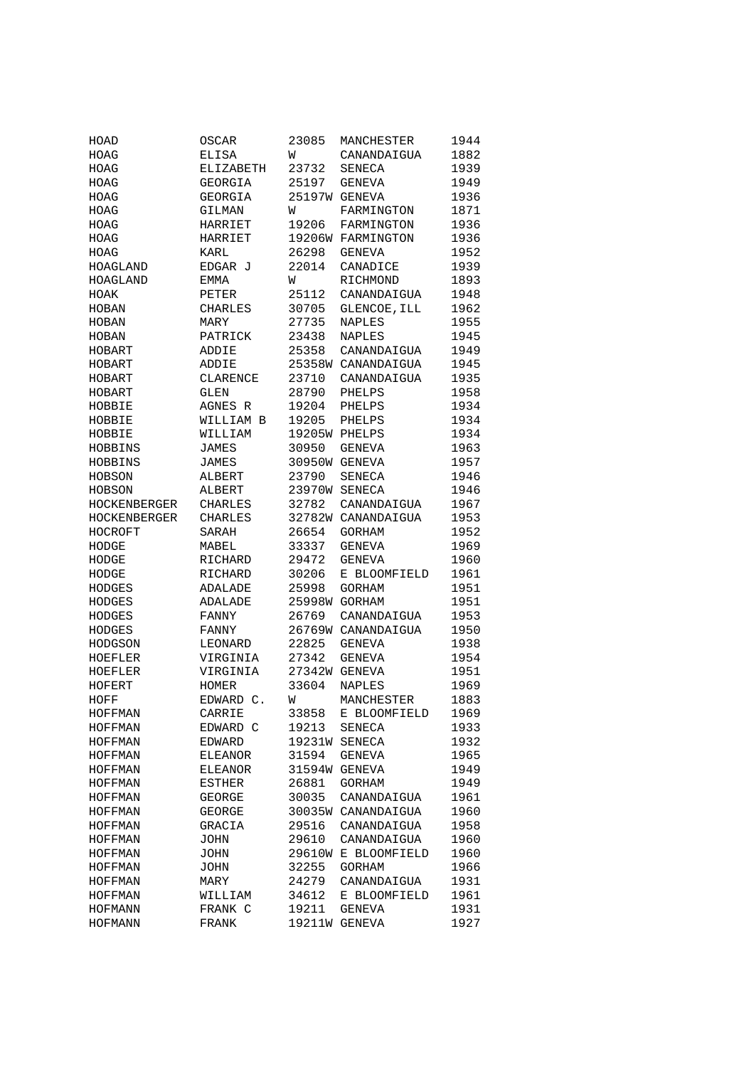| HOAD           | OSCAR           | 23085    | MANCHESTER              | 1944 |
|----------------|-----------------|----------|-------------------------|------|
| HOAG           | ELISA           | W        | CANANDAIGUA             | 1882 |
|                |                 |          |                         | 1939 |
| HOAG           | ELIZABETH       | 23732    | SENECA                  |      |
| HOAG           | GEORGIA         | 25197    | GENEVA                  | 1949 |
| HOAG           | GEORGIA         | 25197W   | <b>GENEVA</b>           | 1936 |
| HOAG           | <b>GILMAN</b>   | W        | FARMINGTON              | 1871 |
| HOAG           | HARRIET         | 19206    | FARMINGTON              | 1936 |
| HOAG           | HARRIET         | 19206W   | FARMINGTON              | 1936 |
| HOAG           | KARL            | 26298    | <b>GENEVA</b>           | 1952 |
| HOAGLAND       | EDGAR J         | 22014    | CANADICE                | 1939 |
| HOAGLAND       | <b>EMMA</b>     | W        | RICHMOND                | 1893 |
| HOAK           | PETER           | 25112    | CANANDAIGUA             | 1948 |
| HOBAN          | CHARLES         | 30705    | GLENCOE, ILL            | 1962 |
| HOBAN          | MARY            | 27735    | NAPLES                  | 1955 |
| HOBAN          | PATRICK         | 23438    | NAPLES                  | 1945 |
| HOBART         | ADDIE           | 25358    | CANANDAIGUA             | 1949 |
| HOBART         | ADDIE           | 25358W   | CANANDAIGUA             | 1945 |
| HOBART         | <b>CLARENCE</b> | 23710    | CANANDAIGUA             | 1935 |
| HOBART         | GLEN            | 28790    | PHELPS                  | 1958 |
| HOBBIE         | AGNES R         | 19204    | PHELPS                  | 1934 |
| HOBBIE         | WILLIAM B       | 19205    | PHELPS                  | 1934 |
| HOBBIE         | WILLIAM         | 19205W   | PHELPS                  | 1934 |
| HOBBINS        | JAMES           | 30950    | GENEVA                  | 1963 |
| HOBBINS        | <b>JAMES</b>    | 30950W   | GENEVA                  | 1957 |
|                |                 |          |                         | 1946 |
| HOBSON         | ALBERT          | 23790    | SENECA<br><b>SENECA</b> |      |
| HOBSON         | ALBERT          | 23970W   |                         | 1946 |
| HOCKENBERGER   | CHARLES         | 32782    | CANANDAIGUA             | 1967 |
| HOCKENBERGER   | <b>CHARLES</b>  |          | 32782W CANANDAIGUA      | 1953 |
| HOCROFT        | SARAH           | 26654    | GORHAM                  | 1952 |
| HODGE          | MABEL           | 33337    | <b>GENEVA</b>           | 1969 |
| HODGE          | RICHARD         | 29472    | <b>GENEVA</b>           | 1960 |
| HODGE          | RICHARD         | 30206    | E BLOOMFIELD            | 1961 |
| HODGES         | ADALADE         | 25998    | GORHAM                  | 1951 |
| HODGES         | ADALADE         | 25998W   | GORHAM                  | 1951 |
| HODGES         | FANNY           | 26769    | CANANDAIGUA             | 1953 |
| HODGES         | FANNY           | 26769W   | CANANDAIGUA             | 1950 |
| HODGSON        | LEONARD         | 22825    | GENEVA                  | 1938 |
| HOEFLER        | VIRGINIA        | 27342    | GENEVA                  | 1954 |
| HOEFLER        | VIRGINIA        | 27342W   | GENEVA                  | 1951 |
| HOFERT         | <b>HOMER</b>    | 33604    | NAPLES                  | 1969 |
| HOFF           | EDWARD C.       | <b>W</b> | MANCHESTER              | 1883 |
| <b>HOFFMAN</b> | CARRIE          | 33858    | E BLOOMFIELD            | 1969 |
| HOFFMAN        | EDWARD C        | 19213    | SENECA                  | 1933 |
| HOFFMAN        | EDWARD          | 19231W   | SENECA                  | 1932 |
| <b>HOFFMAN</b> | <b>ELEANOR</b>  | 31594    | <b>GENEVA</b>           | 1965 |
| <b>HOFFMAN</b> | <b>ELEANOR</b>  | 31594W   | <b>GENEVA</b>           | 1949 |
| HOFFMAN        | <b>ESTHER</b>   | 26881    | GORHAM                  | 1949 |
| HOFFMAN        | GEORGE          | 30035    | CANANDAIGUA             | 1961 |
| HOFFMAN        | GEORGE          | 30035W   | CANANDAIGUA             | 1960 |
|                |                 |          |                         |      |
| <b>HOFFMAN</b> | GRACIA          | 29516    | CANANDAIGUA             | 1958 |
| HOFFMAN        | JOHN            | 29610    | CANANDAIGUA             | 1960 |
| HOFFMAN        | JOHN            | 29610W   | E BLOOMFIELD            | 1960 |
| HOFFMAN        | JOHN            | 32255    | GORHAM                  | 1966 |
| HOFFMAN        | MARY            | 24279    | CANANDAIGUA             | 1931 |
| HOFFMAN        | WILLIAM         | 34612    | E BLOOMFIELD            | 1961 |
| HOFMANN        | FRANK C         | 19211    | GENEVA                  | 1931 |
| <b>HOFMANN</b> | <b>FRANK</b>    | 19211W   | <b>GENEVA</b>           | 1927 |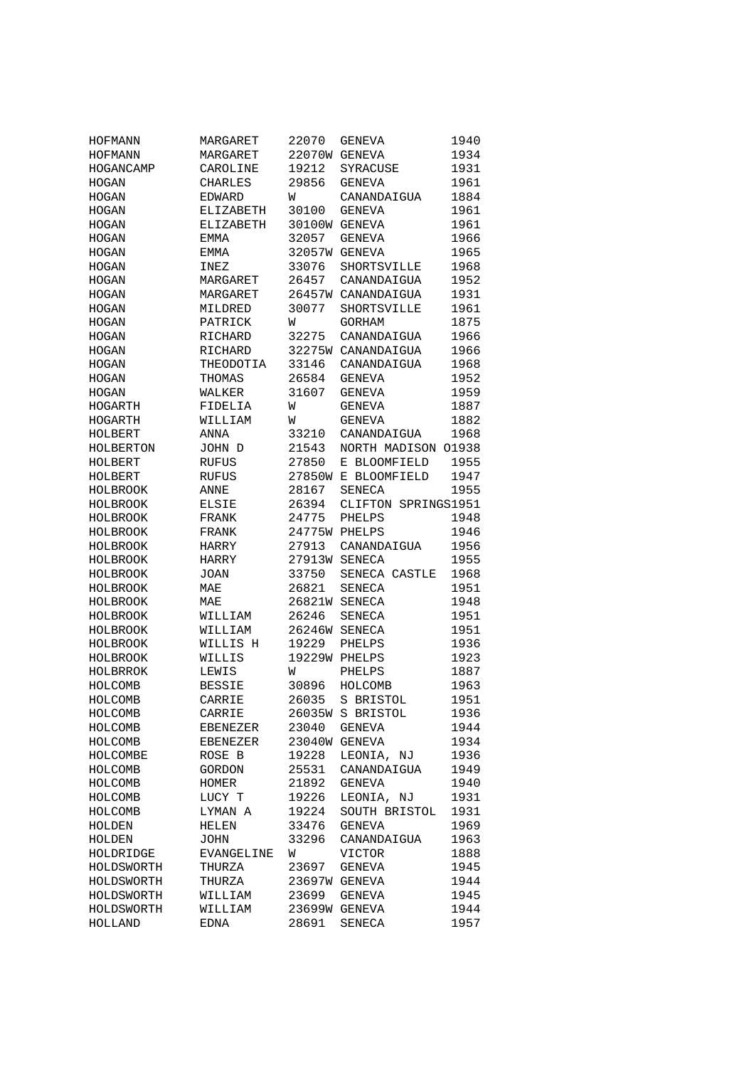| HOFMANN         | MARGARET         | 22070  | GENEVA              | 1940 |
|-----------------|------------------|--------|---------------------|------|
| <b>HOFMANN</b>  | MARGARET         | 22070W | <b>GENEVA</b>       | 1934 |
| HOGANCAMP       | CAROLINE         | 19212  | SYRACUSE            | 1931 |
| HOGAN           | CHARLES          | 29856  | GENEVA              | 1961 |
| <b>HOGAN</b>    | <b>EDWARD</b>    | W      | CANANDAIGUA         | 1884 |
| HOGAN           | ELIZABETH        | 30100  | GENEVA              | 1961 |
| HOGAN           | ELIZABETH        | 30100W | GENEVA              | 1961 |
| <b>HOGAN</b>    | EMMA             | 32057  | <b>GENEVA</b>       | 1966 |
| HOGAN           | EMMA             | 32057W | <b>GENEVA</b>       | 1965 |
| HOGAN           | INEZ             | 33076  | SHORTSVILLE         | 1968 |
| HOGAN           | MARGARET         | 26457  | CANANDAIGUA         | 1952 |
| HOGAN           | MARGARET         | 26457W | CANANDAIGUA         | 1931 |
| <b>HOGAN</b>    | MILDRED          | 30077  | SHORTSVILLE         | 1961 |
| <b>HOGAN</b>    | PATRICK          | W      | GORHAM              | 1875 |
| HOGAN           | RICHARD          | 32275  | CANANDAIGUA         | 1966 |
| HOGAN           | RICHARD          | 32275W | CANANDAIGUA         | 1966 |
| HOGAN           | THEODOTIA        | 33146  | CANANDAIGUA         | 1968 |
| <b>HOGAN</b>    | THOMAS           | 26584  | GENEVA              | 1952 |
| <b>HOGAN</b>    | WALKER           | 31607  | GENEVA              | 1959 |
| HOGARTH         | FIDELIA          | W      | <b>GENEVA</b>       | 1887 |
| HOGARTH         | WILLIAM          | W      | GENEVA              | 1882 |
| HOLBERT         | ANNA             | 33210  | CANANDAIGUA         | 1968 |
| HOLBERTON       | JOHN D           | 21543  | NORTH MADISON 01938 |      |
| HOLBERT         | <b>RUFUS</b>     | 27850  | E BLOOMFIELD        | 1955 |
| HOLBERT         | <b>RUFUS</b>     | 27850W | E BLOOMFIELD        | 1947 |
| HOLBROOK        | <b>ANNE</b>      | 28167  | SENECA              | 1955 |
| HOLBROOK        | <b>ELSIE</b>     | 26394  | CLIFTON SPRINGS1951 |      |
| HOLBROOK        | <b>FRANK</b>     | 24775  | PHELPS              | 1948 |
| HOLBROOK        | <b>FRANK</b>     | 24775W | PHELPS              | 1946 |
| HOLBROOK        | HARRY            | 27913  | CANANDAIGUA         | 1956 |
| HOLBROOK        | <b>HARRY</b>     | 27913W | SENECA              | 1955 |
| HOLBROOK        | JOAN             | 33750  | SENECA CASTLE       | 1968 |
| HOLBROOK        | MAE              | 26821  | SENECA              | 1951 |
| HOLBROOK        | MAE              | 26821W | SENECA              | 1948 |
| HOLBROOK        | WILLIAM          | 26246  | SENECA              | 1951 |
| <b>HOLBROOK</b> | WILLIAM          | 26246W | SENECA              | 1951 |
| HOLBROOK        | WILLIS H         | 19229  | PHELPS              | 1936 |
| HOLBROOK        | WILLIS           | 19229W | PHELPS              | 1923 |
| HOLBRROK        | LEWIS            | W      | PHELPS              | 1887 |
| HOLCOMB         | <b>BESSIE</b>    | 30896  | HOLCOMB             | 1963 |
| HOLCOMB         | CARRIE           | 26035  | S BRISTOL           | 1951 |
| HOLCOMB         | CARRIE           |        | 26035W S BRISTOL    | 1936 |
| HOLCOMB         | ${\tt EBENEZER}$ | 23040  | GENEVA              | 1944 |
| HOLCOMB         | EBENEZER         | 23040W | GENEVA              | 1934 |
| HOLCOMBE        | ROSE B           | 19228  | LEONIA, NJ          | 1936 |
| HOLCOMB         | GORDON           | 25531  | CANANDAIGUA         | 1949 |
| HOLCOMB         | HOMER            | 21892  | GENEVA              | 1940 |
| HOLCOMB         | LUCY T           | 19226  | LEONIA, NJ          | 1931 |
| HOLCOMB         | LYMAN A          | 19224  | SOUTH BRISTOL       | 1931 |
| HOLDEN          | HELEN            | 33476  | GENEVA              | 1969 |
| HOLDEN          | JOHN             | 33296  | CANANDAIGUA         | 1963 |
| HOLDRIDGE       | EVANGELINE       | W      | VICTOR              | 1888 |
| HOLDSWORTH      | THURZA           | 23697  | GENEVA              | 1945 |
| HOLDSWORTH      | THURZA           | 23697W | GENEVA              | 1944 |
| HOLDSWORTH      | WILLIAM          | 23699  | GENEVA              | 1945 |
| HOLDSWORTH      | WILLIAM          | 23699W | GENEVA              | 1944 |
| HOLLAND         | EDNA             | 28691  | SENECA              | 1957 |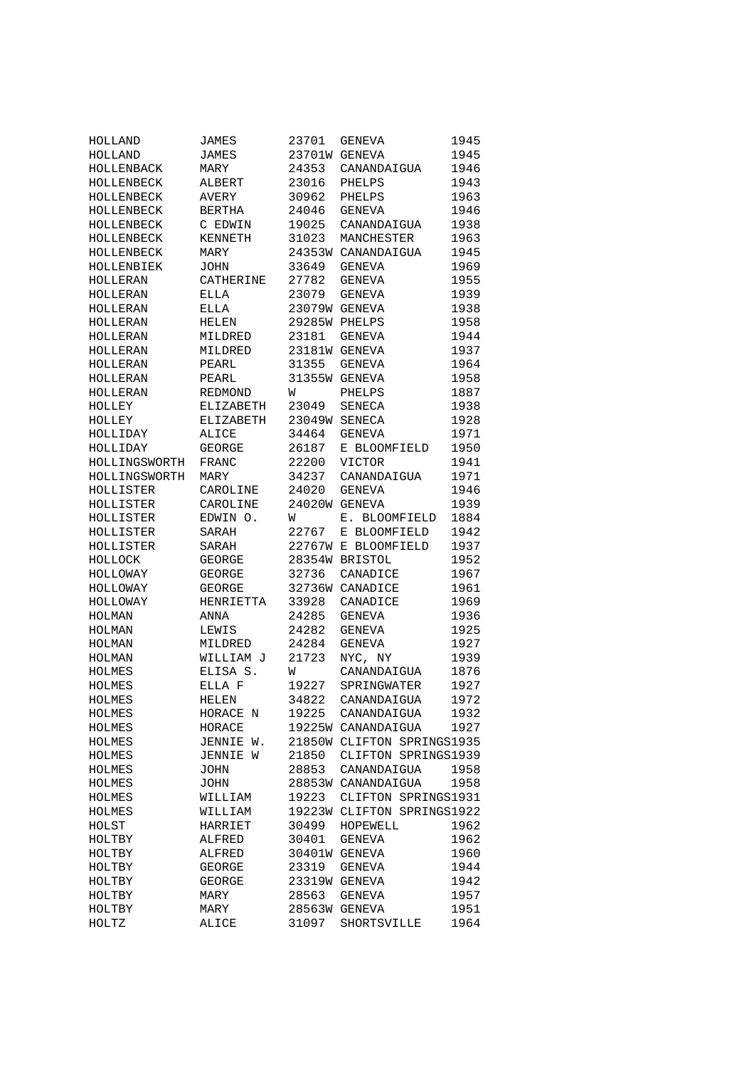| HOLLAND       | JAMES          | 23701         | GENEVA                     | 1945 |
|---------------|----------------|---------------|----------------------------|------|
| HOLLAND       | JAMES          | 23701W        | <b>GENEVA</b>              | 1945 |
| HOLLENBACK    | MARY           | 24353         | CANANDAIGUA                | 1946 |
| HOLLENBECK    | ALBERT         | 23016         | PHELPS                     | 1943 |
| HOLLENBECK    | AVERY          | 30962         | PHELPS                     | 1963 |
| HOLLENBECK    | BERTHA         | 24046         | GENEVA                     | 1946 |
| HOLLENBECK    | C EDWIN        | 19025         | CANANDAIGUA                | 1938 |
| HOLLENBECK    | KENNETH        | 31023         | MANCHESTER                 | 1963 |
| HOLLENBECK    | MARY           |               | 24353W CANANDAIGUA         | 1945 |
| HOLLENBIEK    | JOHN           | 33649         | GENEVA                     | 1969 |
| HOLLERAN      | CATHERINE      | 27782         | GENEVA                     | 1955 |
| HOLLERAN      | ELLA           | 23079         | GENEVA                     | 1939 |
| HOLLERAN      | ELLA           |               | 23079W GENEVA              | 1938 |
| HOLLERAN      | HELEN          | 29285W        | PHELPS                     | 1958 |
| HOLLERAN      | MILDRED        | 23181         | <b>GENEVA</b>              | 1944 |
| HOLLERAN      | MILDRED        |               | 23181W GENEVA              | 1937 |
| HOLLERAN      | PEARL          | 31355         | GENEVA                     | 1964 |
| HOLLERAN      | PEARL          | 31355W        | <b>GENEVA</b>              | 1958 |
| HOLLERAN      | <b>REDMOND</b> | W             | PHELPS                     | 1887 |
| HOLLEY        | ELIZABETH      | 23049         | SENECA                     | 1938 |
| HOLLEY        | ELIZABETH      | 23049W        | SENECA                     | 1928 |
| HOLLIDAY      | ALICE          | 34464         | <b>GENEVA</b>              | 1971 |
| HOLLIDAY      | <b>GEORGE</b>  | 26187         | E BLOOMFIELD               | 1950 |
| HOLLINGSWORTH | FRANC          | 22200         | <b>VICTOR</b>              | 1941 |
| HOLLINGSWORTH | MARY           | 34237         | CANANDAIGUA                | 1971 |
| HOLLISTER     | CAROLINE       | 24020         | <b>GENEVA</b>              | 1946 |
| HOLLISTER     | CAROLINE       | 24020W        | <b>GENEVA</b>              | 1939 |
| HOLLISTER     | EDWIN O.       | W             | E. BLOOMFIELD              | 1884 |
| HOLLISTER     | SARAH          | 22767         | E BLOOMFIELD               | 1942 |
| HOLLISTER     |                | 22767W        | E BLOOMFIELD               | 1937 |
|               | SARAH          |               |                            | 1952 |
| HOLLOCK       | GEORGE         | 28354W        | <b>BRISTOL</b>             |      |
| HOLLOWAY      | <b>GEORGE</b>  | 32736         | CANADICE                   | 1967 |
| HOLLOWAY      | GEORGE         | 32736W        | CANADICE                   | 1961 |
| HOLLOWAY      | HENRIETTA      | 33928         | CANADICE                   | 1969 |
| HOLMAN        | ANNA           | 24285         | <b>GENEVA</b>              | 1936 |
| HOLMAN        | LEWIS          | 24282         | GENEVA                     | 1925 |
| HOLMAN        | MILDRED        | 24284         | GENEVA                     | 1927 |
| HOLMAN        | WILLIAM J      | 21723         | NYC, NY                    | 1939 |
| HOLMES        | ELISA S.       | W             | CANANDAIGUA                | 1876 |
| <b>HOLMES</b> | ELLA F         | 19227         | SPRINGWATER                | 1927 |
| HOLMES        | ${\tt HELEN}$  | 34822         | CANANDAIGUA                | 1972 |
| HOLMES        | HORACE N       | 19225         | CANANDAIGUA                | 1932 |
| HOLMES        | HORACE         |               | 19225W CANANDAIGUA         | 1927 |
| HOLMES        | JENNIE W.      |               | 21850W CLIFTON SPRINGS1935 |      |
| HOLMES        | JENNIE<br>W    | 21850         | CLIFTON SPRINGS1939        |      |
| HOLMES        | JOHN           | 28853         | CANANDAIGUA                | 1958 |
| HOLMES        | JOHN           |               | 28853W CANANDAIGUA         | 1958 |
| HOLMES        | WILLIAM        | 19223         | CLIFTON SPRINGS1931        |      |
| HOLMES        | WILLIAM        |               | 19223W CLIFTON SPRINGS1922 |      |
| HOLST         | <b>HARRIET</b> | 30499         | HOPEWELL                   | 1962 |
| HOLTBY        | ALFRED         | 30401         | GENEVA                     | 1962 |
| HOLTBY        | <b>ALFRED</b>  | 30401W GENEVA |                            | 1960 |
| HOLTBY        | GEORGE         | 23319         | GENEVA                     | 1944 |
| HOLTBY        | GEORGE         |               | 23319W GENEVA              | 1942 |
| HOLTBY        | MARY           | 28563         | GENEVA                     | 1957 |
| HOLTBY        | MARY           | 28563W GENEVA |                            | 1951 |
| HOLTZ         | ALICE          | 31097         | SHORTSVILLE                | 1964 |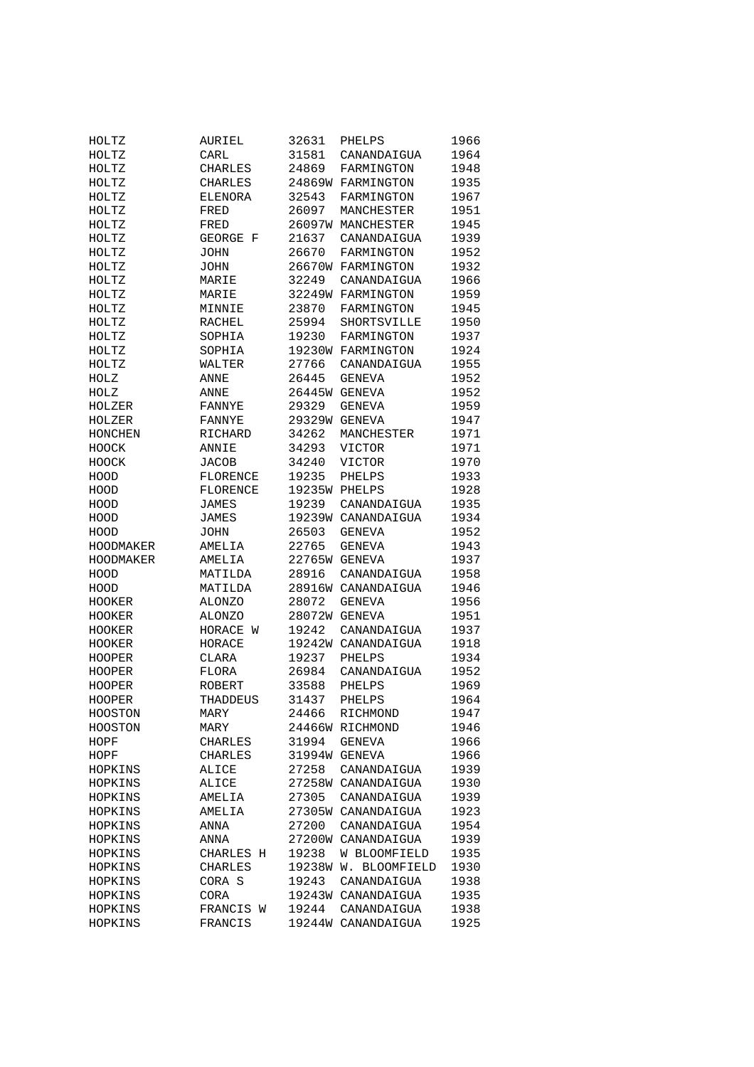| HOLTZ         | AURIEL        | 32631         | PHELPS               | 1966 |
|---------------|---------------|---------------|----------------------|------|
| HOLTZ         | CARL          | 31581         | CANANDAIGUA          | 1964 |
| HOLTZ         | CHARLES       | 24869         | FARMINGTON           | 1948 |
| HOLTZ         | CHARLES       |               | 24869W FARMINGTON    | 1935 |
| HOLTZ         | ELENORA       | 32543         | FARMINGTON           | 1967 |
| HOLTZ         | FRED          | 26097         | MANCHESTER           | 1951 |
| HOLTZ         | FRED          | 26097W        | MANCHESTER           | 1945 |
| HOLTZ         | GEORGE<br>F   | 21637         | CANANDAIGUA          | 1939 |
| HOLTZ         | JOHN          | 26670         | FARMINGTON           | 1952 |
| HOLTZ         | JOHN          | 26670W        | FARMINGTON           | 1932 |
| HOLTZ         | MARIE         | 32249         | CANANDAIGUA          | 1966 |
| HOLTZ         | MARIE         | 32249W        | FARMINGTON           | 1959 |
| HOLTZ         | MINNIE        | 23870         | FARMINGTON           | 1945 |
| HOLTZ         | <b>RACHEL</b> | 25994         | SHORTSVILLE          | 1950 |
| HOLTZ         | SOPHIA        | 19230         | FARMINGTON           | 1937 |
| HOLTZ         | SOPHIA        |               | 19230W FARMINGTON    | 1924 |
| HOLTZ         | WALTER        | 27766         | CANANDAIGUA          | 1955 |
| HOLZ          | ANNE          | 26445         | <b>GENEVA</b>        | 1952 |
| HOLZ          | ANNE          | 26445W        | <b>GENEVA</b>        | 1952 |
| HOLZER        | FANNYE        | 29329         | <b>GENEVA</b>        | 1959 |
| HOLZER        | FANNYE        | 29329W GENEVA |                      | 1947 |
| HONCHEN       | RICHARD       | 34262         | MANCHESTER           | 1971 |
| HOOCK         | ANNIE         | 34293         | <b>VICTOR</b>        | 1971 |
| HOOCK         | <b>JACOB</b>  | 34240         | <b>VICTOR</b>        | 1970 |
| HOOD          | FLORENCE      | 19235         | PHELPS               | 1933 |
| HOOD          | FLORENCE      | 19235W PHELPS |                      | 1928 |
| HOOD          | JAMES         | 19239         | CANANDAIGUA          | 1935 |
| HOOD          | JAMES         |               | 19239W CANANDAIGUA   | 1934 |
| HOOD          | JOHN          | 26503         | GENEVA               | 1952 |
| HOODMAKER     | AMELIA        | 22765         | <b>GENEVA</b>        | 1943 |
| HOODMAKER     | AMELIA        | 22765W        | <b>GENEVA</b>        | 1937 |
| HOOD          | MATILDA       | 28916         | CANANDAIGUA          | 1958 |
| HOOD          | MATILDA       |               | 28916W CANANDAIGUA   | 1946 |
| <b>HOOKER</b> | <b>ALONZO</b> | 28072         | <b>GENEVA</b>        | 1956 |
| HOOKER        | <b>ALONZO</b> | 28072W GENEVA |                      | 1951 |
| HOOKER        | HORACE W      | 19242         | CANANDAIGUA          | 1937 |
| HOOKER        | HORACE        |               | 19242W CANANDAIGUA   | 1918 |
| HOOPER        | CLARA         | 19237         | PHELPS               | 1934 |
| <b>HOOPER</b> | FLORA         | 26984         | CANANDAIGUA          | 1952 |
| HOOPER        | ROBERT        | 33588         | PHELPS               | 1969 |
| HOOPER        | THADDEUS      | 31437         | PHELPS               | 1964 |
| HOOSTON       | MARY          | 24466         | RICHMOND             | 1947 |
| HOOSTON       | MARY          |               | 24466W RICHMOND      | 1946 |
| HOPF          | CHARLES       | 31994         | GENEVA               | 1966 |
| HOPF          | CHARLES       | 31994W GENEVA |                      | 1966 |
| HOPKINS       | ALICE         | 27258         | CANANDAIGUA          | 1939 |
| HOPKINS       | ALICE         |               | 27258W CANANDAIGUA   | 1930 |
| HOPKINS       | AMELIA        | 27305         | CANANDAIGUA          | 1939 |
| HOPKINS       | AMELIA        |               | 27305W CANANDAIGUA   | 1923 |
| HOPKINS       | ANNA          | 27200         | CANANDAIGUA          | 1954 |
| HOPKINS       | ANNA          |               | 27200W CANANDAIGUA   | 1939 |
| HOPKINS       | CHARLES H     | 19238         | W BLOOMFIELD         | 1935 |
| HOPKINS       | CHARLES       |               | 19238W W. BLOOMFIELD | 1930 |
| HOPKINS       | CORA S        | 19243         | CANANDAIGUA          | 1938 |
| HOPKINS       | CORA          |               | 19243W CANANDAIGUA   | 1935 |
| HOPKINS       | FRANCIS W     | 19244         | CANANDAIGUA          | 1938 |
| HOPKINS       | FRANCIS       |               | 19244W CANANDAIGUA   | 1925 |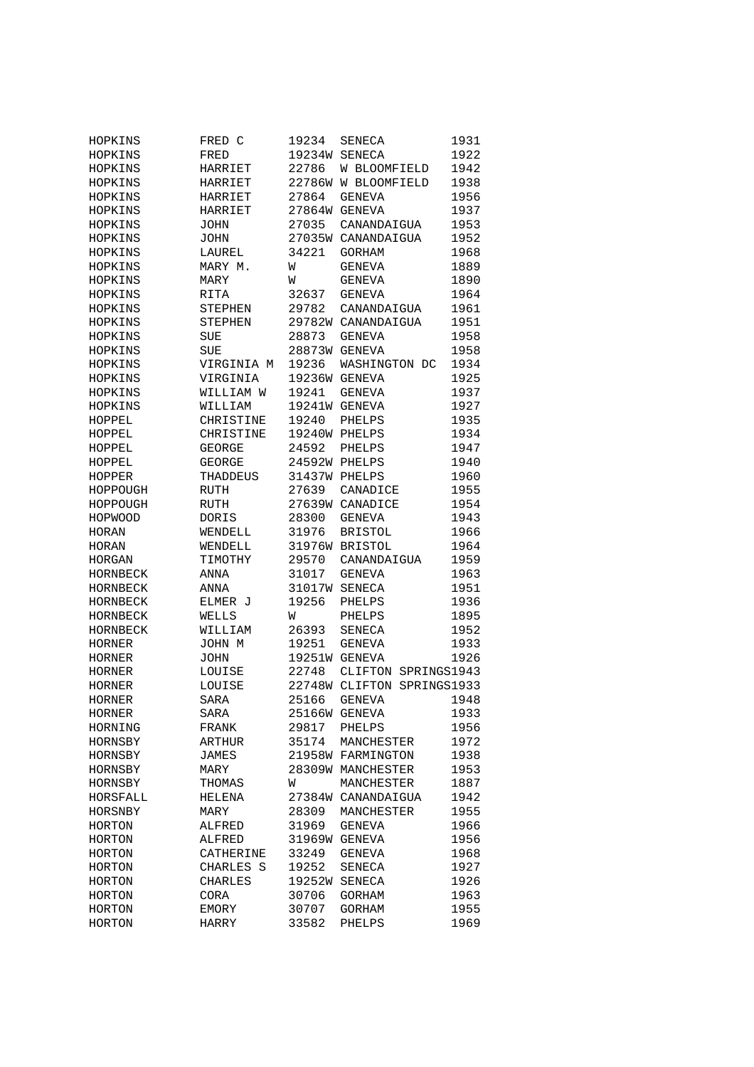| HOPKINS  | FRED C         | 19234         | SENECA                     | 1931 |
|----------|----------------|---------------|----------------------------|------|
| HOPKINS  | FRED           | 19234W        | SENECA                     | 1922 |
| HOPKINS  | HARRIET        | 22786         | W BLOOMFIELD               | 1942 |
| HOPKINS  | HARRIET        | 22786W        | W BLOOMFIELD               | 1938 |
| HOPKINS  | HARRIET        | 27864         | GENEVA                     | 1956 |
| HOPKINS  | HARRIET        | 27864W        | <b>GENEVA</b>              | 1937 |
| HOPKINS  | <b>JOHN</b>    | 27035         | CANANDAIGUA                | 1953 |
| HOPKINS  | JOHN           | 27035W        | CANANDAIGUA                | 1952 |
| HOPKINS  | LAUREL         | 34221         | GORHAM                     | 1968 |
| HOPKINS  | MARY M.        | W             | GENEVA                     | 1889 |
| HOPKINS  | MARY           | W             | GENEVA                     | 1890 |
| HOPKINS  | RITA           | 32637         | <b>GENEVA</b>              | 1964 |
| HOPKINS  | <b>STEPHEN</b> | 29782         | CANANDAIGUA                | 1961 |
| HOPKINS  | STEPHEN        | 29782W        | CANANDAIGUA                | 1951 |
| HOPKINS  | SUE            | 28873         | <b>GENEVA</b>              | 1958 |
| HOPKINS  | SUE            | 28873W        | <b>GENEVA</b>              | 1958 |
| HOPKINS  | VIRGINIA M     | 19236         | WASHINGTON DC              | 1934 |
| HOPKINS  | VIRGINIA       | 19236W        | <b>GENEVA</b>              | 1925 |
| HOPKINS  | WILLIAM W      | 19241         | GENEVA                     | 1937 |
| HOPKINS  | WILLIAM        | 19241W        | <b>GENEVA</b>              | 1927 |
| HOPPEL   | CHRISTINE      | 19240         | PHELPS                     | 1935 |
| HOPPEL   | CHRISTINE      | 19240W        | PHELPS                     | 1934 |
| HOPPEL   | GEORGE         | 24592         | PHELPS                     | 1947 |
| HOPPEL   | GEORGE         | 24592W        | PHELPS                     | 1940 |
| HOPPER   | THADDEUS       | 31437W        | PHELPS                     | 1960 |
| HOPPOUGH | RUTH           | 27639         | CANADICE                   | 1955 |
| HOPPOUGH | RUTH           | 27639W        | CANADICE                   | 1954 |
| HOPWOOD  | DORIS          | 28300         | <b>GENEVA</b>              | 1943 |
| HORAN    | WENDELL        | 31976         | <b>BRISTOL</b>             | 1966 |
| HORAN    | WENDELL        | 31976W        | <b>BRISTOL</b>             | 1964 |
| HORGAN   | TIMOTHY        | 29570         | CANANDAIGUA                | 1959 |
| HORNBECK | ANNA           | 31017         | GENEVA                     | 1963 |
| HORNBECK | ANNA           | 31017W        | SENECA                     | 1951 |
| HORNBECK | ELMER J        | 19256         | PHELPS                     | 1936 |
| HORNBECK | WELLS          | W             | PHELPS                     | 1895 |
| HORNBECK | WILLIAM        | 26393         | SENECA                     | 1952 |
| HORNER   | JOHN M         | 19251         | <b>GENEVA</b>              | 1933 |
| HORNER   | JOHN           | 19251W        | <b>GENEVA</b>              | 1926 |
| HORNER   | LOUISE         | 22748         | CLIFTON SPRINGS1943        |      |
| HORNER   | LOUISE         |               | 22748W CLIFTON SPRINGS1933 |      |
| HORNER   | SARA           | 25166 GENEVA  |                            | 1948 |
| HORNER   | SARA           | 25166W GENEVA |                            | 1933 |
| HORNING  | FRANK          | 29817         | PHELPS                     | 1956 |
| HORNSBY  | ARTHUR         | 35174         | MANCHESTER                 | 1972 |
| HORNSBY  | JAMES          |               | 21958W FARMINGTON          | 1938 |
| HORNSBY  | MARY           |               | 28309W MANCHESTER          | 1953 |
| HORNSBY  | THOMAS         | W             | MANCHESTER                 | 1887 |
| HORSFALL | <b>HELENA</b>  | 27384W        | CANANDAIGUA                | 1942 |
| HORSNBY  | MARY           | 28309         | MANCHESTER                 | 1955 |
| HORTON   | <b>ALFRED</b>  | 31969         | GENEVA                     | 1966 |
| HORTON   | ALFRED         | 31969W        | GENEVA                     | 1956 |
|          |                |               |                            |      |
| HORTON   | CATHERINE      | 33249         | GENEVA                     | 1968 |
| HORTON   | CHARLES S      | 19252         | SENECA                     | 1927 |
| HORTON   | CHARLES        | 19252W        | SENECA                     | 1926 |
| HORTON   | CORA           | 30706         | GORHAM                     | 1963 |
| HORTON   | EMORY          | 30707         | GORHAM                     | 1955 |
| HORTON   | HARRY          | 33582         | PHELPS                     | 1969 |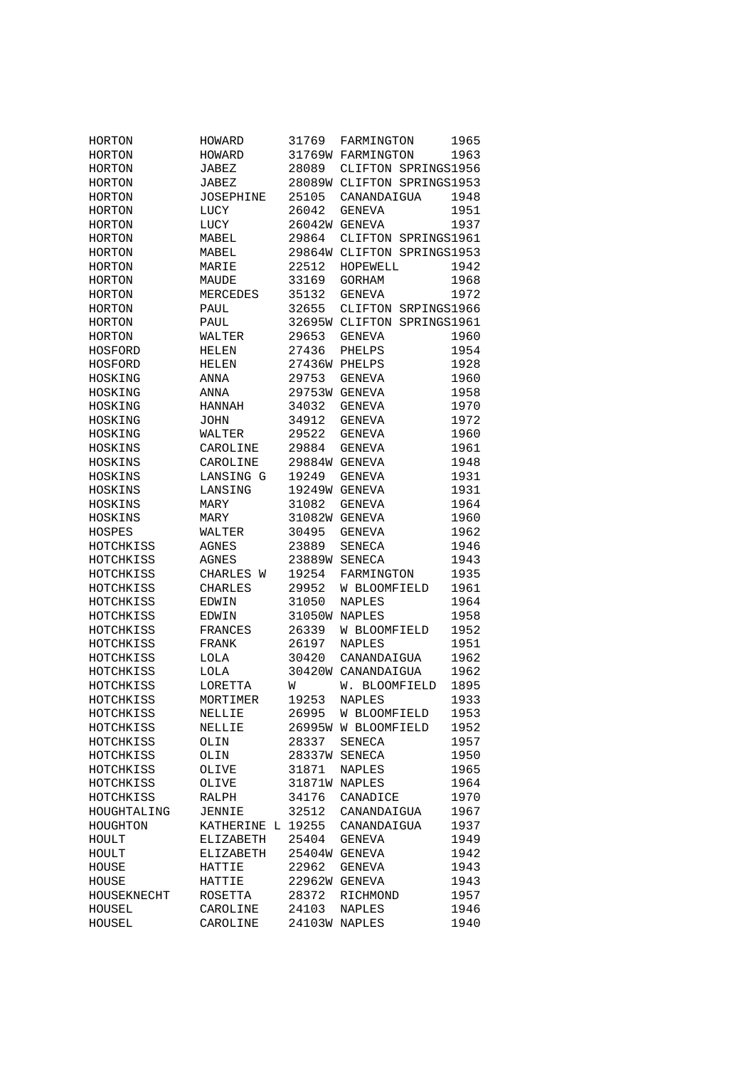| HORTON        | HOWARD            | 31769         | FARMINGTON              | 1965 |
|---------------|-------------------|---------------|-------------------------|------|
| <b>HORTON</b> | HOWARD            | 31769W        | FARMINGTON              | 1963 |
| HORTON        | JABEZ             | 28089         | CLIFTON SPRINGS1956     |      |
| HORTON        | JABEZ             | 28089W        | CLIFTON SPRINGS1953     |      |
| <b>HORTON</b> | JOSEPHINE         | 25105         | CANANDAIGUA             | 1948 |
| HORTON        | LUCY              | 26042         | GENEVA                  | 1951 |
| HORTON        | LUCY              | 26042W        | <b>GENEVA</b>           | 1937 |
| <b>HORTON</b> | MABEL             | 29864         | CLIFTON SPRINGS1961     |      |
| HORTON        | MABEL             | 29864W        | CLIFTON SPRINGS1953     |      |
| HORTON        | MARIE             | 22512         | HOPEWELL                | 1942 |
| <b>HORTON</b> | <b>MAUDE</b>      | 33169         | <b>GORHAM</b>           | 1968 |
| HORTON        | MERCEDES          | 35132         | <b>GENEVA</b>           | 1972 |
| <b>HORTON</b> | PAUL              | 32655         | CLIFTON SRPINGS1966     |      |
| <b>HORTON</b> | PAUL              | 32695W        | SPRINGS1961<br>CLIFTON  |      |
| HORTON        | WALTER            | 29653         | <b>GENEVA</b>           | 1960 |
| HOSFORD       | HELEN             | 27436         | PHELPS                  | 1954 |
| HOSFORD       | HELEN             | 27436W        | PHELPS                  | 1928 |
| HOSKING       | ANNA              | 29753         | GENEVA                  | 1960 |
| HOSKING       | ANNA              | 29753W        | <b>GENEVA</b>           | 1958 |
| HOSKING       | HANNAH            | 34032         | <b>GENEVA</b>           | 1970 |
| HOSKING       | JOHN              | 34912         | GENEVA                  | 1972 |
| HOSKING       | WALTER            | 29522         | GENEVA                  | 1960 |
| HOSKINS       | CAROLINE          | 29884         | <b>GENEVA</b>           | 1961 |
| HOSKINS       | CAROLINE          | 29884W        | GENEVA                  | 1948 |
| HOSKINS       | LANSING G         | 19249         | <b>GENEVA</b>           | 1931 |
| HOSKINS       | LANSING           | 19249W        | <b>GENEVA</b>           | 1931 |
| HOSKINS       | MARY              | 31082         | GENEVA                  | 1964 |
| HOSKINS       | MARY              | 31082W        | <b>GENEVA</b>           | 1960 |
| HOSPES        | WALTER            | 30495         | <b>GENEVA</b>           | 1962 |
| HOTCHKISS     | <b>AGNES</b>      | 23889         | <b>SENECA</b>           | 1946 |
| HOTCHKISS     | AGNES             | 23889W        | SENECA                  | 1943 |
| HOTCHKISS     | CHARLES W         | 19254         | FARMINGTON              | 1935 |
| HOTCHKISS     | <b>CHARLES</b>    | 29952         | W BLOOMFIELD            | 1961 |
| HOTCHKISS     | EDWIN             | 31050         | <b>NAPLES</b>           | 1964 |
| HOTCHKISS     | EDWIN             | 31050W        | NAPLES                  | 1958 |
| HOTCHKISS     | FRANCES           | 26339         | W BLOOMFIELD            | 1952 |
| HOTCHKISS     | <b>FRANK</b>      | 26197         | <b>NAPLES</b>           | 1951 |
| HOTCHKISS     | LOLA              | 30420         | CANANDAIGUA             | 1962 |
| HOTCHKISS     | LOLA              | 30420W        | CANANDAIGUA             | 1962 |
| HOTCHKISS     | LORETTA           | W             | W.<br><b>BLOOMFIELD</b> | 1895 |
| HOTCHKISS     | MORTIMER          | 19253         | NAPLES                  | 1933 |
| HOTCHKISS     | NELLIE            | 26995         | W BLOOMFIELD            | 1953 |
| HOTCHKISS     | NELLIE            | 26995W        | W BLOOMFIELD            | 1952 |
| HOTCHKISS     | OLIN              | 28337         | SENECA                  | 1957 |
| HOTCHKISS     | OLIN              | 28337W        | <b>SENECA</b>           | 1950 |
| HOTCHKISS     | OLIVE             | 31871         | NAPLES                  | 1965 |
| HOTCHKISS     | OLIVE             | 31871W        | <b>NAPLES</b>           | 1964 |
| HOTCHKISS     | <b>RALPH</b>      | 34176         | CANADICE                | 1970 |
| HOUGHTALING   | JENNIE            | 32512         | CANANDAIGUA             | 1967 |
| HOUGHTON      | KATHERINE L 19255 |               | CANANDAIGUA             | 1937 |
| HOULT         | <b>ELIZABETH</b>  | 25404         | GENEVA                  | 1949 |
| HOULT         | <b>ELIZABETH</b>  | 25404W        | GENEVA                  | 1942 |
| HOUSE         | HATTIE            | 22962         | GENEVA                  | 1943 |
| HOUSE         | <b>HATTIE</b>     | 22962W        | <b>GENEVA</b>           | 1943 |
| HOUSEKNECHT   | ROSETTA           | 28372         | RICHMOND                | 1957 |
| HOUSEL        | CAROLINE          | 24103         | NAPLES                  | 1946 |
| HOUSEL        | CAROLINE          | 24103W NAPLES |                         | 1940 |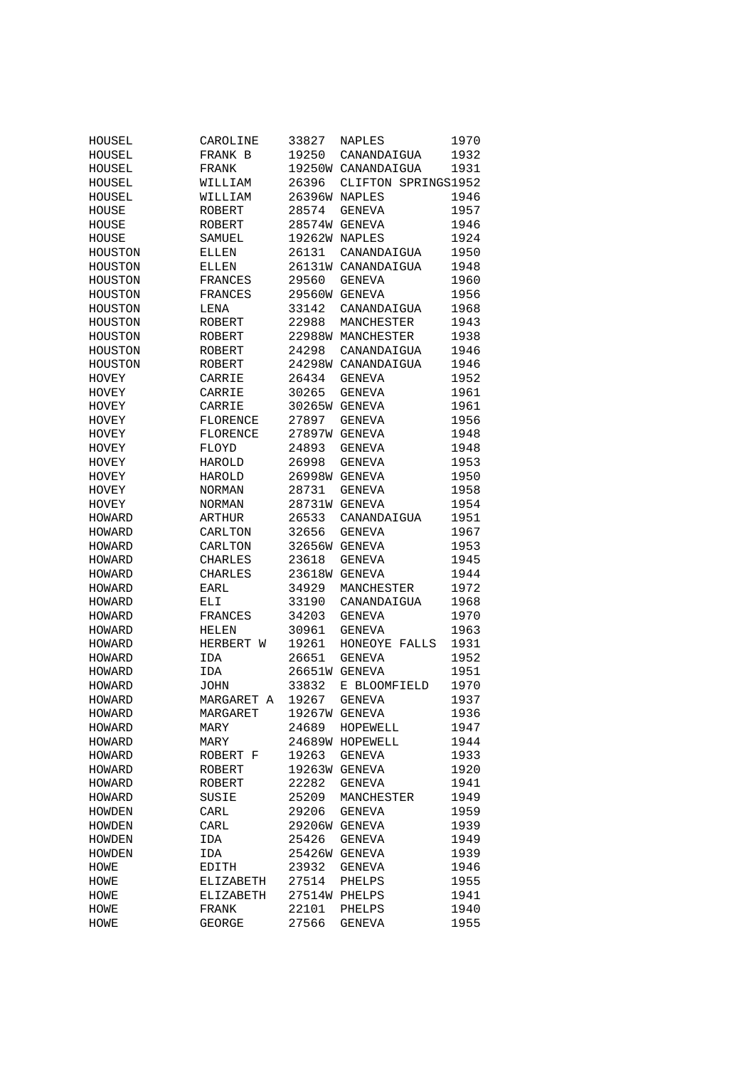| HOUSEL        | CAROLINE       | 33827         | NAPLES              | 1970 |
|---------------|----------------|---------------|---------------------|------|
| HOUSEL        | FRANK B        | 19250         | CANANDAIGUA         | 1932 |
| HOUSEL        | FRANK          |               | 19250W CANANDAIGUA  | 1931 |
| HOUSEL        | WILLIAM        | 26396         | CLIFTON SPRINGS1952 |      |
| HOUSEL        | WILLIAM        | 26396W        | <b>NAPLES</b>       | 1946 |
| HOUSE         | ROBERT         | 28574         | GENEVA              | 1957 |
| HOUSE         | ROBERT         | 28574W GENEVA |                     | 1946 |
| HOUSE         | SAMUEL         | 19262W NAPLES |                     | 1924 |
| HOUSTON       | ELLEN          | 26131         | CANANDAIGUA         | 1950 |
| HOUSTON       | ELLEN          |               | 26131W CANANDAIGUA  | 1948 |
| HOUSTON       | FRANCES        | 29560         | GENEVA              | 1960 |
| HOUSTON       | <b>FRANCES</b> | 29560W        | GENEVA              | 1956 |
| HOUSTON       | LENA           | 33142         | CANANDAIGUA         | 1968 |
| HOUSTON       | ROBERT         | 22988         | MANCHESTER          | 1943 |
| HOUSTON       | ROBERT         |               | 22988W MANCHESTER   | 1938 |
| HOUSTON       | ROBERT         | 24298         | CANANDAIGUA         | 1946 |
| HOUSTON       | ROBERT         |               | 24298W CANANDAIGUA  | 1946 |
| HOVEY         | CARRIE         | 26434         | <b>GENEVA</b>       | 1952 |
| HOVEY         | CARRIE         | 30265         | <b>GENEVA</b>       | 1961 |
| HOVEY         | CARRIE         |               | 30265W GENEVA       | 1961 |
| HOVEY         | FLORENCE       | 27897         | <b>GENEVA</b>       | 1956 |
| HOVEY         | FLORENCE       | 27897W        | <b>GENEVA</b>       | 1948 |
| HOVEY         | FLOYD          | 24893         | GENEVA              | 1948 |
| HOVEY         | HAROLD         | 26998         | GENEVA              | 1953 |
| HOVEY         | <b>HAROLD</b>  | 26998W        | GENEVA              | 1950 |
| HOVEY         | <b>NORMAN</b>  | 28731         | GENEVA              | 1958 |
| HOVEY         | NORMAN         | 28731W GENEVA |                     | 1954 |
| HOWARD        | ARTHUR         | 26533         | CANANDAIGUA         | 1951 |
| HOWARD        | CARLTON        | 32656         | GENEVA              | 1967 |
| HOWARD        | CARLTON        | 32656W        | <b>GENEVA</b>       | 1953 |
| HOWARD        | CHARLES        | 23618         | GENEVA              | 1945 |
| HOWARD        | CHARLES        | 23618W        | GENEVA              | 1944 |
| HOWARD        | EARL           | 34929         | MANCHESTER          | 1972 |
| HOWARD        | ELI            | 33190         | CANANDAIGUA         | 1968 |
| HOWARD        | FRANCES        | 34203         | GENEVA              | 1970 |
| HOWARD        | <b>HELEN</b>   | 30961         | <b>GENEVA</b>       | 1963 |
| HOWARD        | HERBERT W      | 19261         | HONEOYE FALLS       | 1931 |
| HOWARD        | <b>IDA</b>     | 26651         | <b>GENEVA</b>       | 1952 |
| <b>HOWARD</b> | IDA            | 26651W GENEVA |                     | 1951 |
| HOWARD        | JOHN           | 33832         | E BLOOMFIELD        | 1970 |
| HOWARD        | MARGARET A     | 19267         | GENEVA              | 1937 |
| HOWARD        | MARGARET       | 19267W GENEVA |                     | 1936 |
| HOWARD        | MARY           | 24689         | HOPEWELL            | 1947 |
| HOWARD        | MARY           |               | 24689W HOPEWELL     | 1944 |
| HOWARD        | ROBERT F       | 19263         | <b>GENEVA</b>       | 1933 |
| HOWARD        | ROBERT         | 19263W GENEVA |                     | 1920 |
| HOWARD        | ROBERT         | 22282         | GENEVA              | 1941 |
| HOWARD        | SUSIE          | 25209         | MANCHESTER          | 1949 |
| HOWDEN        | CARL           | 29206         | GENEVA              | 1959 |
| HOWDEN        | CARL           | 29206W GENEVA |                     | 1939 |
| HOWDEN        | IDA            | 25426         | GENEVA              | 1949 |
| HOWDEN        | IDA            |               | 25426W GENEVA       | 1939 |
| HOWE          | EDITH          | 23932         | GENEVA              | 1946 |
| HOWE          | ELIZABETH      | 27514         | PHELPS              | 1955 |
| HOWE          | ELIZABETH      | 27514W        | PHELPS              | 1941 |
| HOWE          | FRANK          | 22101         | PHELPS              | 1940 |
| HOWE          | GEORGE         | 27566         | GENEVA              | 1955 |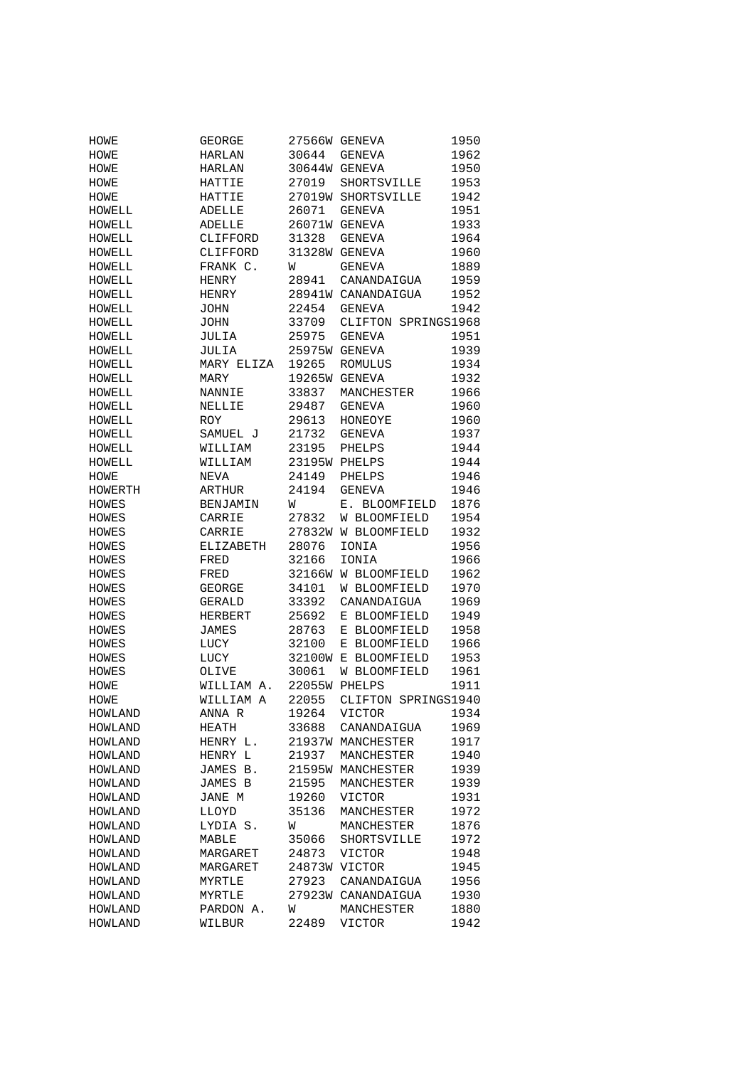| HOWE           | GEORGE        | 27566W GENEVA |                     | 1950 |
|----------------|---------------|---------------|---------------------|------|
| HOWE           | HARLAN        | 30644         | GENEVA              | 1962 |
| HOWE           | <b>HARLAN</b> | 30644W GENEVA |                     | 1950 |
| HOWE           | HATTIE        | 27019         | SHORTSVILLE         | 1953 |
| HOWE           | HATTIE        | 27019W        | SHORTSVILLE         | 1942 |
| HOWELL         | ADELLE        | 26071         | <b>GENEVA</b>       | 1951 |
| HOWELL         | ADELLE        | 26071W        | GENEVA              | 1933 |
| HOWELL         | CLIFFORD      | 31328         | <b>GENEVA</b>       | 1964 |
| HOWELL         | CLIFFORD      | 31328W GENEVA |                     | 1960 |
| HOWELL         | FRANK C.      | W             | GENEVA              | 1889 |
| HOWELL         | HENRY         | 28941         | CANANDAIGUA         | 1959 |
| HOWELL         | HENRY         | 28941W        | CANANDAIGUA         | 1952 |
| HOWELL         | JOHN          | 22454         | <b>GENEVA</b>       | 1942 |
| HOWELL         | JOHN          | 33709         | CLIFTON SPRINGS1968 |      |
| HOWELL         | <b>JULIA</b>  | 25975         | <b>GENEVA</b>       | 1951 |
| HOWELL         | JULIA         | 25975W GENEVA |                     | 1939 |
| HOWELL         | MARY ELIZA    | 19265         | ROMULUS             | 1934 |
| HOWELL         | MARY          | 19265W        | <b>GENEVA</b>       | 1932 |
| HOWELL         | NANNIE        | 33837         | MANCHESTER          | 1966 |
| HOWELL         | NELLIE        | 29487         | <b>GENEVA</b>       | 1960 |
| HOWELL         | ROY           | 29613         | HONEOYE             | 1960 |
| HOWELL         | SAMUEL J      | 21732         | <b>GENEVA</b>       | 1937 |
| HOWELL         | WILLIAM       | 23195         | PHELPS              | 1944 |
| HOWELL         | WILLIAM       | 23195W        | PHELPS              | 1944 |
| HOWE           | NEVA          | 24149         | PHELPS              | 1946 |
| HOWERTH        | <b>ARTHUR</b> | 24194         | <b>GENEVA</b>       | 1946 |
| HOWES          | BENJAMIN      | W             | E. BLOOMFIELD       | 1876 |
| HOWES          | CARRIE        | 27832         | W BLOOMFIELD        | 1954 |
| HOWES          | CARRIE        | 27832W        | W BLOOMFIELD        | 1932 |
| HOWES          | ELIZABETH     | 28076         | IONIA               | 1956 |
| HOWES          | FRED          | 32166         | IONIA               | 1966 |
| HOWES          | FRED          | 32166W        | W BLOOMFIELD        | 1962 |
| HOWES          | GEORGE        | 34101         | W BLOOMFIELD        | 1970 |
| HOWES          | GERALD        | 33392         | CANANDAIGUA         | 1969 |
| HOWES          | HERBERT       | 25692         | E BLOOMFIELD        | 1949 |
| HOWES          | JAMES         | 28763         | E BLOOMFIELD        | 1958 |
| HOWES          | LUCY          | 32100         | Е<br>BLOOMFIELD     | 1966 |
| HOWES          | LUCY          | 32100W        | E BLOOMFIELD        | 1953 |
| HOWES          | OLIVE         | 30061         | W BLOOMFIELD        | 1961 |
| HOWE           | WILLIAM A.    | 22055W        | PHELPS              | 1911 |
| HOWE           | WILLIAM A     | 22055         | CLIFTON SPRINGS1940 |      |
| HOWLAND        | ANNA R        | 19264         | <b>VICTOR</b>       | 1934 |
| HOWLAND        | HEATH         | 33688         | CANANDAIGUA         | 1969 |
| HOWLAND        | HENRY L.      |               | 21937W MANCHESTER   | 1917 |
| HOWLAND        | HENRY L       | 21937         | MANCHESTER          | 1940 |
| HOWLAND        | JAMES B.      |               | 21595W MANCHESTER   | 1939 |
| HOWLAND        | JAMES B       | 21595         | MANCHESTER          | 1939 |
| HOWLAND        | JANE M        | 19260         | VICTOR              | 1931 |
| HOWLAND        | LLOYD         | 35136         | MANCHESTER          | 1972 |
| HOWLAND        | LYDIA S.      | W             | MANCHESTER          | 1876 |
| HOWLAND        | MABLE         | 35066         | SHORTSVILLE         | 1972 |
| HOWLAND        | MARGARET      | 24873         | <b>VICTOR</b>       | 1948 |
| HOWLAND        | MARGARET      | 24873W VICTOR |                     | 1945 |
| HOWLAND        | MYRTLE        | 27923         | CANANDAIGUA         | 1956 |
| HOWLAND        | MYRTLE        |               | 27923W CANANDAIGUA  | 1930 |
| HOWLAND        | PARDON A.     | W             | MANCHESTER          | 1880 |
| <b>HOWLAND</b> | WILBUR        | 22489         | <b>VICTOR</b>       | 1942 |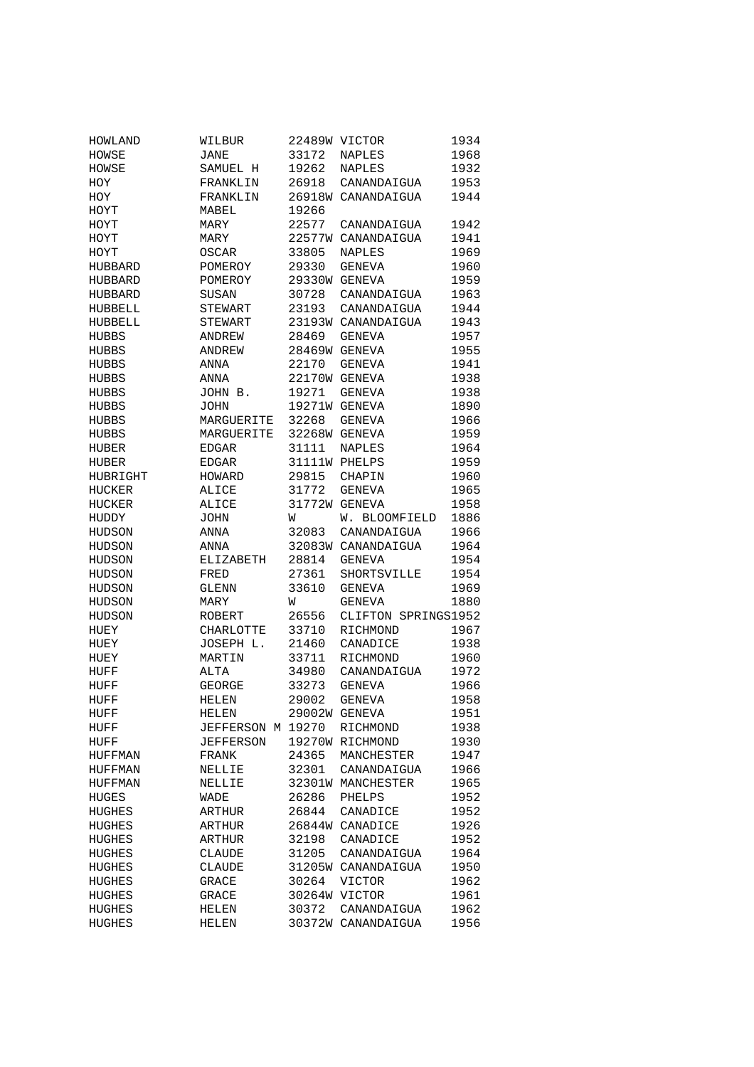| HOWLAND        | WILBUR            | 22489W VICTOR |                     | 1934 |
|----------------|-------------------|---------------|---------------------|------|
| HOWSE          | JANE              | 33172         | NAPLES              | 1968 |
| HOWSE          | SAMUEL H          | 19262         | NAPLES              | 1932 |
| HOY            | FRANKLIN          | 26918         | CANANDAIGUA         | 1953 |
| HOY            | FRANKLIN          |               | 26918W CANANDAIGUA  | 1944 |
| HOYT           | MABEL             | 19266         |                     |      |
| HOYT           | MARY              | 22577         | CANANDAIGUA         | 1942 |
| HOYT           | MARY              |               | 22577W CANANDAIGUA  | 1941 |
| HOYT           | OSCAR             | 33805         | NAPLES              | 1969 |
| HUBBARD        | POMEROY           | 29330         | <b>GENEVA</b>       | 1960 |
| HUBBARD        | POMEROY           |               | 29330W GENEVA       | 1959 |
| HUBBARD        | SUSAN             | 30728         | CANANDAIGUA         | 1963 |
| HUBBELL        | STEWART           | 23193         | CANANDAIGUA         | 1944 |
| <b>HUBBELL</b> | STEWART           |               | 23193W CANANDAIGUA  | 1943 |
| HUBBS          | ANDREW            | 28469         | GENEVA              | 1957 |
| HUBBS          | ANDREW            | 28469W        | <b>GENEVA</b>       | 1955 |
| HUBBS          | ANNA              | 22170         | GENEVA              | 1941 |
| HUBBS          | ANNA              | 22170W GENEVA |                     | 1938 |
| HUBBS          | JOHN B.           | 19271         | <b>GENEVA</b>       | 1938 |
| HUBBS          | JOHN              | 19271W GENEVA |                     | 1890 |
| <b>HUBBS</b>   | MARGUERITE        | 32268         | <b>GENEVA</b>       | 1966 |
| HUBBS          | MARGUERITE        | 32268W GENEVA |                     | 1959 |
| HUBER          | EDGAR             | 31111         | NAPLES              | 1964 |
| HUBER          | EDGAR             | 31111W PHELPS |                     | 1959 |
| HUBRIGHT       | HOWARD            | 29815         | CHAPIN              | 1960 |
| HUCKER         | ALICE             | 31772         | GENEVA              | 1965 |
| <b>HUCKER</b>  | <b>ALICE</b>      | 31772W GENEVA |                     | 1958 |
| HUDDY          | JOHN              | W             | W. BLOOMFIELD       | 1886 |
| HUDSON         | ANNA              | 32083         | CANANDAIGUA         | 1966 |
| HUDSON         | ANNA              | 32083W        | CANANDAIGUA         | 1964 |
| HUDSON         | ELIZABETH         | 28814         | GENEVA              | 1954 |
| HUDSON         | FRED              | 27361         | SHORTSVILLE         | 1954 |
| HUDSON         | <b>GLENN</b>      | 33610         | <b>GENEVA</b>       | 1969 |
| HUDSON         | MARY              | W             | GENEVA              | 1880 |
| HUDSON         | ROBERT            | 26556         | CLIFTON SPRINGS1952 |      |
| HUEY           | <b>CHARLOTTE</b>  | 33710         | RICHMOND            | 1967 |
| HUEY           | JOSEPH L.         | 21460         | CANADICE            | 1938 |
| HUEY           | MARTIN            | 33711         | RICHMOND            | 1960 |
| HUFF           | ALTA              | 34980         | CANANDAIGUA         | 1972 |
| <b>HUFF</b>    | GEORGE            | 33273         | <b>GENEVA</b>       | 1966 |
| HUFF           | HELEN.            | 29002         | GENEVA              | 1958 |
| HUFF           | HELEN             |               | 29002W GENEVA       | 1951 |
| HUFF           | JEFFERSON M 19270 |               | RICHMOND            | 1938 |
| HUFF           | JEFFERSON         |               | 19270W RICHMOND     | 1930 |
| HUFFMAN        | FRANK             | 24365         | MANCHESTER          | 1947 |
| HUFFMAN        | NELLIE            | 32301         | CANANDAIGUA         | 1966 |
| <b>HUFFMAN</b> | NELLIE            |               | 32301W MANCHESTER   | 1965 |
| HUGES          | WADE              | 26286         | PHELPS              | 1952 |
| HUGHES         | ARTHUR            | 26844         | CANADICE            | 1952 |
| HUGHES         | ARTHUR            |               | 26844W CANADICE     | 1926 |
| HUGHES         | ARTHUR            | 32198         | CANADICE            | 1952 |
| <b>HUGHES</b>  | <b>CLAUDE</b>     | 31205         | CANANDAIGUA         | 1964 |
| HUGHES         | CLAUDE            |               | 31205W CANANDAIGUA  | 1950 |
| HUGHES         | GRACE             | 30264         | VICTOR              | 1962 |
| HUGHES         | GRACE             | 30264W VICTOR |                     | 1961 |
| HUGHES         | HELEN             | 30372         | CANANDAIGUA         | 1962 |
| HUGHES         | HELEN             |               | 30372W CANANDAIGUA  | 1956 |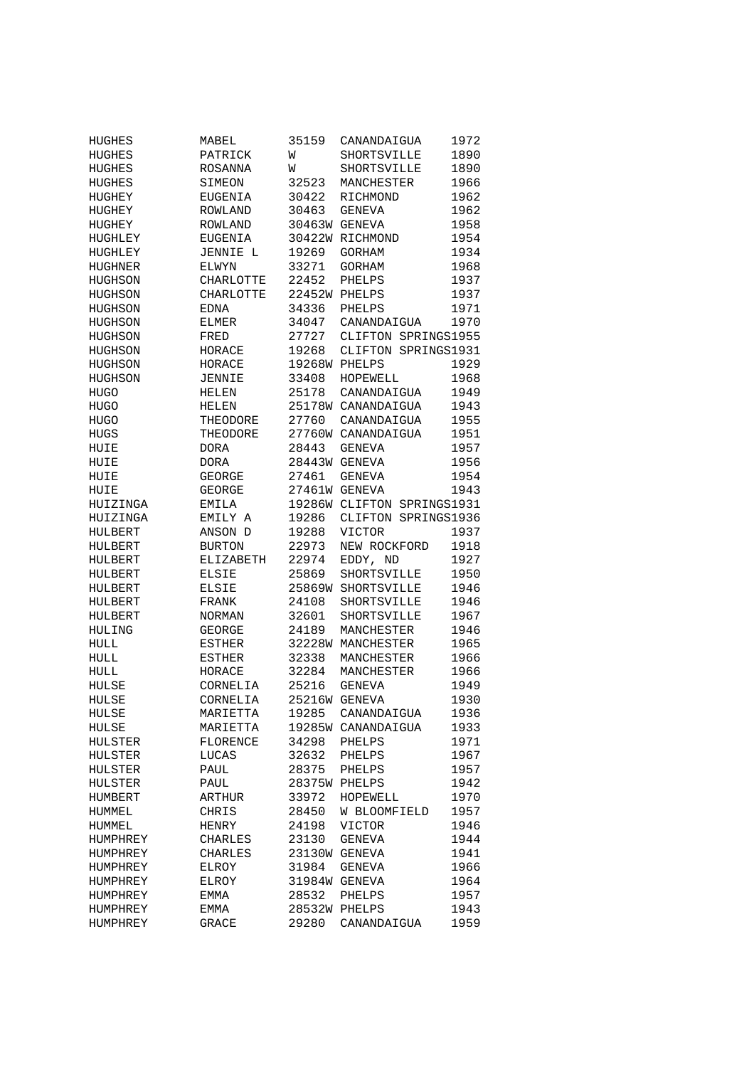| HUGHES         | MABEL           | 35159         | CANANDAIGUA                | 1972 |
|----------------|-----------------|---------------|----------------------------|------|
| HUGHES         | PATRICK         | W             | SHORTSVILLE                | 1890 |
| HUGHES         | ROSANNA         | W             | SHORTSVILLE                | 1890 |
| HUGHES         | SIMEON          | 32523         | MANCHESTER                 | 1966 |
| HUGHEY         | EUGENIA         | 30422         | RICHMOND                   | 1962 |
| HUGHEY         | ROWLAND         | 30463         | <b>GENEVA</b>              | 1962 |
| HUGHEY         | <b>ROWLAND</b>  | 30463W GENEVA |                            | 1958 |
| HUGHLEY        | EUGENIA         |               | 30422W RICHMOND            | 1954 |
| HUGHLEY        | JENNIE L        | 19269         | <b>GORHAM</b>              | 1934 |
| HUGHNER        | ELWYN           | 33271         | GORHAM                     | 1968 |
| HUGHSON        | CHARLOTTE       | 22452         | PHELPS                     | 1937 |
| <b>HUGHSON</b> | CHARLOTTE       | 22452W PHELPS |                            | 1937 |
| HUGHSON        | <b>EDNA</b>     | 34336         | PHELPS                     | 1971 |
| <b>HUGHSON</b> | ELMER           | 34047         | CANANDAIGUA                | 1970 |
| <b>HUGHSON</b> | FRED            | 27727         | CLIFTON SPRINGS1955        |      |
| HUGHSON        | HORACE          | 19268         | CLIFTON SPRINGS1931        |      |
| HUGHSON        | HORACE          | 19268W PHELPS |                            | 1929 |
| HUGHSON        | JENNIE          | 33408         | HOPEWELL                   | 1968 |
| <b>HUGO</b>    | HELEN           | 25178         | CANANDAIGUA                | 1949 |
| <b>HUGO</b>    | HELEN           |               | 25178W CANANDAIGUA         | 1943 |
| <b>HUGO</b>    | THEODORE        | 27760         | CANANDAIGUA                | 1955 |
| HUGS           | THEODORE        |               | 27760W CANANDAIGUA         | 1951 |
| HUIE           | <b>DORA</b>     | 28443         | GENEVA                     | 1957 |
| HUIE           | DORA            | 28443W        | GENEVA                     | 1956 |
| HUIE           | GEORGE          | 27461         | GENEVA                     | 1954 |
| HUIE           | GEORGE          | 27461W GENEVA |                            | 1943 |
| HUIZINGA       | EMILA           |               | 19286W CLIFTON SPRINGS1931 |      |
| HUIZINGA       | EMILY A         | 19286         | CLIFTON SPRINGS1936        |      |
| HULBERT        | ANSON D         | 19288         | <b>VICTOR</b>              | 1937 |
| HULBERT        | <b>BURTON</b>   | 22973         | NEW ROCKFORD               | 1918 |
| HULBERT        | ELIZABETH       | 22974         | EDDY, ND                   | 1927 |
| <b>HULBERT</b> | <b>ELSIE</b>    | 25869         | SHORTSVILLE                | 1950 |
| HULBERT        | <b>ELSIE</b>    | 25869W        | SHORTSVILLE                | 1946 |
| HULBERT        | FRANK           | 24108         | SHORTSVILLE                | 1946 |
| HULBERT        | NORMAN          | 32601         | SHORTSVILLE                | 1967 |
| HULING         | GEORGE          | 24189         | MANCHESTER                 | 1946 |
| HULL           | ESTHER          |               | 32228W MANCHESTER          | 1965 |
| HULL           | ESTHER          | 32338         | MANCHESTER                 | 1966 |
| HULL           | HORACE          | 32284         | MANCHESTER                 | 1966 |
| HULSE          | CORNELIA        | 25216         | <b>GENEVA</b>              | 1949 |
| HULSE          | CORNELIA        | 25216W GENEVA |                            | 1930 |
| HULSE          | MARIETTA        | 19285         | CANANDAIGUA                | 1936 |
| HULSE          | MARIETTA        | 19285W        | CANANDAIGUA                | 1933 |
| HULSTER        | <b>FLORENCE</b> | 34298         | PHELPS                     | 1971 |
| HULSTER        | LUCAS           | 32632         | PHELPS                     | 1967 |
| HULSTER        | PAUL            | 28375         | PHELPS                     | 1957 |
| HULSTER        | PAUL            | 28375W        | PHELPS                     | 1942 |
| HUMBERT        | <b>ARTHUR</b>   | 33972         | HOPEWELL                   | 1970 |
| HUMMEL         | CHRIS           | 28450         | W BLOOMFIELD               | 1957 |
| HUMMEL         | HENRY           | 24198         | <b>VICTOR</b>              | 1946 |
| HUMPHREY       | CHARLES         | 23130         | GENEVA                     | 1944 |
| HUMPHREY       | CHARLES         | 23130W        | GENEVA                     | 1941 |
| HUMPHREY       | ELROY           | 31984         | GENEVA                     | 1966 |
| HUMPHREY       | ELROY           | 31984W        | <b>GENEVA</b>              | 1964 |
| HUMPHREY       | EMMA            | 28532         | PHELPS                     | 1957 |
| HUMPHREY       | EMMA            | 28532W        | PHELPS                     | 1943 |
| HUMPHREY       | <b>GRACE</b>    | 29280         | CANANDAIGUA                | 1959 |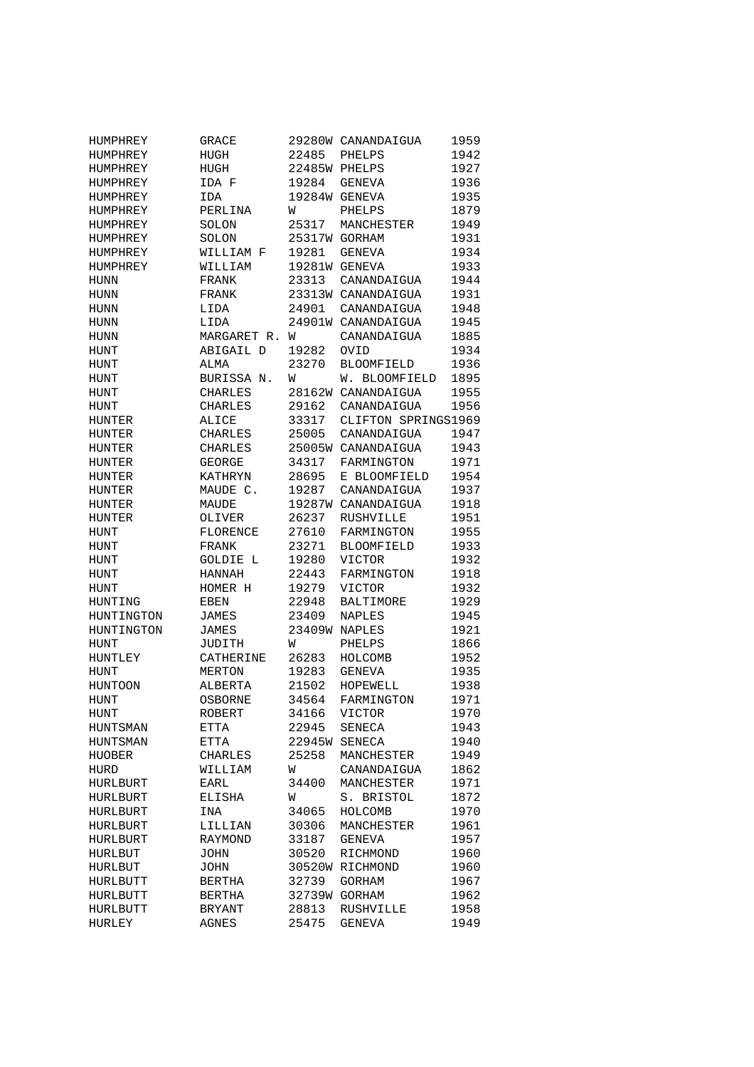| HUMPHREY        | GRACE          |               | 29280W CANANDAIGUA      | 1959 |
|-----------------|----------------|---------------|-------------------------|------|
| HUMPHREY        | HUGH           | 22485         | PHELPS                  | 1942 |
| HUMPHREY        | HUGH           | 22485W PHELPS |                         | 1927 |
| HUMPHREY        | IDA F          | 19284         | GENEVA                  | 1936 |
| HUMPHREY        | IDA            | 19284W GENEVA |                         | 1935 |
| HUMPHREY        | PERLINA        | W             | PHELPS                  | 1879 |
| HUMPHREY        | SOLON          | 25317         | MANCHESTER              | 1949 |
| HUMPHREY        | SOLON          | 25317W GORHAM |                         | 1931 |
|                 |                | 19281         |                         | 1934 |
| HUMPHREY        | WILLIAM F      | 19281W GENEVA | <b>GENEVA</b>           | 1933 |
| HUMPHREY        | WILLIAM        |               |                         |      |
| <b>HUNN</b>     | FRANK          | 23313         | CANANDAIGUA             | 1944 |
| HUNN            | FRANK          | 23313W        | CANANDAIGUA             | 1931 |
| HUNN            | LIDA           | 24901         | CANANDAIGUA             | 1948 |
| HUNN            | LIDA           | 24901W        | CANANDAIGUA             | 1945 |
| <b>HUNN</b>     | MARGARET R.    | W             | CANANDAIGUA             | 1885 |
| <b>HUNT</b>     | ABIGAIL D      | 19282         | OVID                    | 1934 |
| HUNT            | ALMA           | 23270         | <b>BLOOMFIELD</b>       | 1936 |
| <b>HUNT</b>     | BURISSA N.     | W             | W.<br><b>BLOOMFIELD</b> | 1895 |
| HUNT            | <b>CHARLES</b> | 28162W        | CANANDAIGUA             | 1955 |
| HUNT            | <b>CHARLES</b> | 29162         | CANANDAIGUA             | 1956 |
| <b>HUNTER</b>   | ALICE          | 33317         | CLIFTON SPRINGS1969     |      |
| HUNTER          | <b>CHARLES</b> | 25005         | CANANDAIGUA             | 1947 |
| HUNTER          | CHARLES        | 25005W        | CANANDAIGUA             | 1943 |
| HUNTER          | <b>GEORGE</b>  | 34317         | FARMINGTON              | 1971 |
| <b>HUNTER</b>   | KATHRYN        | 28695         | E BLOOMFIELD            | 1954 |
| HUNTER          | MAUDE C.       | 19287         | CANANDAIGUA             | 1937 |
| HUNTER          | MAUDE          | 19287W        | CANANDAIGUA             | 1918 |
| <b>HUNTER</b>   | OLIVER         | 26237         | RUSHVILLE               | 1951 |
| HUNT            | FLORENCE       | 27610         | FARMINGTON              | 1955 |
| <b>HUNT</b>     | FRANK          | 23271         | <b>BLOOMFIELD</b>       | 1933 |
| <b>HUNT</b>     | GOLDIE L       | 19280         | VICTOR                  | 1932 |
| HUNT            | <b>HANNAH</b>  | 22443         | FARMINGTON              | 1918 |
| <b>HUNT</b>     | HOMER H        | 19279         | VICTOR                  | 1932 |
| HUNTING         | <b>EBEN</b>    | 22948         | <b>BALTIMORE</b>        | 1929 |
| HUNTINGTON      | JAMES          | 23409         | NAPLES                  | 1945 |
| HUNTINGTON      | JAMES          | 23409W        | NAPLES                  | 1921 |
| <b>HUNT</b>     | JUDITH         | W             | PHELPS                  | 1866 |
| HUNTLEY         | CATHERINE      | 26283         | HOLCOMB                 | 1952 |
| <b>HUNT</b>     | MERTON         | 19283         | GENEVA                  | 1935 |
| <b>HUNTOON</b>  | ALBERTA        | 21502         | HOPEWELL                | 1938 |
| HUNT            | OSBORNE        | 34564         | FARMINGTON              | 1971 |
| <b>HUNT</b>     | ROBERT         | 34166         | <b>VICTOR</b>           | 1970 |
| <b>HUNTSMAN</b> | <b>ETTA</b>    | 22945         | SENECA                  | 1943 |
| HUNTSMAN        | ETTA           | 22945W        | SENECA                  | 1940 |
| <b>HUOBER</b>   | <b>CHARLES</b> | 25258         | MANCHESTER              | 1949 |
| HURD            | WILLIAM        | W             | CANANDAIGUA             | 1862 |
| HURLBURT        | EARL           | 34400         | MANCHESTER              | 1971 |
| HURLBURT        | ELISHA         | W             | S. BRISTOL              | 1872 |
| <b>HURLBURT</b> | INA            | 34065         | HOLCOMB                 | 1970 |
| <b>HURLBURT</b> | LILLIAN        | 30306         | MANCHESTER              | 1961 |
|                 |                |               |                         | 1957 |
| HURLBURT        | <b>RAYMOND</b> | 33187         | GENEVA                  |      |
| <b>HURLBUT</b>  | JOHN           | 30520         | RICHMOND                | 1960 |
| HURLBUT         | JOHN           | 30520W        | RICHMOND                | 1960 |
| HURLBUTT        | BERTHA         | 32739         | GORHAM                  | 1967 |
| HURLBUTT        | BERTHA         | 32739W        | GORHAM                  | 1962 |
| HURLBUTT        | BRYANT         | 28813         | RUSHVILLE               | 1958 |
| <b>HURLEY</b>   | AGNES          | 25475         | <b>GENEVA</b>           | 1949 |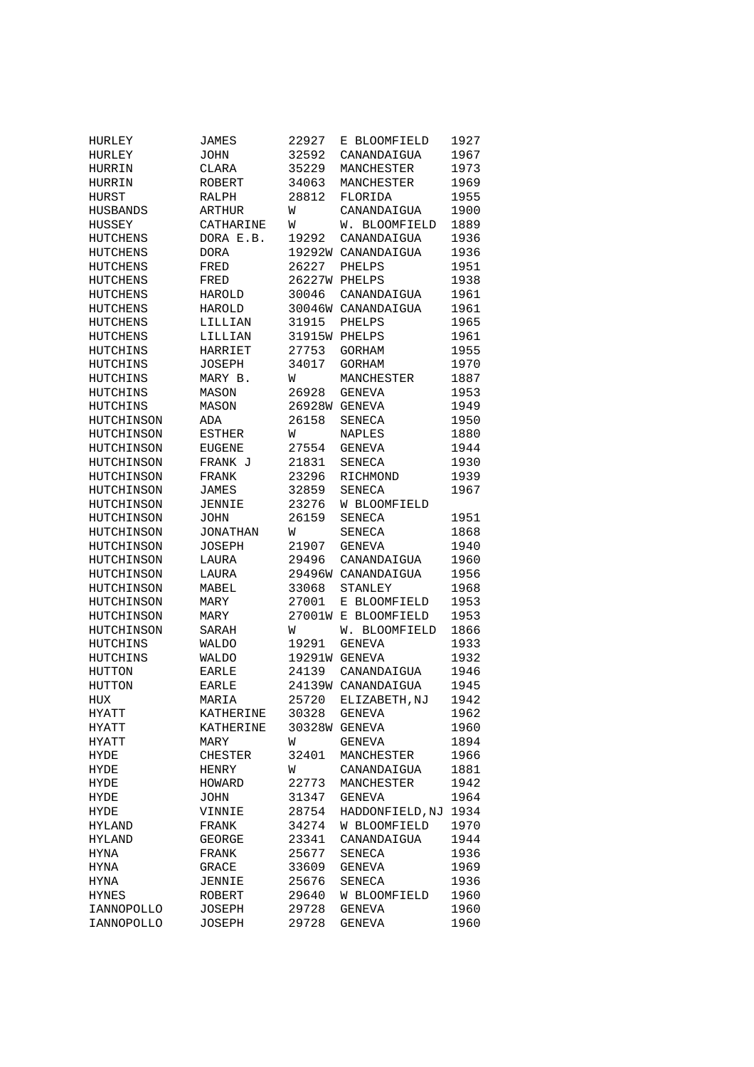| HURLEY          | JAMES           | 22927  | E BLOOMFIELD            | 1927 |
|-----------------|-----------------|--------|-------------------------|------|
| HURLEY          | JOHN            | 32592  | CANANDAIGUA             | 1967 |
| <b>HURRIN</b>   | CLARA           | 35229  | MANCHESTER              | 1973 |
| HURRIN          | <b>ROBERT</b>   | 34063  | MANCHESTER              | 1969 |
| <b>HURST</b>    | <b>RALPH</b>    | 28812  | FLORIDA                 | 1955 |
| <b>HUSBANDS</b> | ARTHUR          | M      | CANANDAIGUA             | 1900 |
| HUSSEY          | CATHARINE       | M      | W.<br><b>BLOOMFIELD</b> | 1889 |
| <b>HUTCHENS</b> | DORA E.B.       | 19292  | CANANDAIGUA             | 1936 |
| HUTCHENS        | <b>DORA</b>     | 19292W | CANANDAIGUA             | 1936 |
| <b>HUTCHENS</b> | FRED            | 26227  | PHELPS                  | 1951 |
| HUTCHENS        | FRED            | 26227W | PHELPS                  | 1938 |
| <b>HUTCHENS</b> | HAROLD          | 30046  | CANANDAIGUA             | 1961 |
| <b>HUTCHENS</b> | <b>HAROLD</b>   | 30046W | CANANDAIGUA             | 1961 |
| <b>HUTCHENS</b> | LILLIAN         | 31915  | PHELPS                  | 1965 |
| <b>HUTCHENS</b> | LILLIAN         | 31915W | PHELPS                  | 1961 |
| HUTCHINS        | HARRIET         | 27753  | GORHAM                  | 1955 |
| HUTCHINS        | <b>JOSEPH</b>   | 34017  | GORHAM                  | 1970 |
| HUTCHINS        | MARY B.         | M      | MANCHESTER              | 1887 |
| HUTCHINS        | MASON           | 26928  | <b>GENEVA</b>           | 1953 |
| <b>HUTCHINS</b> | MASON           | 26928W | <b>GENEVA</b>           | 1949 |
| HUTCHINSON      | ADA             | 26158  | SENECA                  | 1950 |
| HUTCHINSON      | ESTHER          | W      | NAPLES                  | 1880 |
| HUTCHINSON      | <b>EUGENE</b>   | 27554  | <b>GENEVA</b>           | 1944 |
| HUTCHINSON      | FRANK J         | 21831  | SENECA                  | 1930 |
| HUTCHINSON      | <b>FRANK</b>    | 23296  | RICHMOND                | 1939 |
| HUTCHINSON      | <b>JAMES</b>    | 32859  | SENECA                  | 1967 |
| HUTCHINSON      | JENNIE          | 23276  | W BLOOMFIELD            |      |
| HUTCHINSON      | JOHN            | 26159  | SENECA                  | 1951 |
| HUTCHINSON      | <b>JONATHAN</b> | M      | SENECA                  | 1868 |
| HUTCHINSON      | JOSEPH          | 21907  | <b>GENEVA</b>           | 1940 |
| HUTCHINSON      | LAURA           | 29496  | CANANDAIGUA             | 1960 |
| HUTCHINSON      | LAURA           | 29496W | CANANDAIGUA             | 1956 |
| HUTCHINSON      | MABEL           | 33068  | STANLEY                 | 1968 |
| HUTCHINSON      | MARY            | 27001  | Е<br><b>BLOOMFIELD</b>  | 1953 |
| HUTCHINSON      | MARY            | 27001W | E BLOOMFIELD            | 1953 |
| HUTCHINSON      | SARAH           | M      | <b>BLOOMFIELD</b><br>W. | 1866 |
| HUTCHINS        | WALDO           | 19291  | GENEVA                  | 1933 |
| HUTCHINS        | WALDO           | 19291W | <b>GENEVA</b>           | 1932 |
| HUTTON          | EARLE           | 24139  | CANANDAIGUA             | 1946 |
| HUTTON          | EARLE           | 24139W | CANANDAIGUA             | 1945 |
| HUX             | MARIA           | 25720  | ELIZABETH, NJ           | 1942 |
| HYATT           | KATHERINE       | 30328  | GENEVA                  | 1962 |
| HYATT           | KATHERINE       | 30328W | GENEVA                  | 1960 |
| HYATT           | MARY            | M      | GENEVA                  | 1894 |
| HYDE            | CHESTER         | 32401  | MANCHESTER              | 1966 |
| HYDE            | HENRY           | W      | CANANDAIGUA             | 1881 |
| HYDE            | HOWARD          | 22773  | MANCHESTER              | 1942 |
| HYDE            | <b>JOHN</b>     | 31347  | <b>GENEVA</b>           | 1964 |
| <b>HYDE</b>     | VINNIE          | 28754  | HADDONFIELD, NJ         | 1934 |
| <b>HYLAND</b>   | FRANK           | 34274  | W BLOOMFIELD            | 1970 |
| HYLAND          | <b>GEORGE</b>   | 23341  | CANANDAIGUA             | 1944 |
| HYNA            | FRANK           | 25677  | SENECA                  | 1936 |
| HYNA            | GRACE           | 33609  | GENEVA                  | 1969 |
| <b>HYNA</b>     | JENNIE          | 25676  | SENECA                  | 1936 |
| <b>HYNES</b>    | ROBERT          | 29640  | W BLOOMFIELD            | 1960 |
| IANNOPOLLO      | JOSEPH          | 29728  | GENEVA                  | 1960 |
| IANNOPOLLO      | <b>JOSEPH</b>   | 29728  | <b>GENEVA</b>           | 1960 |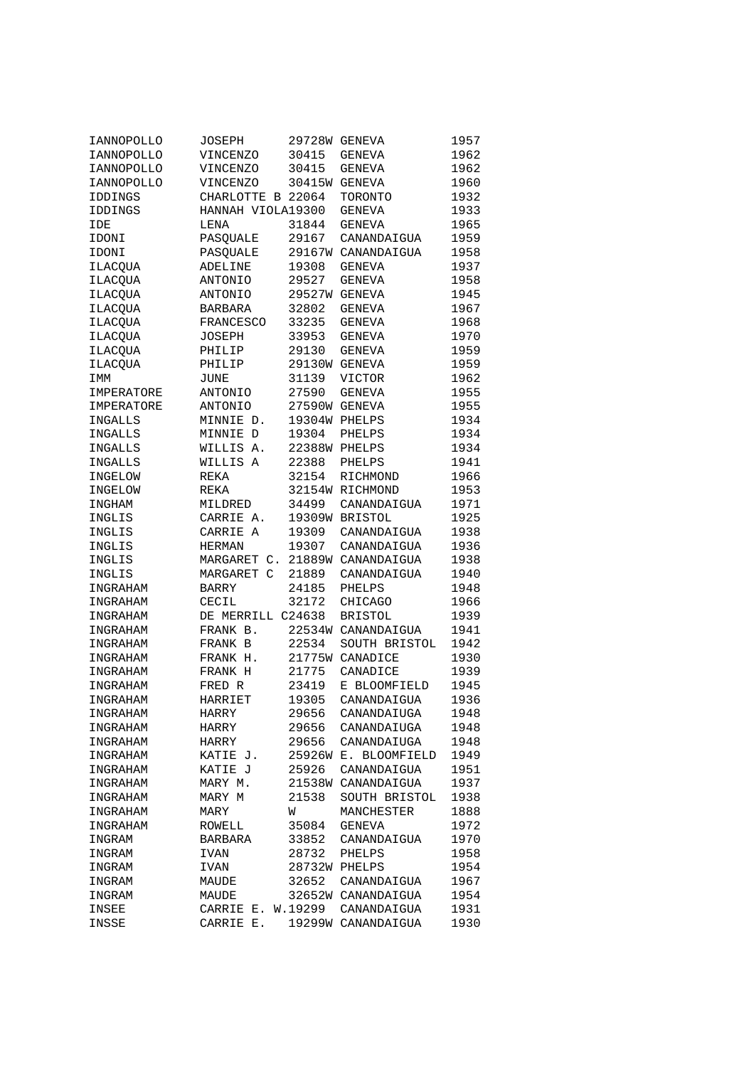| IANNOPOLLO     | JOSEPH                   | 29728W | <b>GENEVA</b>      | 1957 |
|----------------|--------------------------|--------|--------------------|------|
| IANNOPOLLO     | <b>VINCENZO</b>          | 30415  | <b>GENEVA</b>      | 1962 |
| IANNOPOLLO     | VINCENZO                 | 30415  | <b>GENEVA</b>      | 1962 |
| IANNOPOLLO     | VINCENZO                 | 30415W | <b>GENEVA</b>      | 1960 |
| IDDINGS        | CHARLOTTE B 22064        |        | TORONTO            | 1932 |
| IDDINGS        | HANNAH VIOLA19300        |        | <b>GENEVA</b>      | 1933 |
| <b>IDE</b>     | LENA                     | 31844  | <b>GENEVA</b>      | 1965 |
| IDONI          | PASQUALE                 | 29167  | CANANDAIGUA        | 1959 |
| IDONI          | PASQUALE                 | 29167W | CANANDAIGUA        | 1958 |
| ILACQUA        | ADELINE                  | 19308  | <b>GENEVA</b>      | 1937 |
| <b>ILACOUA</b> | <b>ANTONIO</b>           | 29527  | <b>GENEVA</b>      | 1958 |
| ILACQUA        | <b>ANTONIO</b>           | 29527W | GENEVA             | 1945 |
| ILACQUA        | <b>BARBARA</b>           | 32802  | <b>GENEVA</b>      | 1967 |
| ILACQUA        | <b>FRANCESCO</b>         | 33235  | <b>GENEVA</b>      | 1968 |
| ILACQUA        | <b>JOSEPH</b>            | 33953  | <b>GENEVA</b>      | 1970 |
| ILACQUA        | PHILIP                   | 29130  | <b>GENEVA</b>      | 1959 |
| ILACQUA        | PHILIP                   | 29130W | <b>GENEVA</b>      | 1959 |
| IMM            | JUNE                     | 31139  | VICTOR             | 1962 |
| IMPERATORE     | <b>ANTONIO</b>           | 27590  | <b>GENEVA</b>      | 1955 |
| IMPERATORE     | <b>ANTONIO</b>           | 27590W | <b>GENEVA</b>      | 1955 |
| INGALLS        | MINNIE D.                | 19304W | PHELPS             | 1934 |
| INGALLS        | MINNIE D                 | 19304  | PHELPS             | 1934 |
| INGALLS        | WILLIS A.                | 22388W | PHELPS             | 1934 |
| INGALLS        | WILLIS<br>Α              | 22388  | PHELPS             | 1941 |
| INGELOW        | <b>REKA</b>              | 32154  | RICHMOND           | 1966 |
| INGELOW        | REKA                     | 32154W | RICHMOND           | 1953 |
| INGHAM         | MILDRED                  | 34499  | CANANDAIGUA        | 1971 |
| INGLIS         | CARRIE A.                | 19309W | <b>BRISTOL</b>     | 1925 |
| INGLIS         | CARRIE A                 | 19309  | CANANDAIGUA        | 1938 |
| INGLIS         | <b>HERMAN</b>            | 19307  | CANANDAIGUA        | 1936 |
| INGLIS         | MARGARET C.              | 21889W | CANANDAIGUA        | 1938 |
| INGLIS         | MARGARET<br>$\mathsf{C}$ | 21889  | CANANDAIGUA        | 1940 |
| INGRAHAM       | <b>BARRY</b>             | 24185  | PHELPS             | 1948 |
| INGRAHAM       | CECIL                    | 32172  | <b>CHICAGO</b>     | 1966 |
| INGRAHAM       | DE MERRILL C24638        |        | <b>BRISTOL</b>     | 1939 |
| INGRAHAM       | FRANK B.                 | 22534W | CANANDAIGUA        | 1941 |
| INGRAHAM       | FRANK B                  | 22534  | SOUTH BRISTOL      | 1942 |
| INGRAHAM       | FRANK H.                 | 21775W | CANADICE           | 1930 |
| INGRAHAM       | FRANK H                  | 21775  | CANADICE           | 1939 |
| INGRAHAM       | FRED R                   | 23419  | E BLOOMFIELD       | 1945 |
| INGRAHAM       | HARRIET                  | 19305  | CANANDAIGUA        | 1936 |
| INGRAHAM       | HARRY                    | 29656  | CANANDAIUGA        | 1948 |
| INGRAHAM       | HARRY                    | 29656  | CANANDAIUGA        | 1948 |
| INGRAHAM       | HARRY                    | 29656  | CANANDAIUGA        | 1948 |
| INGRAHAM       | KATIE J.                 | 25926W | E. BLOOMFIELD      | 1949 |
| INGRAHAM       | KATIE J                  | 25926  | CANANDAIGUA        | 1951 |
| INGRAHAM       | MARY M.                  | 21538W | CANANDAIGUA        | 1937 |
| INGRAHAM       | MARY M                   | 21538  | SOUTH BRISTOL      | 1938 |
| INGRAHAM       | MARY                     | W      | MANCHESTER         | 1888 |
| INGRAHAM       | ROWELL                   | 35084  | <b>GENEVA</b>      | 1972 |
| INGRAM         | <b>BARBARA</b>           | 33852  | CANANDAIGUA        | 1970 |
| INGRAM         | IVAN                     | 28732  | PHELPS             | 1958 |
| INGRAM         | IVAN                     | 28732W | PHELPS             | 1954 |
| INGRAM         | MAUDE                    | 32652  | CANANDAIGUA        | 1967 |
| INGRAM         | MAUDE                    | 32652W | CANANDAIGUA        | 1954 |
| INSEE          | CARRIE E. W.19299        |        | CANANDAIGUA        | 1931 |
| INSSE          | CARRIE E.                |        | 19299W CANANDAIGUA | 1930 |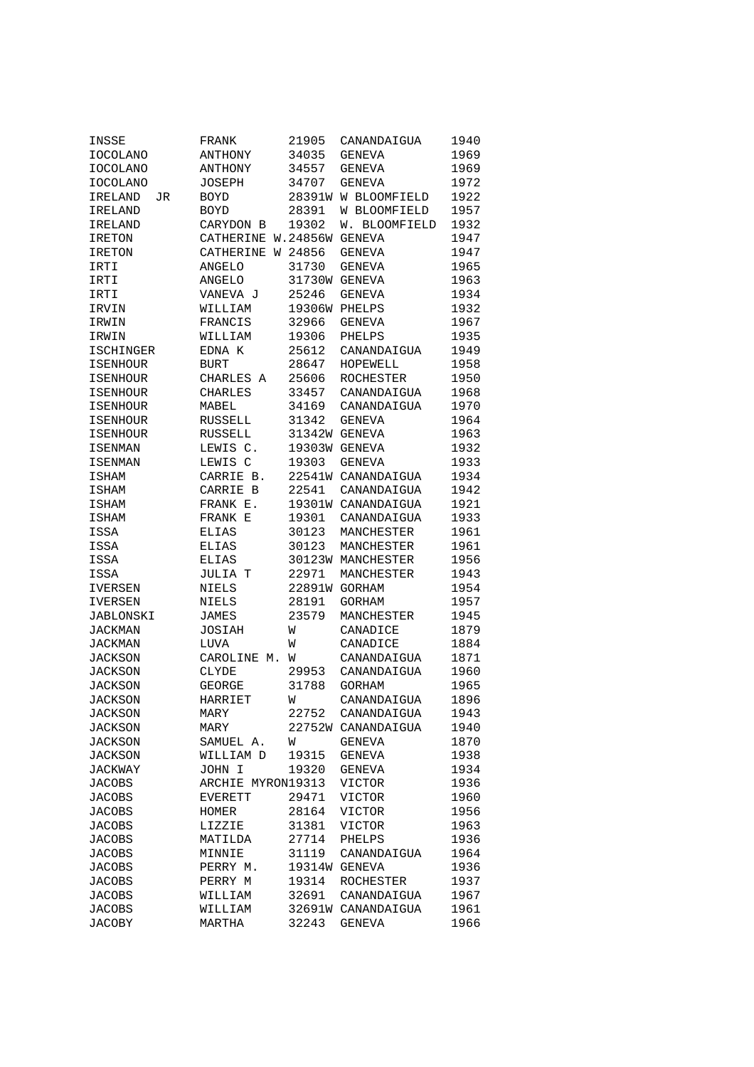| INSSE            | FRANK                    | 21905         | CANANDAIGUA                    | 1940         |
|------------------|--------------------------|---------------|--------------------------------|--------------|
| <b>IOCOLANO</b>  | ANTHONY                  | 34035         | <b>GENEVA</b>                  | 1969         |
| <b>IOCOLANO</b>  | ANTHONY                  | 34557         | <b>GENEVA</b>                  | 1969         |
| <b>IOCOLANO</b>  | JOSEPH                   | 34707         | <b>GENEVA</b>                  | 1972         |
| IRELAND<br>JR    | <b>BOYD</b>              | 28391W        | W BLOOMFIELD                   | 1922         |
| IRELAND          | <b>BOYD</b>              | 28391         | W BLOOMFIELD                   | 1957         |
| IRELAND          | CARYDON B                | 19302         | <b>BLOOMFIELD</b><br>W.        | 1932         |
| <b>IRETON</b>    | CATHERINE W.24856W       |               | <b>GENEVA</b>                  | 1947         |
| <b>IRETON</b>    | CATHERINE                | W 24856       | <b>GENEVA</b>                  | 1947         |
| IRTI             | ANGELO                   | 31730         | GENEVA                         | 1965         |
| IRTI             | ANGELO                   | 31730W        |                                |              |
| IRTI             | VANEVA J                 | 25246         | <b>GENEVA</b><br><b>GENEVA</b> | 1963<br>1934 |
| IRVIN            | WILLIAM                  | 19306W        | PHELPS                         | 1932         |
| IRWIN            | FRANCIS                  | 32966         |                                | 1967         |
|                  |                          | 19306         | GENEVA                         | 1935         |
| IRWIN            | WILLIAM                  |               | PHELPS                         | 1949         |
| <b>ISCHINGER</b> | EDNA K                   | 25612         | CANANDAIGUA                    |              |
| <b>ISENHOUR</b>  | BURT                     | 28647         | HOPEWELL                       | 1958         |
| <b>ISENHOUR</b>  | CHARLES A                | 25606         | ROCHESTER                      | 1950         |
| <b>ISENHOUR</b>  | <b>CHARLES</b>           | 33457         | CANANDAIGUA                    | 1968         |
| <b>ISENHOUR</b>  | MABEL                    | 34169         | CANANDAIGUA                    | 1970         |
| <b>ISENHOUR</b>  | RUSSELL                  | 31342         | <b>GENEVA</b>                  | 1964         |
| <b>ISENHOUR</b>  | <b>RUSSELL</b>           | 31342W        | <b>GENEVA</b>                  | 1963         |
| <b>ISENMAN</b>   | LEWIS C.                 | 19303W        | <b>GENEVA</b>                  | 1932         |
| <b>ISENMAN</b>   | LEWIS C                  | 19303         | <b>GENEVA</b>                  | 1933         |
| <b>ISHAM</b>     | CARRIE B.                | 22541W        | CANANDAIGUA                    | 1934         |
| <b>ISHAM</b>     | CARRIE<br>$\overline{B}$ | 22541         | CANANDAIGUA                    | 1942         |
| <b>ISHAM</b>     | FRANK E.                 |               | 19301W CANANDAIGUA             | 1921         |
| <b>ISHAM</b>     | FRANK E                  | 19301         | CANANDAIGUA                    | 1933         |
| ISSA             | ELIAS                    | 30123         | MANCHESTER                     | 1961         |
| ISSA             | ELIAS                    | 30123         | MANCHESTER                     | 1961         |
| ISSA             | ELIAS                    | 30123W        | MANCHESTER                     | 1956         |
| ISSA             | JULIA T                  | 22971         | MANCHESTER                     | 1943         |
| IVERSEN          | NIELS                    | 22891W        | <b>GORHAM</b>                  | 1954         |
| <b>IVERSEN</b>   | NIELS                    | 28191         | GORHAM                         | 1957         |
| JABLONSKI        | JAMES                    | 23579         | MANCHESTER                     | 1945         |
| <b>JACKMAN</b>   | JOSIAH                   | W             | CANADICE                       | 1879         |
| JACKMAN          | LUVA                     | W             | CANADICE                       | 1884         |
| JACKSON          | CAROLINE M.              | W             | CANANDAIGUA                    | 1871         |
| <b>JACKSON</b>   | CLYDE                    | 29953         | CANANDAIGUA                    | 1960         |
| <b>JACKSON</b>   | GEORGE                   | 31788         | GORHAM                         | 1965         |
| JACKSON          | HARRIET                  | <b>M</b>      | CANANDAIGUA                    | 1896         |
| JACKSON          | MARY                     | 22752         | CANANDAIGUA                    | 1943         |
| <b>JACKSON</b>   | MARY                     |               | 22752W CANANDAIGUA             | 1940         |
| JACKSON          | SAMUEL A.                | W             | GENEVA                         | 1870         |
| <b>JACKSON</b>   | WILLIAM D                | 19315         | GENEVA                         | 1938         |
| <b>JACKWAY</b>   | JOHN I                   | 19320         | GENEVA                         | 1934         |
| JACOBS           | ARCHIE MYRON19313        |               | VICTOR                         | 1936         |
| JACOBS           | <b>EVERETT</b>           | 29471         | VICTOR                         | 1960         |
| JACOBS           | HOMER                    | 28164         | VICTOR                         | 1956         |
| JACOBS           | LIZZIE                   | 31381         | VICTOR                         | 1963         |
| JACOBS           | MATILDA                  | 27714         | PHELPS                         | 1936         |
| JACOBS           | MINNIE                   | 31119         | CANANDAIGUA                    | 1964         |
| JACOBS           | PERRY M.                 | 19314W GENEVA |                                | 1936         |
| JACOBS           | PERRY M                  | 19314         | <b>ROCHESTER</b>               | 1937         |
| JACOBS           | WILLIAM                  | 32691         | CANANDAIGUA                    | 1967         |
| <b>JACOBS</b>    | WILLIAM                  | 32691W        | CANANDAIGUA                    | 1961         |
| <b>JACOBY</b>    | MARTHA                   | 32243         | <b>GENEVA</b>                  | 1966         |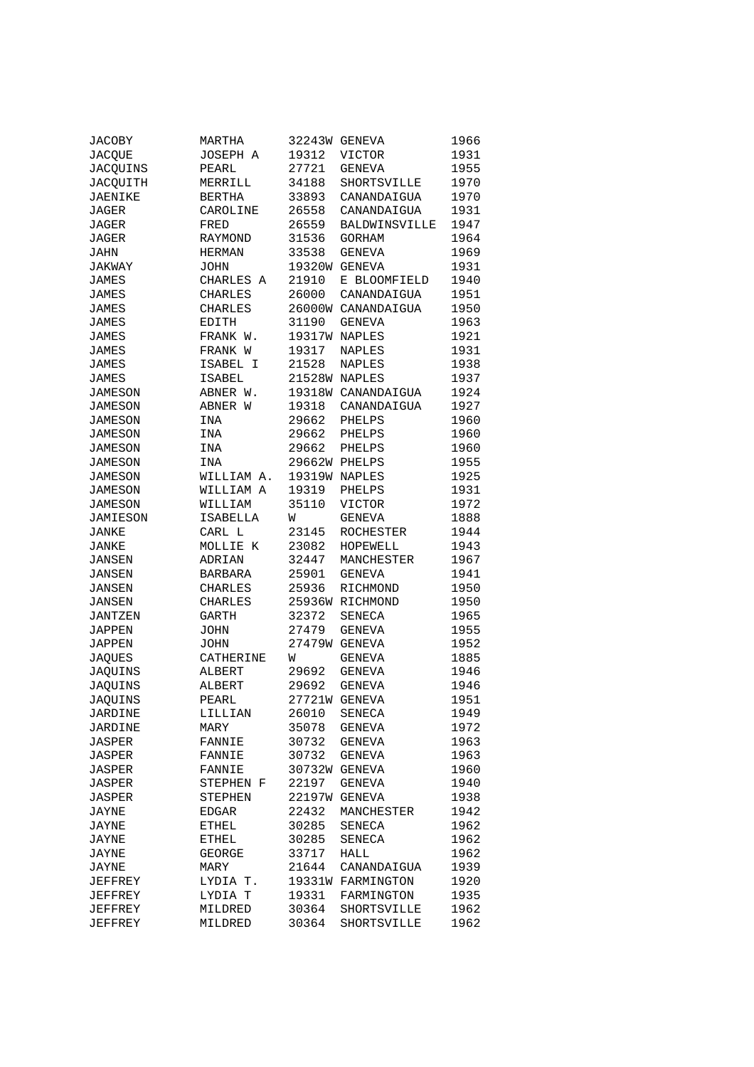| JACOBY          | MARTHA         | 32243W        | GENEVA            | 1966 |
|-----------------|----------------|---------------|-------------------|------|
| <b>JACQUE</b>   | JOSEPH A       | 19312         | <b>VICTOR</b>     | 1931 |
| <b>JACQUINS</b> | PEARL          | 27721         | <b>GENEVA</b>     | 1955 |
| JACQUITH        | MERRILL        | 34188         | SHORTSVILLE       | 1970 |
| <b>JAENIKE</b>  | <b>BERTHA</b>  | 33893         | CANANDAIGUA       | 1970 |
| JAGER           | CAROLINE       | 26558         | CANANDAIGUA       | 1931 |
| JAGER           | FRED           | 26559         | BALDWINSVILLE     | 1947 |
| JAGER           | <b>RAYMOND</b> | 31536         | GORHAM            | 1964 |
| <b>JAHN</b>     | <b>HERMAN</b>  | 33538         | <b>GENEVA</b>     | 1969 |
| <b>JAKWAY</b>   | JOHN           | 19320W        | <b>GENEVA</b>     | 1931 |
| <b>JAMES</b>    | CHARLES A      | 21910         | E BLOOMFIELD      | 1940 |
| <b>JAMES</b>    | <b>CHARLES</b> | 26000         | CANANDAIGUA       | 1951 |
| JAMES           | CHARLES        | 26000W        | CANANDAIGUA       | 1950 |
| JAMES           | EDITH          | 31190         | <b>GENEVA</b>     | 1963 |
| <b>JAMES</b>    | FRANK W.       | 19317W        | <b>NAPLES</b>     | 1921 |
| JAMES           | FRANK W        | 19317         | NAPLES            | 1931 |
| JAMES           | ISABEL I       | 21528         | NAPLES            | 1938 |
| <b>JAMES</b>    | <b>ISABEL</b>  | 21528W        | <b>NAPLES</b>     | 1937 |
| JAMESON         | ABNER W.       | 19318W        | CANANDAIGUA       | 1924 |
| <b>JAMESON</b>  | ABNER W        | 19318         | CANANDAIGUA       | 1927 |
| <b>JAMESON</b>  | INA            | 29662         | PHELPS            | 1960 |
| JAMESON         | INA            | 29662         | PHELPS            | 1960 |
| <b>JAMESON</b>  | INA            | 29662         | PHELPS            | 1960 |
| <b>JAMESON</b>  | INA            | 29662W        | PHELPS            | 1955 |
| <b>JAMESON</b>  | WILLIAM A.     | 19319W        | <b>NAPLES</b>     | 1925 |
| <b>JAMESON</b>  | WILLIAM A      | 19319         | PHELPS            | 1931 |
| <b>JAMESON</b>  | WILLIAM        | 35110         | VICTOR            | 1972 |
| JAMIESON        | ISABELLA       | W             | <b>GENEVA</b>     | 1888 |
| <b>JANKE</b>    | CARL L         | 23145         | <b>ROCHESTER</b>  | 1944 |
| <b>JANKE</b>    | MOLLIE K       | 23082         | HOPEWELL          | 1943 |
| JANSEN          | ADRIAN         | 32447         | MANCHESTER        | 1967 |
| <b>JANSEN</b>   | <b>BARBARA</b> | 25901         | <b>GENEVA</b>     | 1941 |
| JANSEN          | CHARLES        | 25936         | RICHMOND          | 1950 |
| JANSEN          | CHARLES        | 25936W        | RICHMOND          | 1950 |
| JANTZEN         | GARTH          | 32372         | SENECA            | 1965 |
| <b>JAPPEN</b>   | JOHN           | 27479         | GENEVA            | 1955 |
| JAPPEN          | JOHN           | 27479W        | GENEVA            | 1952 |
| <b>JAQUES</b>   | CATHERINE      | W             | <b>GENEVA</b>     | 1885 |
| JAQUINS         | ALBERT         | 29692         | GENEVA            | 1946 |
| <b>JAQUINS</b>  | ALBERT         | 29692         | <b>GENEVA</b>     | 1946 |
| JAQUINS         | PEARL          | 27721W GENEVA |                   | 1951 |
| JARDINE         | LILLIAN        | 26010         | SENECA            | 1949 |
| JARDINE         | MARY           | 35078         | GENEVA            | 1972 |
| JASPER          | FANNIE         | 30732         | GENEVA            | 1963 |
| JASPER          | FANNIE         | 30732         | GENEVA            | 1963 |
| JASPER          | FANNIE         |               | 30732W GENEVA     | 1960 |
| JASPER          | STEPHEN F      | 22197         | GENEVA            | 1940 |
| JASPER          | STEPHEN        | 22197W        | GENEVA            | 1938 |
| JAYNE           | <b>EDGAR</b>   | 22432         | MANCHESTER        | 1942 |
| JAYNE           | ETHEL          | 30285         | SENECA            | 1962 |
| JAYNE           | ETHEL          | 30285         | SENECA            | 1962 |
| JAYNE           | GEORGE         | 33717         | <b>HALL</b>       | 1962 |
| JAYNE           | MARY           | 21644         | CANANDAIGUA       | 1939 |
| JEFFREY         | LYDIA T.       |               | 19331W FARMINGTON | 1920 |
| JEFFREY         | LYDIA T        | 19331         | FARMINGTON        | 1935 |
| JEFFREY         | MILDRED        | 30364         | SHORTSVILLE       | 1962 |
| <b>JEFFREY</b>  | MILDRED        | 30364         | SHORTSVILLE       | 1962 |
|                 |                |               |                   |      |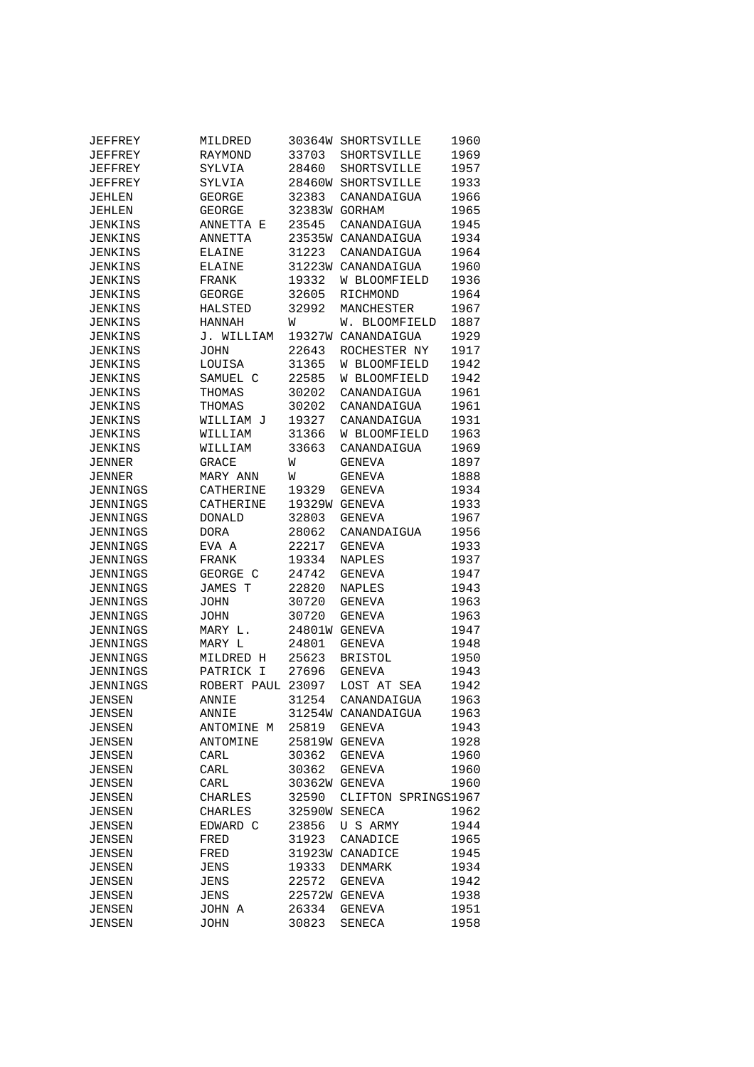| JEFFREY         | MILDRED          | 30364W | SHORTSVILLE             | 1960 |
|-----------------|------------------|--------|-------------------------|------|
| JEFFREY         | RAYMOND          | 33703  | SHORTSVILLE             | 1969 |
| <b>JEFFREY</b>  | SYLVIA           | 28460  | SHORTSVILLE             | 1957 |
| JEFFREY         | SYLVIA           | 28460W | SHORTSVILLE             | 1933 |
| JEHLEN          | GEORGE           | 32383  | CANANDAIGUA             | 1966 |
| <b>JEHLEN</b>   | GEORGE           | 32383W | <b>GORHAM</b>           | 1965 |
| JENKINS         | ANNETTA E        | 23545  | CANANDAIGUA             | 1945 |
| JENKINS         | <b>ANNETTA</b>   | 23535W | CANANDAIGUA             | 1934 |
| JENKINS         | ELAINE           | 31223  | CANANDAIGUA             | 1964 |
| JENKINS         | ELAINE           | 31223W | CANANDAIGUA             | 1960 |
| JENKINS         | FRANK            | 19332  | W BLOOMFIELD            | 1936 |
| JENKINS         | GEORGE           | 32605  | RICHMOND                | 1964 |
| JENKINS         | <b>HALSTED</b>   | 32992  | MANCHESTER              | 1967 |
| JENKINS         | <b>HANNAH</b>    | W      | <b>BLOOMFIELD</b><br>W. | 1887 |
| JENKINS         | J. WILLIAM       | 19327W | CANANDAIGUA             | 1929 |
| JENKINS         | <b>JOHN</b>      | 22643  | ROCHESTER NY            | 1917 |
| JENKINS         | LOUISA           | 31365  | W<br><b>BLOOMFIELD</b>  | 1942 |
| JENKINS         | SAMUEL C         | 22585  | W BLOOMFIELD            | 1942 |
| JENKINS         | THOMAS           | 30202  | CANANDAIGUA             | 1961 |
| JENKINS         | THOMAS           | 30202  | CANANDAIGUA             | 1961 |
| JENKINS         | WILLIAM J        | 19327  | CANANDAIGUA             | 1931 |
| JENKINS         | WILLIAM          | 31366  | W BLOOMFIELD            | 1963 |
| JENKINS         | WILLIAM          | 33663  | CANANDAIGUA             | 1969 |
| JENNER          | <b>GRACE</b>     | W      | GENEVA                  | 1897 |
| <b>JENNER</b>   | MARY ANN         | W      | GENEVA                  | 1888 |
| JENNINGS        | CATHERINE        | 19329  | GENEVA                  | 1934 |
| JENNINGS        | CATHERINE        | 19329W | <b>GENEVA</b>           | 1933 |
| JENNINGS        | <b>DONALD</b>    | 32803  | GENEVA                  | 1967 |
| <b>JENNINGS</b> | <b>DORA</b>      | 28062  | CANANDAIGUA             | 1956 |
| JENNINGS        | EVA A            | 22217  | GENEVA                  | 1933 |
| JENNINGS        | FRANK            | 19334  | NAPLES                  | 1937 |
| JENNINGS        | GEORGE C         | 24742  | GENEVA                  | 1947 |
| JENNINGS        | JAMES<br>T       | 22820  | NAPLES                  | 1943 |
| JENNINGS        | JOHN             | 30720  | GENEVA                  | 1963 |
| JENNINGS        | JOHN             | 30720  | GENEVA                  | 1963 |
| JENNINGS        | MARY<br>L.       | 24801W | GENEVA                  | 1947 |
| JENNINGS        | MARY L           | 24801  | GENEVA                  | 1948 |
| JENNINGS        | MILDRED<br>Η     | 25623  | <b>BRISTOL</b>          | 1950 |
| JENNINGS        | PATRICK<br>I     | 27696  | GENEVA                  | 1943 |
| JENNINGS        | ROBERT PAUL      | 23097  | LOST AT SEA             | 1942 |
| <b>JENSEN</b>   | $\mathtt{ANNIE}$ | 31254  | CANANDAIGUA             | 1963 |
| JENSEN          | ANNIE            |        | 31254W CANANDAIGUA      | 1963 |
| <b>JENSEN</b>   | ANTOMINE M       | 25819  | <b>GENEVA</b>           | 1943 |
| JENSEN          | ANTOMINE         | 25819W | GENEVA                  | 1928 |
| JENSEN          | CARL             | 30362  | GENEVA                  | 1960 |
| JENSEN          | CARL             | 30362  | <b>GENEVA</b>           | 1960 |
| <b>JENSEN</b>   | CARL             |        | 30362W GENEVA           | 1960 |
| JENSEN          | <b>CHARLES</b>   | 32590  | CLIFTON SPRINGS1967     |      |
| JENSEN          | CHARLES          | 32590W | <b>SENECA</b>           | 1962 |
| <b>JENSEN</b>   | EDWARD C         | 23856  | U S ARMY                | 1944 |
| JENSEN          | FRED             | 31923  | CANADICE                | 1965 |
| JENSEN          | FRED             | 31923W | CANADICE                | 1945 |
| JENSEN          | JENS             | 19333  | DENMARK                 | 1934 |
| JENSEN          | JENS             | 22572  | <b>GENEVA</b>           | 1942 |
| JENSEN          | JENS             | 22572W | GENEVA                  | 1938 |
| JENSEN          | JOHN A           | 26334  | GENEVA                  | 1951 |
| <b>JENSEN</b>   | JOHN             | 30823  | SENECA                  | 1958 |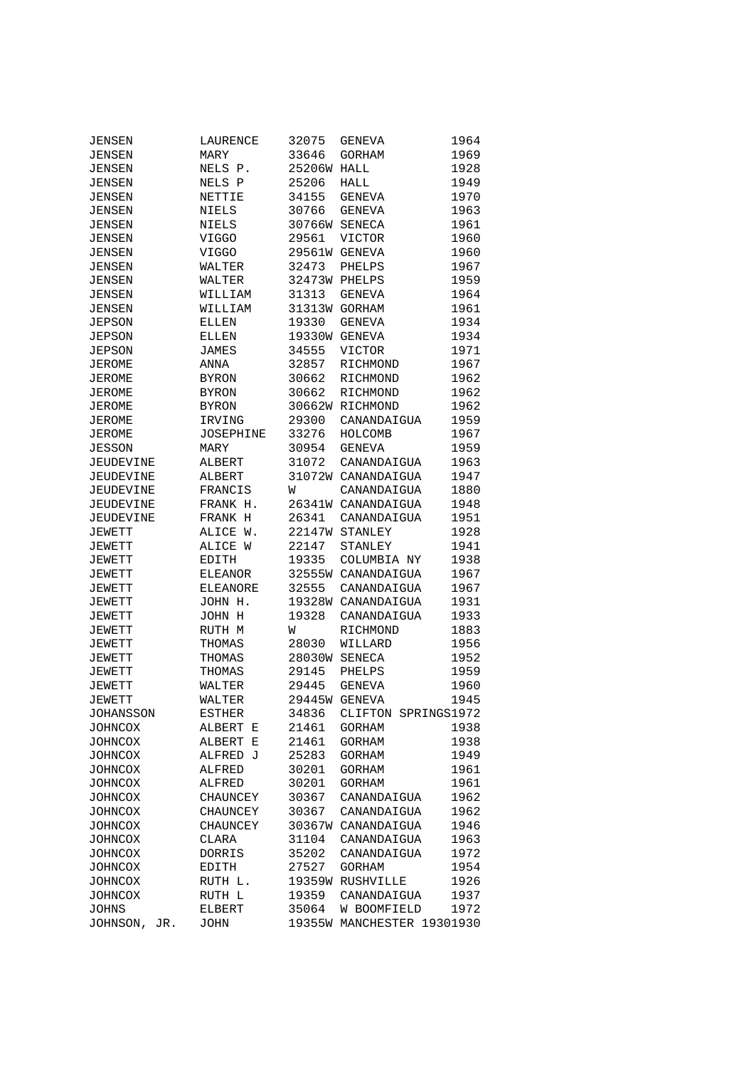| JENSEN          | LAURENCE        | 32075       | GENEVA                     | 1964 |
|-----------------|-----------------|-------------|----------------------------|------|
| JENSEN          | MARY            | 33646       | GORHAM                     | 1969 |
| JENSEN          | NELS P.         | 25206W HALL |                            | 1928 |
| JENSEN          | NELS P          | 25206       | HALL                       | 1949 |
| JENSEN          | NETTIE          | 34155       | GENEVA                     | 1970 |
| JENSEN          | NIELS           | 30766       | GENEVA                     | 1963 |
| JENSEN          | NIELS           | 30766W      | <b>SENECA</b>              | 1961 |
| JENSEN          | <b>VIGGO</b>    | 29561       | <b>VICTOR</b>              | 1960 |
| JENSEN          | VIGGO           | 29561W      | <b>GENEVA</b>              | 1960 |
| JENSEN          | WALTER          | 32473       | PHELPS                     | 1967 |
| JENSEN          | WALTER          | 32473W      | PHELPS                     | 1959 |
| JENSEN          | WILLIAM         | 31313       | GENEVA                     | 1964 |
| JENSEN          | WILLIAM         | 31313W      | <b>GORHAM</b>              | 1961 |
| JEPSON          | ELLEN           | 19330       | <b>GENEVA</b>              | 1934 |
| <b>JEPSON</b>   | ELLEN           | 19330W      | <b>GENEVA</b>              | 1934 |
| <b>JEPSON</b>   | JAMES           | 34555       | <b>VICTOR</b>              | 1971 |
| JEROME          | ANNA            | 32857       | RICHMOND                   | 1967 |
| JEROME          | <b>BYRON</b>    | 30662       | RICHMOND                   | 1962 |
| JEROME          | <b>BYRON</b>    | 30662       | RICHMOND                   | 1962 |
| <b>JEROME</b>   | <b>BYRON</b>    | 30662W      | RICHMOND                   | 1962 |
| JEROME          | IRVING          | 29300       | CANANDAIGUA                | 1959 |
| JEROME          | JOSEPHINE       | 33276       | HOLCOMB                    | 1967 |
| JESSON          | MARY            | 30954       | GENEVA                     | 1959 |
| JEUDEVINE       | ALBERT          | 31072       | CANANDAIGUA                | 1963 |
| JEUDEVINE       | ALBERT          |             | 31072W CANANDAIGUA         | 1947 |
| JEUDEVINE       | FRANCIS         | W           | CANANDAIGUA                | 1880 |
| JEUDEVINE       | FRANK H.        |             | 26341W CANANDAIGUA         | 1948 |
| JEUDEVINE       | FRANK H         | 26341       | CANANDAIGUA                | 1951 |
| JEWETT          | ALICE W.        | 22147W      | STANLEY                    | 1928 |
| JEWETT          | ALICE W         | 22147       | STANLEY                    | 1941 |
| JEWETT          | EDITH           | 19335       | COLUMBIA NY                | 1938 |
| JEWETT          | ELEANOR         | 32555W      | CANANDAIGUA                | 1967 |
| JEWETT          | ELEANORE        | 32555       | CANANDAIGUA                | 1967 |
| JEWETT          | JOHN H.         |             | 19328W CANANDAIGUA         | 1931 |
| JEWETT          | JOHN H          | 19328       | CANANDAIGUA                | 1933 |
| JEWETT          | RUTH M          | W           | RICHMOND                   | 1883 |
| JEWETT          | THOMAS          | 28030       | WILLARD                    | 1956 |
| JEWETT          | THOMAS          | 28030W      | SENECA                     | 1952 |
| JEWETT          | THOMAS          | 29145       | PHELPS                     | 1959 |
| JEWETT          | WALTER          | 29445       | <b>GENEVA</b>              | 1960 |
| JEWETT          | WALTER          |             | 29445W GENEVA              | 1945 |
| JOHANSSON       | ESTHER          | 34836       | CLIFTON SPRINGS1972        |      |
| JOHNCOX         | ALBERT E        | 21461       | GORHAM                     | 1938 |
| JOHNCOX         | ALBERT<br>Ε     | 21461       | GORHAM                     | 1938 |
| JOHNCOX         | ALFRED J        | 25283       | GORHAM                     | 1949 |
| JOHNCOX         | ALFRED          | 30201       | GORHAM                     | 1961 |
| <b>JOHNCOX</b>  | ALFRED          | 30201       | GORHAM                     | 1961 |
| JOHNCOX         | CHAUNCEY        | 30367       | CANANDAIGUA                | 1962 |
| JOHNCOX         | CHAUNCEY        | 30367       | CANANDAIGUA                | 1962 |
| <b>JOHNCOX</b>  | <b>CHAUNCEY</b> | 30367W      | CANANDAIGUA                | 1946 |
| JOHNCOX         | CLARA           | 31104       | CANANDAIGUA                | 1963 |
| JOHNCOX         | DORRIS          | 35202       | CANANDAIGUA                | 1972 |
| JOHNCOX         | EDITH           | 27527       | GORHAM                     | 1954 |
| JOHNCOX         | RUTH L.         |             | 19359W RUSHVILLE           | 1926 |
| JOHNCOX         | RUTH L          | 19359       | CANANDAIGUA                | 1937 |
| JOHNS           | ELBERT          | 35064       | W BOOMFIELD                | 1972 |
| JOHNSON,<br>JR. | JOHN            |             | 19355W MANCHESTER 19301930 |      |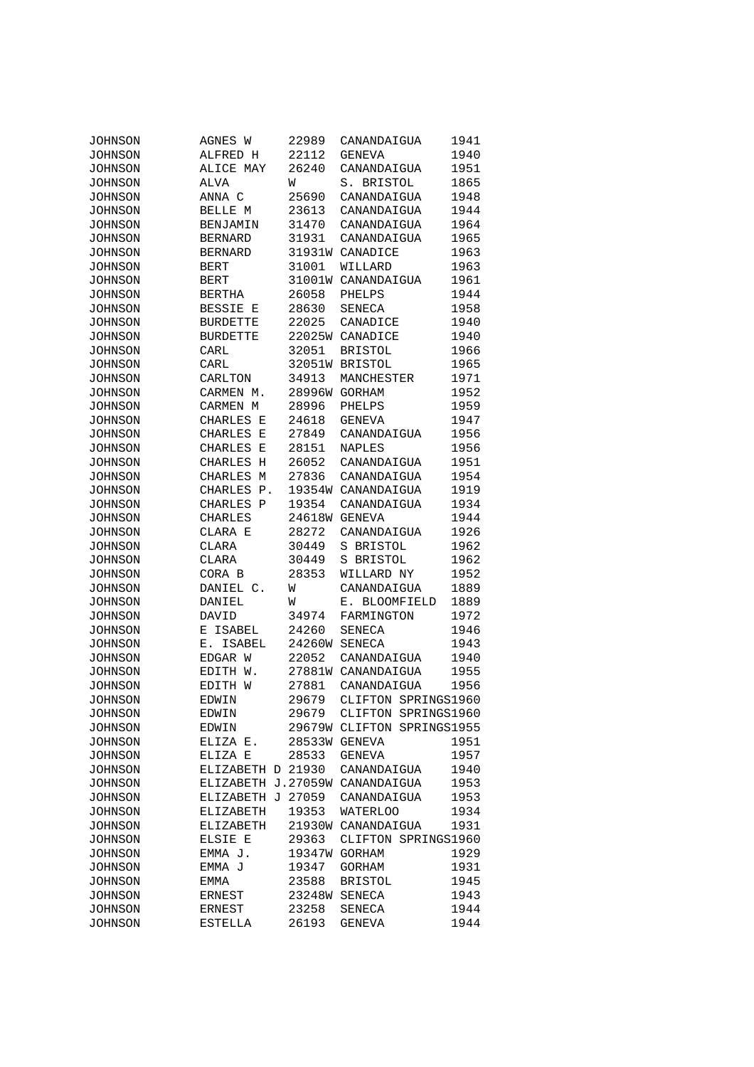| JOHNSON        | AGNES W             | 22989  | CANANDAIGUA                    | 1941 |
|----------------|---------------------|--------|--------------------------------|------|
| <b>JOHNSON</b> | ALFRED H            | 22112  | GENEVA                         | 1940 |
| <b>JOHNSON</b> | ALICE MAY           | 26240  | CANANDAIGUA                    | 1951 |
|                |                     | W      |                                | 1865 |
| <b>JOHNSON</b> | ALVA                |        | <b>BRISTOL</b><br>S.           |      |
| <b>JOHNSON</b> | ANNA C              | 25690  | CANANDAIGUA                    | 1948 |
| <b>JOHNSON</b> | <b>BELLE M</b>      | 23613  | CANANDAIGUA                    | 1944 |
| <b>JOHNSON</b> | BENJAMIN            | 31470  | CANANDAIGUA                    | 1964 |
| <b>JOHNSON</b> | <b>BERNARD</b>      | 31931  | CANANDAIGUA                    | 1965 |
| <b>JOHNSON</b> | <b>BERNARD</b>      | 31931W | CANADICE                       | 1963 |
| <b>JOHNSON</b> | BERT                | 31001  | WILLARD                        | 1963 |
| <b>JOHNSON</b> | <b>BERT</b>         | 31001W | CANANDAIGUA                    | 1961 |
| <b>JOHNSON</b> | BERTHA              | 26058  | PHELPS                         | 1944 |
| <b>JOHNSON</b> | <b>BESSIE E</b>     | 28630  | <b>SENECA</b>                  | 1958 |
| <b>JOHNSON</b> | <b>BURDETTE</b>     | 22025  | CANADICE                       | 1940 |
| <b>JOHNSON</b> | <b>BURDETTE</b>     | 22025W | CANADICE                       | 1940 |
| <b>JOHNSON</b> | CARL                | 32051  | <b>BRISTOL</b>                 | 1966 |
| <b>JOHNSON</b> | CARL                | 32051W | <b>BRISTOL</b>                 | 1965 |
| <b>JOHNSON</b> | CARLTON             | 34913  | MANCHESTER                     | 1971 |
| <b>JOHNSON</b> | CARMEN M.           | 28996W | GORHAM                         | 1952 |
| <b>JOHNSON</b> | CARMEN M            | 28996  | PHELPS                         | 1959 |
| <b>JOHNSON</b> | CHARLES E           | 24618  | <b>GENEVA</b>                  | 1947 |
| <b>JOHNSON</b> | <b>CHARLES</b><br>Е | 27849  | CANANDAIGUA                    | 1956 |
| <b>JOHNSON</b> | CHARLES<br>Е        | 28151  | <b>NAPLES</b>                  | 1956 |
| <b>JOHNSON</b> | CHARLES H           | 26052  | CANANDAIGUA                    | 1951 |
| <b>JOHNSON</b> | CHARLES<br>M        | 27836  | CANANDAIGUA                    | 1954 |
| <b>JOHNSON</b> | CHARLES<br>Ρ.       | 19354W | CANANDAIGUA                    | 1919 |
| <b>JOHNSON</b> | CHARLES<br>P        | 19354  | CANANDAIGUA                    | 1934 |
| <b>JOHNSON</b> | CHARLES             | 24618W | <b>GENEVA</b>                  | 1944 |
|                |                     | 28272  |                                | 1926 |
| <b>JOHNSON</b> | CLARA E             |        | CANANDAIGUA                    |      |
| <b>JOHNSON</b> | CLARA               | 30449  | S<br><b>BRISTOL</b>            | 1962 |
| <b>JOHNSON</b> | CLARA               | 30449  | S<br><b>BRISTOL</b>            | 1962 |
| <b>JOHNSON</b> | CORA B              | 28353  | WILLARD NY                     | 1952 |
| <b>JOHNSON</b> | DANIEL C.           | W      | CANANDAIGUA                    | 1889 |
| <b>JOHNSON</b> | DANIEL              | W      | Ε.<br><b>BLOOMFIELD</b>        | 1889 |
| <b>JOHNSON</b> | DAVID               | 34974  | FARMINGTON                     | 1972 |
| JOHNSON        | Е<br>ISABEL         | 24260  | SENECA                         | 1946 |
| <b>JOHNSON</b> | Е.<br><b>ISABEL</b> | 24260W | SENECA                         | 1943 |
| <b>JOHNSON</b> | EDGAR W             | 22052  | CANANDAIGUA                    | 1940 |
| <b>JOHNSON</b> | EDITH W.            | 27881W | CANANDAIGUA                    | 1955 |
| <b>JOHNSON</b> | EDITH W             | 27881  | CANANDAIGUA                    | 1956 |
| <b>JOHNSON</b> | EDWIN               | 29679  | CLIFTON SPRINGS1960            |      |
| JOHNSON        | EDWIN               | 29679  | CLIFTON SPRINGS1960            |      |
| <b>JOHNSON</b> | EDWIN               |        | 29679W CLIFTON SPRINGS1955     |      |
| JOHNSON        | ELIZA E.            | 28533W | GENEVA                         | 1951 |
| <b>JOHNSON</b> | ELIZA E             | 28533  | <b>GENEVA</b>                  | 1957 |
| <b>JOHNSON</b> | ELIZABETH D 21930   |        | CANANDAIGUA                    | 1940 |
| <b>JOHNSON</b> |                     |        | ELIZABETH J.27059W CANANDAIGUA | 1953 |
| JOHNSON        | ELIZABETH J         | 27059  | CANANDAIGUA                    | 1953 |
| JOHNSON        | ELIZABETH           | 19353  | <b>WATERLOO</b>                | 1934 |
| <b>JOHNSON</b> | <b>ELIZABETH</b>    | 21930W | CANANDAIGUA                    | 1931 |
| <b>JOHNSON</b> | ELSIE E             | 29363  | CLIFTON SPRINGS1960            |      |
| JOHNSON        | EMMA J.             | 19347W | GORHAM                         | 1929 |
| JOHNSON        | EMMA J              | 19347  | GORHAM                         | 1931 |
| JOHNSON        | EMMA                | 23588  | <b>BRISTOL</b>                 | 1945 |
| JOHNSON        | <b>ERNEST</b>       | 23248W | SENECA                         | 1943 |
| JOHNSON        | <b>ERNEST</b>       | 23258  | SENECA                         | 1944 |
| <b>JOHNSON</b> | <b>ESTELLA</b>      | 26193  | GENEVA                         | 1944 |
|                |                     |        |                                |      |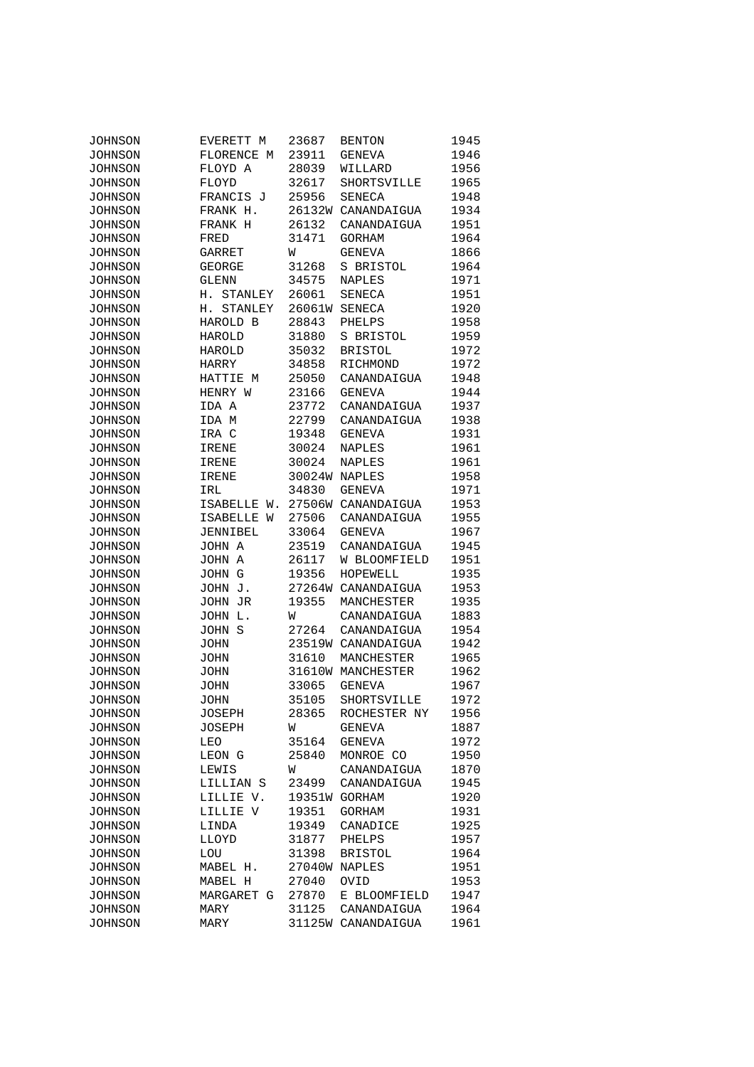| JOHNSON        | EVERETT M     | 23687  | <b>BENTON</b>      | 1945 |
|----------------|---------------|--------|--------------------|------|
| <b>JOHNSON</b> | FLORENCE M    | 23911  | GENEVA             | 1946 |
| <b>JOHNSON</b> | FLOYD A       | 28039  | WILLARD            | 1956 |
| <b>JOHNSON</b> | FLOYD         | 32617  | SHORTSVILLE        | 1965 |
| <b>JOHNSON</b> | FRANCIS J     | 25956  | SENECA             | 1948 |
| <b>JOHNSON</b> | FRANK H.      | 26132W | CANANDAIGUA        | 1934 |
| <b>JOHNSON</b> | FRANK H       | 26132  | CANANDAIGUA        | 1951 |
| <b>JOHNSON</b> | FRED          | 31471  | GORHAM             | 1964 |
|                |               | W      |                    | 1866 |
| <b>JOHNSON</b> | GARRET        |        | GENEVA             | 1964 |
| JOHNSON        | GEORGE        | 31268  | S BRISTOL          |      |
| <b>JOHNSON</b> | <b>GLENN</b>  | 34575  | NAPLES             | 1971 |
| <b>JOHNSON</b> | STANLEY<br>Н. | 26061  | SENECA             | 1951 |
| <b>JOHNSON</b> | STANLEY<br>Н. | 26061W | SENECA             | 1920 |
| <b>JOHNSON</b> | HAROLD B      | 28843  | PHELPS             | 1958 |
| <b>JOHNSON</b> | <b>HAROLD</b> | 31880  | S BRISTOL          | 1959 |
| <b>JOHNSON</b> | <b>HAROLD</b> | 35032  | <b>BRISTOL</b>     | 1972 |
| JOHNSON        | <b>HARRY</b>  | 34858  | RICHMOND           | 1972 |
| <b>JOHNSON</b> | HATTIE M      | 25050  | CANANDAIGUA        | 1948 |
| <b>JOHNSON</b> | HENRY W       | 23166  | <b>GENEVA</b>      | 1944 |
| <b>JOHNSON</b> | IDA A         | 23772  | CANANDAIGUA        | 1937 |
| <b>JOHNSON</b> | IDA M         | 22799  | CANANDAIGUA        | 1938 |
| <b>JOHNSON</b> | IRA C         | 19348  | <b>GENEVA</b>      | 1931 |
| <b>JOHNSON</b> | <b>IRENE</b>  | 30024  | <b>NAPLES</b>      | 1961 |
| <b>JOHNSON</b> | <b>IRENE</b>  | 30024  | NAPLES             | 1961 |
| <b>JOHNSON</b> | <b>IRENE</b>  | 30024W | <b>NAPLES</b>      | 1958 |
| <b>JOHNSON</b> | IRL           | 34830  | <b>GENEVA</b>      | 1971 |
| <b>JOHNSON</b> | ISABELLE W.   | 27506W | CANANDAIGUA        | 1953 |
| <b>JOHNSON</b> | ISABELLE W    | 27506  | CANANDAIGUA        | 1955 |
| <b>JOHNSON</b> | JENNIBEL      | 33064  | <b>GENEVA</b>      | 1967 |
| <b>JOHNSON</b> | JOHN A        | 23519  | CANANDAIGUA        | 1945 |
| <b>JOHNSON</b> | JOHN A        | 26117  | W BLOOMFIELD       | 1951 |
| <b>JOHNSON</b> | G<br>JOHN     | 19356  | HOPEWELL           | 1935 |
| <b>JOHNSON</b> | JOHN J.       | 27264W | CANANDAIGUA        | 1953 |
| <b>JOHNSON</b> | JOHN JR       | 19355  | MANCHESTER         | 1935 |
| JOHNSON        | JOHN<br>L.    | W      | CANANDAIGUA        | 1883 |
| <b>JOHNSON</b> | JOHN S        | 27264  | CANANDAIGUA        | 1954 |
| <b>JOHNSON</b> | JOHN          | 23519W | CANANDAIGUA        | 1942 |
| <b>JOHNSON</b> | JOHN          | 31610  | MANCHESTER         | 1965 |
| <b>JOHNSON</b> | JOHN          | 31610W | MANCHESTER         | 1962 |
| <b>JOHNSON</b> | JOHN          | 33065  | <b>GENEVA</b>      | 1967 |
| <b>JOHNSON</b> | JOHN          | 35105  | SHORTSVILLE        | 1972 |
| JOHNSON        | JOSEPH        | 28365  | ROCHESTER NY       | 1956 |
| <b>JOHNSON</b> | JOSEPH        | W      | GENEVA             | 1887 |
| <b>JOHNSON</b> | LEO           | 35164  | GENEVA             | 1972 |
| <b>JOHNSON</b> | LEON G        | 25840  | MONROE CO          | 1950 |
| <b>JOHNSON</b> | LEWIS         | M      | CANANDAIGUA        | 1870 |
| JOHNSON        | LILLIAN S     | 23499  | CANANDAIGUA        | 1945 |
| JOHNSON        | LILLIE V.     | 19351W | GORHAM             | 1920 |
| <b>JOHNSON</b> | LILLIE V      | 19351  | GORHAM             | 1931 |
| <b>JOHNSON</b> | LINDA         | 19349  | CANADICE           | 1925 |
| JOHNSON        | LLOYD         | 31877  | PHELPS             | 1957 |
| JOHNSON        | LOU           | 31398  | <b>BRISTOL</b>     | 1964 |
| <b>JOHNSON</b> | MABEL H.      | 27040W | <b>NAPLES</b>      | 1951 |
| JOHNSON        | MABEL H       | 27040  | OVID               | 1953 |
| JOHNSON        | MARGARET G    | 27870  | E BLOOMFIELD       | 1947 |
| JOHNSON        | MARY          | 31125  | CANANDAIGUA        | 1964 |
| <b>JOHNSON</b> | MARY          |        |                    | 1961 |
|                |               |        | 31125W CANANDAIGUA |      |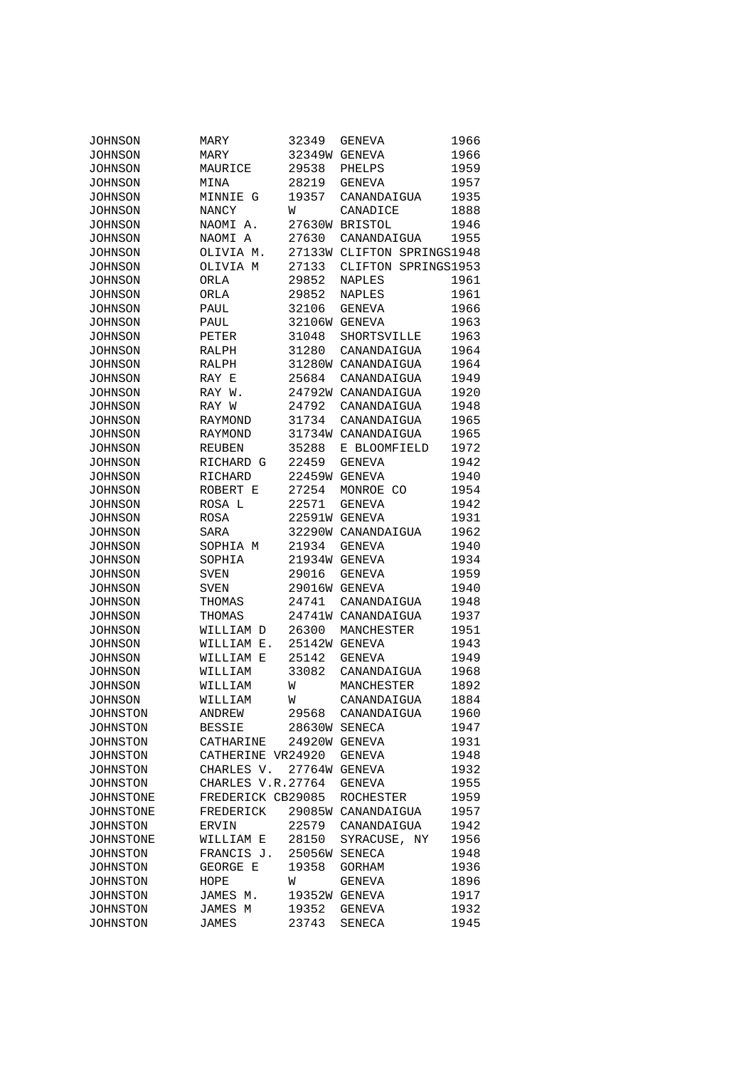| JOHNSON                     | MARY                       | 32349              | GENEVA                      | 1966         |
|-----------------------------|----------------------------|--------------------|-----------------------------|--------------|
| JOHNSON                     | MARY                       | 32349W             | GENEVA                      | 1966         |
| <b>JOHNSON</b>              | MAURICE                    | 29538              | PHELPS                      | 1959         |
| <b>JOHNSON</b>              | MINA                       | 28219              | GENEVA                      | 1957         |
| <b>JOHNSON</b>              | MINNIE G                   | 19357              | CANANDAIGUA                 | 1935         |
| <b>JOHNSON</b>              | <b>NANCY</b>               | W                  | CANADICE                    | 1888         |
| <b>JOHNSON</b>              | NAOMI A.                   | 27630W             | <b>BRISTOL</b>              | 1946         |
| <b>JOHNSON</b>              | NAOMI A                    | 27630              | CANANDAIGUA                 | 1955         |
| <b>JOHNSON</b>              | OLIVIA M.                  | 27133W             | CLIFTON SPRINGS1948         |              |
| <b>JOHNSON</b>              | OLIVIA M                   | 27133              | CLIFTON SPRINGS1953         |              |
| <b>JOHNSON</b>              | ORLA                       | 29852              | <b>NAPLES</b>               | 1961         |
| <b>JOHNSON</b>              | ORLA                       | 29852              | NAPLES                      | 1961         |
| <b>JOHNSON</b>              | PAUL                       | 32106              | GENEVA                      | 1966         |
| <b>JOHNSON</b>              | PAUL                       | 32106W             | <b>GENEVA</b>               | 1963         |
| JOHNSON                     | PETER                      | 31048              | SHORTSVILLE                 | 1963         |
| <b>JOHNSON</b>              | RALPH                      | 31280              | CANANDAIGUA                 | 1964         |
|                             | RALPH                      | 31280W             | CANANDAIGUA                 | 1964         |
| JOHNSON<br><b>JOHNSON</b>   | RAY E                      | 25684              | CANANDAIGUA                 | 1949         |
| <b>JOHNSON</b>              | RAY W.                     | 24792W             | CANANDAIGUA                 | 1920         |
| <b>JOHNSON</b>              | RAY W                      | 24792              | CANANDAIGUA                 | 1948         |
| <b>JOHNSON</b>              | RAYMOND                    | 31734              | CANANDAIGUA                 | 1965         |
| <b>JOHNSON</b>              | RAYMOND                    | 31734W             | CANANDAIGUA                 | 1965         |
|                             |                            | 35288              |                             |              |
| JOHNSON<br><b>JOHNSON</b>   | <b>REUBEN</b><br>RICHARD G | 22459              | E BLOOMFIELD                | 1972<br>1942 |
|                             |                            |                    | GENEVA                      | 1940         |
| <b>JOHNSON</b>              | RICHARD                    | 22459W             | <b>GENEVA</b>               |              |
| <b>JOHNSON</b>              | ROBERT E                   | 27254              | MONROE CO                   | 1954         |
| <b>JOHNSON</b>              | ROSA L                     | 22571              | <b>GENEVA</b>               | 1942         |
| <b>JOHNSON</b>              | <b>ROSA</b>                | 22591W             | <b>GENEVA</b>               | 1931<br>1962 |
| <b>JOHNSON</b>              | SARA                       | 32290W             | CANANDAIGUA                 |              |
| <b>JOHNSON</b>              | SOPHIA M                   | 21934              | GENEVA                      | 1940         |
| <b>JOHNSON</b>              | SOPHIA                     | 21934W             | <b>GENEVA</b>               | 1934         |
| JOHNSON                     | SVEN                       | 29016              | GENEVA                      | 1959         |
| <b>JOHNSON</b>              | <b>SVEN</b>                | 29016W<br>24741    | <b>GENEVA</b>               | 1940<br>1948 |
| <b>JOHNSON</b>              | THOMAS                     |                    | CANANDAIGUA                 | 1937         |
| <b>JOHNSON</b>              | THOMAS<br>WILLIAM D        | 24741W             | CANANDAIGUA                 |              |
| JOHNSON<br><b>JOHNSON</b>   | WILLIAM E.                 | 26300<br>25142W    | MANCHESTER<br><b>GENEVA</b> | 1951<br>1943 |
|                             | WILLIAM E                  | 25142              |                             | 1949         |
| JOHNSON<br><b>JOHNSON</b>   | WILLIAM                    | 33082              | GENEVA                      | 1968         |
| <b>JOHNSON</b>              | WILLIAM                    | W                  | CANANDAIGUA<br>MANCHESTER   | 1892         |
|                             | WILLIAM                    | W                  | CANANDAIGUA                 | 1884         |
| JOHNSON<br><b>JOHNSTON</b>  |                            | 29568              | CANANDAIGUA                 | 1960         |
| <b>JOHNSTON</b>             | ANDREW<br>BESSIE           | 28630W SENECA      |                             | 1947         |
| JOHNSTON                    | CATHARINE                  | 24920W             | GENEVA                      | 1931         |
| <b>JOHNSTON</b>             | CATHERINE VR24920          |                    | GENEVA                      | 1948         |
| <b>JOHNSTON</b>             | CHARLES V. 27764W          |                    | GENEVA                      | 1932         |
| <b>JOHNSTON</b>             | CHARLES V.R.27764          |                    | GENEVA                      | 1955         |
| <b>JOHNSTONE</b>            | FREDERICK CB29085          |                    | ROCHESTER                   | 1959         |
| <b>JOHNSTONE</b>            | FREDERICK                  | 29085W             | CANANDAIGUA                 | 1957         |
| <b>JOHNSTON</b>             | ERVIN                      | 22579              | CANANDAIGUA                 | 1942         |
| <b>JOHNSTONE</b>            | WILLIAM E                  |                    | SYRACUSE, NY                | 1956         |
| <b>JOHNSTON</b>             | FRANCIS J.                 | 28150<br>25056W    | SENECA                      |              |
| <b>JOHNSTON</b>             | GEORGE E                   | 19358              |                             | 1948         |
|                             |                            |                    | GORHAM                      | 1936         |
| JOHNSTON                    | HOPE                       | W<br>19352W GENEVA | GENEVA                      | 1896<br>1917 |
| JOHNSTON                    | JAMES M.                   |                    |                             |              |
| JOHNSTON<br><b>JOHNSTON</b> | JAMES M                    | 19352<br>23743     | GENEVA<br><b>SENECA</b>     | 1932<br>1945 |
|                             | JAMES                      |                    |                             |              |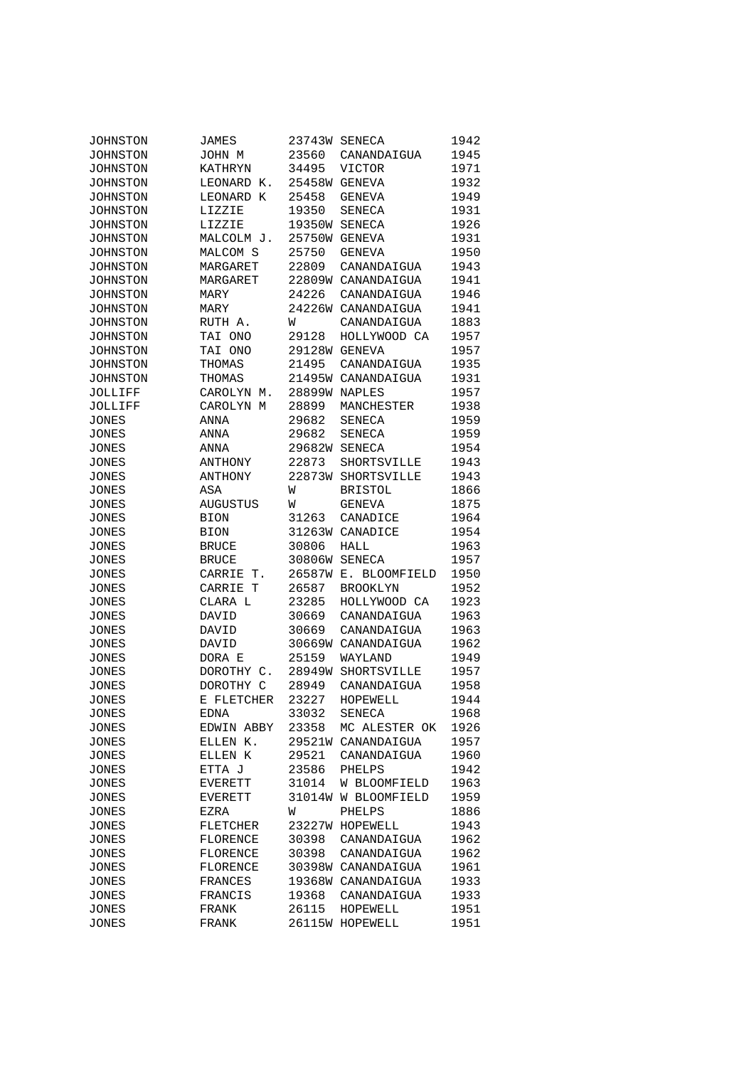| JOHNSTON        | JAMES           | 23743W | SENECA              | 1942 |
|-----------------|-----------------|--------|---------------------|------|
| <b>JOHNSTON</b> | JOHN M          | 23560  | CANANDAIGUA         | 1945 |
| <b>JOHNSTON</b> | KATHRYN         | 34495  | <b>VICTOR</b>       | 1971 |
| <b>JOHNSTON</b> | LEONARD K.      | 25458W | GENEVA              | 1932 |
| <b>JOHNSTON</b> | LEONARD K       | 25458  | <b>GENEVA</b>       | 1949 |
| <b>JOHNSTON</b> | LIZZIE          | 19350  | SENECA              | 1931 |
| JOHNSTON        | LIZZIE          | 19350W | SENECA              | 1926 |
| <b>JOHNSTON</b> | MALCOLM J.      | 25750W | <b>GENEVA</b>       | 1931 |
| <b>JOHNSTON</b> | MALCOM S        | 25750  | <b>GENEVA</b>       | 1950 |
| <b>JOHNSTON</b> | MARGARET        | 22809  | CANANDAIGUA         | 1943 |
| <b>JOHNSTON</b> | MARGARET        | 22809W | CANANDAIGUA         | 1941 |
| JOHNSTON        | MARY            | 24226  | CANANDAIGUA         | 1946 |
| JOHNSTON        | MARY            | 24226W | CANANDAIGUA         | 1941 |
| <b>JOHNSTON</b> | RUTH A.         | M      | CANANDAIGUA         | 1883 |
| JOHNSTON        | TAI ONO         | 29128  | HOLLYWOOD CA        | 1957 |
| <b>JOHNSTON</b> | TAI ONO         | 29128W | <b>GENEVA</b>       | 1957 |
| <b>JOHNSTON</b> | THOMAS          | 21495  | CANANDAIGUA         | 1935 |
| JOHNSTON        | THOMAS          |        | 21495W CANANDAIGUA  | 1931 |
| JOLLIFF         | CAROLYN M.      | 28899W | <b>NAPLES</b>       | 1957 |
| JOLLIFF         | CAROLYN M       | 28899  | MANCHESTER          | 1938 |
| <b>JONES</b>    | ANNA            | 29682  | SENECA              | 1959 |
| <b>JONES</b>    | ANNA            | 29682  | SENECA              | 1959 |
| <b>JONES</b>    | ANNA            | 29682W | SENECA              | 1954 |
| <b>JONES</b>    | <b>ANTHONY</b>  | 22873  | SHORTSVILLE         | 1943 |
| <b>JONES</b>    | <b>ANTHONY</b>  | 22873W | SHORTSVILLE         | 1943 |
| <b>JONES</b>    | ASA             | W      | <b>BRISTOL</b>      | 1866 |
| <b>JONES</b>    | <b>AUGUSTUS</b> | W      | GENEVA              | 1875 |
| <b>JONES</b>    | <b>BION</b>     | 31263  | CANADICE            | 1964 |
| <b>JONES</b>    | BION            | 31263W | CANADICE            | 1954 |
| <b>JONES</b>    | <b>BRUCE</b>    | 30806  | HALL                | 1963 |
| <b>JONES</b>    | <b>BRUCE</b>    | 30806W | SENECA              | 1957 |
| <b>JONES</b>    | CARRIE T.       | 26587W | E. BLOOMFIELD       | 1950 |
| <b>JONES</b>    | CARRIE T        | 26587  | <b>BROOKLYN</b>     | 1952 |
| <b>JONES</b>    | CLARA L         | 23285  | HOLLYWOOD CA        | 1923 |
| <b>JONES</b>    | DAVID           | 30669  | CANANDAIGUA         | 1963 |
| JONES           | DAVID           | 30669  | CANANDAIGUA         | 1963 |
| JONES           | DAVID           | 30669W | CANANDAIGUA         | 1962 |
| <b>JONES</b>    | DORA E          | 25159  | WAYLAND             | 1949 |
| <b>JONES</b>    | DOROTHY C.      | 28949W | SHORTSVILLE         | 1957 |
| <b>JONES</b>    | DOROTHY C       | 28949  | CANANDAIGUA         | 1958 |
| JONES           | E FLETCHER      | 23227  | HOPEWELL            | 1944 |
| JONES           | EDNA            | 33032  | SENECA              | 1968 |
| JONES           | EDWIN ABBY      | 23358  | MC ALESTER OK       | 1926 |
| <b>JONES</b>    | ELLEN K.        |        | 29521W CANANDAIGUA  | 1957 |
| <b>JONES</b>    | ELLEN K         | 29521  | CANANDAIGUA         | 1960 |
| <b>JONES</b>    | ETTA J          | 23586  | PHELPS              | 1942 |
| <b>JONES</b>    | <b>EVERETT</b>  | 31014  | W BLOOMFIELD        | 1963 |
| <b>JONES</b>    | <b>EVERETT</b>  |        | 31014W W BLOOMFIELD | 1959 |
| JONES           | EZRA            | W      | PHELPS              | 1886 |
| JONES           | FLETCHER        | 23227W | HOPEWELL            | 1943 |
| JONES           | FLORENCE        | 30398  | CANANDAIGUA         | 1962 |
| JONES           | FLORENCE        | 30398  | CANANDAIGUA         | 1962 |
| JONES           | FLORENCE        |        | 30398W CANANDAIGUA  | 1961 |
| JONES           | FRANCES         | 19368W | CANANDAIGUA         | 1933 |
| JONES           | FRANCIS         | 19368  | CANANDAIGUA         | 1933 |
| JONES           | FRANK           | 26115  | HOPEWELL            | 1951 |
| JONES           | FRANK           |        | 26115W HOPEWELL     | 1951 |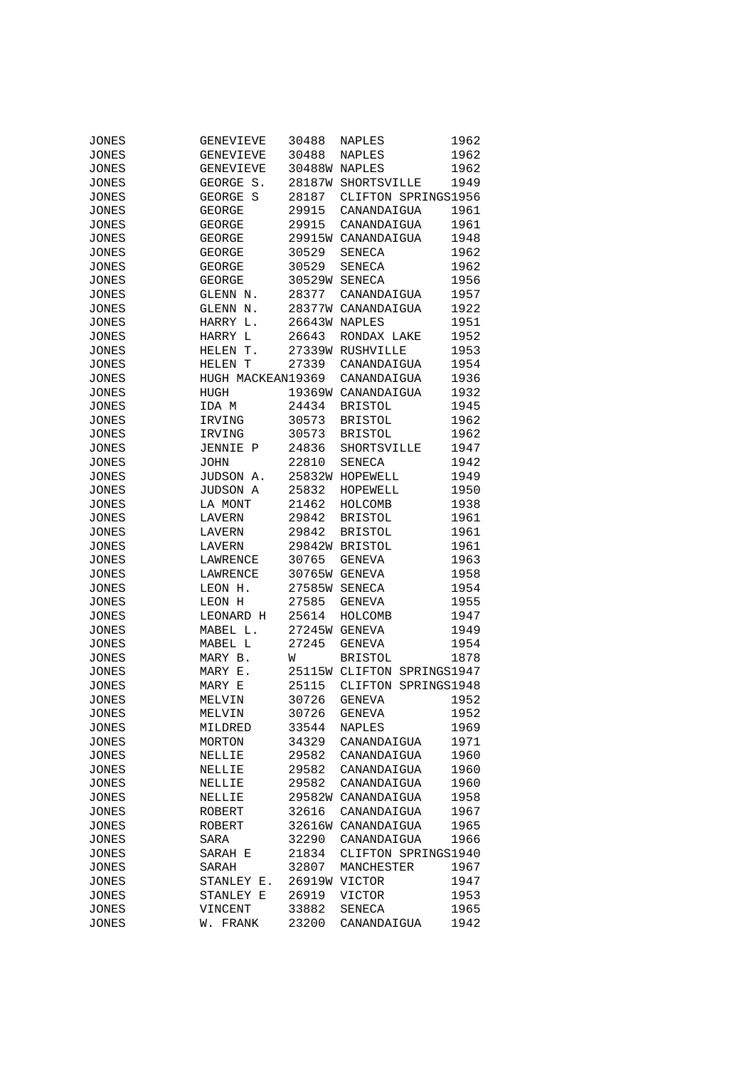| JONES        | GENEVIEVE        | 30488         | NAPLES                        | 1962 |
|--------------|------------------|---------------|-------------------------------|------|
| <b>JONES</b> | GENEVIEVE        | 30488         | NAPLES                        | 1962 |
| <b>JONES</b> | <b>GENEVIEVE</b> |               | 30488W NAPLES                 | 1962 |
| <b>JONES</b> | GEORGE S.        | 28187W        | SHORTSVILLE                   | 1949 |
| <b>JONES</b> | GEORGE S         | 28187         | CLIFTON SPRINGS1956           |      |
| <b>JONES</b> | <b>GEORGE</b>    | 29915         | CANANDAIGUA                   | 1961 |
| <b>JONES</b> | <b>GEORGE</b>    | 29915         | CANANDAIGUA                   | 1961 |
| <b>JONES</b> | <b>GEORGE</b>    |               | 29915W CANANDAIGUA            | 1948 |
| <b>JONES</b> | <b>GEORGE</b>    | 30529         | SENECA                        | 1962 |
| <b>JONES</b> | <b>GEORGE</b>    | 30529         | SENECA                        | 1962 |
| <b>JONES</b> | <b>GEORGE</b>    |               | 30529W SENECA                 | 1956 |
| <b>JONES</b> | GLENN N.         | 28377         | CANANDAIGUA                   | 1957 |
| <b>JONES</b> | GLENN N.         |               | 28377W CANANDAIGUA            | 1922 |
| <b>JONES</b> | HARRY L.         | 26643W NAPLES |                               | 1951 |
| <b>JONES</b> | HARRY L          | 26643         | RONDAX LAKE                   | 1952 |
| <b>JONES</b> | HELEN T.         |               | 27339W RUSHVILLE              | 1953 |
| <b>JONES</b> | HELEN T          | 27339         | CANANDAIGUA                   | 1954 |
| <b>JONES</b> |                  |               | HUGH MACKEAN19369 CANANDAIGUA | 1936 |
| <b>JONES</b> | <b>HUGH</b>      |               | 19369W CANANDAIGUA            | 1932 |
| <b>JONES</b> | IDA M            | 24434         | <b>BRISTOL</b>                | 1945 |
| <b>JONES</b> | IRVING           | 30573         | <b>BRISTOL</b>                | 1962 |
| <b>JONES</b> | IRVING           | 30573         | <b>BRISTOL</b>                | 1962 |
| <b>JONES</b> | <b>JENNIE P</b>  | 24836         | SHORTSVILLE                   | 1947 |
| <b>JONES</b> | <b>JOHN</b>      | 22810         | SENECA                        | 1942 |
| <b>JONES</b> | JUDSON A.        |               | 25832W HOPEWELL               | 1949 |
| <b>JONES</b> | JUDSON A         | 25832         | HOPEWELL                      | 1950 |
| <b>JONES</b> | LA MONT          | 21462         | HOLCOMB                       | 1938 |
| <b>JONES</b> | LAVERN           | 29842         | <b>BRISTOL</b>                | 1961 |
| <b>JONES</b> | LAVERN           | 29842         | <b>BRISTOL</b>                | 1961 |
| <b>JONES</b> | LAVERN           |               | 29842W BRISTOL                | 1961 |
| <b>JONES</b> | LAWRENCE         | 30765         | <b>GENEVA</b>                 | 1963 |
| <b>JONES</b> | LAWRENCE         |               | 30765W GENEVA                 | 1958 |
| <b>JONES</b> | LEON H.          | 27585W        | SENECA                        | 1954 |
| <b>JONES</b> | LEON H           | 27585         | <b>GENEVA</b>                 | 1955 |
| <b>JONES</b> | LEONARD H        | 25614         | HOLCOMB                       | 1947 |
| JONES        | MABEL L.         |               | 27245W GENEVA                 | 1949 |
| JONES        | MABEL L          | 27245         | <b>GENEVA</b>                 | 1954 |
| <b>JONES</b> | MARY B.          | W             | <b>BRISTOL</b>                | 1878 |
| <b>JONES</b> | MARY E.          |               | 25115W CLIFTON SPRINGS1947    |      |
| <b>JONES</b> | MARY E           | 25115         | CLIFTON SPRINGS1948           |      |
| JONES        | MELVIN           |               | 30726 GENEVA                  | 1952 |
| JONES        | MELVIN           | 30726         | GENEVA                        | 1952 |
| JONES        | MILDRED          | 33544         | NAPLES                        | 1969 |
| JONES        | MORTON           | 34329         | CANANDAIGUA                   | 1971 |
| JONES        | NELLIE           | 29582         | CANANDAIGUA                   | 1960 |
| JONES        | NELLIE           | 29582         | CANANDAIGUA                   | 1960 |
| JONES        | NELLIE           | 29582         | CANANDAIGUA                   | 1960 |
| JONES        | NELLIE           |               | 29582W CANANDAIGUA            | 1958 |
| JONES        | ROBERT           | 32616         | CANANDAIGUA                   | 1967 |
| <b>JONES</b> | ROBERT           |               | 32616W CANANDAIGUA            | 1965 |
| <b>JONES</b> | SARA             | 32290         | CANANDAIGUA                   | 1966 |
| JONES        | SARAH E          | 21834         | CLIFTON SPRINGS1940           |      |
| JONES        | SARAH            | 32807         | MANCHESTER                    | 1967 |
| JONES        | STANLEY E.       | 26919W        | <b>VICTOR</b>                 | 1947 |
| JONES        | STANLEY E        | 26919         | VICTOR                        | 1953 |
| <b>JONES</b> | VINCENT          | 33882         | SENECA                        | 1965 |
| <b>JONES</b> | W. FRANK         | 23200         | CANANDAIGUA                   | 1942 |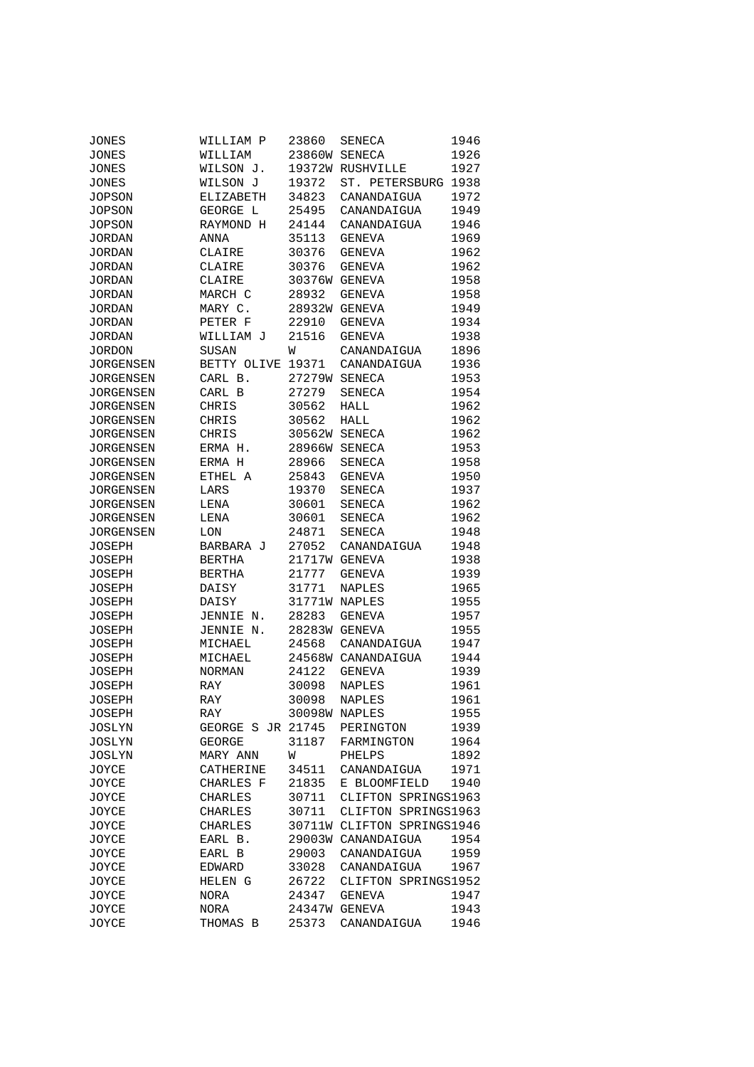| JONES            | WILLIAM P         | 23860  | SENECA                     | 1946 |
|------------------|-------------------|--------|----------------------------|------|
| <b>JONES</b>     | WILLIAM           | 23860W | SENECA                     | 1926 |
| JONES            | WILSON J.         | 19372W | <b>RUSHVILLE</b>           | 1927 |
| JONES            | WILSON J          | 19372  | ST. PETERSBURG             | 1938 |
| <b>JOPSON</b>    | ELIZABETH         | 34823  | CANANDAIGUA                | 1972 |
| <b>JOPSON</b>    | GEORGE L          | 25495  | CANANDAIGUA                | 1949 |
| <b>JOPSON</b>    | RAYMOND H         | 24144  | CANANDAIGUA                | 1946 |
| <b>JORDAN</b>    | ANNA              | 35113  | <b>GENEVA</b>              | 1969 |
| <b>JORDAN</b>    | CLAIRE            | 30376  | GENEVA                     | 1962 |
| JORDAN           | CLAIRE            | 30376  | GENEVA                     | 1962 |
| <b>JORDAN</b>    | CLAIRE            | 30376W | <b>GENEVA</b>              | 1958 |
| <b>JORDAN</b>    | MARCH C           | 28932  | GENEVA                     | 1958 |
| <b>JORDAN</b>    | MARY C.           | 28932W | GENEVA                     | 1949 |
| <b>JORDAN</b>    | PETER F           | 22910  | <b>GENEVA</b>              | 1934 |
| <b>JORDAN</b>    | WILLIAM J         | 21516  | <b>GENEVA</b>              | 1938 |
| <b>JORDON</b>    | SUSAN             | W      | CANANDAIGUA                | 1896 |
| <b>JORGENSEN</b> | BETTY OLIVE 19371 |        | CANANDAIGUA                | 1936 |
| JORGENSEN        | CARL B.           | 27279W | SENECA                     | 1953 |
| JORGENSEN        | CARL B            | 27279  | SENECA                     | 1954 |
| <b>JORGENSEN</b> | CHRIS             | 30562  | <b>HALL</b>                | 1962 |
| JORGENSEN        | CHRIS             | 30562  | HALL                       | 1962 |
| JORGENSEN        | CHRIS             | 30562W | SENECA                     | 1962 |
| JORGENSEN        | ERMA H.           | 28966W | SENECA                     | 1953 |
| JORGENSEN        | ERMA H            | 28966  | SENECA                     | 1958 |
| <b>JORGENSEN</b> | ETHEL A           | 25843  | <b>GENEVA</b>              | 1950 |
| <b>JORGENSEN</b> | LARS              | 19370  | SENECA                     | 1937 |
| JORGENSEN        | LENA              | 30601  | SENECA                     | 1962 |
| JORGENSEN        | LENA              | 30601  | SENECA                     | 1962 |
| JORGENSEN        | LON               | 24871  | SENECA                     | 1948 |
| JOSEPH           | BARBARA J         | 27052  | CANANDAIGUA                | 1948 |
| <b>JOSEPH</b>    | <b>BERTHA</b>     | 21717W | <b>GENEVA</b>              | 1938 |
| <b>JOSEPH</b>    | <b>BERTHA</b>     | 21777  | <b>GENEVA</b>              | 1939 |
| JOSEPH           | DAISY             | 31771  | NAPLES                     | 1965 |
| <b>JOSEPH</b>    | DAISY             | 31771W | <b>NAPLES</b>              | 1955 |
| JOSEPH           | JENNIE N.         | 28283  | <b>GENEVA</b>              | 1957 |
| <b>JOSEPH</b>    | JENNIE N.         | 28283W | <b>GENEVA</b>              | 1955 |
| <b>JOSEPH</b>    | MICHAEL           | 24568  | CANANDAIGUA                | 1947 |
| JOSEPH           | MICHAEL           |        | 24568W CANANDAIGUA         | 1944 |
| <b>JOSEPH</b>    | <b>NORMAN</b>     | 24122  | <b>GENEVA</b>              | 1939 |
| <b>JOSEPH</b>    | RAY               | 30098  | <b>NAPLES</b>              | 1961 |
| JOSEPH           | RAY               | 30098  | NAPLES                     | 1961 |
| JOSEPH           | RAY               |        | 30098W NAPLES              | 1955 |
| <b>JOSLYN</b>    | GEORGE S JR 21745 |        | PERINGTON                  | 1939 |
| JOSLYN           | GEORGE            | 31187  | FARMINGTON                 | 1964 |
| <b>JOSLYN</b>    | MARY ANN          | W      | PHELPS                     | 1892 |
| JOYCE            | CATHERINE         | 34511  | CANANDAIGUA                | 1971 |
| JOYCE            | CHARLES F         | 21835  | E BLOOMFIELD               | 1940 |
| JOYCE            | <b>CHARLES</b>    | 30711  | CLIFTON SPRINGS1963        |      |
| JOYCE            | <b>CHARLES</b>    | 30711  | CLIFTON SPRINGS1963        |      |
| JOYCE            | CHARLES           |        | 30711W CLIFTON SPRINGS1946 |      |
| JOYCE            | EARL B.           |        | 29003W CANANDAIGUA         | 1954 |
| JOYCE            | EARL B            | 29003  | CANANDAIGUA                | 1959 |
| JOYCE            | EDWARD            | 33028  | CANANDAIGUA                | 1967 |
| JOYCE            | HELEN G           | 26722  | CLIFTON SPRINGS1952        |      |
| JOYCE            | NORA              | 24347  | GENEVA                     | 1947 |
| JOYCE            | <b>NORA</b>       | 24347W | GENEVA                     | 1943 |
| <b>JOYCE</b>     | THOMAS B          | 25373  | CANANDAIGUA                | 1946 |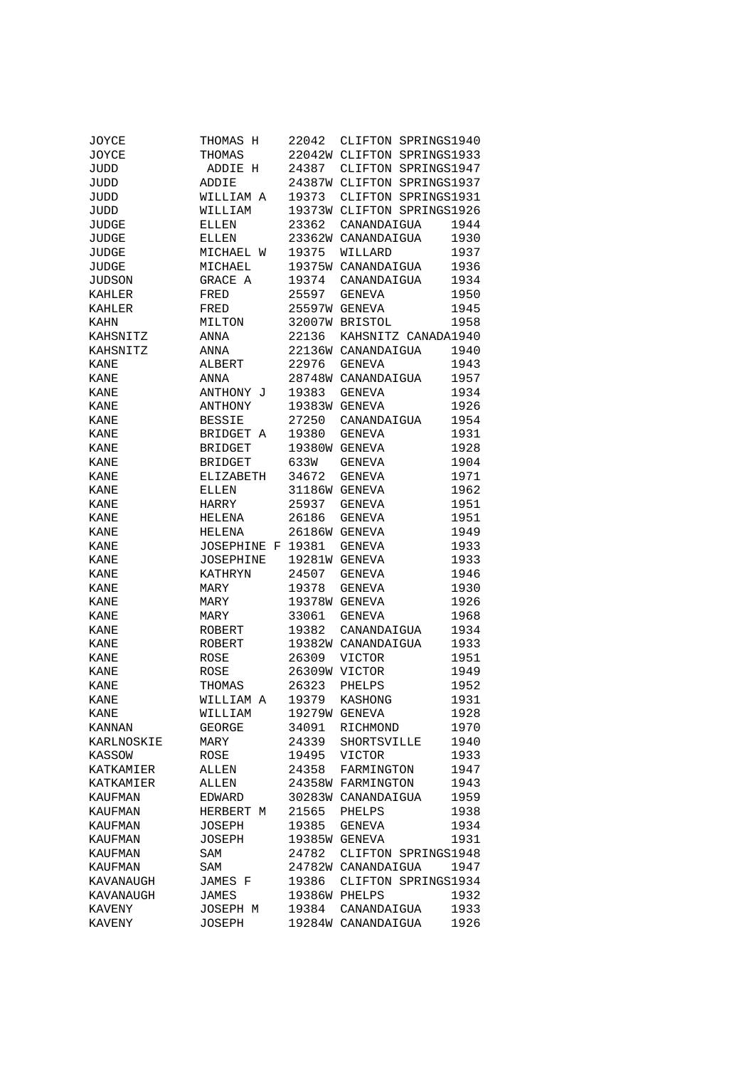| JOYCE          | THOMAS H                     | 22042         | CLIFTON SPRINGS1940        |      |
|----------------|------------------------------|---------------|----------------------------|------|
| <b>JOYCE</b>   | THOMAS                       |               | 22042W CLIFTON SPRINGS1933 |      |
| <b>JUDD</b>    | ADDIE H                      | 24387         | CLIFTON SPRINGS1947        |      |
| <b>JUDD</b>    | ADDIE                        |               | 24387W CLIFTON SPRINGS1937 |      |
| <b>JUDD</b>    | WILLIAM A                    | 19373         | CLIFTON SPRINGS1931        |      |
| <b>JUDD</b>    | WILLIAM                      |               | 19373W CLIFTON SPRINGS1926 |      |
| JUDGE          | <b>ELLEN</b>                 | 23362         | CANANDAIGUA                | 1944 |
| JUDGE          | <b>ELLEN</b>                 |               | 23362W CANANDAIGUA         | 1930 |
| JUDGE          | MICHAEL W                    | 19375         | WILLARD                    | 1937 |
| JUDGE          | MICHAEL                      |               | 19375W CANANDAIGUA         | 1936 |
| JUDSON         | GRACE A                      |               | 19374 CANANDAIGUA          | 1934 |
| KAHLER         | FRED                         | 25597         | <b>GENEVA</b>              | 1950 |
| KAHLER         | FRED                         | 25597W GENEVA |                            | 1945 |
| KAHN           | MILTON                       |               | 32007W BRISTOL             | 1958 |
| KAHSNITZ       | ANNA                         | 22136         | KAHSNITZ CANADA1940        |      |
| KAHSNITZ       | ANNA                         |               | 22136W CANANDAIGUA         | 1940 |
| <b>KANE</b>    | ALBERT                       | 22976         | GENEVA                     | 1943 |
| KANE           | ANNA                         |               | 28748W CANANDAIGUA         | 1957 |
| KANE           | ANTHONY J                    | 19383         | GENEVA                     | 1934 |
| KANE           | ANTHONY                      |               | 19383W GENEVA              | 1926 |
| KANE           | <b>BESSIE</b>                | 27250         | CANANDAIGUA                | 1954 |
| KANE           | BRIDGET A                    | 19380         | GENEVA                     | 1931 |
| KANE           | <b>BRIDGET</b>               |               | 19380W GENEVA              | 1928 |
| <b>KANE</b>    | <b>BRIDGET</b>               | 633W          | GENEVA                     | 1904 |
| KANE           | ELIZABETH                    | 34672         | GENEVA                     | 1971 |
| KANE           | ELLEN                        |               | 31186W GENEVA              | 1962 |
| KANE           | HARRY                        | 25937         | GENEVA                     | 1951 |
| KANE           | HELENA                       | 26186         | <b>GENEVA</b>              | 1951 |
| KANE           | HELENA                       |               | 26186W GENEVA              | 1949 |
| KANE           | JOSEPHINE F 19381            |               | <b>GENEVA</b>              | 1933 |
| KANE           | JOSEPHINE                    | 19281W GENEVA |                            | 1933 |
| KANE           | KATHRYN                      | 24507         | <b>GENEVA</b>              | 1946 |
| KANE           | MARY                         | 19378         | <b>GENEVA</b>              | 1930 |
| KANE           | $\ensuremath{\mathsf{MARY}}$ | 19378W GENEVA |                            | 1926 |
| KANE           | MARY                         | 33061         | <b>GENEVA</b>              | 1968 |
| <b>KANE</b>    | ROBERT                       | 19382         | CANANDAIGUA                | 1934 |
| <b>KANE</b>    | ROBERT                       |               | 19382W CANANDAIGUA         | 1933 |
| <b>KANE</b>    | ROSE                         | 26309         | VICTOR                     | 1951 |
| <b>KANE</b>    | ROSE                         | 26309W VICTOR |                            | 1949 |
| <b>KANE</b>    | THOMAS                       | 26323         | PHELPS                     | 1952 |
| KANE           | WILLIAM A                    |               | 19379 KASHONG              | 1931 |
| KANE           | WILLIAM                      | 19279W GENEVA |                            | 1928 |
| KANNAN         | GEORGE                       | 34091         | RICHMOND                   | 1970 |
| KARLNOSKIE     | MARY                         | 24339         | SHORTSVILLE                | 1940 |
| KASSOW         | ROSE                         | 19495         | <b>VICTOR</b>              | 1933 |
| KATKAMIER      | ALLEN                        | 24358         | FARMINGTON                 | 1947 |
| KATKAMIER      | ALLEN                        |               | 24358W FARMINGTON          | 1943 |
| <b>KAUFMAN</b> | EDWARD                       | 30283W        | CANANDAIGUA                | 1959 |
| KAUFMAN        | HERBERT M                    | 21565         | PHELPS                     | 1938 |
| KAUFMAN        | JOSEPH                       | 19385         | <b>GENEVA</b>              | 1934 |
| KAUFMAN        | <b>JOSEPH</b>                |               | 19385W GENEVA              | 1931 |
| KAUFMAN        | SAM                          | 24782         | CLIFTON SPRINGS1948        |      |
| KAUFMAN        | SAM                          |               | 24782W CANANDAIGUA         | 1947 |
| KAVANAUGH      | JAMES F                      | 19386         | CLIFTON SPRINGS1934        |      |
| KAVANAUGH      | JAMES                        | 19386W        | PHELPS                     | 1932 |
| KAVENY         | JOSEPH M                     | 19384         | CANANDAIGUA                | 1933 |
| KAVENY         | JOSEPH                       |               | 19284W CANANDAIGUA         | 1926 |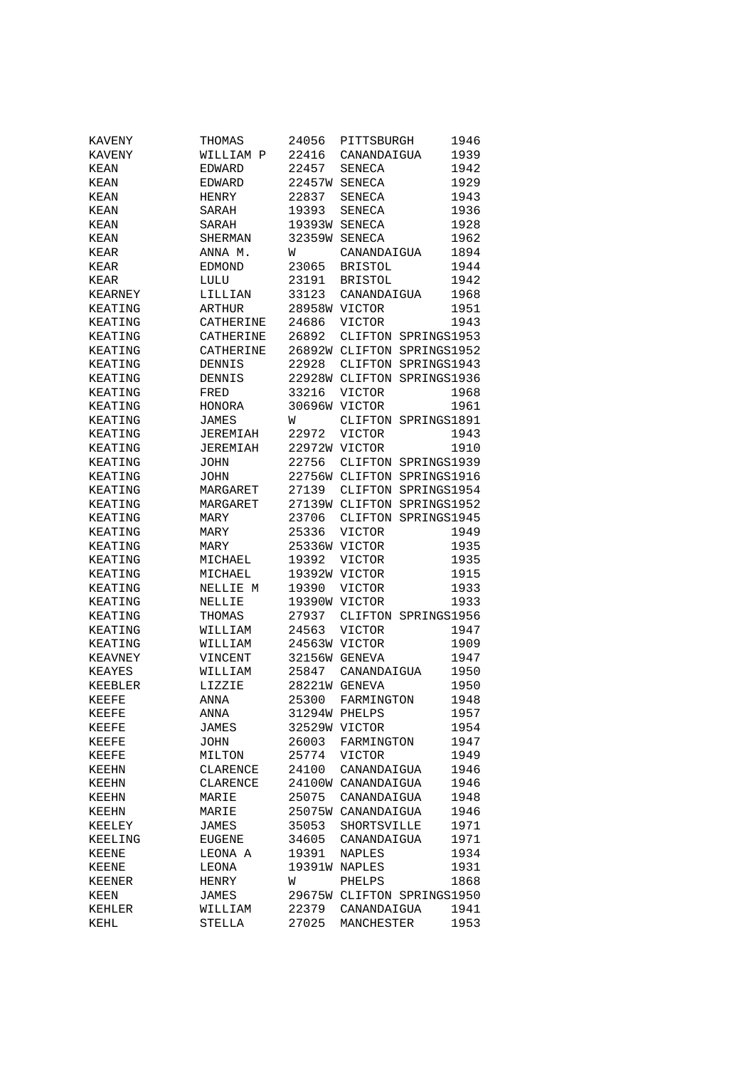| KAVENY         | THOMAS          | 24056         | PITTSBURGH                    | 1946 |
|----------------|-----------------|---------------|-------------------------------|------|
| <b>KAVENY</b>  | WILLIAM P       | 22416         | CANANDAIGUA                   | 1939 |
| KEAN           | <b>EDWARD</b>   | 22457         | <b>SENECA</b>                 | 1942 |
| KEAN           | EDWARD          | 22457W        | SENECA                        | 1929 |
| KEAN           | <b>HENRY</b>    | 22837         | SENECA                        | 1943 |
| <b>KEAN</b>    | SARAH           | 19393         | <b>SENECA</b>                 | 1936 |
| KEAN           | SARAH           | 19393W        | SENECA                        | 1928 |
| KEAN           | SHERMAN         | 32359W        | SENECA                        | 1962 |
| <b>KEAR</b>    | ANNA M.         | W             | CANANDAIGUA                   | 1894 |
| <b>KEAR</b>    | EDMOND          | 23065         | <b>BRISTOL</b>                | 1944 |
| <b>KEAR</b>    | LULU            | 23191         | <b>BRISTOL</b>                | 1942 |
| KEARNEY        | LILLIAN         | 33123         | CANANDAIGUA                   | 1968 |
| <b>KEATING</b> | <b>ARTHUR</b>   | 28958W VICTOR |                               | 1951 |
| KEATING        | CATHERINE       | 24686         | VICTOR                        | 1943 |
| KEATING        | CATHERINE       | 26892         | CLIFTON SPRINGS1953           |      |
| KEATING        | CATHERINE       | 26892W        | CLIFTON<br>SPRINGS1952        |      |
| KEATING        | DENNIS          | 22928         | CLIFTON<br>SPRINGS1943        |      |
| KEATING        | DENNIS          |               | 22928W CLIFTON<br>SPRINGS1936 |      |
| KEATING        | FRED            | 33216         | VICTOR                        | 1968 |
| <b>KEATING</b> | HONORA          | 30696W VICTOR |                               | 1961 |
| KEATING        | JAMES           | W             | CLIFTON SPRINGS1891           |      |
| KEATING        | JEREMIAH        | 22972         | VICTOR                        | 1943 |
| KEATING        | <b>JEREMIAH</b> | 22972W VICTOR |                               | 1910 |
| KEATING        | JOHN            | 22756         | CLIFTON SPRINGS1939           |      |
| <b>KEATING</b> | <b>JOHN</b>     |               | 22756W CLIFTON SPRINGS1916    |      |
| KEATING        | MARGARET        | 27139         | CLIFTON<br>SPRINGS1954        |      |
| KEATING        | MARGARET        |               | 27139W CLIFTON<br>SPRINGS1952 |      |
| KEATING        | MARY            | 23706         | CLIFTON<br>SPRINGS1945        |      |
| KEATING        | MARY            | 25336         | VICTOR                        | 1949 |
| KEATING        | MARY            | 25336W VICTOR |                               | 1935 |
| KEATING        | MICHAEL         | 19392         | VICTOR                        | 1935 |
| <b>KEATING</b> | MICHAEL         | 19392W VICTOR |                               | 1915 |
| KEATING        | NELLIE M        | 19390         | VICTOR                        | 1933 |
| KEATING        | NELLIE          | 19390W VICTOR |                               | 1933 |
| KEATING        | THOMAS          | 27937         | CLIFTON<br>SPRINGS1956        |      |
| KEATING        | WILLIAM         | 24563         | VICTOR                        | 1947 |
| KEATING        | WILLIAM         | 24563W VICTOR |                               | 1909 |
| <b>KEAVNEY</b> | VINCENT         | 32156W GENEVA |                               | 1947 |
| <b>KEAYES</b>  | WILLIAM         | 25847         | CANANDAIGUA                   | 1950 |
| KEEBLER        | LIZZIE          | 28221W        | <b>GENEVA</b>                 | 1950 |
| KEEFE          | ANNA            | 25300         | FARMINGTON                    | 1948 |
| KEEFE          | ANNA            | 31294W PHELPS |                               | 1957 |
| KEEFE          | JAMES           | 32529W VICTOR |                               | 1954 |
| KEEFE          | JOHN            | 26003         | FARMINGTON                    | 1947 |
| KEEFE          | MILTON          | 25774         | VICTOR                        | 1949 |
| <b>KEEHN</b>   | CLARENCE        | 24100         | CANANDAIGUA                   | 1946 |
| KEEHN          | CLARENCE        |               | 24100W CANANDAIGUA            | 1946 |
| KEEHN          | MARIE           | 25075         | CANANDAIGUA                   | 1948 |
| KEEHN          | MARIE           | 25075W        | CANANDAIGUA                   | 1946 |
| KEELEY         | JAMES           | 35053         | SHORTSVILLE                   | 1971 |
| KEELING        | <b>EUGENE</b>   | 34605         | CANANDAIGUA                   | 1971 |
| KEENE          | LEONA A         | 19391         | NAPLES                        | 1934 |
| KEENE          | LEONA           | 19391W NAPLES |                               | 1931 |
| KEENER         | HENRY           | W             | PHELPS                        | 1868 |
| KEEN           | JAMES           |               | 29675W CLIFTON SPRINGS1950    |      |
| KEHLER         | WILLIAM         | 22379         | CANANDAIGUA                   | 1941 |
| KEHL           | STELLA          | 27025         | MANCHESTER                    | 1953 |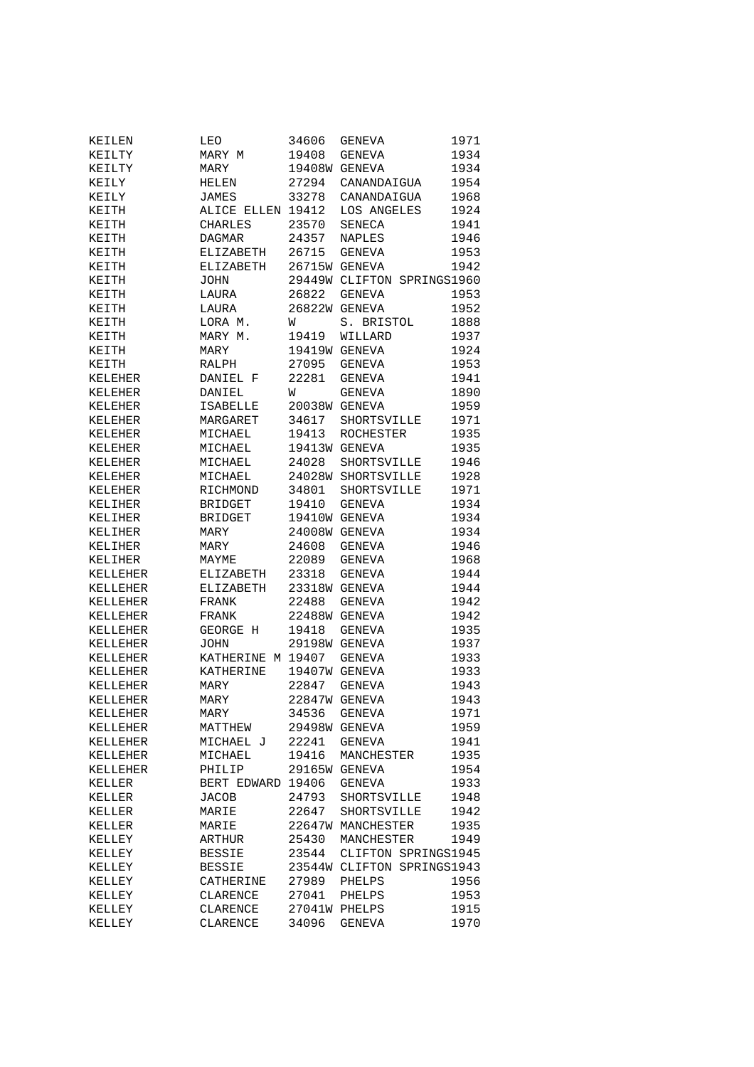| KEILEN         | LEO               | 34606         | GENEVA                     | 1971 |
|----------------|-------------------|---------------|----------------------------|------|
| KEILTY         | MARY M            | 19408         | <b>GENEVA</b>              | 1934 |
| KEILTY         | MARY              | 19408W        | GENEVA                     | 1934 |
| KEILY          | HELEN             | 27294         | CANANDAIGUA                | 1954 |
| KEILY          | JAMES             | 33278         | CANANDAIGUA                | 1968 |
| KEITH          | ALICE ELLEN 19412 |               | LOS ANGELES                | 1924 |
| KEITH          | CHARLES           | 23570         | SENECA                     | 1941 |
| KEITH          | DAGMAR            | 24357         | NAPLES                     | 1946 |
| KEITH          | ELIZABETH         | 26715         | <b>GENEVA</b>              | 1953 |
| KEITH          | ELIZABETH         | 26715W GENEVA |                            | 1942 |
| KEITH          | JOHN              |               | 29449W CLIFTON SPRINGS1960 |      |
| KEITH          | LAURA             | 26822         | <b>GENEVA</b>              | 1953 |
| KEITH          | LAURA             | 26822W        | <b>GENEVA</b>              | 1952 |
| KEITH          | LORA M.           | W             | S. BRISTOL                 | 1888 |
| KEITH          | MARY M.           | 19419         | WILLARD                    | 1937 |
| KEITH          | MARY              | 19419W        | <b>GENEVA</b>              | 1924 |
| KEITH          | RALPH             | 27095         | GENEVA                     | 1953 |
| KELEHER        | DANIEL F          | 22281         | <b>GENEVA</b>              | 1941 |
| KELEHER        | DANIEL            | W             | <b>GENEVA</b>              | 1890 |
| <b>KELEHER</b> | <b>ISABELLE</b>   |               | 20038W GENEVA              | 1959 |
| KELEHER        | MARGARET          | 34617         | SHORTSVILLE                | 1971 |
| KELEHER        | MICHAEL           | 19413         | <b>ROCHESTER</b>           | 1935 |
| KELEHER        | MICHAEL           | 19413W        | <b>GENEVA</b>              | 1935 |
| KELEHER        | MICHAEL           | 24028         | SHORTSVILLE                | 1946 |
| KELEHER        | MICHAEL           | 24028W        | SHORTSVILLE                | 1928 |
| <b>KELEHER</b> | RICHMOND          | 34801         | SHORTSVILLE                | 1971 |
| KELIHER        | BRIDGET           | 19410         | GENEVA                     | 1934 |
| KELIHER        | BRIDGET           |               | 19410W GENEVA              | 1934 |
| KELIHER        | MARY              | 24008W        | GENEVA                     | 1934 |
| KELIHER        | MARY              | 24608         | <b>GENEVA</b>              | 1946 |
| KELIHER        | MAYME             | 22089         | GENEVA                     | 1968 |
| KELLEHER       | ELIZABETH         | 23318         | GENEVA                     | 1944 |
| KELLEHER       | ELIZABETH         |               | 23318W GENEVA              | 1944 |
| KELLEHER       | FRANK             | 22488         | GENEVA                     | 1942 |
| KELLEHER       | FRANK             | 22488W GENEVA |                            | 1942 |
| KELLEHER       | GEORGE<br>Н       | 19418         | <b>GENEVA</b>              | 1935 |
| KELLEHER       | JOHN              | 29198W GENEVA |                            | 1937 |
| KELLEHER       | KATHERINE M 19407 |               | <b>GENEVA</b>              | 1933 |
| KELLEHER       | KATHERINE         | 19407W GENEVA |                            | 1933 |
| KELLEHER       | MARY              | 22847         | GENEVA                     | 1943 |
| KELLEHER       | MARY              | 22847W GENEVA |                            | 1943 |
| KELLEHER       | MARY              | 34536         | GENEVA                     | 1971 |
| KELLEHER       | MATTHEW           |               | 29498W GENEVA              | 1959 |
| KELLEHER       | MICHAEL J         | 22241         | GENEVA                     | 1941 |
| KELLEHER       | MICHAEL           | 19416         | MANCHESTER                 | 1935 |
| KELLEHER       | PHILIP            |               | 29165W GENEVA              | 1954 |
| KELLER         | BERT EDWARD 19406 |               | GENEVA                     | 1933 |
| KELLER         | JACOB             | 24793         | SHORTSVILLE                | 1948 |
| KELLER         | MARIE             | 22647         | SHORTSVILLE                | 1942 |
| KELLER         | MARIE             |               | 22647W MANCHESTER          | 1935 |
| KELLEY         | ARTHUR            | 25430         | MANCHESTER                 | 1949 |
| KELLEY         | <b>BESSIE</b>     | 23544         | CLIFTON SPRINGS1945        |      |
| KELLEY         | <b>BESSIE</b>     |               | 23544W CLIFTON SPRINGS1943 |      |
| KELLEY         | CATHERINE         | 27989         | PHELPS                     | 1956 |
| KELLEY         | CLARENCE          | 27041         | PHELPS                     | 1953 |
| KELLEY         | CLARENCE          | 27041W PHELPS |                            | 1915 |
| KELLEY         | CLARENCE          | 34096         | <b>GENEVA</b>              | 1970 |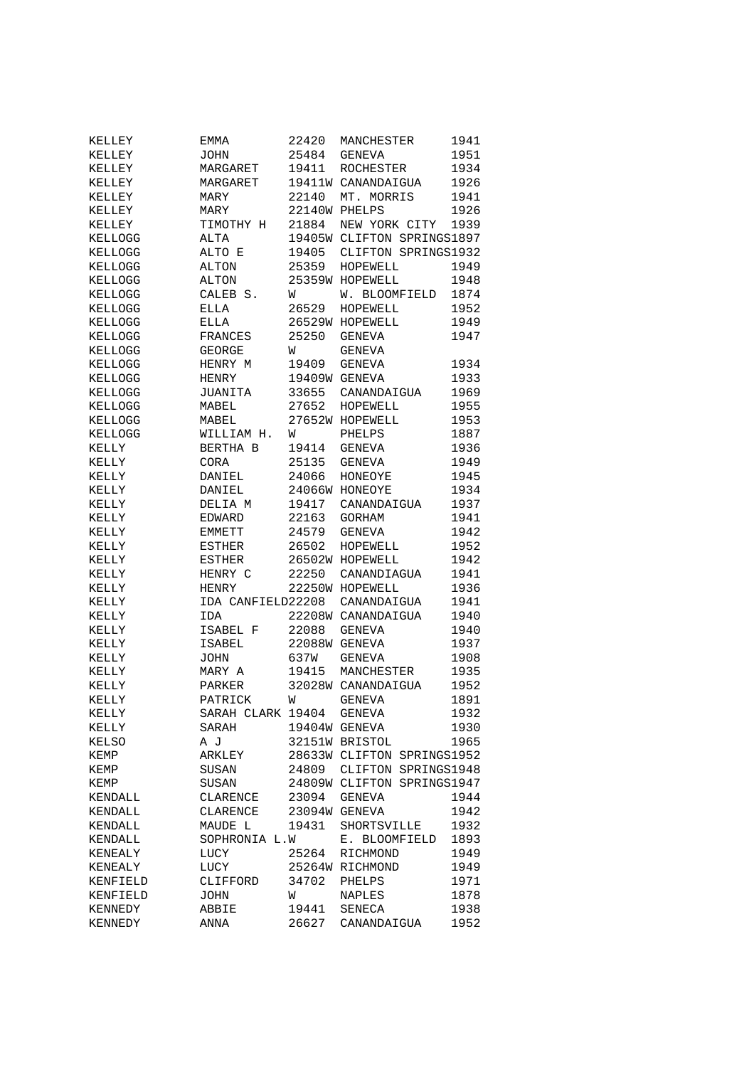| KELLEY         | EMMA                     | 22420         | MANCHESTER                 | 1941 |
|----------------|--------------------------|---------------|----------------------------|------|
| KELLEY         | JOHN                     | 25484         | GENEVA                     | 1951 |
| KELLEY         | MARGARET                 | 19411         | ROCHESTER                  | 1934 |
| KELLEY         | MARGARET                 |               | 19411W CANANDAIGUA         | 1926 |
| KELLEY         | MARY                     | 22140         | MT. MORRIS                 | 1941 |
| KELLEY         | MARY                     | 22140W PHELPS |                            | 1926 |
| KELLEY         | TIMOTHY H                | 21884         | NEW YORK CITY              | 1939 |
| KELLOGG        | ALTA                     |               | 19405W CLIFTON SPRINGS1897 |      |
| KELLOGG        | ALTO E                   | 19405         | CLIFTON SPRINGS1932        |      |
| KELLOGG        | <b>ALTON</b>             | 25359         | HOPEWELL                   | 1949 |
| KELLOGG        | <b>ALTON</b>             |               | 25359W HOPEWELL            | 1948 |
| KELLOGG        | CALEB S.                 | W             | W. BLOOMFIELD              | 1874 |
| KELLOGG        | ELLA                     | 26529         | HOPEWELL                   | 1952 |
| KELLOGG        | <b>ELLA</b>              |               | 26529W HOPEWELL            | 1949 |
| KELLOGG        | FRANCES                  | 25250         | <b>GENEVA</b>              | 1947 |
| KELLOGG        | GEORGE                   | W             | <b>GENEVA</b>              |      |
| KELLOGG        | HENRY M                  | 19409         | GENEVA                     | 1934 |
| KELLOGG        | HENRY                    | 19409W GENEVA |                            | 1933 |
| <b>KELLOGG</b> | JUANITA                  | 33655         | CANANDAIGUA                | 1969 |
| KELLOGG        | MABEL                    | 27652         | HOPEWELL                   | 1955 |
| KELLOGG        | MABEL                    |               | 27652W HOPEWELL            | 1953 |
| KELLOGG        | WILLIAM H.               | W             | PHELPS                     | 1887 |
| KELLY          | BERTHA B                 | 19414         | GENEVA                     | 1936 |
| KELLY          | CORA                     | 25135         | <b>GENEVA</b>              | 1949 |
| KELLY          | DANIEL                   | 24066         | HONEOYE                    | 1945 |
| KELLY          | DANIEL                   |               | 24066W HONEOYE             | 1934 |
| KELLY          | DELIA M                  | 19417         | CANANDAIGUA                | 1937 |
| KELLY          | EDWARD                   | 22163         | GORHAM                     | 1941 |
| KELLY          | <b>EMMETT</b>            | 24579         | GENEVA                     | 1942 |
| KELLY          | ESTHER                   | 26502         | HOPEWELL                   | 1952 |
| KELLY          | <b>ESTHER</b>            |               | 26502W HOPEWELL            | 1942 |
| KELLY          | HENRY C                  | 22250         | CANANDIAGUA                | 1941 |
| KELLY          | HENRY                    |               | 22250W HOPEWELL            | 1936 |
| KELLY          | IDA CANFIELD22208        |               | CANANDAIGUA                | 1941 |
| KELLY          | IDA                      |               | 22208W CANANDAIGUA         | 1940 |
| KELLY          | ISABEL F                 | 22088         | GENEVA                     | 1940 |
| KELLY          | <b>ISABEL</b>            | 22088W GENEVA |                            | 1937 |
| KELLY          | JOHN                     | 637W          | GENEVA                     | 1908 |
| KELLY          | MARY A                   | 19415         | MANCHESTER                 | 1935 |
| KELLY          | PARKER                   |               | 32028W CANANDAIGUA         | 1952 |
| KELLY          | PATRICK                  | <b>W</b>      | GENEVA                     | 1891 |
| KELLY          | SARAH CLARK 19404 GENEVA |               |                            | 1932 |
| KELLY          | SARAH                    |               | 19404W GENEVA              | 1930 |
| <b>KELSO</b>   | A J                      |               | 32151W BRISTOL             | 1965 |
| KEMP           | ARKLEY                   |               | 28633W CLIFTON SPRINGS1952 |      |
| KEMP           | SUSAN                    | 24809         | CLIFTON SPRINGS1948        |      |
| KEMP           | SUSAN                    |               | 24809W CLIFTON SPRINGS1947 |      |
| KENDALL        | CLARENCE                 | 23094         | GENEVA                     | 1944 |
| KENDALL        | CLARENCE                 |               | 23094W GENEVA              | 1942 |
| KENDALL        | MAUDE L                  | 19431         | SHORTSVILLE                | 1932 |
| KENDALL        | SOPHRONIA L.W            |               | E. BLOOMFIELD              | 1893 |
| KENEALY        | LUCY                     | 25264         | RICHMOND                   | 1949 |
| KENEALY        | LUCY                     |               | 25264W RICHMOND            | 1949 |
| KENFIELD       | CLIFFORD                 | 34702         | PHELPS                     | 1971 |
| KENFIELD       | JOHN                     | W             | NAPLES                     | 1878 |
| KENNEDY        | ABBIE                    | 19441         | SENECA                     | 1938 |
| KENNEDY        | ANNA                     | 26627         | CANANDAIGUA                | 1952 |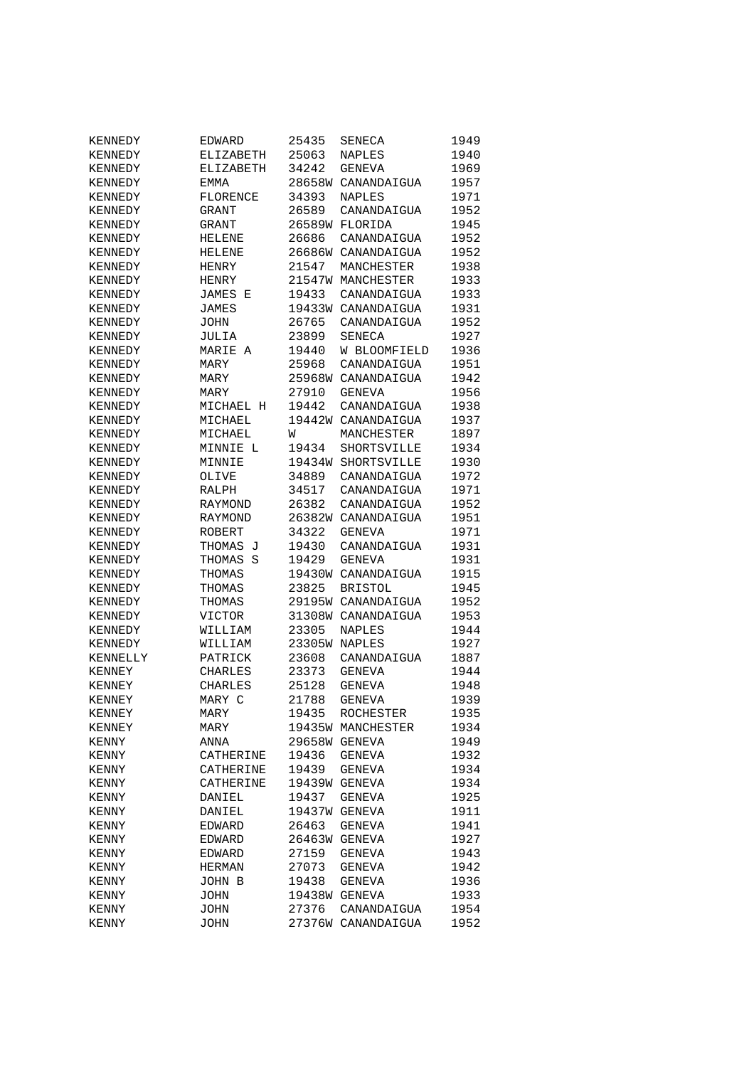| KENNEDY        | EDWARD         | 25435         | SENECA             | 1949 |
|----------------|----------------|---------------|--------------------|------|
| KENNEDY        | ELIZABETH      | 25063         | <b>NAPLES</b>      | 1940 |
| KENNEDY        | ELIZABETH      | 34242         | <b>GENEVA</b>      | 1969 |
| KENNEDY        | EMMA           | 28658W        | CANANDAIGUA        | 1957 |
| KENNEDY        | FLORENCE       | 34393         | <b>NAPLES</b>      | 1971 |
| KENNEDY        | GRANT          | 26589         | CANANDAIGUA        | 1952 |
| KENNEDY        | GRANT          | 26589W        | FLORIDA            | 1945 |
| KENNEDY        | HELENE         | 26686         | CANANDAIGUA        | 1952 |
| KENNEDY        | HELENE         | 26686W        | CANANDAIGUA        | 1952 |
| KENNEDY        | HENRY          | 21547         | MANCHESTER         | 1938 |
| KENNEDY        | HENRY          | 21547W        | MANCHESTER         | 1933 |
| KENNEDY        | JAMES<br>Е     | 19433         | CANANDAIGUA        | 1933 |
| KENNEDY        | <b>JAMES</b>   | 19433W        | CANANDAIGUA        | 1931 |
| KENNEDY        | JOHN           | 26765         | CANANDAIGUA        | 1952 |
| KENNEDY        | JULIA          | 23899         | SENECA             | 1927 |
| KENNEDY        | MARIE A        | 19440         | W BLOOMFIELD       | 1936 |
| KENNEDY        | MARY           | 25968         | CANANDAIGUA        | 1951 |
| KENNEDY        | MARY           | 25968W        | CANANDAIGUA        | 1942 |
| <b>KENNEDY</b> | MARY           | 27910         | <b>GENEVA</b>      | 1956 |
| KENNEDY        | MICHAEL H      | 19442         | CANANDAIGUA        | 1938 |
| KENNEDY        | MICHAEL        | 19442W        | CANANDAIGUA        | 1937 |
| KENNEDY        | MICHAEL        | W             | MANCHESTER         | 1897 |
| KENNEDY        | MINNIE L       | 19434         | SHORTSVILLE        | 1934 |
| KENNEDY        | MINNIE         | 19434W        | SHORTSVILLE        | 1930 |
| KENNEDY        | OLIVE          | 34889         | CANANDAIGUA        | 1972 |
| KENNEDY        | <b>RALPH</b>   | 34517         | CANANDAIGUA        | 1971 |
| KENNEDY        | RAYMOND        | 26382         | CANANDAIGUA        | 1952 |
| KENNEDY        | RAYMOND        | 26382W        | CANANDAIGUA        | 1951 |
| KENNEDY        | ROBERT         | 34322         | GENEVA             | 1971 |
| KENNEDY        | THOMAS<br>J    | 19430         | CANANDAIGUA        | 1931 |
| KENNEDY        | THOMAS<br>S    | 19429         | GENEVA             | 1931 |
| KENNEDY        | THOMAS         | 19430W        | CANANDAIGUA        | 1915 |
| KENNEDY        | THOMAS         | 23825         | <b>BRISTOL</b>     | 1945 |
| KENNEDY        | THOMAS         | 29195W        | CANANDAIGUA        | 1952 |
| KENNEDY        | VICTOR         | 31308W        | CANANDAIGUA        | 1953 |
| KENNEDY        | WILLIAM        | 23305         | NAPLES             | 1944 |
| KENNEDY        | WILLIAM        | 23305W        | NAPLES             | 1927 |
| KENNELLY       | PATRICK        | 23608         | CANANDAIGUA        | 1887 |
| <b>KENNEY</b>  | <b>CHARLES</b> | 23373         | <b>GENEVA</b>      | 1944 |
| KENNEY         | CHARLES        | 25128         | GENEVA             | 1948 |
| KENNEY         | MARY C         | 21788         | <b>GENEVA</b>      | 1939 |
| KENNEY         | MARY           | 19435         | ROCHESTER          | 1935 |
| <b>KENNEY</b>  | MARY           |               | 19435W MANCHESTER  | 1934 |
| KENNY          | ANNA           |               | 29658W GENEVA      | 1949 |
| KENNY          | CATHERINE      | 19436         | GENEVA             | 1932 |
| KENNY          | CATHERINE      | 19439         | GENEVA             | 1934 |
| KENNY          | CATHERINE      |               | 19439W GENEVA      | 1934 |
| KENNY          | DANIEL         | 19437         | GENEVA             | 1925 |
| KENNY          | DANIEL         | 19437W GENEVA |                    | 1911 |
| KENNY          | EDWARD         | 26463         | <b>GENEVA</b>      | 1941 |
| KENNY          | EDWARD         |               | 26463W GENEVA      | 1927 |
| KENNY          | EDWARD         | 27159         | GENEVA             | 1943 |
| KENNY          | HERMAN         | 27073         | GENEVA             | 1942 |
| KENNY          | JOHN B         | 19438         | GENEVA             | 1936 |
| KENNY          | JOHN           | 19438W        | GENEVA             | 1933 |
| KENNY          | JOHN           | 27376         | CANANDAIGUA        | 1954 |
| <b>KENNY</b>   | JOHN           |               | 27376W CANANDAIGUA | 1952 |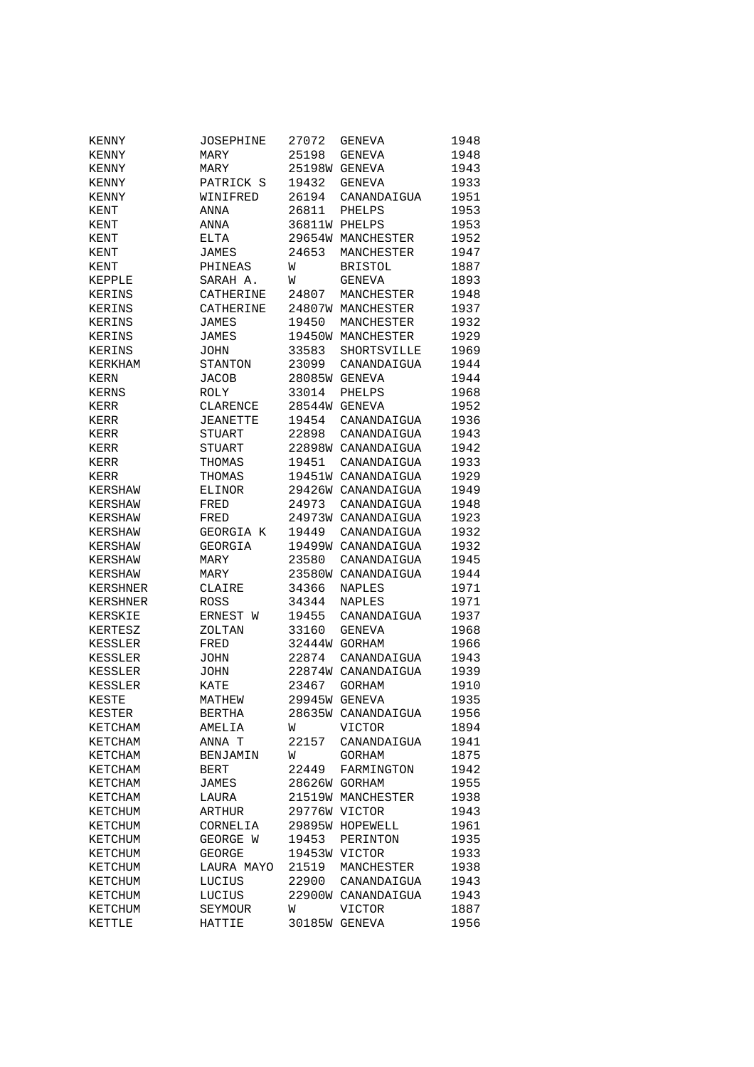| KENNY        | JOSEPHINE           | 27072         | <b>GENEVA</b>              | 1948 |
|--------------|---------------------|---------------|----------------------------|------|
| <b>KENNY</b> | MARY                | 25198         | GENEVA                     | 1948 |
| KENNY        | MARY                | 25198W        | GENEVA                     | 1943 |
| KENNY        | PATRICK S           | 19432         | GENEVA                     | 1933 |
| KENNY        | WINIFRED            | 26194         | CANANDAIGUA                | 1951 |
| KENT         | ANNA                | 26811         | PHELPS                     | 1953 |
| KENT         | $\mbox{{\sc Anda}}$ | 36811W PHELPS |                            | 1953 |
| KENT         | <b>ELTA</b>         | 29654W        | MANCHESTER                 | 1952 |
| KENT         | JAMES               | 24653         | MANCHESTER                 | 1947 |
| <b>KENT</b>  | PHINEAS             | W             | <b>BRISTOL</b>             | 1887 |
| KEPPLE       | SARAH A.            | W             | <b>GENEVA</b>              | 1893 |
| KERINS       | CATHERINE           | 24807         | MANCHESTER                 | 1948 |
| KERINS       | CATHERINE           | 24807W        | MANCHESTER                 | 1937 |
| KERINS       | <b>JAMES</b>        | 19450         | MANCHESTER                 | 1932 |
| KERINS       | <b>JAMES</b>        | 19450W        | MANCHESTER                 | 1929 |
| KERINS       | JOHN                | 33583         | SHORTSVILLE                | 1969 |
| KERKHAM      | <b>STANTON</b>      | 23099         | CANANDAIGUA                | 1944 |
| KERN         | <b>JACOB</b>        | 28085W        | <b>GENEVA</b>              | 1944 |
| KERNS        | <b>ROLY</b>         | 33014         | PHELPS                     | 1968 |
| <b>KERR</b>  | CLARENCE            | 28544W        | <b>GENEVA</b>              | 1952 |
| <b>KERR</b>  | <b>JEANETTE</b>     | 19454         | CANANDAIGUA                | 1936 |
| <b>KERR</b>  |                     | 22898         | CANANDAIGUA                | 1943 |
|              | STUART              | 22898W        |                            |      |
| <b>KERR</b>  | STUART              |               | CANANDAIGUA<br>CANANDAIGUA | 1942 |
| KERR         | THOMAS              | 19451         |                            | 1933 |
| KERR         | THOMAS              | 19451W        | CANANDAIGUA                | 1929 |
| KERSHAW      | <b>ELINOR</b>       | 29426W        | CANANDAIGUA                | 1949 |
| KERSHAW      | FRED                | 24973         | CANANDAIGUA                | 1948 |
| KERSHAW      | FRED                | 24973W        | CANANDAIGUA                | 1923 |
| KERSHAW      | GEORGIA K           | 19449         | CANANDAIGUA                | 1932 |
| KERSHAW      | GEORGIA             | 19499W        | CANANDAIGUA                | 1932 |
| KERSHAW      | MARY                | 23580         | CANANDAIGUA                | 1945 |
| KERSHAW      | MARY                |               | 23580W CANANDAIGUA         | 1944 |
| KERSHNER     | CLAIRE              | 34366         | NAPLES                     | 1971 |
| KERSHNER     | ROSS                | 34344         | <b>NAPLES</b>              | 1971 |
| KERSKIE      | ERNEST W            | 19455         | CANANDAIGUA                | 1937 |
| KERTESZ      | ZOLTAN              | 33160         | <b>GENEVA</b>              | 1968 |
| KESSLER      | FRED                | 32444W        | GORHAM                     | 1966 |
| KESSLER      | JOHN                | 22874         | CANANDAIGUA                | 1943 |
| KESSLER      | JOHN                | 22874W        | CANANDAIGUA                | 1939 |
| KESSLER      | KATE                | 23467         | GORHAM                     | 1910 |
| <b>KESTE</b> | MATHEW              | 29945W GENEVA |                            | 1935 |
| KESTER       | BERTHA              |               | 28635W CANANDAIGUA         | 1956 |
| KETCHAM      | AMELIA              | W             | <b>VICTOR</b>              | 1894 |
| KETCHAM      | ANNA T              | 22157         | CANANDAIGUA                | 1941 |
| KETCHAM      | BENJAMIN            | W             | GORHAM                     | 1875 |
| KETCHAM      | BERT                | 22449         | FARMINGTON                 | 1942 |
| KETCHAM      | JAMES               | 28626W GORHAM |                            | 1955 |
| KETCHAM      | LAURA               |               | 21519W MANCHESTER          | 1938 |
| KETCHUM      | ARTHUR              | 29776W VICTOR |                            | 1943 |
| KETCHUM      | CORNELIA            |               | 29895W HOPEWELL            | 1961 |
| KETCHUM      | GEORGE W            | 19453         | PERINTON                   | 1935 |
| KETCHUM      | <b>GEORGE</b>       | 19453W VICTOR |                            | 1933 |
| KETCHUM      | LAURA MAYO          | 21519         | MANCHESTER                 | 1938 |
| KETCHUM      | LUCIUS              | 22900         | CANANDAIGUA                | 1943 |
| KETCHUM      | LUCIUS              |               | 22900W CANANDAIGUA         | 1943 |
| KETCHUM      | SEYMOUR             | W             | VICTOR                     | 1887 |
| KETTLE       | <b>HATTIE</b>       | 30185W GENEVA |                            | 1956 |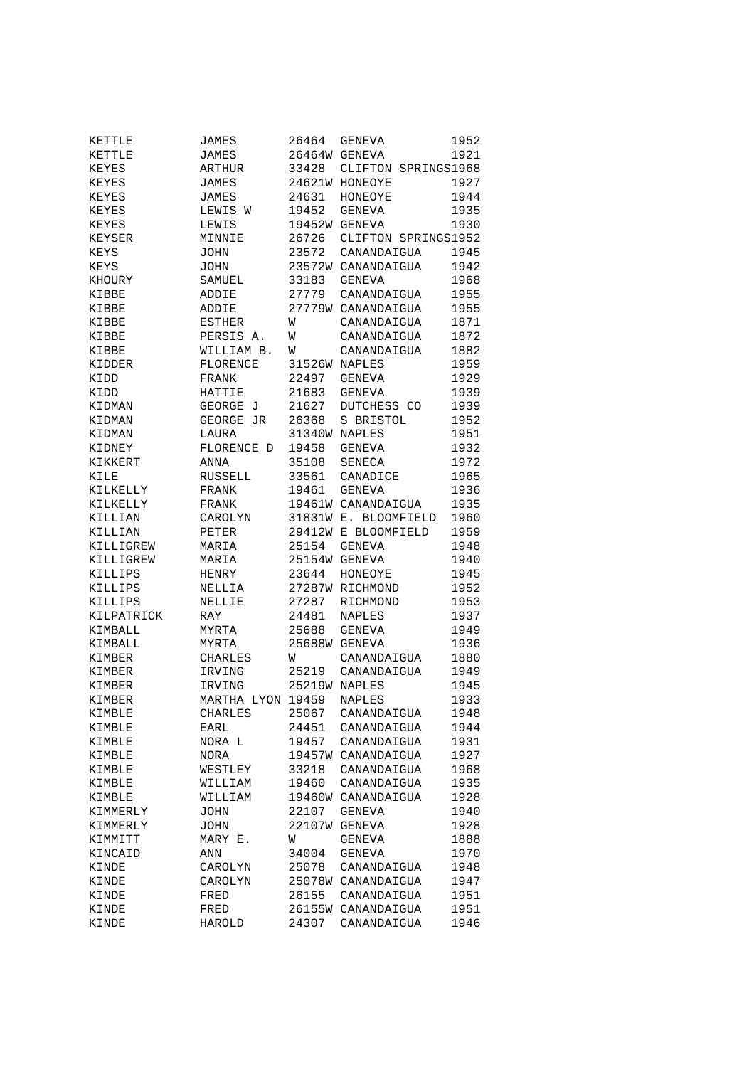| KETTLE        | JAMES             | 26464         | GENEVA               | 1952 |
|---------------|-------------------|---------------|----------------------|------|
| KETTLE        | JAMES             | 26464W        | <b>GENEVA</b>        | 1921 |
| <b>KEYES</b>  | <b>ARTHUR</b>     | 33428         | CLIFTON SPRINGS1968  |      |
| KEYES         | JAMES             |               | 24621W HONEOYE       | 1927 |
| <b>KEYES</b>  | JAMES             | 24631         | HONEOYE              | 1944 |
| KEYES         | LEWIS W           | 19452         | <b>GENEVA</b>        | 1935 |
| KEYES         | LEWIS             | 19452W        | <b>GENEVA</b>        | 1930 |
| KEYSER        | MINNIE            | 26726         | CLIFTON SPRINGS1952  |      |
| <b>KEYS</b>   | <b>JOHN</b>       | 23572         | CANANDAIGUA          | 1945 |
| <b>KEYS</b>   | <b>JOHN</b>       | 23572W        | CANANDAIGUA          | 1942 |
| KHOURY        | SAMUEL            | 33183         | <b>GENEVA</b>        | 1968 |
| KIBBE         | ADDIE             | 27779         | CANANDAIGUA          | 1955 |
| <b>KIBBE</b>  | ADDIE             | 27779W        | CANANDAIGUA          | 1955 |
| KIBBE         | <b>ESTHER</b>     | W             | CANANDAIGUA          | 1871 |
| KIBBE         | PERSIS A.         | W             | CANANDAIGUA          | 1872 |
| KIBBE         | WILLIAM B.        | W             | CANANDAIGUA          | 1882 |
| KIDDER        | FLORENCE          | 31526W NAPLES |                      | 1959 |
| KIDD          | FRANK             | 22497         | <b>GENEVA</b>        | 1929 |
| KIDD          | HATTIE            | 21683         | <b>GENEVA</b>        | 1939 |
| KIDMAN        | GEORGE J          | 21627         | DUTCHESS CO          | 1939 |
| KIDMAN        | GEORGE JR         | 26368         | S BRISTOL            | 1952 |
| KIDMAN        | LAURA             | 31340W NAPLES |                      | 1951 |
| KIDNEY        | FLORENCE D        | 19458         | <b>GENEVA</b>        | 1932 |
| KIKKERT       | ANNA              | 35108         | SENECA               | 1972 |
| KILE          | <b>RUSSELL</b>    | 33561         | CANADICE             | 1965 |
| KILKELLY      | <b>FRANK</b>      | 19461         | <b>GENEVA</b>        | 1936 |
| KILKELLY      | FRANK             |               | 19461W CANANDAIGUA   | 1935 |
| KILLIAN       | CAROLYN           |               | 31831W E. BLOOMFIELD | 1960 |
| KILLIAN       | PETER             | 29412W        | E BLOOMFIELD         | 1959 |
| KILLIGREW     | MARIA             | 25154         | <b>GENEVA</b>        | 1948 |
| KILLIGREW     | MARIA             | 25154W        | <b>GENEVA</b>        | 1940 |
| KILLIPS       | HENRY             | 23644         | HONEOYE              | 1945 |
| KILLIPS       | NELLIA            |               | 27287W RICHMOND      | 1952 |
| KILLIPS       | NELLIE            | 27287         | RICHMOND             | 1953 |
| KILPATRICK    | RAY               | 24481         | NAPLES               | 1937 |
| KIMBALL       | MYRTA             | 25688         | GENEVA               | 1949 |
| KIMBALL       | MYRTA             |               | 25688W GENEVA        | 1936 |
| KIMBER        | CHARLES           | W             | CANANDAIGUA          | 1880 |
| KIMBER        | IRVING            | 25219         | CANANDAIGUA          | 1949 |
| <b>KIMBER</b> | IRVING            | 25219W NAPLES |                      | 1945 |
| KIMBER        | MARTHA LYON 19459 |               | <b>NAPLES</b>        | 1933 |
| KIMBLE        | CHARLES           | 25067         | CANANDAIGUA          | 1948 |
| KIMBLE        | EARL              | 24451         | CANANDAIGUA          | 1944 |
| KIMBLE        | NORA L            | 19457         | CANANDAIGUA          | 1931 |
| KIMBLE        | NORA              |               | 19457W CANANDAIGUA   | 1927 |
| KIMBLE        | WESTLEY           | 33218         | CANANDAIGUA          | 1968 |
| KIMBLE        | WILLIAM           | 19460         | CANANDAIGUA          | 1935 |
| KIMBLE        | WILLIAM           |               | 19460W CANANDAIGUA   | 1928 |
| KIMMERLY      | JOHN              | 22107         | <b>GENEVA</b>        | 1940 |
| KIMMERLY      | JOHN              | 22107W        | GENEVA               | 1928 |
| KIMMITT       | MARY E.           | W             | GENEVA               | 1888 |
| KINCAID       | ANN               | 34004         | GENEVA               | 1970 |
| KINDE         | CAROLYN           | 25078         | CANANDAIGUA          | 1948 |
| KINDE         | CAROLYN           |               | 25078W CANANDAIGUA   | 1947 |
| KINDE         | FRED              | 26155         | CANANDAIGUA          | 1951 |
| KINDE         | FRED              |               | 26155W CANANDAIGUA   | 1951 |
| KINDE         | <b>HAROLD</b>     | 24307         | CANANDAIGUA          | 1946 |
|               |                   |               |                      |      |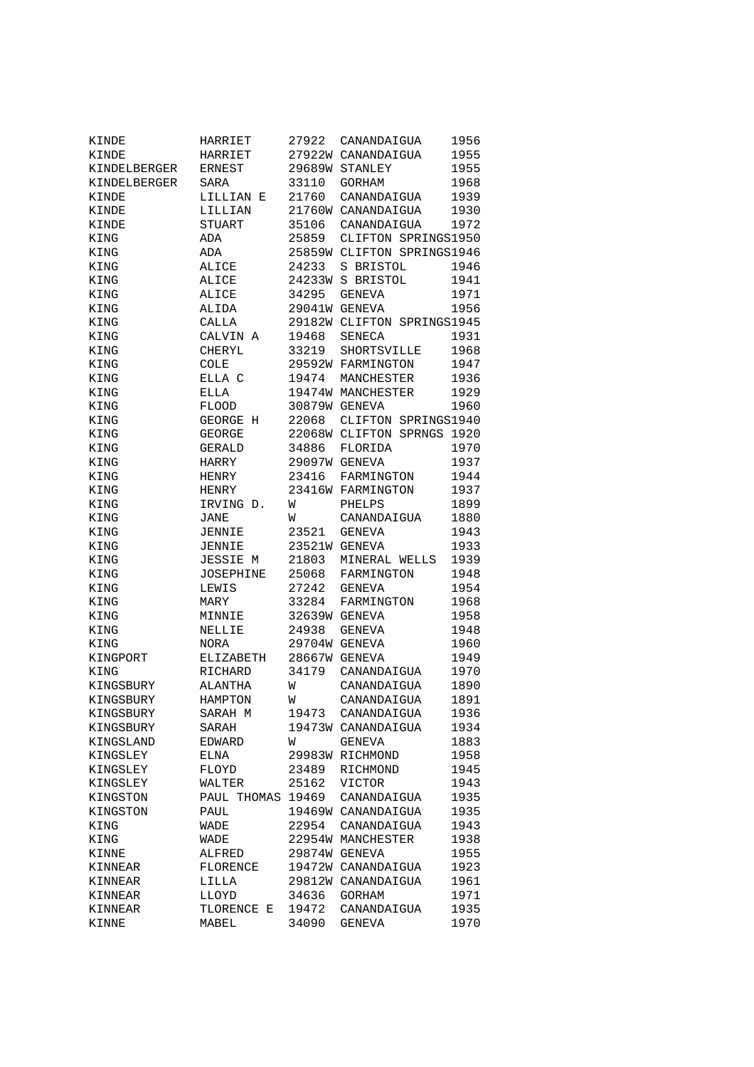| KINDE        | HARRIET           | 27922         | CANANDAIGUA                | 1956 |
|--------------|-------------------|---------------|----------------------------|------|
| KINDE        | HARRIET           |               | 27922W CANANDAIGUA         | 1955 |
| KINDELBERGER | <b>ERNEST</b>     | 29689W        | STANLEY                    | 1955 |
| KINDELBERGER | <b>SARA</b>       | 33110         | GORHAM                     | 1968 |
| KINDE        | LILLIAN E         | 21760         | CANANDAIGUA                | 1939 |
| KINDE        | LILLIAN           |               | 21760W CANANDAIGUA         | 1930 |
| KINDE        | STUART            | 35106         | CANANDAIGUA                | 1972 |
| <b>KING</b>  | ADA               | 25859         | CLIFTON SPRINGS1950        |      |
| KING         | ADA               |               | 25859W CLIFTON SPRINGS1946 |      |
| KING         | ALICE             | 24233         | S BRISTOL                  | 1946 |
| KING         | ALICE             | 24233W        | S BRISTOL                  | 1941 |
| KING         | ALICE             | 34295         | <b>GENEVA</b>              | 1971 |
| <b>KING</b>  | ALIDA             |               | 29041W GENEVA              | 1956 |
| <b>KING</b>  | CALLA             | 29182W        | CLIFTON SPRINGS1945        |      |
|              |                   | 19468         |                            | 1931 |
| <b>KING</b>  | CALVIN A          |               | SENECA                     |      |
| KING         | CHERYL            | 33219         | SHORTSVILLE                | 1968 |
| <b>KING</b>  | <b>COLE</b>       |               | 29592W FARMINGTON          | 1947 |
| <b>KING</b>  | ELLA C            | 19474         | MANCHESTER                 | 1936 |
| <b>KING</b>  | <b>ELLA</b>       |               | 19474W MANCHESTER          | 1929 |
| <b>KING</b>  | FLOOD             |               | 30879W GENEVA              | 1960 |
| <b>KING</b>  | GEORGE H          | 22068         | CLIFTON SPRINGS1940        |      |
| KING         | <b>GEORGE</b>     |               | 22068W CLIFTON SPRNGS 1920 |      |
| KING         | GERALD            | 34886         | FLORIDA                    | 1970 |
| <b>KING</b>  | HARRY             |               | 29097W GENEVA              | 1937 |
| <b>KING</b>  | HENRY             | 23416         | FARMINGTON                 | 1944 |
| <b>KING</b>  | HENRY             |               | 23416W FARMINGTON          | 1937 |
| <b>KING</b>  | IRVING D.         | W             | PHELPS                     | 1899 |
| KING         | <b>JANE</b>       | W             | CANANDAIGUA                | 1880 |
| KING         | JENNIE            | 23521         | <b>GENEVA</b>              | 1943 |
| KING         | JENNIE            | 23521W GENEVA |                            | 1933 |
| KING         | JESSIE M          | 21803         | MINERAL WELLS              | 1939 |
| KING         | JOSEPHINE         | 25068         | FARMINGTON                 | 1948 |
| KING         | LEWIS             | 27242         | <b>GENEVA</b>              | 1954 |
| KING         | MARY              | 33284         | FARMINGTON                 | 1968 |
| KING         | MINNIE            |               | 32639W GENEVA              | 1958 |
| KING         | NELLIE            | 24938         | <b>GENEVA</b>              | 1948 |
| KING         | <b>NORA</b>       | 29704W        | <b>GENEVA</b>              | 1960 |
| KINGPORT     | ELIZABETH         | 28667W        | <b>GENEVA</b>              | 1949 |
| KING         | <b>RICHARD</b>    | 34179         | CANANDAIGUA                | 1970 |
| KINGSBURY    | ALANTHA           | W             | CANANDAIGUA                | 1890 |
| KINGSBURY    | HAMPTON           | <b>M</b>      | CANANDAIGUA                | 1891 |
| KINGSBURY    | SARAH M           | 19473         | CANANDAIGUA                | 1936 |
| KINGSBURY    | SARAH             |               | 19473W CANANDAIGUA         | 1934 |
| KINGSLAND    | EDWARD            | W             | GENEVA                     | 1883 |
| KINGSLEY     | <b>ELNA</b>       |               | 29983W RICHMOND            | 1958 |
| KINGSLEY     | FLOYD             | 23489         | RICHMOND                   | 1945 |
| KINGSLEY     | WALTER            | 25162         | VICTOR                     | 1943 |
| KINGSTON     | PAUL THOMAS 19469 |               | CANANDAIGUA                | 1935 |
|              |                   |               |                            | 1935 |
| KINGSTON     | PAUL              | 22954         | 19469W CANANDAIGUA         |      |
| KING         | WADE              |               | CANANDAIGUA                | 1943 |
| KING         | WADE              |               | 22954W MANCHESTER          | 1938 |
| KINNE        | ALFRED            |               | 29874W GENEVA              | 1955 |
| KINNEAR      | FLORENCE          |               | 19472W CANANDAIGUA         | 1923 |
| KINNEAR      | LILLA             | 29812W        | CANANDAIGUA                | 1961 |
| KINNEAR      | LLOYD             | 34636         | GORHAM                     | 1971 |
| KINNEAR      | TLORENCE E        | 19472         | CANANDAIGUA                | 1935 |
| KINNE        | MABEL             | 34090         | <b>GENEVA</b>              | 1970 |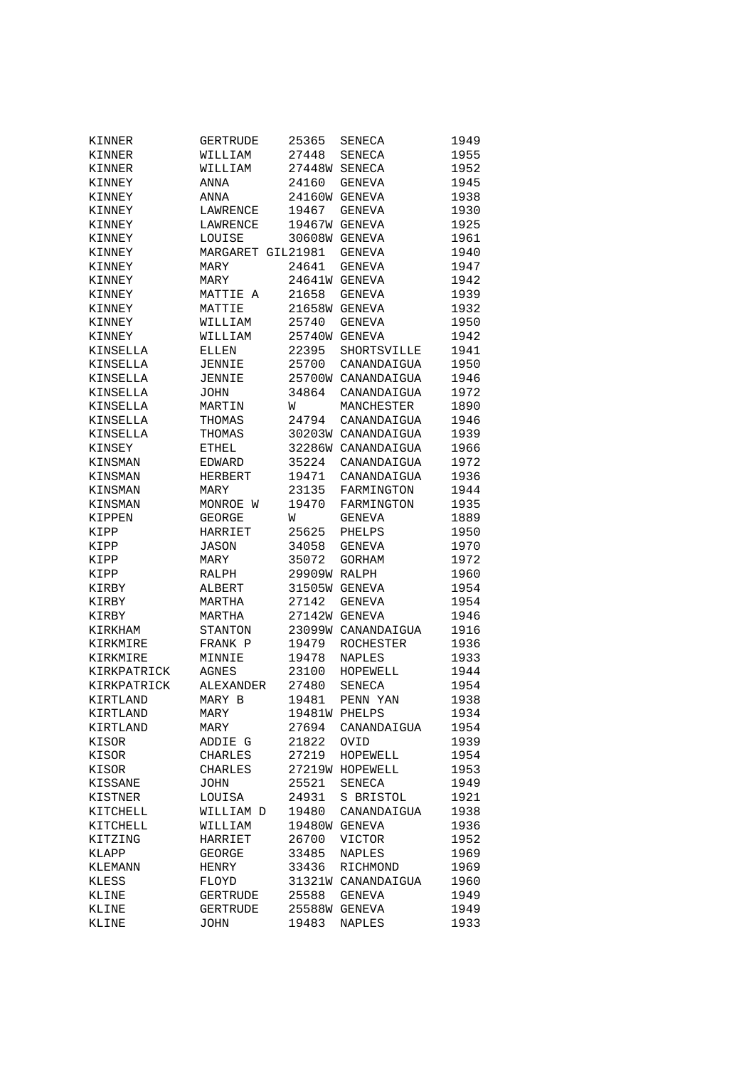| KINNER          | GERTRUDE         | 25365         | SENECA           | 1949 |
|-----------------|------------------|---------------|------------------|------|
| KINNER          | WILLIAM          | 27448         | SENECA           | 1955 |
| KINNER          | WILLIAM          | 27448W        | SENECA           | 1952 |
| KINNEY          | ANNA             | 24160         | GENEVA           | 1945 |
| KINNEY          | ANNA             | 24160W        | <b>GENEVA</b>    | 1938 |
| KINNEY          | LAWRENCE         | 19467         | GENEVA           | 1930 |
| KINNEY          | LAWRENCE         | 19467W        | <b>GENEVA</b>    | 1925 |
| KINNEY          | LOUISE           | 30608W        | <b>GENEVA</b>    | 1961 |
| KINNEY          | MARGARET         | GIL21981      | GENEVA           | 1940 |
| KINNEY          | MARY             | 24641         | GENEVA           | 1947 |
| KINNEY          | MARY             | 24641W        | <b>GENEVA</b>    | 1942 |
| KINNEY          | MATTIE A         | 21658         | GENEVA           | 1939 |
| KINNEY          | MATTIE           | 21658W        | <b>GENEVA</b>    | 1932 |
| KINNEY          | WILLIAM          | 25740         | GENEVA           | 1950 |
| KINNEY          | WILLIAM          | 25740W        | <b>GENEVA</b>    | 1942 |
| KINSELLA        | ELLEN            | 22395         | SHORTSVILLE      | 1941 |
| KINSELLA        | JENNIE           | 25700         | CANANDAIGUA      | 1950 |
| KINSELLA        | JENNIE           | 25700W        | CANANDAIGUA      | 1946 |
| KINSELLA        | JOHN             | 34864         | CANANDAIGUA      | 1972 |
| KINSELLA        | MARTIN           | M             | MANCHESTER       | 1890 |
| KINSELLA        | THOMAS           | 24794         | CANANDAIGUA      | 1946 |
| KINSELLA        | THOMAS           | 30203W        | CANANDAIGUA      | 1939 |
| KINSEY          | ETHEL            | 32286W        | CANANDAIGUA      | 1966 |
| KINSMAN         | EDWARD           | 35224         | CANANDAIGUA      | 1972 |
| KINSMAN         | <b>HERBERT</b>   | 19471         | CANANDAIGUA      | 1936 |
| <b>KINSMAN</b>  | <b>MARY</b>      | 23135         | FARMINGTON       | 1944 |
| KINSMAN         | MONROE W         | 19470         | FARMINGTON       | 1935 |
| KIPPEN          | GEORGE           | W             | GENEVA           | 1889 |
| KIPP            | HARRIET          | 25625         | PHELPS           | 1950 |
| KIPP            | <b>JASON</b>     | 34058         | <b>GENEVA</b>    | 1970 |
| KIPP            | MARY             | 35072         | GORHAM           | 1972 |
| KIPP            | RALPH            | 29909W        | RALPH            | 1960 |
| KIRBY           | ALBERT           | 31505W        | <b>GENEVA</b>    | 1954 |
| KIRBY           | MARTHA           | 27142         | <b>GENEVA</b>    | 1954 |
| KIRBY           | MARTHA           | 27142W        | <b>GENEVA</b>    | 1946 |
| KIRKHAM         | <b>STANTON</b>   | 23099W        | CANANDAIGUA      | 1916 |
| KIRKMIRE        | FRANK P          | 19479         | <b>ROCHESTER</b> | 1936 |
| <b>KIRKMIRE</b> | MINNIE           | 19478         | NAPLES           | 1933 |
| KIRKPATRICK     | AGNES            | 23100         | HOPEWELL         | 1944 |
| KIRKPATRICK     | <b>ALEXANDER</b> | 27480         | SENECA           | 1954 |
| KIRTLAND        | MARY B           | 19481         | PENN YAN         | 1938 |
| KIRTLAND        | MARY             | 19481W PHELPS |                  | 1934 |
| KIRTLAND        | MARY             | 27694         | CANANDAIGUA      | 1954 |
| KISOR           | ADDIE G          | 21822         | OVID             | 1939 |
| KISOR           | <b>CHARLES</b>   | 27219         | HOPEWELL         | 1954 |
| KISOR           | <b>CHARLES</b>   | 27219W        | HOPEWELL         | 1953 |
| KISSANE         | JOHN             | 25521         | SENECA           | 1949 |
| KISTNER         | LOUISA           | 24931         | S BRISTOL        | 1921 |
| KITCHELL        | WILLIAM D        | 19480         | CANANDAIGUA      | 1938 |
| KITCHELL        | WILLIAM          | 19480W        | <b>GENEVA</b>    | 1936 |
| KITZING         | HARRIET          | 26700         | <b>VICTOR</b>    | 1952 |
| KLAPP           | GEORGE           | 33485         | NAPLES           | 1969 |
| KLEMANN         | HENRY            | 33436         | RICHMOND         | 1969 |
| KLESS           | FLOYD            | 31321W        | CANANDAIGUA      | 1960 |
| KLINE           | GERTRUDE         | 25588         | GENEVA           | 1949 |
| KLINE           | GERTRUDE         | 25588W        | GENEVA           | 1949 |
| KLINE           | JOHN             | 19483         | NAPLES           | 1933 |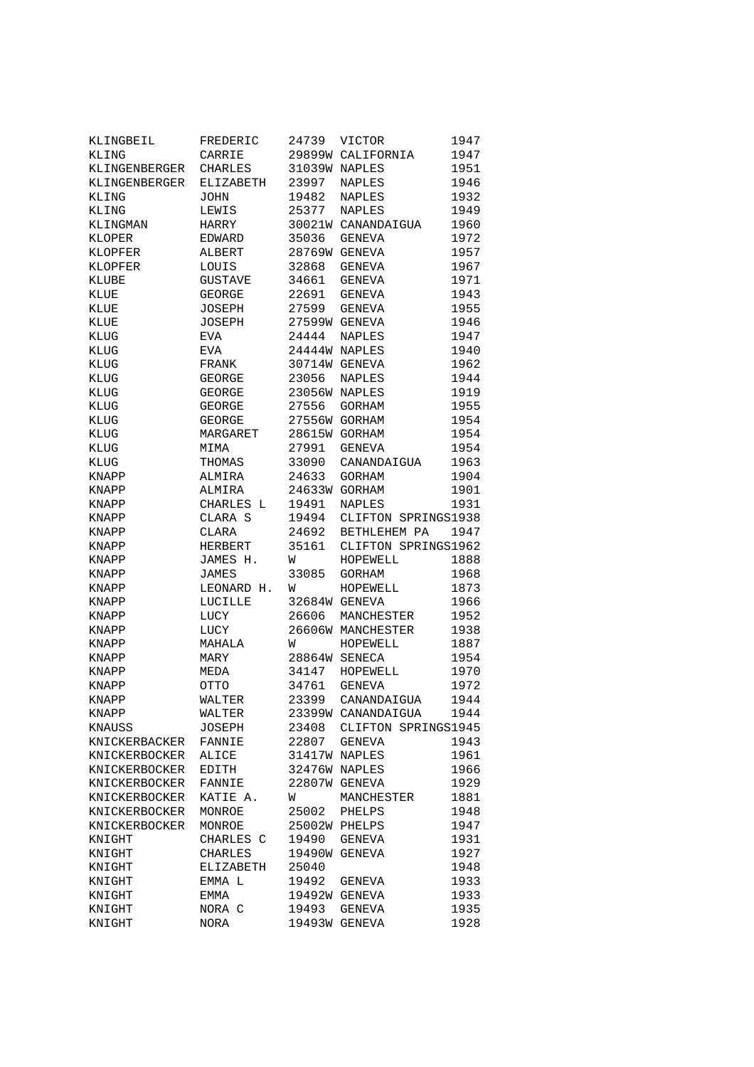| KLINGBEIL     | FREDERIC       | 24739         | <b>VICTOR</b>             | 1947         |
|---------------|----------------|---------------|---------------------------|--------------|
| KLING         | CARRIE         |               | 29899W CALIFORNIA         | 1947         |
| KLINGENBERGER | <b>CHARLES</b> | 31039W NAPLES |                           | 1951         |
| KLINGENBERGER | ELIZABETH      | 23997         | <b>NAPLES</b>             | 1946         |
| KLING         | JOHN           | 19482         | NAPLES                    | 1932         |
| <b>KLING</b>  | LEWIS          | 25377         | <b>NAPLES</b>             | 1949         |
| KLINGMAN      | HARRY          |               | 30021W CANANDAIGUA        | 1960         |
| <b>KLOPER</b> | EDWARD         | 35036         | GENEVA                    | 1972         |
| KLOPFER       | ALBERT         |               | 28769W GENEVA             | 1957         |
| KLOPFER       | LOUIS          | 32868         | GENEVA                    | 1967         |
| KLUBE         | <b>GUSTAVE</b> | 34661         | GENEVA                    | 1971         |
| <b>KLUE</b>   | GEORGE         | 22691         | GENEVA                    | 1943         |
| KLUE          | JOSEPH         | 27599         | <b>GENEVA</b>             | 1955         |
| KLUE          | JOSEPH         |               | 27599W GENEVA             | 1946         |
| <b>KLUG</b>   | EVA            | 24444         | <b>NAPLES</b>             | 1947         |
| <b>KLUG</b>   | <b>EVA</b>     | 24444W NAPLES |                           | 1940         |
| <b>KLUG</b>   | FRANK          | 30714W GENEVA |                           | 1962         |
| <b>KLUG</b>   | <b>GEORGE</b>  | 23056         | NAPLES                    | 1944         |
| <b>KLUG</b>   | <b>GEORGE</b>  | 23056W NAPLES |                           | 1919         |
| <b>KLUG</b>   | GEORGE         | 27556         | <b>GORHAM</b>             | 1955         |
| <b>KLUG</b>   | GEORGE         | 27556W GORHAM |                           | 1954         |
| <b>KLUG</b>   | MARGARET       | 28615W GORHAM |                           | 1954         |
| KLUG          | MIMA           | 27991         | GENEVA                    | 1954         |
| <b>KLUG</b>   | THOMAS         | 33090         | CANANDAIGUA               | 1963         |
|               |                |               |                           |              |
| KNAPP         | ALMIRA         | 24633         | GORHAM                    | 1904         |
| KNAPP         | ALMIRA         |               | 24633W GORHAM             | 1901<br>1931 |
| KNAPP         | CHARLES L      | 19491         | <b>NAPLES</b>             |              |
| <b>KNAPP</b>  | CLARA S        | 19494         | CLIFTON SPRINGS1938       |              |
| KNAPP         | CLARA          | 24692         | BETHLEHEM PA              | 1947         |
| <b>KNAPP</b>  | HERBERT        | 35161         | CLIFTON SPRINGS1962       |              |
| KNAPP         | JAMES H.       | W             | HOPEWELL                  | 1888         |
| KNAPP         | JAMES          | 33085         | GORHAM                    | 1968         |
| <b>KNAPP</b>  | LEONARD H.     | <b>W</b>      | HOPEWELL                  | 1873         |
| <b>KNAPP</b>  | LUCILLE        | 32684W GENEVA |                           | 1966         |
| KNAPP         | LUCY           | 26606         | MANCHESTER                | 1952         |
| KNAPP         | LUCY           |               | 26606W MANCHESTER         | 1938         |
| KNAPP         | MAHALA         | W             | HOPEWELL                  | 1887         |
| KNAPP         | MARY           | 28864W SENECA |                           | 1954         |
| <b>KNAPP</b>  | MEDA           | 34147         | HOPEWELL                  | 1970         |
| <b>KNAPP</b>  | <b>OTTO</b>    | 34761         | <b>GENEVA</b>             | 1972         |
| KNAPP         | WALTER         | 23399         | CANANDAIGUA               | 1944         |
| KNAPP         | WALTER         |               | 23399W CANANDAIGUA        | 1944         |
| KNAUSS        | JOSEPH         |               | 23408 CLIFTON SPRINGS1945 |              |
| KNICKERBACKER | FANNIE         | 22807         | GENEVA                    | 1943         |
| KNICKERBOCKER | ALICE          | 31417W NAPLES |                           | 1961         |
| KNICKERBOCKER | EDITH          | 32476W NAPLES |                           | 1966         |
| KNICKERBOCKER | FANNIE         | 22807W GENEVA |                           | 1929         |
| KNICKERBOCKER | KATIE A.       | W             | MANCHESTER                | 1881         |
| KNICKERBOCKER | MONROE         | 25002         | PHELPS                    | 1948         |
| KNICKERBOCKER | MONROE         | 25002W PHELPS |                           | 1947         |
| KNIGHT        | CHARLES C      | 19490         | GENEVA                    | 1931         |
| KNIGHT        | CHARLES        | 19490W GENEVA |                           | 1927         |
| KNIGHT        | ELIZABETH      | 25040         |                           | 1948         |
| KNIGHT        | EMMA L         | 19492         | GENEVA                    | 1933         |
| KNIGHT        | EMMA           | 19492W GENEVA |                           | 1933         |
| KNIGHT        |                |               |                           |              |
|               | NORA C         | 19493         | GENEVA                    | 1935         |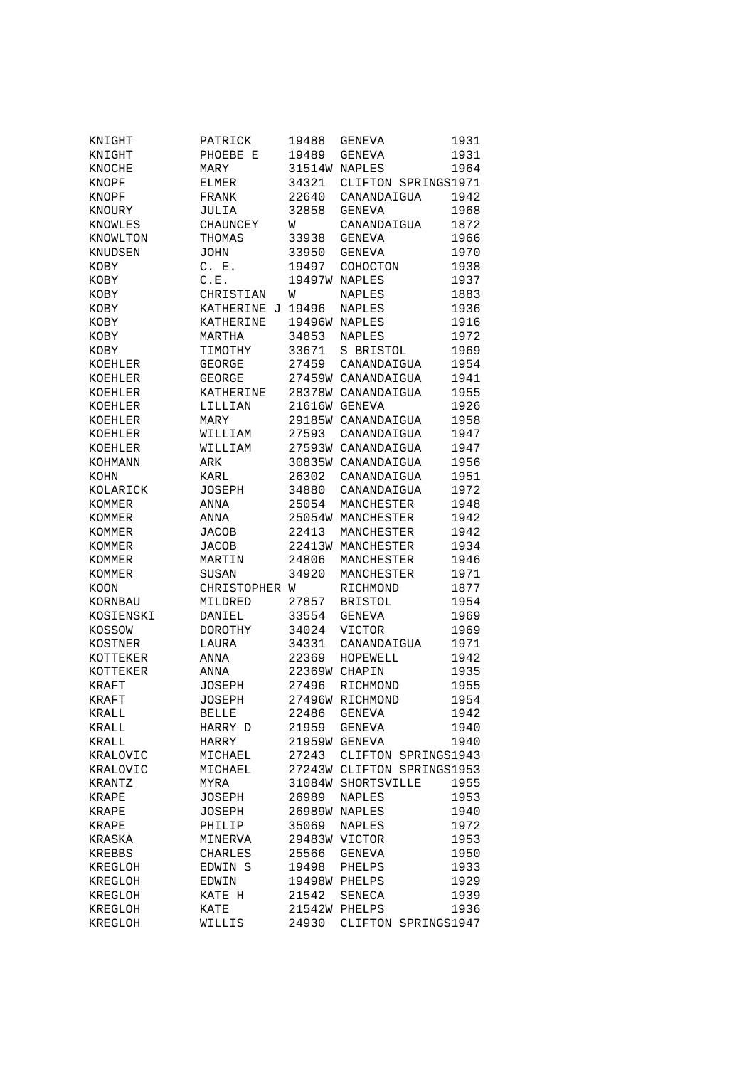| KNIGHT        | PATRICK       | 19488         | 1931<br>GENEVA             |
|---------------|---------------|---------------|----------------------------|
| KNIGHT        | PHOEBE E      | 19489         | 1931<br><b>GENEVA</b>      |
| KNOCHE        | MARY          | 31514W        | 1964<br>NAPLES             |
| KNOPF         | ELMER         | 34321         | CLIFTON SPRINGS1971        |
| KNOPF         | FRANK         | 22640         | CANANDAIGUA<br>1942        |
| KNOURY        | JULIA         | 32858         | 1968<br>GENEVA             |
| KNOWLES       | CHAUNCEY      | W             | CANANDAIGUA<br>1872        |
| KNOWLTON      | THOMAS        | 33938         | 1966<br>GENEVA             |
| KNUDSEN       | JOHN          | 33950         | 1970<br>GENEVA             |
| KOBY          | C. E.         | 19497         | 1938<br>COHOCTON           |
| <b>KOBY</b>   | C.E.          | 19497W        | <b>NAPLES</b><br>1937      |
| KOBY          | CHRISTIAN     | W             | <b>NAPLES</b><br>1883      |
| KOBY          | KATHERINE J   | 19496         | 1936<br>NAPLES             |
| KOBY          | KATHERINE     | 19496W        | 1916<br><b>NAPLES</b>      |
| KOBY          | MARTHA        | 34853         | 1972<br><b>NAPLES</b>      |
| KOBY          | TIMOTHY       | 33671         | 1969<br>S BRISTOL          |
| KOEHLER       | <b>GEORGE</b> | 27459         | CANANDAIGUA<br>1954        |
| KOEHLER       | GEORGE        |               | 27459W CANANDAIGUA<br>1941 |
| KOEHLER       | KATHERINE     |               | 1955<br>28378W CANANDAIGUA |
| KOEHLER       | LILLIAN       | 21616W GENEVA | 1926                       |
| KOEHLER       | MARY          |               | 1958<br>29185W CANANDAIGUA |
| KOEHLER       | WILLIAM       | 27593         | 1947<br>CANANDAIGUA        |
| KOEHLER       | WILLIAM       |               | 27593W CANANDAIGUA<br>1947 |
| KOHMANN       | ARK           | 30835W        | CANANDAIGUA<br>1956        |
| KOHN          | KARL          | 26302         | 1951<br>CANANDAIGUA        |
| KOLARICK      | <b>JOSEPH</b> | 34880         | 1972<br>CANANDAIGUA        |
| KOMMER        | ANNA          | 25054         | 1948<br>MANCHESTER         |
| KOMMER        | ANNA          | 25054W        | 1942<br>MANCHESTER         |
| KOMMER        | JACOB         | 22413         | MANCHESTER<br>1942         |
| <b>KOMMER</b> | <b>JACOB</b>  | 22413W        | 1934<br>MANCHESTER         |
| KOMMER        | MARTIN        | 24806         | 1946<br>MANCHESTER         |
| KOMMER        | SUSAN         | 34920         | 1971<br>MANCHESTER         |
| KOON          | CHRISTOPHER W |               | 1877<br>RICHMOND           |
| KORNBAU       | MILDRED       | 27857         | <b>BRISTOL</b><br>1954     |
| KOSIENSKI     | DANIEL        | 33554         | 1969<br>GENEVA             |
| KOSSOW        | DOROTHY       | 34024         | VICTOR<br>1969             |
| KOSTNER       | LAURA         | 34331         | CANANDAIGUA<br>1971        |
| KOTTEKER      | ANNA          | 22369         | 1942<br>HOPEWELL           |
| KOTTEKER      | ANNA          | 22369W        | 1935<br>CHAPIN             |
| <b>KRAFT</b>  | JOSEPH        | 27496         | 1955<br>RICHMOND           |
| KRAFT         | <b>JOSEPH</b> |               | 1954<br>27496W RICHMOND    |
| KRALL         | BELLE         | 22486         | 1942<br>GENEVA             |
| KRALL         | HARRY D       | 21959         | 1940<br>GENEVA             |
| KRALL         | HARRY         | 21959W GENEVA | 1940                       |
| KRALOVIC      | MICHAEL       | 27243         | CLIFTON SPRINGS1943        |
| KRALOVIC      | MICHAEL       |               | 27243W CLIFTON SPRINGS1953 |
| KRANTZ        | MYRA          |               | 1955<br>31084W SHORTSVILLE |
| <b>KRAPE</b>  | <b>JOSEPH</b> | 26989         | <b>NAPLES</b><br>1953      |
| KRAPE         | JOSEPH        | 26989W NAPLES | 1940                       |
| <b>KRAPE</b>  | PHILIP        | 35069         | <b>NAPLES</b><br>1972      |
| <b>KRASKA</b> | MINERVA       | 29483W VICTOR | 1953                       |
| KREBBS        | CHARLES       | 25566         | 1950<br>GENEVA             |
| KREGLOH       | EDWIN S       | 19498         | 1933<br>PHELPS             |
| KREGLOH       | EDWIN         | 19498W PHELPS | 1929                       |
| KREGLOH       | KATE H        | 21542         | SENECA<br>1939             |
| KREGLOH       | KATE          | 21542W PHELPS | 1936                       |
| KREGLOH       | WILLIS        | 24930         | CLIFTON SPRINGS1947        |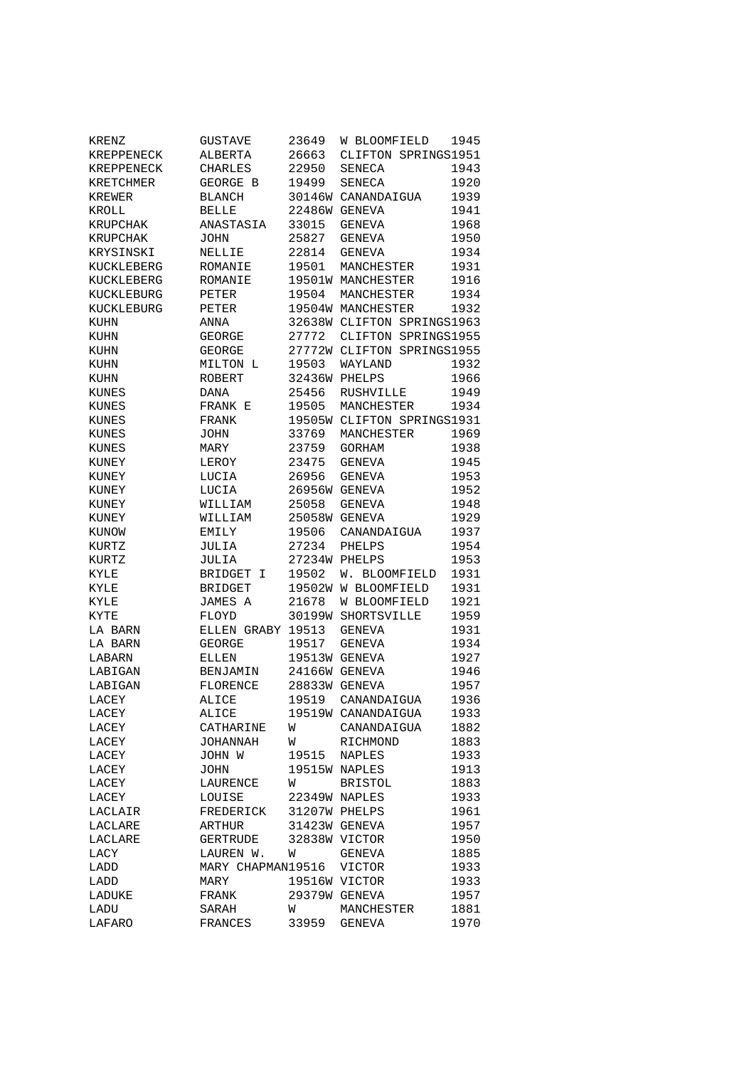| <b>KRENZ</b>    | <b>GUSTAVE</b>    | 23649         | W BLOOMFIELD                | 1945 |
|-----------------|-------------------|---------------|-----------------------------|------|
| KREPPENECK      | <b>ALBERTA</b>    | 26663         | CLIFTON SPRINGS1951         |      |
| KREPPENECK      | CHARLES           | 22950         | SENECA                      | 1943 |
| KRETCHMER       | GEORGE B          | 19499         | SENECA                      | 1920 |
| KREWER          | <b>BLANCH</b>     | 30146W        | CANANDAIGUA                 | 1939 |
| KROLL           | <b>BELLE</b>      | 22486W        | <b>GENEVA</b>               | 1941 |
| <b>KRUPCHAK</b> | ANASTASIA         | 33015         | <b>GENEVA</b>               | 1968 |
| KRUPCHAK        | <b>JOHN</b>       | 25827         | <b>GENEVA</b>               | 1950 |
| KRYSINSKI       | NELLIE            | 22814         | <b>GENEVA</b>               | 1934 |
| KUCKLEBERG      | ROMANIE           | 19501         | MANCHESTER                  | 1931 |
| KUCKLEBERG      | ROMANIE           | 19501W        | MANCHESTER                  | 1916 |
| KUCKLEBURG      | PETER             | 19504         | MANCHESTER                  | 1934 |
| KUCKLEBURG      | PETER             | 19504W        | MANCHESTER                  | 1932 |
| KUHN            | ANNA              |               | 32638W CLIFTON SPRINGS1963  |      |
| KUHN            | <b>GEORGE</b>     | 27772         | CLIFTON SPRINGS1955         |      |
| KUHN            | <b>GEORGE</b>     | 27772W        | CLIFTON SPRINGS1955         |      |
| $\textsc{KUHN}$ | MILTON L          | 19503         | WAYLAND                     | 1932 |
| KUHN            | <b>ROBERT</b>     | 32436W        | PHELPS                      | 1966 |
| KUNES           | <b>DANA</b>       | 25456         | <b>RUSHVILLE</b>            | 1949 |
| <b>KUNES</b>    | FRANK E           | 19505         | MANCHESTER                  | 1934 |
| <b>KUNES</b>    | FRANK             |               | 19505W CLIFTON SPRINGS1931  |      |
| <b>KUNES</b>    | <b>JOHN</b>       | 33769         | MANCHESTER                  | 1969 |
| KUNES           | MARY              | 23759         | GORHAM                      | 1938 |
| KUNEY           | LEROY             | 23475         | <b>GENEVA</b>               | 1945 |
| <b>KUNEY</b>    | LUCIA             | 26956         | <b>GENEVA</b>               | 1953 |
| KUNEY           | LUCIA             | 26956W        | <b>GENEVA</b>               | 1952 |
| KUNEY           | WILLIAM           | 25058         | <b>GENEVA</b>               | 1948 |
| KUNEY           | WILLIAM           | 25058W        | <b>GENEVA</b>               | 1929 |
| KUNOW           | EMILY             | 19506         | CANANDAIGUA                 | 1937 |
| KURTZ           | JULIA             | 27234         | PHELPS                      | 1954 |
| KURTZ           | JULIA             | 27234W        | PHELPS                      | 1953 |
| KYLE            | BRIDGET I         | 19502         | W.<br><b>BLOOMFIELD</b>     | 1931 |
| KYLE            | <b>BRIDGET</b>    |               | 19502W W BLOOMFIELD         | 1931 |
| KYLE            | JAMES A           | 21678         | W BLOOMFIELD                | 1921 |
| KYTE            | FLOYD             | 30199W        | SHORTSVILLE                 | 1959 |
| LA BARN         | ELLEN GRABY       | 19513         | <b>GENEVA</b>               | 1931 |
| LA BARN         | <b>GEORGE</b>     | 19517         | <b>GENEVA</b>               | 1934 |
| LABARN          | <b>ELLEN</b>      | 19513W        | <b>GENEVA</b>               | 1927 |
| LABIGAN         | BENJAMIN          | 24166W GENEVA |                             | 1946 |
| LABIGAN         |                   |               |                             | 1957 |
|                 | FLORENCE<br>ALICE | 28833W        | GENEVA<br>19519 CANANDAIGUA |      |
| LACEY           |                   |               |                             | 1936 |
| LACEY           | ALICE             |               | 19519W CANANDAIGUA          | 1933 |
| LACEY           | CATHARINE         | W             | CANANDAIGUA                 | 1882 |
| LACEY           | JOHANNAH          | <b>M</b>      | RICHMOND                    | 1883 |
| LACEY           | JOHN W            | 19515         | <b>NAPLES</b>               | 1933 |
| LACEY           | JOHN              |               | 19515W NAPLES               | 1913 |
| LACEY           | LAURENCE          | W             | BRISTOL                     | 1883 |
| LACEY           | LOUISE            | 22349W NAPLES |                             | 1933 |
| LACLAIR         | FREDERICK         | 31207W PHELPS |                             | 1961 |
| LACLARE         | ARTHUR            |               | 31423W GENEVA               | 1957 |
| LACLARE         | GERTRUDE          |               | 32838W VICTOR               | 1950 |
| LACY            | LAUREN W.         | W             | GENEVA                      | 1885 |
| LADD            | MARY CHAPMAN19516 |               | VICTOR                      | 1933 |
| LADD            | MARY              |               | 19516W VICTOR               | 1933 |
| LADUKE          | FRANK             | 29379W GENEVA |                             | 1957 |
| LADU            | SARAH             | W             | MANCHESTER                  | 1881 |
| LAFARO          | FRANCES           | 33959         | <b>GENEVA</b>               | 1970 |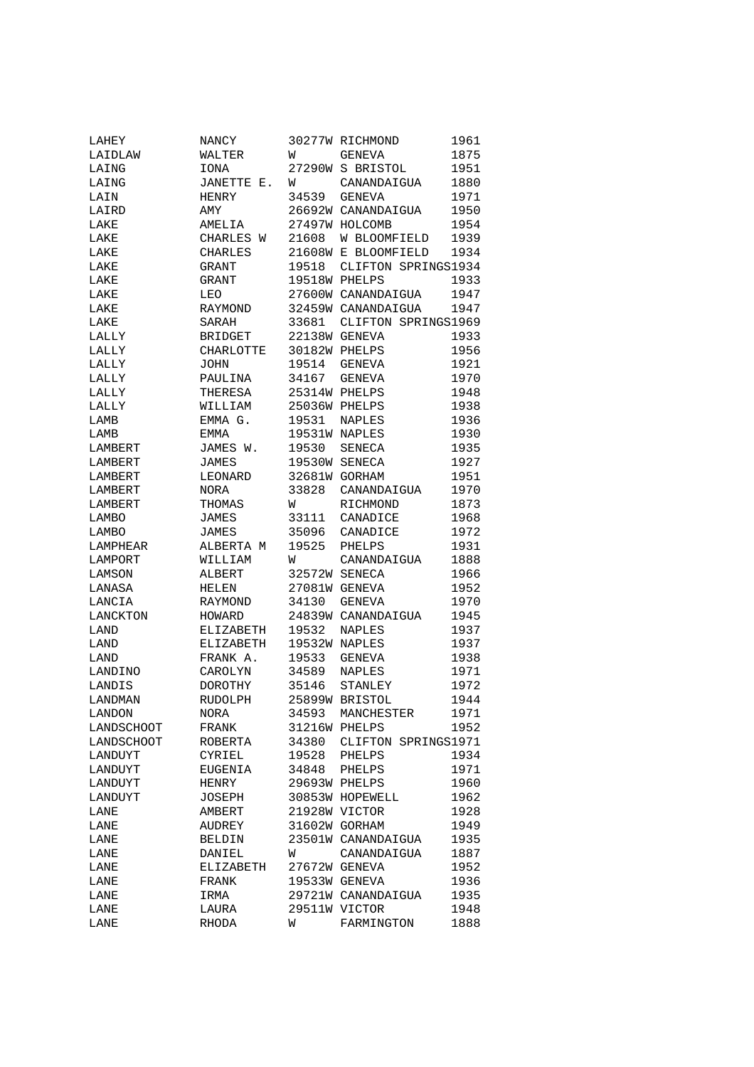| LAHEY             | NANCY          |                 | 30277W RICHMOND     | 1961         |
|-------------------|----------------|-----------------|---------------------|--------------|
| LAIDLAW           | WALTER         | W               | <b>GENEVA</b>       | 1875         |
| LAING             | IONA           |                 | 27290W S BRISTOL    | 1951         |
| LAING             | JANETTE<br>Ε.  | W               | CANANDAIGUA         | 1880         |
| LAIN              | HENRY          | 34539           | <b>GENEVA</b>       | 1971         |
| LAIRD             | <b>AMY</b>     | 26692W          | CANANDAIGUA         | 1950         |
| LAKE              | AMELIA         | 27497W          | HOLCOMB             | 1954         |
| LAKE              | CHARLES W      | 21608           | W BLOOMFIELD        | 1939         |
| LAKE              | <b>CHARLES</b> | 21608W          | E BLOOMFIELD        | 1934         |
| LAKE              | GRANT          | 19518           | CLIFTON SPRINGS1934 |              |
| LAKE              | GRANT          | 19518W          | PHELPS              | 1933         |
| LAKE              | LEO            |                 | 27600W CANANDAIGUA  | 1947         |
| LAKE              | RAYMOND        |                 | 32459W CANANDAIGUA  | 1947         |
| LAKE              | SARAH          | 33681           | CLIFTON SPRINGS1969 |              |
| LALLY             | <b>BRIDGET</b> |                 | 22138W GENEVA       | 1933         |
| LALLY             | CHARLOTTE      | 30182W PHELPS   |                     | 1956         |
| LALLY             | JOHN           | 19514           | GENEVA              | 1921         |
| LALLY             | PAULINA        | 34167           | <b>GENEVA</b>       | 1970         |
| LALLY             | THERESA        | 25314W PHELPS   |                     | 1948         |
| LALLY             | WILLIAM        | 25036W PHELPS   |                     | 1938         |
| LAMB              | EMMA G.        | 19531           | <b>NAPLES</b>       | 1936         |
| LAMB              | <b>EMMA</b>    | 19531W NAPLES   |                     | 1930         |
| LAMBERT           | JAMES W.       | 19530           | <b>SENECA</b>       | 1935         |
| LAMBERT           | JAMES          | 19530W          | SENECA              | 1927         |
| LAMBERT           | LEONARD        | 32681W          | GORHAM              | 1951         |
| LAMBERT           | NORA           | 33828           | CANANDAIGUA         | 1970         |
| LAMBERT           | THOMAS         | W               | RICHMOND            | 1873         |
| LAMBO             | <b>JAMES</b>   | 33111           | CANADICE            | 1968         |
| LAMBO             | JAMES          | 35096           | CANADICE            | 1972         |
|                   |                | 19525           |                     | 1931         |
| LAMPHEAR          | ALBERTA M      |                 | PHELPS              | 1888         |
| LAMPORT           | WILLIAM        | W               | CANANDAIGUA         |              |
| LAMSON            | ALBERT         |                 | 32572W SENECA       | 1966<br>1952 |
| LANASA            | HELEN          | 34130           | 27081W GENEVA       | 1970         |
| LANCIA            | RAYMOND        |                 | <b>GENEVA</b>       |              |
| LANCKTON          | HOWARD         |                 | 24839W CANANDAIGUA  | 1945         |
| LAND              | ELIZABETH      | 19532<br>19532W | <b>NAPLES</b>       | 1937         |
| LAND              | ELIZABETH      |                 | NAPLES              | 1937         |
| LAND              | FRANK A.       | 19533           | GENEVA              | 1938         |
| LANDINO           | CAROLYN        | 34589           | NAPLES              | 1971         |
| LANDIS            | <b>DOROTHY</b> | 35146           | STANLEY             | 1972         |
| LANDMAN           | RUDOLPH        |                 | 25899W BRISTOL      | 1944         |
| LANDON            | NORA           | 34593           | MANCHESTER          | 1971         |
| <b>LANDSCHOOT</b> | FRANK          | 31216W PHELPS   |                     | 1952         |
| <b>LANDSCHOOT</b> | ROBERTA        | 34380           | CLIFTON SPRINGS1971 |              |
| LANDUYT           | CYRIEL         | 19528           | PHELPS              | 1934         |
| LANDUYT           | <b>EUGENIA</b> | 34848           | PHELPS              | 1971         |
| LANDUYT           | HENRY          |                 | 29693W PHELPS       | 1960         |
| LANDUYT           | JOSEPH         |                 | 30853W HOPEWELL     | 1962         |
| LANE              | AMBERT         |                 | 21928W VICTOR       | 1928         |
| LANE              | AUDREY         |                 | 31602W GORHAM       | 1949         |
| LANE              | BELDIN         |                 | 23501W CANANDAIGUA  | 1935         |
| LANE              | DANIEL         | W               | CANANDAIGUA         | 1887         |
| LANE              | ELIZABETH      |                 | 27672W GENEVA       | 1952         |
| LANE              | FRANK          |                 | 19533W GENEVA       | 1936         |
| LANE              | IRMA           |                 | 29721W CANANDAIGUA  | 1935         |
| LANE              | LAURA          | 29511W VICTOR   |                     | 1948         |
| LANE              | RHODA          | W               | FARMINGTON          | 1888         |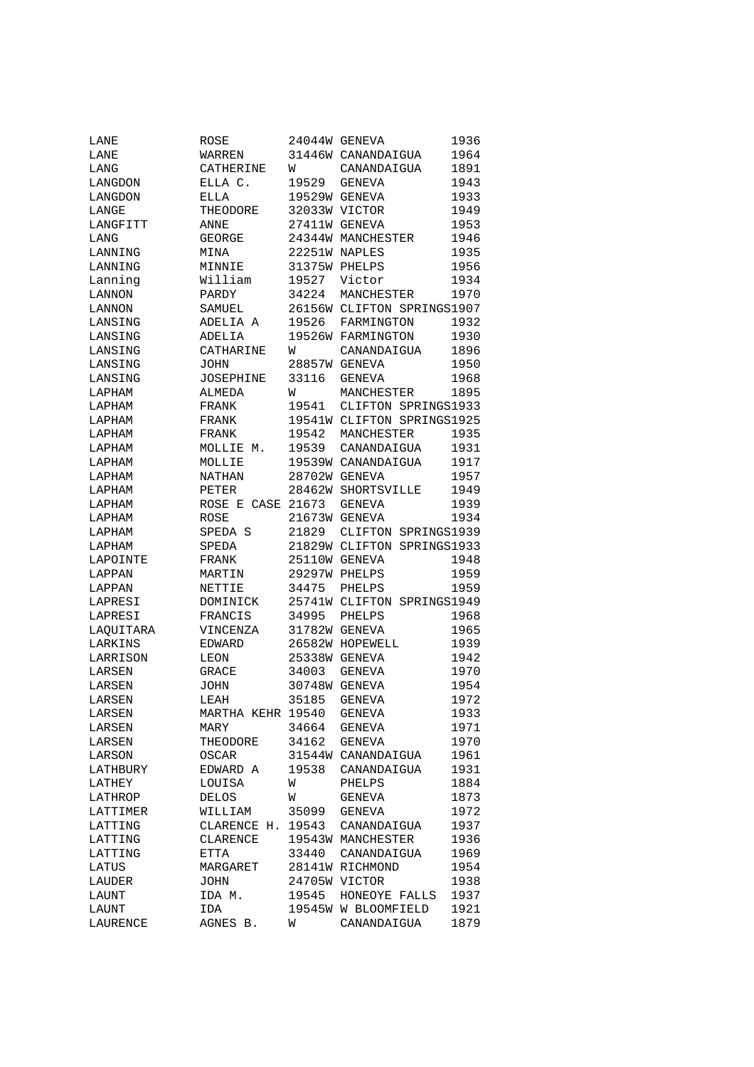| LANE              | ROSE                     |               | 24044W GENEVA                 | 1936 |
|-------------------|--------------------------|---------------|-------------------------------|------|
| LANE              | WARREN                   |               | 31446W CANANDAIGUA            | 1964 |
| LANG              | CATHERINE                | W             | CANANDAIGUA                   | 1891 |
| LANGDON           | ELLA C.                  | 19529         | GENEVA                        | 1943 |
| LANGDON           | ELLA                     |               | 19529W GENEVA                 | 1933 |
| LANGE             | THEODORE                 |               | 32033W VICTOR                 | 1949 |
| LANGFITT          | ANNE                     |               | 27411W GENEVA                 | 1953 |
| LANG              | GEORGE                   |               | 24344W MANCHESTER             | 1946 |
| LANNING           | MINA                     | 22251W NAPLES |                               | 1935 |
| LANNING           | MINNIE                   | 31375W PHELPS |                               | 1956 |
|                   | William                  | 19527         | Victor                        | 1934 |
| Lanning<br>LANNON | PARDY                    | 34224         | MANCHESTER                    | 1970 |
|                   |                          |               | 26156W CLIFTON SPRINGS1907    |      |
| LANNON            | SAMUEL                   |               | FARMINGTON                    |      |
| LANSING           | ADELIA A                 | 19526         |                               | 1932 |
| LANSING           | ADELIA                   |               | 19526W FARMINGTON             | 1930 |
| LANSING           | CATHARINE                | W             | CANANDAIGUA                   | 1896 |
| LANSING           | JOHN                     |               | 28857W GENEVA                 | 1950 |
| LANSING           | JOSEPHINE                | 33116         | <b>GENEVA</b>                 | 1968 |
| LAPHAM            | ALMEDA                   | W             | MANCHESTER                    | 1895 |
| LAPHAM            | FRANK                    | 19541         | CLIFTON SPRINGS1933           |      |
| LAPHAM            | FRANK                    |               | 19541W CLIFTON SPRINGS1925    |      |
| LAPHAM            | FRANK                    | 19542         | MANCHESTER                    | 1935 |
| LAPHAM            | MOLLIE M.                | 19539         | CANANDAIGUA                   | 1931 |
| LAPHAM            | MOLLIE                   |               | 19539W CANANDAIGUA            | 1917 |
| LAPHAM            | NATHAN                   |               | 28702W GENEVA                 | 1957 |
| LAPHAM            | PETER                    | 28462W        | SHORTSVILLE                   | 1949 |
| LAPHAM            | ROSE E CASE 21673        |               | <b>GENEVA</b>                 | 1939 |
| LAPHAM            | ROSE                     |               | 21673W GENEVA                 | 1934 |
| LAPHAM            | SPEDA S                  | 21829         | CLIFTON SPRINGS1939           |      |
| LAPHAM            | SPEDA                    |               | SPRINGS1933<br>21829W CLIFTON |      |
| LAPOINTE          | FRANK                    | 25110W GENEVA |                               | 1948 |
| LAPPAN            | MARTIN                   | 29297W PHELPS |                               | 1959 |
| LAPPAN            | NETTIE                   | 34475         | PHELPS                        | 1959 |
| LAPRESI           | DOMINICK                 |               | 25741W CLIFTON SPRINGS1949    |      |
| LAPRESI           | FRANCIS                  | 34995         | PHELPS                        | 1968 |
| LAQUITARA         | VINCENZA                 | 31782W GENEVA |                               | 1965 |
| LARKINS           | EDWARD                   |               | 26582W HOPEWELL               | 1939 |
| LARRISON          | LEON                     | 25338W GENEVA |                               | 1942 |
| LARSEN            | GRACE                    | 34003         | GENEVA                        | 1970 |
| LARSEN            | JOHN                     | 30748W GENEVA |                               | 1954 |
| LARSEN            | LEAH                     | 35185 GENEVA  |                               | 1972 |
| LARSEN            | MARTHA KEHR 19540 GENEVA |               |                               | 1933 |
| LARSEN            | MARY                     |               | 34664 GENEVA                  | 1971 |
| LARSEN            | THEODORE                 | 34162         | GENEVA                        | 1970 |
| LARSON            | OSCAR                    |               | 31544W CANANDAIGUA            | 1961 |
| LATHBURY          | EDWARD A                 |               | 19538 CANANDAIGUA             | 1931 |
| LATHEY            | LOUISA                   | W             | PHELPS                        | 1884 |
| LATHROP           | DELOS                    | W             | <b>GENEVA</b>                 | 1873 |
| LATTIMER          | WILLIAM                  |               | 35099 GENEVA                  | 1972 |
| LATTING           | CLARENCE H.              |               | 19543 CANANDAIGUA             | 1937 |
| LATTING           | CLARENCE                 |               | 19543W MANCHESTER             | 1936 |
| LATTING           | ETTA                     | 33440         | CANANDAIGUA                   | 1969 |
| LATUS             | MARGARET                 |               | 28141W RICHMOND               | 1954 |
| LAUDER            | JOHN                     | 24705W VICTOR |                               | 1938 |
| LAUNT             | IDA M.                   | 19545         | HONEOYE FALLS                 | 1937 |
| LAUNT             | IDA                      |               | 19545W W BLOOMFIELD           | 1921 |
| LAURENCE          | AGNES B.                 | W             | CANANDAIGUA                   | 1879 |
|                   |                          |               |                               |      |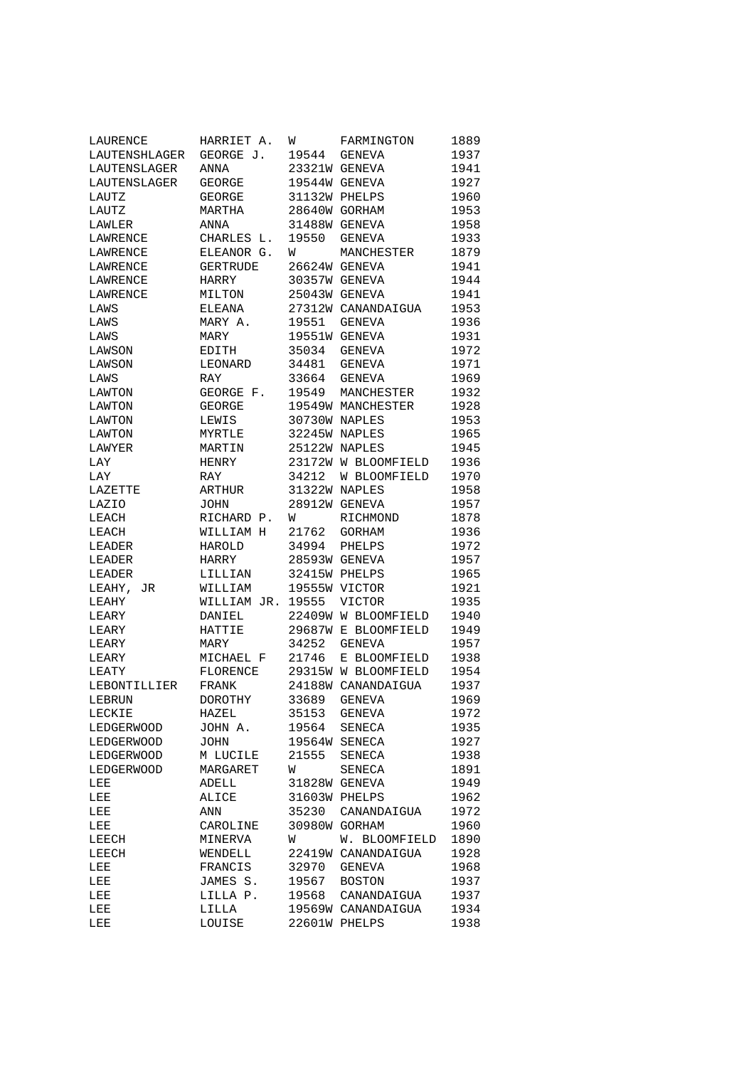| LAURENCE      | HARRIET A.      | W             | FARMINGTON          | 1889 |
|---------------|-----------------|---------------|---------------------|------|
| LAUTENSHLAGER | GEORGE J.       | 19544         | GENEVA              | 1937 |
| LAUTENSLAGER  | ANNA            |               | 23321W GENEVA       | 1941 |
| LAUTENSLAGER  | GEORGE          |               | 19544W GENEVA       | 1927 |
| LAUTZ         | GEORGE          | 31132W PHELPS |                     | 1960 |
| LAUTZ         | MARTHA          |               | 28640W GORHAM       | 1953 |
| LAWLER        | ANNA            |               | 31488W GENEVA       | 1958 |
| LAWRENCE      | CHARLES L.      | 19550         | GENEVA              | 1933 |
| LAWRENCE      | ELEANOR G.      | W             | MANCHESTER          | 1879 |
| LAWRENCE      | <b>GERTRUDE</b> |               | 26624W GENEVA       | 1941 |
| LAWRENCE      | HARRY           |               | 30357W GENEVA       | 1944 |
| LAWRENCE      | MILTON          |               | 25043W GENEVA       | 1941 |
| LAWS          | ELEANA          |               | 27312W CANANDAIGUA  | 1953 |
| LAWS          | MARY A.         | 19551         | GENEVA              | 1936 |
| LAWS          | MARY            |               | 19551W GENEVA       | 1931 |
| LAWSON        | EDITH           | 35034         | <b>GENEVA</b>       | 1972 |
| LAWSON        | LEONARD         | 34481         | <b>GENEVA</b>       | 1971 |
| LAWS          | RAY             | 33664         | GENEVA              | 1969 |
| LAWTON        | GEORGE F.       | 19549         | MANCHESTER          | 1932 |
| LAWTON        | <b>GEORGE</b>   |               | 19549W MANCHESTER   | 1928 |
| LAWTON        | LEWIS           |               | 30730W NAPLES       | 1953 |
| LAWTON        | MYRTLE          |               | 32245W NAPLES       | 1965 |
| LAWYER        | MARTIN          |               | 25122W NAPLES       | 1945 |
| LAY           | HENRY           |               | 23172W W BLOOMFIELD | 1936 |
| LAY           | RAY             | 34212         | W BLOOMFIELD        | 1970 |
| LAZETTE       | <b>ARTHUR</b>   |               | 31322W NAPLES       | 1958 |
| LAZIO         | JOHN            |               | 28912W GENEVA       | 1957 |
| LEACH         | RICHARD P.      | W             | RICHMOND            | 1878 |
| LEACH         | WILLIAM H       | 21762         | GORHAM              | 1936 |
| LEADER        | <b>HAROLD</b>   | 34994         | PHELPS              | 1972 |
| LEADER        | HARRY           |               | 28593W GENEVA       | 1957 |
| LEADER        | LILLIAN         |               | 32415W PHELPS       | 1965 |
| LEAHY, JR     | WILLIAM         |               | 19555W VICTOR       | 1921 |
| LEAHY         | WILLIAM JR.     | 19555         | <b>VICTOR</b>       | 1935 |
| LEARY         | DANIEL          |               | 22409W W BLOOMFIELD | 1940 |
| LEARY         | HATTIE          | 29687W        | E BLOOMFIELD        | 1949 |
| LEARY         | MARY            | 34252         | <b>GENEVA</b>       | 1957 |
| LEARY         | MICHAEL F       | 21746         | E BLOOMFIELD        | 1938 |
| LEATY         | FLORENCE        |               | 29315W W BLOOMFIELD | 1954 |
| LEBONTILLIER  | <b>FRANK</b>    |               | 24188W CANANDAIGUA  | 1937 |
| LEBRUN        | DOROTHY         | 33689         | GENEVA              | 1969 |
| LECKIE        | HAZEL           | 35153         | GENEVA              | 1972 |
| LEDGERWOOD    | JOHN A.         | 19564         | SENECA              | 1935 |
| LEDGERWOOD    | JOHN            |               | 19564W SENECA       | 1927 |
| LEDGERWOOD    | M LUCILE        | 21555         | SENECA              | 1938 |
| LEDGERWOOD    | MARGARET        | W             | SENECA              | 1891 |
| LEE           | ADELL           |               | 31828W GENEVA       | 1949 |
| LEE           | ALICE           |               | 31603W PHELPS       | 1962 |
| LEE           | ANN             | 35230         | CANANDAIGUA         | 1972 |
| LEE           |                 |               | 30980W GORHAM       | 1960 |
|               | CAROLINE        |               | W. BLOOMFIELD       |      |
| LEECH         | MINERVA         | W             |                     | 1890 |
| LEECH         | WENDELL         |               | 22419W CANANDAIGUA  | 1928 |
| LEE           | FRANCIS         | 32970         | GENEVA              | 1968 |
| LEE           | JAMES S.        | 19567         | <b>BOSTON</b>       | 1937 |
| LEE           | LILLA P.        | 19568         | CANANDAIGUA         | 1937 |
| LEE           | LILLA           |               | 19569W CANANDAIGUA  | 1934 |
| LEE           | LOUISE          |               | 22601W PHELPS       | 1938 |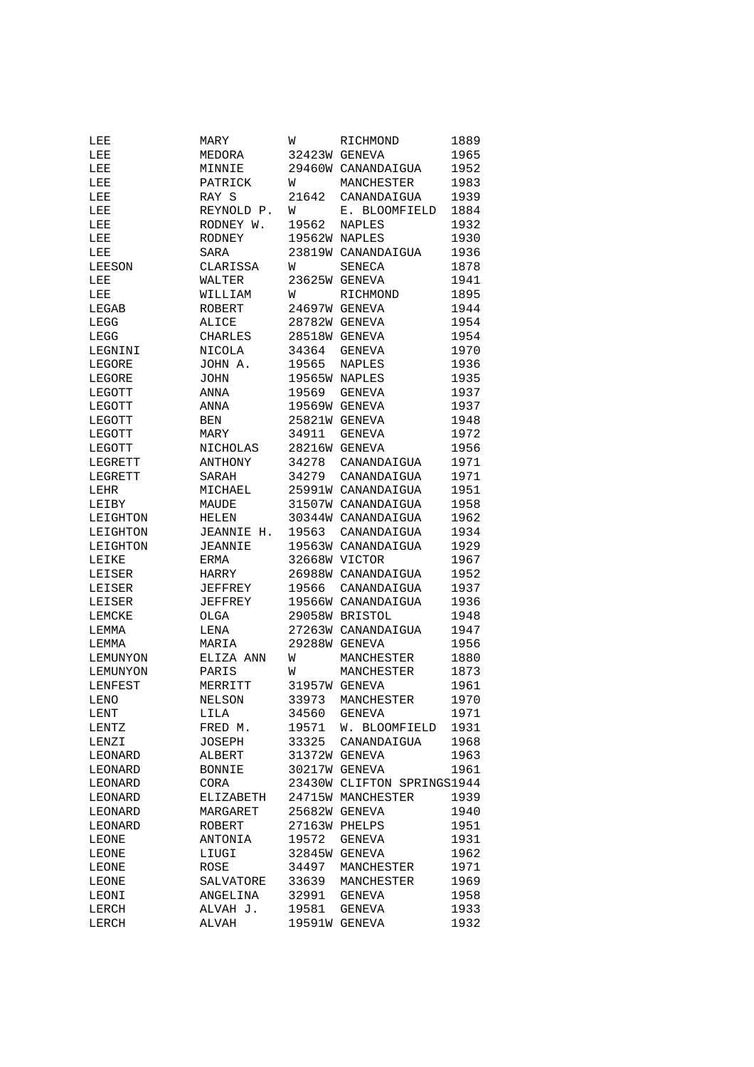| LEE      | MARY           | W             | RICHMOND                   | 1889 |
|----------|----------------|---------------|----------------------------|------|
| LEE      | MEDORA         | 32423W GENEVA |                            | 1965 |
| LEE      | MINNIE         |               | 29460W CANANDAIGUA         | 1952 |
| LEE      | PATRICK        | W             | MANCHESTER                 | 1983 |
| LEE      | RAY S          | 21642         | CANANDAIGUA                | 1939 |
| LEE      | REYNOLD P.     | W             | E. BLOOMFIELD              | 1884 |
| LEE      | RODNEY W.      | 19562         | NAPLES                     | 1932 |
| LEE      | RODNEY         |               | 19562W NAPLES              | 1930 |
| LEE      | SARA           |               | 23819W CANANDAIGUA         | 1936 |
| LEESON   | CLARISSA       | W             | SENECA                     | 1878 |
| LEE      | WALTER         |               | 23625W GENEVA              | 1941 |
| LEE      | WILLIAM        | W             | RICHMOND                   | 1895 |
| LEGAB    | ROBERT         | 24697W GENEVA |                            | 1944 |
| LEGG     | <b>ALICE</b>   | 28782W GENEVA |                            | 1954 |
| LEGG     | <b>CHARLES</b> | 28518W GENEVA |                            | 1954 |
| LEGNINI  | <b>NICOLA</b>  | 34364         | <b>GENEVA</b>              | 1970 |
| LEGORE   | JOHN A.        | 19565         | NAPLES                     | 1936 |
| LEGORE   | <b>JOHN</b>    | 19565W        | <b>NAPLES</b>              | 1935 |
| LEGOTT   | <b>ANNA</b>    | 19569         | <b>GENEVA</b>              | 1937 |
| LEGOTT   | ANNA           | 19569W GENEVA |                            | 1937 |
| LEGOTT   | <b>BEN</b>     | 25821W GENEVA |                            | 1948 |
| LEGOTT   | MARY           | 34911         | <b>GENEVA</b>              | 1972 |
| LEGOTT   | NICHOLAS       | 28216W        | <b>GENEVA</b>              | 1956 |
| LEGRETT  | <b>ANTHONY</b> | 34278         | CANANDAIGUA                | 1971 |
| LEGRETT  | SARAH          | 34279         | CANANDAIGUA                | 1971 |
| LEHR     | MICHAEL        |               | 25991W CANANDAIGUA         | 1951 |
| LEIBY    | MAUDE          |               | 31507W CANANDAIGUA         | 1958 |
| LEIGHTON | HELEN          |               | 30344W CANANDAIGUA         | 1962 |
| LEIGHTON | JEANNIE H.     | 19563         | CANANDAIGUA                | 1934 |
| LEIGHTON | JEANNIE        |               | 19563W CANANDAIGUA         | 1929 |
| LEIKE    | ERMA           |               | 32668W VICTOR              | 1967 |
| LEISER   | HARRY          |               | 26988W CANANDAIGUA         | 1952 |
| LEISER   | JEFFREY        | 19566         | CANANDAIGUA                | 1937 |
| LEISER   | JEFFREY        |               | 19566W CANANDAIGUA         | 1936 |
| LEMCKE   | OLGA           | 29058W        | <b>BRISTOL</b>             | 1948 |
| LEMMA    | LENA           |               | 27263W CANANDAIGUA         | 1947 |
| LEMMA    | MARIA          | 29288W GENEVA |                            | 1956 |
| LEMUNYON | ELIZA ANN      | W             | MANCHESTER                 | 1880 |
| LEMUNYON | PARIS          | W             | MANCHESTER                 | 1873 |
| LENFEST  | MERRITT        | 31957W GENEVA |                            | 1961 |
| LENO     | NELSON         | 33973         | MANCHESTER                 | 1970 |
| LENT     | LILA           | 34560         | GENEVA                     | 1971 |
| LENTZ    | FRED M.        | 19571         | W. BLOOMFIELD              | 1931 |
| LENZI    | JOSEPH         | 33325         | CANANDAIGUA                | 1968 |
| LEONARD  | ALBERT         |               | 31372W GENEVA              | 1963 |
| LEONARD  | <b>BONNIE</b>  |               | 30217W GENEVA              | 1961 |
| LEONARD  | CORA           |               | 23430W CLIFTON SPRINGS1944 |      |
| LEONARD  | ELIZABETH      |               | 24715W MANCHESTER          | 1939 |
| LEONARD  | MARGARET       | 25682W GENEVA |                            | 1940 |
| LEONARD  | ROBERT         | 27163W PHELPS |                            | 1951 |
| LEONE    | ANTONIA        | 19572         | GENEVA                     | 1931 |
| LEONE    | LIUGI          |               | 32845W GENEVA              | 1962 |
| LEONE    | ROSE           | 34497         | MANCHESTER                 | 1971 |
| LEONE    | SALVATORE      | 33639         | MANCHESTER                 | 1969 |
| LEONI    | ANGELINA       | 32991         | GENEVA                     | 1958 |
| LERCH    | ALVAH J.       | 19581         | GENEVA                     | 1933 |
| LERCH    | ALVAH          | 19591W GENEVA |                            | 1932 |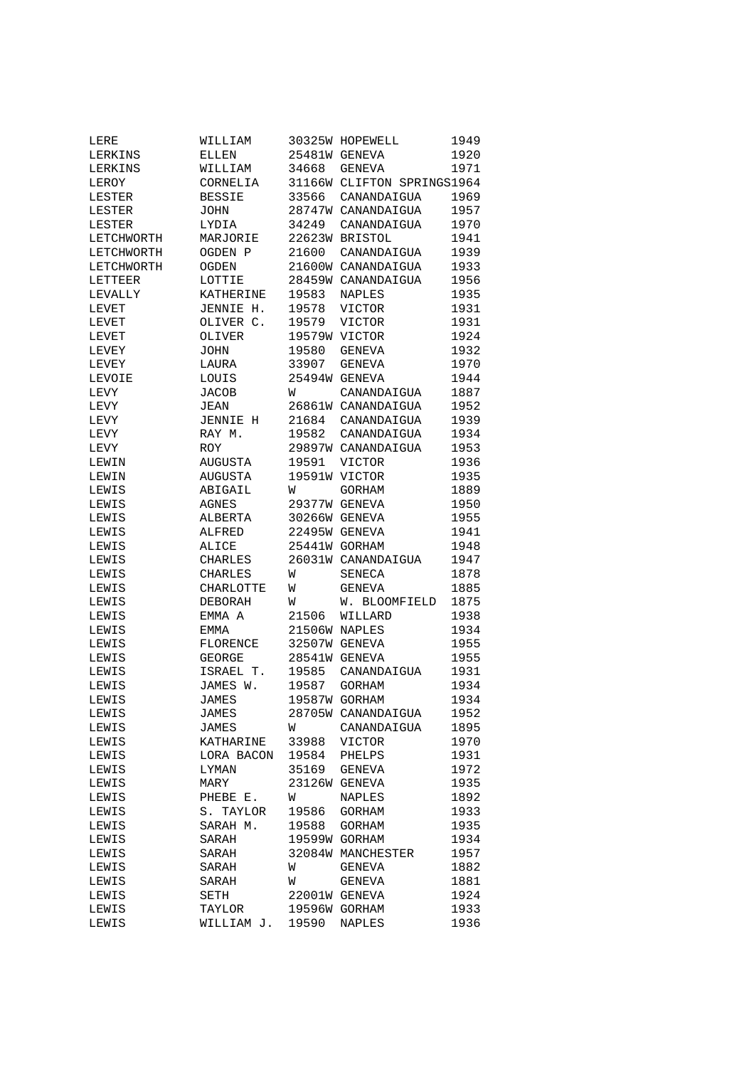| LERE       | WILLIAM                     |               | 30325W HOPEWELL            | 1949 |
|------------|-----------------------------|---------------|----------------------------|------|
| LERKINS    | ELLEN                       |               | 25481W GENEVA              | 1920 |
| LERKINS    | WILLIAM                     | 34668         | <b>GENEVA</b>              | 1971 |
|            |                             |               | 31166W CLIFTON SPRINGS1964 |      |
| LEROY      | CORNELIA                    |               |                            |      |
| LESTER     | <b>BESSIE</b>               | 33566         | CANANDAIGUA                | 1969 |
| LESTER     | JOHN                        | 28747W        | CANANDAIGUA                | 1957 |
| LESTER     | LYDIA                       | 34249         | CANANDAIGUA                | 1970 |
| LETCHWORTH | MARJORIE                    | 22623W        | <b>BRISTOL</b>             | 1941 |
| LETCHWORTH | OGDEN P                     | 21600         | CANANDAIGUA                | 1939 |
| LETCHWORTH | OGDEN                       |               | 21600W CANANDAIGUA         | 1933 |
| LETTEER    | LOTTIE                      | 28459W        | CANANDAIGUA                | 1956 |
| LEVALLY    | KATHERINE                   | 19583         | <b>NAPLES</b>              | 1935 |
| LEVET      | JENNIE H.                   | 19578         | VICTOR                     | 1931 |
| LEVET      | OLIVER C.                   | 19579         | <b>VICTOR</b>              | 1931 |
| LEVET      | OLIVER                      | 19579W VICTOR |                            | 1924 |
| LEVEY      | JOHN                        | 19580         | <b>GENEVA</b>              | 1932 |
| LEVEY      | LAURA                       | 33907         | GENEVA                     | 1970 |
| LEVOIE     | LOUIS                       | 25494W        | GENEVA                     | 1944 |
| LEVY       | <b>JACOB</b>                | W             | CANANDAIGUA                | 1887 |
| LEVY       | JEAN                        |               | 26861W CANANDAIGUA         | 1952 |
| LEVY       | <b>JENNIE H</b>             | 21684         | CANANDAIGUA                | 1939 |
| LEVY       | RAY M.                      | 19582         | CANANDAIGUA                | 1934 |
| LEVY       | <b>ROY</b>                  |               | 29897W CANANDAIGUA         | 1953 |
| LEWIN      | AUGUSTA                     | 19591         | <b>VICTOR</b>              | 1936 |
| LEWIN      | <b>AUGUSTA</b>              | 19591W        | <b>VICTOR</b>              | 1935 |
| LEWIS      | ABIGAIL                     | W             | GORHAM                     | 1889 |
| LEWIS      | <b>AGNES</b>                |               | 29377W GENEVA              | 1950 |
| LEWIS      | ALBERTA                     | 30266W GENEVA |                            | 1955 |
| LEWIS      | <b>ALFRED</b>               | 22495W GENEVA |                            | 1941 |
| LEWIS      | ALICE                       |               | 25441W GORHAM              | 1948 |
| LEWIS      | <b>CHARLES</b>              |               | 26031W CANANDAIGUA         | 1947 |
| LEWIS      | CHARLES                     | W             | SENECA                     | 1878 |
| LEWIS      |                             | W             | GENEVA                     | 1885 |
| LEWIS      | CHARLOTTE<br><b>DEBORAH</b> | W             | W. BLOOMFIELD              | 1875 |
|            |                             |               |                            |      |
| LEWIS      | EMMA A                      | 21506         | WILLARD                    | 1938 |
| LEWIS      | EMMA                        | 21506W        | <b>NAPLES</b>              | 1934 |
| LEWIS      | FLORENCE                    |               | 32507W GENEVA              | 1955 |
| LEWIS      | GEORGE                      | 28541W        | GENEVA                     | 1955 |
| LEWIS      | ISRAEL T.                   | 19585         | CANANDAIGUA                | 1931 |
| LEWIS      | JAMES W.                    | 19587         | GORHAM                     | 1934 |
| LEWIS      | JAMES                       |               | 19587W GORHAM              | 1934 |
| LEWIS      | JAMES                       |               | 28705W CANANDAIGUA         | 1952 |
| LEWIS      | JAMES                       | M             | CANANDAIGUA                | 1895 |
| LEWIS      | KATHARINE                   | 33988         | VICTOR                     | 1970 |
| LEWIS      | LORA BACON                  | 19584         | PHELPS                     | 1931 |
| LEWIS      | LYMAN                       | 35169         | GENEVA                     | 1972 |
| LEWIS      | MARY                        |               | 23126W GENEVA              | 1935 |
| LEWIS      | PHEBE E.                    | W             | NAPLES                     | 1892 |
| LEWIS      | S. TAYLOR                   | 19586         | GORHAM                     | 1933 |
| LEWIS      | SARAH M.                    | 19588         | GORHAM                     | 1935 |
| LEWIS      | SARAH                       |               | 19599W GORHAM              | 1934 |
| LEWIS      | SARAH                       |               | 32084W MANCHESTER          | 1957 |
| LEWIS      | SARAH                       | W             | GENEVA                     | 1882 |
| LEWIS      | SARAH                       | W             | GENEVA                     | 1881 |
| LEWIS      | SETH                        |               | 22001W GENEVA              | 1924 |
| LEWIS      | TAYLOR                      |               | 19596W GORHAM              | 1933 |
| LEWIS      | WILLIAM J. 19590            |               | <b>NAPLES</b>              | 1936 |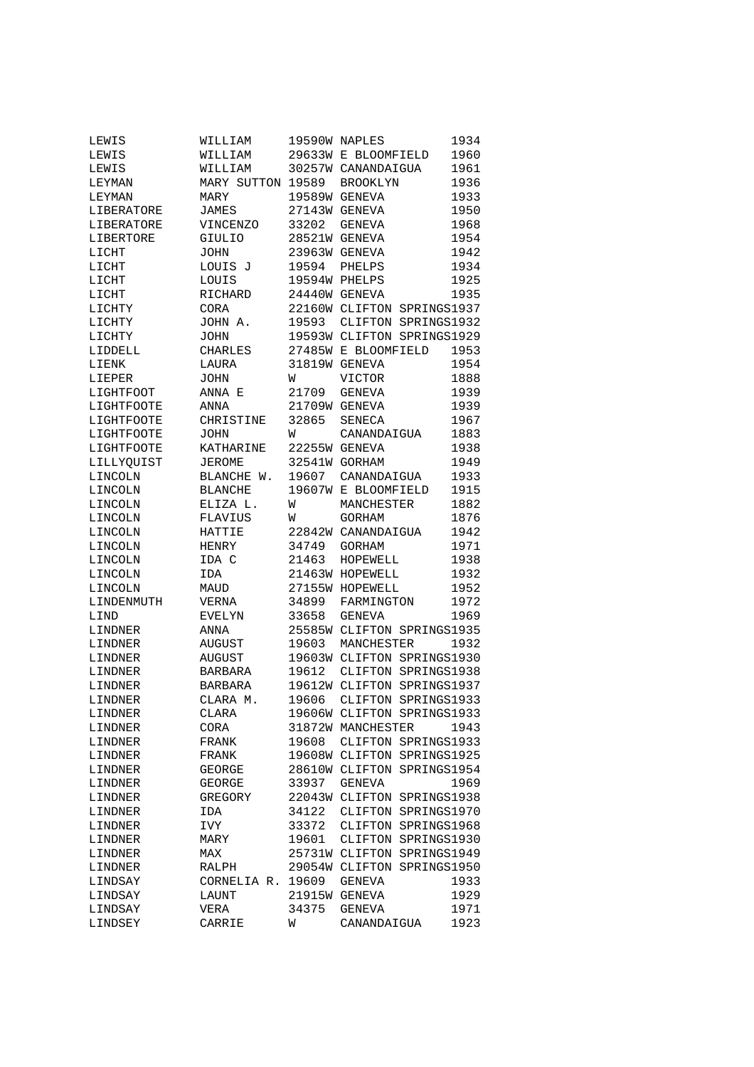| LEWIS            | WILLIAM         | 19590W NAPLES |                            | 1934 |
|------------------|-----------------|---------------|----------------------------|------|
| LEWIS            | WILLIAM         | 29633W        | E BLOOMFIELD               | 1960 |
| LEWIS            | WILLIAM         | 30257W        | CANANDAIGUA                | 1961 |
| LEYMAN           | MARY SUTTON     | 19589         | <b>BROOKLYN</b>            | 1936 |
| LEYMAN           | MARY            | 19589W        | <b>GENEVA</b>              | 1933 |
| LIBERATORE       | <b>JAMES</b>    | 27143W        | <b>GENEVA</b>              | 1950 |
| LIBERATORE       | <b>VINCENZO</b> | 33202         | <b>GENEVA</b>              | 1968 |
| LIBERTORE        | <b>GIULIO</b>   | 28521W        | <b>GENEVA</b>              | 1954 |
| LICHT            | <b>JOHN</b>     | 23963W        | <b>GENEVA</b>              | 1942 |
| LICHT            | LOUIS J         | 19594         | PHELPS                     | 1934 |
| LICHT            | LOUIS           | 19594W        | PHELPS                     | 1925 |
| LICHT            | RICHARD         | 24440W        | <b>GENEVA</b>              | 1935 |
|                  | CORA            | 22160W        | CLIFTON SPRINGS1937        |      |
| LICHTY<br>LICHTY | JOHN A.         | 19593         | CLIFTON SPRINGS1932        |      |
|                  |                 |               | 19593W CLIFTON SPRINGS1929 |      |
| LICHTY           | <b>JOHN</b>     |               |                            | 1953 |
| LIDDELL          | <b>CHARLES</b>  | 27485W        | E BLOOMFIELD               |      |
| LIENK            | LAURA           | 31819W        | <b>GENEVA</b>              | 1954 |
| LIEPER           | <b>JOHN</b>     | W             | VICTOR                     | 1888 |
| LIGHTFOOT        | ANNA E          | 21709         | <b>GENEVA</b>              | 1939 |
| LIGHTFOOTE       | ANNA            | 21709W        | <b>GENEVA</b>              | 1939 |
| LIGHTFOOTE       | CHRISTINE       | 32865         | <b>SENECA</b>              | 1967 |
| LIGHTFOOTE       | JOHN            | W             | CANANDAIGUA                | 1883 |
| LIGHTFOOTE       | KATHARINE       | 22255W        | <b>GENEVA</b>              | 1938 |
| LILLYQUIST       | <b>JEROME</b>   | 32541W        | GORHAM                     | 1949 |
| LINCOLN          | BLANCHE W.      | 19607         | CANANDAIGUA                | 1933 |
| LINCOLN          | <b>BLANCHE</b>  | 19607W        | E BLOOMFIELD               | 1915 |
| LINCOLN          | ELIZA L.        | W             | MANCHESTER                 | 1882 |
| LINCOLN          | <b>FLAVIUS</b>  | W             | GORHAM                     | 1876 |
| LINCOLN          | HATTIE          | 22842W        | CANANDAIGUA                | 1942 |
| LINCOLN          | HENRY           | 34749         | GORHAM                     | 1971 |
| LINCOLN          | IDA C           | 21463         | HOPEWELL                   | 1938 |
| LINCOLN          | IDA             | 21463W        | HOPEWELL                   | 1932 |
| LINCOLN          | MAUD            | 27155W        | HOPEWELL                   | 1952 |
| LINDENMUTH       | VERNA           | 34899         | FARMINGTON                 | 1972 |
| LIND             | <b>EVELYN</b>   | 33658         | <b>GENEVA</b>              | 1969 |
| LINDNER          | ANNA            | 25585W        | CLIFTON SPRINGS1935        |      |
| LINDNER          | <b>AUGUST</b>   | 19603         | MANCHESTER                 | 1932 |
| LINDNER          | <b>AUGUST</b>   | 19603W        | CLIFTON SPRINGS1930        |      |
| LINDNER          | <b>BARBARA</b>  | 19612         | CLIFTON SPRINGS1938        |      |
| LINDNER          | <b>BARBARA</b>  |               | 19612W CLIFTON SPRINGS1937 |      |
| LINDNER          | CLARA M.        |               | 19606 CLIFTON SPRINGS1933  |      |
| LINDNER          | CLARA           |               | 19606W CLIFTON SPRINGS1933 |      |
| LINDNER          | CORA            |               | 31872W MANCHESTER          | 1943 |
| LINDNER          | FRANK           | 19608         | CLIFTON SPRINGS1933        |      |
| LINDNER          | FRANK           |               | 19608W CLIFTON SPRINGS1925 |      |
| LINDNER          | GEORGE          |               | 28610W CLIFTON SPRINGS1954 |      |
| LINDNER          | GEORGE          | 33937         | <b>GENEVA</b>              | 1969 |
| LINDNER          | GREGORY         | 22043W        | CLIFTON SPRINGS1938        |      |
| LINDNER          | IDA             | 34122         | CLIFTON SPRINGS1970        |      |
| LINDNER          | IVY             | 33372         | CLIFTON SPRINGS1968        |      |
| LINDNER          | MARY            | 19601         | CLIFTON SPRINGS1930        |      |
| LINDNER          | MAX             |               | 25731W CLIFTON SPRINGS1949 |      |
| LINDNER          | RALPH           |               | 29054W CLIFTON SPRINGS1950 |      |
| LINDSAY          | CORNELIA R.     | 19609         | GENEVA                     | 1933 |
| LINDSAY          | LAUNT           | 21915W        | GENEVA                     | 1929 |
| LINDSAY          | VERA            | 34375         | GENEVA                     | 1971 |
| LINDSEY          | CARRIE          | W             | CANANDAIGUA                | 1923 |
|                  |                 |               |                            |      |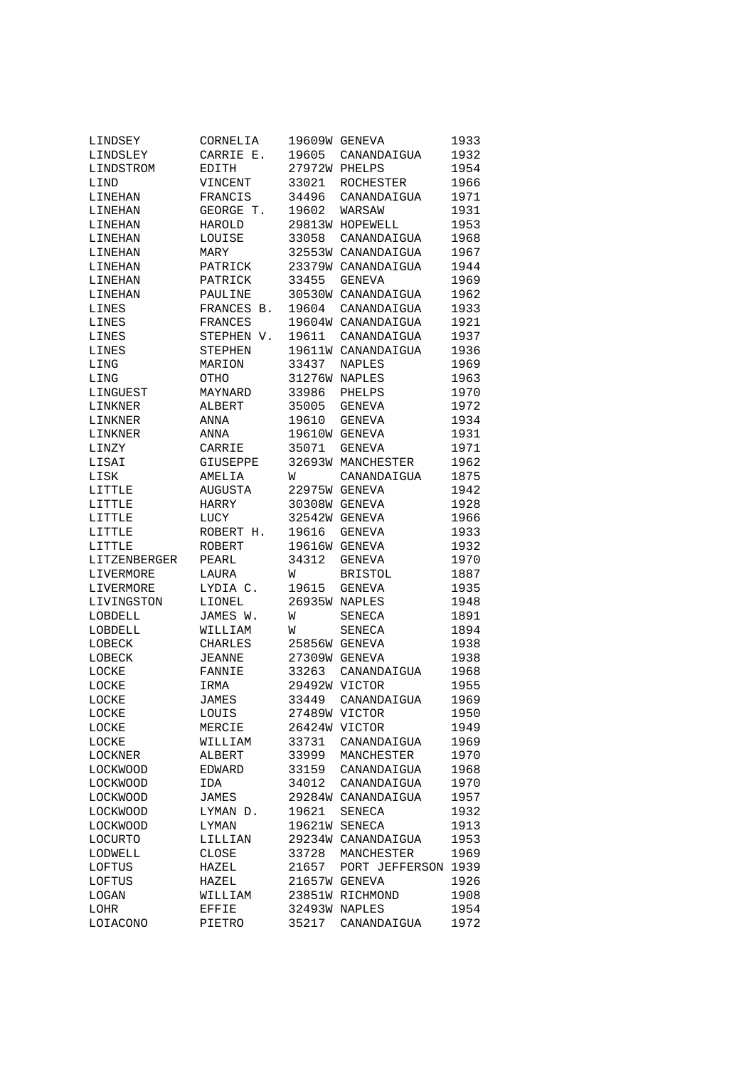| LINDSEY      | CORNELIA      |               | 19609W GENEVA                | 1933 |
|--------------|---------------|---------------|------------------------------|------|
| LINDSLEY     | CARRIE E.     | 19605         | CANANDAIGUA                  | 1932 |
| LINDSTROM    | EDITH         | 27972W        | PHELPS                       | 1954 |
| LIND         | VINCENT       | 33021         | ROCHESTER                    | 1966 |
| LINEHAN      | FRANCIS       | 34496         | CANANDAIGUA                  | 1971 |
| LINEHAN      | GEORGE T.     | 19602         | WARSAW                       | 1931 |
| LINEHAN      | <b>HAROLD</b> | 29813W        | HOPEWELL                     | 1953 |
| LINEHAN      | LOUISE        | 33058         | CANANDAIGUA                  | 1968 |
| LINEHAN      | MARY          |               | 32553W CANANDAIGUA           | 1967 |
| LINEHAN      | PATRICK       |               | 23379W CANANDAIGUA           | 1944 |
| LINEHAN      | PATRICK       | 33455         | <b>GENEVA</b>                | 1969 |
| LINEHAN      | PAULINE       | 30530W        | CANANDAIGUA                  | 1962 |
| LINES        | FRANCES B.    | 19604         | CANANDAIGUA                  | 1933 |
| LINES        | FRANCES       | 19604W        | CANANDAIGUA                  | 1921 |
| LINES        | STEPHEN V.    | 19611         | CANANDAIGUA                  | 1937 |
|              |               |               | 19611W CANANDAIGUA           | 1936 |
| LINES        | STEPHEN       |               |                              |      |
| LING         | MARION        | 33437         | NAPLES                       | 1969 |
| LING         | OTHO          | 31276W        | <b>NAPLES</b>                | 1963 |
| LINGUEST     | MAYNARD       | 33986         | PHELPS                       | 1970 |
| LINKNER      | ALBERT        | 35005         | GENEVA                       | 1972 |
| LINKNER      | ANNA          | 19610         | GENEVA                       | 1934 |
| LINKNER      | ANNA          |               | 19610W GENEVA                | 1931 |
| LINZY        | CARRIE        | 35071         | GENEVA                       | 1971 |
| LISAI        | GIUSEPPE      | 32693W        | MANCHESTER                   | 1962 |
| LISK         | AMELIA        | W             | CANANDAIGUA                  | 1875 |
| LITTLE       | AUGUSTA       |               | 22975W GENEVA                | 1942 |
| LITTLE       | <b>HARRY</b>  |               | 30308W GENEVA                | 1928 |
| LITTLE       | LUCY          |               | 32542W GENEVA                | 1966 |
| LITTLE       | ROBERT H.     | 19616         | GENEVA                       | 1933 |
| LITTLE       | ROBERT        | 19616W        | <b>GENEVA</b>                | 1932 |
| LITZENBERGER | PEARL         | 34312         | <b>GENEVA</b>                | 1970 |
| LIVERMORE    | LAURA         | W             | <b>BRISTOL</b>               | 1887 |
| LIVERMORE    | LYDIA C.      | 19615         | <b>GENEVA</b>                | 1935 |
| LIVINGSTON   | LIONEL        | 26935W        | <b>NAPLES</b>                | 1948 |
| LOBDELL      | JAMES W.      | W             | SENECA                       | 1891 |
| LOBDELL      | WILLIAM       | W             | SENECA                       | 1894 |
| LOBECK       | CHARLES       | 25856W        | GENEVA                       | 1938 |
| LOBECK       | JEANNE        | 27309W        | <b>GENEVA</b>                | 1938 |
|              | FANNIE        | 33263         |                              | 1968 |
| LOCKE        |               |               | CANANDAIGUA<br>29492W VICTOR |      |
| LOCKE        | IRMA          |               |                              | 1955 |
| LOCKE        | <b>JAMES</b>  |               | 33449 CANANDAIGUA            | 1969 |
| LOCKE        | LOUIS         |               | 27489W VICTOR                | 1950 |
| LOCKE        | MERCIE        |               | 26424W VICTOR                | 1949 |
| LOCKE        | WILLIAM       | 33731         | CANANDAIGUA                  | 1969 |
| LOCKNER      | ALBERT        | 33999         | MANCHESTER                   | 1970 |
| LOCKWOOD     | EDWARD        | 33159         | CANANDAIGUA                  | 1968 |
| LOCKWOOD     | IDA           | 34012         | CANANDAIGUA                  | 1970 |
| LOCKWOOD     | JAMES         |               | 29284W CANANDAIGUA           | 1957 |
| LOCKWOOD     | LYMAN D.      | 19621         | SENECA                       | 1932 |
| LOCKWOOD     | LYMAN         |               | 19621W SENECA                | 1913 |
| LOCURTO      | LILLIAN       |               | 29234W CANANDAIGUA           | 1953 |
| LODWELL      | CLOSE         | 33728         | MANCHESTER                   | 1969 |
| LOFTUS       | HAZEL         | 21657         | PORT JEFFERSON 1939          |      |
| LOFTUS       | HAZEL         | 21657W GENEVA |                              | 1926 |
| LOGAN        | WILLIAM       |               | 23851W RICHMOND              | 1908 |
| LOHR         | <b>EFFIE</b>  | 32493W        | <b>NAPLES</b>                | 1954 |
| LOIACONO     | PIETRO        | 35217         | CANANDAIGUA                  | 1972 |
|              |               |               |                              |      |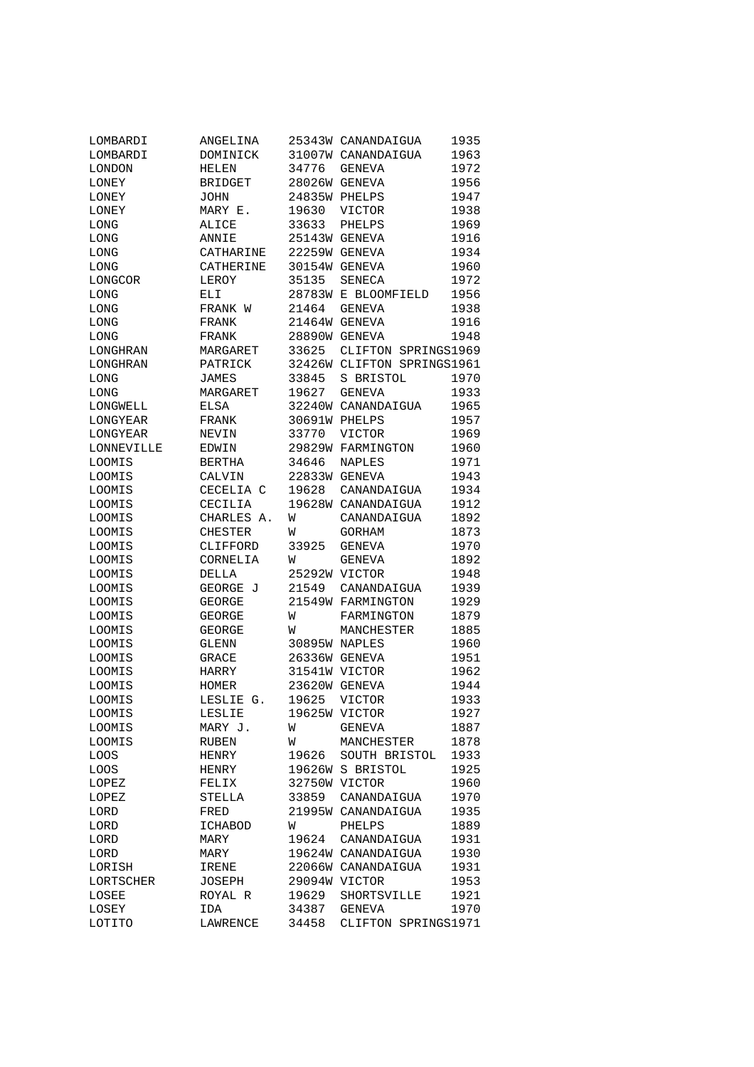| LOMBARDI   | ANGELINA       |               | 25343W CANANDAIGUA  | 1935 |
|------------|----------------|---------------|---------------------|------|
| LOMBARDI   | DOMINICK       |               | 31007W CANANDAIGUA  | 1963 |
| LONDON     | HELEN          | 34776         | <b>GENEVA</b>       | 1972 |
| LONEY      | <b>BRIDGET</b> | 28026W        | <b>GENEVA</b>       | 1956 |
| LONEY      | <b>JOHN</b>    | 24835W        | PHELPS              | 1947 |
| LONEY      | MARY E.        | 19630         | <b>VICTOR</b>       | 1938 |
| LONG       | ALICE          | 33633         | PHELPS              | 1969 |
| LONG       | ANNIE          | 25143W GENEVA |                     | 1916 |
| LONG       | CATHARINE      | 22259W        | <b>GENEVA</b>       | 1934 |
| LONG       | CATHERINE      | 30154W        | <b>GENEVA</b>       | 1960 |
| LONGCOR    | LEROY          | 35135         | SENECA              | 1972 |
| LONG       | ELI            | 28783W        | E BLOOMFIELD        | 1956 |
| LONG       | FRANK W        | 21464         | <b>GENEVA</b>       | 1938 |
| LONG       | FRANK          | 21464W        | <b>GENEVA</b>       | 1916 |
| LONG       | FRANK          | 28890W        | <b>GENEVA</b>       | 1948 |
| LONGHRAN   | MARGARET       | 33625         | CLIFTON SPRINGS1969 |      |
| LONGHRAN   | PATRICK        | 32426W        | CLIFTON SPRINGS1961 |      |
| LONG       | <b>JAMES</b>   | 33845         | S BRISTOL           | 1970 |
| LONG       | MARGARET       | 19627         | <b>GENEVA</b>       | 1933 |
| LONGWELL   | <b>ELSA</b>    |               | 32240W CANANDAIGUA  | 1965 |
| LONGYEAR   | FRANK          | 30691W PHELPS |                     | 1957 |
| LONGYEAR   | NEVIN          | 33770         | <b>VICTOR</b>       | 1969 |
| LONNEVILLE | EDWIN          | 29829W        | FARMINGTON          | 1960 |
| LOOMIS     | <b>BERTHA</b>  | 34646         | NAPLES              | 1971 |
| LOOMIS     | CALVIN         | 22833W        | <b>GENEVA</b>       | 1943 |
| LOOMIS     | CECELIA C      | 19628         | CANANDAIGUA         | 1934 |
| LOOMIS     | CECILIA        |               | 19628W CANANDAIGUA  | 1912 |
| LOOMIS     | CHARLES A.     | W             | CANANDAIGUA         | 1892 |
| LOOMIS     | <b>CHESTER</b> | W             | GORHAM              | 1873 |
| LOOMIS     | CLIFFORD       | 33925         | <b>GENEVA</b>       | 1970 |
| LOOMIS     | CORNELIA       | W             | <b>GENEVA</b>       | 1892 |
| LOOMIS     | DELLA          | 25292W VICTOR |                     | 1948 |
| LOOMIS     | GEORGE J       | 21549         | CANANDAIGUA         | 1939 |
| LOOMIS     | GEORGE         | 21549W        | FARMINGTON          | 1929 |
| LOOMIS     | GEORGE         | W             | FARMINGTON          | 1879 |
| LOOMIS     | GEORGE         | W             | MANCHESTER          | 1885 |
| LOOMIS     | GLENN          | 30895W NAPLES |                     | 1960 |
| LOOMIS     | GRACE          | 26336W GENEVA |                     | 1951 |
| LOOMIS     | HARRY          | 31541W VICTOR |                     | 1962 |
| LOOMIS     | <b>HOMER</b>   | 23620W GENEVA |                     | 1944 |
| LOOMIS     | LESLIE G.      | 19625         | VICTOR              | 1933 |
| LOOMIS     | LESLIE         |               | 19625W VICTOR       | 1927 |
| LOOMIS     | MARY J.        | W             | GENEVA              | 1887 |
| LOOMIS     | RUBEN          | W             | MANCHESTER          | 1878 |
| LOOS       | HENRY          | 19626         | SOUTH BRISTOL       | 1933 |
| LOOS       | HENRY          |               | 19626W S BRISTOL    | 1925 |
| LOPEZ      | FELIX          |               | 32750W VICTOR       | 1960 |
| LOPEZ      | STELLA         | 33859         | CANANDAIGUA         | 1970 |
| LORD       | FRED           |               | 21995W CANANDAIGUA  | 1935 |
| LORD       | <b>ICHABOD</b> | W             | PHELPS              | 1889 |
| LORD       | MARY           | 19624         | CANANDAIGUA         | 1931 |
| LORD       | MARY           |               | 19624W CANANDAIGUA  | 1930 |
| LORISH     | IRENE          |               | 22066W CANANDAIGUA  | 1931 |
| LORTSCHER  | JOSEPH         | 29094W VICTOR |                     | 1953 |
| LOSEE      | ROYAL R        | 19629         | SHORTSVILLE         | 1921 |
| LOSEY      | IDA            | 34387         | <b>GENEVA</b>       | 1970 |
| LOTITO     | LAWRENCE       | 34458         | CLIFTON SPRINGS1971 |      |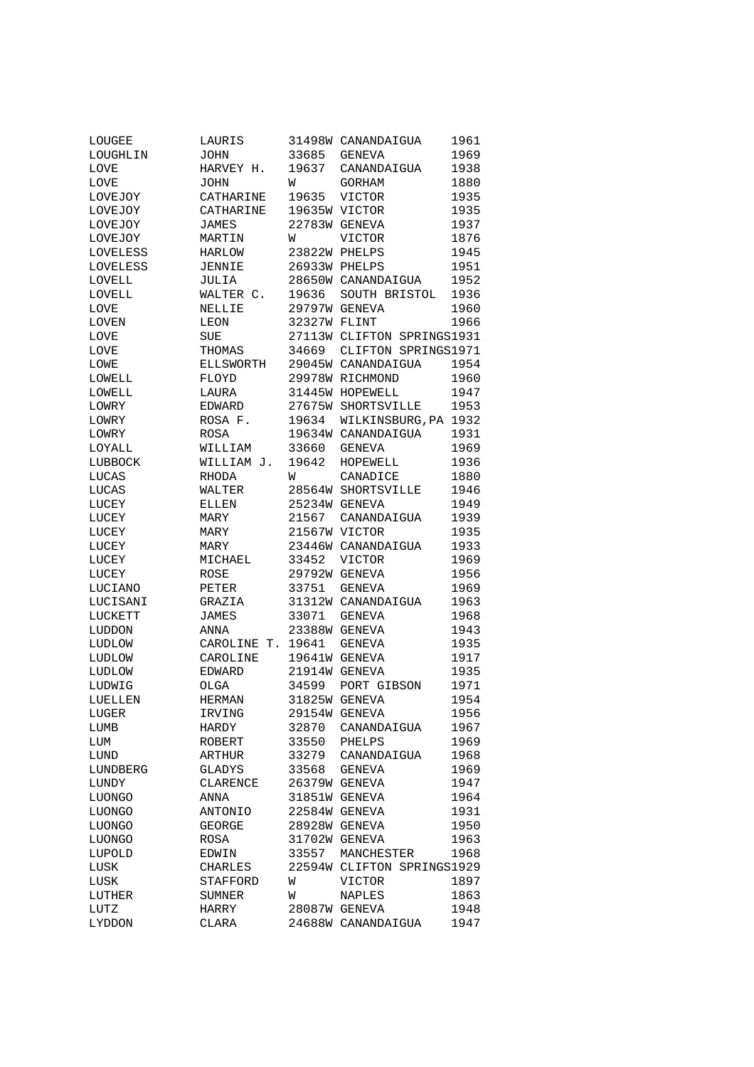| LOUGEE        | LAURIS          |                        | 31498W CANANDAIGUA             | 1961         |
|---------------|-----------------|------------------------|--------------------------------|--------------|
| LOUGHLIN      | JOHN            | 33685                  | <b>GENEVA</b>                  | 1969         |
| LOVE          | HARVEY H.       | 19637                  | CANANDAIGUA                    | 1938         |
| LOVE          | <b>JOHN</b>     | W                      | GORHAM                         | 1880         |
| LOVEJOY       | CATHARINE       | 19635                  | VICTOR                         | 1935         |
| LOVEJOY       | CATHARINE       | 19635W VICTOR          |                                | 1935         |
| LOVEJOY       | <b>JAMES</b>    | 22783W GENEVA          |                                | 1937         |
| LOVEJOY       | MARTIN          | W                      | VICTOR                         | 1876         |
| LOVELESS      | HARLOW          | 23822W PHELPS          |                                | 1945         |
| LOVELESS      | JENNIE          | 26933W PHELPS          |                                | 1951         |
| <b>LOVELL</b> | JULIA           |                        | 28650W CANANDAIGUA             | 1952         |
| LOVELL        | WALTER C.       | 19636                  | SOUTH BRISTOL                  | 1936         |
| <b>LOVE</b>   | NELLIE          |                        | 29797W GENEVA                  | 1960         |
| LOVEN         | LEON            | 32327W FLINT           |                                | 1966         |
| LOVE          | <b>SUE</b>      |                        | 27113W CLIFTON SPRINGS1931     |              |
| LOVE          | THOMAS          | 34669                  | CLIFTON SPRINGS1971            |              |
| LOWE          | ELLSWORTH       |                        | 29045W CANANDAIGUA             | 1954         |
| LOWELL        | FLOYD           |                        | 29978W RICHMOND                | 1960         |
| LOWELL        | LAURA           |                        | 31445W HOPEWELL                | 1947         |
| LOWRY         | EDWARD          |                        | 27675W SHORTSVILLE             | 1953         |
| LOWRY         | ROSA F.         | 19634                  | WILKINSBURG, PA 1932           |              |
| LOWRY         | ROSA            |                        | 19634W CANANDAIGUA             | 1931         |
| LOYALL        | WILLIAM         | 33660                  | <b>GENEVA</b>                  | 1969         |
| LUBBOCK       | WILLIAM J.      | 19642                  | HOPEWELL                       | 1936         |
| LUCAS         | RHODA           | W                      | CANADICE                       | 1880         |
| LUCAS         | WALTER          |                        | 28564W SHORTSVILLE             | 1946         |
| LUCEY         | <b>ELLEN</b>    |                        | 25234W GENEVA                  | 1949         |
| LUCEY         |                 |                        |                                | 1939         |
| LUCEY         | MARY<br>MARY    | 21567<br>21567W VICTOR | CANANDAIGUA                    | 1935         |
| LUCEY         |                 |                        | 23446W CANANDAIGUA             | 1933         |
| LUCEY         | MARY<br>MICHAEL | 33452                  | VICTOR                         | 1969         |
| LUCEY         |                 |                        | 29792W GENEVA                  | 1956         |
|               | ROSE            | 33751                  |                                |              |
| LUCIANO       | PETER           |                        | GENEVA                         | 1969         |
| LUCISANI      | GRAZIA          |                        | 31312W CANANDAIGUA             | 1963         |
| LUCKETT       | <b>JAMES</b>    | 33071                  | <b>GENEVA</b><br>23388W GENEVA | 1968<br>1943 |
| LUDDON        | ANNA            |                        |                                |              |
| LUDLOW        | CAROLINE T.     | 19641<br>19641W GENEVA | GENEVA                         | 1935         |
| LUDLOW        | CAROLINE        |                        |                                | 1917         |
| LUDLOW        | <b>EDWARD</b>   |                        | 21914W GENEVA                  | 1935         |
| LUDWIG        | OLGA            | 34599                  | PORT GIBSON                    | 1971<br>1954 |
| LUELLEN       | HERMAN          |                        | 31825W GENEVA                  |              |
| LUGER         | IRVING          |                        | 29154W GENEVA                  | 1956         |
| LUMB          | HARDY           | 32870                  | CANANDAIGUA                    | 1967         |
| LUM           | ROBERT          | 33550                  | PHELPS                         | 1969         |
| LUND          | ARTHUR          | 33279                  | CANANDAIGUA                    | 1968         |
| LUNDBERG      | GLADYS          | 33568                  | <b>GENEVA</b>                  | 1969         |
| LUNDY         | <b>CLARENCE</b> |                        | 26379W GENEVA                  | 1947         |
| LUONGO        | ANNA            |                        | 31851W GENEVA                  | 1964         |
| LUONGO        | <b>ANTONIO</b>  |                        | 22584W GENEVA                  | 1931         |
| LUONGO        | <b>GEORGE</b>   |                        | 28928W GENEVA                  | 1950         |
| LUONGO        | ROSA            |                        | 31702W GENEVA                  | 1963         |
| LUPOLD        | EDWIN           | 33557                  | MANCHESTER                     | 1968         |
| LUSK          | CHARLES         |                        | 22594W CLIFTON SPRINGS1929     |              |
| LUSK          | STAFFORD        | W                      | <b>VICTOR</b>                  | 1897         |
| LUTHER        | SUMNER          | W                      | NAPLES                         | 1863         |
| LUTZ          | HARRY           |                        | 28087W GENEVA                  | 1948         |
| LYDDON        | CLARA           |                        | 24688W CANANDAIGUA             | 1947         |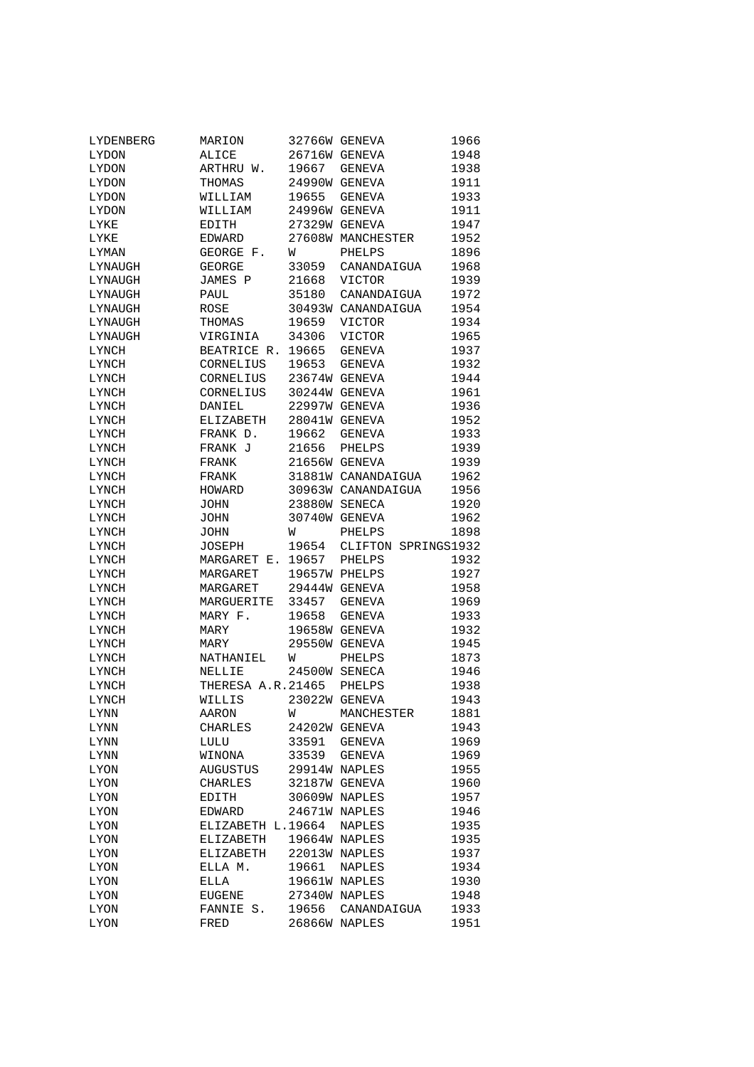| LYDENBERG                   | MARION                  |        | 32766W GENEVA                  | 1966         |
|-----------------------------|-------------------------|--------|--------------------------------|--------------|
| <b>LYDON</b>                | <b>ALICE</b>            |        | 26716W GENEVA                  | 1948         |
| LYDON                       | ARTHRU W.               | 19667  | GENEVA                         | 1938         |
| LYDON                       | THOMAS                  |        | 24990W GENEVA                  | 1911         |
| <b>LYDON</b>                | WILLIAM                 | 19655  | <b>GENEVA</b>                  | 1933         |
| LYDON                       | WILLIAM                 |        | 24996W GENEVA                  | 1911         |
| LYKE                        | EDITH                   |        | 27329W GENEVA                  | 1947         |
| LYKE                        | EDWARD                  |        | 27608W MANCHESTER              | 1952         |
| LYMAN                       | GEORGE F.               | W      | PHELPS                         | 1896         |
| LYNAUGH                     | GEORGE                  | 33059  | CANANDAIGUA                    | 1968         |
| LYNAUGH                     | JAMES P                 | 21668  | VICTOR                         | 1939         |
| LYNAUGH                     | PAUL                    | 35180  | CANANDAIGUA                    | 1972         |
| LYNAUGH                     | ROSE                    |        | 30493W CANANDAIGUA             | 1954         |
| LYNAUGH                     | THOMAS                  | 19659  | <b>VICTOR</b>                  | 1934         |
| LYNAUGH                     | VIRGINIA                | 34306  | VICTOR                         | 1965         |
| LYNCH                       | BEATRICE R.             | 19665  | <b>GENEVA</b>                  | 1937         |
| <b>LYNCH</b>                | CORNELIUS               | 19653  | GENEVA                         | 1932         |
| LYNCH                       | CORNELIUS               |        | 23674W GENEVA                  | 1944         |
| LYNCH                       | CORNELIUS               |        | 30244W GENEVA                  | 1961         |
| LYNCH                       | DANIEL                  |        | 22997W GENEVA                  | 1936         |
| LYNCH                       | <b>ELIZABETH</b>        |        | 28041W GENEVA                  | 1952         |
| LYNCH                       | FRANK D.                | 19662  | <b>GENEVA</b>                  | 1933         |
| LYNCH                       | FRANK J                 | 21656  | PHELPS                         | 1939         |
| LYNCH                       | FRANK                   |        | 21656W GENEVA                  | 1939         |
| LYNCH                       | FRANK                   |        | 31881W CANANDAIGUA             | 1962         |
| LYNCH                       | <b>HOWARD</b>           |        | 30963W CANANDAIGUA             | 1956         |
| LYNCH                       | JOHN                    |        | 23880W SENECA                  | 1920         |
| LYNCH                       | <b>JOHN</b>             |        | 30740W GENEVA                  | 1962         |
|                             |                         |        |                                |              |
|                             |                         |        |                                |              |
| ${\rm LYNCH}$               | <b>JOHN</b>             | W      | PHELPS                         | 1898         |
| <b>LYNCH</b>                | <b>JOSEPH</b>           | 19654  | CLIFTON SPRINGS1932            |              |
| $\ensuremath{\text{LYNCH}}$ | MARGARET E.<br>MARGARET | 19657  | PHELPS                         | 1932         |
| LYNCH                       | MARGARET                |        | 19657W PHELPS<br>29444W GENEVA | 1927         |
| LYNCH<br>${\rm LYNCH}$      | MARGUERITE              | 33457  | <b>GENEVA</b>                  | 1958<br>1969 |
| LYNCH                       | MARY F.                 | 19658  | GENEVA                         | 1933         |
| ${\rm LYNCH}$               | MARY                    |        | 19658W GENEVA                  | 1932         |
| LYNCH                       | MARY                    |        | 29550W GENEVA                  | 1945         |
| LYNCH                       | NATHANIEL               | W      | PHELPS                         | 1873         |
| LYNCH                       | NELLIE                  |        | 24500W SENECA                  | 1946         |
| LYNCH                       | THERESA A.R.21465       |        | PHELPS                         | 1938         |
| LYNCH                       | WILLIS 23022W GENEVA    |        |                                | 1943         |
| LYNN                        | AARON                   | W      | MANCHESTER                     | 1881         |
| LYNN                        | CHARLES                 |        | 24202W GENEVA                  | 1943         |
| LYNN                        | LULU                    | 33591  | GENEVA                         | 1969         |
| LYNN                        | WINONA                  | 33539  | GENEVA                         | 1969         |
| LYON                        | AUGUSTUS                |        | 29914W NAPLES                  | 1955         |
| LYON                        | CHARLES                 |        | 32187W GENEVA                  | 1960         |
| LYON                        | EDITH                   |        | 30609W NAPLES                  | 1957         |
| LYON                        | EDWARD                  |        | 24671W NAPLES                  | 1946         |
| LYON                        | ELIZABETH L.19664       |        | NAPLES                         | 1935         |
| <b>LYON</b>                 | ELIZABETH               |        | 19664W NAPLES                  | 1935         |
| <b>LYON</b>                 | ELIZABETH               |        | 22013W NAPLES                  | 1937         |
| LYON                        | ELLA M.                 | 19661  | NAPLES                         | 1934         |
| LYON                        | <b>ELLA</b>             |        | 19661W NAPLES                  | 1930         |
| LYON                        | EUGENE                  | 27340W | <b>NAPLES</b>                  | 1948         |
| LYON                        | FANNIE S.               | 19656  | CANANDAIGUA                    | 1933         |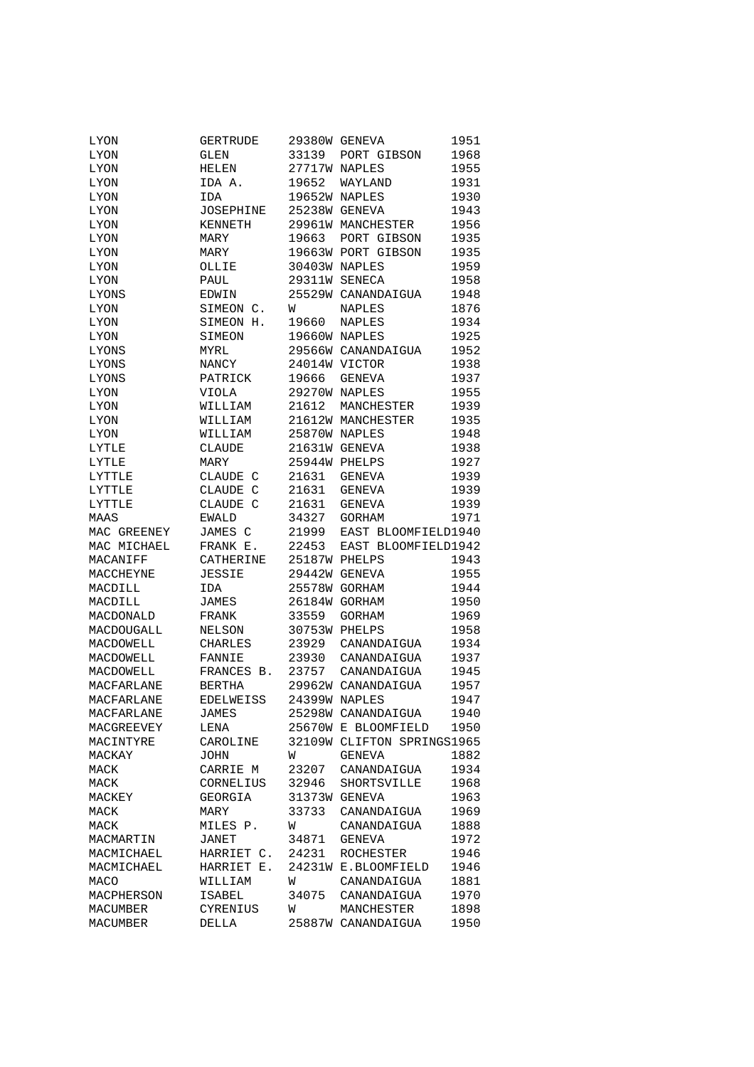| LYON        | GERTRUDE      |               | 29380W GENEVA              | 1951 |
|-------------|---------------|---------------|----------------------------|------|
| <b>LYON</b> | <b>GLEN</b>   | 33139         | PORT GIBSON                | 1968 |
| <b>LYON</b> | HELEN         | 27717W NAPLES |                            | 1955 |
| LYON        | IDA A.        | 19652         | WAYLAND                    | 1931 |
| <b>LYON</b> | IDA           | 19652W        | <b>NAPLES</b>              | 1930 |
| <b>LYON</b> | JOSEPHINE     | 25238W        | <b>GENEVA</b>              | 1943 |
| LYON        | KENNETH       |               | 29961W MANCHESTER          | 1956 |
| <b>LYON</b> | MARY          | 19663         | PORT GIBSON                | 1935 |
| <b>LYON</b> | MARY          |               | 19663W PORT GIBSON         | 1935 |
| LYON        | OLLIE         | 30403W        | <b>NAPLES</b>              | 1959 |
| <b>LYON</b> | PAUL          |               | 29311W SENECA              | 1958 |
| LYONS       | EDWIN         |               | 25529W CANANDAIGUA         | 1948 |
| <b>LYON</b> | SIMEON C.     | W             | NAPLES                     | 1876 |
| LYON        | SIMEON H.     | 19660         | NAPLES                     | 1934 |
| <b>LYON</b> | SIMEON        | 19660W NAPLES |                            | 1925 |
| LYONS       | <b>MYRL</b>   |               | 29566W CANANDAIGUA         | 1952 |
| LYONS       | NANCY         | 24014W VICTOR |                            | 1938 |
| LYONS       | PATRICK       | 19666         | <b>GENEVA</b>              | 1937 |
| <b>LYON</b> | <b>VIOLA</b>  | 29270W NAPLES |                            | 1955 |
| <b>LYON</b> | WILLIAM       | 21612         | MANCHESTER                 | 1939 |
| LYON        | WILLIAM       |               | 21612W MANCHESTER          | 1935 |
| <b>LYON</b> | WILLIAM       | 25870W NAPLES |                            | 1948 |
| LYTLE       | <b>CLAUDE</b> |               | 21631W GENEVA              | 1938 |
| LYTLE       | MARY          | 25944W        | PHELPS                     | 1927 |
| LYTTLE      | CLAUDE C      | 21631         | <b>GENEVA</b>              | 1939 |
| LYTTLE      | CLAUDE C      | 21631         | <b>GENEVA</b>              | 1939 |
| LYTTLE      | CLAUDE C      | 21631         | <b>GENEVA</b>              | 1939 |
| MAAS        | <b>EWALD</b>  | 34327         | GORHAM                     | 1971 |
| MAC GREENEY | JAMES C       | 21999         | EAST BLOOMFIELD1940        |      |
| MAC MICHAEL | FRANK E.      | 22453         | EAST BLOOMFIELD1942        |      |
| MACANIFF    | CATHERINE     | 25187W        | PHELPS                     | 1943 |
| MACCHEYNE   | JESSIE        |               | 29442W GENEVA              | 1955 |
| MACDILL     | IDA           | 25578W        | GORHAM                     | 1944 |
| MACDILL     | JAMES         | 26184W        | GORHAM                     | 1950 |
| MACDONALD   | FRANK         | 33559         | GORHAM                     | 1969 |
| MACDOUGALL  | NELSON        | 30753W        | PHELPS                     | 1958 |
| MACDOWELL   | CHARLES       | 23929         | CANANDAIGUA                | 1934 |
| MACDOWELL   | FANNIE        | 23930         | CANANDAIGUA                | 1937 |
| MACDOWELL   | FRANCES B.    | 23757         | CANANDAIGUA                | 1945 |
| MACFARLANE  | <b>BERTHA</b> |               | 29962W CANANDAIGUA         | 1957 |
| MACFARLANE  | EDELWEISS     |               | 24399W NAPLES              | 1947 |
| MACFARLANE  | JAMES         |               | 25298W CANANDAIGUA         | 1940 |
| MACGREEVEY  | LENA          |               | 25670W E BLOOMFIELD        | 1950 |
| MACINTYRE   | CAROLINE      |               | 32109W CLIFTON SPRINGS1965 |      |
| MACKAY      | JOHN          | W             | GENEVA                     | 1882 |
| MACK        | CARRIE M      | 23207         | CANANDAIGUA                | 1934 |
| MACK        | CORNELIUS     | 32946         | SHORTSVILLE                | 1968 |
| MACKEY      | GEORGIA       |               | 31373W GENEVA              | 1963 |
| MACK        | MARY          | 33733         | CANANDAIGUA                | 1969 |
| MACK        | MILES P.      | W             | CANANDAIGUA                | 1888 |
| MACMARTIN   | JANET         | 34871         | GENEVA                     | 1972 |
| MACMICHAEL  | HARRIET C.    | 24231         | ROCHESTER                  | 1946 |
| MACMICHAEL  | HARRIET E.    |               | 24231W E.BLOOMFIELD        | 1946 |
| MACO        | WILLIAM       | W             | CANANDAIGUA                | 1881 |
| MACPHERSON  | ISABEL        | 34075         | CANANDAIGUA                | 1970 |
| MACUMBER    | CYRENIUS      | W             | MANCHESTER                 | 1898 |
| MACUMBER    | DELLA         |               | 25887W CANANDAIGUA         | 1950 |
|             |               |               |                            |      |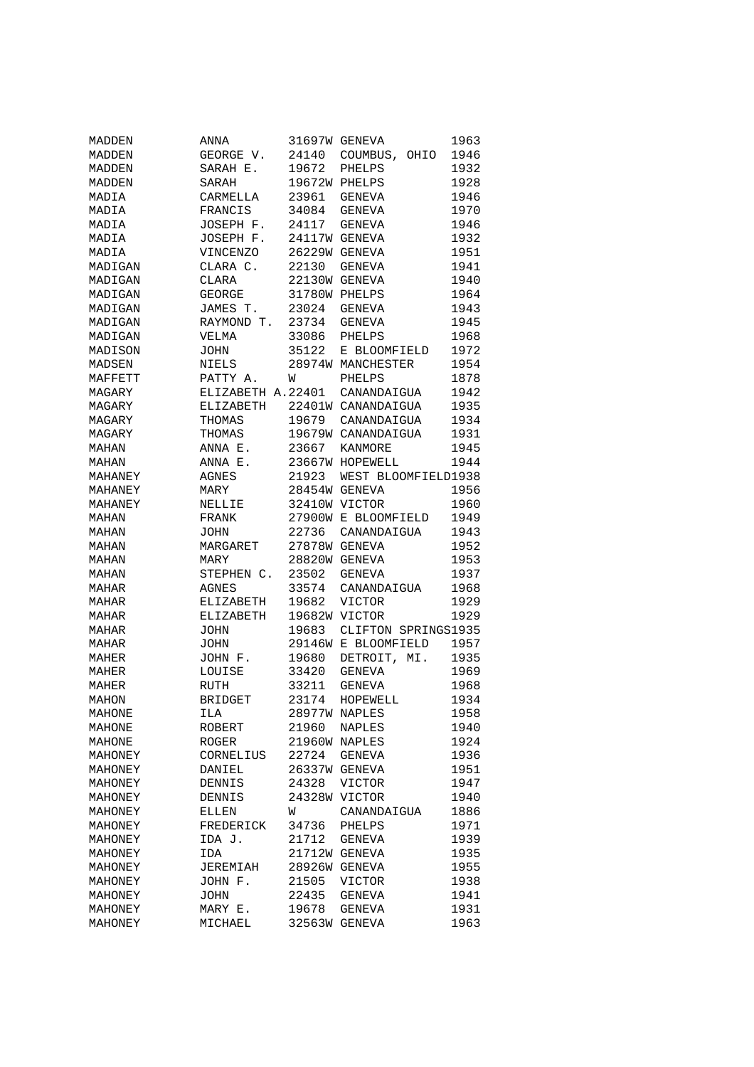| MADDEN       | ANNA                          | 31697W GENEVA |                     | 1963 |
|--------------|-------------------------------|---------------|---------------------|------|
| MADDEN       | GEORGE V.                     | 24140         | COUMBUS,<br>OHIO    | 1946 |
| MADDEN       | SARAH E.                      | 19672         | PHELPS              | 1932 |
| MADDEN       | SARAH                         | 19672W PHELPS |                     | 1928 |
| MADIA        | CARMELLA                      | 23961         | GENEVA              | 1946 |
| MADIA        | FRANCIS                       | 34084         | GENEVA              | 1970 |
| MADIA        | JOSEPH F.                     | 24117         | GENEVA              | 1946 |
| MADIA        | JOSEPH F.                     | 24117W GENEVA |                     | 1932 |
| MADIA        | VINCENZO                      | 26229W GENEVA |                     | 1951 |
| MADIGAN      | CLARA C.                      | 22130         | GENEVA              | 1941 |
| MADIGAN      | CLARA                         | 22130W GENEVA |                     | 1940 |
| MADIGAN      | GEORGE                        | 31780W PHELPS |                     | 1964 |
| MADIGAN      | JAMES T.                      | 23024         | GENEVA              | 1943 |
| MADIGAN      | RAYMOND T.                    | 23734         | GENEVA              | 1945 |
| MADIGAN      | VELMA                         | 33086 PHELPS  |                     | 1968 |
| MADISON      | JOHN                          | 35122         | E BLOOMFIELD        | 1972 |
| MADSEN       | NIELS                         |               | 28974W MANCHESTER   | 1954 |
| MAFFETT      | PATTY A.                      | W             | PHELPS              | 1878 |
| MAGARY       | ELIZABETH A.22401 CANANDAIGUA |               |                     | 1942 |
| MAGARY       | ELIZABETH                     |               | 22401W CANANDAIGUA  | 1935 |
| MAGARY       | THOMAS                        | 19679         | CANANDAIGUA         | 1934 |
| MAGARY       | THOMAS                        |               | 19679W CANANDAIGUA  | 1931 |
| MAHAN        | ANNA E.                       | 23667         | KANMORE             | 1945 |
| MAHAN        | ANNA E.                       |               | 23667W HOPEWELL     | 1944 |
| MAHANEY      | <b>AGNES</b>                  | 21923         | WEST BLOOMFIELD1938 |      |
| MAHANEY      | MARY                          |               | 28454W GENEVA       | 1956 |
| MAHANEY      | NELLIE                        | 32410W VICTOR |                     | 1960 |
| MAHAN        | FRANK                         |               | 27900W E BLOOMFIELD | 1949 |
| MAHAN        | JOHN                          | 22736         | CANANDAIGUA         | 1943 |
| MAHAN        | MARGARET                      | 27878W GENEVA |                     | 1952 |
| MAHAN        | MARY                          | 28820W GENEVA |                     | 1953 |
| MAHAN        | STEPHEN C.                    | 23502         | GENEVA              | 1937 |
| MAHAR        | AGNES                         | 33574         | CANANDAIGUA         | 1968 |
| MAHAR        | ELIZABETH                     | 19682         | VICTOR              | 1929 |
| MAHAR        | ELIZABETH                     | 19682W VICTOR |                     | 1929 |
| MAHAR        | JOHN                          | 19683         | CLIFTON SPRINGS1935 |      |
| <b>MAHAR</b> | JOHN                          |               | 29146W E BLOOMFIELD | 1957 |
| MAHER        | JOHN F.                       | 19680         | DETROIT, MI.        | 1935 |
| MAHER        | LOUISE                        | 33420         | <b>GENEVA</b>       | 1969 |
| <b>MAHER</b> | <b>RUTH</b>                   | 33211         | <b>GENEVA</b>       | 1968 |
| MAHON        | BRIDGET                       |               | 23174 HOPEWELL      | 1934 |
| MAHONE       | ILA                           | 28977W NAPLES |                     | 1958 |
| MAHONE       | ROBERT                        | 21960         | NAPLES              | 1940 |
| MAHONE       | ROGER                         | 21960W NAPLES |                     | 1924 |
| MAHONEY      | CORNELIUS                     | 22724         | <b>GENEVA</b>       | 1936 |
| MAHONEY      | DANIEL                        | 26337W GENEVA |                     | 1951 |
| MAHONEY      | DENNIS                        | 24328         | VICTOR              | 1947 |
| MAHONEY      | DENNIS                        | 24328W VICTOR |                     | 1940 |
| MAHONEY      | <b>ELLEN</b>                  | W             | CANANDAIGUA         | 1886 |
| MAHONEY      | FREDERICK                     | 34736         | PHELPS              | 1971 |
| MAHONEY      | IDA J.                        | 21712         | GENEVA              | 1939 |
| MAHONEY      | IDA                           |               | 21712W GENEVA       | 1935 |
| MAHONEY      | JEREMIAH                      | 28926W GENEVA |                     | 1955 |
| MAHONEY      | JOHN F.                       | 21505         | <b>VICTOR</b>       | 1938 |
| MAHONEY      | JOHN                          | 22435         | GENEVA              | 1941 |
| MAHONEY      | MARY E.                       | 19678         | GENEVA              | 1931 |
| MAHONEY      | MICHAEL                       | 32563W GENEVA |                     | 1963 |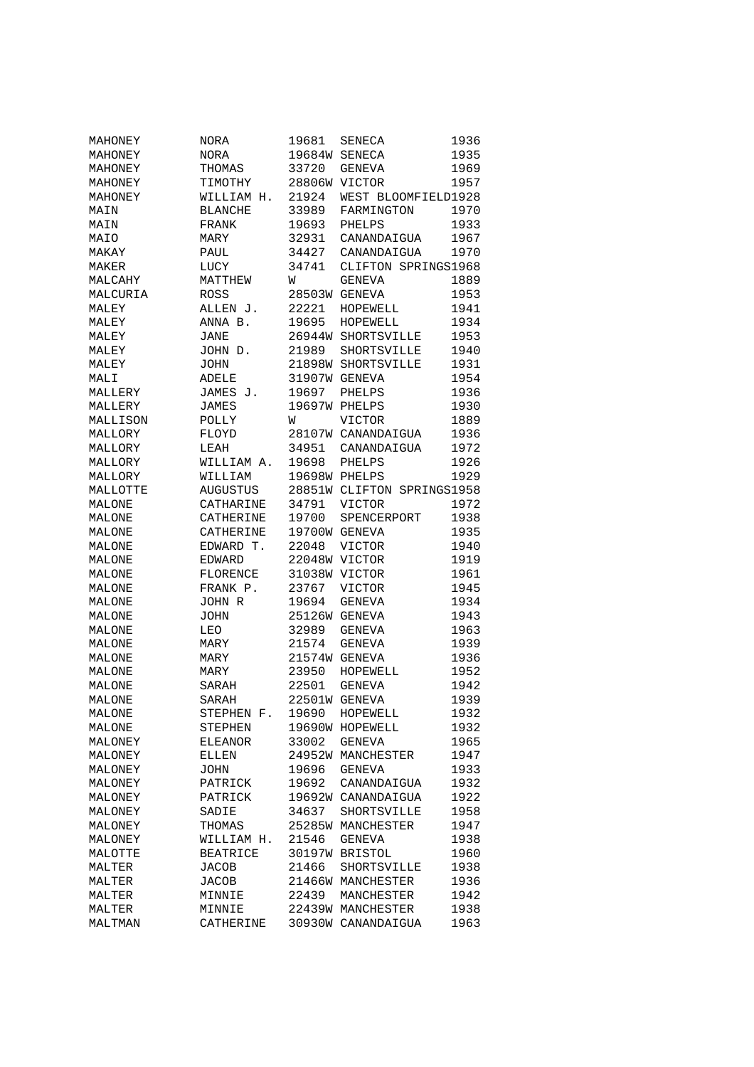| MAHONEY  | NORA            | 19681         | SENECA                     | 1936 |
|----------|-----------------|---------------|----------------------------|------|
| MAHONEY  | $\rm NORA$      | 19684W        | SENECA                     | 1935 |
| MAHONEY  | THOMAS          | 33720         | GENEVA                     | 1969 |
| MAHONEY  | TIMOTHY         | 28806W VICTOR |                            | 1957 |
| MAHONEY  | WILLIAM H.      | 21924         | WEST BLOOMFIELD1928        |      |
| MAIN     | <b>BLANCHE</b>  | 33989         | FARMINGTON                 | 1970 |
| MAIN     | <b>FRANK</b>    | 19693         | PHELPS                     | 1933 |
| MAIO     | MARY            | 32931         | CANANDAIGUA                | 1967 |
| MAKAY    | PAUL            | 34427         | CANANDAIGUA                | 1970 |
| MAKER    | LUCY            | 34741         | CLIFTON SPRINGS1968        |      |
| MALCAHY  | MATTHEW         | W             | GENEVA                     | 1889 |
| MALCURIA | ROSS            | 28503W GENEVA |                            | 1953 |
| MALEY    | ALLEN J.        | 22221         | HOPEWELL                   | 1941 |
| MALEY    | ANNA B.         | 19695         | HOPEWELL                   | 1934 |
| MALEY    | JANE            |               | 26944W SHORTSVILLE         | 1953 |
| MALEY    | JOHN D.         | 21989         | SHORTSVILLE                | 1940 |
| MALEY    | <b>JOHN</b>     |               | 21898W SHORTSVILLE         | 1931 |
| MALI     | ADELE           | 31907W GENEVA |                            | 1954 |
| MALLERY  | JAMES J.        | 19697         | PHELPS                     | 1936 |
| MALLERY  | <b>JAMES</b>    | 19697W PHELPS |                            | 1930 |
| MALLISON | POLLY           | W             | <b>VICTOR</b>              | 1889 |
| MALLORY  | FLOYD           |               | 28107W CANANDAIGUA         | 1936 |
| MALLORY  | LEAH            | 34951         | CANANDAIGUA                | 1972 |
| MALLORY  | WILLIAM A.      | 19698         | PHELPS                     | 1926 |
| MALLORY  | WILLIAM         | 19698W PHELPS |                            | 1929 |
| MALLOTTE | <b>AUGUSTUS</b> |               | 28851W CLIFTON SPRINGS1958 |      |
| MALONE   | CATHARINE       | 34791         | <b>VICTOR</b>              | 1972 |
| MALONE   | CATHERINE       | 19700         | SPENCERPORT                | 1938 |
| MALONE   | CATHERINE       | 19700W GENEVA |                            | 1935 |
| MALONE   | EDWARD T.       | 22048         | <b>VICTOR</b>              | 1940 |
| MALONE   | <b>EDWARD</b>   | 22048W VICTOR |                            | 1919 |
| MALONE   | FLORENCE        | 31038W VICTOR |                            | 1961 |
| MALONE   | FRANK P.        | 23767         | <b>VICTOR</b>              | 1945 |
| MALONE   | JOHN R          | 19694         | GENEVA                     | 1934 |
| MALONE   | <b>JOHN</b>     | 25126W GENEVA |                            | 1943 |
| MALONE   | LEO             | 32989         | GENEVA                     | 1963 |
| MALONE   | MARY            | 21574         | GENEVA                     | 1939 |
| MALONE   | MARY            | 21574W GENEVA |                            | 1936 |
| MALONE   | MARY            | 23950         | HOPEWELL                   | 1952 |
| MALONE   | SARAH           | 22501         | <b>GENEVA</b>              | 1942 |
| MALONE   | SARAH           | 22501W GENEVA |                            | 1939 |
| MALONE   | STEPHEN F.      | 19690         | HOPEWELL                   | 1932 |
| MALONE   | STEPHEN         |               | 19690W HOPEWELL            | 1932 |
| MALONEY  | ELEANOR         | 33002         | GENEVA                     | 1965 |
| MALONEY  | ELLEN           |               | 24952W MANCHESTER          | 1947 |
| MALONEY  | JOHN            | 19696 GENEVA  |                            | 1933 |
| MALONEY  | PATRICK         | 19692         | CANANDAIGUA                | 1932 |
| MALONEY  | PATRICK         |               | 19692W CANANDAIGUA         | 1922 |
| MALONEY  | SADIE           | 34637         | SHORTSVILLE                | 1958 |
| MALONEY  | THOMAS          |               | 25285W MANCHESTER          | 1947 |
| MALONEY  | WILLIAM H.      | 21546         | <b>GENEVA</b>              | 1938 |
| MALOTTE  | <b>BEATRICE</b> |               | 30197W BRISTOL             | 1960 |
| MALTER   | JACOB           | 21466         | SHORTSVILLE                | 1938 |
| MALTER   | JACOB           |               | 21466W MANCHESTER          | 1936 |
| MALTER   | MINNIE          | 22439         | MANCHESTER                 | 1942 |
| MALTER   | MINNIE          |               | 22439W MANCHESTER          | 1938 |
| MALTMAN  | CATHERINE       |               | 30930W CANANDAIGUA         | 1963 |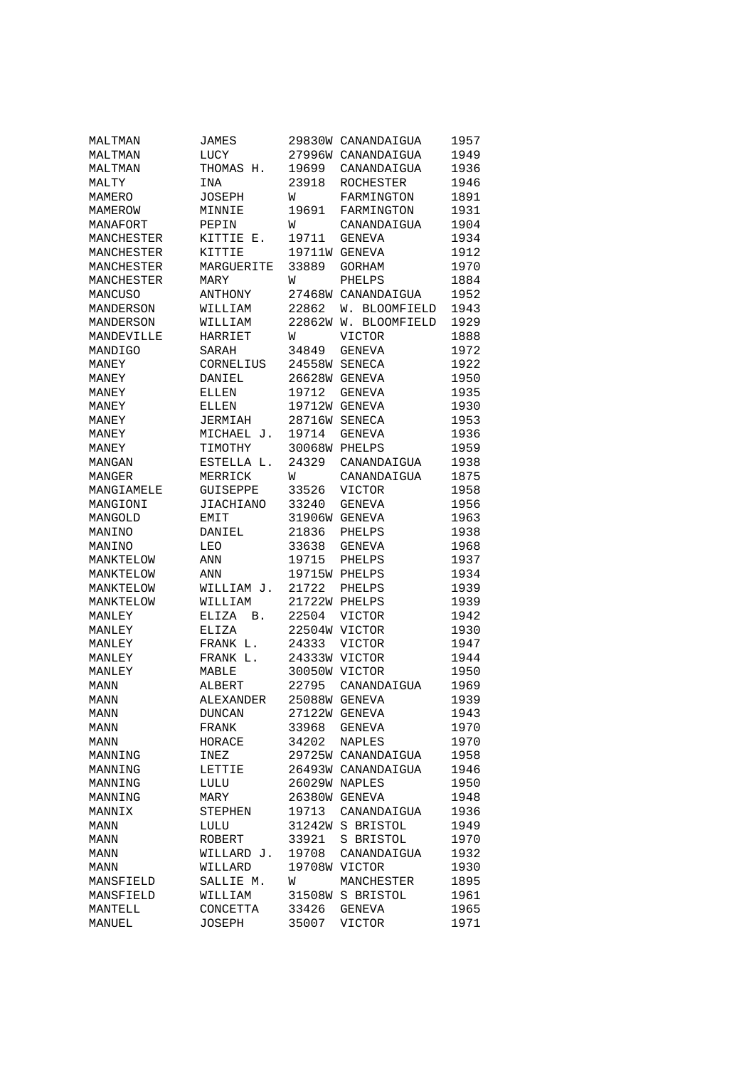| MALTMAN          | JAMES            |        | 29830W CANANDAIGUA | 1957 |
|------------------|------------------|--------|--------------------|------|
| MALTMAN          | LUCY             |        | 27996W CANANDAIGUA | 1949 |
| <b>MALTMAN</b>   | THOMAS H.        | 19699  | CANANDAIGUA        | 1936 |
| MALTY            | INA              | 23918  | ROCHESTER          | 1946 |
| MAMERO           | <b>JOSEPH</b>    | W      | FARMINGTON         | 1891 |
| MAMEROW          | MINNIE           | 19691  | FARMINGTON         | 1931 |
| MANAFORT         | PEPIN            | W      | CANANDAIGUA        | 1904 |
| MANCHESTER       | KITTIE E.        | 19711  | <b>GENEVA</b>      | 1934 |
| MANCHESTER       | KITTIE           | 19711W | GENEVA             | 1912 |
| MANCHESTER       | MARGUERITE       | 33889  | GORHAM             | 1970 |
| MANCHESTER       | MARY             | W      | PHELPS             | 1884 |
| <b>MANCUSO</b>   | ANTHONY          | 27468W | CANANDAIGUA        | 1952 |
| <b>MANDERSON</b> | WILLIAM          | 22862  | W. BLOOMFIELD      | 1943 |
| MANDERSON        | WILLIAM          | 22862W | W. BLOOMFIELD      | 1929 |
| MANDEVILLE       | HARRIET          | W      | VICTOR             | 1888 |
| MANDIGO          | SARAH            | 34849  | GENEVA             | 1972 |
| MANEY            | CORNELIUS        | 24558W | SENECA             | 1922 |
| MANEY            | DANIEL           |        | 26628W GENEVA      | 1950 |
| MANEY            | <b>ELLEN</b>     | 19712  | <b>GENEVA</b>      | 1935 |
| MANEY            | <b>ELLEN</b>     |        | 19712W GENEVA      | 1930 |
| MANEY            | JERMIAH          | 28716W | SENECA             | 1953 |
| MANEY            | MICHAEL J.       | 19714  | GENEVA             | 1936 |
| MANEY            | TIMOTHY          | 30068W | PHELPS             | 1959 |
| MANGAN           | ESTELLA L.       | 24329  | CANANDAIGUA        | 1938 |
| MANGER           | MERRICK          | W      | CANANDAIGUA        | 1875 |
| MANGIAMELE       | <b>GUISEPPE</b>  | 33526  | <b>VICTOR</b>      | 1958 |
| MANGIONI         | <b>JIACHIANO</b> | 33240  | GENEVA             | 1956 |
| MANGOLD          | <b>EMIT</b>      |        | 31906W GENEVA      | 1963 |
| MANINO           | DANIEL           | 21836  | PHELPS             | 1938 |
| MANINO           | LEO              | 33638  | <b>GENEVA</b>      | 1968 |
| MANKTELOW        | ANN              | 19715  | PHELPS             | 1937 |
| MANKTELOW        | ANN              |        | 19715W PHELPS      | 1934 |
| MANKTELOW        | WILLIAM J.       | 21722  | PHELPS             | 1939 |
| MANKTELOW        | WILLIAM          |        | 21722W PHELPS      | 1939 |
| MANLEY           | ELIZA<br>Β.      | 22504  | VICTOR             | 1942 |
| MANLEY           | ELIZA            | 22504W | VICTOR             | 1930 |
| MANLEY           | FRANK L.         | 24333  | <b>VICTOR</b>      | 1947 |
| MANLEY           | FRANK L.         |        | 24333W VICTOR      | 1944 |
| MANLEY           | MABLE            |        | 30050W VICTOR      | 1950 |
| <b>MANN</b>      | ALBERT           | 22795  | CANANDAIGUA        | 1969 |
| MANN             | ALEXANDER        |        | 25088W GENEVA      | 1939 |
| MANN             | <b>DUNCAN</b>    |        | 27122W GENEVA      | 1943 |
| MANN             | <b>FRANK</b>     | 33968  | GENEVA             | 1970 |
| MANN             | HORACE           | 34202  | NAPLES             | 1970 |
| MANNING          | INEZ             |        | 29725W CANANDAIGUA | 1958 |
| MANNING          | LETTIE           |        | 26493W CANANDAIGUA | 1946 |
| MANNING          | LULU             | 26029W | NAPLES             | 1950 |
| MANNING          | MARY             |        | 26380W GENEVA      | 1948 |
| MANNIX           | <b>STEPHEN</b>   | 19713  | CANANDAIGUA        | 1936 |
| MANN             | LULU             | 31242W | S BRISTOL          | 1949 |
| MANN             | ROBERT           | 33921  | S BRISTOL          | 1970 |
| MANN             | WILLARD J.       | 19708  | CANANDAIGUA        | 1932 |
| MANN             | WILLARD          |        | 19708W VICTOR      | 1930 |
| MANSFIELD        | SALLIE M.        | W      | MANCHESTER         | 1895 |
| MANSFIELD        | WILLIAM          | 31508W | S BRISTOL          | 1961 |
| MANTELL          | CONCETTA         | 33426  | GENEVA             | 1965 |
| MANUEL           | JOSEPH           | 35007  | <b>VICTOR</b>      | 1971 |
|                  |                  |        |                    |      |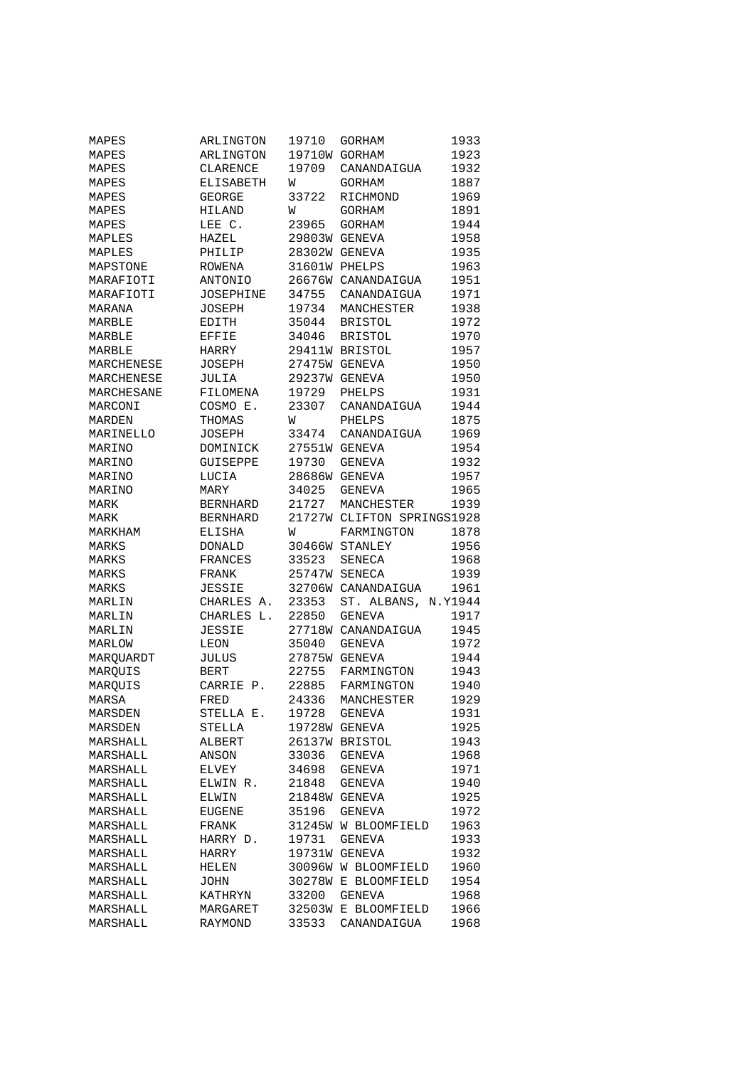| MAPES        | ARLINGTON        | 19710         | GORHAM                     | 1933 |
|--------------|------------------|---------------|----------------------------|------|
| MAPES        | ARLINGTON        | 19710W        | GORHAM                     | 1923 |
| MAPES        | CLARENCE         | 19709         | CANANDAIGUA                | 1932 |
| MAPES        | ELISABETH        | W             | GORHAM                     | 1887 |
| MAPES        | GEORGE           | 33722         | RICHMOND                   | 1969 |
| MAPES        | HILAND           | W             | <b>GORHAM</b>              | 1891 |
| MAPES        | LEE C.           | 23965         | GORHAM                     | 1944 |
| MAPLES       | HAZEL            | 29803W GENEVA |                            | 1958 |
| MAPLES       | PHILIP           | 28302W GENEVA |                            | 1935 |
| MAPSTONE     | ROWENA           | 31601W PHELPS |                            | 1963 |
| MARAFIOTI    | ANTONIO          |               | 26676W CANANDAIGUA         | 1951 |
| MARAFIOTI    | <b>JOSEPHINE</b> | 34755         | CANANDAIGUA                | 1971 |
| MARANA       | JOSEPH           | 19734         | MANCHESTER                 | 1938 |
| MARBLE       | EDITH            | 35044         | <b>BRISTOL</b>             | 1972 |
| MARBLE       | <b>EFFIE</b>     | 34046         | <b>BRISTOL</b>             | 1970 |
| MARBLE       | HARRY            |               | 29411W BRISTOL             | 1957 |
| MARCHENESE   | JOSEPH           | 27475W GENEVA |                            | 1950 |
| MARCHENESE   | JULIA            | 29237W GENEVA |                            | 1950 |
| MARCHESANE   | FILOMENA         | 19729         | PHELPS                     | 1931 |
| MARCONI      | COSMO E.         | 23307         | CANANDAIGUA                | 1944 |
| MARDEN       | THOMAS           | W             | PHELPS                     | 1875 |
| MARINELLO    | JOSEPH           | 33474         | CANANDAIGUA                | 1969 |
| MARINO       | DOMINICK         | 27551W GENEVA |                            | 1954 |
| MARINO       | GUISEPPE         | 19730         | GENEVA                     | 1932 |
| MARINO       | LUCIA            | 28686W GENEVA |                            | 1957 |
| MARINO       | MARY             | 34025         | <b>GENEVA</b>              | 1965 |
| MARK         | <b>BERNHARD</b>  | 21727         | MANCHESTER                 | 1939 |
| MARK         | <b>BERNHARD</b>  |               | 21727W CLIFTON SPRINGS1928 |      |
| MARKHAM      | ELISHA           | W             | FARMINGTON                 | 1878 |
| <b>MARKS</b> | <b>DONALD</b>    |               | 30466W STANLEY             | 1956 |
| <b>MARKS</b> | FRANCES          | 33523         | SENECA                     | 1968 |
| <b>MARKS</b> | <b>FRANK</b>     |               | 25747W SENECA              | 1939 |
| <b>MARKS</b> | JESSIE           |               | 32706W CANANDAIGUA         | 1961 |
| MARLIN       | CHARLES A.       | 23353         | ST. ALBANS, N.Y1944        |      |
| MARLIN       | CHARLES L.       | 22850         | <b>GENEVA</b>              | 1917 |
| MARLIN       | JESSIE           |               | 27718W CANANDAIGUA         | 1945 |
| MARLOW       | LEON             | 35040         | <b>GENEVA</b>              | 1972 |
| MARQUARDT    | JULUS            | 27875W GENEVA |                            | 1944 |
| MARQUIS      | BERT             | 22755         | FARMINGTON                 | 1943 |
| MARQUIS      | CARRIE P.        | 22885         | FARMINGTON                 | 1940 |
| MARSA        | FRED             | 24336         | MANCHESTER                 | 1929 |
| MARSDEN      | STELLA E.        | 19728         | <b>GENEVA</b>              | 1931 |
| MARSDEN      | STELLA           | 19728W GENEVA |                            | 1925 |
| MARSHALL     | ALBERT           |               | 26137W BRISTOL             | 1943 |
| MARSHALL     | ANSON            | 33036         | <b>GENEVA</b>              | 1968 |
| MARSHALL     | <b>ELVEY</b>     | 34698         | GENEVA                     | 1971 |
| MARSHALL     | ELWIN R.         | 21848         | GENEVA                     | 1940 |
| MARSHALL     | ELWIN            | 21848W GENEVA |                            | 1925 |
| MARSHALL     | EUGENE           | 35196         | <b>GENEVA</b>              | 1972 |
| MARSHALL     | FRANK            |               | 31245W W BLOOMFIELD        | 1963 |
| MARSHALL     | HARRY D.         | 19731         | <b>GENEVA</b>              | 1933 |
| MARSHALL     | HARRY            | 19731W GENEVA |                            | 1932 |
| MARSHALL     | HELEN            |               | 30096W W BLOOMFIELD        | 1960 |
| MARSHALL     | JOHN             |               | 30278W E BLOOMFIELD        | 1954 |
| MARSHALL     | KATHRYN          | 33200         | GENEVA                     | 1968 |
| MARSHALL     | MARGARET         | 32503W        | E BLOOMFIELD               | 1966 |
| MARSHALL     | <b>RAYMOND</b>   | 33533         | CANANDAIGUA                | 1968 |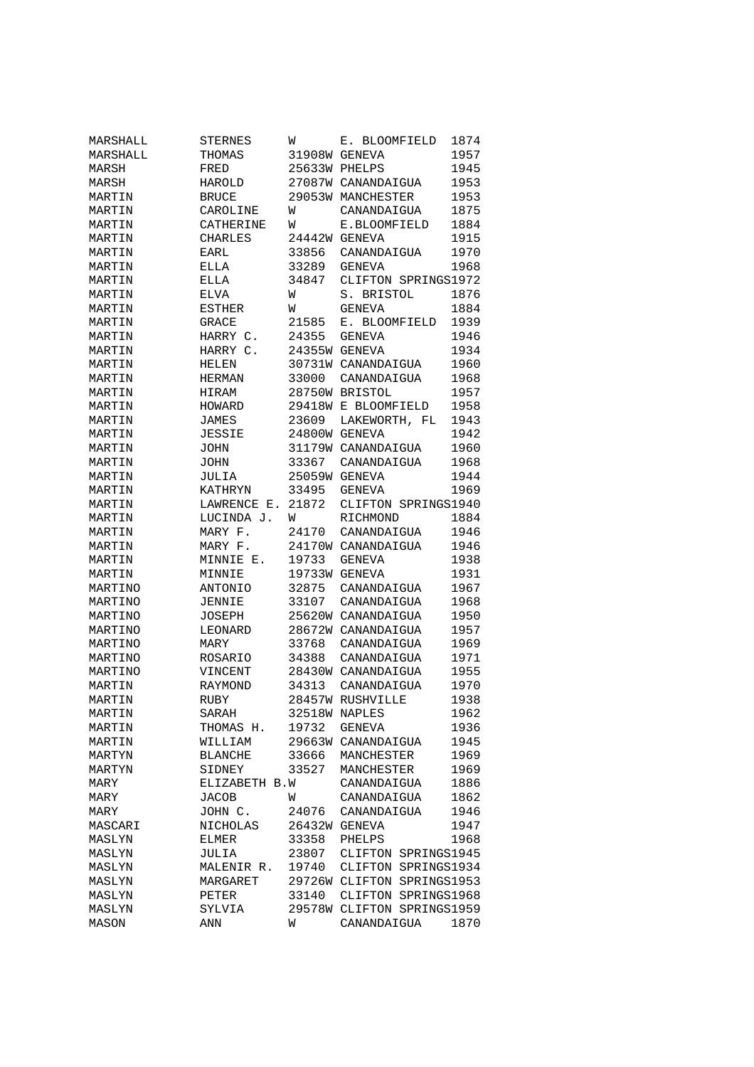| MARSHALL | <b>STERNES</b> | W             | E. BLOOMFIELD              | 1874 |
|----------|----------------|---------------|----------------------------|------|
| MARSHALL | THOMAS         | 31908W GENEVA |                            | 1957 |
| MARSH    | FRED           | 25633W PHELPS |                            | 1945 |
| MARSH    | HAROLD         |               | 27087W CANANDAIGUA         | 1953 |
| MARTIN   | <b>BRUCE</b>   |               | 29053W MANCHESTER          | 1953 |
| MARTIN   | CAROLINE       | W             | CANANDAIGUA                | 1875 |
| MARTIN   | CATHERINE      | W             | E.BLOOMFIELD               | 1884 |
| MARTIN   | <b>CHARLES</b> |               | 24442W GENEVA              | 1915 |
| MARTIN   | EARL           | 33856         | CANANDAIGUA                | 1970 |
| MARTIN   | ELLA           | 33289         | GENEVA                     | 1968 |
| MARTIN   | ELLA           | 34847         | CLIFTON SPRINGS1972        |      |
| MARTIN   | ELVA           | W             | S. BRISTOL                 | 1876 |
| MARTIN   | <b>ESTHER</b>  | W             | <b>GENEVA</b>              | 1884 |
| MARTIN   | GRACE          | 21585         | E. BLOOMFIELD              | 1939 |
| MARTIN   | HARRY C.       | 24355         | GENEVA                     | 1946 |
| MARTIN   | HARRY C.       | 24355W GENEVA |                            | 1934 |
| MARTIN   | HELEN          |               | 30731W CANANDAIGUA         | 1960 |
| MARTIN   | HERMAN         | 33000         | CANANDAIGUA                | 1968 |
| MARTIN   | HIRAM          |               | 28750W BRISTOL             | 1957 |
| MARTIN   | HOWARD         |               | 29418W E BLOOMFIELD        | 1958 |
| MARTIN   | JAMES          | 23609         | LAKEWORTH, FL              | 1943 |
| MARTIN   | JESSIE         | 24800W GENEVA |                            | 1942 |
| MARTIN   | JOHN           |               | 31179W CANANDAIGUA         | 1960 |
| MARTIN   | JOHN           | 33367         | CANANDAIGUA                | 1968 |
| MARTIN   | JULIA          | 25059W        | GENEVA                     | 1944 |
| MARTIN   | KATHRYN        | 33495         | <b>GENEVA</b>              | 1969 |
| MARTIN   | LAWRENCE E.    | 21872         | CLIFTON SPRINGS1940        |      |
| MARTIN   | LUCINDA J.     | W             | RICHMOND                   | 1884 |
| MARTIN   | MARY F.        | 24170         | CANANDAIGUA                | 1946 |
| MARTIN   | MARY F.        |               | 24170W CANANDAIGUA         | 1946 |
| MARTIN   | MINNIE E.      | 19733         | GENEVA                     | 1938 |
| MARTIN   | MINNIE         | 19733W GENEVA |                            | 1931 |
| MARTINO  | <b>ANTONIO</b> | 32875         | CANANDAIGUA                | 1967 |
| MARTINO  | JENNIE         | 33107         | CANANDAIGUA                | 1968 |
| MARTINO  | JOSEPH         | 25620W        | CANANDAIGUA                | 1950 |
| MARTINO  | LEONARD        | 28672W        | CANANDAIGUA                | 1957 |
| MARTINO  | MARY           | 33768         | CANANDAIGUA                | 1969 |
| MARTINO  | ROSARIO        | 34388         | CANANDAIGUA                | 1971 |
| MARTINO  | VINCENT        |               | 28430W CANANDAIGUA         | 1955 |
| MARTIN   | RAYMOND        | 34313         | CANANDAIGUA                | 1970 |
| MARTIN   | RUBY           |               | 28457W RUSHVILLE           | 1938 |
| MARTIN   | SARAH          |               | 32518W NAPLES              | 1962 |
| MARTIN   | THOMAS H.      | 19732         | GENEVA                     | 1936 |
| MARTIN   | WILLIAM        |               | 29663W CANANDAIGUA         | 1945 |
| MARTYN   | <b>BLANCHE</b> | 33666         | MANCHESTER                 | 1969 |
| MARTYN   | SIDNEY         | 33527         | MANCHESTER                 | 1969 |
| MARY     | ELIZABETH B.W  |               | CANANDAIGUA                | 1886 |
| MARY     | JACOB          | <b>W</b>      | CANANDAIGUA                | 1862 |
| MARY     | JOHN C.        |               | 24076 CANANDAIGUA          | 1946 |
| MASCARI  | NICHOLAS       |               | 26432W GENEVA              | 1947 |
| MASLYN   | ELMER          | 33358         | PHELPS                     | 1968 |
| MASLYN   | JULIA          | 23807         | CLIFTON SPRINGS1945        |      |
| MASLYN   | MALENIR R.     | 19740         | CLIFTON SPRINGS1934        |      |
| MASLYN   | MARGARET       |               | 29726W CLIFTON SPRINGS1953 |      |
| MASLYN   | PETER          | 33140         | CLIFTON SPRINGS1968        |      |
| MASLYN   | SYLVIA         |               | 29578W CLIFTON SPRINGS1959 |      |
| MASON    | ANN            | W             | CANANDAIGUA                | 1870 |
|          |                |               |                            |      |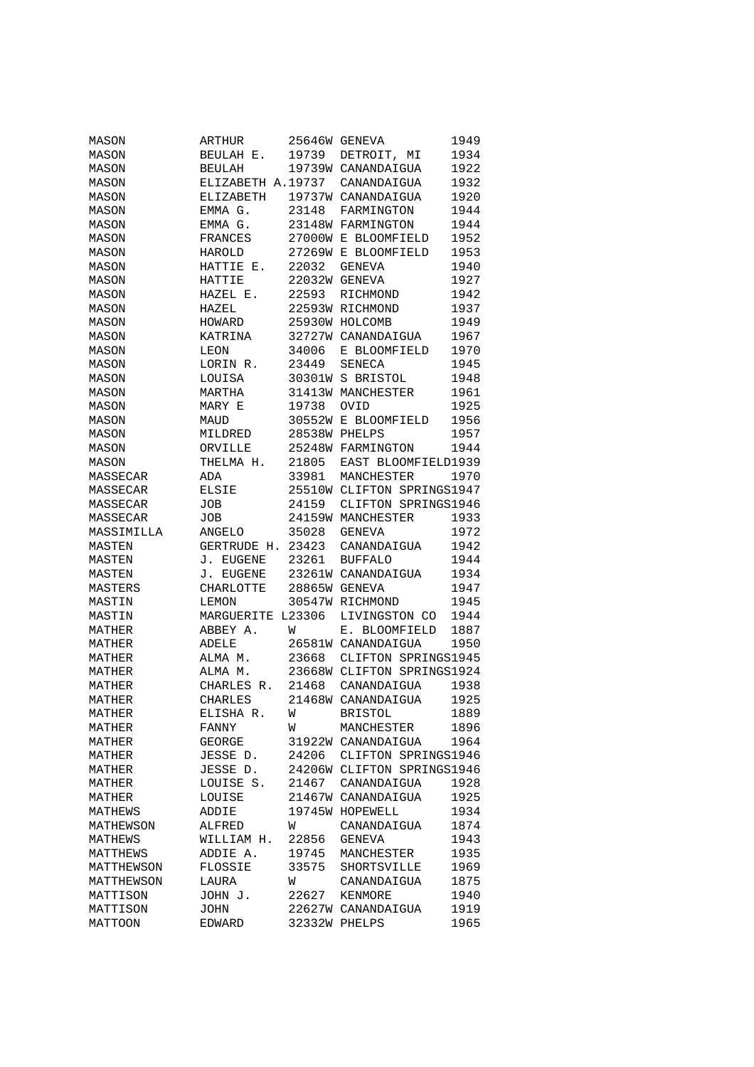| MASON          | ARTHUR            | 25646W GENEVA |                            | 1949 |
|----------------|-------------------|---------------|----------------------------|------|
| MASON          | BEULAH E.         | 19739         | DETROIT, MI                | 1934 |
| MASON          | <b>BEULAH</b>     |               | 19739W CANANDAIGUA         | 1922 |
| MASON          | ELIZABETH A.19737 |               | CANANDAIGUA                | 1932 |
| MASON          | ELIZABETH         |               | 19737W CANANDAIGUA         | 1920 |
| MASON          | EMMA G.           | 23148         | FARMINGTON                 | 1944 |
| MASON          | EMMA G.           |               | 23148W FARMINGTON          | 1944 |
| MASON          | <b>FRANCES</b>    |               | 27000W E BLOOMFIELD        | 1952 |
| MASON          | HAROLD            |               | 27269W E BLOOMFIELD        | 1953 |
| MASON          | HATTIE E.         | 22032         | <b>GENEVA</b>              | 1940 |
| MASON          | HATTIE            | 22032W GENEVA |                            | 1927 |
| MASON          | HAZEL E.          | 22593         | RICHMOND                   | 1942 |
| MASON          | HAZEL             |               | 22593W RICHMOND            | 1937 |
| MASON          | HOWARD            |               | 25930W HOLCOMB             | 1949 |
| MASON          | KATRINA           |               | 32727W CANANDAIGUA         | 1967 |
| MASON          | LEON              | 34006         | E BLOOMFIELD               | 1970 |
| MASON          | LORIN R.          | 23449         | SENECA                     | 1945 |
| MASON          | LOUISA            |               | 30301W S BRISTOL           | 1948 |
| MASON          | MARTHA            |               | 31413W MANCHESTER          | 1961 |
| MASON          | MARY E            | 19738         | <b>OVID</b>                | 1925 |
| MASON          | MAUD              |               | 30552W E BLOOMFIELD        | 1956 |
| MASON          | MILDRED           | 28538W PHELPS |                            | 1957 |
| MASON          | ORVILLE           |               | 25248W FARMINGTON          | 1944 |
| MASON          | THELMA H.         | 21805         | EAST BLOOMFIELD1939        |      |
| MASSECAR       | ADA               | 33981         | MANCHESTER                 | 1970 |
| MASSECAR       | <b>ELSIE</b>      |               | 25510W CLIFTON SPRINGS1947 |      |
| MASSECAR       | <b>JOB</b>        | 24159         | CLIFTON SPRINGS1946        |      |
| MASSECAR       | <b>JOB</b>        |               | 24159W MANCHESTER          | 1933 |
| MASSIMILLA     | ANGELO            | 35028         | GENEVA                     | 1972 |
| MASTEN         | GERTRUDE H.       |               | 23423 CANANDAIGUA          | 1942 |
| MASTEN         | J. EUGENE         | 23261         | <b>BUFFALO</b>             | 1944 |
| MASTEN         | J.<br>EUGENE      |               | 23261W CANANDAIGUA         | 1934 |
| MASTERS        | CHARLOTTE         | 28865W GENEVA |                            | 1947 |
| MASTIN         | LEMON             |               | 30547W RICHMOND            | 1945 |
| MASTIN         | MARGUERITE L23306 |               | LIVINGSTON CO              | 1944 |
| MATHER         | ABBEY A.          | W             | E. BLOOMFIELD              | 1887 |
| MATHER         | ADELE             |               | 26581W CANANDAIGUA         | 1950 |
| MATHER         | ALMA M.           | 23668         | CLIFTON SPRINGS1945        |      |
| MATHER         | ALMA M.           |               | 23668W CLIFTON SPRINGS1924 |      |
| MATHER         | CHARLES R.        | 21468         | CANANDAIGUA                | 1938 |
| <b>MATHER</b>  | <b>CHARLES</b>    |               | 21468W CANANDAIGUA         | 1925 |
| MATHER         | ELISHA R.         | <b>M</b>      | BRISTOL                    | 1889 |
| MATHER         | FANNY             | <b>W</b>      | MANCHESTER                 | 1896 |
| MATHER         | GEORGE            |               | 31922W CANANDAIGUA         | 1964 |
| MATHER         | JESSE D.          |               | 24206 CLIFTON SPRINGS1946  |      |
| MATHER         | JESSE D.          |               | 24206W CLIFTON SPRINGS1946 |      |
| MATHER         | LOUISE S.         |               | 21467 CANANDAIGUA          | 1928 |
| MATHER         | LOUISE            |               | 21467W CANANDAIGUA         | 1925 |
| MATHEWS        | ADDIE             |               | 19745W HOPEWELL            | 1934 |
| MATHEWSON      | ALFRED            | <b>M</b>      | CANANDAIGUA                | 1874 |
| MATHEWS        | WILLIAM H.        | 22856         | GENEVA                     | 1943 |
| MATTHEWS       | ADDIE A.          | 19745         | MANCHESTER                 | 1935 |
| MATTHEWSON     | FLOSSIE           |               | 33575 SHORTSVILLE          | 1969 |
| MATTHEWSON     | LAURA             | W             | CANANDAIGUA                | 1875 |
| MATTISON       | JOHN J.           |               | 22627 KENMORE              | 1940 |
| MATTISON       | JOHN              |               | 22627W CANANDAIGUA         | 1919 |
| <b>MATTOON</b> | EDWARD            | 32332W PHELPS |                            | 1965 |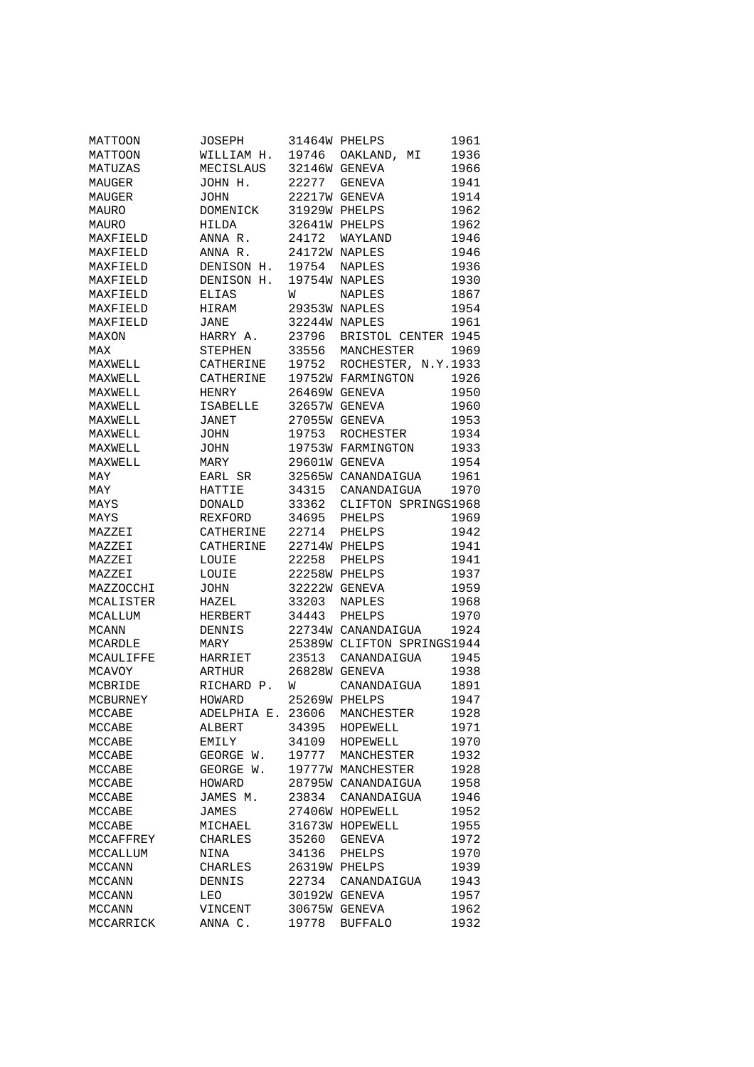| MATTOON        | JOSEPH          | 31464W PHELPS |                            | 1961 |
|----------------|-----------------|---------------|----------------------------|------|
| <b>MATTOON</b> | WILLIAM H.      | 19746         | OAKLAND,<br>MΙ             | 1936 |
| MATUZAS        | MECISLAUS       | 32146W GENEVA |                            | 1966 |
| MAUGER         | JOHN H.         | 22277         | <b>GENEVA</b>              | 1941 |
| MAUGER         | JOHN            | 22217W GENEVA |                            | 1914 |
| MAURO          | <b>DOMENICK</b> | 31929W PHELPS |                            | 1962 |
| MAURO          | HILDA           | 32641W PHELPS |                            | 1962 |
| MAXFIELD       | ANNA R.         | 24172         | WAYLAND                    | 1946 |
| MAXFIELD       | ANNA R.         | 24172W NAPLES |                            | 1946 |
| MAXFIELD       | DENISON H.      | 19754         | NAPLES                     | 1936 |
| MAXFIELD       | DENISON H.      | 19754W NAPLES |                            | 1930 |
| MAXFIELD       | ELIAS           | W             | <b>NAPLES</b>              | 1867 |
| MAXFIELD       | HIRAM           | 29353W NAPLES |                            | 1954 |
| MAXFIELD       | <b>JANE</b>     | 32244W NAPLES |                            | 1961 |
| MAXON          | HARRY A.        | 23796         | BRISTOL CENTER 1945        |      |
| MAX            | STEPHEN         | 33556         | MANCHESTER                 | 1969 |
| MAXWELL        | CATHERINE       | 19752         | ROCHESTER, N.Y.1933        |      |
| MAXWELL        | CATHERINE       |               | 19752W FARMINGTON          | 1926 |
| MAXWELL        | HENRY           | 26469W GENEVA |                            | 1950 |
| MAXWELL        | <b>ISABELLE</b> | 32657W GENEVA |                            | 1960 |
| MAXWELL        | JANET           | 27055W GENEVA |                            | 1953 |
| MAXWELL        | JOHN            | 19753         | ROCHESTER                  | 1934 |
| MAXWELL        | <b>JOHN</b>     |               | 19753W FARMINGTON          | 1933 |
| MAXWELL        | MARY            | 29601W GENEVA |                            | 1954 |
| MAY            | EARL SR         |               | 32565W CANANDAIGUA         | 1961 |
| MAY            | <b>HATTIE</b>   | 34315         | CANANDAIGUA                | 1970 |
| MAYS           | DONALD          | 33362         | CLIFTON SPRINGS1968        |      |
| MAYS           | <b>REXFORD</b>  | 34695         | PHELPS                     | 1969 |
| MAZZEI         | CATHERINE       | 22714         | PHELPS                     | 1942 |
| MAZZEI         | CATHERINE       | 22714W PHELPS |                            | 1941 |
| MAZZEI         | LOUIE           | 22258         | PHELPS                     | 1941 |
| MAZZEI         | LOUIE           | 22258W PHELPS |                            | 1937 |
| MAZZOCCHI      | JOHN            | 32222W GENEVA |                            | 1959 |
| MCALISTER      | HAZEL           | 33203         | NAPLES                     | 1968 |
| MCALLUM        | HERBERT         | 34443         | PHELPS                     | 1970 |
| <b>MCANN</b>   | DENNIS          |               | 22734W CANANDAIGUA         | 1924 |
| MCARDLE        | MARY            |               | 25389W CLIFTON SPRINGS1944 |      |
| MCAULIFFE      | HARRIET         | 23513         | CANANDAIGUA                | 1945 |
| MCAVOY         | ARTHUR          | 26828W GENEVA |                            | 1938 |
| MCBRIDE        | RICHARD P.      | W             | CANANDAIGUA                | 1891 |
| MCBURNEY       | HOWARD          | 25269W PHELPS |                            | 1947 |
| MCCABE         | ADELPHIA E.     | 23606         | MANCHESTER                 | 1928 |
| MCCABE         | ALBERT          | 34395         | HOPEWELL                   | 1971 |
| MCCABE         | EMILY           | 34109         | HOPEWELL                   | 1970 |
| MCCABE         | GEORGE W.       | 19777         | MANCHESTER                 | 1932 |
| MCCABE         | GEORGE W.       |               | 19777W MANCHESTER          | 1928 |
| MCCABE         | HOWARD          |               | 28795W CANANDAIGUA         | 1958 |
| <b>MCCABE</b>  | JAMES M.        | 23834         | CANANDAIGUA                | 1946 |
| MCCABE         | JAMES           |               | 27406W HOPEWELL            | 1952 |
| MCCABE         |                 |               | 31673W HOPEWELL            | 1955 |
|                | MICHAEL         |               |                            |      |
| MCCAFFREY      | CHARLES         | 35260         | GENEVA                     | 1972 |
| MCCALLUM       | NINA            | 34136         | PHELPS                     | 1970 |
| MCCANN         | CHARLES         | 26319W PHELPS |                            | 1939 |
| MCCANN         | DENNIS          | 22734         | CANANDAIGUA                | 1943 |
| MCCANN         | LEO             | 30192W GENEVA |                            | 1957 |
| <b>MCCANN</b>  | VINCENT         | 30675W GENEVA |                            | 1962 |
| MCCARRICK      | ANNA C.         | 19778         | <b>BUFFALO</b>             | 1932 |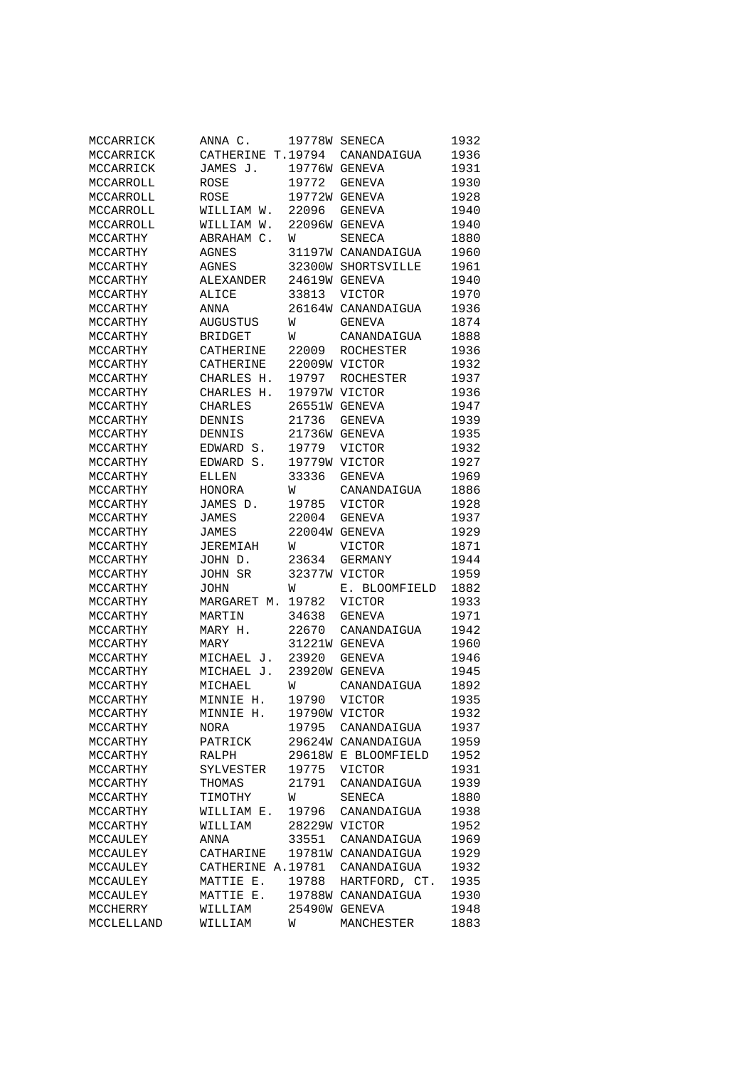| MCCARRICK       | ANNA C.           | 19778W SENECA |                     | 1932 |
|-----------------|-------------------|---------------|---------------------|------|
| MCCARRICK       | CATHERINE T.19794 |               | CANANDAIGUA         | 1936 |
| MCCARRICK       | JAMES J.          | 19776W        | GENEVA              | 1931 |
| MCCARROLL       | <b>ROSE</b>       | 19772         | GENEVA              | 1930 |
| MCCARROLL       | ROSE              | 19772W        | <b>GENEVA</b>       | 1928 |
| MCCARROLL       | WILLIAM W.        | 22096         | GENEVA              | 1940 |
| MCCARROLL       | WILLIAM W.        | 22096W GENEVA |                     | 1940 |
| MCCARTHY        | ABRAHAM C.        | W             | SENECA              | 1880 |
| MCCARTHY        | AGNES             |               | 31197W CANANDAIGUA  | 1960 |
| MCCARTHY        | AGNES             | 32300W        | SHORTSVILLE         | 1961 |
| MCCARTHY        | <b>ALEXANDER</b>  | 24619W        | GENEVA              | 1940 |
| MCCARTHY        | ALICE             | 33813         | <b>VICTOR</b>       | 1970 |
| MCCARTHY        | <b>ANNA</b>       |               | 26164W CANANDAIGUA  | 1936 |
| MCCARTHY        | <b>AUGUSTUS</b>   | W             | <b>GENEVA</b>       | 1874 |
| MCCARTHY        | <b>BRIDGET</b>    | W             | CANANDAIGUA         | 1888 |
| MCCARTHY        | CATHERINE         | 22009         | ROCHESTER           | 1936 |
| MCCARTHY        | CATHERINE         | 22009W        | <b>VICTOR</b>       | 1932 |
| MCCARTHY        | CHARLES H.        | 19797         | ROCHESTER           | 1937 |
| MCCARTHY        | CHARLES H.        | 19797W VICTOR |                     | 1936 |
| MCCARTHY        | CHARLES           |               | 26551W GENEVA       | 1947 |
| MCCARTHY        | DENNIS            | 21736         | GENEVA              | 1939 |
| MCCARTHY        | DENNIS            | 21736W        | GENEVA              | 1935 |
| MCCARTHY        | EDWARD S.         | 19779         | VICTOR              | 1932 |
| MCCARTHY        | EDWARD S.         | 19779W        | <b>VICTOR</b>       | 1927 |
| MCCARTHY        | <b>ELLEN</b>      | 33336         | <b>GENEVA</b>       | 1969 |
| <b>MCCARTHY</b> | HONORA            | W             | CANANDAIGUA         | 1886 |
| MCCARTHY        | JAMES D.          | 19785         | VICTOR              | 1928 |
| MCCARTHY        | <b>JAMES</b>      | 22004         | <b>GENEVA</b>       | 1937 |
| MCCARTHY        | JAMES             |               | 22004W GENEVA       | 1929 |
| MCCARTHY        | JEREMIAH          | W             | <b>VICTOR</b>       | 1871 |
| MCCARTHY        | JOHN D.           | 23634         | GERMANY             | 1944 |
| MCCARTHY        | JOHN SR           | 32377W VICTOR |                     | 1959 |
| MCCARTHY        | JOHN              | W             | E. BLOOMFIELD       | 1882 |
| MCCARTHY        | MARGARET M.       | 19782         | <b>VICTOR</b>       | 1933 |
| MCCARTHY        | MARTIN            | 34638         | GENEVA              | 1971 |
| MCCARTHY        | MARY H.           | 22670         | CANANDAIGUA         | 1942 |
| MCCARTHY        | MARY              | 31221W        | <b>GENEVA</b>       | 1960 |
| MCCARTHY        | MICHAEL J.        | 23920         | <b>GENEVA</b>       | 1946 |
| MCCARTHY        | MICHAEL J.        | 23920W GENEVA |                     | 1945 |
| MCCARTHY        | MICHAEL           | W             | CANANDAIGUA         | 1892 |
| MCCARTHY        | MINNIE H.         | 19790         | VICTOR              | 1935 |
| MCCARTHY        | MINNIE H.         | 19790W VICTOR |                     | 1932 |
| MCCARTHY        | NORA              | 19795         | CANANDAIGUA         | 1937 |
| MCCARTHY        | PATRICK           |               | 29624W CANANDAIGUA  | 1959 |
| MCCARTHY        | RALPH             |               | 29618W E BLOOMFIELD | 1952 |
| MCCARTHY        | SYLVESTER         | 19775         | VICTOR              | 1931 |
| MCCARTHY        | THOMAS            | 21791         | CANANDAIGUA         | 1939 |
| MCCARTHY        | TIMOTHY           | W             | SENECA              | 1880 |
| MCCARTHY        | WILLIAM E.        | 19796         | CANANDAIGUA         | 1938 |
| MCCARTHY        | WILLIAM           | 28229W VICTOR |                     | 1952 |
| MCCAULEY        | ANNA              | 33551         | CANANDAIGUA         | 1969 |
| MCCAULEY        | CATHARINE         |               | 19781W CANANDAIGUA  | 1929 |
| MCCAULEY        | CATHERINE A.19781 |               | CANANDAIGUA         | 1932 |
| MCCAULEY        | MATTIE E.         | 19788         | HARTFORD, CT.       | 1935 |
| MCCAULEY        | MATTIE E.         |               | 19788W CANANDAIGUA  | 1930 |
| MCCHERRY        | WILLIAM           | 25490W GENEVA |                     | 1948 |
| MCCLELLAND      | WILLIAM           | W             | MANCHESTER          | 1883 |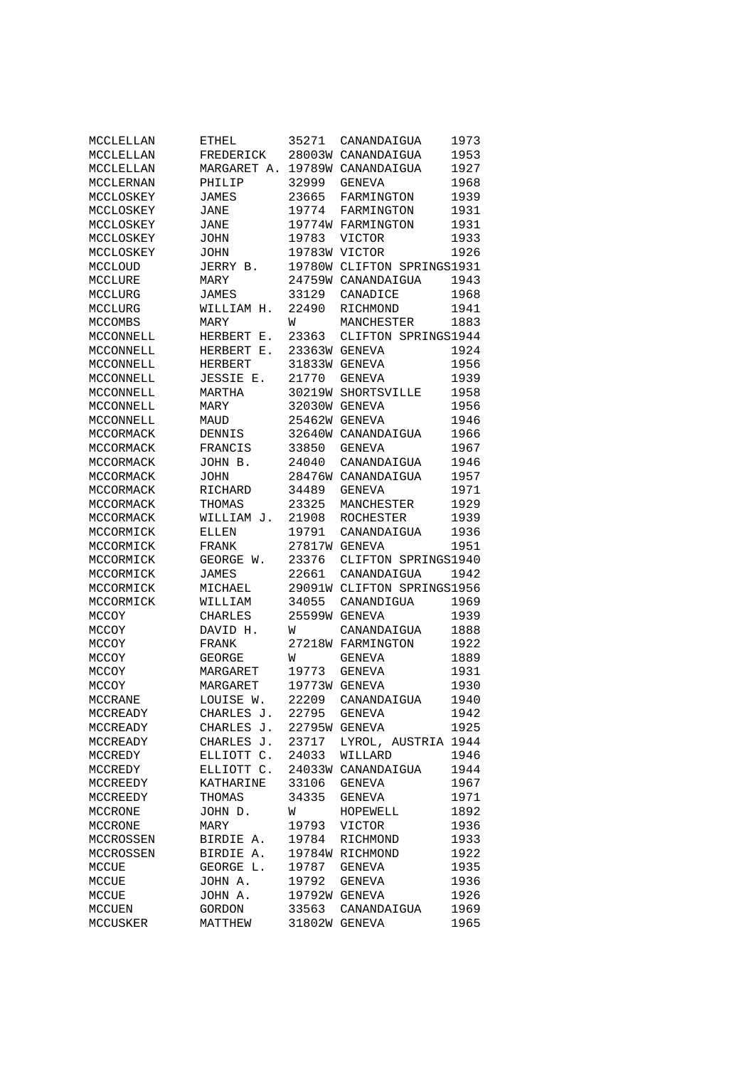| MCCLELLAN      | ETHEL                  | 35271         | CANANDAIGUA                | 1973 |
|----------------|------------------------|---------------|----------------------------|------|
| MCCLELLAN      | FREDERICK              |               | 28003W CANANDAIGUA         | 1953 |
| MCCLELLAN      | MARGARET A.            | 19789W        | CANANDAIGUA                | 1927 |
| MCCLERNAN      | PHILIP                 | 32999         | <b>GENEVA</b>              | 1968 |
| MCCLOSKEY      | JAMES                  | 23665         | FARMINGTON                 | 1939 |
| MCCLOSKEY      | <b>JANE</b>            | 19774         | FARMINGTON                 | 1931 |
| MCCLOSKEY      | JANE                   |               | 19774W FARMINGTON          | 1931 |
| MCCLOSKEY      | <b>JOHN</b>            | 19783         | <b>VICTOR</b>              | 1933 |
| MCCLOSKEY      | JOHN                   | 19783W VICTOR |                            | 1926 |
| MCCLOUD        | JERRY B.               |               | 19780W CLIFTON SPRINGS1931 |      |
| <b>MCCLURE</b> | MARY                   |               | 24759W CANANDAIGUA         | 1943 |
| MCCLURG        | JAMES                  | 33129         | CANADICE                   | 1968 |
| MCCLURG        | WILLIAM H.             | 22490         | RICHMOND                   | 1941 |
| <b>MCCOMBS</b> | MARY                   | W             | MANCHESTER                 | 1883 |
| MCCONNELL      | HERBERT<br>${\bf E}$ . | 23363         | CLIFTON SPRINGS1944        |      |
| MCCONNELL      | HERBERT E.             | 23363W GENEVA |                            | 1924 |
| MCCONNELL      | <b>HERBERT</b>         | 31833W        | GENEVA                     | 1956 |
| MCCONNELL      | JESSIE E.              | 21770         | GENEVA                     | 1939 |
| MCCONNELL      | MARTHA                 | 30219W        | SHORTSVILLE                | 1958 |
| MCCONNELL      | MARY                   | 32030W GENEVA |                            | 1956 |
| MCCONNELL      | MAUD                   |               | 25462W GENEVA              | 1946 |
| MCCORMACK      | DENNIS                 |               | 32640W CANANDAIGUA         | 1966 |
| MCCORMACK      | FRANCIS                | 33850         | <b>GENEVA</b>              | 1967 |
| MCCORMACK      | JOHN B.                | 24040         | CANANDAIGUA                | 1946 |
| MCCORMACK      | <b>JOHN</b>            |               | 28476W CANANDAIGUA         | 1957 |
| MCCORMACK      | RICHARD                | 34489         | <b>GENEVA</b>              | 1971 |
| MCCORMACK      | THOMAS                 | 23325         | MANCHESTER                 | 1929 |
| MCCORMACK      | WILLIAM J.             | 21908         | ROCHESTER                  | 1939 |
| MCCORMICK      | ELLEN                  | 19791         | CANANDAIGUA                | 1936 |
| MCCORMICK      | FRANK                  | 27817W GENEVA |                            | 1951 |
| MCCORMICK      | GEORGE W.              | 23376         | CLIFTON SPRINGS1940        |      |
| MCCORMICK      | JAMES                  | 22661         | CANANDAIGUA                | 1942 |
| MCCORMICK      | MICHAEL                |               | 29091W CLIFTON SPRINGS1956 |      |
| MCCORMICK      | WILLIAM                | 34055         | CANANDIGUA                 | 1969 |
| MCCOY          | CHARLES                | 25599W GENEVA |                            | 1939 |
| MCCOY          | DAVID H.               | W             | CANANDAIGUA                | 1888 |
| MCCOY          | <b>FRANK</b>           |               | 27218W FARMINGTON          | 1922 |
| MCCOY          | GEORGE                 | W             | GENEVA                     | 1889 |
| MCCOY          | MARGARET               | 19773         | <b>GENEVA</b>              | 1931 |
| MCCOY          | MARGARET               | 19773W GENEVA |                            | 1930 |
| MCCRANE        | LOUISE W.              | 22209         | CANANDAIGUA                | 1940 |
| MCCREADY       | CHARLES J.             | 22795 GENEVA  |                            | 1942 |
| MCCREADY       | CHARLES J.             | 22795W GENEVA |                            | 1925 |
| MCCREADY       | CHARLES J.             | 23717         | LYROL, AUSTRIA 1944        |      |
| MCCREDY        | ELLIOTT C.             | 24033         | WILLARD                    | 1946 |
| MCCREDY        | ELLIOTT C.             |               | 24033W CANANDAIGUA         | 1944 |
| MCCREEDY       | KATHARINE              | 33106         | GENEVA                     | 1967 |
| MCCREEDY       | THOMAS                 | 34335         | GENEVA                     | 1971 |
| MCCRONE        | JOHN D.                | W             | HOPEWELL                   | 1892 |
| MCCRONE        | MARY                   | 19793         | VICTOR                     | 1936 |
| MCCROSSEN      | BIRDIE A.              | 19784         | RICHMOND                   | 1933 |
| MCCROSSEN      | BIRDIE A.              |               | 19784W RICHMOND            | 1922 |
| MCCUE          | GEORGE L.              | 19787         | GENEVA                     | 1935 |
| MCCUE          | JOHN A.                | 19792         | GENEVA                     | 1936 |
| MCCUE          | JOHN A.                | 19792W GENEVA |                            | 1926 |
| MCCUEN         | GORDON                 | 33563         | CANANDAIGUA                | 1969 |
| MCCUSKER       | MATTHEW                | 31802W GENEVA |                            | 1965 |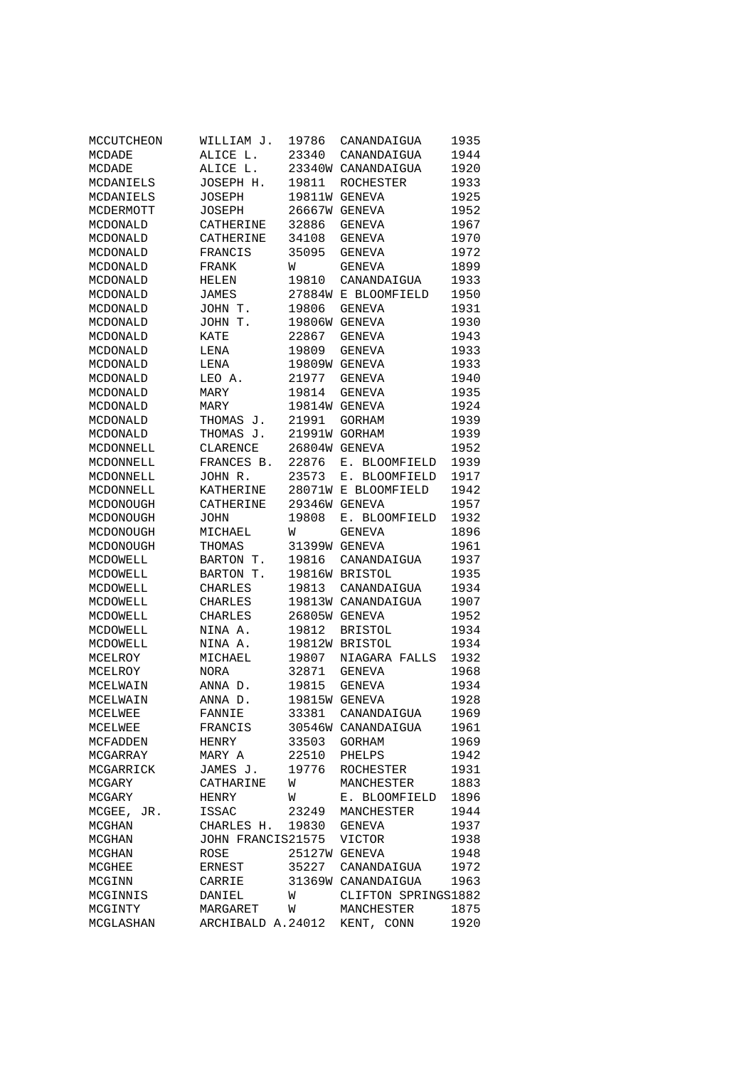| MCCUTCHEON | WILLIAM J.        | 19786    | CANANDAIGUA         | 1935 |
|------------|-------------------|----------|---------------------|------|
| MCDADE     | ALICE L.          | 23340    | CANANDAIGUA         | 1944 |
| MCDADE     | ALICE L.          | 23340W   | CANANDAIGUA         | 1920 |
| MCDANIELS  | JOSEPH H.         | 19811    | ROCHESTER           | 1933 |
| MCDANIELS  | <b>JOSEPH</b>     | 19811W   | <b>GENEVA</b>       | 1925 |
| MCDERMOTT  | <b>JOSEPH</b>     | 26667W   | <b>GENEVA</b>       | 1952 |
| MCDONALD   | CATHERINE         | 32886    | GENEVA              | 1967 |
| MCDONALD   | CATHERINE         | 34108    | GENEVA              | 1970 |
| MCDONALD   | FRANCIS           | 35095    | GENEVA              | 1972 |
| MCDONALD   | FRANK             | W        | GENEVA              | 1899 |
| MCDONALD   | <b>HELEN</b>      | 19810    | CANANDAIGUA         | 1933 |
| MCDONALD   | JAMES             | 27884W   | E BLOOMFIELD        | 1950 |
| MCDONALD   | JOHN T.           | 19806    | GENEVA              | 1931 |
| MCDONALD   | JOHN T.           | 19806W   | <b>GENEVA</b>       | 1930 |
| MCDONALD   | KATE              | 22867    | GENEVA              | 1943 |
| MCDONALD   | LENA              | 19809    | <b>GENEVA</b>       | 1933 |
| MCDONALD   | LENA              | 19809W   | <b>GENEVA</b>       | 1933 |
| MCDONALD   | LEO A.            | 21977    | <b>GENEVA</b>       | 1940 |
| MCDONALD   | MARY              | 19814    | GENEVA              | 1935 |
| MCDONALD   | MARY              |          | 19814W GENEVA       | 1924 |
| MCDONALD   | THOMAS J.         | 21991    | GORHAM              | 1939 |
| MCDONALD   | THOMAS J.         | 21991W   | GORHAM              | 1939 |
| MCDONNELL  | <b>CLARENCE</b>   | 26804W   | <b>GENEVA</b>       | 1952 |
| MCDONNELL  | FRANCES B.        | 22876    | E. BLOOMFIELD       | 1939 |
| MCDONNELL  | JOHN R.           | 23573    | E. BLOOMFIELD       | 1917 |
| MCDONNELL  | KATHERINE         |          | 28071W E BLOOMFIELD | 1942 |
| MCDONOUGH  | CATHERINE         |          | 29346W GENEVA       | 1957 |
| MCDONOUGH  | <b>JOHN</b>       | 19808    | E. BLOOMFIELD       | 1932 |
| MCDONOUGH  | MICHAEL           | W        | GENEVA              | 1896 |
| MCDONOUGH  | THOMAS            |          | 31399W GENEVA       | 1961 |
| MCDOWELL   | BARTON T.         | 19816    | CANANDAIGUA         | 1937 |
| MCDOWELL   | BARTON T.         |          | 19816W BRISTOL      | 1935 |
| MCDOWELL   | <b>CHARLES</b>    | 19813    | CANANDAIGUA         | 1934 |
| MCDOWELL   | <b>CHARLES</b>    |          | 19813W CANANDAIGUA  | 1907 |
| MCDOWELL   | <b>CHARLES</b>    | 26805W   | <b>GENEVA</b>       | 1952 |
| MCDOWELL   | NINA A.           | 19812    | <b>BRISTOL</b>      | 1934 |
| MCDOWELL   | NINA A.           |          | 19812W BRISTOL      | 1934 |
| MCELROY    | MICHAEL           | 19807    | NIAGARA FALLS       | 1932 |
| MCELROY    | NORA              | 32871    | <b>GENEVA</b>       | 1968 |
| MCELWAIN   | ANNA D.           | 19815    | <b>GENEVA</b>       | 1934 |
| MCELWAIN   | ANNA D.           |          | 19815W GENEVA       | 1928 |
| MCELWEE    | FANNIE            |          | 33381 CANANDAIGUA   | 1969 |
| MCELWEE    | FRANCIS           |          | 30546W CANANDAIGUA  | 1961 |
| MCFADDEN   | HENRY             | 33503    | GORHAM              | 1969 |
| MCGARRAY   | MARY A            | 22510    | PHELPS              | 1942 |
| MCGARRICK  | JAMES J.          | 19776    | ROCHESTER           | 1931 |
| MCGARY     | CATHARINE         | W        | MANCHESTER          | 1883 |
| MCGARY     | HENRY             | <b>W</b> | E. BLOOMFIELD 1896  |      |
| MCGEE, JR. | ISSAC             | 23249    | MANCHESTER          | 1944 |
| MCGHAN     | CHARLES H.        | 19830    | GENEVA              | 1937 |
| MCGHAN     | JOHN FRANCIS21575 |          | VICTOR              | 1938 |
| MCGHAN     | ROSE              |          | 25127W GENEVA       | 1948 |
| MCGHEE     | ERNEST            | 35227    | CANANDAIGUA         | 1972 |
| MCGINN     | CARRIE            |          | 31369W CANANDAIGUA  | 1963 |
| MCGINNIS   | DANIEL            | W        | CLIFTON SPRINGS1882 |      |
| MCGINTY    | MARGARET          | W        | MANCHESTER          | 1875 |
| MCGLASHAN  | ARCHIBALD A.24012 |          | KENT, CONN          | 1920 |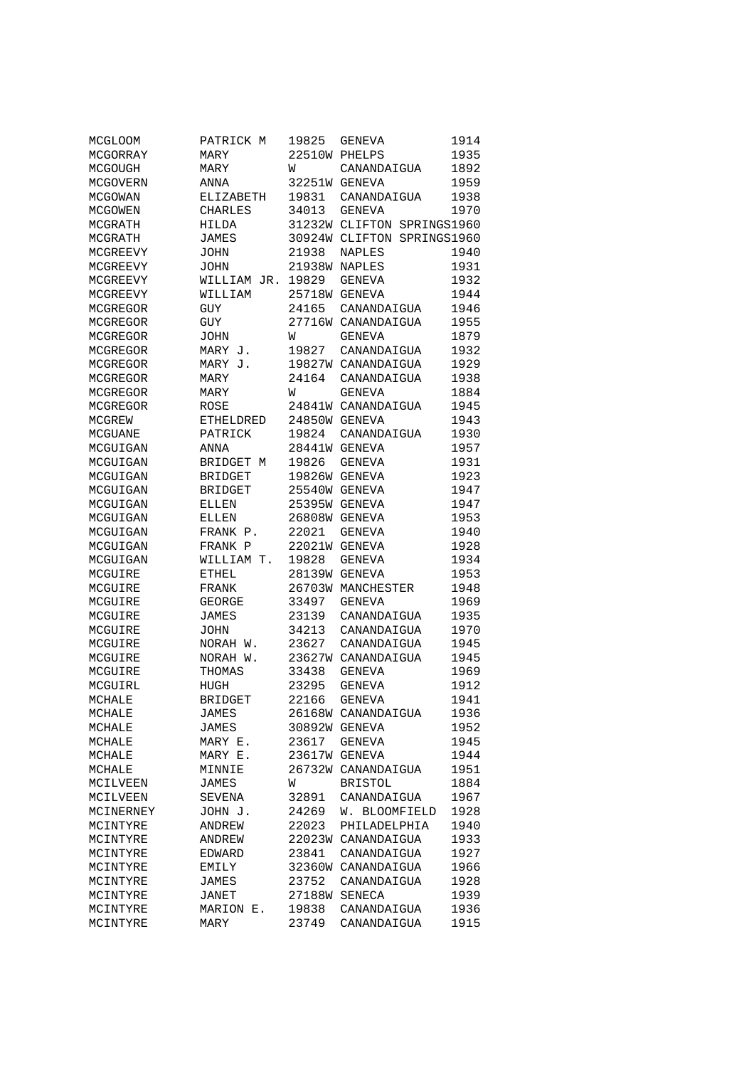| MCGLOOM         | PATRICK M      | 19825         | GENEVA                     | 1914 |
|-----------------|----------------|---------------|----------------------------|------|
| MCGORRAY        | MARY           | 22510W        | PHELPS                     | 1935 |
| MCGOUGH         | MARY           | W             | CANANDAIGUA                | 1892 |
| MCGOVERN        | ANNA           | 32251W        | GENEVA                     | 1959 |
| MCGOWAN         | ELIZABETH      | 19831         | CANANDAIGUA                | 1938 |
| MCGOWEN         | CHARLES        | 34013         | <b>GENEVA</b>              | 1970 |
| MCGRATH         | HILDA          |               | 31232W CLIFTON SPRINGS1960 |      |
| MCGRATH         | <b>JAMES</b>   |               | 30924W CLIFTON SPRINGS1960 |      |
| MCGREEVY        | JOHN           | 21938         | NAPLES                     | 1940 |
| MCGREEVY        | JOHN           | 21938W        | NAPLES                     | 1931 |
| MCGREEVY        | WILLIAM JR.    | 19829         | GENEVA                     | 1932 |
| MCGREEVY        | WILLIAM        | 25718W        | GENEVA                     | 1944 |
| MCGREGOR        | GUY            | 24165         | CANANDAIGUA                | 1946 |
| MCGREGOR        | GUY            |               | 27716W CANANDAIGUA         | 1955 |
| MCGREGOR        | <b>JOHN</b>    | W             | GENEVA                     | 1879 |
| MCGREGOR        | MARY J.        | 19827         | CANANDAIGUA                | 1932 |
| MCGREGOR        | MARY J.        | 19827W        | CANANDAIGUA                | 1929 |
| MCGREGOR        | MARY           | 24164         | CANANDAIGUA                | 1938 |
| MCGREGOR        | MARY           | W             | <b>GENEVA</b>              | 1884 |
| <b>MCGREGOR</b> | <b>ROSE</b>    |               | 24841W CANANDAIGUA         | 1945 |
| <b>MCGREW</b>   | ETHELDRED      | 24850W GENEVA |                            | 1943 |
| MCGUANE         | PATRICK        | 19824         | CANANDAIGUA                | 1930 |
| MCGUIGAN        | ANNA           | 28441W        | <b>GENEVA</b>              | 1957 |
| MCGUIGAN        | BRIDGET M      | 19826         | <b>GENEVA</b>              | 1931 |
| MCGUIGAN        | <b>BRIDGET</b> | 19826W GENEVA |                            | 1923 |
| MCGUIGAN        | <b>BRIDGET</b> |               | 25540W GENEVA              | 1947 |
| MCGUIGAN        | ELLEN          | 25395W GENEVA |                            | 1947 |
| MCGUIGAN        | ELLEN          | 26808W        | <b>GENEVA</b>              | 1953 |
| MCGUIGAN        | FRANK P.       | 22021         | GENEVA                     | 1940 |
| MCGUIGAN        | FRANK P        | 22021W        | <b>GENEVA</b>              | 1928 |
| MCGUIGAN        | WILLIAM T.     | 19828         | GENEVA                     | 1934 |
| MCGUIRE         | ETHEL          | 28139W GENEVA |                            | 1953 |
| MCGUIRE         | FRANK          | 26703W        | MANCHESTER                 | 1948 |
| MCGUIRE         | GEORGE         | 33497         | GENEVA                     | 1969 |
| MCGUIRE         | JAMES          | 23139         | CANANDAIGUA                | 1935 |
| MCGUIRE         | <b>JOHN</b>    | 34213         | CANANDAIGUA                | 1970 |
| MCGUIRE         | NORAH W.       | 23627         | CANANDAIGUA                | 1945 |
| MCGUIRE         | NORAH W.       | 23627W        | CANANDAIGUA                | 1945 |
| MCGUIRE         | THOMAS         | 33438         | GENEVA                     | 1969 |
| MCGUIRL         | HUGH           | 23295         | <b>GENEVA</b>              | 1912 |
| MCHALE          | <b>BRIDGET</b> | 22166         | GENEVA                     | 1941 |
| MCHALE          | JAMES          |               | 26168W CANANDAIGUA         | 1936 |
| MCHALE          | JAMES          | 30892W GENEVA |                            | 1952 |
| MCHALE          | MARY E.        | 23617         | GENEVA                     | 1945 |
| MCHALE          | MARY E.        |               | 23617W GENEVA              | 1944 |
| MCHALE          | MINNIE         |               | 26732W CANANDAIGUA         | 1951 |
| MCILVEEN        | JAMES          | W             | BRISTOL                    | 1884 |
| MCILVEEN        | SEVENA         | 32891         | CANANDAIGUA                | 1967 |
| MCINERNEY       | JOHN J.        | 24269         | W. BLOOMFIELD              | 1928 |
| MCINTYRE        | ANDREW         | 22023         | PHILADELPHIA               | 1940 |
| MCINTYRE        | ANDREW         |               | 22023W CANANDAIGUA         | 1933 |
| MCINTYRE        | EDWARD         | 23841         | CANANDAIGUA                | 1927 |
| MCINTYRE        | EMILY          |               | 32360W CANANDAIGUA         | 1966 |
| MCINTYRE        | JAMES          | 23752         | CANANDAIGUA                | 1928 |
| MCINTYRE        | JANET          | 27188W        | SENECA                     | 1939 |
| MCINTYRE        | MARION E.      | 19838         | CANANDAIGUA                | 1936 |
| MCINTYRE        | MARY           | 23749         | CANANDAIGUA                | 1915 |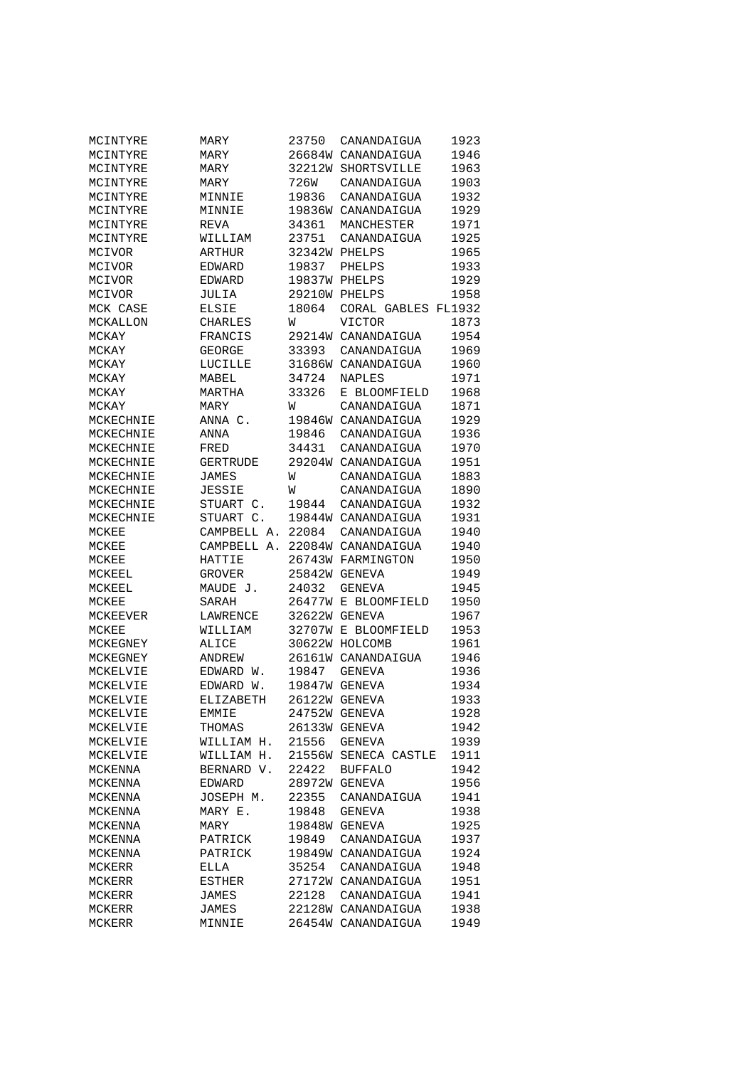| MCINTYRE       | MARY           | 23750         | CANANDAIGUA          | 1923         |
|----------------|----------------|---------------|----------------------|--------------|
| MCINTYRE       | MARY           | 26684W        | CANANDAIGUA          | 1946         |
| MCINTYRE       | MARY           | 32212W        | SHORTSVILLE          | 1963         |
| MCINTYRE       | MARY           | 726W          | CANANDAIGUA          | 1903         |
| MCINTYRE       | MINNIE         | 19836         | CANANDAIGUA          | 1932         |
| MCINTYRE       | MINNIE         | 19836W        | CANANDAIGUA          | 1929         |
| MCINTYRE       | REVA           | 34361         | MANCHESTER           | 1971         |
| MCINTYRE       | WILLIAM        | 23751         | CANANDAIGUA          | 1925         |
| MCIVOR         | ARTHUR         | 32342W        | PHELPS               | 1965         |
| <b>MCIVOR</b>  | <b>EDWARD</b>  | 19837         | PHELPS               | 1933         |
| <b>MCIVOR</b>  | EDWARD         | 19837W        | PHELPS               | 1929         |
| MCIVOR         | JULIA          | 29210W        | PHELPS               | 1958         |
| MCK CASE       | <b>ELSIE</b>   | 18064         | CORAL GABLES         | FL1932       |
| MCKALLON       | CHARLES        | W             | VICTOR               | 1873         |
| MCKAY          | FRANCIS        | 29214W        | CANANDAIGUA          | 1954         |
| MCKAY          | <b>GEORGE</b>  | 33393         | CANANDAIGUA          | 1969         |
| MCKAY          | <b>LUCILLE</b> | 31686W        | CANANDAIGUA          | 1960         |
| MCKAY          | MABEL          | 34724         | <b>NAPLES</b>        | 1971         |
| MCKAY          | MARTHA         | 33326         | E BLOOMFIELD         | 1968         |
| MCKAY          | MARY           | W             | CANANDAIGUA          | 1871         |
| MCKECHNIE      | ANNA C.        | 19846W        | CANANDAIGUA          | 1929         |
| MCKECHNIE      | ANNA           | 19846         | CANANDAIGUA          | 1936         |
| MCKECHNIE      | FRED           | 34431         | CANANDAIGUA          | 1970         |
| MCKECHNIE      | GERTRUDE       | 29204W        | CANANDAIGUA          | 1951         |
| MCKECHNIE      | <b>JAMES</b>   | W             | CANANDAIGUA          | 1883         |
| MCKECHNIE      | <b>JESSIE</b>  | W             | CANANDAIGUA          | 1890         |
| MCKECHNIE      | STUART C.      | 19844         | CANANDAIGUA          | 1932         |
| MCKECHNIE      | STUART C.      | 19844W        | CANANDAIGUA          | 1931         |
| MCKEE          | CAMPBELL A.    | 22084         | CANANDAIGUA          | 1940         |
| MCKEE          | CAMPBELL A.    | 22084W        | CANANDAIGUA          | 1940         |
| MCKEE          | HATTIE         | 26743W        | FARMINGTON           | 1950         |
| MCKEEL         | GROVER         | 25842W        | <b>GENEVA</b>        | 1949         |
| MCKEEL         | MAUDE J.       | 24032         | <b>GENEVA</b>        | 1945         |
| MCKEE          | SARAH          | 26477W        | E BLOOMFIELD         | 1950         |
| MCKEEVER       | LAWRENCE       | 32622W        | <b>GENEVA</b>        | 1967         |
| MCKEE          | WILLIAM        | 32707W        | E BLOOMFIELD         | 1953         |
| MCKEGNEY       | ALICE          | 30622W        | HOLCOMB              | 1961         |
| MCKEGNEY       | ANDREW         | 26161W        | CANANDAIGUA          | 1946         |
| MCKELVIE       | EDWARD W.      | 19847         | <b>GENEVA</b>        | 1936         |
| MCKELVIE       | EDWARD W.      | 19847W GENEVA |                      | 1934         |
| MCKELVIE       | ELIZABETH      |               | 26122W GENEVA        | 1933         |
| MCKELVIE       | EMMIE          |               | 24752W GENEVA        | 1928         |
| MCKELVIE       | THOMAS         |               | 26133W GENEVA        | 1942         |
| MCKELVIE       | WILLIAM H.     | 21556         | GENEVA               | 1939         |
| MCKELVIE       | WILLIAM H.     |               | 21556W SENECA CASTLE | 1911         |
| MCKENNA        | BERNARD V.     | 22422         | <b>BUFFALO</b>       | 1942         |
| MCKENNA        | EDWARD         |               | 28972W GENEVA        | 1956         |
| MCKENNA        | JOSEPH M.      | 22355         | CANANDAIGUA          | 1941         |
| MCKENNA        | MARY E.        | 19848         | GENEVA               | 1938         |
| <b>MCKENNA</b> | MARY           | 19848W        | GENEVA               | 1925         |
| MCKENNA        | PATRICK        | 19849         | CANANDAIGUA          | 1937         |
| MCKENNA        | PATRICK        |               | 19849W CANANDAIGUA   | 1924         |
| <b>MCKERR</b>  | <b>ELLA</b>    | 35254         | CANANDAIGUA          | 1948         |
|                |                |               | 27172W CANANDAIGUA   |              |
| MCKERR         | ESTHER         | 22128         | CANANDAIGUA          | 1951<br>1941 |
| MCKERR         | JAMES          |               | 22128W CANANDAIGUA   |              |
| MCKERR         | JAMES          |               |                      | 1938         |
| MCKERR         | MINNIE         |               | 26454W CANANDAIGUA   | 1949         |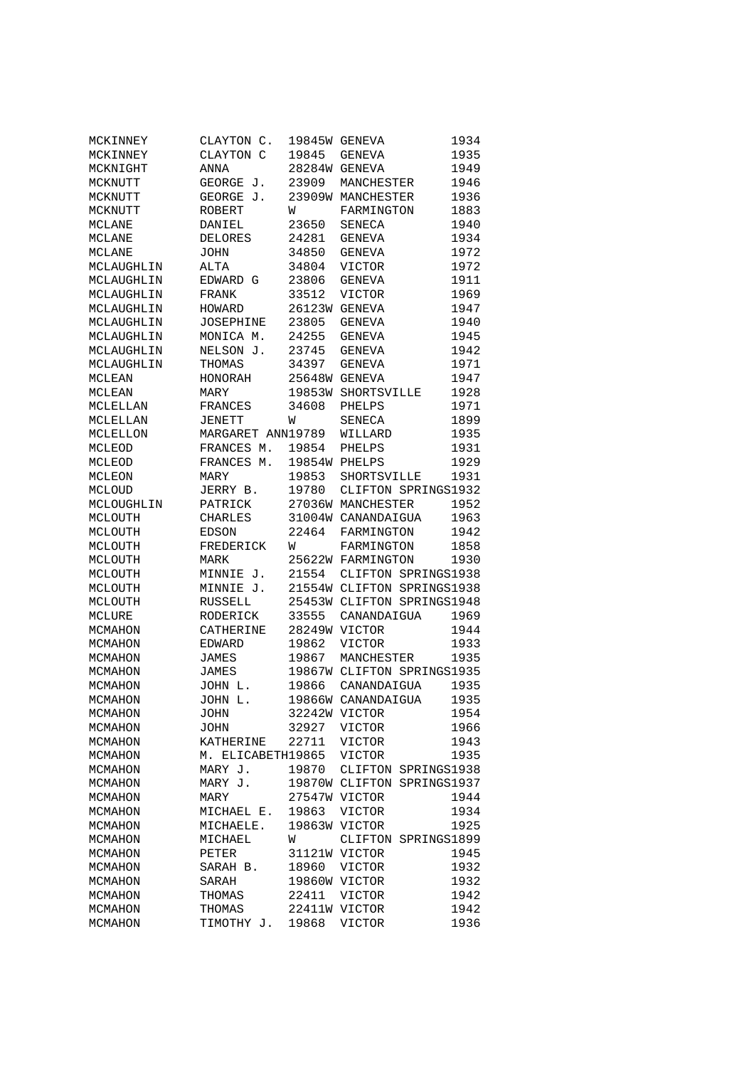| MCKINNEY       | CLAYTON C.        | 19845W GENEVA |                            | 1934 |
|----------------|-------------------|---------------|----------------------------|------|
| MCKINNEY       | CLAYTON C         | 19845         | GENEVA                     | 1935 |
| MCKNIGHT       | ANNA              |               | 28284W GENEVA              | 1949 |
| MCKNUTT        | GEORGE J.         | 23909         | MANCHESTER                 | 1946 |
| MCKNUTT        | GEORGE<br>J.      | 23909W        | MANCHESTER                 | 1936 |
| MCKNUTT        | <b>ROBERT</b>     | W             | FARMINGTON                 | 1883 |
| MCLANE         | DANIEL            | 23650         | SENECA                     | 1940 |
| MCLANE         | <b>DELORES</b>    | 24281         | <b>GENEVA</b>              | 1934 |
| MCLANE         | JOHN              | 34850         | GENEVA                     | 1972 |
| MCLAUGHLIN     | ALTA              | 34804         | <b>VICTOR</b>              | 1972 |
| MCLAUGHLIN     | EDWARD G          | 23806         | <b>GENEVA</b>              | 1911 |
| MCLAUGHLIN     | FRANK             | 33512         | <b>VICTOR</b>              | 1969 |
| MCLAUGHLIN     | HOWARD            | 26123W        | <b>GENEVA</b>              | 1947 |
| MCLAUGHLIN     | <b>JOSEPHINE</b>  | 23805         | <b>GENEVA</b>              | 1940 |
| MCLAUGHLIN     | MONICA M.         | 24255         | GENEVA                     | 1945 |
| MCLAUGHLIN     | NELSON J.         | 23745         | <b>GENEVA</b>              | 1942 |
| MCLAUGHLIN     | THOMAS            | 34397         | <b>GENEVA</b>              | 1971 |
| MCLEAN         | <b>HONORAH</b>    | 25648W        | <b>GENEVA</b>              | 1947 |
| MCLEAN         | MARY              | 19853W        | SHORTSVILLE                | 1928 |
| MCLELLAN       | FRANCES           | 34608         | PHELPS                     | 1971 |
| MCLELLAN       | JENETT            | W             | SENECA                     | 1899 |
| MCLELLON       | MARGARET ANN19789 |               | WILLARD                    | 1935 |
| MCLEOD         | FRANCES M.        | 19854         | PHELPS                     | 1931 |
| MCLEOD         | FRANCES M.        | 19854W        | PHELPS                     | 1929 |
| MCLEON         | MARY              | 19853         | SHORTSVILLE                | 1931 |
| MCLOUD         | JERRY B.          | 19780         | CLIFTON SPRINGS1932        |      |
| MCLOUGHLIN     | PATRICK           |               | 27036W MANCHESTER          | 1952 |
| MCLOUTH        | CHARLES           |               | 31004W CANANDAIGUA         | 1963 |
| MCLOUTH        | EDSON             | 22464         | FARMINGTON                 | 1942 |
| MCLOUTH        | FREDERICK         | W             | FARMINGTON                 | 1858 |
| MCLOUTH        | MARK              | 25622W        | FARMINGTON                 | 1930 |
| MCLOUTH        | MINNIE J.         | 21554         | CLIFTON SPRINGS1938        |      |
| MCLOUTH        | MINNIE J.         |               | 21554W CLIFTON SPRINGS1938 |      |
| MCLOUTH        | <b>RUSSELL</b>    |               | 25453W CLIFTON SPRINGS1948 |      |
| MCLURE         | RODERICK          | 33555         | CANANDAIGUA                | 1969 |
| MCMAHON        | CATHERINE         | 28249W VICTOR |                            | 1944 |
| MCMAHON        | EDWARD            | 19862         | <b>VICTOR</b>              | 1933 |
| MCMAHON        | JAMES             | 19867         | MANCHESTER                 | 1935 |
| MCMAHON        | JAMES             |               | 19867W CLIFTON SPRINGS1935 |      |
| MCMAHON        | JOHN L.           | 19866         | CANANDAIGUA                | 1935 |
| MCMAHON        | JOHN L.           |               | 19866W CANANDAIGUA         | 1935 |
| MCMAHON        | JOHN              | 32242W VICTOR |                            | 1954 |
| <b>MCMAHON</b> | JOHN              | 32927         | VICTOR                     | 1966 |
| MCMAHON        | KATHERINE         | 22711         | VICTOR                     | 1943 |
| MCMAHON        | M. ELICABETH19865 |               | VICTOR                     | 1935 |
| <b>MCMAHON</b> | MARY J.           | 19870         | CLIFTON SPRINGS1938        |      |
| MCMAHON        | MARY J.           |               | 19870W CLIFTON SPRINGS1937 |      |
| MCMAHON        | MARY              | 27547W VICTOR |                            | 1944 |
| MCMAHON        | MICHAEL E.        | 19863         | VICTOR                     | 1934 |
| <b>MCMAHON</b> | MICHAELE.         | 19863W VICTOR |                            | 1925 |
| MCMAHON        | MICHAEL           | W             | CLIFTON SPRINGS1899        |      |
| MCMAHON        | PETER             | 31121W VICTOR |                            | 1945 |
| <b>MCMAHON</b> | SARAH B.          | 18960         | VICTOR                     | 1932 |
| MCMAHON        | SARAH             | 19860W VICTOR |                            | 1932 |
| MCMAHON        | THOMAS            | 22411         | <b>VICTOR</b>              | 1942 |
| MCMAHON        | THOMAS            | 22411W VICTOR |                            | 1942 |
| <b>MCMAHON</b> | TIMOTHY J.        | 19868         | VICTOR                     | 1936 |
|                |                   |               |                            |      |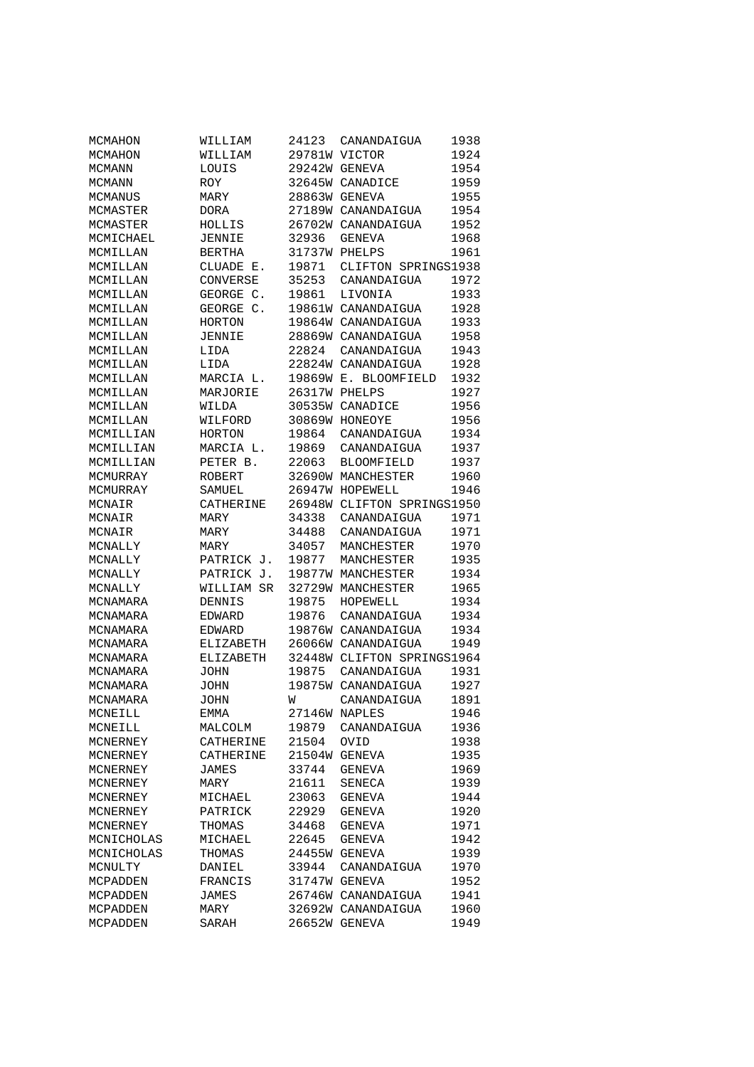| 1924<br>1954<br>1959<br>1955<br>1954<br>1952<br>1968<br>1961<br>CLIFTON SPRINGS1938<br>1972<br>1933<br>1928<br>1933<br>1958<br>1943<br>1928<br>1932<br>1927<br>1956<br>1956<br>1934<br>1937<br>1937<br>1960<br>1946<br>26948W CLIFTON SPRINGS1950<br>1971<br>1971 |
|-------------------------------------------------------------------------------------------------------------------------------------------------------------------------------------------------------------------------------------------------------------------|
|                                                                                                                                                                                                                                                                   |
|                                                                                                                                                                                                                                                                   |
|                                                                                                                                                                                                                                                                   |
|                                                                                                                                                                                                                                                                   |
|                                                                                                                                                                                                                                                                   |
|                                                                                                                                                                                                                                                                   |
|                                                                                                                                                                                                                                                                   |
|                                                                                                                                                                                                                                                                   |
|                                                                                                                                                                                                                                                                   |
|                                                                                                                                                                                                                                                                   |
|                                                                                                                                                                                                                                                                   |
|                                                                                                                                                                                                                                                                   |
|                                                                                                                                                                                                                                                                   |
|                                                                                                                                                                                                                                                                   |
|                                                                                                                                                                                                                                                                   |
|                                                                                                                                                                                                                                                                   |
|                                                                                                                                                                                                                                                                   |
|                                                                                                                                                                                                                                                                   |
|                                                                                                                                                                                                                                                                   |
|                                                                                                                                                                                                                                                                   |
|                                                                                                                                                                                                                                                                   |
|                                                                                                                                                                                                                                                                   |
|                                                                                                                                                                                                                                                                   |
|                                                                                                                                                                                                                                                                   |
|                                                                                                                                                                                                                                                                   |
|                                                                                                                                                                                                                                                                   |
|                                                                                                                                                                                                                                                                   |
|                                                                                                                                                                                                                                                                   |
| 1970                                                                                                                                                                                                                                                              |
| 1935                                                                                                                                                                                                                                                              |
| 1934                                                                                                                                                                                                                                                              |
| 1965                                                                                                                                                                                                                                                              |
| 1934                                                                                                                                                                                                                                                              |
| 1934                                                                                                                                                                                                                                                              |
| 1934                                                                                                                                                                                                                                                              |
| 1949                                                                                                                                                                                                                                                              |
| 32448W CLIFTON SPRINGS1964                                                                                                                                                                                                                                        |
| 1931                                                                                                                                                                                                                                                              |
| 1927                                                                                                                                                                                                                                                              |
| 1891                                                                                                                                                                                                                                                              |
|                                                                                                                                                                                                                                                                   |
| 1946                                                                                                                                                                                                                                                              |
| 1936                                                                                                                                                                                                                                                              |
| 1938                                                                                                                                                                                                                                                              |
| 1935                                                                                                                                                                                                                                                              |
|                                                                                                                                                                                                                                                                   |
| 1969<br>1939                                                                                                                                                                                                                                                      |
| 1944                                                                                                                                                                                                                                                              |
| 1920                                                                                                                                                                                                                                                              |
| 1971                                                                                                                                                                                                                                                              |
| 1942                                                                                                                                                                                                                                                              |
| 1939                                                                                                                                                                                                                                                              |
| 1970                                                                                                                                                                                                                                                              |
| 1952                                                                                                                                                                                                                                                              |
| 1941                                                                                                                                                                                                                                                              |
| 1960                                                                                                                                                                                                                                                              |
|                                                                                                                                                                                                                                                                   |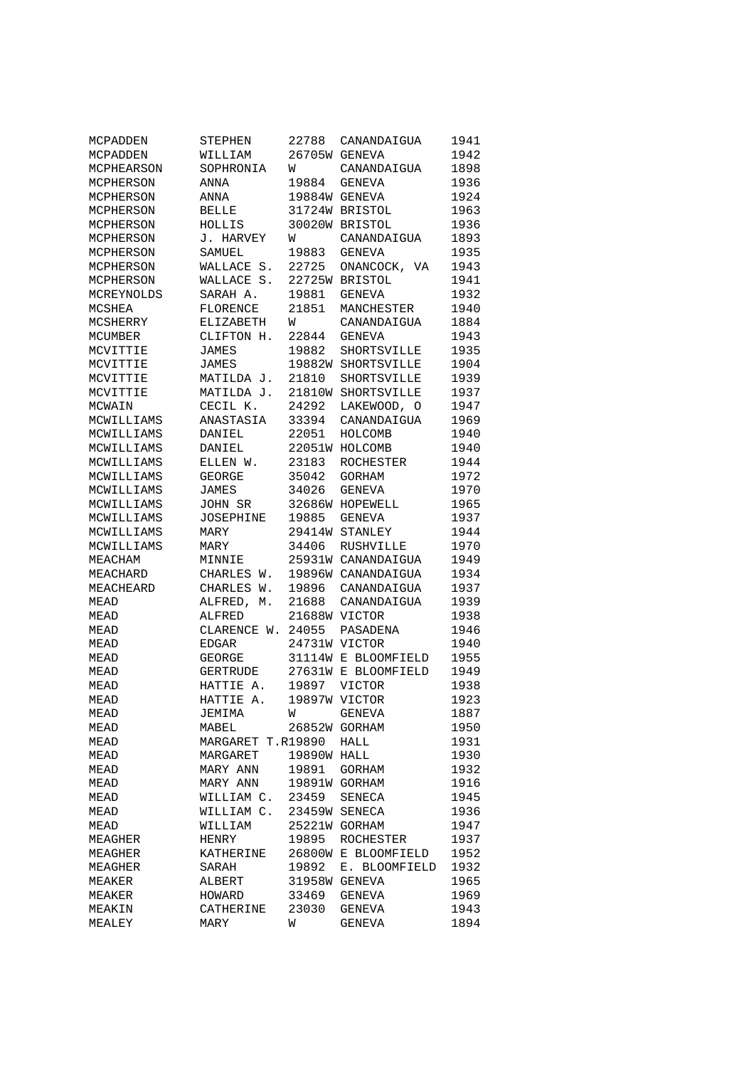| MCPADDEN    | STEPHEN           | 22788         | CANANDAIGUA         | 1941 |
|-------------|-------------------|---------------|---------------------|------|
| MCPADDEN    | WILLIAM           | 26705W GENEVA |                     | 1942 |
| MCPHEARSON  | SOPHRONIA         | M             | CANANDAIGUA         | 1898 |
| MCPHERSON   | ANNA              | 19884         | GENEVA              | 1936 |
| MCPHERSON   | ANNA              | 19884W        | GENEVA              | 1924 |
| MCPHERSON   | <b>BELLE</b>      | 31724W        | <b>BRISTOL</b>      | 1963 |
| MCPHERSON   | HOLLIS            | 30020W        | <b>BRISTOL</b>      | 1936 |
| MCPHERSON   | J. HARVEY         | M             | CANANDAIGUA         | 1893 |
| MCPHERSON   | SAMUEL            | 19883         | GENEVA              | 1935 |
| MCPHERSON   | WALLACE S.        | 22725         | ONANCOCK, VA        | 1943 |
| MCPHERSON   | WALLACE S.        | 22725W        | <b>BRISTOL</b>      | 1941 |
| MCREYNOLDS  | SARAH A.          | 19881         | GENEVA              | 1932 |
| MCSHEA      | FLORENCE          | 21851         | MANCHESTER          | 1940 |
| MCSHERRY    | ELIZABETH         | W             | CANANDAIGUA         | 1884 |
| MCUMBER     | CLIFTON H.        | 22844         | GENEVA              | 1943 |
| MCVITTIE    | JAMES             | 19882         | SHORTSVILLE         | 1935 |
| MCVITTIE    | JAMES             | 19882W        | SHORTSVILLE         | 1904 |
| MCVITTIE    | MATILDA J.        | 21810         | SHORTSVILLE         | 1939 |
| MCVITTIE    | MATILDA J.        | 21810W        | SHORTSVILLE         | 1937 |
| MCWAIN      | CECIL K.          | 24292         | LAKEWOOD, O         | 1947 |
| MCWILLIAMS  | ANASTASIA         | 33394         | CANANDAIGUA         | 1969 |
| MCWILLIAMS  | DANIEL            | 22051         | HOLCOMB             | 1940 |
| MCWILLIAMS  | DANIEL            | 22051W        | HOLCOMB             | 1940 |
| MCWILLIAMS  | ELLEN W.          | 23183         | ROCHESTER           | 1944 |
| MCWILLIAMS  | <b>GEORGE</b>     | 35042         | GORHAM              | 1972 |
| MCWILLIAMS  | JAMES             | 34026         | <b>GENEVA</b>       | 1970 |
| MCWILLIAMS  | JOHN SR           | 32686W        | HOPEWELL            | 1965 |
| MCWILLIAMS  | JOSEPHINE         | 19885         | <b>GENEVA</b>       | 1937 |
| MCWILLIAMS  | MARY              | 29414W        | STANLEY             | 1944 |
| MCWILLIAMS  | MARY              | 34406         | RUSHVILLE           | 1970 |
| MEACHAM     | MINNIE            |               | 25931W CANANDAIGUA  | 1949 |
| MEACHARD    | CHARLES W.        | 19896W        | CANANDAIGUA         | 1934 |
| MEACHEARD   | CHARLES W.        | 19896         | CANANDAIGUA         | 1937 |
| MEAD        | ALFRED,<br>М.     | 21688         | CANANDAIGUA         | 1939 |
| MEAD        | ALFRED            | 21688W        | VICTOR              | 1938 |
| MEAD        | CLARENCE W.       | 24055         | PASADENA            | 1946 |
| MEAD        | <b>EDGAR</b>      | 24731W VICTOR |                     | 1940 |
| MEAD        | GEORGE            | 31114W        | E BLOOMFIELD        | 1955 |
| MEAD        | GERTRUDE          |               | 27631W E BLOOMFIELD | 1949 |
| <b>MEAD</b> | HATTIE A.         | 19897         | <b>VICTOR</b>       | 1938 |
| <b>MEAD</b> | HATTIE A.         | 19897W VICTOR |                     | 1923 |
| MEAD        | JEMIMA            | W             | GENEVA              | 1887 |
| MEAD        | MABEL             | 26852W GORHAM |                     | 1950 |
| MEAD        | MARGARET T.R19890 |               | HALL                | 1931 |
| <b>MEAD</b> | MARGARET          | 19890W HALL   |                     | 1930 |
| MEAD        | MARY ANN          | 19891         | GORHAM              | 1932 |
| MEAD        | MARY ANN          | 19891W GORHAM |                     | 1916 |
| MEAD        | WILLIAM C.        | 23459         | SENECA              | 1945 |
| MEAD        | WILLIAM C.        | 23459W SENECA |                     | 1936 |
| MEAD        | WILLIAM           | 25221W GORHAM |                     | 1947 |
| MEAGHER     | HENRY             | 19895         | ROCHESTER           | 1937 |
| MEAGHER     | KATHERINE         |               | 26800W E BLOOMFIELD | 1952 |
| MEAGHER     | SARAH             | 19892         | E. BLOOMFIELD       | 1932 |
| MEAKER      | ALBERT            | 31958W        | GENEVA              | 1965 |
| MEAKER      | HOWARD            | 33469         | GENEVA              | 1969 |
| MEAKIN      | CATHERINE         | 23030         | GENEVA              | 1943 |
| MEALEY      | MARY              | W             | <b>GENEVA</b>       | 1894 |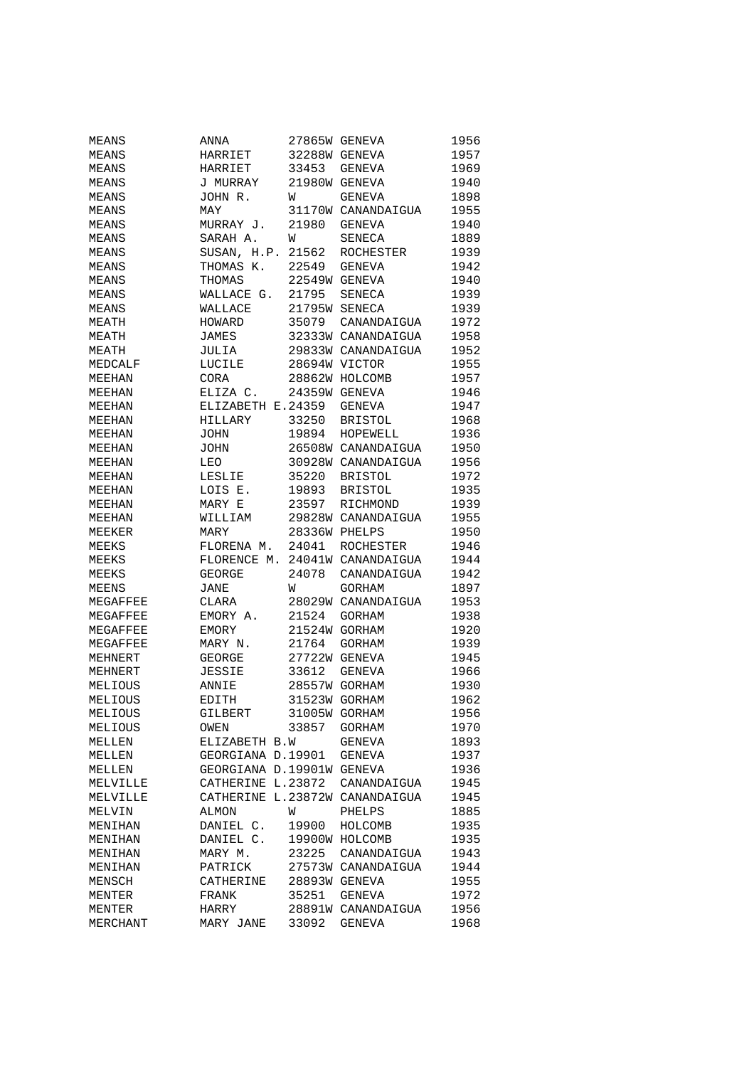| <b>MEANS</b> | ANNA                           | 27865W GENEVA |                    | 1956 |
|--------------|--------------------------------|---------------|--------------------|------|
| MEANS        | HARRIET                        |               | 32288W GENEVA      | 1957 |
| <b>MEANS</b> | HARRIET                        | 33453         | <b>GENEVA</b>      | 1969 |
| <b>MEANS</b> | J MURRAY                       | 21980W GENEVA |                    | 1940 |
| <b>MEANS</b> | JOHN R.                        | W             | GENEVA             | 1898 |
| <b>MEANS</b> | MAY                            |               | 31170W CANANDAIGUA | 1955 |
| <b>MEANS</b> | MURRAY J.                      | 21980         | GENEVA             | 1940 |
| <b>MEANS</b> | SARAH A.                       | W             | SENECA             | 1889 |
| MEANS        | SUSAN, H.P. 21562              |               | ROCHESTER          | 1939 |
| MEANS        | THOMAS K.                      | 22549         | GENEVA             | 1942 |
| <b>MEANS</b> | THOMAS                         | 22549W GENEVA |                    | 1940 |
| <b>MEANS</b> | WALLACE G.                     | 21795         | SENECA             | 1939 |
| <b>MEANS</b> | WALLACE                        | 21795W SENECA |                    | 1939 |
| MEATH        | HOWARD                         | 35079         | CANANDAIGUA        | 1972 |
| MEATH        | <b>JAMES</b>                   |               | 32333W CANANDAIGUA | 1958 |
| MEATH        | JULIA                          |               | 29833W CANANDAIGUA | 1952 |
| MEDCALF      | LUCILE                         | 28694W VICTOR |                    | 1955 |
| MEEHAN       | CORA                           |               | 28862W HOLCOMB     | 1957 |
| MEEHAN       | ELIZA C.                       | 24359W GENEVA |                    | 1946 |
| MEEHAN       | ELIZABETH E.24359              |               | <b>GENEVA</b>      | 1947 |
| MEEHAN       | HILLARY                        | 33250         | <b>BRISTOL</b>     | 1968 |
| MEEHAN       | JOHN                           | 19894         | HOPEWELL           | 1936 |
| MEEHAN       | <b>JOHN</b>                    |               | 26508W CANANDAIGUA | 1950 |
| MEEHAN       | LEO                            |               | 30928W CANANDAIGUA | 1956 |
| MEEHAN       | LESLIE                         | 35220         | <b>BRISTOL</b>     | 1972 |
| MEEHAN       | LOIS E.                        | 19893         | <b>BRISTOL</b>     | 1935 |
| MEEHAN       | MARY E                         | 23597         | RICHMOND           | 1939 |
| MEEHAN       | WILLIAM                        |               | 29828W CANANDAIGUA | 1955 |
| MEEKER       | MARY                           | 28336W PHELPS |                    | 1950 |
| MEEKS        | FLORENA M.                     | 24041         | ROCHESTER          | 1946 |
| MEEKS        | FLORENCE M. 24041W CANANDAIGUA |               |                    | 1944 |
| MEEKS        | <b>GEORGE</b>                  | 24078         | CANANDAIGUA        | 1942 |
| MEENS        | JANE                           | W             | GORHAM             | 1897 |
| MEGAFFEE     | CLARA                          |               | 28029W CANANDAIGUA | 1953 |
| MEGAFFEE     | EMORY A.                       | 21524         | GORHAM             | 1938 |
| MEGAFFEE     | <b>EMORY</b>                   | 21524W        | GORHAM             | 1920 |
| MEGAFFEE     | MARY N.                        | 21764         | GORHAM             | 1939 |
| MEHNERT      | GEORGE                         | 27722W GENEVA |                    | 1945 |
| MEHNERT      | JESSIE                         | 33612         | GENEVA             | 1966 |
| MELIOUS      | ANNIE                          | 28557W GORHAM |                    | 1930 |
| MELIOUS      | EDITH                          |               | 31523W GORHAM      | 1962 |
| MELIOUS      | GILBERT                        | 31005W GORHAM |                    | 1956 |
| MELIOUS      | OWEN                           | 33857         | GORHAM             | 1970 |
| MELLEN       | ELIZABETH B.W                  |               | GENEVA             | 1893 |
| MELLEN       | GEORGIANA D.19901              |               | GENEVA             | 1937 |
| MELLEN       | GEORGIANA D.19901W GENEVA      |               |                    | 1936 |
| MELVILLE     | CATHERINE L.23872              |               | CANANDAIGUA        | 1945 |
| MELVILLE     | CATHERINE L.23872W CANANDAIGUA |               |                    | 1945 |
| MELVIN       | ALMON                          | W             | PHELPS             | 1885 |
| MENIHAN      | DANIEL C.                      | 19900         | HOLCOMB            | 1935 |
| MENIHAN      | DANIEL C.                      | 19900W        | HOLCOMB            | 1935 |
| MENIHAN      | MARY M.                        | 23225         | CANANDAIGUA        | 1943 |
| MENIHAN      | PATRICK                        | 27573W        | CANANDAIGUA        | 1944 |
| MENSCH       | CATHERINE                      | 28893W        | <b>GENEVA</b>      | 1955 |
| MENTER       | FRANK                          | 35251         | GENEVA             | 1972 |
| MENTER       | HARRY                          |               | 28891W CANANDAIGUA | 1956 |
| MERCHANT     | MARY JANE                      | 33092         | <b>GENEVA</b>      | 1968 |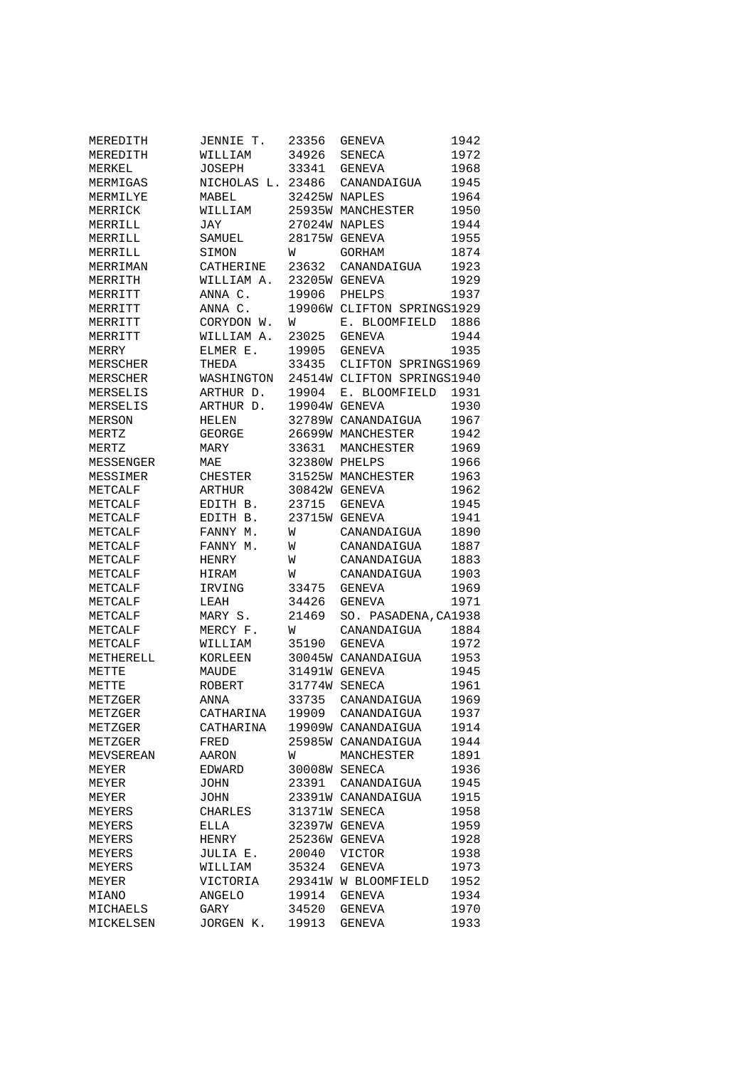| MEREDITH       | JENNIE T.         | 23356         | GENEVA                     | 1942 |
|----------------|-------------------|---------------|----------------------------|------|
| MEREDITH       | WILLIAM           | 34926         | SENECA                     | 1972 |
| MERKEL         | JOSEPH            | 33341         | <b>GENEVA</b>              | 1968 |
| MERMIGAS       | NICHOLAS L. 23486 |               | CANANDAIGUA                | 1945 |
| MERMILYE       | MABEL             | 32425W        | NAPLES                     | 1964 |
| MERRICK        | WILLIAM           |               | 25935W MANCHESTER          | 1950 |
| MERRILL        | JAY               | 27024W NAPLES |                            | 1944 |
| MERRILL        | SAMUEL            |               | 28175W GENEVA              | 1955 |
| MERRILL        | SIMON             | W             | GORHAM                     | 1874 |
| MERRIMAN       | CATHERINE         | 23632         | CANANDAIGUA                | 1923 |
| MERRITH        | WILLIAM A.        | 23205W        | <b>GENEVA</b>              | 1929 |
| MERRITT        | ANNA C.           | 19906         | PHELPS                     | 1937 |
| MERRITT        | ANNA C.           |               | 19906W CLIFTON SPRINGS1929 |      |
| MERRITT        | CORYDON W.        | W             | E. BLOOMFIELD              | 1886 |
| MERRITT        | WILLIAM A.        | 23025         | <b>GENEVA</b>              | 1944 |
| MERRY          | ELMER E.          | 19905         | <b>GENEVA</b>              | 1935 |
| MERSCHER       | THEDA             | 33435         | CLIFTON SPRINGS1969        |      |
| MERSCHER       | WASHINGTON        |               | 24514W CLIFTON SPRINGS1940 |      |
| MERSELIS       | ARTHUR D.         | 19904         | E. BLOOMFIELD              | 1931 |
| MERSELIS       | ARTHUR D.         | 19904W GENEVA |                            | 1930 |
| MERSON         | HELEN             |               | 32789W CANANDAIGUA         | 1967 |
| MERTZ          | GEORGE            | 26699W        | MANCHESTER                 | 1942 |
| MERTZ          | MARY              | 33631         | MANCHESTER                 | 1969 |
| MESSENGER      | <b>MAE</b>        | 32380W PHELPS |                            | 1966 |
| MESSIMER       | <b>CHESTER</b>    |               | 31525W MANCHESTER          | 1963 |
| METCALF        | <b>ARTHUR</b>     |               | 30842W GENEVA              | 1962 |
| METCALF        | EDITH B.          | 23715         | GENEVA                     | 1945 |
| METCALF        | EDITH B.          | 23715W GENEVA |                            | 1941 |
| <b>METCALF</b> | FANNY M.          | W             | CANANDAIGUA                | 1890 |
| METCALF        | FANNY M.          | W             | CANANDAIGUA                | 1887 |
| METCALF        | HENRY             | W             | CANANDAIGUA                | 1883 |
| METCALF        | HIRAM             | W             | CANANDAIGUA                | 1903 |
| METCALF        | IRVING            | 33475         | GENEVA                     | 1969 |
| METCALF        | LEAH              | 34426         | <b>GENEVA</b>              | 1971 |
| METCALF        | MARY S.           | 21469         | SO. PASADENA, CA1938       |      |
| METCALF        | MERCY F.          | W             | CANANDAIGUA                | 1884 |
| METCALF        | WILLIAM           | 35190         | GENEVA                     | 1972 |
| METHERELL      | KORLEEN           |               | 30045W CANANDAIGUA         | 1953 |
| METTE          | MAUDE             |               | 31491W GENEVA              | 1945 |
| METTE          | <b>ROBERT</b>     | 31774W        | SENECA                     | 1961 |
| METZGER        | ANNA              |               | 33735 CANANDAIGUA          | 1969 |
| METZGER        | CATHARINA         | 19909         | CANANDAIGUA                | 1937 |
| METZGER        | CATHARINA         | 19909W        | CANANDAIGUA                | 1914 |
| METZGER        | FRED              |               | 25985W CANANDAIGUA         | 1944 |
| MEVSEREAN      | AARON             | W             | MANCHESTER                 | 1891 |
| MEYER          | EDWARD            | 30008W SENECA |                            | 1936 |
| MEYER          | JOHN              | 23391         | CANANDAIGUA                | 1945 |
| MEYER          | JOHN              |               | 23391W CANANDAIGUA         | 1915 |
| MEYERS         | CHARLES           | 31371W        | SENECA                     | 1958 |
| MEYERS         | ELLA              |               | 32397W GENEVA              | 1959 |
| MEYERS         | HENRY             | 25236W        | <b>GENEVA</b>              | 1928 |
| MEYERS         | JULIA E.          | 20040         | <b>VICTOR</b>              | 1938 |
| MEYERS         | WILLIAM           | 35324         | GENEVA                     | 1973 |
| MEYER          | VICTORIA          | 29341W        | W BLOOMFIELD               | 1952 |
| MIANO          | ANGELO            | 19914         | GENEVA                     | 1934 |
| MICHAELS       | GARY              | 34520         | GENEVA                     | 1970 |
| MICKELSEN      | JORGEN K.         | 19913         | GENEVA                     | 1933 |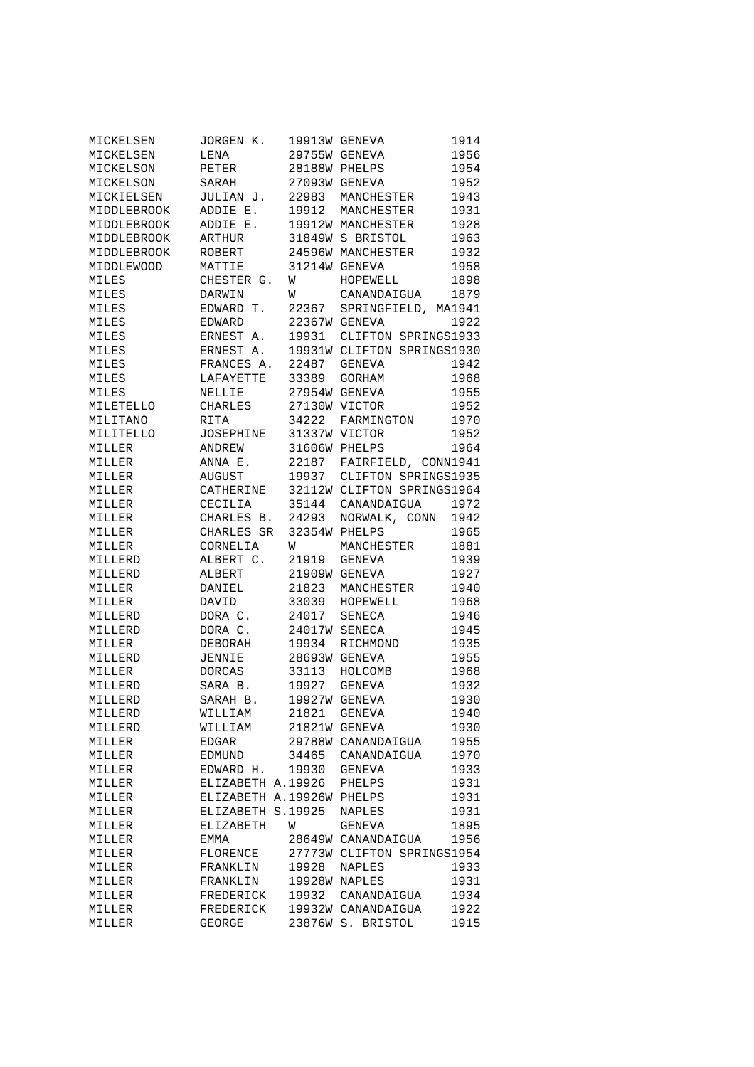| MICKELSEN   | JORGEN K.          |          | 19913W GENEVA              | 1914   |
|-------------|--------------------|----------|----------------------------|--------|
| MICKELSEN   | LENA               |          | 29755W GENEVA              | 1956   |
| MICKELSON   | PETER              |          | 28188W PHELPS              | 1954   |
| MICKELSON   | SARAH              |          | 27093W GENEVA              | 1952   |
| MICKIELSEN  | JULIAN J.          | 22983    | MANCHESTER                 | 1943   |
| MIDDLEBROOK | ADDIE E.           | 19912    | MANCHESTER                 | 1931   |
| MIDDLEBROOK | ADDIE E.           |          | 19912W MANCHESTER          | 1928   |
| MIDDLEBROOK | <b>ARTHUR</b>      |          | 31849W S BRISTOL           | 1963   |
| MIDDLEBROOK | ROBERT             |          | 24596W MANCHESTER          | 1932   |
| MIDDLEWOOD  | MATTIE             |          | 31214W GENEVA              | 1958   |
| MILES       | CHESTER G.         | W        | HOPEWELL                   | 1898   |
| MILES       | DARWIN             | <b>W</b> | CANANDAIGUA                | 1879   |
| MILES       | EDWARD T.          | 22367    | SPRINGFIELD,               | MA1941 |
| MILES       | EDWARD             |          | 22367W GENEVA              | 1922   |
| MILES       | ERNEST A.          | 19931    | CLIFTON SPRINGS1933        |        |
| MILES       | ERNEST A.          |          | 19931W CLIFTON SPRINGS1930 |        |
| MILES       | FRANCES A.         | 22487    | GENEVA                     | 1942   |
| MILES       | LAFAYETTE          | 33389    | GORHAM                     | 1968   |
| MILES       | NELLIE             |          | 27954W GENEVA              | 1955   |
| MILETELLO   | <b>CHARLES</b>     |          | 27130W VICTOR              | 1952   |
| MILITANO    | RITA               | 34222    | FARMINGTON                 | 1970   |
| MILITELLO   | JOSEPHINE          |          | 31337W VICTOR              | 1952   |
| MILLER      | ANDREW             |          | 31606W PHELPS              | 1964   |
| MILLER      | ANNA E.            | 22187    | FAIRFIELD, CONN1941        |        |
| MILLER      | AUGUST             |          | 19937 CLIFTON SPRINGS1935  |        |
| MILLER      | CATHERINE          |          | 32112W CLIFTON SPRINGS1964 |        |
| MILLER      | CECILIA            | 35144    | CANANDAIGUA                | 1972   |
| MILLER      | CHARLES B. 24293   |          | NORWALK, CONN              | 1942   |
| MILLER      | CHARLES SR         |          | 32354W PHELPS              | 1965   |
| MILLER      | CORNELIA           | <b>W</b> | MANCHESTER                 | 1881   |
| MILLERD     | ALBERT C.          | 21919    | GENEVA                     | 1939   |
| MILLERD     | ALBERT             |          | 21909W GENEVA              | 1927   |
| MILLER      | DANIEL             | 21823    | MANCHESTER                 | 1940   |
| MILLER      | DAVID              | 33039    | HOPEWELL                   | 1968   |
| MILLERD     | DORA C.            | 24017    | SENECA                     | 1946   |
| MILLERD     | DORA C.            | 24017W   | SENECA                     | 1945   |
| MILLER      | DEBORAH            | 19934    | RICHMOND                   | 1935   |
| MILLERD     | <b>JENNIE</b>      |          | 28693W GENEVA              | 1955   |
| MILLER      | <b>DORCAS</b>      | 33113    | HOLCOMB                    | 1968   |
| MILLERD     | SARA B.            | 19927    | <b>GENEVA</b>              | 1932   |
| MILLERD     | SARAH B.           |          | 19927W GENEVA              | 1930   |
| MILLERD     | WILLIAM            | 21821    | GENEVA                     | 1940   |
| MILLERD     | WILLIAM            | 21821W   | GENEVA                     | 1930   |
| MILLER      | <b>EDGAR</b>       | 29788W   | CANANDAIGUA                | 1955   |
| MILLER      | <b>EDMUND</b>      | 34465    | CANANDAIGUA                | 1970   |
| MILLER      | EDWARD H.          | 19930    | GENEVA                     | 1933   |
| MILLER      | ELIZABETH A.19926  |          | PHELPS                     | 1931   |
| MILLER      | ELIZABETH A.19926W |          | PHELPS                     | 1931   |
| MILLER      | ELIZABETH S.19925  |          | NAPLES                     | 1931   |
| MILLER      | ELIZABETH          | W        | <b>GENEVA</b>              | 1895   |
| MILLER      | EMMA               |          | 28649W CANANDAIGUA         | 1956   |
| MILLER      | FLORENCE           | 27773W   | CLIFTON SPRINGS1954        |        |
| MILLER      | FRANKLIN           | 19928    | NAPLES                     | 1933   |
| MILLER      | FRANKLIN           | 19928W   | NAPLES                     | 1931   |
| MILLER      | FREDERICK          | 19932    | CANANDAIGUA                | 1934   |
| MILLER      | FREDERICK          |          | 19932W CANANDAIGUA         | 1922   |
| MILLER      | <b>GEORGE</b>      |          | 23876W S. BRISTOL          | 1915   |
|             |                    |          |                            |        |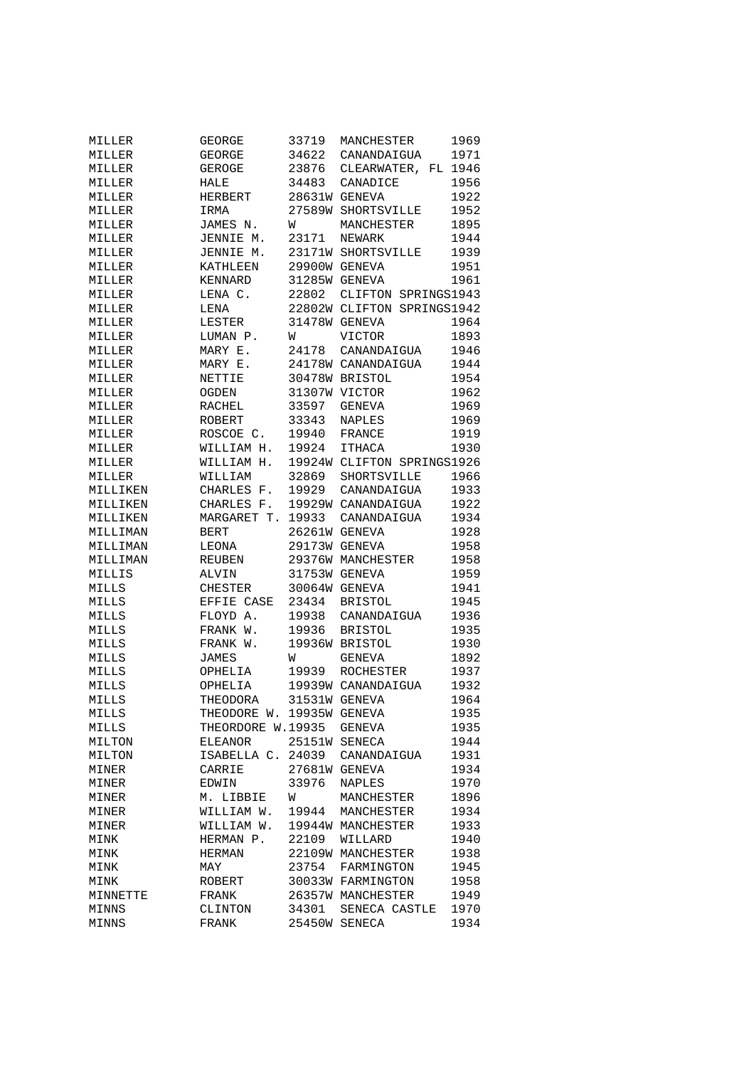| MILLER   | GEORGE                        | 33719         | MANCHESTER                 | 1969 |
|----------|-------------------------------|---------------|----------------------------|------|
| MILLER   | <b>GEORGE</b>                 | 34622         | CANANDAIGUA                | 1971 |
| MILLER   | GEROGE                        | 23876         | CLEARWATER, FL 1946        |      |
| MILLER   | HALE                          | 34483         | CANADICE                   | 1956 |
| MILLER   | HERBERT                       |               | 28631W GENEVA              | 1922 |
| MILLER   | <b>IRMA</b>                   |               | 27589W SHORTSVILLE         | 1952 |
| MILLER   | JAMES N.                      | W             | MANCHESTER                 | 1895 |
| MILLER   | JENNIE M.                     | 23171         | NEWARK                     | 1944 |
| MILLER   | JENNIE M.                     |               | 23171W SHORTSVILLE         | 1939 |
| MILLER   | KATHLEEN                      |               | 29900W GENEVA              | 1951 |
| MILLER   | KENNARD                       |               | 31285W GENEVA              | 1961 |
| MILLER   | LENA C.                       | 22802         | CLIFTON SPRINGS1943        |      |
| MILLER   | LENA                          |               | 22802W CLIFTON SPRINGS1942 |      |
| MILLER   | LESTER                        |               | 31478W GENEVA              | 1964 |
| MILLER   | LUMAN P.                      | <b>W</b>      | VICTOR                     | 1893 |
| MILLER   | MARY E.                       | 24178         | CANANDAIGUA                | 1946 |
| MILLER   | MARY E.                       |               | 24178W CANANDAIGUA         | 1944 |
| MILLER   | NETTIE                        |               | 30478W BRISTOL             | 1954 |
| MILLER   | OGDEN                         | 31307W VICTOR |                            | 1962 |
| MILLER   | RACHEL                        | 33597         | <b>GENEVA</b>              | 1969 |
| MILLER   | ROBERT                        | 33343         | NAPLES                     | 1969 |
| MILLER   | ROSCOE C.                     | 19940         | FRANCE                     | 1919 |
| MILLER   | WILLIAM H.                    | 19924         | ITHACA                     | 1930 |
| MILLER   | WILLIAM H.                    |               | 19924W CLIFTON SPRINGS1926 |      |
| MILLER   | WILLIAM                       | 32869         | SHORTSVILLE                | 1966 |
| MILLIKEN | CHARLES F.                    | 19929         | CANANDAIGUA                | 1933 |
| MILLIKEN | CHARLES F.                    |               | 19929W CANANDAIGUA         | 1922 |
| MILLIKEN | MARGARET T.                   | 19933         | CANANDAIGUA                | 1934 |
| MILLIMAN | BERT                          |               | 26261W GENEVA              | 1928 |
| MILLIMAN | LEONA                         |               | 29173W GENEVA              | 1958 |
| MILLIMAN | REUBEN                        |               | 29376W MANCHESTER          | 1958 |
| MILLIS   | ALVIN                         |               | 31753W GENEVA              | 1959 |
| MILLS    | CHESTER                       | 30064W GENEVA |                            | 1941 |
| MILLS    | EFFIE CASE                    | 23434         | <b>BRISTOL</b>             | 1945 |
| MILLS    | FLOYD A.                      | 19938         | CANANDAIGUA                | 1936 |
| MILLS    | FRANK W.                      | 19936         | <b>BRISTOL</b>             | 1935 |
| MILLS    | FRANK W.                      |               | 19936W BRISTOL             | 1930 |
| MILLS    | JAMES                         | W             | <b>GENEVA</b>              | 1892 |
| MILLS    | OPHELIA                       | 19939         | ROCHESTER                  | 1937 |
| MILLS    | OPHELIA                       |               | 19939W CANANDAIGUA         | 1932 |
| MILLS    | THEODOR A                     |               | 31531W GENEVA              | 1964 |
| MILLS    | THEODORE W. 19935W GENEVA     |               |                            | 1935 |
| MILLS    | THEORDORE W.19935 GENEVA      |               |                            | 1935 |
| MILTON   | ELEANOR                       |               | 25151W SENECA              | 1944 |
| MILTON   | ISABELLA C. 24039 CANANDAIGUA |               |                            | 1931 |
| MINER    | CARRIE                        |               | 27681W GENEVA              | 1934 |
| MINER    | EDWIN                         | 33976         | NAPLES                     | 1970 |
| MINER    | M. LIBBIE                     | <b>W</b>      | MANCHESTER                 | 1896 |
| MINER    | WILLIAM W.                    | 19944         | MANCHESTER                 | 1934 |
| MINER    | WILLIAM W.                    |               | 19944W MANCHESTER          | 1933 |
| MINK     | HERMAN P.                     | 22109         | WILLARD                    | 1940 |
| MINK     | HERMAN                        |               | 22109W MANCHESTER          | 1938 |
| MINK     | MAY                           | 23754         | FARMINGTON                 | 1945 |
| MINK     | ROBERT                        |               | 30033W FARMINGTON          | 1958 |
| MINNETTE | FRANK                         |               | 26357W MANCHESTER          | 1949 |
| MINNS    | CLINTON                       |               | 34301 SENECA CASTLE        | 1970 |
| MINNS    | FRANK                         |               | 25450W SENECA              | 1934 |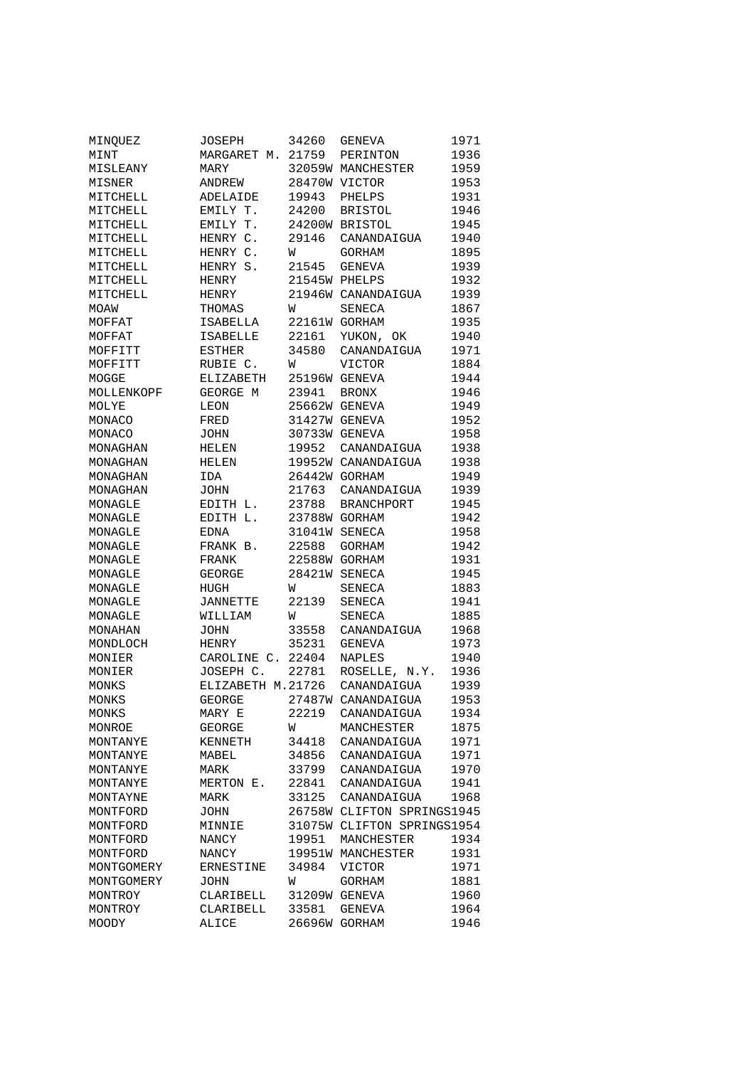| MINQUEZ      | JOSEPH            | 34260         | GENEVA                     | 1971 |
|--------------|-------------------|---------------|----------------------------|------|
| MINT         | MARGARET M.       | 21759         | PERINTON                   | 1936 |
| MISLEANY     | MARY              |               | 32059W MANCHESTER          | 1959 |
| MISNER       | ANDREW            | 28470W        | <b>VICTOR</b>              | 1953 |
| MITCHELL     | ADELAIDE          | 19943         | PHELPS                     | 1931 |
| MITCHELL     | EMILY T.          | 24200         | <b>BRISTOL</b>             | 1946 |
| MITCHELL     | EMILY T.          |               | 24200W BRISTOL             | 1945 |
| MITCHELL     | HENRY C.          | 29146         | CANANDAIGUA                | 1940 |
| MITCHELL     | HENRY C.          | W             | GORHAM                     | 1895 |
| MITCHELL     | HENRY S.          | 21545         | GENEVA                     | 1939 |
| MITCHELL     | HENRY             | 21545W        | PHELPS                     | 1932 |
| MITCHELL     | HENRY             | 21946W        | CANANDAIGUA                | 1939 |
| MOAW         | THOMAS            | W             | SENECA                     | 1867 |
| MOFFAT       | ISABELLA          | 22161W GORHAM |                            | 1935 |
| MOFFAT       | <b>ISABELLE</b>   | 22161         | YUKON, OK                  | 1940 |
| MOFFITT      | <b>ESTHER</b>     | 34580         | CANANDAIGUA                | 1971 |
| MOFFITT      | RUBIE C.          | W             | <b>VICTOR</b>              | 1884 |
| MOGGE        | ELIZABETH         | 25196W GENEVA |                            | 1944 |
| MOLLENKOPF   | GEORGE M          | 23941         | <b>BRONX</b>               | 1946 |
| MOLYE        | <b>LEON</b>       | 25662W GENEVA |                            | 1949 |
| MONACO       | FRED              | 31427W GENEVA |                            | 1952 |
| MONACO       | <b>JOHN</b>       | 30733W GENEVA |                            | 1958 |
| MONAGHAN     | HELEN             | 19952         | CANANDAIGUA                | 1938 |
| MONAGHAN     | HELEN             |               | 19952W CANANDAIGUA         | 1938 |
| MONAGHAN     | IDA               | 26442W        | GORHAM                     | 1949 |
| MONAGHAN     | JOHN              | 21763         | CANANDAIGUA                | 1939 |
| MONAGLE      | EDITH L.          | 23788         | <b>BRANCHPORT</b>          | 1945 |
| MONAGLE      | EDITH L.          | 23788W GORHAM |                            | 1942 |
| MONAGLE      | EDNA              | 31041W        | SENECA                     | 1958 |
| MONAGLE      | FRANK B.          | 22588         | GORHAM                     | 1942 |
| MONAGLE      | FRANK             | 22588W        | GORHAM                     | 1931 |
| MONAGLE      | <b>GEORGE</b>     | 28421W        | SENECA                     | 1945 |
| MONAGLE      | HUGH              | W             | SENECA                     | 1883 |
| MONAGLE      | JANNETTE          | 22139         | SENECA                     | 1941 |
| MONAGLE      | WILLIAM           | W             | SENECA                     | 1885 |
| MONAHAN      | <b>JOHN</b>       | 33558         | CANANDAIGUA                | 1968 |
| MONDLOCH     | HENRY             | 35231         | GENEVA                     | 1973 |
| MONIER       | CAROLINE C. 22404 |               | <b>NAPLES</b>              | 1940 |
| MONIER       | JOSEPH C.         | 22781         | ROSELLE, N.Y.              | 1936 |
| <b>MONKS</b> | ELIZABETH M.21726 |               | CANANDAIGUA                | 1939 |
| MONKS        | GEORGE            |               | 27487W CANANDAIGUA         | 1953 |
| MONKS        | MARY E            | 22219         | CANANDAIGUA                | 1934 |
| MONROE       | GEORGE            | W             | MANCHESTER                 | 1875 |
| MONTANYE     | KENNETH           | 34418         | CANANDAIGUA                | 1971 |
| MONTANYE     | MABEL             | 34856         | CANANDAIGUA                | 1971 |
| MONTANYE     | MARK              | 33799         | CANANDAIGUA                | 1970 |
| MONTANYE     | MERTON E.         | 22841         | CANANDAIGUA                | 1941 |
| MONTAYNE     | MARK              | 33125         | CANANDAIGUA                | 1968 |
| MONTFORD     | JOHN              |               | 26758W CLIFTON SPRINGS1945 |      |
| MONTFORD     | MINNIE            |               | 31075W CLIFTON SPRINGS1954 |      |
| MONTFORD     | NANCY             | 19951         | MANCHESTER                 | 1934 |
| MONTFORD     | NANCY             |               | 19951W MANCHESTER          | 1931 |
| MONTGOMERY   | ERNESTINE         | 34984         | <b>VICTOR</b>              | 1971 |
| MONTGOMERY   | JOHN              | W             | GORHAM                     | 1881 |
| MONTROY      | CLARIBELL         | 31209W        | GENEVA                     | 1960 |
| MONTROY      | CLARIBELL         | 33581         | GENEVA                     | 1964 |
| MOODY        | ALICE             | 26696W GORHAM |                            | 1946 |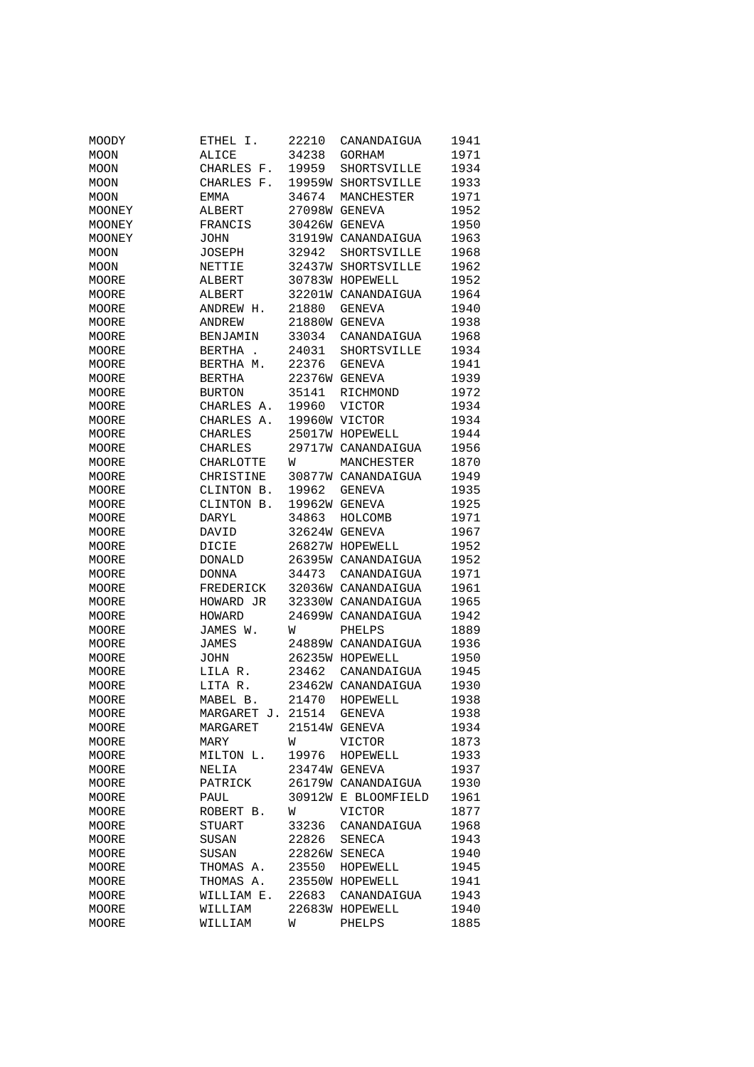| MOODY        | ETHEL I.                              | 22210         | CANANDAIGUA         | 1941 |
|--------------|---------------------------------------|---------------|---------------------|------|
| MOON         | ALICE                                 | 34238         | GORHAM              | 1971 |
| MOON         | CHARLES F.                            | 19959         | SHORTSVILLE         | 1934 |
| MOON         | CHARLES F.                            |               | 19959W SHORTSVILLE  | 1933 |
| MOON         | <b>EMMA</b>                           | 34674         | MANCHESTER          | 1971 |
| MOONEY       | ALBERT                                | 27098W GENEVA |                     | 1952 |
| MOONEY       | FRANCIS                               |               | 30426W GENEVA       | 1950 |
| MOONEY       | <b>JOHN</b>                           |               | 31919W CANANDAIGUA  | 1963 |
| <b>MOON</b>  | JOSEPH                                | 32942         | SHORTSVILLE         | 1968 |
| MOON         | NETTIE                                |               | 32437W SHORTSVILLE  | 1962 |
| MOORE        | ALBERT                                |               | 30783W HOPEWELL     | 1952 |
| MOORE        | ALBERT                                |               | 32201W CANANDAIGUA  | 1964 |
| <b>MOORE</b> | ANDREW H.                             | 21880         | <b>GENEVA</b>       | 1940 |
| MOORE        | ANDREW                                |               | 21880W GENEVA       | 1938 |
| MOORE        | BENJAMIN                              |               | 33034 CANANDAIGUA   | 1968 |
| MOORE        | <b>BERTHA</b><br>$\ddot{\phantom{a}}$ | 24031         | SHORTSVILLE         | 1934 |
| MOORE        | BERTHA M.                             | 22376         | GENEVA              | 1941 |
| MOORE        | <b>BERTHA</b>                         | 22376W GENEVA |                     | 1939 |
| MOORE        | BURTON                                | 35141         | RICHMOND            | 1972 |
| MOORE        | CHARLES A.                            | 19960         | <b>VICTOR</b>       | 1934 |
| <b>MOORE</b> | CHARLES A.                            | 19960W VICTOR |                     | 1934 |
| MOORE        | <b>CHARLES</b>                        |               | 25017W HOPEWELL     | 1944 |
| MOORE        | <b>CHARLES</b>                        |               | 29717W CANANDAIGUA  | 1956 |
| MOORE        | CHARLOTTE                             | W             | MANCHESTER          | 1870 |
| MOORE        | CHRISTINE                             |               | 30877W CANANDAIGUA  | 1949 |
| MOORE        | CLINTON B.                            | 19962         | GENEVA              | 1935 |
| MOORE        | CLINTON B.                            |               | 19962W GENEVA       | 1925 |
| MOORE        | DARYL                                 | 34863         | HOLCOMB             | 1971 |
| MOORE        | DAVID                                 | 32624W GENEVA |                     | 1967 |
| MOORE        | DICIE                                 |               | 26827W HOPEWELL     | 1952 |
| MOORE        | DONALD                                |               | 26395W CANANDAIGUA  | 1952 |
| MOORE        | DONNA                                 | 34473         | CANANDAIGUA         | 1971 |
| MOORE        | FREDERICK                             |               | 32036W CANANDAIGUA  | 1961 |
| MOORE        | HOWARD JR                             |               | 32330W CANANDAIGUA  | 1965 |
| MOORE        | HOWARD                                |               | 24699W CANANDAIGUA  | 1942 |
| MOORE        | JAMES W.                              | W             | PHELPS              | 1889 |
| MOORE        | JAMES                                 |               | 24889W CANANDAIGUA  | 1936 |
| MOORE        | <b>JOHN</b>                           |               | 26235W HOPEWELL     | 1950 |
| MOORE        | LILA R.                               | 23462         | CANANDAIGUA         | 1945 |
| MOORE        | LITA R.                               |               | 23462W CANANDAIGUA  | 1930 |
| MOORE        | MABEL B.                              |               | 21470 HOPEWELL      | 1938 |
| MOORE        | MARGARET J. 21514 GENEVA              |               |                     | 1938 |
| MOORE        | MARGARET                              | 21514W GENEVA |                     | 1934 |
| MOORE        | MARY                                  | W             | VICTOR              | 1873 |
| MOORE        | MILTON L.                             | 19976         | HOPEWELL            | 1933 |
| MOORE        | NELIA                                 | 23474W GENEVA |                     | 1937 |
| MOORE        | PATRICK                               |               | 26179W CANANDAIGUA  | 1930 |
| MOORE        | PAUL                                  |               | 30912W E BLOOMFIELD | 1961 |
| MOORE        | ROBERT B.                             | W             | VICTOR              | 1877 |
| MOORE        | <b>STUART</b>                         | 33236         | CANANDAIGUA         | 1968 |
| MOORE        | SUSAN                                 | 22826         | SENECA              | 1943 |
| MOORE        | SUSAN                                 |               | 22826W SENECA       | 1940 |
| MOORE        | THOMAS A.                             | 23550         | HOPEWELL            | 1945 |
| MOORE        | THOMAS A.                             |               | 23550W HOPEWELL     | 1941 |
| MOORE        | WILLIAM E.                            | 22683         | CANANDAIGUA         | 1943 |
| MOORE        | WILLIAM                               |               | 22683W HOPEWELL     | 1940 |
| MOORE        | WILLIAM                               | W             | PHELPS              | 1885 |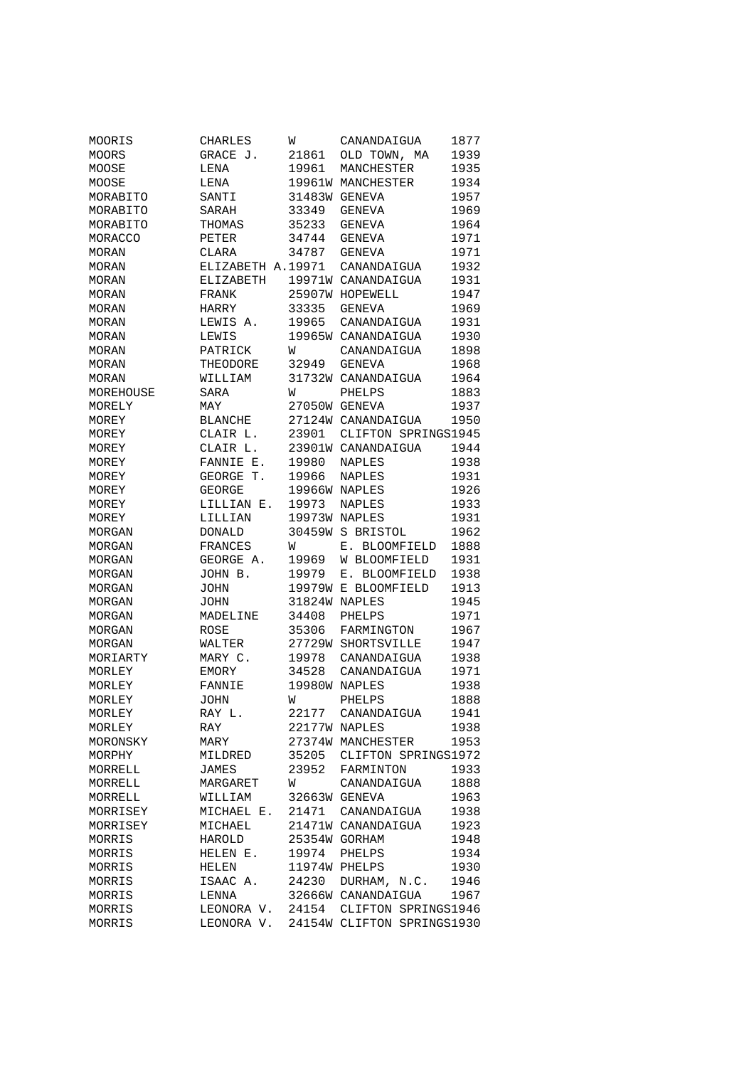| MOORIS       | CHARLES           | W             | CANANDAIGUA                           | 1877 |
|--------------|-------------------|---------------|---------------------------------------|------|
| <b>MOORS</b> | GRACE J.          | 21861         | OLD TOWN, MA                          | 1939 |
| MOOSE        | LENA              | 19961         | MANCHESTER                            | 1935 |
| MOOSE        | LENA              | 19961W        | MANCHESTER                            | 1934 |
| MORABITO     | SANTI             | 31483W        | <b>GENEVA</b>                         | 1957 |
| MORABITO     | SARAH             | 33349         | GENEVA                                | 1969 |
| MORABITO     | THOMAS            | 35233         | <b>GENEVA</b>                         | 1964 |
| MORACCO      | PETER             | 34744         | <b>GENEVA</b>                         | 1971 |
| MORAN        | CLARA             | 34787         | <b>GENEVA</b>                         | 1971 |
| MORAN        | ELIZABETH A.19971 |               | CANANDAIGUA                           | 1932 |
| <b>MORAN</b> | ELIZABETH         |               | 19971W CANANDAIGUA                    | 1931 |
| <b>MORAN</b> | FRANK             |               | 25907W HOPEWELL                       | 1947 |
| MORAN        | <b>HARRY</b>      | 33335         | <b>GENEVA</b>                         | 1969 |
| MORAN        | LEWIS A.          | 19965         | CANANDAIGUA                           | 1931 |
| MORAN        | LEWIS             |               | 19965W CANANDAIGUA                    | 1930 |
| MORAN        | PATRICK           | W             | CANANDAIGUA                           | 1898 |
| <b>MORAN</b> | THEODORE          | 32949         | GENEVA                                | 1968 |
| MORAN        | WILLIAM           |               | 31732W CANANDAIGUA                    | 1964 |
| MOREHOUSE    | SARA              | W             | PHELPS                                | 1883 |
| MORELY       | MAY               | 27050W GENEVA |                                       | 1937 |
| MOREY        | <b>BLANCHE</b>    |               | 27124W CANANDAIGUA                    | 1950 |
| MOREY        | CLAIR L.          | 23901         | CLIFTON SPRINGS1945                   |      |
| MOREY        | CLAIR L.          |               | 23901W CANANDAIGUA                    | 1944 |
| MOREY        | FANNIE E.         | 19980         | NAPLES                                | 1938 |
| MOREY        | GEORGE T.         | 19966         | NAPLES                                | 1931 |
| MOREY        | <b>GEORGE</b>     | 19966W NAPLES |                                       | 1926 |
| MOREY        | LILLIAN E.        | 19973         | NAPLES                                | 1933 |
| MOREY        | LILLIAN           | 19973W NAPLES |                                       | 1931 |
| MORGAN       | <b>DONALD</b>     | 30459W        | S BRISTOL                             | 1962 |
| MORGAN       | FRANCES           | W             | E. BLOOMFIELD                         | 1888 |
| MORGAN       | GEORGE A.         | 19969         | W BLOOMFIELD                          | 1931 |
| MORGAN       | JOHN B.           | 19979         | E. BLOOMFIELD                         | 1938 |
| MORGAN       | <b>JOHN</b>       |               | 19979W E BLOOMFIELD                   | 1913 |
| MORGAN       | <b>JOHN</b>       | 31824W NAPLES |                                       | 1945 |
| MORGAN       | MADELINE          | 34408         | PHELPS                                | 1971 |
| MORGAN       | ROSE              | 35306         | FARMINGTON                            | 1967 |
| MORGAN       | WALTER            |               | 27729W SHORTSVILLE                    | 1947 |
| MORIARTY     | MARY C.           | 19978         | CANANDAIGUA                           | 1938 |
| MORLEY       | <b>EMORY</b>      | 34528         | CANANDAIGUA                           | 1971 |
| MORLEY       | FANNIE            | 19980W NAPLES |                                       | 1938 |
| MORLEY       | JOHN              | <b>M</b>      | PHELPS                                | 1888 |
| MORLEY       | RAY L.            |               | 22177 CANANDAIGUA                     | 1941 |
| MORLEY       | RAY               | 22177W NAPLES |                                       | 1938 |
| MORONSKY     | MARY              |               | 27374W MANCHESTER                     | 1953 |
| MORPHY       | MILDRED           |               | 35205 CLIFTON SPRINGS1972             |      |
| MORRELL      | JAMES             |               | 23952 FARMINTON                       | 1933 |
| MORRELL      | MARGARET          | W             | CANANDAIGUA                           | 1888 |
| MORRELL      | WILLIAM           | 32663W GENEVA |                                       | 1963 |
| MORRISEY     |                   |               | MICHAEL E. 21471 CANANDAIGUA          | 1938 |
| MORRISEY     | MICHAEL           |               | 21471W CANANDAIGUA                    | 1923 |
| MORRIS       | HAROLD            |               | 25354W GORHAM                         | 1948 |
| MORRIS       | HELEN E.          | 19974         | PHELPS                                | 1934 |
| MORRIS       | HELEN             | 11974W PHELPS |                                       | 1930 |
| MORRIS       | ISAAC A.          | 24230         | DURHAM, N.C.                          | 1946 |
| MORRIS       | LENNA             |               | 32666W CANANDAIGUA                    | 1967 |
| MORRIS       |                   |               | LEONORA V. 24154 CLIFTON SPRINGS1946  |      |
| MORRIS       |                   |               | LEONORA V. 24154W CLIFTON SPRINGS1930 |      |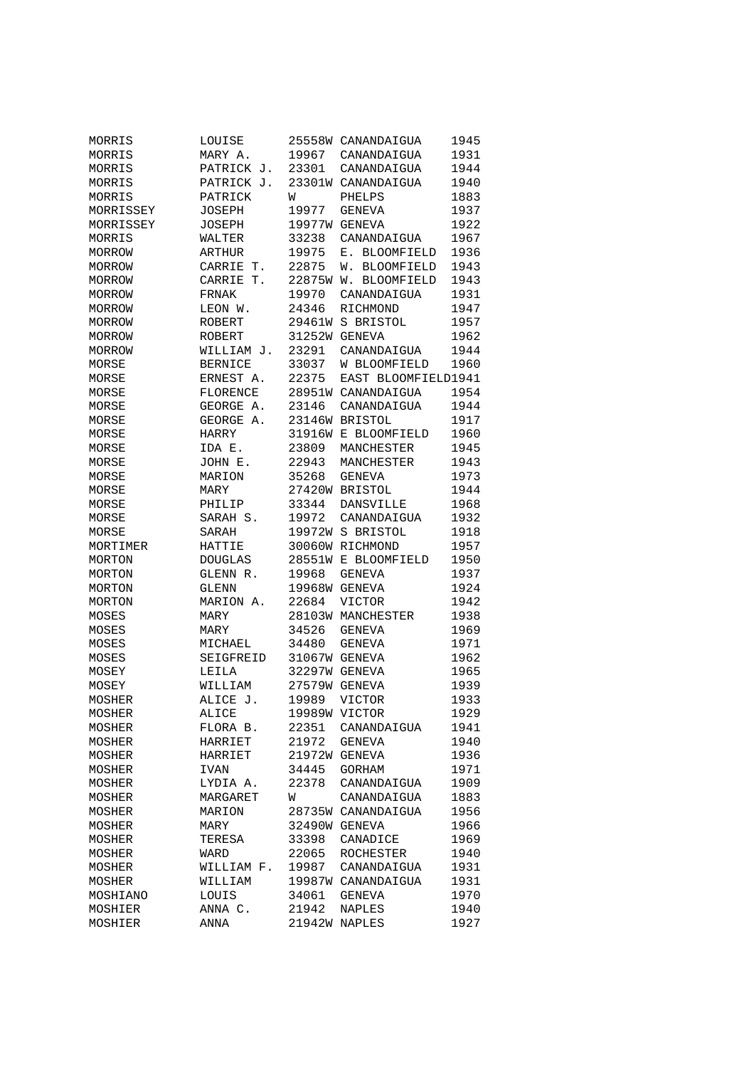| MORRIS        | LOUISE         |               | 25558W CANANDAIGUA  | 1945 |
|---------------|----------------|---------------|---------------------|------|
| MORRIS        | MARY A.        | 19967         | CANANDAIGUA         | 1931 |
| MORRIS        | PATRICK J.     | 23301         | CANANDAIGUA         | 1944 |
| MORRIS        | PATRICK J.     |               | 23301W CANANDAIGUA  | 1940 |
| MORRIS        | PATRICK        | W             | PHELPS              | 1883 |
| MORRISSEY     | JOSEPH         | 19977         | <b>GENEVA</b>       | 1937 |
| MORRISSEY     | JOSEPH         | 19977W GENEVA |                     | 1922 |
| MORRIS        | WALTER         | 33238         | CANANDAIGUA         | 1967 |
| MORROW        | ARTHUR         | 19975         | E. BLOOMFIELD       | 1936 |
| MORROW        | CARRIE T.      | 22875         | W. BLOOMFIELD       | 1943 |
| MORROW        | CARRIE T.      | 22875W        | W. BLOOMFIELD       | 1943 |
| MORROW        | FRNAK          | 19970         | CANANDAIGUA         | 1931 |
| MORROW        | LEON W.        | 24346         | RICHMOND            | 1947 |
| <b>MORROW</b> | ROBERT         |               | 29461W S BRISTOL    | 1957 |
| MORROW        | ROBERT         | 31252W GENEVA |                     | 1962 |
| MORROW        | WILLIAM J.     | 23291         | CANANDAIGUA         | 1944 |
| MORSE         | <b>BERNICE</b> | 33037         | W BLOOMFIELD        | 1960 |
| MORSE         | ERNEST A.      | 22375         | EAST BLOOMFIELD1941 |      |
| MORSE         | FLORENCE       |               | 28951W CANANDAIGUA  | 1954 |
| MORSE         | GEORGE A.      | 23146         | CANANDAIGUA         | 1944 |
| MORSE         | GEORGE A.      |               | 23146W BRISTOL      | 1917 |
| MORSE         | HARRY          | 31916W        | E BLOOMFIELD        | 1960 |
| MORSE         | IDA E.         | 23809         | MANCHESTER          | 1945 |
| MORSE         | JOHN E.        | 22943         | MANCHESTER          | 1943 |
| MORSE         | MARION         | 35268         | <b>GENEVA</b>       | 1973 |
| MORSE         | MARY           |               | 27420W BRISTOL      | 1944 |
| MORSE         | PHILIP         | 33344         | <b>DANSVILLE</b>    | 1968 |
| MORSE         | SARAH S.       | 19972         | CANANDAIGUA         | 1932 |
| MORSE         | SARAH          | 19972W        | S BRISTOL           | 1918 |
| MORTIMER      | <b>HATTIE</b>  | 30060W        | RICHMOND            | 1957 |
| MORTON        | <b>DOUGLAS</b> | 28551W        | E BLOOMFIELD        | 1950 |
| MORTON        | GLENN R.       | 19968         | <b>GENEVA</b>       | 1937 |
| MORTON        | GLENN          | 19968W GENEVA |                     | 1924 |
| MORTON        | MARION A.      | 22684         | VICTOR              | 1942 |
| MOSES         | MARY           |               | 28103W MANCHESTER   | 1938 |
| MOSES         | MARY           | 34526         | <b>GENEVA</b>       | 1969 |
| MOSES         | MICHAEL        | 34480         | <b>GENEVA</b>       | 1971 |
| MOSES         | SEIGFREID      | 31067W GENEVA |                     | 1962 |
| MOSEY         | LEILA          | 32297W GENEVA |                     | 1965 |
| MOSEY         | WILLIAM        | 27579W GENEVA |                     | 1939 |
| MOSHER        | ALICE J.       | 19989         | VICTOR              | 1933 |
| MOSHER        | ALICE          | 19989W VICTOR |                     | 1929 |
| MOSHER        | FLORA B.       | 22351         | CANANDAIGUA         | 1941 |
| MOSHER        | HARRIET        | 21972         | GENEVA              | 1940 |
| MOSHER        | HARRIET        |               | 21972W GENEVA       | 1936 |
| MOSHER        | IVAN           | 34445         | GORHAM              | 1971 |
| MOSHER        | LYDIA A.       | 22378         | CANANDAIGUA         | 1909 |
| MOSHER        | MARGARET       | W             | CANANDAIGUA         | 1883 |
| MOSHER        | MARION         |               | 28735W CANANDAIGUA  | 1956 |
| MOSHER        | MARY           | 32490W        | GENEVA              | 1966 |
| MOSHER        | TERESA         | 33398         | CANADICE            | 1969 |
| MOSHER        | WARD           | 22065         | ROCHESTER           | 1940 |
| MOSHER        | WILLIAM F.     | 19987         | CANANDAIGUA         | 1931 |
| MOSHER        | WILLIAM        |               | 19987W CANANDAIGUA  | 1931 |
| MOSHIANO      | LOUIS          | 34061         | GENEVA              | 1970 |
| MOSHIER       | ANNA C.        | 21942         | NAPLES              | 1940 |
| MOSHIER       | <b>ANNA</b>    | 21942W NAPLES |                     | 1927 |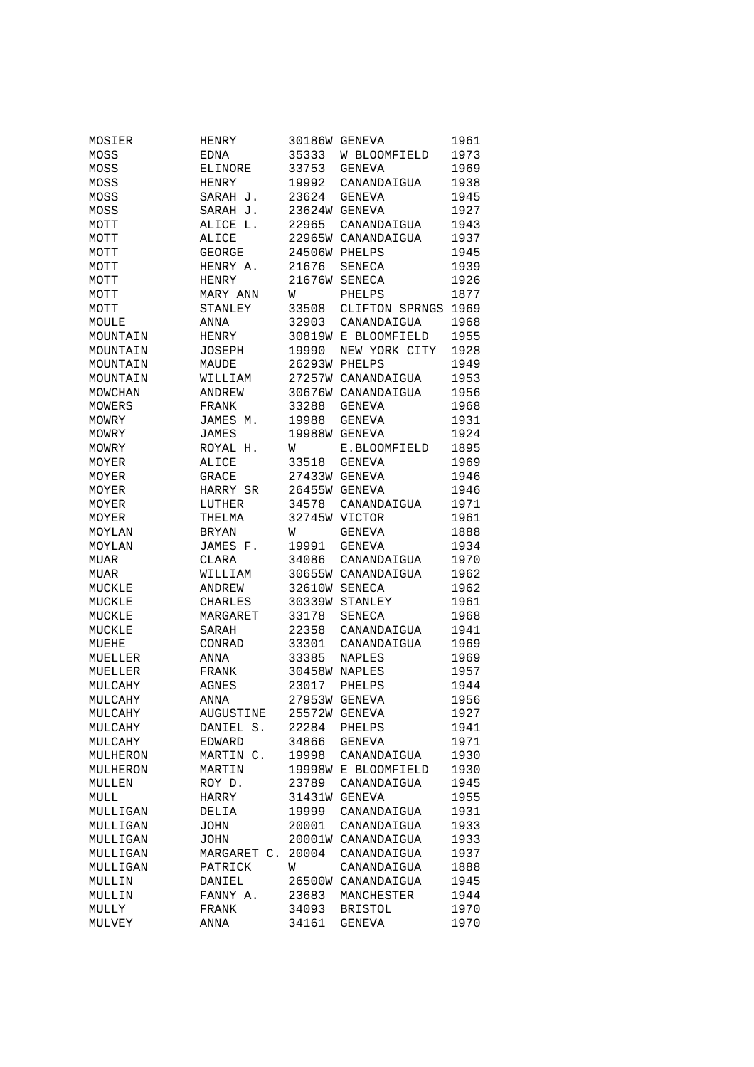| MOSIER        | HENRY          | 30186W GENEVA  |                                 | 1961         |
|---------------|----------------|----------------|---------------------------------|--------------|
| MOSS          | <b>EDNA</b>    | 35333          | W BLOOMFIELD                    | 1973         |
| MOSS          | ELINORE        | 33753          | <b>GENEVA</b>                   | 1969         |
| MOSS          | HENRY          | 19992          | CANANDAIGUA                     | 1938         |
| MOSS          | SARAH J.       | 23624          | <b>GENEVA</b>                   | 1945         |
| MOSS          | SARAH J.       | 23624W         | GENEVA                          | 1927         |
| MOTT          | ALICE L.       | 22965          | CANANDAIGUA                     | 1943         |
| MOTT          | <b>ALICE</b>   |                | 22965W CANANDAIGUA              | 1937         |
| MOTT          | GEORGE         | 24506W PHELPS  |                                 | 1945         |
| MOTT          | HENRY A.       | 21676          | SENECA                          | 1939         |
| MOTT          | HENRY          | 21676W         | SENECA                          | 1926         |
| MOTT          | MARY ANN       | W              | PHELPS                          | 1877         |
| MOTT          | STANLEY        | 33508          | CLIFTON SPRNGS 1969             |              |
| MOULE         | ANNA           | 32903          | CANANDAIGUA                     | 1968         |
| MOUNTAIN      | HENRY          |                | 30819W E BLOOMFIELD             | 1955         |
| MOUNTAIN      | JOSEPH         | 19990          | NEW YORK CITY                   | 1928         |
| MOUNTAIN      | MAUDE          | 26293W PHELPS  |                                 | 1949         |
| MOUNTAIN      | WILLIAM        |                | 27257W CANANDAIGUA              | 1953         |
| MOWCHAN       | ANDREW         |                | 30676W CANANDAIGUA              | 1956         |
| MOWERS        | FRANK          | 33288          | <b>GENEVA</b>                   | 1968         |
| MOWRY         | JAMES M.       | 19988          | <b>GENEVA</b>                   | 1931         |
| MOWRY         | JAMES          | 19988W GENEVA  |                                 | 1924         |
| MOWRY         | ROYAL H.       | W              | E.BLOOMFIELD                    | 1895         |
| MOYER         | ALICE          | 33518          | <b>GENEVA</b>                   | 1969         |
| MOYER         | <b>GRACE</b>   | 27433W GENEVA  |                                 | 1946         |
| MOYER         | HARRY SR       | 26455W GENEVA  |                                 | 1946         |
| MOYER         | LUTHER         | 34578          | CANANDAIGUA                     | 1971         |
| MOYER         | THELMA         | 32745W VICTOR  |                                 | 1961         |
| MOYLAN        | <b>BRYAN</b>   | W              | GENEVA                          | 1888         |
| MOYLAN        | JAMES F.       | 19991          | <b>GENEVA</b>                   | 1934         |
| <b>MUAR</b>   | CLARA          | 34086          | CANANDAIGUA                     | 1970         |
| MUAR          | WILLIAM        |                | 30655W CANANDAIGUA              | 1962         |
| <b>MUCKLE</b> | ANDREW         | 32610W         | SENECA                          | 1962         |
| MUCKLE        | <b>CHARLES</b> | 30339W         | STANLEY                         | 1961         |
| MUCKLE        | MARGARET       | 33178          | SENECA                          | 1968         |
| <b>MUCKLE</b> | SARAH          | 22358          | CANANDAIGUA                     | 1941         |
| MUEHE         | CONRAD         | 33301          | CANANDAIGUA                     | 1969         |
| MUELLER       | ANNA           | 33385          | NAPLES                          | 1969         |
| MUELLER       | FRANK          | 30458W NAPLES  |                                 | 1957         |
| MULCAHY       | <b>AGNES</b>   | 23017          | PHELPS                          | 1944         |
| MULCAHY       | <b>ANNA</b>    |                | 27953W GENEVA                   | 1956         |
| MULCAHY       | AUGUSTINE      | 25572W GENEVA  |                                 | 1927         |
| MULCAHY       | DANIEL S.      | 22284          | PHELPS                          | 1941         |
| MULCAHY       | EDWARD         | 34866          | GENEVA                          | 1971         |
| MULHERON      | MARTIN C.      | 19998          | CANANDAIGUA                     | 1930         |
| MULHERON      | MARTIN         | 19998W         | E BLOOMFIELD                    | 1930         |
| MULLEN        | ROY D.         | 23789          | CANANDAIGUA                     | 1945         |
| MULL          | HARRY          | 31431W         | GENEVA                          | 1955         |
| MULLIGAN      | DELIA          | 19999          | CANANDAIGUA                     | 1931         |
| MULLIGAN      | JOHN           | 20001          | CANANDAIGUA                     | 1933         |
| MULLIGAN      | JOHN           | 20001W         | CANANDAIGUA                     | 1933         |
| MULLIGAN      | MARGARET C.    | 20004          | CANANDAIGUA                     | 1937         |
| MULLIGAN      | PATRICK        | W              | CANANDAIGUA                     | 1888         |
| MULLIN        | DANIEL         | 26500W         | CANANDAIGUA                     | 1945         |
| MULLIN        | FANNY A.       | 23683          | MANCHESTER                      | 1944         |
| MULLY         | FRANK          | 34093<br>34161 | <b>BRISTOL</b><br><b>GENEVA</b> | 1970<br>1970 |
| MULVEY        | ANNA           |                |                                 |              |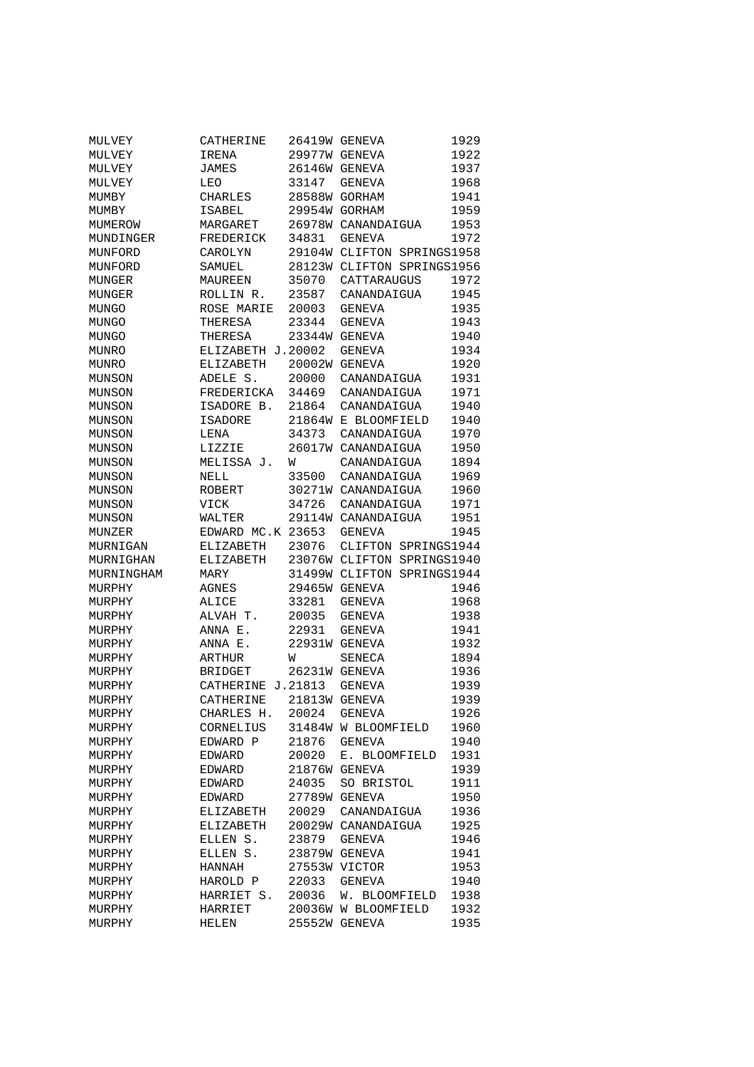| MULVEY        | CATHERINE         | 26419W GENEVA |                            | 1929         |
|---------------|-------------------|---------------|----------------------------|--------------|
| MULVEY        | IRENA             | 29977W GENEVA |                            | 1922         |
| MULVEY        | <b>JAMES</b>      | 26146W GENEVA |                            | 1937         |
| MULVEY        | LEO               | 33147         | GENEVA                     | 1968         |
| MUMBY         | CHARLES           | 28588W GORHAM |                            | 1941         |
| MUMBY         | <b>ISABEL</b>     | 29954W GORHAM |                            | 1959         |
| MUMEROW       | MARGARET          |               | 26978W CANANDAIGUA         | 1953         |
| MUNDINGER     | FREDERICK         | 34831         | <b>GENEVA</b>              | 1972         |
| MUNFORD       | CAROLYN           |               | 29104W CLIFTON SPRINGS1958 |              |
| MUNFORD       | SAMUEL            |               | 28123W CLIFTON SPRINGS1956 |              |
| <b>MUNGER</b> | MAUREEN           | 35070         | CATTARAUGUS                | 1972         |
| MUNGER        | ROLLIN R.         | 23587         | CANANDAIGUA                | 1945         |
| <b>MUNGO</b>  | ROSE MARIE        | 20003         | GENEVA                     | 1935         |
| MUNGO         | THERESA           | 23344         | <b>GENEVA</b>              | 1943         |
| MUNGO         | THERESA           | 23344W GENEVA |                            | 1940         |
| <b>MUNRO</b>  | ELIZABETH J.20002 |               | GENEVA                     | 1934         |
| <b>MUNRO</b>  | ELIZABETH         | 20002W GENEVA |                            | 1920         |
| MUNSON        | ADELE S.          | 20000         | CANANDAIGUA                | 1931         |
| MUNSON        | FREDERICKA        | 34469         | CANANDAIGUA                | 1971         |
| MUNSON        | ISADORE B.        | 21864         | CANANDAIGUA                | 1940         |
| MUNSON        | <b>ISADORE</b>    |               | 21864W E BLOOMFIELD        | 1940         |
| MUNSON        | LENA              | 34373         | CANANDAIGUA                | 1970         |
| <b>MUNSON</b> | LIZZIE            |               | 26017W CANANDAIGUA         | 1950         |
| MUNSON        | MELISSA J.        | W             | CANANDAIGUA                | 1894         |
| MUNSON        | NELL              | 33500         | CANANDAIGUA                | 1969         |
| <b>MUNSON</b> | ROBERT            |               | 30271W CANANDAIGUA         | 1960         |
| MUNSON        | VICK              | 34726         | CANANDAIGUA                | 1971         |
| MUNSON        | WALTER            |               | 29114W CANANDAIGUA         | 1951         |
| MUNZER        | EDWARD MC.K 23653 |               | <b>GENEVA</b>              | 1945         |
| MURNIGAN      | ELIZABETH         | 23076         | CLIFTON SPRINGS1944        |              |
| MURNIGHAN     | ELIZABETH         |               | 23076W CLIFTON SPRINGS1940 |              |
| MURNINGHAM    | MARY              |               | 31499W CLIFTON SPRINGS1944 |              |
| MURPHY        | AGNES             | 29465W GENEVA |                            | 1946         |
| MURPHY        | ALICE             | 33281         | GENEVA                     | 1968         |
| MURPHY        | ALVAH T.          | 20035         | GENEVA                     | 1938         |
| MURPHY        | ANNA E.           | 22931         | GENEVA                     | 1941         |
| MURPHY        | ANNA E.           | 22931W GENEVA |                            | 1932         |
| MURPHY        | <b>ARTHUR</b>     | W             | SENECA                     | 1894         |
| MURPHY        | <b>BRIDGET</b>    | 26231W GENEVA |                            | 1936         |
| MURPHY        | CATHERINE J.21813 |               | <b>GENEVA</b>              | 1939         |
| MURPHY        | CATHERINE         | 21813W GENEVA |                            | 1939         |
| MURPHY        | CHARLES H.        | 20024         | GENEVA                     | 1926         |
| MURPHY        | CORNELIUS         |               | 31484W W BLOOMFIELD        | 1960         |
| MURPHY        | EDWARD P          | 21876         | GENEVA                     | 1940         |
| MURPHY        | <b>EDWARD</b>     | 20020         | E. BLOOMFIELD              | 1931         |
| MURPHY        | EDWARD            | 21876W        | GENEVA                     | 1939         |
| MURPHY        | EDWARD            | 24035         | SO BRISTOL                 | 1911         |
| MURPHY        | <b>EDWARD</b>     | 27789W        | <b>GENEVA</b>              | 1950         |
| MURPHY        | ELIZABETH         | 20029         | CANANDAIGUA                | 1936         |
| MURPHY        |                   |               |                            | 1925         |
| MURPHY        | ELIZABETH         |               | 20029W CANANDAIGUA         |              |
|               | ELLEN S.          | 23879         | <b>GENEVA</b>              | 1946         |
| MURPHY        | ELLEN S.          | 23879W GENEVA |                            | 1941         |
| MURPHY        | HANNAH            | 27553W VICTOR |                            | 1953         |
| MURPHY        | HAROLD P          | 22033         | <b>GENEVA</b>              | 1940         |
| MURPHY        | HARRIET S.        | 20036         | W. BLOOMFIELD              | 1938         |
| MURPHY        | HARRIET           |               | 20036W W BLOOMFIELD        | 1932<br>1935 |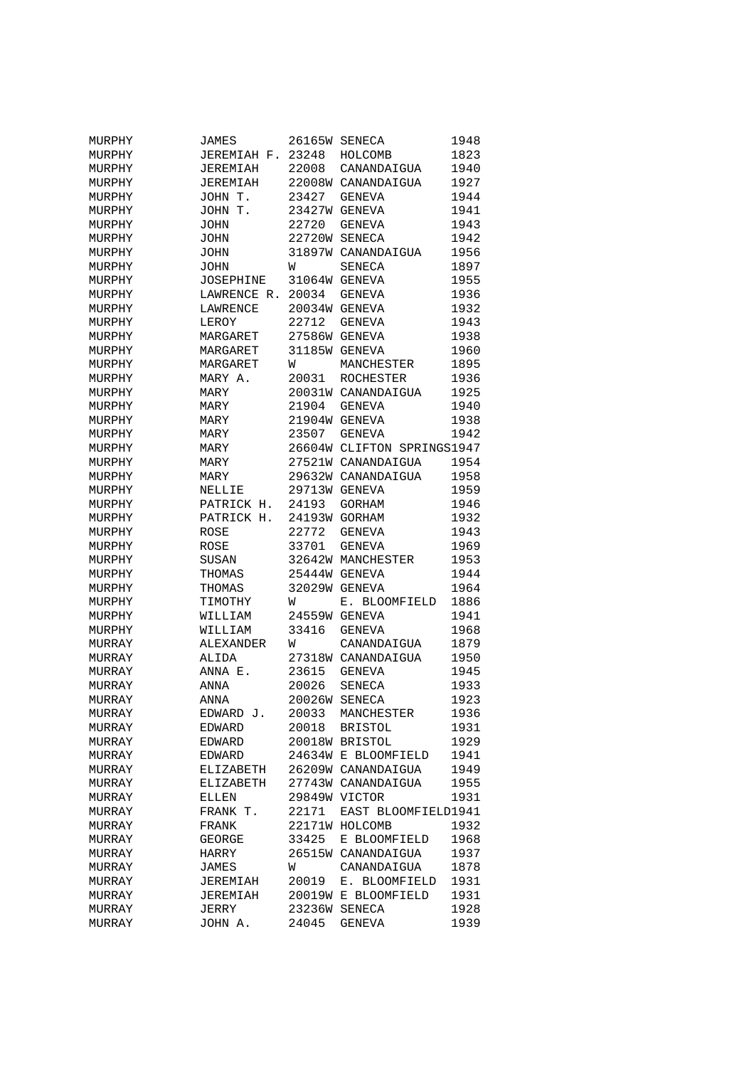| MURPHY | JAMES            | 26165W        | SENECA                     | 1948 |
|--------|------------------|---------------|----------------------------|------|
| MURPHY | JEREMIAH F.      | 23248         | <b>HOLCOMB</b>             | 1823 |
| MURPHY | JEREMIAH         | 22008         | CANANDAIGUA                | 1940 |
| MURPHY | JEREMIAH         |               | 22008W CANANDAIGUA         | 1927 |
| MURPHY | JOHN T.          | 23427         | <b>GENEVA</b>              | 1944 |
| MURPHY | JOHN T.          | 23427W        | <b>GENEVA</b>              | 1941 |
| MURPHY | JOHN             | 22720         | GENEVA                     | 1943 |
| MURPHY | JOHN             | 22720W        | SENECA                     | 1942 |
| MURPHY | JOHN             |               | 31897W CANANDAIGUA         | 1956 |
| MURPHY | JOHN             | W             | SENECA                     | 1897 |
| MURPHY | JOSEPHINE        | 31064W GENEVA |                            | 1955 |
| MURPHY | LAWRENCE R.      | 20034         | <b>GENEVA</b>              | 1936 |
| MURPHY | <b>LAWRENCE</b>  | 20034W GENEVA |                            | 1932 |
| MURPHY | LEROY            | 22712         | <b>GENEVA</b>              | 1943 |
| MURPHY | MARGARET         | 27586W GENEVA |                            | 1938 |
| MURPHY | MARGARET         | 31185W GENEVA |                            | 1960 |
| MURPHY | MARGARET         | W             | MANCHESTER                 | 1895 |
| MURPHY | MARY A.          | 20031         | ROCHESTER                  | 1936 |
| MURPHY | MARY             |               | 20031W CANANDAIGUA         | 1925 |
| MURPHY | MARY             | 21904         | <b>GENEVA</b>              | 1940 |
| MURPHY | MARY             |               | 21904W GENEVA              | 1938 |
| MURPHY | MARY             | 23507         | <b>GENEVA</b>              | 1942 |
| MURPHY | MARY             |               | 26604W CLIFTON SPRINGS1947 |      |
| MURPHY | MARY             |               | 27521W CANANDAIGUA         | 1954 |
| MURPHY | MARY             |               | 29632W CANANDAIGUA         | 1958 |
| MURPHY | NELLIE           | 29713W GENEVA |                            | 1959 |
| MURPHY | PATRICK H.       | 24193         | GORHAM                     | 1946 |
| MURPHY | PATRICK H.       | 24193W GORHAM |                            | 1932 |
| MURPHY | ROSE             | 22772         | <b>GENEVA</b>              | 1943 |
| MURPHY | ROSE             | 33701         | GENEVA                     | 1969 |
| MURPHY | SUSAN            |               | 32642W MANCHESTER          | 1953 |
| MURPHY | THOMAS           | 25444W GENEVA |                            | 1944 |
| MURPHY | THOMAS           |               | 32029W GENEVA              | 1964 |
| MURPHY | TIMOTHY          | W             | E. BLOOMFIELD              | 1886 |
| MURPHY | WILLIAM          | 24559W GENEVA |                            | 1941 |
| MURPHY | WILLIAM          | 33416         | GENEVA                     | 1968 |
| MURRAY | ALEXANDER        | W             | CANANDAIGUA                | 1879 |
| MURRAY | ALIDA            |               | 27318W CANANDAIGUA         | 1950 |
| MURRAY | ANNA E.          | 23615         | <b>GENEVA</b>              | 1945 |
| MURRAY | <b>ANNA</b>      | 20026         | <b>SENECA</b>              | 1933 |
| MURRAY | <b>ANNA</b>      |               | 20026W SENECA              | 1923 |
| MURRAY | EDWARD J.        | 20033         | MANCHESTER                 | 1936 |
| MURRAY | EDWARD           |               | 20018 BRISTOL              | 1931 |
| MURRAY | EDWARD           |               | 20018W BRISTOL             | 1929 |
| MURRAY | EDWARD           |               | 24634W E BLOOMFIELD        | 1941 |
| MURRAY | <b>ELIZABETH</b> |               | 26209W CANANDAIGUA         | 1949 |
| MURRAY | ELIZABETH        |               | 27743W CANANDAIGUA         | 1955 |
| MURRAY | ELLEN            |               | 29849W VICTOR              | 1931 |
| MURRAY | FRANK T.         | 22171         | EAST BLOOMFIELD1941        |      |
| MURRAY | <b>FRANK</b>     |               | 22171W HOLCOMB             | 1932 |
| MURRAY | GEORGE           | 33425         | E BLOOMFIELD               | 1968 |
| MURRAY | HARRY            |               | 26515W CANANDAIGUA         | 1937 |
| MURRAY | JAMES            | W             | CANANDAIGUA                | 1878 |
| MURRAY | JEREMIAH         | 20019         | E. BLOOMFIELD              | 1931 |
| MURRAY | JEREMIAH         |               | 20019W E BLOOMFIELD        | 1931 |
| MURRAY | JERRY            | 23236W        | SENECA                     | 1928 |
| MURRAY | JOHN A.          | 24045         | GENEVA                     | 1939 |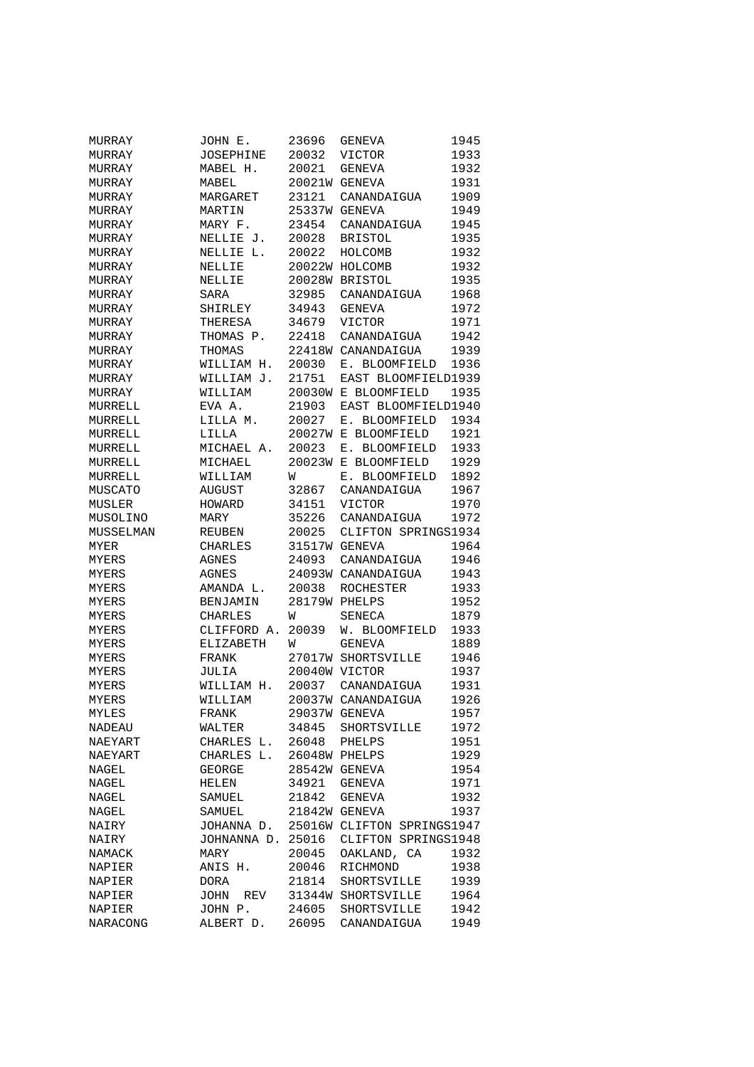| MURRAY         | JOHN E.        | 23696         | GENEVA                     | 1945 |
|----------------|----------------|---------------|----------------------------|------|
| MURRAY         | JOSEPHINE      | 20032         | VICTOR                     | 1933 |
| MURRAY         | MABEL H.       | 20021         | <b>GENEVA</b>              | 1932 |
| MURRAY         | MABEL          |               | 20021W GENEVA              | 1931 |
| MURRAY         | MARGARET       | 23121         | CANANDAIGUA                | 1909 |
| MURRAY         | MARTIN         |               | 25337W GENEVA              | 1949 |
| MURRAY         | MARY F.        | 23454         | CANANDAIGUA                | 1945 |
| MURRAY         | NELLIE J.      | 20028         | <b>BRISTOL</b>             | 1935 |
| MURRAY         | NELLIE L.      | 20022         | HOLCOMB                    | 1932 |
| MURRAY         | NELLIE         |               | 20022W HOLCOMB             | 1932 |
| MURRAY         | NELLIE         |               | 20028W BRISTOL             | 1935 |
| MURRAY         | SARA           | 32985         | CANANDAIGUA                | 1968 |
| MURRAY         | SHIRLEY        | 34943         | GENEVA                     | 1972 |
| MURRAY         | THERESA        | 34679         | <b>VICTOR</b>              | 1971 |
| MURRAY         | THOMAS P.      | 22418         | CANANDAIGUA                | 1942 |
| MURRAY         | THOMAS         |               | 22418W CANANDAIGUA         | 1939 |
| MURRAY         | WILLIAM H.     | 20030         | E. BLOOMFIELD              | 1936 |
| MURRAY         | WILLIAM J.     | 21751         | EAST BLOOMFIELD1939        |      |
| MURRAY         | WILLIAM        |               | 20030W E BLOOMFIELD        | 1935 |
| <b>MURRELL</b> | EVA A.         | 21903         | EAST BLOOMFIELD1940        |      |
| MURRELL        | LILLA M.       | 20027         | E. BLOOMFIELD              | 1934 |
| MURRELL        | LILLA          | 20027W        | E BLOOMFIELD               | 1921 |
| <b>MURRELL</b> | MICHAEL A.     | 20023         | E. BLOOMFIELD              | 1933 |
| MURRELL        | MICHAEL        |               | 20023W E BLOOMFIELD        | 1929 |
| MURRELL        | WILLIAM        | W             | E. BLOOMFIELD              | 1892 |
| <b>MUSCATO</b> | <b>AUGUST</b>  | 32867         | CANANDAIGUA                | 1967 |
| MUSLER         | HOWARD         | 34151         | VICTOR                     | 1970 |
| MUSOLINO       | MARY           | 35226         | CANANDAIGUA                | 1972 |
| MUSSELMAN      | REUBEN         | 20025         | CLIFTON SPRINGS1934        |      |
| MYER           | CHARLES        | 31517W GENEVA |                            | 1964 |
| MYERS          | AGNES          | 24093         | CANANDAIGUA                | 1946 |
| MYERS          | AGNES          |               | 24093W CANANDAIGUA         | 1943 |
| MYERS          | AMANDA L.      | 20038         | ROCHESTER                  | 1933 |
| MYERS          | BENJAMIN       | 28179W PHELPS |                            | 1952 |
| MYERS          | <b>CHARLES</b> | W             | SENECA                     | 1879 |
| MYERS          | CLIFFORD A.    | 20039         | W. BLOOMFIELD              | 1933 |
| MYERS          | ELIZABETH      | W             | <b>GENEVA</b>              | 1889 |
| MYERS          | FRANK          |               | 27017W SHORTSVILLE         | 1946 |
| MYERS          | JULIA          | 20040W VICTOR |                            | 1937 |
| <b>MYERS</b>   | WILLIAM H.     | 20037         | CANANDAIGUA                | 1931 |
| MYERS          | WILLIAM        |               | 20037W CANANDAIGUA         | 1926 |
| MYLES          | FRANK          | 29037W GENEVA |                            | 1957 |
| NADEAU         | WALTER         | 34845         | SHORTSVILLE                | 1972 |
| NAEYART        | CHARLES L.     | 26048         | PHELPS                     | 1951 |
| NAEYART        | CHARLES L.     | 26048W PHELPS |                            | 1929 |
| NAGEL          | GEORGE         |               | 28542W GENEVA              | 1954 |
| NAGEL          | HELEN          | 34921         | GENEVA                     | 1971 |
| NAGEL          | SAMUEL         | 21842         | <b>GENEVA</b>              | 1932 |
| NAGEL          | SAMUEL         | 21842W GENEVA |                            | 1937 |
| NAIRY          | JOHANNA D.     |               | 25016W CLIFTON SPRINGS1947 |      |
| NAIRY          | JOHNANNA D.    | 25016         | CLIFTON SPRINGS1948        |      |
| NAMACK         | MARY           | 20045         | OAKLAND, CA                | 1932 |
| NAPIER         | ANIS H.        | 20046         | RICHMOND                   | 1938 |
| NAPIER         | DORA           | 21814         | SHORTSVILLE                | 1939 |
| NAPIER         | JOHN<br>REV    | 31344W        | SHORTSVILLE                | 1964 |
| NAPIER         | JOHN P.        | 24605         | SHORTSVILLE                | 1942 |
| NARACONG       | ALBERT D.      | 26095         | CANANDAIGUA                | 1949 |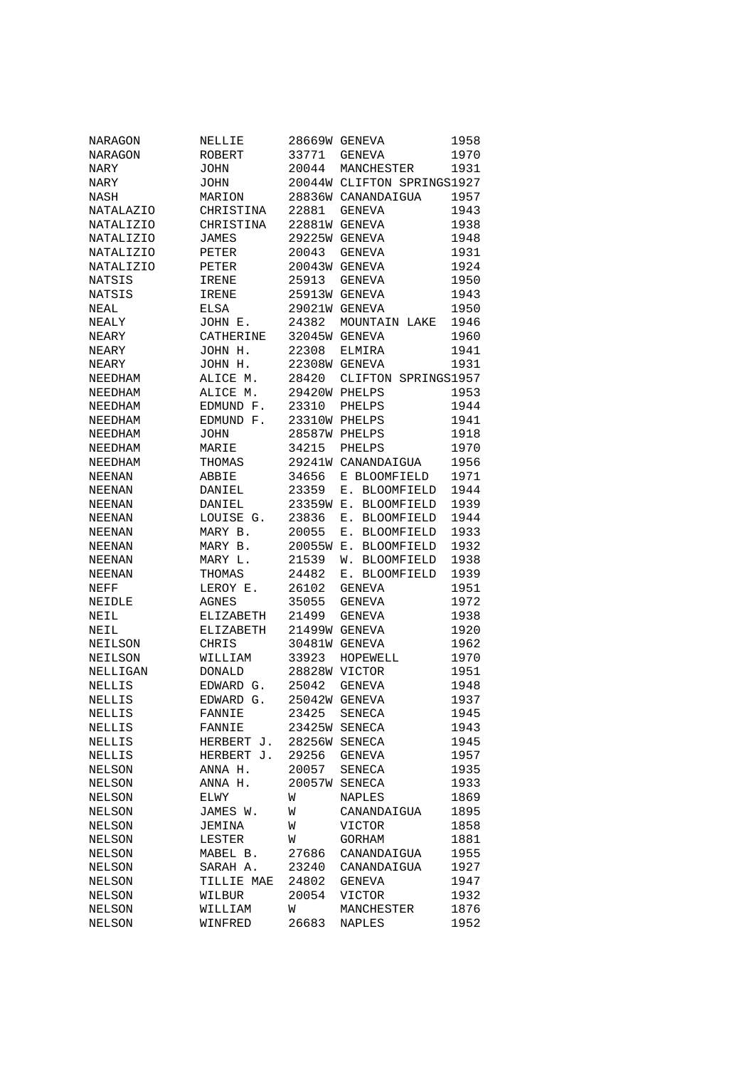| NARAGON                 | NELLIE                 | 28669W GENEVA           |                                              | 1958         |
|-------------------------|------------------------|-------------------------|----------------------------------------------|--------------|
| <b>NARAGON</b>          | ROBERT                 | 33771                   | GENEVA                                       | 1970         |
| <b>NARY</b>             | JOHN                   | 20044                   | MANCHESTER                                   | 1931         |
| NARY                    | JOHN                   |                         | 20044W CLIFTON SPRINGS1927                   |              |
| NASH                    | MARION                 |                         | 28836W CANANDAIGUA                           | 1957         |
| NATALAZIO               | CHRISTINA              | 22881                   | <b>GENEVA</b>                                | 1943         |
| NATALIZIO               | CHRISTINA              | 22881W GENEVA           |                                              | 1938         |
| NATALIZIO               | <b>JAMES</b>           | 29225W GENEVA           |                                              | 1948         |
| NATALIZIO               | PETER                  | 20043                   | <b>GENEVA</b>                                | 1931         |
| NATALIZIO               | PETER                  | 20043W GENEVA           |                                              | 1924         |
| <b>NATSIS</b>           | IRENE                  | 25913                   | <b>GENEVA</b>                                | 1950         |
| NATSIS                  | <b>IRENE</b>           | 25913W GENEVA           |                                              | 1943         |
| NEAL                    | ELSA                   | 29021W GENEVA           |                                              | 1950         |
| NEALY                   | JOHN E.                | 24382                   | MOUNTAIN LAKE                                | 1946         |
| NEARY                   | CATHERINE              | 32045W GENEVA           |                                              | 1960         |
| <b>NEARY</b>            | JOHN H.                | 22308                   | ELMIRA                                       | 1941         |
| NEARY                   | JOHN H.                | 22308W GENEVA           |                                              | 1931         |
| NEEDHAM                 | ALICE M.               | 28420                   | SPRINGS1957<br>CLIFTON                       |              |
| NEEDHAM                 | ALICE M.               | 29420W PHELPS           |                                              | 1953         |
| NEEDHAM                 | EDMUND F.              | 23310                   | PHELPS                                       | 1944         |
| NEEDHAM                 | EDMUND F.              | 23310W PHELPS           |                                              | 1941         |
| NEEDHAM                 | JOHN                   | 28587W PHELPS           |                                              | 1918         |
| NEEDHAM                 | MARIE                  | 34215                   | PHELPS                                       | 1970         |
| NEEDHAM                 | THOMAS                 |                         | 29241W CANANDAIGUA                           | 1956         |
| NEENAN                  | ABBIE                  | 34656                   | E BLOOMFIELD                                 | 1971         |
| NEENAN                  | DANIEL                 | 23359                   | Ε.<br><b>BLOOMFIELD</b>                      | 1944         |
| <b>NEENAN</b>           |                        | 23359W E.               | <b>BLOOMFIELD</b>                            | 1939         |
|                         | DANIEL                 | 23836                   |                                              | 1944         |
| NEENAN                  | LOUISE G.<br>MARY B.   |                         | Ε.<br><b>BLOOMFIELD</b><br>Ε.                | 1933         |
| <b>NEENAN</b>           |                        | 20055                   | <b>BLOOMFIELD</b>                            | 1932         |
| NEENAN                  | MARY B.                | 20055W                  | Ε.<br><b>BLOOMFIELD</b><br>W.                | 1938         |
| NEENAN<br>NEENAN        | MARY L.<br>THOMAS      | 21539<br>24482          | <b>BLOOMFIELD</b><br>Ε.<br><b>BLOOMFIELD</b> | 1939         |
|                         |                        |                         |                                              |              |
| NEFF<br>NEIDLE          | LEROY E.<br>AGNES      | 26102<br>35055          | <b>GENEVA</b><br><b>GENEVA</b>               | 1951<br>1972 |
| NEIL                    |                        | 21499                   | <b>GENEVA</b>                                | 1938         |
| <b>NEIL</b>             | ELIZABETH<br>ELIZABETH | 21499W GENEVA           |                                              | 1920         |
| NEILSON                 | CHRIS                  | 30481W GENEVA           |                                              | 1962         |
|                         | WILLIAM                | 33923                   |                                              | 1970         |
| NEILSON<br>NELLIGAN     | <b>DONALD</b>          | 28828W VICTOR           | HOPEWELL                                     | 1951         |
| <b>NELLIS</b>           | EDWARD G.              | 25042                   | <b>GENEVA</b>                                | 1948         |
| NELLIS                  | EDWARD G.              | 25042W GENEVA           |                                              | 1937         |
|                         |                        |                         |                                              |              |
| NELLIS<br><b>NELLIS</b> | FANNIE                 | 23425                   | SENECA                                       | 1945         |
|                         | FANNIE                 | 23425W SENECA<br>28256W |                                              | 1943<br>1945 |
| NELLIS                  | HERBERT J.             |                         | SENECA                                       |              |
| NELLIS                  | HERBERT J.             | 29256                   | GENEVA                                       | 1957         |
| NELSON                  | ANNA H.                | 20057                   | SENECA                                       | 1935         |
| NELSON                  | ANNA H.                | 20057W SENECA           |                                              | 1933         |
| NELSON                  | ELWY                   | W                       | <b>NAPLES</b>                                | 1869         |
| NELSON                  | JAMES W.               | W                       | CANANDAIGUA                                  | 1895         |
| NELSON                  | JEMINA                 | W                       | <b>VICTOR</b>                                | 1858         |
| NELSON                  | LESTER                 | W                       | GORHAM                                       | 1881         |
| NELSON                  | MABEL B.               | 27686                   | CANANDAIGUA                                  | 1955         |
| NELSON                  | SARAH A.               | 23240                   | CANANDAIGUA                                  | 1927         |
| NELSON                  | TILLIE MAE             | 24802                   | GENEVA                                       | 1947         |
| NELSON                  | WILBUR                 | 20054                   | VICTOR                                       | 1932         |
| NELSON                  | WILLIAM                | W                       | MANCHESTER                                   | 1876         |
| NELSON                  | WINFRED                | 26683                   | <b>NAPLES</b>                                | 1952         |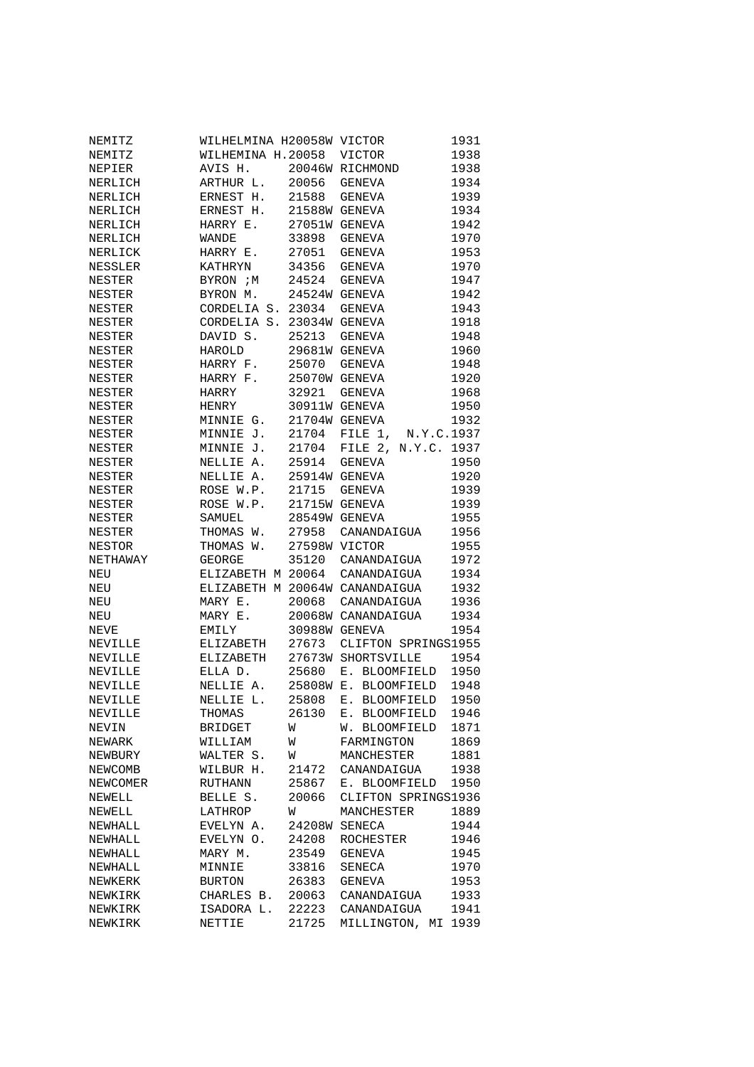| NEMITZ        | WILHELMINA H20058W VICTOR      |               |                      | 1931 |
|---------------|--------------------------------|---------------|----------------------|------|
| NEMITZ        | WILHEMINA H.20058              |               | VICTOR               | 1938 |
| NEPIER        | AVIS H.                        |               | 20046W RICHMOND      | 1938 |
| NERLICH       | ARTHUR L.                      | 20056         | GENEVA               | 1934 |
| NERLICH       | ERNEST H.                      | 21588         | GENEVA               | 1939 |
| NERLICH       | ERNEST H.                      | 21588W GENEVA |                      | 1934 |
| NERLICH       | HARRY E.                       |               | 27051W GENEVA        | 1942 |
| NERLICH       | WANDE                          | 33898         | GENEVA               | 1970 |
| NERLICK       | HARRY E.                       | 27051         | GENEVA               | 1953 |
| NESSLER       | KATHRYN                        | 34356 GENEVA  |                      | 1970 |
| <b>NESTER</b> | BYRON ; M 24524 GENEVA         |               |                      | 1947 |
| NESTER        | BYRON M.                       | 24524W GENEVA |                      | 1942 |
| NESTER        | CORDELIA S. 23034              |               | GENEVA               | 1943 |
| NESTER        | CORDELIA S. 23034W GENEVA      |               |                      | 1918 |
| NESTER        | DAVID S.                       | 25213         | GENEVA               | 1948 |
| NESTER        | <b>HAROLD</b>                  | 29681W GENEVA |                      | 1960 |
| NESTER        | HARRY F.                       | 25070         | GENEVA               | 1948 |
| NESTER        | HARRY F.                       | 25070W GENEVA |                      | 1920 |
| NESTER        | HARRY                          | 32921         | GENEVA               | 1968 |
| NESTER        | HENRY                          |               | 30911W GENEVA        | 1950 |
| NESTER        | MINNIE G.                      | 21704W GENEVA |                      | 1932 |
| NESTER        | MINNIE J.                      | 21704         | FILE 1, N.Y.C.1937   |      |
| NESTER        | MINNIE J.                      | 21704         | FILE 2, N.Y.C. 1937  |      |
| NESTER        | NELLIE A.                      |               | 25914 GENEVA         | 1950 |
| <b>NESTER</b> | NELLIE A.                      |               | 25914W GENEVA        | 1920 |
| NESTER        | ROSE W.P.                      | 21715         | GENEVA               | 1939 |
| NESTER        | ROSE W.P.                      |               | 21715W GENEVA        | 1939 |
| NESTER        | SAMUEL                         | 28549W GENEVA |                      | 1955 |
| NESTER        | THOMAS W.                      | 27958         | CANANDAIGUA          | 1956 |
| <b>NESTOR</b> | THOMAS W.                      | 27598W VICTOR |                      | 1955 |
| NETHAWAY      | <b>GEORGE</b>                  |               | 35120 CANANDAIGUA    | 1972 |
| NEU           | ELIZABETH M 20064 CANANDAIGUA  |               |                      | 1934 |
| NEU           | ELIZABETH M 20064W CANANDAIGUA |               |                      | 1932 |
| NEU           | MARY E.                        | 20068         | CANANDAIGUA          | 1936 |
| NEU           | MARY E.                        |               | 20068W CANANDAIGUA   | 1934 |
| NEVE          | EMILY                          | 30988W GENEVA |                      | 1954 |
| NEVILLE       | ELIZABETH                      | 27673         | CLIFTON SPRINGS1955  |      |
| NEVILLE       | ELIZABETH                      |               | 27673W SHORTSVILLE   | 1954 |
| NEVILLE       | ELLA D.                        | 25680         | E. BLOOMFIELD        | 1950 |
| NEVILLE       | NELLIE A.                      |               | 25808W E. BLOOMFIELD | 1948 |
| NEVILLE       | NELLIE L.                      | 25808         | E. BLOOMFIELD 1950   |      |
| NEVILLE       | THOMAS                         | 26130         | E. BLOOMFIELD        | 1946 |
| NEVIN         | BRIDGET                        | W             | W. BLOOMFIELD        | 1871 |
| NEWARK        | WILLIAM                        | W             | FARMINGTON           | 1869 |
| NEWBURY       | WALTER S.                      | W             | MANCHESTER           | 1881 |
| NEWCOMB       | WILBUR H.                      | 21472         | CANANDAIGUA          | 1938 |
| NEWCOMER      | RUTHANN                        | 25867         | E. BLOOMFIELD        | 1950 |
| NEWELL        | BELLE S.                       | 20066         | CLIFTON SPRINGS1936  |      |
| NEWELL        | LATHROP                        | W             | MANCHESTER           | 1889 |
| NEWHALL       | EVELYN A.                      |               | 24208W SENECA        | 1944 |
| NEWHALL       | EVELYN O.                      | 24208         | ROCHESTER            | 1946 |
| NEWHALL       | MARY M.                        | 23549         | GENEVA               | 1945 |
| NEWHALL       | MINNIE                         | 33816         | SENECA               | 1970 |
| NEWKERK       | BURTON                         | 26383         | GENEVA               | 1953 |
| NEWKIRK       | CHARLES B.                     | 20063         | CANANDAIGUA          | 1933 |
| NEWKIRK       | ISADORA L.                     | 22223         | CANANDAIGUA          | 1941 |
| NEWKIRK       | NETTIE                         | 21725         | MILLINGTON, MI 1939  |      |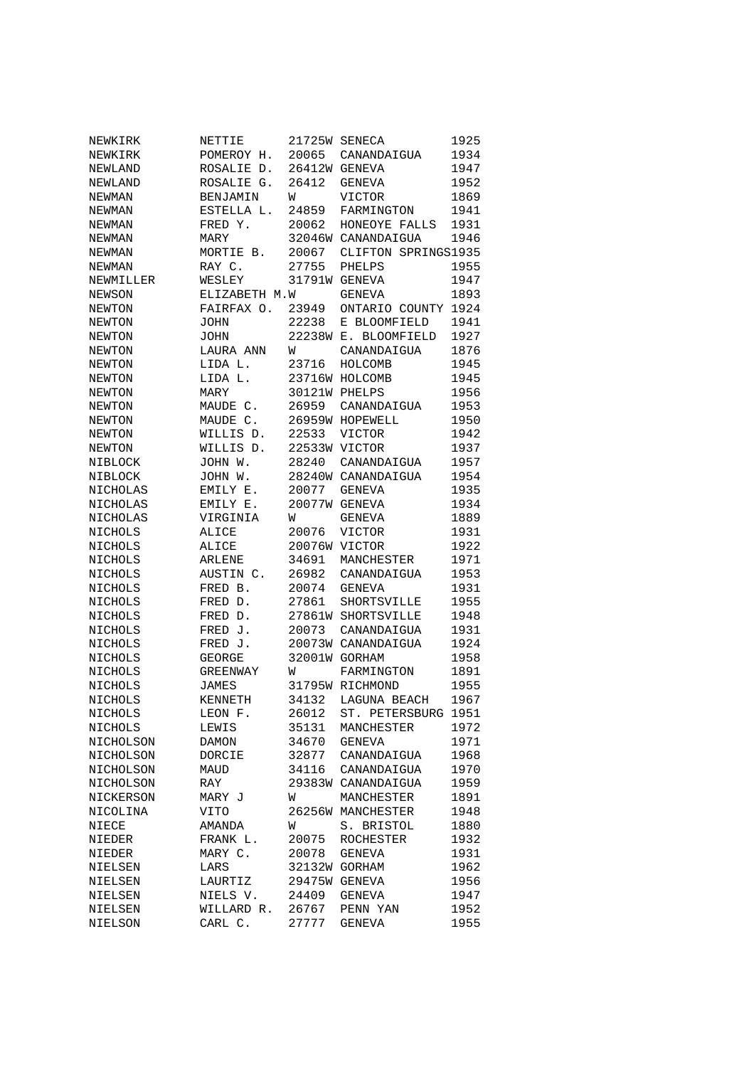| NEWKIRK        | NETTIE          | 21725W        | SENECA               | 1925 |
|----------------|-----------------|---------------|----------------------|------|
| NEWKIRK        | POMEROY H.      | 20065         | CANANDAIGUA          | 1934 |
| NEWLAND        | ROSALIE D.      | 26412W        | GENEVA               | 1947 |
| NEWLAND        | ROSALIE G.      | 26412         | GENEVA               | 1952 |
| NEWMAN         | BENJAMIN        | W             | VICTOR               | 1869 |
| <b>NEWMAN</b>  | ESTELLA L.      | 24859         | FARMINGTON           | 1941 |
| <b>NEWMAN</b>  | FRED Y.         | 20062         | HONEOYE FALLS        | 1931 |
| NEWMAN         | MARY            |               | 32046W CANANDAIGUA   | 1946 |
| <b>NEWMAN</b>  | MORTIE B.       | 20067         | CLIFTON SPRINGS1935  |      |
| <b>NEWMAN</b>  | RAY C.          | 27755         | PHELPS               | 1955 |
| NEWMILLER      | WESLEY          | 31791W        | GENEVA               | 1947 |
| <b>NEWSON</b>  | ELIZABETH M.W   |               | GENEVA               | 1893 |
| <b>NEWTON</b>  | FAIRFAX O.      | 23949         | ONTARIO COUNTY 1924  |      |
| NEWTON         | JOHN            | 22238         | E BLOOMFIELD         | 1941 |
| <b>NEWTON</b>  | JOHN            |               | 22238W E. BLOOMFIELD | 1927 |
| NEWTON         | LAURA ANN       | W             | CANANDAIGUA          | 1876 |
| NEWTON         | LIDA L.         | 23716         | HOLCOMB              | 1945 |
| <b>NEWTON</b>  | LIDA L.         | 23716W        | HOLCOMB              | 1945 |
| <b>NEWTON</b>  | MARY            | 30121W        | PHELPS               | 1956 |
| <b>NEWTON</b>  | MAUDE C.        | 26959         | CANANDAIGUA          | 1953 |
| <b>NEWTON</b>  | MAUDE C.        |               | 26959W HOPEWELL      | 1950 |
| NEWTON         | WILLIS D.       | 22533         | <b>VICTOR</b>        | 1942 |
| <b>NEWTON</b>  | WILLIS D.       | 22533W        | <b>VICTOR</b>        | 1937 |
| NIBLOCK        | JOHN W.         | 28240         | CANANDAIGUA          | 1957 |
| NIBLOCK        | JOHN W.         | 28240W        | CANANDAIGUA          | 1954 |
| NICHOLAS       | EMILY E.        | 20077         | <b>GENEVA</b>        | 1935 |
| NICHOLAS       | EMILY E.        | 20077W GENEVA |                      | 1934 |
| NICHOLAS       | VIRGINIA        | W             | GENEVA               | 1889 |
| NICHOLS        | ALICE           | 20076         | <b>VICTOR</b>        | 1931 |
| NICHOLS        | ALICE           | 20076W        | <b>VICTOR</b>        | 1922 |
| NICHOLS        | ARLENE          | 34691         | MANCHESTER           | 1971 |
| NICHOLS        | AUSTIN C.       | 26982         | CANANDAIGUA          | 1953 |
| NICHOLS        | FRED B.         | 20074         | <b>GENEVA</b>        | 1931 |
| NICHOLS        | FRED D.         | 27861         | SHORTSVILLE          | 1955 |
| NICHOLS        | FRED D.         | 27861W        | SHORTSVILLE          | 1948 |
| NICHOLS        | FRED J.         | 20073         | CANANDAIGUA          | 1931 |
| NICHOLS        | FRED J.         |               | 20073W CANANDAIGUA   | 1924 |
| NICHOLS        | <b>GEORGE</b>   | 32001W        | <b>GORHAM</b>        | 1958 |
| <b>NICHOLS</b> | <b>GREENWAY</b> | W             | FARMINGTON           | 1891 |
| NICHOLS        | JAMES           |               | 31795W RICHMOND      | 1955 |
| NICHOLS        | KENNETH         | 34132         | LAGUNA BEACH         | 1967 |
| NICHOLS        | LEON F.         | 26012         | ST. PETERSBURG 1951  |      |
| NICHOLS        | LEWIS           | 35131         | MANCHESTER           | 1972 |
| NICHOLSON      | DAMON           | 34670         | GENEVA               | 1971 |
| NICHOLSON      | DORCIE          | 32877         | CANANDAIGUA          | 1968 |
| NICHOLSON      | MAUD            | 34116         | CANANDAIGUA          | 1970 |
| NICHOLSON      | RAY             |               | 29383W CANANDAIGUA   | 1959 |
| NICKERSON      | MARY J          | W             | MANCHESTER           | 1891 |
| NICOLINA       | VITO            |               | 26256W MANCHESTER    | 1948 |
| NIECE          | AMANDA          | W             | S. BRISTOL           | 1880 |
| NIEDER         | FRANK L.        | 20075         | ROCHESTER            | 1932 |
| NIEDER         | MARY C.         | 20078         | GENEVA               | 1931 |
| NIELSEN        | LARS            | 32132W        | GORHAM               | 1962 |
| NIELSEN        | LAURTIZ         | 29475W        | GENEVA               | 1956 |
| NIELSEN        | NIELS V.        | 24409         | GENEVA               | 1947 |
| NIELSEN        | WILLARD R.      | 26767         | PENN YAN             | 1952 |
| NIELSON        | CARL C.         | 27777         | <b>GENEVA</b>        | 1955 |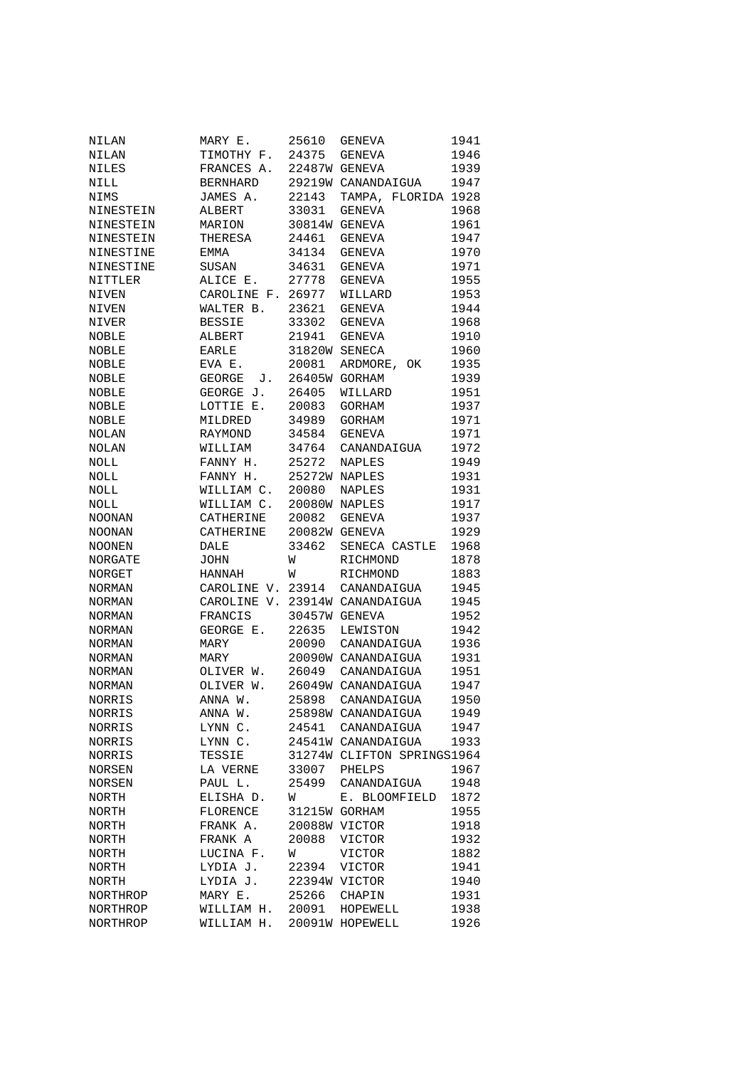| NILAN            | MARY E.                        | 25610         | GENEVA                     | 1941 |
|------------------|--------------------------------|---------------|----------------------------|------|
| $\texttt{NILAN}$ | TIMOTHY F.                     | 24375         | GENEVA                     | 1946 |
| NILES            | FRANCES A.                     | 22487W GENEVA |                            | 1939 |
| NILL             | <b>BERNHARD</b>                |               | 29219W CANANDAIGUA         | 1947 |
| NIMS             | JAMES A.                       | 22143         | TAMPA, FLORIDA 1928        |      |
| NINESTEIN        | ALBERT                         | 33031         | GENEVA                     | 1968 |
| NINESTEIN        | MARION                         | 30814W GENEVA |                            | 1961 |
| NINESTEIN        | THERESA                        | 24461         | GENEVA                     | 1947 |
| NINESTINE        | <b>EMMA</b>                    | 34134         | GENEVA                     | 1970 |
| NINESTINE        | SUSAN                          | 34631         | GENEVA                     | 1971 |
| NITTLER          | ALICE E.                       | 27778 GENEVA  |                            | 1955 |
| NIVEN            | CAROLINE F.                    |               | 26977 WILLARD              | 1953 |
| <b>NIVEN</b>     | WALTER B.                      | 23621         | GENEVA                     | 1944 |
| <b>NIVER</b>     | <b>BESSIE</b>                  | 33302         | <b>GENEVA</b>              | 1968 |
| NOBLE            | ALBERT                         | 21941         | GENEVA                     | 1910 |
| <b>NOBLE</b>     | EARLE                          | 31820W SENECA |                            | 1960 |
| NOBLE            | EVA E.                         | 20081         | ARDMORE,<br>OK             | 1935 |
| <b>NOBLE</b>     | GEORGE<br>J.                   | 26405W GORHAM |                            | 1939 |
| <b>NOBLE</b>     | GEORGE J.                      | 26405         | WILLARD                    | 1951 |
| <b>NOBLE</b>     | LOTTIE E.                      | 20083         | GORHAM                     | 1937 |
| NOBLE            | MILDRED                        | 34989         | GORHAM                     | 1971 |
| NOLAN            | RAYMOND                        | 34584         | GENEVA                     | 1971 |
| NOLAN            | WILLIAM                        |               | 34764 CANANDAIGUA          | 1972 |
| $\textsc{NOLL}$  | FANNY H.                       | 25272         | <b>NAPLES</b>              | 1949 |
| NOLL             | FANNY H.                       | 25272W NAPLES |                            | 1931 |
| <b>NOLL</b>      | WILLIAM C.                     | 20080         | NAPLES                     | 1931 |
| $\texttt{NULL}$  | WILLIAM C.                     | 20080W NAPLES |                            | 1917 |
| <b>NOONAN</b>    | CATHERINE                      | 20082         | GENEVA                     | 1937 |
| $\rm NOONAN$     | CATHERINE                      | 20082W GENEVA |                            | 1929 |
| <b>NOONEN</b>    | DALE                           | 33462         | SENECA CASTLE              | 1968 |
| NORGATE          | <b>JOHN</b>                    | M             | RICHMOND                   | 1878 |
| NORGET           | HANNAH                         | <b>W</b>      | RICHMOND                   | 1883 |
| <b>NORMAN</b>    | CAROLINE V. 23914 CANANDAIGUA  |               |                            | 1945 |
| <b>NORMAN</b>    | CAROLINE V. 23914W CANANDAIGUA |               |                            | 1945 |
| <b>NORMAN</b>    | FRANCIS                        | 30457W GENEVA |                            | 1952 |
| <b>NORMAN</b>    | GEORGE E.                      | 22635         | LEWISTON                   | 1942 |
| <b>NORMAN</b>    | MARY                           | 20090         | CANANDAIGUA                | 1936 |
| <b>NORMAN</b>    | MARY                           |               | 20090W CANANDAIGUA         | 1931 |
| <b>NORMAN</b>    | OLIVER W.                      | 26049         | CANANDAIGUA                | 1951 |
| <b>NORMAN</b>    | OLIVER W.                      |               | 26049W CANANDAIGUA         | 1947 |
| NORRIS           | ANNA W.                        |               | 25898 CANANDAIGUA          | 1950 |
| NORRIS           | ANNA W.                        |               | 25898W CANANDAIGUA         | 1949 |
| NORRIS           | LYNN C.                        |               | 24541 CANANDAIGUA          | 1947 |
| NORRIS           | LYNN C.                        |               | 24541W CANANDAIGUA         | 1933 |
| NORRIS           | TESSIE                         |               | 31274W CLIFTON SPRINGS1964 |      |
| NORSEN           | LA VERNE                       | 33007 PHELPS  |                            | 1967 |
| NORSEN           | PAUL L.                        |               | 25499 CANANDAIGUA          | 1948 |
| NORTH            | ELISHA D.                      | <b>W</b>      | E. BLOOMFIELD              | 1872 |
| NORTH            | FLORENCE                       | 31215W GORHAM |                            | 1955 |
| NORTH            | FRANK A.                       |               | 20088W VICTOR              | 1918 |
| NORTH            | FRANK A                        | 20088         | VICTOR                     | 1932 |
| NORTH            | LUCINA F.                      | W             | VICTOR                     | 1882 |
| NORTH            | LYDIA J.                       | 22394         | VICTOR                     | 1941 |
| NORTH            | LYDIA J.                       |               | 22394W VICTOR              | 1940 |
| NORTHROP         | MARY E.                        | 25266         | CHAPIN                     | 1931 |
| NORTHROP         | WILLIAM H.                     | 20091         | HOPEWELL                   | 1938 |
| NORTHROP         | WILLIAM H.                     |               | 20091W HOPEWELL            | 1926 |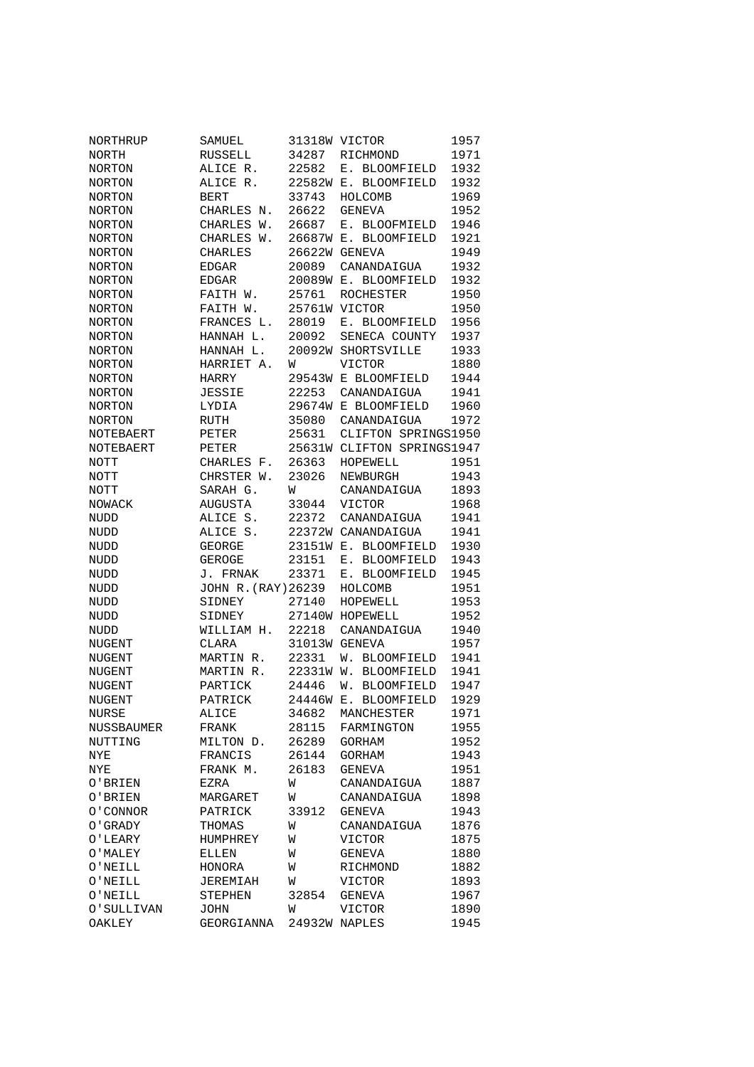| NORTHRUP      | SAMUEL                              |               | 31318W VICTOR              | 1957 |
|---------------|-------------------------------------|---------------|----------------------------|------|
| NORTH         | RUSSELL                             | 34287         | RICHMOND                   | 1971 |
| <b>NORTON</b> | ALICE R.                            | 22582         | E. BLOOMFIELD              | 1932 |
| <b>NORTON</b> | ALICE R.                            | 22582W        | E. BLOOMFIELD              | 1932 |
| <b>NORTON</b> | <b>BERT</b>                         | 33743         | HOLCOMB                    | 1969 |
| <b>NORTON</b> | CHARLES N.                          | 26622         | <b>GENEVA</b>              | 1952 |
| <b>NORTON</b> | CHARLES W.                          | 26687         | E. BLOOFMIELD              | 1946 |
| <b>NORTON</b> | CHARLES W.                          |               | 26687W E. BLOOMFIELD       | 1921 |
| <b>NORTON</b> | <b>CHARLES</b>                      |               | 26622W GENEVA              | 1949 |
| <b>NORTON</b> | EDGAR                               | 20089         | CANANDAIGUA                | 1932 |
| <b>NORTON</b> | EDGAR                               | 20089W        | E. BLOOMFIELD              | 1932 |
| <b>NORTON</b> | FAITH W.                            | 25761         | ROCHESTER                  | 1950 |
| <b>NORTON</b> | FAITH W.                            | 25761W VICTOR |                            | 1950 |
| <b>NORTON</b> | FRANCES L.                          | 28019         | E. BLOOMFIELD              | 1956 |
| <b>NORTON</b> | HANNAH L.                           | 20092         | SENECA COUNTY 1937         |      |
| <b>NORTON</b> | HANNAH L.                           |               | 20092W SHORTSVILLE         | 1933 |
| <b>NORTON</b> | HARRIET A.                          | <b>W</b>      | VICTOR                     | 1880 |
| <b>NORTON</b> | HARRY                               |               | 29543W E BLOOMFIELD        | 1944 |
| <b>NORTON</b> | JESSIE                              | 22253         | CANANDAIGUA                | 1941 |
| <b>NORTON</b> | LYDIA                               |               | 29674W E BLOOMFIELD        | 1960 |
| <b>NORTON</b> | <b>RUTH</b>                         | 35080         | CANANDAIGUA                | 1972 |
| NOTEBAERT     | PETER                               | 25631         | CLIFTON SPRINGS1950        |      |
| NOTEBAERT     | PETER                               |               | 25631W CLIFTON SPRINGS1947 |      |
| <b>NOTT</b>   | CHARLES F.                          | 26363         | HOPEWELL                   | 1951 |
| <b>NOTT</b>   | CHRSTER W.                          | 23026         | NEWBURGH                   | 1943 |
| <b>NOTT</b>   | SARAH G.                            | W             | CANANDAIGUA                | 1893 |
| NOWACK        | AUGUSTA                             | 33044         | VICTOR                     | 1968 |
| <b>NUDD</b>   | ALICE S.                            | 22372         | CANANDAIGUA                | 1941 |
| <b>NUDD</b>   | ALICE S.                            |               | 22372W CANANDAIGUA         | 1941 |
| <b>NUDD</b>   | <b>GEORGE</b>                       | 23151W        | E. BLOOMFIELD              | 1930 |
| <b>NUDD</b>   | GEROGE                              | 23151         | E. BLOOMFIELD              | 1943 |
| <b>NUDD</b>   | J. FRNAK 23371<br>JOHN R.(RAY)26239 |               | $E$ .<br><b>BLOOMFIELD</b> | 1945 |
| <b>NUDD</b>   |                                     |               | HOLCOMB                    | 1951 |
| <b>NUDD</b>   | SIDNEY                              | 27140         | HOPEWELL                   | 1953 |
| <b>NUDD</b>   | SIDNEY                              |               | 27140W HOPEWELL            | 1952 |
| NUDD          | WILLIAM H.                          | 22218         | CANANDAIGUA                | 1940 |
| NUGENT        | CLARA                               | 31013W GENEVA |                            | 1957 |
| <b>NUGENT</b> | MARTIN R.                           | 22331         | W. BLOOMFIELD              | 1941 |
| <b>NUGENT</b> | MARTIN R.                           |               | 22331W W. BLOOMFIELD       | 1941 |
| <b>NUGENT</b> | PARTICK                             | 24446         | W. BLOOMFIELD              | 1947 |
| NUGENT        | PATRICK                             |               | 24446W E. BLOOMFIELD 1929  |      |
| NURSE         | ALICE                               | 34682         | MANCHESTER                 | 1971 |
| NUSSBAUMER    | FRANK                               | 28115         | FARMINGTON                 | 1955 |
| NUTTING       | MILTON D.                           | 26289         | GORHAM                     | 1952 |
| NYE           | FRANCIS                             | 26144         | <b>GORHAM</b>              | 1943 |
| <b>NYE</b>    | FRANK M.                            | 26183         | GENEVA                     | 1951 |
| O'BRIEN       | $_{\tt EXRA}$                       | W             | CANANDAIGUA                | 1887 |
| O'BRIEN       | MARGARET                            | W             | CANANDAIGUA                | 1898 |
| O'CONNOR      | PATRICK                             | 33912         | GENEVA                     | 1943 |
| O'GRADY       | THOMAS                              | W             | CANANDAIGUA                | 1876 |
| O'LEARY       | HUMPHREY                            | W             | VICTOR                     | 1875 |
| O'MALEY       | ELLEN                               | W             | GENEVA                     | 1880 |
| O'NEILL       | HONORA                              | W             | RICHMOND                   | 1882 |
| O'NEILL       | JEREMIAH                            | W             | <b>VICTOR</b>              | 1893 |
| O'NEILL       | STEPHEN                             | 32854         | GENEVA                     | 1967 |
| O'SULLIVAN    | JOHN                                | W             | VICTOR                     | 1890 |
| OAKLEY        | GEORGIANNA                          | 24932W NAPLES |                            | 1945 |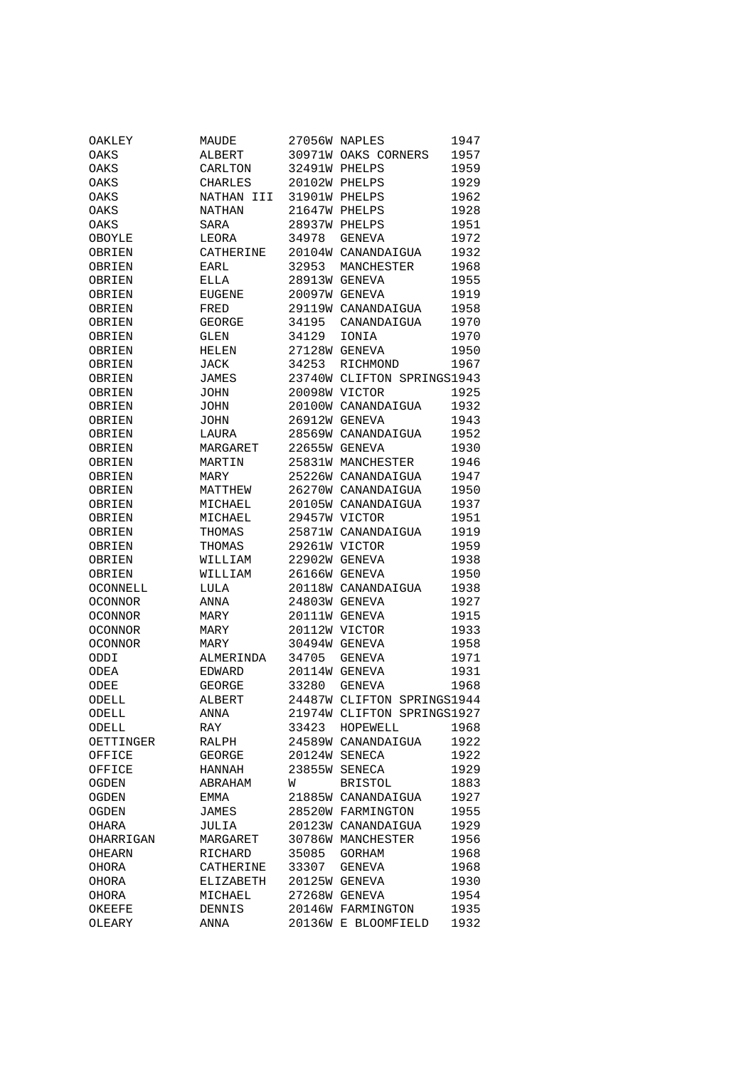| OAKLEY          | MAUDE             | 27056W NAPLES |                                         | 1947         |
|-----------------|-------------------|---------------|-----------------------------------------|--------------|
| OAKS            | ALBERT            |               | 30971W OAKS CORNERS                     | 1957         |
| OAKS            | CARLTON           | 32491W PHELPS |                                         | 1959         |
| OAKS            | CHARLES           | 20102W PHELPS |                                         | 1929         |
| OAKS            | NATHAN III        | 31901W PHELPS |                                         | 1962         |
| OAKS            | NATHAN            | 21647W PHELPS |                                         | 1928         |
| OAKS            | SARA              | 28937W PHELPS |                                         | 1951         |
| OBOYLE          | LEORA             | 34978         | <b>GENEVA</b>                           | 1972         |
| OBRIEN          | CATHERINE         |               | 20104W CANANDAIGUA                      | 1932         |
| OBRIEN          | EARL              | 32953         | MANCHESTER                              | 1968         |
| OBRIEN          | ELLA              |               | 28913W GENEVA                           | 1955         |
| OBRIEN          | <b>EUGENE</b>     | 20097W GENEVA |                                         | 1919         |
| OBRIEN          | FRED              |               | 29119W CANANDAIGUA                      | 1958         |
| OBRIEN          | GEORGE            | 34195         | CANANDAIGUA                             | 1970         |
| OBRIEN          | GLEN              | 34129         | IONIA                                   | 1970         |
| OBRIEN          | HELEN             | 27128W GENEVA |                                         | 1950         |
| OBRIEN          | <b>JACK</b>       | 34253         | RICHMOND                                | 1967         |
| OBRIEN          | JAMES             |               | 23740W CLIFTON SPRINGS1943              |              |
| OBRIEN          | JOHN              |               | 20098W VICTOR                           | 1925         |
| OBRIEN          | <b>JOHN</b>       |               | 20100W CANANDAIGUA                      | 1932         |
| OBRIEN          | JOHN              |               | 26912W GENEVA                           | 1943         |
| OBRIEN          | LAURA             |               | 28569W CANANDAIGUA                      | 1952         |
| OBRIEN          | MARGARET          |               | 22655W GENEVA                           | 1930         |
| OBRIEN          | MARTIN            |               | 25831W MANCHESTER                       | 1946         |
| OBRIEN          | MARY              |               | 25226W CANANDAIGUA                      | 1947         |
| OBRIEN          | MATTHEW           |               | 26270W CANANDAIGUA                      | 1950         |
| OBRIEN          | MICHAEL           |               | 20105W CANANDAIGUA                      | 1937         |
| OBRIEN          | MICHAEL           |               | 29457W VICTOR                           | 1951         |
| OBRIEN          | THOMAS            |               | 25871W CANANDAIGUA                      | 1919         |
| OBRIEN          | THOMAS            | 29261W VICTOR |                                         | 1959         |
| OBRIEN          | WILLIAM           | 22902W GENEVA |                                         | 1938         |
| OBRIEN          | WILLIAM           |               | 26166W GENEVA                           | 1950         |
| OCONNELL        | LULA              |               | 20118W CANANDAIGUA                      | 1938         |
| OCONNOR         | ANNA              | 24803W GENEVA |                                         | 1927         |
| <b>OCONNOR</b>  | MARY              |               | 20111W GENEVA                           | 1915         |
| <b>OCONNOR</b>  | MARY              |               | 20112W VICTOR                           | 1933         |
| <b>OCONNOR</b>  | MARY              | 30494W GENEVA |                                         | 1958         |
| ODDI            | ALMERINDA         | 34705         | GENEVA                                  | 1971         |
| ODEA            | EDWARD            |               | 20114W GENEVA                           | 1931         |
| ODEE            | GEORGE            | 33280         | <b>GENEVA</b>                           | 1968         |
| ODELL           | ALBERT            |               | 24487W CLIFTON SPRINGS1944              |              |
| ODELL           | ANNA              |               | 21974W CLIFTON SPRINGS1927              |              |
| ODELL           | RAY               | 33423         | HOPEWELL                                | 1968         |
| OETTINGER       | RALPH             |               | 24589W CANANDAIGUA                      | 1922         |
| OFFICE          | GEORGE            |               | 20124W SENECA                           | 1922         |
| OFFICE          | HANNAH            |               | 23855W SENECA                           | 1929         |
| OGDEN           | ABRAHAM           | W             | <b>BRISTOL</b>                          | 1883         |
| OGDEN           | EMMA              |               | 21885W CANANDAIGUA<br>28520W FARMINGTON | 1927         |
| OGDEN           | JAMES             |               |                                         | 1955         |
| OHARA           | JULIA             |               | 20123W CANANDAIGUA                      | 1929         |
| OHARRIGAN       | MARGARET          |               | 30786W MANCHESTER                       | 1956         |
| OHEARN          | RICHARD           | 35085         | GORHAM                                  | 1968         |
| OHORA           | CATHERINE         | 33307         | GENEVA                                  | 1968         |
| OHORA           | ELIZABETH         |               | 20125W GENEVA<br>27268W GENEVA          | 1930<br>1954 |
| OHORA<br>OKEEFE | MICHAEL<br>DENNIS |               | 20146W FARMINGTON                       | 1935         |
| OLEARY          | ANNA              |               | 20136W E BLOOMFIELD                     | 1932         |
|                 |                   |               |                                         |              |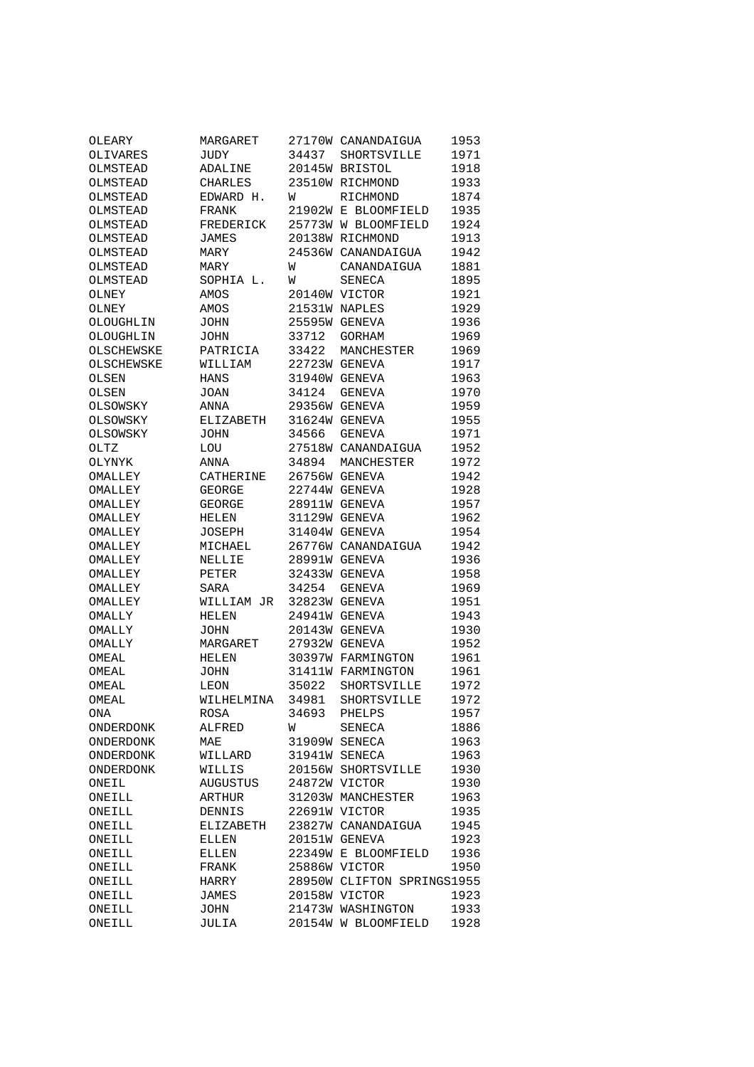| OLEARY                 | MARGARET       |               | 27170W CANANDAIGUA         | 1953         |
|------------------------|----------------|---------------|----------------------------|--------------|
| OLIVARES               | JUDY           | 34437         | SHORTSVILLE                | 1971         |
| OLMSTEAD               | <b>ADALINE</b> |               | 20145W BRISTOL             | 1918         |
| OLMSTEAD               | CHARLES        |               | 23510W RICHMOND            | 1933         |
| OLMSTEAD               | EDWARD H.      | M             | RICHMOND                   | 1874         |
| OLMSTEAD               | FRANK          | 21902W        | E BLOOMFIELD               | 1935         |
| OLMSTEAD               | FREDERICK      |               | 25773W W BLOOMFIELD        | 1924         |
| OLMSTEAD               | <b>JAMES</b>   |               | 20138W RICHMOND            | 1913         |
| OLMSTEAD               | MARY           |               | 24536W CANANDAIGUA         | 1942         |
| OLMSTEAD               | MARY           | W             | CANANDAIGUA                | 1881         |
| OLMSTEAD               | SOPHIA L.      | M             | SENECA                     | 1895         |
| OLNEY                  | AMOS           | 20140W VICTOR |                            | 1921         |
| OLNEY                  | AMOS           | 21531W NAPLES |                            | 1929         |
| OLOUGHLIN              | JOHN           |               | 25595W GENEVA              | 1936         |
| OLOUGHLIN              | <b>JOHN</b>    | 33712         | GORHAM                     | 1969         |
| OLSCHEWSKE             | PATRICIA       | 33422         | MANCHESTER                 | 1969         |
| OLSCHEWSKE             | WILLIAM        | 22723W GENEVA |                            | 1917         |
| OLSEN                  | <b>HANS</b>    | 31940W GENEVA |                            | 1963         |
| OLSEN                  | <b>JOAN</b>    | 34124         | <b>GENEVA</b>              | 1970         |
| OLSOWSKY               | <b>ANNA</b>    |               | 29356W GENEVA              | 1959         |
| OLSOWSKY               | ELIZABETH      | 31624W GENEVA |                            | 1955         |
| OLSOWSKY               | <b>JOHN</b>    | 34566         | <b>GENEVA</b>              | 1971         |
| OLTZ                   | LOU            |               | 27518W CANANDAIGUA         | 1952         |
| OLYNYK                 | ANNA           | 34894         | MANCHESTER                 | 1972         |
| OMALLEY                | CATHERINE      | 26756W GENEVA |                            | 1942         |
| OMALLEY                | GEORGE         |               | 22744W GENEVA              | 1928         |
| OMALLEY                | <b>GEORGE</b>  |               | 28911W GENEVA              | 1957         |
| OMALLEY                | HELEN          | 31129W GENEVA |                            | 1962         |
| OMALLEY                | JOSEPH         | 31404W GENEVA |                            | 1954         |
| OMALLEY                | MICHAEL        |               | 26776W CANANDAIGUA         | 1942         |
| OMALLEY                | NELLIE         | 28991W GENEVA |                            | 1936         |
| OMALLEY                | PETER          |               | 32433W GENEVA              | 1958         |
| OMALLEY                | SARA           | 34254         | <b>GENEVA</b>              | 1969         |
| OMALLEY                | WILLIAM JR     | 32823W GENEVA |                            | 1951         |
| OMALLY                 | HELEN          | 24941W GENEVA |                            | 1943         |
| OMALLY                 | JOHN           | 20143W GENEVA |                            | 1930         |
| OMALLY                 | MARGARET       | 27932W GENEVA |                            | 1952         |
| OMEAL                  | <b>HELEN</b>   |               | 30397W FARMINGTON          | 1961         |
| OMEAL                  | <b>JOHN</b>    |               | 31411W FARMINGTON          | 1961         |
|                        |                | 35022         | SHORTSVILLE                | 1972         |
| OMEAL<br>OMEAL         | LEON           | 34981         | SHORTSVILLE                | 1972         |
|                        | WILHELMINA     |               |                            |              |
| ONA                    | ROSA<br>ALFRED | 34693<br>W    | PHELPS<br>SENECA           | 1957         |
| ONDERDONK<br>ONDERDONK |                |               | 31909W SENECA              | 1886         |
|                        | MAE            |               | 31941W SENECA              | 1963<br>1963 |
| ONDERDONK              | WILLARD        |               |                            |              |
| <b>ONDERDONK</b>       | WILLIS         |               | 20156W SHORTSVILLE         | 1930         |
| ONEIL                  | AUGUSTUS       |               | 24872W VICTOR              | 1930         |
| ONEILL<br>ONEILL       | ARTHUR         | 22691W VICTOR | 31203W MANCHESTER          | 1963         |
|                        | DENNIS         |               |                            | 1935         |
| ONEILL                 | ELIZABETH      |               | 23827W CANANDAIGUA         | 1945         |
| ONEILL                 | ELLEN          |               | 20151W GENEVA              | 1923         |
| ONEILL                 | ELLEN          |               | 22349W E BLOOMFIELD        | 1936         |
| ONEILL                 | FRANK          | 25886W VICTOR |                            | 1950         |
| ONEILL                 | HARRY          |               | 28950W CLIFTON SPRINGS1955 |              |
| ONEILL                 | JAMES          | 20158W VICTOR |                            | 1923         |
| ONEILL                 | JOHN           |               | 21473W WASHINGTON          | 1933         |
| ONEILL                 | JULIA          |               | 20154W W BLOOMFIELD        | 1928         |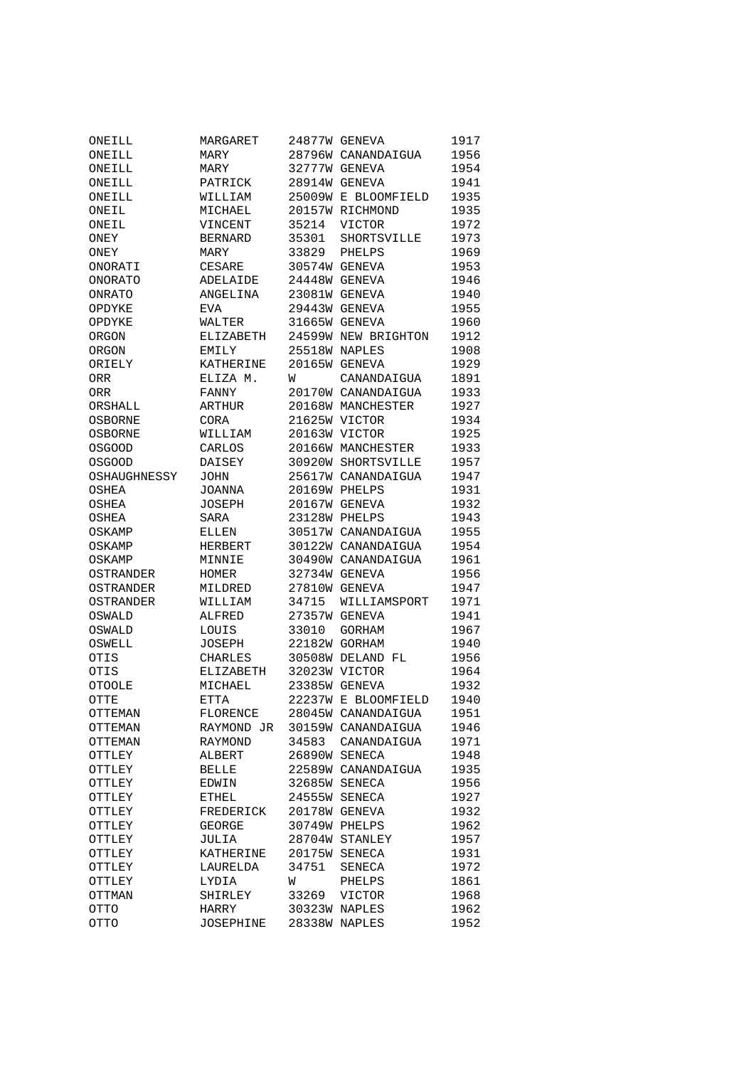| ONEILL         | MARGARET         |       | 24877W GENEVA       | 1917 |
|----------------|------------------|-------|---------------------|------|
| ONEILL         | MARY             |       | 28796W CANANDAIGUA  | 1956 |
| ONEILL         | MARY             |       | 32777W GENEVA       | 1954 |
| ONEILL         | PATRICK          |       | 28914W GENEVA       | 1941 |
| ONEILL         | WILLIAM          |       | 25009W E BLOOMFIELD | 1935 |
| ONEIL          | MICHAEL          |       | 20157W RICHMOND     | 1935 |
| ONEIL          | VINCENT          | 35214 | <b>VICTOR</b>       | 1972 |
| ONEY           | <b>BERNARD</b>   | 35301 | SHORTSVILLE         | 1973 |
| ONEY           | MARY             | 33829 | PHELPS              | 1969 |
| ONORATI        | CESARE           |       | 30574W GENEVA       | 1953 |
| ONORATO        | ADELAIDE         |       | 24448W GENEVA       | 1946 |
| ONRATO         | ANGELINA         |       | 23081W GENEVA       | 1940 |
| OPDYKE         | <b>EVA</b>       |       | 29443W GENEVA       | 1955 |
| OPDYKE         | WALTER           |       | 31665W GENEVA       | 1960 |
| ORGON          | ELIZABETH        |       | 24599W NEW BRIGHTON | 1912 |
| ORGON          | EMILY            |       | 25518W NAPLES       | 1908 |
| ORIELY         | KATHERINE        |       | 20165W GENEVA       | 1929 |
| ORR            | ELIZA M.         | W     | CANANDAIGUA         | 1891 |
| ORR            | FANNY            |       | 20170W CANANDAIGUA  | 1933 |
| ORSHALL        | ARTHUR           |       | 20168W MANCHESTER   | 1927 |
| <b>OSBORNE</b> | CORA             |       | 21625W VICTOR       | 1934 |
| <b>OSBORNE</b> | WILLIAM          |       | 20163W VICTOR       | 1925 |
| <b>OSGOOD</b>  | CARLOS           |       | 20166W MANCHESTER   | 1933 |
| <b>OSGOOD</b>  | DAISEY           |       | 30920W SHORTSVILLE  | 1957 |
| OSHAUGHNESSY   | JOHN             |       | 25617W CANANDAIGUA  | 1947 |
| OSHEA          | <b>JOANNA</b>    |       | 20169W PHELPS       | 1931 |
| OSHEA          | JOSEPH           |       | 20167W GENEVA       | 1932 |
| OSHEA          | SARA             |       | 23128W PHELPS       | 1943 |
| OSKAMP         | ELLEN            |       | 30517W CANANDAIGUA  | 1955 |
| OSKAMP         | HERBERT          |       | 30122W CANANDAIGUA  | 1954 |
| OSKAMP         | MINNIE           |       | 30490W CANANDAIGUA  | 1961 |
| OSTRANDER      | HOMER            |       | 32734W GENEVA       | 1956 |
| OSTRANDER      | MILDRED          |       | 27810W GENEVA       | 1947 |
| OSTRANDER      | WILLIAM          | 34715 | WILLIAMSPORT        | 1971 |
| OSWALD         | ALFRED           |       | 27357W GENEVA       | 1941 |
| OSWALD         | LOUIS            | 33010 | GORHAM              | 1967 |
| OSWELL         | JOSEPH           |       | 22182W GORHAM       | 1940 |
| OTIS           | <b>CHARLES</b>   |       | 30508W DELAND FL    | 1956 |
| OTIS           | <b>ELIZABETH</b> |       | 32023W VICTOR       | 1964 |
| <b>OTOOLE</b>  | MICHAEL          |       | 23385W GENEVA       | 1932 |
| OTTE           | ETTA             |       | 22237W E BLOOMFIELD | 1940 |
| OTTEMAN        | FLORENCE         |       | 28045W CANANDAIGUA  | 1951 |
| OTTEMAN        | RAYMOND JR       |       | 30159W CANANDAIGUA  | 1946 |
| OTTEMAN        | RAYMOND          | 34583 | CANANDAIGUA         | 1971 |
| OTTLEY         | ALBERT           |       | 26890W SENECA       | 1948 |
| OTTLEY         | BELLE            |       | 22589W CANANDAIGUA  | 1935 |
| OTTLEY         | EDWIN            |       | 32685W SENECA       | 1956 |
| OTTLEY         | ETHEL            |       | 24555W SENECA       | 1927 |
| OTTLEY         | FREDERICK        |       | 20178W GENEVA       | 1932 |
| OTTLEY         | GEORGE           |       | 30749W PHELPS       | 1962 |
| OTTLEY         | JULIA            |       | 28704W STANLEY      | 1957 |
| OTTLEY         | KATHERINE        |       | 20175W SENECA       | 1931 |
| OTTLEY         | LAURELDA         | 34751 | SENECA              | 1972 |
| OTTLEY         | LYDIA            | W     | PHELPS              | 1861 |
| OTTMAN         | SHIRLEY          | 33269 | <b>VICTOR</b>       | 1968 |
| OTTO           | HARRY            |       | 30323W NAPLES       | 1962 |
| OTTO           | JOSEPHINE        |       | 28338W NAPLES       | 1952 |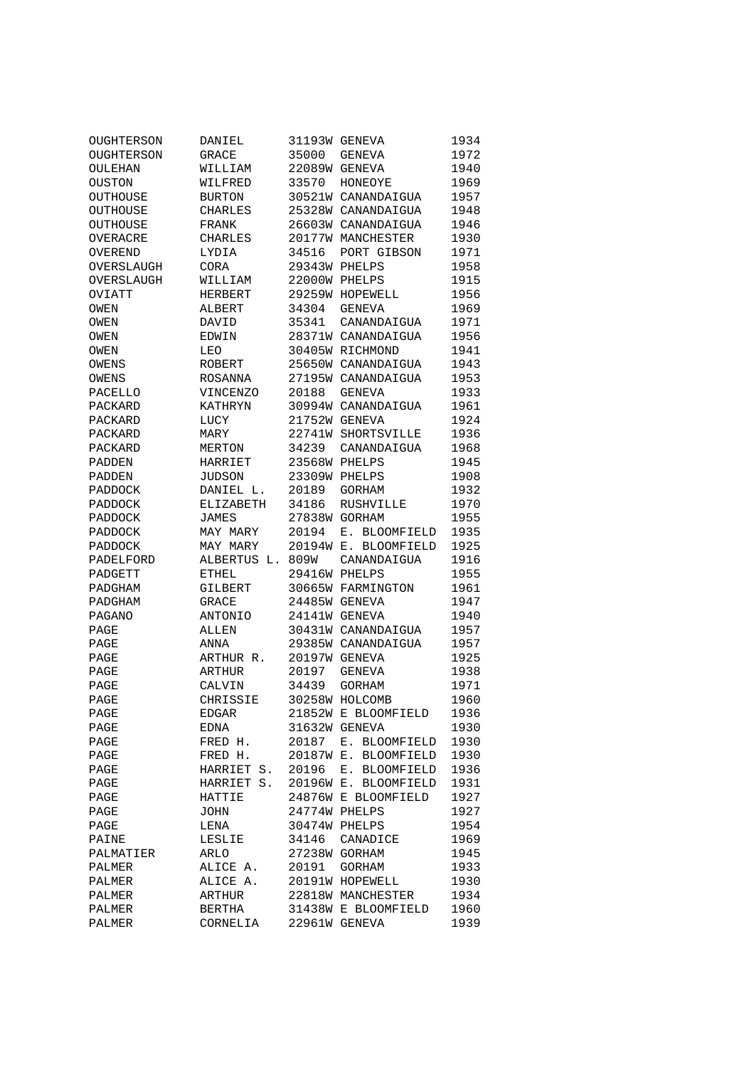| OUGHTERSON     | DANIEL         |               | 31193W GENEVA                    | 1934 |
|----------------|----------------|---------------|----------------------------------|------|
| OUGHTERSON     | GRACE          | 35000         | <b>GENEVA</b>                    | 1972 |
| OULEHAN        | WILLIAM        | 22089W        | <b>GENEVA</b>                    | 1940 |
| OUSTON         | WILFRED        | 33570         | HONEOYE                          | 1969 |
| OUTHOUSE       | <b>BURTON</b>  | 30521W        | CANANDAIGUA                      | 1957 |
| OUTHOUSE       | <b>CHARLES</b> | 25328W        | CANANDAIGUA                      | 1948 |
| OUTHOUSE       | <b>FRANK</b>   |               | 26603W CANANDAIGUA               | 1946 |
| OVERACRE       | <b>CHARLES</b> |               | 20177W MANCHESTER                | 1930 |
| <b>OVEREND</b> | LYDIA          | 34516         | PORT GIBSON                      | 1971 |
| OVERSLAUGH     | CORA           | 29343W        | PHELPS                           | 1958 |
| OVERSLAUGH     | WILLIAM        | 22000W PHELPS |                                  | 1915 |
| OVIATT         | HERBERT        | 29259W        | HOPEWELL                         | 1956 |
| OWEN           | ALBERT         | 34304         | <b>GENEVA</b>                    | 1969 |
| OWEN           | DAVID          | 35341         | CANANDAIGUA                      | 1971 |
| OWEN           | EDWIN          |               | 28371W CANANDAIGUA               | 1956 |
| OWEN           | LEO            | 30405W        | RICHMOND                         | 1941 |
| OWENS          | ROBERT         |               | 25650W CANANDAIGUA               | 1943 |
| OWENS          | ROSANNA        | 27195W        | CANANDAIGUA                      | 1953 |
| <b>PACELLO</b> | VINCENZO       | 20188         | <b>GENEVA</b>                    | 1933 |
| PACKARD        | KATHRYN        |               | 30994W CANANDAIGUA               | 1961 |
| PACKARD        | LUCY           | 21752W GENEVA |                                  | 1924 |
| PACKARD        | <b>MARY</b>    | 22741W        | SHORTSVILLE                      | 1936 |
| PACKARD        | MERTON         | 34239         | CANANDAIGUA                      | 1968 |
| PADDEN         | <b>HARRIET</b> | 23568W        | PHELPS                           | 1945 |
| PADDEN         | <b>JUDSON</b>  | 23309W        | PHELPS                           | 1908 |
| <b>PADDOCK</b> | DANIEL L.      | 20189         | GORHAM                           | 1932 |
| <b>PADDOCK</b> | ELIZABETH      | 34186         | <b>RUSHVILLE</b>                 | 1970 |
| <b>PADDOCK</b> | JAMES          | 27838W        | GORHAM                           | 1955 |
| PADDOCK        | MAY MARY       | 20194         | E. BLOOMFIELD                    | 1935 |
| <b>PADDOCK</b> | MAY MARY       | 20194W        | $E_{\perp}$<br><b>BLOOMFIELD</b> | 1925 |
| PADELFORD      | ALBERTUS L.    | 809W          | CANANDAIGUA                      | 1916 |
| PADGETT        | ETHEL          |               | 29416W PHELPS                    | 1955 |
| PADGHAM        | GILBERT        |               | 30665W FARMINGTON                | 1961 |
| PADGHAM        | GRACE          | 24485W        | GENEVA                           | 1947 |
| PAGANO         | <b>ANTONIO</b> | 24141W        | <b>GENEVA</b>                    | 1940 |
| PAGE           | ALLEN          |               | 30431W CANANDAIGUA               | 1957 |
| PAGE           | ANNA           |               | 29385W CANANDAIGUA               | 1957 |
| PAGE           | ARTHUR R.      | 20197W        | <b>GENEVA</b>                    | 1925 |
| PAGE           | ARTHUR         | 20197         | <b>GENEVA</b>                    | 1938 |
| PAGE           | CALVIN         | 34439         | GORHAM                           | 1971 |
| PAGE           | CHRISSIE       |               | 30258W HOLCOMB                   | 1960 |
| PAGE           | EDGAR          |               | 21852W E BLOOMFIELD              | 1936 |
| PAGE           | EDNA           | 31632W GENEVA |                                  | 1930 |
| PAGE           | FRED H.        | 20187         | E. BLOOMFIELD                    | 1930 |
| PAGE           | FRED H.        |               | 20187W E. BLOOMFIELD             | 1930 |
| PAGE           | HARRIET S.     | 20196         | E. BLOOMFIELD                    | 1936 |
| PAGE           | HARRIET S.     |               | 20196W E. BLOOMFIELD             | 1931 |
| PAGE           | HATTIE         |               | 24876W E BLOOMFIELD              | 1927 |
| PAGE           | JOHN           | 24774W PHELPS |                                  | 1927 |
| PAGE           | LENA           |               | 30474W PHELPS                    | 1954 |
| PAINE          | LESLIE         |               | 34146 CANADICE                   | 1969 |
| PALMATIER      | ARLO           |               | 27238W GORHAM                    | 1945 |
| PALMER         | ALICE A.       | 20191         | GORHAM                           | 1933 |
| PALMER         | ALICE A.       |               | 20191W HOPEWELL                  | 1930 |
| PALMER         | ARTHUR         |               | 22818W MANCHESTER                | 1934 |
| PALMER         | BERTHA         |               | 31438W E BLOOMFIELD              | 1960 |
| PALMER         | CORNELIA       |               | 22961W GENEVA                    | 1939 |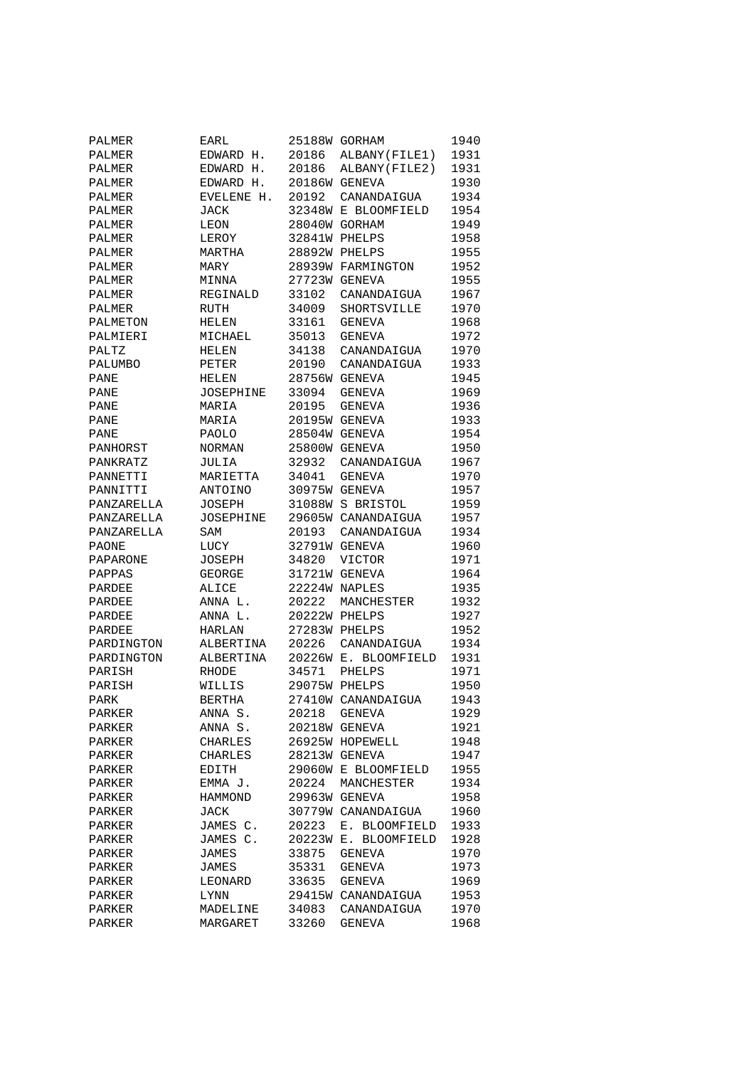| PALMER        | <b>EARL</b>    | 25188W        | <b>GORHAM</b>        | 1940 |
|---------------|----------------|---------------|----------------------|------|
| PALMER        | EDWARD H.      | 20186         | ALBANY (FILE1)       | 1931 |
| PALMER        | EDWARD H.      | 20186         | ALBANY (FILE2)       | 1931 |
| PALMER        | EDWARD H.      | 20186W        | <b>GENEVA</b>        | 1930 |
| PALMER        | EVELENE H.     | 20192         | CANANDAIGUA          | 1934 |
| PALMER        | JACK           | 32348W        | E BLOOMFIELD         | 1954 |
| <b>PALMER</b> | LEON           | 28040W        | GORHAM               | 1949 |
| <b>PALMER</b> | LEROY          | 32841W        | PHELPS               | 1958 |
| PALMER        | MARTHA         | 28892W        | PHELPS               | 1955 |
| PALMER        | MARY           | 28939W        | FARMINGTON           | 1952 |
| PALMER        | MINNA          | 27723W        | <b>GENEVA</b>        | 1955 |
| PALMER        | REGINALD       | 33102         | CANANDAIGUA          | 1967 |
| PALMER        | <b>RUTH</b>    | 34009         | SHORTSVILLE          | 1970 |
| PALMETON      | HELEN          | 33161         | GENEVA               | 1968 |
| PALMIERI      | MICHAEL        | 35013         | <b>GENEVA</b>        | 1972 |
| PALTZ         | HELEN          | 34138         | CANANDAIGUA          | 1970 |
| PALUMBO       | PETER          | 20190         | CANANDAIGUA          | 1933 |
| PANE          | HELEN          | 28756W        | <b>GENEVA</b>        | 1945 |
| PANE          | JOSEPHINE      | 33094         | <b>GENEVA</b>        | 1969 |
| PANE          | MARIA          | 20195         | <b>GENEVA</b>        | 1936 |
| <b>PANE</b>   | MARIA          | 20195W GENEVA |                      | 1933 |
| PANE          | PAOLO          | 28504W        | <b>GENEVA</b>        | 1954 |
| PANHORST      | <b>NORMAN</b>  | 25800W        | <b>GENEVA</b>        | 1950 |
| PANKRATZ      | JULIA          | 32932         | CANANDAIGUA          | 1967 |
| PANNETTI      | MARIETTA       | 34041         | <b>GENEVA</b>        | 1970 |
| PANNITTI      | ANTOINO        | 30975W GENEVA |                      | 1957 |
| PANZARELLA    | JOSEPH         | 31088W        | S BRISTOL            | 1959 |
| PANZARELLA    | JOSEPHINE      |               | 29605W CANANDAIGUA   | 1957 |
| PANZARELLA    | SAM            | 20193         | CANANDAIGUA          | 1934 |
| PAONE         | LUCY           | 32791W        | <b>GENEVA</b>        | 1960 |
| PAPARONE      | JOSEPH         | 34820         | VICTOR               | 1971 |
| PAPPAS        | GEORGE         | 31721W GENEVA |                      | 1964 |
| PARDEE        | ALICE          | 22224W        | <b>NAPLES</b>        | 1935 |
| PARDEE        | ANNA L.        | 20222         | MANCHESTER           | 1932 |
| PARDEE        | ANNA L.        | 20222W        | PHELPS               | 1927 |
| PARDEE        | <b>HARLAN</b>  | 27283W        | PHELPS               | 1952 |
| PARDINGTON    | ALBERTINA      | 20226         | CANANDAIGUA          | 1934 |
| PARDINGTON    | ALBERTINA      | 20226W        | E. BLOOMFIELD        | 1931 |
| PARISH        | <b>RHODE</b>   | 34571         | PHELPS               | 1971 |
| PARISH        | WILLIS         | 29075W PHELPS |                      | 1950 |
| PARK          | BERTHA         |               | 27410W CANANDAIGUA   | 1943 |
| PARKER        | ANNA S.        | 20218         | GENEVA               | 1929 |
| PARKER        | ANNA S.        | 20218W GENEVA |                      | 1921 |
| PARKER        | <b>CHARLES</b> |               | 26925W HOPEWELL      | 1948 |
| PARKER        | <b>CHARLES</b> | 28213W GENEVA |                      | 1947 |
| PARKER        | EDITH          |               | 29060W E BLOOMFIELD  | 1955 |
| PARKER        | EMMA J.        | 20224         | MANCHESTER           | 1934 |
| PARKER        | HAMMOND        | 29963W GENEVA |                      | 1958 |
| PARKER        | JACK           |               | 30779W CANANDAIGUA   | 1960 |
| PARKER        | JAMES C.       | 20223         | E. BLOOMFIELD        | 1933 |
| PARKER        | JAMES C.       |               | 20223W E. BLOOMFIELD | 1928 |
| PARKER        | JAMES          | 33875         | GENEVA               | 1970 |
| PARKER        | JAMES          | 35331         | GENEVA               | 1973 |
| PARKER        | LEONARD        | 33635         | GENEVA               | 1969 |
| PARKER        | LYNN           |               | 29415W CANANDAIGUA   | 1953 |
| PARKER        | MADELINE       | 34083         | CANANDAIGUA          | 1970 |
| PARKER        | MARGARET       | 33260         | <b>GENEVA</b>        | 1968 |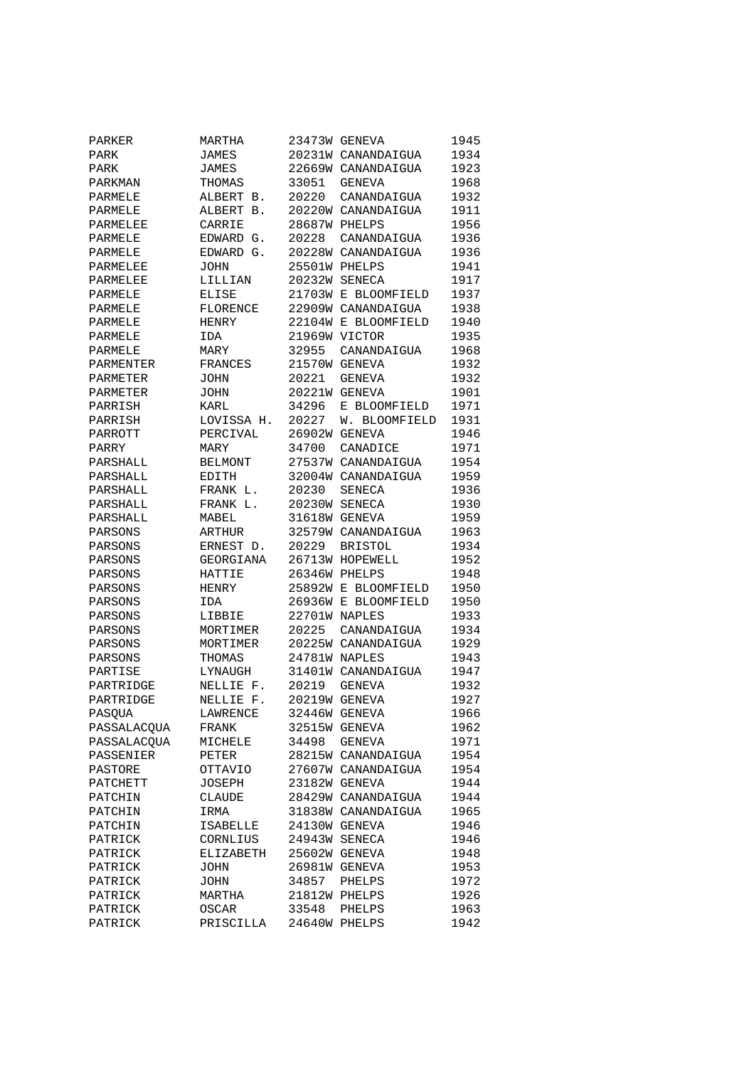| PARKER         | MARTHA         |        | 23473W GENEVA           | 1945 |
|----------------|----------------|--------|-------------------------|------|
| PARK           | JAMES          |        | 20231W CANANDAIGUA      | 1934 |
| <b>PARK</b>    | <b>JAMES</b>   |        | 22669W CANANDAIGUA      | 1923 |
| PARKMAN        | THOMAS         | 33051  | GENEVA                  | 1968 |
| PARMELE        | ALBERT B.      | 20220  | CANANDAIGUA             | 1932 |
| <b>PARMELE</b> | ALBERT<br>В.   | 20220W | CANANDAIGUA             | 1911 |
| PARMELEE       | CARRIE         | 28687W | PHELPS                  | 1956 |
| PARMELE        | EDWARD G.      | 20228  | CANANDAIGUA             | 1936 |
| PARMELE        | EDWARD G.      | 20228W | CANANDAIGUA             | 1936 |
| PARMELEE       | <b>JOHN</b>    | 25501W | PHELPS                  | 1941 |
| PARMELEE       | LILLIAN        | 20232W | SENECA                  | 1917 |
| PARMELE        | ELISE          | 21703W | E BLOOMFIELD            | 1937 |
| PARMELE        | FLORENCE       | 22909W | CANANDAIGUA             | 1938 |
| PARMELE        | HENRY          | 22104W | E BLOOMFIELD            | 1940 |
| PARMELE        | IDA            |        | 21969W VICTOR           | 1935 |
| PARMELE        | MARY           | 32955  | CANANDAIGUA             | 1968 |
| PARMENTER      | FRANCES        | 21570W | GENEVA                  | 1932 |
| PARMETER       | <b>JOHN</b>    | 20221  | <b>GENEVA</b>           | 1932 |
| PARMETER       | JOHN           | 20221W | <b>GENEVA</b>           | 1901 |
| PARRISH        | KARL           | 34296  | E BLOOMFIELD            | 1971 |
| PARRISH        | LOVISSA H.     | 20227  | W.<br><b>BLOOMFIELD</b> | 1931 |
| PARROTT        | PERCIVAL       | 26902W | <b>GENEVA</b>           | 1946 |
| PARRY          | MARY           | 34700  | CANADICE                | 1971 |
| PARSHALL       | <b>BELMONT</b> | 27537W | CANANDAIGUA             | 1954 |
| PARSHALL       | EDITH          | 32004W | CANANDAIGUA             | 1959 |
| PARSHALL       | FRANK L.       | 20230  | SENECA                  | 1936 |
| PARSHALL       | FRANK L.       | 20230W | SENECA                  | 1930 |
| PARSHALL       | MABEL          |        | 31618W GENEVA           | 1959 |
| PARSONS        | ARTHUR         | 32579W | CANANDAIGUA             | 1963 |
| PARSONS        | ERNEST D.      | 20229  | <b>BRISTOL</b>          | 1934 |
| PARSONS        | GEORGIANA      | 26713W | HOPEWELL                | 1952 |
| PARSONS        | HATTIE         | 26346W | PHELPS                  | 1948 |
| PARSONS        | <b>HENRY</b>   | 25892W | BLOOMFIELD<br>Е         | 1950 |
| PARSONS        | <b>IDA</b>     | 26936W | E BLOOMFIELD            | 1950 |
| PARSONS        | LIBBIE         | 22701W | NAPLES                  | 1933 |
| PARSONS        | MORTIMER       | 20225  | CANANDAIGUA             | 1934 |
| PARSONS        | MORTIMER       |        | 20225W CANANDAIGUA      | 1929 |
| PARSONS        | THOMAS         | 24781W | <b>NAPLES</b>           | 1943 |
| PARTISE        | LYNAUGH        |        | 31401W CANANDAIGUA      | 1947 |
| PARTRIDGE      | NELLIE F.      | 20219  | <b>GENEVA</b>           | 1932 |
| PARTRIDGE      | NELLIE F.      |        | 20219W GENEVA           | 1927 |
| PASQUA         | LAWRENCE       |        | 32446W GENEVA           | 1966 |
| PASSALACQUA    | <b>FRANK</b>   |        | 32515W GENEVA           | 1962 |
| PASSALACQUA    | MICHELE        | 34498  | GENEVA                  | 1971 |
| PASSENIER      | PETER          |        | 28215W CANANDAIGUA      | 1954 |
| PASTORE        | <b>OTTAVIO</b> |        | 27607W CANANDAIGUA      | 1954 |
| PATCHETT       | JOSEPH         |        | 23182W GENEVA           | 1944 |
| PATCHIN        | CLAUDE         |        | 28429W CANANDAIGUA      | 1944 |
| PATCHIN        | IRMA           |        | 31838W CANANDAIGUA      | 1965 |
| PATCHIN        | ISABELLE       |        | 24130W GENEVA           | 1946 |
| PATRICK        | CORNLIUS       |        | 24943W SENECA           | 1946 |
| PATRICK        | ELIZABETH      |        | 25602W GENEVA           | 1948 |
| PATRICK        | JOHN           |        | 26981W GENEVA           | 1953 |
| PATRICK        | JOHN           | 34857  | PHELPS                  | 1972 |
| PATRICK        | MARTHA         |        | 21812W PHELPS           | 1926 |
| PATRICK        | OSCAR          | 33548  | PHELPS                  | 1963 |
| PATRICK        | PRISCILLA      |        | 24640W PHELPS           | 1942 |
|                |                |        |                         |      |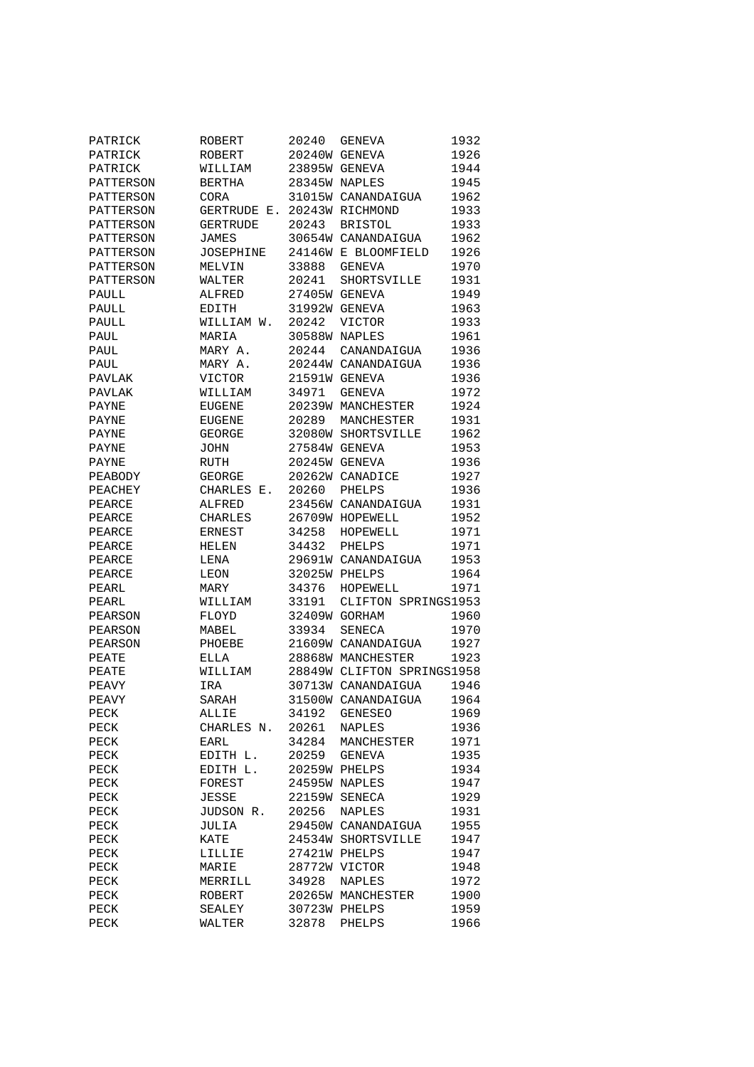| PATRICK            | ROBERT         | 20240         | <b>GENEVA</b>                   | 1932         |
|--------------------|----------------|---------------|---------------------------------|--------------|
| PATRICK            | <b>ROBERT</b>  | 20240W        | <b>GENEVA</b>                   | 1926         |
| PATRICK            | WILLIAM        | 23895W GENEVA |                                 | 1944         |
| PATTERSON          | <b>BERTHA</b>  | 28345W        | <b>NAPLES</b>                   | 1945         |
| PATTERSON          | CORA           | 31015W        | CANANDAIGUA                     | 1962         |
| PATTERSON          | GERTRUDE<br>Ε. | 20243W        | RICHMOND                        | 1933         |
| PATTERSON          | GERTRUDE       | 20243         | <b>BRISTOL</b>                  | 1933         |
| PATTERSON          | JAMES          |               | 30654W CANANDAIGUA              | 1962         |
| PATTERSON          | JOSEPHINE      | 24146W        | E BLOOMFIELD                    | 1926         |
| PATTERSON          | MELVIN         | 33888         | <b>GENEVA</b>                   | 1970         |
| PATTERSON          | WALTER         | 20241         | SHORTSVILLE                     | 1931         |
| PAULL              | ALFRED         | 27405W        | <b>GENEVA</b>                   | 1949         |
| PAULL              | EDITH          | 31992W        | GENEVA                          | 1963         |
| PAULL              | WILLIAM W.     | 20242         | VICTOR                          | 1933         |
| PAUL               | MARIA          | 30588W        | <b>NAPLES</b>                   | 1961         |
| PAUL               | MARY A.        | 20244         | CANANDAIGUA                     | 1936         |
| PAUL               | MARY A.        |               | 20244W CANANDAIGUA              | 1936         |
| PAVLAK             | VICTOR         | 21591W        | <b>GENEVA</b>                   | 1936         |
| PAVLAK             | WILLIAM        | 34971         | <b>GENEVA</b>                   | 1972         |
| PAYNE              | <b>EUGENE</b>  |               | 20239W MANCHESTER               | 1924         |
| PAYNE              | <b>EUGENE</b>  | 20289         | MANCHESTER                      | 1931         |
| PAYNE              | GEORGE         | 32080W        | SHORTSVILLE                     | 1962         |
| PAYNE              | JOHN           | 27584W        | <b>GENEVA</b>                   | 1953         |
| PAYNE              | RUTH           | 20245W        | <b>GENEVA</b>                   | 1936         |
| PEABODY            | GEORGE         | 20262W        | CANADICE                        | 1927         |
| PEACHEY            | CHARLES<br>Ε.  | 20260         | PHELPS                          | 1936         |
| PEARCE             | ALFRED         |               | 23456W CANANDAIGUA              | 1931         |
| PEARCE             | CHARLES        | 26709W        | HOPEWELL                        | 1952         |
| PEARCE             | <b>ERNEST</b>  | 34258         | HOPEWELL                        | 1971         |
|                    |                | 34432         |                                 | 1971         |
| PEARCE             | HELEN          |               | PHELPS                          |              |
| PEARCE<br>PEARCE   | LENA           | 32025W        | 29691W CANANDAIGUA<br>PHELPS    | 1953<br>1964 |
|                    | LEON           | 34376         |                                 | 1971         |
| PEARL              | MARY           | 33191         | HOPEWELL<br>CLIFTON SPRINGS1953 |              |
| PEARL              | WILLIAM        |               |                                 | 1960         |
| PEARSON<br>PEARSON | FLOYD          | 32409W        | <b>GORHAM</b><br>SENECA         | 1970         |
| <b>PEARSON</b>     | MABEL          | 33934         |                                 | 1927         |
|                    | PHOEBE         |               | 21609W CANANDAIGUA              | 1923         |
| PEATE<br>PEATE     | <b>ELLA</b>    |               | 28868W MANCHESTER               |              |
|                    | WILLIAM        |               | 28849W CLIFTON SPRINGS1958      | 1946         |
| <b>PEAVY</b>       | IRA            |               | 30713W CANANDAIGUA              |              |
| PEAVY              | SARAH          |               | 31500W CANANDAIGUA              | 1964         |
| PECK               | ALLIE          |               | 34192 GENESEO                   | 1969         |
| PECK               | CHARLES N.     | 20261 NAPLES  |                                 | 1936         |
| PECK               | EARL           |               | 34284 MANCHESTER                | 1971         |
| PECK               | EDITH L.       | 20259 GENEVA  |                                 | 1935         |
| PECK               | EDITH L.       | 20259W PHELPS |                                 | 1934         |
| PECK               | FOREST         | 24595W NAPLES |                                 | 1947         |
| PECK               | JESSE          |               | 22159W SENECA                   | 1929         |
| PECK               | JUDSON R.      | 20256         | NAPLES                          | 1931         |
| PECK               | JULIA          |               | 29450W CANANDAIGUA              | 1955         |
| PECK               | KATE           |               | 24534W SHORTSVILLE              | 1947         |
| PECK               | LILLIE         | 27421W PHELPS |                                 | 1947         |
| PECK               | MARIE          |               | 28772W VICTOR                   | 1948         |
| PECK               | MERRILL        | 34928         | NAPLES                          | 1972         |
| PECK               | ROBERT         |               | 20265W MANCHESTER               | 1900         |
| PECK               | SEALEY         | 30723W PHELPS |                                 | 1959         |
| PECK               | WALTER         | 32878         | PHELPS                          | 1966         |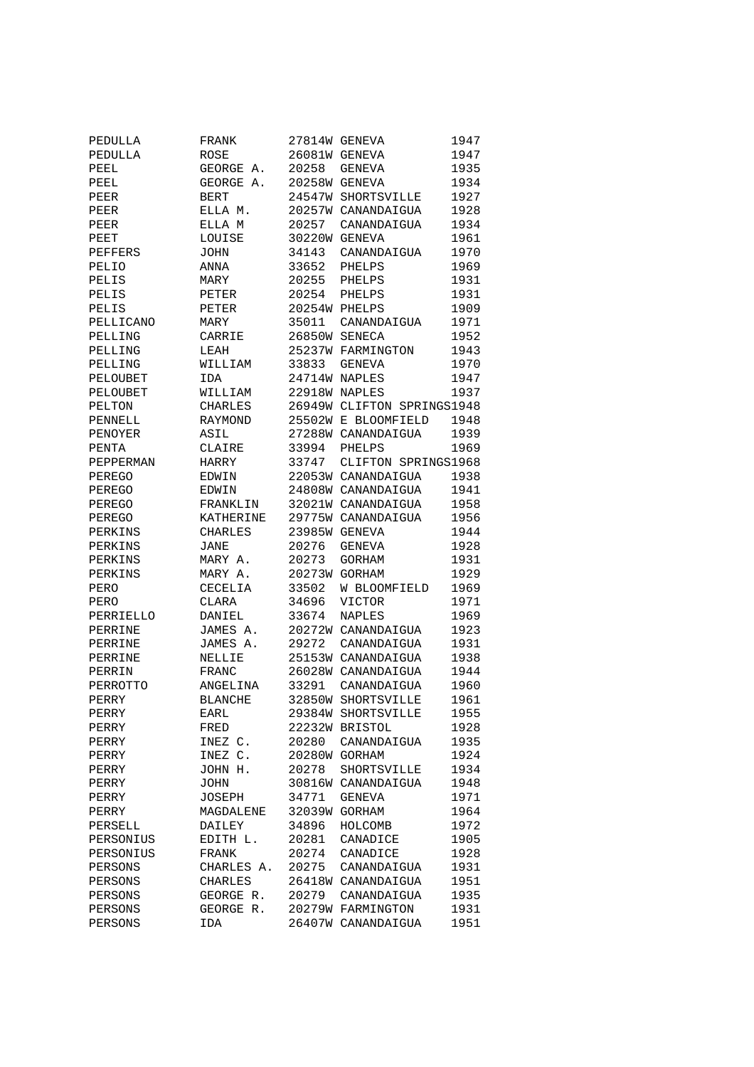| PEDULLA            | FRANK                  | 27814W GENEVA |                            | 1947         |
|--------------------|------------------------|---------------|----------------------------|--------------|
| PEDULLA            | ROSE                   | 26081W        | <b>GENEVA</b>              | 1947         |
| PEEL               | GEORGE A.              | 20258         | <b>GENEVA</b>              | 1935         |
| PEEL               | GEORGE A.              | 20258W        | <b>GENEVA</b>              | 1934         |
| PEER               | <b>BERT</b>            | 24547W        | SHORTSVILLE                | 1927         |
| PEER               | ELLA M.                | 20257W        | CANANDAIGUA                | 1928         |
| PEER               | ELLA M                 | 20257         | CANANDAIGUA                | 1934         |
| PEET               | LOUISE                 | 30220W        | <b>GENEVA</b>              | 1961         |
| PEFFERS            | JOHN                   | 34143         | CANANDAIGUA                | 1970         |
| PELIO              | ANNA                   | 33652         | PHELPS                     | 1969         |
| PELIS              | MARY                   | 20255         | PHELPS                     | 1931         |
| PELIS              | PETER                  | 20254         | PHELPS                     | 1931         |
| PELIS              | PETER                  | 20254W        | PHELPS                     | 1909         |
| PELLICANO          | MARY                   | 35011         | CANANDAIGUA                | 1971         |
| PELLING            | CARRIE                 | 26850W        | <b>SENECA</b>              | 1952         |
| PELLING            | LEAH                   | 25237W        | FARMINGTON                 | 1943         |
| PELLING            | WILLIAM                | 33833         | GENEVA                     | 1970         |
| PELOUBET           | IDA                    | 24714W        | <b>NAPLES</b>              | 1947         |
| PELOUBET           | WILLIAM                | 22918W        | <b>NAPLES</b>              | 1937         |
| PELTON             | CHARLES                |               | 26949W CLIFTON SPRINGS1948 |              |
| PENNELL            | RAYMOND                | 25502W        | E BLOOMFIELD               | 1948         |
| PENOYER            | ASIL                   | 27288W        | CANANDAIGUA                | 1939         |
| PENTA              | CLAIRE                 | 33994         | PHELPS                     | 1969         |
| PEPPERMAN          | HARRY                  | 33747         | CLIFTON SPRINGS1968        |              |
| PEREGO             | EDWIN                  | 22053W        | CANANDAIGUA                | 1938         |
| PEREGO             | EDWIN                  |               | 24808W CANANDAIGUA         | 1941         |
| PEREGO             | FRANKLIN               |               | 32021W CANANDAIGUA         | 1958         |
|                    |                        | 29775W        | CANANDAIGUA                | 1956         |
| PEREGO             | KATHERINE              | 23985W        |                            | 1944         |
| PERKINS            | CHARLES                | 20276         | <b>GENEVA</b>              | 1928         |
| PERKINS            | JANE                   | 20273         | <b>GENEVA</b>              | 1931         |
| PERKINS<br>PERKINS | MARY A.<br>MARY A.     | 20273W        | GORHAM                     | 1929         |
|                    |                        |               | GORHAM                     | 1969         |
| PERO               | CECELIA                | 33502         | W BLOOMFIELD               |              |
| PERO               | CLARA                  | 34696         | VICTOR                     | 1971         |
| PERRIELLO          | DANIEL                 | 33674         | NAPLES                     | 1969<br>1923 |
| PERRINE            | JAMES A.               | 20272W        | CANANDAIGUA                |              |
| PERRINE            | JAMES A.               | 29272         | CANANDAIGUA                | 1931         |
| PERRINE            | NELLIE<br><b>FRANC</b> | 25153W        | CANANDAIGUA                | 1938<br>1944 |
| PERRIN             |                        | 26028W        | CANANDAIGUA                | 1960         |
| PERROTTO<br>PERRY  | ANGELINA               | 33291         | CANANDAIGUA                |              |
|                    | BLANCHE                |               | 32850W SHORTSVILLE         | 1961         |
| PERRY              | EARL                   |               | 29384W SHORTSVILLE         | 1955         |
| PERRY              | FRED                   |               | 22232W BRISTOL             | 1928         |
| PERRY              | INEZ C.                | 20280         | CANANDAIGUA                | 1935         |
| PERRY              | INEZ C.                | 20280W GORHAM |                            | 1924         |
| PERRY              | JOHN H.                | 20278         | SHORTSVILLE                | 1934         |
| ${\tt PERRY}$      | JOHN                   |               | 30816W CANANDAIGUA         | 1948         |
| PERRY              | JOSEPH                 | 34771         | GENEVA                     | 1971         |
| PERRY              | MAGDALENE              | 32039W        | GORHAM                     | 1964         |
| PERSELL            | DAILEY                 | 34896         | HOLCOMB                    | 1972         |
| PERSONIUS          | EDITH L.               | 20281         | CANADICE                   | 1905         |
| PERSONIUS          | FRANK                  | 20274         | CANADICE                   | 1928         |
| PERSONS            | CHARLES A.             | 20275         | CANANDAIGUA                | 1931         |
| PERSONS            | CHARLES                |               | 26418W CANANDAIGUA         | 1951         |
| PERSONS            | GEORGE R.              | 20279         | CANANDAIGUA                | 1935         |
| PERSONS            | GEORGE R.              |               | 20279W FARMINGTON          | 1931         |
| PERSONS            | IDA                    |               | 26407W CANANDAIGUA         | 1951         |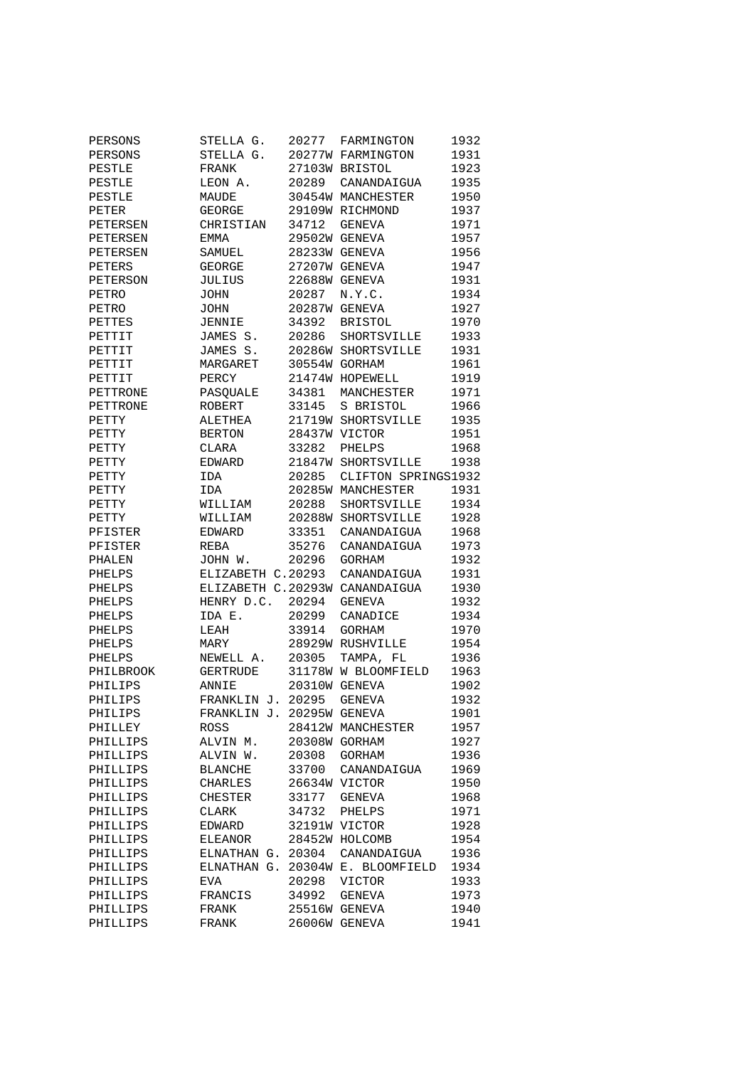| PERSONS       | STELLA G.                 | 20277         | FARMINGTON           | 1932 |
|---------------|---------------------------|---------------|----------------------|------|
| PERSONS       | STELLA G.                 | 20277W        | FARMINGTON           | 1931 |
| <b>PESTLE</b> | FRANK                     | 27103W        | <b>BRISTOL</b>       | 1923 |
| PESTLE        | LEON A.                   | 20289         | CANANDAIGUA          | 1935 |
| PESTLE        | MAUDE                     | 30454W        | MANCHESTER           | 1950 |
| PETER         | <b>GEORGE</b>             | 29109W        | RICHMOND             | 1937 |
| PETERSEN      | CHRISTIAN                 | 34712         | <b>GENEVA</b>        | 1971 |
| PETERSEN      | EMMA                      | 29502W        | <b>GENEVA</b>        | 1957 |
| PETERSEN      | SAMUEL                    | 28233W GENEVA |                      | 1956 |
| PETERS        | GEORGE                    | 27207W        | <b>GENEVA</b>        | 1947 |
| PETERSON      | JULIUS                    | 22688W        | <b>GENEVA</b>        | 1931 |
| PETRO         | <b>JOHN</b>               | 20287         | N.Y.C.               | 1934 |
| PETRO         | JOHN                      | 20287W        | <b>GENEVA</b>        | 1927 |
| PETTES        | JENNIE                    | 34392         | <b>BRISTOL</b>       | 1970 |
| PETTIT        | JAMES S.                  | 20286         | SHORTSVILLE          | 1933 |
| PETTIT        | JAMES S.                  | 20286W        | SHORTSVILLE          | 1931 |
| PETTIT        | MARGARET                  | 30554W        | GORHAM               | 1961 |
| PETTIT        | PERCY                     | 21474W        | HOPEWELL             | 1919 |
| PETTRONE      | PASOUALE                  | 34381         | MANCHESTER           | 1971 |
| PETTRONE      | <b>ROBERT</b>             | 33145         | S BRISTOL            | 1966 |
| PETTY         | ALETHEA                   | 21719W        | SHORTSVILLE          | 1935 |
| PETTY         | <b>BERTON</b>             | 28437W        | VICTOR               | 1951 |
| PETTY         | CLARA                     | 33282         | PHELPS               | 1968 |
| PETTY         | EDWARD                    | 21847W        | SHORTSVILLE          | 1938 |
| PETTY         | IDA                       | 20285         | CLIFTON SPRINGS1932  |      |
| PETTY         | IDA                       | 20285W        | MANCHESTER           | 1931 |
| PETTY         | WILLIAM                   | 20288         | SHORTSVILLE          | 1934 |
| PETTY         | WILLIAM                   | 20288W        | SHORTSVILLE          | 1928 |
| PFISTER       | <b>EDWARD</b>             | 33351         | CANANDAIGUA          | 1968 |
| PFISTER       | REBA                      | 35276         | CANANDAIGUA          | 1973 |
| PHALEN        | JOHN W.                   | 20296         | GORHAM               | 1932 |
| PHELPS        | ELIZABETH C.20293         |               | CANANDAIGUA          | 1931 |
| PHELPS        | ELIZABETH C.20293W        |               | CANANDAIGUA          | 1930 |
| PHELPS        | HENRY D.C.                | 20294         | GENEVA               | 1932 |
| PHELPS        | IDA E.                    | 20299         | CANADICE             | 1934 |
| PHELPS        | LEAH                      | 33914         | GORHAM               | 1970 |
| PHELPS        | MARY                      | 28929W        | RUSHVILLE            | 1954 |
| PHELPS        | NEWELL A.                 | 20305         | TAMPA, FL            | 1936 |
| PHILBROOK     | GERTRUDE                  | 31178W        | W BLOOMFIELD         | 1963 |
| PHILIPS       | ANNIE                     | 20310W        | <b>GENEVA</b>        | 1902 |
| PHILIPS       | FRANKLIN J.               | 20295         | <b>GENEVA</b>        | 1932 |
| PHILIPS       | FRANKLIN J. 20295W GENEVA |               |                      | 1901 |
| PHILLEY       | ROSS                      |               | 28412W MANCHESTER    | 1957 |
| PHILLIPS      | ALVIN M.                  | 20308W        | GORHAM               | 1927 |
| PHILLIPS      | ALVIN W.                  | 20308         | GORHAM               | 1936 |
| PHILLIPS      | <b>BLANCHE</b>            | 33700         | CANANDAIGUA          | 1969 |
| PHILLIPS      | CHARLES                   | 26634W VICTOR |                      | 1950 |
| PHILLIPS      | <b>CHESTER</b>            | 33177         | <b>GENEVA</b>        | 1968 |
| PHILLIPS      | <b>CLARK</b>              | 34732         | PHELPS               | 1971 |
| PHILLIPS      | EDWARD                    | 32191W VICTOR |                      | 1928 |
| PHILLIPS      | ELEANOR                   |               | 28452W HOLCOMB       | 1954 |
| PHILLIPS      | ELNATHAN G.               | 20304         | CANANDAIGUA          | 1936 |
| PHILLIPS      | ELNATHAN G.               |               | 20304W E. BLOOMFIELD | 1934 |
| PHILLIPS      | EVA                       | 20298         | <b>VICTOR</b>        | 1933 |
| PHILLIPS      | FRANCIS                   | 34992         | <b>GENEVA</b>        | 1973 |
| PHILLIPS      | FRANK                     | 25516W        | GENEVA               | 1940 |
| PHILLIPS      | FRANK                     | 26006W GENEVA |                      | 1941 |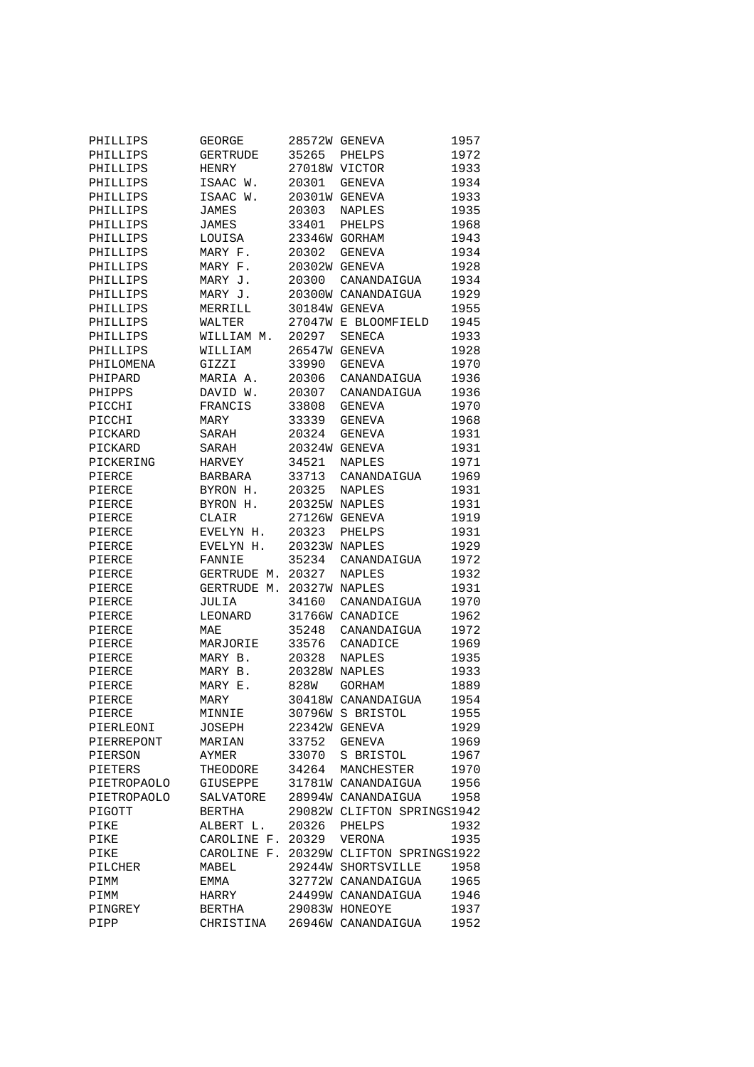| PHILLIPS      | GEORGE                   |               | 28572W GENEVA                          | 1957 |
|---------------|--------------------------|---------------|----------------------------------------|------|
| PHILLIPS      | <b>GERTRUDE</b>          | 35265         | PHELPS                                 | 1972 |
| PHILLIPS      | HENRY                    |               | 27018W VICTOR                          | 1933 |
| PHILLIPS      | ISAAC W.                 | 20301         | GENEVA                                 | 1934 |
| PHILLIPS      | ISAAC W.                 | 20301W        | <b>GENEVA</b>                          | 1933 |
| PHILLIPS      | JAMES                    | 20303         | NAPLES                                 | 1935 |
| PHILLIPS      | JAMES                    | 33401         | PHELPS                                 | 1968 |
| PHILLIPS      | LOUISA                   | 23346W        | GORHAM                                 | 1943 |
| PHILLIPS      | MARY F.                  | 20302         | GENEVA                                 | 1934 |
| PHILLIPS      | MARY F.                  | 20302W        | GENEVA                                 | 1928 |
| PHILLIPS      | MARY J.                  | 20300         | CANANDAIGUA                            | 1934 |
| PHILLIPS      | MARY J.                  | 20300W        | CANANDAIGUA                            | 1929 |
| PHILLIPS      | MERRILL                  | 30184W        | <b>GENEVA</b>                          | 1955 |
| PHILLIPS      | WALTER                   | 27047W        | E BLOOMFIELD                           | 1945 |
| PHILLIPS      | WILLIAM M.               | 20297         | SENECA                                 | 1933 |
| PHILLIPS      | WILLIAM                  | 26547W        | <b>GENEVA</b>                          | 1928 |
| PHILOMENA     | GIZZI                    | 33990         | GENEVA                                 | 1970 |
| PHIPARD       | MARIA A.                 | 20306         | CANANDAIGUA                            | 1936 |
| PHIPPS        | DAVID W.                 | 20307         | CANANDAIGUA                            | 1936 |
| PICCHI        | FRANCIS                  | 33808         | GENEVA                                 | 1970 |
| PICCHI        | MARY                     | 33339         | <b>GENEVA</b>                          | 1968 |
| PICKARD       | SARAH                    | 20324         | <b>GENEVA</b>                          | 1931 |
| PICKARD       | SARAH                    | 20324W        | <b>GENEVA</b>                          | 1931 |
| PICKERING     | HARVEY                   | 34521         | NAPLES                                 | 1971 |
| PIERCE        | BARBARA                  | 33713         | CANANDAIGUA                            | 1969 |
| PIERCE        | BYRON H.                 | 20325         | NAPLES                                 | 1931 |
| PIERCE        | BYRON H.                 |               | 20325W NAPLES                          | 1931 |
| PIERCE        | CLAIR                    | 27126W        | <b>GENEVA</b>                          | 1919 |
| PIERCE        | EVELYN H.                | 20323         | PHELPS                                 | 1931 |
| PIERCE        | EVELYN H.                | 20323W        | NAPLES                                 | 1929 |
| PIERCE        | FANNIE                   | 35234         | CANANDAIGUA                            | 1972 |
| PIERCE        | GERTRUDE M.              | 20327         | NAPLES                                 | 1932 |
| PIERCE        | GERTRUDE M.              | 20327W NAPLES |                                        | 1931 |
| PIERCE        | JULIA                    | 34160         | CANANDAIGUA                            | 1970 |
| PIERCE        | LEONARD                  | 31766W        | CANADICE                               | 1962 |
| PIERCE        | <b>MAE</b>               | 35248         | CANANDAIGUA                            | 1972 |
| PIERCE        | MARJORIE                 | 33576         | CANADICE                               | 1969 |
| PIERCE        | MARY B.                  | 20328         | NAPLES                                 | 1935 |
| PIERCE        | MARY B.                  | 20328W        | <b>NAPLES</b>                          | 1933 |
| PIERCE        | MARY E.                  | 828W          | GORHAM                                 | 1889 |
| <b>PTERCE</b> | MARY                     |               | 30418W CANANDAIGUA                     | 1954 |
| PIERCE        | MINNIE                   |               | 30796W S BRISTOL                       | 1955 |
| PIERLEONI     | JOSEPH                   |               | 22342W GENEVA                          | 1929 |
| PIERREPONT    | MARIAN                   | 33752         | GENEVA                                 | 1969 |
| PIERSON       | AYMER                    | 33070         | S BRISTOL                              | 1967 |
| PIETERS       | THEODORE                 | 34264         | MANCHESTER                             | 1970 |
| PIETROPAOLO   | GIUSEPPE                 |               | 31781W CANANDAIGUA                     | 1956 |
| PIETROPAOLO   | SALVATORE                |               | 28994W CANANDAIGUA                     | 1958 |
| PIGOTT        | <b>BERTHA</b>            |               | 29082W CLIFTON SPRINGS1942             |      |
| PIKE          | ALBERT L.                | 20326         | PHELPS                                 | 1932 |
| PIKE          | CAROLINE F. 20329 VERONA |               |                                        | 1935 |
| PIKE          |                          |               | CAROLINE F. 20329W CLIFTON SPRINGS1922 |      |
| PILCHER       | MABEL                    |               | 29244W SHORTSVILLE                     | 1958 |
| PIMM          | EMMA                     |               | 32772W CANANDAIGUA                     | 1965 |
| PIMM          | HARRY                    |               | 24499W CANANDAIGUA                     | 1946 |
| PINGREY       | BERTHA                   |               | 29083W HONEOYE                         | 1937 |
| PIPP          | CHRISTINA                |               | 26946W CANANDAIGUA                     | 1952 |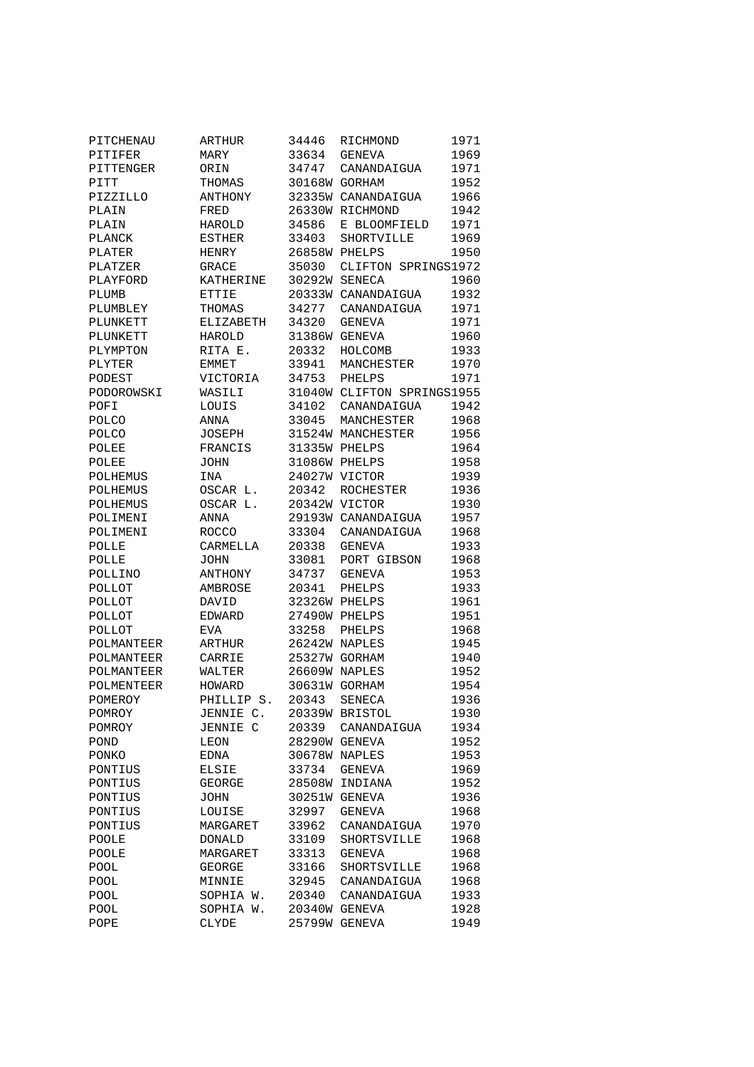| PITCHENAU             | ARTHUR                 | 34446                  | RICHMOND                     | 1971         |
|-----------------------|------------------------|------------------------|------------------------------|--------------|
| PITIFER               | <b>MARY</b>            | 33634                  | <b>GENEVA</b>                | 1969         |
| PITTENGER             | ORIN                   | 34747                  | CANANDAIGUA                  | 1971         |
| PITT                  | THOMAS                 | 30168W                 | <b>GORHAM</b>                | 1952         |
| PIZZILLO              | ANTHONY                | 32335W                 | CANANDAIGUA                  | 1966         |
| PLAIN                 | FRED                   | 26330W                 | RICHMOND                     | 1942         |
| PLAIN                 | HAROLD                 | 34586                  | E BLOOMFIELD                 | 1971         |
| <b>PLANCK</b>         | <b>ESTHER</b>          | 33403                  | SHORTVILLE                   | 1969         |
| PLATER                | HENRY                  | 26858W                 | PHELPS                       | 1950         |
| PLATZER               | <b>GRACE</b>           | 35030                  | CLIFTON SPRINGS1972          |              |
| PLAYFORD              | KATHERINE              | 30292W                 | SENECA                       | 1960         |
| PLUMB                 | ETTIE                  | 20333W                 | CANANDAIGUA                  | 1932         |
| PLUMBLEY              | THOMAS                 | 34277                  | CANANDAIGUA                  | 1971         |
| PLUNKETT              | ELIZABETH              | 34320                  | <b>GENEVA</b>                | 1971         |
| PLUNKETT              | HAROLD                 | 31386W                 | <b>GENEVA</b>                | 1960         |
| PLYMPTON              | RITA E.                | 20332                  | HOLCOMB                      | 1933         |
| PLYTER                | <b>EMMET</b>           | 33941                  | MANCHESTER                   | 1970         |
| PODEST                | VICTORIA               | 34753                  | PHELPS                       | 1971         |
| PODOROWSKI            | WASILI                 | 31040W                 | CLIFTON SPRINGS1955          |              |
| POFI                  | LOUIS                  | 34102                  | CANANDAIGUA                  | 1942         |
| <b>POLCO</b>          | ANNA                   | 33045                  | MANCHESTER                   | 1968         |
| <b>POLCO</b>          | JOSEPH                 | 31524W                 | MANCHESTER                   | 1956         |
| POLEE                 | FRANCIS                | 31335W                 | PHELPS                       | 1964         |
| POLEE                 | <b>JOHN</b>            | 31086W                 | PHELPS                       | 1958         |
|                       | INA                    | 24027W                 | <b>VICTOR</b>                | 1939         |
| POLHEMUS<br>POLHEMUS  | OSCAR L.               | 20342                  | ROCHESTER                    | 1936         |
| POLHEMUS              | OSCAR L.               | 20342W                 | <b>VICTOR</b>                | 1930         |
|                       |                        |                        |                              | 1957         |
| POLIMENI              | ANNA                   | 29193W<br>33304        | CANANDAIGUA                  | 1968         |
| POLIMENI              | ROCCO                  | 20338                  | CANANDAIGUA                  | 1933         |
| POLLE<br>POLLE        | CARMELLA               | 33081                  | <b>GENEVA</b><br>PORT GIBSON | 1968         |
| POLLINO               | JOHN                   | 34737                  | <b>GENEVA</b>                | 1953         |
| POLLOT                | ANTHONY<br>AMBROSE     | 20341                  | PHELPS                       | 1933         |
|                       | DAVID                  | 32326W                 |                              | 1961         |
| POLLOT<br>POLLOT      | <b>EDWARD</b>          | 27490W                 | PHELPS<br>PHELPS             | 1951         |
|                       | EVA                    | 33258                  |                              | 1968         |
| POLLOT                |                        | 26242W                 | PHELPS<br>NAPLES             | 1945         |
| POLMANTEER            | ARTHUR                 |                        |                              |              |
| POLMANTEER            | CARRIE                 | 25327W                 | GORHAM<br><b>NAPLES</b>      | 1940         |
| POLMANTEER            | WALTER                 | 26609W<br>30631W       |                              | 1952<br>1954 |
| POLMENTEER<br>POMEROY | HOWARD<br>PHILLIP<br>S | 20343                  | GORHAM<br><b>SENECA</b>      | 1936         |
|                       |                        |                        |                              |              |
| POMROY                | JENNIE C.              |                        | 20339W BRISTOL               | 1930         |
| POMROY                | JENNIE C               | 20339<br>28290W GENEVA | CANANDAIGUA                  | 1934         |
| POND                  | LEON                   |                        |                              | 1952         |
| PONKO                 | EDNA                   | 30678W NAPLES          |                              | 1953         |
| PONTIUS               | <b>ELSIE</b>           | 33734                  | <b>GENEVA</b>                | 1969         |
| PONTIUS               | GEORGE                 | 28508W                 | INDIANA                      | 1952         |
| PONTIUS               | JOHN                   | 30251W                 | <b>GENEVA</b>                | 1936         |
| PONTIUS               | LOUISE                 | 32997                  | <b>GENEVA</b>                | 1968         |
| PONTIUS               | MARGARET               | 33962                  | CANANDAIGUA                  | 1970         |
| POOLE                 | DONALD                 | 33109                  | SHORTSVILLE                  | 1968         |
| <b>POOLE</b>          | MARGARET               | 33313                  | <b>GENEVA</b>                | 1968         |
| POOL                  | GEORGE                 | 33166                  | SHORTSVILLE                  | 1968         |
| POOL                  | MINNIE                 | 32945                  | CANANDAIGUA                  | 1968         |
| POOL                  | SOPHIA W.              | 20340                  | CANANDAIGUA                  | 1933         |
| <b>POOL</b>           | SOPHIA W.              | 20340W                 | GENEVA                       | 1928         |
| POPE                  | <b>CLYDE</b>           | 25799W GENEVA          |                              | 1949         |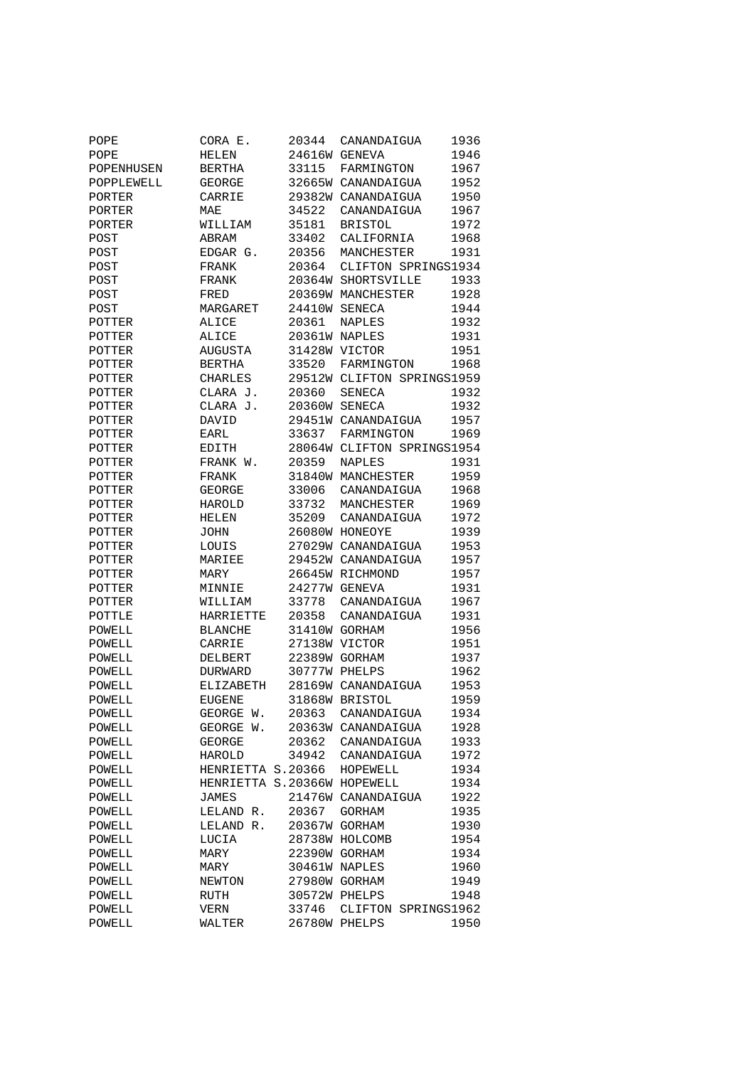| POPE       | CORA E.                     | 20344         | 1936<br>CANANDAIGUA        |
|------------|-----------------------------|---------------|----------------------------|
| POPE       | <b>HELEN</b>                | 24616W        | 1946<br>GENEVA             |
| POPENHUSEN | <b>BERTHA</b>               | 33115         | 1967<br>FARMINGTON         |
| POPPLEWELL | GEORGE                      | 32665W        | 1952<br>CANANDAIGUA        |
| PORTER     | CARRIE                      | 29382W        | 1950<br>CANANDAIGUA        |
| PORTER     | <b>MAE</b>                  | 34522         | CANANDAIGUA<br>1967        |
| PORTER     | WILLIAM                     | 35181         | 1972<br><b>BRISTOL</b>     |
| POST       | ABRAM                       | 33402         | 1968<br>CALIFORNIA         |
| POST       | EDGAR G.                    | 20356         | 1931<br>MANCHESTER         |
| POST       | FRANK                       | 20364         | CLIFTON SPRINGS1934        |
| POST       | FRANK                       | 20364W        | 1933<br>SHORTSVILLE        |
| POST       | FRED                        |               | 20369W MANCHESTER<br>1928  |
| POST       | MARGARET                    | 24410W        | <b>SENECA</b><br>1944      |
| POTTER     | ALICE                       | 20361         | 1932<br>NAPLES             |
| POTTER     | ALICE                       | 20361W NAPLES | 1931                       |
| POTTER     | AUGUSTA                     | 31428W VICTOR | 1951                       |
| POTTER     | <b>BERTHA</b>               | 33520         | FARMINGTON<br>1968         |
| POTTER     | CHARLES                     |               | 29512W CLIFTON SPRINGS1959 |
| POTTER     | CLARA J.                    | 20360         | SENECA<br>1932             |
| POTTER     | CLARA J.                    | 20360W        | 1932<br><b>SENECA</b>      |
| POTTER     | DAVID                       |               | 1957<br>29451W CANANDAIGUA |
| POTTER     | EARL                        | 33637         | 1969<br>FARMINGTON         |
| POTTER     | EDITH                       | 28064W        | CLIFTON SPRINGS1954        |
| POTTER     | FRANK W.                    | 20359         | <b>NAPLES</b><br>1931      |
| POTTER     | <b>FRANK</b>                | 31840W        | 1959<br>MANCHESTER         |
| POTTER     | <b>GEORGE</b>               | 33006         | 1968<br>CANANDAIGUA        |
| POTTER     | HAROLD                      | 33732         | 1969<br>MANCHESTER         |
| POTTER     | <b>HELEN</b>                | 35209         | 1972<br>CANANDAIGUA        |
| POTTER     | JOHN                        |               | 1939<br>26080W HONEOYE     |
| POTTER     | LOUIS                       |               | 1953<br>27029W CANANDAIGUA |
| POTTER     | MARIEE                      |               | 29452W CANANDAIGUA<br>1957 |
| POTTER     | MARY                        |               | 1957<br>26645W RICHMOND    |
| POTTER     | MINNIE                      | 24277W        | 1931<br><b>GENEVA</b>      |
| POTTER     | WILLIAM                     | 33778         | 1967<br>CANANDAIGUA        |
| POTTLE     | HARRIETTE                   | 20358         | 1931<br>CANANDAIGUA        |
| POWELL     | <b>BLANCHE</b>              | 31410W GORHAM | 1956                       |
| POWELL     | CARRIE                      | 27138W VICTOR | 1951                       |
| POWELL     | DELBERT                     | 22389W GORHAM | 1937                       |
| POWELL     | <b>DURWARD</b>              | 30777W PHELPS | 1962                       |
| POWELL     | ELIZABETH                   |               | 28169W CANANDAIGUA<br>1953 |
| POWELL     | <b>EUGENE</b>               |               | 31868W BRISTOL<br>1959     |
| POWELL     | GEORGE W.                   | 20363         | CANANDAIGUA<br>1934        |
| POWELL     | GEORGE W.                   |               | 20363W CANANDAIGUA<br>1928 |
| POWELL     | <b>GEORGE</b>               | 20362         | CANANDAIGUA<br>1933        |
| POWELL     | HAROLD                      | 34942         | CANANDAIGUA<br>1972        |
| POWELL     | HENRIETTA S.20366           |               | HOPEWELL<br>1934           |
| POWELL     | HENRIETTA S.20366W HOPEWELL |               | 1934                       |
| POWELL     | JAMES                       |               | 21476W CANANDAIGUA<br>1922 |
| POWELL     | LELAND R.                   | 20367         | GORHAM<br>1935             |
| POWELL     | LELAND R.                   | 20367W GORHAM | 1930                       |
| POWELL     | LUCIA                       |               | 28738W HOLCOMB<br>1954     |
| POWELL     | MARY                        | 22390W GORHAM | 1934                       |
| POWELL     | MARY                        | 30461W NAPLES | 1960                       |
| POWELL     | NEWTON                      | 27980W GORHAM | 1949                       |
| POWELL     | RUTH                        | 30572W PHELPS | 1948                       |
| POWELL     | VERN                        | 33746         | CLIFTON SPRINGS1962        |
| POWELL     | WALTER                      | 26780W PHELPS | 1950                       |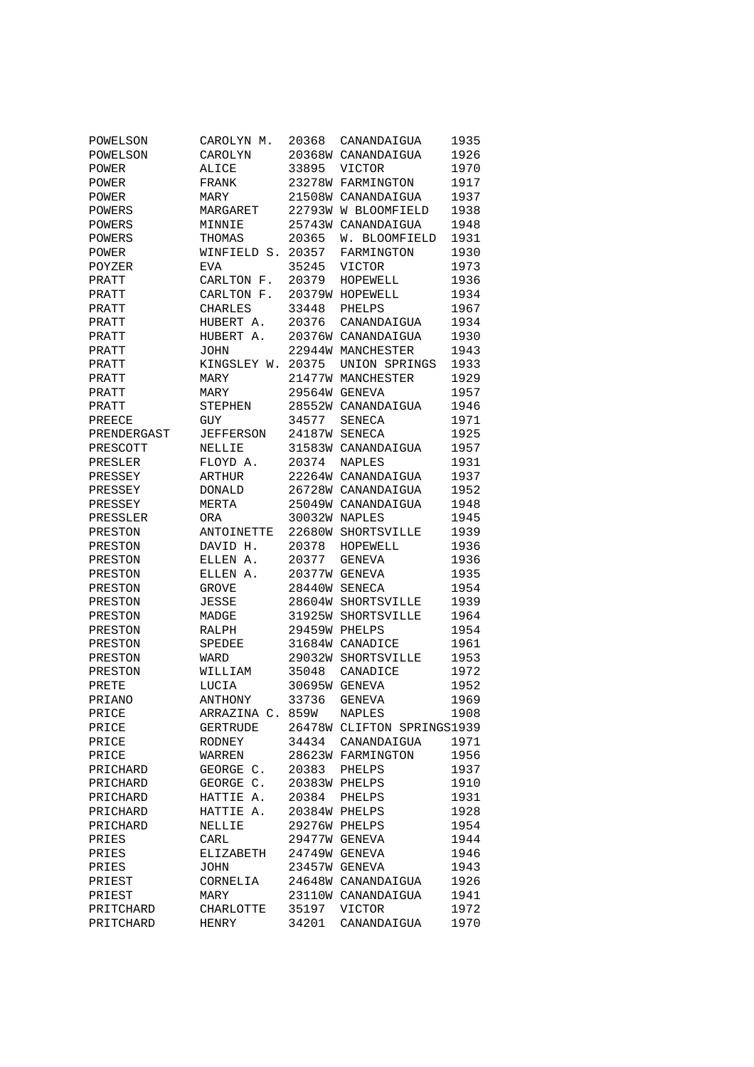| POWELSON     | CAROLYN M.       | 20368         | CANANDAIGUA                | 1935 |
|--------------|------------------|---------------|----------------------------|------|
| POWELSON     | CAROLYN          | 20368W        | CANANDAIGUA                | 1926 |
| POWER        | ALICE            | 33895         | VICTOR                     | 1970 |
| POWER        | FRANK            | 23278W        | FARMINGTON                 | 1917 |
| POWER        | MARY             | 21508W        | CANANDAIGUA                | 1937 |
| POWERS       | MARGARET         | 22793W        | W BLOOMFIELD               | 1938 |
| POWERS       | MINNIE           | 25743W        | CANANDAIGUA                | 1948 |
| POWERS       | THOMAS           | 20365         | W. BLOOMFIELD              | 1931 |
| POWER        | WINFIELD S.      | 20357         | FARMINGTON                 | 1930 |
| POYZER       | <b>EVA</b>       | 35245         | VICTOR                     | 1973 |
| PRATT        | CARLTON F.       | 20379         | HOPEWELL                   | 1936 |
| PRATT        | CARLTON F.       | 20379W        | HOPEWELL                   | 1934 |
| PRATT        | <b>CHARLES</b>   | 33448         | PHELPS                     | 1967 |
| PRATT        | HUBERT A.        | 20376         | CANANDAIGUA                | 1934 |
| PRATT        | HUBERT A.        |               | 20376W CANANDAIGUA         | 1930 |
| PRATT        | JOHN             | 22944W        | MANCHESTER                 | 1943 |
| <b>PRATT</b> | KINGSLEY W.      | 20375         | UNION SPRINGS              | 1933 |
| PRATT        | MARY             |               | 21477W MANCHESTER          | 1929 |
| PRATT        | MARY             | 29564W GENEVA |                            | 1957 |
| PRATT        | STEPHEN          |               | 28552W CANANDAIGUA         | 1946 |
| PREECE       | GUY              | 34577         | SENECA                     | 1971 |
| PRENDERGAST  | JEFFERSON        | 24187W        | SENECA                     | 1925 |
| PRESCOTT     | NELLIE           | 31583W        | CANANDAIGUA                | 1957 |
| PRESLER      | FLOYD A.         | 20374         | NAPLES                     | 1931 |
| PRESSEY      | ARTHUR           |               | 22264W CANANDAIGUA         | 1937 |
| PRESSEY      | <b>DONALD</b>    |               | 26728W CANANDAIGUA         | 1952 |
| PRESSEY      | MERTA            |               | 25049W CANANDAIGUA         | 1948 |
| PRESSLER     | <b>ORA</b>       | 30032W        | <b>NAPLES</b>              | 1945 |
| PRESTON      | ANTOINETTE       | 22680W        | SHORTSVILLE                | 1939 |
| PRESTON      | DAVID H.         | 20378         | HOPEWELL                   | 1936 |
| PRESTON      | ELLEN A.         | 20377         | <b>GENEVA</b>              | 1936 |
| PRESTON      | ELLEN A.         | 20377W GENEVA |                            | 1935 |
| PRESTON      | <b>GROVE</b>     | 28440W        | SENECA                     | 1954 |
| PRESTON      | JESSE            | 28604W        | SHORTSVILLE                | 1939 |
| PRESTON      | MADGE            | 31925W        | SHORTSVILLE                | 1964 |
| PRESTON      | RALPH            | 29459W        | PHELPS                     | 1954 |
| PRESTON      | SPEDEE           |               | 31684W CANADICE            | 1961 |
| PRESTON      | WARD             | 29032W        | SHORTSVILLE                | 1953 |
| PRESTON      | WILLIAM          | 35048         | CANADICE                   | 1972 |
| PRETE        | LUCIA            | 30695W        | <b>GENEVA</b>              | 1952 |
| PRIANO       | ANTHONY          | 33736         | GENEVA                     | 1969 |
| PRICE        | ARRAZINA C. 859W |               | NAPLES                     | 1908 |
| PRICE        | GERTRUDE         |               | 26478W CLIFTON SPRINGS1939 |      |
| PRICE        | RODNEY           | 34434         | CANANDAIGUA                | 1971 |
| PRICE        | WARREN           |               | 28623W FARMINGTON          | 1956 |
| PRICHARD     | GEORGE C.        | 20383         | PHELPS                     | 1937 |
| PRICHARD     | GEORGE C.        | 20383W PHELPS |                            | 1910 |
| PRICHARD     | HATTIE A.        | 20384         | PHELPS                     | 1931 |
| PRICHARD     | HATTIE A.        | 20384W PHELPS |                            | 1928 |
| PRICHARD     | NELLIE           | 29276W PHELPS |                            | 1954 |
| PRIES        | CARL             | 29477W GENEVA |                            | 1944 |
| PRIES        | ELIZABETH        | 24749W GENEVA |                            | 1946 |
| PRIES        | JOHN             | 23457W GENEVA |                            | 1943 |
| PRIEST       | CORNELIA         |               | 24648W CANANDAIGUA         | 1926 |
| PRIEST       | MARY             |               | 23110W CANANDAIGUA         | 1941 |
| PRITCHARD    | CHARLOTTE        | 35197         | <b>VICTOR</b>              | 1972 |
| PRITCHARD    | HENRY            | 34201         | CANANDAIGUA                | 1970 |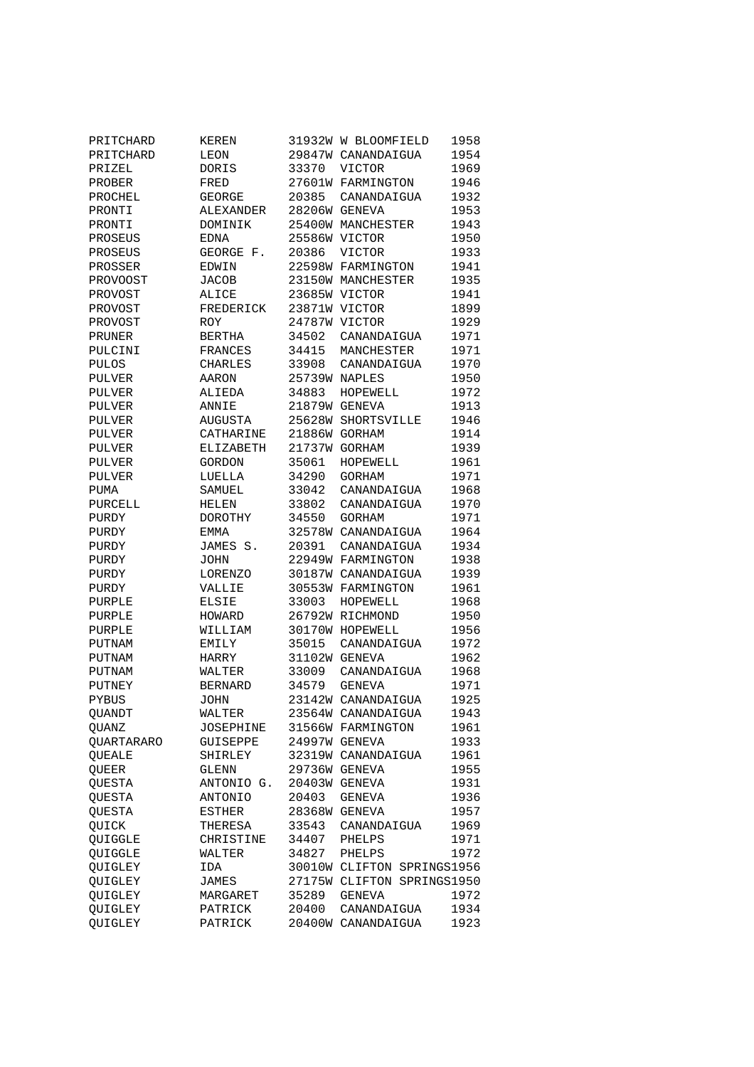| PRITCHARD       | KEREN           |               | 31932W W BLOOMFIELD | 1958 |
|-----------------|-----------------|---------------|---------------------|------|
| PRITCHARD       | LEON            | 29847W        | CANANDAIGUA         | 1954 |
| PRIZEL          | DORIS           | 33370         | <b>VICTOR</b>       | 1969 |
| <b>PROBER</b>   | FRED            | 27601W        | FARMINGTON          | 1946 |
| PROCHEL         | GEORGE          | 20385         | CANANDAIGUA         | 1932 |
| PRONTI          | ALEXANDER       |               | 28206W GENEVA       | 1953 |
| PRONTI          | DOMINIK         |               | 25400W MANCHESTER   | 1943 |
| PROSEUS         | <b>EDNA</b>     | 25586W        | VICTOR              | 1950 |
| PROSEUS         | GEORGE F.       | 20386         | <b>VICTOR</b>       | 1933 |
| PROSSER         | EDWIN           | 22598W        | FARMINGTON          | 1941 |
| <b>PROVOOST</b> | <b>JACOB</b>    |               | 23150W MANCHESTER   | 1935 |
| PROVOST         | ALICE           | 23685W VICTOR |                     | 1941 |
| PROVOST         | FREDERICK       | 23871W VICTOR |                     | 1899 |
| PROVOST         | <b>ROY</b>      | 24787W        | <b>VICTOR</b>       | 1929 |
| PRUNER          | <b>BERTHA</b>   | 34502         | CANANDAIGUA         | 1971 |
| PULCINI         | FRANCES         | 34415         | MANCHESTER          | 1971 |
| <b>PULOS</b>    | CHARLES         | 33908         | CANANDAIGUA         | 1970 |
| <b>PULVER</b>   | AARON           | 25739W        | <b>NAPLES</b>       | 1950 |
| PULVER          | ALIEDA          | 34883         | HOPEWELL            | 1972 |
| <b>PULVER</b>   | ANNIE           | 21879W        | <b>GENEVA</b>       | 1913 |
| <b>PULVER</b>   | <b>AUGUSTA</b>  | 25628W        | SHORTSVILLE         | 1946 |
| PULVER          | CATHARINE       | 21886W        | GORHAM              | 1914 |
| PULVER          | ELIZABETH       | 21737W        | GORHAM              | 1939 |
| <b>PULVER</b>   | GORDON          | 35061         | HOPEWELL            | 1961 |
| <b>PULVER</b>   | LUELLA          | 34290         | GORHAM              | 1971 |
| <b>PUMA</b>     | SAMUEL          | 33042         | CANANDAIGUA         | 1968 |
| PURCELL         | HELEN           | 33802         | CANANDAIGUA         | 1970 |
| PURDY           | <b>DOROTHY</b>  | 34550         | GORHAM              | 1971 |
| PURDY           | <b>EMMA</b>     | 32578W        | CANANDAIGUA         | 1964 |
| PURDY           | JAMES S.        | 20391         | CANANDAIGUA         | 1934 |
| PURDY           | JOHN            | 22949W        | FARMINGTON          | 1938 |
| PURDY           | LORENZO         |               | 30187W CANANDAIGUA  | 1939 |
| PURDY           | VALLIE          | 30553W        | FARMINGTON          | 1961 |
| PURPLE          | <b>ELSIE</b>    | 33003         | HOPEWELL            | 1968 |
| PURPLE          | HOWARD          | 26792W        | RICHMOND            | 1950 |
| PURPLE          | WILLIAM         | 30170W        | HOPEWELL            | 1956 |
| PUTNAM          | <b>EMILY</b>    | 35015         | CANANDAIGUA         | 1972 |
| PUTNAM          | <b>HARRY</b>    | 31102W        | <b>GENEVA</b>       | 1962 |
| PUTNAM          | WALTER          | 33009         | CANANDAIGUA         | 1968 |
| PUTNEY          | <b>BERNARD</b>  | 34579         | <b>GENEVA</b>       | 1971 |
| PYBUS           | JOHN            | 23142W        | CANANDAIGUA         | 1925 |
| QUANDT          | WALTER          |               | 23564W CANANDAIGUA  | 1943 |
| <b>QUANZ</b>    | JOSEPHINE       | 31566W        | FARMINGTON          | 1961 |
| QUARTARARO      | <b>GUISEPPE</b> | 24997W GENEVA |                     | 1933 |
| <b>QUEALE</b>   | SHIRLEY         |               | 32319W CANANDAIGUA  | 1961 |
| QUEER           | GLENN           | 29736W        | <b>GENEVA</b>       | 1955 |
| QUESTA          | ANTONIO G.      | 20403W        | GENEVA              | 1931 |
| QUESTA          | <b>ANTONIO</b>  | 20403         | <b>GENEVA</b>       | 1936 |
| QUESTA          | ESTHER          | 28368W        | <b>GENEVA</b>       | 1957 |
| QUICK           | THERESA         | 33543         | CANANDAIGUA         | 1969 |
| QUIGGLE         | CHRISTINE       | 34407         | PHELPS              | 1971 |
| QUIGGLE         | WALTER          | 34827         | PHELPS              | 1972 |
| QUIGLEY         | IDA             | 30010W        | CLIFTON SPRINGS1956 |      |
| QUIGLEY         | JAMES           | 27175W        | CLIFTON SPRINGS1950 |      |
| QUIGLEY         | MARGARET        | 35289         | <b>GENEVA</b>       | 1972 |
| QUIGLEY         | PATRICK         | 20400         | CANANDAIGUA         | 1934 |
| QUIGLEY         | PATRICK         | 20400W        | CANANDAIGUA         | 1923 |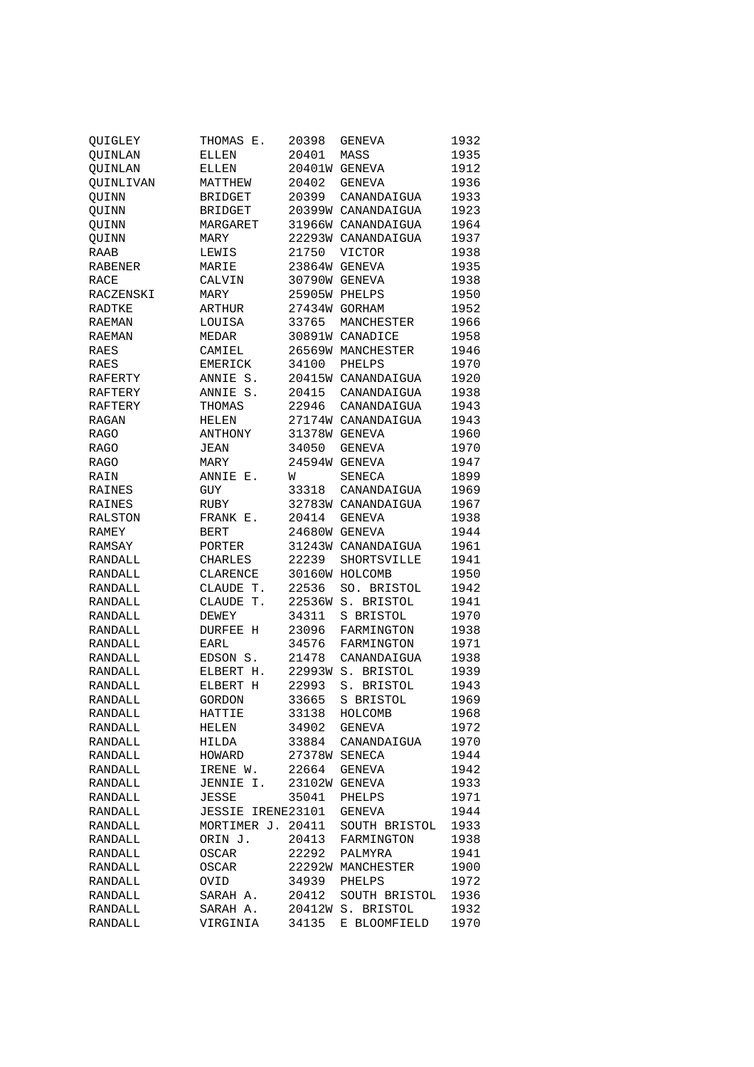| OUIGLEY            | THOMAS E.                | 20398          | GENEVA                               | 1932         |
|--------------------|--------------------------|----------------|--------------------------------------|--------------|
| QUINLAN            | ELLEN                    | 20401          | MASS                                 | 1935         |
| <b>QUINLAN</b>     | ELLEN                    | 20401W         | <b>GENEVA</b>                        | 1912         |
| QUINLIVAN          | MATTHEW                  | 20402          | <b>GENEVA</b>                        | 1936         |
| <b>QUINN</b>       | <b>BRIDGET</b>           | 20399          | CANANDAIGUA                          | 1933         |
| QUINN              | <b>BRIDGET</b>           | 20399W         | CANANDAIGUA                          | 1923         |
| QUINN              | MARGARET                 |                | 31966W CANANDAIGUA                   | 1964         |
| <b>QUINN</b>       | MARY                     |                | 22293W CANANDAIGUA                   | 1937         |
| <b>RAAB</b>        | LEWIS                    | 21750          | <b>VICTOR</b>                        | 1938         |
| <b>RABENER</b>     | MARIE                    | 23864W         | <b>GENEVA</b>                        | 1935         |
| RACE               | CALVIN                   | 30790W         | <b>GENEVA</b>                        | 1938         |
| RACZENSKI          | MARY                     | 25905W         | PHELPS                               | 1950         |
| <b>RADTKE</b>      | ARTHUR                   | 27434W         | GORHAM                               | 1952         |
| <b>RAEMAN</b>      | LOUISA                   | 33765          | MANCHESTER                           | 1966         |
| <b>RAEMAN</b>      | MEDAR                    |                | 30891W CANADICE                      | 1958         |
| RAES               | CAMIEL                   | 26569W         | MANCHESTER                           | 1946         |
| <b>RAES</b>        | <b>EMERICK</b>           | 34100          | PHELPS                               | 1970         |
| RAFERTY            | ANNIE S.                 | 20415W         | CANANDAIGUA                          | 1920         |
| RAFTERY            | ANNIE S.                 | 20415          | CANANDAIGUA                          | 1938         |
| RAFTERY            | THOMAS                   | 22946          | CANANDAIGUA                          | 1943         |
| RAGAN              | <b>HELEN</b>             |                | 27174W CANANDAIGUA                   | 1943         |
| <b>RAGO</b>        | ANTHONY                  | 31378W         | GENEVA                               | 1960         |
| <b>RAGO</b>        | JEAN                     | 34050          | <b>GENEVA</b>                        | 1970         |
| <b>RAGO</b>        | MARY                     | 24594W         | <b>GENEVA</b>                        | 1947         |
| RAIN               | ANNIE E.                 | W              | SENECA                               | 1899         |
| RAINES             | GUY                      | 33318          | CANANDAIGUA                          | 1969         |
| <b>RAINES</b>      | <b>RUBY</b>              |                | 32783W CANANDAIGUA                   | 1967         |
| RALSTON            | FRANK E.                 | 20414          | <b>GENEVA</b>                        | 1938         |
| <b>RAMEY</b>       | <b>BERT</b>              | 24680W         | <b>GENEVA</b>                        | 1944         |
| RAMSAY             | PORTER                   | 31243W         | CANANDAIGUA                          | 1961         |
| RANDALL            |                          | 22239          | SHORTSVILLE                          | 1941         |
| RANDALL            | CHARLES<br>CLARENCE      | 30160W         | HOLCOMB                              | 1950         |
| RANDALL            | CLAUDE T.                | 22536          | SO. BRISTOL                          | 1942         |
|                    | CLAUDE T.                | 22536W         | S. BRISTOL                           | 1941         |
| RANDALL            |                          |                |                                      | 1970         |
| RANDALL            | <b>DEWEY</b>             | 34311<br>23096 | S BRISTOL<br>FARMINGTON              | 1938         |
| RANDALL<br>RANDALL | DURFEE H<br>EARL         | 34576          |                                      | 1971         |
| RANDALL            | EDSON S.                 | 21478          | FARMINGTON<br>CANANDAIGUA            | 1938         |
| <b>RANDALL</b>     | ELBERT H.                | 22993W         | S.<br><b>BRISTOL</b>                 | 1939         |
|                    |                          | 22993          | S.                                   | 1943         |
| RANDALL            | ELBERT H                 |                | <b>BRISTOL</b><br>S BRISTOL          |              |
| RANDALL            | GORDON                   | 33665          | 33138 HOLCOMB                        | 1969         |
| RANDALL            | HATTIE                   | 34902 GENEVA   |                                      | 1968<br>1972 |
| RANDALL<br>RANDALL | HELEN                    |                |                                      |              |
|                    | HILDA                    |                | 33884 CANANDAIGUA                    | 1970         |
| RANDALL            | HOWARD                   |                | 27378W SENECA                        | 1944         |
| RANDALL            | IRENE W.                 | 22664          | GENEVA                               | 1942         |
| RANDALL            | JENNIE I.                |                | 23102W GENEVA                        | 1933         |
| RANDALL            | JESSE                    |                | 35041 PHELPS                         | 1971         |
| RANDALL            | JESSIE IRENE23101 GENEVA |                |                                      | 1944         |
| RANDALL            |                          |                | MORTIMER J. 20411 SOUTH BRISTOL 1933 |              |
| RANDALL            | ORIN J.                  |                | 20413 FARMINGTON                     | 1938         |
| RANDALL            | OSCAR                    | 22292          | PALMYRA                              | 1941         |
| RANDALL            | OSCAR                    |                | 22292W MANCHESTER                    | 1900         |
| RANDALL            | OVID                     | 34939          | PHELPS                               | 1972         |
| RANDALL            | SARAH A.                 | 20412          | SOUTH BRISTOL 1936                   |              |
| RANDALL            | SARAH A.                 |                | 20412W S. BRISTOL                    | 1932         |
| RANDALL            | VIRGINIA                 | 34135          | E BLOOMFIELD                         | 1970         |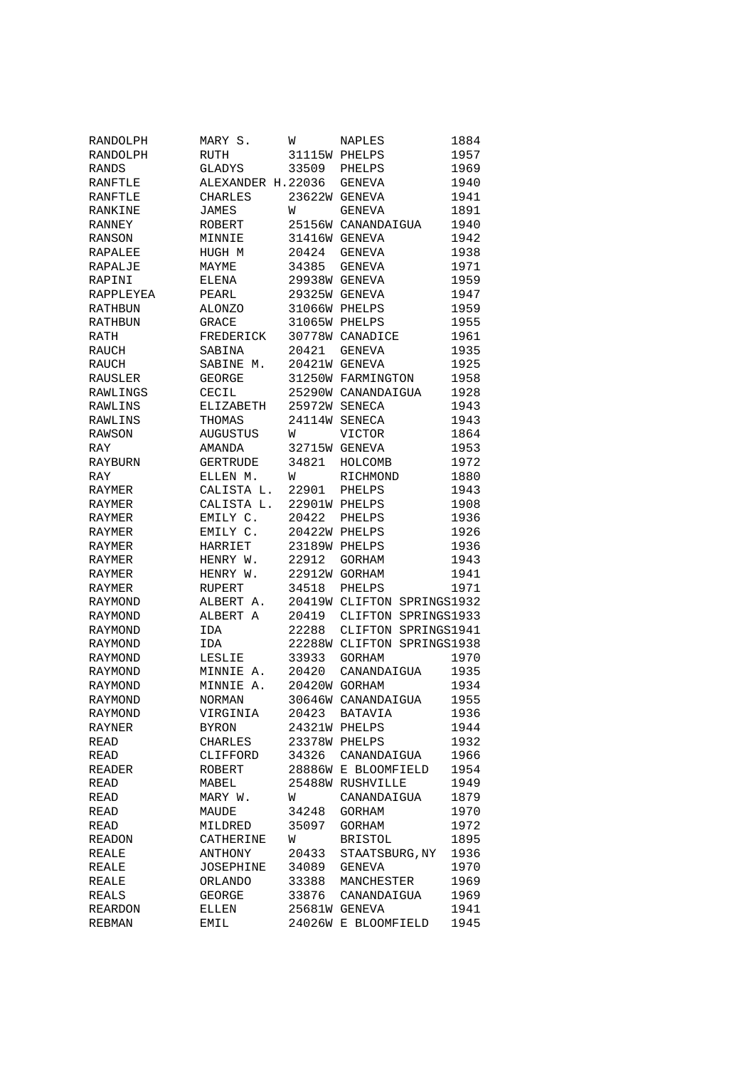| <b>RANDOLPH</b> | MARY S.           | W             | NAPLES                     | 1884 |
|-----------------|-------------------|---------------|----------------------------|------|
| RANDOLPH        | RUTH              | 31115W PHELPS |                            | 1957 |
| <b>RANDS</b>    | <b>GLADYS</b>     | 33509         | PHELPS                     | 1969 |
| <b>RANFTLE</b>  | ALEXANDER H.22036 |               | <b>GENEVA</b>              | 1940 |
| <b>RANFTLE</b>  | <b>CHARLES</b>    | 23622W GENEVA |                            | 1941 |
| RANKINE         | JAMES             | W             | <b>GENEVA</b>              | 1891 |
| <b>RANNEY</b>   | <b>ROBERT</b>     |               | 25156W CANANDAIGUA         | 1940 |
| RANSON          | MINNIE            | 31416W GENEVA |                            | 1942 |
| RAPALEE         | HUGH M            | 20424         | <b>GENEVA</b>              | 1938 |
| RAPALJE         | MAYME             | 34385         | <b>GENEVA</b>              | 1971 |
| RAPINI          | ELENA             | 29938W GENEVA |                            | 1959 |
| RAPPLEYEA       | PEARL             | 29325W GENEVA |                            | 1947 |
| <b>RATHBUN</b>  | <b>ALONZO</b>     | 31066W PHELPS |                            | 1959 |
| RATHBUN         | <b>GRACE</b>      | 31065W PHELPS |                            | 1955 |
| RATH            | FREDERICK         |               | 30778W CANADICE            | 1961 |
| <b>RAUCH</b>    | SABINA            | 20421         | <b>GENEVA</b>              | 1935 |
| <b>RAUCH</b>    | SABINE M.         | 20421W GENEVA |                            | 1925 |
| <b>RAUSLER</b>  | <b>GEORGE</b>     |               | 31250W FARMINGTON          | 1958 |
| RAWLINGS        | CECIL             |               | 25290W CANANDAIGUA         | 1928 |
| RAWLINS         | ELIZABETH         | 25972W SENECA |                            | 1943 |
| RAWLINS         | THOMAS            | 24114W        | SENECA                     | 1943 |
| RAWSON          | <b>AUGUSTUS</b>   | W             | <b>VICTOR</b>              | 1864 |
| RAY             | AMANDA            | 32715W GENEVA |                            | 1953 |
| RAYBURN         | <b>GERTRUDE</b>   | 34821         | HOLCOMB                    | 1972 |
| <b>RAY</b>      | ELLEN M.          | M             | RICHMOND                   | 1880 |
| <b>RAYMER</b>   | CALISTA L.        | 22901         | PHELPS                     | 1943 |
| RAYMER          | CALISTA L.        | 22901W PHELPS |                            | 1908 |
| RAYMER          | EMILY C.          | 20422         | PHELPS                     | 1936 |
| <b>RAYMER</b>   | EMILY C.          | 20422W        | PHELPS                     | 1926 |
| <b>RAYMER</b>   | <b>HARRIET</b>    | 23189W        | PHELPS                     | 1936 |
| RAYMER          | HENRY W.          | 22912         | GORHAM                     | 1943 |
| <b>RAYMER</b>   | HENRY W.          | 22912W        | GORHAM                     | 1941 |
| RAYMER          | RUPERT            | 34518         | PHELPS                     | 1971 |
| RAYMOND         | ALBERT A.         | 20419W        | CLIFTON SPRINGS1932        |      |
| RAYMOND         | ALBERT A          | 20419         | CLIFTON SPRINGS1933        |      |
| RAYMOND         | IDA               | 22288         | CLIFTON SPRINGS1941        |      |
| RAYMOND         | IDA               |               | 22288W CLIFTON SPRINGS1938 |      |
| <b>RAYMOND</b>  | LESLIE            | 33933         | GORHAM                     | 1970 |
| RAYMOND         | MINNIE A.         | 20420         | CANANDAIGUA                | 1935 |
| <b>RAYMOND</b>  | MINNIE A.         | 20420W        | GORHAM                     | 1934 |
| <b>RAYMOND</b>  | <b>NORMAN</b>     |               | 30646W CANANDAIGUA         | 1955 |
| RAYMOND         | VIRGINIA          | 20423         | BATAVIA                    | 1936 |
| RAYNER          | <b>BYRON</b>      | 24321W PHELPS |                            | 1944 |
| <b>READ</b>     | CHARLES           | 23378W PHELPS |                            | 1932 |
| READ            | CLIFFORD          | 34326         | CANANDAIGUA                | 1966 |
| READER          | ROBERT            | 28886W        | E BLOOMFIELD               | 1954 |
| <b>READ</b>     | MABEL             | 25488W        | <b>RUSHVILLE</b>           | 1949 |
| READ            | MARY W.           | W             | CANANDAIGUA                | 1879 |
| READ            | MAUDE             | 34248         | GORHAM                     | 1970 |
| READ            | MILDRED           | 35097         | GORHAM                     | 1972 |
| READON          | CATHERINE         | W             | BRISTOL                    | 1895 |
| REALE           | ANTHONY           | 20433         | STAATSBURG, NY             | 1936 |
| REALE           | JOSEPHINE         | 34089         | GENEVA                     | 1970 |
| REALE           | ORLANDO           | 33388         | MANCHESTER                 | 1969 |
| REALS           | GEORGE            | 33876         | CANANDAIGUA                | 1969 |
| REARDON         | ELLEN             |               | 25681W GENEVA              | 1941 |
| <b>REBMAN</b>   | EMIL              | 24026W        | E BLOOMFIELD               | 1945 |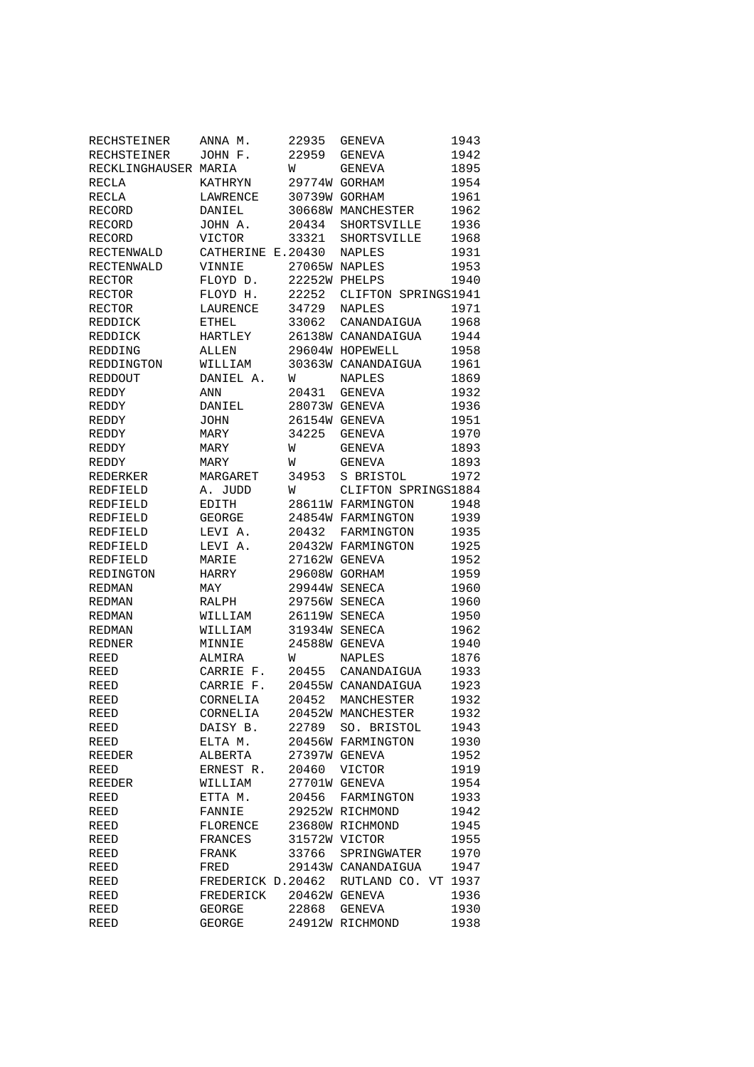| RECHSTEINER          | ANNA M.           | 22935  | <b>GENEVA</b>       | 1943 |
|----------------------|-------------------|--------|---------------------|------|
| RECHSTEINER          | JOHN F.           | 22959  | GENEVA              | 1942 |
| RECKLINGHAUSER MARIA |                   | W      | <b>GENEVA</b>       | 1895 |
| RECLA                | KATHRYN           | 29774W | GORHAM              | 1954 |
| RECLA                | LAWRENCE          | 30739W | GORHAM              | 1961 |
| RECORD               | DANIEL            | 30668W | MANCHESTER          | 1962 |
| <b>RECORD</b>        | JOHN A.           | 20434  | SHORTSVILLE         | 1936 |
| RECORD               | <b>VICTOR</b>     | 33321  | SHORTSVILLE         | 1968 |
| RECTENWALD           | CATHERINE E.20430 |        | NAPLES              | 1931 |
| RECTENWALD           | VINNIE            | 27065W | NAPLES              | 1953 |
| <b>RECTOR</b>        | FLOYD D.          | 22252W | PHELPS              | 1940 |
| <b>RECTOR</b>        | FLOYD H.          | 22252  | CLIFTON SPRINGS1941 |      |
| <b>RECTOR</b>        | LAURENCE          | 34729  | <b>NAPLES</b>       | 1971 |
| REDDICK              | <b>ETHEL</b>      | 33062  | CANANDAIGUA         | 1968 |
| REDDICK              | HARTLEY           |        | 26138W CANANDAIGUA  | 1944 |
| REDDING              | ALLEN             | 29604W | HOPEWELL            | 1958 |
| REDDINGTON           | WILLIAM           |        | 30363W CANANDAIGUA  | 1961 |
| REDDOUT              | DANIEL A.         | W      | NAPLES              | 1869 |
| REDDY                | ANN               | 20431  | GENEVA              | 1932 |
| <b>REDDY</b>         | DANIEL            |        | 28073W GENEVA       | 1936 |
| REDDY                | JOHN              | 26154W | <b>GENEVA</b>       | 1951 |
| REDDY                | MARY              | 34225  | <b>GENEVA</b>       | 1970 |
| REDDY                | MARY              | W      | <b>GENEVA</b>       | 1893 |
| <b>REDDY</b>         | MARY              | W      | <b>GENEVA</b>       | 1893 |
| REDERKER             | MARGARET          | 34953  | S BRISTOL           | 1972 |
| REDFIELD             | A. JUDD           | W      | CLIFTON SPRINGS1884 |      |
| REDFIELD             | EDITH             |        | 28611W FARMINGTON   | 1948 |
| REDFIELD             | <b>GEORGE</b>     | 24854W | FARMINGTON          | 1939 |
| REDFIELD             | LEVI A.           | 20432  | FARMINGTON          | 1935 |
| REDFIELD             | LEVI A.           |        | 20432W FARMINGTON   | 1925 |
| REDFIELD             | MARIE             |        | 27162W GENEVA       | 1952 |
| REDINGTON            | HARRY             |        | 29608W GORHAM       | 1959 |
| REDMAN               | MAY               | 29944W | SENECA              | 1960 |
| REDMAN               | RALPH             | 29756W | SENECA              | 1960 |
| REDMAN               | WILLIAM           | 26119W | SENECA              | 1950 |
| REDMAN               | WILLIAM           | 31934W | SENECA              | 1962 |
| REDNER               | MINNIE            |        | 24588W GENEVA       | 1940 |
| <b>REED</b>          | ALMIRA            | W      | <b>NAPLES</b>       | 1876 |
| REED                 | CARRIE F.         | 20455  | CANANDAIGUA         | 1933 |
| <b>REED</b>          | CARRIE F.         |        | 20455W CANANDAIGUA  | 1923 |
| <b>REED</b>          | CORNELIA          | 20452  | MANCHESTER          | 1932 |
| REED                 | CORNELIA          |        | 20452W MANCHESTER   | 1932 |
| REED                 | DAISY B.          | 22789  | SO. BRISTOL         | 1943 |
| REED                 | ELTA M.           |        | 20456W FARMINGTON   | 1930 |
| <b>REEDER</b>        | ALBERTA           |        | 27397W GENEVA       | 1952 |
| REED                 | ERNEST R.         | 20460  | VICTOR              | 1919 |
| REEDER               | WILLIAM           |        | 27701W GENEVA       | 1954 |
| <b>REED</b>          | ETTA M.           | 20456  | FARMINGTON          | 1933 |
| REED                 | FANNIE            |        | 29252W RICHMOND     | 1942 |
| REED                 | FLORENCE          |        | 23680W RICHMOND     | 1945 |
| REED                 | FRANCES           |        | 31572W VICTOR       | 1955 |
| REED                 | FRANK             | 33766  | SPRINGWATER         | 1970 |
| REED                 | FRED              |        | 29143W CANANDAIGUA  | 1947 |
| REED                 | FREDERICK D.20462 |        | RUTLAND CO. VT 1937 |      |
| REED                 | FREDERICK         |        | 20462W GENEVA       | 1936 |
| REED                 | GEORGE            | 22868  | GENEVA              | 1930 |
| <b>REED</b>          | GEORGE            |        | 24912W RICHMOND     | 1938 |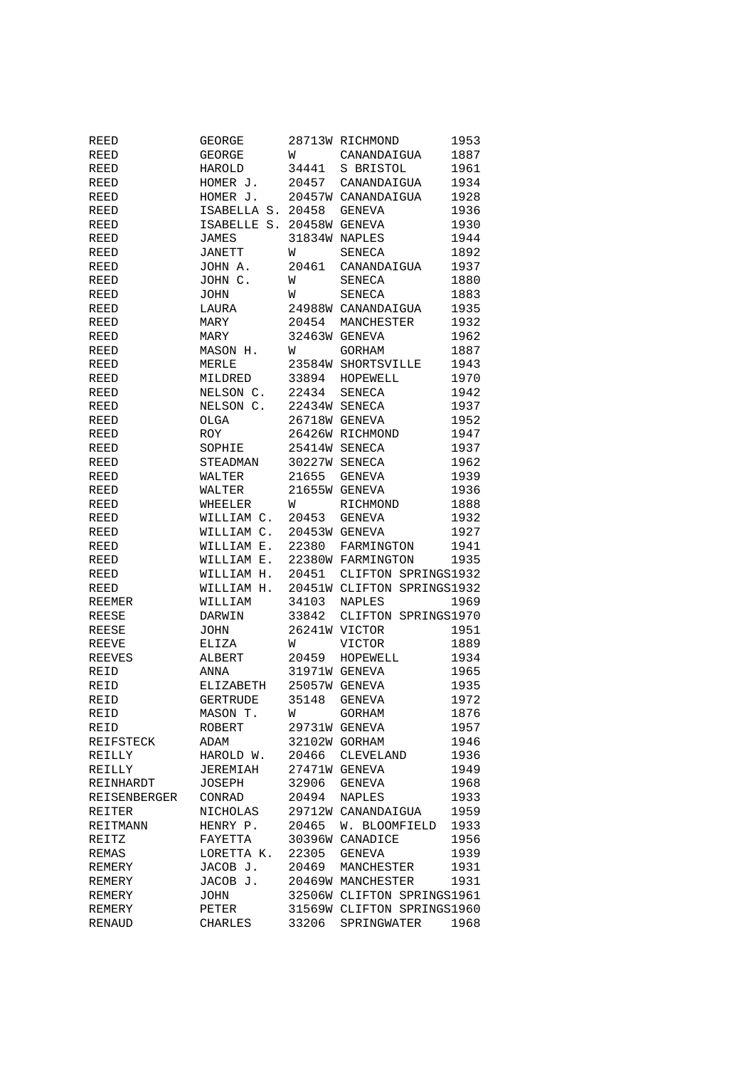| REED                | GEORGE                    |               | 28713W RICHMOND              | 1953 |
|---------------------|---------------------------|---------------|------------------------------|------|
| REED                | GEORGE                    | <b>W</b>      | CANANDAIGUA                  | 1887 |
| REED                | HAROLD                    |               | 34441 S BRISTOL              | 1961 |
| <b>REED</b>         | HOMER J.                  |               | 20457 CANANDAIGUA            | 1934 |
| REED                |                           |               | HOMER J. 20457W CANANDAIGUA  | 1928 |
| <b>REED</b>         | ISABELLA S. 20458 GENEVA  |               |                              | 1936 |
| <b>REED</b>         | ISABELLE S. 20458W GENEVA |               |                              | 1930 |
| REED                | JAMES                     |               | 31834W NAPLES                | 1944 |
| <b>REED</b>         | JANETT                    | <b>W</b>      | SENECA                       | 1892 |
| <b>REED</b>         | JOHN A.                   |               | 20461 CANANDAIGUA            | 1937 |
| REED                | JOHN C.                   | W             | SENECA                       | 1880 |
| <b>REED</b>         | <b>JOHN</b>               | <b>W</b>      | SENECA                       | 1883 |
| REED                | LAURA                     |               | 24988W CANANDAIGUA           | 1935 |
| REED                | MARY                      |               | 20454 MANCHESTER             | 1932 |
| <b>REED</b>         | MARY                      |               | 32463W GENEVA                | 1962 |
| REED                | MASON H.                  | <b>W</b>      | GORHAM                       | 1887 |
| REED                | MERLE                     |               | 23584W SHORTSVILLE           | 1943 |
| <b>REED</b>         | MILDRED                   |               | 33894 HOPEWELL               | 1970 |
| REED                | NELSON C.                 | 22434 SENECA  |                              | 1942 |
| <b>REED</b>         | NELSON C.                 |               | 22434W SENECA                | 1937 |
| <b>REED</b>         | OLGA                      |               | 26718W GENEVA                | 1952 |
| REED                | ROY                       |               | 26426W RICHMOND              | 1947 |
| REED                | SOPHIE                    |               | 25414W SENECA                | 1937 |
| <b>REED</b>         | STEADMAN                  |               | 30227W SENECA                | 1962 |
| REED                | WALTER                    |               | 21655 GENEVA                 | 1939 |
| <b>REED</b>         | WALTER                    |               | 21655W GENEVA                | 1936 |
| <b>REED</b>         | WHEELER                   | <b>W</b>      | RICHMOND                     | 1888 |
| REED                | WILLIAM C. 20453 GENEVA   |               |                              | 1932 |
| REED                | WILLIAM C. 20453W GENEVA  |               |                              | 1927 |
| <b>REED</b>         |                           |               | WILLIAM E. 22380 FARMINGTON  | 1941 |
| REED                |                           |               | WILLIAM E. 22380W FARMINGTON | 1935 |
| REED                | WILLIAM H.                |               | 20451 CLIFTON SPRINGS1932    |      |
| REED                | WILLIAM H.                |               | 20451W CLIFTON SPRINGS1932   |      |
| REEMER              | WILLIAM                   |               | 34103 NAPLES                 | 1969 |
| <b>REESE</b>        | DARWIN                    |               | 33842 CLIFTON SPRINGS1970    |      |
| REESE               | JOHN                      |               | 26241W VICTOR                | 1951 |
| <b>REEVE</b>        | ELIZA                     | <b>M</b>      | VICTOR                       | 1889 |
| REEVES              | ALBERT                    |               | 20459 HOPEWELL               | 1934 |
| <b>REID</b>         | ANNA                      | 31971W GENEVA |                              | 1965 |
| <b>REID</b>         | <b>ELIZABETH</b>          | 25057W GENEVA |                              | 1935 |
| REID                | GERTRUDE                  |               | 35148 GENEVA                 | 1972 |
| REID                | MASON T.                  | W             | GORHAM                       | 1876 |
| REID                | ROBERT                    |               | 29731W GENEVA                | 1957 |
| REIFSTECK           | ADAM                      |               | 32102W GORHAM                | 1946 |
| REILLY              | HAROLD W.                 |               | 20466 CLEVELAND              | 1936 |
| REILLY              | JEREMIAH                  |               | 27471W GENEVA                | 1949 |
| REINHARDT           | JOSEPH                    |               | 32906 GENEVA                 | 1968 |
| <b>REISENBERGER</b> | CONRAD                    | 20494         | NAPLES                       | 1933 |
| REITER              | NICHOLAS                  |               | 29712W CANANDAIGUA           | 1959 |
| REITMANN            | HENRY P.                  |               | 20465 W. BLOOMFIELD 1933     |      |
| REITZ               | FAYETTA                   |               | 30396W CANADICE              | 1956 |
| <b>REMAS</b>        | LORETTA K.                |               | 22305 GENEVA                 | 1939 |
| REMERY              | JACOB J.                  |               | 20469 MANCHESTER             | 1931 |
| REMERY              | JACOB J.                  |               | 20469W MANCHESTER            | 1931 |
| REMERY              | JOHN                      |               | 32506W CLIFTON SPRINGS1961   |      |
| REMERY              | PETER                     |               | 31569W CLIFTON SPRINGS1960   |      |
| <b>RENAUD</b>       | CHARLES                   | 33206         | SPRINGWATER                  | 1968 |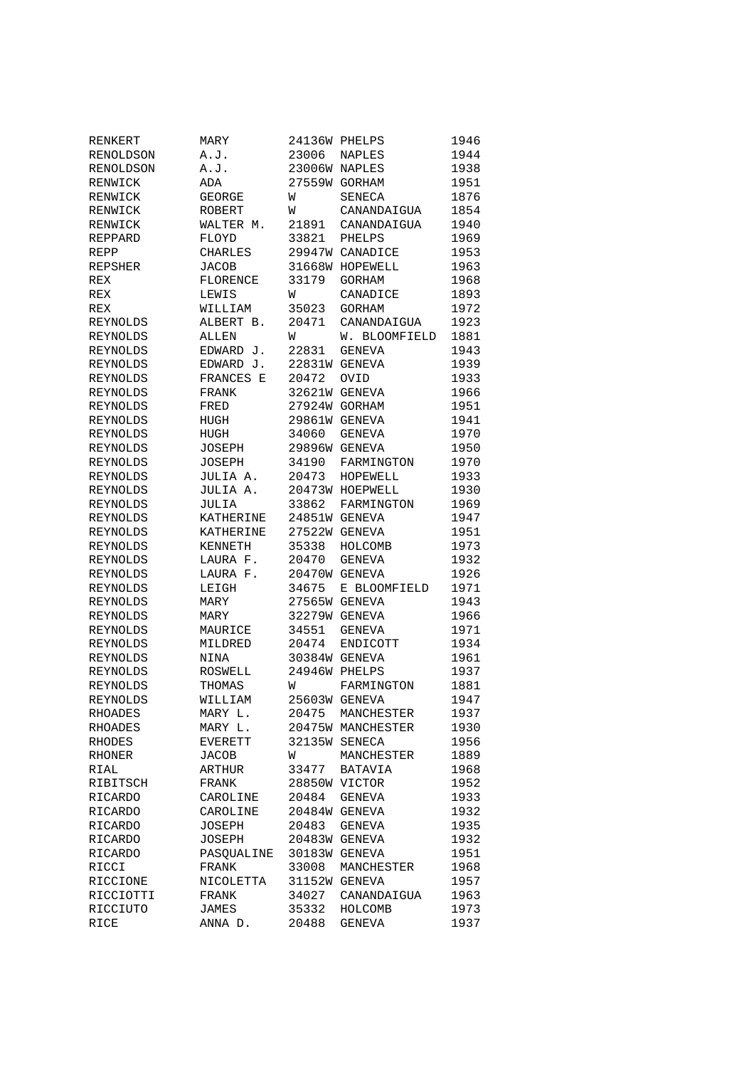| RENKERT         | MARY           | 24136W        | PHELPS         | 1946 |
|-----------------|----------------|---------------|----------------|------|
| RENOLDSON       | A.J.           | 23006         | NAPLES         | 1944 |
| RENOLDSON       | A.J.           | 23006W        | <b>NAPLES</b>  | 1938 |
| RENWICK         | ADA            | 27559W        | GORHAM         | 1951 |
| RENWICK         | GEORGE         | W             | SENECA         | 1876 |
| <b>RENWICK</b>  | <b>ROBERT</b>  | W             | CANANDAIGUA    | 1854 |
| RENWICK         | WALTER M.      | 21891         | CANANDAIGUA    | 1940 |
| REPPARD         | FLOYD          | 33821         | PHELPS         | 1969 |
| REPP            | <b>CHARLES</b> | 29947W        | CANADICE       | 1953 |
| <b>REPSHER</b>  | JACOB          | 31668W        | HOPEWELL       | 1963 |
| REX             | FLORENCE       | 33179         | GORHAM         | 1968 |
| REX             | LEWIS          | W             | CANADICE       | 1893 |
| REX             | WILLIAM        | 35023         | <b>GORHAM</b>  | 1972 |
| REYNOLDS        | ALBERT B.      | 20471         | CANANDAIGUA    | 1923 |
| REYNOLDS        | ALLEN          | W             | W. BLOOMFIELD  | 1881 |
| REYNOLDS        | EDWARD J.      | 22831         | <b>GENEVA</b>  | 1943 |
| REYNOLDS        | EDWARD J.      | 22831W        | <b>GENEVA</b>  | 1939 |
| REYNOLDS        | FRANCES<br>Е   | 20472         | OVID           | 1933 |
| <b>REYNOLDS</b> | FRANK          | 32621W        | GENEVA         | 1966 |
| <b>REYNOLDS</b> | FRED           | 27924W        | <b>GORHAM</b>  | 1951 |
| REYNOLDS        | HUGH           | 29861W        | <b>GENEVA</b>  | 1941 |
| REYNOLDS        | HUGH           | 34060         | GENEVA         | 1970 |
| <b>REYNOLDS</b> | <b>JOSEPH</b>  | 29896W        | <b>GENEVA</b>  | 1950 |
| REYNOLDS        | JOSEPH         | 34190         | FARMINGTON     | 1970 |
| <b>REYNOLDS</b> | JULIA A.       | 20473         | HOPEWELL       | 1933 |
| <b>REYNOLDS</b> | JULIA A.       | 20473W        | HOEPWELL       | 1930 |
| REYNOLDS        | JULIA          | 33862         | FARMINGTON     | 1969 |
| REYNOLDS        | KATHERINE      | 24851W        | <b>GENEVA</b>  | 1947 |
| REYNOLDS        | KATHERINE      | 27522W        | <b>GENEVA</b>  | 1951 |
| REYNOLDS        | KENNETH        | 35338         | HOLCOMB        | 1973 |
| REYNOLDS        | LAURA F.       | 20470         | <b>GENEVA</b>  | 1932 |
| REYNOLDS        | LAURA F.       | 20470W        | <b>GENEVA</b>  | 1926 |
| REYNOLDS        | LEIGH          | 34675         | E BLOOMFIELD   | 1971 |
| REYNOLDS        | MARY           | 27565W        | <b>GENEVA</b>  | 1943 |
| REYNOLDS        | MARY           | 32279W        | <b>GENEVA</b>  | 1966 |
| REYNOLDS        | MAURICE        | 34551         | GENEVA         | 1971 |
| REYNOLDS        | MILDRED        | 20474         | ENDICOTT       | 1934 |
| <b>REYNOLDS</b> | NINA           | 30384W GENEVA |                | 1961 |
| REYNOLDS        | ROSWELL        | 24946W        | PHELPS         | 1937 |
| <b>REYNOLDS</b> | THOMAS         | W             | FARMINGTON     | 1881 |
| <b>REYNOLDS</b> | WILLIAM        | 25603W GENEVA |                | 1947 |
| <b>RHOADES</b>  | MARY L.        | 20475         | MANCHESTER     | 1937 |
| RHOADES         | MARY L.        | 20475W        | MANCHESTER     | 1930 |
| RHODES          | <b>EVERETT</b> | 32135W        | SENECA         | 1956 |
| <b>RHONER</b>   | <b>JACOB</b>   | W             | MANCHESTER     | 1889 |
| RIAL            | ARTHUR         | 33477         | <b>BATAVIA</b> | 1968 |
| RIBITSCH        | FRANK          | 28850W        | <b>VICTOR</b>  | 1952 |
| <b>RICARDO</b>  | CAROLINE       | 20484         | GENEVA         | 1933 |
| <b>RICARDO</b>  | CAROLINE       | 20484W        | GENEVA         | 1932 |
| RICARDO         | <b>JOSEPH</b>  | 20483         | GENEVA         | 1935 |
| <b>RICARDO</b>  | <b>JOSEPH</b>  | 20483W GENEVA |                | 1932 |
| RICARDO         | PASQUALINE     | 30183W        | GENEVA         | 1951 |
| RICCI           | FRANK          | 33008         | MANCHESTER     | 1968 |
| RICCIONE        | NICOLETTA      | 31152W        | <b>GENEVA</b>  | 1957 |
| RICCIOTTI       | FRANK          | 34027         | CANANDAIGUA    | 1963 |
| RICCIUTO        | JAMES          | 35332         | HOLCOMB        | 1973 |
| RICE            | ANNA D.        | 20488         | <b>GENEVA</b>  | 1937 |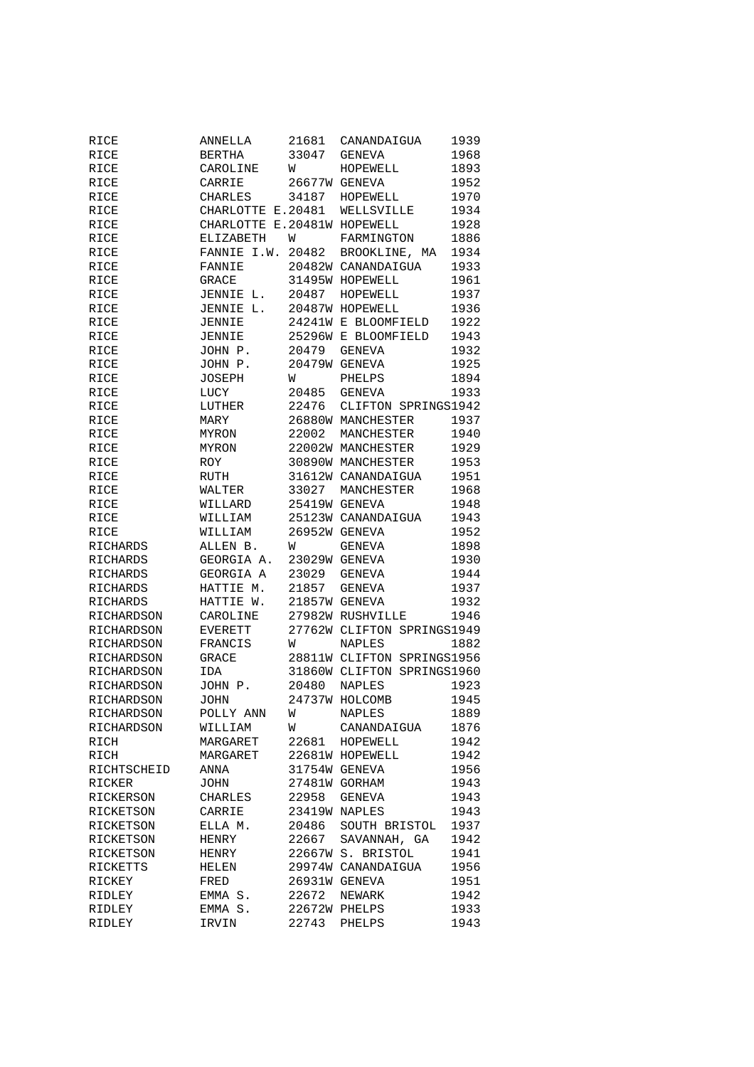| RICE                         | ANNELLA                      |               | 21681 CANANDAIGUA               | 1939 |
|------------------------------|------------------------------|---------------|---------------------------------|------|
| RICE                         | BERTHA                       | 33047         | GENEVA                          | 1968 |
| RICE                         | CAROLINE                     | ${\tt W}$     | HOPEWELL                        | 1893 |
| RICE                         | CARRIE                       | 26677W GENEVA |                                 | 1952 |
| RICE                         | CHARLES                      |               | 34187 HOPEWELL                  | 1970 |
| RICE                         | CHARLOTTE E.20481 WELLSVILLE |               |                                 | 1934 |
| <b>RICE</b>                  | CHARLOTTE E.20481W HOPEWELL  |               |                                 | 1928 |
| RICE                         | ELIZABETH W                  |               | FARMINGTON                      | 1886 |
| RICE                         |                              |               | FANNIE I.W. 20482 BROOKLINE, MA | 1934 |
| RICE                         | FANNIE                       |               | 20482W CANANDAIGUA              | 1933 |
| RICE                         | GRACE                        |               | 31495W HOPEWELL                 | 1961 |
| RICE                         | JENNIE L.                    |               | 20487 HOPEWELL                  | 1937 |
| RICE                         | JENNIE L.                    |               | 20487W HOPEWELL                 | 1936 |
| RICE                         | JENNIE                       |               | 24241W E BLOOMFIELD             | 1922 |
| RICE                         | JENNIE                       |               | 25296W E BLOOMFIELD             | 1943 |
| RICE                         | JOHN P.                      | 20479         | GENEVA                          | 1932 |
| RICE                         | JOHN P.                      |               | 20479W GENEVA                   | 1925 |
| RICE                         | JOSEPH                       | <b>W</b>      | PHELPS                          | 1894 |
| RICE                         | LUCY                         |               | 20485 GENEVA                    | 1933 |
| RICE                         | LUTHER                       |               | 22476 CLIFTON SPRINGS1942       |      |
| $\ensuremath{\mathsf{RICE}}$ | MARY                         |               | 26880W MANCHESTER               | 1937 |
| RICE                         | MYRON                        | 22002         | MANCHESTER                      | 1940 |
| RICE                         | MYRON                        |               | 22002W MANCHESTER               | 1929 |
| RICE                         | ROY                          |               | 30890W MANCHESTER               | 1953 |
| RICE                         | RUTH                         |               | 31612W CANANDAIGUA              | 1951 |
| RICE                         | WALTER                       |               | 33027 MANCHESTER                | 1968 |
| RICE                         | WILLARD                      |               | 25419W GENEVA                   | 1948 |
| RICE                         | WILLIAM                      |               | 25123W CANANDAIGUA              | 1943 |
| RICE                         | WILLIAM                      |               | 26952W GENEVA                   | 1952 |
| RICHARDS                     | ALLEN B.                     | <b>W</b>      | GENEVA                          | 1898 |
| RICHARDS                     | GEORGIA A.                   |               | 23029W GENEVA                   | 1930 |
| RICHARDS                     | GEORGIA A                    |               | 23029 GENEVA                    | 1944 |
| RICHARDS                     | HATTIE M.                    | 21857         | GENEVA                          | 1937 |
| RICHARDS                     | HATTIE W.                    |               | 21857W GENEVA                   | 1932 |
| RICHARDSON                   | CAROLINE                     |               | 27982W RUSHVILLE                | 1946 |
| RICHARDSON                   | EVERETT                      |               | 27762W CLIFTON SPRINGS1949      |      |
| RICHARDSON                   | FRANCIS                      | <b>M</b>      | NAPLES                          | 1882 |
| RICHARDSON                   | <b>GRACE</b>                 |               | 28811W CLIFTON SPRINGS1956      |      |
| RICHARDSON                   | IDA                          |               | 31860W CLIFTON SPRINGS1960      |      |
| RICHARDSON                   | JOHN P.                      | 20480         | NAPLES                          | 1923 |
| RICHARDSON                   | <b>JOHN</b>                  |               | 24737W HOLCOMB                  | 1945 |
| RICHARDSON                   | POLLY ANN                    | W             | NAPLES                          | 1889 |
| RICHARDSON                   | WILLIAM                      | W             | CANANDAIGUA                     | 1876 |
| RICH                         | MARGARET                     | 22681         | HOPEWELL                        | 1942 |
| RICH                         | MARGARET                     |               | 22681W HOPEWELL                 | 1942 |
| RICHTSCHEID                  | ANNA                         |               | 31754W GENEVA                   | 1956 |
| RICKER                       | JOHN                         |               | 27481W GORHAM                   | 1943 |
| RICKERSON                    | CHARLES                      | 22958         | GENEVA                          | 1943 |
| RICKETSON                    | CARRIE                       |               | 23419W NAPLES                   | 1943 |
| RICKETSON                    | ELLA M.                      | 20486         | SOUTH BRISTOL                   | 1937 |
| RICKETSON                    | HENRY                        | 22667         | SAVANNAH, GA                    | 1942 |
| RICKETSON                    | HENRY                        |               | 22667W S. BRISTOL               | 1941 |
| RICKETTS                     | HELEN                        |               | 29974W CANANDAIGUA              | 1956 |
| RICKEY                       | FRED                         |               | 26931W GENEVA                   | 1951 |
| RIDLEY                       | EMMA S.                      | 22672         | NEWARK                          | 1942 |
| RIDLEY                       | EMMA S.                      | 22672W PHELPS |                                 | 1933 |
| RIDLEY                       | IRVIN                        | 22743         | PHELPS                          | 1943 |
|                              |                              |               |                                 |      |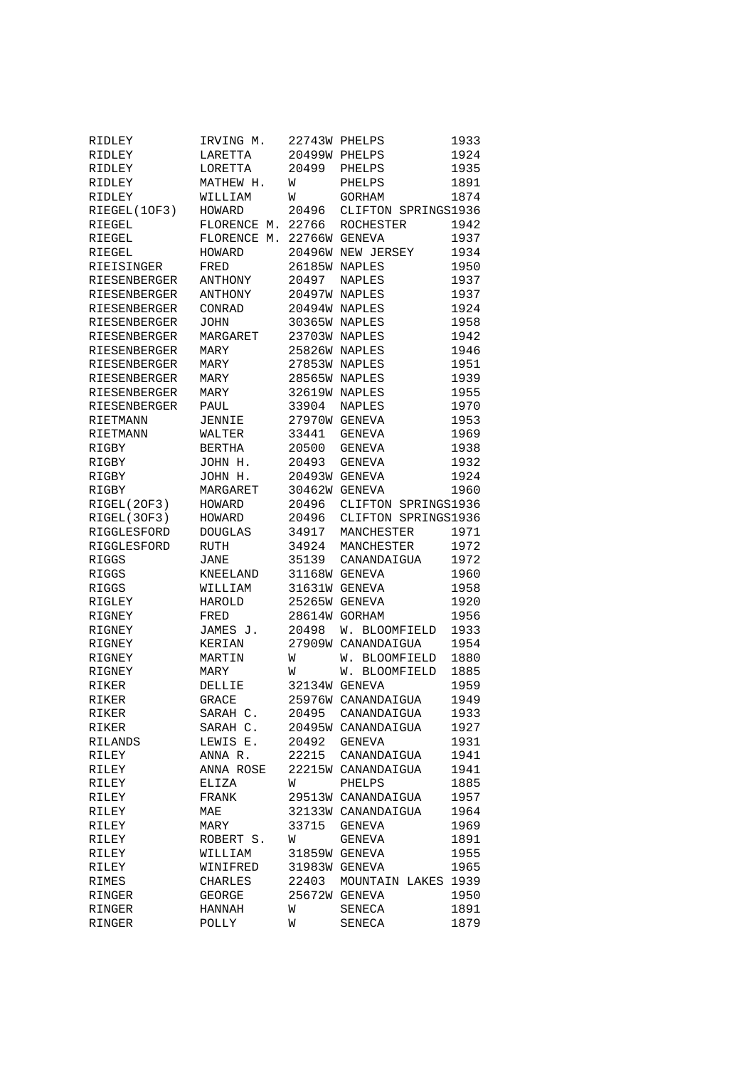| RIDLEY              | IRVING M.                    | 22743W PHELPS |                         | 1933 |
|---------------------|------------------------------|---------------|-------------------------|------|
| RIDLEY              | LARETTA                      | 20499W PHELPS |                         | 1924 |
| RIDLEY              | LORETTA                      | 20499         | PHELPS                  | 1935 |
| RIDLEY              | MATHEW H.                    | W             | PHELPS                  | 1891 |
| RIDLEY              | WILLIAM                      | W             | GORHAM                  | 1874 |
| RIEGEL (1OF3)       | HOWARD                       | 20496         | CLIFTON SPRINGS1936     |      |
| RIEGEL              | FLORENCE M.                  | 22766         | ROCHESTER               | 1942 |
| RIEGEL              | FLORENCE M.                  |               | 22766W GENEVA           | 1937 |
| RIEGEL              | HOWARD                       |               | 20496W NEW JERSEY       | 1934 |
| RIEISINGER          | FRED                         | 26185W NAPLES |                         | 1950 |
| RIESENBERGER        | <b>ANTHONY</b>               | 20497         | NAPLES                  | 1937 |
| RIESENBERGER        | ANTHONY                      | 20497W NAPLES |                         | 1937 |
| <b>RIESENBERGER</b> | CONRAD                       |               | 20494W NAPLES           | 1924 |
| RIESENBERGER        | <b>JOHN</b>                  |               | 30365W NAPLES           | 1958 |
| RIESENBERGER        | MARGARET                     | 23703W NAPLES |                         | 1942 |
| RIESENBERGER        | MARY                         | 25826W NAPLES |                         | 1946 |
| RIESENBERGER        | MARY                         | 27853W NAPLES |                         | 1951 |
| RIESENBERGER        | MARY                         |               | 28565W NAPLES           | 1939 |
| <b>RIESENBERGER</b> | $\ensuremath{\mathsf{MARY}}$ |               | 32619W NAPLES           | 1955 |
| RIESENBERGER        | PAUL                         | 33904         | NAPLES                  | 1970 |
| RIETMANN            | JENNIE                       |               | 27970W GENEVA           | 1953 |
| RIETMANN            | WALTER                       | 33441         | GENEVA                  | 1969 |
| RIGBY               | BERTHA                       | 20500         | GENEVA                  | 1938 |
| RIGBY               | JOHN H.                      | 20493         | <b>GENEVA</b>           | 1932 |
| RIGBY               | JOHN H.                      |               | 20493W GENEVA           | 1924 |
| RIGBY               | MARGARET                     |               | 30462W GENEVA           | 1960 |
| RIGEL (20F3)        | HOWARD                       | 20496         | CLIFTON SPRINGS1936     |      |
| RIGEL (30F3)        | HOWARD                       | 20496         | CLIFTON SPRINGS1936     |      |
| RIGGLESFORD         | <b>DOUGLAS</b>               | 34917         | MANCHESTER              | 1971 |
| RIGGLESFORD         | RUTH                         | 34924         | MANCHESTER              | 1972 |
| <b>RIGGS</b>        | JANE                         | 35139         | CANANDAIGUA             | 1972 |
| <b>RIGGS</b>        | KNEELAND                     |               | 31168W GENEVA           | 1960 |
| <b>RIGGS</b>        | WILLIAM                      |               | 31631W GENEVA           | 1958 |
| RIGLEY              | HAROLD                       |               | 25265W GENEVA           | 1920 |
| RIGNEY              | FRED                         |               | 28614W GORHAM           | 1956 |
| RIGNEY              | JAMES J.                     | 20498         | W. BLOOMFIELD           | 1933 |
| RIGNEY              | KERIAN                       |               | 27909W CANANDAIGUA      | 1954 |
| RIGNEY              | MARTIN                       | W             | W. BLOOMFIELD           | 1880 |
| RIGNEY              | MARY                         | W             | W.<br><b>BLOOMFIELD</b> | 1885 |
| <b>RIKER</b>        | DELLIE                       |               | 32134W GENEVA           | 1959 |
| RIKER               | GRACE                        |               | 25976W CANANDAIGUA      | 1949 |
| RIKER               | SARAH C.                     |               | 20495 CANANDAIGUA       | 1933 |
| RIKER               | SARAH C.                     |               | 20495W CANANDAIGUA      | 1927 |
| <b>RILANDS</b>      | LEWIS E.                     | 20492         | GENEVA                  | 1931 |
| RILEY               | ANNA R.                      | 22215         | CANANDAIGUA             | 1941 |
| RILEY               | ANNA ROSE                    |               | 22215W CANANDAIGUA      | 1941 |
| RILEY               | ELIZA                        | W             | PHELPS                  | 1885 |
| RILEY               | FRANK                        |               | 29513W CANANDAIGUA      | 1957 |
| RILEY               | MAE                          |               | 32133W CANANDAIGUA      | 1964 |
| RILEY               | MARY                         | 33715         | GENEVA                  | 1969 |
| RILEY               | ROBERT S.                    | W             | GENEVA                  | 1891 |
| RILEY               | WILLIAM                      |               | 31859W GENEVA           | 1955 |
| RILEY               | WINIFRED                     |               | 31983W GENEVA           | 1965 |
| RIMES               | CHARLES                      | 22403         | MOUNTAIN LAKES 1939     |      |
| RINGER              | GEORGE                       | 25672W GENEVA |                         | 1950 |
| RINGER              | HANNAH                       | W             | SENECA                  | 1891 |
| RINGER              | <b>POLLY</b>                 | W             | SENECA                  | 1879 |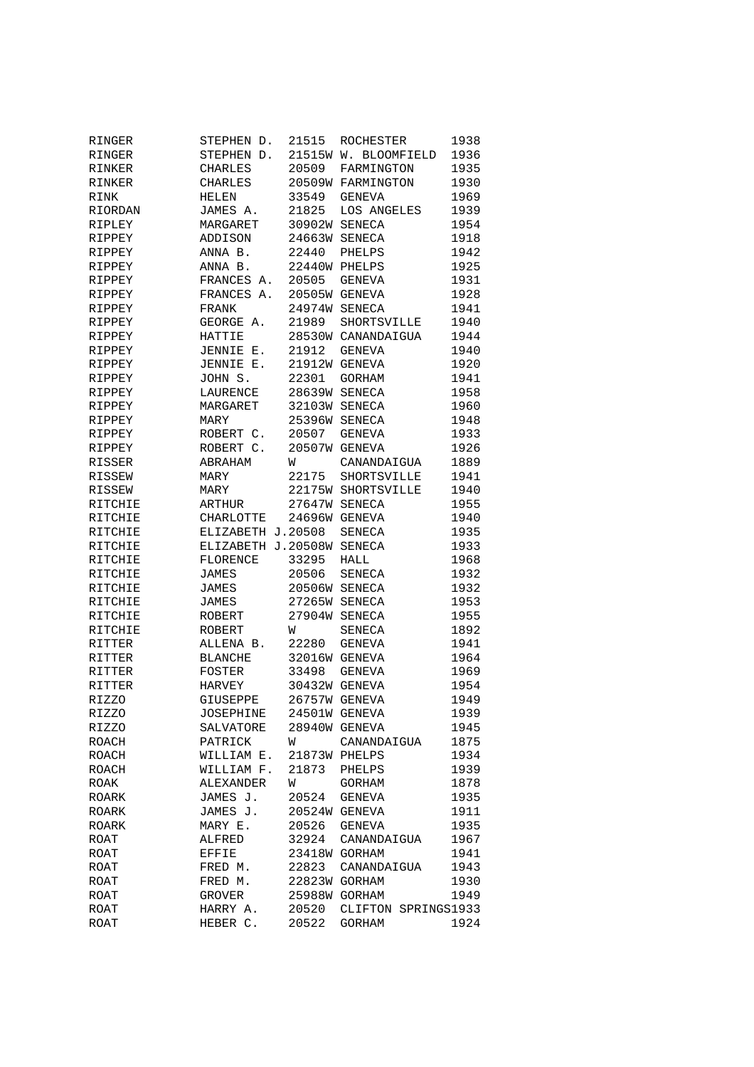| RINGER        | STEPHEN D.         | 21515         | ROCHESTER                            | 1938 |
|---------------|--------------------|---------------|--------------------------------------|------|
| RINGER        | STEPHEN D.         |               | 21515W W. BLOOMFIELD                 | 1936 |
| RINKER        | CHARLES            | 20509         | FARMINGTON                           | 1935 |
| RINKER        | CHARLES            | 20509W        | FARMINGTON                           | 1930 |
| RINK          | <b>HELEN</b>       | 33549         | <b>GENEVA</b>                        | 1969 |
| RIORDAN       | JAMES A.           | 21825         | LOS ANGELES                          | 1939 |
| RIPLEY        | MARGARET           |               | 30902W SENECA                        | 1954 |
| RIPPEY        | ADDISON            | 24663W        | SENECA                               | 1918 |
| RIPPEY        | ANNA B.            | 22440         | PHELPS                               | 1942 |
| RIPPEY        | ANNA B.            | 22440W        | PHELPS                               | 1925 |
| RIPPEY        | FRANCES A.         | 20505         | GENEVA                               | 1931 |
| RIPPEY        | FRANCES A.         | 20505W        | GENEVA                               | 1928 |
| RIPPEY        | FRANK              | 24974W        | SENECA                               | 1941 |
| RIPPEY        | GEORGE A.          | 21989         | SHORTSVILLE                          | 1940 |
| RIPPEY        | HATTIE             |               | 28530W CANANDAIGUA                   | 1944 |
| RIPPEY        | JENNIE E.          | 21912         | <b>GENEVA</b>                        | 1940 |
| RIPPEY        | JENNIE E.          |               | 21912W GENEVA                        | 1920 |
| RIPPEY        | JOHN S.            | 22301         | GORHAM                               | 1941 |
| RIPPEY        | LAURENCE           |               | 28639W SENECA                        | 1958 |
| RIPPEY        | MARGARET           |               | 32103W SENECA                        | 1960 |
| RIPPEY        | MARY               | 25396W        | SENECA                               | 1948 |
| RIPPEY        | ROBERT C.          | 20507         | <b>GENEVA</b>                        | 1933 |
| RIPPEY        | ROBERT C.          |               | 20507W GENEVA                        | 1926 |
| RISSER        | ABRAHAM            | W             | CANANDAIGUA                          | 1889 |
| RISSEW        | MARY               | 22175         | SHORTSVILLE                          | 1941 |
| RISSEW        | MARY               |               | 22175W SHORTSVILLE                   | 1940 |
| RITCHIE       | ARTHUR             |               | 27647W SENECA                        | 1955 |
| RITCHIE       | CHARLOTTE          | 24696W        | <b>GENEVA</b>                        | 1940 |
| RITCHIE       | ELIZABETH J.20508  |               | SENECA                               | 1935 |
| RITCHIE       | ELIZABETH J.20508W |               | SENECA                               | 1933 |
| RITCHIE       | FLORENCE           | 33295         | HALL                                 | 1968 |
| RITCHIE       | JAMES              | 20506         | SENECA                               | 1932 |
| RITCHIE       | <b>JAMES</b>       |               | 20506W SENECA                        | 1932 |
| RITCHIE       | JAMES              | 27265W        | SENECA                               | 1953 |
| RITCHIE       | ROBERT             | 27904W        | SENECA                               | 1955 |
| RITCHIE       | ROBERT             | W             | SENECA                               | 1892 |
| RITTER        | ALLENA B.          | 22280         | GENEVA                               | 1941 |
| RITTER        | <b>BLANCHE</b>     | 32016W        | <b>GENEVA</b>                        | 1964 |
| RITTER        | FOSTER             | 33498         | <b>GENEVA</b>                        | 1969 |
| <b>RITTER</b> | <b>HARVEY</b>      |               | 30432W GENEVA                        | 1954 |
| <b>RIZZO</b>  | GIUSEPPE           | 26757W GENEVA |                                      | 1949 |
| RIZZO         | JOSEPHINE          |               | 24501W GENEVA                        | 1939 |
| RIZZO         | SALVATORE          |               | 28940W GENEVA                        | 1945 |
| ${\tt ROACH}$ | PATRICK            | <b>W</b>      | CANANDAIGUA                          | 1875 |
| ROACH         | WILLIAM E.         | 21873W PHELPS |                                      | 1934 |
| ROACH         | WILLIAM F.         | 21873         | PHELPS                               | 1939 |
| ROAK          | ALEXANDER          | W             | GORHAM                               | 1878 |
| ROARK         | JAMES J.           |               | 20524 GENEVA                         | 1935 |
| ROARK         | JAMES J.           |               | 20524W GENEVA                        | 1911 |
| <b>ROARK</b>  | MARY E.            |               | 20526 GENEVA                         | 1935 |
| ROAT          | ALFRED             |               | 32924 CANANDAIGUA                    | 1967 |
| ROAT          | <b>EFFIE</b>       |               | 23418W GORHAM                        | 1941 |
| ROAT          | FRED M.            | 22823         | CANANDAIGUA                          | 1943 |
| ROAT          | FRED M.            |               | 22823W GORHAM                        | 1930 |
| ROAT<br>ROAT  | GROVER<br>HARRY A. | 20520         | 25988W GORHAM<br>CLIFTON SPRINGS1933 | 1949 |
| ROAT          | HEBER C.           | 20522         | GORHAM                               | 1924 |
|               |                    |               |                                      |      |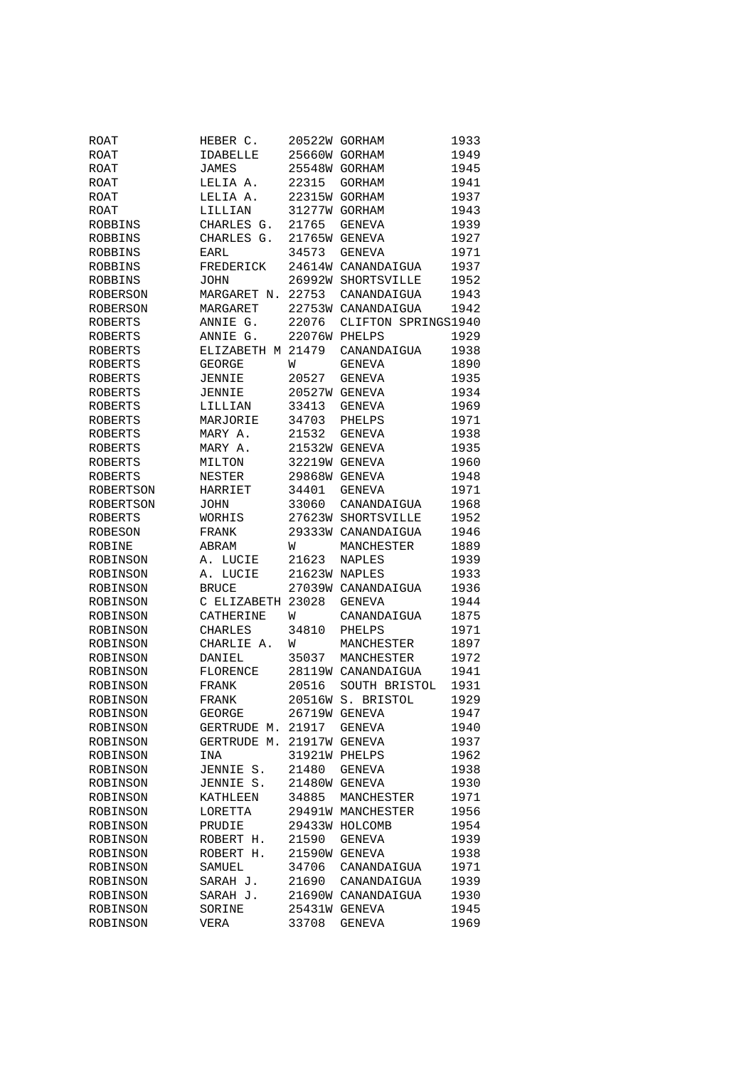| ROAT             | HEBER C.          | 20522W GORHAM |                     | 1933 |
|------------------|-------------------|---------------|---------------------|------|
| ROAT             | IDABELLE          | 25660W GORHAM |                     | 1949 |
| ROAT             | JAMES             | 25548W        | GORHAM              | 1945 |
| ROAT             | LELIA A.          | 22315         | GORHAM              | 1941 |
| <b>ROAT</b>      | LELIA A.          | 22315W        | GORHAM              | 1937 |
| ROAT             | LILLIAN           | 31277W        | GORHAM              | 1943 |
| ROBBINS          | CHARLES G.        | 21765         | GENEVA              | 1939 |
| ROBBINS          | CHARLES G.        | 21765W        | <b>GENEVA</b>       | 1927 |
| ROBBINS          | EARL              | 34573         | <b>GENEVA</b>       | 1971 |
| ROBBINS          | FREDERICK         | 24614W        | CANANDAIGUA         | 1937 |
| ROBBINS          | JOHN              | 26992W        | SHORTSVILLE         | 1952 |
| ROBERSON         | MARGARET N.       | 22753         | CANANDAIGUA         | 1943 |
| ROBERSON         | MARGARET          |               | 22753W CANANDAIGUA  | 1942 |
| <b>ROBERTS</b>   | ANNIE G.          | 22076         | CLIFTON SPRINGS1940 |      |
| ROBERTS          | ANNIE G.          | 22076W        | PHELPS              | 1929 |
| ROBERTS          | ELIZABETH M 21479 |               | CANANDAIGUA         | 1938 |
| ROBERTS          | GEORGE            | W             | <b>GENEVA</b>       | 1890 |
| ROBERTS          | <b>JENNIE</b>     | 20527         | GENEVA              | 1935 |
| ROBERTS          | JENNIE            | 20527W        | GENEVA              | 1934 |
| <b>ROBERTS</b>   | LILLIAN           | 33413         | <b>GENEVA</b>       | 1969 |
| ROBERTS          | MARJORIE          | 34703         | PHELPS              | 1971 |
| ROBERTS          | MARY A.           | 21532         | GENEVA              | 1938 |
| ROBERTS          | MARY A.           | 21532W        | <b>GENEVA</b>       | 1935 |
| ROBERTS          | MILTON            | 32219W        | GENEVA              | 1960 |
| <b>ROBERTS</b>   | <b>NESTER</b>     | 29868W        | <b>GENEVA</b>       | 1948 |
| <b>ROBERTSON</b> | HARRIET           | 34401         | <b>GENEVA</b>       | 1971 |
| ROBERTSON        | JOHN              | 33060         | CANANDAIGUA         | 1968 |
| ROBERTS          | WORHIS            | 27623W        | SHORTSVILLE         | 1952 |
| <b>ROBESON</b>   | FRANK             | 29333W        | CANANDAIGUA         | 1946 |
| ROBINE           | ABRAM             | W             | MANCHESTER          | 1889 |
| ROBINSON         | Α.<br>LUCIE       | 21623         | NAPLES              | 1939 |
| ROBINSON         | Α.<br>LUCIE       |               | 21623W NAPLES       | 1933 |
| ROBINSON         | <b>BRUCE</b>      |               | 27039W CANANDAIGUA  | 1936 |
| ROBINSON         | C ELIZABETH 23028 |               | GENEVA              | 1944 |
| ROBINSON         | CATHERINE         | W             | CANANDAIGUA         | 1875 |
| ROBINSON         | CHARLES           | 34810         | PHELPS              | 1971 |
| ROBINSON         | CHARLIE A.        | W             | MANCHESTER          | 1897 |
| ROBINSON         | DANIEL            | 35037         | MANCHESTER          | 1972 |
| ROBINSON         | FLORENCE          |               | 28119W CANANDAIGUA  | 1941 |
| ROBINSON         | FRANK             | 20516         | SOUTH BRISTOL       | 1931 |
| ROBINSON         | FRANK             |               | 20516W S. BRISTOL   | 1929 |
| ROBINSON         | GEORGE            |               | 26719W GENEVA       | 1947 |
| ROBINSON         | GERTRUDE M.       | 21917         | GENEVA              | 1940 |
| ROBINSON         | GERTRUDE M.       |               | 21917W GENEVA       | 1937 |
| ROBINSON         | INA               | 31921W PHELPS |                     | 1962 |
| ROBINSON         | JENNIE S.         | 21480         | GENEVA              | 1938 |
| ROBINSON         | JENNIE S.         | 21480W GENEVA |                     | 1930 |
| ROBINSON         | KATHLEEN          | 34885         | MANCHESTER          | 1971 |
| ROBINSON         | LORETTA           |               | 29491W MANCHESTER   | 1956 |
| ROBINSON         | PRUDIE            |               | 29433W HOLCOMB      | 1954 |
| ROBINSON         | ROBERT H.         | 21590         | GENEVA              | 1939 |
| ROBINSON         | ROBERT H.         | 21590W        | GENEVA              | 1938 |
| ROBINSON         | SAMUEL            | 34706         | CANANDAIGUA         | 1971 |
| ROBINSON         | SARAH J.          | 21690         | CANANDAIGUA         | 1939 |
| ROBINSON         | SARAH J.          |               | 21690W CANANDAIGUA  | 1930 |
| ROBINSON         | SORINE            | 25431W        | GENEVA              | 1945 |
| ROBINSON         | VERA              | 33708         | GENEVA              | 1969 |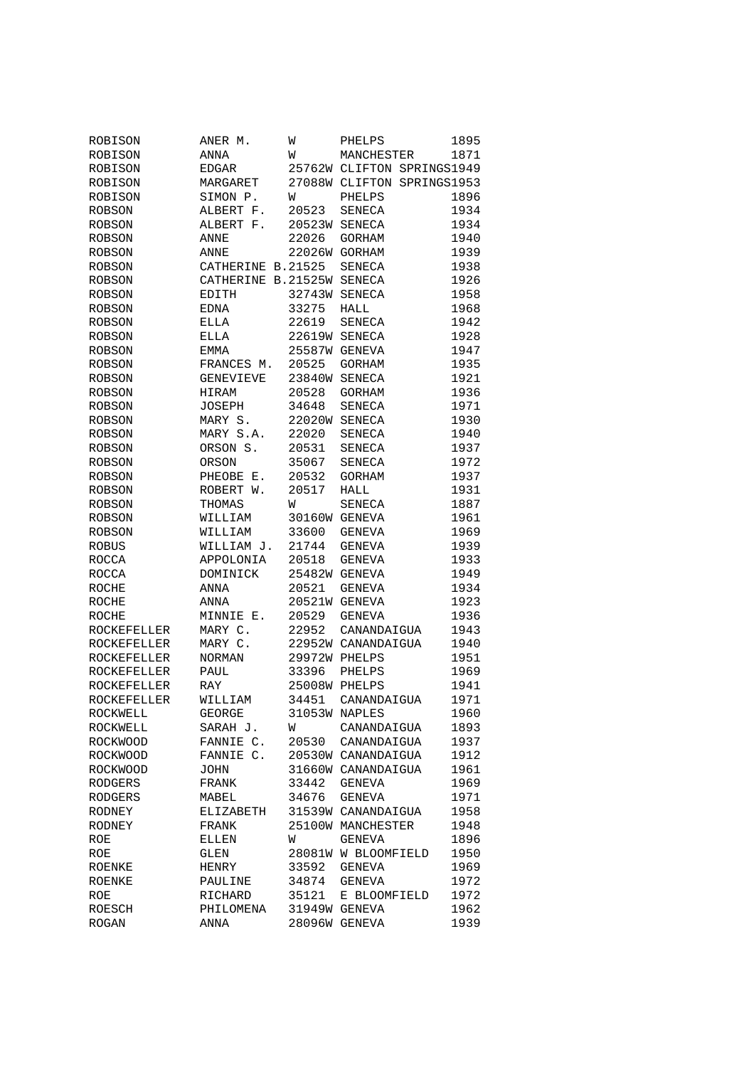| ROBISON            | ANER M.            | W             | PHELPS                     | 1895 |
|--------------------|--------------------|---------------|----------------------------|------|
| ROBISON            | <b>ANNA</b>        | W             | MANCHESTER                 | 1871 |
| ROBISON            | <b>EDGAR</b>       |               | 25762W CLIFTON SPRINGS1949 |      |
| ROBISON            | MARGARET           |               | 27088W CLIFTON SPRINGS1953 |      |
| ROBISON            | SIMON P.           | W             | PHELPS                     | 1896 |
| <b>ROBSON</b>      | ALBERT F.          | 20523         | SENECA                     | 1934 |
| ROBSON             | ALBERT F.          | 20523W        | SENECA                     | 1934 |
| ROBSON             | ANNE               | 22026         | GORHAM                     | 1940 |
| <b>ROBSON</b>      | ANNE               | 22026W        | GORHAM                     | 1939 |
| ROBSON             | CATHERINE          | B.21525       | SENECA                     | 1938 |
| ROBSON             | CATHERINE B.21525W |               | SENECA                     | 1926 |
| ROBSON             | EDITH              | 32743W        | SENECA                     | 1958 |
| ROBSON             | <b>EDNA</b>        | 33275         | HALL                       | 1968 |
| ROBSON             | <b>ELLA</b>        | 22619         | SENECA                     | 1942 |
| ROBSON             | ELLA               | 22619W        | SENECA                     | 1928 |
| ROBSON             | EMMA               | 25587W        | <b>GENEVA</b>              | 1947 |
| ROBSON             | FRANCES M.         | 20525         | GORHAM                     | 1935 |
| ROBSON             | <b>GENEVIEVE</b>   | 23840W        | SENECA                     | 1921 |
| ROBSON             | HIRAM              | 20528         | GORHAM                     | 1936 |
| ROBSON             | <b>JOSEPH</b>      | 34648         | <b>SENECA</b>              | 1971 |
| <b>ROBSON</b>      | MARY S.            | 22020W        | SENECA                     | 1930 |
| <b>ROBSON</b>      | MARY S.A.          | 22020         | SENECA                     | 1940 |
| ROBSON             | ORSON S.           | 20531         | SENECA                     | 1937 |
| ROBSON             | ORSON              | 35067         | SENECA                     | 1972 |
| ROBSON             | PHEOBE E.          | 20532         | <b>GORHAM</b>              | 1937 |
| ROBSON             | ROBERT W.          | 20517         | HALL                       | 1931 |
| ROBSON             | THOMAS             | W             | SENECA                     | 1887 |
| ROBSON             | WILLIAM            | 30160W GENEVA |                            | 1961 |
| ROBSON             | WILLIAM            | 33600         | <b>GENEVA</b>              | 1969 |
| <b>ROBUS</b>       | WILLIAM J.         | 21744         | <b>GENEVA</b>              | 1939 |
| <b>ROCCA</b>       | APPOLONIA          | 20518         | <b>GENEVA</b>              | 1933 |
| <b>ROCCA</b>       | DOMINICK           | 25482W        | <b>GENEVA</b>              | 1949 |
| <b>ROCHE</b>       | ANNA               | 20521         | <b>GENEVA</b>              | 1934 |
| <b>ROCHE</b>       | ANNA               | 20521W GENEVA |                            | 1923 |
| <b>ROCHE</b>       | MINNIE E.          | 20529         | <b>GENEVA</b>              | 1936 |
| ROCKEFELLER        | MARY C.            | 22952         | CANANDAIGUA                | 1943 |
| ROCKEFELLER        | MARY C.            |               | 22952W CANANDAIGUA         | 1940 |
| <b>ROCKEFELLER</b> | <b>NORMAN</b>      | 29972W        | PHELPS                     | 1951 |
| <b>ROCKEFELLER</b> | PAUL               | 33396         | PHELPS                     | 1969 |
| <b>ROCKEFELLER</b> | <b>RAY</b>         | 25008W        | PHELPS                     | 1941 |
| ROCKEFELLER        | WILLIAM            |               | 34451 CANANDAIGUA          | 1971 |
| ROCKWELL           | GEORGE             | 31053W NAPLES |                            | 1960 |
| ROCKWELL           | SARAH J.           | W             | CANANDAIGUA                | 1893 |
| ROCKWOOD           | FANNIE C.          |               | 20530 CANANDAIGUA          | 1937 |
| <b>ROCKWOOD</b>    | FANNIE C.          |               | 20530W CANANDAIGUA         | 1912 |
| <b>ROCKWOOD</b>    | <b>JOHN</b>        |               | 31660W CANANDAIGUA         | 1961 |
| RODGERS            | FRANK              | 33442         | GENEVA                     | 1969 |
| RODGERS            | MABEL              | 34676         | GENEVA                     | 1971 |
| RODNEY             | ELIZABETH          |               | 31539W CANANDAIGUA         | 1958 |
| RODNEY             | FRANK              |               | 25100W MANCHESTER          | 1948 |
| ROE                | ELLEN              | W             | GENEVA                     | 1896 |
| ROE                | GLEN               |               | 28081W W BLOOMFIELD        | 1950 |
| ROENKE             | HENRY              | 33592         | GENEVA                     | 1969 |
| ROENKE             | PAULINE            | 34874         | <b>GENEVA</b>              | 1972 |
| ROE                | RICHARD            | 35121         | E BLOOMFIELD               | 1972 |
| ROESCH             | PHILOMENA          | 31949W        | GENEVA                     | 1962 |
| <b>ROGAN</b>       | ANNA               |               | 28096W GENEVA              | 1939 |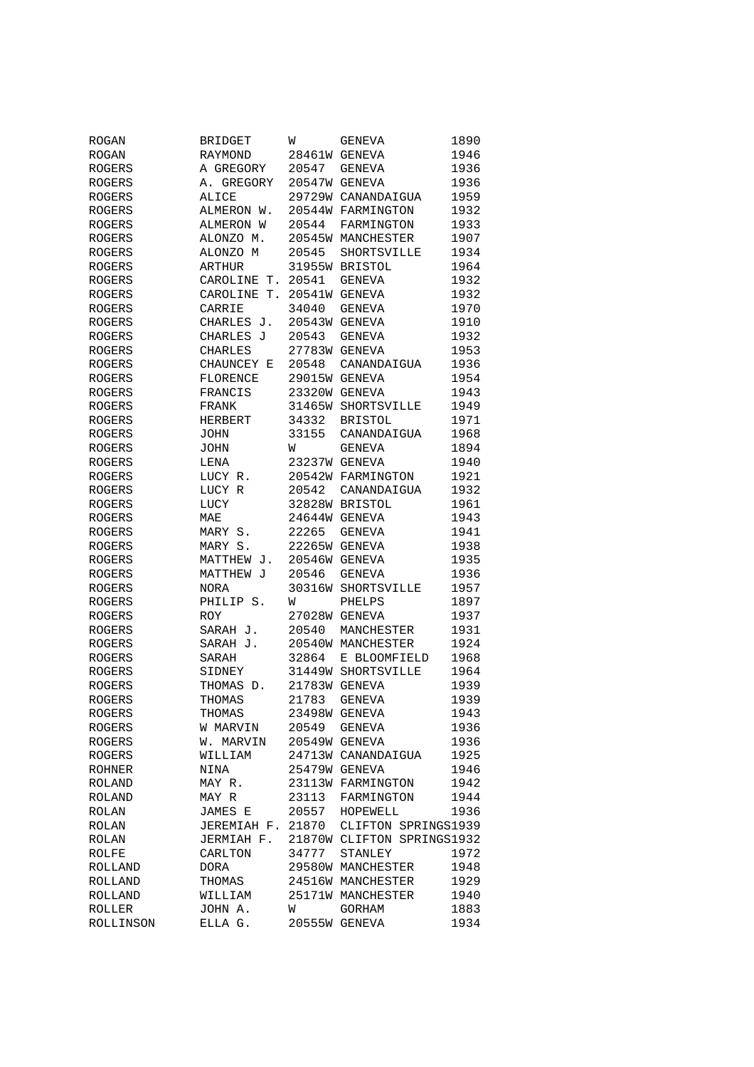| ROGAN         | <b>BRIDGET</b> | W             | GENEVA                                | 1890         |
|---------------|----------------|---------------|---------------------------------------|--------------|
| ROGAN         | <b>RAYMOND</b> |               | 28461W GENEVA                         | 1946         |
| <b>ROGERS</b> | A GREGORY      | 20547         | <b>GENEVA</b>                         | 1936         |
| ROGERS        | A. GREGORY     | 20547W GENEVA |                                       | 1936         |
| ROGERS        | ALICE          |               | 29729W CANANDAIGUA                    | 1959         |
| <b>ROGERS</b> | ALMERON W.     | 20544W        | FARMINGTON                            | 1932         |
| <b>ROGERS</b> | ALMERON W      | 20544         | FARMINGTON                            | 1933         |
| <b>ROGERS</b> | ALONZO M.      |               | 20545W MANCHESTER                     | 1907         |
| <b>ROGERS</b> | ALONZO M       | 20545         | SHORTSVILLE                           | 1934         |
| <b>ROGERS</b> | ARTHUR         |               | 31955W BRISTOL                        | 1964         |
| ROGERS        | CAROLINE T.    | 20541         | <b>GENEVA</b>                         | 1932         |
| ROGERS        | CAROLINE<br>Т. | 20541W        | <b>GENEVA</b>                         | 1932         |
| ROGERS        | CARRIE         | 34040         | GENEVA                                | 1970         |
| <b>ROGERS</b> | CHARLES J.     | 20543W GENEVA |                                       | 1910         |
| <b>ROGERS</b> | CHARLES J      | 20543         | <b>GENEVA</b>                         | 1932         |
| ROGERS        | CHARLES        | 27783W GENEVA |                                       | 1953         |
| ROGERS        | CHAUNCEY E     | 20548         | CANANDAIGUA                           | 1936         |
| ROGERS        | FLORENCE       | 29015W        | <b>GENEVA</b>                         | 1954         |
| <b>ROGERS</b> | FRANCIS        | 23320W        | <b>GENEVA</b>                         | 1943         |
| <b>ROGERS</b> | FRANK          | 31465W        | SHORTSVILLE                           | 1949         |
| <b>ROGERS</b> | HERBERT        | 34332         | <b>BRISTOL</b>                        | 1971         |
| ROGERS        | JOHN           | 33155         | CANANDAIGUA                           | 1968         |
| ROGERS        | JOHN           | W             | <b>GENEVA</b>                         | 1894         |
| <b>ROGERS</b> | LENA           | 23237W        | <b>GENEVA</b>                         | 1940         |
| <b>ROGERS</b> | LUCY R.        | 20542W        | FARMINGTON                            | 1921         |
| <b>ROGERS</b> | LUCY R         | 20542         | CANANDAIGUA                           | 1932         |
| <b>ROGERS</b> | LUCY           |               | 32828W BRISTOL                        | 1961         |
| ROGERS        | MAE            | 24644W        | <b>GENEVA</b>                         | 1943         |
| ROGERS        | MARY S.        | 22265         | GENEVA                                | 1941         |
| <b>ROGERS</b> | MARY S.        |               | 22265W GENEVA                         | 1938         |
| <b>ROGERS</b> | MATTHEW J.     | 20546W        | <b>GENEVA</b>                         | 1935         |
| <b>ROGERS</b> | MATTHEW<br>J   | 20546         | GENEVA                                | 1936         |
| <b>ROGERS</b> | NORA           | 30316W        | SHORTSVILLE                           | 1957         |
| ROGERS        | PHILIP<br>S.   | W             | PHELPS                                | 1897         |
| <b>ROGERS</b> | ROY            | 27028W GENEVA |                                       | 1937         |
| ROGERS        | SARAH J.       | 20540         | MANCHESTER                            | 1931         |
| ROGERS        | SARAH J.       |               | 20540W MANCHESTER                     | 1924         |
| <b>ROGERS</b> | SARAH          | 32864         | E BLOOMFIELD                          | 1968         |
| <b>ROGERS</b> | SIDNEY         | 31449W        | SHORTSVILLE                           | 1964         |
| <b>ROGERS</b> | THOMAS D.      | 21783W GENEVA |                                       | 1939         |
| ROGERS        | THOMAS         | 21783         | GENEVA                                | 1939         |
| ROGERS        | THOMAS         |               | 23498W GENEVA                         |              |
| ROGERS        | W MARVIN       |               | 20549 GENEVA                          | 1943<br>1936 |
|               | W. MARVIN      |               | 20549W GENEVA                         |              |
| ROGERS        | WILLIAM        |               | 24713W CANANDAIGUA                    | 1936<br>1925 |
| ROGERS        |                | 25479W GENEVA |                                       |              |
| ROHNER        | NINA           |               |                                       | 1946<br>1942 |
| ROLAND        | MAY R.         |               | 23113W FARMINGTON                     |              |
| ROLAND        | MAY R          |               | 23113 FARMINGTON                      | 1944         |
| ROLAN         | JAMES E        |               | 20557 HOPEWELL                        | 1936         |
| ROLAN         |                |               | JEREMIAH F. 21870 CLIFTON SPRINGS1939 |              |
| ROLAN         | JERMIAH F.     |               | 21870W CLIFTON SPRINGS1932            |              |
| <b>ROLFE</b>  | CARLTON        |               | 34777 STANLEY                         | 1972         |
| ROLLAND       | DORA           |               | 29580W MANCHESTER                     | 1948         |
| ROLLAND       | THOMAS         |               | 24516W MANCHESTER                     | 1929         |
| ROLLAND       | WILLIAM        |               | 25171W MANCHESTER                     | 1940         |
| ROLLER        | JOHN A.        | W             | GORHAM                                | 1883         |
| ROLLINSON     | ELLA G.        | 20555W GENEVA |                                       | 1934         |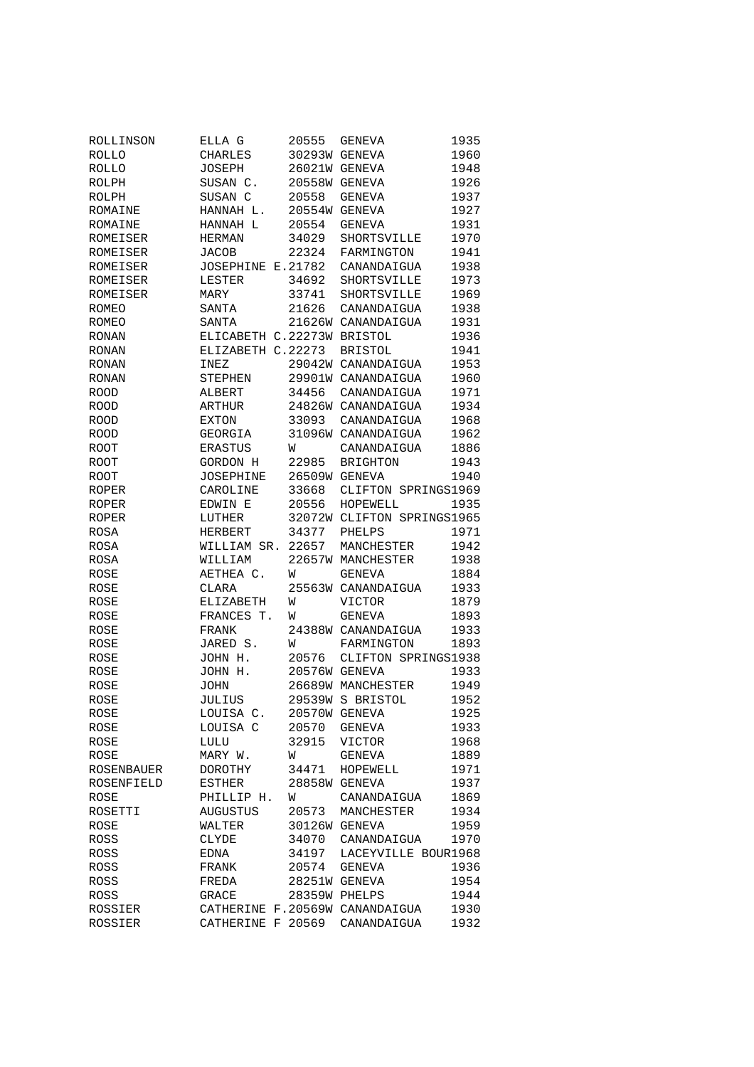| ROLLINSON    | ELLA G                         | 20555         | <b>GENEVA</b>              | 1935 |
|--------------|--------------------------------|---------------|----------------------------|------|
| <b>ROLLO</b> | CHARLES                        |               | 30293W GENEVA              | 1960 |
| <b>ROLLO</b> | JOSEPH                         |               | 26021W GENEVA              | 1948 |
| ROLPH        | SUSAN C.                       | 20558W        | GENEVA                     | 1926 |
| <b>ROLPH</b> | SUSAN C                        | 20558         | <b>GENEVA</b>              | 1937 |
| ROMAINE      | HANNAH L.                      | 20554W GENEVA |                            | 1927 |
| ROMAINE      | HANNAH L                       | 20554         | <b>GENEVA</b>              | 1931 |
| ROMEISER     | <b>HERMAN</b>                  | 34029         | SHORTSVILLE                | 1970 |
| ROMEISER     | JACOB                          | 22324         | FARMINGTON                 | 1941 |
| ROMEISER     | JOSEPHINE E.21782              |               | CANANDAIGUA                | 1938 |
| ROMEISER     | LESTER                         | 34692         | SHORTSVILLE                | 1973 |
| ROMEISER     | MARY                           | 33741         | SHORTSVILLE                | 1969 |
| <b>ROMEO</b> | SANTA                          | 21626         | CANANDAIGUA                | 1938 |
| <b>ROMEO</b> | SANTA                          |               | 21626W CANANDAIGUA         | 1931 |
| RONAN        | ELICABETH C.22273W BRISTOL     |               |                            | 1936 |
| RONAN        | ELIZABETH C.22273              |               | BRISTOL                    | 1941 |
| <b>RONAN</b> | INEZ                           |               | 29042W CANANDAIGUA         | 1953 |
| RONAN        | STEPHEN                        |               | 29901W CANANDAIGUA         | 1960 |
| <b>ROOD</b>  | ALBERT                         | 34456         | CANANDAIGUA                | 1971 |
| <b>ROOD</b>  | ARTHUR                         |               | 24826W CANANDAIGUA         | 1934 |
| <b>ROOD</b>  | EXTON                          | 33093         | CANANDAIGUA                | 1968 |
| <b>ROOD</b>  | GEORGIA                        |               | 31096W CANANDAIGUA         | 1962 |
|              |                                |               |                            |      |
| <b>ROOT</b>  | <b>ERASTUS</b>                 | W<br>22985    | CANANDAIGUA                | 1886 |
| ROOT         | GORDON H                       |               | <b>BRIGHTON</b>            | 1943 |
| <b>ROOT</b>  | JOSEPHINE                      | 26509W GENEVA |                            | 1940 |
| <b>ROPER</b> | CAROLINE                       |               | 33668 CLIFTON SPRINGS1969  |      |
| ROPER        | EDWIN E                        | 20556         | HOPEWELL                   | 1935 |
| <b>ROPER</b> | LUTHER                         |               | 32072W CLIFTON SPRINGS1965 |      |
| ROSA         | HERBERT                        | 34377         | PHELPS                     | 1971 |
| ROSA         | WILLIAM SR. 22657 MANCHESTER   |               |                            | 1942 |
| <b>ROSA</b>  | WILLIAM                        |               | 22657W MANCHESTER          | 1938 |
| <b>ROSE</b>  | AETHEA C.                      | <b>W</b>      | GENEVA                     | 1884 |
| <b>ROSE</b>  | CLARA                          |               | 25563W CANANDAIGUA         | 1933 |
| <b>ROSE</b>  | ELIZABETH                      | W             | VICTOR                     | 1879 |
| <b>ROSE</b>  | FRANCES T.                     | M             | GENEVA                     | 1893 |
| ROSE         | FRANK                          |               | 24388W CANANDAIGUA         | 1933 |
| ROSE         | JARED S.                       | <b>W</b>      | FARMINGTON                 | 1893 |
| ROSE         | JOHN H.                        |               | 20576 CLIFTON SPRINGS1938  |      |
| ROSE         | JOHN H.                        | 20576W GENEVA |                            | 1933 |
| <b>ROSE</b>  | <b>JOHN</b>                    |               | 26689W MANCHESTER          | 1949 |
| <b>ROSE</b>  | JULIUS                         |               | 29539W S BRISTOL           | 1952 |
| ROSE         | LOUISA C.                      |               | 20570W GENEVA              | 1925 |
| ROSE         | LOUISA C                       | 20570         | GENEVA                     | 1933 |
| ROSE         | LULU                           | 32915         | VICTOR                     | 1968 |
| ROSE         | MARY W.                        | W             | <b>GENEVA</b>              | 1889 |
| ROSENBAUER   | DOROTHY                        | 34471         | HOPEWELL                   | 1971 |
| ROSENFIELD   | ESTHER                         | 28858W GENEVA |                            | 1937 |
| ROSE         | PHILLIP H.                     | W             | CANANDAIGUA                | 1869 |
| ROSETTI      | <b>AUGUSTUS</b>                | 20573         | MANCHESTER                 | 1934 |
| ROSE         | WALTER                         |               | 30126W GENEVA              | 1959 |
| ROSS         | <b>CLYDE</b>                   | 34070         | CANANDAIGUA                | 1970 |
| ROSS         | EDNA                           | 34197         | LACEYVILLE BOUR1968        |      |
| ROSS         | FRANK                          | 20574         | GENEVA                     | 1936 |
| ROSS         | FREDA                          |               | 28251W GENEVA              | 1954 |
| ROSS         | GRACE                          | 28359W        | PHELPS                     | 1944 |
| ROSSIER      | CATHERINE F.20569W CANANDAIGUA |               |                            | 1930 |
| ROSSIER      | CATHERINE F 20569              |               | CANANDAIGUA                | 1932 |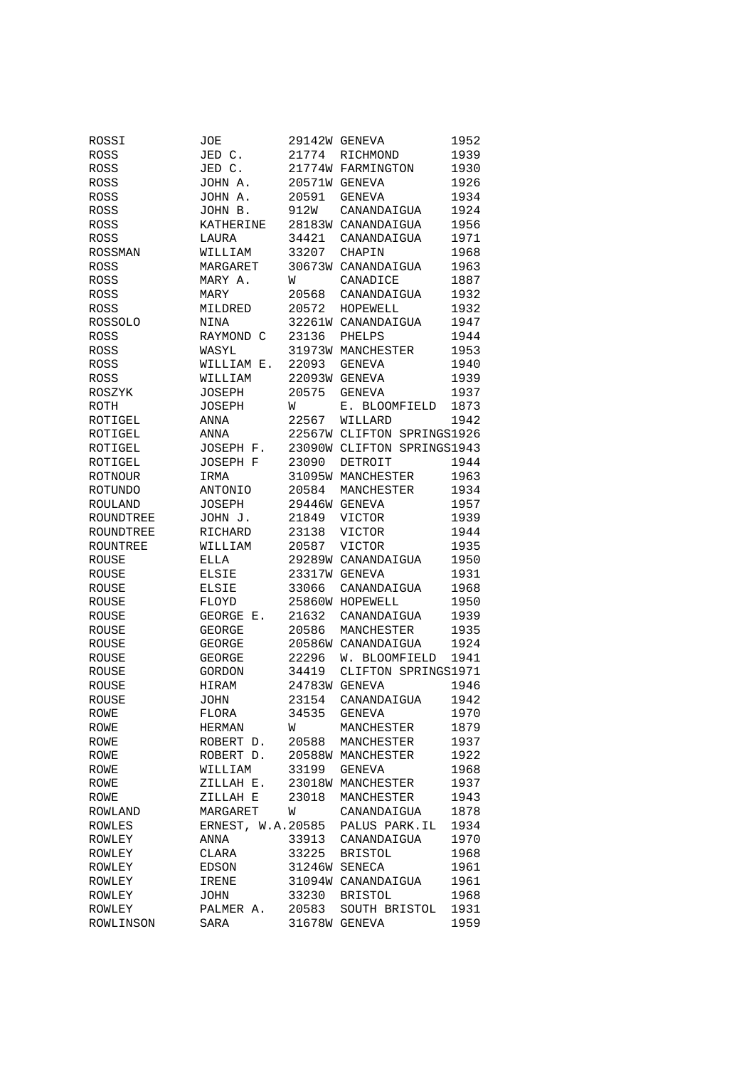| ROSSI          | JOE              | 29142W GENEVA |                                 | 1952 |
|----------------|------------------|---------------|---------------------------------|------|
| ROSS           | JED C.           | 21774         | RICHMOND                        | 1939 |
| ROSS           | JED C.           |               | 21774W FARMINGTON               | 1930 |
| ROSS           | JOHN A.          | 20571W GENEVA |                                 | 1926 |
| ROSS           | JOHN A.          | 20591         | GENEVA                          | 1934 |
| ROSS           | JOHN B.          | 912W          | CANANDAIGUA                     | 1924 |
| <b>ROSS</b>    | <b>KATHERINE</b> |               | 28183W CANANDAIGUA              | 1956 |
| ROSS           | LAURA            | 34421         | CANANDAIGUA                     | 1971 |
| ROSSMAN        | WILLIAM          | 33207         | CHAPIN                          | 1968 |
| ROSS           | MARGARET         |               | 30673W CANANDAIGUA              | 1963 |
| ROSS           | MARY A.          | W             | CANADICE                        | 1887 |
| ROSS           | MARY             | 20568         | CANANDAIGUA                     | 1932 |
| ROSS           | MILDRED          | 20572         | HOPEWELL                        | 1932 |
| <b>ROSSOLO</b> | NINA             |               | 32261W CANANDAIGUA              | 1947 |
| ROSS           | RAYMOND C        | 23136         | PHELPS                          | 1944 |
| ROSS           | WASYL            |               | 31973W MANCHESTER               | 1953 |
| ROSS           | WILLIAM E.       | 22093         | GENEVA                          | 1940 |
| ROSS           | WILLIAM          | 22093W GENEVA |                                 | 1939 |
| ROSZYK         | JOSEPH           | 20575         | GENEVA                          | 1937 |
| ROTH           | JOSEPH           | W             | E. BLOOMFIELD                   | 1873 |
| ROTIGEL        | ANNA             | 22567         | WILLARD                         | 1942 |
| ROTIGEL        | ANNA             |               | 22567W CLIFTON SPRINGS1926      |      |
| ROTIGEL        | JOSEPH F.        |               | 23090W CLIFTON SPRINGS1943      |      |
| ROTIGEL        | JOSEPH F         | 23090         | DETROIT                         | 1944 |
| ROTNOUR        | IRMA             |               | 31095W MANCHESTER               | 1963 |
| ROTUNDO        | <b>ANTONIO</b>   | 20584         | MANCHESTER                      | 1934 |
| ROULAND        | JOSEPH           |               | 29446W GENEVA                   | 1957 |
| ROUNDTREE      | JOHN J.          | 21849         | VICTOR                          | 1939 |
| ROUNDTREE      | RICHARD          | 23138         | VICTOR                          | 1944 |
| ROUNTREE       | WILLIAM          | 20587         | VICTOR                          | 1935 |
| <b>ROUSE</b>   | ELLA             |               | 29289W CANANDAIGUA              | 1950 |
| <b>ROUSE</b>   | ${\tt ELSIE}$    | 23317W GENEVA |                                 | 1931 |
| <b>ROUSE</b>   | <b>ELSIE</b>     | 33066         | CANANDAIGUA                     | 1968 |
| ROUSE          | FLOYD            |               | 25860W HOPEWELL                 | 1950 |
| ROUSE          | GEORGE E.        | 21632         | CANANDAIGUA                     | 1939 |
| ROUSE          | GEORGE           | 20586         | MANCHESTER                      | 1935 |
| ROUSE          | GEORGE           |               | 20586W CANANDAIGUA              | 1924 |
| <b>ROUSE</b>   | <b>GEORGE</b>    | 22296         | W. BLOOMFIELD                   | 1941 |
| <b>ROUSE</b>   | GORDON           | 34419         | CLIFTON SPRINGS1971             |      |
| ROUSE          | HIRAM            | 24783W GENEVA |                                 | 1946 |
| ROUSE          | JOHN             | 23154         | CANANDAIGUA                     | 1942 |
| ROWE           | FLORA            |               | 34535 GENEVA                    | 1970 |
| ROWE           | HERMAN           | W             | MANCHESTER                      | 1879 |
| ROWE           | ROBERT D.        | 20588         | MANCHESTER                      | 1937 |
| ROWE           | ROBERT D.        |               | 20588W MANCHESTER               | 1922 |
| ROWE           | WILLIAM          | 33199         | GENEVA                          | 1968 |
| ROWE           | ZILLAH E.        |               | 23018W MANCHESTER               | 1937 |
| ROWE           | ZILLAH E         | 23018         | MANCHESTER                      | 1943 |
| ROWLAND        | MARGARET         | W             | CANANDAIGUA                     | 1878 |
| ROWLES         |                  |               | ERNEST, W.A.20585 PALUS PARK.IL | 1934 |
| ROWLEY         | ANNA             |               | 33913 CANANDAIGUA               | 1970 |
| ROWLEY         | CLARA            | 33225         | <b>BRISTOL</b>                  | 1968 |
| ROWLEY         | EDSON            | 31246W SENECA |                                 | 1961 |
| ROWLEY         | IRENE            |               | 31094W CANANDAIGUA              | 1961 |
| ROWLEY         | JOHN             | 33230         | <b>BRISTOL</b>                  | 1968 |
| ROWLEY         | PALMER A.        | 20583         | SOUTH BRISTOL                   | 1931 |
| ROWLINSON      | SARA             | 31678W GENEVA |                                 | 1959 |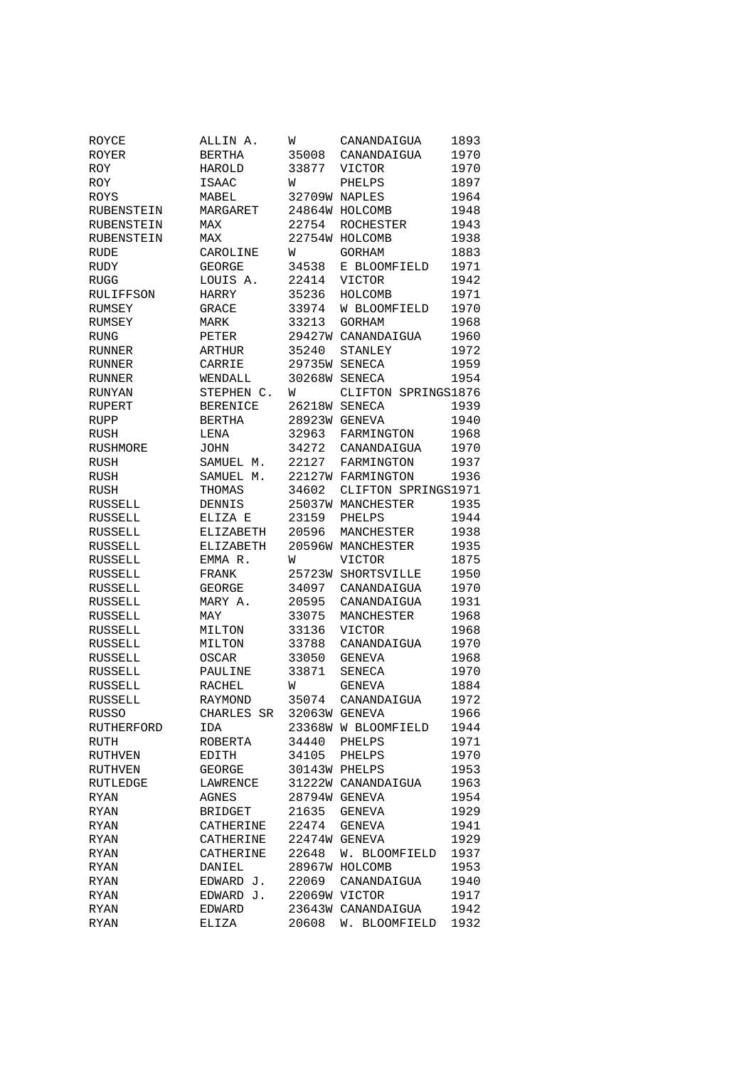| ROYCE            | ALLIN A.               | W                      | CANANDAIGUA         | 1893         |
|------------------|------------------------|------------------------|---------------------|--------------|
| <b>ROYER</b>     | <b>BERTHA</b>          | 35008                  | CANANDAIGUA         | 1970         |
| ROY              | <b>HAROLD</b>          | 33877                  | <b>VICTOR</b>       | 1970         |
| <b>ROY</b>       | <b>ISAAC</b>           | W                      | PHELPS              | 1897         |
| <b>ROYS</b>      | MABEL                  | 32709W NAPLES          |                     | 1964         |
| RUBENSTEIN       | MARGARET               |                        | 24864W HOLCOMB      | 1948         |
| RUBENSTEIN       | MAX                    | 22754                  | ROCHESTER           | 1943         |
| RUBENSTEIN       | MAX                    |                        | 22754W HOLCOMB      | 1938         |
| <b>RUDE</b>      | CAROLINE               | W                      | GORHAM              | 1883         |
| <b>RUDY</b>      | <b>GEORGE</b>          | 34538                  | E BLOOMFIELD        | 1971         |
| <b>RUGG</b>      | LOUIS A.               | 22414                  | <b>VICTOR</b>       | 1942         |
| <b>RULIFFSON</b> | HARRY                  | 35236                  | HOLCOMB             | 1971         |
| RUMSEY           | GRACE                  | 33974                  | W BLOOMFIELD        | 1970         |
| RUMSEY           | MARK                   | 33213                  | GORHAM              | 1968         |
| <b>RUNG</b>      | PETER                  | 29427W                 | CANANDAIGUA         | 1960         |
| <b>RUNNER</b>    | ARTHUR                 | 35240                  | STANLEY             | 1972         |
| RUNNER           | CARRIE                 | 29735W                 | SENECA              | 1959         |
| ${\tt RUNNER}$   | WENDALL                | 30268W                 | SENECA              | 1954         |
| <b>RUNYAN</b>    | STEPHEN C.             | W                      | CLIFTON SPRINGS1876 |              |
| <b>RUPERT</b>    | <b>BERENICE</b>        |                        | 26218W SENECA       | 1939         |
| <b>RUPP</b>      | <b>BERTHA</b>          | 28923W GENEVA          |                     | 1940         |
| RUSH             | LENA                   | 32963                  | FARMINGTON          | 1968         |
| <b>RUSHMORE</b>  | <b>JOHN</b>            | 34272                  | CANANDAIGUA         | 1970         |
| <b>RUSH</b>      | SAMUEL M.              | 22127                  | FARMINGTON          | 1937         |
| <b>RUSH</b>      | SAMUEL M.              |                        | 22127W FARMINGTON   | 1936         |
| <b>RUSH</b>      | THOMAS                 | 34602                  | CLIFTON SPRINGS1971 |              |
| RUSSELL          | DENNIS                 |                        | 25037W MANCHESTER   | 1935         |
| <b>RUSSELL</b>   | ELIZA E                | 23159                  | PHELPS              | 1944         |
| <b>RUSSELL</b>   | ELIZABETH              | 20596                  | MANCHESTER          | 1938         |
| <b>RUSSELL</b>   | ELIZABETH              |                        | 20596W MANCHESTER   | 1935         |
| <b>RUSSELL</b>   | EMMA R.                | W                      | VICTOR              | 1875         |
| RUSSELL          | <b>FRANK</b>           |                        | 25723W SHORTSVILLE  | 1950         |
| <b>RUSSELL</b>   | GEORGE                 | 34097                  | CANANDAIGUA         | 1970         |
| RUSSELL          | MARY A.                | 20595                  | CANANDAIGUA         | 1931         |
| <b>RUSSELL</b>   | MAY                    | 33075                  | MANCHESTER          | 1968         |
| <b>RUSSELL</b>   | MILTON                 | 33136                  | <b>VICTOR</b>       | 1968         |
| <b>RUSSELL</b>   | MILTON                 | 33788                  | CANANDAIGUA         | 1970         |
| RUSSELL          | OSCAR                  | 33050                  | GENEVA              | 1968         |
| RUSSELL          | PAULINE                | 33871                  | SENECA              | 1970         |
| <b>RUSSELL</b>   | <b>RACHEL</b>          | W                      | <b>GENEVA</b>       | 1884         |
| RUSSELL          | RAYMOND                | 35074                  | CANANDAIGUA         | 1972         |
| <b>RUSSO</b>     | CHARLES SR             | 32063W GENEVA          |                     | 1966         |
| RUTHERFORD       | IDA                    |                        | 23368W W BLOOMFIELD | 1944         |
| RUTH             | ROBERTA                | 34440                  | PHELPS              | 1971         |
| RUTHVEN          | EDITH                  | 34105                  | PHELPS              | 1970         |
| RUTHVEN          | GEORGE                 | 30143W PHELPS          |                     | 1953         |
| RUTLEDGE         | LAWRENCE               |                        | 31222W CANANDAIGUA  | 1963         |
| RYAN             | AGNES                  | 28794W GENEVA          |                     | 1954         |
| RYAN             | <b>BRIDGET</b>         | 21635                  | GENEVA              | 1929         |
| RYAN             | CATHERINE              | 22474                  | GENEVA              | 1941         |
| <b>RYAN</b>      | CATHERINE              | 22474W GENEVA          |                     | 1929         |
| RYAN             | CATHERINE              | 22648                  | W. BLOOMFIELD       | 1937         |
| RYAN             | DANIEL                 |                        | 28967W HOLCOMB      | 1953         |
| <b>RYAN</b>      | EDWARD J.<br>EDWARD J. | 22069<br>22069W VICTOR | CANANDAIGUA         | 1940<br>1917 |
| RYAN<br>RYAN     | EDWARD                 |                        | 23643W CANANDAIGUA  | 1942         |
| <b>RYAN</b>      | ELIZA                  | 20608                  | W. BLOOMFIELD       | 1932         |
|                  |                        |                        |                     |              |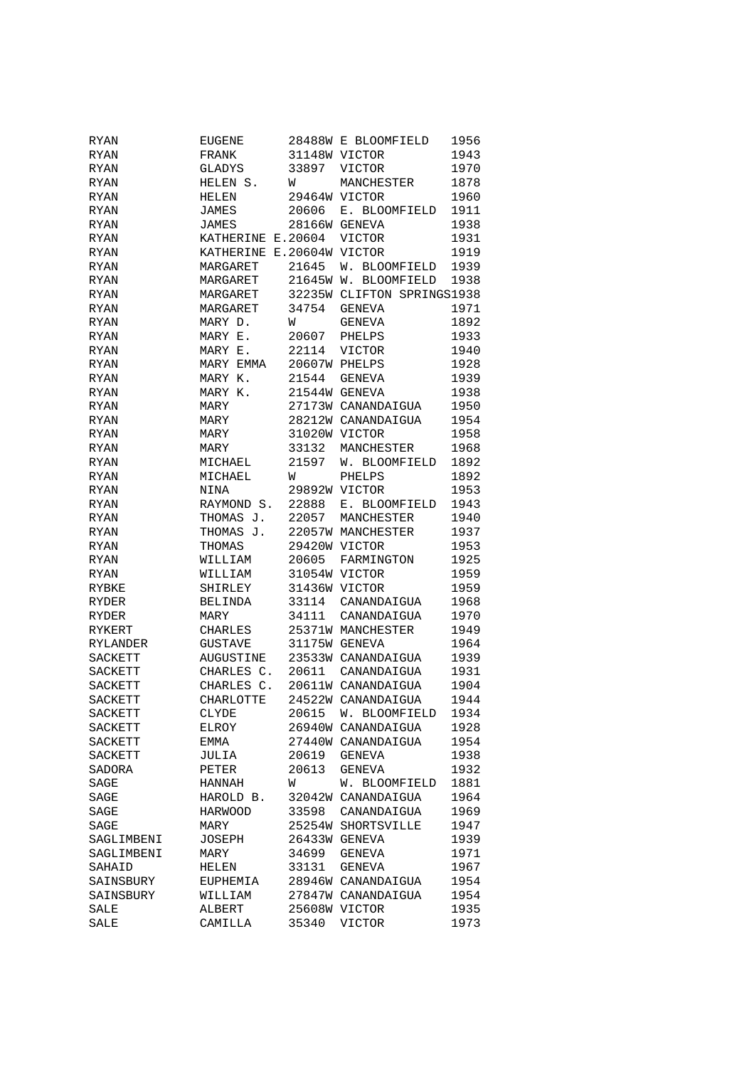| RYAN         | <b>EUGENE</b>                |          | 28488W E BLOOMFIELD           | 1956 |
|--------------|------------------------------|----------|-------------------------------|------|
| RYAN         | FRANK                        |          | 31148W VICTOR                 | 1943 |
| RYAN         | GLADYS                       |          | 33897 VICTOR                  | 1970 |
| RYAN         | HELEN S.                     | <b>W</b> | MANCHESTER                    | 1878 |
| <b>RYAN</b>  | HELEN                        |          | 29464W VICTOR                 | 1960 |
| <b>RYAN</b>  | JAMES                        | 20606    | E. BLOOMFIELD                 | 1911 |
| <b>RYAN</b>  | JAMES                        |          | 28166W GENEVA                 | 1938 |
| RYAN         | KATHERINE E.20604            |          | VICTOR                        | 1931 |
| RYAN         | KATHERINE E.20604W VICTOR    |          |                               | 1919 |
| RYAN         | MARGARET                     | 21645    | W. BLOOMFIELD                 | 1939 |
| <b>RYAN</b>  | MARGARET                     |          | 21645W W. BLOOMFIELD          | 1938 |
| <b>RYAN</b>  | MARGARET                     |          | 32235W CLIFTON SPRINGS1938    |      |
| <b>RYAN</b>  | MARGARET                     | 34754    | GENEVA                        | 1971 |
| <b>RYAN</b>  | MARY D.                      | <b>W</b> | GENEVA                        | 1892 |
| RYAN         | MARY E.                      |          | 20607 PHELPS                  | 1933 |
| <b>RYAN</b>  | MARY E.                      | 22114    | VICTOR                        | 1940 |
| <b>RYAN</b>  | MARY EMMA                    |          | 20607W PHELPS                 | 1928 |
| RYAN         | MARY K.                      |          | 21544 GENEVA                  | 1939 |
| <b>RYAN</b>  | MARY K.                      |          | 21544W GENEVA                 | 1938 |
| <b>RYAN</b>  | MARY                         |          | 27173W CANANDAIGUA            | 1950 |
| RYAN         | MARY                         |          | 28212W CANANDAIGUA            | 1954 |
| RYAN         | $\ensuremath{\mathsf{MARY}}$ |          | 31020W VICTOR                 | 1958 |
| <b>RYAN</b>  | MARY                         | 33132    | MANCHESTER                    | 1968 |
| RYAN         | MICHAEL                      |          | 21597 W. BLOOMFIELD           | 1892 |
| <b>RYAN</b>  | MICHAEL                      | <b>W</b> | PHELPS                        | 1892 |
| <b>RYAN</b>  | NINA                         |          | 29892W VICTOR                 | 1953 |
| RYAN         | RAYMOND S.                   |          | 22888 E. BLOOMFIELD 1943      |      |
| RYAN         | THOMAS J.                    |          | 22057 MANCHESTER              | 1940 |
| <b>RYAN</b>  | THOMAS J.                    |          | 22057W MANCHESTER             | 1937 |
| <b>RYAN</b>  | THOMAS                       |          | 29420W VICTOR                 | 1953 |
| RYAN         | WILLIAM                      | 20605    | FARMINGTON                    | 1925 |
| <b>RYAN</b>  | WILLIAM                      |          | 31054W VICTOR                 | 1959 |
| RYBKE        | SHIRLEY                      |          | 31436W VICTOR                 | 1959 |
| RYDER        | BELINDA                      |          | 33114 CANANDAIGUA             | 1968 |
| <b>RYDER</b> | MARY                         |          | 34111 CANANDAIGUA             | 1970 |
| RYKERT       | CHARLES                      |          | 25371W MANCHESTER             | 1949 |
| RYLANDER     | <b>GUSTAVE</b>               |          | 31175W GENEVA                 | 1964 |
| SACKETT      | AUGUSTINE                    |          | 23533W CANANDAIGUA            | 1939 |
| SACKETT      | CHARLES C.                   | 20611    | CANANDAIGUA                   | 1931 |
| SACKETT      |                              |          | CHARLES C. 20611W CANANDAIGUA | 1904 |
| SACKETT      | CHARLOTTE                    |          | 24522W CANANDAIGUA            | 1944 |
| SACKETT      | CLYDE                        | 20615    | W. BLOOMFIELD                 | 1934 |
| SACKETT      | ELROY                        | 26940W   | CANANDAIGUA                   | 1928 |
| SACKETT      | EMMA                         |          | 27440W CANANDAIGUA            | 1954 |
| SACKETT      | JULIA                        | 20619    | GENEVA                        | 1938 |
| SADORA       | PETER                        | 20613    | <b>GENEVA</b>                 | 1932 |
| SAGE         | HANNAH                       | W        | W. BLOOMFIELD                 | 1881 |
| SAGE         | HAROLD B.                    | 32042W   | CANANDAIGUA                   | 1964 |
| SAGE         | <b>HARWOOD</b>               | 33598    | CANANDAIGUA                   | 1969 |
| SAGE         | MARY                         | 25254W   | SHORTSVILLE                   | 1947 |
| SAGLIMBENI   | JOSEPH                       | 26433W   | <b>GENEVA</b>                 | 1939 |
| SAGLIMBENI   | MARY                         | 34699    | GENEVA                        | 1971 |
| SAHAID       | HELEN                        | 33131    | <b>GENEVA</b>                 | 1967 |
| SAINSBURY    | EUPHEMIA                     |          | 28946W CANANDAIGUA            | 1954 |
| SAINSBURY    | WILLIAM                      |          | 27847W CANANDAIGUA            | 1954 |
| SALE         | ALBERT                       |          | 25608W VICTOR                 | 1935 |
| SALE         | CAMILLA                      | 35340    | <b>VICTOR</b>                 | 1973 |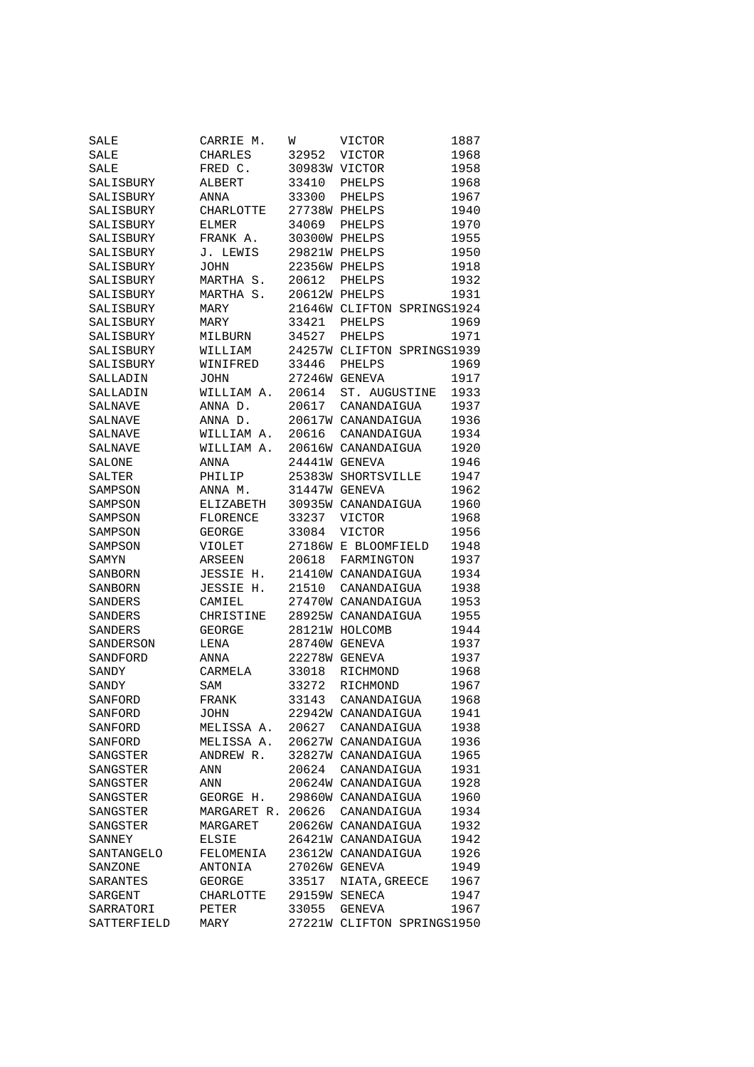| SALE        | CARRIE M.       | W             | VICTOR                     | 1887 |
|-------------|-----------------|---------------|----------------------------|------|
| SALE        | <b>CHARLES</b>  | 32952         | <b>VICTOR</b>              | 1968 |
| <b>SALE</b> | FRED C.         | 30983W VICTOR |                            | 1958 |
| SALISBURY   | ALBERT          | 33410         | PHELPS                     | 1968 |
| SALISBURY   | ANNA            | 33300         | PHELPS                     | 1967 |
| SALISBURY   | CHARLOTTE       | 27738W PHELPS |                            | 1940 |
| SALISBURY   | <b>ELMER</b>    | 34069         | PHELPS                     | 1970 |
| SALISBURY   | FRANK A.        | 30300W PHELPS |                            | 1955 |
| SALISBURY   | J. LEWIS        | 29821W PHELPS |                            | 1950 |
| SALISBURY   | JOHN            | 22356W PHELPS |                            | 1918 |
| SALISBURY   | MARTHA S.       | 20612         | PHELPS                     | 1932 |
| SALISBURY   | MARTHA S.       | 20612W PHELPS |                            | 1931 |
| SALISBURY   | MARY            |               | 21646W CLIFTON SPRINGS1924 |      |
| SALISBURY   | MARY            | 33421         | PHELPS                     | 1969 |
| SALISBURY   | MILBURN         | 34527         | PHELPS                     | 1971 |
| SALISBURY   | WILLIAM         |               | 24257W CLIFTON SPRINGS1939 |      |
| SALISBURY   | WINIFRED        | 33446         | PHELPS                     | 1969 |
| SALLADIN    | JOHN            |               | 27246W GENEVA              | 1917 |
| SALLADIN    | WILLIAM A.      | 20614         | ST. AUGUSTINE              | 1933 |
| SALNAVE     | ANNA D.         | 20617         | CANANDAIGUA                | 1937 |
| SALNAVE     | ANNA D.         |               | 20617W CANANDAIGUA         | 1936 |
| SALNAVE     | WILLIAM A.      | 20616         | CANANDAIGUA                | 1934 |
| SALNAVE     | WILLIAM A.      |               | 20616W CANANDAIGUA         | 1920 |
| SALONE      | ANNA            |               | 24441W GENEVA              | 1946 |
| SALTER      | PHILIP          |               | 25383W SHORTSVILLE         | 1947 |
| SAMPSON     | ANNA M.         | 31447W GENEVA |                            | 1962 |
| SAMPSON     | ELIZABETH       |               | 30935W CANANDAIGUA         | 1960 |
| SAMPSON     | <b>FLORENCE</b> | 33237         | <b>VICTOR</b>              | 1968 |
| SAMPSON     | GEORGE          | 33084         | VICTOR                     | 1956 |
| SAMPSON     | VIOLET          |               | 27186W E BLOOMFIELD        | 1948 |
| SAMYN       | ARSEEN          | 20618         | FARMINGTON                 | 1937 |
| SANBORN     | JESSIE H.       |               | 21410W CANANDAIGUA         | 1934 |
| SANBORN     | JESSIE H.       | 21510         | CANANDAIGUA                | 1938 |
| SANDERS     | CAMIEL          |               | 27470W CANANDAIGUA         | 1953 |
| SANDERS     | CHRISTINE       |               | 28925W CANANDAIGUA         | 1955 |
| SANDERS     | GEORGE          |               | 28121W HOLCOMB             | 1944 |
| SANDERSON   | LENA            | 28740W GENEVA |                            | 1937 |
| SANDFORD    | ANNA            |               | 22278W GENEVA              | 1937 |
| SANDY       | CARMELA         | 33018         | RICHMOND                   | 1968 |
| SANDY       | SAM             | 33272         | RICHMOND                   | 1967 |
| SANFORD     | FRANK           |               | 33143 CANANDAIGUA          | 1968 |
| SANFORD     | JOHN            |               | 22942W CANANDAIGUA         | 1941 |
| SANFORD     | MELISSA A.      |               | 20627 CANANDAIGUA          | 1938 |
| SANFORD     | MELISSA A.      |               | 20627W CANANDAIGUA         | 1936 |
| SANGSTER    | ANDREW R.       |               | 32827W CANANDAIGUA         | 1965 |
| SANGSTER    | ANN             | 20624         | CANANDAIGUA                | 1931 |
| SANGSTER    | ANN             |               | 20624W CANANDAIGUA         | 1928 |
| SANGSTER    | GEORGE H.       |               | 29860W CANANDAIGUA         | 1960 |
| SANGSTER    | MARGARET R.     |               | 20626 CANANDAIGUA          | 1934 |
| SANGSTER    | MARGARET        |               | 20626W CANANDAIGUA         | 1932 |
| SANNEY      | <b>ELSIE</b>    |               | 26421W CANANDAIGUA         | 1942 |
| SANTANGELO  | FELOMENIA       |               | 23612W CANANDAIGUA         | 1926 |
| SANZONE     | ANTONIA         | 27026W GENEVA |                            | 1949 |
| SARANTES    | GEORGE          | 33517         | NIATA, GREECE              | 1967 |
| SARGENT     | CHARLOTTE       |               | 29159W SENECA              | 1947 |
| SARRATORI   | PETER           | 33055         | GENEVA                     | 1967 |
| SATTERFIELD | MARY            |               | 27221W CLIFTON SPRINGS1950 |      |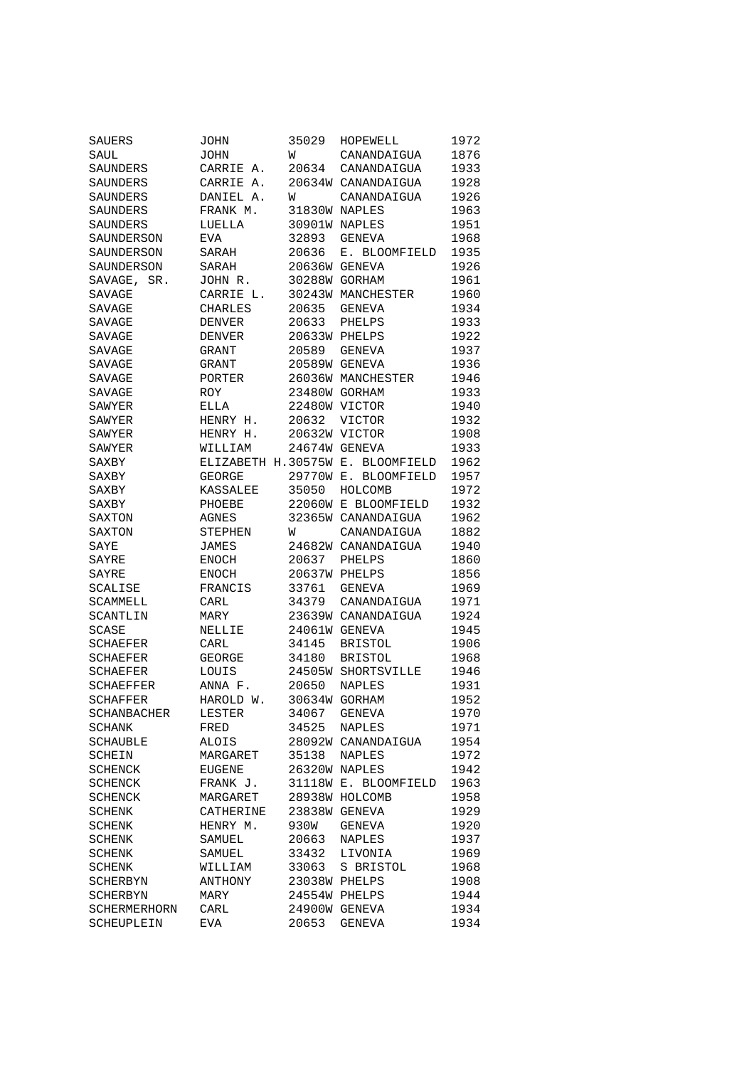| SAUERS           | JOHN               | 35029         | HOPEWELL                | 1972 |
|------------------|--------------------|---------------|-------------------------|------|
| <b>SAUL</b>      | JOHN               | W             | CANANDAIGUA             | 1876 |
| SAUNDERS         | CARRIE A.          | 20634         | CANANDAIGUA             | 1933 |
| SAUNDERS         | CARRIE A.          |               | 20634W CANANDAIGUA      | 1928 |
| SAUNDERS         | DANIEL A.          | W             | CANANDAIGUA             | 1926 |
| SAUNDERS         | FRANK M.           | 31830W        | <b>NAPLES</b>           | 1963 |
| SAUNDERS         | LUELLA             | 30901W        | <b>NAPLES</b>           | 1951 |
| SAUNDERSON       | EVA                | 32893         | GENEVA                  | 1968 |
| SAUNDERSON       | SARAH              | 20636         | E. BLOOMFIELD           | 1935 |
| SAUNDERSON       | SARAH              |               | 20636W GENEVA           | 1926 |
| SAVAGE,<br>SR.   | JOHN R.            | 30288W        | GORHAM                  | 1961 |
| SAVAGE           | CARRIE L.          | 30243W        | MANCHESTER              | 1960 |
| SAVAGE           | CHARLES            | 20635         | <b>GENEVA</b>           | 1934 |
| SAVAGE           | DENVER             | 20633         | PHELPS                  | 1933 |
| SAVAGE           | <b>DENVER</b>      |               | 20633W PHELPS           | 1922 |
| SAVAGE           | GRANT              | 20589         | <b>GENEVA</b>           | 1937 |
| SAVAGE           | GRANT              |               | 20589W GENEVA           | 1936 |
| SAVAGE           | PORTER             |               | 26036W MANCHESTER       | 1946 |
| SAVAGE           | <b>ROY</b>         | 23480W        | GORHAM                  | 1933 |
| SAWYER           | ELLA               |               | 22480W VICTOR           | 1940 |
| SAWYER           | HENRY H.           | 20632         | <b>VICTOR</b>           | 1932 |
| SAWYER           | HENRY H.           |               | 20632W VICTOR           | 1908 |
| SAWYER           | WILLIAM            | 24674W        | <b>GENEVA</b>           | 1933 |
| SAXBY            | ELIZABETH H.30575W |               | Ε.<br><b>BLOOMFIELD</b> | 1962 |
| SAXBY            | GEORGE             | 29770W        | Ε.<br><b>BLOOMFIELD</b> | 1957 |
| SAXBY            | <b>KASSALEE</b>    | 35050         | HOLCOMB                 | 1972 |
| SAXBY            | PHOEBE             | 22060W        | E BLOOMFIELD            | 1932 |
| SAXTON           | AGNES              |               | 32365W CANANDAIGUA      | 1962 |
| SAXTON           | STEPHEN            | W             | CANANDAIGUA             | 1882 |
| SAYE             | JAMES              | 24682W        | CANANDAIGUA             | 1940 |
| SAYRE            | ENOCH              | 20637         | PHELPS                  | 1860 |
| SAYRE            | <b>ENOCH</b>       | 20637W        | PHELPS                  | 1856 |
| SCALISE          | FRANCIS            | 33761         | <b>GENEVA</b>           | 1969 |
| SCAMMELL         | CARL               | 34379         | CANANDAIGUA             | 1971 |
| SCANTLIN         | MARY               |               | 23639W CANANDAIGUA      | 1924 |
| SCASE            | NELLIE             | 24061W        | <b>GENEVA</b>           | 1945 |
| <b>SCHAEFER</b>  | CARL               | 34145         | <b>BRISTOL</b>          | 1906 |
| <b>SCHAEFER</b>  | <b>GEORGE</b>      | 34180         | <b>BRISTOL</b>          | 1968 |
| <b>SCHAEFER</b>  | LOUIS              | 24505W        | SHORTSVILLE             | 1946 |
| <b>SCHAEFFER</b> | ANNA F.            | 20650         | <b>NAPLES</b>           | 1931 |
| SCHAFFER         | HAROLD W.          |               | 30634W GORHAM           | 1952 |
| SCHANBACHER      | LESTER             | 34067         | GENEVA                  | 1970 |
| SCHANK           | FRED               | 34525         | <b>NAPLES</b>           | 1971 |
| SCHAUBLE         | ALOIS              |               | 28092W CANANDAIGUA      | 1954 |
| SCHEIN           | MARGARET           | 35138         | NAPLES                  | 1972 |
| SCHENCK          | <b>EUGENE</b>      |               | 26320W NAPLES           | 1942 |
| SCHENCK          | FRANK J.           |               | 31118W E. BLOOMFIELD    | 1963 |
| SCHENCK          | MARGARET           |               | 28938W HOLCOMB          | 1958 |
| SCHENK           | CATHERINE          | 23838W        | GENEVA                  | 1929 |
| SCHENK           | HENRY M.           | 930W          | GENEVA                  | 1920 |
| SCHENK           | SAMUEL             | 20663         | NAPLES                  | 1937 |
| SCHENK           | SAMUEL             | 33432         | LIVONIA                 | 1969 |
| <b>SCHENK</b>    | WILLIAM            | 33063         | S BRISTOL               | 1968 |
| SCHERBYN         | ANTHONY            | 23038W PHELPS |                         | 1908 |
| SCHERBYN         | MARY               | 24554W        | PHELPS                  | 1944 |
| SCHERMERHORN     | CARL               | 24900W        | <b>GENEVA</b>           | 1934 |
| SCHEUPLEIN       | EVA                | 20653         | <b>GENEVA</b>           | 1934 |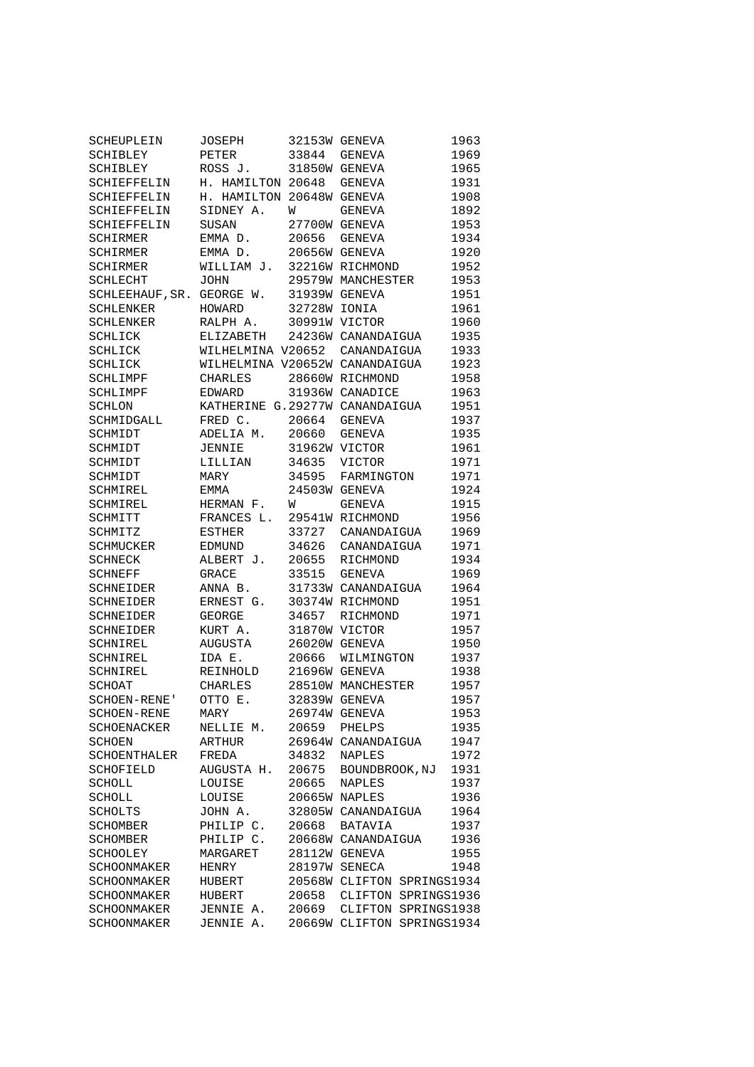| SCHEUPLEIN         | JOSEPH                         | 32153W GENEVA |                            | 1963         |
|--------------------|--------------------------------|---------------|----------------------------|--------------|
| SCHIBLEY           | <b>PETER</b>                   | 33844         | GENEVA                     | 1969         |
| SCHIBLEY           | ROSS J.                        | 31850W GENEVA |                            | 1965         |
| SCHIEFFELIN        | H. HAMILTON 20648              |               | GENEVA                     | 1931         |
| SCHIEFFELIN        | H. HAMILTON 20648W GENEVA      |               |                            | 1908         |
| SCHIEFFELIN        | SIDNEY A.                      | W             | <b>GENEVA</b>              | 1892         |
| SCHIEFFELIN        | SUSAN                          | 27700W GENEVA |                            | 1953         |
| SCHIRMER           | EMMA D.                        | 20656         | <b>GENEVA</b>              | 1934         |
| SCHIRMER           | EMMA D.                        | 20656W GENEVA |                            | 1920         |
| SCHIRMER           | WILLIAM J.                     |               | 32216W RICHMOND            | 1952         |
| SCHLECHT           | <b>JOHN</b>                    |               | 29579W MANCHESTER          | 1953         |
| SCHLEEHAUF, SR.    | GEORGE W.                      | 31939W GENEVA |                            | 1951         |
| <b>SCHLENKER</b>   | HOWARD                         | 32728W IONIA  |                            | 1961         |
| SCHLENKER          | RALPH A.                       | 30991W VICTOR |                            | 1960         |
| SCHLICK            | ELIZABETH                      |               | 24236W CANANDAIGUA         | 1935         |
| SCHLICK            | WILHELMINA V20652              |               | CANANDAIGUA                | 1933         |
| SCHLICK            | WILHELMINA V20652W CANANDAIGUA |               |                            | 1923         |
|                    |                                |               | 28660W RICHMOND            |              |
| SCHLIMPF           | <b>CHARLES</b>                 |               |                            | 1958<br>1963 |
| SCHLIMPF           | EDWARD                         |               | 31936W CANADICE            |              |
| <b>SCHLON</b>      | KATHERINE G.29277W CANANDAIGUA |               |                            | 1951         |
| SCHMIDGALL         | FRED C.                        | 20664         | GENEVA                     | 1937         |
| SCHMIDT            | ADELIA M.                      | 20660         | GENEVA                     | 1935         |
| SCHMIDT            | JENNIE                         | 31962W VICTOR |                            | 1961         |
| SCHMIDT            | LILLIAN                        | 34635         | <b>VICTOR</b>              | 1971         |
| SCHMIDT            | MARY                           | 34595         | FARMINGTON                 | 1971         |
| SCHMIREL           | <b>EMMA</b>                    |               | 24503W GENEVA              | 1924         |
| SCHMIREL           | HERMAN F.                      | W             | GENEVA                     | 1915         |
| SCHMITT            | FRANCES L.                     | 29541W        | RICHMOND                   | 1956         |
| SCHMITZ            | <b>ESTHER</b>                  | 33727         | CANANDAIGUA                | 1969         |
| SCHMUCKER          | EDMUND                         | 34626         | CANANDAIGUA                | 1971         |
| <b>SCHNECK</b>     | ALBERT J.                      | 20655         | RICHMOND                   | 1934         |
| <b>SCHNEFF</b>     | <b>GRACE</b>                   | 33515         | GENEVA                     | 1969         |
| SCHNEIDER          | ANNA B.                        |               | 31733W CANANDAIGUA         | 1964         |
| SCHNEIDER          | ERNEST G.                      | 30374W        | RICHMOND                   | 1951         |
| SCHNEIDER          | <b>GEORGE</b>                  | 34657         | RICHMOND                   | 1971         |
| SCHNEIDER          | KURT A.                        | 31870W        | VICTOR                     | 1957         |
| SCHNIREL           | <b>AUGUSTA</b>                 | 26020W GENEVA |                            | 1950         |
| SCHNIREL           | IDA E.                         | 20666         | WILMINGTON                 | 1937         |
| SCHNIREL           | REINHOLD                       | 21696W GENEVA |                            | 1938         |
| SCHOAT             | <b>CHARLES</b>                 |               | 28510W MANCHESTER          | 1957         |
| SCHOEN-RENE'       | OTTO E.                        |               | 32839W GENEVA              | 1957         |
| SCHOEN-RENE        | MARY                           | 26974W GENEVA |                            | 1953         |
| SCHOENACKER        | NELLIE M.                      | 20659         | PHELPS                     | 1935         |
| SCHOEN             | ARTHUR                         |               | 26964W CANANDAIGUA         | 1947         |
| SCHOENTHALER       | FREDA                          | 34832         | NAPLES                     | 1972         |
| SCHOFIELD          | AUGUSTA H.                     | 20675         | BOUNDBROOK, NJ             | 1931         |
| SCHOLL             | LOUISE                         | 20665         | NAPLES                     | 1937         |
| <b>SCHOLL</b>      | LOUISE                         | 20665W        | <b>NAPLES</b>              | 1936         |
| SCHOLTS            | JOHN A.                        |               | 32805W CANANDAIGUA         | 1964         |
| SCHOMBER           | PHILIP C.                      | 20668         | BATAVIA                    | 1937         |
| SCHOMBER           | PHILIP C.                      |               | 20668W CANANDAIGUA         | 1936         |
| SCHOOLEY           | MARGARET                       |               | 28112W GENEVA              | 1955         |
| SCHOONMAKER        | HENRY                          | 28197W        | SENECA                     | 1948         |
| SCHOONMAKER        | HUBERT                         |               | 20568W CLIFTON SPRINGS1934 |              |
| SCHOONMAKER        | HUBERT                         | 20658         | CLIFTON SPRINGS1936        |              |
| SCHOONMAKER        | JENNIE A.                      | 20669         | CLIFTON SPRINGS1938        |              |
| <b>SCHOONMAKER</b> | JENNIE A.                      |               | 20669W CLIFTON SPRINGS1934 |              |
|                    |                                |               |                            |              |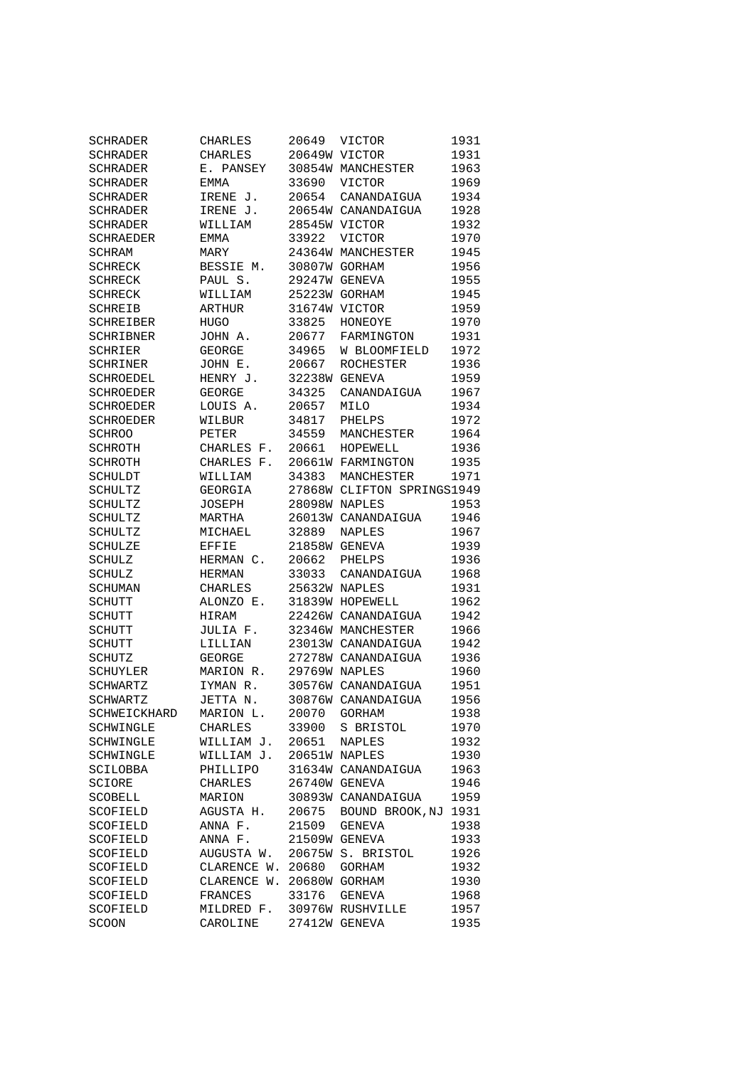| SCHRADER        | CHARLES                     | 20649         | VICTOR                     | 1931 |
|-----------------|-----------------------------|---------------|----------------------------|------|
| <b>SCHRADER</b> | <b>CHARLES</b>              |               | 20649W VICTOR              | 1931 |
| <b>SCHRADER</b> | E. PANSEY                   |               | 30854W MANCHESTER          | 1963 |
| SCHRADER        | <b>EMMA</b>                 | 33690         | <b>VICTOR</b>              | 1969 |
| SCHRADER        | IRENE J.                    | 20654         | CANANDAIGUA                | 1934 |
| SCHRADER        | IRENE J.                    |               | 20654W CANANDAIGUA         | 1928 |
| SCHRADER        | WILLIAM                     |               | 28545W VICTOR              | 1932 |
| SCHRAEDER       | <b>EMMA</b>                 | 33922         | VICTOR                     | 1970 |
| SCHRAM          | MARY                        |               | 24364W MANCHESTER          | 1945 |
| SCHRECK         | BESSIE M.                   | 30807W        | <b>GORHAM</b>              | 1956 |
| SCHRECK         | PAUL S.                     |               | 29247W GENEVA              | 1955 |
| SCHRECK         | WILLIAM                     | 25223W        | GORHAM                     | 1945 |
| SCHREIB         | ARTHUR                      | 31674W        | <b>VICTOR</b>              | 1959 |
| SCHREIBER       | <b>HUGO</b>                 | 33825         | HONEOYE                    | 1970 |
| SCHRIBNER       | JOHN A.                     | 20677         | FARMINGTON                 | 1931 |
| SCHRIER         | <b>GEORGE</b>               | 34965         | W BLOOMFIELD               | 1972 |
| SCHRINER        | JOHN E.                     | 20667         | ROCHESTER                  | 1936 |
| SCHROEDEL       | HENRY J.                    | 32238W        | <b>GENEVA</b>              | 1959 |
| SCHROEDER       | <b>GEORGE</b>               | 34325         | CANANDAIGUA                | 1967 |
| SCHROEDER       | LOUIS A.                    | 20657         | MILO                       | 1934 |
| SCHROEDER       | WILBUR                      | 34817         | PHELPS                     | 1972 |
| <b>SCHROO</b>   | <b>PETER</b>                | 34559         | MANCHESTER                 | 1964 |
| SCHROTH         | CHARLES F.                  | 20661         | HOPEWELL                   | 1936 |
| SCHROTH         | CHARLES F.                  | 20661W        | FARMINGTON                 | 1935 |
| SCHULDT         | WILLIAM                     | 34383         | MANCHESTER                 | 1971 |
| SCHULTZ         | <b>GEORGIA</b>              |               | 27868W CLIFTON SPRINGS1949 |      |
| SCHULTZ         | JOSEPH                      | 28098W NAPLES |                            | 1953 |
| SCHULTZ         | MARTHA                      |               | 26013W CANANDAIGUA         | 1946 |
| SCHULTZ         | MICHAEL                     | 32889         | NAPLES                     | 1967 |
| SCHULZE         | <b>EFFIE</b>                | 21858W        | GENEVA                     | 1939 |
| SCHULZ          | HERMAN C.                   | 20662         | PHELPS                     | 1936 |
| SCHULZ          | <b>HERMAN</b>               | 33033         | CANANDAIGUA                | 1968 |
| SCHUMAN         | CHARLES                     | 25632W NAPLES |                            | 1931 |
| SCHUTT          | ALONZO E.                   |               | 31839W HOPEWELL            | 1962 |
| SCHUTT          | HIRAM                       | 22426W        | CANANDAIGUA                | 1942 |
| SCHUTT          | JULIA F.                    |               | 32346W MANCHESTER          | 1966 |
| SCHUTT          | LILLIAN                     |               | 23013W CANANDAIGUA         | 1942 |
| <b>SCHUTZ</b>   | GEORGE                      |               | 27278W CANANDAIGUA         | 1936 |
| <b>SCHUYLER</b> | MARION R.                   | 29769W NAPLES |                            | 1960 |
| SCHWARTZ        | IYMAN R.                    |               | 30576W CANANDAIGUA         | 1951 |
| SCHWARTZ        | JETTA N.                    |               | 30876W CANANDAIGUA         | 1956 |
| SCHWEICKHARD    | MARION L.                   |               | 20070 GORHAM               | 1938 |
| SCHWINGLE       | CHARLES                     | 33900         | S BRISTOL                  | 1970 |
| SCHWINGLE       | WILLIAM J.                  | 20651         | NAPLES                     | 1932 |
| SCHWINGLE       | WILLIAM J.                  |               | 20651W NAPLES              | 1930 |
| SCILOBBA        | PHILLIPO                    |               | 31634W CANANDAIGUA         | 1963 |
| SCIORE          | CHARLES                     |               | 26740W GENEVA              | 1946 |
| SCOBELL         | MARION                      |               | 30893W CANANDAIGUA         | 1959 |
| SCOFIELD        | AGUSTA H.                   | 20675         | BOUND BROOK, NJ 1931       |      |
| SCOFIELD        | ANNA F.                     | 21509 GENEVA  |                            | 1938 |
| SCOFIELD        | ANNA F.                     |               | 21509W GENEVA              | 1933 |
| SCOFIELD        | AUGUSTA W.                  |               | 20675W S. BRISTOL          | 1926 |
| SCOFIELD        | CLARENCE W. 20680           |               | GORHAM                     | 1932 |
| SCOFIELD        | CLARENCE W. 20680W GORHAM   |               |                            | 1930 |
| SCOFIELD        | FRANCES                     | 33176         | GENEVA                     | 1968 |
| SCOFIELD        | MILDRED F. 30976W RUSHVILLE |               |                            | 1957 |
| SCOON           | CAROLINE                    | 27412W GENEVA |                            | 1935 |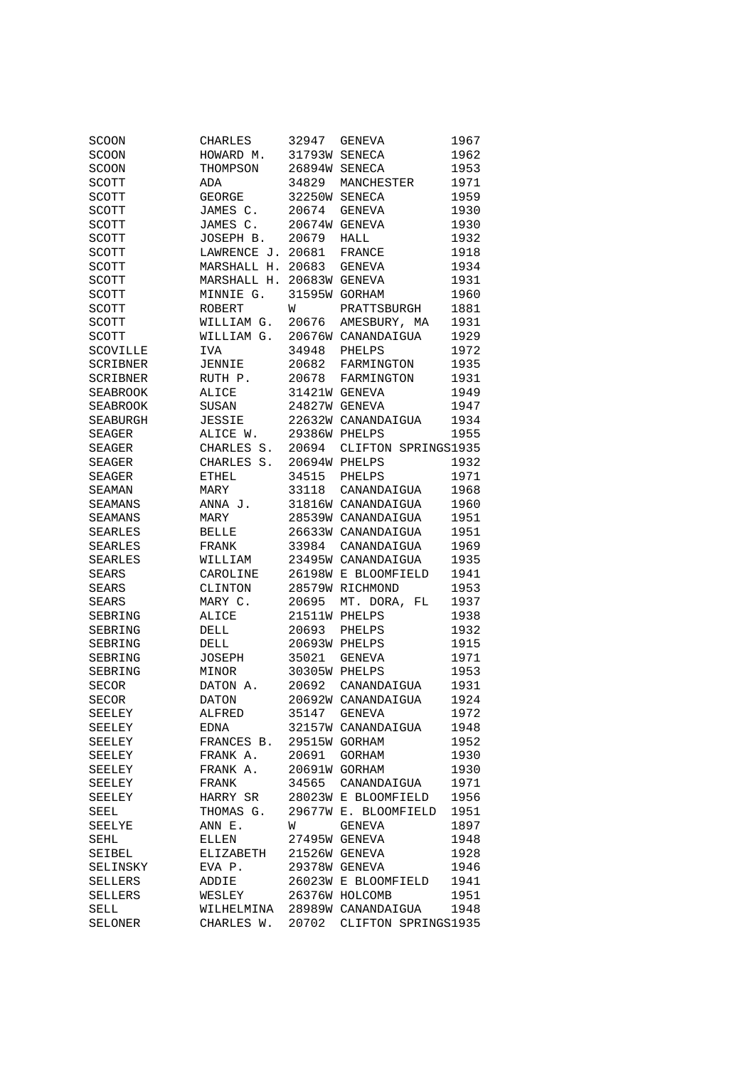| SCOON           | CHARLES                   | 32947         | GENEVA               | 1967 |
|-----------------|---------------------------|---------------|----------------------|------|
| SCOON           | HOWARD M.                 | 31793W        | SENECA               | 1962 |
| <b>SCOON</b>    | THOMPSON                  | 26894W        | SENECA               | 1953 |
| SCOTT           | ADA                       | 34829         | MANCHESTER           | 1971 |
| <b>SCOTT</b>    | <b>GEORGE</b>             | 32250W        | SENECA               | 1959 |
| <b>SCOTT</b>    | JAMES C.                  | 20674         | <b>GENEVA</b>        | 1930 |
| <b>SCOTT</b>    | JAMES C.                  | 20674W GENEVA |                      | 1930 |
| SCOTT           | JOSEPH B.                 | 20679         | HALL                 | 1932 |
| SCOTT           | LAWRENCE J.               | 20681         | FRANCE               | 1918 |
| SCOTT           | MARSHALL H.               | 20683         | GENEVA               | 1934 |
| SCOTT           | MARSHALL H. 20683W GENEVA |               |                      | 1931 |
| SCOTT           | MINNIE G.                 | 31595W GORHAM |                      | 1960 |
| SCOTT           | <b>ROBERT</b>             | W             | PRATTSBURGH          | 1881 |
| SCOTT           | WILLIAM G.                | 20676         | AMESBURY, MA         | 1931 |
| <b>SCOTT</b>    | WILLIAM G.                |               | 20676W CANANDAIGUA   | 1929 |
| SCOVILLE        | IVA                       | 34948         | PHELPS               | 1972 |
| SCRIBNER        | JENNIE                    |               | 20682 FARMINGTON     | 1935 |
| SCRIBNER        | RUTH P.                   |               | 20678 FARMINGTON     | 1931 |
| SEABROOK        | ALICE                     | 31421W GENEVA |                      | 1949 |
| <b>SEABROOK</b> | <b>SUSAN</b>              |               | 24827W GENEVA        | 1947 |
| SEABURGH        | JESSIE                    |               | 22632W CANANDAIGUA   | 1934 |
| SEAGER          | ALICE W.                  | 29386W PHELPS |                      | 1955 |
| SEAGER          | CHARLES S.                | 20694         | CLIFTON SPRINGS1935  |      |
| SEAGER          | CHARLES S.                | 20694W PHELPS |                      | 1932 |
| SEAGER          | ETHEL                     | 34515         | PHELPS               | 1971 |
| SEAMAN          | MARY                      | 33118         | CANANDAIGUA          | 1968 |
| SEAMANS         | ANNA J.                   |               | 31816W CANANDAIGUA   | 1960 |
| SEAMANS         | MARY                      |               | 28539W CANANDAIGUA   | 1951 |
| SEARLES         | <b>BELLE</b>              |               | 26633W CANANDAIGUA   | 1951 |
| SEARLES         | FRANK                     | 33984         | CANANDAIGUA          | 1969 |
| SEARLES         | WILLIAM                   |               | 23495W CANANDAIGUA   | 1935 |
| <b>SEARS</b>    | CAROLINE                  |               | 26198W E BLOOMFIELD  | 1941 |
| SEARS           | CLINTON                   |               | 28579W RICHMOND      | 1953 |
| <b>SEARS</b>    | MARY C.                   | 20695         | MT. DORA,<br>FL      | 1937 |
| SEBRING         | ALICE                     | 21511W PHELPS |                      | 1938 |
| SEBRING         | DELL                      | 20693         | PHELPS               | 1932 |
| SEBRING         | DELL                      | 20693W PHELPS |                      | 1915 |
| SEBRING         | JOSEPH                    | 35021         | GENEVA               | 1971 |
| SEBRING         | MINOR                     | 30305W PHELPS |                      | 1953 |
| <b>SECOR</b>    | DATON A.                  | 20692         | CANANDAIGUA          | 1931 |
| SECOR           | <b>DATON</b>              |               | 20692W CANANDAIGUA   | 1924 |
| SEELEY          | ALFRED                    | 35147 GENEVA  |                      | 1972 |
| SEELEY          | EDNA                      |               | 32157W CANANDAIGUA   | 1948 |
| SEELEY          | FRANCES B.                | 29515W GORHAM |                      | 1952 |
| SEELEY          | FRANK A.                  | 20691         | GORHAM               | 1930 |
| SEELEY          | FRANK A.                  |               | 20691W GORHAM        | 1930 |
| SEELEY          | FRANK                     | 34565         | CANANDAIGUA          | 1971 |
| SEELEY          | HARRY SR                  |               | 28023W E BLOOMFIELD  | 1956 |
| SEEL            | THOMAS G.                 |               | 29677W E. BLOOMFIELD | 1951 |
| SEELYE          | ANN E.                    | W             | <b>GENEVA</b>        | 1897 |
| SEHL            | ELLEN                     |               | 27495W GENEVA        | 1948 |
| SEIBEL          | ELIZABETH                 | 21526W GENEVA |                      | 1928 |
| SELINSKY        | EVA P.                    | 29378W GENEVA |                      | 1946 |
| SELLERS         | ADDIE                     |               | 26023W E BLOOMFIELD  | 1941 |
| SELLERS         | WESLEY                    |               | 26376W HOLCOMB       | 1951 |
| SELL            | WILHELMINA                |               | 28989W CANANDAIGUA   | 1948 |
| SELONER         | CHARLES W.                | 20702         | CLIFTON SPRINGS1935  |      |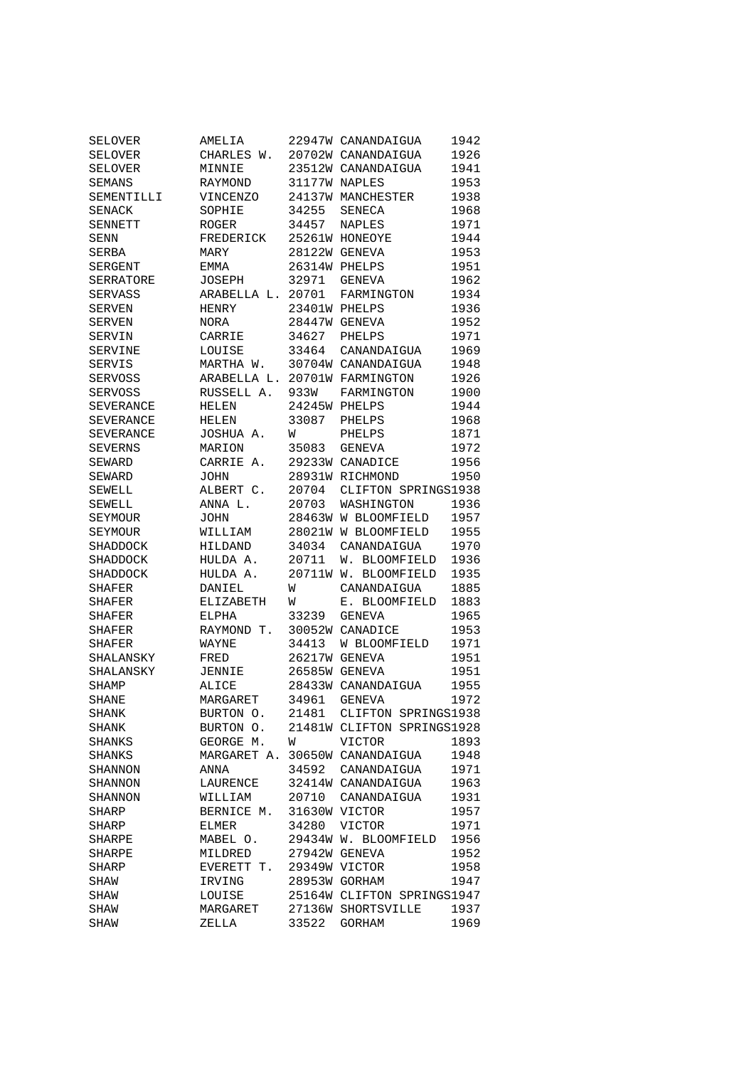| SELOVER        | AMELIA          |               | 22947W CANANDAIGUA             | 1942 |
|----------------|-----------------|---------------|--------------------------------|------|
| SELOVER        | CHARLES W.      |               | 20702W CANANDAIGUA             | 1926 |
| SELOVER        | MINNIE          |               | 23512W CANANDAIGUA             | 1941 |
| SEMANS         | RAYMOND         | 31177W NAPLES |                                | 1953 |
| SEMENTILLI     | <b>VINCENZO</b> |               | 24137W MANCHESTER              | 1938 |
| SENACK         | SOPHIE          | 34255         | <b>SENECA</b>                  | 1968 |
| SENNETT        | ROGER           | 34457         | <b>NAPLES</b>                  | 1971 |
| SENN           | FREDERICK       |               | 25261W HONEOYE                 | 1944 |
| SERBA          | MARY            | 28122W GENEVA |                                | 1953 |
| SERGENT        | EMMA            | 26314W        | PHELPS                         | 1951 |
| SERRATORE      | JOSEPH          | 32971         | <b>GENEVA</b>                  | 1962 |
| SERVASS        | ARABELLA L.     | 20701         | FARMINGTON                     | 1934 |
| <b>SERVEN</b>  | HENRY           | 23401W PHELPS |                                | 1936 |
| <b>SERVEN</b>  | <b>NORA</b>     | 28447W GENEVA |                                | 1952 |
| SERVIN         | CARRIE          | 34627         | PHELPS                         | 1971 |
| SERVINE        | LOUISE          | 33464         | CANANDAIGUA                    | 1969 |
| SERVIS         | MARTHA W.       |               | 30704W CANANDAIGUA             | 1948 |
| SERVOSS        | ARABELLA L.     | 20701W        | FARMINGTON                     | 1926 |
| <b>SERVOSS</b> | RUSSELL A.      | 933W          | FARMINGTON                     | 1900 |
| SEVERANCE      | <b>HELEN</b>    | 24245W PHELPS |                                | 1944 |
| SEVERANCE      | HELEN           | 33087         | PHELPS                         | 1968 |
| SEVERANCE      | JOSHUA A.       | W             | PHELPS                         | 1871 |
| <b>SEVERNS</b> | MARION          | 35083         | GENEVA                         | 1972 |
| SEWARD         | CARRIE A.       |               | 29233W CANADICE                | 1956 |
| SEWARD         | JOHN            |               | 28931W RICHMOND                | 1950 |
| SEWELL         | ALBERT C.       | 20704         | CLIFTON SPRINGS1938            |      |
| SEWELL         | ANNA L.         | 20703         | WASHINGTON                     | 1936 |
| SEYMOUR        | <b>JOHN</b>     |               | 28463W W BLOOMFIELD            | 1957 |
| SEYMOUR        | WILLIAM         | 28021W        | W BLOOMFIELD                   | 1955 |
| SHADDOCK       | HILDAND         | 34034         | CANANDAIGUA                    | 1970 |
| SHADDOCK       | HULDA A.        | 20711         | W.<br><b>BLOOMFIELD</b>        | 1936 |
| SHADDOCK       | HULDA A.        | 20711W W.     | <b>BLOOMFIELD</b>              | 1935 |
| <b>SHAFER</b>  | DANIEL          | W             | CANANDAIGUA                    | 1885 |
| <b>SHAFER</b>  | ELIZABETH       | W             | E. BLOOMFIELD                  | 1883 |
| SHAFER         | ELPHA           | 33239         | <b>GENEVA</b>                  | 1965 |
| <b>SHAFER</b>  | RAYMOND T.      | 30052W        | CANADICE                       | 1953 |
| <b>SHAFER</b>  | WAYNE           | 34413         | W BLOOMFIELD                   | 1971 |
| SHALANSKY      | FRED            |               | 26217W GENEVA                  | 1951 |
| SHALANSKY      | JENNIE          | 26585W GENEVA |                                | 1951 |
| SHAMP          | ALICE           |               | 28433W CANANDAIGUA             | 1955 |
| SHANE          | MARGARET        | 34961 GENEVA  |                                | 1972 |
| SHANK          | BURTON O.       |               | 21481 CLIFTON SPRINGS1938      |      |
| SHANK          | BURTON O.       |               | 21481W CLIFTON SPRINGS1928     |      |
| SHANKS         | GEORGE M.       | <b>W</b>      | VICTOR                         | 1893 |
| SHANKS         |                 |               | MARGARET A. 30650W CANANDAIGUA | 1948 |
| SHANNON        | ANNA            |               | 34592 CANANDAIGUA              | 1971 |
| SHANNON        | LAURENCE        |               | 32414W CANANDAIGUA             | 1963 |
| SHANNON        | WILLIAM         |               | 20710 CANANDAIGUA              | 1931 |
| SHARP          | BERNICE M.      | 31630W VICTOR |                                | 1957 |
| SHARP          | ELMER           |               | 34280 VICTOR                   | 1971 |
| SHARPE         | MABEL O.        |               | 29434W W. BLOOMFIELD           | 1956 |
| SHARPE         | MILDRED         | 27942W GENEVA |                                | 1952 |
| SHARP          | EVERETT T.      | 29349W VICTOR |                                | 1958 |
| SHAW           | IRVING          |               | 28953W GORHAM                  | 1947 |
| SHAW           | LOUISE          |               | 25164W CLIFTON SPRINGS1947     |      |
| SHAW           | MARGARET        |               | 27136W SHORTSVILLE             | 1937 |
| SHAW           | ZELLA           | 33522         | GORHAM                         | 1969 |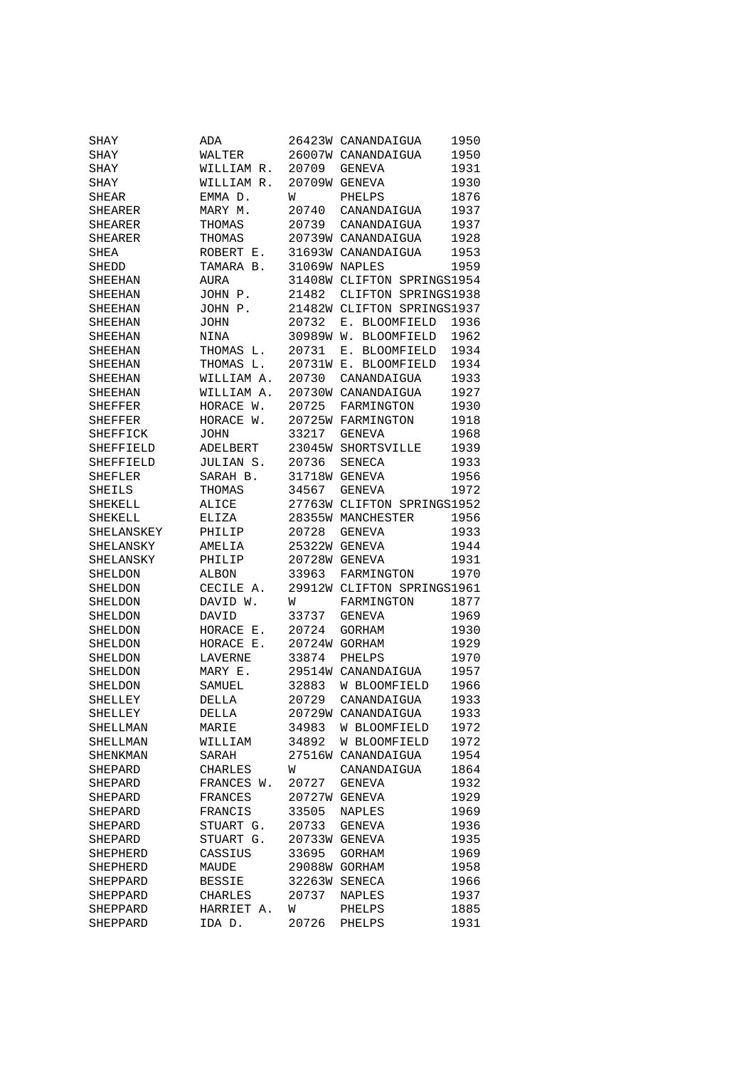| SHAY           | ADA            |               | 26423W CANANDAIGUA         | 1950 |
|----------------|----------------|---------------|----------------------------|------|
| SHAY           | WALTER         |               | 26007W CANANDAIGUA         | 1950 |
| SHAY           | WILLIAM R.     | 20709         | <b>GENEVA</b>              | 1931 |
| SHAY           | WILLIAM R.     | 20709W        | GENEVA                     | 1930 |
| SHEAR          | EMMA D.        | W             | PHELPS                     | 1876 |
| SHEARER        | MARY M.        | 20740         | CANANDAIGUA                | 1937 |
| SHEARER        | THOMAS         | 20739         | CANANDAIGUA                | 1937 |
| SHEARER        | THOMAS         |               | 20739W CANANDAIGUA         | 1928 |
| SHEA           | ROBERT E.      |               | 31693W CANANDAIGUA         | 1953 |
| SHEDD          | TAMARA B.      | 31069W NAPLES |                            | 1959 |
| SHEEHAN        | AURA           |               | 31408W CLIFTON SPRINGS1954 |      |
| SHEEHAN        | JOHN P.        | 21482         | CLIFTON SPRINGS1938        |      |
| SHEEHAN        | JOHN P.        |               | 21482W CLIFTON SPRINGS1937 |      |
| SHEEHAN        | JOHN           | 20732         | E. BLOOMFIELD              | 1936 |
| SHEEHAN        | NINA           | 30989W W.     | <b>BLOOMFIELD</b>          | 1962 |
| SHEEHAN        | THOMAS L.      | 20731         | Ε.<br><b>BLOOMFIELD</b>    | 1934 |
| SHEEHAN        | THOMAS L.      | 20731W        | Ε.<br><b>BLOOMFIELD</b>    | 1934 |
| SHEEHAN        | WILLIAM A.     | 20730         | CANANDAIGUA                | 1933 |
| SHEEHAN        | WILLIAM A.     |               | 20730W CANANDAIGUA         | 1927 |
| SHEFFER        | HORACE W.      | 20725         | FARMINGTON                 | 1930 |
| <b>SHEFFER</b> | HORACE W.      |               | 20725W FARMINGTON          | 1918 |
| SHEFFICK       | JOHN           | 33217         | GENEVA                     | 1968 |
| SHEFFIELD      | ADELBERT       | 23045W        | SHORTSVILLE                | 1939 |
| SHEFFIELD      | JULIAN S.      | 20736         | <b>SENECA</b>              | 1933 |
| SHEFLER        | SARAH B.       | 31718W        | GENEVA                     | 1956 |
| <b>SHEILS</b>  | THOMAS         | 34567         | <b>GENEVA</b>              | 1972 |
| SHEKELL        | ALICE          |               | 27763W CLIFTON SPRINGS1952 |      |
| SHEKELL        | ELIZA          |               | 28355W MANCHESTER          | 1956 |
| SHELANSKEY     | PHILIP         | 20728         | GENEVA                     | 1933 |
| SHELANSKY      | AMELIA         | 25322W        | <b>GENEVA</b>              | 1944 |
| SHELANSKY      | PHILIP         | 20728W        | <b>GENEVA</b>              | 1931 |
| SHELDON        | ALBON          | 33963         | FARMINGTON                 | 1970 |
| SHELDON        | CECILE A.      |               | 29912W CLIFTON SPRINGS1961 |      |
| SHELDON        | DAVID W.       | W             | FARMINGTON                 | 1877 |
| SHELDON        | DAVID          | 33737         | GENEVA                     | 1969 |
| SHELDON        | HORACE E.      | 20724         | GORHAM                     | 1930 |
| SHELDON        | HORACE E.      | 20724W        | GORHAM                     | 1929 |
| SHELDON        | LAVERNE        | 33874         | PHELPS                     | 1970 |
| SHELDON        | MARY E.        |               | 29514W CANANDAIGUA         | 1957 |
| SHELDON        | SAMUEL         | 32883         | W BLOOMFIELD               | 1966 |
| SHELLEY        | DELLA          | 20729         | CANANDAIGUA                | 1933 |
| SHELLEY        | DELLA          |               | 20729W CANANDAIGUA         | 1933 |
| SHELLMAN       | MARIE          | 34983         | W BLOOMFIELD               | 1972 |
| SHELLMAN       | WILLIAM        | 34892         | W BLOOMFIELD               | 1972 |
| SHENKMAN       | SARAH          |               | 27516W CANANDAIGUA         | 1954 |
| SHEPARD        | <b>CHARLES</b> | W             | CANANDAIGUA                | 1864 |
| SHEPARD        | FRANCES W.     | 20727         | <b>GENEVA</b>              | 1932 |
| SHEPARD        | <b>FRANCES</b> | 20727W        | GENEVA                     | 1929 |
| SHEPARD        | FRANCIS        | 33505         | NAPLES                     | 1969 |
| SHEPARD        | STUART G.      | 20733         | <b>GENEVA</b>              | 1936 |
| SHEPARD        | STUART G.      | 20733W GENEVA |                            | 1935 |
| SHEPHERD       | CASSIUS        | 33695         | GORHAM                     | 1969 |
| SHEPHERD       | MAUDE          | 29088W        | GORHAM                     | 1958 |
| SHEPPARD       | BESSIE         | 32263W        | SENECA                     | 1966 |
| SHEPPARD       | CHARLES        | 20737         | NAPLES                     | 1937 |
| SHEPPARD       | HARRIET A.     | W             | PHELPS                     | 1885 |
| SHEPPARD       | IDA D.         | 20726         | PHELPS                     | 1931 |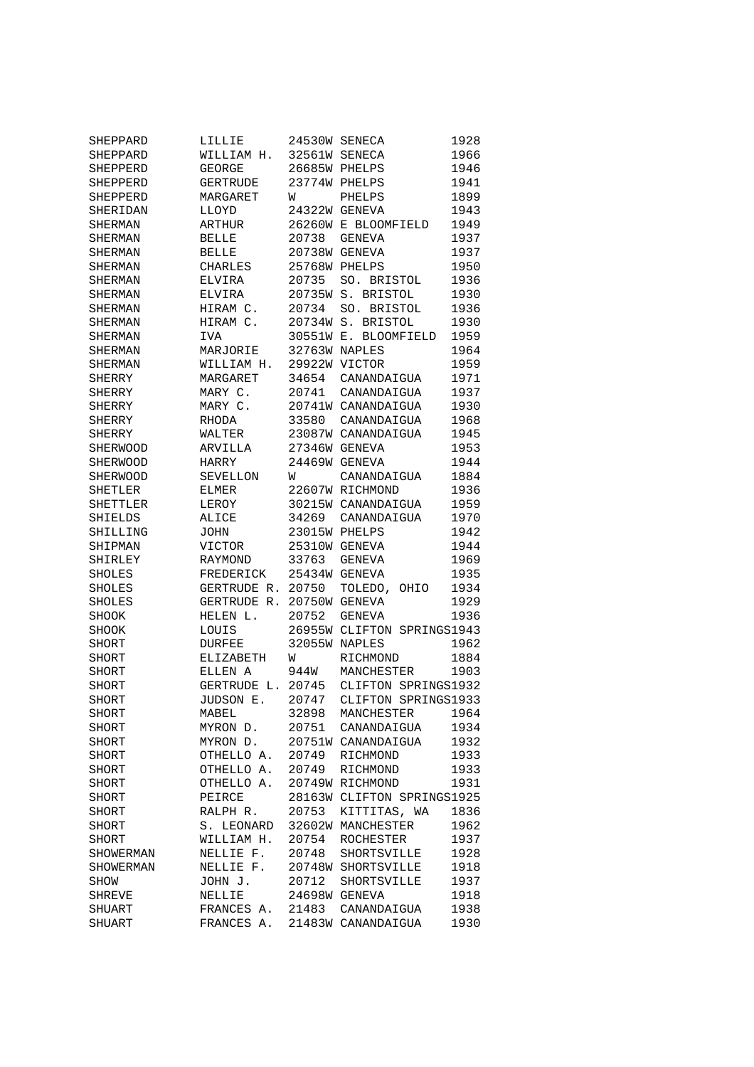| SHEPPARD       | LILLIE            |               | 24530W SENECA                       | 1928 |
|----------------|-------------------|---------------|-------------------------------------|------|
| SHEPPARD       | WILLIAM H.        | 32561W        | SENECA                              | 1966 |
| SHEPPERD       | <b>GEORGE</b>     | 26685W        | PHELPS                              | 1946 |
| SHEPPERD       | <b>GERTRUDE</b>   |               | 23774W PHELPS                       | 1941 |
| SHEPPERD       | MARGARET          | W             | PHELPS                              | 1899 |
| SHERIDAN       | LLOYD             |               | 24322W GENEVA                       | 1943 |
| SHERMAN        | <b>ARTHUR</b>     |               | 26260W E BLOOMFIELD                 | 1949 |
| SHERMAN        | <b>BELLE</b>      | 20738         | <b>GENEVA</b>                       | 1937 |
| SHERMAN        | <b>BELLE</b>      | 20738W        | <b>GENEVA</b>                       | 1937 |
| SHERMAN        | <b>CHARLES</b>    | 25768W        | PHELPS                              | 1950 |
| SHERMAN        | ELVIRA            | 20735         | SO. BRISTOL                         | 1936 |
| SHERMAN        | ELVIRA            | 20735W        | S. BRISTOL                          | 1930 |
| SHERMAN        | HIRAM C.          | 20734         | SO. BRISTOL                         | 1936 |
| SHERMAN        | HIRAM C.          | 20734W        | S. BRISTOL                          | 1930 |
| SHERMAN        | IVA               | 30551W        | E. BLOOMFIELD                       | 1959 |
| SHERMAN        | MARJORIE          | 32763W NAPLES |                                     | 1964 |
| SHERMAN        | WILLIAM H.        |               | 29922W VICTOR                       | 1959 |
| SHERRY         | MARGARET          | 34654         | CANANDAIGUA                         | 1971 |
| SHERRY         | MARY C.           | 20741         | CANANDAIGUA                         | 1937 |
| SHERRY         | MARY C.           |               | 20741W CANANDAIGUA                  | 1930 |
| SHERRY         | <b>RHODA</b>      | 33580         | CANANDAIGUA                         | 1968 |
| SHERRY         | WALTER            |               | 23087W CANANDAIGUA                  | 1945 |
| SHERWOOD       | ARVILLA           |               | 27346W GENEVA                       | 1953 |
| SHERWOOD       | HARRY             |               | 24469W GENEVA                       | 1944 |
| SHERWOOD       | <b>SEVELLON</b>   | W             | CANANDAIGUA                         | 1884 |
| <b>SHETLER</b> | <b>ELMER</b>      |               | 22607W RICHMOND                     | 1936 |
| SHETTLER       | LEROY             |               | 30215W CANANDAIGUA                  | 1959 |
| SHIELDS        | ALICE             | 34269         | CANANDAIGUA                         | 1970 |
| SHILLING       | JOHN              | 23015W PHELPS |                                     | 1942 |
| SHIPMAN        | VICTOR            |               | 25310W GENEVA                       | 1944 |
| SHIRLEY        | RAYMOND           | 33763         | <b>GENEVA</b>                       | 1969 |
| <b>SHOLES</b>  | FREDERICK         | 25434W GENEVA |                                     | 1935 |
| <b>SHOLES</b>  | GERTRUDE R.       | 20750         | TOLEDO,<br>OHIO                     | 1934 |
| SHOLES         | GERTRUDE R.       | 20750W        | GENEVA                              | 1929 |
| <b>SHOOK</b>   | HELEN L.          | 20752         | <b>GENEVA</b>                       | 1936 |
| <b>SHOOK</b>   | LOUIS             |               | 26955W CLIFTON SPRINGS1943          |      |
| SHORT          | <b>DURFEE</b>     | 32055W NAPLES |                                     | 1962 |
| SHORT          | ELIZABETH         | W             | RICHMOND                            | 1884 |
| SHORT          | ELLEN A           | 944W          | MANCHESTER                          | 1903 |
| SHORT          | GERTRUDE L. 20745 |               | CLIFTON SPRINGS1932                 |      |
| SHORT          |                   |               | JUDSON E. 20747 CLIFTON SPRINGS1933 |      |
| SHORT          | MABEL             | 32898         | MANCHESTER                          | 1964 |
| SHORT          | MYRON D.          | 20751         | CANANDAIGUA                         | 1934 |
| SHORT          | MYRON D.          |               | 20751W CANANDAIGUA                  | 1932 |
| SHORT          | OTHELLO A.        | 20749         | RICHMOND                            | 1933 |
| SHORT          | OTHELLO A.        | 20749         | RICHMOND                            | 1933 |
| SHORT          | OTHELLO A.        |               | 20749W RICHMOND                     | 1931 |
| SHORT          | PEIRCE            |               | 28163W CLIFTON SPRINGS1925          |      |
| SHORT          | RALPH R.          | 20753         | KITTITAS, WA                        | 1836 |
| SHORT          | S. LEONARD        |               | 32602W MANCHESTER                   | 1962 |
| SHORT          | WILLIAM H.        | 20754         | ROCHESTER                           | 1937 |
| SHOWERMAN      | NELLIE F.         | 20748         | SHORTSVILLE                         | 1928 |
| SHOWERMAN      | NELLIE F.         | 20748W        | SHORTSVILLE                         | 1918 |
| SHOW           | JOHN J.           | 20712         | SHORTSVILLE                         | 1937 |
| SHREVE         | NELLIE            |               | 24698W GENEVA                       | 1918 |
| SHUART         | FRANCES A.        | 21483         | CANANDAIGUA                         | 1938 |
| SHUART         | FRANCES A.        |               | 21483W CANANDAIGUA                  | 1930 |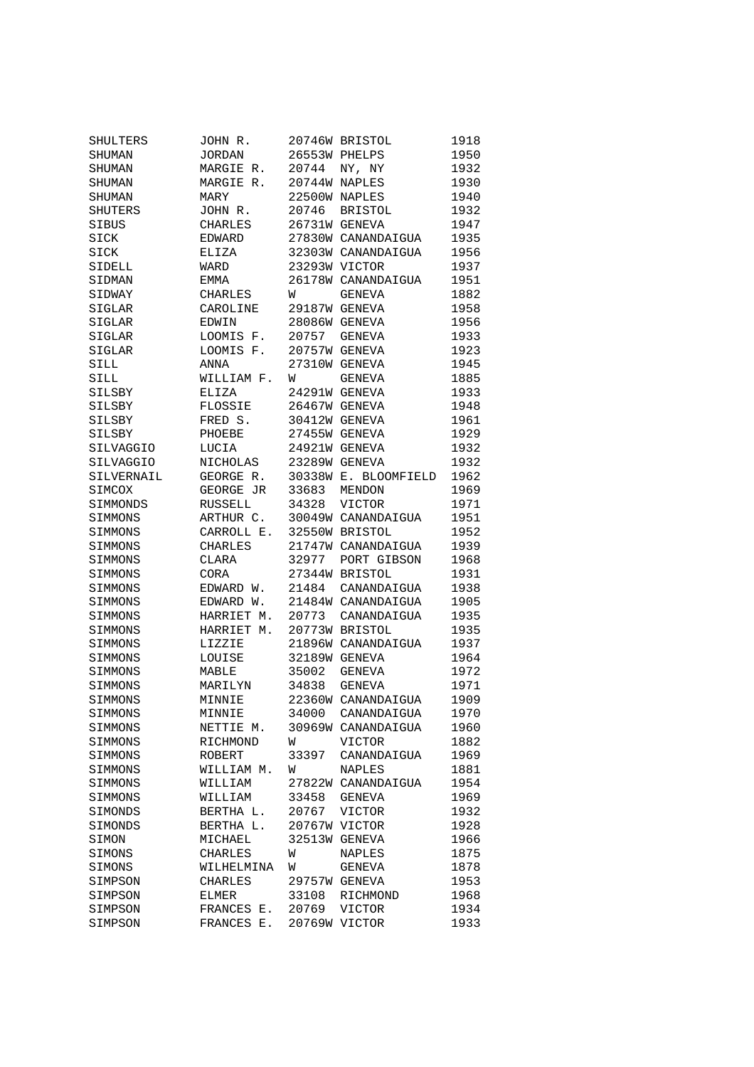| SHULTERS       | JOHN R.        |               | 20746W BRISTOL       | 1918 |
|----------------|----------------|---------------|----------------------|------|
| <b>SHUMAN</b>  | <b>JORDAN</b>  | 26553W PHELPS |                      | 1950 |
| SHUMAN         | MARGIE R.      | 20744         | NY, NY               | 1932 |
| SHUMAN         | MARGIE R.      | 20744W NAPLES |                      | 1930 |
| SHUMAN         | MARY           | 22500W NAPLES |                      | 1940 |
| <b>SHUTERS</b> | JOHN R.        | 20746         | <b>BRISTOL</b>       | 1932 |
| SIBUS          | <b>CHARLES</b> | 26731W GENEVA |                      | 1947 |
| SICK           | EDWARD         |               | 27830W CANANDAIGUA   | 1935 |
| SICK           | ELIZA          |               | 32303W CANANDAIGUA   | 1956 |
| SIDELL         | WARD           | 23293W VICTOR |                      | 1937 |
| SIDMAN         | <b>EMMA</b>    |               | 26178W CANANDAIGUA   | 1951 |
| SIDWAY         | <b>CHARLES</b> | W             | GENEVA               | 1882 |
| SIGLAR         | CAROLINE       |               | 29187W GENEVA        | 1958 |
| SIGLAR         | EDWIN          |               | 28086W GENEVA        | 1956 |
| SIGLAR         | LOOMIS F.      | 20757         | <b>GENEVA</b>        | 1933 |
| SIGLAR         | LOOMIS F.      |               | 20757W GENEVA        | 1923 |
| SILL           | ANNA           | 27310W GENEVA |                      | 1945 |
| SILL           | WILLIAM F.     | W             | GENEVA               | 1885 |
| SILSBY         | ELIZA          | 24291W GENEVA |                      | 1933 |
| SILSBY         | FLOSSIE        | 26467W GENEVA |                      | 1948 |
| SILSBY         | FRED S.        | 30412W GENEVA |                      | 1961 |
| SILSBY         | PHOEBE         |               | 27455W GENEVA        | 1929 |
| SILVAGGIO      | LUCIA          | 24921W GENEVA |                      | 1932 |
| SILVAGGIO      | NICHOLAS       | 23289W GENEVA |                      | 1932 |
| SILVERNAIL     | GEORGE R.      |               | 30338W E. BLOOMFIELD | 1962 |
| SIMCOX         | GEORGE JR      | 33683         | <b>MENDON</b>        | 1969 |
| SIMMONDS       | RUSSELL        | 34328         | <b>VICTOR</b>        | 1971 |
| SIMMONS        | ARTHUR C.      |               | 30049W CANANDAIGUA   | 1951 |
| SIMMONS        | CARROLL E.     |               | 32550W BRISTOL       | 1952 |
| SIMMONS        | <b>CHARLES</b> |               | 21747W CANANDAIGUA   | 1939 |
| SIMMONS        | CLARA          | 32977         | PORT GIBSON          | 1968 |
| SIMMONS        | CORA           |               | 27344W BRISTOL       | 1931 |
| SIMMONS        | EDWARD W.      | 21484         | CANANDAIGUA          | 1938 |
| SIMMONS        | EDWARD W.      |               | 21484W CANANDAIGUA   | 1905 |
| SIMMONS        | HARRIET M.     | 20773         | CANANDAIGUA          | 1935 |
| SIMMONS        | HARRIET M.     |               | 20773W BRISTOL       | 1935 |
| SIMMONS        | LIZZIE         |               | 21896W CANANDAIGUA   | 1937 |
| SIMMONS        | LOUISE         |               | 32189W GENEVA        | 1964 |
| SIMMONS        | MABLE          | 35002         | GENEVA               | 1972 |
| SIMMONS        | MARILYN        | 34838         | <b>GENEVA</b>        | 1971 |
| SIMMONS        | MINNIE         |               | 22360W CANANDAIGUA   | 1909 |
| SIMMONS        | MINNIE         | 34000         | CANANDAIGUA          | 1970 |
| SIMMONS        | NETTIE M.      |               | 30969W CANANDAIGUA   | 1960 |
| SIMMONS        | RICHMOND       | W             | <b>VICTOR</b>        | 1882 |
| SIMMONS        | ROBERT         | 33397         | CANANDAIGUA          | 1969 |
| SIMMONS        | WILLIAM M.     | W             | NAPLES               | 1881 |
| SIMMONS        | WILLIAM        |               | 27822W CANANDAIGUA   | 1954 |
| SIMMONS        | WILLIAM        | 33458         | <b>GENEVA</b>        | 1969 |
| SIMONDS        | BERTHA L.      | 20767         | <b>VICTOR</b>        | 1932 |
| SIMONDS        | BERTHA L.      | 20767W VICTOR |                      | 1928 |
| SIMON          | MICHAEL        | 32513W GENEVA |                      | 1966 |
| SIMONS         | CHARLES        | W             | NAPLES               | 1875 |
| SIMONS         | WILHELMINA     | W             | GENEVA               | 1878 |
| SIMPSON        | <b>CHARLES</b> | 29757W        | <b>GENEVA</b>        | 1953 |
| SIMPSON        | <b>ELMER</b>   | 33108         | RICHMOND             | 1968 |
| SIMPSON        | FRANCES E.     | 20769         | <b>VICTOR</b>        | 1934 |
| SIMPSON        | FRANCES E.     | 20769W VICTOR |                      | 1933 |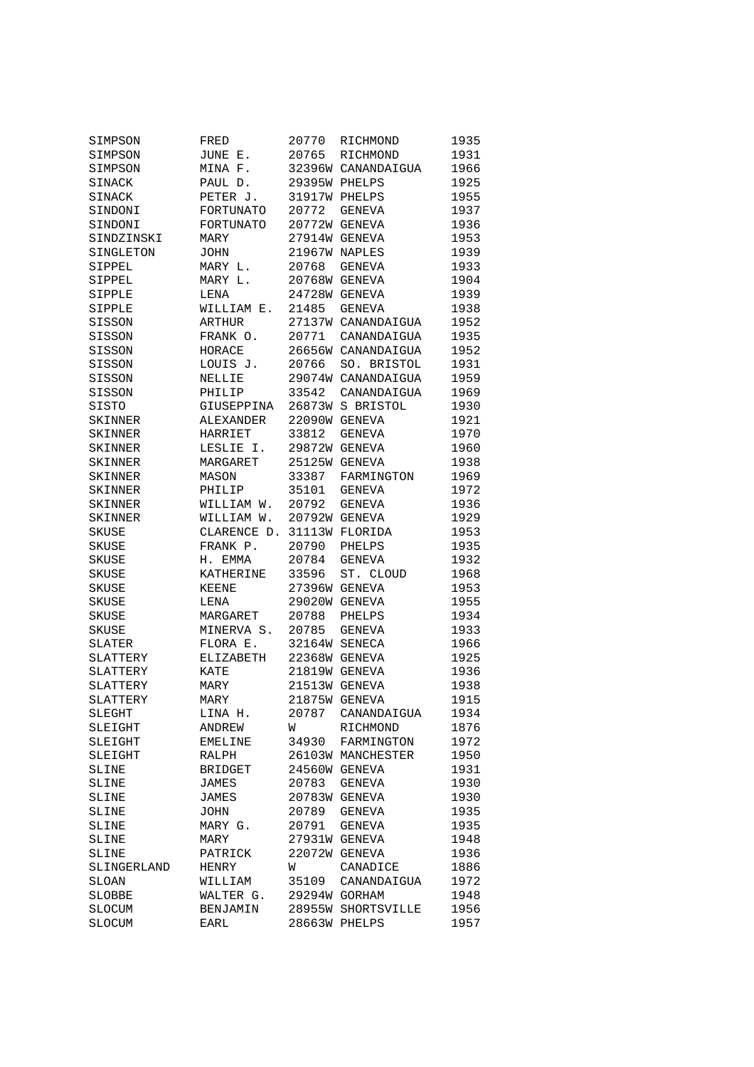| SIMPSON         | FRED                      | 20770         | RICHMOND           | 1935 |
|-----------------|---------------------------|---------------|--------------------|------|
| SIMPSON         | JUNE E.                   | 20765         | RICHMOND           | 1931 |
| SIMPSON         | MINA F.                   |               | 32396W CANANDAIGUA | 1966 |
| SINACK          | PAUL D.                   | 29395W        | PHELPS             | 1925 |
| SINACK          | PETER J.                  | 31917W        | PHELPS             | 1955 |
| SINDONI         | <b>FORTUNATO</b>          | 20772         | GENEVA             | 1937 |
| SINDONI         | FORTUNATO                 | 20772W        | GENEVA             | 1936 |
| SINDZINSKI      | MARY                      | 27914W GENEVA |                    | 1953 |
| SINGLETON       | <b>JOHN</b>               | 21967W        | <b>NAPLES</b>      | 1939 |
| SIPPEL          | MARY L.                   | 20768         | GENEVA             | 1933 |
| SIPPEL          | MARY L.                   | 20768W        | <b>GENEVA</b>      | 1904 |
| SIPPLE          | LENA                      | 24728W        | <b>GENEVA</b>      | 1939 |
| SIPPLE          | WILLIAM E.                | 21485         | <b>GENEVA</b>      | 1938 |
| SISSON          | ARTHUR                    |               | 27137W CANANDAIGUA | 1952 |
| SISSON          | FRANK O.                  | 20771         | CANANDAIGUA        | 1935 |
| SISSON          | HORACE                    |               | 26656W CANANDAIGUA | 1952 |
| SISSON          | LOUIS J.                  | 20766         | SO. BRISTOL        | 1931 |
| SISSON          | NELLIE                    | 29074W        | CANANDAIGUA        | 1959 |
| SISSON          | PHILIP                    | 33542         | CANANDAIGUA        | 1969 |
| SISTO           | GIUSEPPINA                | 26873W        | S BRISTOL          | 1930 |
| SKINNER         | ALEXANDER                 | 22090W GENEVA |                    | 1921 |
| SKINNER         | HARRIET                   | 33812         | <b>GENEVA</b>      | 1970 |
| <b>SKINNER</b>  | LESLIE I.                 | 29872W        | <b>GENEVA</b>      | 1960 |
| SKINNER         | MARGARET                  | 25125W        | <b>GENEVA</b>      | 1938 |
| SKINNER         | MASON                     | 33387         | FARMINGTON         | 1969 |
| <b>SKINNER</b>  | PHILIP                    | 35101         | <b>GENEVA</b>      | 1972 |
| SKINNER         | WILLIAM W.                | 20792         | GENEVA             | 1936 |
|                 |                           | 20792W GENEVA |                    | 1929 |
| SKINNER         | WILLIAM W.<br>CLARENCE D. | 31113W        |                    |      |
| SKUSE           |                           |               | FLORIDA            | 1953 |
| SKUSE           | FRANK P.                  | 20790         | PHELPS             | 1935 |
| SKUSE           | <b>EMMA</b><br>Н.         | 20784         | <b>GENEVA</b>      | 1932 |
| <b>SKUSE</b>    | KATHERINE                 | 33596         | ST. CLOUD          | 1968 |
| SKUSE           | <b>KEENE</b>              | 27396W GENEVA |                    | 1953 |
| SKUSE           | LENA                      | 29020W GENEVA |                    | 1955 |
| SKUSE           | MARGARET                  | 20788         | PHELPS             | 1934 |
| SKUSE           | MINERVA S.                | 20785         | GENEVA             | 1933 |
| SLATER          | FLORA E.                  | 32164W        | SENECA             | 1966 |
| SLATTERY        | <b>ELIZABETH</b>          | 22368W GENEVA |                    | 1925 |
| <b>SLATTERY</b> | KATE                      | 21819W GENEVA |                    | 1936 |
| SLATTERY        | MARY                      | 21513W GENEVA |                    | 1938 |
| SLATTERY        | MARY                      | 21875W GENEVA |                    | 1915 |
| SLEGHT          | LINA H.                   |               | 20787 CANANDAIGUA  | 1934 |
| SLEIGHT         | ANDREW                    | W             | RICHMOND           | 1876 |
| SLEIGHT         | <b>EMELINE</b>            | 34930         | FARMINGTON         | 1972 |
| SLEIGHT         | RALPH                     |               | 26103W MANCHESTER  | 1950 |
| SLINE           | <b>BRIDGET</b>            |               | 24560W GENEVA      | 1931 |
| SLINE           | JAMES                     | 20783         | GENEVA             | 1930 |
| SLINE           | JAMES                     |               | 20783W GENEVA      | 1930 |
| SLINE           | JOHN                      | 20789         | GENEVA             | 1935 |
| SLINE           | MARY G.                   | 20791         | GENEVA             | 1935 |
| SLINE           | MARY                      | 27931W GENEVA |                    | 1948 |
| SLINE           | PATRICK                   | 22072W GENEVA |                    | 1936 |
| SLINGERLAND     | HENRY                     | W             | CANADICE           | 1886 |
| SLOAN           | WILLIAM                   | 35109         | CANANDAIGUA        | 1972 |
| SLOBBE          | WALTER G.                 | 29294W GORHAM |                    | 1948 |
| SLOCUM          | BENJAMIN                  | 28955W        | SHORTSVILLE        | 1956 |
| SLOCUM          | <b>EARL</b>               | 28663W PHELPS |                    | 1957 |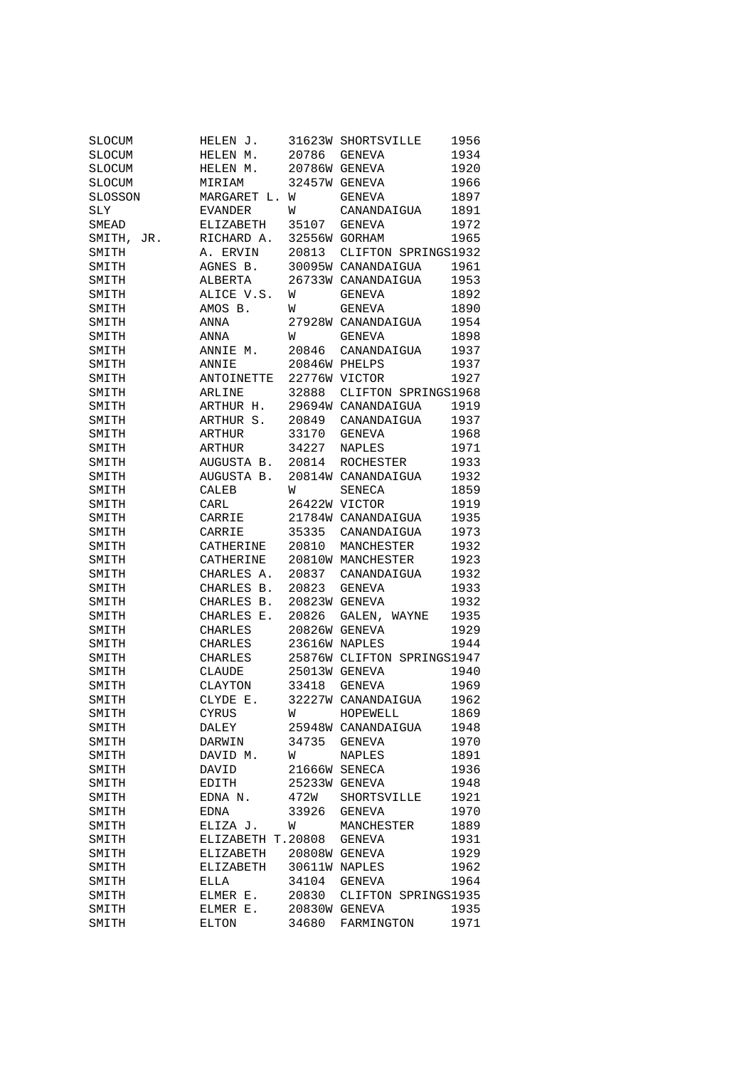| SLOCUM         | HELEN J. 31623W SHORTSVILLE                        |          |                                      | 1956         |
|----------------|----------------------------------------------------|----------|--------------------------------------|--------------|
| SLOCUM         | HELEN M.                                           | 20786    | GENEVA                               | 1934         |
| SLOCUM         | HELEN M.                                           |          | 20786W GENEVA                        | 1920         |
| <b>SLOCUM</b>  | MIRIAM                                             |          | 32457W GENEVA                        | 1966         |
| SLOSSON        | MARGARET L. W                                      |          | GENEVA                               | 1897         |
| SLY            | EVANDER                                            | <b>W</b> | CANANDAIGUA                          | 1891         |
| SMEAD          |                                                    |          |                                      | 1972         |
| SMITH, JR.     | ELIZABETH 35107 GENEVA<br>RICHARD A. 32556W GORHAM |          | 32556W GORHAM                        | 1965         |
| SMITH          | A. ERVIN                                           |          | 20813 CLIFTON SPRINGS1932            |              |
| SMITH          | AGNES B.                                           |          | 30095W CANANDAIGUA                   | 1961         |
| SMITH          |                                                    |          | ALBERTA 26733W CANANDAIGUA 1953      |              |
| SMITH          | ALICE V.S. W                                       |          | GENEVA                               | 1892         |
| SMITH          | AMOS B.                                            | <b>W</b> | GENEVA                               | 1890         |
| SMITH          | ANNA                                               |          | 27928W CANANDAIGUA                   | 1954         |
| SMITH          | ANNA                                               |          | W GENEVA                             | 1898         |
| SMITH          |                                                    |          | ANNIE M. 20846 CANANDAIGUA           | 1937         |
| SMITH          | ANNIE 20846W PHELPS                                |          |                                      | 1937         |
| SMITH          |                                                    |          | ANTOINETTE 22776W VICTOR             | 1927         |
| SMITH          | ARLINE                                             |          | 32888 CLIFTON SPRINGS1968            |              |
| SMITH          | ARTHUR H.                                          |          | 29694W CANANDAIGUA 1919              |              |
| SMITH          | ARTHUR S.                                          |          | 20849 CANANDAIGUA 1937               |              |
| SMITH          | ARTHUR                                             |          | 33170 GENEVA                         | 1968         |
| SMITH          | ARTHUR 34227 NAPLES                                |          |                                      | 1971         |
| SMITH          | AUGUSTA B. 20814 ROCHESTER                         |          |                                      | 1933         |
| SMITH          | AUGUSTA B.                                         |          | 20814W CANANDAIGUA                   | 1932         |
| SMITH          | CALEB                                              | <b>W</b> | SENECA                               | 1859         |
| SMITH          | CARL                                               |          | 26422W VICTOR                        | 1919         |
| SMITH          |                                                    |          | CARRIE 21784W CANANDAIGUA            | 1935         |
| SMITH          | CARRIE                                             |          | 35335 CANANDAIGUA                    | 1973         |
| SMITH          | CATHERINE 20810 MANCHESTER                         |          |                                      | 1932         |
| SMITH          | CATHERINE 20810W MANCHESTER                        |          |                                      | 1923         |
| SMITH          |                                                    |          | CHARLES A. 20837 CANANDAIGUA         | 1932         |
| SMITH          | CHARLES B. 20823 GENEVA                            |          |                                      | 1933         |
| SMITH          | CHARLES B.                                         |          | 20823W GENEVA                        | 1932         |
| SMITH          | CHARLES E.                                         |          | 20826 GALEN, WAYNE                   | 1935         |
| SMITH          | CHARLES                                            |          | 20826W GENEVA                        | 1929         |
| SMITH          | CHARLES                                            |          | 23616W NAPLES                        | 1944         |
| SMITH          | CHARLES                                            |          | 25876W CLIFTON SPRINGS1947           |              |
| SMITH          | CLAUDE                                             |          | 25013W GENEVA                        | 1940         |
| SMITH          | CLAYTON 33418 GENEVA                               |          |                                      | 1969         |
| SMITH          | CLYDE E.                                           |          | 32227W CANANDAIGUA                   | 1962         |
| SMITH          | CYRUS                                              | W        | HOPEWELL                             | 1869         |
| SMITH          | DALEY                                              |          | 25948W CANANDAIGUA                   | 1948         |
| SMITH          | DARWIN                                             | 34735    | GENEVA                               | 1970         |
| SMITH          | DAVID M.                                           | W        | NAPLES                               | 1891         |
| SMITH          | DAVID                                              |          | 21666W SENECA                        | 1936         |
| SMITH          | EDITH                                              |          | 25233W GENEVA                        | 1948         |
| SMITH          | EDNA N.                                            | 472W     | SHORTSVILLE                          | 1921         |
| SMITH          | <b>EDNA</b>                                        | 33926    | GENEVA                               | 1970         |
| SMITH          | ELIZA J.                                           | W        | MANCHESTER                           | 1889         |
| SMITH          | ELIZABETH T.20808                                  |          | GENEVA                               | 1931         |
| SMITH          | ELIZABETH                                          |          | 20808W GENEVA                        | 1929<br>1962 |
| SMITH          | ELIZABETH                                          |          | 30611W NAPLES                        |              |
| SMITH          | ELLA                                               | 34104    | <b>GENEVA</b>                        | 1964         |
| SMITH<br>SMITH | ELMER E.<br>ELMER E.                               | 20830    | CLIFTON SPRINGS1935<br>20830W GENEVA | 1935         |
| SMITH          | <b>ELTON</b>                                       | 34680    | FARMINGTON                           | 1971         |
|                |                                                    |          |                                      |              |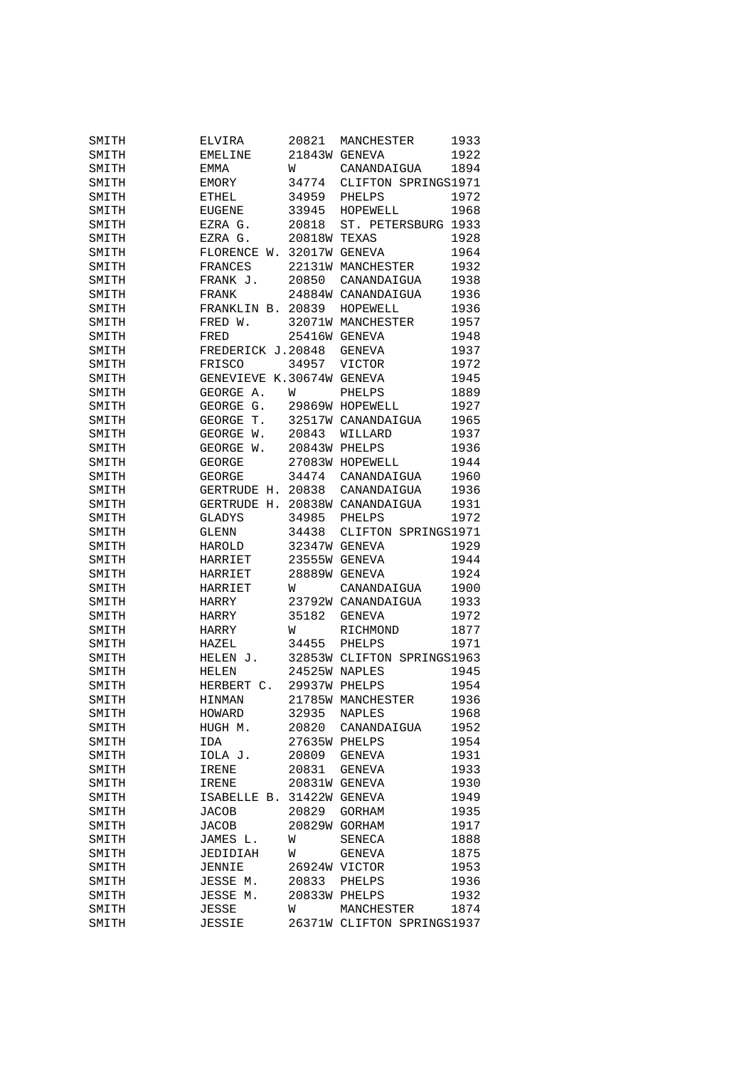| SMITH | ELVIRA                         |               | 20821 MANCHESTER           | 1933 |
|-------|--------------------------------|---------------|----------------------------|------|
| SMITH | EMELINE                        |               | 21843W GENEVA              | 1922 |
| SMITH | <b>EMMA</b>                    | <b>W</b>      | CANANDAIGUA                | 1894 |
| SMITH | EMORY                          |               | 34774 CLIFTON SPRINGS1971  |      |
| SMITH | ETHEL                          | 34959         | PHELPS                     | 1972 |
| SMITH | EUGENE                         | 33945         | HOPEWELL                   | 1968 |
| SMITH | EZRA G.                        | 20818         | ST. PETERSBURG 1933        |      |
| SMITH | EZRA G.                        | 20818W TEXAS  |                            | 1928 |
| SMITH | FLORENCE W. 32017W GENEVA      |               |                            | 1964 |
| SMITH | FRANCES                        |               | 22131W MANCHESTER          | 1932 |
| SMITH | FRANK J.                       |               | 20850 CANANDAIGUA          | 1938 |
| SMITH | FRANK                          |               | 24884W CANANDAIGUA         | 1936 |
| SMITH | FRANKLIN B. 20839 HOPEWELL     |               |                            | 1936 |
| SMITH | FRED W.                        |               | 32071W MANCHESTER          | 1957 |
| SMITH | FRED                           |               | 25416W GENEVA              | 1948 |
| SMITH | FREDERICK J.20848 GENEVA       |               |                            | 1937 |
| SMITH | FRISCO                         | 34957         | VICTOR                     | 1972 |
| SMITH | GENEVIEVE K.30674W GENEVA      |               |                            | 1945 |
| SMITH | GEORGE A.                      | <b>W</b>      | PHELPS                     | 1889 |
| SMITH | GEORGE G.                      |               | 29869W HOPEWELL            | 1927 |
| SMITH | GEORGE T.                      |               | 32517W CANANDAIGUA         | 1965 |
| SMITH | GEORGE W.                      | 20843         | WILLARD                    | 1937 |
| SMITH | GEORGE W.                      | 20843W PHELPS |                            | 1936 |
| SMITH | <b>GEORGE</b>                  |               | 27083W HOPEWELL            | 1944 |
| SMITH | GEORGE                         | 34474         | CANANDAIGUA                | 1960 |
| SMITH | GERTRUDE H. 20838              |               | CANANDAIGUA                | 1936 |
| SMITH | GERTRUDE H. 20838W CANANDAIGUA |               |                            | 1931 |
| SMITH | <b>GLADYS</b>                  | 34985 PHELPS  |                            | 1972 |
| SMITH | GLENN                          | 34438         | CLIFTON SPRINGS1971        |      |
| SMITH | HAROLD                         |               | 32347W GENEVA              | 1929 |
| SMITH | HARRIET                        |               | 23555W GENEVA              | 1944 |
| SMITH | HARRIET                        |               | 28889W GENEVA              | 1924 |
| SMITH | HARRIET                        | <b>W</b>      | CANANDAIGUA                | 1900 |
| SMITH | HARRY                          |               | 23792W CANANDAIGUA         | 1933 |
| SMITH | HARRY                          | 35182         | GENEVA                     | 1972 |
| SMITH | HARRY                          | W             | RICHMOND                   | 1877 |
| SMITH | HAZEL                          | 34455 PHELPS  |                            | 1971 |
| SMITH | HELEN J.                       |               | 32853W CLIFTON SPRINGS1963 |      |
| SMITH | <b>HELEN</b>                   |               | 24525W NAPLES              | 1945 |
| SMITH | HERBERT C. 29937W PHELPS       |               |                            | 1954 |
| SMITH | <b>HINMAN</b>                  |               | 21785W MANCHESTER          | 1936 |
| SMITH | HOWARD                         | 32935 NAPLES  |                            | 1968 |
| SMITH | HUGH M.                        |               | 20820 CANANDAIGUA          | 1952 |
| SMITH | IDA                            | 27635W PHELPS |                            | 1954 |
| SMITH | IOLA J.                        |               | 20809 GENEVA               | 1931 |
| SMITH | <b>IRENE</b>                   | 20831         | GENEVA                     | 1933 |
| SMITH | IRENE                          |               | 20831W GENEVA              | 1930 |
| SMITH | ISABELLE B. 31422W GENEVA      |               |                            | 1949 |
| SMITH | JACOB                          | 20829         | GORHAM                     | 1935 |
| SMITH | JACOB                          |               | 20829W GORHAM              | 1917 |
| SMITH | JAMES L.                       | W             | SENECA                     | 1888 |
| SMITH | JEDIDIAH                       | <b>M</b>      | GENEVA                     | 1875 |
| SMITH | JENNIE                         |               | 26924W VICTOR              | 1953 |
| SMITH | JESSE M.                       | 20833         | PHELPS                     | 1936 |
| SMITH | JESSE M.                       | 20833W PHELPS |                            | 1932 |
| SMITH | JESSE                          | W             | MANCHESTER                 | 1874 |
| SMITH | <b>JESSIE</b>                  |               | 26371W CLIFTON SPRINGS1937 |      |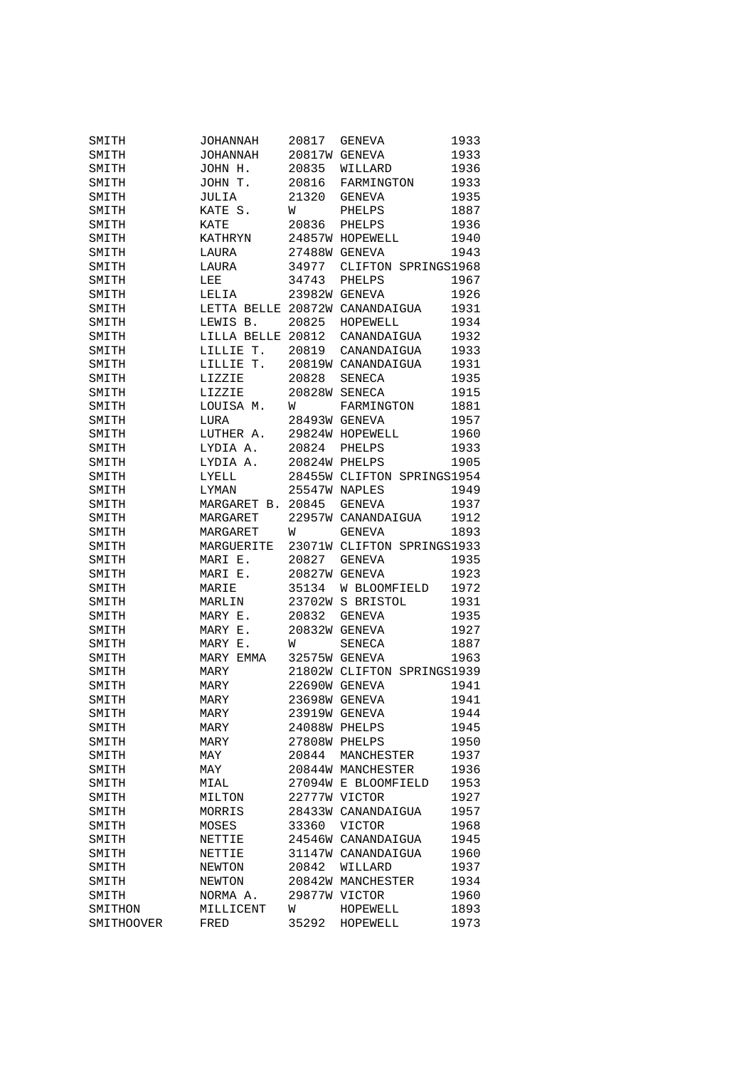| SMITH                 | JOHANNAH                       | 20817         | GENEVA                                | 1933         |
|-----------------------|--------------------------------|---------------|---------------------------------------|--------------|
| SMITH                 | JOHANNAH                       |               | 20817W GENEVA                         | 1933         |
| SMITH                 | JOHN H.                        | 20835         | WILLARD                               | 1936         |
| SMITH                 | JOHN T.                        | 20816         | FARMINGTON                            | 1933         |
| SMITH                 | JULIA                          | 21320         | GENEVA                                | 1935         |
| SMITH                 | KATE S.                        | W             | PHELPS                                | 1887         |
| SMITH                 | KATE                           | 20836         | PHELPS                                | 1936         |
| SMITH                 | KATHRYN                        |               | 24857W HOPEWELL                       | 1940         |
| SMITH                 | LAURA                          | 27488W GENEVA |                                       | 1943         |
| SMITH                 | LAURA                          |               | 34977 CLIFTON SPRINGS1968             |              |
| SMITH                 | LEE                            | 34743         | PHELPS                                | 1967         |
| SMITH                 | LELIA                          | 23982W GENEVA |                                       | 1926         |
| SMITH                 | LETTA BELLE 20872W CANANDAIGUA |               |                                       | 1931         |
| SMITH                 | LEWIS B.                       | 20825         | HOPEWELL                              | 1934         |
| SMITH                 | LILLA BELLE 20812              |               | CANANDAIGUA                           | 1932         |
| SMITH                 | LILLIE T.                      | 20819         | CANANDAIGUA                           | 1933         |
| SMITH                 | LILLIE T.                      |               | 20819W CANANDAIGUA                    | 1931         |
| SMITH                 | LIZZIE                         | 20828         | SENECA                                | 1935         |
| SMITH                 | LIZZIE                         |               | 20828W SENECA                         | 1915         |
| SMITH                 | LOUISA M.                      | <b>M</b>      | FARMINGTON                            | 1881         |
| SMITH                 | LURA                           |               | 28493W GENEVA                         | 1957         |
| SMITH                 | LUTHER A.                      |               | 29824W HOPEWELL                       | 1960         |
| SMITH                 | LYDIA A.                       | 20824         | PHELPS                                | 1933         |
| SMITH                 | LYDIA A.                       | 20824W PHELPS |                                       | 1905         |
| SMITH                 | LYELL                          |               | 28455W CLIFTON SPRINGS1954            |              |
| SMITH                 | LYMAN                          |               | 25547W NAPLES                         | 1949         |
| SMITH                 | MARGARET B. 20845              |               | GENEVA                                | 1937         |
| SMITH                 | MARGARET                       |               | 22957W CANANDAIGUA                    | 1912         |
| SMITH                 | MARGARET                       | W             | <b>GENEVA</b>                         | 1893         |
| SMITH                 |                                |               | MARGUERITE 23071W CLIFTON SPRINGS1933 |              |
| SMITH                 | MARI E.                        | 20827         | <b>GENEVA</b>                         | 1935         |
| SMITH                 | MARI E.                        |               | 20827W GENEVA                         | 1923         |
| SMITH                 | MARIE                          | 35134         | W BLOOMFIELD                          | 1972         |
| SMITH                 | MARLIN                         |               | 23702W S BRISTOL                      | 1931         |
| SMITH                 | MARY E.                        | 20832         | GENEVA                                | 1935         |
| SMITH                 | MARY E.                        |               | 20832W GENEVA                         | 1927         |
| SMITH                 | MARY E.                        | <b>M</b>      | SENECA                                | 1887         |
| SMITH                 | MARY EMMA                      | 32575W GENEVA |                                       | 1963         |
| SMITH                 | MARY                           |               | 21802W CLIFTON SPRINGS1939            |              |
| SMITH                 | MARY                           |               | 22690W GENEVA                         | 1941         |
| SMITH                 | MARY                           |               | 23698W GENEVA                         | 1941         |
| SMITH                 | MARY                           |               | 23919W GENEVA                         | 1944         |
| SMITH                 | MARY                           | 24088W PHELPS |                                       | 1945         |
| SMITH                 | MARY                           | 27808W PHELPS |                                       | 1950         |
| SMITH                 | MAY                            | 20844         | MANCHESTER                            | 1937         |
| SMITH                 | MAY                            |               | 20844W MANCHESTER                     | 1936         |
| SMITH                 |                                |               |                                       |              |
| SMITH<br>SMITH        | MIAL                           |               | 27094W E BLOOMFIELD                   | 1953         |
|                       | MILTON                         |               | 22777W VICTOR                         | 1927         |
|                       | MORRIS                         |               | 28433W CANANDAIGUA                    | 1957         |
| SMITH                 | MOSES                          | 33360         | VICTOR                                | 1968         |
| SMITH                 | NETTIE                         |               | 24546W CANANDAIGUA                    | 1945         |
| SMITH                 | <b>NETTIE</b>                  |               | 31147W CANANDAIGUA                    | 1960         |
| SMITH                 | NEWTON                         | 20842         | WILLARD                               | 1937         |
| SMITH                 | NEWTON                         |               | 20842W MANCHESTER                     | 1934         |
| SMITH                 | NORMA A.                       | 29877W VICTOR |                                       | 1960         |
| SMITHON<br>SMITHOOVER | MILLICENT<br>FRED              | W<br>35292    | HOPEWELL<br>HOPEWELL                  | 1893<br>1973 |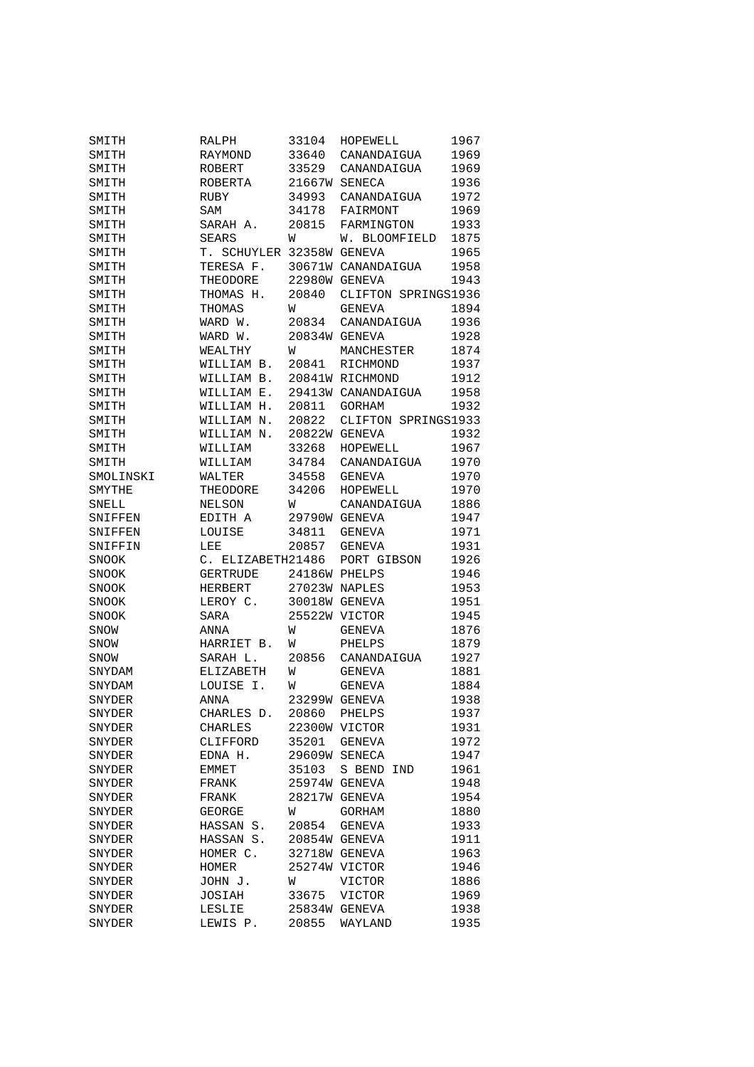| SMITH     | RALPH                         | 33104         | HOPEWELL            | 1967 |
|-----------|-------------------------------|---------------|---------------------|------|
| SMITH     | RAYMOND                       | 33640         | CANANDAIGUA         | 1969 |
| SMITH     | ROBERT                        | 33529         | CANANDAIGUA         | 1969 |
| SMITH     | ROBERTA                       | 21667W        | SENECA              | 1936 |
| SMITH     | <b>RUBY</b>                   | 34993         | CANANDAIGUA         | 1972 |
| SMITH     | SAM                           | 34178         | FAIRMONT            | 1969 |
| SMITH     | SARAH A.                      | 20815         | FARMINGTON          | 1933 |
| SMITH     | <b>SEARS</b>                  | <b>M</b>      | W. BLOOMFIELD       | 1875 |
| SMITH     | T. SCHUYLER 32358W GENEVA     |               |                     | 1965 |
| SMITH     | TERESA F.                     |               | 30671W CANANDAIGUA  | 1958 |
| SMITH     | THEODORE                      | 22980W GENEVA |                     | 1943 |
| SMITH     | THOMAS H.                     | 20840         | CLIFTON SPRINGS1936 |      |
| SMITH     | THOMAS                        | <b>W</b>      | GENEVA              | 1894 |
| SMITH     | WARD W.                       | 20834         | CANANDAIGUA         | 1936 |
| SMITH     | WARD W.                       |               | 20834W GENEVA       | 1928 |
| SMITH     | WEALTHY                       | W             | MANCHESTER          | 1874 |
| SMITH     | WILLIAM B. 20841              |               | RICHMOND            | 1937 |
| SMITH     | WILLIAM B. 20841W RICHMOND    |               |                     | 1912 |
| SMITH     | WILLIAM E.                    |               | 29413W CANANDAIGUA  | 1958 |
| SMITH     | WILLIAM H.                    | 20811         | GORHAM              | 1932 |
| SMITH     | WILLIAM N.                    | 20822         | CLIFTON SPRINGS1933 |      |
| SMITH     | WILLIAM N.                    | 20822W GENEVA |                     | 1932 |
| SMITH     | WILLIAM                       | 33268         | HOPEWELL            | 1967 |
| SMITH     | WILLIAM                       | 34784         | CANANDAIGUA         | 1970 |
| SMOLINSKI | WALTER                        | 34558         | GENEVA              | 1970 |
| SMYTHE    | THEODORE                      | 34206         | HOPEWELL            | 1970 |
| SNELL     | <b>NELSON</b>                 | <b>W</b>      | CANANDAIGUA         | 1886 |
| SNIFFEN   | EDITH A                       | 29790W GENEVA |                     | 1947 |
| SNIFFEN   | LOUISE                        | 34811         | GENEVA              | 1971 |
| SNIFFIN   | LEE                           | 20857 GENEVA  |                     | 1931 |
| SNOOK     | C. ELIZABETH21486 PORT GIBSON |               |                     | 1926 |
| SNOOK     | GERTRUDE                      | 24186W PHELPS |                     | 1946 |
| SNOOK     | HERBERT                       | 27023W NAPLES |                     | 1953 |
| SNOOK     | LEROY C.                      | 30018W GENEVA |                     | 1951 |
| SNOOK     | SARA                          | 25522W VICTOR |                     | 1945 |
| SNOW      | <b>ANNA</b>                   | W             | GENEVA              | 1876 |
| SNOW      | HARRIET B.                    | M             | PHELPS              | 1879 |
| SNOW      | SARAH L.                      | 20856         | CANANDAIGUA         | 1927 |
| SNYDAM    | <b>ELIZABETH</b>              | W             | <b>GENEVA</b>       | 1881 |
| SNYDAM    | LOUISE I.                     | W             | <b>GENEVA</b>       | 1884 |
| SNYDER    | ANNA                          |               | 23299W GENEVA       | 1938 |
| SNYDER    | CHARLES D.                    | 20860 PHELPS  |                     | 1937 |
| SNYDER    | CHARLES                       | 22300W VICTOR |                     | 1931 |
| SNYDER    | CLIFFORD                      | 35201         | GENEVA              | 1972 |
| SNYDER    | EDNA H.                       | 29609W SENECA |                     | 1947 |
| SNYDER    | EMMET                         | 35103         | S BEND IND          | 1961 |
| SNYDER    | FRANK                         | 25974W GENEVA |                     | 1948 |
| SNYDER    | FRANK                         | 28217W GENEVA |                     | 1954 |
| SNYDER    | GEORGE                        | W             | GORHAM              | 1880 |
| SNYDER    | HASSAN S.                     | 20854         | <b>GENEVA</b>       | 1933 |
| SNYDER    | HASSAN S.                     | 20854W GENEVA |                     | 1911 |
| SNYDER    | HOMER C.                      | 32718W GENEVA |                     | 1963 |
| SNYDER    | HOMER                         | 25274W VICTOR |                     | 1946 |
| SNYDER    | JOHN J.                       | W             | <b>VICTOR</b>       | 1886 |
| SNYDER    | JOSIAH                        | 33675         | VICTOR              | 1969 |
| SNYDER    | LESLIE                        | 25834W GENEVA |                     | 1938 |
| SNYDER    | LEWIS P.                      | 20855         | WAYLAND             | 1935 |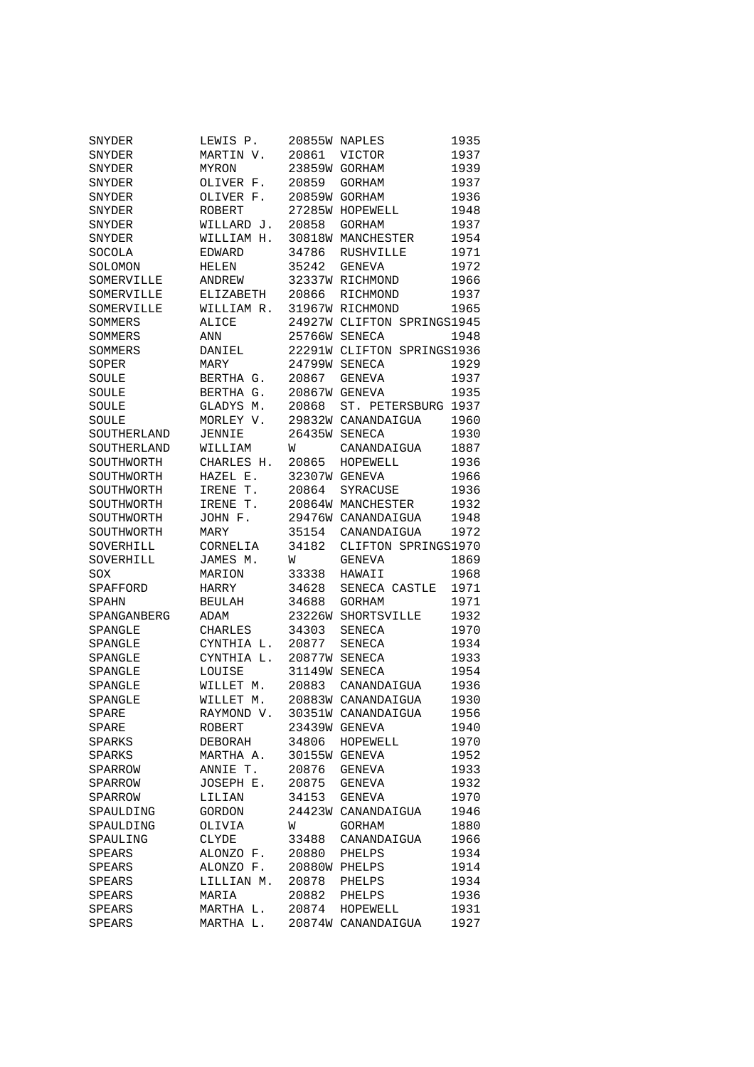| SNYDER         | LEWIS P.             | 20855W NAPLES  |                            | 1935         |
|----------------|----------------------|----------------|----------------------------|--------------|
| <b>SNYDER</b>  | MARTIN V.            | 20861          | VICTOR                     | 1937         |
| SNYDER         | <b>MYRON</b>         | 23859W         | <b>GORHAM</b>              | 1939         |
| SNYDER         | OLIVER F.            | 20859          | GORHAM                     | 1937         |
| SNYDER         | OLIVER F.            | 20859W         | GORHAM                     | 1936         |
| SNYDER         | ROBERT               | 27285W         | HOPEWELL                   | 1948         |
| SNYDER         | WILLARD J.           | 20858          | GORHAM                     | 1937         |
| SNYDER         | WILLIAM H.           |                | 30818W MANCHESTER          | 1954         |
| <b>SOCOLA</b>  | EDWARD               | 34786          | <b>RUSHVILLE</b>           | 1971         |
| SOLOMON        | <b>HELEN</b>         | 35242          | <b>GENEVA</b>              | 1972         |
| SOMERVILLE     | ANDREW               |                | 32337W RICHMOND            | 1966         |
| SOMERVILLE     | ELIZABETH            | 20866          | RICHMOND                   | 1937         |
| SOMERVILLE     | WILLIAM R.           |                | 31967W RICHMOND            | 1965         |
| SOMMERS        | ALICE                |                | 24927W CLIFTON SPRINGS1945 |              |
| SOMMERS        | ANN                  | 25766W SENECA  |                            | 1948         |
| SOMMERS        | DANIEL               |                | 22291W CLIFTON SPRINGS1936 |              |
| SOPER          | MARY                 | 24799W         | SENECA                     | 1929         |
| SOULE          | BERTHA G.            | 20867          | <b>GENEVA</b>              | 1937         |
| SOULE          | BERTHA G.            |                | 20867W GENEVA              | 1935         |
| SOULE          | GLADYS M.            | 20868          | ST. PETERSBURG 1937        |              |
| SOULE          | MORLEY V.            |                | 29832W CANANDAIGUA         | 1960         |
| SOUTHERLAND    | JENNIE               | 26435W         | SENECA                     | 1930         |
| SOUTHERLAND    | WILLIAM              | W              | CANANDAIGUA                | 1887         |
| SOUTHWORTH     | CHARLES H.           | 20865          | HOPEWELL                   | 1936         |
| SOUTHWORTH     | HAZEL E.             | 32307W GENEVA  |                            | 1966         |
| SOUTHWORTH     | IRENE T.             | 20864          | <b>SYRACUSE</b>            | 1936         |
| SOUTHWORTH     | IRENE T.             |                | 20864W MANCHESTER          | 1932         |
| SOUTHWORTH     | JOHN F.              | 29476W         | CANANDAIGUA                | 1948         |
|                |                      |                |                            |              |
| SOUTHWORTH     | MARY                 |                | CANANDAIGUA                | 1972         |
| SOVERHILL      |                      | 35154<br>34182 | CLIFTON SPRINGS1970        |              |
| SOVERHILL      | CORNELIA<br>JAMES M. | W              | <b>GENEVA</b>              |              |
| SOX            | MARION               |                | HAWAII                     | 1869<br>1968 |
| SPAFFORD       | HARRY                | 33338<br>34628 | SENECA CASTLE              | 1971         |
| SPAHN          | <b>BEULAH</b>        | 34688          | GORHAM                     | 1971         |
| SPANGANBERG    | ADAM                 | 23226W         | SHORTSVILLE                | 1932         |
| SPANGLE        | <b>CHARLES</b>       | 34303          | SENECA                     | 1970         |
| SPANGLE        | CYNTHIA L.           | 20877          | SENECA                     | 1934         |
| <b>SPANGLE</b> | CYNTHIA L.           | 20877W         | SENECA                     | 1933         |
| SPANGLE        | LOUISE               | 31149W         | SENECA                     | 1954         |
| SPANGLE        | WILLET M.            | 20883          | CANANDAIGUA                | 1936         |
| SPANGLE        | WILLET M.            |                | 20883W CANANDAIGUA         | 1930         |
| SPARE          | RAYMOND V.           |                | 30351W CANANDAIGUA         | 1956         |
| SPARE          | ROBERT               | 23439W GENEVA  |                            | 1940         |
| SPARKS         | DEBORAH              | 34806          | HOPEWELL                   | 1970         |
| SPARKS         | MARTHA A.            |                | 30155W GENEVA              | 1952         |
| SPARROW        | ANNIE T.             | 20876          | GENEVA                     | 1933         |
| SPARROW        | JOSEPH E.            | 20875          | GENEVA                     | 1932         |
| SPARROW        | LILIAN               | 34153          | GENEVA                     | 1970         |
| SPAULDING      | GORDON               | 24423W         | CANANDAIGUA                | 1946         |
| SPAULDING      | OLIVIA               | W              | GORHAM                     | 1880         |
| SPAULING       | CLYDE                | 33488          | CANANDAIGUA                | 1966         |
| SPEARS         | ALONZO F.            | 20880          | PHELPS                     | 1934         |
| SPEARS         | ALONZO F.            | 20880W         | PHELPS                     | 1914         |
| SPEARS         | LILLIAN M.           | 20878          | PHELPS                     | 1934         |
| SPEARS         | MARIA                | 20882          | PHELPS                     | 1936         |
| SPEARS         | MARTHA L.            | 20874          | HOPEWELL                   | 1931         |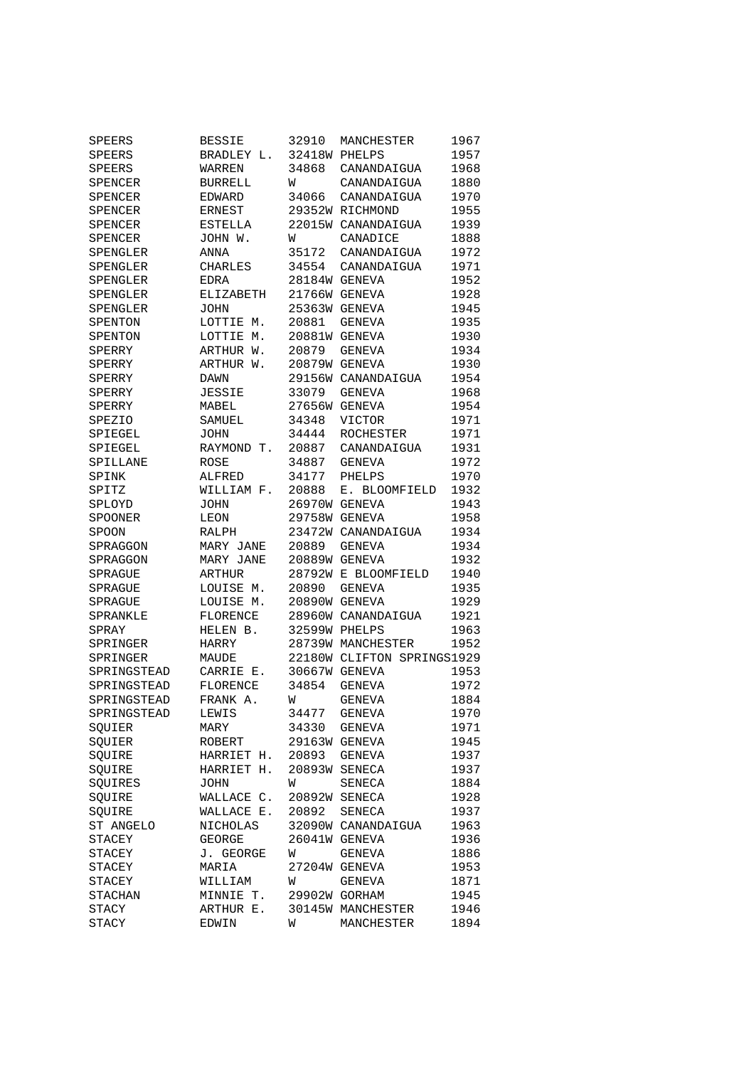| SPEERS       | <b>BESSIE</b>   | 32910         | MANCHESTER                 | 1967 |
|--------------|-----------------|---------------|----------------------------|------|
| SPEERS       | BRADLEY L.      | 32418W        | PHELPS                     | 1957 |
| SPEERS       | WARREN          | 34868         | CANANDAIGUA                | 1968 |
| SPENCER      | <b>BURRELL</b>  | W             | CANANDAIGUA                | 1880 |
| SPENCER      | <b>EDWARD</b>   | 34066         | CANANDAIGUA                | 1970 |
| SPENCER      | <b>ERNEST</b>   | 29352W        | RICHMOND                   | 1955 |
| SPENCER      | <b>ESTELLA</b>  | 22015W        | CANANDAIGUA                | 1939 |
| SPENCER      | JOHN W.         | W             | CANADICE                   | 1888 |
| SPENGLER     | ANNA            | 35172         | CANANDAIGUA                | 1972 |
| SPENGLER     | <b>CHARLES</b>  | 34554         | CANANDAIGUA                | 1971 |
| SPENGLER     | EDRA            | 28184W        | <b>GENEVA</b>              | 1952 |
| SPENGLER     | ELIZABETH       | 21766W GENEVA |                            | 1928 |
| SPENGLER     | JOHN            | 25363W GENEVA |                            | 1945 |
| SPENTON      | LOTTIE M.       | 20881         | GENEVA                     | 1935 |
| SPENTON      | LOTTIE M.       | 20881W GENEVA |                            | 1930 |
| SPERRY       | ARTHUR W.       | 20879         | GENEVA                     | 1934 |
| SPERRY       | ARTHUR W.       | 20879W        | <b>GENEVA</b>              | 1930 |
| SPERRY       | <b>DAWN</b>     | 29156W        | CANANDAIGUA                | 1954 |
| SPERRY       | JESSIE          | 33079         | <b>GENEVA</b>              | 1968 |
| SPERRY       | MABEL           | 27656W        | <b>GENEVA</b>              | 1954 |
| SPEZIO       | SAMUEL          | 34348         | <b>VICTOR</b>              | 1971 |
| SPIEGEL      | JOHN            | 34444         | ROCHESTER                  | 1971 |
| SPIEGEL      | RAYMOND T.      | 20887         | CANANDAIGUA                | 1931 |
| SPILLANE     | ROSE            | 34887         | <b>GENEVA</b>              | 1972 |
| SPINK        | <b>ALFRED</b>   | 34177         | PHELPS                     | 1970 |
| SPITZ        | WILLIAM F.      | 20888         | E. BLOOMFIELD              | 1932 |
| SPLOYD       | JOHN            | 26970W        | <b>GENEVA</b>              | 1943 |
| SPOONER      | LEON            | 29758W GENEVA |                            | 1958 |
| SPOON        | RALPH           | 23472W        | CANANDAIGUA                | 1934 |
| SPRAGGON     | MARY JANE       | 20889         | <b>GENEVA</b>              | 1934 |
| SPRAGGON     | MARY JANE       | 20889W        | <b>GENEVA</b>              | 1932 |
| SPRAGUE      | <b>ARTHUR</b>   | 28792W        | E BLOOMFIELD               | 1940 |
| SPRAGUE      | LOUISE M.       | 20890         | <b>GENEVA</b>              | 1935 |
| SPRAGUE      | LOUISE M.       | 20890W        | GENEVA                     | 1929 |
| SPRANKLE     | <b>FLORENCE</b> | 28960W        | CANANDAIGUA                | 1921 |
| SPRAY        | HELEN B.        | 32599W        | PHELPS                     | 1963 |
| SPRINGER     | HARRY           |               | 28739W MANCHESTER          | 1952 |
| SPRINGER     | MAUDE           |               | 22180W CLIFTON SPRINGS1929 |      |
| SPRINGSTEAD  | CARRIE E.       | 30667W GENEVA |                            | 1953 |
| SPRINGSTEAD  | FLORENCE        | 34854         | <b>GENEVA</b>              | 1972 |
| SPRINGSTEAD  | FRANK A.        | <b>W</b>      | <b>GENEVA</b>              | 1884 |
| SPRINGSTEAD  | LEWIS           | 34477         | GENEVA                     | 1970 |
| SQUIER       | MARY            | 34330         | <b>GENEVA</b>              | 1971 |
| SQUIER       | ROBERT          | 29163W GENEVA |                            | 1945 |
| SOUIRE       | HARRIET H.      | 20893         | GENEVA                     | 1937 |
| SQUIRE       | HARRIET H.      | 20893W SENECA |                            | 1937 |
| SQUIRES      | JOHN            | W             | SENECA                     | 1884 |
| SQUIRE       | WALLACE C.      | 20892W SENECA |                            | 1928 |
| SQUIRE       | WALLACE E.      | 20892         | SENECA                     | 1937 |
| ST ANGELO    | NICHOLAS        |               | 32090W CANANDAIGUA         | 1963 |
| STACEY       | GEORGE          | 26041W GENEVA |                            | 1936 |
| STACEY       | J. GEORGE       | W             | GENEVA                     | 1886 |
| STACEY       | MARIA           | 27204W GENEVA |                            | 1953 |
| STACEY       | WILLIAM         | W             | GENEVA                     | 1871 |
| STACHAN      | MINNIE T.       | 29902W GORHAM |                            | 1945 |
| STACY        | ARTHUR E.       |               | 30145W MANCHESTER          | 1946 |
| <b>STACY</b> | EDWIN           | W             | MANCHESTER                 | 1894 |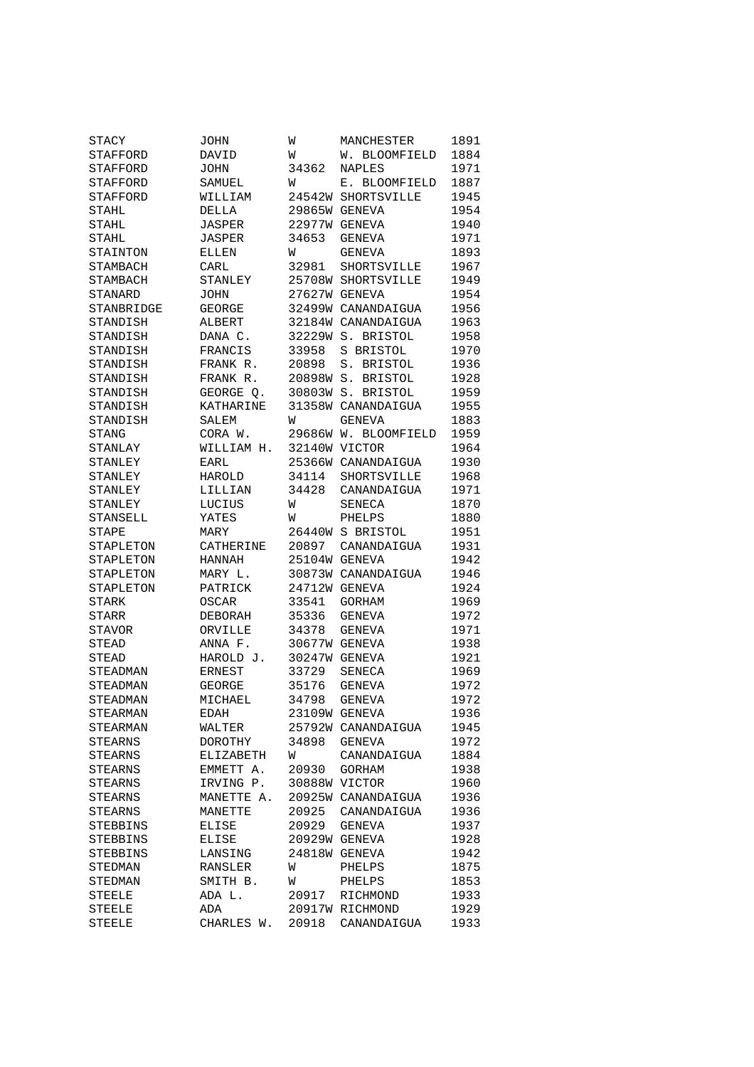| STACY          | JOHN               | W      | MANCHESTER              | 1891         |
|----------------|--------------------|--------|-------------------------|--------------|
| STAFFORD       | DAVID              | W      | W. BLOOMFIELD           | 1884         |
| STAFFORD       | <b>JOHN</b>        | 34362  | NAPLES                  | 1971         |
| STAFFORD       | SAMUEL             | W      | E. BLOOMFIELD           | 1887         |
| STAFFORD       | WILLIAM            | 24542W | SHORTSVILLE             | 1945         |
| STAHL          | DELLA              | 29865W | <b>GENEVA</b>           | 1954         |
| STAHL          | JASPER             | 22977W | <b>GENEVA</b>           | 1940         |
| STAHL          | JASPER             | 34653  | GENEVA                  | 1971         |
| STAINTON       | ELLEN              | W      | <b>GENEVA</b>           | 1893         |
| STAMBACH       | CARL               | 32981  | SHORTSVILLE             | 1967         |
| STAMBACH       | STANLEY            | 25708W | SHORTSVILLE             | 1949         |
| STANARD        | <b>JOHN</b>        | 27627W | <b>GENEVA</b>           | 1954         |
| STANBRIDGE     | GEORGE             | 32499W | CANANDAIGUA             | 1956         |
| STANDISH       | ALBERT             | 32184W | CANANDAIGUA             | 1963         |
| STANDISH       | DANA C.            | 32229W | S. BRISTOL              | 1958         |
| STANDISH       | FRANCIS            | 33958  | S BRISTOL               | 1970         |
| STANDISH       | FRANK R.           | 20898  | S. BRISTOL              | 1936         |
| STANDISH       | FRANK R.           | 20898W | S.<br><b>BRISTOL</b>    | 1928         |
| STANDISH       | GEORGE Q.          | 30803W | $S$ .<br><b>BRISTOL</b> | 1959         |
| STANDISH       | <b>KATHARINE</b>   | 31358W | CANANDAIGUA             | 1955         |
| STANDISH       | SALEM              | M      | GENEVA                  | 1883         |
| STANG          | CORA W.            |        | 29686W W. BLOOMFIELD    | 1959         |
| STANLAY        | WILLIAM H.         |        | 32140W VICTOR           | 1964         |
| STANLEY        | EARL               | 25366W | CANANDAIGUA             | 1930         |
| STANLEY        | HAROLD             | 34114  | SHORTSVILLE             | 1968         |
| STANLEY        | LILLIAN            | 34428  | CANANDAIGUA             | 1971         |
| STANLEY        | LUCIUS             | W      | SENECA                  | 1870         |
| STANSELL       | YATES              | W      | PHELPS                  | 1880         |
| STAPE          | MARY               | 26440W | S BRISTOL               | 1951         |
| STAPLETON      | CATHERINE          | 20897  | CANANDAIGUA             | 1931         |
| STAPLETON      | HANNAH             | 25104W | <b>GENEVA</b>           | 1942         |
| STAPLETON      | MARY L.            | 30873W | CANANDAIGUA             | 1946         |
| STAPLETON      | PATRICK            | 24712W | <b>GENEVA</b>           | 1924         |
| STARK          | OSCAR              | 33541  | GORHAM                  | 1969         |
|                |                    | 35336  |                         | 1972         |
| <b>STARR</b>   | DEBORAH<br>ORVILLE |        | <b>GENEVA</b>           |              |
| <b>STAVOR</b>  |                    | 34378  | GENEVA                  | 1971<br>1938 |
| STEAD          | ANNA F.            | 30677W | GENEVA                  |              |
| <b>STEAD</b>   | HAROLD J.          | 30247W | <b>GENEVA</b>           | 1921         |
| STEADMAN       | <b>ERNEST</b>      | 33729  | SENECA                  | 1969         |
| STEADMAN       | GEORGE             | 35176  | <b>GENEVA</b>           | 1972         |
| STEADMAN       | MICHAEL            | 34798  | GENEVA                  | 1972         |
| STEARMAN       | EDAH               |        | 23109W GENEVA           | 1936         |
| STEARMAN       | WALTER             |        | 25792W CANANDAIGUA      | 1945         |
| <b>STEARNS</b> | DOROTHY            | 34898  | <b>GENEVA</b>           | 1972         |
| <b>STEARNS</b> | ELIZABETH          | W      | CANANDAIGUA             | 1884         |
| STEARNS        | EMMETT A.          | 20930  | <b>GORHAM</b>           | 1938         |
| <b>STEARNS</b> | IRVING P.          |        | 30888W VICTOR           | 1960         |
| STEARNS        | MANETTE A.         |        | 20925W CANANDAIGUA      | 1936         |
| STEARNS        | MANETTE            | 20925  | CANANDAIGUA             | 1936         |
| STEBBINS       | ELISE              | 20929  | GENEVA                  | 1937         |
| STEBBINS       | ELISE              |        | 20929W GENEVA           | 1928         |
| STEBBINS       | LANSING            |        | 24818W GENEVA           | 1942         |
| STEDMAN        | RANSLER            | W      | PHELPS                  | 1875         |
| STEDMAN        | SMITH B.           | W      | PHELPS                  | 1853         |
| STEELE         | ADA L.             | 20917  | RICHMOND                | 1933         |
| STEELE         | ADA                |        | 20917W RICHMOND         | 1929         |
| <b>STEELE</b>  | CHARLES W.         | 20918  | CANANDAIGUA             | 1933         |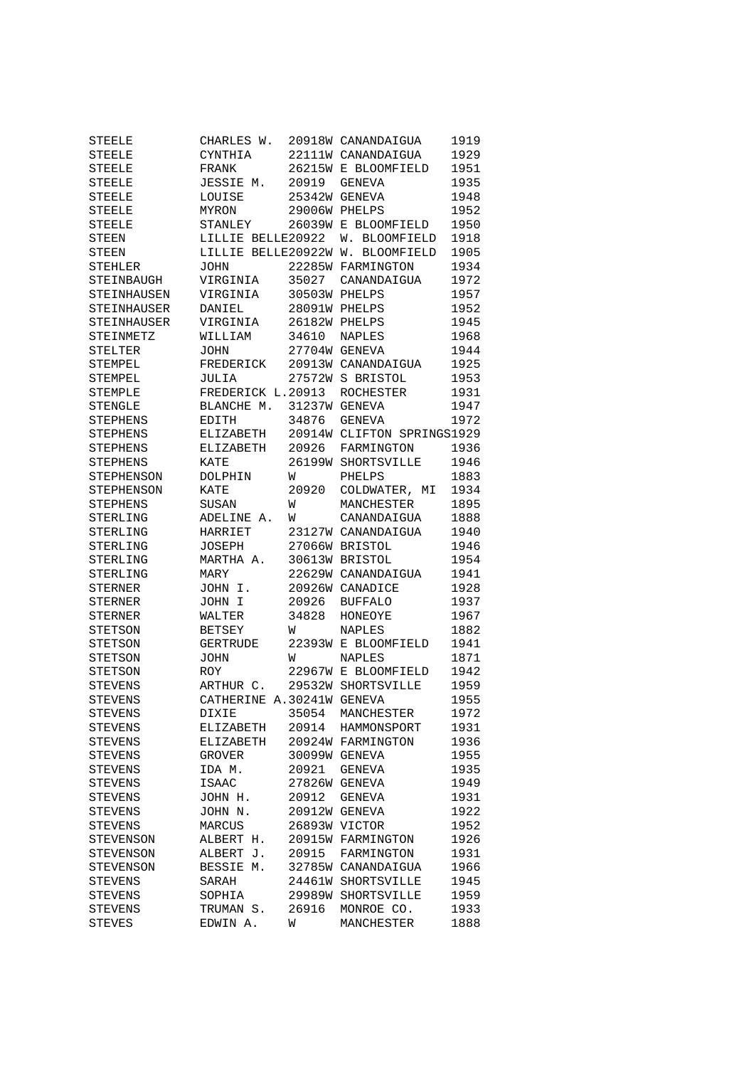| STEELE          | CHARLES W.                |               | 20918W CANANDAIGUA      | 1919 |
|-----------------|---------------------------|---------------|-------------------------|------|
| <b>STEELE</b>   | CYNTHIA                   |               | 22111W CANANDAIGUA      | 1929 |
| <b>STEELE</b>   | FRANK                     |               | 26215W E BLOOMFIELD     | 1951 |
| STEELE          | JESSIE M.                 | 20919         | <b>GENEVA</b>           | 1935 |
| <b>STEELE</b>   | LOUISE                    | 25342W        | <b>GENEVA</b>           | 1948 |
| STEELE          | MYRON                     | 29006W        | PHELPS                  | 1952 |
| STEELE          | STANLEY                   | 26039W        | E BLOOMFIELD            | 1950 |
| <b>STEEN</b>    | LILLIE BELLE20922         |               | W.<br><b>BLOOMFIELD</b> | 1918 |
| <b>STEEN</b>    | LILLIE BELLE20922W        |               | W.<br><b>BLOOMFIELD</b> | 1905 |
| STEHLER         | JOHN                      | 22285W        | FARMINGTON              | 1934 |
| STEINBAUGH      | VIRGINIA                  | 35027         | CANANDAIGUA             | 1972 |
| STEINHAUSEN     | VIRGINIA                  | 30503W        | PHELPS                  | 1957 |
| STEINHAUSER     | DANIEL                    | 28091W PHELPS |                         | 1952 |
| STEINHAUSER     | VIRGINIA                  | 26182W        | PHELPS                  | 1945 |
| STEINMETZ       | WILLIAM                   | 34610         | NAPLES                  | 1968 |
| <b>STELTER</b>  | <b>JOHN</b>               | 27704W        | <b>GENEVA</b>           | 1944 |
| STEMPEL         | FREDERICK                 | 20913W        | CANANDAIGUA             | 1925 |
| STEMPEL         | JULIA                     | 27572W        | S BRISTOL               | 1953 |
| STEMPLE         | FREDERICK L.20913         |               | ROCHESTER               | 1931 |
| <b>STENGLE</b>  | BLANCHE M.                | 31237W        | <b>GENEVA</b>           | 1947 |
| <b>STEPHENS</b> | EDITH                     | 34876         | <b>GENEVA</b>           | 1972 |
| STEPHENS        | ELIZABETH                 | 20914W        | CLIFTON SPRINGS1929     |      |
| STEPHENS        | ELIZABETH                 | 20926         | FARMINGTON              | 1936 |
| STEPHENS        | KATE                      | 26199W        | SHORTSVILLE             | 1946 |
| STEPHENSON      | DOLPHIN                   | W             | PHELPS                  | 1883 |
| STEPHENSON      | KATE                      | 20920         | COLDWATER, MI           | 1934 |
| <b>STEPHENS</b> | SUSAN                     | W             | MANCHESTER              | 1895 |
| STERLING        | ADELINE A.                | W             | CANANDAIGUA             | 1888 |
| STERLING        | HARRIET                   |               | 23127W CANANDAIGUA      | 1940 |
| STERLING        | JOSEPH                    | 27066W        | <b>BRISTOL</b>          | 1946 |
| STERLING        | MARTHA A.                 | 30613W        | <b>BRISTOL</b>          | 1954 |
| STERLING        | MARY                      |               | 22629W CANANDAIGUA      | 1941 |
| <b>STERNER</b>  | JOHN I.                   |               | 20926W CANADICE         | 1928 |
| STERNER         | JOHN I                    | 20926         | <b>BUFFALO</b>          | 1937 |
| <b>STERNER</b>  | WALTER                    | 34828         | HONEOYE                 | 1967 |
| <b>STETSON</b>  | <b>BETSEY</b>             | W             | <b>NAPLES</b>           | 1882 |
| STETSON         | GERTRUDE                  | 22393W        | E BLOOMFIELD            | 1941 |
| <b>STETSON</b>  | JOHN                      | W             | <b>NAPLES</b>           | 1871 |
| <b>STETSON</b>  | ROY                       | 22967W        | E BLOOMFIELD            | 1942 |
| <b>STEVENS</b>  | ARTHUR C.                 |               | 29532W SHORTSVILLE      | 1959 |
| STEVENS         | CATHERINE A.30241W GENEVA |               |                         | 1955 |
| <b>STEVENS</b>  | DIXIE                     | 35054         | MANCHESTER              | 1972 |
| <b>STEVENS</b>  | ELIZABETH                 | 20914         | HAMMONSPORT             | 1931 |
| STEVENS         | ELIZABETH                 |               | 20924W FARMINGTON       | 1936 |
| <b>STEVENS</b>  | GROVER                    |               | 30099W GENEVA           | 1955 |
| <b>STEVENS</b>  | IDA M.                    | 20921         | GENEVA                  | 1935 |
| <b>STEVENS</b>  | ISAAC                     | 27826W        | GENEVA                  | 1949 |
| STEVENS         | JOHN H.                   | 20912         | GENEVA                  | 1931 |
| <b>STEVENS</b>  | JOHN N.                   |               | 20912W GENEVA           | 1922 |
| STEVENS         | MARCUS                    | 26893W VICTOR |                         | 1952 |
| STEVENSON       | ALBERT H.                 |               | 20915W FARMINGTON       | 1926 |
| STEVENSON       | ALBERT J.                 | 20915         | FARMINGTON              | 1931 |
| STEVENSON       | BESSIE M.                 |               | 32785W CANANDAIGUA      | 1966 |
| <b>STEVENS</b>  | SARAH                     | 24461W        | SHORTSVILLE             | 1945 |
| <b>STEVENS</b>  | SOPHIA                    | 29989W        | SHORTSVILLE             | 1959 |
| <b>STEVENS</b>  | TRUMAN S.                 | 26916         | MONROE CO.              | 1933 |
| <b>STEVES</b>   | EDWIN A.                  | W             | MANCHESTER              | 1888 |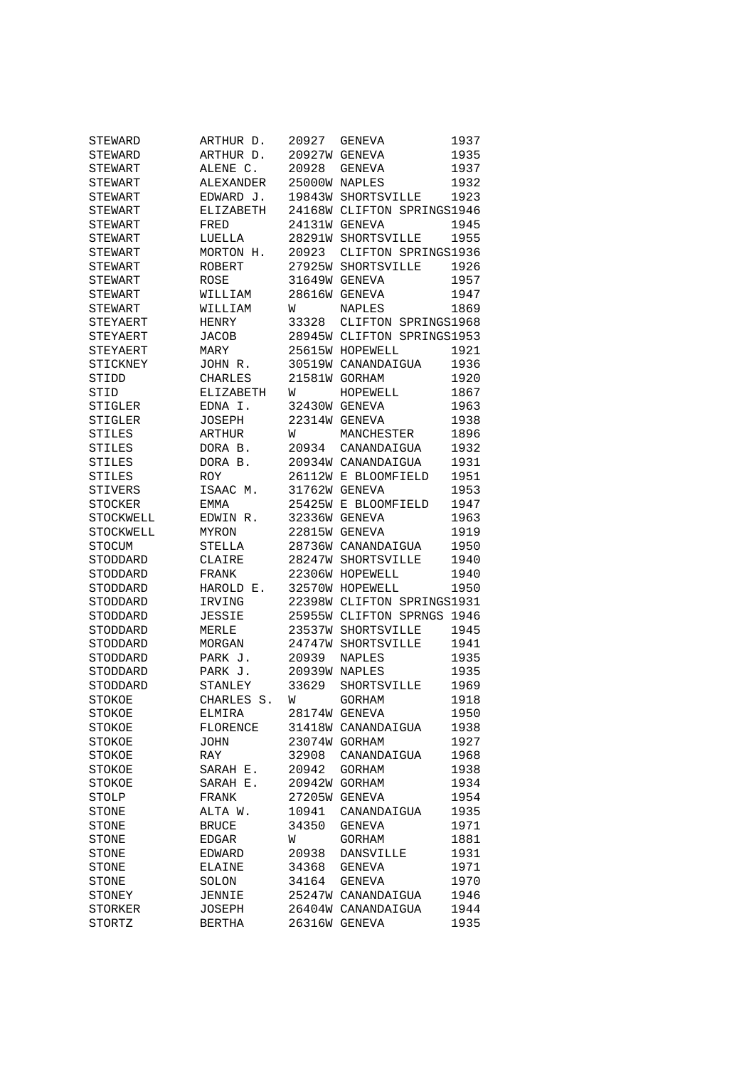| STEWARD       | ARTHUR D.      | 20927         | GENEVA                     | 1937 |
|---------------|----------------|---------------|----------------------------|------|
| STEWARD       | ARTHUR D.      | 20927W        | GENEVA                     | 1935 |
| STEWART       | ALENE C.       | 20928         | <b>GENEVA</b>              | 1937 |
| STEWART       | ALEXANDER      | 25000W        | NAPLES                     | 1932 |
| STEWART       | EDWARD J.      | 19843W        | SHORTSVILLE                | 1923 |
| STEWART       | ELIZABETH      | 24168W        | CLIFTON SPRINGS1946        |      |
| STEWART       | FRED           | 24131W        | <b>GENEVA</b>              | 1945 |
| STEWART       | LUELLA         | 28291W        | SHORTSVILLE                | 1955 |
| STEWART       | MORTON H.      | 20923         | CLIFTON SPRINGS1936        |      |
| STEWART       | <b>ROBERT</b>  | 27925W        | SHORTSVILLE                | 1926 |
| STEWART       | ROSE           | 31649W        | GENEVA                     | 1957 |
| STEWART       | WILLIAM        |               | 28616W GENEVA              | 1947 |
| STEWART       | WILLIAM        | W             | NAPLES                     | 1869 |
| STEYAERT      | HENRY          | 33328         | CLIFTON SPRINGS1968        |      |
| STEYAERT      | <b>JACOB</b>   |               | 28945W CLIFTON SPRINGS1953 |      |
| STEYAERT      | MARY           |               | 25615W HOPEWELL            | 1921 |
| STICKNEY      | JOHN R.        | 30519W        | CANANDAIGUA                | 1936 |
| STIDD         | <b>CHARLES</b> | 21581W        | GORHAM                     | 1920 |
| STID          | ELIZABETH      | W             | HOPEWELL                   | 1867 |
| STIGLER       | EDNA I.        | 32430W GENEVA |                            | 1963 |
| STIGLER       | <b>JOSEPH</b>  |               | 22314W GENEVA              | 1938 |
| STILES        | ARTHUR         | W             | MANCHESTER                 | 1896 |
| STILES        | DORA B.        | 20934         | CANANDAIGUA                | 1932 |
| STILES        | DORA B.        | 20934W        | CANANDAIGUA                | 1931 |
| STILES        | ROY            | 26112W        | E BLOOMFIELD               | 1951 |
| STIVERS       | ISAAC M.       | 31762W        | <b>GENEVA</b>              | 1953 |
| STOCKER       | <b>EMMA</b>    | 25425W        | E BLOOMFIELD               | 1947 |
| STOCKWELL     | EDWIN R.       | 32336W        | <b>GENEVA</b>              | 1963 |
| STOCKWELL     | <b>MYRON</b>   | 22815W        | <b>GENEVA</b>              | 1919 |
| STOCUM        | STELLA         | 28736W        | CANANDAIGUA                | 1950 |
| STODDARD      | CLAIRE         | 28247W        | SHORTSVILLE                | 1940 |
| STODDARD      | FRANK          | 22306W        | HOPEWELL                   | 1940 |
| STODDARD      | HAROLD E.      | 32570W        | HOPEWELL                   | 1950 |
| STODDARD      | IRVING         |               | 22398W CLIFTON SPRINGS1931 |      |
| STODDARD      | <b>JESSIE</b>  | 25955W        | CLIFTON SPRNGS             | 1946 |
| STODDARD      | MERLE          | 23537W        | SHORTSVILLE                | 1945 |
| STODDARD      | MORGAN         | 24747W        | SHORTSVILLE                | 1941 |
| STODDARD      | PARK J.        | 20939         | NAPLES                     | 1935 |
| STODDARD      | PARK J.        | 20939W NAPLES |                            | 1935 |
| STODDARD      | STANLEY        | 33629         | SHORTSVILLE                | 1969 |
| STOKOE        | CHARLES S.     | <b>M</b>      | GORHAM                     | 1918 |
| STOKOE        | ELMIRA         |               | 28174W GENEVA              | 1950 |
| <b>STOKOE</b> | FLORENCE       |               | 31418W CANANDAIGUA         | 1938 |
| STOKOE        | <b>JOHN</b>    | 23074W        | GORHAM                     | 1927 |
| STOKOE        | RAY            | 32908         | CANANDAIGUA                | 1968 |
| STOKOE        | SARAH E.       | 20942         | GORHAM                     | 1938 |
| STOKOE        | SARAH E.       |               | 20942W GORHAM              | 1934 |
| STOLP         | <b>FRANK</b>   | 27205W        | GENEVA                     | 1954 |
| STONE         | ALTA W.        | 10941         | CANANDAIGUA                | 1935 |
| STONE         | <b>BRUCE</b>   | 34350         | GENEVA                     | 1971 |
| STONE         | EDGAR          | W             | GORHAM                     | 1881 |
| STONE         | EDWARD         | 20938         | <b>DANSVILLE</b>           | 1931 |
| STONE         | ELAINE         | 34368         | GENEVA                     | 1971 |
| STONE         | SOLON          | 34164         | <b>GENEVA</b>              | 1970 |
| STONEY        | JENNIE         |               | 25247W CANANDAIGUA         | 1946 |
| STORKER       | JOSEPH         |               | 26404W CANANDAIGUA         | 1944 |
| STORTZ        | BERTHA         |               | 26316W GENEVA              | 1935 |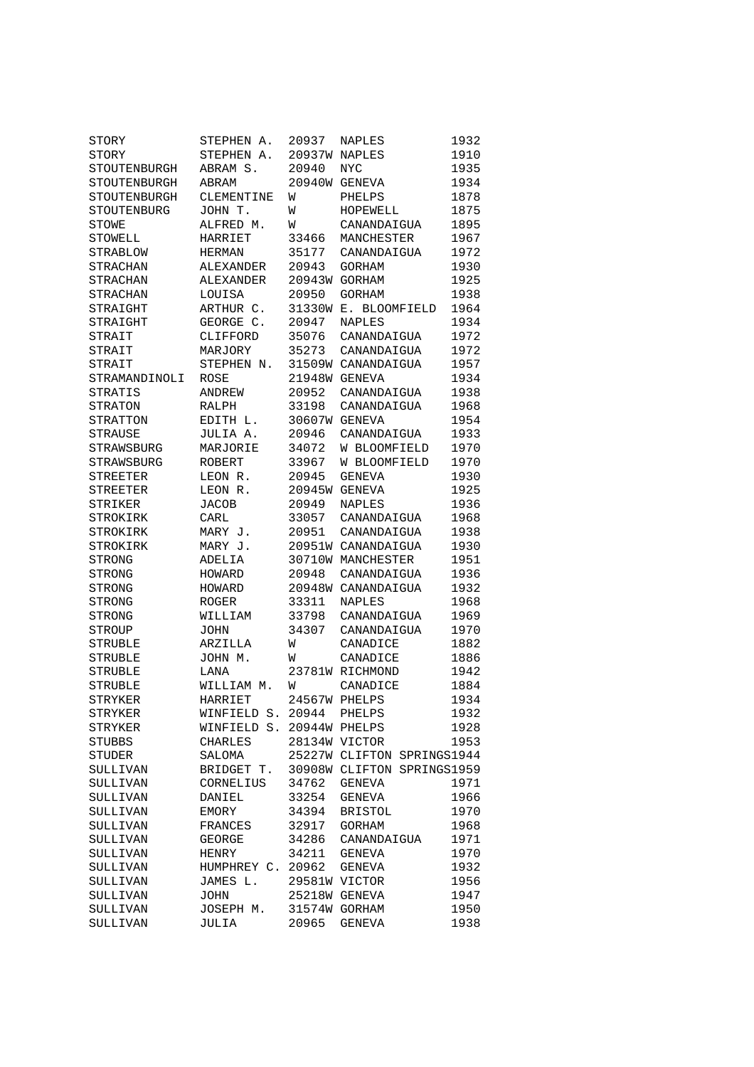| STORY          | STEPHEN A.        | 20937         | <b>NAPLES</b>              | 1932 |
|----------------|-------------------|---------------|----------------------------|------|
| STORY          | STEPHEN A.        | 20937W        | <b>NAPLES</b>              | 1910 |
| STOUTENBURGH   | ABRAM S.          | 20940         | NYC                        | 1935 |
| STOUTENBURGH   | ABRAM             | 20940W        | <b>GENEVA</b>              | 1934 |
| STOUTENBURGH   | CLEMENTINE        | W             | PHELPS                     | 1878 |
| STOUTENBURG    | JOHN T.           | W             | HOPEWELL                   | 1875 |
| STOWE          | ALFRED M.         | W             | CANANDAIGUA                | 1895 |
| STOWELL        | HARRIET           | 33466         | MANCHESTER                 | 1967 |
| STRABLOW       | <b>HERMAN</b>     | 35177         | CANANDAIGUA                | 1972 |
| STRACHAN       | ALEXANDER         | 20943         | GORHAM                     | 1930 |
| STRACHAN       | ALEXANDER         | 20943W        | GORHAM                     | 1925 |
| STRACHAN       | LOUISA            | 20950         | GORHAM                     | 1938 |
| STRAIGHT       | ARTHUR C.         | 31330W        | E. BLOOMFIELD              | 1964 |
| STRAIGHT       | GEORGE C.         | 20947         | <b>NAPLES</b>              | 1934 |
| STRAIT         | CLIFFORD          | 35076         | CANANDAIGUA                | 1972 |
| STRAIT         | MARJORY           | 35273         | CANANDAIGUA                | 1972 |
| STRAIT         | STEPHEN N.        | 31509W        | CANANDAIGUA                | 1957 |
| STRAMANDINOLI  | ROSE              | 21948W        | GENEVA                     | 1934 |
| <b>STRATIS</b> | ANDREW            | 20952         | CANANDAIGUA                | 1938 |
| STRATON        | RALPH             | 33198         | CANANDAIGUA                | 1968 |
| STRATTON       | EDITH L.          | 30607W        | GENEVA                     | 1954 |
| STRAUSE        | JULIA A.          | 20946         | CANANDAIGUA                | 1933 |
| STRAWSBURG     | MARJORIE          | 34072         | W BLOOMFIELD               | 1970 |
| STRAWSBURG     | <b>ROBERT</b>     | 33967         | W BLOOMFIELD               | 1970 |
| STREETER       | LEON R.           | 20945         | <b>GENEVA</b>              | 1930 |
| STREETER       | LEON R.           | 20945W        | <b>GENEVA</b>              | 1925 |
| STRIKER        | <b>JACOB</b>      | 20949         | NAPLES                     | 1936 |
| STROKIRK       | CARL              | 33057         | CANANDAIGUA                | 1968 |
| STROKIRK       | MARY J.           | 20951         | CANANDAIGUA                | 1938 |
| STROKIRK       | MARY J.           | 20951W        | CANANDAIGUA                | 1930 |
| STRONG         | ADELIA            | 30710W        | MANCHESTER                 | 1951 |
| STRONG         | HOWARD            | 20948         | CANANDAIGUA                | 1936 |
| STRONG         | HOWARD            | 20948W        | CANANDAIGUA                | 1932 |
| STRONG         | <b>ROGER</b>      | 33311         | <b>NAPLES</b>              | 1968 |
| STRONG         | WILLIAM           | 33798         | CANANDAIGUA                | 1969 |
| <b>STROUP</b>  | JOHN              | 34307         | CANANDAIGUA                | 1970 |
| STRUBLE        | ARZILLA           | W             | CANADICE                   | 1882 |
| STRUBLE        | JOHN M.           | W             | CANADICE                   | 1886 |
| <b>STRUBLE</b> | LANA              | 23781W        | RICHMOND                   | 1942 |
| STRUBLE        | WILLIAM M.        | W             | CANADICE                   | 1884 |
| STRYKER        | HARRIET           |               | 24567W PHELPS              | 1934 |
| STRYKER        | WINFIELD S.       | 20944         | PHELPS                     | 1932 |
| STRYKER        | WINFIELD S.       | 20944W PHELPS |                            | 1928 |
| <b>STUBBS</b>  | CHARLES           |               | 28134W VICTOR              | 1953 |
| STUDER         | SALOMA            |               | 25227W CLIFTON SPRINGS1944 |      |
| SULLIVAN       | BRIDGET T.        |               | 30908W CLIFTON SPRINGS1959 |      |
| SULLIVAN       | CORNELIUS         | 34762         | GENEVA                     | 1971 |
| SULLIVAN       | DANIEL            | 33254         | GENEVA                     | 1966 |
| SULLIVAN       | EMORY             | 34394         | <b>BRISTOL</b>             | 1970 |
| SULLIVAN       | FRANCES           | 32917         | GORHAM                     | 1968 |
| SULLIVAN       | GEORGE            | 34286         | CANANDAIGUA                | 1971 |
| SULLIVAN       | HENRY             | 34211         | GENEVA                     | 1970 |
| SULLIVAN       | HUMPHREY C. 20962 |               | GENEVA                     | 1932 |
| SULLIVAN       | JAMES L.          |               | 29581W VICTOR              | 1956 |
| SULLIVAN       | JOHN              | 25218W        | GENEVA                     | 1947 |
| SULLIVAN       | JOSEPH M.         | 31574W        | GORHAM                     | 1950 |
| SULLIVAN       | JULIA             | 20965         | <b>GENEVA</b>              | 1938 |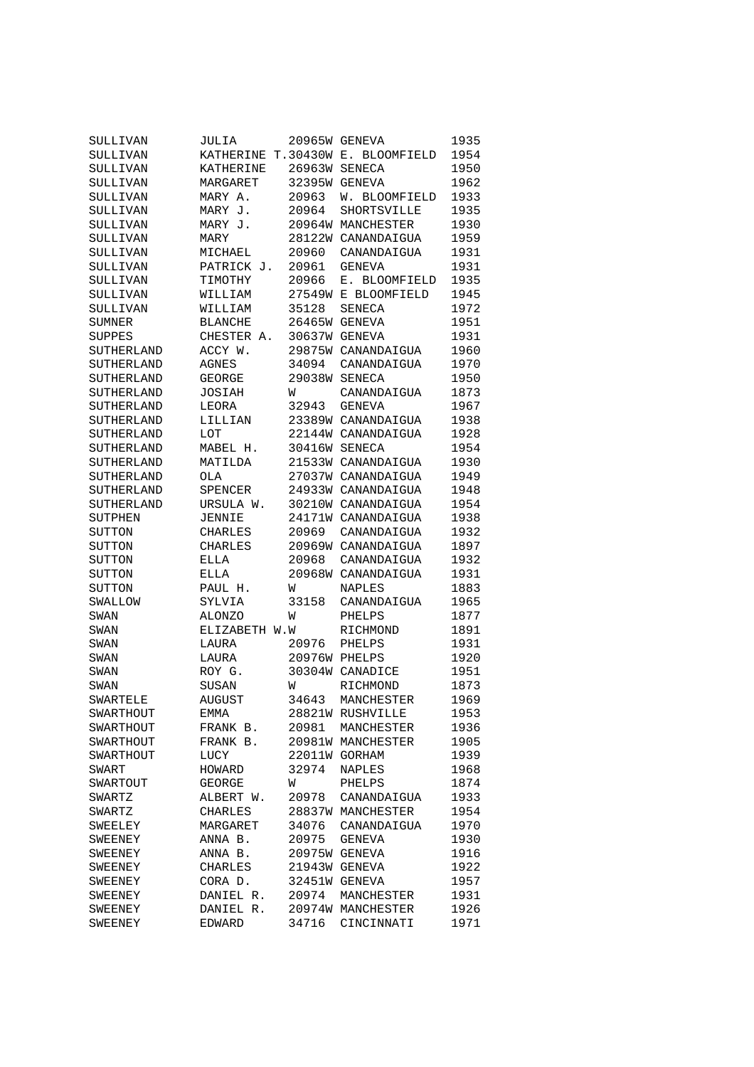| SULLIVAN       | JULIA            | 20965W GENEVA |                                  | 1935 |
|----------------|------------------|---------------|----------------------------------|------|
| SULLIVAN       |                  |               | KATHERINE T.30430W E. BLOOMFIELD | 1954 |
| SULLIVAN       | <b>KATHERINE</b> | 26963W        | SENECA                           | 1950 |
| SULLIVAN       | MARGARET         | 32395W        | <b>GENEVA</b>                    | 1962 |
| SULLIVAN       | MARY A.          | 20963         | W. BLOOMFIELD                    | 1933 |
| SULLIVAN       | MARY<br>J.       | 20964         | SHORTSVILLE                      | 1935 |
| SULLIVAN       | MARY J.          | 20964W        | MANCHESTER                       | 1930 |
| SULLIVAN       | MARY             | 28122W        | CANANDAIGUA                      | 1959 |
| SULLIVAN       | MICHAEL          | 20960         | CANANDAIGUA                      | 1931 |
|                |                  | 20961         | <b>GENEVA</b>                    | 1931 |
| SULLIVAN       | PATRICK J.       |               |                                  |      |
| SULLIVAN       | TIMOTHY          | 20966         | E. BLOOMFIELD                    | 1935 |
| SULLIVAN       | WILLIAM          | 27549W        | E BLOOMFIELD                     | 1945 |
| SULLIVAN       | WILLIAM          | 35128         | SENECA                           | 1972 |
| <b>SUMNER</b>  | <b>BLANCHE</b>   | 26465W        | <b>GENEVA</b>                    | 1951 |
| <b>SUPPES</b>  | CHESTER A.       |               | 30637W GENEVA                    | 1931 |
| SUTHERLAND     | ACCY W.          |               | 29875W CANANDAIGUA               | 1960 |
| SUTHERLAND     | <b>AGNES</b>     | 34094         | CANANDAIGUA                      | 1970 |
| SUTHERLAND     | <b>GEORGE</b>    | 29038W        | SENECA                           | 1950 |
| SUTHERLAND     | JOSIAH           | M             | CANANDAIGUA                      | 1873 |
| SUTHERLAND     | LEORA            | 32943         | <b>GENEVA</b>                    | 1967 |
| SUTHERLAND     | LILLIAN          |               | 23389W CANANDAIGUA               | 1938 |
| SUTHERLAND     | LOT              |               | 22144W CANANDAIGUA               | 1928 |
| SUTHERLAND     | MABEL H.         | 30416W        | SENECA                           | 1954 |
| SUTHERLAND     | MATILDA          | 21533W        | CANANDAIGUA                      | 1930 |
| SUTHERLAND     | <b>OLA</b>       |               | 27037W CANANDAIGUA               | 1949 |
| SUTHERLAND     | SPENCER          |               | 24933W CANANDAIGUA               | 1948 |
| SUTHERLAND     | URSULA W.        |               | 30210W CANANDAIGUA               | 1954 |
| <b>SUTPHEN</b> | JENNIE           |               | 24171W CANANDAIGUA               | 1938 |
| <b>SUTTON</b>  | <b>CHARLES</b>   | 20969         | CANANDAIGUA                      | 1932 |
| SUTTON         | <b>CHARLES</b>   | 20969W        | CANANDAIGUA                      | 1897 |
| SUTTON         | ELLA             | 20968         | CANANDAIGUA                      | 1932 |
| SUTTON         | ELLA             | 20968W        | CANANDAIGUA                      | 1931 |
| SUTTON         | PAUL H.          | M             | NAPLES                           | 1883 |
| SWALLOW        | SYLVIA           | 33158         | CANANDAIGUA                      | 1965 |
| SWAN           | <b>ALONZO</b>    | M             | PHELPS                           | 1877 |
| SWAN           | ELIZABETH W.W    |               | RICHMOND                         | 1891 |
| SWAN           | LAURA            | 20976         | PHELPS                           | 1931 |
| SWAN           | LAURA            | 20976W        | PHELPS                           | 1920 |
| SWAN           | ROY G.           |               | 30304W CANADICE                  | 1951 |
| SWAN           | <b>SUSAN</b>     | M             | RICHMOND                         | 1873 |
| SWARTELE       | <b>AUGUST</b>    | 34643         | MANCHESTER                       | 1969 |
| SWARTHOUT      | <b>EMMA</b>      |               | 28821W RUSHVILLE                 | 1953 |
| SWARTHOUT      | FRANK B.         | 20981         | MANCHESTER                       | 1936 |
| SWARTHOUT      | FRANK B.         |               | 20981W MANCHESTER                | 1905 |
| SWARTHOUT      | $_{\rm LUCY}$    |               | 22011W GORHAM                    | 1939 |
| SWART          | HOWARD           | 32974         | NAPLES                           | 1968 |
| SWARTOUT       | GEORGE           | W             | PHELPS                           | 1874 |
| SWARTZ         | ALBERT W.        | 20978         | CANANDAIGUA                      | 1933 |
| SWARTZ         | <b>CHARLES</b>   |               | 28837W MANCHESTER                | 1954 |
|                | MARGARET         |               | CANANDAIGUA                      |      |
| SWEELEY        |                  | 34076         |                                  | 1970 |
| SWEENEY        | ANNA B.          | 20975         | GENEVA                           | 1930 |
| SWEENEY        | ANNA B.          |               | 20975W GENEVA                    | 1916 |
| SWEENEY        | <b>CHARLES</b>   |               | 21943W GENEVA                    | 1922 |
| SWEENEY        | CORA D.          | 32451W GENEVA |                                  | 1957 |
| SWEENEY        | DANIEL R.        | 20974         | MANCHESTER                       | 1931 |
| <b>SWEENEY</b> | DANIEL R.        |               | 20974W MANCHESTER                | 1926 |
| <b>SWEENEY</b> | EDWARD           | 34716         | CINCINNATI                       | 1971 |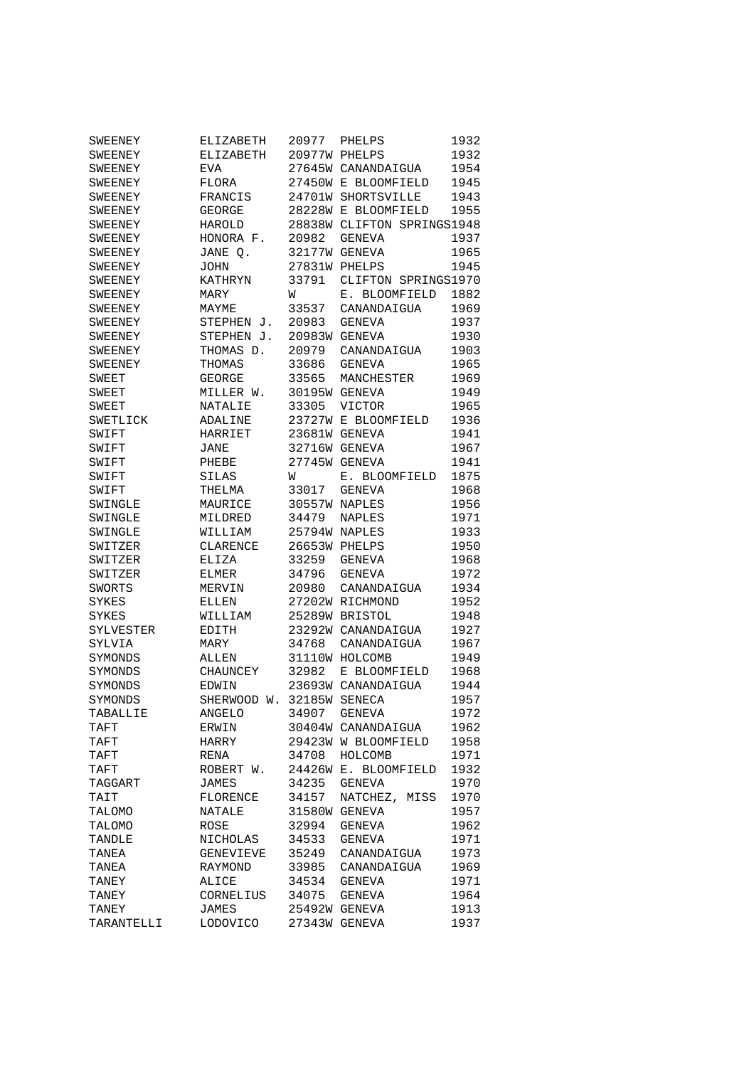|                |                | 20977         | PHELPS                  | 1932 |
|----------------|----------------|---------------|-------------------------|------|
| SWEENEY        | ELIZABETH      |               |                         |      |
| <b>SWEENEY</b> | ELIZABETH      | 20977W        | PHELPS                  | 1932 |
| SWEENEY        | <b>EVA</b>     | 27645W        | CANANDAIGUA             | 1954 |
| SWEENEY        | FLORA          | 27450W        | E BLOOMFIELD            | 1945 |
| SWEENEY        | FRANCIS        | 24701W        | SHORTSVILLE             | 1943 |
| <b>SWEENEY</b> | GEORGE         | 28228W        | E BLOOMFIELD            | 1955 |
| <b>SWEENEY</b> | <b>HAROLD</b>  | 28838W        | CLIFTON SPRINGS1948     |      |
| SWEENEY        | HONORA F.      | 20982         | GENEVA                  | 1937 |
| <b>SWEENEY</b> | JANE Q.        | 32177W        | <b>GENEVA</b>           | 1965 |
| SWEENEY        | JOHN           | 27831W        | PHELPS                  | 1945 |
| SWEENEY        | KATHRYN        | 33791         | CLIFTON SPRINGS1970     |      |
| <b>SWEENEY</b> | MARY           | W             | <b>BLOOMFIELD</b><br>Е. | 1882 |
| SWEENEY        | MAYME          | 33537         | CANANDAIGUA             | 1969 |
| <b>SWEENEY</b> | STEPHEN J.     | 20983         | <b>GENEVA</b>           | 1937 |
| <b>SWEENEY</b> | STEPHEN J.     | 20983W        | <b>GENEVA</b>           | 1930 |
| SWEENEY        | THOMAS D.      | 20979         | CANANDAIGUA             | 1903 |
| <b>SWEENEY</b> | THOMAS         | 33686         | GENEVA                  | 1965 |
| SWEET          | GEORGE         | 33565         | MANCHESTER              | 1969 |
| SWEET          | MILLER W.      | 30195W        | <b>GENEVA</b>           | 1949 |
| <b>SWEET</b>   | <b>NATALIE</b> | 33305         | VICTOR                  | 1965 |
|                |                | 23727W        |                         | 1936 |
| SWETLICK       | ADALINE        |               | E BLOOMFIELD            | 1941 |
| SWIFT          | HARRIET        | 23681W        | <b>GENEVA</b>           |      |
| SWIFT          | JANE           | 32716W        | <b>GENEVA</b>           | 1967 |
| SWIFT          | PHEBE          | 27745W        | <b>GENEVA</b>           | 1941 |
| SWIFT          | <b>SILAS</b>   | W             | <b>BLOOMFIELD</b><br>Е. | 1875 |
| SWIFT          | THELMA         | 33017         | <b>GENEVA</b>           | 1968 |
| SWINGLE        | MAURICE        | 30557W        | <b>NAPLES</b>           | 1956 |
| SWINGLE        | MILDRED        | 34479         | NAPLES                  | 1971 |
| SWINGLE        | WILLIAM        | 25794W        | <b>NAPLES</b>           | 1933 |
| SWITZER        | CLARENCE       | 26653W        | PHELPS                  | 1950 |
| SWITZER        | ELIZA          | 33259         | <b>GENEVA</b>           | 1968 |
| SWITZER        | ELMER          | 34796         | GENEVA                  | 1972 |
| <b>SWORTS</b>  | MERVIN         | 20980         | CANANDAIGUA             | 1934 |
| <b>SYKES</b>   | <b>ELLEN</b>   | 27202W        | RICHMOND                | 1952 |
| SYKES          | WILLIAM        | 25289W        | <b>BRISTOL</b>          | 1948 |
| SYLVESTER      | EDITH          | 23292W        | CANANDAIGUA             | 1927 |
| SYLVIA         | MARY           | 34768         | CANANDAIGUA             | 1967 |
| SYMONDS        | ALLEN          | 31110W        | HOLCOMB                 | 1949 |
| SYMONDS        | CHAUNCEY       | 32982         | E BLOOMFIELD            | 1968 |
| SYMONDS        | EDWIN          | 23693W        | CANANDAIGUA             | 1944 |
| SYMONDS        | SHERWOOD W.    | 32185W SENECA |                         | 1957 |
| TABALLIE       | ANGELO         | 34907 GENEVA  |                         | 1972 |
| TAFT           | ERWIN          |               | 30404W CANANDAIGUA      | 1962 |
| TAFT           | HARRY          |               | 29423W W BLOOMFIELD     | 1958 |
| TAFT           | RENA           | 34708         | HOLCOMB                 | 1971 |
| <b>TAFT</b>    | ROBERT W.      |               | 24426W E. BLOOMFIELD    | 1932 |
| TAGGART        | JAMES          | 34235         | GENEVA                  | 1970 |
|                |                | 34157         | NATCHEZ, MISS           | 1970 |
| TAIT           | FLORENCE       |               |                         |      |
| TALOMO         | NATALE         | 31580W        | GENEVA                  | 1957 |
| TALOMO         | ROSE           | 32994         | GENEVA                  | 1962 |
| TANDLE         | NICHOLAS       | 34533         | GENEVA                  | 1971 |
| TANEA          | GENEVIEVE      | 35249         | CANANDAIGUA             | 1973 |
| TANEA          | RAYMOND        | 33985         | CANANDAIGUA             | 1969 |
| TANEY          | ALICE          | 34534         | GENEVA                  | 1971 |
| TANEY          | CORNELIUS      | 34075         | GENEVA                  | 1964 |
| TANEY          | JAMES          |               | 25492W GENEVA           | 1913 |
| TARANTELLI     | LODOVICO       |               | 27343W GENEVA           | 1937 |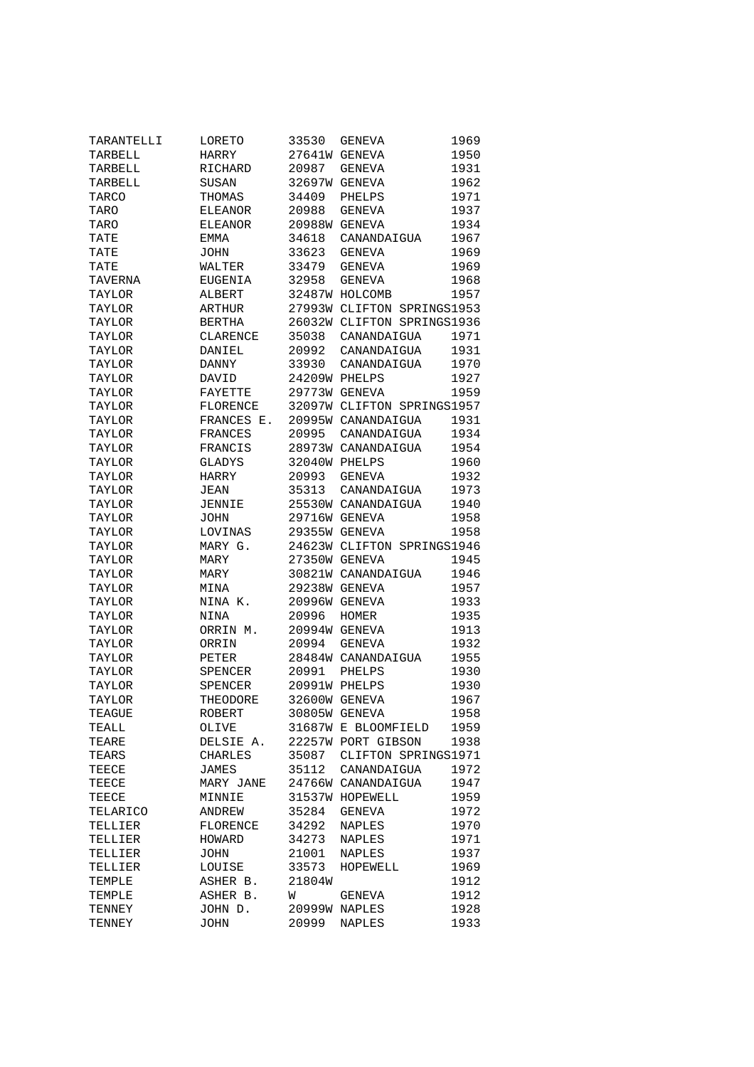| TARANTELLI       | LORETO                 | 33530         | <b>GENEVA</b>              | 1969         |
|------------------|------------------------|---------------|----------------------------|--------------|
| TARBELL          | HARRY                  | 27641W        | GENEVA                     | 1950         |
| TARBELL          | RICHARD                | 20987         | <b>GENEVA</b>              | 1931         |
| TARBELL          | SUSAN                  | 32697W        | <b>GENEVA</b>              | 1962         |
| TARCO            | THOMAS                 | 34409         | PHELPS                     | 1971         |
| TARO             | <b>ELEANOR</b>         | 20988         | <b>GENEVA</b>              | 1937         |
| TARO             | <b>ELEANOR</b>         |               | 20988W GENEVA              | 1934         |
| TATE             | EMMA                   | 34618         | CANANDAIGUA                | 1967         |
| TATE             | JOHN                   | 33623         | GENEVA                     | 1969         |
| TATE             | WALTER                 | 33479         | <b>GENEVA</b>              | 1969         |
| TAVERNA          | EUGENIA                | 32958         | GENEVA                     | 1968         |
| TAYLOR           | ALBERT                 |               | 32487W HOLCOMB             | 1957         |
| <b>TAYLOR</b>    | ARTHUR                 |               | 27993W CLIFTON SPRINGS1953 |              |
| TAYLOR           | BERTHA                 |               | 26032W CLIFTON SPRINGS1936 |              |
| TAYLOR           | <b>CLARENCE</b>        | 35038         | CANANDAIGUA                | 1971         |
| TAYLOR           | DANIEL                 | 20992         | CANANDAIGUA                | 1931         |
| TAYLOR           | DANNY                  | 33930         | CANANDAIGUA                | 1970         |
| TAYLOR           | DAVID                  |               | 24209W PHELPS              | 1927         |
| TAYLOR           | FAYETTE                |               | 29773W GENEVA              | 1959         |
| TAYLOR           | FLORENCE               |               | 32097W CLIFTON SPRINGS1957 |              |
| TAYLOR           | FRANCES E.             |               | 20995W CANANDAIGUA         | 1931         |
| TAYLOR           | FRANCES                | 20995         | CANANDAIGUA                | 1934         |
| TAYLOR           | FRANCIS                |               | 28973W CANANDAIGUA         | 1954         |
| TAYLOR           | GLADYS                 |               | 32040W PHELPS              | 1960         |
| TAYLOR           | <b>HARRY</b>           | 20993         | <b>GENEVA</b>              | 1932         |
| TAYLOR           | <b>JEAN</b>            | 35313         | CANANDAIGUA                | 1973         |
| TAYLOR           | <b>JENNIE</b>          |               | 25530W CANANDAIGUA         | 1940         |
| TAYLOR           | JOHN                   |               | 29716W GENEVA              | 1958         |
| TAYLOR           | LOVINAS                | 29355W GENEVA |                            | 1958         |
|                  |                        |               |                            |              |
|                  |                        |               |                            |              |
| TAYLOR           | MARY G.                |               | 24623W CLIFTON SPRINGS1946 |              |
| TAYLOR           | MARY                   |               | 27350W GENEVA              | 1945         |
| TAYLOR           | MARY                   |               | 30821W CANANDAIGUA         | 1946         |
| TAYLOR           | MINA                   |               | 29238W GENEVA              | 1957         |
| TAYLOR           | NINA K.                |               | 20996W GENEVA              | 1933         |
| TAYLOR           | NINA                   | 20996         | <b>HOMER</b>               | 1935         |
| TAYLOR           | ORRIN M.               | 20994W        | GENEVA                     | 1913         |
| TAYLOR           | ORRIN                  | 20994         | <b>GENEVA</b>              | 1932         |
| TAYLOR           | PETER                  |               | 28484W CANANDAIGUA         | 1955         |
| TAYLOR           | SPENCER                | 20991         | PHELPS                     | 1930         |
| <b>TAYLOR</b>    | <b>SPENCER</b>         |               | 20991W PHELPS              | 1930         |
| TAYLOR           | THEODORE               |               | 32600W GENEVA              | 1967         |
| TEAGUE           | ROBERT                 |               | 30805W GENEVA              | 1958         |
| TEALL            | OLIVE                  |               | 31687W E BLOOMFIELD        | 1959         |
| TEARE            | DELSIE A.              |               | 22257W PORT GIBSON         | 1938         |
| TEARS            | <b>CHARLES</b>         | 35087         | CLIFTON SPRINGS1971        |              |
| TEECE            | JAMES                  | 35112         | CANANDAIGUA                | 1972         |
| TEECE            | MARY JANE              |               | 24766W CANANDAIGUA         | 1947         |
| TEECE            | MINNIE                 | 31537W        | HOPEWELL                   | 1959         |
| TELARICO         | ANDREW                 | 35284         | <b>GENEVA</b>              | 1972         |
| TELLIER          | FLORENCE               | 34292         | NAPLES                     | 1970         |
| TELLIER          | HOWARD                 | 34273         | NAPLES                     | 1971         |
| TELLIER          | JOHN                   | 21001         | NAPLES                     | 1937         |
| TELLIER          | LOUISE                 | 33573         | HOPEWELL                   | 1969         |
| TEMPLE           | ASHER B.               | 21804W        |                            | 1912         |
| TEMPLE           | ASHER B.               | W             | GENEVA                     | 1912         |
| TENNEY<br>TENNEY | JOHN D.<br><b>JOHN</b> | 20999         | 20999W NAPLES<br>NAPLES    | 1928<br>1933 |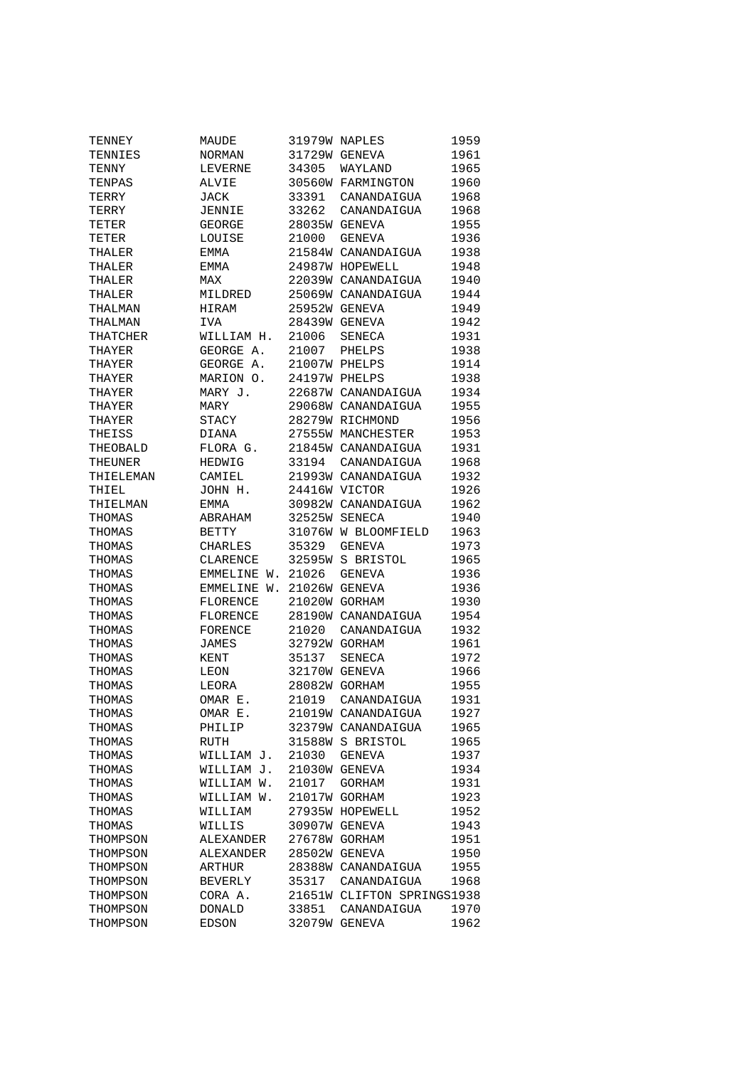| TENNEY    | MAUDE          | 31979W NAPLES |                            | 1959 |
|-----------|----------------|---------------|----------------------------|------|
| TENNIES   | NORMAN         | 31729W        | GENEVA                     | 1961 |
| TENNY     | LEVERNE        | 34305         | WAYLAND                    | 1965 |
| TENPAS    | ALVIE          | 30560W        | FARMINGTON                 | 1960 |
|           |                |               |                            |      |
| TERRY     | JACK           | 33391         | CANANDAIGUA                | 1968 |
| TERRY     | JENNIE         | 33262         | CANANDAIGUA                | 1968 |
| TETER     | GEORGE         | 28035W        | GENEVA                     | 1955 |
| TETER     | LOUISE         | 21000         | <b>GENEVA</b>              | 1936 |
| THALER    | <b>EMMA</b>    |               | 21584W CANANDAIGUA         | 1938 |
| THALER    | EMMA           |               | 24987W HOPEWELL            | 1948 |
| THALER    | MAX            | 22039W        | CANANDAIGUA                | 1940 |
| THALER    | MILDRED        |               | 25069W CANANDAIGUA         | 1944 |
| THALMAN   | HIRAM          | 25952W        | <b>GENEVA</b>              | 1949 |
| THALMAN   | IVA            | 28439W        | GENEVA                     | 1942 |
| THATCHER  | WILLIAM H.     | 21006         | SENECA                     | 1931 |
| THAYER    | GEORGE A.      | 21007         | PHELPS                     | 1938 |
| THAYER    | GEORGE A.      | 21007W        | PHELPS                     | 1914 |
| THAYER    | MARION O.      | 24197W        | PHELPS                     | 1938 |
| THAYER    | MARY J.        |               | 22687W CANANDAIGUA         | 1934 |
| THAYER    | MARY           |               | 29068W CANANDAIGUA         | 1955 |
| THAYER    | STACY          |               | 28279W RICHMOND            | 1956 |
| THEISS    | <b>DIANA</b>   |               | 27555W MANCHESTER          | 1953 |
| THEOBALD  | FLORA G.       |               | 21845W CANANDAIGUA         | 1931 |
| THEUNER   | HEDWIG         | 33194         | CANANDAIGUA                | 1968 |
| THIELEMAN | CAMIEL         |               | 21993W CANANDAIGUA         | 1932 |
| THIEL     | JOHN H.        |               | 24416W VICTOR              | 1926 |
| THIELMAN  | <b>EMMA</b>    |               | 30982W CANANDAIGUA         | 1962 |
| THOMAS    | ABRAHAM        | 32525W        | SENECA                     | 1940 |
| THOMAS    | <b>BETTY</b>   | 31076W        | W BLOOMFIELD               | 1963 |
| THOMAS    | <b>CHARLES</b> | 35329         | <b>GENEVA</b>              | 1973 |
| THOMAS    | CLARENCE       | 32595W        | S BRISTOL                  | 1965 |
| THOMAS    | EMMELINE W.    | 21026         | <b>GENEVA</b>              | 1936 |
| THOMAS    | EMMELINE W.    | 21026W        | <b>GENEVA</b>              | 1936 |
| THOMAS    | FLORENCE       | 21020W        | GORHAM                     | 1930 |
| THOMAS    | FLORENCE       | 28190W        | CANANDAIGUA                | 1954 |
| THOMAS    | FORENCE        | 21020         | CANANDAIGUA                | 1932 |
| THOMAS    | JAMES          | 32792W        | GORHAM                     | 1961 |
| THOMAS    | KENT           | 35137         | SENECA                     | 1972 |
| THOMAS    | LEON           | 32170W        | <b>GENEVA</b>              | 1966 |
| THOMAS    | LEORA          |               | 28082W GORHAM              | 1955 |
| THOMAS    |                |               | 21019 CANANDAIGUA          | 1931 |
|           | OMAR E.        |               | 21019W CANANDAIGUA         | 1927 |
| THOMAS    | OMAR E.        |               |                            |      |
| THOMAS    | PHILIP         |               | 32379W CANANDAIGUA         | 1965 |
| THOMAS    | RUTH           |               | 31588W S BRISTOL           | 1965 |
| THOMAS    | WILLIAM J.     | 21030         | <b>GENEVA</b>              | 1937 |
| THOMAS    | WILLIAM J.     |               | 21030W GENEVA              | 1934 |
| THOMAS    | WILLIAM W.     | 21017         | GORHAM                     | 1931 |
| THOMAS    | WILLIAM W.     |               | 21017W GORHAM              | 1923 |
| THOMAS    | WILLIAM        |               | 27935W HOPEWELL            | 1952 |
| THOMAS    | WILLIS         |               | 30907W GENEVA              | 1943 |
| THOMPSON  | ALEXANDER      |               | 27678W GORHAM              | 1951 |
| THOMPSON  | ALEXANDER      |               | 28502W GENEVA              | 1950 |
| THOMPSON  | ARTHUR         |               | 28388W CANANDAIGUA         | 1955 |
| THOMPSON  | <b>BEVERLY</b> | 35317         | CANANDAIGUA                | 1968 |
| THOMPSON  | CORA A.        |               | 21651W CLIFTON SPRINGS1938 |      |
| THOMPSON  | DONALD         | 33851         | CANANDAIGUA                | 1970 |
| THOMPSON  | <b>EDSON</b>   |               | 32079W GENEVA              | 1962 |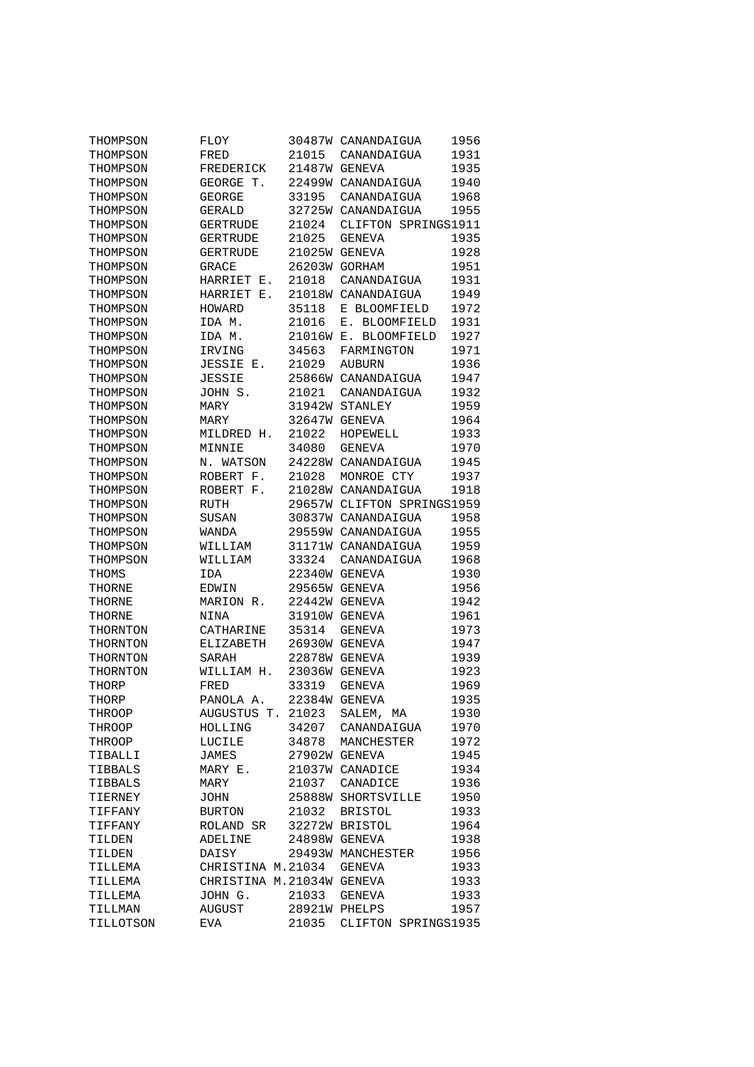| THOMPSON  | FLOY                        |               | 30487W CANANDAIGUA         | 1956 |
|-----------|-----------------------------|---------------|----------------------------|------|
| THOMPSON  | FRED                        | 21015         | CANANDAIGUA                | 1931 |
| THOMPSON  | FREDERICK                   | 21487W        | <b>GENEVA</b>              | 1935 |
| THOMPSON  | GEORGE T.                   | 22499W        | CANANDAIGUA                | 1940 |
| THOMPSON  | <b>GEORGE</b>               | 33195         | CANANDAIGUA                | 1968 |
| THOMPSON  | <b>GERALD</b>               | 32725W        | CANANDAIGUA                | 1955 |
| THOMPSON  | GERTRUDE                    | 21024         | CLIFTON SPRINGS1911        |      |
| THOMPSON  | GERTRUDE                    | 21025         | <b>GENEVA</b>              | 1935 |
| THOMPSON  | <b>GERTRUDE</b>             | 21025W        | <b>GENEVA</b>              | 1928 |
| THOMPSON  | GRACE                       | 26203W        | GORHAM                     | 1951 |
| THOMPSON  | HARRIET<br>Ε.               | 21018         | CANANDAIGUA                | 1931 |
| THOMPSON  | HARRIET<br>Е.               | 21018W        | CANANDAIGUA                | 1949 |
| THOMPSON  | HOWARD                      | 35118         | E BLOOMFIELD               | 1972 |
| THOMPSON  | IDA M.                      | 21016         | Ε.<br><b>BLOOMFIELD</b>    | 1931 |
| THOMPSON  | IDA M.                      | 21016W        | $E$ .<br><b>BLOOMFIELD</b> | 1927 |
| THOMPSON  | IRVING                      | 34563         | FARMINGTON                 | 1971 |
| THOMPSON  | JESSIE E.                   | 21029         | AUBURN                     | 1936 |
| THOMPSON  | JESSIE                      | 25866W        | CANANDAIGUA                | 1947 |
| THOMPSON  | JOHN S.                     | 21021         | CANANDAIGUA                | 1932 |
| THOMPSON  | MARY                        | 31942W        | STANLEY                    | 1959 |
| THOMPSON  | MARY                        | 32647W        | <b>GENEVA</b>              | 1964 |
| THOMPSON  | MILDRED H.                  | 21022         | HOPEWELL                   | 1933 |
| THOMPSON  | MINNIE                      | 34080         | <b>GENEVA</b>              | 1970 |
| THOMPSON  | N. WATSON                   | 24228W        | CANANDAIGUA                | 1945 |
| THOMPSON  | ROBERT F.                   | 21028         | MONROE CTY                 | 1937 |
| THOMPSON  | ROBERT<br>F.                | 21028W        | CANANDAIGUA                | 1918 |
| THOMPSON  | RUTH                        |               | 29657W CLIFTON SPRINGS1959 |      |
| THOMPSON  | SUSAN                       |               | 30837W CANANDAIGUA         | 1958 |
| THOMPSON  | WANDA                       | 29559W        | CANANDAIGUA                | 1955 |
| THOMPSON  | WILLIAM                     | 31171W        | CANANDAIGUA                | 1959 |
| THOMPSON  | WILLIAM                     | 33324         | CANANDAIGUA                | 1968 |
| THOMS     | IDA                         | 22340W        | <b>GENEVA</b>              | 1930 |
| THORNE    | EDWIN                       | 29565W        | <b>GENEVA</b>              | 1956 |
| THORNE    | MARION R.                   | 22442W        | <b>GENEVA</b>              | 1942 |
| THORNE    | NINA                        | 31910W        | <b>GENEVA</b>              | 1961 |
| THORNTON  | CATHARINE                   | 35314         | GENEVA                     | 1973 |
| THORNTON  | <b>ELIZABETH</b>            | 26930W        | GENEVA                     | 1947 |
| THORNTON  | SARAH                       | 22878W        | <b>GENEVA</b>              | 1939 |
| THORNTON  | WILLIAM H.                  | 23036W        | <b>GENEVA</b>              | 1923 |
| THORP     | FRED                        | 33319         | <b>GENEVA</b>              | 1969 |
| THORP     | PANOLA A.                   | 22384W GENEVA |                            | 1935 |
| THROOP    | AUGUSTUS T. 21023 SALEM, MA |               |                            | 1930 |
| THROOP    | HOLLING                     |               | 34207 CANANDAIGUA          | 1970 |
| THROOP    | LUCILE                      |               | 34878 MANCHESTER           | 1972 |
| TIBALLI   | JAMES                       | 27902W GENEVA |                            | 1945 |
| TIBBALS   | MARY E.                     |               | 21037W CANADICE            | 1934 |
| TIBBALS   | MARY                        | 21037         | CANADICE                   | 1936 |
| TIERNEY   | JOHN                        |               | 25888W SHORTSVILLE         | 1950 |
| TIFFANY   |                             | 21032         | <b>BRISTOL</b>             |      |
|           | BURTON                      |               |                            | 1933 |
| TIFFANY   | ROLAND SR                   |               | 32272W BRISTOL             | 1964 |
| TILDEN    | ADELINE                     |               | 24898W GENEVA              | 1938 |
| TILDEN    | DAISY                       |               | 29493W MANCHESTER          | 1956 |
| TILLEMA   | CHRISTINA M.21034           |               | GENEVA                     | 1933 |
| TILLEMA   | CHRISTINA M.21034W GENEVA   |               |                            | 1933 |
| TILLEMA   | JOHN G.                     | 21033         | GENEVA                     | 1933 |
| TILLMAN   | AUGUST                      | 28921W PHELPS |                            | 1957 |
| TILLOTSON | EVA                         |               | 21035 CLIFTON SPRINGS1935  |      |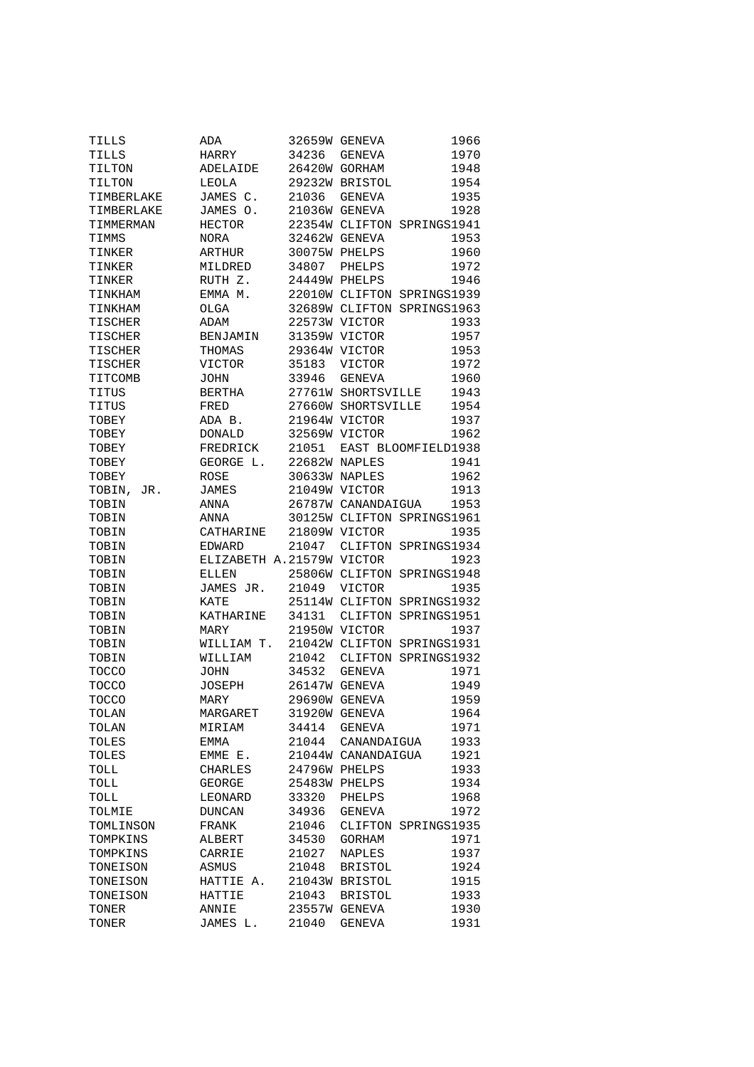| TILLS         | ADA                       |               | 32659W GENEVA<br>1966      |
|---------------|---------------------------|---------------|----------------------------|
| TILLS         | HARRY                     | 34236         | 1970<br><b>GENEVA</b>      |
| TILTON        | ADELAIDE                  |               | 1948<br>26420W GORHAM      |
| TILTON        | LEOLA                     |               | 29232W BRISTOL<br>1954     |
| TIMBERLAKE    | JAMES C.                  | 21036         | 1935<br><b>GENEVA</b>      |
| TIMBERLAKE    | JAMES O.                  |               | 21036W GENEVA<br>1928      |
| TIMMERMAN     | <b>HECTOR</b>             |               | 22354W CLIFTON SPRINGS1941 |
| TIMMS         | NORA                      |               | 1953<br>32462W GENEVA      |
| TINKER        | ARTHUR                    |               | 1960<br>30075W PHELPS      |
| TINKER        | MILDRED                   | 34807         | 1972<br>PHELPS             |
| TINKER        | RUTH Z.                   | 24449W PHELPS | 1946                       |
| TINKHAM       | EMMA M.                   |               | 22010W CLIFTON SPRINGS1939 |
| TINKHAM       | OLGA                      |               | 32689W CLIFTON SPRINGS1963 |
| TISCHER       | ADAM                      |               | 1933<br>22573W VICTOR      |
| TISCHER       | BENJAMIN                  |               | 31359W VICTOR<br>1957      |
| TISCHER       | THOMAS                    |               | 1953<br>29364W VICTOR      |
| TISCHER       | VICTOR                    | 35183         | 1972<br><b>VICTOR</b>      |
| TITCOMB       | <b>JOHN</b>               | 33946         | 1960<br><b>GENEVA</b>      |
| TITUS         | <b>BERTHA</b>             |               | 1943<br>27761W SHORTSVILLE |
| TITUS         | FRED                      |               | 27660W SHORTSVILLE<br>1954 |
| TOBEY         | ADA B.                    |               | 1937<br>21964W VICTOR      |
| TOBEY         | <b>DONALD</b>             |               | 1962<br>32569W VICTOR      |
| TOBEY         | FREDRICK                  | 21051         | EAST BLOOMFIELD1938        |
| TOBEY         | GEORGE L.                 | 22682W NAPLES | 1941                       |
| TOBEY         | ROSE                      |               | 1962<br>30633W NAPLES      |
| TOBIN,<br>JR. | JAMES                     |               | 1913<br>21049W VICTOR      |
| TOBIN         | ANNA                      |               | 1953<br>26787W CANANDAIGUA |
| TOBIN         | ANNA                      |               | 30125W CLIFTON SPRINGS1961 |
| TOBIN         | CATHARINE                 | 21809W VICTOR | 1935                       |
| TOBIN         | EDWARD                    |               | 21047 CLIFTON SPRINGS1934  |
| TOBIN         | ELIZABETH A.21579W VICTOR |               | 1923                       |
| TOBIN         | ELLEN                     |               | 25806W CLIFTON SPRINGS1948 |
| TOBIN         | JAMES JR.                 | 21049         | <b>VICTOR</b><br>1935      |
| TOBIN         | KATE                      |               | 25114W CLIFTON SPRINGS1932 |
| TOBIN         | KATHARINE                 | 34131         | CLIFTON SPRINGS1951        |
| TOBIN         | MARY                      |               | 21950W VICTOR<br>1937      |
| TOBIN         | WILLIAM T.                |               | 21042W CLIFTON SPRINGS1931 |
| TOBIN         | WILLIAM                   | 21042         | CLIFTON SPRINGS1932        |
| TOCCO         | <b>JOHN</b>               | 34532         | 1971<br><b>GENEVA</b>      |
| TOCCO         | <b>JOSEPH</b>             |               | 1949<br>26147W GENEVA      |
| TOCCO         | MARY                      | 29690W GENEVA | 1959                       |
| TOLAN         | MARGARET                  |               | 31920W GENEVA<br>1964      |
| TOLAN         | MIRIAM                    | 34414         | 1971<br>GENEVA             |
| TOLES         | EMMA                      | 21044         | 1933<br>CANANDAIGUA        |
| TOLES         | EMME E.                   |               | 1921<br>21044W CANANDAIGUA |
| TOLL          | CHARLES                   |               | 24796W PHELPS<br>1933      |
| TOLL          | GEORGE                    | 25483W        | 1934<br>PHELPS             |
| TOLL          | LEONARD                   | 33320         | PHELPS<br>1968             |
| TOLMIE        | <b>DUNCAN</b>             | 34936         | GENEVA<br>1972             |
| TOMLINSON     | FRANK                     | 21046         | CLIFTON SPRINGS1935        |
| TOMPKINS      | ALBERT                    | 34530         | 1971<br>GORHAM             |
| TOMPKINS      | CARRIE                    | 21027         | NAPLES<br>1937             |
| TONEISON      | ASMUS                     | 21048         | 1924<br>BRISTOL            |
| TONEISON      | HATTIE A.                 |               | 21043W BRISTOL<br>1915     |
| TONEISON      | <b>HATTIE</b>             | 21043         | <b>BRISTOL</b><br>1933     |
| TONER         | ANNIE                     | 23557W        | GENEVA<br>1930             |
| TONER         | JAMES L.                  | 21040         | 1931<br>GENEVA             |
|               |                           |               |                            |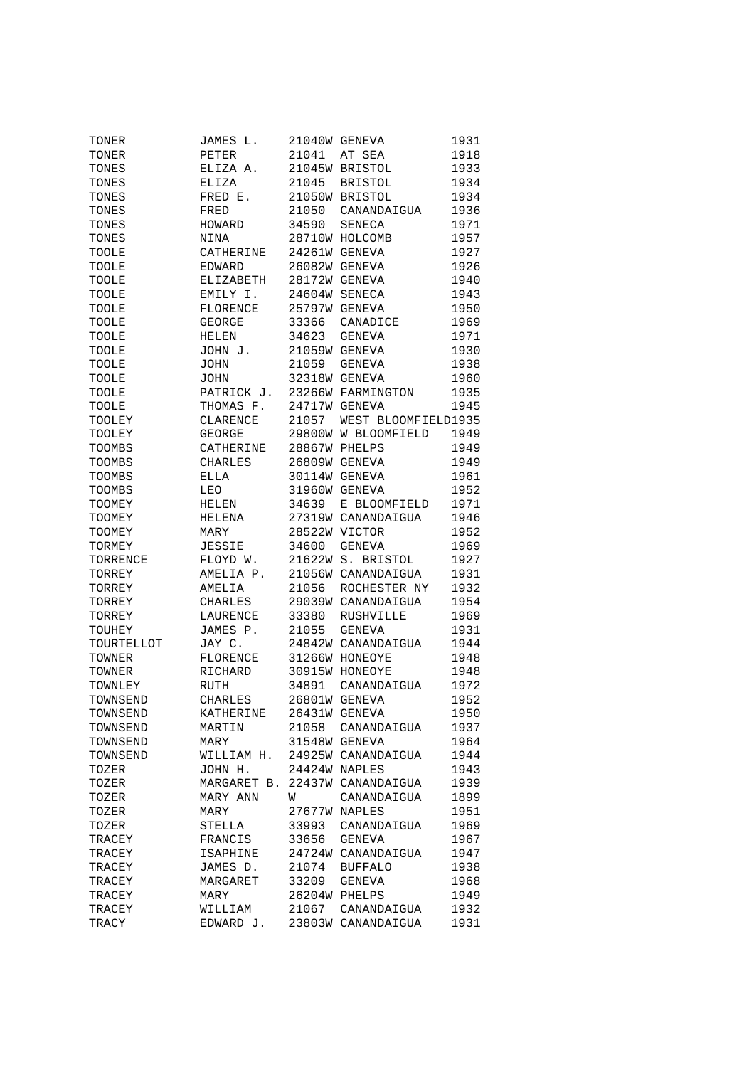| TONER      | JAMES L.                       |               | 21040W GENEVA       | 1931 |
|------------|--------------------------------|---------------|---------------------|------|
| TONER      | PETER                          | 21041         | AT SEA              | 1918 |
| TONES      | ELIZA A.                       |               | 21045W BRISTOL      | 1933 |
| TONES      | ELIZA                          | 21045         | <b>BRISTOL</b>      | 1934 |
| TONES      | FRED E.                        |               | 21050W BRISTOL      | 1934 |
| TONES      | FRED                           | 21050         | CANANDAIGUA         | 1936 |
| TONES      | HOWARD                         | 34590         | SENECA              | 1971 |
| TONES      | NINA                           |               | 28710W HOLCOMB      | 1957 |
| TOOLE      | CATHERINE                      |               | 24261W GENEVA       | 1927 |
| TOOLE      | EDWARD                         |               | 26082W GENEVA       | 1926 |
| TOOLE      | <b>ELIZABETH</b>               |               | 28172W GENEVA       | 1940 |
| TOOLE      | EMILY I.                       | 24604W SENECA |                     | 1943 |
| TOOLE      | <b>FLORENCE</b>                | 25797W GENEVA |                     | 1950 |
| TOOLE      | GEORGE                         | 33366         | CANADICE            | 1969 |
| TOOLE      | HELEN                          | 34623         | <b>GENEVA</b>       | 1971 |
| TOOLE      | JOHN J.                        | 21059W GENEVA |                     | 1930 |
| TOOLE      | <b>JOHN</b>                    | 21059         | GENEVA              | 1938 |
| TOOLE      | JOHN                           |               | 32318W GENEVA       | 1960 |
| TOOLE      | PATRICK J.                     |               | 23266W FARMINGTON   | 1935 |
| TOOLE      | THOMAS F.                      |               | 24717W GENEVA       | 1945 |
| TOOLEY     | <b>CLARENCE</b>                | 21057         | WEST BLOOMFIELD1935 |      |
| TOOLEY     | <b>GEORGE</b>                  |               | 29800W W BLOOMFIELD | 1949 |
| TOOMBS     | CATHERINE                      | 28867W PHELPS |                     | 1949 |
| TOOMBS     | <b>CHARLES</b>                 |               | 26809W GENEVA       | 1949 |
| TOOMBS     | ELLA                           |               | 30114W GENEVA       | 1961 |
| TOOMBS     | LEO                            |               | 31960W GENEVA       | 1952 |
| TOOMEY     | HELEN                          | 34639         | E BLOOMFIELD        | 1971 |
| TOOMEY     | HELENA                         |               | 27319W CANANDAIGUA  | 1946 |
| TOOMEY     | MARY                           |               | 28522W VICTOR       | 1952 |
| TORMEY     | <b>JESSIE</b>                  | 34600         | <b>GENEVA</b>       | 1969 |
| TORRENCE   | FLOYD W.                       |               | 21622W S. BRISTOL   | 1927 |
| TORREY     | AMELIA P.                      |               | 21056W CANANDAIGUA  | 1931 |
| TORREY     | AMELIA                         | 21056         | ROCHESTER NY        | 1932 |
| TORREY     | CHARLES                        |               | 29039W CANANDAIGUA  | 1954 |
| TORREY     | LAURENCE                       | 33380         | <b>RUSHVILLE</b>    | 1969 |
| TOUHEY     | JAMES P.                       | 21055         | <b>GENEVA</b>       | 1931 |
| TOURTELLOT | JAY C.                         |               | 24842W CANANDAIGUA  | 1944 |
| TOWNER     | FLORENCE                       |               | 31266W HONEOYE      | 1948 |
| TOWNER     | RICHARD                        |               | 30915W HONEOYE      | 1948 |
| TOWNLEY    | <b>RUTH</b>                    | 34891         | CANANDAIGUA         | 1972 |
| TOWNSEND   | <b>CHARLES</b>                 | 26801W GENEVA |                     | 1952 |
| TOWNSEND   | KATHERINE                      |               | 26431W GENEVA       | 1950 |
| TOWNSEND   | MARTIN                         |               | 21058 CANANDAIGUA   | 1937 |
| TOWNSEND   | MARY                           | 31548W GENEVA |                     | 1964 |
| TOWNSEND   | WILLIAM H.                     |               | 24925W CANANDAIGUA  | 1944 |
| TOZER      | JOHN H.                        | 24424W NAPLES |                     | 1943 |
| TOZER      | MARGARET B. 22437W CANANDAIGUA |               |                     | 1939 |
| TOZER      | MARY ANN                       | M             | CANANDAIGUA         | 1899 |
| TOZER      | MARY                           | 27677W NAPLES |                     | 1951 |
| TOZER      | STELLA                         | 33993         | CANANDAIGUA         | 1969 |
| TRACEY     | FRANCIS                        | 33656         | GENEVA              | 1967 |
| TRACEY     | ISAPHINE                       |               | 24724W CANANDAIGUA  | 1947 |
| TRACEY     | JAMES D.                       | 21074         | <b>BUFFALO</b>      | 1938 |
| TRACEY     | MARGARET                       | 33209         | GENEVA              | 1968 |
| TRACEY     | MARY                           | 26204W PHELPS |                     | 1949 |
| TRACEY     | WILLIAM                        |               | 21067 CANANDAIGUA   | 1932 |
| TRACY      | EDWARD J.                      |               | 23803W CANANDAIGUA  | 1931 |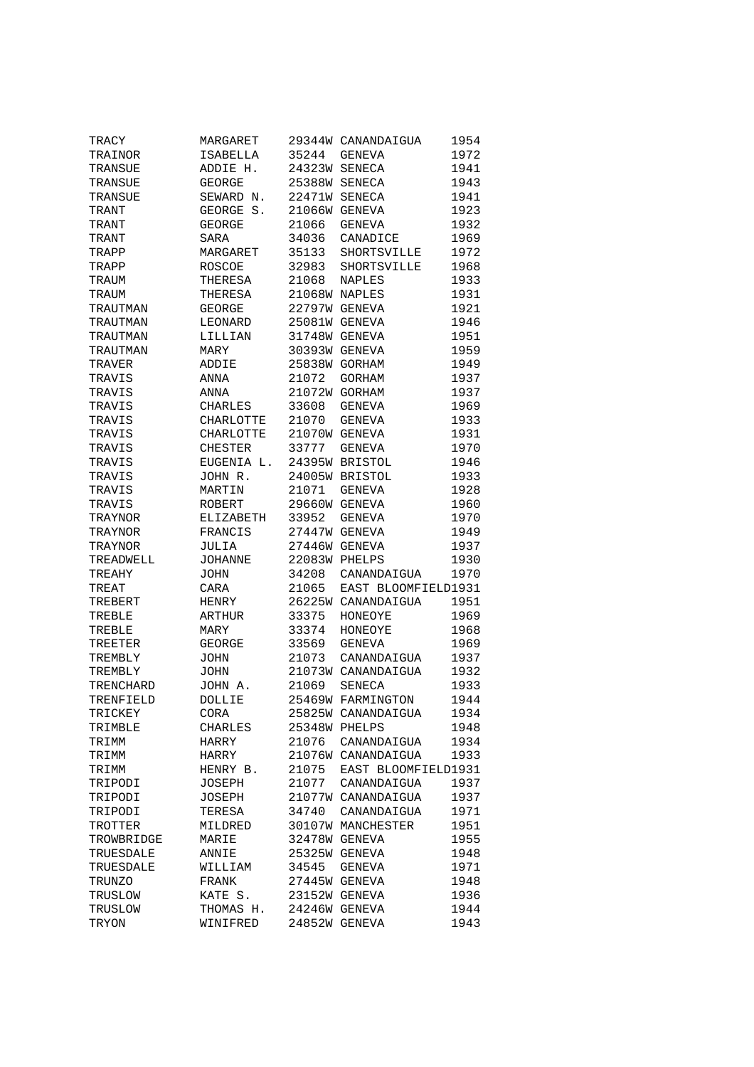| TRACY      | MARGARET       |               | 29344W CANANDAIGUA  | 1954 |
|------------|----------------|---------------|---------------------|------|
| TRAINOR    | ISABELLA       | 35244         | GENEVA              | 1972 |
| TRANSUE    | ADDIE H.       | 24323W        | SENECA              | 1941 |
| TRANSUE    | GEORGE         | 25388W        | SENECA              | 1943 |
| TRANSUE    | SEWARD N.      | 22471W        | <b>SENECA</b>       | 1941 |
| TRANT      | GEORGE<br>S.   | 21066W        | <b>GENEVA</b>       | 1923 |
| TRANT      | GEORGE         | 21066         | GENEVA              | 1932 |
| TRANT      | SARA           | 34036         | CANADICE            | 1969 |
| TRAPP      | MARGARET       | 35133         | SHORTSVILLE         | 1972 |
| TRAPP      | <b>ROSCOE</b>  | 32983         | SHORTSVILLE         | 1968 |
| TRAUM      | THERESA        | 21068         | NAPLES              | 1933 |
| TRAUM      | THERESA        | 21068W        | NAPLES              | 1931 |
| TRAUTMAN   | <b>GEORGE</b>  |               | 22797W GENEVA       | 1921 |
| TRAUTMAN   | LEONARD        |               | 25081W GENEVA       | 1946 |
| TRAUTMAN   | LILLIAN        | 31748W GENEVA |                     | 1951 |
| TRAUTMAN   | MARY           | 30393W GENEVA |                     | 1959 |
| TRAVER     | ADDIE          | 25838W        | GORHAM              | 1949 |
| TRAVIS     | ANNA           | 21072         | GORHAM              | 1937 |
| TRAVIS     | ANNA           | 21072W        | <b>GORHAM</b>       | 1937 |
| TRAVIS     | CHARLES        | 33608         | <b>GENEVA</b>       | 1969 |
| TRAVIS     | CHARLOTTE      | 21070         | <b>GENEVA</b>       | 1933 |
| TRAVIS     | CHARLOTTE      | 21070W GENEVA |                     | 1931 |
| TRAVIS     | CHESTER        | 33777         | <b>GENEVA</b>       | 1970 |
| TRAVIS     | EUGENIA L.     | 24395W        | <b>BRISTOL</b>      | 1946 |
| TRAVIS     | JOHN R.        | 24005W        | <b>BRISTOL</b>      | 1933 |
| TRAVIS     | MARTIN         | 21071         | <b>GENEVA</b>       | 1928 |
| TRAVIS     | ROBERT         | 29660W        | GENEVA              | 1960 |
| TRAYNOR    | ELIZABETH      | 33952         | <b>GENEVA</b>       | 1970 |
| TRAYNOR    | FRANCIS        | 27447W        | <b>GENEVA</b>       | 1949 |
| TRAYNOR    | JULIA          | 27446W        | <b>GENEVA</b>       | 1937 |
| TREADWELL  | <b>JOHANNE</b> | 22083W        | PHELPS              | 1930 |
| TREAHY     | JOHN           | 34208         | CANANDAIGUA         | 1970 |
| TREAT      | CARA           | 21065         | EAST BLOOMFIELD1931 |      |
| TREBERT    | HENRY          |               | 26225W CANANDAIGUA  | 1951 |
| TREBLE     | ARTHUR         | 33375         | HONEOYE             | 1969 |
| TREBLE     | MARY           | 33374         | HONEOYE             | 1968 |
| TREETER    | <b>GEORGE</b>  | 33569         | <b>GENEVA</b>       | 1969 |
| TREMBLY    | JOHN           | 21073         | CANANDAIGUA         | 1937 |
| TREMBLY    | JOHN           | 21073W        | CANANDAIGUA         | 1932 |
| TRENCHARD  | JOHN A.        | 21069         | <b>SENECA</b>       | 1933 |
| TRENFIELD  | DOLLIE         |               | 25469W FARMINGTON   | 1944 |
| TRICKEY    | CORA           |               | 25825W CANANDAIGUA  | 1934 |
| TRIMBLE    | CHARLES        | 25348W PHELPS |                     | 1948 |
| TRIMM      | HARRY          | 21076         | CANANDAIGUA         | 1934 |
| TRIMM      | HARRY          |               | 21076W CANANDAIGUA  | 1933 |
| TRIMM      | HENRY B.       | 21075         | EAST BLOOMFIELD1931 |      |
| TRIPODI    | JOSEPH         | 21077         | CANANDAIGUA         | 1937 |
| TRIPODI    | JOSEPH         |               | 21077W CANANDAIGUA  | 1937 |
| TRIPODI    | TERESA         |               | 34740 CANANDAIGUA   | 1971 |
| TROTTER    | MILDRED        |               | 30107W MANCHESTER   | 1951 |
| TROWBRIDGE | MARIE          |               | 32478W GENEVA       | 1955 |
| TRUESDALE  | ANNIE          |               | 25325W GENEVA       | 1948 |
| TRUESDALE  | WILLIAM        | 34545         | GENEVA              | 1971 |
| TRUNZO     | FRANK          | 27445W GENEVA |                     | 1948 |
| TRUSLOW    | KATE S.        |               | 23152W GENEVA       | 1936 |
| TRUSLOW    | THOMAS H.      | 24246W GENEVA |                     | 1944 |
| TRYON      | WINIFRED       | 24852W GENEVA |                     | 1943 |
|            |                |               |                     |      |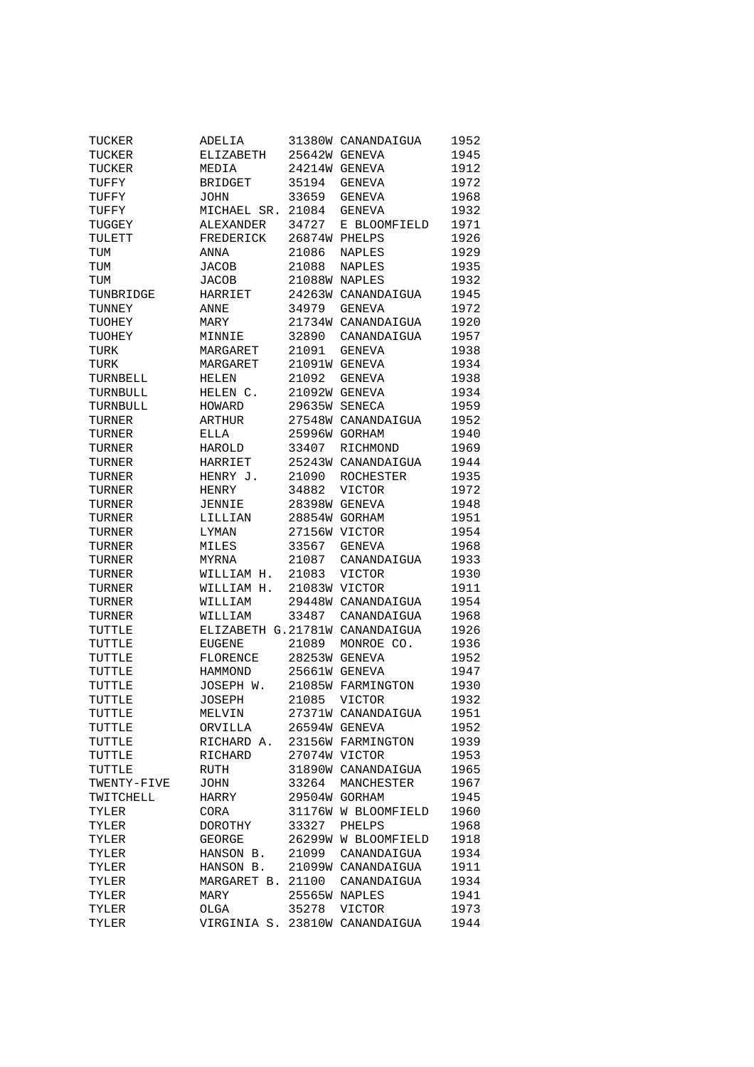| TUCKER           | ADELIA                         |               | 31380W CANANDAIGUA                | 1952 |
|------------------|--------------------------------|---------------|-----------------------------------|------|
| TUCKER           | <b>ELIZABETH</b>               |               | 25642W GENEVA                     | 1945 |
| TUCKER           | MEDIA                          | 24214W        | <b>GENEVA</b>                     | 1912 |
| TUFFY            | <b>BRIDGET</b>                 | 35194         | GENEVA                            | 1972 |
| TUFFY            | JOHN                           | 33659         | <b>GENEVA</b>                     | 1968 |
| TUFFY            | MICHAEL SR.                    | 21084         | <b>GENEVA</b>                     | 1932 |
| TUGGEY           | ALEXANDER                      | 34727         | E BLOOMFIELD                      | 1971 |
| TULETT           | FREDERICK                      | 26874W PHELPS |                                   | 1926 |
| TUM              | <b>ANNA</b>                    | 21086         | <b>NAPLES</b>                     | 1929 |
| TUM              | <b>JACOB</b>                   | 21088         | <b>NAPLES</b>                     | 1935 |
| TUM              | JACOB                          | 21088W        | <b>NAPLES</b>                     | 1932 |
| TUNBRIDGE        | HARRIET                        |               | 24263W CANANDAIGUA                | 1945 |
| TUNNEY           | ANNE                           | 34979         | <b>GENEVA</b>                     | 1972 |
| TUOHEY           | MARY                           |               | 21734W CANANDAIGUA                | 1920 |
| TUOHEY           | MINNIE                         | 32890         | CANANDAIGUA                       | 1957 |
| TURK             | MARGARET                       | 21091         | GENEVA                            | 1938 |
| TURK             | MARGARET                       |               | 21091W GENEVA                     | 1934 |
| TURNBELL         | HELEN                          | 21092         | GENEVA                            | 1938 |
| TURNBULL         | HELEN C.                       |               | 21092W GENEVA                     | 1934 |
| TURNBULL         | HOWARD                         |               | 29635W SENECA                     | 1959 |
| TURNER           | ARTHUR                         |               | 27548W CANANDAIGUA                | 1952 |
| TURNER           | ELLA                           |               | 25996W GORHAM                     | 1940 |
| TURNER           | HAROLD                         | 33407         | RICHMOND                          | 1969 |
| TURNER           | <b>HARRIET</b>                 |               | 25243W CANANDAIGUA                | 1944 |
| TURNER           | HENRY J.                       | 21090         | ROCHESTER                         | 1935 |
| TURNER           | HENRY                          | 34882         | VICTOR                            | 1972 |
| TURNER           | JENNIE                         | 28398W GENEVA |                                   | 1948 |
|                  | LILLIAN                        |               | 28854W GORHAM                     | 1951 |
| TURNER<br>TURNER | LYMAN                          |               | 27156W VICTOR                     | 1954 |
| TURNER           | MILES                          | 33567         | <b>GENEVA</b>                     | 1968 |
| TURNER           | MYRNA                          | 21087         | CANANDAIGUA                       | 1933 |
| TURNER           | WILLIAM H.                     | 21083         | VICTOR                            | 1930 |
| TURNER           | WILLIAM H.                     | 21083W VICTOR |                                   | 1911 |
| TURNER           | WILLIAM                        |               | 29448W CANANDAIGUA                | 1954 |
| TURNER           | WILLIAM                        | 33487         | CANANDAIGUA                       | 1968 |
| TUTTLE           |                                |               | ELIZABETH G.21781W CANANDAIGUA    | 1926 |
| TUTTLE           | <b>EUGENE</b>                  | 21089         | MONROE CO.                        | 1936 |
| TUTTLE           | FLORENCE                       |               | 28253W GENEVA                     | 1952 |
| TUTTLE           | HAMMOND                        |               | 25661W GENEVA                     | 1947 |
| TUTTLE           | JOSEPH W.                      |               | 21085W FARMINGTON                 | 1930 |
| TUTTLE           | <b>JOSEPH</b>                  | 21085         | VICTOR                            | 1932 |
| TUTTLE           | MELVIN                         |               | 27371W CANANDAIGUA                | 1951 |
| TUTTLE           | ORVILLA                        |               | 26594W GENEVA                     | 1952 |
| TUTTLE           | RICHARD A.                     |               | 23156W FARMINGTON                 | 1939 |
| TUTTLE           | <b>RICHARD</b>                 |               | 27074W VICTOR                     | 1953 |
| TUTTLE           | RUTH                           |               | 31890W CANANDAIGUA                | 1965 |
| TWENTY-FIVE      | JOHN                           | 33264         | MANCHESTER                        | 1967 |
| TWITCHELL        |                                |               | 29504W GORHAM                     | 1945 |
| TYLER            | HARRY<br>CORA                  |               | 31176W W BLOOMFIELD               | 1960 |
| TYLER            |                                | 33327         | PHELPS                            | 1968 |
|                  | DOROTHY                        |               |                                   |      |
| TYLER            | GEORGE                         | 21099         | 26299W W BLOOMFIELD               | 1918 |
| TYLER            | HANSON B.                      |               | CANANDAIGUA<br>21099W CANANDAIGUA | 1934 |
| TYLER            | HANSON B.                      |               |                                   | 1911 |
| TYLER            | MARGARET B.                    | 21100         | CANANDAIGUA                       | 1934 |
| TYLER            | MARY                           | 25565W NAPLES |                                   | 1941 |
| TYLER            | OLGA                           | 35278         | VICTOR                            | 1973 |
| TYLER            | VIRGINIA S. 23810W CANANDAIGUA |               |                                   | 1944 |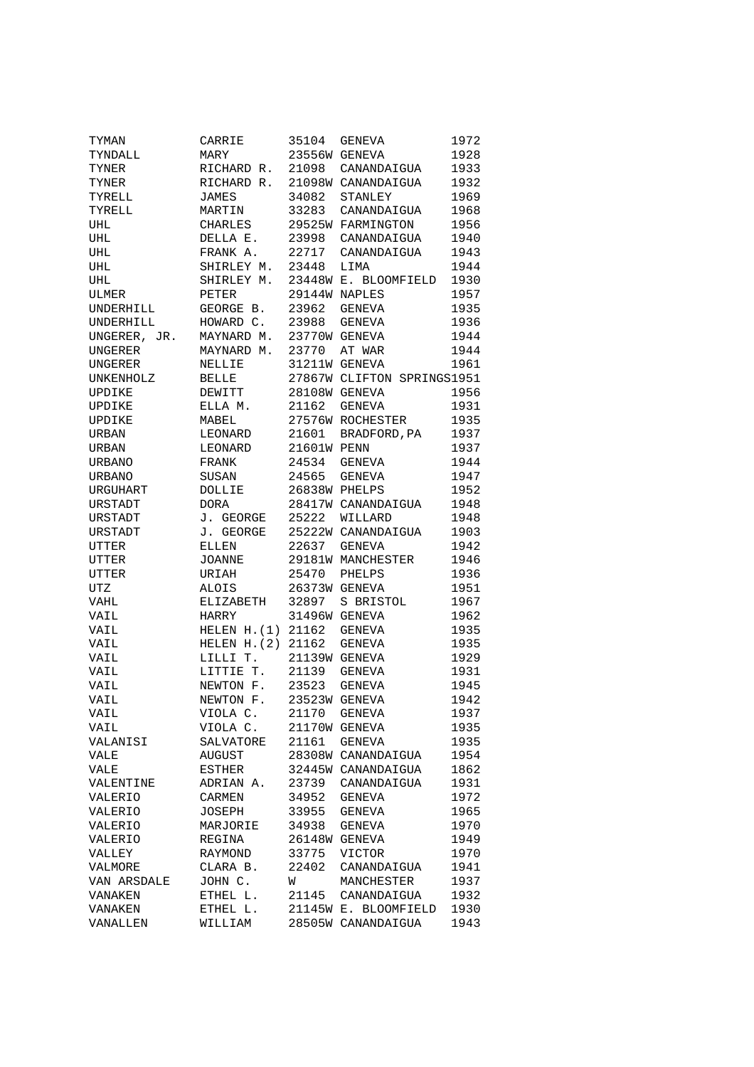| TYMAN         | CARRIE                    | 35104       | GENEVA                     | 1972 |
|---------------|---------------------------|-------------|----------------------------|------|
| TYNDALL       | MARY                      |             | 23556W GENEVA              | 1928 |
| <b>TYNER</b>  | RICHARD R.                | 21098       | CANANDAIGUA                | 1933 |
| TYNER         | RICHARD R.                |             | 21098W CANANDAIGUA         | 1932 |
| TYRELL        | JAMES                     | 34082       | STANLEY                    | 1969 |
| TYRELL        | MARTIN                    | 33283       | CANANDAIGUA                | 1968 |
| UHL           | CHARLES                   |             | 29525W FARMINGTON          | 1956 |
| UHL           | DELLA E.                  | 23998       | CANANDAIGUA                | 1940 |
| UHL           | FRANK A.                  | 22717       | CANANDAIGUA                | 1943 |
| UHL           | SHIRLEY M.                | 23448       | LIMA                       | 1944 |
| UHL           | SHIRLEY M.                |             | 23448W E. BLOOMFIELD       | 1930 |
| ULMER         | PETER                     |             | 29144W NAPLES              | 1957 |
| UNDERHILL     | GEORGE B.                 | 23962       | GENEVA                     | 1935 |
| UNDERHILL     | HOWARD C.                 | 23988       | GENEVA                     | 1936 |
| UNGERER, JR.  | MAYNARD M.                |             | 23770W GENEVA              | 1944 |
| UNGERER       | MAYNARD M.                | 23770       | AT WAR                     | 1944 |
| UNGERER       | NELLIE                    |             | 31211W GENEVA              | 1961 |
| UNKENHOLZ     | <b>BELLE</b>              |             | 27867W CLIFTON SPRINGS1951 |      |
| UPDIKE        | DEWITT                    |             | 28108W GENEVA              |      |
|               |                           | 21162       |                            | 1956 |
| UPDIKE        | ELLA M.                   |             | GENEVA                     | 1931 |
| UPDIKE        | MABEL                     |             | 27576W ROCHESTER           | 1935 |
| URBAN         | LEONARD                   |             | 21601 BRADFORD, PA         | 1937 |
| <b>URBAN</b>  | LEONARD                   | 21601W PENN |                            | 1937 |
| URBANO        | FRANK                     |             | 24534 GENEVA               | 1944 |
| <b>URBANO</b> | SUSAN                     |             | 24565 GENEVA               | 1947 |
| URGUHART      | DOLLIE                    |             | 26838W PHELPS              | 1952 |
| URSTADT       | DORA                      |             | 28417W CANANDAIGUA         | 1948 |
| URSTADT       | J. GEORGE                 | 25222       | WILLARD                    | 1948 |
| URSTADT       | J. GEORGE                 |             | 25222W CANANDAIGUA         | 1903 |
| UTTER         | ELLEN                     |             | 22637 GENEVA               | 1942 |
| UTTER         | JOANNE                    |             | 29181W MANCHESTER          | 1946 |
| UTTER         | URIAH                     | 25470       | PHELPS                     | 1936 |
| UTZ           | ALOIS                     |             | 26373W GENEVA              | 1951 |
| VAHL          | ELIZABETH                 | 32897       | S BRISTOL                  | 1967 |
| VAIL          | HARRY                     |             | 31496W GENEVA              | 1962 |
| VAIL          | HELEN H. (1) 21162        |             | GENEVA                     | 1935 |
| VAIL          | HELEN H. (2) 21162 GENEVA |             |                            | 1935 |
| VAIL          | LILLI T.                  |             | 21139W GENEVA              | 1929 |
| VAIL          | LITTIE T.                 | 21139       | GENEVA                     | 1931 |
| VAIL          | NEWTON F.                 | 23523       | <b>GENEVA</b>              | 1945 |
| VAIL          | NEWTON F.                 |             | 23523W GENEVA              | 1942 |
| VAIL          | VIOLA C.                  |             | 21170 GENEVA               | 1937 |
| VAIL          | VIOLA C.                  |             | 21170W GENEVA              | 1935 |
| VALANISI      | SALVATORE                 |             | 21161 GENEVA               | 1935 |
| VALE          | AUGUST                    |             | 28308W CANANDAIGUA         | 1954 |
| VALE          | ESTHER                    |             | 32445W CANANDAIGUA         | 1862 |
| VALENTINE     | ADRIAN A.                 |             | 23739 CANANDAIGUA          | 1931 |
| VALERIO       | CARMEN                    | 34952       | GENEVA                     | 1972 |
| VALERIO       | JOSEPH                    |             | 33955 GENEVA               | 1965 |
| VALERIO       | MARJORIE                  | 34938       | GENEVA                     | 1970 |
| VALERIO       | REGINA                    |             | 26148W GENEVA              | 1949 |
| VALLEY        | RAYMOND                   | 33775       | VICTOR                     | 1970 |
| VALMORE       | CLARA B.                  |             | 22402 CANANDAIGUA          | 1941 |
| VAN ARSDALE   | JOHN C.                   | W           | MANCHESTER                 | 1937 |
| VANAKEN       | ETHEL L.                  |             | 21145 CANANDAIGUA          | 1932 |
| VANAKEN       | ETHEL L.                  |             | 21145W E. BLOOMFIELD       | 1930 |
| VANALLEN      | WILLIAM                   |             | 28505W CANANDAIGUA         | 1943 |
|               |                           |             |                            |      |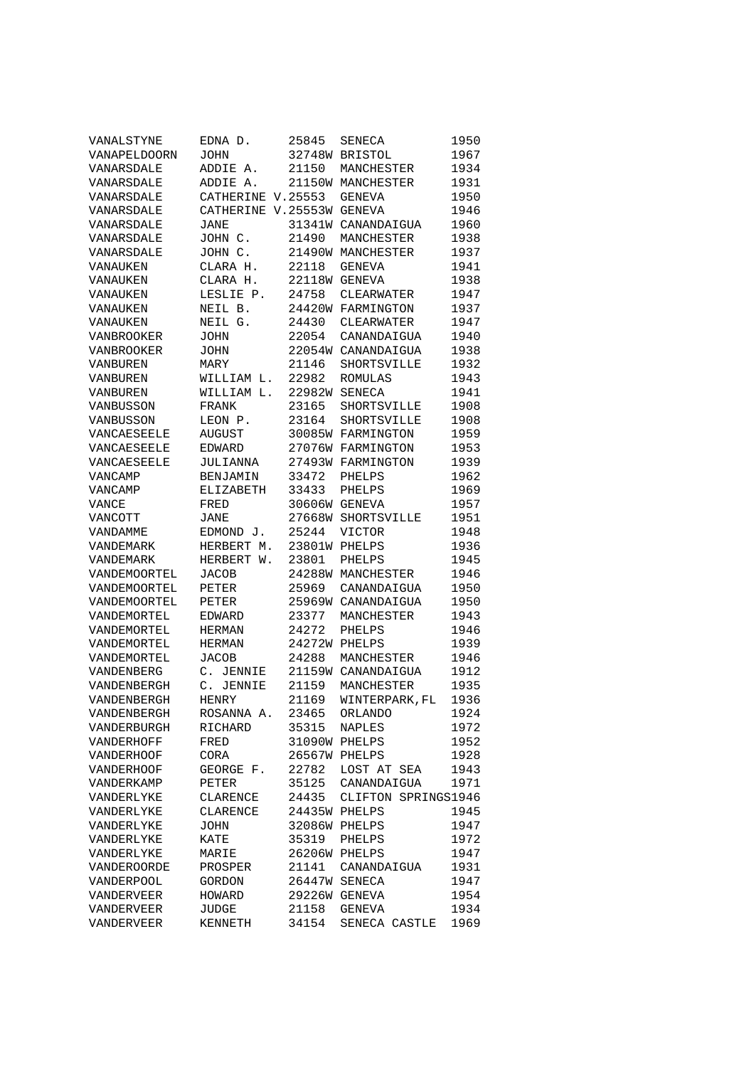| VANALSTYNE        | EDNA D.            | 25845         | SENECA              | 1950 |
|-------------------|--------------------|---------------|---------------------|------|
| VANAPELDOORN      | <b>JOHN</b>        | 32748W        | <b>BRISTOL</b>      | 1967 |
| VANARSDALE        | ADDIE A.           | 21150         | MANCHESTER          | 1934 |
| VANARSDALE        | ADDIE A.           | 21150W        | MANCHESTER          | 1931 |
| VANARSDALE        | CATHERINE          | V.25553       | <b>GENEVA</b>       | 1950 |
| VANARSDALE        | CATHERINE V.25553W |               | <b>GENEVA</b>       | 1946 |
| VANARSDALE        | JANE               |               | 31341W CANANDAIGUA  | 1960 |
| VANARSDALE        | JOHN C.            | 21490         | MANCHESTER          | 1938 |
| VANARSDALE        | JOHN C.            | 21490W        | MANCHESTER          | 1937 |
| VANAUKEN          | CLARA H.           | 22118         | <b>GENEVA</b>       | 1941 |
| VANAUKEN          | CLARA H.           | 22118W        | <b>GENEVA</b>       | 1938 |
| VANAUKEN          | LESLIE P.          | 24758         | CLEARWATER          | 1947 |
| VANAUKEN          | NEIL B.            | 24420W        | FARMINGTON          | 1937 |
| VANAUKEN          | NEIL G.            | 24430         | CLEARWATER          | 1947 |
| VANBROOKER        | JOHN               | 22054         | CANANDAIGUA         | 1940 |
| VANBROOKER        | JOHN               | 22054W        | CANANDAIGUA         | 1938 |
| VANBUREN          | MARY               | 21146         | SHORTSVILLE         | 1932 |
| VANBUREN          | WILLIAM L.         | 22982         | ROMULAS             | 1943 |
| VANBUREN          | WILLIAM L.         | 22982W        | <b>SENECA</b>       | 1941 |
| VANBUSSON         | <b>FRANK</b>       | 23165         | SHORTSVILLE         | 1908 |
| VANBUSSON         | LEON P.            | 23164         | SHORTSVILLE         | 1908 |
| VANCAESEELE       | <b>AUGUST</b>      | 30085W        | FARMINGTON          | 1959 |
| VANCAESEELE       | EDWARD             | 27076W        | FARMINGTON          | 1953 |
| VANCAESEELE       | JULIANNA           | 27493W        | FARMINGTON          | 1939 |
| <b>VANCAMP</b>    | BENJAMIN           | 33472         | PHELPS              | 1962 |
| <b>VANCAMP</b>    | ELIZABETH          | 33433         | PHELPS              | 1969 |
| VANCE             | FRED               |               | 30606W GENEVA       | 1957 |
| VANCOTT           | JANE               | 27668W        | SHORTSVILLE         | 1951 |
| VANDAMME          | EDMOND J.          | 25244         | VICTOR              | 1948 |
| VANDEMARK         | HERBERT M.         | 23801W        | PHELPS              | 1936 |
| VANDEMARK         | HERBERT<br>W.      | 23801         | PHELPS              | 1945 |
| VANDEMOORTEL      | JACOB              |               | 24288W MANCHESTER   | 1946 |
| VANDEMOORTEL      | PETER              | 25969         | CANANDAIGUA         | 1950 |
| VANDEMOORTEL      | PETER              | 25969W        | CANANDAIGUA         | 1950 |
| VANDEMORTEL       | EDWARD             | 23377         | MANCHESTER          | 1943 |
| VANDEMORTEL       | <b>HERMAN</b>      | 24272         | PHELPS              | 1946 |
| VANDEMORTEL       | <b>HERMAN</b>      | 24272W        | PHELPS              | 1939 |
| VANDEMORTEL       | <b>JACOB</b>       | 24288         | MANCHESTER          | 1946 |
| VANDENBERG        | C. JENNIE          |               | 21159W CANANDAIGUA  | 1912 |
| VANDENBERGH       | C. JENNIE          | 21159         | MANCHESTER          | 1935 |
| VANDENBERGH       | HENRY              | 21169         | WINTERPARK, FL      | 1936 |
| VANDENBERGH       | ROSANNA A.         | 23465         | ORLANDO             | 1924 |
| VANDERBURGH       | RICHARD            | 35315         | NAPLES              | 1972 |
| VANDERHOFF        | FRED               |               | 31090W PHELPS       | 1952 |
| <b>VANDERHOOF</b> | CORA               |               | 26567W PHELPS       | 1928 |
| <b>VANDERHOOF</b> | GEORGE F.          | 22782         | LOST AT SEA         | 1943 |
| VANDERKAMP        | PETER              | 35125         | CANANDAIGUA         | 1971 |
| VANDERLYKE        | CLARENCE           | 24435         | CLIFTON SPRINGS1946 |      |
| VANDERLYKE        | CLARENCE           | 24435W PHELPS |                     | 1945 |
| VANDERLYKE        | JOHN               |               | 32086W PHELPS       | 1947 |
| VANDERLYKE        | KATE               | 35319         | PHELPS              | 1972 |
| VANDERLYKE        | MARIE              |               | 26206W PHELPS       | 1947 |
| VANDEROORDE       | PROSPER            | 21141         | CANANDAIGUA         | 1931 |
| VANDERPOOL        | GORDON             |               | 26447W SENECA       | 1947 |
| VANDERVEER        | HOWARD             |               | 29226W GENEVA       | 1954 |
| VANDERVEER        | JUDGE              | 21158         | GENEVA              | 1934 |
| VANDERVEER        | KENNETH            | 34154         | SENECA CASTLE       | 1969 |
|                   |                    |               |                     |      |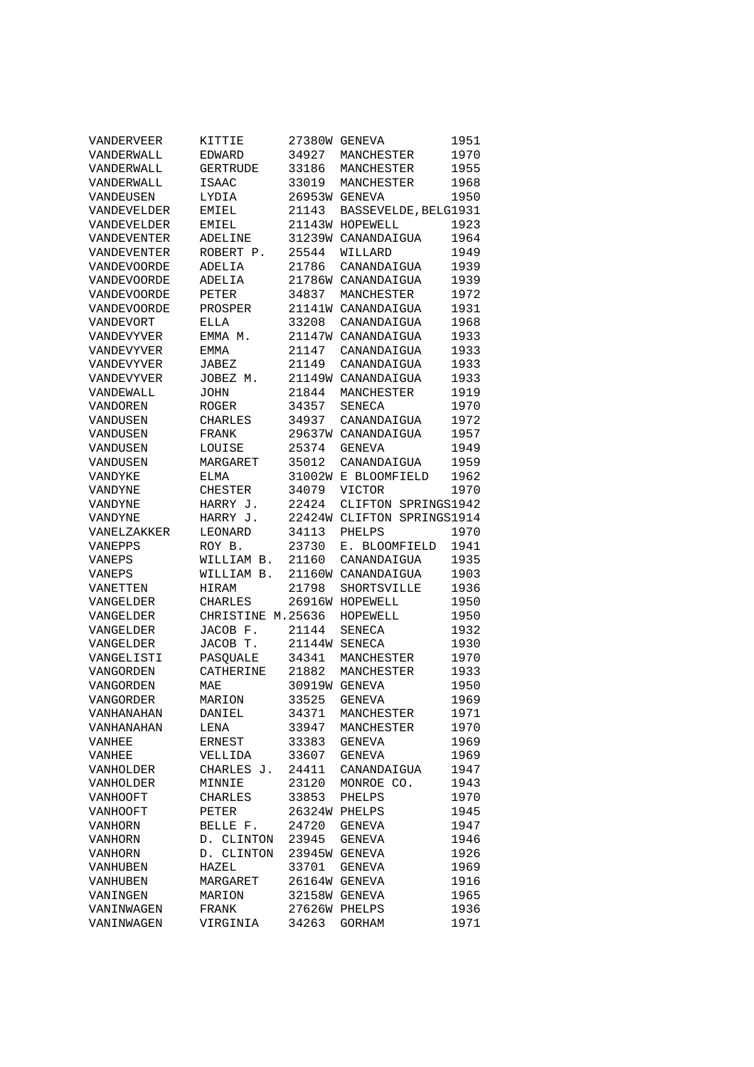| VANDERVEER         | KITTIE            | 27380W | GENEVA               | 1951 |
|--------------------|-------------------|--------|----------------------|------|
| VANDERWALL         | EDWARD            | 34927  | MANCHESTER           | 1970 |
| VANDERWALL         | <b>GERTRUDE</b>   | 33186  | MANCHESTER           | 1955 |
| VANDERWALL         | ISAAC             | 33019  | MANCHESTER           | 1968 |
| VANDEUSEN          | LYDIA             | 26953W | <b>GENEVA</b>        | 1950 |
| VANDEVELDER        | EMIEL             | 21143  | BASSEVELDE, BELG1931 |      |
| VANDEVELDER        | EMIEL             | 21143W | HOPEWELL             | 1923 |
| VANDEVENTER        | ADELINE           | 31239W | CANANDAIGUA          | 1964 |
| VANDEVENTER        | ROBERT P.         | 25544  | WILLARD              | 1949 |
| <b>VANDEVOORDE</b> | ADELIA            | 21786  | CANANDAIGUA          | 1939 |
| <b>VANDEVOORDE</b> | ADELIA            | 21786W | CANANDAIGUA          | 1939 |
| <b>VANDEVOORDE</b> | PETER             | 34837  | MANCHESTER           | 1972 |
| <b>VANDEVOORDE</b> | PROSPER           | 21141W | CANANDAIGUA          | 1931 |
| VANDEVORT          | ELLA              | 33208  | CANANDAIGUA          | 1968 |
| VANDEVYVER         | EMMA M.           | 21147W | CANANDAIGUA          | 1933 |
| VANDEVYVER         | <b>EMMA</b>       | 21147  | CANANDAIGUA          | 1933 |
| VANDEVYVER         | JABEZ             | 21149  | CANANDAIGUA          | 1933 |
| VANDEVYVER         | JOBEZ M.          | 21149W | CANANDAIGUA          | 1933 |
| VANDEWALL          | JOHN              | 21844  | MANCHESTER           | 1919 |
| <b>VANDOREN</b>    | ROGER             | 34357  | SENECA               | 1970 |
| VANDUSEN           | CHARLES           | 34937  | CANANDAIGUA          | 1972 |
| <b>VANDUSEN</b>    | <b>FRANK</b>      | 29637W | CANANDAIGUA          | 1957 |
| VANDUSEN           | LOUISE            | 25374  | <b>GENEVA</b>        | 1949 |
| VANDUSEN           | MARGARET          | 35012  | CANANDAIGUA          | 1959 |
| VANDYKE            | ELMA              | 31002W | E BLOOMFIELD         | 1962 |
| VANDYNE            | CHESTER           | 34079  | <b>VICTOR</b>        | 1970 |
| VANDYNE            | HARRY J.          | 22424  | CLIFTON SPRINGS1942  |      |
| VANDYNE            | HARRY J.          | 22424W | CLIFTON SPRINGS1914  |      |
| VANELZAKKER        | LEONARD           | 34113  | PHELPS               | 1970 |
| VANEPPS            | ROY B.            | 23730  | E. BLOOMFIELD        | 1941 |
| VANEPS             | WILLIAM B.        | 21160  | CANANDAIGUA          | 1935 |
| VANEPS             | WILLIAM B.        | 21160W | CANANDAIGUA          | 1903 |
| VANETTEN           | HIRAM             | 21798  | SHORTSVILLE          | 1936 |
| VANGELDER          | CHARLES           |        | 26916W HOPEWELL      | 1950 |
| VANGELDER          | CHRISTINE M.25636 |        | HOPEWELL             | 1950 |
| VANGELDER          | JACOB F.          | 21144  | SENECA               | 1932 |
| VANGELDER          | JACOB T.          | 21144W | SENECA               | 1930 |
| VANGELISTI         | PASQUALE          | 34341  | MANCHESTER           | 1970 |
| VANGORDEN          | CATHERINE         | 21882  | MANCHESTER           | 1933 |
| VANGORDEN          | MAE               | 30919W | <b>GENEVA</b>        | 1950 |
| VANGORDER          | MARION            | 33525  | GENEVA               | 1969 |
| VANHANAHAN         | DANIEL            | 34371  | MANCHESTER           | 1971 |
| VANHANAHAN         | LENA              | 33947  | MANCHESTER           | 1970 |
| VANHEE             | ERNEST            | 33383  | GENEVA               | 1969 |
| VANHEE             | VELLIDA           | 33607  | GENEVA               | 1969 |
| VANHOLDER          | CHARLES J.        | 24411  | CANANDAIGUA          | 1947 |
| VANHOLDER          | MINNIE            | 23120  | MONROE CO.           | 1943 |
| VANHOOFT           | CHARLES           | 33853  | PHELPS               | 1970 |
| VANHOOFT           | PETER             | 26324W | PHELPS               | 1945 |
| VANHORN            | BELLE F.          | 24720  | GENEVA               | 1947 |
| VANHORN            | D. CLINTON        | 23945  | GENEVA               | 1946 |
| VANHORN            | D. CLINTON        |        | 23945W GENEVA        | 1926 |
| VANHUBEN           | HAZEL             | 33701  | GENEVA               | 1969 |
| VANHUBEN           | MARGARET          |        | 26164W GENEVA        | 1916 |
| VANINGEN           | MARION            |        | 32158W GENEVA        | 1965 |
| VANINWAGEN         | FRANK             | 27626W | PHELPS               | 1936 |
| VANINWAGEN         | VIRGINIA          | 34263  | GORHAM               | 1971 |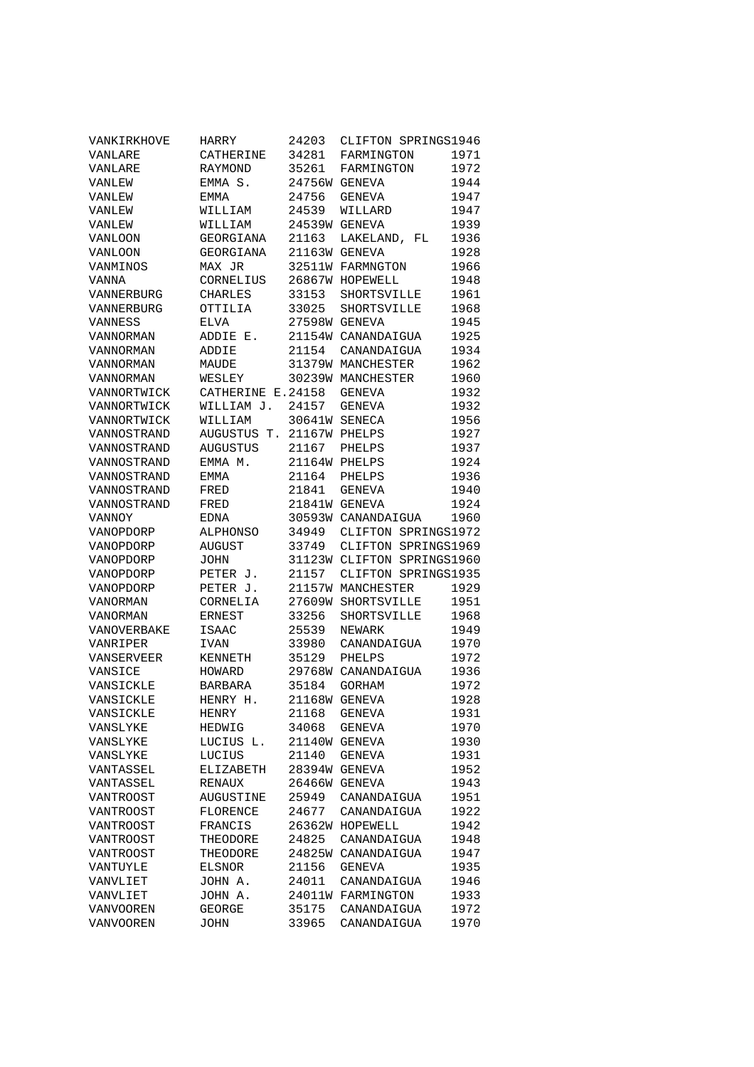| VANKIRKHOVE      | HARRY             | 24203  | CLIFTON SPRINGS1946        |      |
|------------------|-------------------|--------|----------------------------|------|
| VANLARE          | CATHERINE         | 34281  | FARMINGTON                 | 1971 |
| VANLARE          | RAYMOND           | 35261  | FARMINGTON                 | 1972 |
| VANLEW           | EMMA S.           | 24756W | <b>GENEVA</b>              | 1944 |
| VANLEW           | EMMA              | 24756  | GENEVA                     | 1947 |
| VANLEW           | WILLIAM           | 24539  | WILLARD                    | 1947 |
| VANLEW           | WILLIAM           | 24539W | <b>GENEVA</b>              | 1939 |
| <b>VANLOON</b>   | GEORGIANA         | 21163  | LAKELAND,<br>FL            | 1936 |
| <b>VANLOON</b>   | GEORGIANA         | 21163W | <b>GENEVA</b>              | 1928 |
| VANMINOS         | MAX JR            | 32511W | FARMNGTON                  | 1966 |
| <b>VANNA</b>     | CORNELIUS         | 26867W | HOPEWELL                   | 1948 |
| VANNERBURG       | CHARLES           | 33153  | SHORTSVILLE                | 1961 |
| VANNERBURG       | OTTILIA           | 33025  | SHORTSVILLE                | 1968 |
| VANNESS          | <b>ELVA</b>       |        | 27598W GENEVA              | 1945 |
| VANNORMAN        | ADDIE E.          |        | 21154W CANANDAIGUA         | 1925 |
| VANNORMAN        | ADDIE             | 21154  | CANANDAIGUA                | 1934 |
| VANNORMAN        | MAUDE             |        | 31379W MANCHESTER          | 1962 |
| VANNORMAN        | WESLEY            | 30239W | MANCHESTER                 | 1960 |
| VANNORTWICK      | CATHERINE E.24158 |        | GENEVA                     | 1932 |
| VANNORTWICK      | WILLIAM J.        | 24157  | <b>GENEVA</b>              | 1932 |
| VANNORTWICK      | WILLIAM           | 30641W | SENECA                     | 1956 |
| VANNOSTRAND      | AUGUSTUS T.       | 21167W | PHELPS                     | 1927 |
| VANNOSTRAND      | <b>AUGUSTUS</b>   | 21167  | PHELPS                     | 1937 |
| VANNOSTRAND      | EMMA M.           | 21164W | PHELPS                     | 1924 |
| VANNOSTRAND      | EMMA              | 21164  | PHELPS                     | 1936 |
| VANNOSTRAND      | FRED              | 21841  | GENEVA                     | 1940 |
| VANNOSTRAND      | FRED              |        | 21841W GENEVA              | 1924 |
| VANNOY           | EDNA              | 30593W | CANANDAIGUA                | 1960 |
| VANOPDORP        | <b>ALPHONSO</b>   | 34949  | CLIFTON SPRINGS1972        |      |
| VANOPDORP        | <b>AUGUST</b>     | 33749  | CLIFTON SPRINGS1969        |      |
| VANOPDORP        | JOHN              |        | 31123W CLIFTON SPRINGS1960 |      |
| VANOPDORP        | PETER J.          | 21157  | CLIFTON SPRINGS1935        |      |
| VANOPDORP        | PETER J.          |        | 21157W MANCHESTER          | 1929 |
| VANORMAN         | CORNELIA          | 27609W | SHORTSVILLE                | 1951 |
| <b>VANORMAN</b>  | <b>ERNEST</b>     | 33256  | SHORTSVILLE                | 1968 |
| VANOVERBAKE      | <b>ISAAC</b>      | 25539  | NEWARK                     | 1949 |
| VANRIPER         | IVAN              | 33980  | CANANDAIGUA                | 1970 |
| VANSERVEER       | KENNETH           | 35129  | PHELPS                     | 1972 |
| VANSICE          | HOWARD            | 29768W | CANANDAIGUA                | 1936 |
| VANSICKLE        | <b>BARBARA</b>    | 35184  | GORHAM                     | 1972 |
| VANSICKLE        | HENRY H.          |        | 21168W GENEVA              | 1928 |
| VANSICKLE        | HENRY             | 21168  | <b>GENEVA</b>              | 1931 |
| VANSLYKE         | HEDWIG            | 34068  | GENEVA                     | 1970 |
| VANSLYKE         | LUCIUS L.         | 21140W | GENEVA                     | 1930 |
| VANSLYKE         | LUCIUS            | 21140  | GENEVA                     | 1931 |
| VANTASSEL        | ELIZABETH         | 28394W | <b>GENEVA</b>              | 1952 |
| VANTASSEL        | RENAUX            | 26466W | <b>GENEVA</b>              | 1943 |
| VANTROOST        | <b>AUGUSTINE</b>  | 25949  | CANANDAIGUA                | 1951 |
| <b>VANTROOST</b> | FLORENCE          | 24677  | CANANDAIGUA                | 1922 |
| VANTROOST        | FRANCIS           | 26362W | HOPEWELL                   | 1942 |
| <b>VANTROOST</b> | THEODORE          | 24825  | CANANDAIGUA                | 1948 |
| VANTROOST        | THEODORE          | 24825W | CANANDAIGUA                | 1947 |
| VANTUYLE         | ELSNOR            | 21156  | GENEVA                     | 1935 |
| VANVLIET         | JOHN A.           | 24011  | CANANDAIGUA                | 1946 |
| VANVLIET         | JOHN A.           | 24011W | FARMINGTON                 | 1933 |
| <b>VANVOOREN</b> | <b>GEORGE</b>     | 35175  | CANANDAIGUA                | 1972 |
| VANVOOREN        | <b>JOHN</b>       | 33965  | CANANDAIGUA                | 1970 |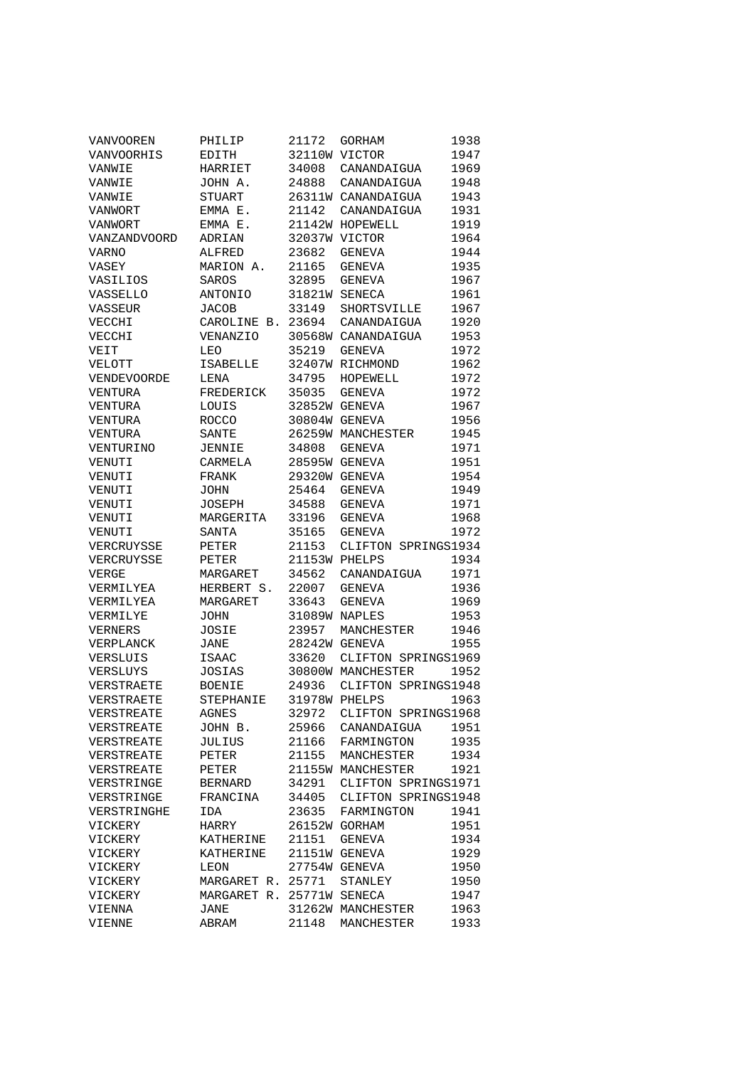| VANVOOREN      | PHILIP                    | 21172  | GORHAM                    | 1938 |
|----------------|---------------------------|--------|---------------------------|------|
| VANVOORHIS     | EDITH                     | 32110W | <b>VICTOR</b>             | 1947 |
| VANWIE         | HARRIET                   | 34008  | CANANDAIGUA               | 1969 |
| VANWIE         | JOHN A.                   | 24888  | CANANDAIGUA               | 1948 |
| VANWIE         | STUART                    | 26311W | CANANDAIGUA               | 1943 |
| VANWORT        | EMMA E.                   | 21142  | CANANDAIGUA               | 1931 |
| VANWORT        | EMMA E.                   | 21142W | HOPEWELL                  | 1919 |
| VANZANDVOORD   | ADRIAN                    | 32037W | <b>VICTOR</b>             | 1964 |
| <b>VARNO</b>   | ALFRED                    | 23682  | <b>GENEVA</b>             | 1944 |
| VASEY          | MARION A.                 | 21165  | GENEVA                    | 1935 |
| VASILIOS       | <b>SAROS</b>              | 32895  | GENEVA                    | 1967 |
| VASSELLO       | <b>ANTONIO</b>            | 31821W | SENECA                    | 1961 |
| VASSEUR        | JACOB                     | 33149  | SHORTSVILLE               | 1967 |
| VECCHI         | CAROLINE B.               | 23694  | CANANDAIGUA               | 1920 |
| VECCHI         | VENANZIO                  | 30568W | CANANDAIGUA               | 1953 |
| VEIT           | LEO                       | 35219  | <b>GENEVA</b>             | 1972 |
| VELOTT         | ISABELLE                  | 32407W | RICHMOND                  | 1962 |
| VENDEVOORDE    | LENA                      | 34795  | HOPEWELL                  | 1972 |
| VENTURA        | FREDERICK                 | 35035  | <b>GENEVA</b>             | 1972 |
| VENTURA        | LOUIS                     | 32852W | <b>GENEVA</b>             | 1967 |
| <b>VENTURA</b> | <b>ROCCO</b>              | 30804W | <b>GENEVA</b>             | 1956 |
| VENTURA        | SANTE                     | 26259W | MANCHESTER                | 1945 |
| VENTURINO      | JENNIE                    | 34808  | <b>GENEVA</b>             | 1971 |
| VENUTI         | CARMELA                   | 28595W | <b>GENEVA</b>             | 1951 |
| VENUTI         | FRANK                     | 29320W | <b>GENEVA</b>             | 1954 |
| VENUTI         | JOHN                      | 25464  | <b>GENEVA</b>             | 1949 |
| VENUTI         | <b>JOSEPH</b>             | 34588  | GENEVA                    | 1971 |
| VENUTI         | MARGERITA                 | 33196  | GENEVA                    | 1968 |
| VENUTI         | SANTA                     | 35165  | GENEVA                    | 1972 |
| VERCRUYSSE     | PETER                     | 21153  | CLIFTON SPRINGS1934       |      |
| VERCRUYSSE     | PETER                     | 21153W | PHELPS                    | 1934 |
| VERGE          | MARGARET                  | 34562  | CANANDAIGUA               | 1971 |
| VERMILYEA      | HERBERT S.                | 22007  | <b>GENEVA</b>             | 1936 |
| VERMILYEA      | MARGARET                  | 33643  | GENEVA                    | 1969 |
| VERMILYE       | JOHN                      | 31089W | NAPLES                    | 1953 |
| VERNERS        | JOSIE                     | 23957  | MANCHESTER                | 1946 |
| VERPLANCK      | JANE                      | 28242W | <b>GENEVA</b>             | 1955 |
| VERSLUIS       | <b>ISAAC</b>              | 33620  | CLIFTON SPRINGS1969       |      |
| VERSLUYS       | <b>JOSIAS</b>             | 30800W | MANCHESTER                | 1952 |
| VERSTRAETE     | <b>BOENIE</b>             | 24936  | CLIFTON SPRINGS1948       |      |
| VERSTRAETE     | STEPHANIE                 |        | 31978W PHELPS             | 1963 |
| VERSTREATE     | AGNES                     |        | 32972 CLIFTON SPRINGS1968 |      |
| VERSTREATE     | JOHN B.                   | 25966  | CANANDAIGUA               | 1951 |
| VERSTREATE     | JULIUS                    | 21166  | FARMINGTON                | 1935 |
| VERSTREATE     | PETER                     | 21155  | MANCHESTER                | 1934 |
| VERSTREATE     | PETER                     |        | 21155W MANCHESTER         | 1921 |
| VERSTRINGE     | BERNARD                   | 34291  | CLIFTON SPRINGS1971       |      |
| VERSTRINGE     | FRANCINA                  | 34405  | CLIFTON SPRINGS1948       |      |
| VERSTRINGHE    | IDA                       | 23635  | FARMINGTON                | 1941 |
| VICKERY        | HARRY                     |        | 26152W GORHAM             | 1951 |
| VICKERY        | KATHERINE                 | 21151  | GENEVA                    | 1934 |
| VICKERY        | KATHERINE                 |        | 21151W GENEVA             | 1929 |
| VICKERY        | LEON                      |        | 27754W GENEVA             | 1950 |
| VICKERY        | MARGARET R. 25771         |        | STANLEY                   | 1950 |
| VICKERY        | MARGARET R. 25771W SENECA |        |                           | 1947 |
| VIENNA         | JANE                      |        | 31262W MANCHESTER         | 1963 |
| VIENNE         | ABRAM                     | 21148  | MANCHESTER                | 1933 |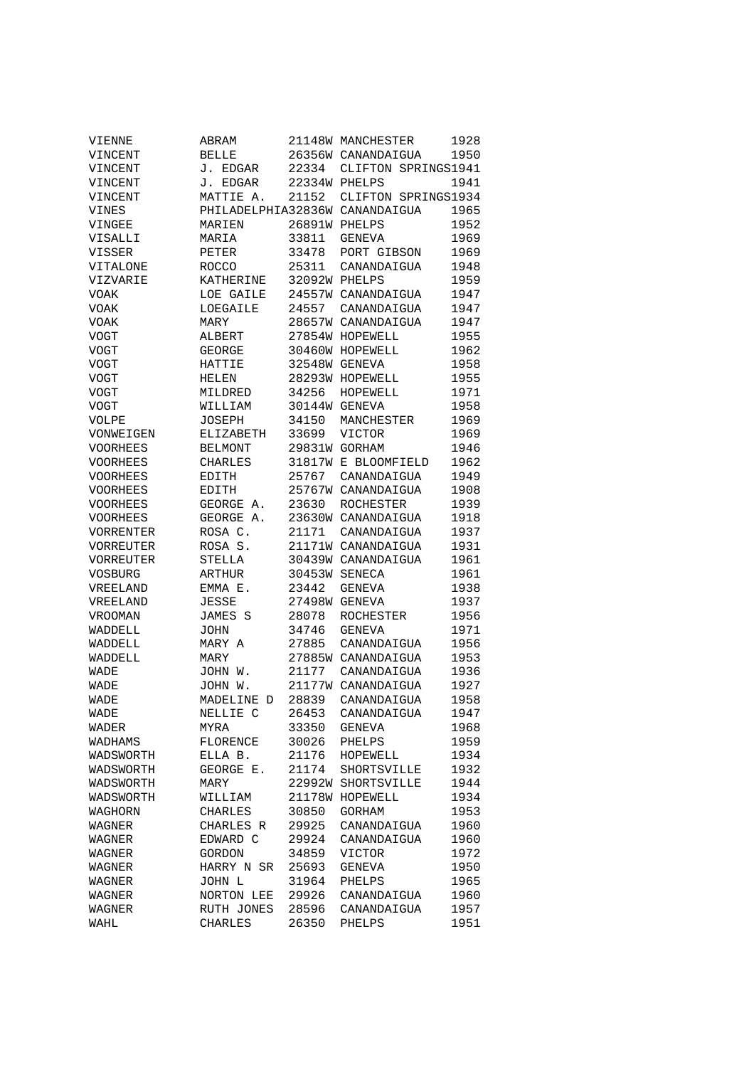| VIENNE                       | ABRAM                     |        | 21148W MANCHESTER   | 1928 |
|------------------------------|---------------------------|--------|---------------------|------|
| VINCENT                      | <b>BELLE</b>              |        | 26356W CANANDAIGUA  | 1950 |
| VINCENT                      | J. EDGAR                  | 22334  | CLIFTON SPRINGS1941 |      |
| VINCENT                      | J.<br>EDGAR               | 22334W | PHELPS              | 1941 |
| VINCENT                      | MATTIE A.                 | 21152  | CLIFTON SPRINGS1934 |      |
| VINES                        | PHILADELPHIA32836W        |        | CANANDAIGUA         | 1965 |
| VINGEE                       | MARIEN                    | 26891W | PHELPS              | 1952 |
| VISALLI                      | MARIA                     | 33811  | <b>GENEVA</b>       | 1969 |
| VISSER                       | PETER                     | 33478  | PORT GIBSON         | 1969 |
| VITALONE                     | ROCCO                     | 25311  | CANANDAIGUA         | 1948 |
| VIZVARIE                     | KATHERINE                 | 32092W | PHELPS              | 1959 |
| <b>VOAK</b>                  | LOE GAILE                 | 24557W | CANANDAIGUA         | 1947 |
| <b>VOAK</b>                  | LOEGAILE                  | 24557  | CANANDAIGUA         | 1947 |
| <b>VOAK</b>                  | MARY                      |        | 28657W CANANDAIGUA  | 1947 |
| VOGT                         | ALBERT                    |        | 27854W HOPEWELL     | 1955 |
| <b>VOGT</b>                  | GEORGE                    |        | 30460W HOPEWELL     | 1962 |
| <b>VOGT</b>                  | HATTIE                    | 32548W | <b>GENEVA</b>       | 1958 |
| <b>VOGT</b>                  | <b>HELEN</b>              | 28293W | HOPEWELL            | 1955 |
| <b>VOGT</b>                  | MILDRED                   | 34256  | HOPEWELL            | 1971 |
| <b>VOGT</b>                  | WILLIAM                   | 30144W | <b>GENEVA</b>       | 1958 |
| <b>VOLPE</b>                 | JOSEPH                    | 34150  | MANCHESTER          | 1969 |
|                              | ELIZABETH                 | 33699  | VICTOR              | 1969 |
| VONWEIGEN<br><b>VOORHEES</b> |                           | 29831W | <b>GORHAM</b>       | 1946 |
| VOORHEES                     | <b>BELMONT</b><br>CHARLES | 31817W |                     |      |
|                              |                           |        | E BLOOMFIELD        | 1962 |
| VOORHEES                     | EDITH                     | 25767  | CANANDAIGUA         | 1949 |
| <b>VOORHEES</b>              | EDITH                     | 25767W | CANANDAIGUA         | 1908 |
| VOORHEES                     | GEORGE A.                 | 23630  | ROCHESTER           | 1939 |
| VOORHEES                     | GEORGE A.                 | 23630W | CANANDAIGUA         | 1918 |
| <b>VORRENTER</b>             | ROSA C.                   | 21171  | CANANDAIGUA         | 1937 |
| VORREUTER                    | ROSA S.                   |        | 21171W CANANDAIGUA  | 1931 |
| VORREUTER                    | STELLA                    | 30439W | CANANDAIGUA         | 1961 |
| VOSBURG                      | ARTHUR                    | 30453W | SENECA              | 1961 |
| VREELAND                     | EMMA E.                   | 23442  | GENEVA              | 1938 |
| VREELAND                     | JESSE                     | 27498W | <b>GENEVA</b>       | 1937 |
| <b>VROOMAN</b>               | JAMES S                   | 28078  | ROCHESTER           | 1956 |
| WADDELL                      | JOHN                      | 34746  | GENEVA              | 1971 |
| WADDELL                      | MARY A                    | 27885  | CANANDAIGUA         | 1956 |
| WADDELL                      | MARY                      | 27885W | CANANDAIGUA         | 1953 |
| <b>WADE</b>                  | JOHN W.                   | 21177  | CANANDAIGUA         | 1936 |
| <b>WADE</b>                  | JOHN W.                   |        | 21177W CANANDAIGUA  | 1927 |
| WADE                         | MADELINE D                | 28839  | CANANDAIGUA         | 1958 |
| WADE                         | NELLIE C                  | 26453  | CANANDAIGUA         | 1947 |
| WADER                        | <b>MYRA</b>               | 33350  | GENEVA              | 1968 |
| WADHAMS                      | FLORENCE                  | 30026  | PHELPS              | 1959 |
| WADSWORTH                    | ELLA B.                   | 21176  | HOPEWELL            | 1934 |
| WADSWORTH                    | GEORGE E.                 | 21174  | SHORTSVILLE         | 1932 |
| WADSWORTH                    | MARY                      | 22992W | SHORTSVILLE         | 1944 |
| WADSWORTH                    | WILLIAM                   | 21178W | HOPEWELL            | 1934 |
| WAGHORN                      | CHARLES                   | 30850  | GORHAM              | 1953 |
| WAGNER                       | CHARLES R                 | 29925  | CANANDAIGUA         | 1960 |
| WAGNER                       | EDWARD C                  | 29924  | CANANDAIGUA         | 1960 |
| WAGNER                       | GORDON                    | 34859  | VICTOR              | 1972 |
| WAGNER                       | HARRY N SR                | 25693  | GENEVA              | 1950 |
| WAGNER                       | JOHN L                    | 31964  | PHELPS              | 1965 |
| WAGNER                       | NORTON LEE                | 29926  | CANANDAIGUA         | 1960 |
| WAGNER                       | RUTH JONES                | 28596  | CANANDAIGUA         | 1957 |
| WAHL                         | <b>CHARLES</b>            | 26350  | PHELPS              | 1951 |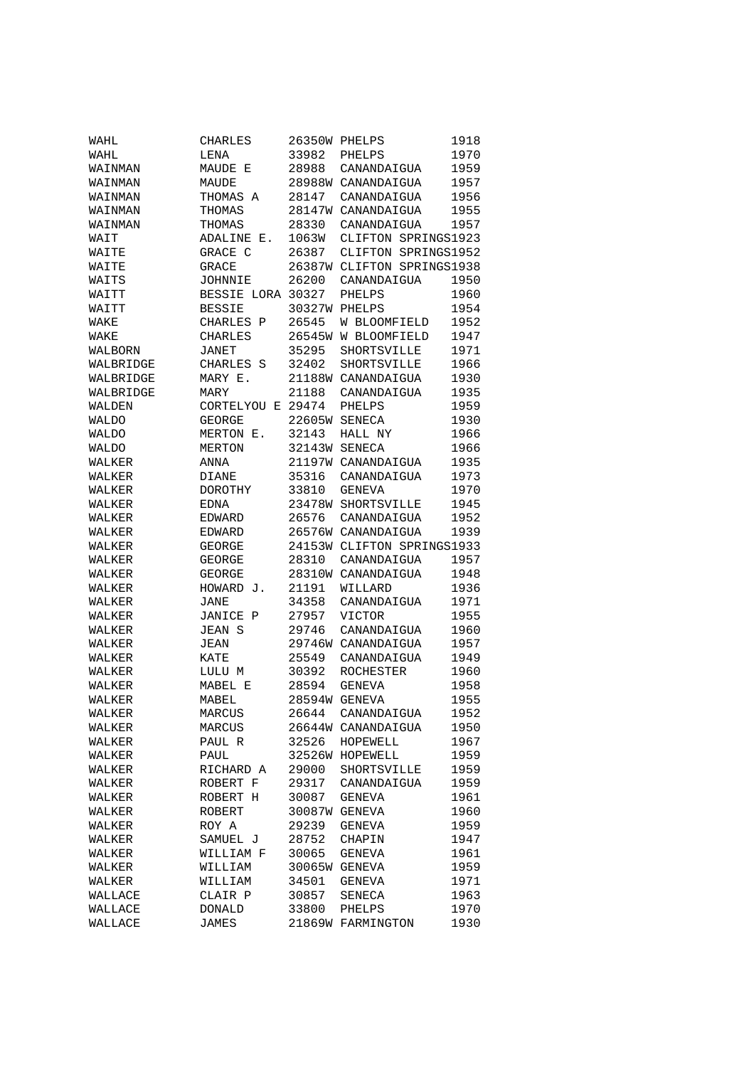| WAHL         | CHARLES           | 26350W PHELPS |                            | 1918 |
|--------------|-------------------|---------------|----------------------------|------|
| WAHL         | LENA              | 33982         | PHELPS                     | 1970 |
| WAINMAN      | MAUDE E           | 28988         | CANANDAIGUA                | 1959 |
| WAINMAN      | MAUDE             |               | 28988W CANANDAIGUA         | 1957 |
| WAINMAN      | THOMAS A          | 28147         | CANANDAIGUA                | 1956 |
| WAINMAN      | THOMAS            | 28147W        | CANANDAIGUA                | 1955 |
| WAINMAN      | THOMAS            | 28330         | CANANDAIGUA                | 1957 |
| WAIT         | ADALINE E.        | 1063W         | CLIFTON SPRINGS1923        |      |
| WAITE        | GRACE C           | 26387         | CLIFTON SPRINGS1952        |      |
| WAITE        | GRACE             |               | 26387W CLIFTON SPRINGS1938 |      |
| WAITS        | JOHNNIE           | 26200         | CANANDAIGUA                | 1950 |
| WAITT        | BESSIE LORA 30327 |               | PHELPS                     | 1960 |
| WAITT        | <b>BESSIE</b>     | 30327W        | PHELPS                     | 1954 |
| WAKE         | CHARLES<br>Ρ      | 26545         | W BLOOMFIELD               | 1952 |
| WAKE         | CHARLES           | 26545W        | W BLOOMFIELD               | 1947 |
| WALBORN      | JANET             | 35295         | SHORTSVILLE                | 1971 |
| WALBRIDGE    | CHARLES<br>S      | 32402         | SHORTSVILLE                | 1966 |
| WALBRIDGE    | MARY E.           | 21188W        | CANANDAIGUA                | 1930 |
| WALBRIDGE    | MARY              | 21188         | CANANDAIGUA                | 1935 |
| WALDEN       | CORTELYOU         | E 29474       | PHELPS                     | 1959 |
| WALDO        | GEORGE            | 22605W        | SENECA                     | 1930 |
| WALDO        | MERTON E.         | 32143         | HALL NY                    | 1966 |
| <b>WALDO</b> | MERTON            | 32143W        | <b>SENECA</b>              | 1966 |
| WALKER       | ANNA              | 21197W        | CANANDAIGUA                | 1935 |
| WALKER       | DIANE             | 35316         | CANANDAIGUA                | 1973 |
| WALKER       | DOROTHY           | 33810         | <b>GENEVA</b>              | 1970 |
| WALKER       | <b>EDNA</b>       | 23478W        | SHORTSVILLE                | 1945 |
| WALKER       | EDWARD            | 26576         | CANANDAIGUA                | 1952 |
| WALKER       | EDWARD            |               | 26576W CANANDAIGUA         | 1939 |
| WALKER       | GEORGE            | 24153W        | CLIFTON SPRINGS1933        |      |
| WALKER       | GEORGE            | 28310         | CANANDAIGUA                | 1957 |
| WALKER       | GEORGE            | 28310W        | CANANDAIGUA                | 1948 |
| WALKER       | HOWARD<br>J.      | 21191         | WILLARD                    | 1936 |
| WALKER       | JANE              | 34358         | CANANDAIGUA                | 1971 |
| WALKER       | JANICE P          | 27957         | <b>VICTOR</b>              | 1955 |
| WALKER       | JEAN S            | 29746         | CANANDAIGUA                | 1960 |
| WALKER       | JEAN              | 29746W        | CANANDAIGUA                | 1957 |
| WALKER       | KATE              | 25549         | CANANDAIGUA                | 1949 |
| WALKER       | LULU M            | 30392         | ROCHESTER                  | 1960 |
| WALKER       | MABEL E           | 28594         | <b>GENEVA</b>              | 1958 |
| WALKER       | MABEL             |               | 28594W GENEVA              | 1955 |
| WALKER       | MARCUS            |               | 26644 CANANDAIGUA          | 1952 |
| WALKER       | MARCUS            |               | 26644W CANANDAIGUA         | 1950 |
| WALKER       | PAUL R            | 32526         | HOPEWELL                   | 1967 |
| WALKER       | PAUL              |               | 32526W HOPEWELL            | 1959 |
| WALKER       | RICHARD A         | 29000         | SHORTSVILLE                | 1959 |
| WALKER       | ROBERT F          | 29317         | CANANDAIGUA                | 1959 |
| WALKER       | ROBERT H          | 30087         | GENEVA                     | 1961 |
| WALKER       | ROBERT            | 30087W        | <b>GENEVA</b>              | 1960 |
| WALKER       | ROY A             | 29239         | GENEVA                     | 1959 |
| WALKER       | SAMUEL J          | 28752         | CHAPIN                     | 1947 |
| WALKER       | WILLIAM F         | 30065         | GENEVA                     | 1961 |
| WALKER       | WILLIAM           | 30065W GENEVA |                            | 1959 |
| WALKER       | WILLIAM           | 34501         | GENEVA                     | 1971 |
| WALLACE      | CLAIR P           | 30857         | SENECA                     | 1963 |
| WALLACE      | DONALD            | 33800         | PHELPS                     | 1970 |
| WALLACE      | JAMES             |               | 21869W FARMINGTON          | 1930 |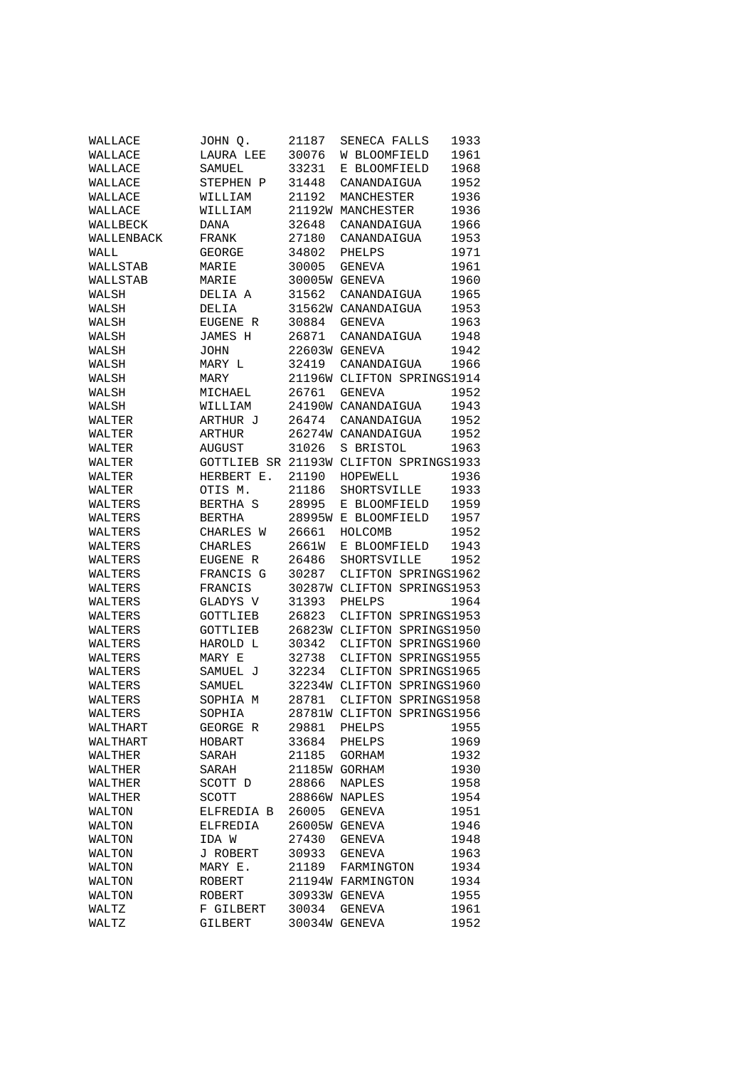| WALLACE    | JOHN Q.         | 21187         | SENECA FALLS               | 1933         |
|------------|-----------------|---------------|----------------------------|--------------|
| WALLACE    | LAURA LEE       | 30076         | W BLOOMFIELD               | 1961         |
| WALLACE    | SAMUEL          | 33231         | Е<br><b>BLOOMFIELD</b>     | 1968         |
| WALLACE    | STEPHEN P       | 31448         | CANANDAIGUA                | 1952         |
| WALLACE    | WILLIAM         | 21192         | MANCHESTER                 | 1936         |
| WALLACE    | WILLIAM         | 21192W        | MANCHESTER                 | 1936         |
| WALLBECK   | DANA            | 32648         | CANANDAIGUA                | 1966         |
| WALLENBACK | FRANK           | 27180         | CANANDAIGUA                | 1953         |
| WALL       | GEORGE          | 34802         | PHELPS                     | 1971         |
| WALLSTAB   | MARIE           | 30005         | GENEVA                     | 1961         |
|            |                 |               |                            | 1960         |
| WALLSTAB   | MARIE           | 30005W        | <b>GENEVA</b>              |              |
| WALSH      | DELIA A         | 31562         | CANANDAIGUA                | 1965         |
| WALSH      | DELIA           | 31562W        | CANANDAIGUA                | 1953         |
| WALSH      | EUGENE R        | 30884         | <b>GENEVA</b>              | 1963         |
| WALSH      | JAMES H         | 26871         | CANANDAIGUA                | 1948         |
| WALSH      | JOHN            | 22603W        | <b>GENEVA</b>              | 1942         |
| WALSH      | MARY L          | 32419         | CANANDAIGUA                | 1966         |
| WALSH      | MARY            | 21196W        | CLIFTON SPRINGS1914        |              |
| WALSH      | MICHAEL         | 26761         | <b>GENEVA</b>              | 1952         |
| WALSH      | WILLIAM         | 24190W        | CANANDAIGUA                | 1943         |
| WALTER     | ARTHUR J        | 26474         | CANANDAIGUA                | 1952         |
| WALTER     | ARTHUR          | 26274W        | CANANDAIGUA                | 1952         |
| WALTER     | AUGUST          | 31026         | S BRISTOL                  | 1963         |
| WALTER     | GOTTLIEB SR     | 21193W        | CLIFTON SPRINGS1933        |              |
| WALTER     | HERBERT<br>Ε.   | 21190         | HOPEWELL                   | 1936         |
| WALTER     | OTIS M.         | 21186         | SHORTSVILLE                | 1933         |
| WALTERS    | BERTHA S        | 28995         | E BLOOMFIELD               | 1959         |
| WALTERS    | <b>BERTHA</b>   | 28995W        | E BLOOMFIELD               | 1957         |
| WALTERS    | CHARLES W       | 26661         | HOLCOMB                    | 1952         |
| WALTERS    | CHARLES         | 2661W         | E BLOOMFIELD               | 1943         |
| WALTERS    | EUGENE R        | 26486         | SHORTSVILLE                | 1952         |
| WALTERS    | FRANCIS G       | 30287         | CLIFTON SPRINGS1962        |              |
| WALTERS    | FRANCIS         | 30287W        | SPRINGS1953<br>CLIFTON     |              |
| WALTERS    | GLADYS V        | 31393         | PHELPS                     | 1964         |
| WALTERS    | GOTTLIEB        | 26823         | CLIFTON SPRINGS1953        |              |
| WALTERS    | GOTTLIEB        | 26823W        | CLIFTON SPRINGS1950        |              |
| WALTERS    | HAROLD L        | 30342         | CLIFTON SPRINGS1960        |              |
| WALTERS    | MARY E          | 32738         | CLIFTON SPRINGS1955        |              |
| WALTERS    | SAMUEL J        | 32234         | CLIFTON SPRINGS1965        |              |
| WALTERS    | SAMUEL          |               | 32234W CLIFTON SPRINGS1960 |              |
| WALTERS    | SOPHIA M        | 28781         | CLIFTON SPRINGS1958        |              |
| WALTERS    | SOPHIA          |               | 28781W CLIFTON SPRINGS1956 |              |
| WALTHART   | GEORGE R        | 29881         | PHELPS                     | 1955         |
| WALTHART   | HOBART          | 33684         | PHELPS                     | 1969         |
| WALTHER    | SARAH           | 21185         | GORHAM                     | 1932         |
| WALTHER    | SARAH           |               | 21185W GORHAM              | 1930         |
| WALTHER    | SCOTT D         | 28866         | NAPLES                     | 1958         |
| WALTHER    | SCOTT           | 28866W NAPLES |                            | 1954         |
| WALTON     | ELFREDIA B      | 26005         | <b>GENEVA</b>              | 1951         |
| WALTON     | ELFREDIA        |               | 26005W GENEVA              | 1946         |
|            | IDA W           | 27430         |                            |              |
| WALTON     | <b>J ROBERT</b> |               | GENEVA                     | 1948<br>1963 |
| WALTON     |                 | 30933         | <b>GENEVA</b>              |              |
| WALTON     | MARY E.         | 21189         | FARMINGTON                 | 1934         |
| WALTON     | ROBERT          |               | 21194W FARMINGTON          | 1934         |
| WALTON     | ROBERT          | 30933W        | <b>GENEVA</b>              | 1955         |
| WALTZ      | F GILBERT       | 30034         | GENEVA                     | 1961         |
| WALTZ      | GILBERT         |               | 30034W GENEVA              | 1952         |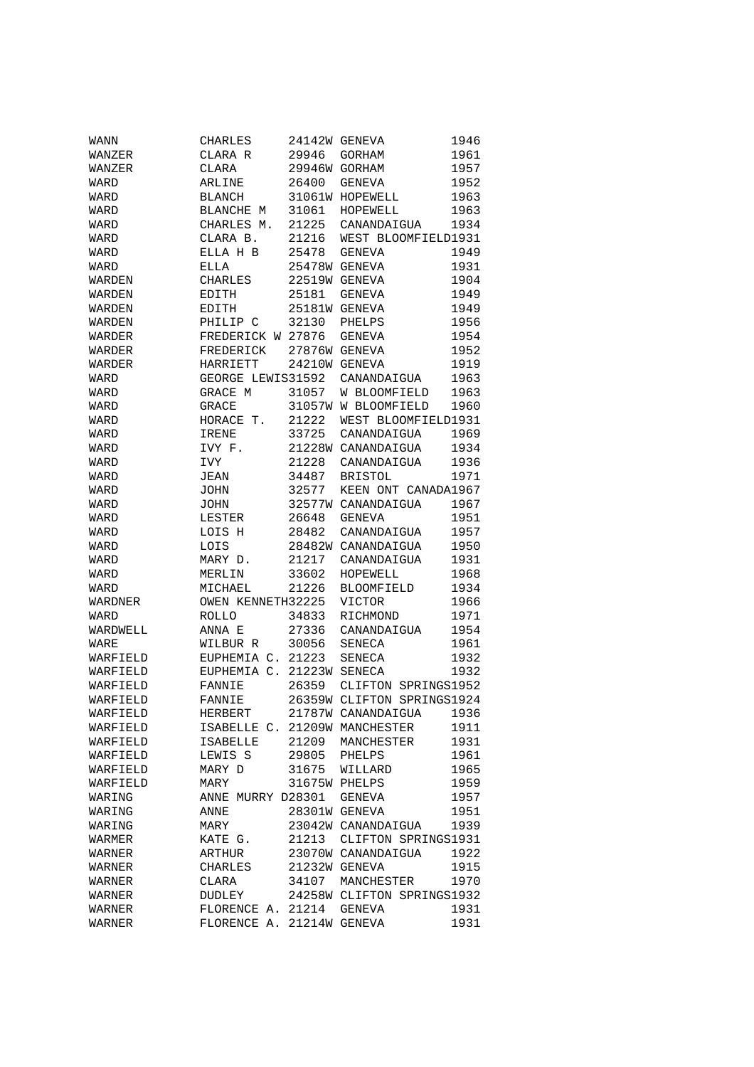| WANN     | <b>CHARLES</b>                |               | 24142W GENEVA              | 1946 |
|----------|-------------------------------|---------------|----------------------------|------|
| WANZER   | CLARA R                       | 29946         | GORHAM                     | 1961 |
| WANZER   | CLARA                         |               | 29946W GORHAM              | 1957 |
| WARD     | ARLINE                        | 26400         | GENEVA                     | 1952 |
| WARD     | BLANCH                        |               | 31061W HOPEWELL            | 1963 |
| WARD     | BLANCHE M                     | 31061         | HOPEWELL                   | 1963 |
| WARD     | CHARLES M.                    | 21225         | CANANDAIGUA                | 1934 |
| WARD     | CLARA B.                      | 21216         | WEST BLOOMFIELD1931        |      |
| WARD     | ELLA H B                      | 25478         | <b>GENEVA</b>              | 1949 |
| WARD     | ELLA                          |               | 25478W GENEVA              | 1931 |
| WARDEN   | <b>CHARLES</b>                |               | 22519W GENEVA              | 1904 |
| WARDEN   | EDITH                         | 25181         | GENEVA                     | 1949 |
| WARDEN   | EDITH                         | 25181W GENEVA |                            | 1949 |
| WARDEN   | PHILIP C                      | 32130         | PHELPS                     | 1956 |
| WARDER   | FREDERICK W 27876             |               | GENEVA                     | 1954 |
| WARDER   | FREDERICK                     |               | 27876W GENEVA              | 1952 |
| WARDER   | HARRIETT                      |               | 24210W GENEVA              | 1919 |
| WARD     | GEORGE LEWIS31592             |               | CANANDAIGUA                | 1963 |
| WARD     | GRACE M                       | 31057         | W BLOOMFIELD               | 1963 |
| WARD     | GRACE                         |               | 31057W W BLOOMFIELD        | 1960 |
| WARD     | HORACE T.                     | 21222         | WEST BLOOMFIELD1931        |      |
| WARD     | IRENE                         | 33725         | CANANDAIGUA                | 1969 |
| WARD     | IVY F.                        |               | 21228W CANANDAIGUA         | 1934 |
| WARD     | <b>IVY</b>                    | 21228         | CANANDAIGUA                | 1936 |
| WARD     | <b>JEAN</b>                   | 34487         | <b>BRISTOL</b>             | 1971 |
| WARD     | JOHN                          | 32577         | KEEN ONT CANADA1967        |      |
| WARD     | JOHN                          |               | 32577W CANANDAIGUA         | 1967 |
| WARD     | LESTER                        | 26648         | <b>GENEVA</b>              | 1951 |
| WARD     | LOIS H                        | 28482         | CANANDAIGUA                | 1957 |
| WARD     | LOIS                          |               | 28482W CANANDAIGUA         | 1950 |
| WARD     | MARY D.                       | 21217         | CANANDAIGUA                | 1931 |
| WARD     | MERLIN                        | 33602         | HOPEWELL                   | 1968 |
| WARD     | MICHAEL                       | 21226         | <b>BLOOMFIELD</b>          | 1934 |
| WARDNER  | OWEN KENNETH32225             |               | <b>VICTOR</b>              | 1966 |
| WARD     | <b>ROLLO</b>                  | 34833         | RICHMOND                   | 1971 |
| WARDWELL | ANNA E                        | 27336         | CANANDAIGUA                | 1954 |
| WARE     | WILBUR R                      | 30056         | SENECA                     | 1961 |
| WARFIELD | EUPHEMIA C. 21223             |               | SENECA                     | 1932 |
| WARFIELD | EUPHEMIA C. 21223W SENECA     |               |                            | 1932 |
| WARFIELD | FANNIE                        | 26359         | CLIFTON SPRINGS1952        |      |
| WARFIELD | FANNIE                        |               | 26359W CLIFTON SPRINGS1924 |      |
| WARFIELD | HERBERT                       |               | 21787W CANANDAIGUA         | 1936 |
| WARFIELD | ISABELLE C. 21209W MANCHESTER |               |                            | 1911 |
| WARFIELD | ISABELLE                      |               | 21209 MANCHESTER           | 1931 |
| WARFIELD | LEWIS S                       |               | 29805 PHELPS               | 1961 |
| WARFIELD | MARY D                        | 31675         | WILLARD                    | 1965 |
| WARFIELD | MARY                          | 31675W PHELPS |                            | 1959 |
| WARING   | ANNE MURRY D28301 GENEVA      |               |                            | 1957 |
| WARING   | ANNE                          |               | 28301W GENEVA              | 1951 |
| WARING   | MARY                          |               | 23042W CANANDAIGUA         | 1939 |
| WARMER   | KATE G.                       |               | 21213 CLIFTON SPRINGS1931  |      |
| WARNER   | ARTHUR                        |               | 23070W CANANDAIGUA         | 1922 |
| WARNER   | CHARLES                       | 21232W GENEVA |                            | 1915 |
| WARNER   | ${\tt CLARA}$                 |               | 34107 MANCHESTER           | 1970 |
| WARNER   | DUDLEY                        |               | 24258W CLIFTON SPRINGS1932 |      |
| WARNER   | FLORENCE A. 21214             |               | GENEVA                     | 1931 |
| WARNER   | FLORENCE A.                   | 21214W GENEVA |                            | 1931 |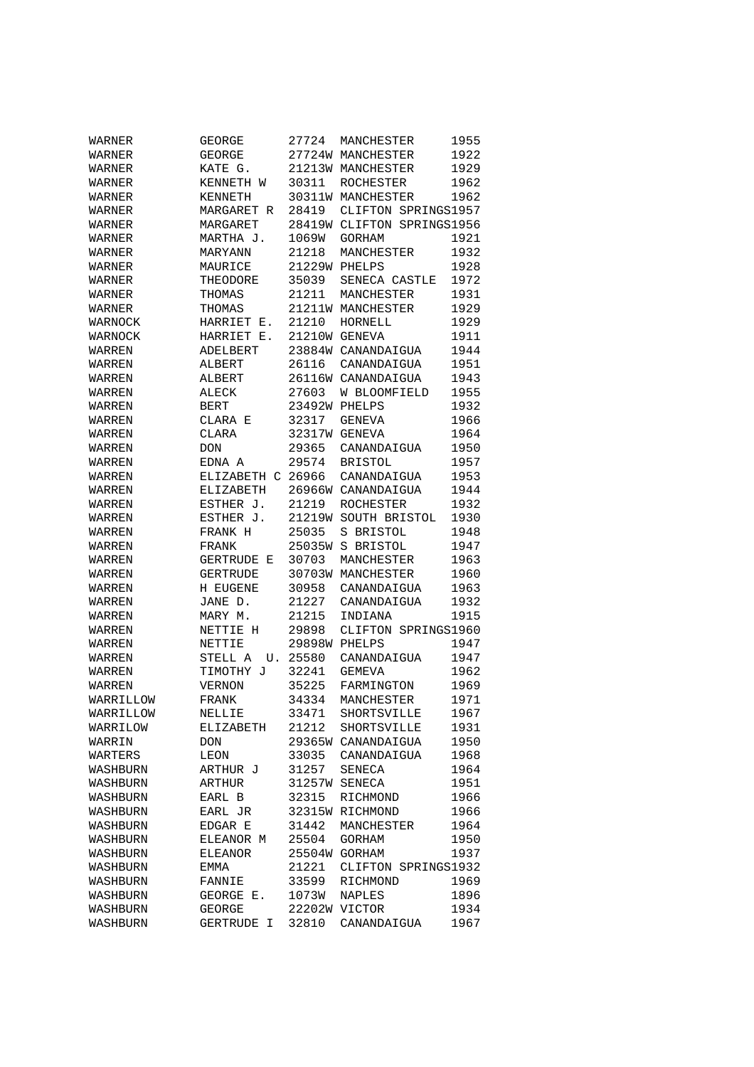| WARNER    | GEORGE         | 27724         | MANCHESTER                 | 1955 |
|-----------|----------------|---------------|----------------------------|------|
| WARNER    | <b>GEORGE</b>  |               | 27724W MANCHESTER          | 1922 |
| WARNER    | KATE G.        |               | 21213W MANCHESTER          | 1929 |
| WARNER    | KENNETH W      | 30311         | ROCHESTER                  | 1962 |
| WARNER    | KENNETH        |               | 30311W MANCHESTER          | 1962 |
| WARNER    | MARGARET R     | 28419         | CLIFTON SPRINGS1957        |      |
| WARNER    | MARGARET       |               | 28419W CLIFTON SPRINGS1956 |      |
| WARNER    | MARTHA J.      | 1069W         | GORHAM                     | 1921 |
| WARNER    | MARYANN        | 21218         | MANCHESTER                 | 1932 |
| WARNER    | MAURICE        | 21229W        | PHELPS                     | 1928 |
| WARNER    | THEODORE       | 35039         | SENECA CASTLE              | 1972 |
| WARNER    | THOMAS         | 21211         | MANCHESTER                 | 1931 |
| WARNER    | THOMAS         |               | 21211W MANCHESTER          | 1929 |
| WARNOCK   | HARRIET<br>Ε.  | 21210         | HORNELL                    | 1929 |
| WARNOCK   | HARRIET<br>Ε.  | 21210W GENEVA |                            | 1911 |
| WARREN    | ADELBERT       |               | 23884W CANANDAIGUA         | 1944 |
| WARREN    | ALBERT         | 26116         | CANANDAIGUA                | 1951 |
| WARREN    | ALBERT         |               | 26116W CANANDAIGUA         | 1943 |
| WARREN    | ALECK          | 27603         | W BLOOMFIELD               | 1955 |
| WARREN    | BERT           | 23492W        | PHELPS                     | 1932 |
| WARREN    | CLARA E        | 32317         | <b>GENEVA</b>              | 1966 |
| WARREN    | <b>CLARA</b>   | 32317W GENEVA |                            | 1964 |
| WARREN    | DON            | 29365         | CANANDAIGUA                | 1950 |
| WARREN    | EDNA A         | 29574         | <b>BRISTOL</b>             | 1957 |
| WARREN    | ELIZABETH C    | 26966         | CANANDAIGUA                | 1953 |
| WARREN    | ELIZABETH      |               | 26966W CANANDAIGUA         | 1944 |
| WARREN    | ESTHER J.      | 21219         | ROCHESTER                  | 1932 |
| WARREN    | ESTHER J.      | 21219W        | SOUTH BRISTOL              | 1930 |
| WARREN    | FRANK H        | 25035         | S BRISTOL                  | 1948 |
| WARREN    | FRANK          | 25035W        | S BRISTOL                  | 1947 |
| WARREN    | GERTRUDE E     | 30703         | MANCHESTER                 | 1963 |
| WARREN    | GERTRUDE       |               | 30703W MANCHESTER          | 1960 |
| WARREN    | H EUGENE       | 30958         | CANANDAIGUA                | 1963 |
| WARREN    | JANE D.        | 21227         | CANANDAIGUA                | 1932 |
| WARREN    | MARY M.        | 21215         | INDIANA                    | 1915 |
| WARREN    | NETTIE H       | 29898         | CLIFTON SPRINGS1960        |      |
| WARREN    | NETTIE         | 29898W        | PHELPS                     | 1947 |
| WARREN    | STELL A<br>U.  | 25580         | CANANDAIGUA                | 1947 |
| WARREN    | TIMOTHY<br>J   | 32241         | <b>GEMEVA</b>              | 1962 |
| WARREN    | VERNON         | 35225         | FARMINGTON                 | 1969 |
| WARRILLOW | FRANK          | 34334         | MANCHESTER                 | 1971 |
| WARRILLOW | NELLIE         | 33471         | SHORTSVILLE                | 1967 |
| WARRILOW  | ELIZABETH      | 21212         | SHORTSVILLE                | 1931 |
| WARRIN    | DON            |               | 29365W CANANDAIGUA         | 1950 |
| WARTERS   | LEON           | 33035         | CANANDAIGUA                | 1968 |
| WASHBURN  | ARTHUR J       | 31257         | SENECA                     | 1964 |
| WASHBURN  | ARTHUR         | 31257W SENECA |                            | 1951 |
| WASHBURN  | EARL B         | 32315         | RICHMOND                   | 1966 |
| WASHBURN  | EARL JR        |               | 32315W RICHMOND            | 1966 |
| WASHBURN  | EDGAR E        | 31442         | MANCHESTER                 | 1964 |
| WASHBURN  | ELEANOR M      | 25504         | GORHAM                     | 1950 |
| WASHBURN  | <b>ELEANOR</b> |               | 25504W GORHAM              | 1937 |
| WASHBURN  | EMMA           | 21221         | CLIFTON SPRINGS1932        |      |
| WASHBURN  | FANNIE         | 33599         | RICHMOND                   | 1969 |
| WASHBURN  | GEORGE E.      | 1073W         | <b>NAPLES</b>              | 1896 |
| WASHBURN  | GEORGE         | 22202W VICTOR |                            | 1934 |
| WASHBURN  | GERTRUDE I     | 32810         | CANANDAIGUA                | 1967 |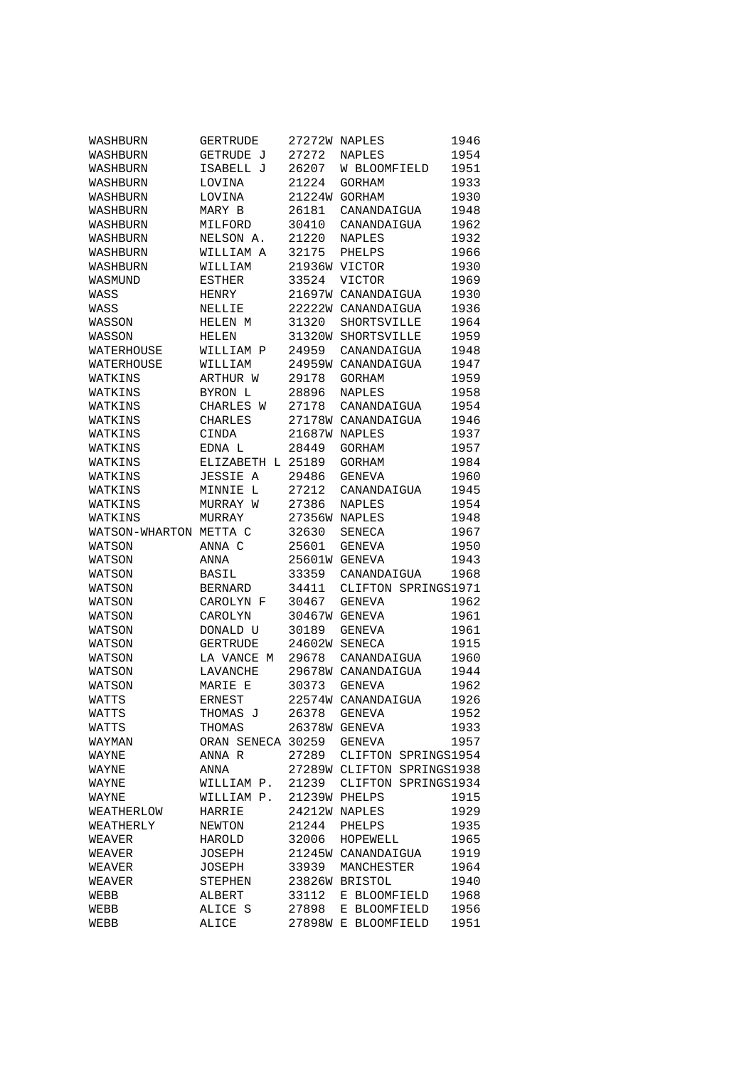| WASHBURN               | GERTRUDE                    |        | 27272W NAPLES              | 1946 |
|------------------------|-----------------------------|--------|----------------------------|------|
| WASHBURN               | GETRUDE J                   | 27272  | <b>NAPLES</b>              | 1954 |
| WASHBURN               | ISABELL J                   | 26207  | W BLOOMFIELD               | 1951 |
| WASHBURN               | LOVINA                      | 21224  | GORHAM                     | 1933 |
| WASHBURN               | LOVINA                      | 21224W | GORHAM                     | 1930 |
| WASHBURN               | MARY B                      | 26181  | CANANDAIGUA                | 1948 |
| WASHBURN               | MILFORD                     | 30410  | CANANDAIGUA                | 1962 |
|                        |                             |        |                            |      |
| WASHBURN               | NELSON A.                   | 21220  | NAPLES                     | 1932 |
| WASHBURN               | WILLIAM A                   | 32175  | PHELPS                     | 1966 |
| WASHBURN               | WILLIAM                     | 21936W | <b>VICTOR</b>              | 1930 |
| WASMUND                | <b>ESTHER</b>               | 33524  | <b>VICTOR</b>              | 1969 |
| WASS                   | HENRY                       | 21697W | CANANDAIGUA                | 1930 |
| WASS                   | NELLIE                      | 22222W | CANANDAIGUA                | 1936 |
| WASSON                 | HELEN M                     | 31320  | SHORTSVILLE                | 1964 |
| WASSON                 | HELEN                       | 31320W | SHORTSVILLE                | 1959 |
| WATERHOUSE             | WILLIAM P                   | 24959  | CANANDAIGUA                | 1948 |
| WATERHOUSE             | WILLIAM                     | 24959W | CANANDAIGUA                | 1947 |
| WATKINS                | ARTHUR W                    | 29178  | GORHAM                     | 1959 |
| WATKINS                | BYRON L                     | 28896  | NAPLES                     | 1958 |
| WATKINS                | CHARLES W                   | 27178  | CANANDAIGUA                | 1954 |
| WATKINS                | <b>CHARLES</b>              |        | 27178W CANANDAIGUA         | 1946 |
| WATKINS                | CINDA                       | 21687W | NAPLES                     | 1937 |
| WATKINS                | EDNA L                      | 28449  | GORHAM                     | 1957 |
| WATKINS                | ELIZABETH L 25189           |        | GORHAM                     | 1984 |
| WATKINS                | JESSIE A                    | 29486  | <b>GENEVA</b>              | 1960 |
| WATKINS                | MINNIE L                    | 27212  | CANANDAIGUA                | 1945 |
| WATKINS                | MURRAY W                    | 27386  | NAPLES                     | 1954 |
| WATKINS                | MURRAY                      | 27356W | <b>NAPLES</b>              | 1948 |
| WATSON-WHARTON METTA C |                             | 32630  | SENECA                     | 1967 |
| WATSON                 | ANNA C                      | 25601  | <b>GENEVA</b>              | 1950 |
| WATSON                 | ANNA                        | 25601W | <b>GENEVA</b>              | 1943 |
| WATSON                 | <b>BASIL</b>                | 33359  | CANANDAIGUA                | 1968 |
| WATSON                 | <b>BERNARD</b>              | 34411  | CLIFTON SPRINGS1971        |      |
| WATSON                 | CAROLYN F                   | 30467  | <b>GENEVA</b>              | 1962 |
|                        | CAROLYN                     | 30467W | <b>GENEVA</b>              | 1961 |
| WATSON                 |                             |        |                            |      |
| WATSON<br>WATSON       | DONALD U<br><b>GERTRUDE</b> | 30189  | <b>GENEVA</b>              | 1961 |
|                        |                             | 24602W | SENECA                     | 1915 |
| WATSON                 | LA VANCE M                  | 29678  | CANANDAIGUA                | 1960 |
| WATSON                 | LAVANCHE                    | 29678W | CANANDAIGUA                | 1944 |
| WATSON                 | MARIE E                     | 30373  | <b>GENEVA</b>              | 1962 |
| WATTS                  | ERNEST                      |        | 22574W CANANDAIGUA         | 1926 |
| WATTS                  | THOMAS J                    | 26378  | GENEVA                     | 1952 |
| WATTS                  | THOMAS                      |        | 26378W GENEVA              | 1933 |
| WAYMAN                 | ORAN SENECA 30259           |        | GENEVA                     | 1957 |
| WAYNE                  | ANNA R                      | 27289  | CLIFTON SPRINGS1954        |      |
| WAYNE                  | ANNA                        |        | 27289W CLIFTON SPRINGS1938 |      |
| WAYNE                  | WILLIAM P.                  | 21239  | CLIFTON SPRINGS1934        |      |
| WAYNE                  | WILLIAM P.                  |        | 21239W PHELPS              | 1915 |
| WEATHERLOW             | HARRIE                      |        | 24212W NAPLES              | 1929 |
| WEATHERLY              | NEWTON                      | 21244  | PHELPS                     | 1935 |
| WEAVER                 | HAROLD                      | 32006  | HOPEWELL                   | 1965 |
| WEAVER                 | JOSEPH                      |        | 21245W CANANDAIGUA         | 1919 |
| WEAVER                 | JOSEPH                      | 33939  | MANCHESTER                 | 1964 |
| WEAVER                 | STEPHEN                     |        | 23826W BRISTOL             | 1940 |
| WEBB                   | ALBERT                      | 33112  | E BLOOMFIELD               | 1968 |
| WEBB                   | ALICE S                     | 27898  | E BLOOMFIELD               | 1956 |
| WEBB                   | ALICE                       |        | 27898W E BLOOMFIELD        | 1951 |
|                        |                             |        |                            |      |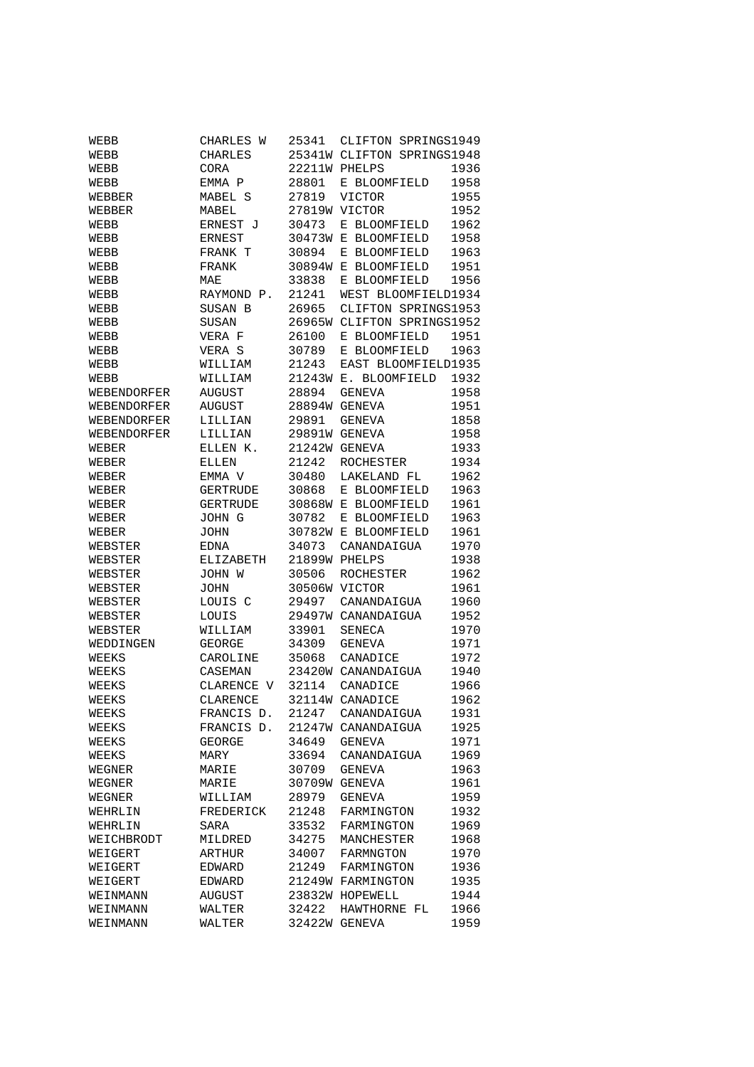| WEBB        | CHARLES W       | 25341         | CLIFTON SPRINGS1949        |      |
|-------------|-----------------|---------------|----------------------------|------|
| WEBB        | <b>CHARLES</b>  |               | 25341W CLIFTON SPRINGS1948 |      |
| WEBB        | CORA            | 22211W        | PHELPS                     | 1936 |
| WEBB        | EMMA P          | 28801         | E BLOOMFIELD               | 1958 |
| WEBBER      | MABEL S         | 27819         | <b>VICTOR</b>              | 1955 |
| WEBBER      | MABEL           | 27819W        | <b>VICTOR</b>              | 1952 |
| WEBB        | ERNEST J        | 30473         | E BLOOMFIELD               | 1962 |
| WEBB        | ERNEST          | 30473W        | E BLOOMFIELD               | 1958 |
| WEBB        | FRANK T         | 30894         | E BLOOMFIELD               | 1963 |
| WEBB        | FRANK           | 30894W        | E BLOOMFIELD               | 1951 |
| <b>WEBB</b> | MAE             | 33838         | E BLOOMFIELD               | 1956 |
| WEBB        | RAYMOND P.      | 21241         | WEST BLOOMFIELD1934        |      |
| <b>WEBB</b> | SUSAN B         | 26965         | CLIFTON SPRINGS1953        |      |
| WEBB        | SUSAN           |               | 26965W CLIFTON SPRINGS1952 |      |
| WEBB        | VERA F          | 26100         | E BLOOMFIELD               | 1951 |
| WEBB        | VERA S          | 30789         | E BLOOMFIELD               | 1963 |
| WEBB        | WILLIAM         | 21243         | EAST BLOOMFIELD1935        |      |
| WEBB        | WILLIAM         | 21243W        | <b>BLOOMFIELD</b><br>Е.    | 1932 |
| WEBENDORFER | <b>AUGUST</b>   | 28894         | <b>GENEVA</b>              | 1958 |
| WEBENDORFER | <b>AUGUST</b>   | 28894W        | <b>GENEVA</b>              | 1951 |
| WEBENDORFER | LILLIAN         | 29891         | <b>GENEVA</b>              | 1858 |
| WEBENDORFER | LILLIAN         | 29891W        | <b>GENEVA</b>              | 1958 |
| WEBER       | ELLEN K.        | 21242W        | <b>GENEVA</b>              | 1933 |
| WEBER       | <b>ELLEN</b>    | 21242         | ROCHESTER                  | 1934 |
| WEBER       | EMMA V          | 30480         | LAKELAND FL                | 1962 |
| WEBER       | <b>GERTRUDE</b> | 30868         | E BLOOMFIELD               | 1963 |
| WEBER       | <b>GERTRUDE</b> | 30868W        | E BLOOMFIELD               | 1961 |
| WEBER       | JOHN G          | 30782         | E BLOOMFIELD               | 1963 |
| WEBER       | JOHN            | 30782W        | E BLOOMFIELD               | 1961 |
| WEBSTER     | <b>EDNA</b>     | 34073         | CANANDAIGUA                | 1970 |
| WEBSTER     | ELIZABETH       | 21899W        | PHELPS                     | 1938 |
| WEBSTER     | JOHN W          | 30506         | ROCHESTER                  | 1962 |
| WEBSTER     | JOHN            | 30506W VICTOR |                            | 1961 |
| WEBSTER     | LOUIS C         | 29497         | CANANDAIGUA                | 1960 |
| WEBSTER     | LOUIS           | 29497W        | CANANDAIGUA                | 1952 |
| WEBSTER     | WILLIAM         | 33901         | <b>SENECA</b>              | 1970 |
| WEDDINGEN   | GEORGE          | 34309         | GENEVA                     | 1971 |
| WEEKS       | CAROLINE        | 35068         | CANADICE                   | 1972 |
| WEEKS       | CASEMAN         |               | 23420W CANANDAIGUA         | 1940 |
| WEEKS       | CLARENCE V      | 32114         | CANADICE                   | 1966 |
| WEEKS       | CLARENCE        |               | 32114W CANADICE            | 1962 |
| WEEKS       | FRANCIS D.      |               | 21247 CANANDAIGUA          | 1931 |
| WEEKS       | FRANCIS D.      |               | 21247W CANANDAIGUA         | 1925 |
| WEEKS       | GEORGE          | 34649         | GENEVA                     | 1971 |
| WEEKS       | MARY            | 33694         | CANANDAIGUA                | 1969 |
| WEGNER      | MARIE           | 30709         | GENEVA                     | 1963 |
| WEGNER      | MARIE           | 30709W        | GENEVA                     | 1961 |
| WEGNER      | WILLIAM         | 28979         | GENEVA                     | 1959 |
| WEHRLIN     | FREDERICK       | 21248         | FARMINGTON                 | 1932 |
| WEHRLIN     | SARA            | 33532         | FARMINGTON                 | 1969 |
| WEICHBRODT  | MILDRED         | 34275         | MANCHESTER                 | 1968 |
| WEIGERT     | ARTHUR          | 34007         | FARMNGTON                  | 1970 |
| WEIGERT     | EDWARD          | 21249         | FARMINGTON                 | 1936 |
| WEIGERT     | EDWARD          |               | 21249W FARMINGTON          | 1935 |
| WEINMANN    | AUGUST          | 23832W        | HOPEWELL                   | 1944 |
| WEINMANN    | WALTER          | 32422         | HAWTHORNE FL               | 1966 |
| WEINMANN    | WALTER          | 32422W GENEVA |                            | 1959 |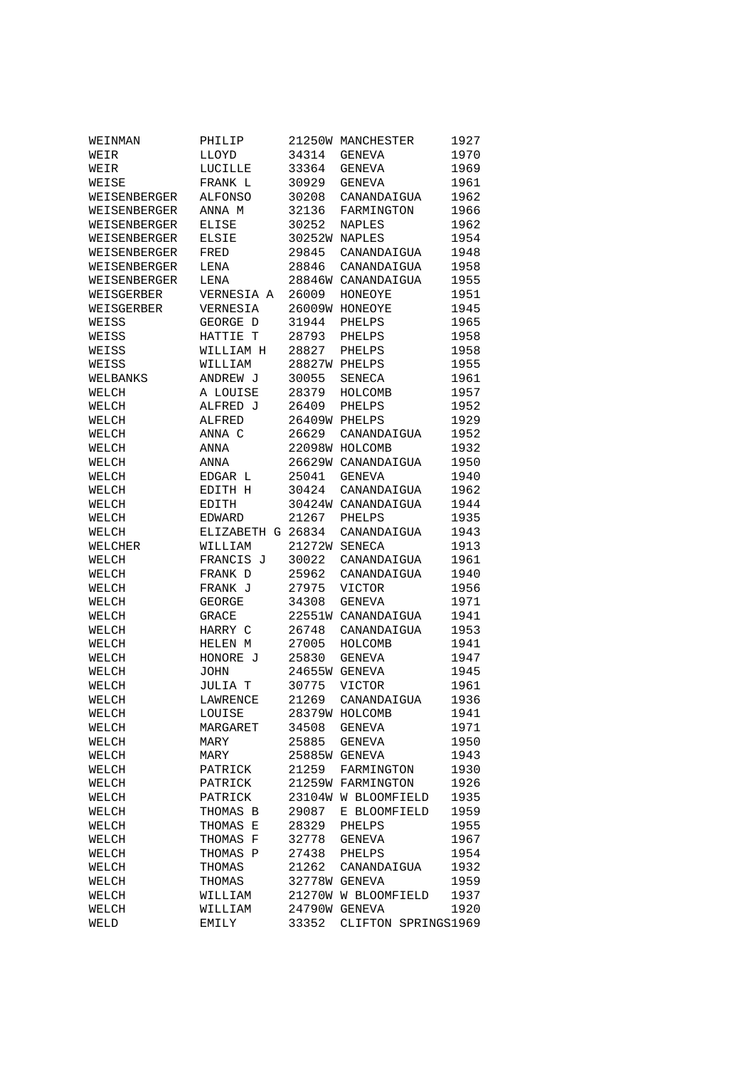| WEINMAN      | PHILIP            |        | 21250W MANCHESTER   | 1927 |
|--------------|-------------------|--------|---------------------|------|
| WEIR         | LLOYD             | 34314  | GENEVA              | 1970 |
| WEIR         | <b>LUCILLE</b>    | 33364  | <b>GENEVA</b>       | 1969 |
| WEISE        | FRANK L           | 30929  | GENEVA              | 1961 |
| WEISENBERGER | <b>ALFONSO</b>    | 30208  | CANANDAIGUA         | 1962 |
| WEISENBERGER | ANNA M            | 32136  | FARMINGTON          | 1966 |
| WEISENBERGER | <b>ELISE</b>      | 30252  | <b>NAPLES</b>       | 1962 |
| WEISENBERGER | <b>ELSIE</b>      | 30252W | NAPLES              | 1954 |
| WEISENBERGER | FRED              | 29845  | CANANDAIGUA         | 1948 |
| WEISENBERGER | LENA              | 28846  | CANANDAIGUA         | 1958 |
| WEISENBERGER | LENA              | 28846W | CANANDAIGUA         | 1955 |
| WEISGERBER   | VERNESIA A        | 26009  | HONEOYE             | 1951 |
| WEISGERBER   | VERNESIA          | 26009W | HONEOYE             | 1945 |
| WEISS        | GEORGE D          | 31944  | PHELPS              | 1965 |
| WEISS        | HATTIE T          | 28793  | PHELPS              | 1958 |
| WEISS        | WILLIAM H         | 28827  | PHELPS              | 1958 |
| WEISS        | WILLIAM           | 28827W | PHELPS              | 1955 |
| WELBANKS     | ANDREW J          | 30055  | SENECA              | 1961 |
| WELCH        | A LOUISE          | 28379  | HOLCOMB             | 1957 |
| WELCH        | ALFRED J          | 26409  | PHELPS              | 1952 |
| WELCH        | ALFRED            | 26409W | PHELPS              | 1929 |
| WELCH        | ANNA C            | 26629  | CANANDAIGUA         | 1952 |
| WELCH        | ANNA              | 22098W | HOLCOMB             | 1932 |
| WELCH        | ANNA              | 26629W | CANANDAIGUA         | 1950 |
| WELCH        | EDGAR L           | 25041  | GENEVA              | 1940 |
| WELCH        | EDITH H           | 30424  | CANANDAIGUA         | 1962 |
| WELCH        | EDITH             |        | 30424W CANANDAIGUA  | 1944 |
| WELCH        | EDWARD            | 21267  | PHELPS              | 1935 |
| WELCH        | ELIZABETH G 26834 |        | CANANDAIGUA         | 1943 |
| WELCHER      | WILLIAM           | 21272W | SENECA              | 1913 |
| WELCH        | FRANCIS J         | 30022  | CANANDAIGUA         | 1961 |
| WELCH        | FRANK<br>D        | 25962  | CANANDAIGUA         | 1940 |
| WELCH        | FRANK J           | 27975  | <b>VICTOR</b>       | 1956 |
| WELCH        | <b>GEORGE</b>     | 34308  | GENEVA              | 1971 |
| WELCH        | <b>GRACE</b>      | 22551W | CANANDAIGUA         | 1941 |
| WELCH        | HARRY C           | 26748  | CANANDAIGUA         | 1953 |
| WELCH        | HELEN M           | 27005  | HOLCOMB             | 1941 |
| WELCH        | HONORE J          | 25830  | <b>GENEVA</b>       | 1947 |
| WELCH        | <b>JOHN</b>       | 24655W | <b>GENEVA</b>       | 1945 |
| WELCH        | JULIA T           | 30775  | <b>VICTOR</b>       | 1961 |
| WELCH        | LAWRENCE          | 21269  | CANANDATGUA         | 1936 |
| WELCH        | LOUISE            |        | 28379W HOLCOMB      | 1941 |
| WELCH        | MARGARET          | 34508  | GENEVA              | 1971 |
| WELCH        | MARY              | 25885  | GENEVA              | 1950 |
| WELCH        | MARY              |        | 25885W GENEVA       | 1943 |
| WELCH        | PATRICK           | 21259  | FARMINGTON          | 1930 |
| WELCH        | PATRICK           | 21259W | FARMINGTON          | 1926 |
| WELCH        | PATRICK           | 23104W | W BLOOMFIELD        | 1935 |
| WELCH        | THOMAS B          | 29087  | E BLOOMFIELD        | 1959 |
| WELCH        | THOMAS E          | 28329  | PHELPS              | 1955 |
| WELCH        | THOMAS F          | 32778  | GENEVA              | 1967 |
| WELCH        | THOMAS P          | 27438  | PHELPS              | 1954 |
| WELCH        | THOMAS            | 21262  | CANANDAIGUA         | 1932 |
| WELCH        | THOMAS            |        | 32778W GENEVA       | 1959 |
| WELCH        | WILLIAM           |        | 21270W W BLOOMFIELD | 1937 |
| WELCH        | WILLIAM           | 24790W | <b>GENEVA</b>       | 1920 |
| WELD         | EMILY             | 33352  | CLIFTON SPRINGS1969 |      |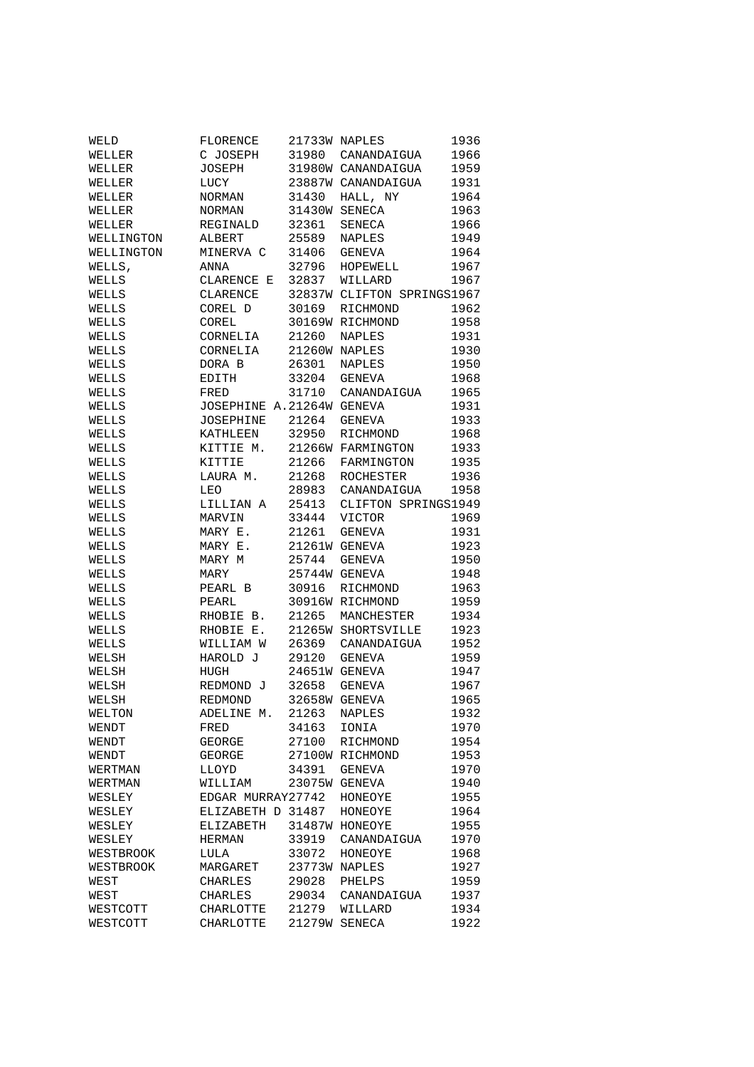| WELD       | FLORENCE                  | 21733W NAPLES |                            | 1936 |
|------------|---------------------------|---------------|----------------------------|------|
| WELLER     | C JOSEPH                  | 31980         | CANANDAIGUA                | 1966 |
| WELLER     | JOSEPH                    |               | 31980W CANANDAIGUA         | 1959 |
| WELLER     | LUCY                      |               | 23887W CANANDAIGUA         | 1931 |
| WELLER     | <b>NORMAN</b>             | 31430         | HALL, NY                   | 1964 |
| WELLER     | NORMAN                    | 31430W        | SENECA                     | 1963 |
| WELLER     | REGINALD                  | 32361         | SENECA                     | 1966 |
| WELLINGTON | ALBERT                    | 25589         | NAPLES                     | 1949 |
| WELLINGTON | MINERVA C                 | 31406         | <b>GENEVA</b>              | 1964 |
| WELLS,     | ANNA                      | 32796         | HOPEWELL                   | 1967 |
| WELLS      | CLARENCE E                | 32837         | WILLARD                    | 1967 |
| WELLS      | CLARENCE                  |               | 32837W CLIFTON SPRINGS1967 |      |
| WELLS      | COREL D                   | 30169         | RICHMOND                   | 1962 |
| WELLS      | COREL                     |               | 30169W RICHMOND            | 1958 |
| WELLS      | CORNELIA                  | 21260         | NAPLES                     | 1931 |
| WELLS      | CORNELIA                  | 21260W NAPLES |                            | 1930 |
| WELLS      | DORA B                    | 26301         | NAPLES                     | 1950 |
| WELLS      | EDITH                     | 33204         | GENEVA                     | 1968 |
| WELLS      | FRED                      | 31710         | CANANDAIGUA                | 1965 |
| WELLS      | JOSEPHINE A.21264W GENEVA |               |                            | 1931 |
| WELLS      | <b>JOSEPHINE</b>          | 21264         | <b>GENEVA</b>              | 1933 |
| WELLS      | KATHLEEN                  | 32950         | RICHMOND                   | 1968 |
| WELLS      | KITTIE M.                 |               | 21266W FARMINGTON          | 1933 |
| WELLS      | KITTIE                    | 21266         | FARMINGTON                 | 1935 |
| WELLS      | LAURA M.                  | 21268         | ROCHESTER                  | 1936 |
| WELLS      | LEO                       | 28983         | CANANDAIGUA                | 1958 |
| WELLS      | LILLIAN A                 |               | 25413 CLIFTON SPRINGS1949  |      |
| WELLS      | MARVIN                    | 33444         | VICTOR                     | 1969 |
| WELLS      | MARY E.                   | 21261         | GENEVA                     | 1931 |
| WELLS      | MARY E.                   |               | 21261W GENEVA              | 1923 |
| WELLS      | MARY M                    | 25744         | <b>GENEVA</b>              | 1950 |
| WELLS      | MARY                      |               | 25744W GENEVA              | 1948 |
| WELLS      | PEARL B                   | 30916         | RICHMOND                   | 1963 |
| WELLS      | PEARL                     |               | 30916W RICHMOND            | 1959 |
| WELLS      | RHOBIE B.                 | 21265         | MANCHESTER                 | 1934 |
| WELLS      | RHOBIE E.                 |               | 21265W SHORTSVILLE         | 1923 |
| WELLS      | WILLIAM W                 | 26369         | CANANDAIGUA                | 1952 |
| WELSH      | HAROLD J                  | 29120         | GENEVA                     | 1959 |
| WELSH      | HUGH                      |               | 24651W GENEVA              | 1947 |
| WELSH      | REDMOND J                 | 32658         | <b>GENEVA</b>              | 1967 |
| WELSH      | REDMOND                   |               | 32658W GENEVA              | 1965 |
| WELTON     | ADELINE M.                | 21263         | NAPLES                     | 1932 |
| WENDT      | FRED                      | 34163         | IONIA                      | 1970 |
| WENDT      | GEORGE                    | 27100         | RICHMOND                   | 1954 |
| WENDT      | GEORGE                    |               | 27100W RICHMOND            | 1953 |
| WERTMAN    | LLOYD                     | 34391         | GENEVA                     | 1970 |
| WERTMAN    | WILLIAM                   | 23075W        | GENEVA                     | 1940 |
| WESLEY     | EDGAR MURRAY27742         |               | HONEOYE                    | 1955 |
| WESLEY     | ELIZABETH D 31487         |               | HONEOYE                    | 1964 |
| WESLEY     | ELIZABETH                 | 31487W        | HONEOYE                    | 1955 |
| WESLEY     | <b>HERMAN</b>             | 33919         | CANANDAIGUA                | 1970 |
| WESTBROOK  | LULA                      | 33072         | HONEOYE                    | 1968 |
| WESTBROOK  | MARGARET                  | 23773W        | NAPLES                     | 1927 |
| WEST       | CHARLES                   | 29028         | PHELPS                     | 1959 |
| WEST       | CHARLES                   | 29034         | CANANDAIGUA                | 1937 |
| WESTCOTT   | CHARLOTTE                 | 21279         | WILLARD                    | 1934 |
| WESTCOTT   | CHARLOTTE                 |               | 21279W SENECA              | 1922 |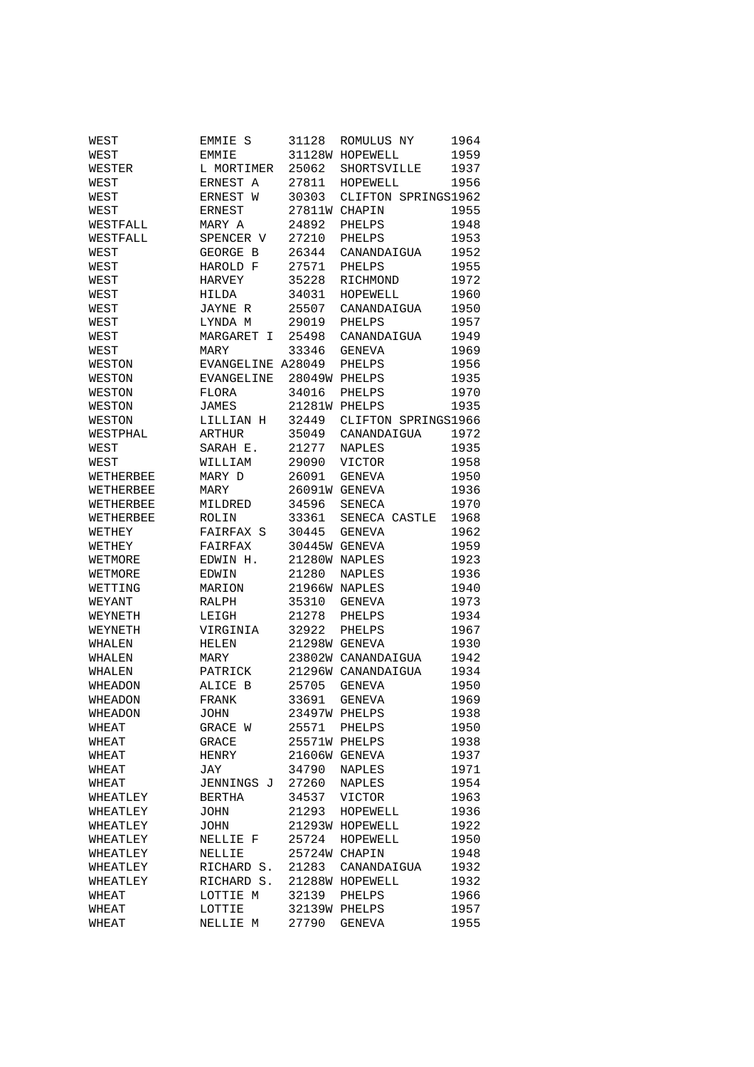| WEST      | EMMIE S        | 31128         | ROMULUS NY          | 1964 |
|-----------|----------------|---------------|---------------------|------|
| WEST      | <b>EMMIE</b>   | 31128W        | HOPEWELL            | 1959 |
| WESTER    | L MORTIMER     | 25062         | SHORTSVILLE         | 1937 |
| WEST      | ERNEST A       | 27811         | HOPEWELL            | 1956 |
| WEST      | ERNEST W       | 30303         | CLIFTON SPRINGS1962 |      |
| WEST      | <b>ERNEST</b>  | 27811W CHAPIN |                     | 1955 |
| WESTFALL  | MARY A         | 24892         | PHELPS              | 1948 |
| WESTFALL  | SPENCER V      | 27210         | PHELPS              | 1953 |
| WEST      | GEORGE<br>B    | 26344         | CANANDAIGUA         | 1952 |
| WEST      | HAROLD F       | 27571         | PHELPS              | 1955 |
| WEST      | <b>HARVEY</b>  | 35228         | RICHMOND            | 1972 |
| WEST      | HILDA          | 34031         | HOPEWELL            | 1960 |
| WEST      | <b>JAYNE R</b> | 25507         | CANANDAIGUA         | 1950 |
| WEST      | LYNDA M        | 29019         | PHELPS              | 1957 |
| WEST      | MARGARET<br>I  | 25498         | CANANDAIGUA         | 1949 |
| WEST      | MARY           | 33346         | <b>GENEVA</b>       | 1969 |
| WESTON    | EVANGELINE     | A28049        | PHELPS              | 1956 |
| WESTON    | EVANGELINE     | 28049W        | PHELPS              | 1935 |
| WESTON    | FLORA          | 34016         | PHELPS              | 1970 |
| WESTON    | JAMES          | 21281W PHELPS |                     | 1935 |
| WESTON    | LILLIAN H      | 32449         | CLIFTON SPRINGS1966 |      |
| WESTPHAL  | ARTHUR         | 35049         | CANANDAIGUA         | 1972 |
| WEST      | SARAH E.       | 21277         | NAPLES              | 1935 |
| WEST      | WILLIAM        | 29090         | <b>VICTOR</b>       | 1958 |
| WETHERBEE | MARY D         | 26091         | <b>GENEVA</b>       | 1950 |
| WETHERBEE | MARY           | 26091W GENEVA |                     | 1936 |
| WETHERBEE | MILDRED        | 34596         | SENECA              | 1970 |
| WETHERBEE | ROLIN          | 33361         | SENECA CASTLE       | 1968 |
| WETHEY    | FAIRFAX S      | 30445         | <b>GENEVA</b>       | 1962 |
| WETHEY    | FAIRFAX        | 30445W GENEVA |                     | 1959 |
| WETMORE   | EDWIN H.       | 21280W NAPLES |                     | 1923 |
| WETMORE   | EDWIN          | 21280         | NAPLES              | 1936 |
| WETTING   | MARION         | 21966W NAPLES |                     | 1940 |
| WEYANT    | RALPH          | 35310         | GENEVA              | 1973 |
| WEYNETH   | LEIGH          | 21278         | PHELPS              | 1934 |
| WEYNETH   | VIRGINIA       | 32922         | PHELPS              | 1967 |
| WHALEN    | HELEN          | 21298W GENEVA |                     | 1930 |
| WHALEN    | MARY           |               | 23802W CANANDAIGUA  | 1942 |
| WHALEN    | PATRICK        |               | 21296W CANANDAIGUA  | 1934 |
| WHEADON   | ALICE B        | 25705         | <b>GENEVA</b>       | 1950 |
| WHEADON   | FRANK          | 33691         | <b>GENEVA</b>       | 1969 |
| WHEADON   | JOHN           | 23497W PHELPS |                     | 1938 |
| WHEAT     | GRACE W        | 25571         | PHELPS              | 1950 |
| WHEAT     | GRACE          | 25571W PHELPS |                     | 1938 |
| WHEAT     | <b>HENRY</b>   | 21606W GENEVA |                     | 1937 |
| WHEAT     | JAY            | 34790         | NAPLES              | 1971 |
| WHEAT     | JENNINGS J     | 27260         | NAPLES              | 1954 |
| WHEATLEY  | <b>BERTHA</b>  | 34537         | <b>VICTOR</b>       | 1963 |
| WHEATLEY  | JOHN           | 21293         | HOPEWELL            | 1936 |
| WHEATLEY  | JOHN           |               | 21293W HOPEWELL     | 1922 |
| WHEATLEY  | NELLIE F       | 25724         | HOPEWELL            | 1950 |
| WHEATLEY  | NELLIE         | 25724W CHAPIN |                     | 1948 |
| WHEATLEY  | RICHARD S.     | 21283         | CANANDAIGUA         | 1932 |
| WHEATLEY  | RICHARD S.     |               | 21288W HOPEWELL     | 1932 |
| WHEAT     | LOTTIE M       | 32139         | PHELPS              | 1966 |
| WHEAT     | LOTTIE         | 32139W PHELPS |                     | 1957 |
| WHEAT     | NELLIE M       | 27790         | <b>GENEVA</b>       | 1955 |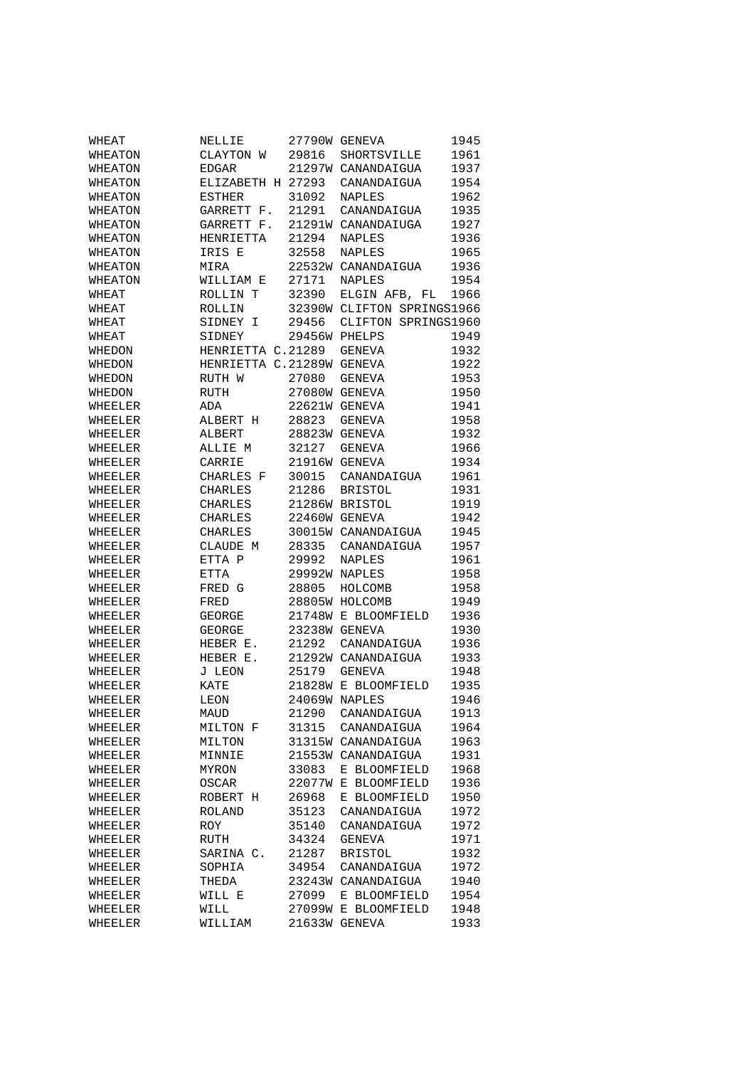| WHEAT              | NELLIE                    | 27790W          | <b>GENEVA</b>                      | 1945         |
|--------------------|---------------------------|-----------------|------------------------------------|--------------|
| WHEATON            | CLAYTON W                 | 29816           | SHORTSVILLE                        | 1961         |
| WHEATON            | <b>EDGAR</b>              | 21297W          | CANANDAIGUA                        | 1937         |
| WHEATON            | ELIZABETH H 27293         |                 | CANANDAIGUA                        | 1954         |
| WHEATON            | ESTHER                    | 31092           | NAPLES                             | 1962         |
| WHEATON            | GARRETT F.                | 21291           | CANANDAIGUA                        | 1935         |
| WHEATON            | GARRETT F.                | 21291W          | CANANDAIUGA                        | 1927         |
| WHEATON            | HENRIETTA                 | 21294           | NAPLES                             | 1936         |
| WHEATON            | IRIS E                    | 32558           | NAPLES                             | 1965         |
| WHEATON            | MIRA                      | 22532W          | CANANDAIGUA                        | 1936         |
| WHEATON            | WILLIAM E                 | 27171           | <b>NAPLES</b>                      | 1954         |
| WHEAT              | ROLLIN T                  | 32390           | ELGIN AFB, FL                      | 1966         |
| WHEAT              | ROLLIN                    | 32390W          | CLIFTON SPRINGS1966                |              |
| WHEAT              | SIDNEY I                  | 29456           | CLIFTON SPRINGS1960                |              |
| WHEAT              | SIDNEY                    | 29456W          | PHELPS                             | 1949         |
| WHEDON             | HENRIETTA C.21289         |                 | <b>GENEVA</b>                      | 1932         |
| WHEDON             | HENRIETTA C.21289W        |                 | GENEVA                             | 1922         |
| WHEDON             | RUTH W                    | 27080           | <b>GENEVA</b>                      | 1953         |
| WHEDON             | <b>RUTH</b>               | 27080W          | <b>GENEVA</b>                      | 1950         |
| WHEELER            | ADA                       | 22621W          | <b>GENEVA</b>                      | 1941         |
| WHEELER            | ALBERT H                  | 28823           | <b>GENEVA</b>                      | 1958         |
| WHEELER            | ALBERT                    | 28823W          | <b>GENEVA</b>                      | 1932         |
| WHEELER            | ALLIE M                   | 32127           | <b>GENEVA</b>                      | 1966         |
| WHEELER            | CARRIE                    | 21916W          | <b>GENEVA</b>                      | 1934         |
| WHEELER            | CHARLES F                 | 30015           | CANANDAIGUA                        | 1961         |
| WHEELER            | CHARLES                   | 21286           | <b>BRISTOL</b>                     | 1931         |
| WHEELER            | CHARLES                   | 21286W          | <b>BRISTOL</b>                     | 1919         |
| WHEELER            | CHARLES                   | 22460W          | GENEVA                             | 1942         |
| WHEELER            | CHARLES                   | 30015W          | CANANDAIGUA                        | 1945         |
| WHEELER            | CLAUDE M                  | 28335           | CANANDAIGUA                        | 1957         |
| WHEELER            | ETTA P                    | 29992           | NAPLES                             | 1961         |
| WHEELER            | ETTA                      | 29992W          | NAPLES                             | 1958         |
| WHEELER            | FRED G                    | 28805           | HOLCOMB                            | 1958         |
| WHEELER            | FRED                      | 28805W          | HOLCOMB                            | 1949         |
| WHEELER            | GEORGE                    | 21748W          | E BLOOMFIELD                       | 1936         |
| WHEELER            | GEORGE                    | 23238W          | <b>GENEVA</b>                      | 1930         |
| WHEELER            | HEBER E.                  | 21292           | CANANDAIGUA                        | 1936         |
| WHEELER            | HEBER E.                  | 21292W          | CANANDAIGUA                        | 1933         |
| WHEELER            | J LEON                    | 25179           | <b>GENEVA</b>                      | 1948         |
| WHEELER            | KATE                      |                 | 21828W E BLOOMFIELD                | 1935         |
| WHEELER            | LEON                      |                 | 24069W NAPLES                      | 1946         |
| WHEELER            | MAUD                      | 21290           | CANANDAIGUA                        | 1913         |
| WHEELER            | MILTON F                  | 31315           | CANANDAIGUA                        | 1964         |
| WHEELER            | MILTON                    |                 | 31315W CANANDAIGUA                 | 1963         |
| WHEELER            | MINNIE<br><b>MYRON</b>    |                 | 21553W CANANDAIGUA<br>E BLOOMFIELD | 1931         |
| WHEELER            | OSCAR                     | 33083<br>22077W |                                    | 1968<br>1936 |
| WHEELER            |                           | 26968           | E BLOOMFIELD                       | 1950         |
| WHEELER<br>WHEELER | ROBERT H<br><b>ROLAND</b> | 35123           | E BLOOMFIELD<br>CANANDAIGUA        | 1972         |
| WHEELER            | ROY                       | 35140           | CANANDAIGUA                        | 1972         |
| WHEELER            |                           |                 |                                    | 1971         |
| WHEELER            | RUTH<br>SARINA C.         | 34324<br>21287  | GENEVA<br><b>BRISTOL</b>           | 1932         |
| WHEELER            | SOPHIA                    | 34954           | CANANDAIGUA                        | 1972         |
| WHEELER            | THEDA                     | 23243W          | CANANDAIGUA                        | 1940         |
| WHEELER            | WILL E                    | 27099           | E BLOOMFIELD                       | 1954         |
| WHEELER            | WILL                      | 27099W          | E BLOOMFIELD                       | 1948         |
| WHEELER            | WILLIAM                   |                 | 21633W GENEVA                      | 1933         |
|                    |                           |                 |                                    |              |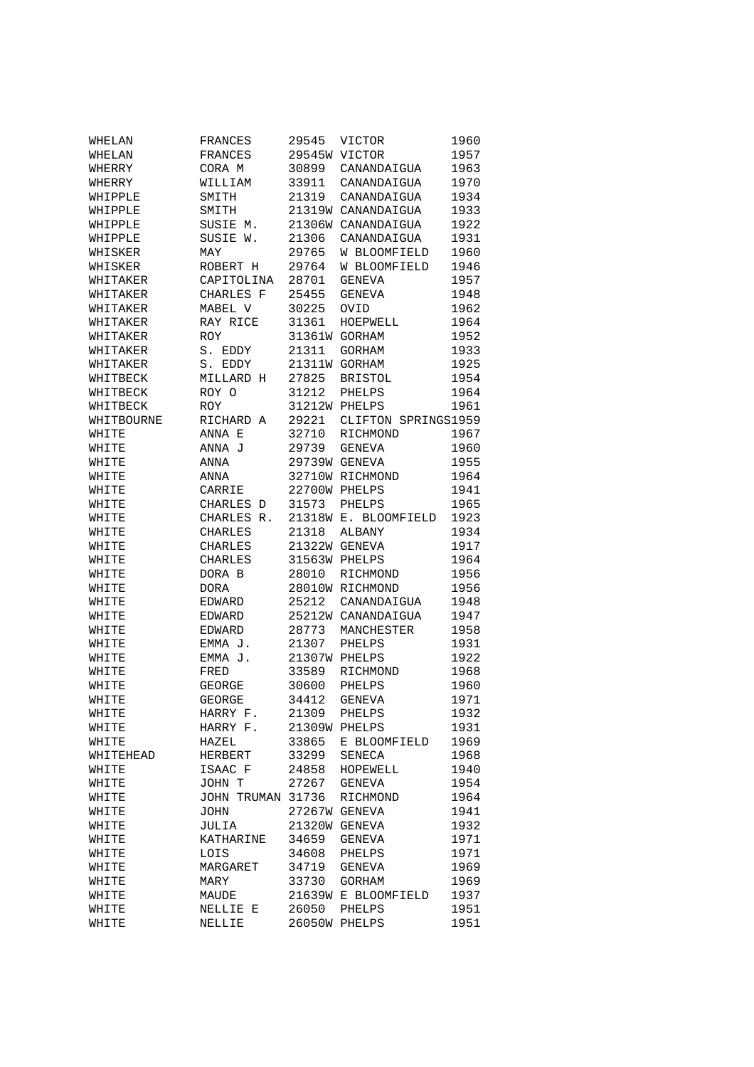| WHELAN     | FRANCES                     | 29545         | VICTOR                    | 1960 |
|------------|-----------------------------|---------------|---------------------------|------|
| WHELAN     | FRANCES                     |               | 29545W VICTOR             | 1957 |
| WHERRY     | CORA M                      | 30899         | CANANDAIGUA               | 1963 |
| WHERRY     | WILLIAM                     | 33911         | CANANDAIGUA               | 1970 |
| WHIPPLE    | SMITH                       | 21319         | CANANDAIGUA               | 1934 |
| WHIPPLE    | SMITH                       | 21319W        | CANANDAIGUA               | 1933 |
| WHIPPLE    | SUSIE M.                    | 21306W        | CANANDAIGUA               | 1922 |
| WHIPPLE    | SUSIE W.                    | 21306         | CANANDAIGUA               | 1931 |
| WHISKER    | MAY                         | 29765         | W BLOOMFIELD              | 1960 |
| WHISKER    | ROBERT H                    | 29764         | W BLOOMFIELD              | 1946 |
| WHITAKER   | CAPITOLINA                  | 28701         | GENEVA                    | 1957 |
| WHITAKER   | CHARLES F                   | 25455         | <b>GENEVA</b>             | 1948 |
|            | MABEL V                     | 30225         | OVID                      | 1962 |
| WHITAKER   |                             |               |                           |      |
| WHITAKER   | RAY RICE                    | 31361         | HOEPWELL                  | 1964 |
| WHITAKER   | <b>ROY</b>                  |               | 31361W GORHAM             | 1952 |
| WHITAKER   | S. EDDY                     | 21311         | GORHAM                    | 1933 |
| WHITAKER   | S.<br>EDDY                  | 21311W        | GORHAM                    | 1925 |
| WHITBECK   | MILLARD H                   | 27825         | <b>BRISTOL</b>            | 1954 |
| WHITBECK   | ROY O                       | 31212         | PHELPS                    | 1964 |
| WHITBECK   | ROY                         | 31212W PHELPS |                           | 1961 |
| WHITBOURNE | RICHARD A                   | 29221         | CLIFTON SPRINGS1959       |      |
| WHITE      | ANNA E                      | 32710         | RICHMOND                  | 1967 |
| WHITE      | ANNA J                      | 29739         | <b>GENEVA</b>             | 1960 |
| WHITE      | ANNA                        |               | 29739W GENEVA             | 1955 |
| WHITE      | ANNA                        |               | 32710W RICHMOND           | 1964 |
| WHITE      | CARRIE                      | 22700W PHELPS |                           | 1941 |
| WHITE      | CHARLES D                   | 31573         | PHELPS                    | 1965 |
| WHITE      | CHARLES R.                  |               | 21318W E. BLOOMFIELD      | 1923 |
| WHITE      | CHARLES                     | 21318         | ALBANY                    | 1934 |
| WHITE      | CHARLES                     |               | 21322W GENEVA             | 1917 |
| WHITE      | CHARLES                     | 31563W        | PHELPS                    | 1964 |
| WHITE      | DORA B                      | 28010         | RICHMOND                  | 1956 |
| WHITE      | <b>DORA</b>                 |               | 28010W RICHMOND           | 1956 |
| WHITE      | EDWARD                      | 25212         | CANANDAIGUA               | 1948 |
| WHITE      | EDWARD                      |               | 25212W CANANDAIGUA        | 1947 |
| WHITE      | EDWARD                      | 28773         | MANCHESTER                | 1958 |
| WHITE      | EMMA J.                     | 21307         | PHELPS                    | 1931 |
| WHITE      | EMMA J.                     | 21307W PHELPS |                           | 1922 |
| WHITE      | FRED                        | 33589         | RICHMOND                  | 1968 |
| WHITE      | GEORGE                      | 30600         | PHELPS                    | 1960 |
| WHITE      | GEORGE                      | 34412         | <b>GENEVA</b>             | 1971 |
| WHITE      | HARRY F.                    | 21309         | PHELPS                    | 1932 |
| WHITE      | HARRY F.                    |               | 21309W PHELPS             | 1931 |
| WHITE      | HAZEL                       | 33865         | E BLOOMFIELD              | 1969 |
| WHITEHEAD  | HERBERT                     | 33299         | SENECA                    | 1968 |
| WHITE      | ISAAC F                     | 24858         | HOPEWELL                  | 1940 |
|            |                             | 27267         | <b>GENEVA</b>             | 1954 |
| WHITE      | JOHN T<br>JOHN TRUMAN 31736 |               |                           | 1964 |
| WHITE      |                             |               | RICHMOND<br>27267W GENEVA | 1941 |
| WHITE      | JOHN                        |               |                           |      |
| WHITE      | JULIA                       |               | 21320W GENEVA             | 1932 |
| WHITE      | KATHARINE                   | 34659         | GENEVA                    | 1971 |
| WHITE      | LOIS                        | 34608         | PHELPS                    | 1971 |
| WHITE      | MARGARET                    | 34719         | GENEVA                    | 1969 |
| WHITE      | MARY                        | 33730         | GORHAM                    | 1969 |
| WHITE      | MAUDE                       |               | 21639W E BLOOMFIELD       | 1937 |
| WHITE      | NELLIE E                    | 26050         | PHELPS                    | 1951 |
| WHITE      | NELLIE                      | 26050W PHELPS |                           | 1951 |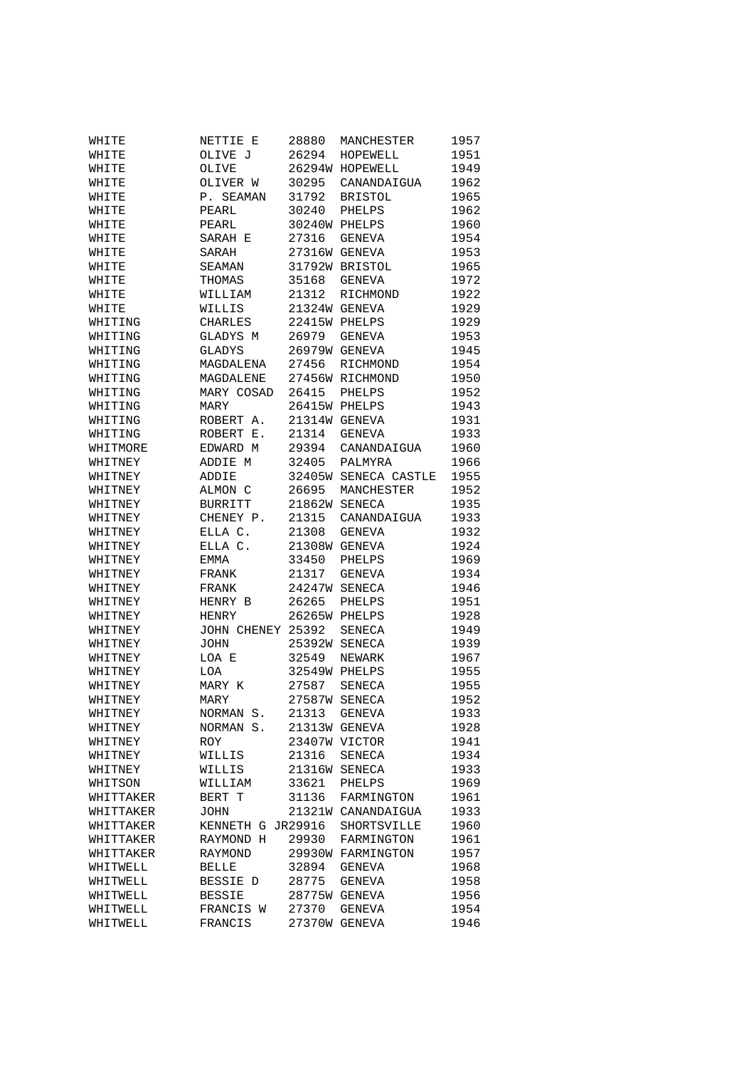| WHITE     | NETTIE E          | 28880         | MANCHESTER         | 1957 |
|-----------|-------------------|---------------|--------------------|------|
| WHITE     | OLIVE J           | 26294         | HOPEWELL           | 1951 |
| WHITE     | OLIVE             | 26294W        | HOPEWELL           | 1949 |
| WHITE     | OLIVER W          | 30295         | CANANDAIGUA        | 1962 |
| WHITE     | P. SEAMAN         | 31792         | <b>BRISTOL</b>     | 1965 |
| WHITE     | PEARL             | 30240         | PHELPS             | 1962 |
| WHITE     | PEARL             | 30240W        | PHELPS             | 1960 |
| WHITE     | SARAH E           | 27316         | <b>GENEVA</b>      | 1954 |
| WHITE     | SARAH             |               | 27316W GENEVA      | 1953 |
| WHITE     | SEAMAN            | 31792W        | <b>BRISTOL</b>     | 1965 |
| WHITE     | THOMAS            | 35168         | <b>GENEVA</b>      | 1972 |
| WHITE     | WILLIAM           | 21312         | RICHMOND           | 1922 |
| WHITE     | WILLIS            | 21324W GENEVA |                    | 1929 |
| WHITING   | CHARLES           | 22415W        | PHELPS             | 1929 |
| WHITING   | GLADYS M          | 26979         | <b>GENEVA</b>      | 1953 |
| WHITING   | GLADYS            | 26979W        | <b>GENEVA</b>      | 1945 |
| WHITING   | MAGDALENA         | 27456         | RICHMOND           | 1954 |
| WHITING   | MAGDALENE         | 27456W        | RICHMOND           | 1950 |
| WHITING   | MARY COSAD        | 26415         | PHELPS             | 1952 |
| WHITING   | MARY              | 26415W PHELPS |                    | 1943 |
| WHITING   | ROBERT A.         |               | 21314W GENEVA      | 1931 |
| WHITING   | ROBERT E.         | 21314         | <b>GENEVA</b>      | 1933 |
| WHITMORE  | EDWARD M          | 29394         | CANANDAIGUA        | 1960 |
| WHITNEY   | ADDIE M           | 32405         | PALMYRA            | 1966 |
| WHITNEY   | ADDIE             | 32405W        | SENECA CASTLE      | 1955 |
| WHITNEY   | ALMON C           | 26695         | MANCHESTER         | 1952 |
| WHITNEY   | <b>BURRITT</b>    | 21862W        | SENECA             | 1935 |
| WHITNEY   | CHENEY P.         | 21315         | CANANDAIGUA        | 1933 |
| WHITNEY   | ELLA C.           | 21308         | GENEVA             | 1932 |
| WHITNEY   | ELLA C.           | 21308W        | <b>GENEVA</b>      | 1924 |
| WHITNEY   | EMMA              | 33450         | PHELPS             | 1969 |
| WHITNEY   | FRANK             | 21317         | GENEVA             | 1934 |
| WHITNEY   | FRANK             | 24247W        | SENECA             | 1946 |
| WHITNEY   | HENRY B           | 26265         | PHELPS             | 1951 |
| WHITNEY   | HENRY             | 26265W        | PHELPS             | 1928 |
| WHITNEY   | JOHN CHENEY 25392 |               | SENECA             | 1949 |
| WHITNEY   | JOHN              | 25392W        | SENECA             | 1939 |
| WHITNEY   | LOA E             | 32549         | NEWARK             | 1967 |
| WHITNEY   | LOA               | 32549W        | PHELPS             | 1955 |
| WHITNEY   | MARY K            | 27587         | SENECA             | 1955 |
| WHITNEY   | MARY              | 27587W SENECA |                    | 1952 |
| WHITNEY   | NORMAN S.         | 21313         | GENEVA             | 1933 |
| WHITNEY   | NORMAN S.         |               | 21313W GENEVA      | 1928 |
| WHITNEY   | ROY               |               | 23407W VICTOR      | 1941 |
| WHITNEY   | WILLIS            | 21316         | SENECA             | 1934 |
| WHITNEY   | WILLIS            | 21316W        | SENECA             | 1933 |
| WHITSON   | WILLIAM           | 33621         | PHELPS             | 1969 |
| WHITTAKER | BERT T            | 31136         | FARMINGTON         | 1961 |
| WHITTAKER | JOHN              |               | 21321W CANANDAIGUA | 1933 |
| WHITTAKER | KENNETH G JR29916 |               | SHORTSVILLE        | 1960 |
| WHITTAKER | RAYMOND H         | 29930         | FARMINGTON         | 1961 |
| WHITTAKER | RAYMOND           |               | 29930W FARMINGTON  | 1957 |
| WHITWELL  | <b>BELLE</b>      | 32894         | <b>GENEVA</b>      | 1968 |
| WHITWELL  | BESSIE D          | 28775         | GENEVA             | 1958 |
| WHITWELL  | <b>BESSIE</b>     | 28775W        | GENEVA             | 1956 |
| WHITWELL  | FRANCIS W         | 27370         | GENEVA             | 1954 |
| WHITWELL  | FRANCIS           | 27370W GENEVA |                    | 1946 |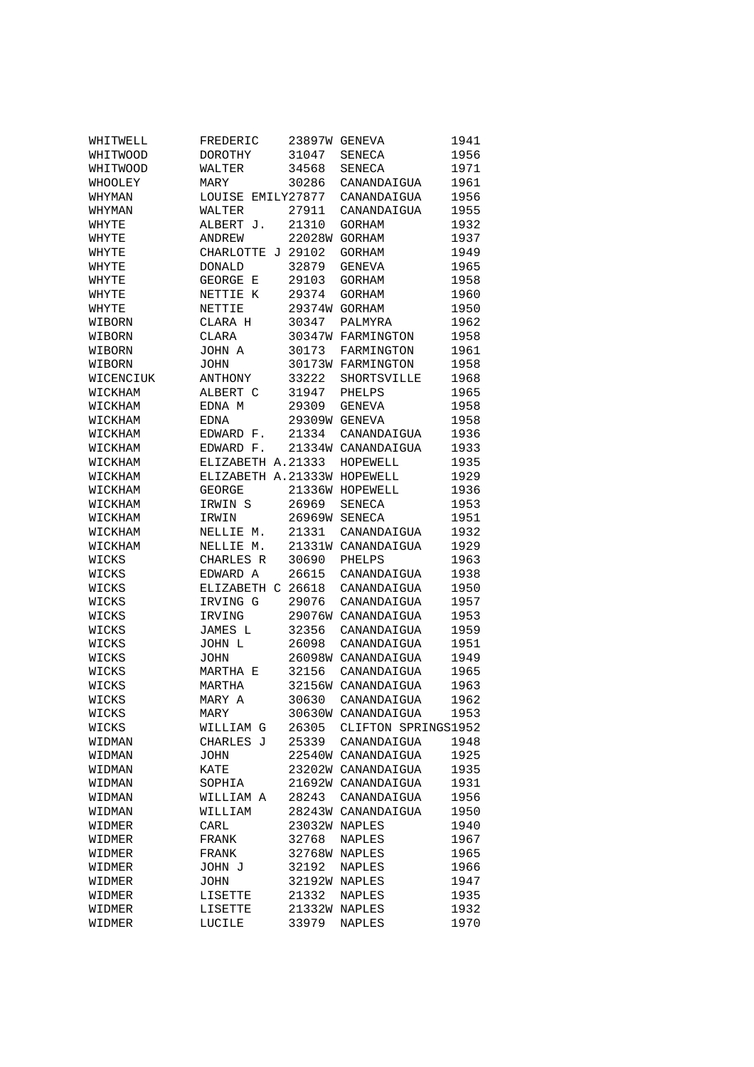| WHITWELL  | FREDERIC                    | 23897W  | GENEVA              | 1941 |
|-----------|-----------------------------|---------|---------------------|------|
| WHITWOOD  | DOROTHY                     | 31047   | SENECA              | 1956 |
| WHITWOOD  | WALTER                      | 34568   | <b>SENECA</b>       | 1971 |
| WHOOLEY   | MARY                        | 30286   | CANANDAIGUA         | 1961 |
| WHYMAN    | LOUISE EMILY27877           |         | CANANDAIGUA         | 1956 |
| WHYMAN    | WALTER                      | 27911   | CANANDAIGUA         | 1955 |
| WHYTE     | ALBERT J.                   | 21310   | GORHAM              | 1932 |
| WHYTE     | ANDREW                      | 22028W  | GORHAM              | 1937 |
| WHYTE     | CHARLOTTE                   | J 29102 | GORHAM              | 1949 |
| WHYTE     | <b>DONALD</b>               | 32879   | GENEVA              | 1965 |
| WHYTE     | GEORGE E                    | 29103   | GORHAM              | 1958 |
| WHYTE     | NETTIE K                    | 29374   | GORHAM              | 1960 |
| WHYTE     | NETTIE                      | 29374W  | GORHAM              | 1950 |
| WIBORN    | CLARA H                     | 30347   | PALMYRA             | 1962 |
| WIBORN    | CLARA                       | 30347W  | FARMINGTON          | 1958 |
| WIBORN    | JOHN A                      | 30173   | FARMINGTON          | 1961 |
| WIBORN    | <b>JOHN</b>                 | 30173W  | FARMINGTON          | 1958 |
| WICENCIUK | ANTHONY                     | 33222   | SHORTSVILLE         | 1968 |
| WICKHAM   | ALBERT C                    | 31947   | PHELPS              | 1965 |
| WICKHAM   | EDNA M                      | 29309   | GENEVA              | 1958 |
| WICKHAM   | EDNA                        |         | 29309W GENEVA       | 1958 |
| WICKHAM   | EDWARD F.                   | 21334   | CANANDAIGUA         | 1936 |
| WICKHAM   | EDWARD F.                   | 21334W  | CANANDAIGUA         | 1933 |
| WICKHAM   | ELIZABETH A.21333           |         | HOPEWELL            | 1935 |
| WICKHAM   | ELIZABETH A.21333W HOPEWELL |         |                     | 1929 |
| WICKHAM   | GEORGE                      |         | 21336W HOPEWELL     | 1936 |
| WICKHAM   | IRWIN S                     | 26969   | SENECA              | 1953 |
| WICKHAM   | IRWIN                       | 26969W  | SENECA              | 1951 |
| WICKHAM   | NELLIE M.                   | 21331   | CANANDAIGUA         | 1932 |
| WICKHAM   | NELLIE M.                   |         | 21331W CANANDAIGUA  | 1929 |
| WICKS     | CHARLES R                   | 30690   | PHELPS              | 1963 |
| WICKS     | EDWARD A                    | 26615   | CANANDAIGUA         | 1938 |
| WICKS     | ELIZABETH C                 | 26618   | CANANDAIGUA         | 1950 |
| WICKS     | IRVING G                    | 29076   | CANANDAIGUA         | 1957 |
| WICKS     | IRVING                      | 29076W  | CANANDAIGUA         | 1953 |
| WICKS     | JAMES L                     | 32356   | CANANDAIGUA         | 1959 |
| WICKS     | JOHN L                      | 26098   | CANANDAIGUA         | 1951 |
| WICKS     | JOHN                        |         | 26098W CANANDAIGUA  | 1949 |
| WICKS     | MARTHA E                    | 32156   | CANANDAIGUA         | 1965 |
| WICKS     | MARTHA                      | 32156W  | CANANDAIGUA         | 1963 |
| WICKS     | MARY A                      | 30630   | CANANDAIGUA         | 1962 |
| WICKS     | MARY                        |         | 30630W CANANDAIGUA  | 1953 |
| WICKS     | WILLIAM G                   | 26305   | CLIFTON SPRINGS1952 |      |
| WIDMAN    | CHARLES J                   | 25339   | CANANDAIGUA         | 1948 |
| WIDMAN    | <b>JOHN</b>                 |         | 22540W CANANDAIGUA  | 1925 |
| WIDMAN    | KATE                        |         | 23202W CANANDAIGUA  | 1935 |
| WIDMAN    | SOPHIA                      |         | 21692W CANANDAIGUA  | 1931 |
| WIDMAN    | WILLIAM A                   | 28243   | CANANDAIGUA         | 1956 |
| WIDMAN    | WILLIAM                     |         | 28243W CANANDAIGUA  | 1950 |
| WIDMER    | CARL                        | 23032W  | NAPLES              | 1940 |
| WIDMER    | FRANK                       | 32768   | <b>NAPLES</b>       | 1967 |
| WIDMER    | FRANK                       | 32768W  | <b>NAPLES</b>       | 1965 |
| WIDMER    | JOHN J                      | 32192   | NAPLES              | 1966 |
| WIDMER    | <b>JOHN</b>                 | 32192W  | <b>NAPLES</b>       | 1947 |
| WIDMER    | LISETTE                     | 21332   | NAPLES              | 1935 |
| WIDMER    | LISETTE                     | 21332W  | NAPLES              | 1932 |
| WIDMER    | LUCILE                      | 33979   | NAPLES              | 1970 |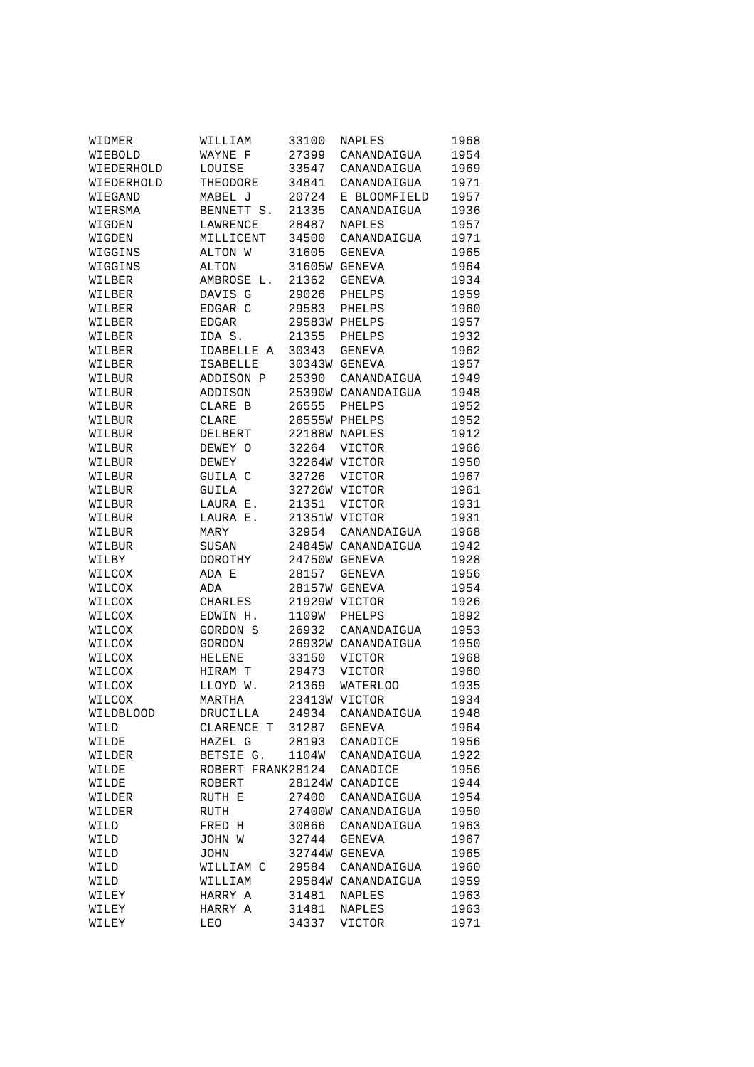| WIDMER           | WILLIAM           | 33100          | <b>NAPLES</b>                     | 1968         |
|------------------|-------------------|----------------|-----------------------------------|--------------|
| WIEBOLD          | WAYNE F           | 27399          | CANANDAIGUA                       | 1954         |
| WIEDERHOLD       | LOUISE            | 33547          | CANANDAIGUA                       | 1969         |
| WIEDERHOLD       | THEODORE          | 34841          | CANANDAIGUA                       | 1971         |
| WIEGAND          | MABEL J           | 20724          | E BLOOMFIELD                      | 1957         |
| WIERSMA          | BENNETT S.        | 21335          | CANANDAIGUA                       | 1936         |
| WIGDEN           | LAWRENCE          | 28487          | NAPLES                            | 1957         |
| WIGDEN           | MILLICENT         | 34500          | CANANDAIGUA                       | 1971         |
| WIGGINS          | ALTON W           | 31605          | GENEVA                            | 1965         |
| WIGGINS          | ALTON             |                | 31605W GENEVA                     | 1964         |
| WILBER           | AMBROSE L.        | 21362          | <b>GENEVA</b>                     | 1934         |
| WILBER           | DAVIS G           | 29026          | PHELPS                            | 1959         |
| WILBER           | EDGAR C           | 29583          | PHELPS                            | 1960         |
| WILBER           | EDGAR             | 29583W PHELPS  |                                   | 1957         |
| WILBER           | IDA S.            | 21355          | PHELPS                            | 1932         |
| WILBER           | IDABELLE A        | 30343          | GENEVA                            | 1962         |
| WILBER           | <b>ISABELLE</b>   |                | 30343W GENEVA                     | 1957         |
| WILBUR           | ADDISON P         | 25390          | CANANDAIGUA                       | 1949         |
| WILBUR           | ADDISON           |                | 25390W CANANDAIGUA                | 1948         |
| WILBUR           | CLARE B           | 26555          | PHELPS                            | 1952         |
| WILBUR           | <b>CLARE</b>      | 26555W PHELPS  |                                   | 1952         |
| WILBUR           | <b>DELBERT</b>    | 22188W NAPLES  |                                   | 1912         |
| WILBUR           | DEWEY O           | 32264          | <b>VICTOR</b>                     | 1966         |
| WILBUR           | <b>DEWEY</b>      |                | 32264W VICTOR                     | 1950         |
| WILBUR           | <b>GUILA C</b>    | 32726          | <b>VICTOR</b>                     | 1967         |
| WILBUR           | GUILA             |                | 32726W VICTOR                     | 1961         |
| WILBUR           | LAURA E.          | 21351          | <b>VICTOR</b>                     | 1931         |
| WILBUR           | LAURA E.          | 21351W VICTOR  |                                   | 1931         |
| WILBUR           | MARY              | 32954          | CANANDAIGUA                       | 1968         |
| WILBUR           | SUSAN             |                | 24845W CANANDAIGUA                | 1942         |
| WILBY            | DOROTHY           | 24750W GENEVA  |                                   | 1928         |
| WILCOX           | ADA E             | 28157          | GENEVA                            | 1956         |
|                  |                   |                | 28157W GENEVA                     | 1954         |
| WILCOX<br>WILCOX | ADA               |                | 21929W VICTOR                     | 1926         |
|                  | CHARLES           |                |                                   |              |
| WILCOX           | EDWIN H.          | 1109W<br>26932 | PHELPS                            | 1892         |
| WILCOX<br>WILCOX | GORDON S          |                | CANANDAIGUA<br>26932W CANANDAIGUA | 1953<br>1950 |
|                  | GORDON            |                |                                   |              |
| WILCOX<br>WILCOX | <b>HELENE</b>     | 33150          | <b>VICTOR</b>                     | 1968<br>1960 |
|                  | HIRAM T           | 29473          | <b>VICTOR</b>                     |              |
| WILCOX           | LLOYD W.          | 21369          | <b>WATERLOO</b>                   | 1935         |
| WILCOX           | MARTHA            | 23413W VICTOR  |                                   | 1934         |
| WILDBLOOD        | DRUCILLA          | 24934          | CANANDAIGUA                       | 1948         |
| WILD             | CLARENCE T 31287  |                | <b>GENEVA</b>                     | 1964         |
| WILDE            | HAZEL G           | 28193          | CANADICE                          | 1956         |
| WILDER           | BETSIE G.         | 1104W          | CANANDAIGUA                       | 1922         |
| WILDE            | ROBERT FRANK28124 |                | CANADICE                          | 1956         |
| WILDE            | ROBERT            |                | 28124W CANADICE                   | 1944         |
| WILDER           | RUTH E            | 27400          | CANANDAIGUA                       | 1954         |
| WILDER           | RUTH              |                | 27400W CANANDAIGUA                | 1950         |
| WILD             | FRED H            | 30866          | CANANDAIGUA                       | 1963         |
| WILD             | JOHN W            | 32744          | <b>GENEVA</b>                     | 1967         |
| WILD             | JOHN              |                | 32744W GENEVA                     | 1965         |
| WILD             | WILLIAM C         | 29584          | CANANDAIGUA                       | 1960         |
| WILD             | WILLIAM           |                | 29584W CANANDAIGUA                | 1959         |
| WILEY            | HARRY A           | 31481          | <b>NAPLES</b>                     | 1963         |
| WILEY            | HARRY A           | 31481          | NAPLES                            | 1963         |
| WILEY            | LEO               | 34337          | VICTOR                            | 1971         |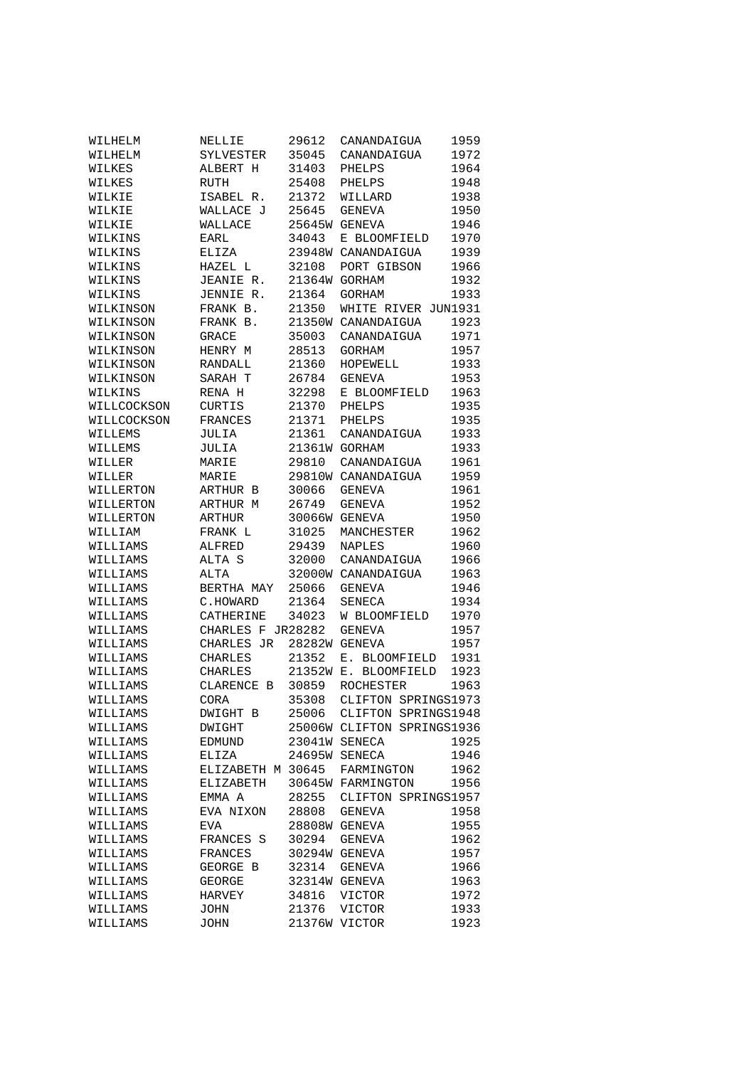| WILHELM     | NELLIE            | 29612         | CANANDAIGUA             | 1959 |
|-------------|-------------------|---------------|-------------------------|------|
| WILHELM     | SYLVESTER         | 35045         | CANANDAIGUA             | 1972 |
| WILKES      | ALBERT H          | 31403         | PHELPS                  | 1964 |
| WILKES      | RUTH              | 25408         | PHELPS                  | 1948 |
| WILKIE      | ISABEL R.         | 21372         | WILLARD                 | 1938 |
| WILKIE      | WALLACE J         | 25645         | GENEVA                  | 1950 |
| WILKIE      | WALLACE           | 25645W        | GENEVA                  | 1946 |
| WILKINS     | <b>EARL</b>       | 34043         | E BLOOMFIELD            | 1970 |
| WILKINS     | ELIZA             | 23948W        | CANANDAIGUA             | 1939 |
| WILKINS     | HAZEL L           | 32108         | PORT GIBSON             | 1966 |
| WILKINS     | JEANIE R.         | 21364W        | <b>GORHAM</b>           | 1932 |
| WILKINS     | JENNIE R.         | 21364         | <b>GORHAM</b>           | 1933 |
| WILKINSON   | FRANK B.          | 21350         | WHITE RIVER JUN1931     |      |
| WILKINSON   | FRANK B.          | 21350W        | CANANDAIGUA             | 1923 |
| WILKINSON   | <b>GRACE</b>      | 35003         | CANANDAIGUA             | 1971 |
| WILKINSON   | HENRY M           | 28513         | GORHAM                  | 1957 |
| WILKINSON   | RANDALL           | 21360         | HOPEWELL                | 1933 |
| WILKINSON   | SARAH T           | 26784         | <b>GENEVA</b>           | 1953 |
| WILKINS     | RENA H            | 32298         | E BLOOMFIELD            | 1963 |
| WILLCOCKSON | <b>CURTIS</b>     | 21370         | PHELPS                  | 1935 |
| WILLCOCKSON | FRANCES           | 21371         | PHELPS                  | 1935 |
| WILLEMS     | JULIA             | 21361         | CANANDAIGUA             | 1933 |
| WILLEMS     | JULIA             | 21361W        | <b>GORHAM</b>           | 1933 |
| WILLER      | MARIE             | 29810         | CANANDAIGUA             | 1961 |
| WILLER      | MARIE             | 29810W        | CANANDAIGUA             | 1959 |
| WILLERTON   | ARTHUR B          | 30066         | <b>GENEVA</b>           | 1961 |
| WILLERTON   | ARTHUR M          | 26749         | GENEVA                  | 1952 |
| WILLERTON   | <b>ARTHUR</b>     | 30066W        | <b>GENEVA</b>           | 1950 |
| WILLIAM     | FRANK L           | 31025         | MANCHESTER              | 1962 |
| WILLIAMS    | ALFRED            | 29439         | NAPLES                  | 1960 |
| WILLIAMS    | ALTA S            | 32000         | CANANDAIGUA             | 1966 |
| WILLIAMS    | ALTA              | 32000W        | CANANDAIGUA             | 1963 |
| WILLIAMS    | BERTHA MAY        | 25066         | GENEVA                  | 1946 |
| WILLIAMS    | C.HOWARD          | 21364         | SENECA                  | 1934 |
| WILLIAMS    | CATHERINE         | 34023         | W BLOOMFIELD            | 1970 |
| WILLIAMS    | CHARLES F JR28282 |               | <b>GENEVA</b>           | 1957 |
| WILLIAMS    | CHARLES JR        | 28282W        | GENEVA                  | 1957 |
| WILLIAMS    | <b>CHARLES</b>    | 21352         | E. BLOOMFIELD           | 1931 |
| WILLIAMS    | <b>CHARLES</b>    | 21352W        | Ε.<br><b>BLOOMFIELD</b> | 1923 |
| WILLIAMS    | CLARENCE B        | 30859         | <b>ROCHESTER</b>        | 1963 |
| WILLIAMS    | CORA              | 35308         | CLIFTON SPRINGS1973     |      |
| WILLIAMS    | DWIGHT B          | 25006         | CLIFTON SPRINGS1948     |      |
| WILLIAMS    | DWIGHT            | 25006W        | CLIFTON SPRINGS1936     |      |
| WILLIAMS    | EDMUND            | 23041W        | SENECA                  | 1925 |
| WILLIAMS    | ELIZA             | 24695W        | SENECA                  | 1946 |
| WILLIAMS    | ELIZABETH M 30645 |               | FARMINGTON              | 1962 |
| WILLIAMS    | ELIZABETH         | 30645W        | FARMINGTON              | 1956 |
| WILLIAMS    | EMMA A            | 28255         | CLIFTON SPRINGS1957     |      |
| WILLIAMS    | EVA NIXON         | 28808         | GENEVA                  | 1958 |
| WILLIAMS    | EVA               | 28808W        | <b>GENEVA</b>           | 1955 |
| WILLIAMS    | FRANCES S         | 30294         | <b>GENEVA</b>           | 1962 |
| WILLIAMS    | FRANCES           | 30294W        | GENEVA                  | 1957 |
| WILLIAMS    | GEORGE B          | 32314         | GENEVA                  | 1966 |
| WILLIAMS    | <b>GEORGE</b>     | 32314W        | <b>GENEVA</b>           | 1963 |
| WILLIAMS    | HARVEY            | 34816         | VICTOR                  | 1972 |
| WILLIAMS    | JOHN              | 21376         | VICTOR                  | 1933 |
| WILLIAMS    | <b>JOHN</b>       | 21376W VICTOR |                         | 1923 |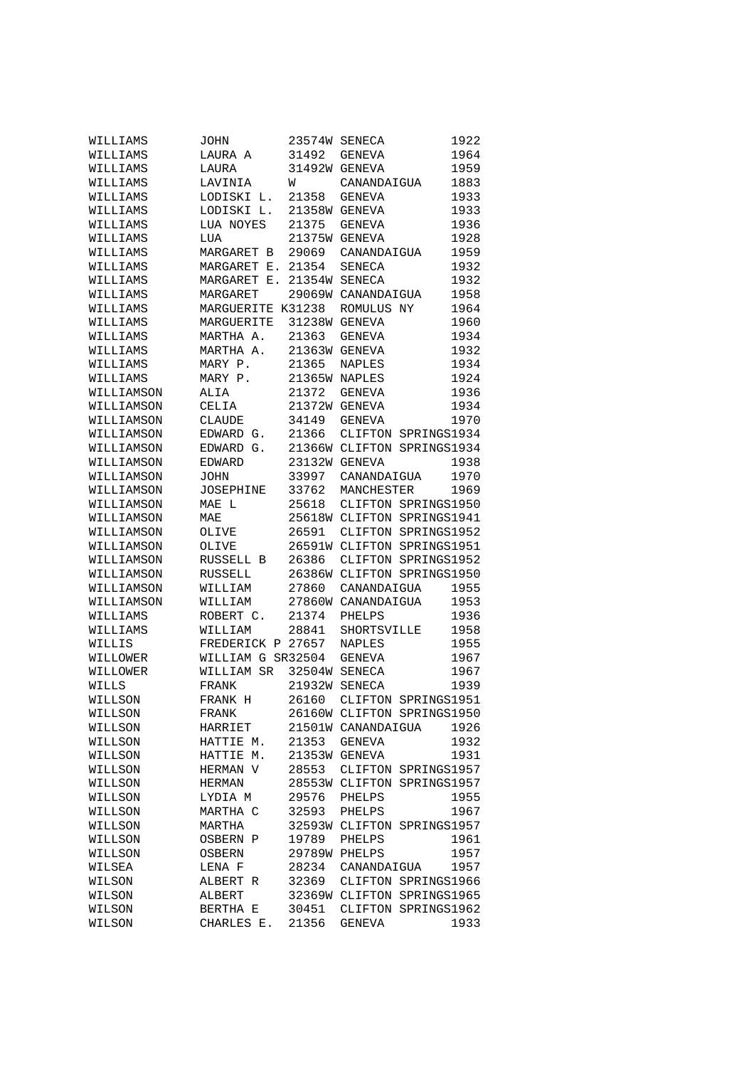| WILLIAMS   | JOHN              | 23574W | SENECA             | 1922                       |
|------------|-------------------|--------|--------------------|----------------------------|
| WILLIAMS   | LAURA A           | 31492  | GENEVA             | 1964                       |
| WILLIAMS   | LAURA             | 31492W | <b>GENEVA</b>      | 1959                       |
| WILLIAMS   | LAVINIA           | W      | CANANDAIGUA        | 1883                       |
| WILLIAMS   | LODISKI L.        | 21358  | <b>GENEVA</b>      | 1933                       |
| WILLIAMS   | LODISKI L.        | 21358W | <b>GENEVA</b>      | 1933                       |
| WILLIAMS   | LUA NOYES         | 21375  | <b>GENEVA</b>      | 1936                       |
| WILLIAMS   | LUA               |        | 21375W GENEVA      | 1928                       |
| WILLIAMS   | MARGARET B        | 29069  | CANANDAIGUA        | 1959                       |
| WILLIAMS   | MARGARET<br>Ε.    | 21354  | SENECA             | 1932                       |
| WILLIAMS   | MARGARET<br>Ε.    | 21354W | SENECA             | 1932                       |
| WILLIAMS   | MARGARET          | 29069W | CANANDAIGUA        | 1958                       |
| WILLIAMS   | MARGUERITE K31238 |        | ROMULUS NY         | 1964                       |
| WILLIAMS   | MARGUERITE        | 31238W | <b>GENEVA</b>      | 1960                       |
| WILLIAMS   | MARTHA A.         | 21363  | GENEVA             | 1934                       |
| WILLIAMS   | MARTHA A.         | 21363W | GENEVA             | 1932                       |
| WILLIAMS   | MARY P.           | 21365  | NAPLES             | 1934                       |
| WILLIAMS   | MARY P.           | 21365W | NAPLES             | 1924                       |
| WILLIAMSON | ALIA              | 21372  | GENEVA             | 1936                       |
| WILLIAMSON | CELIA             | 21372W | <b>GENEVA</b>      | 1934                       |
| WILLIAMSON | <b>CLAUDE</b>     | 34149  | <b>GENEVA</b>      | 1970                       |
| WILLIAMSON | EDWARD G.         | 21366  |                    | CLIFTON SPRINGS1934        |
| WILLIAMSON | EDWARD G.         | 21366W |                    | CLIFTON SPRINGS1934        |
| WILLIAMSON | EDWARD            | 23132W | <b>GENEVA</b>      | 1938                       |
| WILLIAMSON | <b>JOHN</b>       | 33997  | CANANDAIGUA        | 1970                       |
| WILLIAMSON | JOSEPHINE         | 33762  | MANCHESTER         | 1969                       |
| WILLIAMSON | MAE L             | 25618  |                    | CLIFTON SPRINGS1950        |
| WILLIAMSON | MAE               | 25618W |                    | CLIFTON SPRINGS1941        |
| WILLIAMSON | OLIVE             | 26591  |                    | CLIFTON SPRINGS1952        |
| WILLIAMSON | OLIVE             | 26591W |                    | CLIFTON SPRINGS1951        |
| WILLIAMSON | RUSSELL B         | 26386  |                    | CLIFTON SPRINGS1952        |
| WILLIAMSON | <b>RUSSELL</b>    |        |                    | 26386W CLIFTON SPRINGS1950 |
| WILLIAMSON | WILLIAM           | 27860  | CANANDAIGUA        | 1955                       |
| WILLIAMSON | WILLIAM           | 27860W | CANANDAIGUA        | 1953                       |
| WILLIAMS   | ROBERT C.         | 21374  | PHELPS             | 1936                       |
| WILLIAMS   | WILLIAM           | 28841  | SHORTSVILLE        | 1958                       |
| WILLIS     | FREDERICK P 27657 |        | NAPLES             | 1955                       |
| WILLOWER   | WILLIAM G SR32504 |        | GENEVA             | 1967                       |
| WILLOWER   | WILLIAM SR        | 32504W | SENECA             | 1967                       |
| WILLS      | FRANK             | 21932W | <b>SENECA</b>      | 1939                       |
| WILLSON    | FRANK H           | 26160  |                    | CLIFTON SPRINGS1951        |
| WILLSON    | FRANK             |        |                    | 26160W CLIFTON SPRINGS1950 |
| WILLSON    | HARRIET           |        | 21501W CANANDAIGUA | 1926                       |
| WILLSON    | HATTIE M.         | 21353  | <b>GENEVA</b>      | 1932                       |
| WILLSON    | HATTIE M.         |        | 21353W GENEVA      | 1931                       |
| WILLSON    | HERMAN V          | 28553  |                    | CLIFTON SPRINGS1957        |
| WILLSON    | <b>HERMAN</b>     | 28553W | CLIFTON            | SPRINGS1957                |
| WILLSON    | LYDIA M           | 29576  | PHELPS             | 1955                       |
| WILLSON    | MARTHA C          | 32593  | PHELPS             | 1967                       |
| WILLSON    | MARTHA            |        |                    | 32593W CLIFTON SPRINGS1957 |
| WILLSON    | OSBERN P          | 19789  | PHELPS             | 1961                       |
| WILLSON    | <b>OSBERN</b>     | 29789W | PHELPS             | 1957                       |
| WILSEA     | LENA F            | 28234  | CANANDAIGUA        | 1957                       |
| WILSON     | ALBERT R          | 32369  |                    | CLIFTON SPRINGS1966        |
| WILSON     | ALBERT            | 32369W |                    | CLIFTON SPRINGS1965        |
| WILSON     | BERTHA E          | 30451  |                    | CLIFTON SPRINGS1962        |
| WILSON     | CHARLES E.        | 21356  | <b>GENEVA</b>      | 1933                       |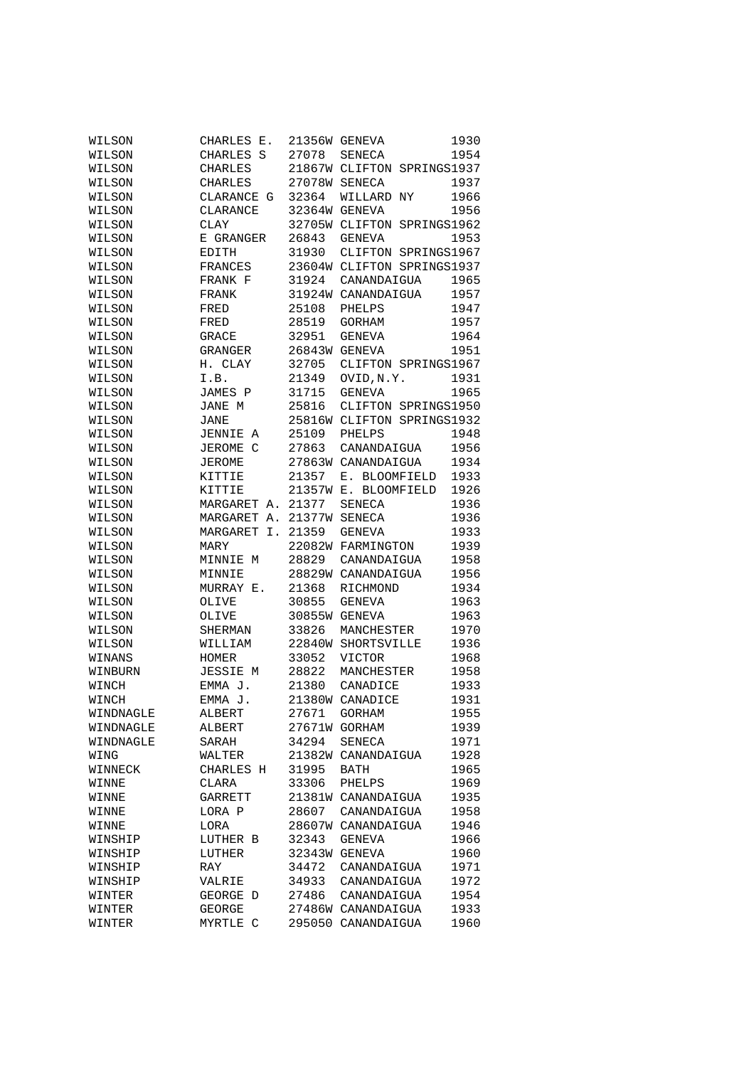| WILSON           | CHARLES E.      |        | 21356W GENEVA                     | 1930 |
|------------------|-----------------|--------|-----------------------------------|------|
| WILSON           | CHARLES<br>S    | 27078  | SENECA                            | 1954 |
| WILSON           | <b>CHARLES</b>  |        | 21867W CLIFTON SPRINGS1937        |      |
| WILSON           | <b>CHARLES</b>  |        | 27078W SENECA                     | 1937 |
| WILSON           | CLARANCE G      | 32364  | WILLARD NY                        | 1966 |
| WILSON           | <b>CLARANCE</b> |        | 32364W GENEVA                     | 1956 |
| WILSON           | <b>CLAY</b>     |        | 32705W CLIFTON SPRINGS1962        |      |
| WILSON           | E GRANGER       | 26843  | GENEVA                            | 1953 |
| WILSON           | EDITH           | 31930  | CLIFTON SPRINGS1967               |      |
| WILSON           | <b>FRANCES</b>  |        | 23604W CLIFTON SPRINGS1937        |      |
| WILSON           | FRANK F         | 31924  | CANANDAIGUA                       | 1965 |
| WILSON           | FRANK           |        | 31924W CANANDAIGUA                | 1957 |
| WILSON           | FRED            | 25108  | PHELPS                            | 1947 |
| WILSON           | FRED            | 28519  | GORHAM                            | 1957 |
| WILSON           | GRACE           | 32951  | GENEVA                            | 1964 |
| WILSON           | <b>GRANGER</b>  |        | 26843W GENEVA                     | 1951 |
| WILSON           | H. CLAY         | 32705  | CLIFTON SPRINGS1967               |      |
| WILSON           | I.B.            | 21349  | OVID, N.Y.                        | 1931 |
| WILSON           | JAMES P         | 31715  | <b>GENEVA</b>                     | 1965 |
| WILSON           | JANE M          | 25816  | CLIFTON SPRINGS1950               |      |
| WILSON           | JANE            |        | 25816W CLIFTON SPRINGS1932        |      |
| WILSON           | JENNIE A        | 25109  | PHELPS                            | 1948 |
| WILSON           | JEROME C        | 27863  | CANANDAIGUA                       | 1956 |
| WILSON           | <b>JEROME</b>   |        | 27863W CANANDAIGUA                | 1934 |
| WILSON           | KITTIE          | 21357  | E. BLOOMFIELD                     | 1933 |
| WILSON           | KITTIE          |        | 21357W E. BLOOMFIELD              | 1926 |
| WILSON           | MARGARET A.     | 21377  | SENECA                            | 1936 |
| WILSON           | MARGARET A.     | 21377W | SENECA                            | 1936 |
| WILSON           | MARGARET<br>I.  | 21359  | GENEVA                            | 1933 |
| WILSON           | MARY            |        | 22082W FARMINGTON                 | 1939 |
| WILSON           | MINNIE M        | 28829  |                                   | 1958 |
|                  | MINNIE          |        | CANANDAIGUA<br>28829W CANANDAIGUA | 1956 |
| WILSON<br>WILSON | MURRAY E.       | 21368  | RICHMOND                          | 1934 |
| WILSON           | OLIVE           | 30855  | <b>GENEVA</b>                     | 1963 |
| WILSON           |                 |        | 30855W GENEVA                     | 1963 |
|                  | OLIVE           | 33826  |                                   | 1970 |
| WILSON           | SHERMAN         |        | MANCHESTER<br>22840W SHORTSVILLE  | 1936 |
| WILSON           | WILLIAM         |        | VICTOR                            |      |
| WINANS           | <b>HOMER</b>    | 33052  |                                   | 1968 |
| WINBURN          | <b>JESSIE M</b> | 28822  | MANCHESTER                        | 1958 |
| WINCH            | EMMA J.         | 21380  | CANADICE                          | 1933 |
| WINCH            | EMMA J.         |        | 21380W CANADICE                   | 1931 |
| WINDNAGLE        | ALBERT          | 27671  | GORHAM                            | 1955 |
| WINDNAGLE        | ALBERT          |        | 27671W GORHAM                     | 1939 |
| WINDNAGLE        | SARAH           | 34294  | SENECA                            | 1971 |
| WING             | WALTER          |        | 21382W CANANDAIGUA                | 1928 |
| WINNECK          | CHARLES H       | 31995  | BATH                              | 1965 |
| WINNE            | CLARA           | 33306  | PHELPS                            | 1969 |
| WINNE            | GARRETT         |        | 21381W CANANDAIGUA                | 1935 |
| WINNE            | LORA P          | 28607  | CANANDAIGUA                       | 1958 |
| WINNE            | LORA            |        | 28607W CANANDAIGUA                | 1946 |
| WINSHIP          | LUTHER B        | 32343  | GENEVA                            | 1966 |
| WINSHIP          | LUTHER          |        | 32343W GENEVA                     | 1960 |
| WINSHIP          | RAY             | 34472  | CANANDAIGUA                       | 1971 |
| WINSHIP          | VALRIE          | 34933  | CANANDAIGUA                       | 1972 |
| WINTER           | GEORGE D        | 27486  | CANANDAIGUA                       | 1954 |
| WINTER           | GEORGE          |        | 27486W CANANDAIGUA                | 1933 |
| WINTER           | MYRTLE C        |        | 295050 CANANDAIGUA                | 1960 |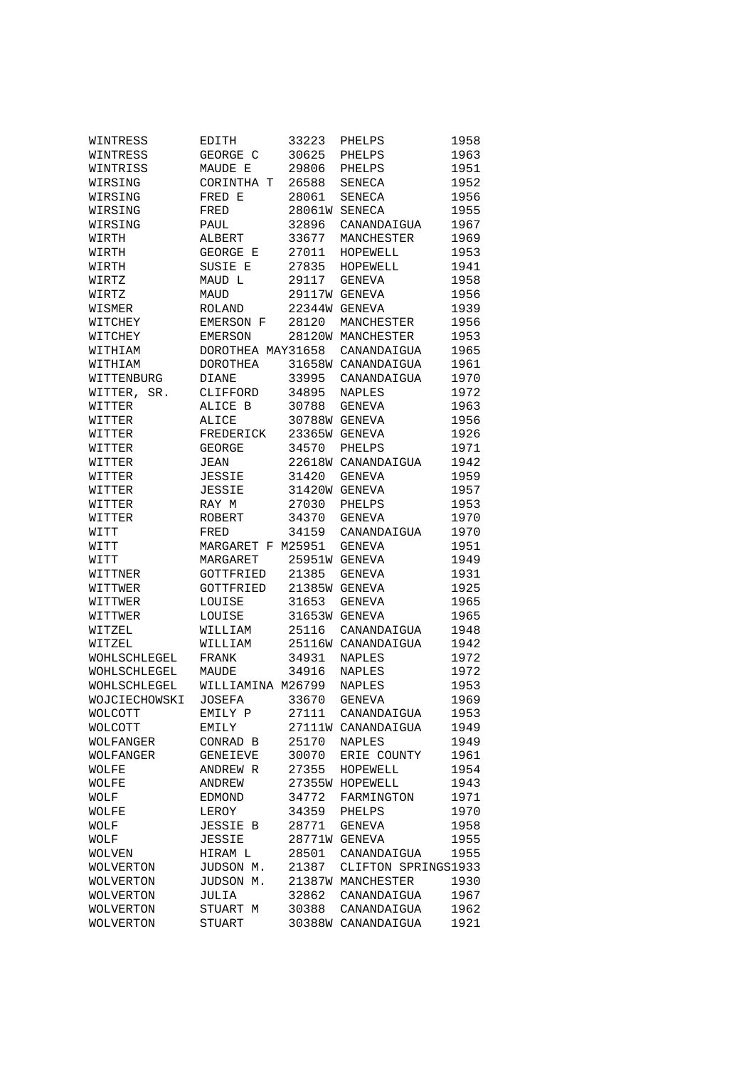| WINTRESS         | EDITH             | 33223  | PHELPS              | 1958 |
|------------------|-------------------|--------|---------------------|------|
| WINTRESS         | GEORGE C          | 30625  | PHELPS              | 1963 |
| WINTRISS         | MAUDE E           | 29806  | PHELPS              | 1951 |
| WIRSING          | CORINTHA T        | 26588  | SENECA              | 1952 |
| WIRSING          | FRED E            | 28061  | SENECA              | 1956 |
| WIRSING          | FRED              | 28061W | SENECA              | 1955 |
| WIRSING          | $\mathtt{PAUL}$   | 32896  | CANANDAIGUA         | 1967 |
| WIRTH            | ALBERT            | 33677  | MANCHESTER          | 1969 |
| WIRTH            | GEORGE E          | 27011  | HOPEWELL            | 1953 |
| WIRTH            | SUSIE E           | 27835  | HOPEWELL            | 1941 |
| WIRTZ            | MAUD L            | 29117  | <b>GENEVA</b>       | 1958 |
| WIRTZ            | MAUD              | 29117W | <b>GENEVA</b>       | 1956 |
| WISMER           | ROLAND            | 22344W | GENEVA              | 1939 |
| WITCHEY          | EMERSON F         | 28120  | MANCHESTER          | 1956 |
| WITCHEY          | <b>EMERSON</b>    |        | 28120W MANCHESTER   | 1953 |
| WITHIAM          | DOROTHEA MAY31658 |        | CANANDAIGUA         | 1965 |
| WITHIAM          | DOROTHEA          | 31658W | CANANDAIGUA         | 1961 |
| WITTENBURG       | DIANE             | 33995  | CANANDAIGUA         | 1970 |
| WITTER,<br>SR.   | CLIFFORD          | 34895  | NAPLES              | 1972 |
| WITTER           | ALICE B           | 30788  | <b>GENEVA</b>       | 1963 |
| WITTER           | ALICE             | 30788W | <b>GENEVA</b>       | 1956 |
| WITTER           | FREDERICK         | 23365W | <b>GENEVA</b>       | 1926 |
| WITTER           | <b>GEORGE</b>     | 34570  | PHELPS              | 1971 |
| WITTER           | JEAN              | 22618W | CANANDAIGUA         | 1942 |
| WITTER           | <b>JESSIE</b>     | 31420  | <b>GENEVA</b>       | 1959 |
| WITTER           | JESSIE            | 31420W | GENEVA              | 1957 |
| WITTER           | RAY M             | 27030  | PHELPS              | 1953 |
| WITTER           | ROBERT            | 34370  | <b>GENEVA</b>       | 1970 |
| WITT             | FRED              | 34159  | CANANDAIGUA         | 1970 |
| WITT             | MARGARET F        | M25951 | <b>GENEVA</b>       | 1951 |
| WITT             | MARGARET          | 25951W | <b>GENEVA</b>       | 1949 |
| WITTNER          | GOTTFRIED         | 21385  | <b>GENEVA</b>       | 1931 |
| WITTWER          | GOTTFRIED         | 21385W | GENEVA              | 1925 |
| WITTWER          | LOUISE            | 31653  | <b>GENEVA</b>       | 1965 |
| WITTWER          | LOUISE            | 31653W | <b>GENEVA</b>       | 1965 |
| WITZEL           | WILLIAM           | 25116  | CANANDAIGUA         | 1948 |
| WITZEL           | WILLIAM           |        | 25116W CANANDAIGUA  | 1942 |
| WOHLSCHLEGEL     | FRANK             | 34931  | NAPLES              | 1972 |
| WOHLSCHLEGEL     | MAUDE             | 34916  | <b>NAPLES</b>       | 1972 |
| WOHLSCHLEGEL     | WILLIAMINA M26799 |        | NAPLES              | 1953 |
| WOJCIECHOWSKI    | JOSEFA            | 33670  | <b>GENEVA</b>       | 1969 |
| WOLCOTT          | EMILY P           | 27111  | CANANDAIGUA         | 1953 |
| WOLCOTT          | <b>EMILY</b>      | 27111W | CANANDAIGUA         | 1949 |
| WOLFANGER        | CONRAD B          | 25170  | NAPLES              | 1949 |
| WOLFANGER        | <b>GENEIEVE</b>   | 30070  | ERIE COUNTY         | 1961 |
| WOLFE            | ANDREW R          | 27355  | HOPEWELL            | 1954 |
| WOLFE            | ANDREW            | 27355W | HOPEWELL            | 1943 |
| <b>WOLF</b>      | EDMOND            | 34772  | FARMINGTON          | 1971 |
| WOLFE            | LEROY             | 34359  | PHELPS              | 1970 |
| WOLF             | <b>JESSIE B</b>   | 28771  | <b>GENEVA</b>       | 1958 |
| WOLF             | <b>JESSIE</b>     | 28771W | <b>GENEVA</b>       | 1955 |
| WOLVEN           | HIRAM L           | 28501  | CANANDAIGUA         | 1955 |
| WOLVERTON        | JUDSON M.         | 21387  | CLIFTON SPRINGS1933 |      |
| WOLVERTON        | JUDSON M.         | 21387W | MANCHESTER          | 1930 |
| WOLVERTON        | JULIA             | 32862  | CANANDAIGUA         | 1967 |
| WOLVERTON        | STUART M          | 30388  | CANANDAIGUA         | 1962 |
| <b>WOLVERTON</b> | <b>STUART</b>     |        | 30388W CANANDAIGUA  | 1921 |
|                  |                   |        |                     |      |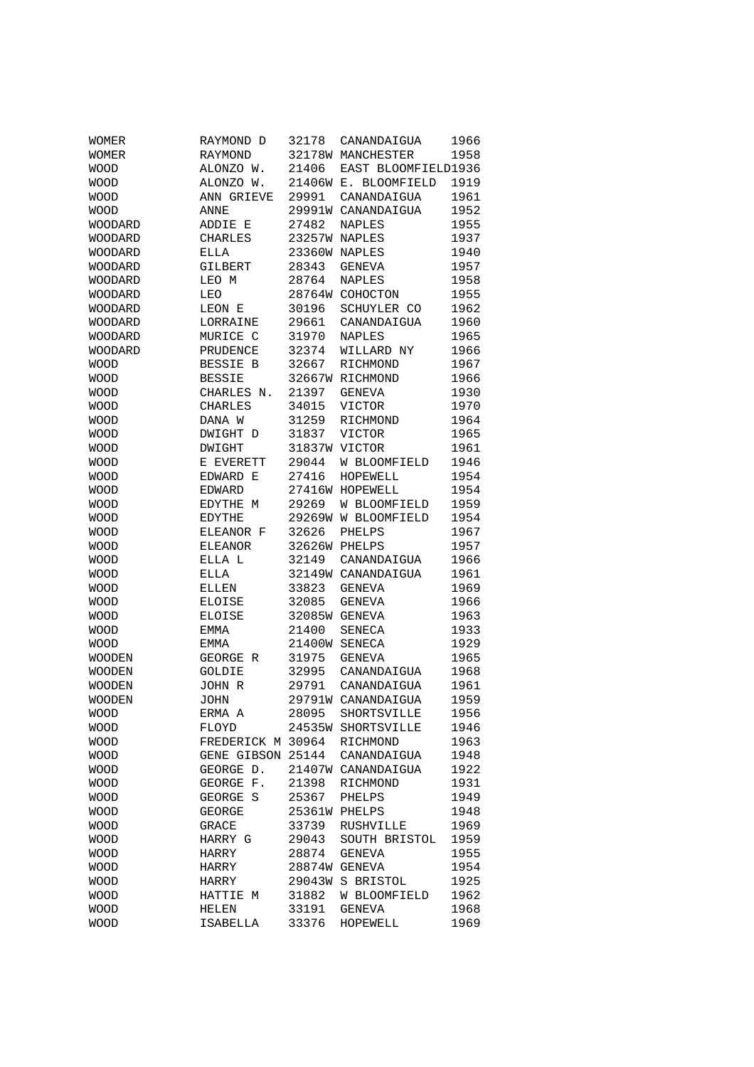| <b>WOMER</b>   | RAYMOND D         | 32178  | CANANDAIGUA                      | 1966 |
|----------------|-------------------|--------|----------------------------------|------|
| <b>WOMER</b>   | RAYMOND           |        | 32178W MANCHESTER                | 1958 |
|                |                   |        | EAST BLOOMFIELD1936              |      |
| <b>WOOD</b>    | ALONZO W.         | 21406  |                                  |      |
| <b>WOOD</b>    | ALONZO W.         | 21406W | $E_{\rm A}$<br><b>BLOOMFIELD</b> | 1919 |
| <b>WOOD</b>    | ANN GRIEVE        | 29991  | CANANDAIGUA                      | 1961 |
| <b>WOOD</b>    | ANNE              |        | 29991W CANANDAIGUA               | 1952 |
| WOODARD        | ADDIE E           | 27482  | <b>NAPLES</b>                    | 1955 |
| WOODARD        | <b>CHARLES</b>    |        | 23257W NAPLES                    | 1937 |
| <b>WOODARD</b> | <b>ELLA</b>       |        | 23360W NAPLES                    | 1940 |
| WOODARD        | <b>GILBERT</b>    | 28343  | GENEVA                           | 1957 |
| WOODARD        | LEO M             | 28764  | <b>NAPLES</b>                    | 1958 |
| <b>WOODARD</b> | LEO               | 28764W | COHOCTON                         | 1955 |
| WOODARD        | LEON E            | 30196  | SCHUYLER CO                      | 1962 |
| WOODARD        | LORRAINE          | 29661  | CANANDAIGUA                      | 1960 |
| <b>WOODARD</b> | MURICE C          | 31970  | NAPLES                           | 1965 |
| <b>WOODARD</b> | PRUDENCE          | 32374  | WILLARD NY                       | 1966 |
| <b>WOOD</b>    | BESSIE B          | 32667  | RICHMOND                         | 1967 |
| <b>WOOD</b>    | <b>BESSIE</b>     | 32667W | RICHMOND                         | 1966 |
| <b>WOOD</b>    | CHARLES N.        | 21397  | <b>GENEVA</b>                    | 1930 |
| <b>WOOD</b>    | <b>CHARLES</b>    | 34015  | <b>VICTOR</b>                    | 1970 |
| <b>WOOD</b>    | DANA W            | 31259  | RICHMOND                         | 1964 |
| <b>WOOD</b>    | DWIGHT D          | 31837  | <b>VICTOR</b>                    | 1965 |
| <b>WOOD</b>    | DWIGHT            |        | 31837W VICTOR                    | 1961 |
| <b>WOOD</b>    | E EVERETT         | 29044  | W BLOOMFIELD                     | 1946 |
| <b>WOOD</b>    | EDWARD E          | 27416  | HOPEWELL                         | 1954 |
| <b>WOOD</b>    | <b>EDWARD</b>     |        | 27416W HOPEWELL                  | 1954 |
| <b>WOOD</b>    | EDYTHE M          | 29269  | W BLOOMFIELD                     | 1959 |
| <b>WOOD</b>    | <b>EDYTHE</b>     |        | 29269W W BLOOMFIELD              | 1954 |
| <b>WOOD</b>    | ELEANOR F         | 32626  | PHELPS                           | 1967 |
| <b>WOOD</b>    | <b>ELEANOR</b>    | 32626W | PHELPS                           | 1957 |
| <b>WOOD</b>    | ELLA L            | 32149  | CANANDAIGUA                      | 1966 |
| <b>WOOD</b>    | <b>ELLA</b>       |        | 32149W CANANDAIGUA               | 1961 |
| <b>WOOD</b>    | ELLEN             | 33823  | <b>GENEVA</b>                    | 1969 |
|                |                   |        |                                  |      |
| <b>WOOD</b>    | ELOISE            | 32085  | GENEVA                           | 1966 |
| <b>WOOD</b>    | <b>ELOISE</b>     | 32085W | <b>GENEVA</b>                    | 1963 |
| <b>WOOD</b>    | EMMA              | 21400  | SENECA                           | 1933 |
| <b>WOOD</b>    | EMMA              | 21400W | SENECA                           | 1929 |
| <b>WOODEN</b>  | GEORGE R          | 31975  | <b>GENEVA</b>                    | 1965 |
| <b>WOODEN</b>  | <b>GOLDIE</b>     | 32995  | CANANDAIGUA                      | 1968 |
| <b>WOODEN</b>  | JOHN R            | 29791  | CANANDAIGUA                      | 1961 |
| WOODEN         | JOHN              |        | 29791W CANANDAIGUA               | 1959 |
| <b>WOOD</b>    | ERMA A            | 28095  | SHORTSVILLE                      | 1956 |
| <b>WOOD</b>    | FLOYD             |        | 24535W SHORTSVILLE               | 1946 |
| <b>WOOD</b>    | FREDERICK M 30964 |        | RICHMOND                         | 1963 |
| <b>WOOD</b>    | GENE GIBSON 25144 |        | CANANDAIGUA                      | 1948 |
| <b>WOOD</b>    | GEORGE D.         |        | 21407W CANANDAIGUA               | 1922 |
| <b>WOOD</b>    | GEORGE F.         | 21398  | RICHMOND                         | 1931 |
| <b>WOOD</b>    | GEORGE S          | 25367  | PHELPS                           | 1949 |
| <b>WOOD</b>    | <b>GEORGE</b>     | 25361W | PHELPS                           | 1948 |
| <b>WOOD</b>    | GRACE             | 33739  | RUSHVILLE                        | 1969 |
| <b>WOOD</b>    | HARRY G           | 29043  | SOUTH BRISTOL                    | 1959 |
| <b>WOOD</b>    | <b>HARRY</b>      | 28874  | GENEVA                           | 1955 |
| <b>WOOD</b>    | HARRY             | 28874W | GENEVA                           | 1954 |
| <b>WOOD</b>    | HARRY             | 29043W | S BRISTOL                        | 1925 |
| <b>WOOD</b>    | HATTIE M          | 31882  | W BLOOMFIELD                     | 1962 |
| <b>WOOD</b>    | HELEN             | 33191  | GENEVA                           | 1968 |
| <b>WOOD</b>    | ISABELLA          | 33376  | HOPEWELL                         | 1969 |
|                |                   |        |                                  |      |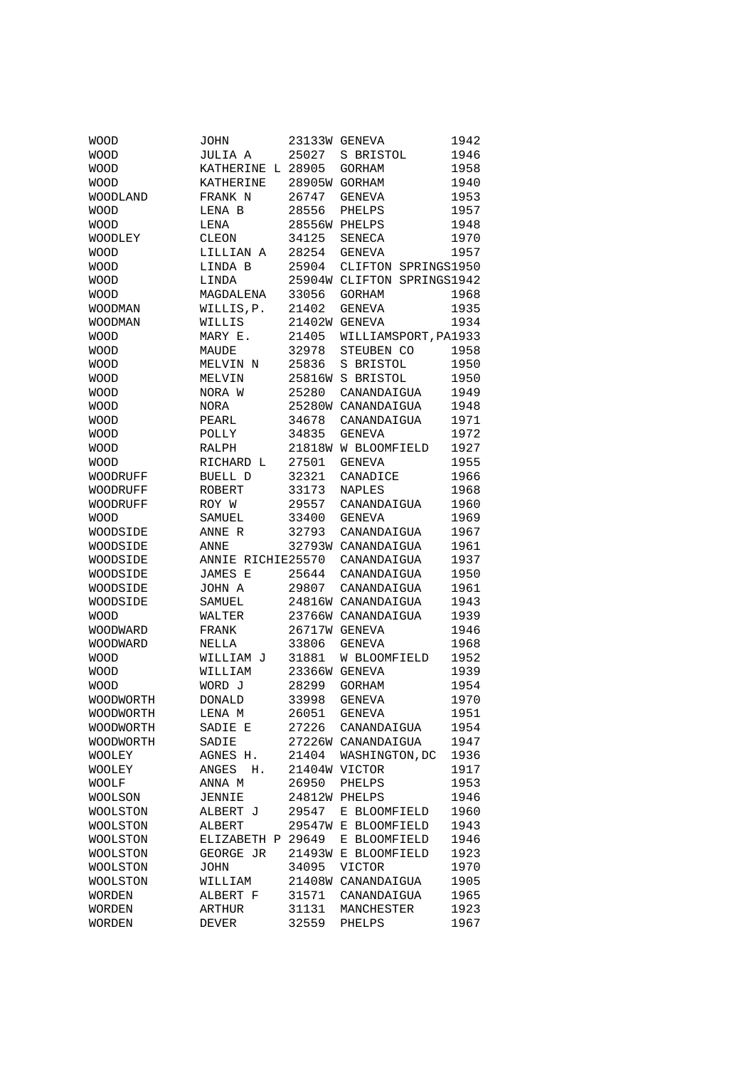| WOOD            | JOHN              | 23133W GENEVA |                            | 1942 |
|-----------------|-------------------|---------------|----------------------------|------|
| <b>WOOD</b>     | JULIA A           | 25027         | S BRISTOL                  | 1946 |
| <b>WOOD</b>     | KATHERINE L 28905 |               | GORHAM                     | 1958 |
| <b>WOOD</b>     | KATHERINE         | 28905W GORHAM |                            | 1940 |
| WOODLAND        | FRANK N           | 26747         | <b>GENEVA</b>              | 1953 |
| <b>WOOD</b>     | LENA B            | 28556         | PHELPS                     | 1957 |
| <b>WOOD</b>     | LENA              | 28556W PHELPS |                            | 1948 |
| WOODLEY         | CLEON             | 34125         | SENECA                     | 1970 |
| <b>WOOD</b>     | LILLIAN A         | 28254         | <b>GENEVA</b>              | 1957 |
| <b>WOOD</b>     | LINDA B           | 25904         | CLIFTON SPRINGS1950        |      |
| <b>WOOD</b>     | LINDA             |               | 25904W CLIFTON SPRINGS1942 |      |
| <b>WOOD</b>     | MAGDALENA         | 33056         | GORHAM                     | 1968 |
| WOODMAN         | WILLIS, P.        | 21402         | GENEVA                     | 1935 |
| WOODMAN         | WILLIS            | 21402W GENEVA |                            | 1934 |
| <b>WOOD</b>     | MARY E.           | 21405         | WILLIAMSPORT, PA1933       |      |
| <b>WOOD</b>     | MAUDE             | 32978         | STEUBEN CO                 | 1958 |
| <b>WOOD</b>     | MELVIN N          | 25836         | S BRISTOL                  | 1950 |
| <b>WOOD</b>     | MELVIN            |               | 25816W S BRISTOL           | 1950 |
| <b>WOOD</b>     | NORA W            | 25280         | CANANDAIGUA                | 1949 |
| <b>WOOD</b>     | <b>NORA</b>       |               | 25280W CANANDAIGUA         | 1948 |
| <b>WOOD</b>     | PEARL             | 34678         | CANANDAIGUA                | 1971 |
| <b>WOOD</b>     | POLLY             | 34835         | GENEVA                     | 1972 |
| <b>WOOD</b>     | RALPH             |               | 21818W W BLOOMFIELD        | 1927 |
| <b>WOOD</b>     | RICHARD L         | 27501         | GENEVA                     | 1955 |
| WOODRUFF        | BUELL D           | 32321         | CANADICE                   | 1966 |
| WOODRUFF        | ROBERT            | 33173         | <b>NAPLES</b>              | 1968 |
| WOODRUFF        | ROY W             | 29557         | CANANDAIGUA                | 1960 |
| <b>WOOD</b>     | SAMUEL            | 33400         | <b>GENEVA</b>              | 1969 |
| WOODSIDE        | ANNE R            | 32793         | CANANDAIGUA                | 1967 |
| WOODSIDE        | ANNE              |               | 32793W CANANDAIGUA         | 1961 |
| WOODSIDE        | ANNIE RICHIE25570 |               | CANANDAIGUA                | 1937 |
| WOODSIDE        | JAMES E           | 25644         | CANANDAIGUA                | 1950 |
| WOODSIDE        | JOHN A            | 29807         | CANANDAIGUA                | 1961 |
| WOODSIDE        | SAMUEL            |               | 24816W CANANDAIGUA         | 1943 |
| <b>WOOD</b>     | WALTER            |               | 23766W CANANDAIGUA         | 1939 |
| WOODWARD        | FRANK             | 26717W GENEVA |                            | 1946 |
| <b>WOODWARD</b> | NELLA             | 33806         | <b>GENEVA</b>              | 1968 |
| <b>WOOD</b>     | WILLIAM J         | 31881         | W BLOOMFIELD               | 1952 |
| <b>WOOD</b>     | WILLIAM           | 23366W GENEVA |                            | 1939 |
| <b>WOOD</b>     | WORD J            | 28299         | GORHAM                     | 1954 |
| WOODWORTH       | DONALD            |               | 33998 GENEVA               | 1970 |
| WOODWORTH       | LENA M            | 26051         | GENEVA                     | 1951 |
| WOODWORTH       | SADIE E           | 27226         | CANANDAIGUA                | 1954 |
| WOODWORTH       | SADIE             |               | 27226W CANANDAIGUA         | 1947 |
| WOOLEY          | AGNES H.          | 21404         | WASHINGTON, DC             | 1936 |
| WOOLEY          | ANGES<br>Η.       | 21404W VICTOR |                            | 1917 |
| WOOLF           | ANNA M            | 26950         | PHELPS                     | 1953 |
| WOOLSON         | JENNIE            | 24812W PHELPS |                            | 1946 |
| WOOLSTON        | ALBERT J          | 29547         | E BLOOMFIELD               | 1960 |
| <b>WOOLSTON</b> | ALBERT            |               | 29547W E BLOOMFIELD        | 1943 |
| WOOLSTON        | ELIZABETH P 29649 |               | E BLOOMFIELD               | 1946 |
| WOOLSTON        | GEORGE JR         |               | 21493W E BLOOMFIELD        | 1923 |
| WOOLSTON        | JOHN              | 34095         | VICTOR                     | 1970 |
| WOOLSTON        | WILLIAM           |               | 21408W CANANDAIGUA         | 1905 |
| WORDEN          | ALBERT F          | 31571         | CANANDAIGUA                | 1965 |
| WORDEN          | ARTHUR            | 31131         | MANCHESTER                 | 1923 |
| WORDEN          | <b>DEVER</b>      | 32559         | PHELPS                     | 1967 |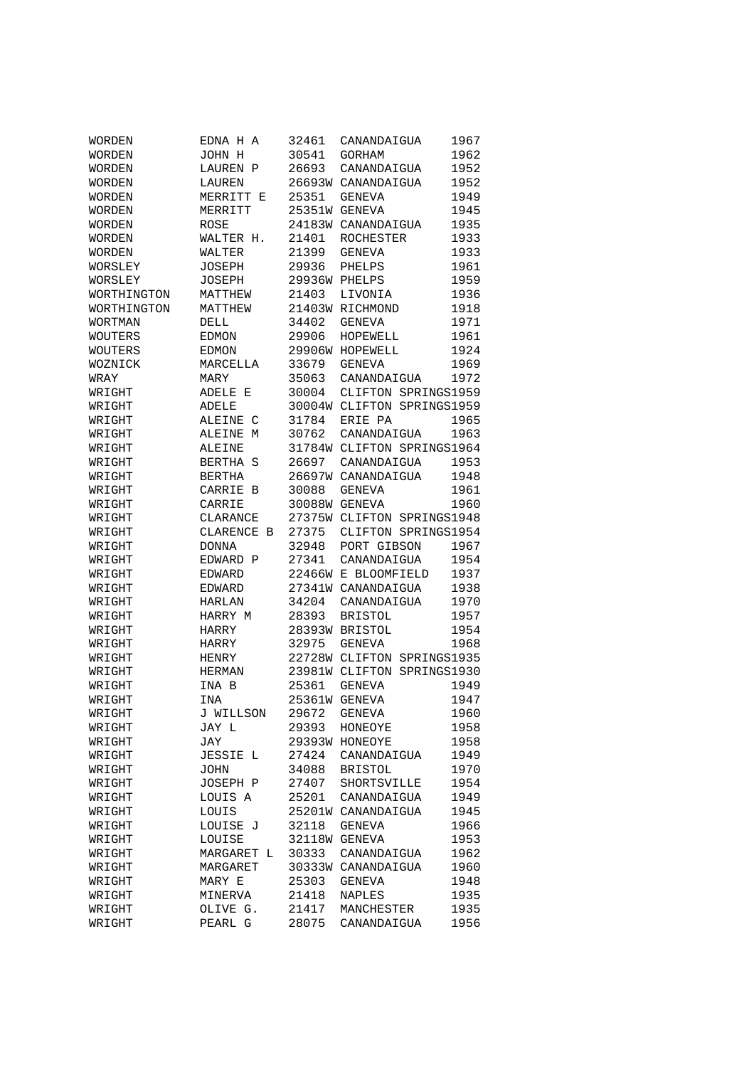| WORDEN         | EDNA H A        | 32461  | CANANDAIGUA<br>1967         |
|----------------|-----------------|--------|-----------------------------|
| WORDEN         | JOHN H          | 30541  | 1962<br>GORHAM              |
| WORDEN         | LAUREN P        | 26693  | 1952<br>CANANDAIGUA         |
| WORDEN         | LAUREN          | 26693W | CANANDAIGUA<br>1952         |
| WORDEN         | MERRITT E       | 25351  | 1949<br><b>GENEVA</b>       |
| WORDEN         | MERRITT         |        | 25351W GENEVA<br>1945       |
| WORDEN         | ROSE            |        | 1935<br>24183W CANANDAIGUA  |
| WORDEN         | WALTER H.       | 21401  | 1933<br>ROCHESTER           |
| WORDEN         | WALTER          | 21399  | 1933<br><b>GENEVA</b>       |
| WORSLEY        | JOSEPH          | 29936  | 1961<br>PHELPS              |
| WORSLEY        | <b>JOSEPH</b>   | 29936W | 1959<br>PHELPS              |
| WORTHINGTON    | MATTHEW         | 21403  | 1936<br>LIVONIA             |
| WORTHINGTON    | MATTHEW         |        | 1918<br>21403W RICHMOND     |
| <b>WORTMAN</b> | DELL            | 34402  | 1971<br><b>GENEVA</b>       |
| <b>WOUTERS</b> | <b>EDMON</b>    | 29906  | 1961<br>HOPEWELL            |
| WOUTERS        | EDMON           | 29906W | 1924<br>HOPEWELL            |
| WOZNICK        | MARCELLA        | 33679  | <b>GENEVA</b><br>1969       |
| WRAY           | MARY            | 35063  | 1972<br>CANANDAIGUA         |
| WRIGHT         | ADELE E         | 30004  | CLIFTON SPRINGS1959         |
| WRIGHT         | <b>ADELE</b>    |        | 30004W CLIFTON SPRINGS1959  |
| WRIGHT         | ALEINE<br>C     | 31784  | ERIE PA<br>1965             |
| WRIGHT         | ALEINE M        | 30762  | CANANDAIGUA<br>1963         |
| WRIGHT         | ALEINE          | 31784W | CLIFTON SPRINGS1964         |
| WRIGHT         | BERTHA S        | 26697  | CANANDAIGUA<br>1953         |
| WRIGHT         | <b>BERTHA</b>   |        | 1948<br>26697W CANANDAIGUA  |
| WRIGHT         | CARRIE B        | 30088  | 1961<br>GENEVA              |
| WRIGHT         | CARRIE          |        | 30088W GENEVA<br>1960       |
| WRIGHT         | CLARANCE        | 27375W | CLIFTON SPRINGS1948         |
| WRIGHT         | CLARENCE<br>B   | 27375  | CLIFTON SPRINGS1954         |
| WRIGHT         | <b>DONNA</b>    | 32948  | PORT GIBSON<br>1967         |
| WRIGHT         | EDWARD P        | 27341  | CANANDAIGUA<br>1954         |
| WRIGHT         | <b>EDWARD</b>   |        | 1937<br>22466W E BLOOMFIELD |
| WRIGHT         | EDWARD          |        | 27341W CANANDAIGUA<br>1938  |
| WRIGHT         | HARLAN          | 34204  | 1970<br>CANANDAIGUA         |
| WRIGHT         | HARRY M         | 28393  | <b>BRISTOL</b><br>1957      |
| WRIGHT         | HARRY           | 28393W | <b>BRISTOL</b><br>1954      |
| WRIGHT         | HARRY           | 32975  | 1968<br>GENEVA              |
| WRIGHT         | HENRY           |        | 22728W CLIFTON SPRINGS1935  |
| WRIGHT         | HERMAN          |        | 23981W CLIFTON SPRINGS1930  |
| WRIGHT         | INA B           | 25361  | <b>GENEVA</b><br>1949       |
| WRIGHT         | INA             |        | 25361W GENEVA<br>1947       |
| WRIGHT         | J WILLSON       | 29672  | 1960<br>GENEVA              |
| WRIGHT         | JAY L           | 29393  | 1958<br>HONEOYE             |
| WRIGHT         | JAY             |        | 29393W HONEOYE<br>1958      |
| WRIGHT         | <b>JESSIE L</b> | 27424  | CANANDAIGUA<br>1949         |
| WRIGHT         | JOHN            | 34088  | <b>BRISTOL</b><br>1970      |
| WRIGHT         | JOSEPH P        | 27407  | 1954<br>SHORTSVILLE         |
| WRIGHT         | LOUIS A         | 25201  | CANANDAIGUA<br>1949         |
| WRIGHT         | LOUIS           | 25201W | CANANDAIGUA<br>1945         |
| WRIGHT         | LOUISE J        | 32118  | GENEVA<br>1966              |
| WRIGHT         | LOUISE          |        | 32118W GENEVA<br>1953       |
| WRIGHT         | MARGARET L      | 30333  | CANANDAIGUA<br>1962         |
| WRIGHT         | MARGARET        | 30333W | 1960<br>CANANDAIGUA         |
| WRIGHT         | MARY E          | 25303  | <b>GENEVA</b><br>1948       |
| WRIGHT         | MINERVA         | 21418  | 1935<br>NAPLES              |
| WRIGHT         | OLIVE G.        | 21417  | 1935<br>MANCHESTER          |
| WRIGHT         | PEARL G         | 28075  | 1956<br>CANANDAIGUA         |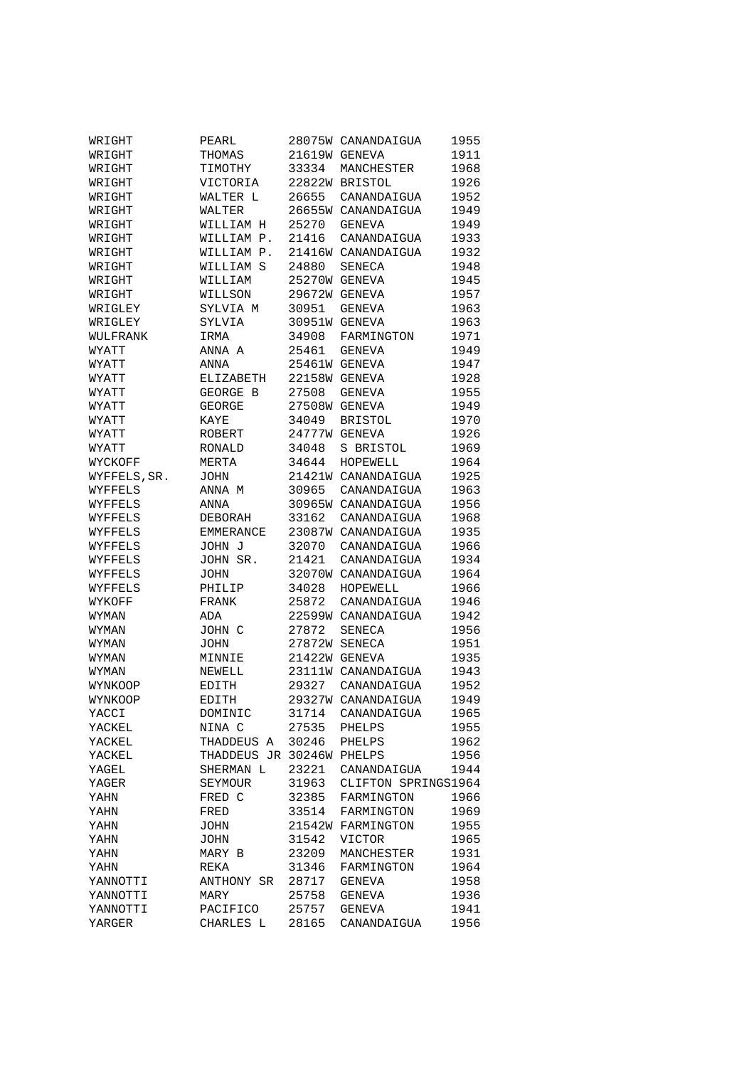| WRIGHT       | PEARL                     |              | 28075W CANANDAIGUA  | 1955 |
|--------------|---------------------------|--------------|---------------------|------|
| WRIGHT       | THOMAS                    | 21619W       | GENEVA              | 1911 |
|              |                           | 33334        |                     | 1968 |
| WRIGHT       | TIMOTHY                   |              | MANCHESTER          |      |
| WRIGHT       | VICTORIA                  | 22822W       | <b>BRISTOL</b>      | 1926 |
| WRIGHT       | WALTER L                  | 26655        | CANANDAIGUA         | 1952 |
| WRIGHT       | WALTER                    | 26655W       | CANANDAIGUA         | 1949 |
| WRIGHT       | WILLIAM H                 | 25270        | GENEVA              | 1949 |
| WRIGHT       | WILLIAM P.                | 21416        | CANANDAIGUA         | 1933 |
| WRIGHT       | WILLIAM P.                |              | 21416W CANANDAIGUA  | 1932 |
| WRIGHT       | WILLIAM S                 | 24880        | SENECA              | 1948 |
| WRIGHT       | WILLIAM                   | 25270W       | <b>GENEVA</b>       | 1945 |
| WRIGHT       | WILLSON                   | 29672W       | <b>GENEVA</b>       | 1957 |
| WRIGLEY      | SYLVIA M                  | 30951        | GENEVA              | 1963 |
| WRIGLEY      | SYLVIA                    | 30951W       | GENEVA              | 1963 |
| WULFRANK     | IRMA                      | 34908        | FARMINGTON          | 1971 |
| WYATT        | ANNA A                    | 25461        | GENEVA              | 1949 |
| WYATT        | <b>ANNA</b>               | 25461W       | GENEVA              | 1947 |
| WYATT        | ELIZABETH                 | 22158W       | GENEVA              | 1928 |
| WYATT        | GEORGE B                  | 27508        | GENEVA              | 1955 |
| WYATT        | GEORGE                    | 27508W       | <b>GENEVA</b>       | 1949 |
| WYATT        | KAYE                      | 34049        | <b>BRISTOL</b>      | 1970 |
| WYATT        | ROBERT                    | 24777W       | GENEVA              | 1926 |
| WYATT        | RONALD                    | 34048        | S BRISTOL           | 1969 |
| WYCKOFF      | MERTA                     | 34644        | HOPEWELL            | 1964 |
| WYFFELS, SR. | <b>JOHN</b>               | 21421W       | CANANDAIGUA         | 1925 |
| WYFFELS      | ANNA M                    | 30965        | CANANDAIGUA         | 1963 |
| WYFFELS      | ANNA                      | 30965W       | CANANDAIGUA         | 1956 |
| WYFFELS      | <b>DEBORAH</b>            | 33162        | CANANDAIGUA         | 1968 |
| WYFFELS      | <b>EMMERANCE</b>          | 23087W       | CANANDAIGUA         | 1935 |
|              |                           | 32070        |                     | 1966 |
| WYFFELS      | JOHN J                    |              | CANANDAIGUA         |      |
| WYFFELS      | JOHN SR.                  | 21421        | CANANDAIGUA         | 1934 |
| WYFFELS      | <b>JOHN</b>               | 32070W       | CANANDAIGUA         | 1964 |
| WYFFELS      | PHILIP                    | 34028        | HOPEWELL            | 1966 |
| WYKOFF       | FRANK                     | 25872        | CANANDAIGUA         | 1946 |
| WYMAN        | ADA                       | 22599W       | CANANDAIGUA         | 1942 |
| WYMAN        | JOHN C                    | 27872        | SENECA              | 1956 |
| WYMAN        | JOHN                      | 27872W       | <b>SENECA</b>       | 1951 |
| WYMAN        | MINNIE                    |              | 21422W GENEVA       | 1935 |
| WYMAN        | NEWELL                    |              | 23111W CANANDAIGUA  | 1943 |
| WYNKOOP      | EDITH                     | 29327        | CANANDAIGUA         | 1952 |
| WYNKOOP      | EDITH                     |              | 29327W CANANDAIGUA  | 1949 |
| YACCI        | DOMINIC                   |              | 31714 CANANDAIGUA   | 1965 |
| YACKEL       | NINA C                    | 27535 PHELPS |                     | 1955 |
| YACKEL       | THADDEUS A 30246          |              | PHELPS              | 1962 |
| YACKEL       | THADDEUS JR 30246W PHELPS |              |                     | 1956 |
| YAGEL        | SHERMAN L                 |              | 23221 CANANDAIGUA   | 1944 |
| YAGER        | SEYMOUR                   | 31963        | CLIFTON SPRINGS1964 |      |
| YAHN         | FRED C                    | 32385        | FARMINGTON          | 1966 |
| YAHN         | FRED                      | 33514        | FARMINGTON          | 1969 |
| YAHN         | JOHN                      | 21542W       | FARMINGTON          | 1955 |
| YAHN         | JOHN                      | 31542        | VICTOR              | 1965 |
| YAHN         | MARY B                    | 23209        | MANCHESTER          | 1931 |
| YAHN         | REKA                      | 31346        | FARMINGTON          | 1964 |
| YANNOTTI     | ANTHONY SR                | 28717        | GENEVA              | 1958 |
| YANNOTTI     | MARY                      | 25758        | GENEVA              | 1936 |
| YANNOTTI     | PACIFICO                  | 25757        | GENEVA              | 1941 |
| YARGER       | CHARLES L                 | 28165        | CANANDAIGUA         | 1956 |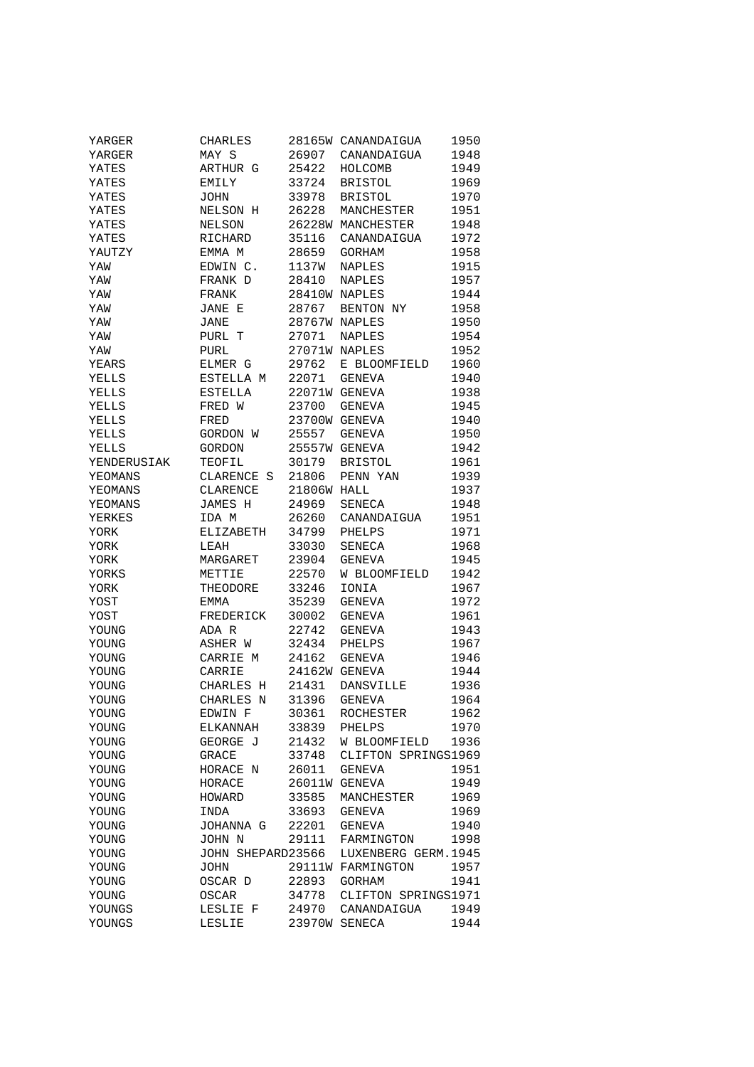| YARGER      | CHARLES           |             | 28165W CANANDAIGUA                 | 1950 |
|-------------|-------------------|-------------|------------------------------------|------|
| YARGER      | MAY S             | 26907       | CANANDAIGUA                        | 1948 |
| YATES       | ARTHUR G          | 25422       | HOLCOMB                            | 1949 |
| YATES       | <b>EMILY</b>      | 33724       | <b>BRISTOL</b>                     | 1969 |
| YATES       | <b>JOHN</b>       | 33978       | <b>BRISTOL</b>                     | 1970 |
| YATES       | NELSON H          | 26228       | MANCHESTER                         | 1951 |
| YATES       | NELSON            |             | 26228W MANCHESTER                  | 1948 |
| YATES       | RICHARD           | 35116       | CANANDAIGUA                        | 1972 |
| YAUTZY      | EMMA M            | 28659       | GORHAM                             | 1958 |
| YAW         | EDWIN C.          | 1137W       | NAPLES                             | 1915 |
| YAW         | FRANK D           | 28410       | NAPLES                             | 1957 |
| YAW         | FRANK             |             | 28410W NAPLES                      | 1944 |
| YAW         | JANE E            | 28767       | BENTON NY                          | 1958 |
| YAW         | <b>JANE</b>       |             | 28767W NAPLES                      | 1950 |
| YAW         | PURL T            | 27071       | NAPLES                             | 1954 |
| YAW         | PURL              |             | 27071W NAPLES                      | 1952 |
| YEARS       | ELMER G           | 29762       | E BLOOMFIELD                       | 1960 |
| YELLS       | ESTELLA M         | 22071       | GENEVA                             | 1940 |
| YELLS       | <b>ESTELLA</b>    |             | 22071W GENEVA                      | 1938 |
| YELLS       | FRED W            | 23700       | <b>GENEVA</b>                      | 1945 |
| YELLS       | FRED              |             | 23700W GENEVA                      | 1940 |
| YELLS       | GORDON W          | 25557       | GENEVA                             | 1950 |
| YELLS       | GORDON            | 25557W      | <b>GENEVA</b>                      | 1942 |
| YENDERUSIAK | TEOFIL            | 30179       | <b>BRISTOL</b>                     | 1961 |
| YEOMANS     | CLARENCE S        | 21806       | PENN YAN                           | 1939 |
| YEOMANS     | <b>CLARENCE</b>   | 21806W HALL |                                    | 1937 |
| YEOMANS     | JAMES H           | 24969       | SENECA                             | 1948 |
| YERKES      | IDA M             | 26260       | CANANDAIGUA                        | 1951 |
| YORK        | <b>ELIZABETH</b>  | 34799       | PHELPS                             | 1971 |
| YORK        | LEAH              | 33030       | SENECA                             | 1968 |
| YORK        | MARGARET          | 23904       | GENEVA                             | 1945 |
| YORKS       | METTIE            | 22570       | W BLOOMFIELD                       | 1942 |
| YORK        | THEODORE          | 33246       | IONIA                              | 1967 |
| YOST        | EMMA              | 35239       | GENEVA                             | 1972 |
| YOST        | FREDERICK         | 30002       | <b>GENEVA</b>                      | 1961 |
| YOUNG       | ADA R             | 22742       | GENEVA                             | 1943 |
| YOUNG       | ASHER W           | 32434       | PHELPS                             | 1967 |
| YOUNG       | CARRIE M          | 24162       | <b>GENEVA</b>                      | 1946 |
| YOUNG       | CARRIE            | 24162W      | <b>GENEVA</b>                      | 1944 |
| YOUNG       | CHARLES H         | 21431       | <b>DANSVILLE</b>                   | 1936 |
| YOUNG       | CHARLES N         | 31396       | GENEVA                             | 1964 |
| YOUNG       | EDWIN F           | 30361       | ROCHESTER                          | 1962 |
| YOUNG       | ELKANNAH          | 33839       | PHELPS                             | 1970 |
| YOUNG       | GEORGE J          | 21432       | W BLOOMFIELD                       | 1936 |
| YOUNG       | <b>GRACE</b>      | 33748       | CLIFTON SPRINGS1969                |      |
| YOUNG       | HORACE N          | 26011       | GENEVA                             | 1951 |
| YOUNG       | HORACE            | 26011W      | GENEVA                             | 1949 |
| YOUNG       | HOWARD            | 33585       | MANCHESTER                         | 1969 |
| YOUNG       | INDA              | 33693       | <b>GENEVA</b>                      | 1969 |
| YOUNG       | JOHANNA G         | 22201       | GENEVA                             | 1940 |
| YOUNG       | JOHN N            | 29111       | FARMINGTON                         | 1998 |
| YOUNG       | JOHN SHEPARD23566 |             | LUXENBERG GERM.1945                |      |
|             |                   | 29111W      | FARMINGTON                         | 1957 |
| YOUNG       | JOHN              |             |                                    |      |
| YOUNG       | OSCAR D           | 22893       | GORHAM                             | 1941 |
| YOUNG       | OSCAR             | 34778       | CLIFTON SPRINGS1971<br>CANANDAIGUA |      |
| YOUNGS      | LESLIE F          | 24970       |                                    | 1949 |
| YOUNGS      | LESLIE            |             | 23970W SENECA                      | 1944 |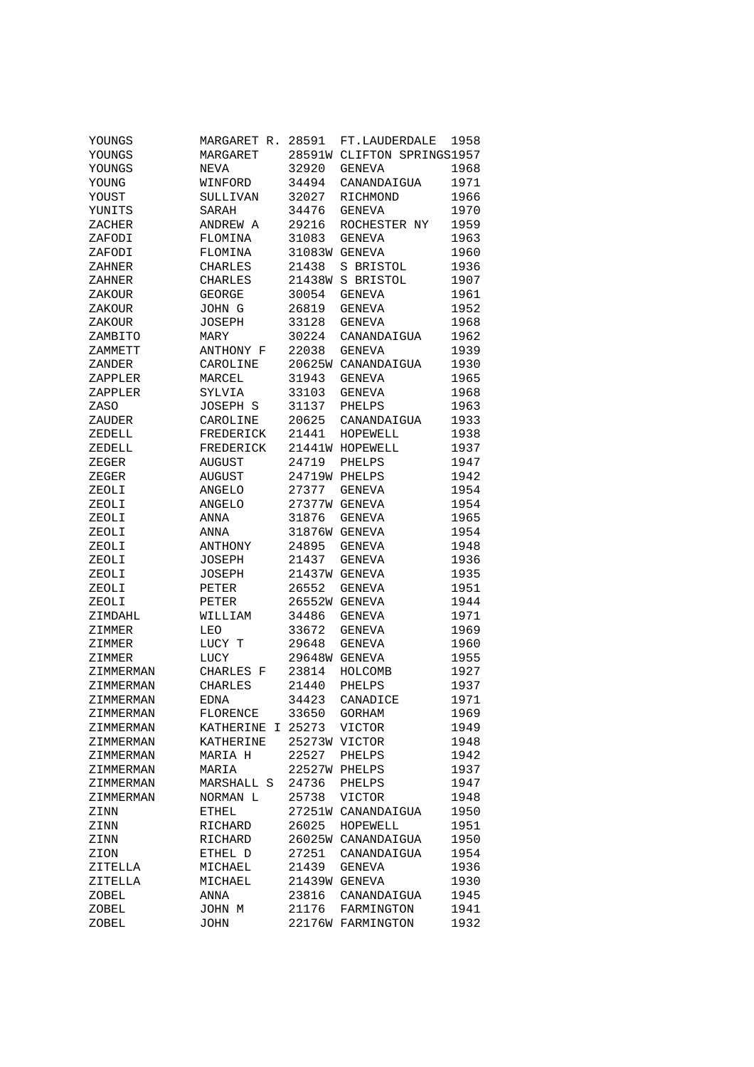| YOUNGS    | MARGARET R.       | 28591         | FT.LAUDERDALE              | 1958 |
|-----------|-------------------|---------------|----------------------------|------|
| YOUNGS    | MARGARET          |               | 28591W CLIFTON SPRINGS1957 |      |
| YOUNGS    | NEVA              | 32920         | <b>GENEVA</b>              | 1968 |
| YOUNG     | WINFORD           | 34494         | CANANDAIGUA                | 1971 |
| YOUST     | SULLIVAN          | 32027         | RICHMOND                   | 1966 |
| YUNITS    | SARAH             | 34476         | <b>GENEVA</b>              | 1970 |
| ZACHER    | ANDREW A          | 29216         | ROCHESTER NY               | 1959 |
| ZAFODI    | FLOMINA           | 31083         | <b>GENEVA</b>              | 1963 |
| ZAFODI    | FLOMINA           | 31083W        | <b>GENEVA</b>              | 1960 |
| ZAHNER    | <b>CHARLES</b>    | 21438         | S BRISTOL                  | 1936 |
| ZAHNER    | <b>CHARLES</b>    | 21438W        | S BRISTOL                  | 1907 |
| ZAKOUR    | GEORGE            | 30054         | <b>GENEVA</b>              | 1961 |
| ZAKOUR    | JOHN G            | 26819         | <b>GENEVA</b>              | 1952 |
| ZAKOUR    | JOSEPH            | 33128         | <b>GENEVA</b>              | 1968 |
| ZAMBITO   | MARY              | 30224         | CANANDAIGUA                | 1962 |
| ZAMMETT   | ANTHONY F         | 22038         | GENEVA                     | 1939 |
| ZANDER    | CAROLINE          | 20625W        | CANANDAIGUA                | 1930 |
| ZAPPLER   | MARCEL            | 31943         | <b>GENEVA</b>              | 1965 |
| ZAPPLER   | SYLVIA            | 33103         | GENEVA                     | 1968 |
| ZASO      | JOSEPH S          | 31137         | PHELPS                     | 1963 |
| ZAUDER    | CAROLINE          | 20625         | CANANDAIGUA                | 1933 |
| ZEDELL    | FREDERICK         | 21441         | HOPEWELL                   | 1938 |
| ZEDELL    | FREDERICK         | 21441W        | HOPEWELL                   | 1937 |
| ZEGER     | <b>AUGUST</b>     | 24719         | PHELPS                     | 1947 |
| ZEGER     | <b>AUGUST</b>     | 24719W        | PHELPS                     | 1942 |
| ZEOLI     | ANGELO            | 27377         | <b>GENEVA</b>              | 1954 |
| ZEOLI     | ANGELO            | 27377W        | <b>GENEVA</b>              | 1954 |
| ZEOLI     | ANNA              | 31876         | <b>GENEVA</b>              | 1965 |
| ZEOLI     | ANNA              | 31876W        | <b>GENEVA</b>              | 1954 |
| ZEOLI     | ANTHONY           | 24895         | <b>GENEVA</b>              | 1948 |
| ZEOLI     | JOSEPH            | 21437         | GENEVA                     | 1936 |
| ZEOLI     | JOSEPH            | 21437W        | <b>GENEVA</b>              | 1935 |
| ZEOLI     | PETER             | 26552         | <b>GENEVA</b>              | 1951 |
| ZEOLI     | PETER             | 26552W        | <b>GENEVA</b>              | 1944 |
| ZIMDAHL   | WILLIAM           | 34486         | <b>GENEVA</b>              | 1971 |
| ZIMMER    | LEO               | 33672         | GENEVA                     | 1969 |
| ZIMMER    | LUCY T            | 29648         | GENEVA                     | 1960 |
| ZIMMER    | LUCY              | 29648W        | <b>GENEVA</b>              | 1955 |
| ZIMMERMAN | CHARLES<br>F      | 23814         | HOLCOMB                    | 1927 |
| ZIMMERMAN | <b>CHARLES</b>    | 21440         | PHELPS                     | 1937 |
| ZIMMERMAN | <b>EDNA</b>       | 34423         | CANADICE                   | 1971 |
| ZIMMERMAN | FLORENCE          |               | 33650 GORHAM               | 1969 |
| ZIMMERMAN | KATHERINE I 25273 |               | VICTOR                     | 1949 |
| ZIMMERMAN | KATHERINE         | 25273W VICTOR |                            | 1948 |
| ZIMMERMAN | MARIA H           | 22527         | PHELPS                     | 1942 |
| ZIMMERMAN | MARIA             | 22527W PHELPS |                            | 1937 |
| ZIMMERMAN | MARSHALL S        | 24736         | PHELPS                     | 1947 |
| ZIMMERMAN | NORMAN L          | 25738         | VICTOR                     | 1948 |
| ZINN      | <b>ETHEL</b>      |               | 27251W CANANDAIGUA         | 1950 |
| ZINN      | RICHARD           | 26025         | HOPEWELL                   | 1951 |
| ZINN      | RICHARD           |               | 26025W CANANDAIGUA         | 1950 |
| ZION      | ETHEL D           | 27251         | CANANDAIGUA                | 1954 |
| ZITELLA   | MICHAEL           | 21439         | GENEVA                     | 1936 |
| ZITELLA   | MICHAEL           | 21439W        | GENEVA                     | 1930 |
| ZOBEL     | <b>ANNA</b>       | 23816         | CANANDAIGUA                | 1945 |
| ZOBEL     | JOHN M            | 21176         | FARMINGTON                 | 1941 |
| ZOBEL     | JOHN              |               | 22176W FARMINGTON          | 1932 |